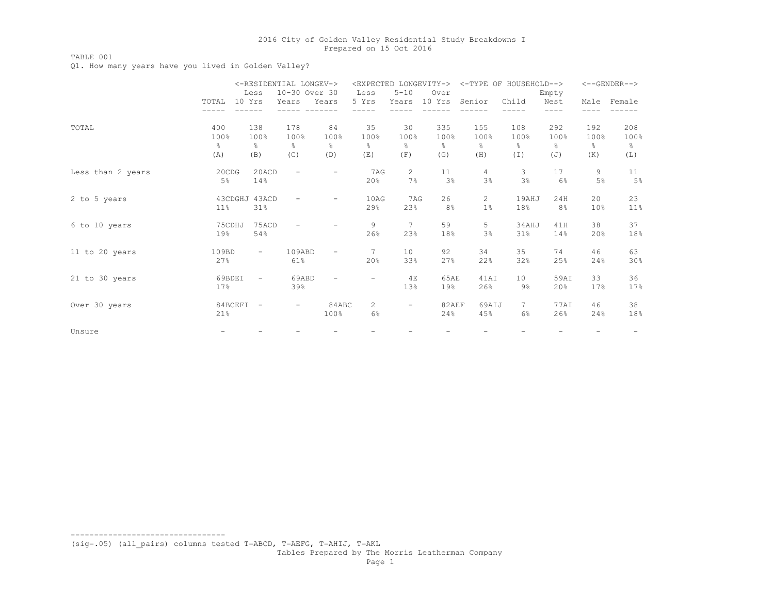TABLE 001

Q1. How many years have you lived in Golden Valley?

|                   |                                      | Less                     | <-RESIDENTIAL LONGEV-><br>10-30 Over 30 |                         | <expected longevity-=""><br/>Less</expected> | $5 - 10$                | Over                            |                          | <-TYPE OF HOUSEHOLD-->  |                         |                          | $<-$ -GENDER-->          |
|-------------------|--------------------------------------|--------------------------|-----------------------------------------|-------------------------|----------------------------------------------|-------------------------|---------------------------------|--------------------------|-------------------------|-------------------------|--------------------------|--------------------------|
|                   | TOTAL                                | 10 Yrs                   | Years                                   | Years                   | 5 Yrs                                        | Years                   | 10 Yrs                          | Senior                   | Child                   | Empty<br>Nest           | Male                     | Female                   |
| TOTAL             | 400<br>100%<br>$\frac{6}{10}$<br>(A) | 138<br>100%<br>g.<br>(B) | 178<br>100%<br>$\frac{6}{6}$<br>(C)     | 84<br>100%<br>g.<br>(D) | 35<br>100%<br>&<br>(E)                       | 30<br>100%<br>g.<br>(F) | 335<br>100%<br>$\approx$<br>(G) | 155<br>100%<br>g.<br>(H) | 108<br>100%<br>⊱<br>(I) | 292<br>100%<br>⊱<br>(J) | 192<br>100%<br>န္<br>(K) | 208<br>100%<br>ိင<br>(L) |
| Less than 2 years | 20CDG<br>5%                          | 20ACD<br>14%             |                                         |                         | 7AG<br>20%                                   | $\mathbf{2}$<br>7%      | 11<br>3%                        | 4<br>3%                  | 3<br>3%                 | 17<br>6%                | 9<br>5%                  | 11<br>$5\%$              |
| 2 to 5 years      | $11\%$                               | 43CDGHJ 43ACD<br>31%     |                                         |                         | 10AG<br>29%                                  | 7AG<br>23%              | 26<br>8%                        | $\overline{2}$<br>$1\%$  | 19AHJ<br>18%            | 24H<br>8%               | 20<br>10%                | 23<br>11%                |
| 6 to 10 years     | 75CDHJ<br>19%                        | 75ACD<br>54%             |                                         |                         | 9<br>26%                                     | 7<br>23%                | 59<br>18%                       | 5<br>3%                  | 34AHJ<br>31%            | 41H<br>14%              | 38<br>20%                | 37<br>18%                |
| 11 to 20 years    | 109BD<br>27%                         | $\overline{\phantom{a}}$ | 109ABD<br>61%                           |                         | 7<br>20%                                     | 10<br>33%               | 92<br>27%                       | 34<br>22%                | 35<br>32%               | 74<br>25%               | 46<br>24%                | 63<br>30%                |
| 21 to 30 years    | 69BDEI<br>17%                        | $\overline{\phantom{a}}$ | 69ABD<br>39%                            |                         |                                              | 4E<br>13%               | 65AE<br>19%                     | 41AI<br>26%              | 10<br>$9\%$             | 59AI<br>20%             | 33<br>17%                | 36<br>17%                |
| Over 30 years     | 84BCEFI<br>21%                       | $\overline{\phantom{a}}$ | $\overline{\phantom{0}}$                | 84ABC<br>100%           | $\overline{2}$<br>6%                         | $-$                     | 82AEF<br>24%                    | 69AIJ<br>45%             | $7^{\circ}$<br>6%       | 77AT<br>26%             | 46<br>24%                | 38<br>18%                |
| Unsure            |                                      |                          |                                         |                         |                                              |                         |                                 |                          |                         |                         |                          |                          |

(sig=.05) (all\_pairs) columns tested T=ABCD, T=AEFG, T=AHIJ, T=AKL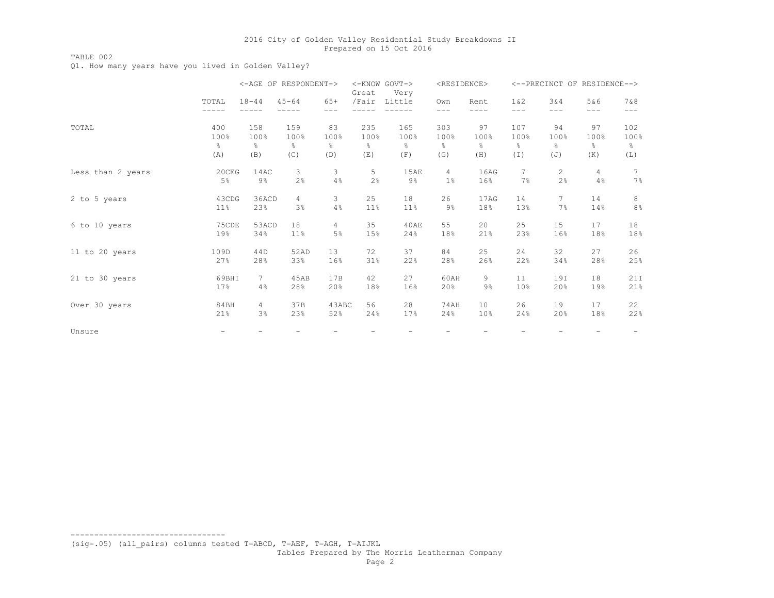TABLE 002

Q1. How many years have you lived in Golden Valley?

|                   |                |                | <-AGE OF RESPONDENT-> |                  | <-KNOW GOVT-><br>Great | Very   | <residence></residence> |                   |                 | <--PRECINCT OF RESIDENCE--> |                |                       |
|-------------------|----------------|----------------|-----------------------|------------------|------------------------|--------|-------------------------|-------------------|-----------------|-----------------------------|----------------|-----------------------|
|                   | TOTAL<br>----- | $18 - 44$      | $45 - 64$             | $65+$<br>$- - -$ | /Fair                  | Little | Own<br>$---$            | Rent<br>$- - - -$ | $1\&2$<br>$---$ | 3 & 4<br>$---$              | 5&6<br>$---$   | 7&8<br>$---$          |
| TOTAL             | 400            | 158            | 159                   | 83               | 235                    | 165    | 303                     | 97                | 107             | 94                          | 97             | 102                   |
|                   | 100%           | 100%           | 100%                  | 100%             | 100%                   | 100%   | 100%                    | 100%              | 100%            | 100%                        | 100%           | 100%                  |
|                   | g.             | g.             | $\frac{6}{6}$         | 옹                | g.                     | g.     | ⊱                       | $\frac{6}{5}$     | g.              | 옹                           | g.             | %                     |
|                   | (A)            | (B)            | (C)                   | (D)              | (E)                    | (F)    | (G)                     | (H)               | $(\top)$        | (J)                         | (K)            | (L)                   |
| Less than 2 years | 20CEG          | 14AC           | 3                     | 3                | 5                      | 15AE   | $\overline{4}$          | 16AG              | $7^{\circ}$     | $\overline{c}$              | $\overline{4}$ | 7                     |
|                   | 5%             | $9\%$          | 2%                    | 4%               | 2%                     | 9%     | 1 <sup>°</sup>          | 16%               | 7%              | 2%                          | 4%             | 7%                    |
| 2 to 5 years      | 43CDG          | 36ACD          | 4                     | 3                | 25                     | 18     | 26                      | 17AG              | 14              | 7                           | 14             | 8                     |
|                   | $11\%$         | 23%            | 3%                    | 4%               | 11%                    | 11%    | $9\%$                   | 18%               | 13%             | 7%                          | 14%            | $8\,^{\circ}_{\circ}$ |
| 6 to 10 years     | 75CDE          | 53ACD          | 18                    | $\overline{4}$   | 35                     | 40AE   | 55                      | 20                | 25              | 15                          | 17             | 18                    |
|                   | 19%            | 34%            | 11%                   | $5\%$            | 15%                    | 24%    | 18%                     | 21%               | 23%             | 16%                         | 18%            | 18%                   |
| 11 to 20 years    | 109D           | 44D            | 52AD                  | 13               | 72                     | 37     | 84                      | 25                | 24              | 32                          | 27             | 26                    |
|                   | 27%            | 28%            | 33%                   | 16%              | 31%                    | 22%    | 28%                     | 26%               | 22%             | 34%                         | 28%            | 25%                   |
| 21 to 30 years    | 69BHI          | $7^{\circ}$    | 45AB                  | 17B              | 42                     | 27     | 60AH                    | 9                 | 11              | 19I                         | 18             | 21I                   |
|                   | 17%            | 4%             | 28%                   | 20%              | 18%                    | 16%    | 20%                     | $9\%$             | 10%             | 20%                         | 19%            | 21%                   |
| Over 30 years     | 84BH           | $\overline{4}$ | 37B                   | 43ABC            | 56                     | 28     | 74AH                    | 10                | 26              | 19                          | 17             | 22                    |
|                   | 21%            | 3%             | 23%                   | 52%              | 24%                    | 17%    | 24%                     | 10%               | 24%             | 20%                         | 18%            | 22%                   |
| Unsure            |                |                |                       |                  |                        |        |                         |                   |                 |                             |                |                       |

(sig=.05) (all\_pairs) columns tested T=ABCD, T=AEF, T=AGH, T=AIJKL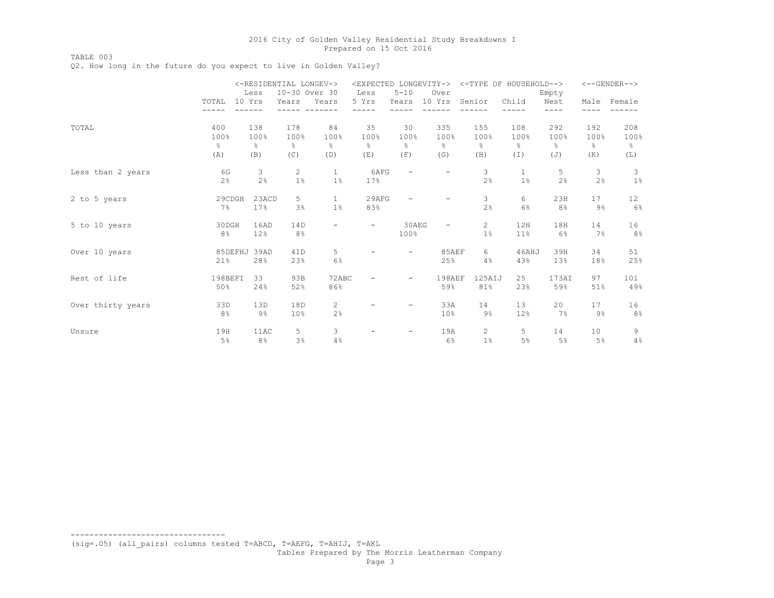TABLE 003

Q2. How long in the future do you expect to live in Golden Valley?

|                   | Less                     |                                     | <-RESIDENTIAL LONGEV-><br>10-30 Over 30 |                             | <expected longevity-=""><br/>Less</expected> | $5 - 10$                           | Over                     |                                     | <-TYPE OF HOUSEHOLD-->              | Empty                    |                                     | $<-$ -GENDER-->                     |
|-------------------|--------------------------|-------------------------------------|-----------------------------------------|-----------------------------|----------------------------------------------|------------------------------------|--------------------------|-------------------------------------|-------------------------------------|--------------------------|-------------------------------------|-------------------------------------|
|                   | TOTAL<br>10 Yrs          |                                     | Years                                   | Years                       | 5 Yrs                                        | Years                              | 10 Yrs                   | Senior                              | Child                               | Nest                     | Male                                | Female                              |
| TOTAL             | 400<br>100%<br>g.<br>(A) | 138<br>100%<br>$\frac{6}{6}$<br>(B) | 178<br>100%<br>$\frac{6}{5}$<br>(C)     | 84<br>100%<br>옹<br>(D)      | 35<br>100%<br>g.<br>(E)                      | 30<br>100%<br>$\frac{6}{6}$<br>(F) | 335<br>100%<br>g.<br>(G) | 155<br>100%<br>$\frac{6}{6}$<br>(H) | 108<br>100%<br>$\frac{6}{6}$<br>(T) | 292<br>100%<br>g.<br>(J) | 192<br>100%<br>$\frac{6}{6}$<br>(K) | 208<br>100%<br>$\frac{6}{6}$<br>(L) |
| Less than 2 years | 6G<br>2%                 | 3<br>2%                             | 2<br>1%                                 | $\mathbf{1}$<br>$1\%$       | 6AFG<br>17%                                  |                                    |                          | 3<br>2%                             | $\mathbf{1}$<br>1%                  | 5<br>2%                  | 3<br>2%                             | 3<br>$1\%$                          |
| 2 to 5 years      | 29CDGH<br>7%             | 23ACD<br>17%                        | 5<br>3%                                 | $\mathbf{1}$<br>1%          | 29AFG<br>83%                                 | $\overline{\phantom{0}}$           |                          | 3<br>2%                             | 6<br>6%                             | 23H<br>8%                | 17<br>$9\%$                         | 12<br>6%                            |
| 5 to 10 years     | 30DGH<br>8%              | 16AD<br>12%                         | 14D<br>8%                               |                             | -                                            | 30AEG<br>100%                      | $\overline{\phantom{a}}$ | $\mathbf{2}$<br>$1\%$               | 12H<br>11%                          | 18H<br>6%                | 14<br>7%                            | 16<br>8%                            |
| Over 10 years     | 85DEFHJ 39AD<br>21%      | 28%                                 | 41D<br>23%                              | 5<br>6%                     |                                              | -                                  | 85AEF<br>25%             | 6<br>4%                             | 46AHJ<br>43%                        | 39H<br>13%               | 34<br>18%                           | 51<br>25%                           |
| Rest of life      | 198BEFI<br>50%           | 33<br>24%                           | 93B<br>52%                              | 72ABC<br>86%                |                                              |                                    | 198AEF<br>59%            | 125AIJ<br>81%                       | 25<br>23%                           | 173AI<br>59%             | 97<br>51%                           | 101<br>49%                          |
| Over thirty years | 33D<br>8%                | 13D<br>$9\%$                        | 18D<br>10%                              | $\mathbf{2}^{\prime}$<br>2% | -                                            | $\qquad \qquad -$                  | 33A<br>10%               | 14<br>$9\%$                         | 13<br>12%                           | 20<br>7%                 | 17<br>9%                            | 16<br>8%                            |
| Unsure            | 19H<br>5%                | 11AC<br>8%                          | 5<br>3%                                 | 3<br>4%                     |                                              | -                                  | 19A<br>6%                | $\overline{2}$<br>$1\%$             | 5<br>5%                             | 14<br>5%                 | 10<br>5%                            | 9<br>4%                             |

(sig=.05) (all\_pairs) columns tested T=ABCD, T=AEFG, T=AHIJ, T=AKL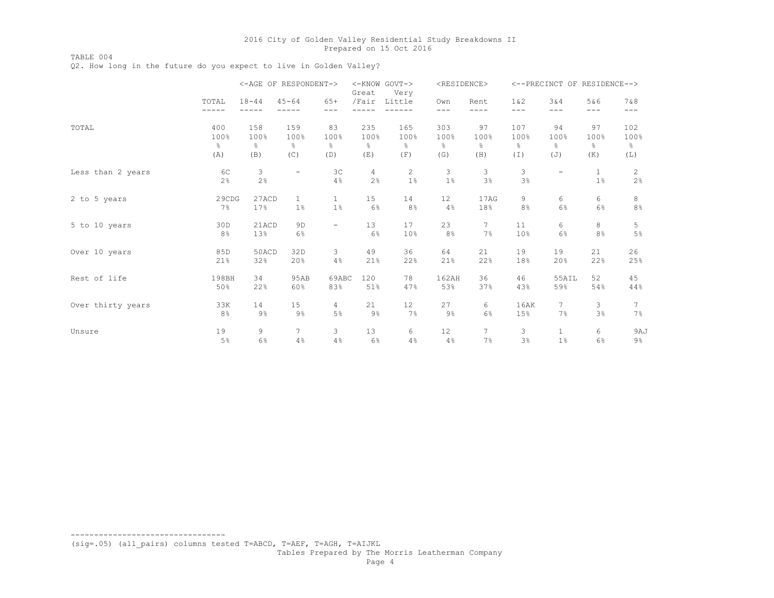TABLE 004

Q2. How long in the future do you expect to live in Golden Valley?

|                   |                | <-AGE OF RESPONDENT-> |                      |                          | <-KNOW GOVT-><br>Great | Very          | <residence></residence> |                       |                | <--PRECINCT OF RESIDENCE--> |                    |                      |
|-------------------|----------------|-----------------------|----------------------|--------------------------|------------------------|---------------|-------------------------|-----------------------|----------------|-----------------------------|--------------------|----------------------|
|                   | TOTAL<br>----- | $18 - 44$<br>-----    | $45 - 64$            | $65+$<br>$- - -$         | /Fair                  | Little        | Own<br>$- - -$          | Rent<br>$- - - -$     | 1 & 2<br>$---$ | 3&4<br>$---$                | 5&6<br>$---$       | 7 & 8<br>$---$       |
| TOTAL             | 400            | 158                   | 159                  | 83                       | 235                    | 165           | 303                     | 97                    | 107            | 94                          | 97                 | 102                  |
|                   | 100%           | 100%                  | 100%                 | 100%                     | 100%                   | 100%          | 100%                    | 100%                  | 100%           | 100%                        | 100%               | 100%                 |
|                   | $\frac{6}{6}$  | $\frac{6}{6}$         | g.                   | $\frac{6}{6}$            | $\frac{6}{6}$          | $\frac{6}{6}$ | $\frac{6}{6}$           | $\frac{6}{6}$         | $\frac{6}{6}$  | 옹                           | $\frac{6}{6}$      | $\frac{6}{6}$        |
|                   | (A)            | (B)                   | (C)                  | (D)                      | (E)                    | (F)           | (G)                     | (H)                   | (I)            | (J)                         | (K)                | (L)                  |
| Less than 2 years | 6C<br>2%       | 3<br>2 <sup>°</sup>   |                      | 3 <sup>C</sup><br>4%     | $\overline{4}$<br>2%   | 2<br>1%       | 3<br>1%                 | 3<br>3%               | 3<br>3%        |                             | $\mathbf{1}$<br>1% | $\overline{c}$<br>2% |
| 2 to 5 years      | 29CDG          | 27ACD                 | $\mathbf{1}$         | $\mathbf{1}$             | 15                     | 14            | 12                      | 17AG                  | 9              | 6                           | 6                  | 8                    |
|                   | 7%             | 17%                   | 1%                   | $1\%$                    | 6%                     | 8%            | 4%                      | 18%                   | 8 <sup>°</sup> | 6%                          | 6%                 | 8%                   |
| 5 to 10 years     | 30D<br>8%      | 21ACD<br>13%          | 9 <sub>D</sub><br>6% | $\overline{\phantom{m}}$ | 13<br>6%               | 17<br>10%     | 23<br>8%                | $7\overline{ }$<br>7% | 11<br>10%      | 6<br>6%                     | 8<br>8%            | 5<br>$5\,$           |
| Over 10 years     | 85D            | 50ACD                 | 32D                  | 3                        | 49                     | 36            | 64                      | 21                    | 19             | 19                          | 21                 | 26                   |
|                   | 21%            | 32%                   | 20%                  | 4%                       | 21%                    | 22%           | 21%                     | 22%                   | 18%            | 20%                         | 22%                | 25%                  |
| Rest of life      | 198BH          | 34                    | 95AB                 | 69ABC                    | 120                    | 78            | 162AH                   | 36                    | 46             | 55AIL                       | 52                 | 45                   |
|                   | 50%            | 22%                   | 60%                  | 83%                      | 51%                    | 47%           | 53%                     | 37%                   | 43%            | 59%                         | 54%                | 44%                  |
| Over thirty years | 33K            | 14                    | 15                   | 4                        | 21                     | 12            | 27                      | 6                     | 16AK           | 7                           | 3                  | 7                    |
|                   | 8%             | $9\%$                 | $9\%$                | 5%                       | $9\%$                  | 7%            | $9\%$                   | 6%                    | 15%            | 7%                          | 3%                 | 7%                   |
| Unsure            | 19             | 9                     | $\tau$               | 3                        | 13                     | 6             | 12                      | 7                     | 3              | $\mathbf{1}$                | 6                  | 9AJ                  |
|                   | 5%             | 6%                    | 4%                   | 4%                       | 6%                     | 4%            | 4%                      | 7%                    | 3%             | $1\%$                       | 6%                 | $9\%$                |

(sig=.05) (all\_pairs) columns tested T=ABCD, T=AEF, T=AGH, T=AIJKL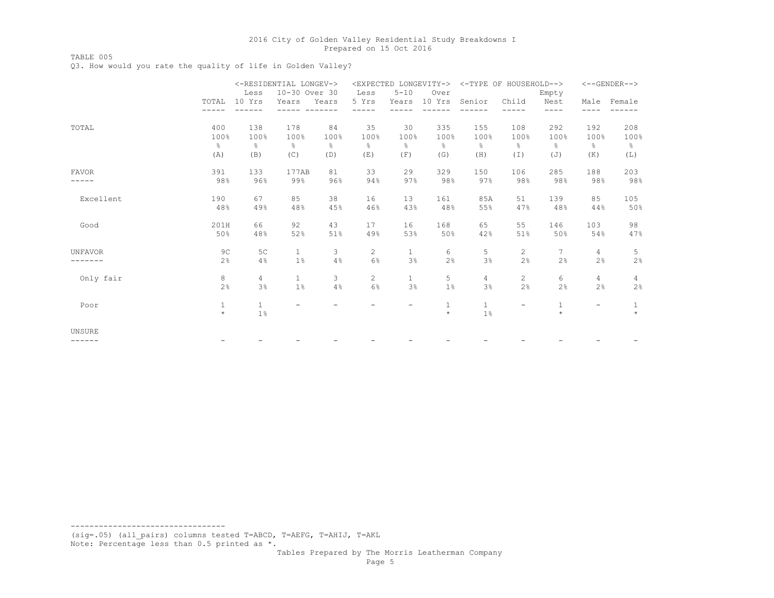## TABLE 005

Q3. How would you rate the quality of life in Golden Valley?

|                |                |                | <-RESIDENTIAL LONGEV->   |               |                       |                          |             | <expected longevity-=""> &lt;-TYPE OF HOUSEHOLD--&gt;</expected> |                          |               |                          | $\leftarrow$ -GENDER--> |
|----------------|----------------|----------------|--------------------------|---------------|-----------------------|--------------------------|-------------|------------------------------------------------------------------|--------------------------|---------------|--------------------------|-------------------------|
|                |                | Less           | 10-30 Over 30            |               | Less                  | $5 - 10$                 | Over        |                                                                  |                          | Empty         |                          |                         |
|                | TOTAL          | 10 Yrs         | Years                    | Years         | 5 Yrs                 | Years                    | 10 Yrs      | Senior                                                           | Child                    | Nest          | Male                     | Female                  |
|                |                |                |                          |               |                       |                          |             |                                                                  |                          | ----          | ----                     |                         |
| TOTAL          | 400            | 138            | 178                      | 84            | 35                    | 30                       | 335         | 155                                                              | 108                      | 292           | 192                      | 208                     |
|                | 100%           | 100%           | 100%                     | 100%          | 100%                  | 100%                     | 100%        | 100%                                                             | 100%                     | 100%          | 100%                     | 100%                    |
|                | ⊱              | ⊱              | $\frac{6}{6}$            | $\frac{6}{6}$ | g.                    | $\frac{6}{6}$            | ⊱           | ⊱                                                                | 옹                        | $\frac{6}{6}$ | $\frac{6}{6}$            | $\frac{6}{6}$           |
|                | (A)            | (B)            | (C)                      | (D)           | (E)                   | (F)                      | (G)         | (H)                                                              | $(\top)$                 | (J)           | (K)                      | (L)                     |
| FAVOR          | 391            | 133            | 177AB                    | 81            | 33                    | 29                       | 329         | 150                                                              | 106                      | 285           | 188                      | 203                     |
|                | 98%            | 96%            | 99%                      | 96%           | 94%                   | 97%                      | 98%         | 97%                                                              | 98%                      | 98%           | 98%                      | 98%                     |
| Excellent      | 190            | 67             | 85                       | 38            | 16                    | 13                       | 161         | 85A                                                              | 51                       | 139           | 85                       | 105                     |
|                | 48%            | 49%            | 48%                      | 45%           | 46%                   | 43%                      | 48%         | 55%                                                              | 47%                      | 48%           | 44%                      | 50%                     |
| Good           | 201H           | 66             | 92                       | 43            | 17                    | 16                       | 168         | 65                                                               | 55                       | 146           | 103                      | 98                      |
|                | 50%            | 48%            | 52%                      | 51%           | 49%                   | 53%                      | 50%         | 42%                                                              | 51%                      | 50%           | 54%                      | 47%                     |
| <b>UNFAVOR</b> | 9 <sup>C</sup> | 5C             | $\mathbf{1}$             | 3             | $\mathbf{2}^{\prime}$ | $\mathbf{1}$             | 6           | 5                                                                | $\mathbf{2}^{\prime}$    | $7^{\circ}$   | 4                        | 5                       |
|                | 2%             | 4%             | 1%                       | 4%            | 6%                    | 3%                       | 2%          | 3%                                                               | 2%                       | 2%            | 2%                       | 2%                      |
| Only fair      | 8              | $\overline{4}$ | $\mathbf{1}$             | $\mathbf{3}$  | $\mathbf{2}^{\prime}$ | $\mathbf{1}$             | 5           | $\overline{4}$                                                   | $\overline{2}$           | 6             | $\overline{4}$           | 4                       |
|                | 2%             | 3%             | 1%                       | 4%            | 6%                    | 3%                       | 1%          | 3%                                                               | 2%                       | 2%            | 2%                       | 2%                      |
| Poor           | $\mathbf{1}$   | $\mathbf{1}$   | $\overline{\phantom{0}}$ |               |                       | $\overline{\phantom{a}}$ | $\mathbf 1$ | $\mathbf{1}$                                                     | $\overline{\phantom{0}}$ | $\mathbf{1}$  | $\overline{\phantom{a}}$ | 1                       |
|                | $\star$        | 1%             |                          |               |                       |                          | $\star$     | $1\%$                                                            |                          | $\star$       |                          | $\star$                 |
| UNSURE         |                |                |                          |               |                       |                          |             |                                                                  |                          |               |                          |                         |
| ------         |                |                |                          |               |                       |                          |             |                                                                  |                          |               |                          |                         |

--------------------------------- (sig=.05) (all\_pairs) columns tested T=ABCD, T=AEFG, T=AHIJ, T=AKL Note: Percentage less than 0.5 printed as \*.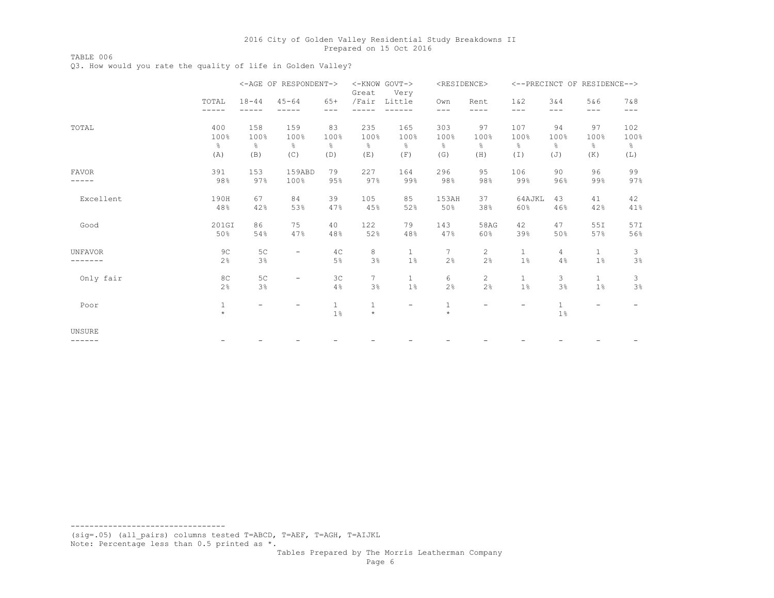TABLE 006

Q3. How would you rate the quality of life in Golden Valley?

|                  |                          |                          | <-AGE OF RESPONDENT->               |                                    | <-KNOW GOVT-><br>Great              | Very                                | <residence></residence> |                          |                                     |                                    | <--PRECINCT OF RESIDENCE-->        |                                     |
|------------------|--------------------------|--------------------------|-------------------------------------|------------------------------------|-------------------------------------|-------------------------------------|-------------------------|--------------------------|-------------------------------------|------------------------------------|------------------------------------|-------------------------------------|
|                  | TOTAL<br>-----           | $18 - 44$                | $45 - 64$                           | $65+$<br>$---$                     | /Fair                               | Little                              | Own<br>$---$            | Rent<br>----             | 1 & 2<br>$---$                      | 3&4<br>$- - -$                     | 5&6<br>---                         | 7 & 8<br>$---$                      |
| TOTAL            | 400<br>100%<br>န္<br>(A) | 158<br>100%<br>g.<br>(B) | 159<br>100%<br>$\frac{6}{6}$<br>(C) | 83<br>100%<br>$\frac{6}{6}$<br>(D) | 235<br>100%<br>$\frac{6}{6}$<br>(E) | 165<br>100%<br>$\frac{6}{6}$<br>(F) | 303<br>100%<br>⊱<br>(G) | 97<br>100%<br>⊱<br>(H)   | 107<br>100%<br>$\frac{6}{6}$<br>(T) | 94<br>100%<br>$\frac{6}{6}$<br>(J) | 97<br>100%<br>$\frac{6}{6}$<br>(K) | 102<br>100%<br>$\frac{6}{6}$<br>(L) |
| <b>FAVOR</b>     | 391<br>98%               | 153<br>97%               | 159ABD<br>100%                      | 79<br>95%                          | 227<br>97%                          | 164<br>99%                          | 296<br>98%              | 95<br>98%                | 106<br>99%                          | 90<br>96%                          | 96<br>99%                          | 99<br>97%                           |
| Excellent        | 190H<br>48%              | 67<br>42%                | 84<br>53%                           | 39<br>47%                          | 105<br>45%                          | 85<br>52%                           | 153AH<br>50%            | 37<br>38%                | 64AJKL<br>60%                       | 43<br>46%                          | 41<br>42%                          | 42<br>41%                           |
| Good             | 201GI<br>50%             | 86<br>54%                | 75<br>47%                           | 40<br>48%                          | 122<br>52%                          | 79<br>48%                           | 143<br>47%              | 58AG<br>60%              | 42<br>39%                           | 47<br>50%                          | 55I<br>57%                         | 57I<br>56%                          |
| <b>UNFAVOR</b>   | 9 <sup>C</sup><br>2%     | 5C<br>3%                 |                                     | 4C<br>$5\%$                        | 8<br>3%                             | $\mathbf{1}$<br>1%                  | $\overline{7}$<br>2%    | 2<br>2%                  | $\mathbf{1}$<br>$1\%$               | 4<br>4%                            | $\mathbf{1}$<br>1%                 | 3<br>3%                             |
| Only fair        | 8C<br>2%                 | 5C<br>3%                 | -                                   | 3 <sup>c</sup><br>4%               | 7<br>3%                             | $\mathbf{1}$<br>$1\%$               | 6<br>2%                 | $\overline{c}$<br>2%     | $\mathbf{1}$<br>1%                  | 3<br>3%                            | $\mathbf{1}$<br>1%                 | 3<br>3%                             |
| Poor             | $\mathbf 1$<br>$\star$   | $\equiv$                 |                                     | 1<br>$1\%$                         | $\mathbf 1$<br>$\star$              | $\overline{\phantom{m}}$            | $\mathbf{1}$<br>$\star$ | $\overline{\phantom{a}}$ |                                     | $\mathbf{1}$<br>$1\%$              | $\overline{\phantom{m}}$           |                                     |
| UNSURE<br>------ |                          |                          |                                     |                                    |                                     |                                     |                         |                          |                                     |                                    |                                    |                                     |

--------------------------------- (sig=.05) (all\_pairs) columns tested T=ABCD, T=AEF, T=AGH, T=AIJKL Note: Percentage less than 0.5 printed as \*.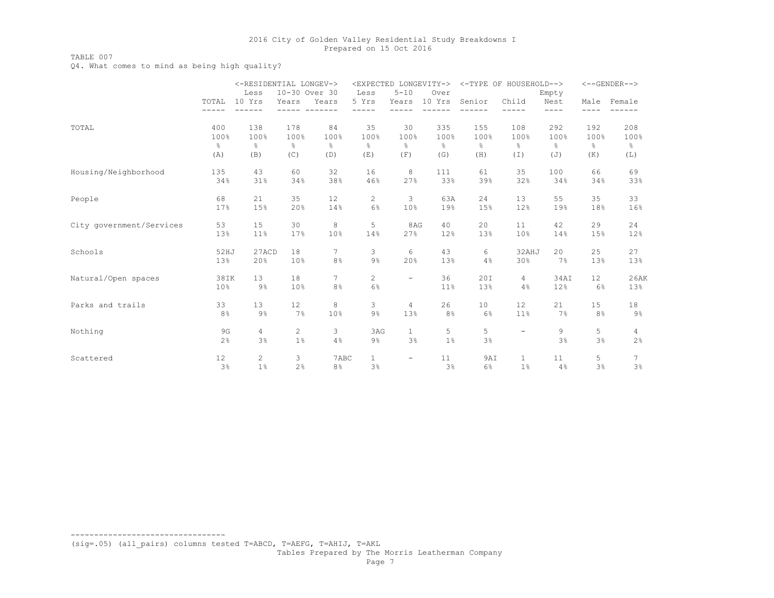## TABLE 007

Q4. What comes to mind as being high quality?

|                          |               | <-RESIDENTIAL LONGEV-> |               |               |                       | <expected longevity-=""></expected> |                |               | <-TYPE OF HOUSEHOLD-->   |               |           | $<$ --GENDER--> |
|--------------------------|---------------|------------------------|---------------|---------------|-----------------------|-------------------------------------|----------------|---------------|--------------------------|---------------|-----------|-----------------|
|                          |               | Less                   | 10-30 Over 30 |               | Less                  | $5 - 10$                            | Over           |               |                          | Empty         |           |                 |
|                          | TOTAL         | 10 Yrs                 | Years         | Years         | 5 Yrs                 | Years                               | 10 Yrs         | Senior        | Child                    | Nest          | Male      | Female          |
|                          | $- - - - - -$ | ------                 |               |               | $- -$                 | -----                               |                |               | -----                    | ----          | $- - - -$ |                 |
| TOTAL                    | 400           | 138                    | 178           | 84            | 35                    | 30                                  | 335            | 155           | 108                      | 292           | 192       | 208             |
|                          | 100%          | 100%                   | 100%          | 100%          | 100%                  | 100%                                | 100%           | 100%          | 100%                     | 100%          | 100%      | 100%            |
|                          | $\frac{6}{6}$ | $\frac{6}{6}$          | $\frac{6}{6}$ | $\frac{6}{6}$ | $\frac{6}{6}$         | $\frac{6}{6}$                       | $\frac{6}{6}$  | $\frac{6}{6}$ | $\frac{6}{6}$            | $\frac{6}{5}$ | g.        | $\frac{6}{6}$   |
|                          | (A)           | (B)                    | (C)           | (D)           | (E)                   | (F)                                 | (G)            | (H)           | (I)                      | (J)           | (K)       | (L)             |
| Housing/Neighborhood     | 135           | 43                     | 60            | 32            | 16                    | 8                                   | 111            | 61            | 35                       | 100           | 66        | 69              |
|                          | 34%           | 31%                    | 34%           | 38%           | 46%                   | 27%                                 | 33%            | 39%           | 32%                      | 34%           | 34%       | 33%             |
| People                   | 68            | 21                     | 35            | 12            | 2                     | 3                                   | 63A            | 24            | 13                       | 55            | 35        | 33              |
|                          | 17%           | 15%                    | 20%           | 14%           | 6%                    | 10%                                 | 19%            | 15%           | 12%                      | 19%           | 18%       | 16%             |
| City government/Services | 53            | 15                     | 30            | 8             | 5                     | 8AG                                 | 40             | 20            | 11                       | 42            | 29        | 24              |
|                          | 13%           | 11%                    | 17%           | 10%           | 14%                   | 27%                                 | 12%            | 13%           | 10%                      | 14%           | 15%       | 12%             |
| Schools                  | 52HJ          | 27ACD                  | 18            | 7             | 3                     | 6                                   | 43             | 6             | 32AHJ                    | 20            | 25        | 27              |
|                          | 13%           | 20%                    | 10%           | 8%            | 9%                    | 20%                                 | 13%            | 4%            | 30%                      | $7\%$         | 13%       | 13%             |
| Natural/Open spaces      | 38IK          | 13                     | 18            | 7             | $\mathbf{2}^{\prime}$ | $-$                                 | 36             | 20I           | $\overline{4}$           | 34AI          | 12        | 26AK            |
|                          | 10%           | $9\%$                  | 10%           | 8%            | 6%                    |                                     | 11%            | 13%           | 4%                       | 12%           | 6%        | 13%             |
| Parks and trails         | 33            | 13                     | 12            | 8             | 3                     | $\overline{4}$                      | 26             | 10            | 12                       | 21            | 15        | 18              |
|                          | 8%            | $9\%$                  | 7%            | 10%           | $9\%$                 | 13%                                 | 8 <sup>°</sup> | $6\%$         | 11%                      | $7\%$         | 8%        | $9\%$           |
| Nothing                  | 9G            | $\overline{4}$         | $\mathbf{2}$  | 3             | 3AG                   | $\mathbf{1}$                        | 5              | 5             | $\overline{\phantom{0}}$ | 9             | 5         | 4               |
|                          | 2%            | 3%                     | 1%            | 4%            | $9\%$                 | 3%                                  | 1 <sup>°</sup> | 3%            |                          | 3%            | 3%        | 2%              |
| Scattered                | 12            | $\mathbf{2}^{\prime}$  | 3             | 7ABC          | $\mathbf{1}$          | -                                   | 11             | 9AI           | $\mathbf{1}$             | 11            | 5         | 7               |
|                          | 3%            | 1 <sup>°</sup>         | 2%            | 8%            | 3%                    |                                     | 3%             | 6%            | $1\%$                    | 4%            | 3%        | 3%              |

(sig=.05) (all\_pairs) columns tested T=ABCD, T=AEFG, T=AHIJ, T=AKL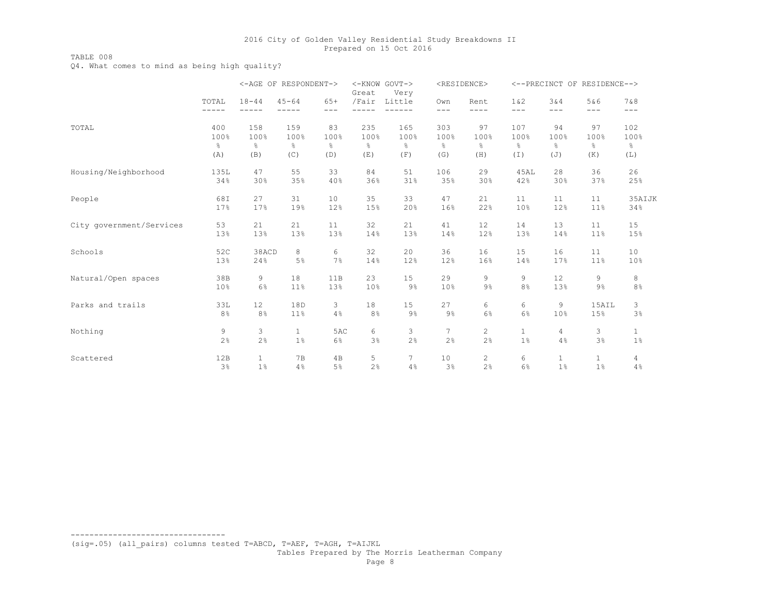## TABLE 008

Q4. What comes to mind as being high quality?

|                          |                |                    | <-AGE OF RESPONDENT-> |                | <-KNOW GOVT-><br>Great | Very          |                | <residence></residence> |                |                | <--PRECINCT OF RESIDENCE--> |                |
|--------------------------|----------------|--------------------|-----------------------|----------------|------------------------|---------------|----------------|-------------------------|----------------|----------------|-----------------------------|----------------|
|                          | TOTAL<br>----- | $18 - 44$<br>----- | $45 - 64$<br>-----    | $65+$<br>$---$ | /Fair<br>-----         | Little        | Own<br>$---$   | Rent<br>$- - - -$       | 1 & 2<br>$---$ | 3&4<br>$---$   | 5&6<br>$---$                | 7 & 8<br>$---$ |
| TOTAL                    | 400            | 158                | 159                   | 83             | 235                    | 165           | 303            | 97                      | 107            | 94             | 97                          | 102            |
|                          | 100%           | 100%               | 100%                  | 100%           | 100%                   | 100%          | 100%           | 100%                    | 100%           | 100%           | 100%                        | 100%           |
|                          | g.             | g                  | g.                    | $\frac{6}{6}$  | ⊱                      | $\frac{6}{6}$ | $\frac{6}{6}$  | $\frac{6}{6}$           | $\frac{6}{6}$  | g.             | $\frac{6}{6}$               | g.             |
|                          | (A)            | (B)                | (C)                   | (D)            | (E)                    | (F)           | (G)            | (H)                     | $(\top)$       | (J)            | (K)                         | (L)            |
| Housing/Neighborhood     | 135L           | 47                 | 55                    | 33             | 84                     | 51            | 106            | 29                      | 45AL           | 28             | 36                          | 26             |
|                          | 34%            | 30%                | 35%                   | 40%            | 36%                    | 31%           | 35%            | 30%                     | 42%            | 30%            | 37%                         | 25%            |
| People                   | 68I            | 27                 | 31                    | 10             | 35                     | 33            | 47             | 21                      | 11             | 11             | 11                          | 35AIJK         |
|                          | 17%            | 17%                | 19%                   | 12%            | 15%                    | 20%           | 16%            | 22%                     | 10%            | 12%            | 11%                         | 34%            |
| City government/Services | 53             | 21                 | 21                    | 11             | 32                     | 21            | 41             | 12                      | 14             | 13             | 11                          | 15             |
|                          | 13%            | 13%                | 13%                   | 13%            | 14%                    | 13%           | 14%            | 12%                     | 13%            | 14%            | 11%                         | 15%            |
| Schools                  | 52C            | 38ACD              | 8                     | 6              | 32                     | 20            | 36             | 16                      | 15             | 16             | 11                          | 10             |
|                          | 13%            | 24%                | 5%                    | 7%             | 14%                    | 12%           | 12%            | 16%                     | 14%            | 17%            | 11 <sup>°</sup>             | 10%            |
| Natural/Open spaces      | 38B            | 9                  | 18                    | 11B            | 23                     | 15            | 29             | 9                       | 9              | 12             | 9                           | 8              |
|                          | 10%            | 6%                 | 11%                   | 13%            | 10%                    | $9\%$         | 10%            | $9\%$                   | 8%             | 13%            | $9\frac{6}{6}$              | 8%             |
| Parks and trails         | 33L            | 12                 | 18D                   | 3              | 18                     | 15            | 27             | 6                       | 6              | 9              | 15AIL                       | 3              |
|                          | 8%             | 8 <sup>°</sup>     | 11%                   | 4%             | 8%                     | $9\%$         | 9%             | 6%                      | 6%             | 10%            | 15%                         | 3%             |
| Nothing                  | 9              | 3                  | $\mathbf{1}$          | 5AC            | 6                      | 3             | $\overline{7}$ | 2                       | $\mathbf{1}$   | $\overline{4}$ | 3                           | $\mathbf{1}$   |
|                          | 2%             | 2%                 | $1\%$                 | 6%             | 3%                     | 2%            | 2%             | 2%                      | $1\%$          | 4%             | 3%                          | $1\%$          |
| Scattered                | 12B            | $\mathbf{1}$       | 7B                    | 4B             | 5                      | 7             | 10             | 2                       | 6              | $\mathbf{1}$   | $\mathbf{1}$                | $\overline{4}$ |
|                          | 3%             | 1 <sup>°</sup>     | 4%                    | 5%             | 2%                     | 4%            | 3%             | 2%                      | 6%             | 1 <sup>°</sup> | 1 <sup>°</sup>              | 4%             |

(sig=.05) (all\_pairs) columns tested T=ABCD, T=AEF, T=AGH, T=AIJKL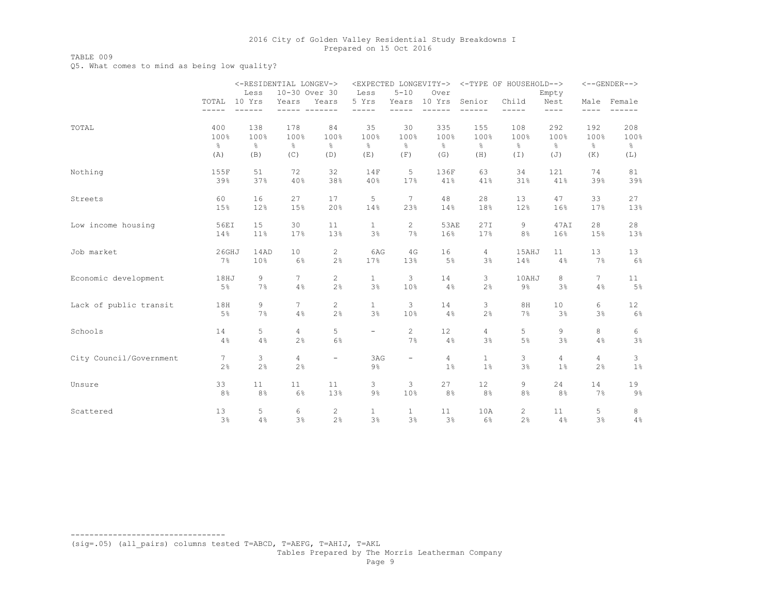## TABLE 009

Q5. What comes to mind as being low quality?

|                         | <-RESIDENTIAL LONGEV-> |        |                 |                          |                          |                           | <expected longevity-=""></expected> |                   | <-TYPE OF HOUSEHOLD--> |                |                 | $\leftarrow$ -GENDER--> |
|-------------------------|------------------------|--------|-----------------|--------------------------|--------------------------|---------------------------|-------------------------------------|-------------------|------------------------|----------------|-----------------|-------------------------|
|                         |                        | Less   | 10-30 Over 30   |                          | Less                     | $5 - 10$                  | Over                                |                   |                        | Empty          |                 |                         |
|                         | TOTAL                  | 10 Yrs | Years           | Years                    | 5 Yrs                    | Years                     | 10 Yrs                              | Senior            | Child                  | Nest           | Male            | Female                  |
|                         |                        |        |                 |                          |                          |                           |                                     |                   | -----                  | $- - - -$      | $---$           |                         |
| TOTAL                   | 400                    | 138    | 178             | 84                       | 35                       | 30                        | 335                                 | 155               | 108                    | 292            | 192             | 208                     |
|                         | 100%                   | 100%   | 100%            | 100%                     | 100%                     | 100%                      | 100%                                | 100%              | 100%                   | 100%           | 100%            | 100%                    |
|                         | g.                     | $\%$   | 옹               | e<br>8                   | $\frac{8}{6}$            | $\frac{6}{6}$             | $\frac{6}{6}$                       | $\frac{\circ}{6}$ | 옹                      | &              | $\epsilon$      | $\frac{6}{6}$           |
|                         | (A)                    | (B)    | (C)             | (D)                      | (E)                      | (F)                       | (G)                                 | (H)               | (I)                    | (J)            | (K)             | (L)                     |
| Nothing                 | 155F                   | 51     | 72              | 32                       | 14F                      | 5                         | 136F                                | 63                | 34                     | 121            | 74              | 81                      |
|                         | 39%                    | 37%    | 40%             | 38%                      | 40%                      | 17%                       | 41%                                 | 41%               | 31%                    | 41%            | 39%             | 39%                     |
| Streets                 | 60                     | 16     | 27              | 17                       | 5                        | $7\phantom{.0}$           | 48                                  | 28                | 13                     | 47             | 33              | 27                      |
|                         | 15%                    | 12%    | 15%             | 20%                      | 14%                      | 23%                       | 14%                                 | 18%               | 12%                    | 16%            | 17%             | 13%                     |
| Low income housing      | 56EI                   | 15     | 30              | 11                       | $\mathbf{1}$             | $\overline{2}$            | 53AE                                | 27I               | 9                      | 47AI           | 28              | 28                      |
|                         | 14%                    | 11%    | 17%             | 13%                      | $3\frac{6}{6}$           | 7%                        | 16%                                 | 17%               | 8%                     | 16%            | 15%             | 13%                     |
| Job market              | 26GHJ                  | 14AD   | 10              | $\overline{c}$           | 6AG                      | 4G                        | 16                                  | 4                 | 15AHJ                  | 11             | 13              | 13                      |
|                         | 7%                     | 10%    | $6\%$           | 2%                       | 17%                      | 13%                       | 5%                                  | 3%                | 14%                    | 4%             | 7%              | 6%                      |
| Economic development    | 18HJ                   | 9      | $7\overline{ }$ | $\overline{c}$           | $1\,$                    | 3                         | 14                                  | 3                 | 10AHJ                  | 8              | $7\overline{ }$ | 11                      |
|                         | 5%                     | 7%     | 4%              | 2%                       | 3%                       | 10%                       | 4%                                  | 2%                | $9\%$                  | 3%             | 4%              | 5%                      |
| Lack of public transit  | 18H                    | 9      | $7\overline{ }$ | $\overline{2}$           | $\mathbf{1}$             | 3                         | 14                                  | 3                 | 8H                     | 10             | 6               | 12                      |
|                         | 5%                     | 7%     | 4%              | 2%                       | 3%                       | 10%                       | 4%                                  | 2%                | 7%                     | 3%             | 3%              | $6\%$                   |
| Schools                 | 14                     | 5      | 4               | 5                        | $\overline{\phantom{0}}$ | $\mathbf{2}^{\mathsf{I}}$ | 12                                  | 4                 | 5                      | 9              | 8               | 6                       |
|                         | 4%                     | 4%     | 2%              | 6%                       |                          | 7%                        | 4%                                  | 3%                | $5\%$                  | 3%             | 4%              | 3%                      |
| City Council/Government | $7\phantom{.0}$        | 3      | $\overline{4}$  | $\overline{\phantom{a}}$ | 3AG                      | $\overline{\phantom{0}}$  | $\overline{4}$                      | $\mathbf{1}$      | 3                      | $\overline{4}$ | 4               | 3                       |
|                         | 2%                     | 2%     | 2%              |                          | $9\%$                    |                           | 1 <sup>°</sup>                      | 1%                | 3%                     | 1%             | 2%              | $1\%$                   |
| Unsure                  | 33                     | 11     | 11              | 11                       | 3                        | 3                         | 27                                  | 12                | 9                      | 24             | 14              | 19                      |
|                         | 8%                     | 8%     | 6%              | 13%                      | $9\%$                    | 10%                       | 8 <sup>°</sup>                      | 8%                | 8 <sup>°</sup>         | 8%             | 7%              | $9\%$                   |
| Scattered               | 13                     | 5      | 6               | 2                        | $\mathbf{1}$             | $\mathbf{1}$              | 11                                  | 10A               | $\mathbf{2}^{\prime}$  | 11             | 5               | 8                       |
|                         | 3%                     | 4%     | 3%              | 2%                       | 3%                       | 3%                        | 3%                                  | 6%                | 2%                     | 4%             | 3%              | 4%                      |

(sig=.05) (all\_pairs) columns tested T=ABCD, T=AEFG, T=AHIJ, T=AKL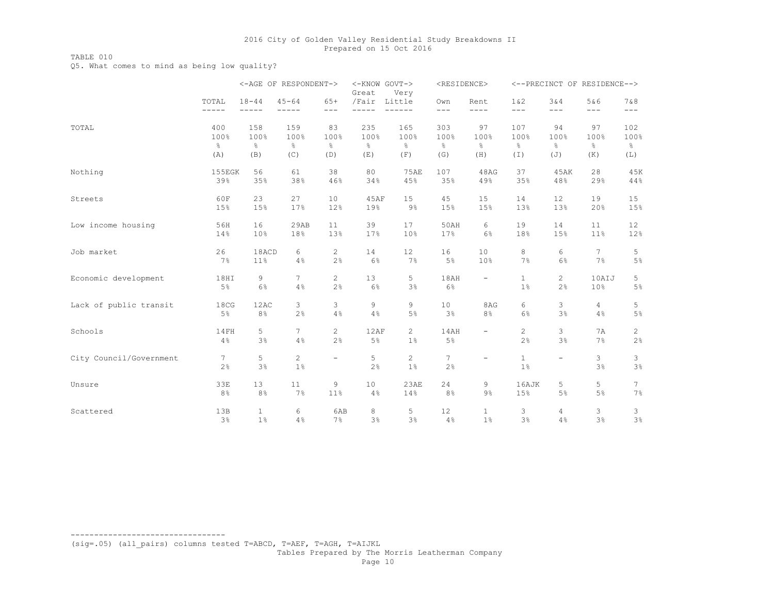TABLE 010

Q5. What comes to mind as being low quality?

|                         |                      |                    | <-AGE OF RESPONDENT-> |                       | <-KNOW GOVT-><br>Great | Very                      | <residence></residence> |                          |                |                          | <--PRECINCT OF RESIDENCE--> |                       |
|-------------------------|----------------------|--------------------|-----------------------|-----------------------|------------------------|---------------------------|-------------------------|--------------------------|----------------|--------------------------|-----------------------------|-----------------------|
|                         | TOTAL<br>$- - - - -$ | $18 - 44$<br>----- | $45 - 64$<br>$- - -$  | $65+$                 | /Fair                  | Little<br>------          | Own<br>$- - -$          | Rent<br>$- - - -$        | 1 & 2          | 3 & 4<br>$---$           | 5&6                         | 7&8                   |
|                         |                      |                    |                       | $---$                 |                        |                           |                         |                          | $---$          |                          | $---$                       | $---$                 |
| TOTAL                   | 400                  | 158                | 159                   | 83                    | 235                    | 165                       | 303                     | 97                       | 107            | 94                       | 97                          | 102                   |
|                         | 100%                 | 100%               | 100%                  | 100%                  | 100%                   | 100%                      | 100%                    | 100%                     | 100%           | 100%                     | 100%                        | 100%                  |
|                         | g.                   | $\%$               | $\frac{8}{6}$         | e,                    | န္                     | g.                        | ⊱                       | $\frac{8}{6}$            | 옹              | $\%$                     | g.                          | 옹                     |
|                         | (A)                  | (B)                | (C)                   | (D)                   | (E)                    | (F)                       | (G)                     | (H)                      | (I)            | (J)                      | (K)                         | (L)                   |
| Nothing                 | 155EGK               | 56                 | 61                    | 38                    | 80                     | <b>75AE</b>               | 107                     | 48AG                     | 37             | 45AK                     | 28                          | 45K                   |
|                         | 39%                  | 35%                | 38%                   | 46%                   | 34%                    | 45%                       | 35%                     | 49%                      | 35%            | 48%                      | 29%                         | 44%                   |
| Streets                 | 60F                  | 23                 | 27                    | 10                    | 45AF                   | 15                        | 45                      | 15                       | 14             | 12                       | 19                          | 15                    |
|                         | 15%                  | 15%                | 17%                   | 12%                   | 19%                    | $9\frac{6}{6}$            | 15%                     | 15%                      | 13%            | 13%                      | 20%                         | 15%                   |
| Low income housing      | 56H                  | 16                 | 29AB                  | 11                    | 39                     | 17                        | 50AH                    | 6                        | 19             | 14                       | 11                          | 12                    |
|                         | 14%                  | 10%                | 18%                   | 13%                   | 17%                    | 10%                       | 17%                     | 6%                       | 18%            | 15%                      | 11%                         | 12%                   |
| Job market              | 26                   | 18ACD              | 6                     | 2                     | 14                     | 12                        | 16                      | 10                       | 8              | 6                        | $7\phantom{.0}$             | 5                     |
|                         | 7%                   | 11%                | 4%                    | 2%                    | 6%                     | 7%                        | $5\%$                   | 10%                      | 7%             | 6%                       | 7%                          | $5\%$                 |
| Economic development    | 18HI                 | 9                  | $7\overline{ }$       | $\overline{c}$        | 13                     | 5                         | 18AH                    | $\overline{\phantom{0}}$ | $\mathbf{1}$   | $\mathbf{2}$             | 10AIJ                       | 5                     |
|                         | 5%                   | 6%                 | 4%                    | 2%                    | 6%                     | 3%                        | 6%                      |                          | $1\%$          | 2%                       | 10%                         | 5%                    |
| Lack of public transit  | 18CG                 | 12AC               | 3                     | 3                     | 9                      | 9                         | 10                      | 8AG                      | 6              | 3                        | 4                           | 5                     |
|                         | 5%                   | 8%                 | 2%                    | 4%                    | 4%                     | 5%                        | 3%                      | 8%                       | 6%             | 3%                       | 4%                          | 5%                    |
| Schools                 | 14FH                 | 5                  | $7\overline{ }$       | $\mathbf{2}^{\prime}$ | 12AF                   | $\mathbf{2}^{\mathsf{I}}$ | 14AH                    | $\overline{\phantom{0}}$ | $\overline{2}$ | 3                        | 7A                          | $\mathbf{2}^{\prime}$ |
|                         | 4%                   | 3%                 | 4%                    | 2%                    | 5%                     | 1%                        | 5%                      |                          | 2 <sup>°</sup> | 3%                       | 7%                          | 2%                    |
| City Council/Government | $7\phantom{.0}$      | 5                  | $\overline{2}$        | $\qquad \qquad -$     | 5                      | $\overline{c}$            | 7                       |                          | $\mathbf{1}$   | $\overline{\phantom{m}}$ | 3                           | 3                     |
|                         | 2%                   | 3%                 | $1\%$                 |                       | 2%                     | 1%                        | 2%                      |                          | $1\%$          |                          | 3%                          | 3%                    |
| Unsure                  | 33E                  | 13                 | 11                    | 9                     | 10                     | 23AE                      | 24                      | 9                        | 16AJK          | 5                        | 5                           | 7                     |
|                         | 8%                   | 8%                 | 7%                    | 11%                   | 4%                     | 14%                       | 8%                      | 9%                       | 15%            | 5%                       | 5%                          | 7%                    |
| Scattered               | 13B                  | $\mathbf{1}$       | 6                     | 6AB                   | 8                      | 5                         | 12                      | $\mathbf{1}$             | 3              | 4                        | 3                           | 3                     |
|                         | 3%                   | 1%                 | 4%                    | 7%                    | 3%                     | 3%                        | 4%                      | 1%                       | 3%             | 4%                       | 3%                          | 3%                    |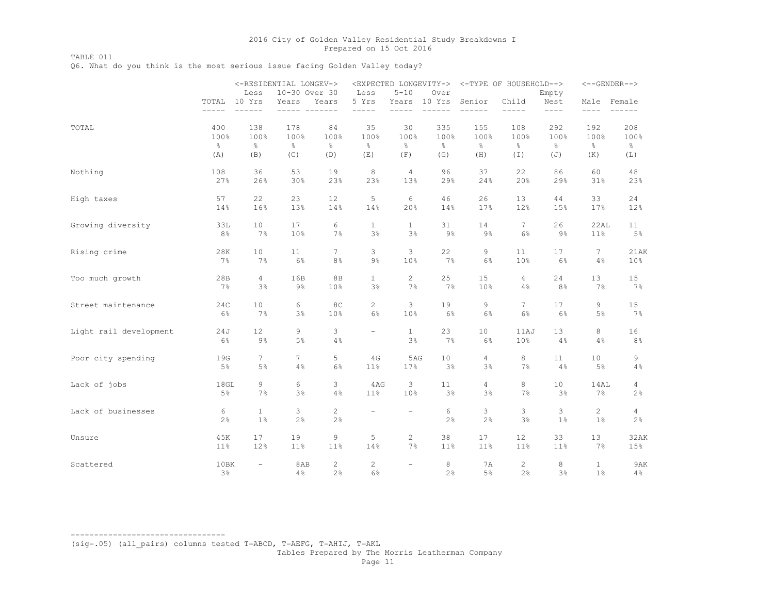TABLE 011

Q6. What do you think is the most serious issue facing Golden Valley today?

|                        |               | <-RESIDENTIAL LONGEV-><br>10-30 Over 30 |                      |                          |                              |                                  |                                 |                         | <expected longevity-=""> &lt;-TYPE OF HOUSEHOLD--&gt;</expected> |                              |                 | $<-$ -GENDER-->              |
|------------------------|---------------|-----------------------------------------|----------------------|--------------------------|------------------------------|----------------------------------|---------------------------------|-------------------------|------------------------------------------------------------------|------------------------------|-----------------|------------------------------|
|                        | $- - - - -$   | Less<br>TOTAL 10 Yrs<br>$- - - - - -$   | Years<br>$- - - - -$ | Years<br>$- - - - - - -$ | Less<br>5 Yrs<br>$- - - - -$ | $5 - 10$<br>Years<br>$- - - - -$ | Over<br>10 Yrs<br>$- - - - - -$ | Senior<br>$- - - - - -$ | Child<br>$- - - - -$                                             | Empty<br>Nest<br>$- - - - -$ | $- - - -$       | Male Female<br>$- - - - - -$ |
| TOTAL                  | 400           | 138                                     | 178                  | 84                       | 35                           | 30                               | 335                             | 155                     | 108                                                              | 292                          | 192             | 208                          |
|                        | 100%          | 100%                                    | 100%                 | 100%                     | 100%                         | 100%                             | 100%                            | 100%                    | 100%                                                             | 100%                         | 100%            | 100%                         |
|                        | $\frac{6}{6}$ | $\frac{6}{6}$                           | $\frac{8}{6}$        | $\frac{6}{6}$            | $\frac{6}{6}$                | $\frac{6}{6}$                    | $\frac{6}{6}$                   | $\frac{6}{6}$           | $\frac{6}{6}$                                                    | $\frac{8}{6}$                | $\frac{6}{6}$   | $\frac{6}{6}$                |
|                        | (A)           | (B)                                     | (C)                  | (D)                      | (E)                          | (F)                              | (G)                             | (H)                     | (I)                                                              | (J)                          | (K)             | (L)                          |
| Nothing                | 108           | 36                                      | 53                   | 19                       | 8                            | 4                                | 96                              | 37                      | 22                                                               | 86                           | 60              | 48                           |
|                        | 27%           | 26%                                     | 30 <sub>8</sub>      | 23%                      | 23%                          | 13%                              | 29%                             | 24%                     | 20%                                                              | 29%                          | 31%             | 23%                          |
| High taxes             | 57            | 22                                      | 23                   | 12                       | 5                            | 6                                | 46                              | 26                      | 13                                                               | 44                           | 33              | 24                           |
|                        | 14%           | 16%                                     | 13%                  | 14%                      | 14%                          | 20%                              | 14%                             | 17%                     | 12%                                                              | 15%                          | 17%             | 12 <sub>8</sub>              |
| Growing diversity      | 33L           | 10                                      | 17                   | 6                        | $\mathbf{1}$                 | $\mathbf{1}$                     | 31                              | 14                      | 7                                                                | 26                           | 22AL            | 11                           |
|                        | 8%            | 7%                                      | 10 <sub>8</sub>      | $7\%$                    | 3%                           | $3\%$                            | 9%                              | 9%                      | $6\%$                                                            | 9%                           | 11 <sub>8</sub> | $5\%$                        |
| Rising crime           | 28K           | 10 <sub>1</sub>                         | 11                   | $7^{\circ}$              | 3                            | 3                                | 22                              | 9                       | 11                                                               | 17                           | $7\overline{ }$ | 21AK                         |
|                        | 7%            | 7%                                      | $6\%$                | $8\frac{6}{6}$           | 9%                           | 10%                              | 7%                              | 6%                      | 10%                                                              | 6%                           | $4\,$           | 10 <sup>°</sup>              |
| Too much growth        | 28B           | $\overline{4}$                          | 16B                  | 8B                       | $\mathbf{1}$                 | $\overline{c}$                   | 25                              | 15                      | 4                                                                | 24                           | 13              | 15                           |
|                        | 7%            | 3%                                      | $9\%$                | 10%                      | $3\frac{6}{6}$               | 7%                               | 7%                              | 10%                     | $4\%$                                                            | 8%                           | 7%              | 7%                           |
| Street maintenance     | 24C           | 10                                      | 6                    | 8C                       | $\mathbf{2}^{\prime}$        | 3                                | 19                              | 9                       | $7\overline{ }$                                                  | 17                           | 9               | 15                           |
|                        | 6%            | 7%                                      | 3%                   | 10%                      | 6%                           | 10%                              | 6%                              | 6%                      | 6%                                                               | 6%                           | 5%              | 7%                           |
| Light rail development | 24J           | 12                                      | 9                    | 3                        | $\overline{\phantom{a}}$     | $\mathbf{1}$                     | 23                              | 10 <sub>1</sub>         | 11AJ                                                             | 13                           | 8               | 16                           |
|                        | $6\%$         | $9\%$                                   | 5%                   | 4%                       |                              | $3\%$                            | 7%                              | 6%                      | 10 <sup>°</sup>                                                  | 4%                           | 4%              | 8 <sup>°</sup>               |
| Poor city spending     | 19G           | 7                                       | 7                    | 5                        | 4 G                          | 5AG                              | 10                              | 4                       | 8                                                                | 11                           | 10              | 9                            |
|                        | 5%            | 5%                                      | 4%                   | 6%                       | 11%                          | 17%                              | 3%                              | $3\frac{6}{6}$          | 7%                                                               | 4%                           | $5\%$           | 4%                           |
| Lack of jobs           | 18GL          | 9                                       | 6                    | 3                        | 4AG                          | 3                                | 11 <sub>1</sub>                 | 4                       | 8                                                                | 10                           | 14AL            | 4                            |
|                        | 5%            | 7%                                      | 3%                   | 4%                       | $11\%$                       | 10%                              | 3%                              | $3\frac{6}{6}$          | 7%                                                               | 3%                           | 7%              | 2%                           |
| Lack of businesses     | 6             | $\mathbf{1}$                            | 3                    | $\overline{c}$           | $\overline{\phantom{a}}$     | $\overline{\phantom{a}}$         | 6                               | 3                       | 3                                                                | 3                            | $\overline{c}$  | 4                            |
|                        | 2%            | 1%                                      | 2%                   | 2%                       |                              |                                  | 2%                              | 2%                      | 3%                                                               | 1%                           | $1\%$           | 2%                           |
| Unsure                 | 45K           | 17                                      | 19                   | 9                        | 5                            | $\overline{c}$                   | 38                              | 17                      | 12                                                               | 33                           | 13              | 32AK                         |
|                        | $11\%$        | 12%                                     | 11%                  | 11%                      | 14%                          | $7\%$                            | 11%                             | 11%                     | 11%                                                              | 11%                          | $7\,$           | 15%                          |
| Scattered              | 10BK          | $\overline{\phantom{a}}$                | 8AB                  | 2                        | 2                            | $\qquad \qquad -$                | 8                               | 7A                      | $\mathbf{2}^{\prime}$                                            | 8                            | $\mathbf{1}$    | 9AK                          |
|                        | 3%            |                                         | 4%                   | 2%                       | 6%                           |                                  | 2%                              | $5\%$                   | 2%                                                               | 3%                           | 1%              | $4\,$                        |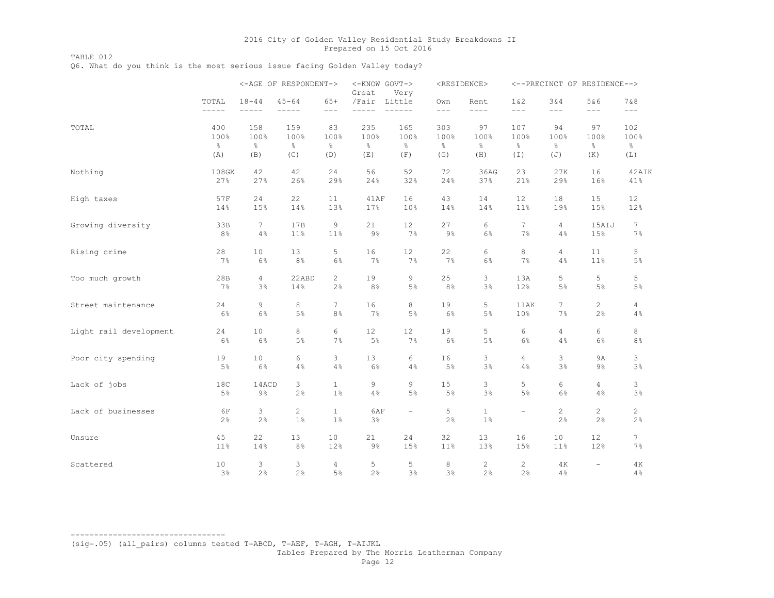TABLE 012 Q6. What do you think is the most serious issue facing Golden Valley today?

|                        |             |                                 | <-AGE OF RESPONDENT-> |                       | <-KNOW GOVT-><br>Great | Very                     |               | <residence></residence> |                                 |                             | <--PRECINCT OF RESIDENCE--> |                       |
|------------------------|-------------|---------------------------------|-----------------------|-----------------------|------------------------|--------------------------|---------------|-------------------------|---------------------------------|-----------------------------|-----------------------------|-----------------------|
|                        | TOTAL       | $18 - 44$                       | $45 - 64$             | $65+$                 | /Fair Little           | $- -$                    | Own           | Rent                    | $1\&2$                          | 3&4                         | 5&6                         | 7&8                   |
|                        | $- - - - -$ | $- - - - -$                     | -----                 | $- - -$               | $- - - - -$            | $\qquad \qquad - -$      | $---$         | $- - - -$               | $---$                           | $---$                       | $- - -$                     | $---$                 |
| TOTAL                  | 400         | 158                             | 159                   | 83                    | 235                    | 165                      | 303           | 97                      | 107                             | 94                          | 97                          | 102                   |
|                        | 100%        | 100%                            | 100%                  | 100%                  | 100%                   | 100%                     | 100%          | 100%                    | 100%                            | 100%                        | 100%                        | 100%                  |
|                        | $\%$        | $\frac{\mathsf{O}}{\mathsf{O}}$ | $\frac{\circ}{\circ}$ | $\frac{\circ}{6}$     | $\%$                   | $\frac{6}{6}$            | $\frac{6}{6}$ | $\frac{\circ}{6}$       | $\frac{\mathsf{O}}{\mathsf{O}}$ | $\frac{\circ}{6}$           | $\frac{6}{6}$               | $\frac{\circ}{\circ}$ |
|                        | (A)         | (B)                             | (C)                   | (D)                   | (E)                    | (F)                      | (G)           | (H)                     | (T)                             | (J)                         | (K)                         | (L)                   |
| Nothing                | 108GK       | 42                              | 42                    | 24                    | 56                     | 52                       | 72            | 36AG                    | 23                              | 27K                         | 16                          | 42AIK                 |
|                        | 27%         | 27%                             | 26%                   | 29%                   | 24%                    | 32%                      | 24%           | 37%                     | 21%                             | 29%                         | 16%                         | 41%                   |
| High taxes             | 57F         | 24                              | 22                    | 11                    | 41AF                   | 16                       | 43            | 14                      | 12                              | 18                          | 15                          | 12                    |
|                        | 14%         | 15%                             | 14%                   | 13%                   | 17%                    | 10%                      | 14%           | 14%                     | 11%                             | 19%                         | 15%                         | 12%                   |
| Growing diversity      | 33B         | $7\phantom{.}$                  | 17B                   | 9                     | 21                     | 12                       | 27            | 6                       | 7                               | 4                           | 15AIJ                       | $7\phantom{.0}$       |
|                        | 8%          | 4%                              | $11\%$                | 11%                   | $9\%$                  | 7%                       | $9\%$         | 6%                      | 7%                              | 4%                          | 15%                         | 7%                    |
| Rising crime           | 28          | 10                              | 13                    | 5                     | 16                     | 12                       | 22            | 6                       | 8                               | $\overline{4}$              | 11                          | 5                     |
|                        | 7%          | 6%                              | 8%                    | 6%                    | 7%                     | 7%                       | 7%            | 6%                      | 7%                              | 4%                          | 11%                         | 5%                    |
| Too much growth        | 28B         | $\overline{4}$                  | 22ABD                 | $\mathbf{2}^{\prime}$ | 19                     | 9                        | 25            | 3                       | 13A                             | 5                           | 5                           | 5                     |
|                        | 7%          | 3%                              | 14%                   | 2%                    | 8%                     | 5%                       | 8%            | $3\%$                   | 12%                             | 5%                          | 5%                          | 5%                    |
| Street maintenance     | 24          | 9                               | 8                     | 7                     | 16                     | 8                        | 19            | 5                       | 11AK                            | $7^{\circ}$                 | $\mathbf{2}^{\prime}$       | $\overline{4}$        |
|                        | $6\%$       | $6\%$                           | $5\%$                 | 8%                    | 7%                     | 5%                       | 6%            | $5\%$                   | 10%                             | 7%                          | 2%                          | 4%                    |
| Light rail development | 24          | 10                              | 8                     | 6                     | 12                     | 12                       | 19            | 5                       | 6                               | 4                           | 6                           | 8                     |
|                        | 6%          | 6%                              | $5\%$                 | 7%                    | 5%                     | 7%                       | 6%            | $5\%$                   | $6\%$                           | 4%                          | $6\%$                       | 8 <sup>°</sup>        |
| Poor city spending     | 19          | 10                              | 6                     | 3                     | 13                     | 6                        | 16            | 3                       | 4                               | 3                           | 9A                          | 3                     |
|                        | 5%          | 6%                              | 4%                    | 4%                    | 6%                     | 4%                       | 5%            | $3\%$                   | 4%                              | 3%                          | $9\%$                       | 3%                    |
| Lack of jobs           | 18C         | 14ACD                           | 3                     | $\mathbf{1}$          | 9                      | 9                        | 15            | 3                       | 5                               | 6                           | 4                           | 3                     |
|                        | $5\%$       | $9\frac{6}{6}$                  | 2%                    | 1%                    | 4%                     | 5%                       | 5%            | 3%                      | 5%                              | 6%                          | 4%                          | 3%                    |
| Lack of businesses     | 6F<br>2%    | 3<br>2%                         | $\overline{c}$<br>1%  | $\mathbf{1}$<br>$1\%$ | 6AF<br>3%              | $\overline{\phantom{a}}$ | 5<br>2%       | $\mathbf{1}$<br>1%      | $\overline{\phantom{0}}$        | $\mathbf{2}^{\prime}$<br>2% | 2<br>2%                     | 2<br>2%               |
| Unsure                 | 45          | 22                              | 13                    | 10                    | 21                     | 24                       | 32            | 13                      | 16                              | 10 <sub>1</sub>             | 12                          | 7                     |
|                        | 11%         | 14%                             | 8%                    | 12%                   | $9\frac{6}{6}$         | 15%                      | 11%           | 13%                     | 15%                             | 11%                         | 12%                         | 7%                    |
| Scattered              | 10<br>3%    | 3<br>2%                         | 3<br>2%               | 4<br>5%               | 5<br>2%                | 5<br>3%                  | 8<br>3%       | 2<br>2%                 | 2<br>2%                         | 4K<br>4%                    | $\overline{\phantom{m}}$    | 4Κ<br>4%              |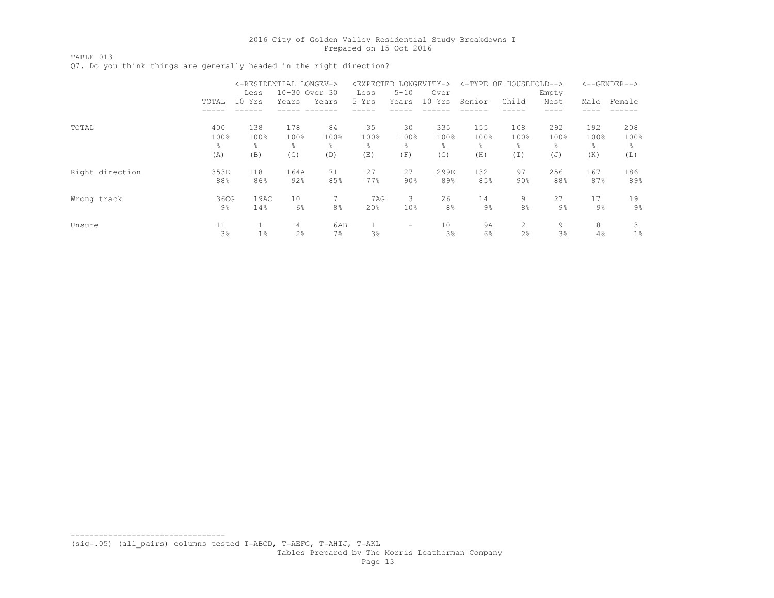TABLE 013

Q7. Do you think things are generally headed in the right direction?

|                 |                | <-RESIDENTIAL LONGEV-> |       |                | <expected< th=""><th></th><th>LONGEVITY-&gt;</th><th></th><th>&lt;-TYPE OF HOUSEHOLD--&gt;</th><th></th><th></th><th><math>&lt;-</math>-GENDER--&gt;</th></expected<> |                   | LONGEVITY->    |        | <-TYPE OF HOUSEHOLD--> |       |       | $<-$ -GENDER--> |
|-----------------|----------------|------------------------|-------|----------------|-----------------------------------------------------------------------------------------------------------------------------------------------------------------------|-------------------|----------------|--------|------------------------|-------|-------|-----------------|
|                 |                | Less                   |       | 10-30 Over 30  | Less                                                                                                                                                                  | $5 - 10$          | Over           |        |                        | Empty |       |                 |
|                 | TOTAL          | 10 Yrs                 | Years | Years          | 5 Yrs                                                                                                                                                                 | Years             | 10 Yrs         | Senior | Child                  | Nest  | Male  | Female          |
|                 |                |                        |       |                |                                                                                                                                                                       |                   |                |        |                        |       |       |                 |
| TOTAL           | 400            | 138                    | 178   | 84             | 35                                                                                                                                                                    | 30                | 335            | 155    | 108                    | 292   | 192   | 208             |
|                 | 100%           | 100%                   | 100%  | 100%           | 100%                                                                                                                                                                  | 100%              | 100%           | 100%   | 100%                   | 100%  | 100%  | 100%            |
|                 | $\frac{6}{10}$ | ⊱                      | ٩,    | 옹              | ⊱                                                                                                                                                                     | 옹                 | $\frac{6}{10}$ | ⊱      | ⊱                      | ٩,    | g.    | g.              |
|                 | (A)            | (B)                    | (C)   | (D)            | (E)                                                                                                                                                                   | (F)               | (G)            | (H)    | (I)                    | (J)   | (K)   | (L)             |
| Right direction | 353E           | 118                    | 164A  | 71             | 27                                                                                                                                                                    | 27                | 299E           | 132    | 97                     | 256   | 167   | 186             |
|                 | 88%            | 86%                    | 92%   | 85%            | 77%                                                                                                                                                                   | 90%               | 89%            | 85%    | 90%                    | 88%   | 87%   | 89%             |
| Wrong track     | 36CG           | 19AC                   | 10    |                | 7AG                                                                                                                                                                   | 3                 | 26             | 14     | 9                      | 27    | 17    | 19              |
|                 | 9%             | 14%                    | $6\%$ | 8 <sup>°</sup> | 20%                                                                                                                                                                   | 10 <sup>°</sup>   | 8 <sup>°</sup> | 9%     | 8 <sup>°</sup>         | $9\%$ | $9\%$ | 9%              |
| Unsure          | 11             |                        | 4     | 6AB            |                                                                                                                                                                       | $\qquad \qquad -$ | 10             | 9A     | 2                      | 9     | 8     | 3               |
|                 | 3%             | 1%                     | 2%    | 7%             | 3%                                                                                                                                                                    |                   | 3%             | 6%     | 2%                     | 3%    | 4%    | $1\%$           |

(sig=.05) (all\_pairs) columns tested T=ABCD, T=AEFG, T=AHIJ, T=AKL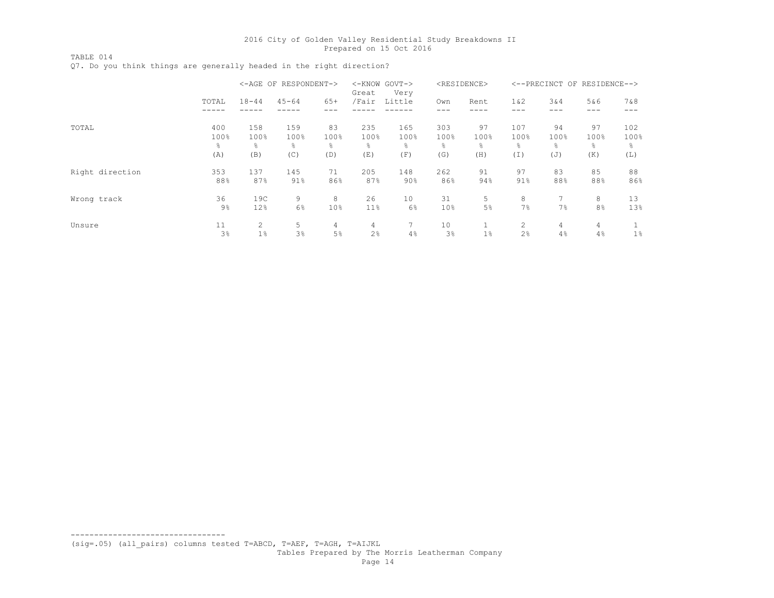TABLE 014 Q7. Do you think things are generally headed in the right direction?

|                 |                         |                         | <-AGE OF RESPONDENT->    |                         | $<$ -KNOW<br>Great      | GOVT-><br>Very           |                          | <residence></residence> | <--PRECINCT             | OF                     | RESIDENCE-->           |                         |
|-----------------|-------------------------|-------------------------|--------------------------|-------------------------|-------------------------|--------------------------|--------------------------|-------------------------|-------------------------|------------------------|------------------------|-------------------------|
|                 | TOTAL                   | $18 - 44$               | $45 - 64$                | $65+$                   | /Fair                   | Little                   | Own                      | Rent                    | 1 & 2<br>---            | 3&4<br>---             | 5&6<br>---             | 7 & 8                   |
| TOTAL           | 400<br>100%<br>š<br>(A) | 158<br>100%<br>⊱<br>(B) | 159<br>100%<br>g.<br>(C) | 83<br>100%<br>g.<br>(D) | 235<br>100%<br>⊱<br>(E) | 165<br>100%<br>g.<br>(F) | 303<br>100%<br>g.<br>(G) | 97<br>100%<br>g.<br>(H) | 107<br>100%<br>옹<br>(I) | 94<br>100%<br>⊱<br>(J) | 97<br>100%<br>g<br>(K) | 102<br>100%<br>응<br>(L) |
| Right direction | 353<br>88%              | 137<br>87%              | 145<br>91%               | 71<br>86%               | 205<br>87%              | 148<br>90%               | 262<br>86%               | 91<br>94%               | 97<br>91%               | 83<br>88%              | 85<br>88%              | 88<br>86%               |
| Wrong track     | 36<br>$9\%$             | 19C<br>12%              | 9<br>6%                  | 8<br>10 <sup>°</sup>    | 26<br>11%               | 10<br>6%                 | 31<br>10%                | 5<br>5%                 | 8<br>7%                 | 7%                     | 8<br>8 <sup>°</sup>    | 13<br>13%               |
| Unsure          | 11<br>3%                | 2<br>1%                 | 5<br>3%                  | 4<br>5%                 | 4<br>2%                 | 7<br>4%                  | 10<br>3%                 | 1%                      | 2<br>2%                 | 4<br>4%                | 4<br>4%                | $1\%$                   |

(sig=.05) (all\_pairs) columns tested T=ABCD, T=AEF, T=AGH, T=AIJKL

---------------------------------

Tables Prepared by The Morris Leatherman Company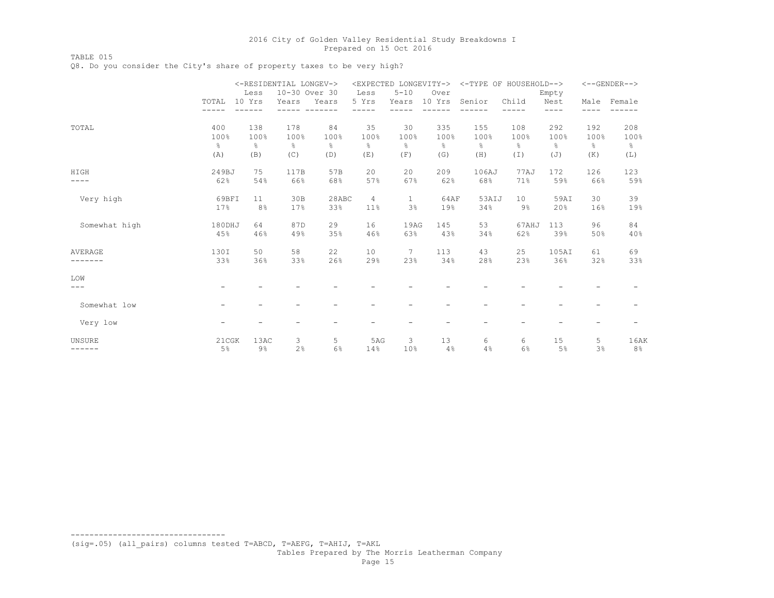## TABLE 015

Q8. Do you consider the City's share of property taxes to be very high?

|               |               |                | <-RESIDENTIAL LONGEV-> |               |                |                | <expected longevity-=""></expected> | <-TYPE OF HOUSEHOLD--> |       |               |      | $<-$ -GENDER--> |
|---------------|---------------|----------------|------------------------|---------------|----------------|----------------|-------------------------------------|------------------------|-------|---------------|------|-----------------|
|               |               | Less           | 10-30 Over 30          |               | Less           | $5 - 10$       | Over                                |                        |       | Empty         |      |                 |
|               | TOTAL         | 10 Yrs         | Years                  | Years         | 5 Yrs          | Years          | 10 Yrs                              | Senior                 | Child | Nest          | Male | Female          |
|               |               |                |                        |               |                |                |                                     |                        |       | $- - -$       |      |                 |
| TOTAL         | 400           | 138            | 178                    | 84            | 35             | 30             | 335                                 | 155                    | 108   | 292           | 192  | 208             |
|               | 100%          | 100%           | 100%                   | 100%          | 100%           | 100%           | 100%                                | 100%                   | 100%  | 100%          | 100% | 100%            |
|               | $\frac{6}{5}$ | $\frac{6}{6}$  | 옹                      | $\frac{6}{6}$ | g.             | $\frac{6}{6}$  | $\frac{6}{6}$                       | 옹                      | 옹     | $\frac{6}{5}$ | &    | $\frac{6}{6}$   |
|               | (A)           | (B)            | (C)                    | (D)           | (E)            | (F)            | (G)                                 | (H)                    | (T)   | (J)           | (K)  | (L)             |
| HIGH          | 249BJ         | 75             | 117B                   | 57B           | 20             | 20             | 209                                 | 106AJ                  | 77AJ  | 172           | 126  | 123             |
| ----          | 62%           | 54%            | 66%                    | 68%           | 57%            | 67%            | 62%                                 | 68%                    | 71%   | 59%           | 66%  | 59%             |
| Very high     | 69BFI         | 11             | 30B                    | 28ABC         | $\overline{4}$ | $\mathbf{1}$   | 64AF                                | 53AIJ                  | 10    | 59AI          | 30   | 39              |
|               | 17%           | 8 <sup>°</sup> | 17%                    | 33%           | 11%            | 3%             | 19%                                 | 34%                    | $9\%$ | 20%           | 16%  | 19%             |
| Somewhat high | 180DHJ        | 64             | 87D                    | 29            | 16             | 19AG           | 145                                 | 53                     | 67AHJ | 113           | 96   | 84              |
|               | 45%           | 46%            | 49%                    | 35%           | 46%            | 63%            | 43%                                 | 34%                    | 62%   | 39%           | 50%  | 40%             |
| AVERAGE       | 130I          | 50             | 58                     | 22            | 10             | $7\phantom{.}$ | 113                                 | 43                     | 25    | 105AI         | 61   | 69              |
|               | 33%           | 36%            | 33%                    | 26%           | 29%            | 23%            | 34%                                 | 28%                    | 23%   | 36%           | 32%  | 33%             |
| LOW           |               |                |                        |               |                |                |                                     |                        |       |               |      |                 |
| ---           |               |                |                        |               |                |                |                                     |                        |       |               |      |                 |
| Somewhat low  |               |                |                        |               |                |                |                                     |                        |       |               |      |                 |
| Very low      |               |                |                        |               |                |                |                                     |                        |       |               |      |                 |
| UNSURE        | 21CGK         | 13AC           | 3                      | 5             | 5AG            | 3              | 13                                  | 6                      | 6     | 15            | 5    | 16AK            |
| ------        | 5%            | $9\%$          | 2%                     | 6%            | 14%            | 10%            | 4%                                  | 4%                     | 6%    | 5%            | 3%   | 8%              |

(sig=.05) (all\_pairs) columns tested T=ABCD, T=AEFG, T=AHIJ, T=AKL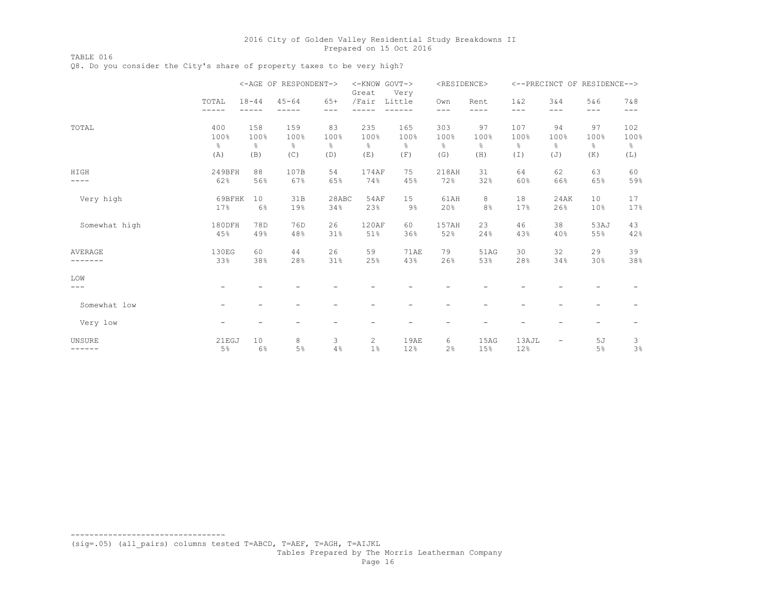TABLE 016 Q8. Do you consider the City's share of property taxes to be very high?

|               |        |           | <-AGE OF RESPONDENT-> |       | <-KNOW GOVT-><br>Great   | Very                     | <residence></residence> |      |       |                   | <--PRECINCT OF RESIDENCE--> |               |
|---------------|--------|-----------|-----------------------|-------|--------------------------|--------------------------|-------------------------|------|-------|-------------------|-----------------------------|---------------|
|               | TOTAL  | $18 - 44$ | $45 - 64$             | $65+$ | /Fair                    | Little                   | Own                     | Rent | 1 & 2 | 3&4<br>$---$      | 5&6                         | 7 & 8         |
|               | -----  |           |                       | $---$ |                          |                          | $---$                   | ---- | $---$ |                   | ---                         | $---$         |
| TOTAL         | 400    | 158       | 159                   | 83    | 235                      | 165                      | 303                     | 97   | 107   | 94                | 97                          | 102           |
|               | 100%   | 100%      | 100%                  | 100%  | 100%                     | 100%                     | 100%                    | 100% | 100%  | 100%              | 100%                        | 100%          |
|               | g.     | g.        | g.                    | 응     | g.                       | ိင                       | g.                      | g.   | 응     | $\frac{6}{5}$     | 옹                           | $\frac{6}{6}$ |
|               | (A)    | (B)       | (C)                   | (D)   | (E)                      | (F)                      | (G)                     | (H)  | (I)   | (J)               | (K)                         | (L)           |
| HIGH          | 249BFH | 88        | 107B                  | 54    | 174AF                    | 75                       | 218AH                   | 31   | 64    | 62                | 63                          | 60            |
| ----          | 62%    | 56%       | 67%                   | 65%   | 74%                      | 45%                      | 72%                     | 32%  | 60%   | 66%               | 65%                         | 59%           |
| Very high     | 69BFHK | 10        | 31B                   | 28ABC | 54AF                     | 15                       | 61AH                    | 8    | 18    | 24AK              | 10                          | 17            |
|               | 17%    | 6%        | 19%                   | 34%   | 23%                      | $9\%$                    | 20%                     | 8%   | 17%   | 26%               | 10%                         | 17%           |
| Somewhat high | 180DFH | 78D       | 76D                   | 26    | 120AF                    | 60                       | 157AH                   | 23   | 46    | 38                | 53AJ                        | 43            |
|               | 45%    | 49%       | 48%                   | 31%   | 51%                      | 36%                      | 52%                     | 24%  | 43%   | 40%               | 55%                         | 42%           |
| AVERAGE       | 130EG  | 60        | 44                    | 26    | 59                       | <b>71AE</b>              | 79                      | 51AG | 30    | 32                | 29                          | 39            |
|               | 33%    | 38%       | 28%                   | 31%   | 25%                      | 43%                      | 26%                     | 53%  | 28%   | 34%               | 30%                         | 38%           |
| LOW           |        |           |                       |       |                          |                          |                         |      |       |                   |                             |               |
| $---$         | -      |           |                       |       |                          |                          |                         |      |       |                   |                             |               |
| Somewhat low  | -      | -         |                       |       | $\overline{\phantom{0}}$ | ۳                        |                         |      |       |                   |                             |               |
| Very low      | -      | -         |                       |       | -                        | $\overline{\phantom{0}}$ |                         |      |       |                   | $\overline{\phantom{a}}$    |               |
| UNSURE        | 21EGJ  | 10        | 8                     | 3     | $\overline{2}$           | <b>19AE</b>              | 6                       | 15AG | 13AJL | $\qquad \qquad -$ | 5J                          | 3             |
| ------        | 5%     | 6%        | 5%                    | 4%    | 1%                       | 12%                      | 2%                      | 15%  | 12%   |                   | 5%                          | 3%            |

(sig=.05) (all\_pairs) columns tested T=ABCD, T=AEF, T=AGH, T=AIJKL

---------------------------------

Tables Prepared by The Morris Leatherman Company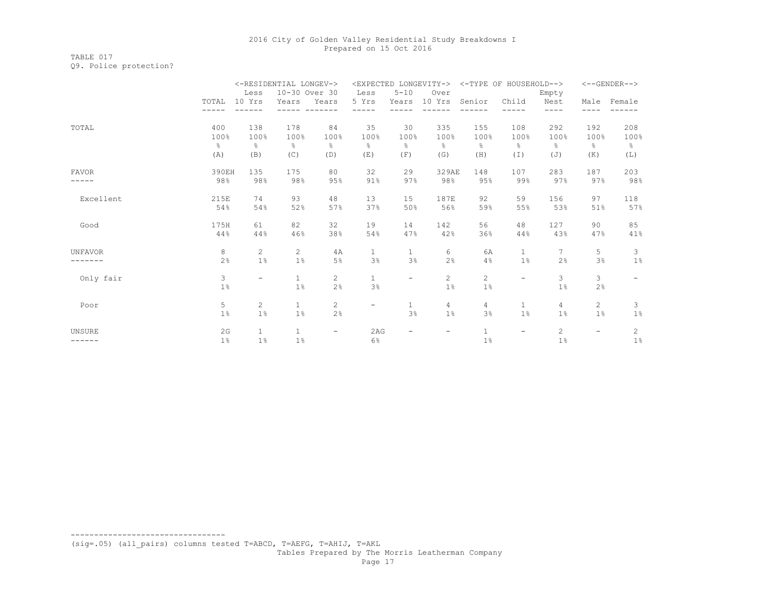## TABLE 017 Q9. Police protection?

|                |                | <-RESIDENTIAL LONGEV-> |                |                          |                          |                          | <expected longevity-=""></expected> |                       | <-TYPE OF HOUSEHOLD--> |                       |                          | $<-$ -GENDER--> |
|----------------|----------------|------------------------|----------------|--------------------------|--------------------------|--------------------------|-------------------------------------|-----------------------|------------------------|-----------------------|--------------------------|-----------------|
|                |                | Less                   | 10-30 Over 30  |                          | Less                     | $5 - 10$                 | Over                                |                       |                        | Empty                 |                          |                 |
|                | TOTAL          | 10 Yrs                 | Years          | Years                    | 5 Yrs                    | Years                    | 10 Yrs                              | Senior                | Child                  | Nest                  | Male                     | Female          |
|                |                |                        |                |                          |                          |                          |                                     |                       |                        | ----                  |                          |                 |
| TOTAL          | 400            | 138                    | 178            | 84                       | 35                       | 30                       | 335                                 | 155                   | 108                    | 292                   | 192                      | 208             |
|                | 100%           | 100%                   | 100%           | 100%                     | 100%                     | 100%                     | 100%                                | 100%                  | 100%                   | 100%                  | 100%                     | 100%            |
|                | $\frac{6}{6}$  | ⊱                      | $\frac{8}{6}$  | g.                       | ⊱                        | $\frac{6}{6}$            | ⊱                                   | ⊱                     | ⊱                      | $\frac{6}{6}$         | g.                       | $\frac{6}{6}$   |
|                | (A)            | (B)                    | (C)            | (D)                      | (E)                      | (F)                      | (G)                                 | (H)                   | $(\top)$               | (J)                   | (K)                      | (L)             |
| <b>FAVOR</b>   | 390EH          | 135                    | 175            | 80                       | 32                       | 29                       | 329AE                               | 148                   | 107                    | 283                   | 187                      | 203             |
|                | 98%            | 98%                    | 98%            | 95%                      | 91%                      | 97%                      | 98%                                 | 95%                   | 99%                    | 97%                   | 97%                      | 98%             |
| Excellent      | 215E           | 74                     | 93             | 48                       | 13                       | 15                       | 187E                                | 92                    | 59                     | 156                   | 97                       | 118             |
|                | 54%            | 54%                    | 52%            | 57%                      | 37%                      | 50%                      | 56%                                 | 59%                   | 55%                    | 53%                   | 51%                      | 57%             |
| Good           | 175H           | 61                     | 82             | 32                       | 19                       | 14                       | 142                                 | 56                    | 48                     | 127                   | 90                       | 85              |
|                | 44%            | 44%                    | 46%            | 38%                      | 54%                      | 47%                      | 42%                                 | 36%                   | 44%                    | 43%                   | 47%                      | 41%             |
| <b>UNFAVOR</b> | 8              | $\overline{c}$         | $\overline{2}$ | 4A                       | $\mathbf{1}$             | $\mathbf{1}$             | 6                                   | 6A                    | $\mathbf{1}$           | 7                     | 5                        | 3               |
|                | 2%             | 1 <sup>°</sup>         | 1%             | 5%                       | 3%                       | 3%                       | 2%                                  | 4%                    | 1 <sup>°</sup>         | 2%                    | 3%                       | 1%              |
| Only fair      | $\mathfrak{Z}$ | -                      | $\mathbf{1}$   | $\overline{2}$           | $\mathbf{1}$             | $\overline{\phantom{a}}$ | $\overline{2}$                      | $\mathbf{2}^{\prime}$ | -                      | 3                     | 3                        |                 |
|                | $1\%$          |                        | $1\%$          | 2%                       | 3%                       |                          | 1%                                  | $1\%$                 |                        | $1\%$                 | 2%                       |                 |
| Poor           | 5              | $\mathbf{2}^{\prime}$  | 1              | $\mathbf{2}$             | $\overline{\phantom{a}}$ | $\mathbf{1}$             | 4                                   | 4                     | $\mathbf{1}$           | 4                     | 2                        | 3               |
|                | $1\%$          | 1%                     | 1%             | 2%                       |                          | 3%                       | 1%                                  | 3%                    | $1\%$                  | $1\%$                 | 1%                       | 1%              |
| <b>UNSURE</b>  | 2G             | $\mathbf{1}$           | $\mathbf{1}$   | $\overline{\phantom{a}}$ | 2AG                      | $\overline{\phantom{a}}$ | $\overline{\phantom{m}}$            | $\mathbf{1}$          | -                      | $\mathbf{2}^{\prime}$ | $\overline{\phantom{a}}$ | 2               |
| ------         | $1\%$          | 1%                     | $1\%$          |                          | 6%                       |                          |                                     | $1\%$                 |                        | $1\%$                 |                          | $1\%$           |

(sig=.05) (all\_pairs) columns tested T=ABCD, T=AEFG, T=AHIJ, T=AKL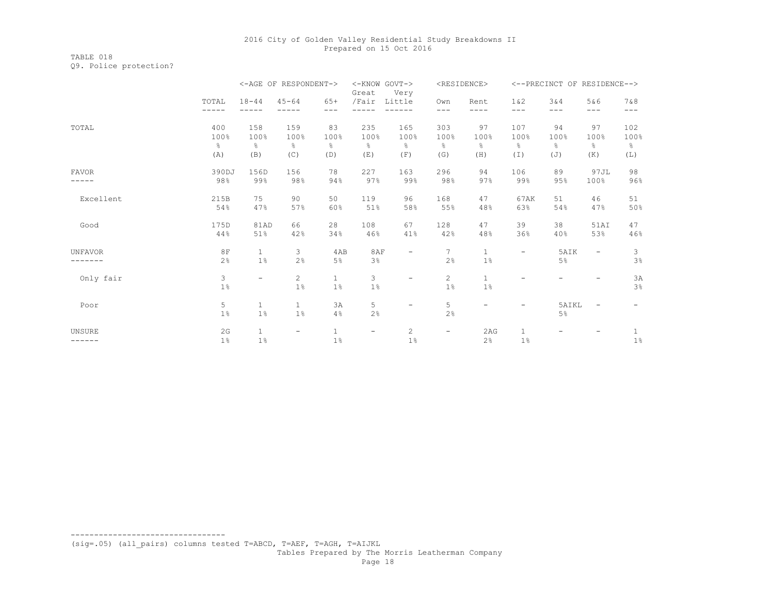TABLE 018 Q9. Police protection?

|                |       |                          | <-AGE OF RESPONDENT-> |               | <-KNOW GOVT-><br>Great   | Very                     |                          | <residence></residence>  |               | <--PRECINCT OF RESIDENCE--> |                          |                          |
|----------------|-------|--------------------------|-----------------------|---------------|--------------------------|--------------------------|--------------------------|--------------------------|---------------|-----------------------------|--------------------------|--------------------------|
|                | TOTAL | $18 - 44$                | $45 - 64$             | $65+$         | /Fair                    | Little                   | Own                      | Rent                     | 1 & 2         | 3&4                         | 5&6                      | 7 & 8                    |
|                |       |                          |                       |               |                          |                          | $---$                    | ----                     | $- - -$       | $- - -$                     | $- - -$                  | $---$                    |
| TOTAL          | 400   | 158                      | 159                   | 83            | 235                      | 165                      | 303                      | 97                       | 107           | 94                          | 97                       | 102                      |
|                | 100%  | 100%                     | 100%                  | 100%          | 100%                     | 100%                     | 100%                     | 100%                     | 100%          | 100%                        | 100%                     | 100%                     |
|                | န္    | g.                       | $\frac{6}{6}$         | $\frac{6}{6}$ | 옹                        | $\frac{6}{6}$            | ⊱                        | ိင                       | $\frac{6}{6}$ | $\frac{6}{6}$               | g.                       | 옹                        |
|                | (A)   | (B)                      | (C)                   | (D)           | (E)                      | (F)                      | (G)                      | (H)                      | $(\bot)$      | (J)                         | (K)                      | (L)                      |
| <b>FAVOR</b>   | 390DJ | 156D                     | 156                   | 78            | 227                      | 163                      | 296                      | 94                       | 106           | 89                          | 97JL                     | 98                       |
|                | 98%   | 99%                      | 98%                   | 94%           | 97%                      | 99%                      | 98%                      | 97%                      | 99%           | 95%                         | 100%                     | 96%                      |
| Excellent      | 215B  | 75                       | 90                    | 50            | 119                      | 96                       | 168                      | 47                       | 67AK          | 51                          | 46                       | 51                       |
|                | 54%   | 47%                      | 57%                   | 60%           | 51%                      | 58%                      | 55%                      | 48%                      | 63%           | 54%                         | 47%                      | 50%                      |
| Good           | 175D  | 81AD                     | 66                    | 28            | 108                      | 67                       | 128                      | 47                       | 39            | 38                          | 51AI                     | 47                       |
|                | 44%   | 51%                      | 42%                   | 34%           | 46%                      | 41%                      | 42%                      | 48%                      | 36%           | 40%                         | 53%                      | 46%                      |
| <b>UNFAVOR</b> | 8F    | $\mathbf{1}$             | 3                     | 4AB           | 8AF                      | $\overline{\phantom{a}}$ | $\overline{7}$           | $\mathbf{1}$             | -             | 5AIK                        | $\overline{\phantom{a}}$ | 3                        |
|                | 2%    | $1\%$                    | 2%                    | $5\%$         | 3%                       |                          | 2%                       | $1\%$                    |               | 5%                          |                          | 3%                       |
| Only fair      | 3     | $\overline{\phantom{0}}$ | $\mathbf{2}$          | $\mathbf{1}$  | 3                        | $\overline{\phantom{a}}$ | $\mathbf{2}^{\circ}$     | $\mathbf{1}$             |               |                             |                          | 3A                       |
|                | $1\%$ |                          | $1\%$                 | $1\%$         | 1%                       |                          | 1%                       | $1\%$                    |               |                             |                          | 3%                       |
| Poor           | 5     | $\mathbf{1}$             | $\mathbf{1}$          | ЗA            | 5                        | $\overline{\phantom{m}}$ | 5                        | $\overline{\phantom{m}}$ | -             | 5AIKL                       | $\overline{\phantom{a}}$ | $\overline{\phantom{a}}$ |
|                | $1\%$ | $1\%$                    | $1\%$                 | 4%            | 2%                       |                          | $2\frac{6}{6}$           |                          |               | $5\%$                       |                          |                          |
| UNSURE         | 2G    | $\mathbf{1}$             | -                     | $\mathbf{1}$  | $\overline{\phantom{a}}$ | 2                        | $\overline{\phantom{0}}$ | 2AG                      | $\mathbf{1}$  |                             |                          | $\mathbf{1}$             |
| ------         | 1%    | $1\%$                    |                       | $1\%$         |                          | $1\%$                    |                          | 2%                       | $1\%$         |                             |                          | $1\%$                    |

(sig=.05) (all\_pairs) columns tested T=ABCD, T=AEF, T=AGH, T=AIJKL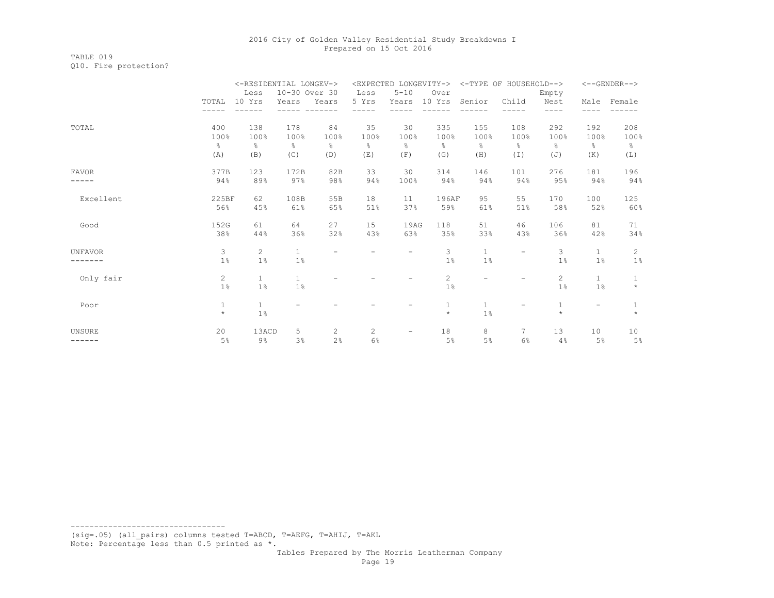# TABLE 019 Q10. Fire protection?

|                |              | <-RESIDENTIAL LONGEV-> |               |       |               | <expected longevity-=""></expected> |                |              | <-TYPE OF HOUSEHOLD-->   |                |                          | $<-$ -GENDER-->       |
|----------------|--------------|------------------------|---------------|-------|---------------|-------------------------------------|----------------|--------------|--------------------------|----------------|--------------------------|-----------------------|
|                |              | Less                   | 10-30 Over 30 |       | Less          | $5 - 10$                            | Over           |              |                          | Empty          |                          |                       |
|                | TOTAL        | 10 Yrs                 | Years         | Years | 5 Yrs         | Years                               | 10 Yrs         | Senior       | Child                    | Nest           | Male                     | Female                |
|                |              |                        |               |       |               |                                     |                |              |                          |                |                          |                       |
| TOTAL          | 400          | 138                    | 178           | 84    | 35            | 30                                  | 335            | 155          | 108                      | 292            | 192                      | 208                   |
|                | 100%         | 100%                   | 100%          | 100%  | 100%          | 100%                                | 100%           | 100%         | 100%                     | 100%           | 100%                     | 100%                  |
|                | န္           | g.                     | $\frac{6}{5}$ | g.    | $\frac{6}{6}$ | &                                   | ⊱              | ⊱            | ိင                       | $\frac{6}{6}$  | 옹                        | $\frac{6}{6}$         |
|                | (A)          | (B)                    | (C)           | (D)   | (E)           | (F)                                 | (G)            | (H)          | $(\top)$                 | (J)            | (K)                      | (L)                   |
| <b>FAVOR</b>   | 377B         | 123                    | 172B          | 82B   | 33            | 30                                  | 314            | 146          | 101                      | 276            | 181                      | 196                   |
|                | 94%          | 89%                    | 97%           | 98%   | 94%           | 100%                                | 94%            | 94%          | 94%                      | 95%            | 94%                      | 94%                   |
| Excellent      | 225BF        | 62                     | 108B          | 55B   | 18            | 11                                  | 196AF          | 95           | 55                       | 170            | 100                      | 125                   |
|                | 56%          | 45%                    | 61%           | 65%   | 51%           | 37%                                 | 59%            | 61%          | 51%                      | 58%            | 52%                      | 60%                   |
| Good           | 152G         | 61                     | 64            | 27    | 15            | 19AG                                | 118            | 51           | 46                       | 106            | 81                       | 71                    |
|                | 38%          | 44%                    | 36%           | 32%   | 43%           | 63%                                 | 35%            | 33%          | 43%                      | 36%            | 42%                      | 34%                   |
| <b>UNFAVOR</b> | $\mathbf{3}$ | $\overline{2}$         | $\mathbf{1}$  |       |               |                                     | 3              | $\mathbf{1}$ | $\overline{\phantom{0}}$ | 3              | $\mathbf{1}$             | $\mathbf{2}^{\prime}$ |
|                | 1%           | 1%                     | 1%            |       |               |                                     | 1%             | $1\%$        |                          | $1\%$          | 1%                       | $1\%$                 |
| Only fair      | $\mathbf{2}$ | $\mathbf{1}$           | $\mathbf{1}$  |       |               |                                     | $\overline{c}$ |              |                          | $\overline{c}$ | $\mathbf{1}$             | $\mathbf{1}$          |
|                | $1\%$        | $1\%$                  | $1\%$         |       |               |                                     | $1\%$          |              |                          | $1\%$          | $1\%$                    | $\star$               |
| Poor           | $\mathbf{1}$ | $\mathbf{1}$           |               |       |               |                                     | 1              | $\mathbf{1}$ |                          | 1              | $\overline{\phantom{a}}$ | 1                     |
|                | $\star$      | 1%                     |               |       |               |                                     | $\star$        | $1\%$        |                          | $\star$        |                          | $\star$               |
| UNSURE         | 20           | 13ACD                  | 5             | 2     | 2             | $\qquad \qquad -$                   | 18             | 8            | 7                        | 13             | 10                       | 10                    |
| ------         | 5%           | $9\%$                  | 3%            | 2%    | 6%            |                                     | 5%             | 5%           | 6%                       | 4%             | 5%                       | 5%                    |

--------------------------------- (sig=.05) (all\_pairs) columns tested T=ABCD, T=AEFG, T=AHIJ, T=AKL Note: Percentage less than 0.5 printed as \*.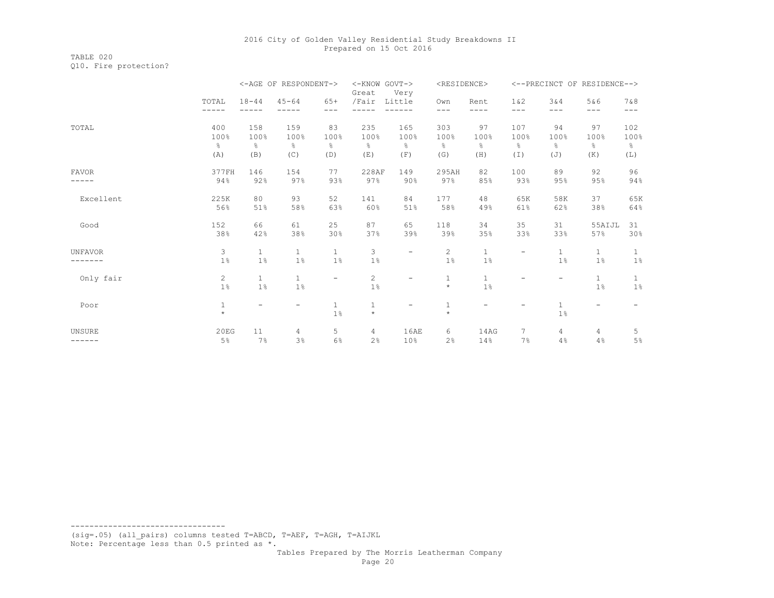TABLE 020 Q10. Fire protection?

|                |               |                          | <-AGE OF RESPONDENT-> |                          | <-KNOW GOVT-><br>Great | Very                     | <residence></residence> |                          |                          |              | <--PRECINCT OF RESIDENCE--> |               |
|----------------|---------------|--------------------------|-----------------------|--------------------------|------------------------|--------------------------|-------------------------|--------------------------|--------------------------|--------------|-----------------------------|---------------|
|                | TOTAL         | $18 - 44$                | $45 - 64$             | $65+$                    | /Fair                  | Little                   | Own                     | Rent                     | 1 & 2                    | 3&4          | 5&6                         | 7&8           |
|                |               |                          |                       | ---                      |                        |                          | $---$                   | ----                     | $---$                    | $---$        | $---$                       | $---$         |
| TOTAL          | 400           | 158                      | 159                   | 83                       | 235                    | 165                      | 303                     | 97                       | 107                      | 94           | 97                          | 102           |
|                | 100%          | 100%                     | 100%                  | 100%                     | 100%                   | 100%                     | 100%                    | 100%                     | 100%                     | 100%         | 100%                        | 100%          |
|                | $\frac{6}{5}$ | g.                       | 옹                     | $\frac{6}{6}$            | g.                     | $\frac{6}{6}$            | g.                      | $\frac{6}{6}$            | 옹                        | 옹            | g.                          | $\frac{6}{6}$ |
|                | (A)           | (B)                      | (C)                   | (D)                      | (E)                    | (F)                      | (G)                     | (H)                      | $(\top)$                 | (J)          | (K)                         | (L)           |
| <b>FAVOR</b>   | 377FH         | 146                      | 154                   | 77                       | 228AF                  | 149                      | 295AH                   | 82                       | 100                      | 89           | 92                          | 96            |
|                | 94%           | 92%                      | 97%                   | 93%                      | 97%                    | 90%                      | 97%                     | 85%                      | 93%                      | 95%          | 95%                         | 94%           |
| Excellent      | 225K          | 80                       | 93                    | 52                       | 141                    | 84                       | 177                     | 48                       | 65K                      | 58K          | 37                          | 65K           |
|                | 56%           | 51%                      | 58%                   | 63%                      | 60%                    | 51%                      | 58%                     | 49%                      | 61%                      | 62%          | 38%                         | 64%           |
| Good           | 152           | 66                       | 61                    | 25                       | 87                     | 65                       | 118                     | 34                       | 35                       | 31           | 55AIJL                      | 31            |
|                | 38%           | 42%                      | 38%                   | 30%                      | 37%                    | 39%                      | 39%                     | 35%                      | 33%                      | 33%          | 57%                         | 30%           |
| <b>UNFAVOR</b> | 3             | $\mathbf{1}$             | 1                     | $\mathbf{1}$             | 3                      | $\overline{\phantom{a}}$ | $\mathbf{2}^{\prime}$   | $\mathbf{1}$             | $\overline{\phantom{0}}$ | $\mathbf{1}$ | $\mathbf{1}$                | $\mathbf{1}$  |
|                | 1%            | 1%                       | $1\%$                 | 1%                       | 1%                     |                          | $1\%$                   | $1\%$                    |                          | 1%           | 1%                          | $1\%$         |
| Only fair      | 2             | $\mathbf{1}$             | $\mathbf{1}$          | $\overline{\phantom{a}}$ | $\overline{c}$         | $\overline{\phantom{0}}$ | $\mathbf{1}$            | $\mathbf{1}$             | $\overline{\phantom{0}}$ | -            | $\mathbf{1}$                | $\mathbf{1}$  |
|                | 1%            | 1%                       | 1%                    |                          | 1%                     |                          | $\star$                 | 1%                       |                          |              | 1%                          | $1\%$         |
| Poor           | $1\,$         | $\overline{\phantom{0}}$ |                       | $\mathbf{1}$             | $\mathbf{1}$           | -                        | $\mathbf{1}$            | $\overline{\phantom{0}}$ |                          | $\mathbf{1}$ | $\overline{a}$              |               |
|                | $\star$       |                          |                       | $1\%$                    | $\star$                |                          | $\star$                 |                          |                          | 1%           |                             |               |
| <b>UNSURE</b>  | 20EG          | 11                       | 4                     | 5                        | 4                      | 16AE                     | 6                       | 14AG                     | 7                        | 4            | 4                           | 5             |
| ------         | 5%            | 7%                       | 3%                    | 6%                       | 2%                     | 10%                      | 2%                      | 14%                      | 7%                       | 4%           | 4%                          | 5%            |

--------------------------------- (sig=.05) (all\_pairs) columns tested T=ABCD, T=AEF, T=AGH, T=AIJKL Note: Percentage less than 0.5 printed as \*.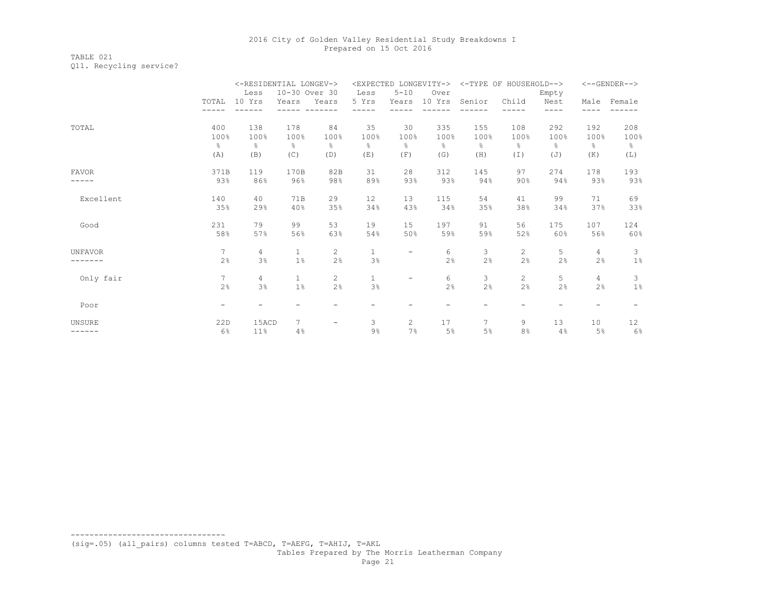### TABLE 021 Q11. Recycling service?

|              |                          | <-RESIDENTIAL LONGEV-> |               |                          |               | <expected longevity-=""></expected> |               |                   | <-TYPE OF HOUSEHOLD--> |       |                | $<-$ -GENDER--> |
|--------------|--------------------------|------------------------|---------------|--------------------------|---------------|-------------------------------------|---------------|-------------------|------------------------|-------|----------------|-----------------|
|              |                          | Less                   | 10-30 Over 30 |                          | Less          | $5 - 10$                            | Over          |                   |                        | Empty |                |                 |
|              | TOTAL                    | 10 Yrs                 | Years         | Years                    | 5 Yrs         | Years                               | 10 Yrs        | Senior            | Child                  | Nest  | Male           | Female          |
|              |                          |                        |               |                          |               |                                     |               |                   |                        | ----  | ----           |                 |
| TOTAL        | 400                      | 138                    | 178           | 84                       | 35            | 30                                  | 335           | 155               | 108                    | 292   | 192            | 208             |
|              | 100%                     | 100%                   | 100%          | 100%                     | 100%          | 100%                                | 100%          | 100%              | 100%                   | 100%  | 100%           | 100%            |
|              | g.                       | g.                     | 옹             | $\frac{6}{6}$            | $\frac{6}{6}$ | $\epsilon$                          | $\frac{6}{6}$ | 옹                 | $\frac{6}{6}$          | 옹     | g.             | g.              |
|              | (A)                      | (B)                    | (C)           | (D)                      | (E)           | (F)                                 | (G)           | (H)               | (I)                    | (J)   | (K)            | (L)             |
| <b>FAVOR</b> | 371B                     | 119                    | 170B          | 82B                      | 31            | 28                                  | 312           | 145               | 97                     | 274   | 178            | 193             |
|              | 93%                      | 86%                    | 96%           | 98%                      | 89%           | 93%                                 | 93%           | 94%               | 90%                    | 94%   | 93%            | 93%             |
| Excellent    | 140                      | 40                     | 71B           | 29                       | 12            | 13                                  | 115           | 54                | 41                     | 99    | 71             | 69              |
|              | 35%                      | 29%                    | 40%           | 35%                      | 34%           | 43%                                 | 34%           | 35%               | 38%                    | 34%   | 37%            | 33%             |
| Good         | 231                      | 79                     | 99            | 53                       | 19            | 15                                  | 197           | 91                | 56                     | 175   | 107            | 124             |
|              | 58%                      | 57%                    | 56%           | 63%                      | 54%           | 50%                                 | 59%           | 59%               | 52%                    | 60%   | 56%            | 60%             |
| UNFAVOR      | $7\overline{ }$          | $\overline{4}$         | $\mathbf{1}$  | $\overline{c}$           | $\mathbf{1}$  | $\overline{\phantom{a}}$            | 6             | 3                 | $\mathbf{2}$           | 5     | $\overline{4}$ | 3               |
|              | 2%                       | 3%                     | 1%            | 2%                       | 3%            |                                     | 2%            | 2%                | 2%                     | 2%    | 2%             | 1%              |
| Only fair    | $7\phantom{.0}$          | 4                      | $\mathbf{1}$  | $\mathbf{2}^{\prime}$    | 1             | $\overline{\phantom{m}}$            | 6             | 3                 | $\overline{2}$         | 5.    | $\overline{4}$ | 3               |
|              | 2%                       | 3%                     | $1\%$         | 2%                       | 3%            |                                     | 2%            | 2%                | 2%                     | 2%    | 2%             | $1\%$           |
| Poor         | $\overline{\phantom{a}}$ | -                      |               |                          |               | -                                   | -             | $\qquad \qquad -$ |                        |       |                |                 |
| UNSURE       | 22D                      | 15ACD                  | 7             | $\overline{\phantom{0}}$ | 3             | $\mathbf{2}$                        | 17            | 7                 | 9                      | 13    | 10             | 12              |
| - - - - - -  | 6%                       | 11 <sup>8</sup>        | 4%            |                          | 9%            | 7%                                  | 5%            | 5%                | 8 <sup>°</sup>         | 4%    | 5%             | 6%              |

(sig=.05) (all\_pairs) columns tested T=ABCD, T=AEFG, T=AHIJ, T=AKL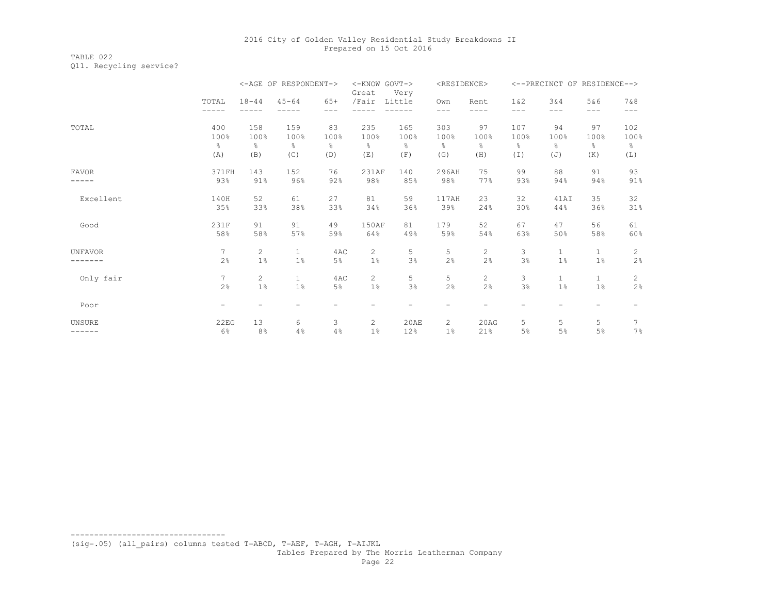TABLE 022 Q11. Recycling service?

|              |                          |                | <-AGE OF RESPONDENT-> |                   | <-KNOW GOVT-><br>Great | Very   | <residence></residence> |                |                  | <--PRECINCT OF RESIDENCE--> |                          |                   |
|--------------|--------------------------|----------------|-----------------------|-------------------|------------------------|--------|-------------------------|----------------|------------------|-----------------------------|--------------------------|-------------------|
|              | TOTAL                    | $18 - 44$      | $45 - 64$             | $65+$<br>---      | /Fair                  | Little | Own<br>---              | Rent<br>----   | 1 & 2<br>$- - -$ | 3&4<br>$---$                | 5&6<br>$---$             | 7 & 8<br>$---$    |
| TOTAL        | 400                      | 158            | 159                   | 83                | 235                    | 165    | 303                     | 97             | 107              | 94                          | 97                       | 102               |
|              | 100%                     | 100%           | 100%                  | 100%              | 100%                   | 100%   | 100%                    | 100%           | 100%             | 100%                        | 100%                     | 100%              |
|              | g.                       | ⊱              | $\frac{6}{6}$         | g.                | ⊱                      | g.     | ÷.                      | $\frac{6}{5}$  | g.               | $\frac{6}{6}$               | ⊱                        | $\frac{6}{6}$     |
|              | (A)                      | (B)            | (C)                   | (D)               | (E)                    | (F)    | (G)                     | (H)            | (I)              | (J)                         | (K)                      | (L)               |
| <b>FAVOR</b> | 371FH                    | 143            | 152                   | 76                | 231AF                  | 140    | 296AH                   | 75             | 99               | 88                          | 91                       | 93                |
| -----        | 93%                      | 91%            | 96%                   | 92%               | 98%                    | 85%    | 98%                     | 77%            | 93%              | 94%                         | 94%                      | 91%               |
| Excellent    | 140H                     | 52             | 61                    | 27                | 81                     | 59     | 117AH                   | 23             | 32               | 41AI                        | 35                       | 32                |
|              | 35%                      | 33%            | 38%                   | 33%               | 34%                    | 36%    | 39%                     | 24%            | 30%              | 44%                         | 36%                      | 31%               |
| Good         | 231F                     | 91             | 91                    | 49                | 150AF                  | 81     | 179                     | 52             | 67               | 47                          | 56                       | 61                |
|              | 58%                      | 58%            | 57%                   | 59%               | 64%                    | 49%    | 59%                     | 54%            | 63%              | 50%                         | 58%                      | 60%               |
| UNFAVOR      | $7\phantom{.0}$          | $\overline{c}$ | $\mathbf{1}$          | 4AC               | $\overline{c}$         | 5      | 5                       | $\overline{c}$ | 3                | $\mathbf{1}$                | $\mathbf{1}$             | $\overline{c}$    |
|              | 2%                       | 1%             | $1\%$                 | 5%                | 1%                     | 3%     | 2%                      | 2%             | 3%               | 1%                          | $1\%$                    | 2%                |
| Only fair    | 7                        | $\overline{2}$ | $\mathbf{1}$          | 4AC               | $\mathbf{2}^{\prime}$  | 5      | 5                       | $\overline{2}$ | 3                | $\mathbf{1}$                | $\mathbf{1}$             | 2                 |
|              | 2%                       | 1%             | $1\%$                 | 5%                | $1\%$                  | 3%     | 2 <sup>°</sup>          | 2%             | 3%               | $1\%$                       | 1%                       | 2%                |
| Poor         | $\overline{\phantom{0}}$ | -              |                       | $\qquad \qquad -$ | -                      | -      |                         |                |                  |                             | $\overline{\phantom{m}}$ | $\qquad \qquad -$ |
| UNSURE       | 22EG                     | 13             | 6                     | 3                 | 2                      | 20AE   | 2                       | 20AG           | 5                | 5.                          | 5                        | 7                 |
| ------       | 6%                       | 8 <sup>°</sup> | 4%                    | 4%                | $1\%$                  | 12%    | 1%                      | 21%            | 5%               | 5%                          | 5%                       | 7%                |

(sig=.05) (all\_pairs) columns tested T=ABCD, T=AEF, T=AGH, T=AIJKL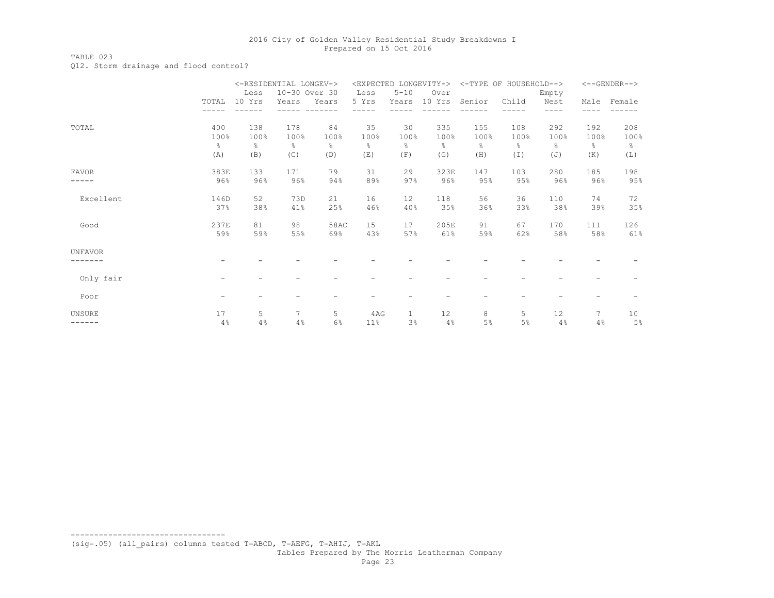# TABLE 023

Q12. Storm drainage and flood control?

|              |                          |               | <-RESIDENTIAL LONGEV-> |               |               |              | <expected longevity-=""></expected> |        | <-TYPE OF HOUSEHOLD--> |               |      | $<-$ -GENDER--> |
|--------------|--------------------------|---------------|------------------------|---------------|---------------|--------------|-------------------------------------|--------|------------------------|---------------|------|-----------------|
|              |                          | Less          | 10-30 Over 30          |               | Less          | $5 - 10$     | Over                                |        |                        | Empty         |      |                 |
|              | TOTAL                    | 10 Yrs        | Years                  | Years         | 5 Yrs         | Years        | 10 Yrs                              | Senior | Child                  | Nest          | Male | Female          |
|              |                          |               |                        |               |               |              |                                     |        |                        | ----          |      |                 |
| TOTAL        | 400                      | 138           | 178                    | 84            | 35            | 30           | 335                                 | 155    | 108                    | 292           | 192  | 208             |
|              | 100%                     | 100%          | 100%                   | 100%          | 100%          | 100%         | 100%                                | 100%   | 100%                   | 100%          | 100% | 100%            |
|              | $\frac{6}{5}$            | $\frac{6}{6}$ | $\frac{6}{6}$          | $\frac{6}{6}$ | $\frac{6}{6}$ | g.           | ⊱                                   | 옹      | $\frac{6}{6}$          | $\frac{6}{5}$ | g.   | $\frac{6}{6}$   |
|              | (A)                      | (B)           | (C)                    | (D)           | (E)           | (F)          | (G)                                 | (H)    | (I)                    | (J)           | (K)  | (L)             |
| <b>FAVOR</b> | 383E                     | 133           | 171                    | 79            | 31            | 29           | 323E                                | 147    | 103                    | 280           | 185  | 198             |
|              | 96%                      | 96%           | 96%                    | 94%           | 89%           | 97%          | 96%                                 | 95%    | 95%                    | 96%           | 96%  | 95%             |
| Excellent    | 146D                     | 52            | 73D                    | 21            | 16            | 12           | 118                                 | 56     | 36                     | 110           | 74   | 72              |
|              | 37%                      | 38%           | 41%                    | 25%           | 46%           | 40%          | 35%                                 | 36%    | 33%                    | 38%           | 39%  | 35%             |
| Good         | 237E                     | 81            | 98                     | 58AC          | 15            | 17           | 205E                                | 91     | 67                     | 170           | 111  | 126             |
|              | 59%                      | 59%           | 55%                    | 69%           | 43%           | 57%          | 61%                                 | 59%    | 62%                    | 58%           | 58%  | 61%             |
| UNFAVOR      |                          |               |                        |               |               |              |                                     |        |                        |               |      |                 |
|              |                          |               |                        |               |               |              |                                     |        |                        |               |      |                 |
| Only fair    |                          |               |                        |               |               |              |                                     |        |                        |               |      |                 |
| Poor         | $\overline{\phantom{m}}$ |               |                        |               |               |              |                                     |        |                        |               |      |                 |
| UNSURE       | 17                       | 5             | 7                      | 5             | 4AG           | $\mathbf{1}$ | 12                                  | 8      | 5                      | 12            | 7    | 10              |
| ------       | 4%                       | 4%            | 4%                     | $6\%$         | 11%           | 3%           | 4%                                  | 5%     | 5%                     | 4%            | 4%   | 5%              |

(sig=.05) (all\_pairs) columns tested T=ABCD, T=AEFG, T=AHIJ, T=AKL

---------------------------------

Tables Prepared by The Morris Leatherman Company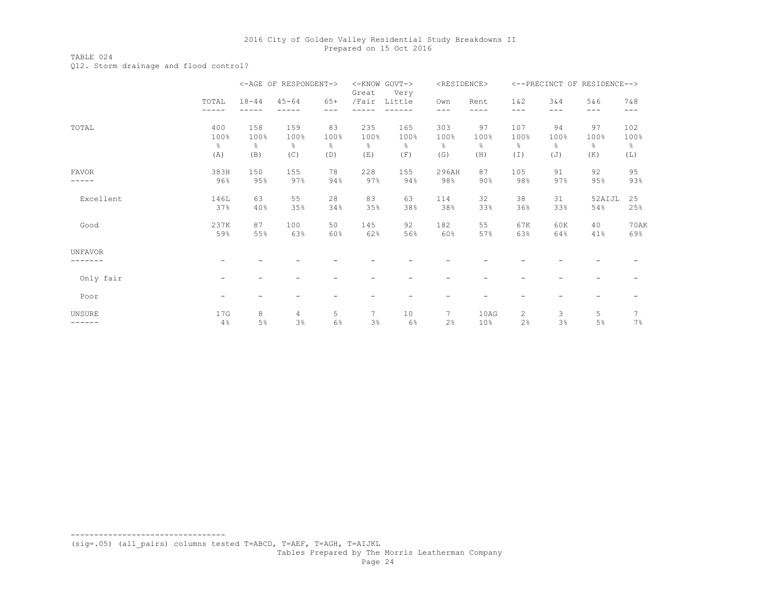TABLE 024

Q12. Storm drainage and flood control?

|              |            |               | <-AGE OF RESPONDENT->    |                          | <-KNOW GOVT-><br>Great | Very                     | <residence></residence> |                 |                       |               | <--PRECINCT OF RESIDENCE--> |               |
|--------------|------------|---------------|--------------------------|--------------------------|------------------------|--------------------------|-------------------------|-----------------|-----------------------|---------------|-----------------------------|---------------|
|              | TOTAL      | $18 - 44$     | $45 - 64$                | $65+$                    | /Fair                  | Little                   | Own                     | Rent            | 1 & 2                 | 3&4           | 5&6                         | 7 & 8         |
|              | -----      |               |                          | ---                      |                        |                          | ---                     | ----            | ---                   | ---           | $---$                       | ---           |
| TOTAL        | 400        | 158           | 159                      | 83                       | 235                    | 165                      | 303                     | 97              | 107                   | 94            | 97                          | 102           |
|              | 100%       | 100%          | 100%                     | 100%                     | 100%                   | 100%                     | 100%                    | 100%            | 100%                  | 100%          | 100%                        | 100%          |
|              | $\epsilon$ | $\frac{6}{6}$ | $\frac{6}{6}$            | $\frac{6}{6}$            | g.                     | 옹                        | $\frac{6}{6}$           | $\frac{6}{6}$   | ⊱                     | $\frac{6}{6}$ | $\epsilon$                  | $\frac{6}{6}$ |
|              | (A)        | (B)           | (C)                      | (D)                      | (E)                    | (F)                      | (G)                     | (H)             | (I)                   | (J)           | (K)                         | (L)           |
| <b>FAVOR</b> | 383H       | 150           | 155                      | 78                       | 228                    | 155                      | 296AH                   | 87              | 105                   | 91            | 92                          | 95            |
|              | 96%        | 95%           | 97%                      | 94%                      | 97%                    | 94%                      | 98%                     | 90%             | 98%                   | 97%           | 95%                         | 93%           |
| Excellent    | 146L       | 63            | 55                       | 28                       | 83                     | 63                       | 114                     | 32              | 38                    | 31            | 52AIJL                      | 25            |
|              | 37%        | 40%           | 35%                      | 34%                      | 35%                    | 38%                      | 38%                     | 33%             | 36%                   | 33%           | 54%                         | 25%           |
| Good         | 237K       | 87            | 100                      | 50                       | 145                    | 92                       | 182                     | 55              | 67K                   | 60K           | 40                          | <b>70AK</b>   |
|              | 59%        | 55%           | 63%                      | 60%                      | 62%                    | 56%                      | 60%                     | 57%             | 63%                   | 64%           | 41%                         | 69%           |
| UNFAVOR      |            |               |                          |                          |                        |                          |                         |                 |                       |               |                             |               |
|              |            |               |                          |                          |                        |                          |                         |                 |                       |               |                             |               |
| Only fair    |            |               |                          |                          |                        |                          |                         |                 |                       |               |                             |               |
| Poor         | -          | -             | $\overline{\phantom{m}}$ | $\overline{\phantom{m}}$ | -                      | $\overline{\phantom{0}}$ | -                       |                 |                       | -             | $\qquad \qquad -$           |               |
| UNSURE       | 17G        | 8             | 4                        | 5                        | 7                      | 10                       | $\overline{7}$          | 10AG            | $\mathbf{2}^{\prime}$ | 3             | 5                           | 7             |
| ------       | 4%         | 5%            | 3%                       | 6%                       | 3%                     | 6%                       | 2%                      | 10 <sup>°</sup> | 2%                    | 3%            | 5%                          | 7%            |

(sig=.05) (all\_pairs) columns tested T=ABCD, T=AEF, T=AGH, T=AIJKL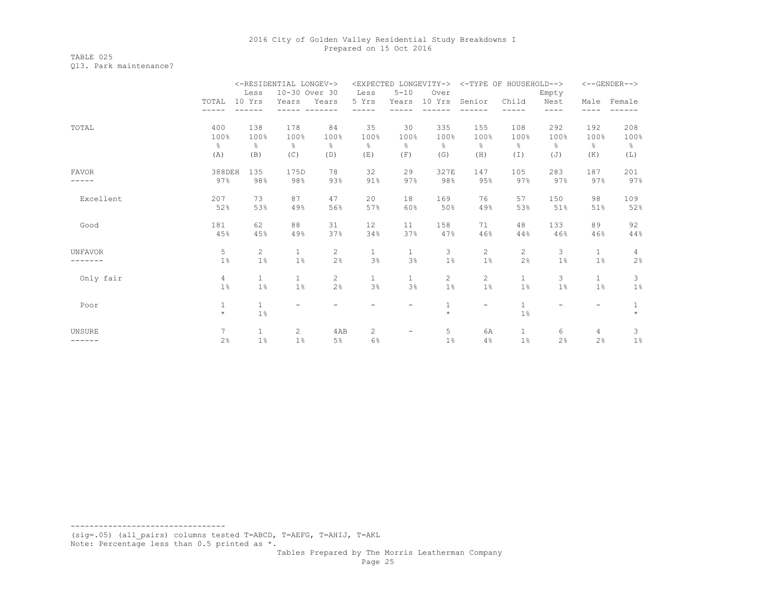## TABLE 025 Q13. Park maintenance?

|               |                | <-RESIDENTIAL LONGEV-> |               |                | <expected longevity-=""></expected> |                   |                      | <-TYPE OF HOUSEHOLD--> |                |               | <--GENDER--> |               |
|---------------|----------------|------------------------|---------------|----------------|-------------------------------------|-------------------|----------------------|------------------------|----------------|---------------|--------------|---------------|
|               |                | Less                   | 10-30 Over 30 |                | Less                                | $5 - 10$          | Over                 |                        |                | Empty         |              |               |
|               | TOTAL          | 10 Yrs                 | Years         | Years          | 5 Yrs                               | Years             | 10 Yrs               | Senior                 | Child          | Nest          | Male         | Female        |
|               |                |                        |               |                |                                     |                   |                      |                        |                | ----          |              |               |
| TOTAL         | 400            | 138                    | 178           | 84             | 35                                  | 30                | 335                  | 155                    | 108            | 292           | 192          | 208           |
|               | 100%           | 100%                   | 100%          | 100%           | 100%                                | 100%              | 100%                 | 100%                   | 100%           | 100%          | 100%         | 100%          |
|               | $\approx$      | $\approx$              | %             | $\frac{6}{6}$  | 옹                                   | ိင                | $\approx$            | ⊱                      | $\frac{6}{6}$  | $\frac{6}{6}$ | 응            | $\frac{6}{6}$ |
|               | (A)            | (B)                    | (C)           | (D)            | (E)                                 | (F)               | (G)                  | (H)                    | $(\top)$       | (J)           | (K)          | (L)           |
| <b>FAVOR</b>  | 388DEH         | 135                    | 175D          | 78             | 32                                  | 29                | 327E                 | 147                    | 105            | 283           | 187          | 201           |
|               | 97%            | 98%                    | 98%           | 93%            | 91%                                 | 97%               | 98%                  | 95%                    | 97%            | 97%           | 97%          | 97%           |
| Excellent     | 207            | 73                     | 87            | 47             | 20                                  | 18                | 169                  | 76                     | 57             | 150           | 98           | 109           |
|               | 52%            | 53%                    | 49%           | 56%            | 57%                                 | 60%               | 50%                  | 49%                    | 53%            | 51%           | 51%          | 52%           |
| Good          | 181            | 62                     | 88            | 31             | 12                                  | 11                | 158                  | 71                     | 48             | 133           | 89           | 92            |
|               | 45%            | 45%                    | 49%           | 37%            | 34%                                 | 37%               | 47%                  | 46%                    | 44%            | 46%           | 46%          | 44%           |
| UNFAVOR       | 5              | $\overline{c}$         | $\mathbf{1}$  | $\overline{c}$ | 1                                   | $\mathbf{1}$      | 3                    | $\overline{c}$         | $\overline{c}$ | 3             | $\mathbf{1}$ | 4             |
|               | 1%             | 1%                     | 1%            | 2%             | 3%                                  | 3%                | $1\%$                | 1%                     | 2%             | $1\%$         | 1%           | 2%            |
| Only fair     | $\overline{4}$ | $\mathbf{1}$           | $\mathbf{1}$  | $\mathbf{2}$   | $\mathbf{1}$                        | $\mathbf{1}$      | $\mathbf{2}^{\circ}$ | $\overline{c}$         | $\mathbf{1}$   | 3             | $\mathbf{1}$ | 3             |
|               | 1%             | 1%                     | 1%            | 2%             | 3%                                  | 3%                | 1%                   | 1%                     | $1\%$          | $1\%$         | 1%           | 1%            |
| Poor          | $\mathbf{1}$   | $\mathbf{1}$           |               |                |                                     | -                 | 1                    | -                      | $\mathbf{1}$   |               |              | 1             |
|               | $\star$        | $1\%$                  |               |                |                                     |                   | $\star$              |                        | $1\%$          |               |              | $\star$       |
| <b>UNSURE</b> | 7              | $\mathbf{1}$           | 2             | 4AB            | 2                                   | $\qquad \qquad -$ | 5                    | 6A                     | $\mathbf{1}$   | 6             | 4            | 3             |
|               | 2%             | 1%                     | 1%            | $5\%$          | 6%                                  |                   | 1 <sup>°</sup>       | 4%                     | $1\%$          | 2%            | 2%           | $1\%$         |

(sig=.05) (all\_pairs) columns tested T=ABCD, T=AEFG, T=AHIJ, T=AKL Note: Percentage less than 0.5 printed as \*.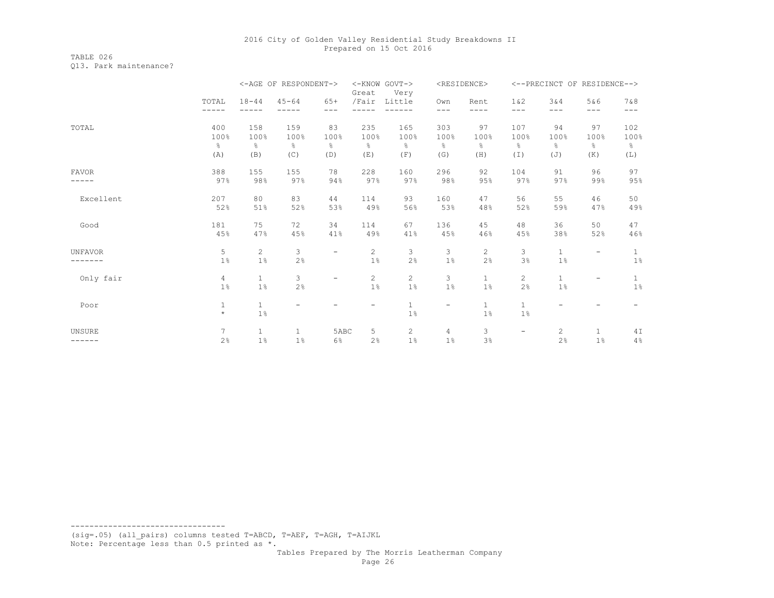TABLE 026 Q13. Park maintenance?

|                |                |                | <-AGE OF RESPONDENT-> |                          | <-KNOW GOVT-><br>Great   | Very         |       | <residence></residence> |                       |                       | <--PRECINCT OF RESIDENCE--> |              |
|----------------|----------------|----------------|-----------------------|--------------------------|--------------------------|--------------|-------|-------------------------|-----------------------|-----------------------|-----------------------------|--------------|
|                | TOTAL          | $18 - 44$      | $45 - 64$             | $65+$                    | /Fair                    | Little       | Own   | Rent                    | $1\&2$                | 3&4                   | 5&6                         | 7 & 8        |
|                |                |                |                       |                          |                          |              | $---$ | ----                    | $---$                 | $---$                 | $---$                       | $---$        |
| TOTAL          | 400            | 158            | 159                   | 83                       | 235                      | 165          | 303   | 97                      | 107                   | 94                    | 97                          | 102          |
|                | 100%           | 100%           | 100%                  | 100%                     | 100%                     | 100%         | 100%  | 100%                    | 100%                  | 100%                  | 100%                        | 100%         |
|                | ိင             | ⊱              | 옹                     | 옹                        | ⊱                        | ိင           | g.    | ိင                      | 옹                     | 옹                     | 응                           | ိင           |
|                | (A)            | (B)            | (C)                   | (D)                      | (E)                      | (F)          | (G)   | (H)                     | (I)                   | (J)                   | (K)                         | (L)          |
| <b>FAVOR</b>   | 388            | 155            | 155                   | 78                       | 228                      | 160          | 296   | 92                      | 104                   | 91                    | 96                          | 97           |
|                | 97%            | 98%            | 97%                   | 94%                      | 97%                      | 97%          | 98%   | 95%                     | 97%                   | 97%                   | 99%                         | 95%          |
| Excellent      | 207            | 80             | 83                    | 44                       | 114                      | 93           | 160   | 47                      | 56                    | 55                    | 46                          | 50           |
|                | 52%            | 51%            | 52%                   | 53%                      | 49%                      | 56%          | 53%   | 48%                     | 52%                   | 59%                   | 47%                         | 49%          |
| Good           | 181            | 75             | 72                    | 34                       | 114                      | 67           | 136   | 45                      | 48                    | 36                    | 50                          | 47           |
|                | 45%            | 47%            | 45%                   | 41%                      | 49%                      | 41%          | 45%   | 46%                     | 45%                   | 38%                   | 52%                         | 46%          |
| <b>UNFAVOR</b> | 5              | $\overline{2}$ | 3                     | $\overline{\phantom{a}}$ | 2                        | 3            | 3     | $\overline{2}$          | 3                     | $\mathbf{1}$          | $\overline{\phantom{a}}$    | $\mathbf{1}$ |
|                | $1\%$          | 1%             | 2%                    |                          | 1%                       | 2%           | 1%    | 2%                      | 3%                    | 1%                    |                             | $1\%$        |
| Only fair      | $\overline{4}$ | $\mathbf{1}$   | 3                     | $\overline{\phantom{a}}$ | $\mathbf{2}^{\prime}$    | $\mathbf{2}$ | 3     | $\mathbf{1}$            | $\mathbf{2}^{\prime}$ | $\mathbf{1}$          | $\overline{\phantom{a}}$    | $\mathbf{1}$ |
|                | 1%             | 1%             | 2%                    |                          | $1\%$                    | $1\%$        | 1%    | $1\%$                   | 2%                    | 1%                    |                             | $1\%$        |
| Poor           | $\mathbf 1$    | $\mathbf{1}$   | -                     | $\overline{\phantom{a}}$ | $\overline{\phantom{a}}$ | $\mathbf{1}$ | -     | $\mathbf{1}$            | $\mathbf{1}$          | -                     |                             | -            |
|                | $\star$        | 1%             |                       |                          |                          | $1\%$        |       | $1\%$                   | 1%                    |                       |                             |              |
| UNSURE         | 7              | $\mathbf{1}$   | $\mathbf{1}$          | 5ABC                     | 5                        | $\mathbf{2}$ | 4     | 3                       | -                     | $\mathbf{2}^{\prime}$ | $\mathbf{1}$                | 4 I          |
| ------         | 2%             | $1\%$          | $1\%$                 | $6\%$                    | 2%                       | 1%           | $1\%$ | 3%                      |                       | 2%                    | 1%                          | 4%           |

--------------------------------- (sig=.05) (all\_pairs) columns tested T=ABCD, T=AEF, T=AGH, T=AIJKL Note: Percentage less than 0.5 printed as \*.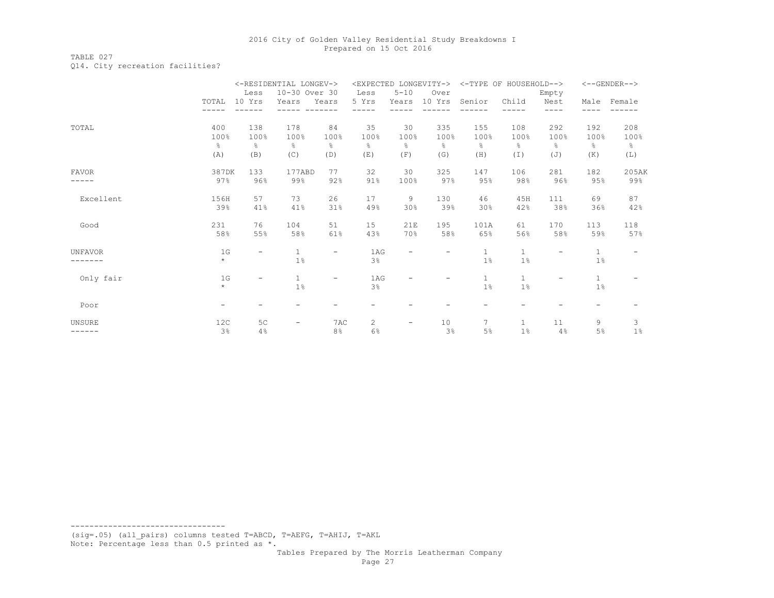### TABLE 027 Q14. City recreation facilities?

|                |               | <-RESIDENTIAL LONGEV-> |               |                          |                       | <expected longevity-=""></expected> | <-TYPE OF HOUSEHOLD--> |               |               |                          | $\left<$ --GENDER--> |               |
|----------------|---------------|------------------------|---------------|--------------------------|-----------------------|-------------------------------------|------------------------|---------------|---------------|--------------------------|----------------------|---------------|
|                |               | Less                   | 10-30 Over 30 |                          | Less                  | $5 - 10$                            | Over                   |               |               | Empty                    |                      |               |
|                | TOTAL         | 10 Yrs                 | Years         | Years                    | 5 Yrs                 | Years                               | 10 Yrs                 | Senior        | Child         | Nest                     | Male                 | Female        |
|                |               |                        |               |                          |                       |                                     |                        |               |               | $- - -$                  |                      |               |
| TOTAL          | 400           | 138                    | 178           | 84                       | 35                    | 30                                  | 335                    | 155           | 108           | 292                      | 192                  | 208           |
|                | 100%          | 100%                   | 100%          | 100%                     | 100%                  | 100%                                | 100%                   | 100%          | 100%          | 100%                     | 100%                 | 100%          |
|                | $\frac{6}{6}$ | 옹                      | 옹             | $\frac{6}{6}$            | &                     | g.                                  | 옹                      | $\frac{8}{6}$ | $\frac{6}{6}$ | $\frac{8}{6}$            | ိင                   | $\frac{6}{6}$ |
|                | (A)           | (B)                    | (C)           | (D)                      | (E)                   | (F)                                 | (G)                    | (H)           | (I)           | (J)                      | (K)                  | (L)           |
| <b>FAVOR</b>   | 387DK         | 133                    | 177ABD        | 77                       | 32                    | 30                                  | 325                    | 147           | 106           | 281                      | 182                  | 205AK         |
| -----          | 97%           | 96%                    | 99%           | 92%                      | 91%                   | 100%                                | 97%                    | 95%           | 98%           | 96%                      | 95%                  | 99%           |
| Excellent      | 156H          | 57                     | 73            | 26                       | 17                    | 9                                   | 130                    | 46            | 45H           | 111                      | 69                   | 87            |
|                | 39%           | 41%                    | 41%           | 31%                      | 49%                   | 30%                                 | 39%                    | 30%           | 42%           | 38%                      | 36%                  | 42%           |
| Good           | 231           | 76                     | 104           | 51                       | 15                    | 21E                                 | 195                    | 101A          | 61            | 170                      | 113                  | 118           |
|                | 58%           | 55%                    | 58%           | 61%                      | 43%                   | 70%                                 | 58%                    | 65%           | 56%           | 58%                      | 59%                  | 57%           |
| <b>UNFAVOR</b> | 1G            |                        | $\mathbf{1}$  | $\qquad \qquad -$        | 1AG                   |                                     |                        | $\mathbf{1}$  | $\mathbf{1}$  | $\overline{\phantom{0}}$ | $\mathbf{1}$         |               |
|                | $\star$       |                        | 1%            |                          | 3%                    |                                     |                        | $1\%$         | 1%            |                          | $1\%$                |               |
| Only fair      | 1G            |                        | $\mathbf{1}$  | $\overline{\phantom{m}}$ | 1AG                   |                                     |                        | $\mathbf{1}$  | $\mathbf{1}$  | -                        | $\mathbf{1}$         |               |
|                | $\star$       |                        | 1%            |                          | 3%                    |                                     |                        | 1%            | 1%            |                          | 1%                   |               |
| Poor           | -             |                        |               | -                        |                       |                                     |                        |               |               |                          |                      |               |
| <b>UNSURE</b>  | 12C           | 5 <sup>C</sup>         | -             | 7AC                      | $\mathbf{2}^{\prime}$ | $\overline{\phantom{a}}$            | 10                     | 7             | $\mathbf{1}$  | 11                       | 9                    | 3             |
| ------         | 3%            | 4%                     |               | 8%                       | 6%                    |                                     | 3%                     | 5%            | 1%            | 4%                       | 5%                   | 1%            |

(sig=.05) (all\_pairs) columns tested T=ABCD, T=AEFG, T=AHIJ, T=AKL Note: Percentage less than 0.5 printed as \*.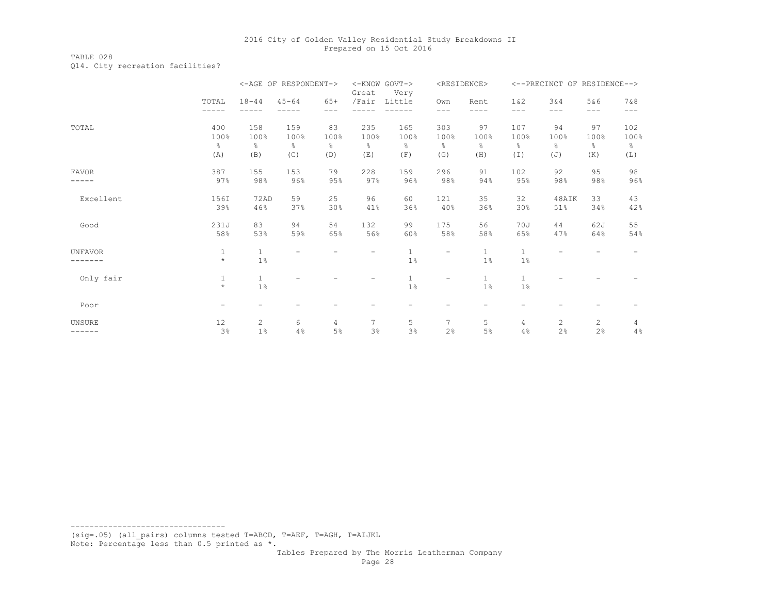TABLE 028 Q14. City recreation facilities?

|              |                          |                                | <-AGE OF RESPONDENT-> |                  | <-KNOW GOVT-><br>Great | Very                  |              | <residence></residence> |                       | <--PRECINCT OF RESIDENCE--> |                |            |
|--------------|--------------------------|--------------------------------|-----------------------|------------------|------------------------|-----------------------|--------------|-------------------------|-----------------------|-----------------------------|----------------|------------|
|              | TOTAL<br>-----           | $18 - 44$                      | $45 - 64$             | $65+$<br>$- - -$ | /Fair                  | Little                | Own<br>$---$ | Rent<br>----            | 1 & 2<br>---          | 3&4<br>$- - -$              | 5&6<br>$---$   | 7&8<br>--- |
| TOTAL        | 400                      | 158                            | 159                   | 83               | 235                    | 165                   | 303          | 97                      | 107                   | 94                          | 97             | 102        |
|              | 100%                     | 100%                           | 100%                  | 100%             | 100%                   | 100%                  | 100%         | 100%                    | 100%                  | 100%                        | 100%           | 100%       |
|              | g.                       | g.                             | 옹                     | ⊱                | ⊱                      | g.                    | g.           | g.                      | g.                    | 옹                           | g.             | g.         |
|              | (A)                      | (B)                            | (C)                   | (D)              | (E)                    | (F)                   | (G)          | (H)                     | (I)                   | (J)                         | (K)            | (L)        |
| <b>FAVOR</b> | 387                      | 155                            | 153                   | 79               | 228                    | 159                   | 296          | 91                      | 102                   | 92                          | 95             | 98         |
|              | 97%                      | 98%                            | 96%                   | 95%              | 97%                    | 96%                   | 98%          | 94%                     | 95%                   | 98%                         | 98%            | 96%        |
| Excellent    | 156I                     | 72AD                           | 59                    | 25               | 96                     | 60                    | 121          | 35                      | 32                    | 48AIK                       | 33             | 43         |
|              | 39%                      | 46%                            | 37%                   | 30%              | 41%                    | 36%                   | 40%          | 36%                     | 30%                   | 51%                         | 34%            | 42%        |
| Good         | 231J                     | 83                             | 94                    | 54               | 132                    | 99                    | 175          | 56                      | 70J                   | 44                          | 62J            | 55         |
|              | 58%                      | 53%                            | 59%                   | 65%              | 56%                    | 60%                   | 58%          | 58%                     | 65%                   | 47%                         | 64%            | 54%        |
| UNFAVOR      | $\mathbf{1}$<br>$\star$  | $\mathbf{1}$<br>1%             |                       |                  |                        | $\,1\,$<br>$1\%$      | -            | $\mathbf{1}$<br>$1\%$   | $\mathbf{1}$<br>$1\%$ |                             |                |            |
| Only fair    | $\mathbf{1}$<br>$\star$  | $\mathbf{1}$<br>1 <sup>°</sup> |                       |                  |                        | $\mathbf{1}$<br>$1\%$ | -            | $\mathbf{1}$<br>$1\%$   | $\mathbf{1}$<br>$1\%$ |                             |                |            |
| Poor         | $\overline{\phantom{a}}$ |                                |                       |                  |                        |                       |              |                         |                       |                             |                |            |
| UNSURE       | 12                       | 2                              | 6                     | 4                | 7                      | 5                     | 7            | 5                       | 4                     | $\mathbf{2}^{\prime}$       | $\overline{c}$ | 4          |
| -------      | 3%                       | 1%                             | 4%                    | 5%               | 3%                     | 3%                    | 2%           | $5\%$                   | 4%                    | 2%                          | 2%             | 4%         |

--------------------------------- (sig=.05) (all\_pairs) columns tested T=ABCD, T=AEF, T=AGH, T=AIJKL Note: Percentage less than 0.5 printed as \*.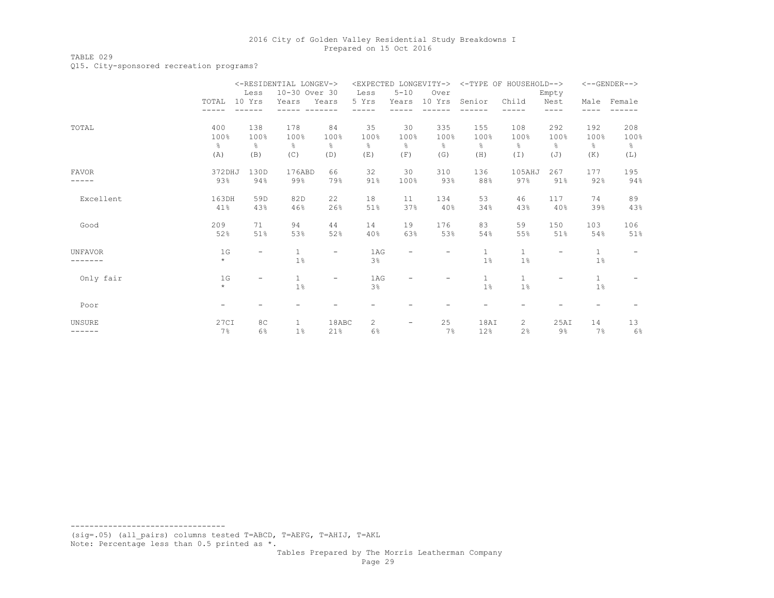# TABLE 029

Q15. City-sponsored recreation programs?

|              |                          |                          | <-RESIDENTIAL LONGEV-> |                          |                       |                          |        |               | <expected longevity-=""> &lt;-TYPE OF HOUSEHOLD--&gt;</expected> |               |              | $<-$ -GENDER--> |
|--------------|--------------------------|--------------------------|------------------------|--------------------------|-----------------------|--------------------------|--------|---------------|------------------------------------------------------------------|---------------|--------------|-----------------|
|              |                          | Less                     | 10-30 Over 30          |                          | Less                  | $5 - 10$                 | Over   |               |                                                                  | Empty         |              |                 |
|              | TOTAL                    | 10 Yrs                   | Years                  | Years                    | 5 Yrs                 | Years                    | 10 Yrs | Senior        | Child                                                            | Nest          |              | Male Female     |
|              |                          |                          |                        |                          |                       |                          |        |               |                                                                  | ----          |              |                 |
| TOTAL        | 400                      | 138                      | 178                    | 84                       | 35                    | 30                       | 335    | 155           | 108                                                              | 292           | 192          | 208             |
|              | 100%                     | 100%                     | 100%                   | 100%                     | 100%                  | 100%                     | 100%   | 100%          | 100%                                                             | 100%          | 100%         | 100%            |
|              | န္                       | g.                       | $\frac{6}{6}$          | $\frac{6}{6}$            | $\approx$             | g.                       | ÷,     | $\frac{6}{6}$ | g.                                                               | $\frac{6}{5}$ | g.           | g.              |
|              | (A)                      | (B)                      | (C)                    | (D)                      | (E)                   | (F)                      | (G)    | (H)           | $(\top)$                                                         | (J)           | (K)          | (L)             |
| <b>FAVOR</b> | 372DHJ                   | 130D                     | 176ABD                 | 66                       | 32                    | 30                       | 310    | 136           | 105AHJ                                                           | 267           | 177          | 195             |
|              | 93%                      | 94%                      | 99%                    | 79%                      | 91%                   | 100%                     | 93%    | 88%           | 97%                                                              | 91%           | 92%          | 94%             |
| Excellent    | 163DH                    | 59D                      | 82D                    | 22                       | 18                    | 11                       | 134    | 53            | 46                                                               | 117           | 74           | 89              |
|              | 41%                      | 43%                      | 46%                    | 26%                      | 51%                   | 37%                      | 40%    | 34%           | 43%                                                              | 40%           | 39%          | 43%             |
| Good         | 209                      | 71                       | 94                     | 44                       | 14                    | 19                       | 176    | 83            | 59                                                               | 150           | 103          | 106             |
|              | 52%                      | 51%                      | 53%                    | 52%                      | 40%                   | 63%                      | 53%    | 54%           | 55%                                                              | 51%           | 54%          | 51%             |
| UNFAVOR      | 1G                       |                          | $\mathbf{1}$           | $\overline{\phantom{a}}$ | 1AG                   | -                        |        | $\mathbf{1}$  | $\mathbf{1}$                                                     |               | $\mathbf{1}$ |                 |
|              | $\star$                  |                          | $1\%$                  |                          | 3%                    |                          |        | 1%            | 1%                                                               |               | 1%           |                 |
| Only fair    | 1 <sub>G</sub>           | $\overline{\phantom{0}}$ | $\mathbf{1}$           | $\overline{\phantom{a}}$ | 1AG                   | -                        |        | $\mathbf{1}$  | $\mathbf{1}$                                                     | -             | $\mathbf{1}$ |                 |
|              | $\star$                  |                          | $1\%$                  |                          | 3%                    |                          |        | 1%            | 1%                                                               |               | 1%           |                 |
| Poor         | $\overline{\phantom{a}}$ |                          |                        |                          |                       |                          |        |               |                                                                  |               |              |                 |
| UNSURE       | 27CI                     | 8C                       | $\mathbf{1}$           | 18ABC                    | $\mathbf{2}^{\prime}$ | $\overline{\phantom{a}}$ | 25     | 18AI          | 2                                                                | 25AI          | 14           | 13              |
| .            | 7%                       | 6%                       | $1\%$                  | 21%                      | 6%                    |                          | 7%     | 12%           | 2%                                                               | 9%            | 7%           | 6%              |

--------------------------------- (sig=.05) (all\_pairs) columns tested T=ABCD, T=AEFG, T=AHIJ, T=AKL Note: Percentage less than 0.5 printed as \*.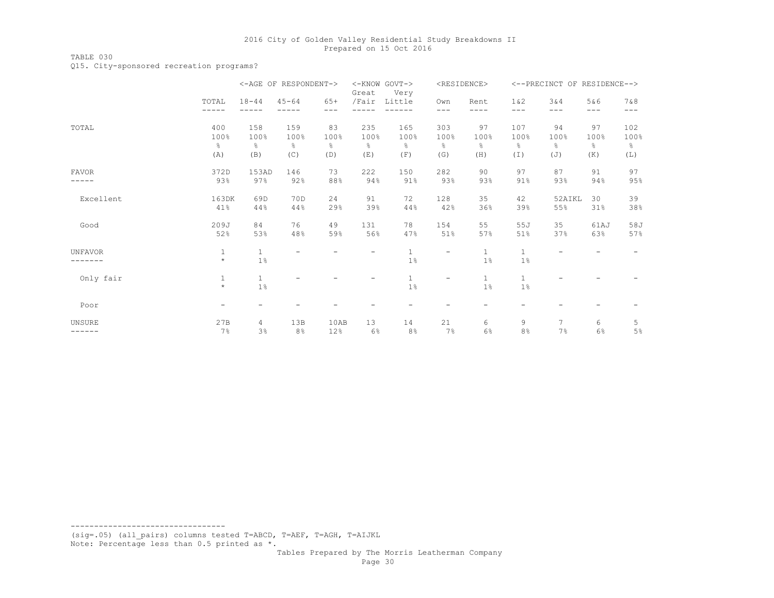## TABLE 030

Q15. City-sponsored recreation programs?

|                 |                         |                       | <-AGE OF RESPONDENT-> |                | <-KNOW GOVT-><br>Great | Very               |                          | <residence></residence>  |                       | <--PRECINCT OF RESIDENCE--> |              |                |
|-----------------|-------------------------|-----------------------|-----------------------|----------------|------------------------|--------------------|--------------------------|--------------------------|-----------------------|-----------------------------|--------------|----------------|
|                 | TOTAL<br>-----          | $18 - 44$             | $45 - 64$             | $65+$<br>$---$ | /Fair                  | Little             | Own<br>$---$             | Rent<br>----             | $1\&2$<br>$---$       | 3&4<br>$---$                | 5&6<br>$---$ | 7 & 8<br>$---$ |
| TOTAL           | 400                     | 158                   | 159                   | 83             | 235                    | 165                | 303                      | 97                       | 107                   | 94                          | 97           | 102            |
|                 | 100%                    | 100%                  | 100%                  | 100%           | 100%                   | 100%               | 100%                     | 100%                     | 100%                  | 100%                        | 100%         | 100%           |
|                 | g.                      | ⊱                     | $\frac{6}{5}$         | ⊱              | g.                     | ိင                 | g.                       | $\frac{6}{5}$            | 옹                     | $\frac{6}{6}$               | 옹            | $\frac{6}{6}$  |
|                 | (A)                     | (B)                   | (C)                   | (D)            | (E)                    | (F)                | (G)                      | (H)                      | (I)                   | (J)                         | (K)          | (L)            |
| <b>FAVOR</b>    | 372D                    | 153AD                 | 146                   | 73             | 222                    | 150                | 282                      | 90                       | 97                    | 87                          | 91           | 97             |
| -----           | 93%                     | 97%                   | 92%                   | 88%            | 94%                    | 91%                | 93%                      | 93%                      | 91%                   | 93%                         | 94%          | 95%            |
| Excellent       | 163DK                   | 69D                   | 70D                   | 24             | 91                     | 72                 | 128                      | 35                       | 42                    | 52AIKL                      | 30           | 39             |
|                 | 41%                     | 44%                   | 44%                   | 29%            | 39%                    | 44%                | 42%                      | 36%                      | 39%                   | 55%                         | 31%          | 38%            |
| Good            | 209J                    | 84                    | 76                    | 49             | 131                    | 78                 | 154                      | 55                       | 55J                   | 35                          | 61AJ         | 58J            |
|                 | 52%                     | 53%                   | 48%                   | 59%            | 56%                    | 47%                | 51%                      | 57%                      | 51%                   | 37%                         | 63%          | 57%            |
| UNFAVOR<br>---- | $\mathbf 1$<br>$\star$  | $\mathbf 1$<br>$1\%$  |                       |                |                        | $\mathbf{1}$<br>1% | $\overline{\phantom{m}}$ | $\mathbf{1}$<br>$1\%$    | $\mathbf{1}$<br>$1\%$ |                             |              |                |
| Only fair       | $\mathbf{1}$<br>$\star$ | $\mathbf{1}$<br>$1\%$ |                       |                |                        | $\,1$<br>1%        | $\overline{\phantom{m}}$ | $\mathbf{1}$<br>$1\%$    | $\mathbf{1}$<br>$1\%$ |                             |              |                |
| Poor            | Ξ.                      | -                     |                       |                |                        | -                  |                          | $\overline{\phantom{a}}$ |                       |                             |              |                |
| UNSURE          | 27B                     | 4                     | 13B                   | 10AB           | 13                     | 14                 | 21                       | 6                        | 9                     | 7                           | 6            | 5              |
| ------          | 7%                      | 3%                    | 8%                    | 12%            | 6%                     | 8%                 | 7%                       | 6%                       | 8%                    | 7%                          | 6%           | 5%             |

--------------------------------- (sig=.05) (all\_pairs) columns tested T=ABCD, T=AEF, T=AGH, T=AIJKL Note: Percentage less than 0.5 printed as \*.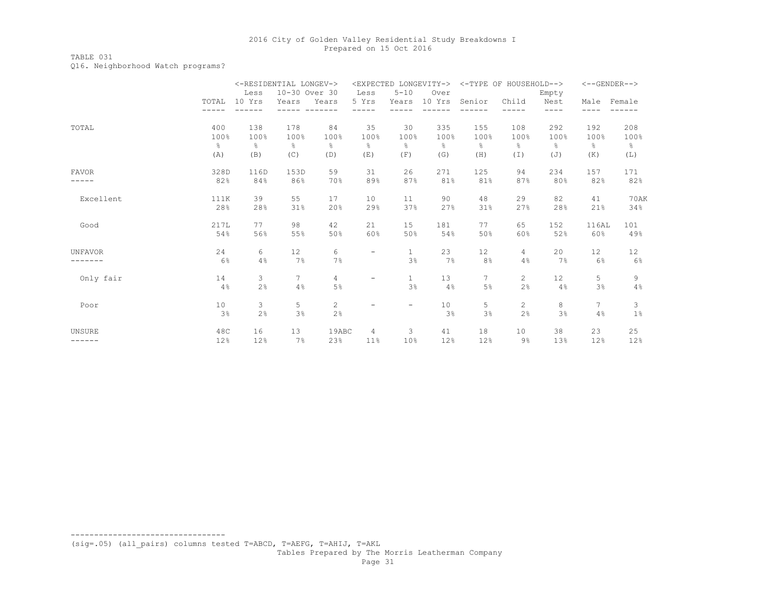### TABLE 031 Q16. Neighborhood Watch programs?

|                | <-RESIDENTIAL LONGEV-> |                |                 |                |                          |                          | <expected longevity-=""></expected> |                 | <-TYPE OF HOUSEHOLD--> |       |                | $<-$ -GENDER--> |
|----------------|------------------------|----------------|-----------------|----------------|--------------------------|--------------------------|-------------------------------------|-----------------|------------------------|-------|----------------|-----------------|
|                |                        | Less           | 10-30 Over 30   |                | Less                     | $5 - 10$                 | Over                                |                 |                        | Empty |                |                 |
|                | TOTAL                  | 10 Yrs         | Years           | Years          | 5 Yrs                    | Years                    | 10 Yrs                              | Senior          | Child                  | Nest  | Male           | Female          |
|                |                        |                |                 |                |                          |                          |                                     |                 |                        | ----  |                |                 |
| TOTAL          | 400                    | 138            | 178             | 84             | 35                       | 30                       | 335                                 | 155             | 108                    | 292   | 192            | 208             |
|                | 100%                   | 100%           | 100%            | 100%           | 100%                     | 100%                     | 100%                                | 100%            | 100%                   | 100%  | 100%           | 100%            |
|                | ိင                     | $\frac{6}{6}$  | $\approx$       | $\frac{6}{6}$  | ⊱                        | g.                       | $\frac{6}{6}$                       | $\frac{6}{6}$   | 옹                      | %     | $\frac{6}{5}$  | $\frac{6}{5}$   |
|                | (A)                    | (B)            | (C)             | (D)            | (E)                      | (F)                      | (G)                                 | (H)             | $(\top)$               | (J)   | (K)            | (L)             |
| <b>FAVOR</b>   | 328D                   | 116D           | 153D            | 59             | 31                       | 26                       | 271                                 | 125             | 94                     | 234   | 157            | 171             |
|                | 82%                    | 84%            | 86%             | 70%            | 89%                      | 87%                      | 81%                                 | 81%             | 87%                    | 80%   | 82%            | 82%             |
| Excellent      | 111K                   | 39             | 55              | 17             | 10                       | 11                       | 90                                  | 48              | 29                     | 82    | 41             | <b>70AK</b>     |
|                | 28%                    | 28%            | 31%             | 20%            | 29%                      | 37%                      | 27%                                 | 31%             | 27%                    | 28%   | 21%            | 34%             |
| Good           | 217L                   | 77             | 98              | 42             | 21                       | 15                       | 181                                 | 77              | 65                     | 152   | 116AL          | 101             |
|                | 54%                    | 56%            | 55%             | 50%            | 60%                      | 50%                      | 54%                                 | 50%             | 60%                    | 52%   | 60%            | 49%             |
| <b>UNFAVOR</b> | 24                     | 6              | 12              | 6              | $\overline{\phantom{a}}$ | $\mathbf{1}$             | 23                                  | 12              | 4                      | 20    | 12             | 12              |
|                | 6%                     | 4%             | 7%              | 7%             |                          | 3%                       | 7%                                  | 8%              | 4%                     | 7%    | 6%             | 6%              |
| Only fair      | 14                     | 3              | $7\phantom{.0}$ | 4              | $\overline{\phantom{m}}$ | $\mathbf{1}$             | 13                                  | $7\overline{ }$ | $\mathbf{2}^{\prime}$  | 12    | 5              | 9               |
|                | 4%                     | $2\frac{6}{6}$ | 4%              | 5%             |                          | 3%                       | 4%                                  | $5\%$           | 2%                     | 4%    | 3%             | 4%              |
| Poor           | 10                     | 3              | 5               | $\overline{c}$ | -                        | $\overline{\phantom{m}}$ | 10                                  | 5               | $\overline{2}$         | 8     | $\overline{7}$ | 3               |
|                | 3%                     | 2%             | 3%              | 2%             |                          |                          | 3%                                  | 3%              | 2%                     | 3%    | 4%             | $1\%$           |
| <b>UNSURE</b>  | 48C                    | 16             | 13              | 19ABC          | 4                        | 3                        | 41                                  | 18              | 10                     | 38    | 23             | 25              |
|                | 12%                    | 12%            | $7\%$           | 23%            | 11%                      | 10%                      | 12%                                 | 12%             | $9\%$                  | 13%   | 12%            | 12%             |

(sig=.05) (all\_pairs) columns tested T=ABCD, T=AEFG, T=AHIJ, T=AKL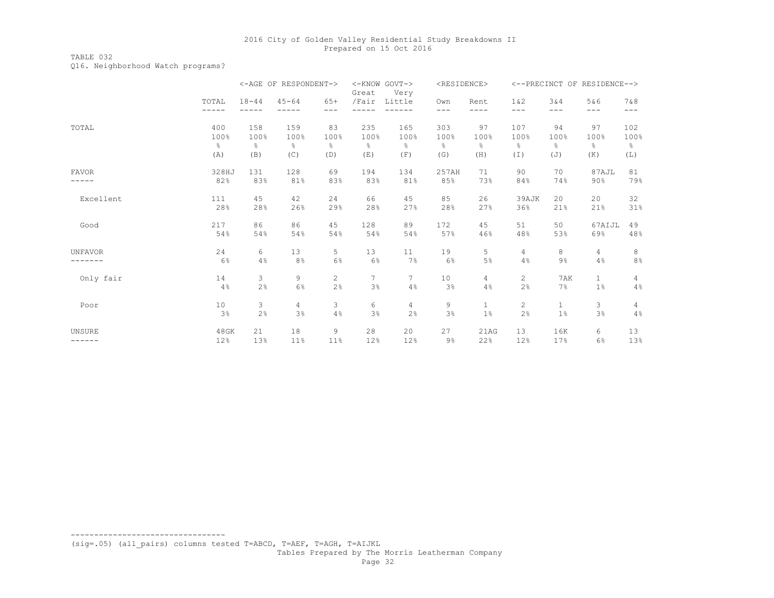TABLE 032 Q16. Neighborhood Watch programs?

|              |       |                | <-AGE OF RESPONDENT-> |                | <-KNOW GOVT-><br>Great | Very            | <residence></residence> |              |                       |               | <--PRECINCT OF RESIDENCE--> |                |
|--------------|-------|----------------|-----------------------|----------------|------------------------|-----------------|-------------------------|--------------|-----------------------|---------------|-----------------------------|----------------|
|              | TOTAL | $18 - 44$      | $45 - 64$             | $65+$          | /Fair                  | Little          | Own                     | Rent         | 1 & 2                 | 3&4           | 5&6                         | 7 & 8          |
|              | ----- |                |                       | $- - -$        |                        |                 | $---$                   | ----         | $---$                 | $---$         | $---$                       | $---$          |
| TOTAL        | 400   | 158            | 159                   | 83             | 235                    | 165             | 303                     | 97           | 107                   | 94            | 97                          | 102            |
|              | 100%  | 100%           | 100%                  | 100%           | 100%                   | 100%            | 100%                    | 100%         | 100%                  | 100%          | 100%                        | 100%           |
|              | g.    | g.             | ⊱                     | g.             | g.                     | ိင              | g.                      | ိင           | 옹                     | $\frac{6}{6}$ | 옹                           | $\frac{6}{6}$  |
|              | (A)   | (B)            | (C)                   | (D)            | (E)                    | (F)             | (G)                     | (H)          | $(\top)$              | (J)           | (K)                         | (L)            |
| <b>FAVOR</b> | 328HJ | 131            | 128                   | 69             | 194                    | 134             | 257AH                   | 71           | 90                    | 70            | 87AJL                       | 81             |
|              | 82%   | 83%            | 81%                   | 83%            | 83%                    | 81%             | 85%                     | 73%          | 84%                   | 74%           | 90%                         | 79%            |
| Excellent    | 111   | 45             | 42                    | 24             | 66                     | 45              | 85                      | 26           | 39AJK                 | 20            | 20                          | 32             |
|              | 28%   | 28%            | 26%                   | 29%            | 28%                    | 27%             | 28%                     | 27%          | 36%                   | 21%           | 21%                         | 31%            |
| Good         | 217   | 86             | 86                    | 45             | 128                    | 89              | 172                     | 45           | 51                    | 50            | 67AIJL                      | 49             |
|              | 54%   | 54%            | 54%                   | 54%            | 54%                    | 54%             | 57%                     | 46%          | 48%                   | 53%           | 69%                         | 48%            |
| UNFAVOR      | 24    | 6              | 13                    | 5              | 13                     | 11              | 19                      | 5            | $\overline{4}$        | 8             | $\overline{4}$              | 8              |
|              | 6%    | 4%             | 8%                    | 6%             | 6%                     | 7%              | 6%                      | 5%           | 4%                    | $9\%$         | 4%                          | 8%             |
| Only fair    | 14    | 3              | 9                     | $\overline{c}$ | 7                      | $7\phantom{.0}$ | 10                      | 4            | $\overline{2}$        | 7AK           | $\mathbf{1}$                | 4              |
|              | 4%    | 2%             | 6%                    | 2%             | 3%                     | 4%              | 3%                      | 4%           | 2%                    | 7%            | $1\%$                       | 4%             |
| Poor         | 10    | 3              | 4                     | $\mathbf{3}$   | 6                      | $\overline{4}$  | 9                       | $\mathbf{1}$ | $\mathbf{2}^{\prime}$ | $\mathbf{1}$  | 3                           | $\overline{4}$ |
|              | 3%    | $2\frac{6}{6}$ | 3%                    | 4%             | 3%                     | 2%              | 3%                      | $1\%$        | 2%                    | $1\%$         | 3%                          | 4%             |
| UNSURE       | 48GK  | 21             | 18                    | 9              | 28                     | 20              | 27                      | 21AG         | 13                    | 16K           | 6                           | 13             |
| ------       | 12%   | 13%            | 11%                   | 11%            | 12%                    | 12%             | $9\%$                   | 22%          | 12%                   | 17%           | 6%                          | 13%            |

(sig=.05) (all\_pairs) columns tested T=ABCD, T=AEF, T=AGH, T=AIJKL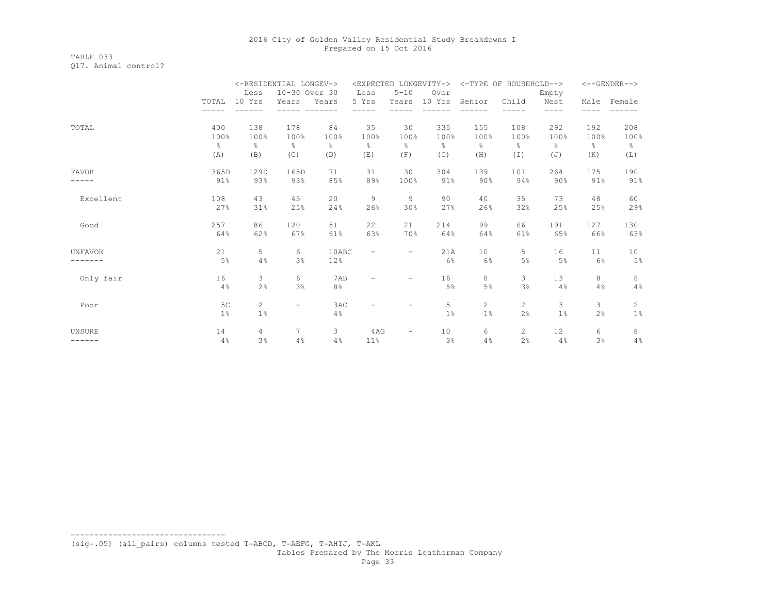## TABLE 033 Q17. Animal control?

|                |       | <-RESIDENTIAL LONGEV-> |               |               |       |                          |               | <expected longevity-=""> &lt;-TYPE OF HOUSEHOLD--&gt;</expected> |                |                   |               | $\leftarrow$ -GENDER--> |
|----------------|-------|------------------------|---------------|---------------|-------|--------------------------|---------------|------------------------------------------------------------------|----------------|-------------------|---------------|-------------------------|
|                |       | Less                   | 10-30 Over 30 |               | Less  | $5 - 10$                 | Over          |                                                                  |                | Empty             |               |                         |
|                | TOTAL | 10 Yrs                 | Years         | Years         | 5 Yrs | Years                    | 10 Yrs        | Senior                                                           | Child          | Nest              | Male          | Female                  |
|                |       |                        |               |               |       |                          |               |                                                                  |                | ----              | ----          |                         |
| TOTAL          | 400   | 138                    | 178           | 84            | 35    | 30                       | 335           | 155                                                              | 108            | 292               | 192           | 208                     |
|                | 100%  | 100%                   | 100%          | 100%          | 100%  | 100%                     | 100%          | 100%                                                             | 100%           | 100%              | 100%          | 100%                    |
|                | ⊱     | ⊱                      | $\frac{6}{6}$ | $\frac{6}{6}$ | g.    | $\frac{6}{6}$            | $\frac{6}{6}$ | ⊱                                                                | ⊱              | $\frac{6}{6}$     | $\frac{6}{6}$ | $\frac{6}{6}$           |
|                | (A)   | (B)                    | (C)           | (D)           | (E)   | (F)                      | (G)           | (H)                                                              | (I)            | (J)               | (K)           | (L)                     |
| <b>FAVOR</b>   | 365D  | 129D                   | 165D          | 71            | 31    | 30                       | 304           | 139                                                              | 101            | 264               | 175           | 190                     |
|                | 91%   | 93%                    | 93%           | 85%           | 89%   | 100%                     | 91%           | 90%                                                              | 94%            | 90%               | 91%           | 91%                     |
| Excellent      | 108   | 43                     | 45            | 20            | 9     | 9                        | 90            | 40                                                               | 35             | 73                | 48            | 60                      |
|                | 27%   | 31%                    | 25%           | 24%           | 26%   | 30%                      | 27%           | 26%                                                              | 32%            | 25%               | 25%           | 29%                     |
| Good           | 257   | 86                     | 120           | 51            | 22    | 21                       | 214           | 99                                                               | 66             | 191               | 127           | 130                     |
|                | 64%   | 62%                    | 67%           | 61%           | 63%   | 70%                      | 64%           | 64%                                                              | 61%            | 65%               | 66%           | 63%                     |
| <b>UNFAVOR</b> | 21    | 5                      | 6             | 10ABC         |       |                          | 21A           | 10                                                               | 5              | 16                | 11            | 10                      |
|                | 5%    | 4%                     | 3%            | 12%           |       |                          | 6%            | $6\%$                                                            | 5%             | 5%                | 6%            | 5%                      |
| Only fair      | 16    | 3                      | 6             | 7AB           |       | $\overline{\phantom{0}}$ | 16            | 8                                                                | 3              | 13                | 8             | 8                       |
|                | 4%    | 2%                     | 3%            | 8%            |       |                          | 5%            | 5%                                                               | 3%             | 4%                | 4%            | 4%                      |
| Poor           | 5C    | $\mathbf{2}^{\prime}$  | Ξ.            | 3AC           |       | $\overline{\phantom{0}}$ | 5             | 2                                                                | $\overline{2}$ | 3                 | 3             | $\mathbf{2}$            |
|                | $1\%$ | 1%                     |               | 4%            |       |                          | 1%            | 1%                                                               | 2%             | 1%                | 2%            | 1%                      |
| <b>UNSURE</b>  | 14    | 4                      | 7             | 3             | 4AG   | $\overline{\phantom{a}}$ | 10            | 6                                                                | 2              | $12 \overline{ }$ | 6             | 8                       |
|                | 4%    | 3%                     | 4%            | 4%            | 11%   |                          | 3%            | 4%                                                               | 2%             | 4%                | 3%            | 4%                      |

(sig=.05) (all\_pairs) columns tested T=ABCD, T=AEFG, T=AHIJ, T=AKL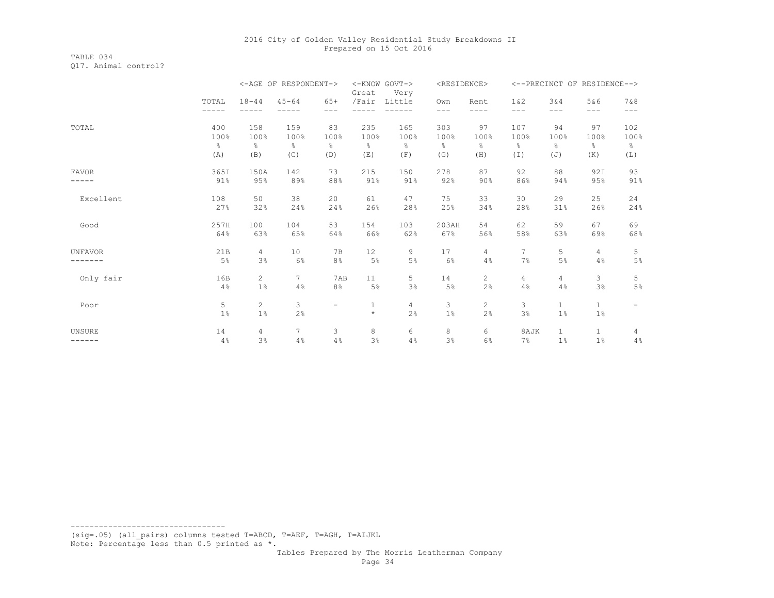TABLE 034 Q17. Animal control?

|              |       |                       | <-AGE OF RESPONDENT-> |                          | <-KNOW GOVT-><br>Great | Very   | <residence></residence> |      |          |              | <--PRECINCT OF RESIDENCE--> |                          |
|--------------|-------|-----------------------|-----------------------|--------------------------|------------------------|--------|-------------------------|------|----------|--------------|-----------------------------|--------------------------|
|              | TOTAL | $18 - 44$             | $45 - 64$             | $65+$                    | /Fair                  | Little | Own                     | Rent | 1 & 2    | 3 & 4        | 5&6                         | 7 & 8                    |
|              | ----- |                       |                       | $---$                    |                        |        | $---$                   | ---- | ---      | $---$        | ---                         | $---$                    |
| TOTAL        | 400   | 158                   | 159                   | 83                       | 235                    | 165    | 303                     | 97   | 107      | 94           | 97                          | 102                      |
|              | 100%  | 100%                  | 100%                  | 100%                     | 100%                   | 100%   | 100%                    | 100% | 100%     | 100%         | 100%                        | 100%                     |
|              | g.    | g.                    | ⊱                     | ⊱                        | ⊱                      | 옹      | ⊱                       | g.   | g.       | g.           | g.                          | 응                        |
|              | (A)   | (B)                   | (C)                   | (D)                      | (E)                    | (F)    | (G)                     | (H)  | $(\top)$ | (J)          | (K)                         | (L)                      |
| <b>FAVOR</b> | 365I  | 150A                  | 142                   | 73                       | 215                    | 150    | 278                     | 87   | 92       | 88           | 92I                         | 93                       |
|              | 91%   | 95%                   | 89%                   | 88%                      | 91%                    | 91%    | 92%                     | 90%  | 86%      | 94%          | 95%                         | 91%                      |
| Excellent    | 108   | 50                    | 38                    | 20                       | 61                     | 47     | 75                      | 33   | 30       | 29           | 25                          | 24                       |
|              | 27%   | 32%                   | 24%                   | 24%                      | 26%                    | 28%    | 25%                     | 34%  | 28%      | 31%          | 26%                         | 24%                      |
| Good         | 257H  | 100                   | 104                   | 53                       | 154                    | 103    | 203AH                   | 54   | 62       | 59           | 67                          | 69                       |
|              | 64%   | 63%                   | 65%                   | 64%                      | 66%                    | 62%    | 67%                     | 56%  | 58%      | 63%          | 69%                         | 68%                      |
| UNFAVOR      | 21B   | 4                     | 10                    | 7B                       | 12                     | 9      | 17                      | 4    | 7        | 5            | $\overline{4}$              | 5                        |
|              | 5%    | 3%                    | $6\%$                 | 8%                       | 5%                     | 5%     | 6%                      | 4%   | 7%       | 5%           | 4%                          | 5%                       |
| Only fair    | 16B   | $\mathbf{2}^{\prime}$ | $7\overline{ }$       | 7AB                      | 11                     | 5      | 14                      | 2    | 4        | 4            | 3                           | 5                        |
|              | 4%    | 1%                    | 4%                    | 8%                       | 5%                     | 3%     | 5%                      | 2%   | 4%       | 4%           | 3%                          | 5%                       |
| Poor         | 5     | $\overline{2}$        | 3                     | $\overline{\phantom{a}}$ | $\mathbf{1}$           | 4      | 3                       | 2    | 3        | $\mathbf{1}$ | $\mathbf{1}$                | $\overline{\phantom{a}}$ |
|              | $1\%$ | $1\%$                 | 2%                    |                          | $\star$                | 2%     | 1%                      | 2%   | 3%       | $1\%$        | 1%                          |                          |
| UNSURE       | 14    | 4                     | $7^{\circ}$           | 3                        | 8                      | 6      | 8                       | 6    | 8AJK     | $\mathbf{1}$ | 1                           | 4                        |
| ------       | 4%    | 3%                    | 4%                    | 4%                       | 3%                     | 4%     | 3%                      | 6%   | 7%       | 1%           | 1%                          | 4%                       |

--------------------------------- (sig=.05) (all\_pairs) columns tested T=ABCD, T=AEF, T=AGH, T=AIJKL Note: Percentage less than 0.5 printed as \*.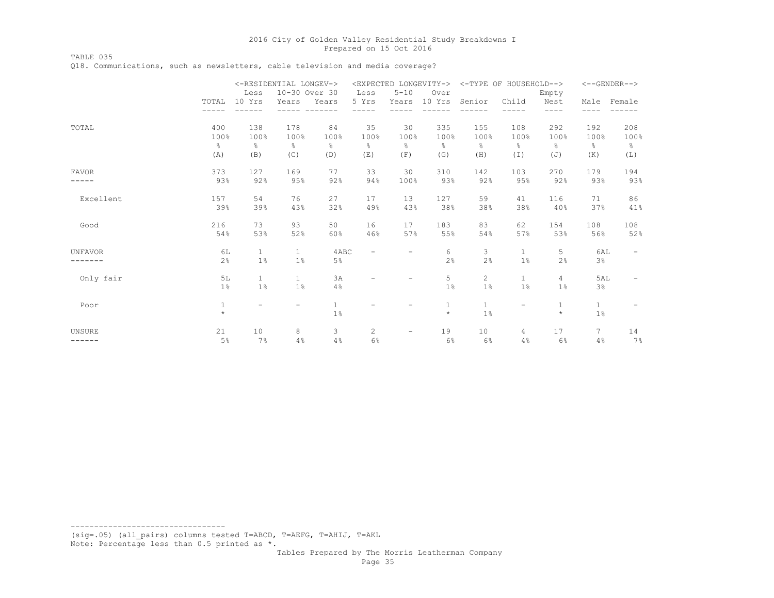TABLE 035

Q18. Communications, such as newsletters, cable television and media coverage?

|                  |                          | <-RESIDENTIAL LONGEV-><br>Less      | 10-30 Over 30                       |                                    | Less                    | <expected longevity-=""><br/><math>5 - 10</math></expected> | Over                                |                                     | <-TYPE OF HOUSEHOLD-->              | Empty                               |                                     | $<-$ -GENDER-->                     |
|------------------|--------------------------|-------------------------------------|-------------------------------------|------------------------------------|-------------------------|-------------------------------------------------------------|-------------------------------------|-------------------------------------|-------------------------------------|-------------------------------------|-------------------------------------|-------------------------------------|
|                  | TOTAL                    | 10 Yrs                              | Years                               | Years                              | 5 Yrs                   | Years                                                       | 10 Yrs                              | Senior                              | Child                               | Nest<br>----                        | Male<br>----                        | Female                              |
| TOTAL            | 400<br>100%<br>g.<br>(A) | 138<br>100%<br>$\frac{6}{6}$<br>(B) | 178<br>100%<br>$\frac{6}{6}$<br>(C) | 84<br>100%<br>$\frac{6}{6}$<br>(D) | 35<br>100%<br>옹.<br>(E) | 30<br>100%<br>$\frac{6}{5}$<br>(F)                          | 335<br>100%<br>$\frac{6}{6}$<br>(G) | 155<br>100%<br>$\frac{6}{6}$<br>(H) | 108<br>100%<br>$\frac{6}{6}$<br>(I) | 292<br>100%<br>$\frac{6}{6}$<br>(J) | 192<br>100%<br>$\frac{6}{6}$<br>(K) | 208<br>100%<br>$\frac{6}{6}$<br>(L) |
| <b>FAVOR</b>     | 373<br>93%               | 127<br>92%                          | 169<br>95%                          | 77<br>92%                          | 33<br>94%               | 30<br>100%                                                  | 310<br>93%                          | 142                                 | 103<br>95%                          | 270<br>92%                          | 179<br>93%                          | 194                                 |
| Excellent        | 157<br>39%               | 54<br>39%                           | 76<br>43%                           | 27<br>32%                          | 17<br>49%               | 13<br>43%                                                   | 127<br>38%                          | 92%<br>59<br>38%                    | 41<br>38%                           | 116<br>40%                          | 71<br>37%                           | 93%<br>86<br>41%                    |
| Good             | 216<br>54%               | 73<br>53%                           | 93<br>52%                           | 50<br>60%                          | 16<br>46%               | 17<br>57%                                                   | 183<br>55%                          | 83<br>54%                           | 62<br>57%                           | 154<br>53%                          | 108<br>56%                          | 108<br>52%                          |
| <b>UNFAVOR</b>   | 6L<br>2%                 | $\mathbf{1}$<br>$1\%$               | $\mathbf{1}$<br>1%                  | 4ABC<br>$5\%$                      |                         | -                                                           | 6<br>2%                             | 3<br>2%                             | $\mathbf{1}$<br>1%                  | 5<br>2%                             | 6AL<br>3%                           |                                     |
| Only fair        | 5L<br>$1\%$              | $\mathbf{1}$<br>$1\%$               | $\mathbf{1}$<br>1%                  | 3A<br>4%                           |                         | ۰                                                           | 5<br>$1\%$                          | 2<br>1%                             | $\mathbf{1}$<br>1%                  | $\overline{4}$<br>$1\%$             | 5AL<br>3%                           |                                     |
| Poor             | $\mathbf{1}$<br>$\star$  | $\overline{\phantom{0}}$            |                                     | $\mathbf{1}$<br>$1\%$              |                         | $\overline{\phantom{m}}$                                    | $\mathbf{1}$<br>$\star$             | $\mathbf{1}$<br>$1\%$               | $\overline{\phantom{m}}$            | $\mathbf{1}$<br>$\star$             | $\mathbf{1}$<br>1%                  |                                     |
| UNSURE<br>------ | 21<br>5%                 | 10<br>7%                            | 8<br>4%                             | 3<br>4%                            | 2<br>6%                 | -                                                           | 19<br>6%                            | 10<br>6%                            | 4<br>4%                             | 17<br>6%                            | $7\phantom{.0}$<br>4%               | 14<br>7%                            |

--------------------------------- (sig=.05) (all\_pairs) columns tested T=ABCD, T=AEFG, T=AHIJ, T=AKL Note: Percentage less than 0.5 printed as \*.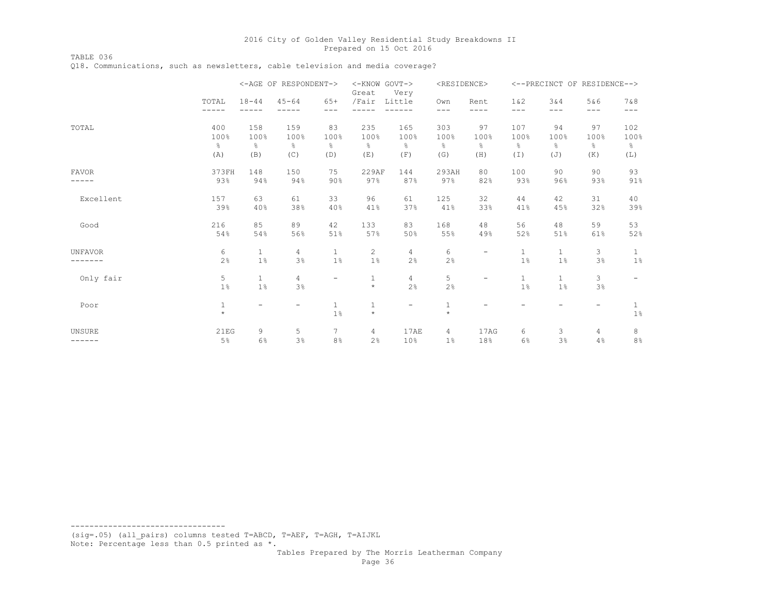TABLE 036 Q18. Communications, such as newsletters, cable television and media coverage?

|                |                         |                                | <-AGE OF RESPONDENT-> |                          | <-KNOW GOVT-><br>Great | Very                     | <residence></residence> |                          |                                |                    | <--PRECINCT OF RESIDENCE--> |                          |
|----------------|-------------------------|--------------------------------|-----------------------|--------------------------|------------------------|--------------------------|-------------------------|--------------------------|--------------------------------|--------------------|-----------------------------|--------------------------|
|                | TOTAL                   | $18 - 44$                      | $45 - 64$             | $65+$<br>---             | /Fair                  | Little                   | Own<br>---              | Rent<br>----             | 1 & 2<br>---                   | 3&4<br>$---$       | 5&6<br>$---$                | 7 & 8<br>$---$           |
| TOTAL          | 400                     | 158                            | 159                   | 83                       | 235                    | 165                      | 303                     | 97                       | 107                            | 94                 | 97                          | 102                      |
|                | 100%                    | 100%                           | 100%                  | 100%                     | 100%                   | 100%                     | 100%                    | 100%                     | 100%                           | 100%               | 100%                        | 100%                     |
|                | $\frac{6}{5}$           | $\frac{6}{6}$                  | $\frac{6}{6}$         | $\frac{6}{6}$            | 옹                      | $\frac{6}{6}$            | $\frac{6}{6}$           | $\frac{6}{6}$            | $\frac{6}{6}$                  | $\frac{6}{5}$      | $\%$                        | $\frac{6}{6}$            |
|                | (A)                     | (B)                            | (C)                   | (D)                      | (E)                    | (F)                      | (G)                     | (H)                      | (I)                            | (J)                | (K)                         | (L)                      |
| <b>FAVOR</b>   | 373FH                   | 148                            | 150                   | 75                       | 229AF                  | 144                      | 293AH                   | 80                       | 100                            | 90                 | 90                          | 93                       |
|                | 93%                     | 94%                            | 94%                   | 90%                      | 97%                    | 87%                      | 97%                     | 82%                      | 93%                            | 96%                | 93%                         | 91%                      |
| Excellent      | 157                     | 63                             | 61                    | 33                       | 96                     | 61                       | 125                     | 32                       | 44                             | 42                 | 31                          | 40                       |
|                | 39%                     | 40%                            | 38%                   | 40%                      | 41%                    | 37%                      | 41%                     | 33%                      | 41%                            | 45%                | 32%                         | 39%                      |
| Good           | 216                     | 85                             | 89                    | 42                       | 133                    | 83                       | 168                     | 48                       | 56                             | 48                 | 59                          | 53                       |
|                | 54%                     | 54%                            | 56%                   | 51%                      | 57%                    | 50%                      | 55%                     | 49%                      | 52%                            | 51%                | 61%                         | 52%                      |
| <b>UNFAVOR</b> | 6                       | $\mathbf{1}$                   | 4                     | 1                        | 2                      | $\overline{4}$           | 6                       | $\overline{\phantom{m}}$ | $\mathbf{1}$                   | $\mathbf{1}$       | 3                           | $\mathbf{1}$             |
| -----          | 2%                      | $1\%$                          | 3%                    | $1\%$                    | 1%                     | 2%                       | 2%                      |                          | $1\%$                          | 1%                 | 3%                          | $1\%$                    |
| Only fair      | 5<br>1%                 | $\mathbf{1}$<br>1 <sup>°</sup> | $\overline{4}$<br>3%  | $\overline{\phantom{0}}$ | 1<br>$\star$           | $\overline{4}$<br>2%     | 5<br>2%                 | $\overline{\phantom{a}}$ | $\mathbf{1}$<br>1 <sup>°</sup> | $\mathbf{1}$<br>1% | 3<br>3%                     | $\overline{\phantom{a}}$ |
| Poor           | $\mathbf{1}$<br>$\star$ | $\overline{\phantom{a}}$       |                       | $\mathbf{1}$<br>$1\%$    | 1<br>$\star$           | $\overline{\phantom{a}}$ | $\mathbf{1}$<br>$\star$ |                          |                                |                    |                             | $\mathbf{1}$<br>$1\%$    |
| UNSURE         | 21EG                    | 9                              | 5                     | $7\overline{ }$          | 4                      | 17AE                     | 4                       | 17AG                     | 6                              | 3                  | 4                           | 8                        |
| ------         | 5%                      | 6%                             | 3%                    | 8%                       | 2%                     | 10%                      | 1%                      | 18%                      | 6%                             | 3%                 | 4%                          | 8%                       |

--------------------------------- (sig=.05) (all\_pairs) columns tested T=ABCD, T=AEF, T=AGH, T=AIJKL Note: Percentage less than 0.5 printed as \*.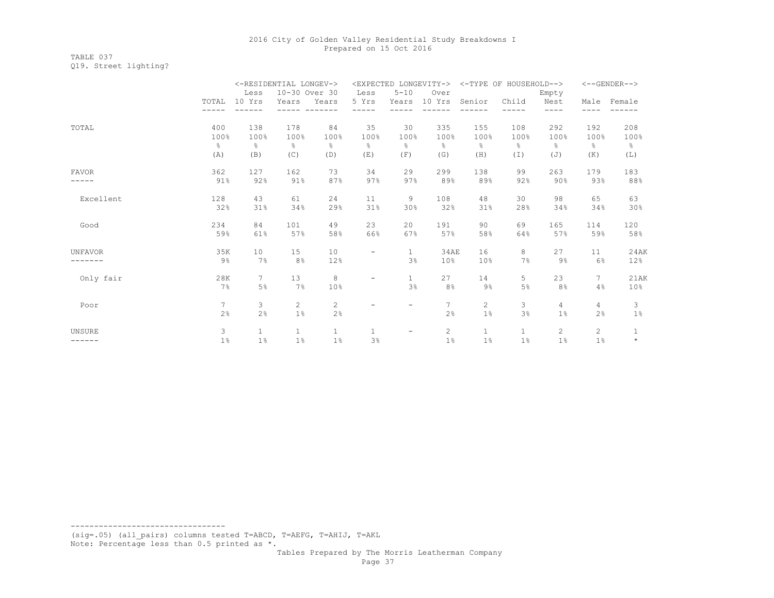TABLE 037 Q19. Street lighting?

|                |       | <-RESIDENTIAL LONGEV-> |                |                |                          |              | <expected longevity-=""></expected> | <-TYPE OF HOUSEHOLD--> |               |               |                 | <--GENDER-->    |
|----------------|-------|------------------------|----------------|----------------|--------------------------|--------------|-------------------------------------|------------------------|---------------|---------------|-----------------|-----------------|
|                |       | Less                   | 10-30 Over 30  |                | Less                     | $5 - 10$     | Over                                |                        |               | Empty         |                 |                 |
|                | TOTAL | 10 Yrs                 | Years          | Years          | 5 Yrs                    | Years        | 10 Yrs                              | Senior                 | Child         | Nest          | Male            | Female          |
|                |       |                        |                |                |                          |              |                                     |                        |               | ----          |                 |                 |
| TOTAL          | 400   | 138                    | 178            | 84             | 35                       | 30           | 335                                 | 155                    | 108           | 292           | 192             | 208             |
|                | 100%  | 100%                   | 100%           | 100%           | 100%                     | 100%         | 100%                                | 100%                   | 100%          | 100%          | 100%            | 100%            |
|                | ိင    | ⊱                      | $\approx$      | g.             | $\approx$                | န္           | ⊱                                   | $\frac{6}{6}$          | $\frac{6}{6}$ | $\frac{6}{6}$ | ိင              | $\frac{6}{6}$   |
|                | (A)   | (B)                    | (C)            | (D)            | (E)                      | (F)          | (G)                                 | (H)                    | $(\top)$      | (J)           | (K)             | (L)             |
| <b>FAVOR</b>   | 362   | 127                    | 162            | 73             | 34                       | 29           | 299                                 | 138                    | 99            | 263           | 179             | 183             |
|                | 91%   | 92%                    | 91%            | 87%            | 97%                      | 97%          | 89%                                 | 89%                    | 92%           | 90%           | 93%             | 88%             |
| Excellent      | 128   | 43                     | 61             | 24             | 11                       | 9            | 108                                 | 48                     | 30            | 98            | 65              | 63              |
|                | 32%   | 31%                    | 34%            | 29%            | 31%                      | 30%          | 32%                                 | 31%                    | 28%           | 34%           | 34%             | 30%             |
| Good           | 234   | 84                     | 101            | 49             | 23                       | 20           | 191                                 | 90                     | 69            | 165           | 114             | 120             |
|                | 59%   | 61%                    | 57%            | 58%            | 66%                      | 67%          | 57%                                 | 58%                    | 64%           | 57%           | 59%             | 58%             |
| <b>UNFAVOR</b> | 35K   | 10                     | 15             | 10             | $\overline{\phantom{0}}$ | $\mathbf{1}$ | 34AE                                | 16                     | 8             | 27            | 11              | 24AK            |
|                | $9\%$ | 7%                     | 8%             | 12%            |                          | 3%           | 10%                                 | 10%                    | 7%            | $9\%$         | 6%              | 12%             |
| Only fair      | 28K   | $7^{\circ}$            | 13             | 8              | -                        | $\mathbf{1}$ | 27                                  | 14                     | 5             | 23            | $7\phantom{.0}$ | 21AK            |
|                | 7%    | 5%                     | 7%             | 10%            |                          | 3%           | 8 <sup>°</sup>                      | $9\%$                  | $5\%$         | 8%            | 4%              | 10 <sup>°</sup> |
| Poor           | 7     | 3                      | $\overline{c}$ | $\overline{c}$ | $\overline{\phantom{0}}$ | -            | $\overline{7}$                      | $\overline{2}$         | 3             | 4             | $\overline{4}$  | 3               |
|                | 2%    | 2%                     | 1%             | 2%             |                          |              | 2%                                  | $1\%$                  | 3%            | $1\%$         | 2%              | 1%              |
| <b>UNSURE</b>  | 3     | $\mathbf{1}$           | $\mathbf{1}$   | $\mathbf{1}$   | $\mathbf{1}$             | -            | 2                                   | $\mathbf{1}$           | $\mathbf{1}$  | 2             | $\overline{c}$  | 1               |
| ------         | 1%    | $1\%$                  | $1\%$          | 1%             | 3%                       |              | $1\%$                               | 1%                     | $1\%$         | 1%            | 1%              | $\star$         |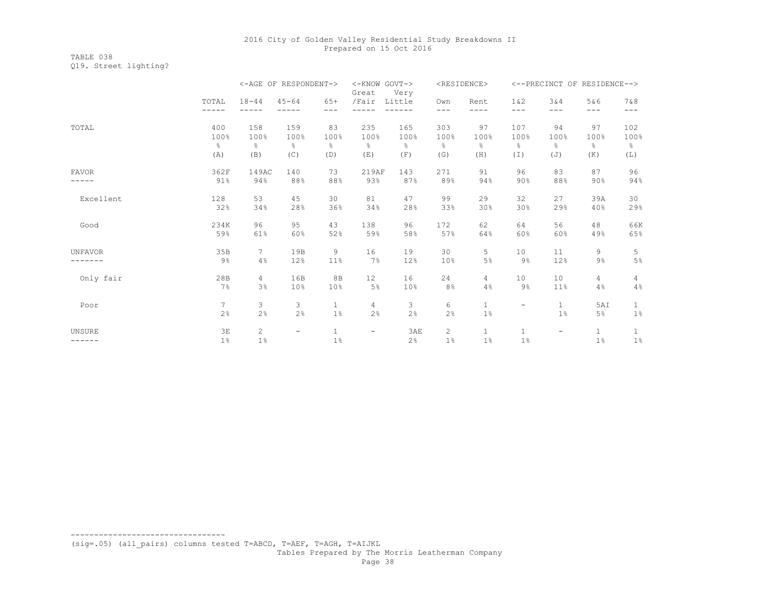TABLE 038 Q19. Street lighting?

|               |       |                | <-AGE OF RESPONDENT-> |                | <-KNOW GOVT-><br>Great   | Very   |                       | <residence></residence> |                          |                          | <--PRECINCT OF RESIDENCE--> |               |
|---------------|-------|----------------|-----------------------|----------------|--------------------------|--------|-----------------------|-------------------------|--------------------------|--------------------------|-----------------------------|---------------|
|               | TOTAL | $18 - 44$      | $45 - 64$             | $65+$          | /Fair                    | Little | Own                   | Rent                    | 1 & 2                    | 3&4                      | 5&6                         | 7 & 8         |
|               | ----- |                |                       | $---$          |                          |        | $---$                 | ----                    | $---$                    | $---$                    | $---$                       | $---$         |
| TOTAL         | 400   | 158            | 159                   | 83             | 235                      | 165    | 303                   | 97                      | 107                      | 94                       | 97                          | 102           |
|               | 100%  | 100%           | 100%                  | 100%           | 100%                     | 100%   | 100%                  | 100%                    | 100%                     | 100%                     | 100%                        | 100%          |
|               | g.    | ⊱              | ိင                    | 옹              | ⊱                        | &      | ⊱                     | g.                      | 옹                        | $\frac{6}{5}$            | g.                          | $\frac{6}{6}$ |
|               | (A)   | (B)            | (C)                   | (D)            | (E)                      | (F)    | (G)                   | (H)                     | (I)                      | (J)                      | (K)                         | (L)           |
| <b>FAVOR</b>  | 362F  | 149AC          | 140                   | 73             | 219AF                    | 143    | 271                   | 91                      | 96                       | 83                       | 87                          | 96            |
|               | 91%   | 94%            | 88%                   | 88%            | 93%                      | 87%    | 89%                   | 94%                     | 90%                      | 88%                      | 90%                         | 94%           |
| Excellent     | 128   | 53             | 45                    | 30             | 81                       | 47     | 99                    | 29                      | 32                       | 27                       | 39A                         | 30            |
|               | 32%   | 34%            | 28%                   | 36%            | 34%                      | 28%    | 33%                   | 30%                     | 30%                      | 29%                      | 40%                         | 29%           |
| Good          | 234K  | 96             | 95                    | 43             | 138                      | 96     | 172                   | 62                      | 64                       | 56                       | 48                          | 66K           |
|               | 59%   | 61%            | 60%                   | 52%            | 59%                      | 58%    | 57%                   | 64%                     | 60%                      | 60%                      | 49%                         | 65%           |
| UNFAVOR       | 35B   | 7              | 19B                   | 9              | 16                       | 19     | 30                    | 5                       | 10                       | 11                       | 9                           | 5             |
|               | $9\%$ | 4%             | 12%                   | 11%            | 7%                       | 12%    | 10%                   | 5%                      | $9\%$                    | 12%                      | $9\%$                       | 5%            |
| Only fair     | 28B   | 4              | 16B                   | 8 <sub>B</sub> | 12                       | 16     | 24                    | 4                       | 10                       | 10                       | 4                           | 4             |
|               | 7%    | 3%             | 10%                   | 10%            | 5%                       | 10%    | 8%                    | 4%                      | $9\%$                    | $11\%$                   | 4%                          | 4%            |
| Poor          | 7     | 3              | 3                     | 1              | 4                        | 3      | 6                     | $\mathbf{1}$            | $\overline{\phantom{0}}$ | $\mathbf{1}$             | 5AI                         | 1             |
|               | 2%    | 2%             | 2%                    | 1 <sup>°</sup> | 2%                       | 2%     | 2%                    | $1\%$                   |                          | $1\%$                    | 5%                          | $1\%$         |
| <b>UNSURE</b> | 3E    | $\overline{2}$ | Ξ.                    | $\mathbf{1}$   | $\overline{\phantom{a}}$ | 3AE    | $\mathbf{2}^{\prime}$ | $\mathbf{1}$            | $\mathbf{1}$             | $\overline{\phantom{0}}$ | $\mathbf{1}$                | $\mathbf{1}$  |
| ------        | 1%    | $1\%$          |                       | $1\%$          |                          | 2%     | $1\%$                 | 1%                      | $1\%$                    |                          | $1\%$                       | $1\%$         |

(sig=.05) (all\_pairs) columns tested T=ABCD, T=AEF, T=AGH, T=AIJKL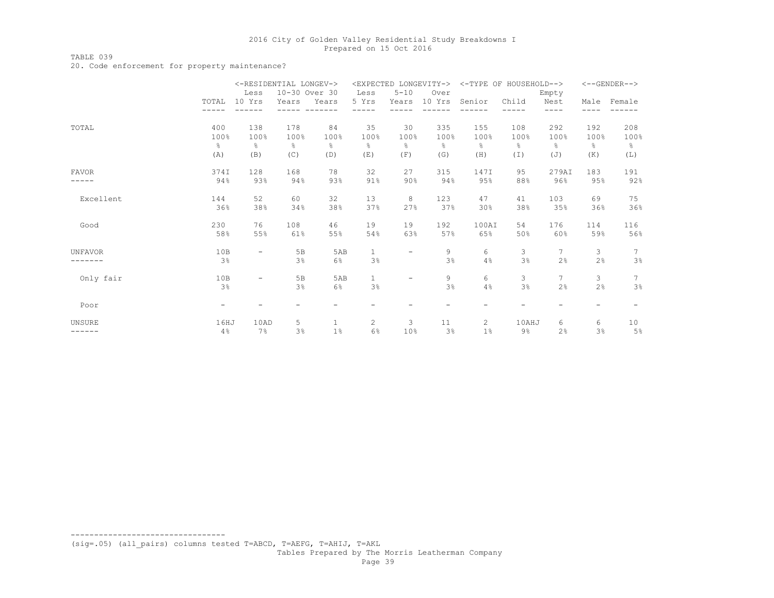### TABLE 039

20. Code enforcement for property maintenance?

|               |                          | <-RESIDENTIAL LONGEV->   |               |              |                       |                          | <expected longevity-=""></expected> |        | <-TYPE OF HOUSEHOLD--> |               |      | $<-$ -GENDER--> |
|---------------|--------------------------|--------------------------|---------------|--------------|-----------------------|--------------------------|-------------------------------------|--------|------------------------|---------------|------|-----------------|
|               |                          | Less                     | 10-30 Over 30 |              | Less                  | $5 - 10$                 | Over                                |        |                        | Empty         |      |                 |
|               | TOTAL                    | 10 Yrs                   | Years         | Years        | 5 Yrs                 | Years                    | 10 Yrs                              | Senior | Child                  | Nest          |      | Male Female     |
|               |                          |                          |               |              |                       |                          |                                     |        |                        | ----          | ---- |                 |
| TOTAL         | 400                      | 138                      | 178           | 84           | 35                    | 30                       | 335                                 | 155    | 108                    | 292           | 192  | 208             |
|               | 100%                     | 100%                     | 100%          | 100%         | 100%                  | 100%                     | 100%                                | 100%   | 100%                   | 100%          | 100% | 100%            |
|               | g.                       | g.                       | $\frac{6}{6}$ | ⊱            | o.                    | g.                       | ⊱                                   | g.     | ⊱                      | $\frac{6}{5}$ | g.   | g.              |
|               | (A)                      | (B)                      | (C)           | (D)          | (E)                   | (F)                      | (G)                                 | (H)    | $(\top)$               | (J)           | (K)  | (L)             |
| <b>FAVOR</b>  | 374I                     | 128                      | 168           | 78           | 32                    | 27                       | 315                                 | 147I   | 95                     | 279AI         | 183  | 191             |
| -----         | 94%                      | 93%                      | 94%           | 93%          | 91%                   | 90%                      | 94%                                 | 95%    | 88%                    | 96%           | 95%  | 92%             |
| Excellent     | 144                      | 52                       | 60            | 32           | 13                    | 8                        | 123                                 | 47     | 41                     | 103           | 69   | 75              |
|               | 36%                      | 38%                      | 34%           | 38%          | 37%                   | 27%                      | 37%                                 | 30%    | 38%                    | 35%           | 36%  | 36%             |
| Good          | 230                      | 76                       | 108           | 46           | 19                    | 19                       | 192                                 | 100AI  | 54                     | 176           | 114  | 116             |
|               | 58%                      | 55%                      | 61%           | 55%          | 54%                   | 63%                      | 57%                                 | 65%    | 50%                    | 60%           | 59%  | 56%             |
| UNFAVOR       | 10B                      | $\overline{\phantom{0}}$ | 5B            | 5AB          | $\mathbf{1}$          | $\overline{\phantom{a}}$ | 9                                   | 6      | 3                      | 7             | 3    | 7               |
|               | 3%                       |                          | 3%            | 6%           | 3%                    |                          | 3%                                  | 4%     | 3%                     | 2%            | 2%   | 3%              |
| Only fair     | 10B                      | $\overline{\phantom{0}}$ | 5B            | 5AB          | $\mathbf{1}$          | $\overline{\phantom{m}}$ | 9                                   | 6      | 3                      | $7^{\circ}$   | 3    | 7               |
|               | 3%                       |                          | 3%            | 6%           | 3%                    |                          | 3%                                  | 4%     | 3%                     | 2%            | 2%   | 3%              |
| Poor          | $\overline{\phantom{a}}$ |                          |               |              |                       | -                        |                                     |        |                        |               |      |                 |
| <b>UNSURE</b> | 16HJ                     | 10AD                     | 5             | $\mathbf{1}$ | $\mathbf{2}^{\prime}$ | 3                        | 11                                  | 2      | 10AHJ                  | 6             | 6    | 10              |
| .             | 4%                       | 7%                       | 3%            | $1\%$        | 6%                    | 10%                      | 3%                                  | $1\%$  | $9\%$                  | 2%            | 3%   | 5%              |

(sig=.05) (all\_pairs) columns tested T=ABCD, T=AEFG, T=AHIJ, T=AKL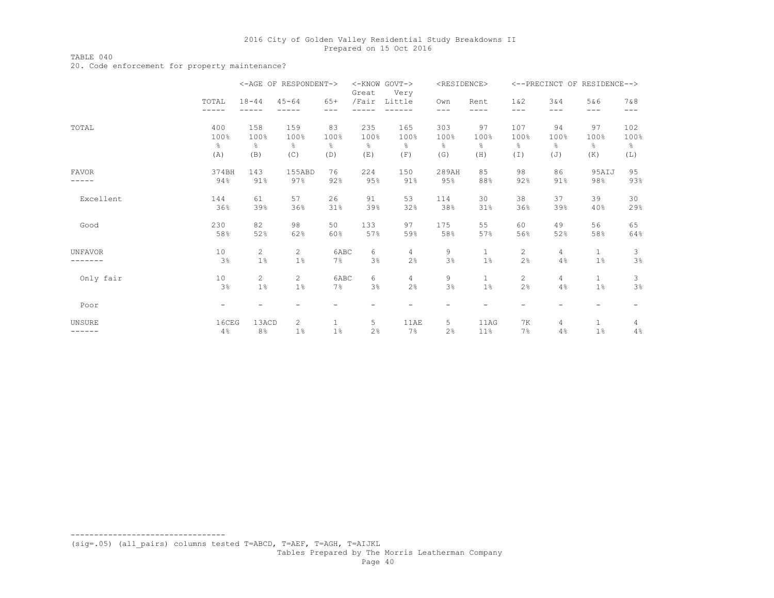### TABLE 040

20. Code enforcement for property maintenance?

|                |                          |                       | <-AGE OF RESPONDENT-> |                | Great | <-KNOW GOVT-><br>Very | <residence></residence> |               |                       |               | <--PRECINCT OF RESIDENCE--> |                |
|----------------|--------------------------|-----------------------|-----------------------|----------------|-------|-----------------------|-------------------------|---------------|-----------------------|---------------|-----------------------------|----------------|
|                | TOTAL                    | $18 - 44$             | $45 - 64$             | $65+$<br>$---$ | /Fair | Little                | Own<br>$---$            | Rent<br>----  | 1 & 2<br>---          | 3&4<br>$---$  | 5&6<br>$---$                | 7 & 8<br>$---$ |
| TOTAL          | 400                      | 158                   | 159                   | 83             | 235   | 165                   | 303                     | 97            | 107                   | 94            | 97                          | 102            |
|                | 100%                     | 100%                  | 100%                  | 100%           | 100%  | 100%                  | 100%                    | 100%          | 100%                  | 100%          | 100%                        | 100%           |
|                | g.                       | g.                    | $\frac{6}{5}$         | 옹              | ⊱     | $\frac{6}{5}$         | ⊱                       | $\frac{6}{6}$ | 옹                     | $\frac{6}{5}$ | 옹                           | 옹              |
|                | (A)                      | (B)                   | (C)                   | (D)            | (E)   | (F)                   | (G)                     | (H)           | (I)                   | (J)           | (K)                         | (L)            |
| FAVOR          | 374BH                    | 143                   | 155ABD                | 76             | 224   | 150                   | 289AH                   | 85            | 98                    | 86            | 95AIJ                       | 95             |
| -----          | 94%                      | 91%                   | 97%                   | 92%            | 95%   | 91%                   | 95%                     | 88%           | 92%                   | 91%           | 98%                         | 93%            |
| Excellent      | 144                      | 61                    | 57                    | 26             | 91    | 53                    | 114                     | 30            | 38                    | 37            | 39                          | 30             |
|                | 36%                      | 39%                   | 36%                   | 31%            | 39%   | 32%                   | 38%                     | 31%           | 36%                   | 39%           | 40%                         | 29%            |
| Good           | 230                      | 82                    | 98                    | 50             | 133   | 97                    | 175                     | 55            | 60                    | 49            | 56                          | 65             |
|                | 58%                      | 52%                   | 62%                   | 60%            | 57%   | 59%                   | 58%                     | 57%           | 56%                   | 52%           | 58%                         | 64%            |
| <b>UNFAVOR</b> | 10                       | $\mathbf{2}^{\prime}$ | $\overline{2}$        | 6ABC           | 6     | $\overline{4}$        | 9                       | $\mathbf{1}$  | $\mathbf{2}$          | 4             | $\mathbf{1}$                | 3              |
|                | 3%                       | 1%                    | $1\%$                 | $7\%$          | 3%    | 2%                    | 3%                      | 1%            | 2%                    | 4%            | $1\%$                       | 3%             |
| Only fair      | 10                       | $\mathbf{2}^{\prime}$ | $\overline{2}$        | 6ABC           | 6     | $\overline{4}$        | 9                       | $\mathbf{1}$  | $\mathbf{2}^{\prime}$ | 4             | $\mathbf{1}$                | 3              |
|                | 3%                       | $1\%$                 | $1\%$                 | $7\%$          | 3%    | 2%                    | 3%                      | $1\%$         | 2%                    | 4%            | $1\%$                       | 3%             |
| Poor           | $\overline{\phantom{a}}$ | -                     |                       |                | -     | -                     | -                       |               |                       |               | -                           | -              |
| <b>UNSURE</b>  | 16CEG                    | 13ACD                 | 2                     | $\mathbf{1}$   | 5     | 11AE                  | 5                       | 11AG          | <b>7K</b>             | 4             | $\mathbf{1}$                | 4              |
| ------         | 4%                       | 8%                    | $1\%$                 | $1\%$          | 2%    | 7%                    | 2%                      | 11%           | 7%                    | 4%            | 1%                          | 4%             |

(sig=.05) (all\_pairs) columns tested T=ABCD, T=AEF, T=AGH, T=AIJKL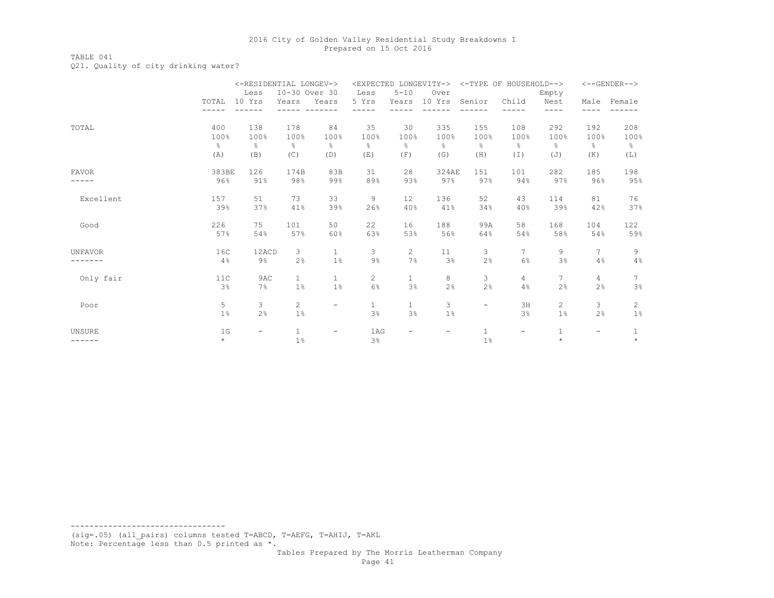# TABLE 041

Q21. Quality of city drinking water?

|                |           | <-RESIDENTIAL LONGEV-> |                |                   |                |              | <expected longevity-=""></expected> |                          | <-TYPE OF HOUSEHOLD--> |                 |                          | $<-$ -GENDER--> |
|----------------|-----------|------------------------|----------------|-------------------|----------------|--------------|-------------------------------------|--------------------------|------------------------|-----------------|--------------------------|-----------------|
|                |           | Less                   | 10-30 Over 30  |                   | Less           | $5 - 10$     | Over                                |                          |                        | Empty           |                          |                 |
|                | TOTAL     | 10 Yrs                 | Years          | Years             | 5 Yrs          | Years        | 10 Yrs                              | Senior                   | Child                  | Nest            | Male                     | Female          |
|                |           |                        |                |                   |                |              |                                     |                          |                        | ----            |                          |                 |
| TOTAL          | 400       | 138                    | 178            | 84                | 35             | 30           | 335                                 | 155                      | 108                    | 292             | 192                      | 208             |
|                | 100%      | 100%                   | 100%           | 100%              | 100%           | 100%         | 100%                                | 100%                     | 100%                   | 100%            | 100%                     | 100%            |
|                | $\approx$ | 욲                      | $\frac{6}{6}$  | g.                | $\approx$      | ⊱            | $\frac{6}{5}$                       | $\approx$                | 응                      | $\frac{6}{6}$   | g.                       | $\frac{6}{5}$   |
|                | (A)       | (B)                    | (C)            | (D)               | (E)            | (F)          | (G)                                 | (H)                      | $(\top)$               | (J)             | (K)                      | (L)             |
| FAVOR          | 383BE     | 126                    | 174B           | 83B               | 31             | 28           | 324AE                               | 151                      | 101                    | 282             | 185                      | 198             |
|                | 96%       | 91%                    | 98%            | 99%               | 89%            | 93%          | 97%                                 | 97%                      | 94%                    | 97%             | 96%                      | 95%             |
| Excellent      | 157       | 51                     | 73             | 33                | 9              | 12           | 136                                 | 52                       | 43                     | 114             | 81                       | 76              |
|                | 39%       | 37%                    | 41%            | 39%               | 26%            | 40%          | 41%                                 | 34%                      | 40%                    | 39%             | 42%                      | 37%             |
| Good           | 226       | 75                     | 101            | 50                | 22             | 16           | 188                                 | 99A                      | 58                     | 168             | 104                      | 122             |
|                | 57%       | 54%                    | 57%            | 60%               | 63%            | 53%          | 56%                                 | 64%                      | 54%                    | 58%             | 54%                      | 59%             |
| <b>UNFAVOR</b> | 16C       | 12ACD                  | 3              | $\mathbf{1}$      | 3              | 2            | 11                                  | 3                        | 7                      | 9               | 7                        | 9               |
|                | 4%        | $9\%$                  | 2%             | $1\%$             | $9\%$          | 7%           | 3%                                  | 2%                       | 6%                     | 3%              | 4%                       | 4%              |
| Only fair      | 11C       | 9AC                    | $\mathbf{1}$   | $\mathbf{1}$      | $\overline{c}$ | $\mathbf{1}$ | 8                                   | 3                        | 4                      | $7\overline{ }$ | 4                        | $7\phantom{.0}$ |
|                | 3%        | 7%                     | $1\%$          | $1\%$             | 6%             | 3%           | 2%                                  | 2%                       | 4%                     | 2%              | 2%                       | 3%              |
| Poor           | 5         | 3                      | $\overline{2}$ | Ξ.                | $\mathbf{1}$   | $\mathbf{1}$ | 3                                   | $\overline{\phantom{m}}$ | 3H                     | $\overline{2}$  | 3                        | 2               |
|                | 1%        | 2%                     | $1\%$          |                   | 3%             | 3%           | $1\%$                               |                          | 3%                     | $1\%$           | 2%                       | $1\%$           |
| UNSURE         | 1G        | -                      | $\mathbf{1}$   | $\qquad \qquad -$ | 1AG            | -            |                                     | $\mathbf{1}$             | Ξ.                     | $\mathbf{1}$    | $\overline{\phantom{0}}$ | 1               |
| ------         | $\star$   |                        | $1\%$          |                   | 3%             |              |                                     | $1\%$                    |                        | $\star$         |                          | $\star$         |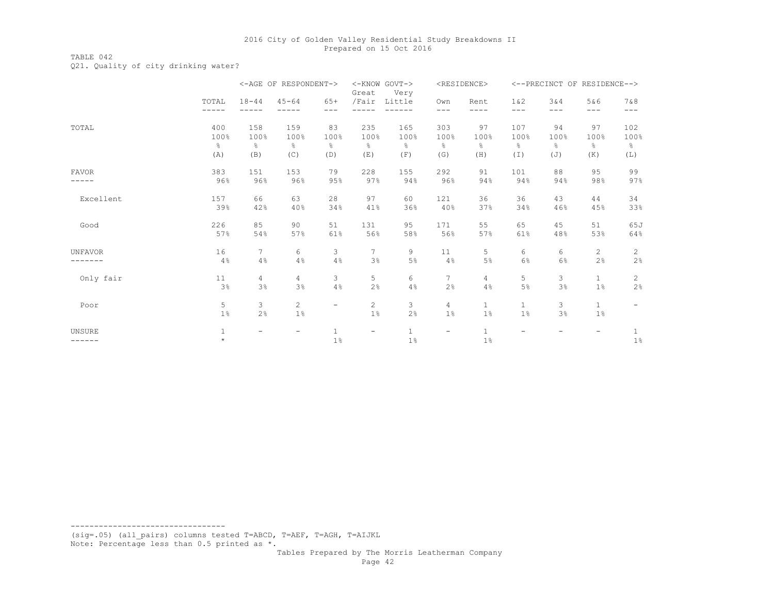TABLE 042 Q21. Quality of city drinking water?

|                |                |                | <-AGE OF RESPONDENT-> |                          | <-KNOW GOVT-><br>Great   | Very         |                 | <residence></residence> |                |              | <--PRECINCT OF RESIDENCE--> |                          |
|----------------|----------------|----------------|-----------------------|--------------------------|--------------------------|--------------|-----------------|-------------------------|----------------|--------------|-----------------------------|--------------------------|
|                | TOTAL<br>----- | $18 - 44$      | $45 - 64$             | $65+$<br>$- - -$         | /Fair                    | Little       | Own<br>$- - -$  | Rent<br>----            | 1 & 2<br>$---$ | 3&4<br>$---$ | 5&6<br>$- - -$              | 7 & 8<br>$---$           |
|                |                |                |                       |                          |                          |              |                 |                         |                |              |                             |                          |
| TOTAL          | 400<br>100%    | 158<br>100%    | 159<br>100%           | 83<br>100%               | 235<br>100%              | 165<br>100%  | 303<br>100%     | 97<br>100%              | 107<br>100%    | 94<br>100%   | 97<br>100%                  | 102<br>100%              |
|                | န္             | ⊱              | 옹                     | $\frac{6}{6}$            | $\frac{6}{5}$            | ိင           | g.              | ိင                      | 옹              | 옹            | 응                           | $\frac{6}{6}$            |
|                | (A)            | (B)            | (C)                   | (D)                      | (E)                      | (F)          | (G)             | (H)                     | (I)            | (J)          | (K)                         | (L)                      |
| FAVOR          | 383            | 151            | 153                   | 79                       | 228                      | 155          | 292             | 91                      | 101            | 88           | 95                          | 99                       |
|                | 96%            | 96%            | 96%                   | 95%                      | 97%                      | 94%          | 96%             | 94%                     | 94%            | 94%          | 98%                         | 97%                      |
| Excellent      | 157            | 66             | 63                    | 28                       | 97                       | 60           | 121             | 36                      | 36             | 43           | 44                          | 34                       |
|                | 39%            | 42%            | 40%                   | 34%                      | 41%                      | 36%          | 40%             | 37%                     | 34%            | 46%          | 45%                         | 33%                      |
| Good           | 226            | 85             | 90                    | 51                       | 131                      | 95           | 171             | 55                      | 65             | 45           | 51                          | 65J                      |
|                | 57%            | 54%            | 57%                   | 61%                      | 56%                      | 58%          | 56%             | 57%                     | 61%            | 48%          | 53%                         | 64%                      |
| <b>UNFAVOR</b> | 16             | 7              | 6                     | 3                        | 7                        | 9            | 11              | 5                       | 6              | 6            | 2                           | 2                        |
|                | 4%             | 4%             | 4%                    | 4%                       | 3%                       | 5%           | 4%              | $5\%$                   | 6%             | 6%           | 2%                          | 2%                       |
| Only fair      | 11             | $\overline{4}$ | 4                     | $\mathbf{3}$             | 5                        | 6            | $7\overline{ }$ | $\overline{4}$          | 5              | 3            | $\mathbf{1}$                | $\sqrt{2}$               |
|                | 3%             | 3%             | 3%                    | 4%                       | 2%                       | 4%           | 2%              | 4%                      | 5%             | 3%           | $1\%$                       | 2%                       |
| Poor           | 5              | 3              | 2                     | $\overline{\phantom{a}}$ | 2                        | 3            | 4               | $\mathbf{1}$            | $\mathbf{1}$   | 3            | $\mathbf{1}$                | $\overline{\phantom{a}}$ |
|                | $1\%$          | 2%             | $1\%$                 |                          | $1\%$                    | 2%           | 1%              | $1\%$                   | 1%             | 3%           | 1%                          |                          |
| <b>UNSURE</b>  | 1              | -              |                       | $\mathbf{1}$             | $\overline{\phantom{a}}$ | $\mathbf{1}$ | Ξ.              | $\mathbf{1}$            |                |              |                             | $\mathbf{1}$             |
| ------         | $\star$        |                |                       | $1\%$                    |                          | $1\%$        |                 | 1%                      |                |              |                             | $1\%$                    |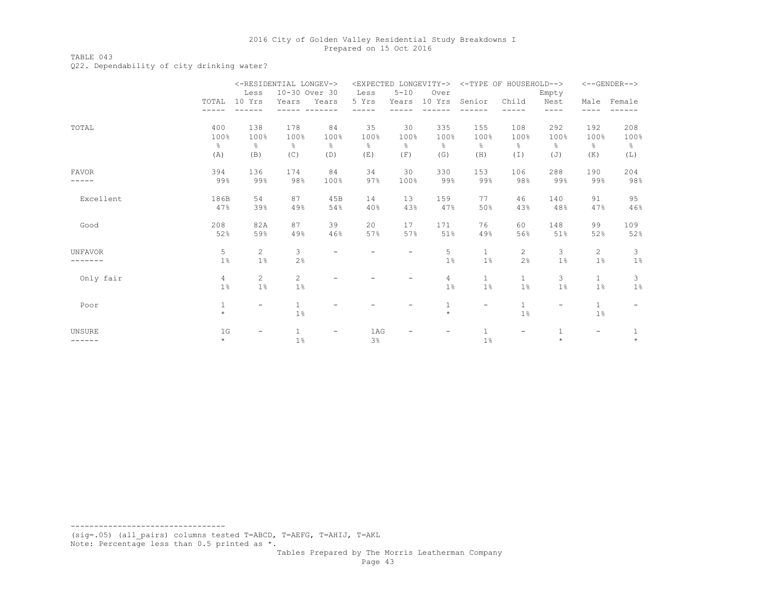# TABLE 043

Q22. Dependability of city drinking water?

|                |               |                          | <-RESIDENTIAL LONGEV-> |                          |               |               | <expected longevity-=""></expected> |                          | <-TYPE OF HOUSEHOLD--> |               |               | $<-$ -GENDER--> |
|----------------|---------------|--------------------------|------------------------|--------------------------|---------------|---------------|-------------------------------------|--------------------------|------------------------|---------------|---------------|-----------------|
|                |               | Less                     | 10-30 Over 30          |                          | Less          | $5 - 10$      | Over                                |                          |                        | Empty         |               |                 |
|                | TOTAL         | 10 Yrs                   | Years                  | Years                    | 5 Yrs         | Years         | 10 Yrs                              | Senior                   | Child                  | Nest          | Male          | Female          |
|                |               |                          |                        |                          |               |               |                                     |                          |                        | ----          |               |                 |
| TOTAL          | 400           | 138                      | 178                    | 84                       | 35            | 30            | 335                                 | 155                      | 108                    | 292           | 192           | 208             |
|                | 100%          | 100%                     | 100%                   | 100%                     | 100%          | 100%          | 100%                                | 100%                     | 100%                   | 100%          | 100%          | 100%            |
|                | $\frac{6}{5}$ | $\frac{6}{6}$            | $\frac{6}{6}$          | $\frac{6}{6}$            | $\frac{6}{6}$ | $\frac{6}{6}$ | $\frac{6}{5}$                       | ိင                       | $\frac{6}{6}$          | $\frac{6}{6}$ | $\frac{6}{6}$ | $\frac{6}{6}$   |
|                | (A)           | (B)                      | (C)                    | (D)                      | (E)           | (F)           | (G)                                 | (H)                      | (I)                    | (J)           | (K)           | (L)             |
| <b>FAVOR</b>   | 394           | 136                      | 174                    | 84                       | 34            | 30            | 330                                 | 153                      | 106                    | 288           | 190           | 204             |
|                | 99%           | 99%                      | 98%                    | 100%                     | 97%           | 100%          | 99%                                 | 99%                      | 98%                    | 99%           | 99%           | 98%             |
| Excellent      | 186B          | 54                       | 87                     | 45B                      | 14            | 13            | 159                                 | 77                       | 46                     | 140           | 91            | 95              |
|                | 47%           | 39%                      | 49%                    | 54%                      | 40%           | 43%           | 47%                                 | 50%                      | 43%                    | 48%           | 47%           | 46%             |
| Good           | 208           | 82A                      | 87                     | 39                       | 20            | 17            | 171                                 | 76                       | 60                     | 148           | 99            | 109             |
|                | 52%           | 59%                      | 49%                    | 46%                      | 57%           | 57%           | 51%                                 | 49%                      | 56%                    | 51%           | 52%           | 52%             |
| <b>UNFAVOR</b> | 5             | $\overline{2}$           | 3                      | $\overline{\phantom{0}}$ |               | -             | 5                                   | $\mathbf{1}$             | $\mathbf{2}^{\prime}$  | 3             | 2             | 3               |
|                | 1%            | $1\%$                    | 2%                     |                          |               |               | $1\%$                               | 1%                       | 2%                     | 1%            | 1%            | 1 <sup>°</sup>  |
| Only fair      | 4             | $\overline{c}$           | 2                      |                          |               |               | 4                                   | $\mathbf{1}$             | $\mathbf{1}$           | 3             | $\mathbf{1}$  | 3               |
|                | 1%            | $1\%$                    | $1\%$                  |                          |               |               | $1\%$                               | $1\%$                    | $1\%$                  | 1%            | 1%            | $1\%$           |
| Poor           | $\mathbf{1}$  | $\overline{\phantom{0}}$ | $\mathbf{1}$           |                          |               |               | $\mathbf{1}$                        | $\overline{\phantom{a}}$ | $\mathbf{1}$           | Ξ.            | $\mathbf{1}$  | -               |
|                | $\star$       |                          | $1\%$                  |                          |               |               | $\star$                             |                          | $1\%$                  |               | $1\%$         |                 |
| UNSURE         | 1G            |                          | $\mathbf{1}$           |                          | 1AG           |               |                                     | $\mathbf{1}$             | -                      | $\mathbf{1}$  | -             | 1               |
| ------         | $\star$       |                          | $1\%$                  |                          | 3%            |               |                                     | $1\%$                    |                        | $\star$       |               | $\star$         |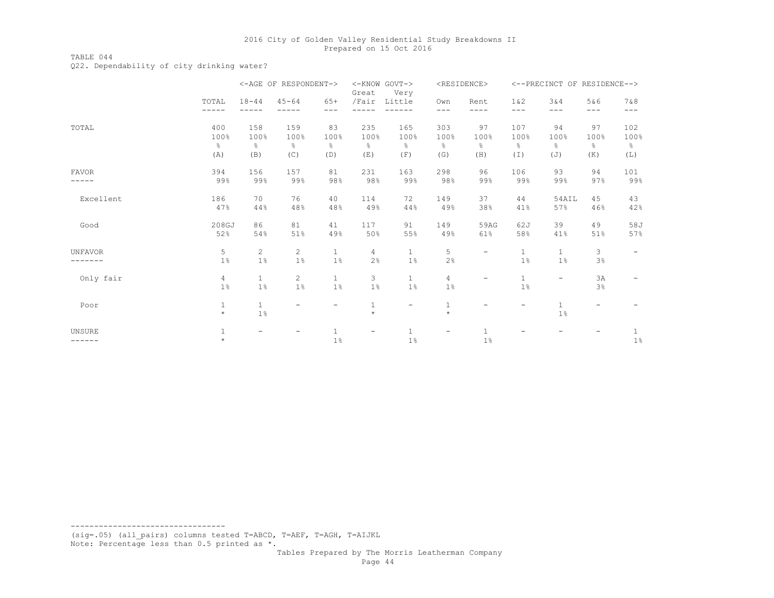TABLE 044

Q22. Dependability of city drinking water?

|                  |                          |                          | <-AGE OF RESPONDENT->               |                                    | <-KNOW GOVT-><br>Great   | Very                                |                                     | <residence></residence>                |                                     | <--PRECINCT OF RESIDENCE-->        |                          |                                     |
|------------------|--------------------------|--------------------------|-------------------------------------|------------------------------------|--------------------------|-------------------------------------|-------------------------------------|----------------------------------------|-------------------------------------|------------------------------------|--------------------------|-------------------------------------|
|                  | TOTAL                    | $18 - 44$                | $45 - 64$                           | $65+$<br>$---$                     | /Fair                    | Little                              | Own<br>---                          | Rent<br>----                           | 1 & 2<br>$---$                      | 3&4<br>$---$                       | 5&6<br>$---$             | 7 & 8<br>$---$                      |
| TOTAL            | 400<br>100%<br>g.<br>(A) | 158<br>100%<br>ိင<br>(B) | 159<br>100%<br>$\frac{6}{6}$<br>(C) | 83<br>100%<br>$\frac{6}{6}$<br>(D) | 235<br>100%<br>옹<br>(E)  | 165<br>100%<br>$\frac{6}{6}$<br>(F) | 303<br>100%<br>$\frac{6}{6}$<br>(G) | 97<br>100%<br>$\frac{\circ}{6}$<br>(H) | 107<br>100%<br>$\frac{6}{6}$<br>(T) | 94<br>100%<br>$\frac{6}{6}$<br>(J) | 97<br>100%<br>g.<br>(K)  | 102<br>100%<br>$\frac{6}{6}$<br>(L) |
| <b>FAVOR</b>     | 394<br>99%               | 156<br>99%               | 157<br>99%                          | 81<br>98%                          | 231<br>98%               | 163<br>99%                          | 298<br>98%                          | 96<br>99%                              | 106<br>99%                          | 93<br>99%                          | 94<br>97%                | 101<br>99%                          |
| Excellent        | 186<br>47%               | 70<br>44%                | 76<br>48%                           | 40<br>48%                          | 114<br>49%               | 72<br>44%                           | 149<br>49%                          | 37<br>38%                              | 44<br>41%                           | 54AIL<br>57%                       | 45<br>46%                | 43<br>42%                           |
| Good             | 208GJ<br>52%             | 86<br>54%                | 81<br>51%                           | 41<br>49%                          | 117<br>50%               | 91<br>55%                           | 149<br>49%                          | 59AG<br>61%                            | 62J<br>58%                          | 39<br>41%                          | 49<br>51%                | 58J<br>57%                          |
| <b>UNFAVOR</b>   | 5<br>1%                  | $\overline{2}$<br>$1\%$  | $\overline{2}$<br>$1\%$             | $\mathbf{1}$<br>$1\%$              | 4<br>2%                  | $\mathbf{1}$<br>1%                  | 5<br>2%                             | $\overline{\phantom{a}}$               | $\mathbf{1}$<br>$1\%$               | $\mathbf{1}$<br>$1\%$              | 3<br>3%                  | $\overline{\phantom{a}}$            |
| Only fair        | 4<br>$1\%$               | $\mathbf{1}$<br>$1\%$    | 2<br>$1\%$                          | $\mathbf{1}$<br>$1\%$              | 3<br>$1\%$               | $\mathbf{1}$<br>1%                  | 4<br>$1\%$                          | $\overline{\phantom{0}}$               | $\mathbf{1}$<br>$1\%$               |                                    | 3A<br>3%                 |                                     |
| Poor             | $\mathbf 1$<br>$\star$   | $\mathbf{1}$<br>$1\%$    | $\overline{\phantom{0}}$            | $\overline{\phantom{a}}$           | $\mathbf{1}$<br>$\star$  | $\overline{\phantom{m}}$            | $\mathbf{1}$<br>$\star$             | $\overline{\phantom{a}}$               | Ξ.                                  | $\mathbf{1}$<br>1%                 | $\overline{\phantom{a}}$ |                                     |
| UNSURE<br>------ | $\mathbf{1}$<br>$\star$  | $\overline{\phantom{0}}$ |                                     | $\mathbf{1}$<br>$1\%$              | $\overline{\phantom{0}}$ | $\mathbf{1}$<br>1%                  | -                                   | $\mathbf{1}$<br>$1\%$                  |                                     |                                    |                          | $\mathbf{1}$<br>$1\%$               |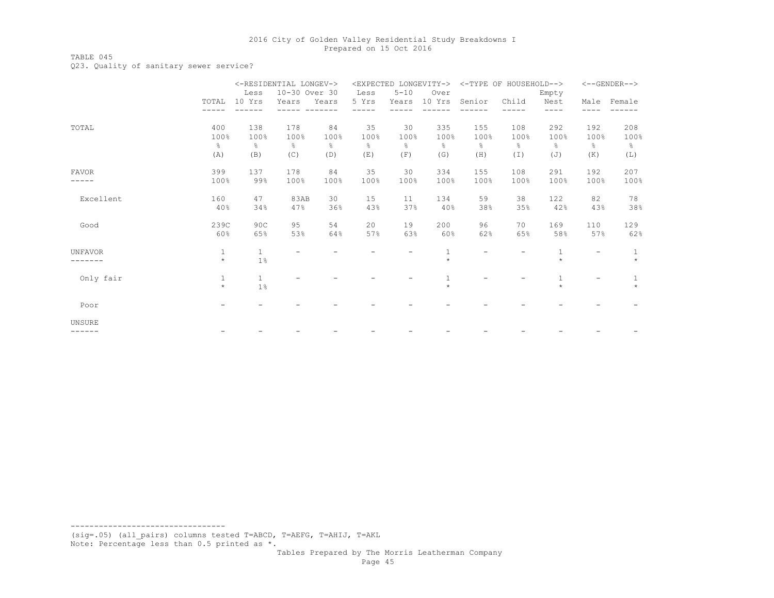# TABLE 045

Q23. Quality of sanitary sewer service?

|                |              |              | <-RESIDENTIAL LONGEV-> |       |       |          | <expected longevity-=""></expected> |               | <-TYPE OF HOUSEHOLD--> |               |      | $<-$ -GENDER--> |
|----------------|--------------|--------------|------------------------|-------|-------|----------|-------------------------------------|---------------|------------------------|---------------|------|-----------------|
|                |              | Less         | 10-30 Over 30          |       | Less  | $5 - 10$ | Over                                |               |                        | Empty         |      |                 |
|                | TOTAL        | 10 Yrs       | Years                  | Years | 5 Yrs | Years    | 10 Yrs                              | Senior        | Child                  | Nest          |      | Male Female     |
|                |              |              |                        |       |       |          |                                     |               |                        | ----          | ---- |                 |
| TOTAL          | 400          | 138          | 178                    | 84    | 35    | 30       | 335                                 | 155           | 108                    | 292           | 192  | 208             |
|                | 100%         | 100%         | 100%                   | 100%  | 100%  | 100%     | 100%                                | 100%          | 100%                   | 100%          | 100% | 100%            |
|                | န္           | g.           | $\frac{6}{6}$          | ⊱     | 옹     | 옹        | g.                                  | $\frac{6}{5}$ | ိင                     | $\frac{6}{6}$ | 응    | $\frac{6}{6}$   |
|                | (A)          | (B)          | (C)                    | (D)   | (E)   | (F)      | (G)                                 | (H)           | $(\top)$               | (J)           | (K)  | (L)             |
| <b>FAVOR</b>   | 399          | 137          | 178                    | 84    | 35    | 30       | 334                                 | 155           | 108                    | 291           | 192  | 207             |
|                | 100%         | 99%          | 100%                   | 100%  | 100%  | 100%     | 100%                                | 100%          | 100%                   | 100%          | 100% | 100%            |
| Excellent      | 160          | 47           | 83AB                   | 30    | 15    | 11       | 134                                 | 59            | 38                     | 122           | 82   | 78              |
|                | 40%          | 34%          | 47%                    | 36%   | 43%   | 37%      | $40\%$                              | 38%           | 35%                    | 42%           | 43%  | 38%             |
| Good           | 239C         | 90C          | 95                     | 54    | 20    | 19       | 200                                 | 96            | 70                     | 169           | 110  | 129             |
|                | 60%          | 65%          | 53%                    | 64%   | 57%   | 63%      | 60%                                 | 62%           | 65%                    | 58%           | 57%  | 62%             |
| <b>UNFAVOR</b> | $\mathbf{1}$ | $\mathbf{1}$ |                        |       |       |          | $\mathbf{1}$                        |               |                        | $\mathbf{1}$  |      | 1               |
|                | $\star$      | 1%           |                        |       |       |          | $\star$                             |               |                        | $\star$       |      | $\star$         |
| Only fair      | $1\,$        | $\mathbf{1}$ |                        |       |       |          | $\mathbf{1}$                        |               |                        | 1             |      | $\mathbf{1}$    |
|                | $\star$      | $1\%$        |                        |       |       |          | $\star$                             |               |                        | $\star$       |      | $\star$         |
| Poor           |              |              |                        |       |       |          |                                     |               |                        |               |      |                 |
| UNSURE         |              |              |                        |       |       |          |                                     |               |                        |               |      |                 |
| - - - - - -    |              |              |                        |       |       |          |                                     |               |                        |               |      |                 |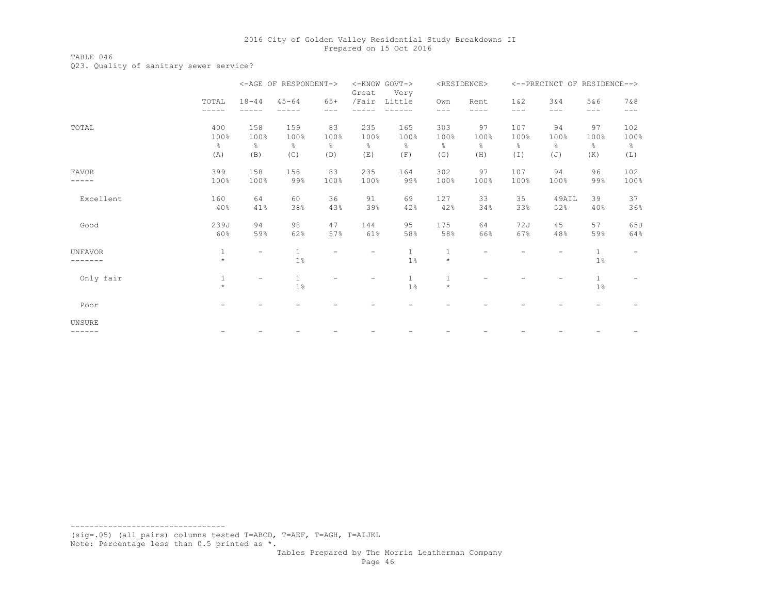TABLE 046

Q23. Quality of sanitary sewer service?

|                  |                          |                          | <-AGE OF RESPONDENT->               |                                    | <-KNOW GOVT-><br>Great  | Very                    |                          | <residence></residence>            |                          | <--PRECINCT OF RESIDENCE-->            |                        |                                     |
|------------------|--------------------------|--------------------------|-------------------------------------|------------------------------------|-------------------------|-------------------------|--------------------------|------------------------------------|--------------------------|----------------------------------------|------------------------|-------------------------------------|
|                  | TOTAL                    | $18 - 44$                | $45 - 64$                           | $65+$<br>$---$                     | /Fair                   | Little                  | Own<br>$---$             | Rent<br>----                       | 1 & 2<br>---             | 3&4<br>$---$                           | 5&6<br>$---$           | 7 & 8<br>$---$                      |
| TOTAL            | 400<br>100%<br>န္<br>(A) | 158<br>100%<br>g.<br>(B) | 159<br>100%<br>$\frac{8}{6}$<br>(C) | 83<br>100%<br>$\frac{6}{6}$<br>(D) | 235<br>100%<br>옹<br>(E) | 165<br>100%<br>옹<br>(F) | 303<br>100%<br>ိင<br>(G) | 97<br>100%<br>$\frac{6}{6}$<br>(H) | 107<br>100%<br>ိင<br>(I) | 94<br>100%<br>$\frac{\circ}{6}$<br>(J) | 97<br>100%<br>옹<br>(K) | 102<br>100%<br>$\frac{6}{6}$<br>(L) |
| FAVOR<br>.       | 399<br>100%              | 158<br>100%              | 158<br>99%                          | 83<br>100%                         | 235<br>100%             | 164<br>99%              | 302<br>100%              | 97<br>100%                         | 107<br>100%              | 94<br>100%                             | 96<br>99%              | 102<br>100%                         |
| Excellent        | 160<br>40%               | 64<br>41%                | 60<br>38%                           | 36<br>43%                          | 91<br>39%               | 69<br>42%               | 127<br>42%               | 33<br>34%                          | 35<br>33%                | 49AIL<br>52%                           | 39<br>40%              | 37<br>36%                           |
| Good             | 239J<br>60%              | 94<br>59%                | 98<br>62%                           | 47<br>57%                          | 144<br>61%              | 95<br>58%               | 175<br>58%               | 64<br>66%                          | 72J<br>67%               | 45<br>48%                              | 57<br>59%              | 65J<br>64%                          |
| <b>UNFAVOR</b>   | $\mathbf{1}$<br>$\star$  |                          | $\mathbf{1}$<br>$1\%$               |                                    |                         | $\mathbf{1}$<br>$1\%$   | $\mathbf{1}$<br>$\star$  |                                    |                          |                                        | $\mathbf{1}$<br>1%     |                                     |
| Only fair        | $1\,$<br>$\star$         | ۰                        | $\mathbf{1}$<br>$1\%$               |                                    |                         | $1\,$<br>$1\%$          | $\mathbf{1}$<br>$\star$  |                                    |                          |                                        | $\mathbf{1}$<br>$1\%$  |                                     |
| Poor             |                          |                          |                                     |                                    |                         |                         |                          |                                    |                          |                                        |                        |                                     |
| UNSURE<br>------ |                          |                          |                                     |                                    |                         |                         |                          |                                    |                          |                                        |                        |                                     |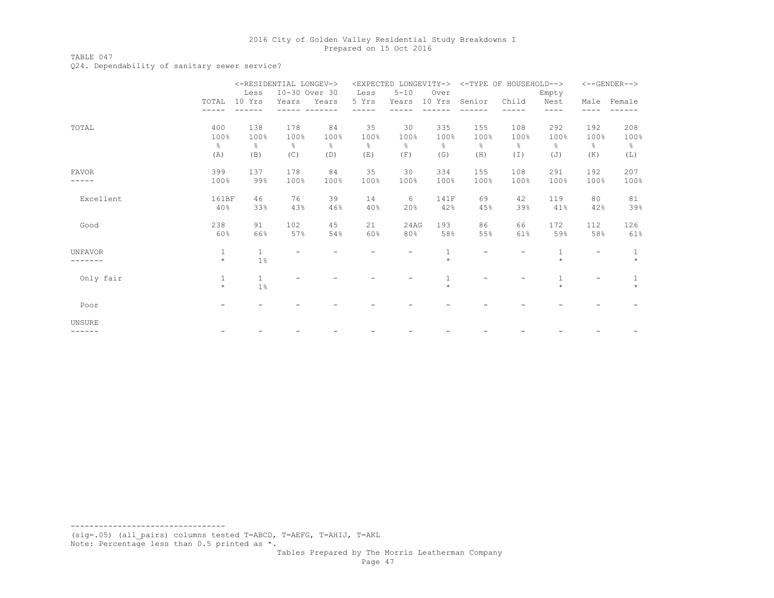### TABLE 047

Q24. Dependability of sanitary sewer service?

|                |                | <-RESIDENTIAL LONGEV-> |               |               |               | <expected longevity-=""></expected> |               |               | <-TYPE OF HOUSEHOLD--> |               |      | $<-$ -GENDER--> |
|----------------|----------------|------------------------|---------------|---------------|---------------|-------------------------------------|---------------|---------------|------------------------|---------------|------|-----------------|
|                |                | Less                   | 10-30 Over 30 |               | Less          | $5 - 10$                            | Over          |               |                        | Empty         |      |                 |
|                | TOTAL          | 10 Yrs                 | Years         | Years         | 5 Yrs         | Years                               | 10 Yrs        | Senior        | Child                  | Nest          |      | Male Female     |
|                |                |                        |               |               |               |                                     |               |               |                        | ----          | ---- |                 |
| TOTAL          | 400            | 138                    | 178           | 84            | 35            | 30                                  | 335           | 155           | 108                    | 292           | 192  | 208             |
|                | 100%           | 100%                   | 100%          | 100%          | 100%          | 100%                                | 100%          | 100%          | 100%                   | 100%          | 100% | 100%            |
|                | $\frac{6}{10}$ | g.                     | $\frac{6}{6}$ | $\frac{6}{6}$ | $\frac{6}{6}$ | 옹                                   | $\frac{6}{6}$ | $\frac{6}{6}$ | $\frac{6}{6}$          | $\frac{6}{6}$ | 응    | $\frac{6}{3}$   |
|                | (A)            | (B)                    | (C)           | (D)           | (E)           | (F)                                 | (G)           | (H)           | (I)                    | (J)           | (K)  | (L)             |
| <b>FAVOR</b>   | 399            | 137                    | 178           | 84            | 35            | 30                                  | 334           | 155           | 108                    | 291           | 192  | 207             |
| -----          | 100%           | 99%                    | 100%          | 100%          | 100%          | 100%                                | 100%          | 100%          | 100%                   | 100%          | 100% | 100%            |
| Excellent      | 161BF          | 46                     | 76            | 39            | 14            | 6                                   | 141F          | 69            | 42                     | 119           | 80   | 81              |
|                | 40%            | 33%                    | 43%           | 46%           | 40%           | 20%                                 | 42%           | 45%           | 39%                    | 41%           | 42%  | 39%             |
| Good           | 238            | 91                     | 102           | 45            | 21            | 24AG                                | 193           | 86            | 66                     | 172           | 112  | 126             |
|                | 60%            | 66%                    | 57%           | 54%           | 60%           | 80%                                 | 58%           | 55%           | 61%                    | 59%           | 58%  | 61%             |
| <b>UNFAVOR</b> | $1\,$          | $\mathbf{1}$           |               |               |               |                                     | 1             |               |                        | $\mathbf{1}$  |      |                 |
|                | $\star$        | $1\%$                  |               |               |               |                                     | $\star$       |               |                        | $\star$       |      | $\star$         |
| Only fair      | $\mathbf{1}$   | $\mathbf{1}$           |               |               |               |                                     | $\mathbf{1}$  |               |                        | $\mathbf{1}$  |      | $\mathbf{1}$    |
|                | $\star$        | $1\%$                  |               |               |               |                                     | $\star$       |               |                        | $\star$       |      | $\star$         |
| Poor           |                |                        |               |               |               |                                     |               |               |                        |               |      |                 |
| UNSURE         |                |                        |               |               |               |                                     |               |               |                        |               |      |                 |
| ------         |                |                        |               |               |               |                                     |               |               |                        |               |      |                 |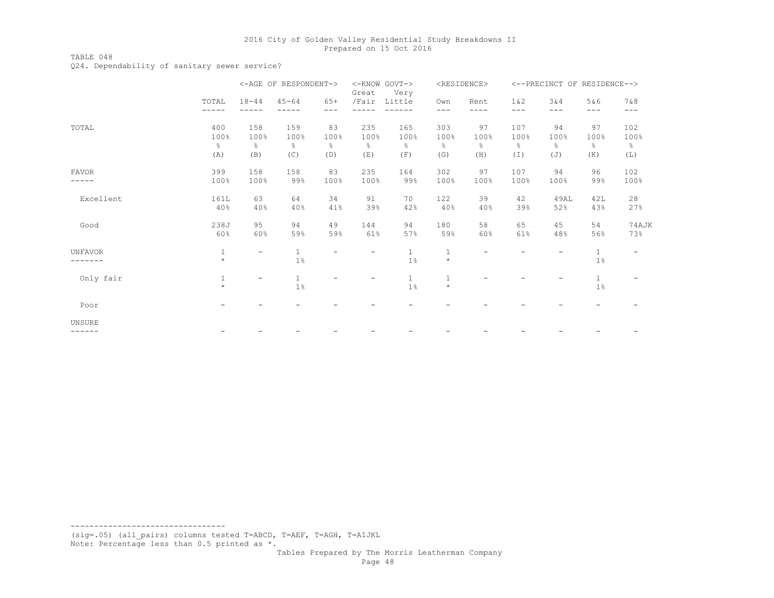TABLE 048

Q24. Dependability of sanitary sewer service?

|                  |                                     |                          | <-AGE OF RESPONDENT->               |                        | <-KNOW GOVT-><br>Great  | Very                                |                         | <residence></residence> |                                     | <--PRECINCT OF RESIDENCE--> |                         |                          |
|------------------|-------------------------------------|--------------------------|-------------------------------------|------------------------|-------------------------|-------------------------------------|-------------------------|-------------------------|-------------------------------------|-----------------------------|-------------------------|--------------------------|
|                  | TOTAL<br>-----                      | $18 - 44$                | $45 - 64$                           | $65+$<br>$- - -$       | /Fair                   | Little                              | Own<br>$---$            | Rent<br>----            | 1 & 2<br>$---$                      | 3&4<br>---                  | 5&6<br>---              | 7&8<br>$---$             |
| TOTAL            | 400<br>100%<br>$\frac{6}{6}$<br>(A) | 158<br>100%<br>g.<br>(B) | 159<br>100%<br>$\frac{8}{6}$<br>(C) | 83<br>100%<br>옹<br>(D) | 235<br>100%<br>옹<br>(E) | 165<br>100%<br>$\frac{6}{6}$<br>(F) | 303<br>100%<br>옹<br>(G) | 97<br>100%<br>g.<br>(H) | 107<br>100%<br>$\frac{6}{6}$<br>(I) | 94<br>100%<br>$\%$<br>(J)   | 97<br>100%<br>g.<br>(K) | 102<br>100%<br>ိင<br>(L) |
| <b>FAVOR</b>     | 399<br>100%                         | 158<br>100%              | 158<br>99%                          | 83<br>100%             | 235<br>100%             | 164<br>99%                          | 302<br>100%             | 97<br>100%              | 107<br>100%                         | 94<br>100%                  | 96<br>99%               | 102<br>100%              |
| Excellent        | 161L<br>40%                         | 63<br>40%                | 64<br>40%                           | 34<br>41%              | 91<br>39%               | 70<br>42%                           | 122<br>40%              | 39<br>40%               | 42<br>39%                           | 49AL<br>52%                 | 42L<br>43%              | 28<br>27%                |
| Good             | 238J<br>60%                         | 95<br>60%                | 94<br>59%                           | 49<br>59%              | 144<br>61%              | 94<br>57%                           | 180<br>59%              | 58<br>60%               | 65<br>61%                           | 45<br>48%                   | 54<br>56%               | 74AJK<br>73%             |
| <b>UNFAVOR</b>   | $\mathbf{1}$<br>$\star$             | $\overline{\phantom{a}}$ | $\mathbf{1}$<br>$1\%$               | -                      |                         | $\mathbf{1}$<br>1%                  | $\mathbf{1}$<br>$\star$ |                         |                                     |                             | $\mathbf{1}$<br>$1\%$   | $\overline{\phantom{m}}$ |
| Only fair        | $1\,$<br>$\star$                    | $\overline{\phantom{a}}$ | $1\,$<br>1 <sup>°</sup>             |                        |                         | $\mathbf{1}$<br>1 <sup>°</sup>      | $\,1\,$<br>$\star$      |                         |                                     |                             | $1\,$<br>1%             |                          |
| Poor             | -                                   |                          |                                     |                        |                         |                                     |                         |                         |                                     |                             |                         |                          |
| UNSURE<br>------ |                                     |                          |                                     |                        |                         |                                     |                         |                         |                                     |                             |                         |                          |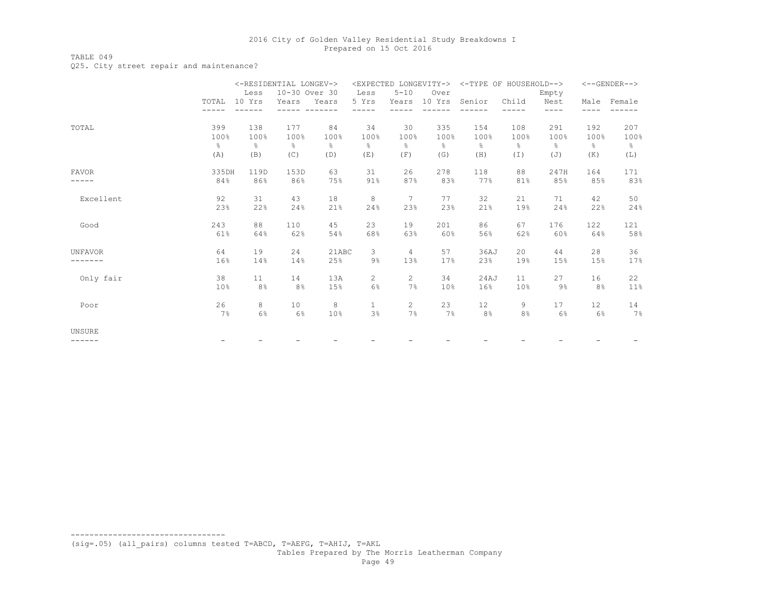# TABLE 049

Q25. City street repair and maintenance?

|                |                 | <-RESIDENTIAL LONGEV-> |               |               |                       |                | <expected longevity-=""></expected> | <-TYPE OF HOUSEHOLD--> |                 |               |                | $<-$ -GENDER--> |
|----------------|-----------------|------------------------|---------------|---------------|-----------------------|----------------|-------------------------------------|------------------------|-----------------|---------------|----------------|-----------------|
|                |                 | Less                   | 10-30 Over 30 |               | Less                  | $5 - 10$       | Over                                |                        |                 | Empty         |                |                 |
|                | TOTAL           | 10 Yrs                 | Years         | Years         | 5 Yrs                 | Years          | 10 Yrs                              | Senior                 | Child           | Nest          | Male           | Female          |
|                |                 |                        |               |               |                       |                |                                     |                        |                 | ----          |                |                 |
| TOTAL          | 399             | 138                    | 177           | 84            | 34                    | 30             | 335                                 | 154                    | 108             | 291           | 192            | 207             |
|                | 100%            | 100%                   | 100%          | 100%          | 100%                  | 100%           | 100%                                | 100%                   | 100%            | 100%          | 100%           | 100%            |
|                | $\approx$       | g.                     | $\frac{6}{6}$ | $\frac{6}{6}$ | $\frac{6}{6}$         | ⊱              | $\frac{6}{25}$                      | g.                     | ⊱               | $\frac{6}{6}$ | g.             | $\frac{6}{5}$   |
|                | (A)             | (B)                    | (C)           | (D)           | (E)                   | (F)            | (G)                                 | (H)                    | $(\top)$        | (J)           | (K)            | (L)             |
| <b>FAVOR</b>   | 335DH           | 119D                   | 153D          | 63            | 31                    | 26             | 278                                 | 118                    | 88              | 247H          | 164            | 171             |
|                | 84%             | 86%                    | 86%           | 75%           | 91%                   | 87%            | 83%                                 | 77%                    | 81%             | 85%           | 85%            | 83%             |
| Excellent      | 92              | 31                     | 43            | 18            | 8                     | 7              | 77                                  | 32                     | 21              | 71            | 42             | 50              |
|                | 23%             | 22%                    | 24%           | 21%           | 24%                   | 23%            | 23%                                 | 21%                    | 19%             | 24%           | 22%            | 24%             |
| Good           | 243             | 88                     | 110           | 45            | 23                    | 19             | 201                                 | 86                     | 67              | 176           | 122            | 121             |
|                | 61%             | 64%                    | 62%           | 54%           | 68%                   | 63%            | 60%                                 | 56%                    | 62%             | 60%           | 64%            | 58%             |
| <b>UNFAVOR</b> | 64              | 19                     | 24            | 21ABC         | 3                     | 4              | 57                                  | 36AJ                   | 20              | 44            | 28             | 36              |
| -----          | 16%             | 14%                    | 14%           | 25%           | $9\%$                 | 13%            | 17%                                 | 23%                    | 19%             | 15%           | 15%            | 17%             |
| Only fair      | 38              | 11                     | 14            | 13A           | $\mathbf{2}^{\prime}$ | $\overline{c}$ | 34                                  | 24AJ                   | 11              | 27            | 16             | 22              |
|                | 10 <sub>8</sub> | 8 <sup>°</sup>         | 8%            | 15%           | 6%                    | 7%             | 10%                                 | 16%                    | 10 <sub>8</sub> | $9\%$         | 8 <sup>°</sup> | 11%             |
| Poor           | 26              | 8                      | 10            | 8             | $\mathbf{1}$          | $\overline{c}$ | 23                                  | 12                     | 9               | 17            | 12             | 14              |
|                | 7%              | 6%                     | 6%            | 10%           | 3%                    | 7%             | 7%                                  | 8%                     | 8%              | 6%            | $6\%$          | 7%              |
| <b>UNSURE</b>  |                 |                        |               |               |                       |                |                                     |                        |                 |               |                |                 |
| -------        |                 |                        |               |               |                       |                |                                     |                        |                 |               |                |                 |

(sig=.05) (all\_pairs) columns tested T=ABCD, T=AEFG, T=AHIJ, T=AKL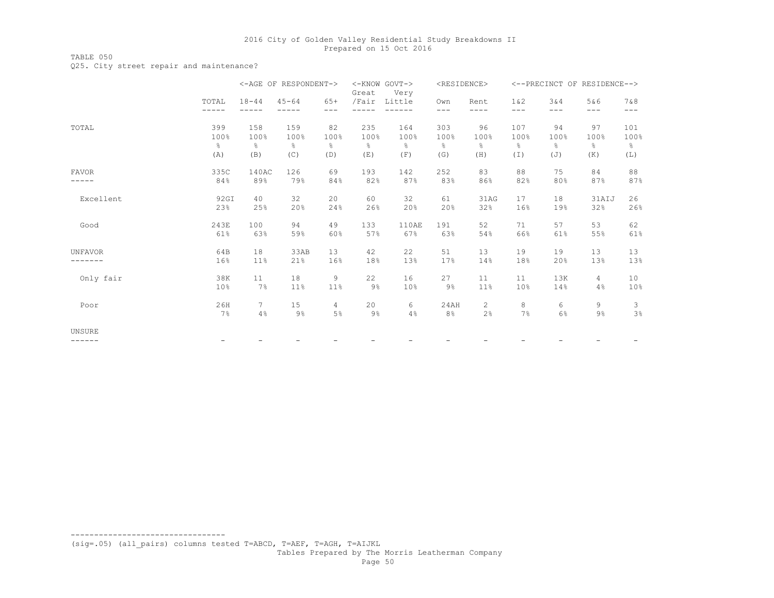TABLE 050

Q25. City street repair and maintenance?

|                         |                |             | <-AGE OF RESPONDENT-> |                | <-KNOW GOVT-><br>Great | Very          | <residence></residence> |                |                |               | <--PRECINCT OF RESIDENCE--> |                |
|-------------------------|----------------|-------------|-----------------------|----------------|------------------------|---------------|-------------------------|----------------|----------------|---------------|-----------------------------|----------------|
|                         | TOTAL<br>----- | $18 - 44$   | $45 - 64$             | $65+$<br>$---$ | /Fair                  | Little        | Own<br>$---$            | Rent<br>----   | 1 & 2<br>$---$ | 3&4<br>$---$  | 5&6<br>$---$                | 7 & 8<br>$---$ |
| TOTAL                   | 399            | 158         | 159                   | 82             | 235                    | 164           | 303                     | 96             | 107            | 94            | 97                          | 101            |
|                         | 100%           | 100%        | 100%                  | 100%           | 100%                   | 100%          | 100%                    | 100%           | 100%           | 100%          | 100%                        | 100%           |
|                         | $\frac{6}{6}$  | g.          | $\frac{6}{6}$         | $\frac{6}{6}$  | $\frac{6}{6}$          | $\frac{6}{6}$ | %                       | $\frac{6}{6}$  | $\frac{6}{6}$  | $\frac{6}{6}$ | $\frac{6}{6}$               | $\frac{6}{6}$  |
|                         | (A)            | (B)         | (C)                   | (D)            | (E)                    | (F)           | (G)                     | (H)            | (I)            | (J)           | (K)                         | (L)            |
| <b>FAVOR</b>            | 335C           | 140AC       | 126                   | 69             | 193                    | 142           | 252                     | 83             | 88             | 75            | 84                          | 88             |
|                         | 84%            | 89%         | 79%                   | 84%            | 82%                    | 87%           | 83%                     | 86%            | 82%            | 80%           | 87%                         | 87%            |
| Excellent               | 92GI           | 40          | 32                    | 20             | 60                     | 32            | 61                      | 31AG           | 17             | 18            | 31AIJ                       | 26             |
|                         | 23%            | 25%         | 20%                   | 24%            | 26%                    | 20%           | 20%                     | 32%            | 16%            | 19%           | 32%                         | 26%            |
| Good                    | 243E           | 100         | 94                    | 49             | 133                    | 110AE         | 191                     | 52             | 71             | 57            | 53                          | 62             |
|                         | 61%            | 63%         | 59%                   | 60%            | 57%                    | 67%           | 63%                     | 54%            | 66%            | 61%           | 55%                         | 61%            |
| <b>UNFAVOR</b>          | 64B            | 18          | 33AB                  | 13             | 42                     | 22            | 51                      | 13             | 19             | 19            | 13                          | 13             |
| ------                  | 16%            | 11%         | 21%                   | 16%            | 18%                    | 13%           | 17%                     | 14%            | 18%            | 20%           | 13%                         | 13%            |
| Only fair               | 38K            | 11          | 18                    | 9              | 22                     | 16            | 27                      | 11             | 11             | 13K           | 4                           | 10             |
|                         | 10%            | 7%          | 11%                   | 11%            | $9\%$                  | 10%           | $9\%$                   | 11%            | 10%            | 14%           | 4%                          | 10%            |
| Poor                    | 26H            | $7^{\circ}$ | 15                    | 4              | 20                     | 6             | 24AH                    | $\overline{2}$ | 8              | 6             | 9                           | 3              |
|                         | 7%             | 4%          | $9\%$                 | $5\%$          | $9\%$                  | 4%            | 8%                      | 2%             | 7%             | 6%            | $9\%$                       | 3%             |
| <b>UNSURE</b><br>------ |                |             |                       |                |                        |               |                         |                |                |               |                             |                |

(sig=.05) (all\_pairs) columns tested T=ABCD, T=AEF, T=AGH, T=AIJKL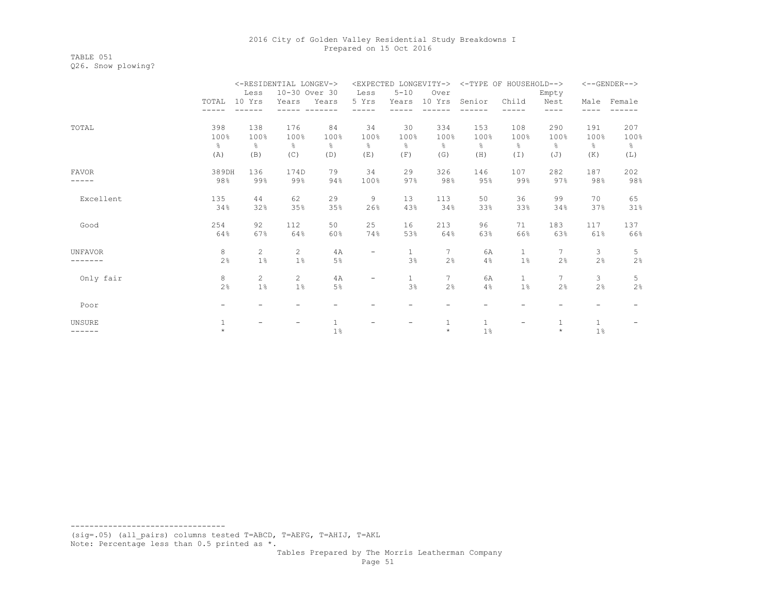TABLE 051 Q26. Snow plowing?

|                |               | <-RESIDENTIAL LONGEV-> |                |               |                   |                          | <expected longevity-=""></expected> |              | <-TYPE OF HOUSEHOLD--> |               |              | $<$ --GENDER--> |
|----------------|---------------|------------------------|----------------|---------------|-------------------|--------------------------|-------------------------------------|--------------|------------------------|---------------|--------------|-----------------|
|                |               | Less                   | 10-30 Over 30  |               | Less              | $5 - 10$                 | Over                                |              |                        | Empty         |              |                 |
|                | TOTAL         | 10 Yrs                 | Years          | Years         | 5 Yrs             | Years                    | 10 Yrs                              | Senior       | Child                  | Nest          | Male         | Female          |
|                |               |                        |                |               |                   |                          |                                     |              |                        | ----          |              |                 |
| TOTAL          | 398           | 138                    | 176            | 84            | 34                | 30                       | 334                                 | 153          | 108                    | 290           | 191          | 207             |
|                | 100%          | 100%                   | 100%           | 100%          | 100%              | 100%                     | 100%                                | 100%         | 100%                   | 100%          | 100%         | 100%            |
|                | $\frac{6}{5}$ | g.                     | $\frac{6}{5}$  | $\frac{6}{6}$ | $\frac{6}{6}$     | g.                       | $\approx$                           | 옹            | g.                     | $\frac{6}{5}$ | g.           | 웅               |
|                | (A)           | (B)                    | (C)            | (D)           | (E)               | (F)                      | (G)                                 | (H)          | (I)                    | (J)           | (K)          | (L)             |
| <b>FAVOR</b>   | 389DH         | 136                    | 174D           | 79            | 34                | 29                       | 326                                 | 146          | 107                    | 282           | 187          | 202             |
|                | 98%           | 99%                    | 99%            | 94%           | 100%              | 97%                      | 98%                                 | 95%          | 99%                    | 97%           | 98%          | 98%             |
| Excellent      | 135           | 44                     | 62             | 29            | 9                 | 13                       | 113                                 | 50           | 36                     | 99            | 70           | 65              |
|                | 34%           | 32%                    | 35%            | 35%           | 26%               | 43%                      | 34%                                 | 33%          | 33%                    | 34%           | 37%          | 31%             |
| Good           | 254           | 92                     | 112            | 50            | 25                | 16                       | 213                                 | 96           | 71                     | 183           | 117          | 137             |
|                | 64%           | 67%                    | 64%            | 60%           | 74%               | 53%                      | 64%                                 | 63%          | 66%                    | 63%           | 61%          | 66%             |
| <b>UNFAVOR</b> | 8             | $\overline{2}$         | $\overline{2}$ | 4A            | $\qquad \qquad -$ | $\mathbf{1}$             | 7                                   | 6A           | $\mathbf{1}$           | $7^{\circ}$   | 3            | 5               |
|                | 2%            | 1%                     | 1%             | 5%            |                   | 3%                       | 2%                                  | 4%           | 1%                     | 2%            | 2%           | 2%              |
| Only fair      | 8             | $\overline{2}$         | $\overline{2}$ | 4A            | $\overline{a}$    | $\mathbf{1}$             | $7\overline{ }$                     | 6A           | $\mathbf{1}$           | $7^{\circ}$   | 3            | 5               |
|                | 2%            | $1\%$                  | 1%             | 5%            |                   | 3%                       | 2%                                  | 4%           | $1\%$                  | 2%            | 2%           | 2%              |
| Poor           | -             |                        |                |               |                   | -                        |                                     |              |                        |               |              |                 |
| <b>UNSURE</b>  | $\mathbf{1}$  | -                      |                | $\mathbf{1}$  |                   | $\overline{\phantom{a}}$ | $\mathbf{1}$                        | $\mathbf{1}$ | -                      | $\mathbf{1}$  | $\mathbf{1}$ |                 |
| ------         | $\star$       |                        |                | $1\%$         |                   |                          | $\star$                             | $1\%$        |                        | $\star$       | $1\%$        |                 |

(sig=.05) (all\_pairs) columns tested T=ABCD, T=AEFG, T=AHIJ, T=AKL Note: Percentage less than 0.5 printed as \*.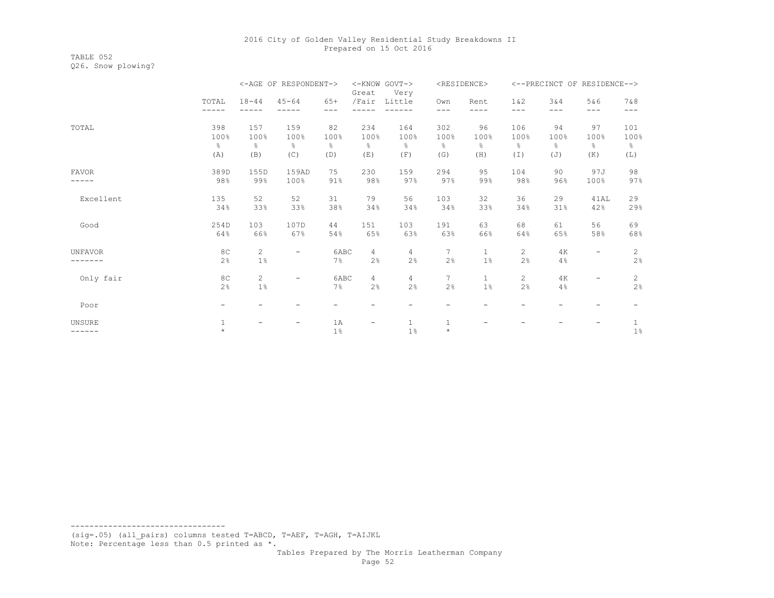TABLE 052 Q26. Snow plowing?

|              |             |                | <-AGE OF RESPONDENT->    |               | <-KNOW GOVT-><br>Great   | Very           |                 | <residence></residence> |                       |               | <--PRECINCT OF RESIDENCE--> |                |
|--------------|-------------|----------------|--------------------------|---------------|--------------------------|----------------|-----------------|-------------------------|-----------------------|---------------|-----------------------------|----------------|
|              | TOTAL       | $18 - 44$      | $45 - 64$                | $65+$         | /Fair                    | Little         | Own             | Rent<br>----            | 1 & 2<br>$---$        | 3&4           | 5&6                         | 7 & 8          |
|              | -----       |                |                          | ---           |                          | $-- - -$       | $---$           |                         |                       | $---$         | $---$                       | $---$          |
| TOTAL        | 398         | 157            | 159                      | 82            | 234                      | 164            | 302             | 96                      | 106                   | 94            | 97                          | 101            |
|              | 100%        | 100%           | 100%                     | 100%          | 100%                     | 100%           | 100%            | 100%                    | 100%                  | 100%          | 100%                        | 100%           |
|              | န္          | ⊱              | $\frac{6}{6}$            | $\frac{6}{6}$ | $\approx$                | g.             | 욲               | $\frac{6}{5}$           | g.                    | $\frac{6}{6}$ | ⊱                           | $\frac{6}{6}$  |
|              | (A)         | (B)            | (C)                      | (D)           | (E)                      | (F)            | (G)             | (H)                     | (I)                   | (J)           | (K)                         | (L)            |
| <b>FAVOR</b> | 389D        | 155D           | 159AD                    | 75            | 230                      | 159            | 294             | 95                      | 104                   | 90            | 97J                         | 98             |
|              | 98%         | 99%            | 100%                     | 91%           | 98%                      | 97%            | 97%             | 99%                     | 98%                   | 96%           | 100%                        | 97%            |
| Excellent    | 135         | 52             | 52                       | 31            | 79                       | 56             | 103             | 32                      | 36                    | 29            | 41AL                        | 29             |
|              | 34%         | 33%            | 33%                      | 38%           | 34%                      | 34%            | 34%             | 33%                     | 34%                   | 31%           | 42%                         | 29%            |
| Good         | 254D        | 103            | 107D                     | 44            | 151                      | 103            | 191             | 63                      | 68                    | 61            | 56                          | 69             |
|              | 64%         | 66%            | 67%                      | 54%           | 65%                      | 63%            | 63%             | 66%                     | 64%                   | 65%           | 58%                         | 68%            |
| UNFAVOR      | 8C          | $\overline{c}$ |                          | 6ABC          | 4                        | $\overline{4}$ | $7\overline{ }$ | $\mathbf{1}$            | $\mathbf{2}^{\prime}$ | 4K            | $\overline{\phantom{m}}$    | 2              |
|              | 2%          | $1\%$          |                          | 7%            | 2%                       | 2%             | 2%              | $1\%$                   | 2%                    | 4%            |                             | 2%             |
| Only fair    | 8C          | $\overline{c}$ | $\overline{\phantom{0}}$ | 6ABC          | 4                        | $\overline{4}$ | $7\overline{ }$ | $\mathbf{1}$            | $\overline{2}$        | 4K            | $\overline{\phantom{m}}$    | $\overline{c}$ |
|              | 2%          | $1\%$          |                          | 7%            | 2%                       | 2%             | 2%              | $1\%$                   | 2%                    | 4%            |                             | 2%             |
| Poor         |             |                |                          |               |                          |                |                 |                         |                       |               |                             |                |
| UNSURE       | $\mathbf 1$ | -              |                          | 1A            | $\overline{\phantom{m}}$ | $\mathbf 1$    | $1\,$           |                         |                       |               |                             | $\mathbf{1}$   |
| ------       | $\star$     |                |                          | $1\%$         |                          | $1\%$          | $\star$         |                         |                       |               |                             | 1%             |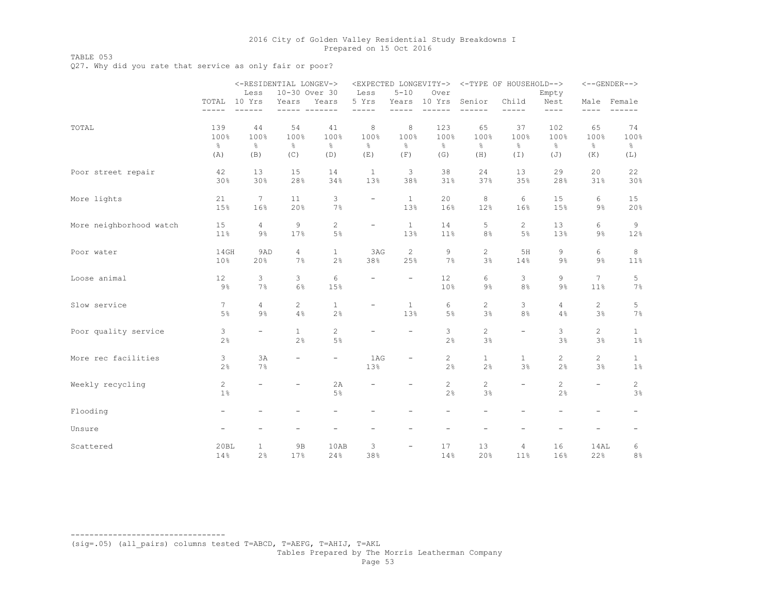TABLE 053

Q27. Why did you rate that service as only fair or poor?

|                         |                          | <-RESIDENTIAL LONGEV->   |                          |                          |                          |                          | <expected longevity-=""></expected> |                       | <-TYPE OF HOUSEHOLD-->   |                          |                          | $<-$ -GENDER-->          |
|-------------------------|--------------------------|--------------------------|--------------------------|--------------------------|--------------------------|--------------------------|-------------------------------------|-----------------------|--------------------------|--------------------------|--------------------------|--------------------------|
|                         |                          | Less                     |                          | 10-30 Over 30            | Less                     | $5 - 10$                 | Over                                |                       |                          | Empty                    |                          |                          |
|                         | TOTAL<br>$- - - - -$     | 10 Yrs<br>------         | Years                    | Years                    | 5 Yrs<br>$- - - - -$     | Years<br>-----           | 10 Yrs<br>$- - - - - -$             | Senior<br>$- -$       | Child<br>-----           | Nest<br>----             | $- - - -$                | Male Female              |
|                         |                          |                          |                          |                          |                          |                          |                                     |                       |                          |                          |                          |                          |
| TOTAL                   | 139<br>100%              | 44<br>100%               | 54<br>100%               | 41<br>100%               | 8<br>100%                | 8<br>100%                | 123<br>100%                         | 65<br>100%            | 37<br>100%               | 102<br>100%              | 65<br>100%               | 74<br>100%               |
|                         | %                        | 옹                        | $\frac{6}{6}$            | $\frac{6}{6}$            | $\frac{6}{6}$            | $\frac{6}{6}$            | $\frac{6}{6}$                       | $\frac{6}{6}$         | $\frac{6}{6}$            | $\frac{6}{6}$            | g.                       | $\frac{6}{6}$            |
|                         | (A)                      | (B)                      | (C)                      | (D)                      | (E)                      | (F)                      | (G)                                 | (H)                   | (I)                      | (J)                      | (K)                      | (L)                      |
| Poor street repair      | 42                       | 13                       | 15                       | 14                       | 1                        | 3                        | 38                                  | 24                    | 13                       | 29                       | 20                       | 22                       |
|                         | 30%                      | 30%                      | 28%                      | 34%                      | 13%                      | 38%                      | 31%                                 | 37%                   | 35%                      | 28%                      | 31%                      | 30%                      |
| More lights             | 21                       | 7                        | 11                       | 3                        | $\qquad \qquad -$        | $\mathbf{1}$             | 20                                  | 8                     | 6                        | 15                       | 6                        | 15                       |
|                         | 15%                      | 16%                      | 20%                      | 7%                       |                          | 13%                      | 16%                                 | 12%                   | 16%                      | 15%                      | 9%                       | 20%                      |
| More neighborhood watch | 15                       | $\overline{4}$           | 9                        | $\mathbf{2}$             | $\qquad \qquad -$        | $\mathbf{1}$             | 14                                  | 5                     | $\overline{c}$           | 13                       | 6                        | 9                        |
|                         | 11%                      | $9\%$                    | 17%                      | 5%                       |                          | 13%                      | 11%                                 | 8%                    | 5%                       | 13%                      | $9\%$                    | 12%                      |
| Poor water              | 14GH                     | 9AD                      | $\overline{4}$           | $\mathbf{1}$             | 3AG                      | $\mathbf{2}^{\prime}$    | 9                                   | 2                     | 5H                       | 9                        | 6                        | 8                        |
|                         | 10%                      | 20%                      | 7%                       | 2%                       | 38%                      | 25%                      | 7%                                  | 3%                    | 14%                      | $9\%$                    | $9\%$                    | 11%                      |
| Loose animal            | 12                       | 3                        | 3                        | 6                        | $\overline{\phantom{0}}$ | $\overline{\phantom{a}}$ | 12                                  | 6                     | 3                        | 9                        | $7\phantom{.0}$          | 5                        |
|                         | $9\%$                    | 7%                       | 6%                       | 15%                      |                          |                          | 10%                                 | 9%                    | 8%                       | $9\%$                    | 11%                      | 7%                       |
| Slow service            | 7                        | 4                        | 2                        | $\mathbf{1}$             | $\qquad \qquad -$        | $\mathbf{1}$             | 6                                   | 2                     | 3                        | 4                        | $\mathbf{2}$             | 5                        |
|                         | 5%                       | $9\%$                    | 4%                       | 2%                       |                          | 13%                      | 5%                                  | 3%                    | 8 <sup>°</sup>           | 4%                       | 3%                       | 7%                       |
| Poor quality service    | 3                        | $\overline{\phantom{0}}$ | $\mathbf{1}$             | $\mathbf{2}$             | $\overline{\phantom{0}}$ | $\overline{\phantom{a}}$ | 3                                   | $\overline{c}$        | $\overline{\phantom{a}}$ | 3                        | 2                        | $\mathbf{1}$             |
|                         | 2%                       |                          | 2%                       | 5%                       |                          |                          | 2%                                  | 3%                    |                          | 3%                       | 3%                       | $1\%$                    |
| More rec facilities     | 3                        | 3A                       | $\overline{\phantom{0}}$ | $\overline{\phantom{a}}$ | 1AG                      | $\qquad \qquad -$        | 2                                   | $\mathbf{1}$          | $\mathbf{1}$             | $\overline{2}$           | 2                        | $\mathbf{1}$             |
|                         | 2%                       | 7%                       |                          |                          | 13%                      |                          | 2%                                  | 2%                    | 3%                       | 2%                       | 3%                       | $1\%$                    |
| Weekly recycling        | $\mathbf{2}^{\prime}$    |                          |                          | 2A                       | $\overline{\phantom{0}}$ |                          | $\mathbf{2}^{\prime}$               | $\mathbf{2}^{\prime}$ | $\overline{\phantom{0}}$ | $\mathbf{2}^{\prime}$    | $\overline{\phantom{0}}$ | $\mathbf{2}$             |
|                         | 1%                       |                          |                          | $5\,$                    |                          |                          | 2%                                  | $3\frac{6}{6}$        |                          | 2%                       |                          | 3%                       |
| Flooding                | -                        |                          |                          |                          |                          |                          | $\qquad \qquad -$                   |                       |                          |                          |                          | -                        |
| Unsure                  | $\overline{\phantom{a}}$ | ÷                        | $\overline{\phantom{0}}$ | $\overline{\phantom{m}}$ | $\qquad \qquad -$        | $\overline{\phantom{a}}$ | $\overline{\phantom{a}}$            | $\qquad \qquad -$     | ÷                        | $\overline{\phantom{0}}$ | $\overline{\phantom{a}}$ | $\overline{\phantom{a}}$ |
| Scattered               | 20BL                     | $\mathbf{1}$             | 9В                       | 10AB                     | 3                        | $\overline{\phantom{a}}$ | 17                                  | 13                    | 4                        | 16                       | 14AL                     | 6                        |
|                         | 14%                      | 2%                       | 17%                      | 24%                      | 38%                      |                          | 14%                                 | 20%                   | 11%                      | 16%                      | 22%                      | 8%                       |

(sig=.05) (all\_pairs) columns tested T=ABCD, T=AEFG, T=AHIJ, T=AKL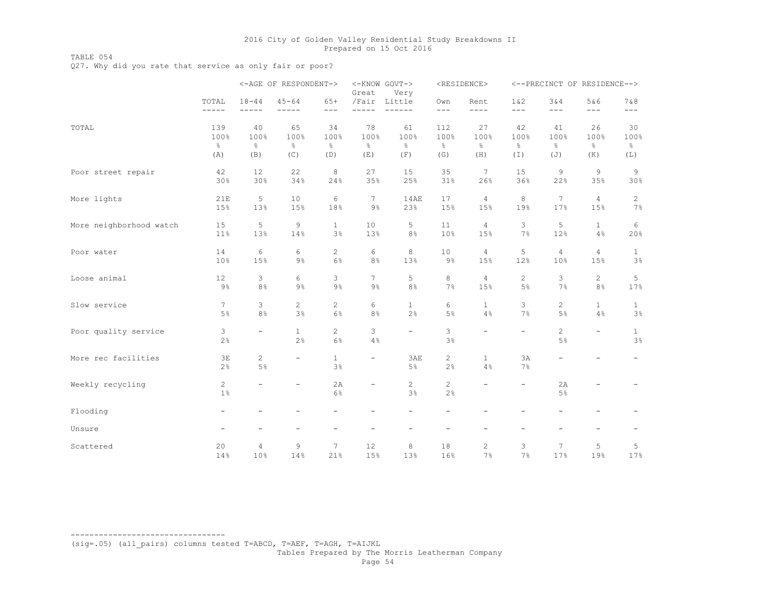TABLE 054

Q27. Why did you rate that service as only fair or poor?

|                         |                          |                          | <-AGE OF RESPONDENT->     |                          | Great                    | <-KNOW GOVT-><br>Very    |                          | <residence></residence>  |                          |                          | <--PRECINCT OF RESIDENCE--> |                          |
|-------------------------|--------------------------|--------------------------|---------------------------|--------------------------|--------------------------|--------------------------|--------------------------|--------------------------|--------------------------|--------------------------|-----------------------------|--------------------------|
|                         | TOTAL<br>$- - - - - -$   | $18 - 44$<br>-----       | $45 - 64$<br>$- -$<br>--- | $65+$<br>$---$           | $---$<br>$- -$           | /Fair Little<br>----     | Own<br>$---$             | Rent<br>----             | 1 & 2<br>$---$           | 3 & 4<br>$---$           | 5&6<br>$---$                | 7 & 8<br>$---$           |
| TOTAL                   | 139                      | 40                       | 65                        | 34                       | 78                       | 61                       | 112                      | 27                       | 42                       | 41                       | 26                          | 30                       |
|                         | 100%                     | 100%                     | 100%                      | 100%                     | 100%                     | 100%                     | 100%                     | 100%                     | 100%                     | 100%                     | 100%                        | 100%                     |
|                         | $\frac{6}{6}$            | $\frac{6}{6}$            | $\frac{6}{5}$             | $\%$                     | $\frac{6}{6}$            | g.                       | $\frac{6}{6}$            | $\frac{8}{6}$            | $\frac{6}{6}$            | $\frac{6}{6}$            | $\frac{6}{6}$               | $\frac{6}{6}$            |
|                         | (A)                      | (B)                      | (C)                       | (D)                      | (E)                      | (F)                      | (G)                      | (H)                      | (I)                      | (J)                      | (K)                         | (L)                      |
| Poor street repair      | 42                       | 12                       | 22                        | 8                        | 27                       | 15                       | 35                       | 7                        | 15                       | 9                        | $\overline{9}$              | 9                        |
|                         | 30%                      | 30%                      | 34%                       | 24%                      | 35%                      | 25%                      | 31%                      | 26%                      | 36%                      | 22%                      | 35%                         | 30%                      |
| More lights             | 21E                      | 5                        | 10                        | 6                        | $7\phantom{.0}$          | 14AE                     | 17                       | $\overline{4}$           | 8                        | 7                        | $\overline{4}$              | 2                        |
|                         | 15%                      | 13%                      | 15%                       | 18%                      | 9%                       | 23%                      | 15%                      | 15%                      | 19%                      | 17%                      | 15%                         | 7%                       |
| More neighborhood watch | 15                       | 5                        | 9                         | $\mathbf{1}$             | 10                       | 5                        | 11                       | $\overline{4}$           | 3                        | 5                        | $\mathbf{1}$                | 6                        |
|                         | 11%                      | 13%                      | 14%                       | 3%                       | 13%                      | 8%                       | 10%                      | 15%                      | 7%                       | 12%                      | 4%                          | 20%                      |
| Poor water              | 14                       | 6                        | 6                         | $\overline{c}$           | 6                        | 8                        | 10                       | $\overline{4}$           | 5                        | $\overline{4}$           | $\overline{4}$              | $\mathbf{1}$             |
|                         | 10%                      | 15%                      | $9\%$                     | 6%                       | 8%                       | 13%                      | 9%                       | 15%                      | 12%                      | 10%                      | 15%                         | 3%                       |
| Loose animal            | 12                       | 3                        | 6                         | 3                        | $7\overline{ }$          | 5                        | 8                        | $\overline{4}$           | $\mathbf{2}^{\prime}$    | 3                        | $\mathbf{2}^{\circ}$        | 5                        |
|                         | $9\%$                    | 8%                       | $9\%$                     | $9\%$                    | $9\%$                    | 8%                       | 7%                       | 15%                      | 5%                       | 7%                       | 8%                          | 17%                      |
| Slow service            | 7                        | 3                        | $\overline{c}$            | 2                        | 6                        | $\mathbf{1}$             | 6                        | $\mathbf{1}$             | 3                        | 2                        | $\mathbf{1}$                | $\mathbf{1}$             |
|                         | 5%                       | 8%                       | 3%                        | 6%                       | 8%                       | 2%                       | 5%                       | 4%                       | 7%                       | 5%                       | 4%                          | 3%                       |
| Poor quality service    | 3<br>2%                  | $\overline{\phantom{0}}$ | $\mathbf{1}$<br>2%        | $\overline{c}$<br>6%     | 3<br>4%                  | $\overline{\phantom{a}}$ | 3<br>3%                  | $\overline{\phantom{0}}$ | $\overline{\phantom{a}}$ | $\mathbf{2}$<br>5%       | $\qquad \qquad -$           | $\mathbf{1}$<br>3%       |
| More rec facilities     | 3E<br>2%                 | $\mathbf{2}$<br>5%       | -                         | $\mathbf{1}$<br>3%       | $\overline{\phantom{0}}$ | 3AE<br>5%                | $\mathbf{2}$<br>2%       | $\mathbf{1}$<br>4%       | 3A<br>7%                 | -                        |                             | -                        |
| Weekly recycling        | 2<br>$1\%$               |                          |                           | 2A<br>6%                 | $\overline{\phantom{0}}$ | $\overline{c}$<br>3%     | $\mathbf{2}$<br>2%       | $\overline{\phantom{0}}$ | $\overline{\phantom{0}}$ | 2A<br>5%                 |                             |                          |
| Flooding                | $\overline{\phantom{0}}$ | $\equiv$                 |                           | $\overline{\phantom{0}}$ | $\equiv$                 | $\overline{\phantom{a}}$ | $\overline{\phantom{0}}$ |                          |                          | $\overline{\phantom{0}}$ | $\overline{\phantom{a}}$    |                          |
| Unsure                  | $\overline{\phantom{a}}$ | $\overline{\phantom{0}}$ | $\overline{\phantom{0}}$  | $\overline{\phantom{a}}$ | $\qquad \qquad -$        | $\overline{\phantom{a}}$ | $\overline{\phantom{a}}$ | $\overline{\phantom{0}}$ | $\overline{\phantom{a}}$ | $\qquad \qquad -$        | $\qquad \qquad -$           | $\overline{\phantom{m}}$ |
| Scattered               | 20                       | $\overline{4}$           | 9                         | $7\phantom{.0}$          | 12                       | 8                        | 18                       | 2                        | 3                        | $7\phantom{.0}$          | 5                           | 5                        |
|                         | 14%                      | 10%                      | 14%                       | 21%                      | 15%                      | 13%                      | 16%                      | 7%                       | 7%                       | 17%                      | 19%                         | 17%                      |

(sig=.05) (all\_pairs) columns tested T=ABCD, T=AEF, T=AGH, T=AIJKL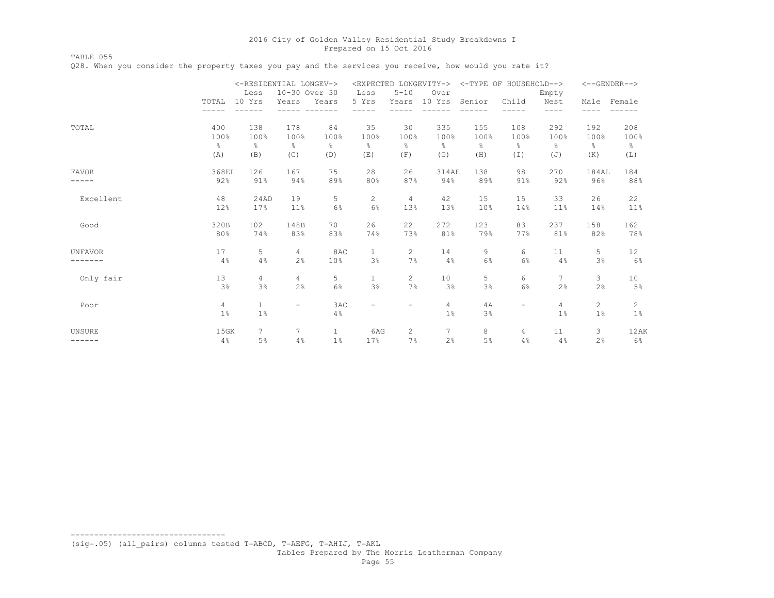TABLE 055 Q28. When you consider the property taxes you pay and the services you receive, how would you rate it?

|                |       | <-RESIDENTIAL LONGEV-><br>Less | 10-30 Over 30            |              | Less                     | <expected longevity-=""><br/><math>5 - 10</math></expected> | Over            | <-TYPE OF HOUSEHOLD--> |                          | Empty         | $<-$ -GENDER-->       |               |
|----------------|-------|--------------------------------|--------------------------|--------------|--------------------------|-------------------------------------------------------------|-----------------|------------------------|--------------------------|---------------|-----------------------|---------------|
|                | TOTAL | 10 Yrs                         | Years                    | Years        | 5 Yrs                    | Years                                                       | 10 Yrs          | Senior                 | Child                    | Nest          | Male                  | Female        |
|                |       | $- - -$                        |                          |              |                          |                                                             |                 |                        |                          | ----          | $- - - -$             |               |
| TOTAL          | 400   | 138                            | 178                      | 84           | 35                       | 30                                                          | 335             | 155                    | 108                      | 292           | 192                   | 208           |
|                | 100%  | 100%                           | 100%                     | 100%         | 100%                     | 100%                                                        | 100%            | 100%                   | 100%                     | 100%          | 100%                  | 100%          |
|                | g.    | ⊱                              | $\frac{6}{6}$            | 옹            | ⊱                        | g.                                                          | န္              | $\frac{6}{6}$          | g.                       | $\frac{6}{6}$ | g.                    | $\frac{6}{6}$ |
|                | (A)   | (B)                            | (C)                      | (D)          | (E)                      | (F)                                                         | (G)             | (H)                    | (I)                      | (J)           | (K)                   | (L)           |
| <b>FAVOR</b>   | 368EL | 126                            | 167                      | 75           | 28                       | 26                                                          | 314AE           | 138                    | 98                       | 270           | 184AL                 | 184           |
|                | 92%   | 91%                            | 94%                      | 89%          | 80%                      | 87%                                                         | 94%             | 89%                    | 91%                      | 92%           | 96%                   | 88%           |
| Excellent      | 48    | 24AD                           | 19                       | 5            | $\overline{c}$           | 4                                                           | 42              | 15                     | 15                       | 33            | 26                    | 22            |
|                | 12%   | 17%                            | 11%                      | 6%           | 6%                       | 13%                                                         | 13%             | 10%                    | 14%                      | 11%           | 14%                   | 11%           |
| Good           | 320B  | 102                            | 148B                     | 70           | 26                       | 22                                                          | 272             | 123                    | 83                       | 237           | 158                   | 162           |
|                | 80%   | 74%                            | 83%                      | 83%          | 74%                      | 73%                                                         | 81%             | 79%                    | 77%                      | 81%           | 82%                   | 78%           |
| <b>UNFAVOR</b> | 17    | 5                              | $\overline{4}$           | 8AC          | $\mathbf{1}$             | 2                                                           | 14              | 9                      | 6                        | 11            | 5                     | 12            |
|                | 4%    | 4%                             | 2%                       | 10%          | 3%                       | 7%                                                          | 4%              | 6%                     | 6%                       | 4%            | 3%                    | $6\%$         |
| Only fair      | 13    | 4                              | 4                        | 5            | $\mathbf{1}$             | 2                                                           | 10              | 5                      | 6                        | 7             | 3                     | 10            |
|                | 3%    | 3%                             | 2%                       | 6%           | 3%                       | 7%                                                          | 3%              | 3%                     | 6%                       | 2%            | 2%                    | 5%            |
| Poor           | 4     | $\mathbf{1}$                   | $\overline{\phantom{0}}$ | 3AC          | $\overline{\phantom{0}}$ | -                                                           | 4               | 4A                     | $\overline{\phantom{0}}$ | 4             | $\mathbf{2}^{\prime}$ | 2             |
|                | 1%    | $1\%$                          |                          | 4%           |                          |                                                             | $1\%$           | 3%                     |                          | $1\%$         | $1\%$                 | 1%            |
| UNSURE         | 15GK  | $7^{\circ}$                    | 7                        | $\mathbf{1}$ | 6AG                      | $\overline{2}$                                              | $7\overline{ }$ | 8                      | 4                        | 11            | 3                     | 12AK          |
| ------         | 4%    | 5%                             | 4%                       | $1\%$        | 17%                      | 7%                                                          | 2%              | 5%                     | 4%                       | 4%            | 2%                    | $6\%$         |

--------------------------------- (sig=.05) (all\_pairs) columns tested T=ABCD, T=AEFG, T=AHIJ, T=AKL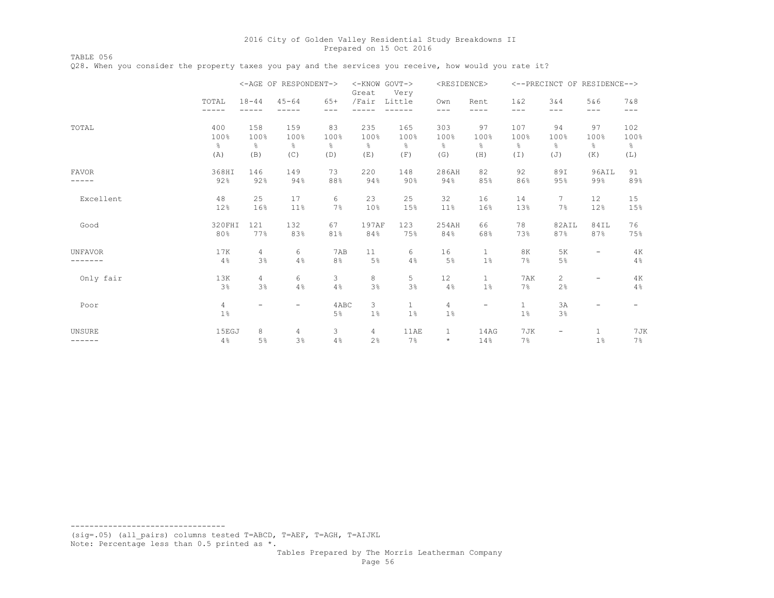TABLE 056 Q28. When you consider the property taxes you pay and the services you receive, how would you rate it?

|                |                |                          | <-AGE OF RESPONDENT->    |                | <-KNOW GOVT-><br>Great | Very                  | <residence></residence> |                          |                       | <--PRECINCT OF RESIDENCE--> |                          |                          |
|----------------|----------------|--------------------------|--------------------------|----------------|------------------------|-----------------------|-------------------------|--------------------------|-----------------------|-----------------------------|--------------------------|--------------------------|
|                | TOTAL<br>----- | $18 - 44$<br>-----       | $45 - 64$                | $65+$<br>$---$ | /Fair                  | Little                | Own<br>---              | Rent<br>----             | 1 & 2<br>$---$        | 3&4<br>$- - -$              | 5&6<br>$---$             | 7&8<br>$---$             |
| TOTAL          | 400            | 158                      | 159                      | 83             | 235                    | 165                   | 303                     | 97                       | 107                   | 94                          | 97                       | 102                      |
|                | 100%           | 100%                     | 100%                     | 100%           | 100%                   | 100%                  | 100%                    | 100%                     | 100%                  | 100%                        | 100%                     | 100%                     |
|                | န္             | g.                       | $\frac{6}{6}$            | $\frac{6}{6}$  | ⊱                      | $\frac{6}{6}$         | ⊱                       | $\frac{6}{5}$            | 옹                     | 옹                           | g.                       | $\frac{6}{6}$            |
|                | (A)            | (B)                      | (C)                      | (D)            | (E)                    | (F)                   | (G)                     | (H)                      | (I)                   | (J)                         | (K)                      | (L)                      |
| <b>FAVOR</b>   | 368HI          | 146                      | 149                      | 73             | 220                    | 148                   | 286AH                   | 82                       | 92                    | 89I                         | 96AIL                    | 91                       |
| -----          | 92%            | 92%                      | 94%                      | 88%            | 94%                    | 90%                   | 94%                     | 85%                      | 86%                   | 95%                         | 99%                      | 89%                      |
| Excellent      | 48             | 25                       | 17                       | 6              | 23                     | 25                    | 32                      | 16                       | 14                    | 7                           | 12                       | 15                       |
|                | 12%            | 16%                      | 11%                      | 7%             | 10%                    | 15%                   | 11 <sup>°</sup>         | 16%                      | 13%                   | 7%                          | 12%                      | 15%                      |
| Good           | 320FHI         | 121                      | 132                      | 67             | 197AF                  | 123                   | 254AH                   | 66                       | 78                    | 82AIL                       | 84IL                     | 76                       |
|                | 80%            | 77%                      | 83%                      | 81%            | 84%                    | 75%                   | 84%                     | 68%                      | 73%                   | 87%                         | 87%                      | 75%                      |
| <b>UNFAVOR</b> | 17K            | 4                        | 6                        | 7AB            | 11                     | 6                     | 16                      | $\mathbf{1}$             | 8K                    | 5K                          | $\overline{\phantom{m}}$ | 4K                       |
| -----          | 4%             | 3%                       | 4%                       | 8 <sup>°</sup> | 5%                     | 4%                    | 5%                      | 1%                       | 7%                    | 5%                          |                          | 4%                       |
| Only fair      | 13K<br>3%      | $\overline{4}$<br>3%     | 6<br>4%                  | 3<br>4%        | 8<br>3%                | 5<br>3%               | 12<br>4%                | $\mathbf{1}$<br>1%       | 7AK<br>7%             | $\overline{c}$<br>2%        | -                        | 4K<br>4%                 |
| Poor           | 4<br>$1\%$     | $\overline{\phantom{a}}$ | $\overline{\phantom{0}}$ | 4ABC<br>5%     | 3<br>1%                | $\mathbf{1}$<br>$1\%$ | 4<br>$1\%$              | $\overline{\phantom{0}}$ | $\mathbf{1}$<br>$1\%$ | 3A<br>3%                    | $\overline{\phantom{0}}$ | $\overline{\phantom{a}}$ |
| UNSURE         | 15EGJ          | 8                        | 4                        | 3              | $\overline{4}$         | 11AE                  | $\mathbf{1}$            | 14AG                     | 7JK                   | $\overline{\phantom{0}}$    | $\mathbf{1}$             | 7JK                      |
| ------         | 4%             | 5%                       | 3%                       | 4%             | 2%                     | 7%                    | $\star$                 | 14%                      | 7%                    |                             | 1%                       | 7%                       |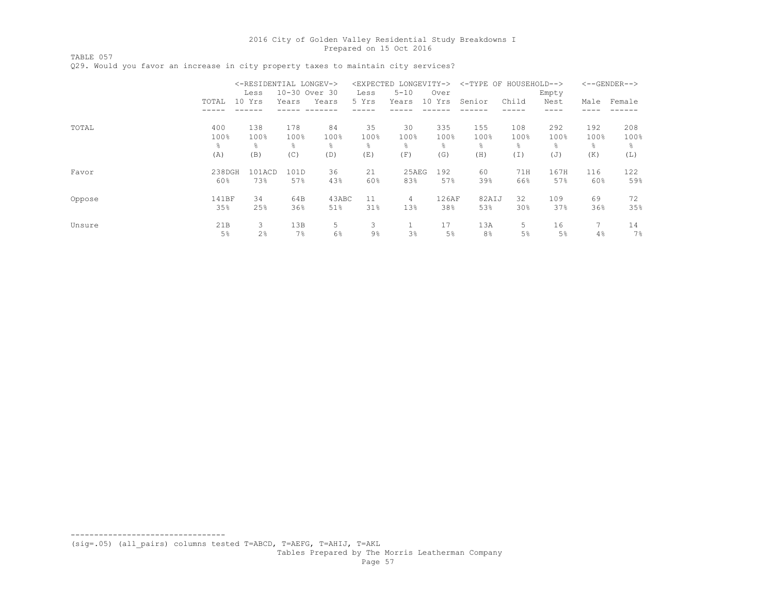TABLE 057

Q29. Would you favor an increase in city property taxes to maintain city services?

|        |        | <-RESIDENTIAL LONGEV-> |       |               |       | <expected longevity-=""></expected> |        | <-TYPE OF      | HOUSEHOLD--> |       |           | $<-$ -GENDER--> |
|--------|--------|------------------------|-------|---------------|-------|-------------------------------------|--------|----------------|--------------|-------|-----------|-----------------|
|        |        | Less                   |       | 10-30 Over 30 | Less  | $5 - 10$                            | Over   |                |              | Empty |           |                 |
|        | TOTAL  | 10 Yrs                 | Years | Years         | 5 Yrs | Years                               | 10 Yrs | Senior         | Child        | Nest  | Male      | Female          |
|        |        |                        |       |               |       |                                     |        |                |              |       |           |                 |
| TOTAL  | 400    | 138                    | 178   | 84            | 35    | 30                                  | 335    | 155            | 108          | 292   | 192       | 208             |
|        | 100%   | 100%                   | 100%  | 100%          | 100%  | 100%                                | 100%   | 100%           | 100%         | 100%  | 100%      | 100%            |
|        | š      | g.                     | ٩,    | 옹             | ⊱     | ÷.                                  | ÷,     | $\frac{6}{10}$ | ⊱            | ⊱     | $\approx$ | 응               |
|        | (A)    | (B)                    | (C)   | (D)           | (E)   | (F)                                 | (G)    | (H)            | (I)          | (J)   | (K)       | (L)             |
| Favor  | 238DGH | 101ACD                 | 101D  | 36            | 21    | 25AEG                               | 192    | 60             | 71H          | 167H  | 116       | 122             |
|        | 60%    | 73%                    | 57%   | 43%           | 60%   | 83%                                 | 57%    | 39%            | 66%          | 57%   | 60%       | 59%             |
| Oppose | 141BF  | 34                     | 64B   | 43ABC         | 11    | $\overline{4}$                      | 126AF  | 82AIJ          | 32           | 109   | 69        | 72              |
|        | 35%    | 25%                    | 36%   | 51%           | 31%   | 13%                                 | 38%    | 53%            | 30%          | 37%   | 36%       | 35%             |
| Unsure | 21B    | 3                      | 13B   | 5             | 3     | п                                   | 17     | 13A            | 5.           | 16    |           | 14              |
|        | 5%     | 2%                     | 7%    | 6%            | 9%    | 3%                                  | 5%     | 8 <sup>°</sup> | 5%           | 5%    | 4%        | 7%              |

(sig=.05) (all\_pairs) columns tested T=ABCD, T=AEFG, T=AHIJ, T=AKL

---------------------------------

Tables Prepared by The Morris Leatherman Company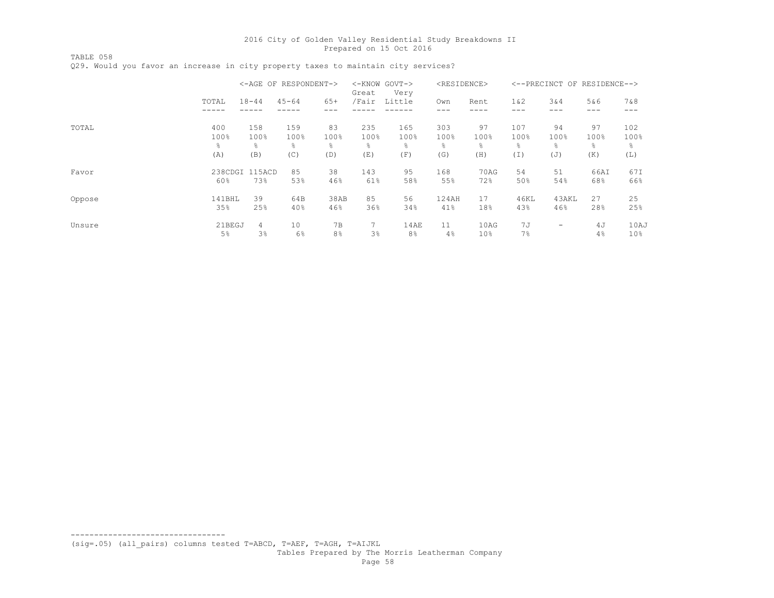TABLE 058 Q29. Would you favor an increase in city property taxes to maintain city services?

|        |                         |                         | <-AGE OF RESPONDENT->    |                        | $<$ - $KNOW$<br>Great    | GOVT-><br>Very           | <residence></residence> |                         |                         | <--PRECINCT OF         | RESIDENCE-->           |                          |
|--------|-------------------------|-------------------------|--------------------------|------------------------|--------------------------|--------------------------|-------------------------|-------------------------|-------------------------|------------------------|------------------------|--------------------------|
|        | TOTAL                   | $18 - 44$               | $45 - 64$                | $65+$                  | /Fair                    | Little                   | Own                     | Rent                    | 1 & 2                   | 3&4                    | 5&6<br>---             | 7 & 8<br>---             |
| TOTAL  | 400<br>100%<br>옹<br>(A) | 158<br>100%<br>옹<br>(B) | 159<br>100%<br>g.<br>(C) | 83<br>100%<br>옹<br>(D) | 235<br>100%<br>g.<br>(E) | 165<br>100%<br>g.<br>(F) | 303<br>100%<br>⊱<br>(G) | 97<br>100%<br>⊱<br>(H)  | 107<br>100%<br>옹<br>(I) | 94<br>100%<br>⊱<br>(J) | 97<br>100%<br>옹<br>(K) | 102<br>100%<br>g.<br>(L) |
| Favor  | 60%                     | 238CDGI 115ACD<br>73%   | 85<br>53%                | 38<br>46%              | 143<br>61%               | 95<br>58%                | 168<br>55%              | 70AG<br>72%             | 54<br>50%               | 51<br>54%              | 66AI<br>68%            | 67I<br>66%               |
| Oppose | 141BHL<br>35%           | 39<br>25%               | 64B<br>40%               | 38AB<br>46%            | 85<br>36%                | 56<br>34%                | 124AH<br>41%            | 17<br>18%               | 46KL<br>43%             | 43AKL<br>46%           | 27<br>28%              | 25<br>25%                |
| Unsure | 21BEGJ<br>5%            | 4<br>3%                 | 10<br>6%                 | 7B<br>8%               | 7<br>3%                  | 14AE<br>8%               | 11<br>4%                | 10AG<br>10 <sup>°</sup> | 7J<br>7%                | -                      | 4 J<br>4%              | 10AJ<br>10 <sup>°</sup>  |

(sig=.05) (all\_pairs) columns tested T=ABCD, T=AEF, T=AGH, T=AIJKL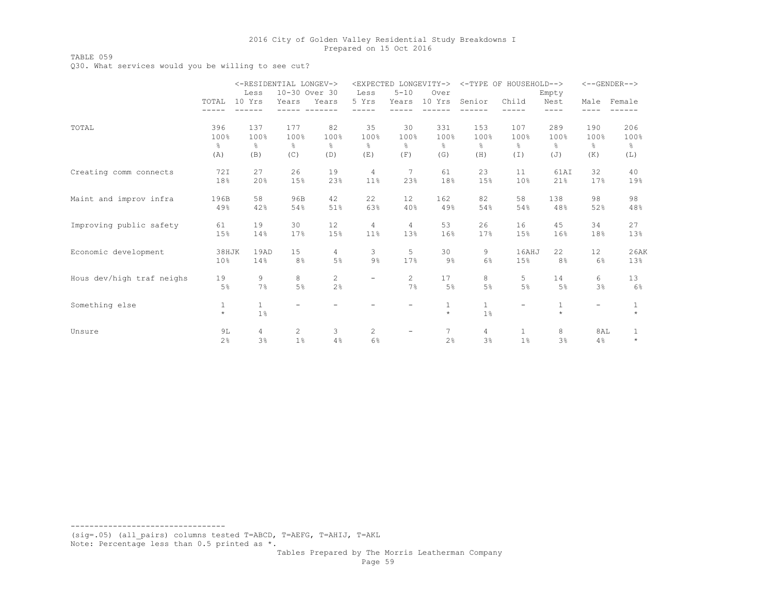### TABLE 059

Q30. What services would you be willing to see cut?

|                           |               | <-RESIDENTIAL LONGEV-><br>Less | 10-30 Over 30 |                      | Less                     | $5 - 10$             | <expected longevity-=""><br/>Over</expected> |                       | <-TYPE OF HOUSEHOLD-->   | Empty                   |           | $<-$ -GENDER--> |
|---------------------------|---------------|--------------------------------|---------------|----------------------|--------------------------|----------------------|----------------------------------------------|-----------------------|--------------------------|-------------------------|-----------|-----------------|
|                           | TOTAL         | 10 Yrs                         | Years         | Years                | 5 Yrs                    | Years                | 10 Yrs                                       | Senior                | Child                    | Nest                    | Male      | Female          |
| TOTAL                     | 396           | 137                            | 177           | 82                   | 35                       | 30                   | 331                                          | 153                   | 107                      | 289                     | 190       | 206             |
|                           | 100%          | 100%                           | 100%          | 100%                 | 100%                     | 100%                 | 100%                                         | 100%                  | 100%                     | 100%                    | 100%      | 100%            |
|                           | $\frac{6}{6}$ | $\frac{6}{6}$                  | $\approx$     | $\frac{6}{6}$        | $\approx$                | g.                   | $\frac{6}{6}$                                | $\frac{6}{6}$         | 옹                        | $\approx$               | န္        | ⊱               |
|                           | (A)           | (B)                            | (C)           | (D)                  | (E)                      | (F)                  | (G)                                          | (H)                   | $(\top)$                 | (J)                     | (K)       | (L)             |
| Creating comm connects    | 72I           | 27                             | 26            | 19                   | $\overline{4}$           | 7                    | 61                                           | 23                    | 11                       | 61AI                    | 32        | 40              |
|                           | 18%           | 20%                            | 15%           | 23%                  | 11%                      | 23%                  | 18%                                          | 15%                   | 10%                      | 21%                     | 17%       | 19%             |
| Maint and improv infra    | 196B          | 58                             | 96B           | 42                   | 22                       | 12                   | 162                                          | 82                    | 58                       | 138                     | 98        | 98              |
|                           | 49%           | 42%                            | 54%           | 51%                  | 63%                      | 40%                  | 49%                                          | 54%                   | 54%                      | 48%                     | 52%       | 48%             |
| Improving public safety   | 61            | 19                             | 30            | 12                   | 4                        | 4                    | 53                                           | 26                    | 16                       | 45                      | 34        | 27              |
|                           | 15%           | 14%                            | 17%           | 15%                  | 11%                      | 13%                  | 16%                                          | 17%                   | 15%                      | 16%                     | 18%       | 13%             |
| Economic development      | 38HJK         | 19AD                           | 15            | 4                    | 3                        | 5                    | 30                                           | 9                     | 16AHJ                    | 22                      | 12        | 26AK            |
|                           | 10%           | 14%                            | 8%            | 5%                   | $9\frac{6}{6}$           | 17%                  | $9\%$                                        | 6%                    | 15%                      | 8%                      | 6%        | 13%             |
| Hous dev/high traf neighs | 19<br>5%      | 9<br>7%                        | 8<br>5%       | $\overline{2}$<br>2% | $\overline{\phantom{0}}$ | $\overline{2}$<br>7% | 17<br>5%                                     | 8<br>$5\%$            | 5<br>5%                  | 14<br>5%                | 6<br>3%   | 13<br>6%        |
| Something else            | 1<br>$\star$  | $\mathbf{1}$<br>1%             |               |                      |                          |                      | 1<br>$\star$                                 | $\mathbf{1}$<br>$1\%$ | $\overline{\phantom{a}}$ | $\mathbf{1}$<br>$\star$ | -         | 1<br>$\star$    |
| Unsure                    | 9L<br>2%      | 4<br>3%                        | 2<br>1%       | 3<br>4%              | $\overline{2}$<br>6%     | $\overline{a}$       | $7\overline{ }$<br>2 <sup>°</sup>            | 4<br>3%               | $\mathbf{1}$<br>1%       | 8<br>3%                 | 8AL<br>4% | 1<br>$\star$    |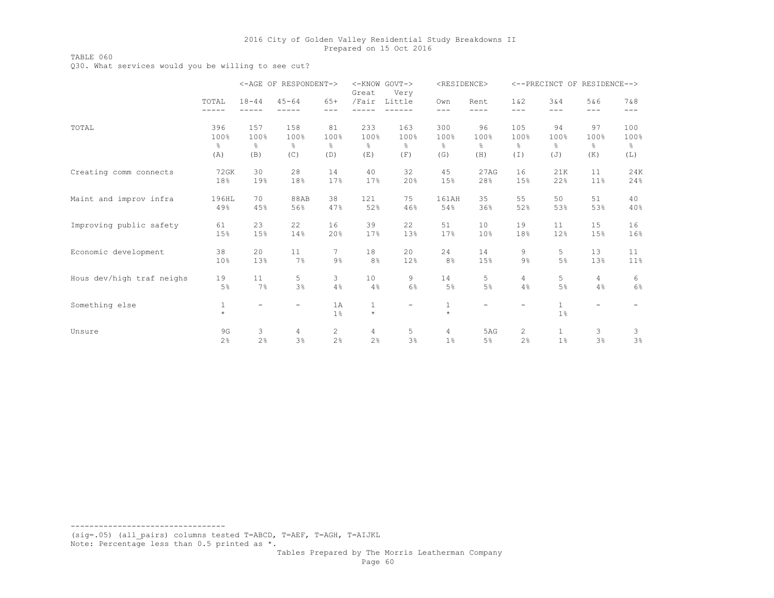TABLE 060

Q30. What services would you be willing to see cut?

|                           |                |                   | <-AGE OF RESPONDENT-> |                | <-KNOW GOVT-><br>Great  | Very   | <residence></residence> |                          |                       | <--PRECINCT OF RESIDENCE--> |                |                |
|---------------------------|----------------|-------------------|-----------------------|----------------|-------------------------|--------|-------------------------|--------------------------|-----------------------|-----------------------------|----------------|----------------|
|                           | TOTAL<br>----- | $18 - 44$         | $45 - 64$             | $65+$<br>$---$ | /Fair                   | Little | Own<br>$---$            | Rent<br>$- - - -$        | 1 & 2<br>$- - -$      | 3&4<br>$---$                | 5&6<br>$---$   | 7 & 8<br>$---$ |
| TOTAL                     | 396            | 157               | 158                   | 81             | 233                     | 163    | 300                     | 96                       | 105                   | 94                          | 97             | 100            |
|                           | 100%           | 100%              | 100%                  | 100%           | 100%                    | 100%   | 100%                    | 100%                     | 100%                  | 100%                        | 100%           | 100%           |
|                           | g.             | g.                | $\approx$             | 옹              | ⊱                       | g.     | g.                      | $\approx$                | g.                    | $\approx$                   | g.             | ိင             |
|                           | (A)            | (B)               | (C)                   | (D)            | (E)                     | (F)    | (G)                     | (H)                      | $(\top)$              | (J)                         | (K)            | (L)            |
| Creating comm connects    | 72GK           | 30                | 28                    | 14             | 40                      | 32     | 45                      | 27AG                     | 16                    | 21K                         | 11             | 24K            |
|                           | 18%            | 19%               | 18%                   | 17%            | 17%                     | 20%    | 15%                     | 28%                      | 15%                   | 22%                         | 11%            | 24%            |
| Maint and improv infra    | 196HL          | 70                | 88AB                  | 38             | 121                     | 75     | 161AH                   | 35                       | 55                    | 50                          | 51             | 40             |
|                           | 49%            | 45%               | 56%                   | 47%            | 52%                     | 46%    | 54%                     | 36%                      | 52%                   | 53%                         | 53%            | 40%            |
| Improving public safety   | 61             | 23                | 22                    | 16             | 39                      | 22     | 51                      | 10                       | 19                    | 11                          | 15             | 16             |
|                           | 15%            | 15%               | 14%                   | 20%            | 17%                     | 13%    | 17%                     | 10%                      | 18%                   | 12%                         | 15%            | 16%            |
| Economic development      | 38             | 20                | 11                    | 7              | 18                      | 20     | 24                      | 14                       | 9                     | 5                           | 13             | 11             |
|                           | 10%            | 13%               | 7%                    | $9\frac{6}{6}$ | 8%                      | 12%    | 8 <sup>°</sup>          | 15%                      | $9\%$                 | 5%                          | 13%            | 11%            |
| Hous dev/high traf neighs | 19             | 11                | 5                     | 3              | 10                      | 9      | 14                      | 5                        | $4\overline{ }$       | 5                           | $\overline{4}$ | 6              |
|                           | 5%             | 7%                | 3%                    | 4%             | 4%                      | 6%     | 5%                      | $5\%$                    | 4%                    | 5%                          | 4%             | 6%             |
| Something else            | 1<br>$\star$   | $\qquad \qquad -$ |                       | 1A<br>$1\%$    | $\mathbf{1}$<br>$\star$ | -      | $\mathbf{1}$<br>$\star$ | $\overline{\phantom{0}}$ |                       | $\mathbf{1}$<br>$1\%$       | $\overline{a}$ |                |
| Unsure                    | 9G             | 3                 | 4                     | $\overline{c}$ | $\overline{4}$          | 5      | 4                       | 5AG                      | $\mathbf{2}^{\prime}$ | $\mathbf{1}$                | 3              | 3              |
|                           | 2 <sup>°</sup> | 2 <sup>°</sup>    | 3%                    | 2%             | 2%                      | 3%     | 1 <sup>°</sup>          | 5%                       | 2%                    | 1%                          | 3%             | 3%             |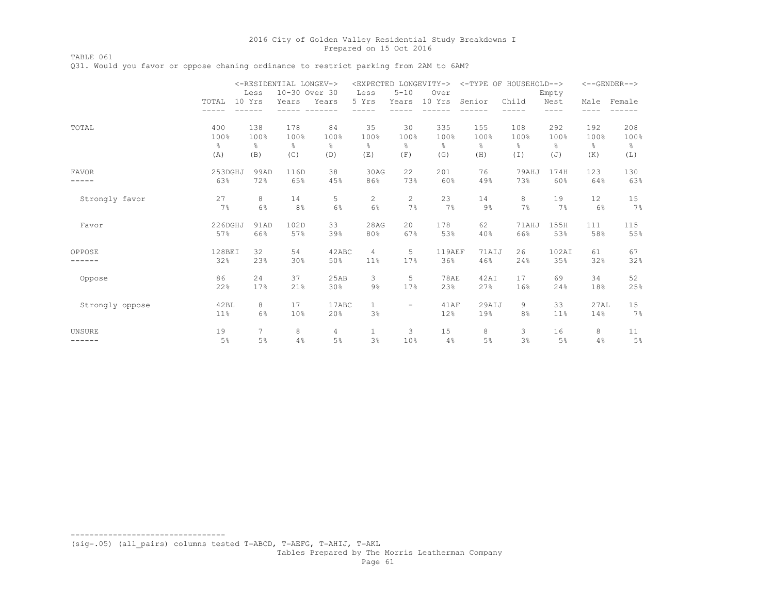TABLE 061

Q31. Would you favor or oppose chaning ordinance to restrict parking from 2AM to 6AM?

|                 |               |                 | <-RESIDENTIAL LONGEV-><br>10-30 Over 30 |               | <expected longevity-=""></expected> |                          |                |               | <-TYPE OF HOUSEHOLD--> |                       |                   | $<-$ -GENDER--> |
|-----------------|---------------|-----------------|-----------------------------------------|---------------|-------------------------------------|--------------------------|----------------|---------------|------------------------|-----------------------|-------------------|-----------------|
|                 | TOTAL         | Less<br>10 Yrs  | Years                                   | Years         | Less<br>5 Yrs                       | $5 - 10$<br>Years        | Over<br>10 Yrs | Senior        | Child                  | Empty<br>Nest<br>---- | Male<br>----      | Female          |
| TOTAL           | 400           | 138             | 178                                     | 84            | 35                                  | 30                       | 335            | 155           | 108                    | 292                   | 192               | 208             |
|                 | 100%          | 100%            | 100%                                    | 100%          | 100%                                | 100%                     | 100%           | 100%          | 100%                   | 100%                  | 100%              | 100%            |
|                 | $\frac{6}{5}$ | g.              | $\frac{6}{6}$                           | $\frac{6}{6}$ | 옹                                   | န္                       | ⊱              | $\frac{6}{5}$ | $\frac{6}{6}$          | $\frac{6}{6}$         | $\frac{6}{6}$     | $\frac{6}{6}$   |
|                 | (A)           | (B)             | (C)                                     | (D)           | (E)                                 | (F)                      | (G)            | (H)           | (I)                    | (J)                   | (K)               | (L)             |
| FAVOR           | 253DGHJ       | 99AD            | 116D                                    | 38            | 30AG                                | 22                       | 201            | 76            | 79AHJ                  | 174H                  | 123               | 130             |
|                 | 63%           | 72%             | 65%                                     | 45%           | 86%                                 | 73%                      | 60%            | 49%           | 73%                    | 60%                   | 64%               | 63%             |
| Strongly favor  | 27            | 8               | 14                                      | 5             | 2                                   | 2                        | 23             | 14            | 8                      | 19                    | $12 \overline{ }$ | 15              |
|                 | 7%            | 6%              | 8%                                      | 6%            | 6%                                  | 7%                       | 7%             | $9\%$         | 7%                     | 7%                    | 6%                | 7%              |
| Favor           | 226DGHJ       | 91AD            | 102D                                    | 33            | 28AG                                | 20                       | 178            | 62            | 71AHJ                  | 155H                  | 111               | 115             |
|                 | 57%           | 66%             | 57%                                     | 39%           | 80%                                 | 67%                      | 53%            | 40%           | 66%                    | 53%                   | 58%               | 55%             |
| OPPOSE          | 128BEI        | 32              | 54                                      | 42ABC         | 4                                   | 5                        | <b>119AEF</b>  | 71AIJ         | 26                     | 102AI                 | 61                | 67              |
|                 | 32%           | 23%             | 30%                                     | 50%           | 11%                                 | 17%                      | 36%            | 46%           | 24%                    | 35%                   | 32%               | 32%             |
| Oppose          | 86            | 24              | 37                                      | 25AB          | 3                                   | 5                        | <b>78AE</b>    | 42AI          | 17                     | 69                    | 34                | 52              |
|                 | 22%           | 17%             | 21%                                     | 30%           | $9\%$                               | 17%                      | 23%            | 27%           | 16%                    | 24%                   | 18%               | 25%             |
| Strongly oppose | 42BL<br>11%   | 8<br>6%         | 17<br>10%                               | 17ABC<br>20%  | $\mathbf{1}$<br>3%                  | $\overline{\phantom{a}}$ | 41AF<br>12%    | 29AIJ<br>19%  | 9<br>8 <sup>°</sup>    | 33<br>11%             | 27AL<br>14%       | 15<br>7%        |
| UNSURE          | 19            | $7\overline{ }$ | 8                                       | 4             | $\mathbf{1}$                        | 3                        | 15             | 8             | 3                      | 16                    | 8                 | 11              |
|                 | 5%            | 5%              | 4%                                      | 5%            | 3%                                  | 10%                      | 4%             | 5%            | 3%                     | 5%                    | 4%                | 5%              |

(sig=.05) (all\_pairs) columns tested T=ABCD, T=AEFG, T=AHIJ, T=AKL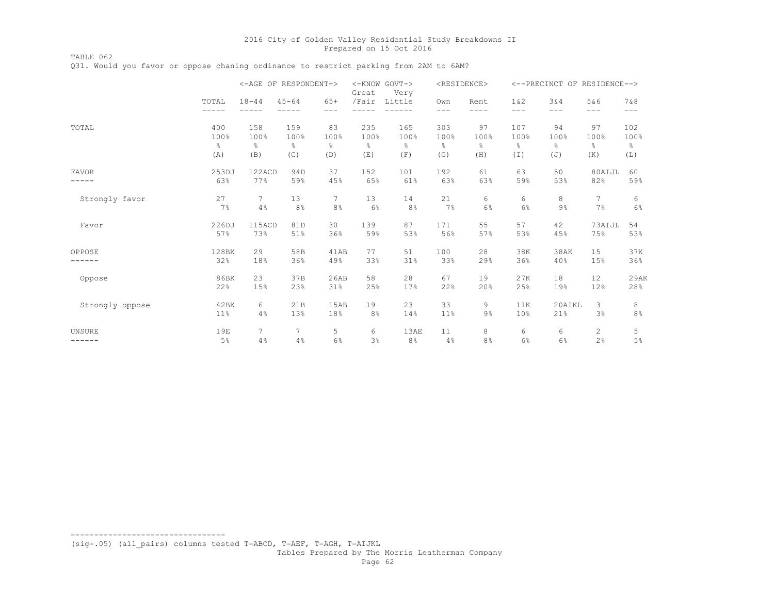TABLE 062

Q31. Would you favor or oppose chaning ordinance to restrict parking from 2AM to 6AM?

|                 |                | <-AGE OF RESPONDENT-> |                |                | <-KNOW GOVT-><br>Great | Very            |                | <residence></residence> |                | <--PRECINCT OF RESIDENCE--> |               |               |
|-----------------|----------------|-----------------------|----------------|----------------|------------------------|-----------------|----------------|-------------------------|----------------|-----------------------------|---------------|---------------|
|                 | TOTAL<br>----- | $18 - 44$<br>-----    | $45 - 64$      | $65+$<br>$---$ | /Fair                  | Little<br>$---$ | Own<br>$- - -$ | Rent<br>----            | 1 & 2<br>$---$ | 3&4<br>$---$                | 5&6<br>$---$  | 7&8<br>$---$  |
| TOTAL           | 400            | 158                   | 159            | 83             | 235                    | 165             | 303            | 97                      | 107            | 94                          | 97            | 102           |
|                 | 100%           | 100%                  | 100%           | 100%           | 100%                   | 100%            | 100%           | 100%                    | 100%           | 100%                        | 100%          | 100%          |
|                 | $\frac{6}{6}$  | $\frac{6}{6}$         | $\frac{6}{6}$  | $\frac{6}{6}$  | $\frac{6}{6}$          | g.              | $\frac{6}{6}$  | 옹                       | $\frac{6}{6}$  | $\frac{6}{6}$               | $\frac{6}{6}$ | $\frac{6}{6}$ |
|                 | (A)            | (B)                   | (C)            | (D)            | (E)                    | (F)             | (G)            | (H)                     | (I)            | (J)                         | (K)           | (L)           |
| FAVOR           | 253DJ          | 122ACD                | 94D            | 37             | 152                    | 101             | 192            | 61                      | 63             | 50                          | 80AIJL        | 60            |
|                 | 63%            | 77%                   | 59%            | 45%            | 65%                    | 61%             | 63%            | 63%                     | 59%            | 53%                         | 82%           | 59%           |
| Strongly favor  | 27             | 7                     | 13             | 7              | 13                     | 14              | 21             | 6                       | 6              | 8                           | 7             | 6             |
|                 | 7%             | 4%                    | 8 <sup>°</sup> | 8%             | 6%                     | 8%              | 7%             | 6%                      | 6%             | $9\%$                       | 7%            | 6%            |
| Favor           | 226DJ          | 115ACD                | 81D            | 30             | 139                    | 87              | 171            | 55                      | 57             | 42                          | 73AIJL        | 54            |
|                 | 57%            | 73%                   | 51%            | 36%            | 59%                    | 53%             | 56%            | 57%                     | 53%            | 45%                         | 75%           | 53%           |
| OPPOSE          | 128BK          | 29                    | 58B            | 41AB           | 77                     | 51              | 100            | 28                      | 38K            | 38AK                        | 15            | 37K           |
|                 | 32%            | 18%                   | 36%            | 49%            | 33%                    | 31%             | 33%            | 29%                     | 36%            | 40%                         | 15%           | 36%           |
| Oppose          | 86BK           | 23                    | 37B            | 26AB           | 58                     | 28              | 67             | 19                      | 27K            | 18                          | 12            | 29AK          |
|                 | 22%            | 15%                   | 23%            | 31%            | 25%                    | 17%             | 22%            | 20%                     | 25%            | 19%                         | 12%           | 28%           |
| Strongly oppose | 42BK           | 6                     | 21B            | 15AB           | 19                     | 23              | 33             | 9                       | 11K            | 20AIKL                      | 3             | 8             |
|                 | 11%            | 4%                    | 13%            | 18%            | 8%                     | 14%             | 11%            | $9\%$                   | 10%            | 21%                         | 3%            | $8\,$ %       |
| <b>UNSURE</b>   | 19E            | 7                     | 7              | 5              | 6                      | 13AE            | 11             | 8                       | 6              | 6                           | $\mathbf{2}$  | 5             |
| ------          | 5%             | 4%                    | 4%             | 6%             | 3%                     | 8%              | 4%             | 8%                      | 6%             | 6%                          | 2%            | $5\%$         |

--------------------------------- (sig=.05) (all\_pairs) columns tested T=ABCD, T=AEF, T=AGH, T=AIJKL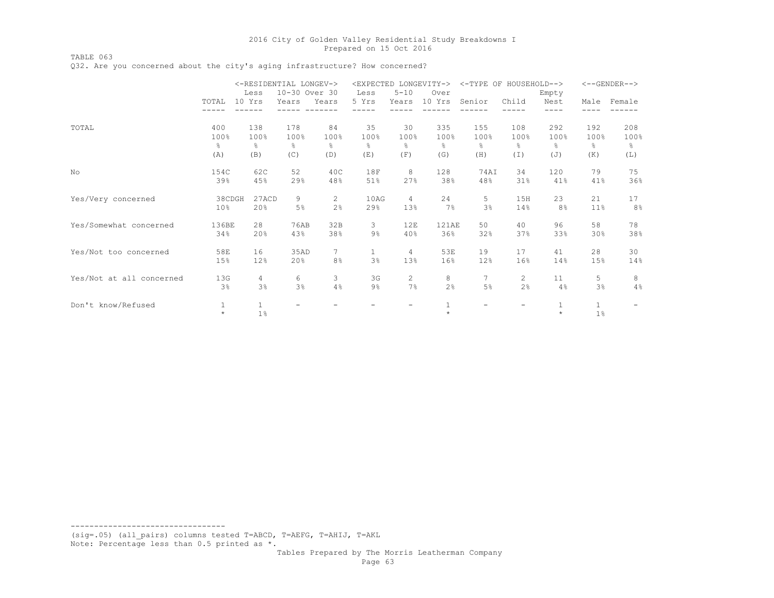TABLE 063

Q32. Are you concerned about the city's aging infrastructure? How concerned?

|                          |                 | <-RESIDENTIAL LONGEV-><br>Less | 10-30 Over 30 |                | <expected<br>Less</expected<br> | $5 - 10$       | LONGEVITY-><br>Over | <-TYPE OF     | HOUSEHOLD-->   | Empty         |              | $<-$ -GENDER--> |
|--------------------------|-----------------|--------------------------------|---------------|----------------|---------------------------------|----------------|---------------------|---------------|----------------|---------------|--------------|-----------------|
|                          | TOTAL           | 10 Yrs                         | Years         | Years          | 5 Yrs                           | Years          | 10 Yrs              | Senior        | Child          | Nest          | Male         | Female          |
|                          |                 |                                |               |                |                                 |                |                     |               |                |               |              |                 |
| TOTAL                    | 400<br>100%     | 138<br>100%                    | 178<br>100%   | 84<br>100%     | 35<br>100%                      | 30<br>100%     | 335<br>100%         | 155<br>100%   | 108<br>100%    | 292<br>100%   | 192<br>100%  | 208<br>100%     |
|                          | $\frac{6}{6}$   | g.                             | 옹             | ⊱              | $\frac{6}{5}$                   | g.             | ⊱                   | $\frac{6}{6}$ | 옹              | $\frac{6}{5}$ | g.           | g.              |
|                          | (A)             | (B)                            | (C)           | (D)            | (E)                             | (F)            | (G)                 | (H)           | (I)            | (J)           | (K)          | (L)             |
| No                       | 154C            | 62C                            | 52            | 40C            | 18F                             | 8              | 128                 | <b>74AI</b>   | 34             | 120           | 79           | 75              |
|                          | 39%             | 45%                            | 29%           | 48%            | 51%                             | 27%            | 38%                 | 48%           | 31%            | 41%           | 41%          | 36%             |
| Yes/Very concerned       | 38CDGH          | 27ACD                          | 9             | $\overline{2}$ | 10AG                            | $\overline{4}$ | 24                  | 5             | 15H            | 23            | 21           | 17              |
|                          | 10 <sup>°</sup> | 20%                            | 5%            | 2%             | 29%                             | 13%            | 7%                  | 3%            | 14%            | 8%            | 11%          | 8%              |
| Yes/Somewhat concerned   | 136BE           | 28                             | 76AB          | 32B            | 3                               | 12E            | <b>121AE</b>        | 50            | 40             | 96            | 58           | 78              |
|                          | 34%             | 20%                            | 43%           | 38%            | $9\%$                           | 40%            | 36%                 | 32%           | 37%            | 33%           | 30%          | 38%             |
| Yes/Not too concerned    | 58E             | 16                             | 35AD          | 7              | $\mathbf{1}$                    | $\overline{4}$ | 53E                 | 19            | 17             | 41            | 28           | 30              |
|                          | 15%             | 12%                            | 20%           | 8 <sup>°</sup> | 3%                              | 13%            | 16%                 | 12%           | 16%            | 14%           | 15%          | 14%             |
| Yes/Not at all concerned | 13G             | 4                              | 6             | 3              | 3G                              | $\overline{c}$ | 8                   | 7             | $\overline{2}$ | 11            | 5            | 8               |
|                          | 3%              | 3%                             | 3%            | 4%             | 9%                              | 7%             | 2%                  | 5%            | 2%             | 4%            | 3%           | 4%              |
| Don't know/Refused       | $\mathbf{1}$    | $\mathbf{1}$                   |               |                |                                 |                | $\mathbf{1}$        |               |                | $\mathbf{1}$  | $\mathbf{1}$ |                 |
|                          | $\star$         | $1\%$                          |               |                |                                 |                | $\star$             |               |                | $\star$       | 1%           |                 |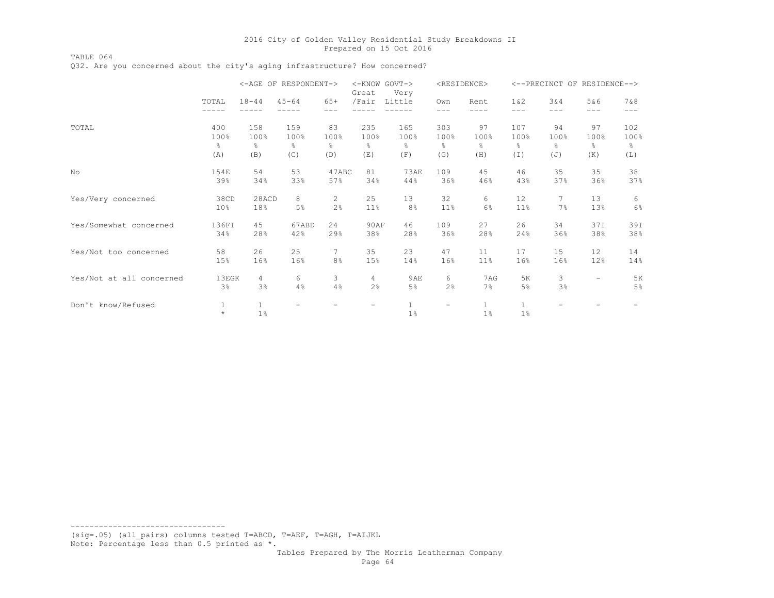TABLE 064 Q32. Are you concerned about the city's aging infrastructure? How concerned?

|                          |                          |                       | <-AGE OF RESPONDENT->    |                                         | <-KNOW GOVT-><br>Great   | Very                          |                          | <residence></residence>                       |                       |                              | <--PRECINCT OF RESIDENCE--> |                   |
|--------------------------|--------------------------|-----------------------|--------------------------|-----------------------------------------|--------------------------|-------------------------------|--------------------------|-----------------------------------------------|-----------------------|------------------------------|-----------------------------|-------------------|
|                          | TOTAL                    | $18 - 44$             | $45 - 64$                | $65+$                                   | /Fair                    | Little                        | Own                      | Rent                                          | 1 & 2                 | 3 & 4                        | 5&6                         | 7 & 8             |
|                          |                          |                       |                          |                                         |                          |                               | ---                      |                                               | ---                   | $---$                        | ---                         |                   |
| TOTAL                    | 400<br>100%<br>$\approx$ | 158<br>100%<br>g.     | 159<br>100%<br>$\approx$ | 83<br>100%<br>÷.                        | 235<br>100%<br>$\approx$ | 165<br>100%<br>$\frac{6}{10}$ | 303<br>100%<br>÷.        | 97<br>100%<br>$\frac{\mathsf{D}}{\mathsf{D}}$ | 107<br>100%<br>g.     | 94<br>100%<br>$\frac{6}{10}$ | 97<br>100%<br>⊱             | 102<br>100%<br>g. |
|                          | (A)                      | (B)                   | (C)                      | (D)                                     | (E)                      | (F)                           | (G)                      | (H)                                           | (I)                   | (J)                          | (K)                         | (L)               |
| No                       | 154E<br>39%              | 54<br>34%             | 53<br>33%                | 47ABC<br>57%                            | 81<br>34%                | <b>73AE</b><br>44%            | 109<br>36%               | 45<br>46%                                     | 46<br>43%             | 35<br>37%                    | 35<br>36%                   | 38<br>37%         |
| Yes/Very concerned       | 38CD<br>10%              | 28ACD<br>18%          | 8<br>5%                  | $\mathbf{2}^{\prime}$<br>2 <sup>°</sup> | 25<br>11%                | 13<br>8 <sup>°</sup>          | 32<br>11%                | 6<br>6%                                       | 12<br>11%             | $\overline{7}$<br>7%         | 13<br>13%                   | 6<br>6%           |
| Yes/Somewhat concerned   | 136FI<br>34%             | 45<br>28%             | 67ABD<br>42%             | 24<br>29%                               | 90AF<br>38%              | 46<br>28%                     | 109<br>36%               | 27<br>28%                                     | 26<br>24%             | 34<br>36%                    | 37I<br>38%                  | 39I<br>38%        |
| Yes/Not too concerned    | 58<br>15%                | 26<br>16%             | 25<br>16%                | 7<br>8 <sup>°</sup>                     | 35<br>15%                | 23<br>14%                     | 47<br>16%                | 11<br>11%                                     | 17<br>16%             | 15<br>16%                    | 12<br>12%                   | 14<br>14%         |
| Yes/Not at all concerned | 13EGK<br>3%              | $\overline{4}$<br>3%  | 6<br>4%                  | 3<br>4%                                 | 4<br>2%                  | 9AE<br>5%                     | 6<br>2%                  | 7AG<br>7%                                     | 5K<br>5%              | 3<br>3%                      | $\overline{\phantom{a}}$    | 5K<br>5%          |
| Don't know/Refused       | $\mathbf 1$<br>$\star$   | $\mathbf{1}$<br>$1\%$ |                          |                                         | -                        | $\mathbf{1}$<br>$1\%$         | $\overline{\phantom{m}}$ | $\mathbf{1}$<br>1%                            | $\mathbf{1}$<br>$1\%$ |                              |                             |                   |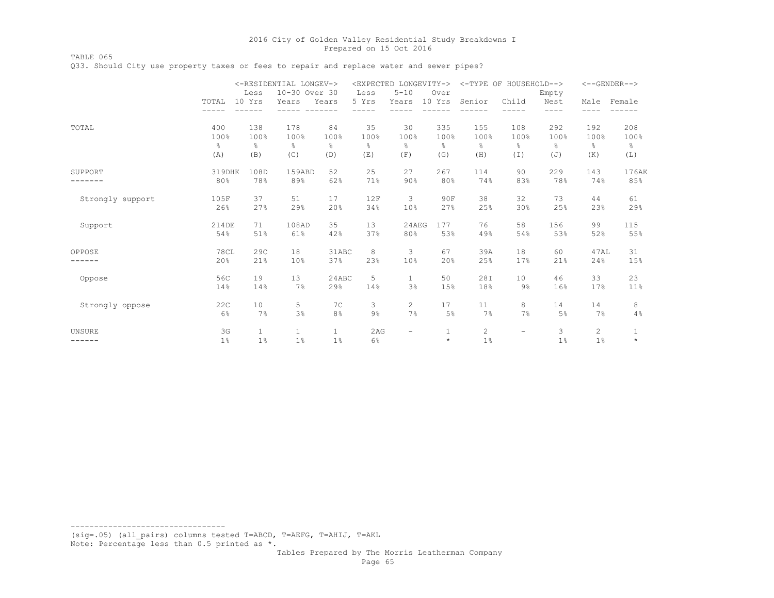TABLE 065

Q33. Should City use property taxes or fees to repair and replace water and sewer pipes?

|                         |               | Less               | <-RESIDENTIAL LONGEV-><br>10-30 Over 30 |                       | Less                            | <expected longevity-=""><br/><math>5 - 10</math></expected> | Over                    |                         | <-TYPE OF HOUSEHOLD-->   | Empty         |                       | $<-$ -GENDER--> |
|-------------------------|---------------|--------------------|-----------------------------------------|-----------------------|---------------------------------|-------------------------------------------------------------|-------------------------|-------------------------|--------------------------|---------------|-----------------------|-----------------|
|                         | TOTAL         | 10 Yrs             | Years                                   | Years                 | 5 Yrs                           | Years                                                       | 10 Yrs                  | Senior                  | Child                    | Nest<br>$---$ |                       | Male Female     |
| TOTAL                   | 400           | 138                | 178                                     | 84                    | 35                              | 30                                                          | 335                     | 155                     | 108                      | 292           | 192                   | 208             |
|                         | 100%          | 100%               | 100%                                    | 100%                  | 100%                            | 100%                                                        | 100%                    | 100%                    | 100%                     | 100%          | 100%                  | 100%            |
|                         | $\frac{6}{6}$ | $\frac{6}{6}$      | e.                                      | $\frac{6}{6}$         | $\frac{\mathsf{o}}{\mathsf{o}}$ | $\frac{6}{5}$                                               | $\frac{6}{6}$           | $\frac{6}{6}$           | $\frac{6}{6}$            | $\approx$     | $\frac{6}{5}$         | $\frac{6}{6}$   |
|                         | (A)           | (B)                | (C)                                     | (D)                   | (E)                             | (F)                                                         | (G)                     | (H)                     | $(\bot)$                 | (J)           | (K)                   | (L)             |
| SUPPORT                 | 319DHK        | 108D               | 159ABD                                  | 52                    | 25                              | 27                                                          | 267                     | 114                     | 90                       | 229           | 143                   | 176AK           |
|                         | 80%           | 78%                | 89%                                     | 62%                   | 71%                             | 90%                                                         | 80%                     | 74%                     | 83%                      | 78%           | 74%                   | 85%             |
| Strongly support        | 105F          | 37                 | 51                                      | 17                    | 12F                             | 3                                                           | 90F                     | 38                      | 32                       | 73            | 44                    | 61              |
|                         | 26%           | 27%                | 29%                                     | 20%                   | 34%                             | 10%                                                         | 27%                     | 25%                     | 30%                      | 25%           | 23%                   | 29%             |
| Support                 | 214DE         | 71                 | 108AD                                   | 35                    | 13                              | 24AEG                                                       | 177                     | 76                      | 58                       | 156           | 99                    | 115             |
|                         | 54%           | 51%                | 61%                                     | 42%                   | 37%                             | 80%                                                         | 53%                     | 49%                     | 54%                      | 53%           | 52%                   | 55%             |
| OPPOSE                  | 78CL          | 29C                | 18                                      | 31ABC                 | 8                               | 3                                                           | 67                      | 39A                     | 18                       | 60            | 47AL                  | 31              |
|                         | 20%           | 21%                | 10%                                     | 37%                   | 23%                             | 10%                                                         | 20%                     | 25%                     | 17%                      | 21%           | 24%                   | 15%             |
| Oppose                  | 56C           | 19                 | 13                                      | 24ABC                 | 5                               | $\mathbf{1}$                                                | 50                      | 28I                     | 10 <sup>°</sup>          | 46            | 33                    | 23              |
|                         | 14%           | 14%                | 7%                                      | 29%                   | 14%                             | 3%                                                          | 15%                     | 18%                     | $9\%$                    | 16%           | 17%                   | 11%             |
| Strongly oppose         | 22C           | 10                 | 5                                       | 7 <sup>C</sup>        | 3                               | 2                                                           | 17                      | 11                      | 8                        | 14            | 14                    | 8               |
|                         | 6%            | 7%                 | 3%                                      | 8%                    | $9\%$                           | 7%                                                          | 5%                      | 7%                      | 7%                       | 5%            | 7%                    | 4%              |
| <b>UNSURE</b><br>------ | 3G<br>1%      | $\mathbf{1}$<br>1% | $\mathbf{1}$<br>1%                      | $\mathbf{1}$<br>$1\%$ | 2AG<br>6%                       | $\overline{\phantom{m}}$                                    | $\mathbf{1}$<br>$\star$ | $\overline{2}$<br>$1\%$ | $\overline{\phantom{m}}$ | 3<br>1%       | $\mathbf{2}$<br>$1\%$ | 1<br>$\star$    |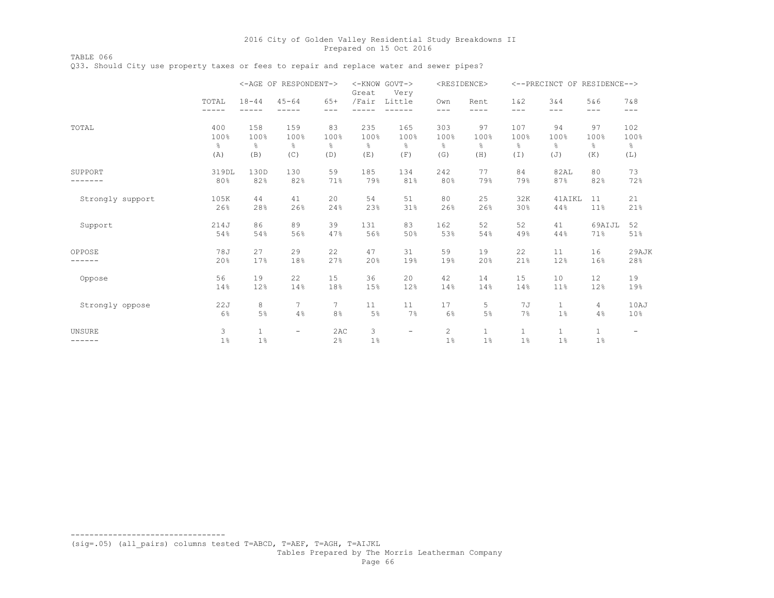TABLE 066 Q33. Should City use property taxes or fees to repair and replace water and sewer pipes?

|                  |                |                    | <-AGE OF RESPONDENT->    |                 | Great   | <-KNOW GOVT-><br>Very    |                                         | <residence></residence> |                       | <--PRECINCT OF RESIDENCE--> |                       |                          |
|------------------|----------------|--------------------|--------------------------|-----------------|---------|--------------------------|-----------------------------------------|-------------------------|-----------------------|-----------------------------|-----------------------|--------------------------|
|                  | TOTAL<br>----- | $18 - 44$          | $45 - 64$                | $65+$<br>$---$  | /Fair   | Little                   | Own<br>$---$                            | Rent<br>----            | 1 & 2<br>$---$        | 3&4<br>$---$                | 5&6<br>$- - -$        | 7 & 8<br>---             |
| TOTAL            | 400            | 158                | 159                      | 83              | 235     | 165                      | 303                                     | 97                      | 107                   | 94                          | 97                    | 102                      |
|                  | 100%           | 100%               | 100%                     | 100%            | 100%    | 100%                     | 100%                                    | 100%                    | 100%                  | 100%                        | 100%                  | 100%                     |
|                  | $\frac{6}{6}$  | $\frac{6}{6}$      | ⊱                        | $\frac{6}{6}$   | g.      | $\frac{6}{5}$            | 옹                                       | 옹                       | $\frac{6}{6}$         | g.                          | $\frac{6}{6}$         | $\frac{6}{6}$            |
|                  | (A)            | (B)                | (C)                      | (D)             | (E)     | (F)                      | (G)                                     | (H)                     | (I)                   | (J)                         | (K)                   | (L)                      |
| SUPPORT          | 319DL          | 130D               | 130                      | 59              | 185     | 134                      | 242                                     | 77                      | 84                    | 82AL                        | 80                    | 73                       |
|                  | 80%            | 82%                | 82%                      | 71%             | 79%     | 81%                      | 80%                                     | 79%                     | 79%                   | 87%                         | 82%                   | 72%                      |
| Strongly support | 105K           | 44                 | 41                       | 20              | 54      | 51                       | 80                                      | 25                      | 32K                   | 41AIKL                      | 11                    | 21                       |
|                  | 26%            | 28%                | 26%                      | 24%             | 23%     | 31%                      | 26%                                     | 26%                     | 30%                   | 44%                         | 11%                   | 21%                      |
| Support          | 214J           | 86                 | 89                       | 39              | 131     | 83                       | 162                                     | 52                      | 52                    | 41                          | 69AIJL                | 52                       |
|                  | 54%            | 54%                | 56%                      | 47%             | 56%     | 50%                      | 53%                                     | 54%                     | 49%                   | 44%                         | 71%                   | 51%                      |
| OPPOSE           | 78J            | 27                 | 29                       | 22              | 47      | 31                       | 59                                      | 19                      | 22                    | 11                          | 16                    | 29AJK                    |
|                  | 20%            | 17%                | 18%                      | 27%             | 20%     | 19%                      | 19%                                     | 20%                     | 21%                   | 12%                         | 16%                   | 28%                      |
| Oppose           | 56             | 19                 | 22                       | 15              | 36      | 20                       | 42                                      | 14                      | 15                    | 10                          | 12                    | 19                       |
|                  | 14%            | 12%                | 14%                      | 18%             | 15%     | 12%                      | 14%                                     | 14%                     | 14%                   | 11%                         | 12%                   | 19%                      |
| Strongly oppose  | 22J            | 8                  | 7                        | $7\phantom{.0}$ | 11      | 11                       | 17                                      | 5                       | 7J                    | $\mathbf{1}$                | 4                     | 10AJ                     |
|                  | 6%             | 5%                 | 4%                       | 8%              | 5%      | 7%                       | 6%                                      | 5%                      | 7%                    | $1\%$                       | 4%                    | 10%                      |
| UNSURE<br>------ | 3<br>$1\%$     | $\mathbf{1}$<br>1% | $\overline{\phantom{m}}$ | 2AC<br>2%       | 3<br>1% | $\overline{\phantom{a}}$ | $\mathbf{2}^{\prime}$<br>1 <sup>°</sup> | $\mathbf{1}$<br>1%      | $\mathbf{1}$<br>$1\%$ | $\mathbf{1}$<br>$1\%$       | $\mathbf{1}$<br>$1\%$ | $\overline{\phantom{a}}$ |

(sig=.05) (all\_pairs) columns tested T=ABCD, T=AEF, T=AGH, T=AIJKL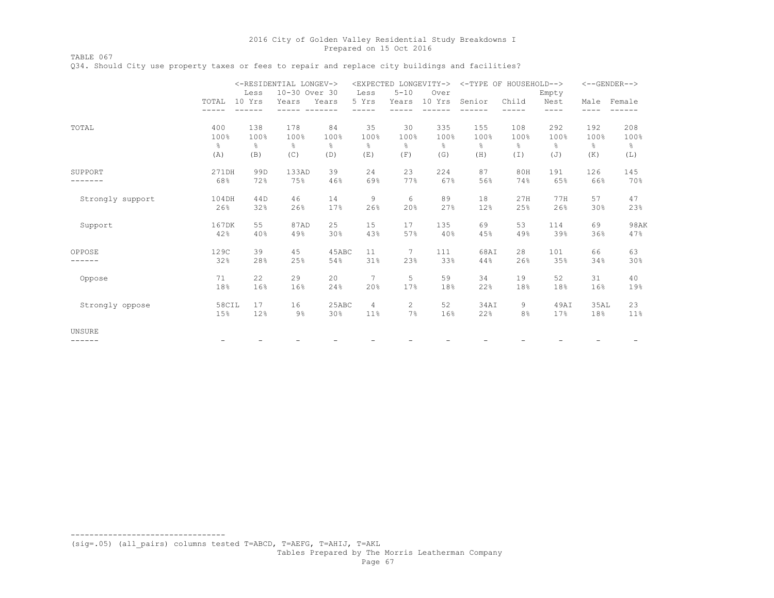TABLE 067

Q34. Should City use property taxes or fees to repair and replace city buildings and facilities?

|                  | Less          | <-RESIDENTIAL LONGEV-><br>10-30 Over 30 |       | Less          | <expected longevity-=""><br/><math>5 - 10</math></expected> | Over          | <-TYPE OF HOUSEHOLD--> |               | Empty          |                 | $\leftarrow$ -GENDER--> |               |
|------------------|---------------|-----------------------------------------|-------|---------------|-------------------------------------------------------------|---------------|------------------------|---------------|----------------|-----------------|-------------------------|---------------|
|                  | TOTAL         | 10 Yrs                                  | Years | Years         | 5 Yrs                                                       | Years         | 10 Yrs                 | Senior        | Child          | Nest<br>$- - -$ |                         | Male Female   |
| TOTAL            | 400           | 138                                     | 178   | 84            | 35                                                          | 30            | 335                    | 155           | 108            | 292             | 192                     | 208           |
|                  | 100%          | 100%                                    | 100%  | 100%          | 100%                                                        | 100%          | 100%                   | 100%          | 100%           | 100%            | 100%                    | 100%          |
|                  | $\frac{6}{6}$ | $\frac{6}{6}$                           | e.    | $\frac{6}{6}$ | $\frac{\mathsf{o}}{\mathsf{o}}$                             | $\frac{6}{5}$ | $\frac{6}{6}$          | $\frac{6}{6}$ | $\%$           | $\frac{6}{6}$   | $\frac{6}{5}$           | $\frac{6}{6}$ |
|                  | (A)           | (B)                                     | (C)   | (D)           | (E)                                                         | (F)           | (G)                    | (H)           | (I)            | (J)             | (K)                     | (L)           |
| SUPPORT          | 271DH         | 99D                                     | 133AD | 39            | 24                                                          | 23            | 224                    | 87            | 80H            | 191             | 126                     | 145           |
|                  | 68%           | 72%                                     | 75%   | 46%           | 69%                                                         | 77%           | 67%                    | 56%           | 74%            | 65%             | 66%                     | 70%           |
| Strongly support | 104DH         | 44D                                     | 46    | 14            | 9                                                           | 6             | 89                     | 18            | 27H            | 77H             | 57                      | 47            |
|                  | 26%           | 32%                                     | 26%   | 17%           | 26%                                                         | 20%           | 27%                    | 12%           | 25%            | 26%             | 30%                     | 23%           |
| Support          | 167DK         | 55                                      | 87AD  | 25            | 15                                                          | 17            | 135                    | 69            | 53             | 114             | 69                      | <b>98AK</b>   |
|                  | 42%           | 40%                                     | 49%   | 30%           | 43%                                                         | 57%           | 40%                    | 45%           | 49%            | 39%             | 36%                     | 47%           |
| OPPOSE           | 129C          | 39                                      | 45    | 45ABC         | 11                                                          | 7             | 111                    | 68AI          | 28             | 101             | 66                      | 63            |
|                  | 32%           | 28%                                     | 25%   | 54%           | 31%                                                         | 23%           | 33%                    | 44%           | 26%            | 35%             | 34%                     | 30%           |
| Oppose           | 71            | 22                                      | 29    | 20            | $\overline{7}$                                              | 5             | 59                     | 34            | 19             | 52              | 31                      | 40            |
|                  | 18%           | 16%                                     | 16%   | 24%           | 20%                                                         | 17%           | 18%                    | 22%           | 18%            | 18%             | 16%                     | 19%           |
| Strongly oppose  | 58CIL         | 17                                      | 16    | 25ABC         | 4                                                           | 2             | 52                     | 34AI          | 9              | 49AI            | 35AL                    | 23            |
|                  | 15%           | 12%                                     | $9\%$ | 30%           | 11%                                                         | 7%            | 16%                    | 22%           | 8 <sup>°</sup> | 17%             | 18%                     | 11%           |
| UNSURE<br>------ |               |                                         |       |               |                                                             |               |                        |               |                |                 |                         |               |

(sig=.05) (all\_pairs) columns tested T=ABCD, T=AEFG, T=AHIJ, T=AKL

---------------------------------

Tables Prepared by The Morris Leatherman Company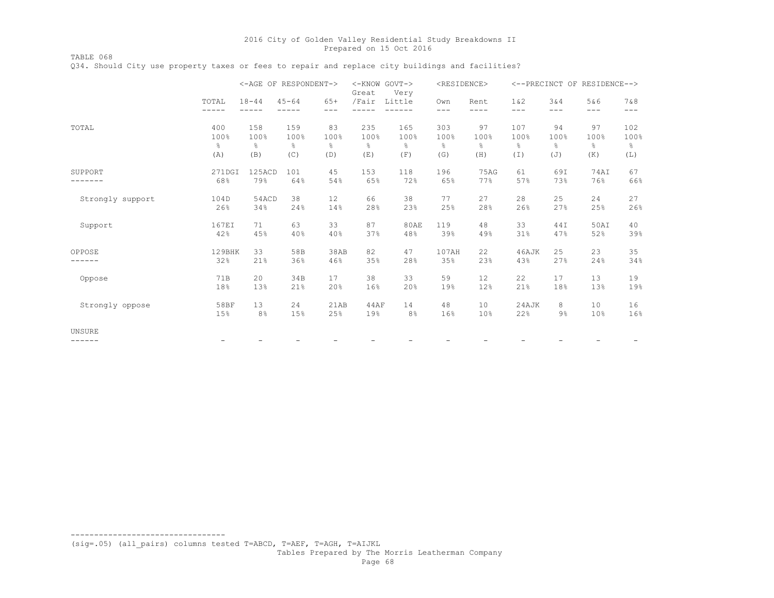TABLE 068 Q34. Should City use property taxes or fees to repair and replace city buildings and facilities?

|                  |                | <-AGE OF RESPONDENT-> |               |               | <-KNOW GOVT-><br>Great | Very          | <residence></residence> |               |              |               | <--PRECINCT OF RESIDENCE--> |                |
|------------------|----------------|-----------------------|---------------|---------------|------------------------|---------------|-------------------------|---------------|--------------|---------------|-----------------------------|----------------|
|                  | TOTAL<br>----- | $18 - 44$<br>-----    | $45 - 64$     | $65+$<br>---  | /Fair                  | Little        | Own<br>$---$            | Rent<br>----  | 1 & 2<br>--- | 3&4<br>$---$  | 5&6<br>---                  | 7&8<br>$- - -$ |
| TOTAL            | 400            | 158                   | 159           | 83            | 235                    | 165           | 303                     | 97            | 107          | 94            | 97                          | 102            |
|                  | 100%           | 100%                  | 100%          | 100%          | 100%                   | 100%          | 100%                    | 100%          | 100%         | 100%          | 100%                        | 100%           |
|                  | $\frac{6}{6}$  | 옹                     | $\frac{6}{6}$ | $\frac{6}{6}$ | g.                     | $\frac{6}{5}$ | ⊱                       | $\frac{6}{5}$ | g.           | $\frac{6}{6}$ | g.                          | g.             |
|                  | (A)            | (B)                   | (C)           | (D)           | (E)                    | (F)           | (G)                     | (H)           | (I)          | (J)           | (K)                         | (L)            |
| SUPPORT          | 271DGI         | 125ACD                | 101           | 45            | 153                    | 118           | 196                     | 75AG          | 61           | 69I           | <b>74AI</b>                 | 67             |
|                  | 68%            | 79%                   | 64%           | 54%           | 65%                    | 72%           | 65%                     | 77%           | 57%          | 73%           | 76%                         | 66%            |
| Strongly support | 104D           | 54ACD                 | 38            | 12            | 66                     | 38            | 77                      | 27            | 28           | 25            | 24                          | 27             |
|                  | 26%            | 34%                   | 24%           | 14%           | 28%                    | 23%           | 25%                     | 28%           | 26%          | 27%           | 25%                         | 26%            |
| Support          | 167EI          | 71                    | 63            | 33            | 87                     | <b>80AE</b>   | 119                     | 48            | 33           | 44I           | 50AI                        | 40             |
|                  | 42%            | 45%                   | 40%           | 40%           | 37%                    | 48%           | 39%                     | 49%           | 31%          | 47%           | 52%                         | 39%            |
| OPPOSE           | 129BHK         | 33                    | 58B           | 38AB          | 82                     | 47            | 107AH                   | 22            | 46AJK        | 25            | 23                          | 35             |
|                  | 32%            | 21%                   | 36%           | 46%           | 35%                    | 28%           | 35%                     | 23%           | 43%          | 27%           | 24%                         | 34%            |
| Oppose           | 71B            | 20                    | 34B           | 17            | 38                     | 33            | 59                      | 12            | 22           | 17            | 13                          | 19             |
|                  | 18%            | 13%                   | 21%           | 20%           | 16%                    | 20%           | 19%                     | 12%           | 21%          | 18%           | 13%                         | 19%            |
| Strongly oppose  | 58BF           | 13                    | 24            | 21AB          | 44AF                   | 14            | 48                      | 10            | 24AJK        | 8             | 10                          | 16             |
|                  | 15%            | 8 <sup>°</sup>        | 15%           | 25%           | 19%                    | 8%            | 16%                     | 10%           | 22%          | 9%            | 10 <sup>°</sup>             | 16%            |
| UNSURE           |                |                       |               |               |                        |               |                         |               |              |               |                             |                |
| ------           |                |                       |               |               |                        |               |                         |               |              |               |                             |                |

(sig=.05) (all\_pairs) columns tested T=ABCD, T=AEF, T=AGH, T=AIJKL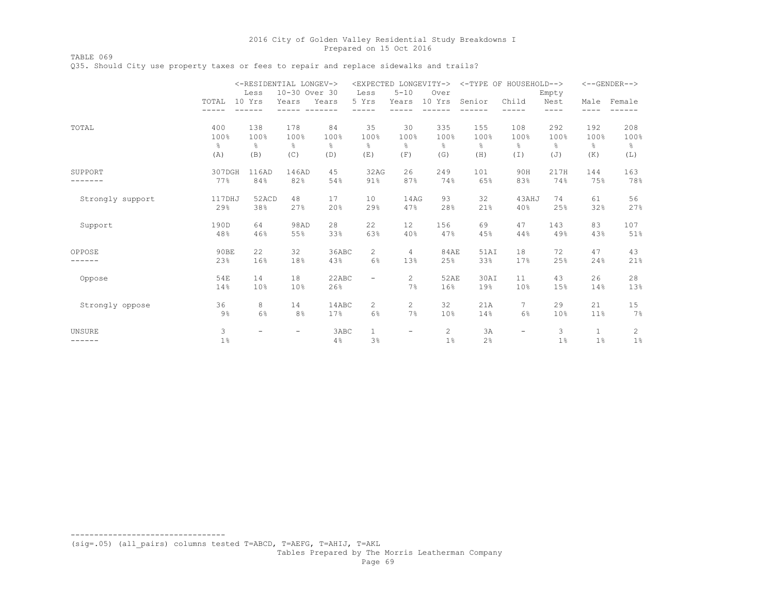TABLE 069

Q35. Should City use property taxes or fees to repair and replace sidewalks and trails?

|                  |               |               | <-RESIDENTIAL LONGEV->          |       | <expected longevity-=""></expected> |                |                |               | <-TYPE OF HOUSEHOLD--> |               |              | $<-$ -GENDER--> |
|------------------|---------------|---------------|---------------------------------|-------|-------------------------------------|----------------|----------------|---------------|------------------------|---------------|--------------|-----------------|
|                  |               | Less          | 10-30 Over 30                   |       | Less                                | $5 - 10$       | Over           |               |                        | Empty         |              |                 |
|                  | TOTAL         | 10 Yrs        | Years                           | Years | 5 Yrs                               | Years          | 10 Yrs         | Senior        | Child                  | Nest          | Male         | Female          |
|                  |               |               |                                 |       |                                     |                |                |               |                        | ----          |              |                 |
| TOTAL            | 400           | 138           | 178                             | 84    | 35                                  | 30             | 335            | 155           | 108                    | 292           | 192          | 208             |
|                  | 100%          | 100%          | 100%                            | 100%  | 100%                                | 100%           | 100%           | 100%          | 100%                   | 100%          | 100%         | 100%            |
|                  | $\frac{6}{6}$ | $\frac{6}{6}$ | $\frac{\mathsf{o}}{\mathsf{o}}$ | ⊱     | 옹                                   | g.             | g.             | $\frac{6}{6}$ | $\frac{6}{6}$          | $\frac{6}{5}$ | $\epsilon$   | $\frac{6}{5}$   |
|                  | (A)           | (B)           | (C)                             | (D)   | (E)                                 | (F)            | (G)            | (H)           | $(\top)$               | (J)           | (K)          | (L)             |
| SUPPORT          | 307DGH        | 116AD         | 146AD                           | 45    | 32AG                                | 26             | 249            | 101           | 90H                    | 217H          | 144          | 163             |
|                  | 77%           | 84%           | 82%                             | 54%   | 91%                                 | 87%            | 74%            | 65%           | 83%                    | 74%           | 75%          | 78%             |
| Strongly support | 117DHJ        | 52ACD         | 48                              | 17    | 10                                  | 14AG           | 93             | 32            | 43AHJ                  | 74            | 61           | 56              |
|                  | 29%           | 38%           | 27%                             | 20%   | 29%                                 | 47%            | 28%            | 21%           | 40%                    | 25%           | 32%          | 27%             |
| Support          | 190D          | 64            | 98AD                            | 28    | 22                                  | 12             | 156            | 69            | 47                     | 143           | 83           | 107             |
|                  | 48%           | 46%           | 55%                             | 33%   | 63%                                 | 40%            | 47%            | 45%           | 44%                    | 49%           | 43%          | 51%             |
| OPPOSE           | 90BE          | 22            | 32                              | 36ABC | 2                                   | $\overline{4}$ | 84AE           | 51AI          | 18                     | 72            | 47           | 43              |
|                  | 23%           | 16%           | 18%                             | 43%   | 6%                                  | 13%            | 25%            | 33%           | 17%                    | 25%           | 24%          | 21%             |
| Oppose           | 54E           | 14            | 18                              | 22ABC | $\overline{\phantom{0}}$            | $\overline{2}$ | 52AE           | 30AI          | 11                     | 43            | 26           | 28              |
|                  | 14%           | 10%           | 10%                             | 26%   |                                     | 7%             | 16%            | 19%           | 10%                    | 15%           | 14%          | 13%             |
| Strongly oppose  | 36            | 8             | 14                              | 14ABC | 2                                   | $\overline{2}$ | 32             | 21A           | 7                      | 29            | 21           | 15              |
|                  | $9\%$         | 6%            | 8%                              | 17%   | 6%                                  | 7%             | 10%            | 14%           | 6%                     | 10%           | 11%          | 7%              |
| UNSURE           | 3             | -             | $\overline{\phantom{a}}$        | 3ABC  | $\mathbf{1}$                        | -              | 2              | 3A            | Ξ.                     | 3             | $\mathbf{1}$ | $\mathbf{2}$    |
|                  | $1\%$         |               |                                 | 4%    | 3%                                  |                | 1 <sup>°</sup> | 2%            |                        | $1\%$         | $1\%$        | $1\%$           |

(sig=.05) (all\_pairs) columns tested T=ABCD, T=AEFG, T=AHIJ, T=AKL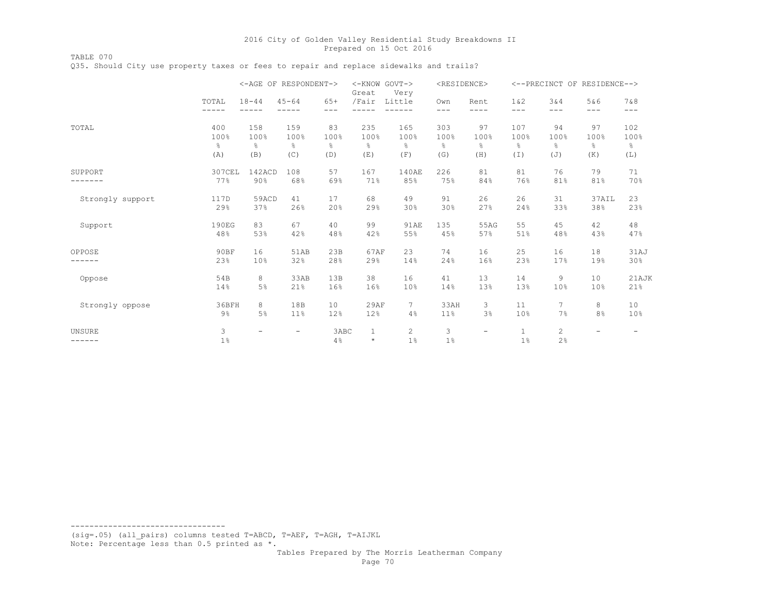TABLE 070 Q35. Should City use property taxes or fees to repair and replace sidewalks and trails?

|                  |                |                   | <-AGE OF RESPONDENT->    |                | <-KNOW GOVT-><br>Great  | Very          | <residence></residence> |                          |                       |                      | <--PRECINCT OF RESIDENCE--> |                          |
|------------------|----------------|-------------------|--------------------------|----------------|-------------------------|---------------|-------------------------|--------------------------|-----------------------|----------------------|-----------------------------|--------------------------|
|                  | TOTAL<br>----- | $18 - 44$         | $45 - 64$                | $65+$<br>$---$ | /Fair                   | Little        | Own<br>---              | Rent<br>---              | 1 & 2<br>$---$        | 3&4<br>---           | 5&6<br>$---$                | 7 & 8<br>---             |
| TOTAL            | 400            | 158               | 159                      | 83             | 235                     | 165           | 303                     | 97                       | 107                   | 94                   | 97                          | 102                      |
|                  | 100%           | 100%              | 100%                     | 100%           | 100%                    | 100%          | 100%                    | 100%                     | 100%                  | 100%                 | 100%                        | 100%                     |
|                  | $\frac{6}{6}$  | 옹                 | $\frac{6}{6}$            | $\frac{6}{6}$  | $\frac{6}{5}$           | $\frac{6}{6}$ | $\frac{6}{6}$           | 옹                        | $\frac{6}{6}$         | $\frac{6}{6}$        | $\frac{6}{6}$               | $\frac{6}{6}$            |
|                  | (A)            | (B)               | (C)                      | (D)            | (E)                     | (F)           | (G)                     | (H)                      | (I)                   | (J)                  | (K)                         | (L)                      |
| SUPPORT          | 307CEL         | 142ACD            | 108                      | 57             | 167                     | 140AE         | 226                     | 81                       | 81                    | 76                   | 79                          | 71                       |
|                  | 77%            | 90%               | 68%                      | 69%            | 71%                     | 85%           | 75%                     | 84%                      | 76%                   | 81%                  | 81%                         | 70%                      |
| Strongly support | 117D           | 59ACD             | 41                       | 17             | 68                      | 49            | 91                      | 26                       | 26                    | 31                   | 37AIL                       | 23                       |
|                  | 29%            | 37%               | 26%                      | 20%            | 29%                     | 30%           | 30%                     | 27%                      | 24%                   | 33%                  | 38%                         | 23%                      |
| Support          | 190EG          | 83                | 67                       | 40             | 99                      | 91AE          | 135                     | 55AG                     | 55                    | 45                   | 42                          | 48                       |
|                  | 48%            | 53%               | 42%                      | 48%            | 42%                     | 55%           | 45%                     | 57%                      | 51%                   | 48%                  | 43%                         | 47%                      |
| OPPOSE           | 90BF           | 16                | 51AB                     | 23B            | 67AF                    | 23            | 74                      | 16                       | 25                    | 16                   | 18                          | 31AJ                     |
|                  | 23%            | 10%               | 32%                      | 28%            | 29%                     | 14%           | 24%                     | 16%                      | 23%                   | 17%                  | 19%                         | 30%                      |
| Oppose           | 54B            | 8                 | 33AB                     | 13B            | 38                      | 16            | 41                      | 13                       | 14                    | 9                    | 10                          | 21AJK                    |
|                  | 14%            | 5%                | 21%                      | 16%            | 16%                     | 10%           | 14%                     | 13%                      | 13%                   | 10%                  | 10 <sup>°</sup>             | 21%                      |
| Strongly oppose  | 36BFH          | 8                 | 18B                      | 10             | 29AF                    | 7             | 33AH                    | 3                        | 11                    | 7                    | 8                           | 10                       |
|                  | $9\%$          | 5%                | 11%                      | 12%            | 12%                     | 4%            | 11%                     | 3%                       | 10%                   | 7%                   | 8%                          | 10%                      |
| UNSURE<br>------ | 3<br>$1\%$     | $\qquad \qquad -$ | $\overline{\phantom{a}}$ | 3ABC<br>4%     | $\mathbf{1}$<br>$\star$ | 2<br>$1\%$    | 3<br>$1\%$              | $\overline{\phantom{a}}$ | $\mathbf{1}$<br>$1\%$ | $\overline{2}$<br>2% | $\overline{\phantom{0}}$    | $\overline{\phantom{a}}$ |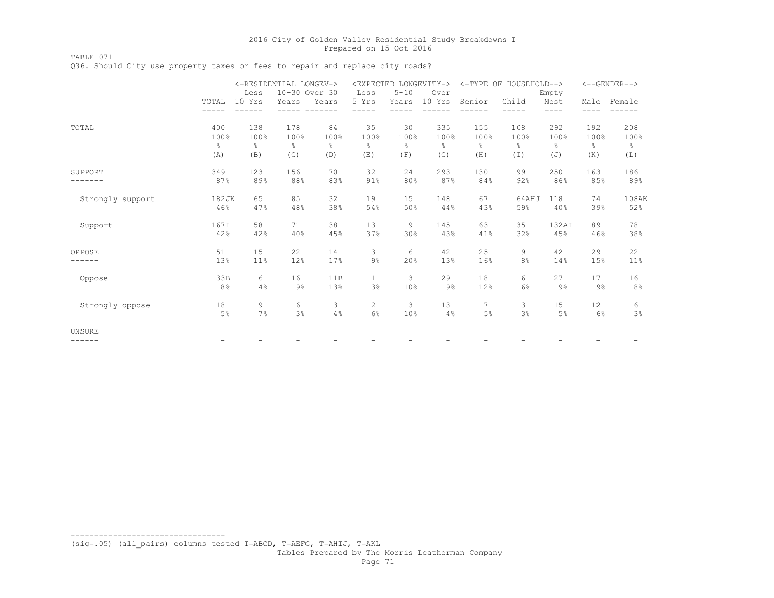TABLE 071

Q36. Should City use property taxes or fees to repair and replace city roads?

|                  |               |               | <-RESIDENTIAL LONGEV-> |               |                       | <expected longevity-=""></expected> |               |               | <-TYPE OF HOUSEHOLD--> |               |       | $<-$ -GENDER--> |
|------------------|---------------|---------------|------------------------|---------------|-----------------------|-------------------------------------|---------------|---------------|------------------------|---------------|-------|-----------------|
|                  |               | Less          | 10-30 Over 30          |               | Less                  | $5 - 10$                            | Over          |               |                        | Empty         |       |                 |
|                  | TOTAL         | 10 Yrs        | Years                  | Years         | 5 Yrs                 | Years                               | 10 Yrs        | Senior        | Child                  | Nest          |       | Male Female     |
|                  |               |               |                        |               |                       |                                     |               |               |                        | $---$         |       |                 |
| TOTAL            | 400           | 138           | 178                    | 84            | 35                    | 30                                  | 335           | 155           | 108                    | 292           | 192   | 208             |
|                  | 100%          | 100%          | 100%                   | 100%          | 100%                  | 100%                                | 100%          | 100%          | 100%                   | 100%          | 100%  | 100%            |
|                  | $\frac{6}{5}$ | $\frac{6}{6}$ | 옹                      | $\frac{6}{6}$ | $\frac{6}{6}$         | $\frac{6}{5}$                       | $\frac{6}{6}$ | $\frac{6}{6}$ | $\frac{6}{6}$          | $\frac{6}{6}$ | g.    | $\frac{6}{6}$   |
|                  | (A)           | (B)           | (C)                    | (D)           | (E)                   | (F)                                 | (G)           | (H)           | $(\bot)$               | (J)           | (K)   | (L)             |
| SUPPORT          | 349           | 123           | 156                    | 70            | 32                    | 24                                  | 293           | 130           | 99                     | 250           | 163   | 186             |
|                  | 87%           | 89%           | 88%                    | 83%           | 91%                   | 80%                                 | 87%           | 84%           | 92%                    | 86%           | 85%   | 89%             |
| Strongly support | 182JK         | 65            | 85                     | 32            | 19                    | 15                                  | 148           | 67            | 64AHJ                  | 118           | 74    | 108AK           |
|                  | 46%           | 47%           | 48%                    | 38%           | 54%                   | 50%                                 | 44%           | 43%           | 59%                    | 40%           | 39%   | 52%             |
| Support          | 167I          | 58            | 71                     | 38            | 13                    | 9                                   | 145           | 63            | 35                     | 132AI         | 89    | 78              |
|                  | 42%           | 42%           | 40%                    | 45%           | 37%                   | 30%                                 | 43%           | 41%           | 32%                    | 45%           | 46%   | 38%             |
| OPPOSE           | 51            | 15            | 22                     | 14            | 3                     | 6                                   | 42            | 25            | 9                      | 42            | 29    | 22              |
|                  | 13%           | 11%           | 12%                    | 17%           | $9\%$                 | 20%                                 | 13%           | 16%           | 8%                     | 14%           | 15%   | 11%             |
| Oppose           | 33B           | 6             | 16                     | 11B           | $\mathbf{1}$          | 3                                   | 29            | 18            | 6                      | 27            | 17    | 16              |
|                  | 8%            | 4%            | $9\%$                  | 13%           | 3%                    | 10%                                 | $9\%$         | 12%           | 6%                     | 9%            | $9\%$ | 8%              |
| Strongly oppose  | 18            | 9             | 6                      | 3             | $\mathbf{2}^{\prime}$ | 3                                   | 13            | 7             | 3                      | 15            | 12    | 6               |
|                  | 5%            | 7%            | 3%                     | 4%            | 6%                    | 10%                                 | 4%            | $5\%$         | 3%                     | 5%            | 6%    | 3%              |
| UNSURE           |               |               |                        |               |                       |                                     |               |               |                        |               |       |                 |
| ------           |               |               |                        |               |                       |                                     |               |               |                        |               |       |                 |

--------------------------------- (sig=.05) (all\_pairs) columns tested T=ABCD, T=AEFG, T=AHIJ, T=AKL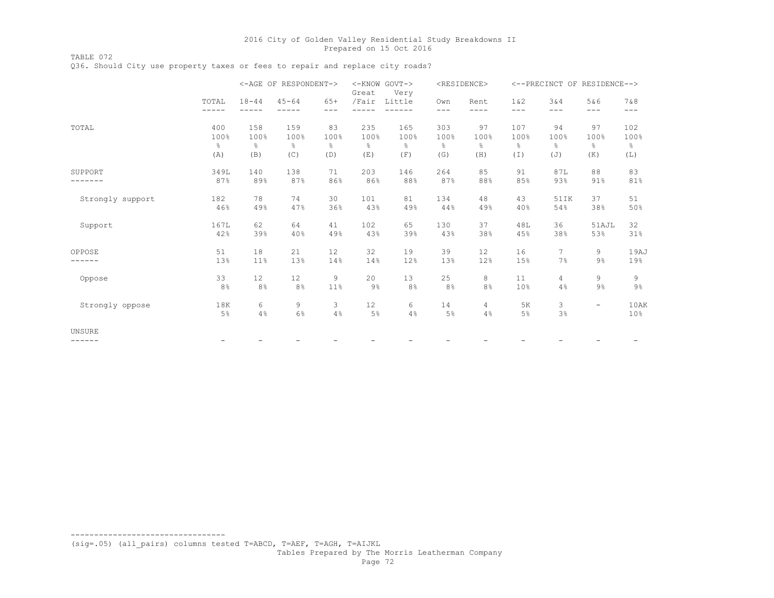TABLE 072 Q36. Should City use property taxes or fees to repair and replace city roads?

|                  |                |                | <-AGE OF RESPONDENT-> |                  | <-KNOW GOVT-><br>Great | Very          |                | <residence></residence> |                |               | <--PRECINCT OF RESIDENCE--> |                         |
|------------------|----------------|----------------|-----------------------|------------------|------------------------|---------------|----------------|-------------------------|----------------|---------------|-----------------------------|-------------------------|
|                  | TOTAL<br>----- | $18 - 44$      | $45 - 64$             | $65+$<br>$- - -$ | /Fair                  | Little        | Own<br>$---$   | Rent<br>----            | 1 & 2<br>$---$ | 3&4<br>$---$  | 5&6<br>$---$                | 7 & 8<br>---            |
| TOTAL            | 400            | 158            | 159                   | 83               | 235                    | 165           | 303            | 97                      | 107            | 94            | 97                          | 102                     |
|                  | 100%           | 100%           | 100%                  | 100%             | 100%                   | 100%          | 100%           | 100%                    | 100%           | 100%          | 100%                        | 100%                    |
|                  | $\frac{6}{6}$  | $\frac{6}{6}$  | $\frac{6}{6}$         | $\frac{6}{6}$    | ိင                     | $\frac{6}{6}$ | $\frac{6}{6}$  | $\frac{6}{6}$           | $\%$           | $\frac{6}{6}$ | န္                          | $\frac{6}{6}$           |
|                  | (A)            | (B)            | (C)                   | (D)              | (E)                    | (F)           | (G)            | (H)                     | $(\top)$       | (J)           | (K)                         | (L)                     |
| SUPPORT          | 349L           | 140            | 138                   | 71               | 203                    | 146           | 264            | 85                      | 91             | 87L           | 88                          | 83                      |
|                  | 87%            | 89%            | 87%                   | 86%              | 86%                    | 88%           | 87%            | 88%                     | 85%            | 93%           | 91%                         | 81%                     |
| Strongly support | 182            | 78             | 74                    | 30               | 101                    | 81            | 134            | 48                      | 43             | 51IK          | 37                          | 51                      |
|                  | 46%            | 49%            | 47%                   | 36%              | 43%                    | 49%           | 44%            | 49%                     | 40%            | 54%           | 38%                         | 50%                     |
| Support          | 167L           | 62             | 64                    | 41               | 102                    | 65            | 130            | 37                      | 48L            | 36            | 51AJL                       | 32                      |
|                  | 42%            | 39%            | 40%                   | 49%              | 43%                    | 39%           | 43%            | 38%                     | 45%            | 38%           | 53%                         | 31%                     |
| OPPOSE           | 51             | 18             | 21                    | 12               | 32                     | 19            | 39             | 12                      | 16             | 7             | 9                           | 19AJ                    |
|                  | 13%            | 11%            | 13%                   | 14%              | 14%                    | 12%           | 13%            | 12%                     | 15%            | 7%            | $9\%$                       | 19%                     |
| Oppose           | 33             | 12             | 12                    | 9                | 20                     | 13            | 25             | 8                       | 11             | 4             | 9                           | 9                       |
|                  | 8%             | 8 <sup>°</sup> | 8%                    | 11%              | $9\%$                  | 8%            | 8 <sup>°</sup> | 8%                      | 10%            | 4%            | $9\frac{6}{6}$              | 9%                      |
| Strongly oppose  | 18K<br>5%      | 6<br>4%        | 9<br>6%               | 3<br>4%          | 12<br>5%               | 6<br>4%       | 14<br>5%       | 4<br>4%                 | 5K<br>$5\%$    | 3<br>3%       | $\overline{\phantom{0}}$    | 10AK<br>10 <sup>°</sup> |
| <b>UNSURE</b>    |                |                |                       |                  |                        |               |                |                         |                |               |                             |                         |
| ------           |                |                |                       |                  |                        |               |                |                         |                |               |                             |                         |

(sig=.05) (all\_pairs) columns tested T=ABCD, T=AEF, T=AGH, T=AIJKL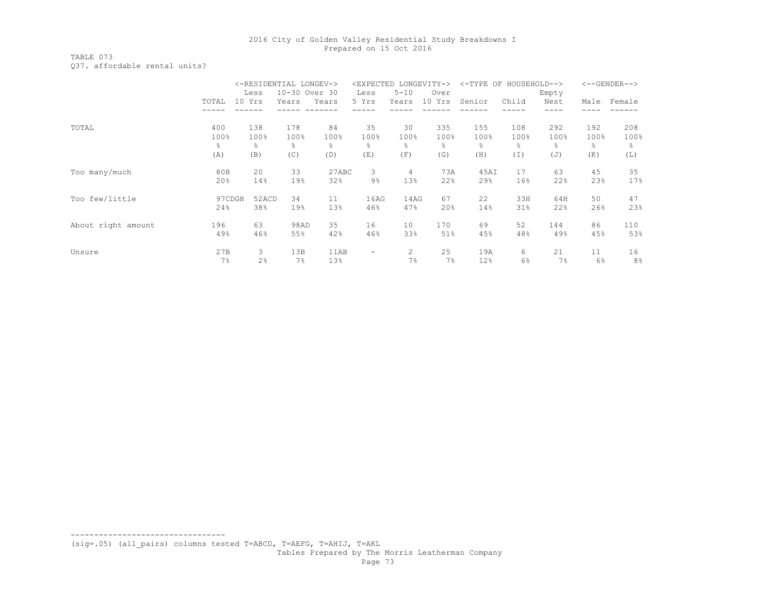TABLE 073 Q37. affordable rental units?

|                    |        |        | <-RESIDENTIAL LONGEV-> |       | <expected longevity-=""></expected> |          |        |        | <-TYPE OF HOUSEHOLD--> |       |      | $\left<$ --GENDER--> |
|--------------------|--------|--------|------------------------|-------|-------------------------------------|----------|--------|--------|------------------------|-------|------|----------------------|
|                    |        | Less   | 10-30 Over 30          |       | Less                                | $5 - 10$ | Over   |        |                        | Empty |      |                      |
|                    | TOTAL  | 10 Yrs | Years                  | Years | 5 Yrs                               | Years    | 10 Yrs | Senior | Child                  | Nest  | Male | Female               |
|                    |        |        |                        |       |                                     |          |        |        |                        |       |      |                      |
| TOTAL              | 400    | 138    | 178                    | 84    | 35                                  | 30       | 335    | 155    | 108                    | 292   | 192  | 208                  |
|                    | 100%   | 100%   | 100%                   | 100%  | 100%                                | 100%     | 100%   | 100%   | 100%                   | 100%  | 100% | 100%                 |
|                    | g.     | 옹      | ⊱                      | g.    | ⊱                                   | g.       | g.     | g.     | ⊱                      | g.    | g.   | 응                    |
|                    | (A)    | (B)    | (C)                    | (D)   | (E)                                 | (F)      | (G)    | (H)    | (I)                    | (J)   | (K)  | (L)                  |
| Too many/much      | 80B    | 20     | 33                     | 27ABC | 3                                   | 4        | 73A    | 45AI   | 17                     | 63    | 45   | 35                   |
|                    | 20%    | 14%    | 19%                    | 32%   | 9%                                  | 13%      | 22%    | 29%    | 16%                    | 22%   | 23%  | 17%                  |
| Too few/little     | 97CDGH | 52ACD  | 34                     | 11    | 16AG                                | 14AG     | 67     | 22     | 33H                    | 64H   | 50   | 47                   |
|                    | 24%    | 38%    | 19%                    | 13%   | 46%                                 | 47%      | 20%    | 14%    | 31%                    | 22%   | 26%  | 23%                  |
| About right amount | 196    | 63     | 98AD                   | 35    | 16                                  | 10       | 170    | 69     | 52                     | 144   | 86   | 110                  |
|                    | 49%    | 46%    | 55%                    | 42%   | 46%                                 | 33%      | 51%    | 45%    | 48%                    | 49%   | 45%  | 53%                  |
| Unsure             | 27B    | 3      | 13B                    | 11AB  | $\overline{\phantom{0}}$            | 2        | 25     | 19A    | 6                      | 21    | 11   | 16                   |
|                    | 7%     | 2%     | 7%                     | 13%   |                                     | 7%       | 7%     | 12%    | 6%                     | 7%    | 6%   | 8%                   |

--------------------------------- (sig=.05) (all\_pairs) columns tested T=ABCD, T=AEFG, T=AHIJ, T=AKL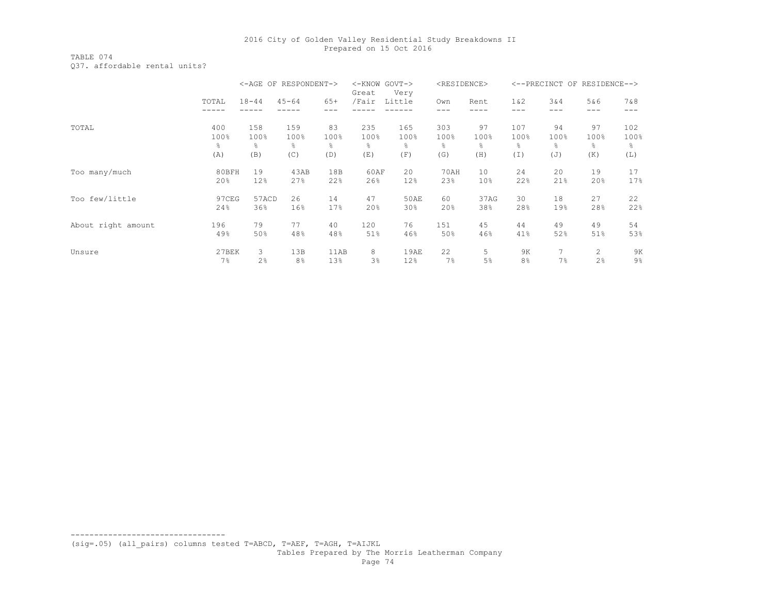TABLE 074 Q37. affordable rental units?

|                    |       |           | <-AGE OF RESPONDENT-> |       | <-KNOW GOVT-><br>Great | Very        | <residence></residence> |                 |                | <--PRECINCT OF RESIDENCE--> |      |       |
|--------------------|-------|-----------|-----------------------|-------|------------------------|-------------|-------------------------|-----------------|----------------|-----------------------------|------|-------|
|                    | TOTAL | $18 - 44$ | $45 - 64$             | $65+$ | /Fair                  | Little      | Own                     | Rent            | $1\&2$         | 3&4                         | 5&6  | 7&8   |
|                    |       |           |                       |       |                        |             |                         |                 |                |                             |      |       |
| TOTAL              | 400   | 158       | 159                   | 83    | 235                    | 165         | 303                     | 97              | 107            | 94                          | 97   | 102   |
|                    | 100%  | 100%      | 100%                  | 100%  | 100%                   | 100%        | 100%                    | 100%            | 100%           | 100%                        | 100% | 100%  |
|                    | g.    | 옹         | g.                    | g.    | ⊱                      | g.          | ိင                      | g.              | 옹              | g.                          | g.   | 응     |
|                    | (A)   | (B)       | (C)                   | (D)   | (E)                    | (F)         | (G)                     | (H)             | (I)            | (J)                         | (K)  | (L)   |
| Too many/much      | 80BFH | 19        | 43AB                  | 18B   | 60AF                   | 20          | <b>70AH</b>             | 10              | 24             | 20                          | 19   | 17    |
|                    | 20%   | 12%       | 27%                   | 22%   | 26%                    | 12%         | 23%                     | 10 <sup>°</sup> | 22%            | 21%                         | 20%  | 17%   |
| Too few/little     | 97CEG | 57ACD     | 26                    | 14    | 47                     | <b>50AE</b> | 60                      | 37AG            | 30             | 18                          | 27   | 22    |
|                    | 24%   | 36%       | 16%                   | 17%   | 20%                    | 30%         | 20%                     | 38%             | 28%            | 19%                         | 28%  | 22%   |
| About right amount | 196   | 79        | 77                    | 40    | 120                    | 76          | 151                     | 45              | 44             | 49                          | 49   | 54    |
|                    | 49%   | 50%       | 48%                   | 48%   | 51%                    | 46%         | 50%                     | 46%             | 41%            | 52%                         | 51%  | 53%   |
| Unsure             | 27BEK | 3         | 13B                   | 11AB  | 8                      | 19AE        | 22                      | 5               | 9K             | 7                           | 2    | 9K    |
|                    | 7%    | 2%        | 8%                    | 13%   | 3%                     | 12%         | 7%                      | 5%              | 8 <sup>°</sup> | 7%                          | 2%   | $9\%$ |

--------------------------------- (sig=.05) (all\_pairs) columns tested T=ABCD, T=AEF, T=AGH, T=AIJKL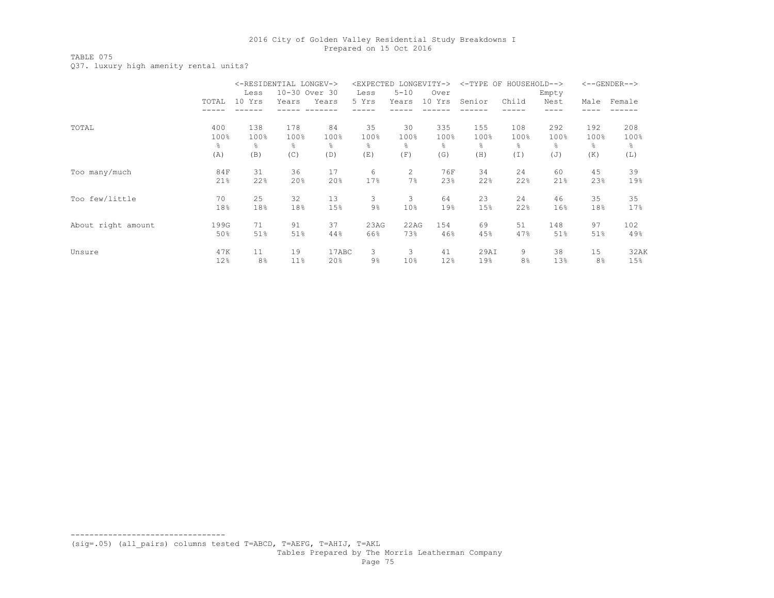TABLE 075 Q37. luxury high amenity rental units?

|                    |                |                | <-RESIDENTIAL LONGEV-> |                | <expected< th=""><th></th><th>LONGEVITY-&gt;</th><th><math>&lt;</math>-TYPE</th><th>OF<br/>HOUSEHOLD--&gt;</th><th></th><th></th><th><math>&lt;-</math>-GENDER--&gt;</th></expected<> |                 | LONGEVITY-> | $<$ -TYPE | OF<br>HOUSEHOLD--> |       |                | $<-$ -GENDER--> |
|--------------------|----------------|----------------|------------------------|----------------|---------------------------------------------------------------------------------------------------------------------------------------------------------------------------------------|-----------------|-------------|-----------|--------------------|-------|----------------|-----------------|
|                    |                | Less           | 10-30 Over 30          |                | Less                                                                                                                                                                                  | $5 - 10$        | Over        |           |                    | Empty |                |                 |
|                    | TOTAL          | 10 Yrs         | Years                  | Years          | 5 Yrs                                                                                                                                                                                 | Years           | 10 Yrs      | Senior    | Child              | Nest  | Male           | Female          |
|                    |                |                |                        |                |                                                                                                                                                                                       |                 |             |           |                    |       |                |                 |
| TOTAL              | 400            | 138            | 178                    | 84             | 35                                                                                                                                                                                    | 30              | 335         | 155       | 108                | 292   | 192            | 208             |
|                    | 100%           | 100%           | 100%                   | 100%           | 100%                                                                                                                                                                                  | 100%            | 100%        | 100%      | 100%               | 100%  | 100%           | 100%            |
|                    | $\frac{6}{10}$ | ⊱              | ٩,                     | $\frac{6}{10}$ | $\frac{6}{10}$                                                                                                                                                                        | $\frac{6}{10}$  | g.          | ⊱         | 옹                  | ⊱     | g.             | g.              |
|                    | (A)            | (B)            | (C)                    | (D)            | (E)                                                                                                                                                                                   | (F)             | (G)         | (H)       | (I)                | (J)   | (K)            | (L)             |
| Too many/much      | 84F            | 31             | 36                     | 17             | 6                                                                                                                                                                                     | 2               | 76F         | 34        | 24                 | 60    | 45             | 39              |
|                    | 21%            | 22%            | 20%                    | 20%            | 17%                                                                                                                                                                                   | 7%              | 23%         | 22%       | 22%                | 21%   | 23%            | 19%             |
| Too few/little     | 70             | 25             | 32                     | 13             | 3                                                                                                                                                                                     | 3               | 64          | 23        | 24                 | 46    | 35             | 35              |
|                    | 18%            | 18%            | 18%                    | 15%            | $9\%$                                                                                                                                                                                 | 10 <sup>°</sup> | 19%         | 15%       | 22%                | 16%   | 18%            | 17%             |
| About right amount | 199G           | 71             | 91                     | 37             | 23AG                                                                                                                                                                                  | 22AG            | 154         | 69        | 51                 | 148   | 97             | 102             |
|                    | 50%            | 51%            | 51%                    | 44%            | 66%                                                                                                                                                                                   | 73%             | 46%         | 45%       | 47%                | 51%   | 51%            | 49%             |
| Unsure             | 47K            | 11             | 19                     | 17ABC          | 3                                                                                                                                                                                     | 3               | 41          | 29AI      | 9                  | 38    | 15             | 32AK            |
|                    | 12%            | 8 <sup>°</sup> | 11%                    | 20%            | $9\%$                                                                                                                                                                                 | 10 <sup>°</sup> | 12%         | 19%       | 8 <sup>°</sup>     | 13%   | 8 <sup>°</sup> | 15%             |

--------------------------------- (sig=.05) (all\_pairs) columns tested T=ABCD, T=AEFG, T=AHIJ, T=AKL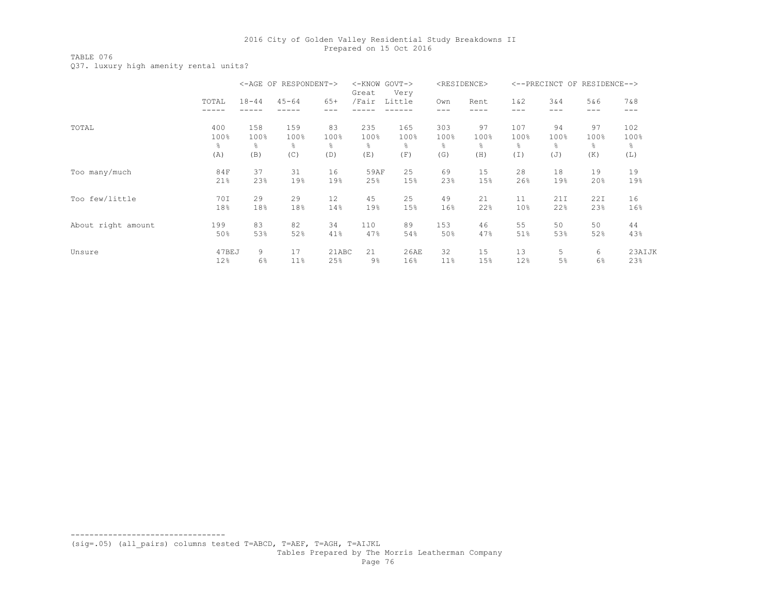TABLE 076 Q37. luxury high amenity rental units?

|                    |       | <-AGE OF RESPONDENT-> |           |       | $<$ - $<$ NOW<br>Great | GOVT-><br>Very |      | <residence></residence> |                 | <--PRECINCT OF RESIDENCE--> |                |        |
|--------------------|-------|-----------------------|-----------|-------|------------------------|----------------|------|-------------------------|-----------------|-----------------------------|----------------|--------|
|                    | TOTAL | $18 - 44$             | $45 - 64$ | $65+$ | /Fair                  | Little         | Own  | Rent                    | $1\&2$          | 3&4                         | 5&6            | 7 & 8  |
|                    |       |                       |           |       |                        |                | ---  |                         | ---             | ---                         | ---            | ---    |
| TOTAL              | 400   | 158                   | 159       | 83    | 235                    | 165            | 303  | 97                      | 107             | 94                          | 97             | 102    |
|                    | 100%  | 100%                  | 100%      | 100%  | 100%                   | 100%           | 100% | 100%                    | 100%            | 100%                        | 100%           | 100%   |
|                    | g     | 옹                     | g.        | ⊱     | g.                     | $\frac{6}{10}$ | န္   | g.                      | g.              | ⊱                           | $\frac{6}{10}$ | g.     |
|                    | (A)   | (B)                   | (C)       | (D)   | (E)                    | (F)            | (G)  | (H)                     | (T)             | (J)                         | (K)            | (L)    |
| Too many/much      | 84F   | 37                    | 31        | 16    | 59AF                   | 25             | 69   | 15                      | 28              | 18                          | 19             | 19     |
|                    | 21%   | 23%                   | 19%       | 19%   | 25%                    | 15%            | 23%  | 15%                     | 26%             | 19%                         | 20%            | 19%    |
| Too few/little     | 70I   | 29                    | 29        | 12    | 45                     | 25             | 49   | 21                      | 11              | 21I                         | 22I            | 16     |
|                    | 18%   | 18%                   | 18%       | 14%   | 19%                    | 15%            | 16%  | 22%                     | 10 <sup>°</sup> | 22%                         | 23%            | 16%    |
| About right amount | 199   | 83                    | 82        | 34    | 110                    | 89             | 153  | 46                      | 55              | 50                          | 50             | 44     |
|                    | 50%   | 53%                   | 52%       | 41%   | 47%                    | 54%            | 50%  | 47%                     | 51%             | 53%                         | 52%            | 43%    |
| Unsure             | 47BEJ | 9                     | 17        | 21ABC | 21                     | 26AE           | 32   | 15                      | 13              | 5                           | 6              | 23AIJK |
|                    | 12%   | 6%                    | 11%       | 25%   | $9\%$                  | 16%            | 11%  | 15%                     | 12%             | 5%                          | 6%             | 23%    |

--------------------------------- (sig=.05) (all\_pairs) columns tested T=ABCD, T=AEF, T=AGH, T=AIJKL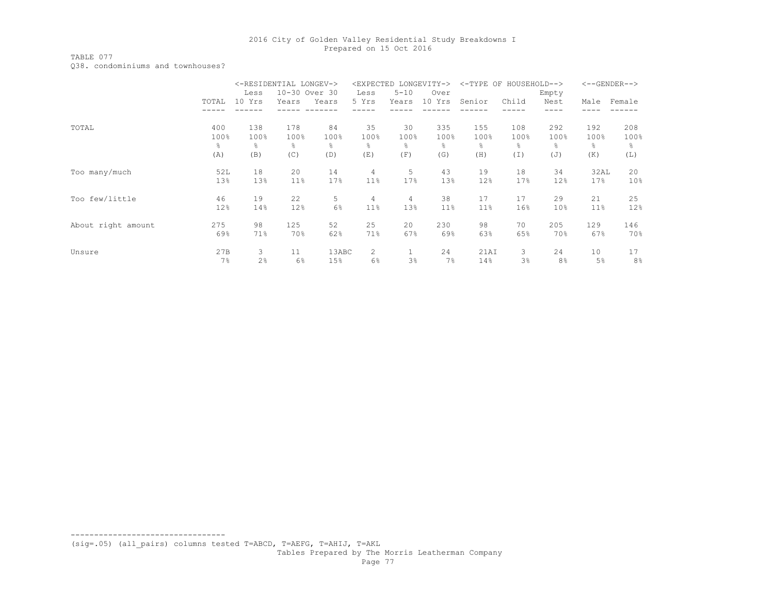#### TABLE 077 Q38. condominiums and townhouses?

|                    |       | <-RESIDENTIAL LONGEV-> |       |               | <expected< th=""><th></th><th>LONGEVITY-&gt;</th><th><math>&lt;-TYPE</math> OF</th><th>HOUSEHOLD--&gt;</th><th></th><th></th><th><math>&lt;-</math>-GENDER--&gt;</th></expected<> |              | LONGEVITY-> | $<-TYPE$ OF | HOUSEHOLD--> |       |      | $<-$ -GENDER--> |
|--------------------|-------|------------------------|-------|---------------|-----------------------------------------------------------------------------------------------------------------------------------------------------------------------------------|--------------|-------------|-------------|--------------|-------|------|-----------------|
|                    |       | Less                   |       | 10-30 Over 30 | Less                                                                                                                                                                              | $5 - 10$     | Over        |             |              | Empty |      |                 |
|                    | TOTAL | 10 Yrs                 | Years | Years         | 5 Yrs                                                                                                                                                                             | Years        | 10 Yrs      | Senior      | Child        | Nest  | Male | Female          |
|                    |       |                        |       |               |                                                                                                                                                                                   |              |             |             |              |       |      |                 |
| TOTAL              | 400   | 138                    | 178   | 84            | 35                                                                                                                                                                                | 30           | 335         | 155         | 108          | 292   | 192  | 208             |
|                    | 100%  | 100%                   | 100%  | 100%          | 100%                                                                                                                                                                              | 100%         | 100%        | 100%        | 100%         | 100%  | 100% | 100%            |
|                    | g.    | 응                      | g.    | g.            | ⊱                                                                                                                                                                                 | g.           | g.          | g.          | 옹            | ⊱     | g.   | 옹               |
|                    | (A)   | (B)                    | (C)   | (D)           | (E)                                                                                                                                                                               | (F)          | (G)         | (H)         | (I)          | (J)   | (K)  | (L)             |
| Too many/much      | 52L   | 18                     | 20    | 14            | 4                                                                                                                                                                                 | 5            | 43          | 19          | 18           | 34    | 32AL | 20              |
|                    | 13%   | 13%                    | 11%   | 17%           | 11%                                                                                                                                                                               | 17%          | 13%         | 12%         | 17%          | 12%   | 17%  | 10%             |
| Too few/little     | 46    | 19                     | 22    | 5             | 4                                                                                                                                                                                 | 4            | 38          | 17          | 17           | 29    | 21   | 25              |
|                    | 12%   | 14%                    | 12%   | 6%            | 11%                                                                                                                                                                               | 13%          | 11%         | 11%         | 16%          | 10%   | 11%  | 12%             |
| About right amount | 275   | 98                     | 125   | 52            | 25                                                                                                                                                                                | 20           | 230         | 98          | 70           | 205   | 129  | 146             |
|                    | 69%   | 71%                    | 70%   | 62%           | 71%                                                                                                                                                                               | 67%          | 69%         | 63%         | 65%          | 70%   | 67%  | 70%             |
| Unsure             | 27B   | 3                      | 11    | 13ABC         | 2                                                                                                                                                                                 | $\mathbf{1}$ | 24          | 21AI        | 3            | 24    | 10   | 17              |
|                    | 7%    | 2 <sup>°</sup>         | 6%    | 15%           | 6%                                                                                                                                                                                | 3%           | 7%          | 14%         | 3%           | 8%    | 5%   | 8%              |

(sig=.05) (all\_pairs) columns tested T=ABCD, T=AEFG, T=AHIJ, T=AKL

---------------------------------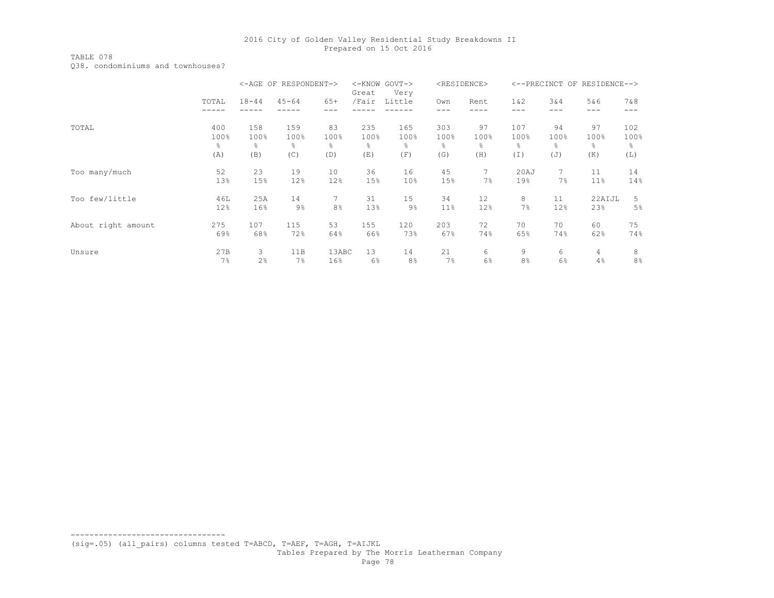TABLE 078 Q38. condominiums and townhouses?

|                    |       |           | <-AGE OF RESPONDENT-> |       | <-KNOW GOVT-><br>Great | Very            |      | <residence></residence> |                |             | <--PRECINCT OF RESIDENCE--> |                |
|--------------------|-------|-----------|-----------------------|-------|------------------------|-----------------|------|-------------------------|----------------|-------------|-----------------------------|----------------|
|                    | TOTAL | $18 - 44$ | $45 - 64$             | $65+$ | /Fair                  | Little          | Own  | Rent                    | $1\&2$         | 3&4         | 5&6                         | 7 & 8          |
|                    |       |           |                       |       |                        |                 |      |                         |                |             | ---                         |                |
| TOTAL              | 400   | 158       | 159                   | 83    | 235                    | 165             | 303  | 97                      | 107            | 94          | 97                          | 102            |
|                    | 100%  | 100%      | 100%                  | 100%  | 100%                   | 100%            | 100% | 100%                    | 100%           | 100%        | 100%                        | 100%           |
|                    | g.    | ိင        | ⊱                     | 옹     | g.                     | g.              | g.   | g.                      | 옹              | g.          | g.                          | 옹              |
|                    | (A)   | (B)       | (C)                   | (D)   | (E)                    | (F)             | (G)  | (H)                     | (I)            | (J)         | (K)                         | (L)            |
| Too many/much      | 52    | 23        | 19                    | 10    | 36                     | 16              | 45   | 7                       | 20AJ           | $7^{\circ}$ | 11                          | 14             |
|                    | 13%   | 15%       | 12%                   | 12%   | 15%                    | 10 <sup>°</sup> | 15%  | 7%                      | 19%            | 7%          | 11%                         | 14%            |
| Too few/little     | 46L   | 25A       | 14                    | 7     | 31                     | 15              | 34   | 12                      | 8              | 11          | 22AIJL                      | 5              |
|                    | 12%   | 16%       | 9%                    | 8%    | 13%                    | $9\%$           | 11%  | 12%                     | 7%             | 12%         | 23%                         | 5%             |
| About right amount | 275   | 107       | 115                   | 53    | 155                    | 120             | 203  | 72                      | 70             | 70          | 60                          | 75             |
|                    | 69%   | 68%       | 72%                   | 64%   | 66%                    | 73%             | 67%  | 74%                     | 65%            | 74%         | 62%                         | 74%            |
| Unsure             | 27B   | 3         | 11B                   | 13ABC | 13                     | 14              | 21   | 6                       | 9              | 6           | 4                           | 8              |
|                    | 7%    | 2%        | 7%                    | 16%   | 6%                     | 8 <sup>°</sup>  | 7%   | 6%                      | 8 <sup>°</sup> | 6%          | 4%                          | 8 <sup>°</sup> |

(sig=.05) (all\_pairs) columns tested T=ABCD, T=AEF, T=AGH, T=AIJKL

---------------------------------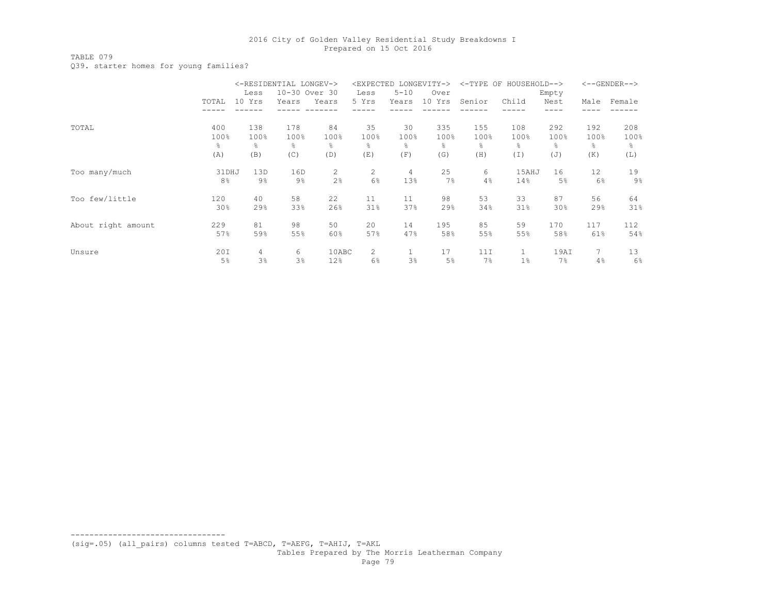# TABLE 079

Q39. starter homes for young families?

|                    |       |        | <-RESIDENTIAL LONGEV-> |                | <expected< th=""><th></th><th>LONGEVITY-&gt;</th><th><math>&lt;-TYPE</math> OF</th><th>HOUSEHOLD--&gt;</th><th></th><th></th><th><math>&lt;-</math>-GENDER--&gt;</th></expected<> |                | LONGEVITY-> | $<-TYPE$ OF | HOUSEHOLD--> |       |      | $<-$ -GENDER--> |
|--------------------|-------|--------|------------------------|----------------|-----------------------------------------------------------------------------------------------------------------------------------------------------------------------------------|----------------|-------------|-------------|--------------|-------|------|-----------------|
|                    |       | Less   | 10-30 Over 30          |                | Less                                                                                                                                                                              | $5 - 10$       | Over        |             |              | Empty |      |                 |
|                    | TOTAL | 10 Yrs | Years                  | Years          | 5 Yrs                                                                                                                                                                             | Years          | 10 Yrs      | Senior      | Child        | Nest  | Male | Female          |
|                    |       |        |                        |                |                                                                                                                                                                                   |                |             |             |              |       |      |                 |
| TOTAL              | 400   | 138    | 178                    | 84             | 35                                                                                                                                                                                | 30             | 335         | 155         | 108          | 292   | 192  | 208             |
|                    | 100%  | 100%   | 100%                   | 100%           | 100%                                                                                                                                                                              | 100%           | 100%        | 100%        | 100%         | 100%  | 100% | 100%            |
|                    | 옹     | 옹      | g.                     | g.             | ⊱                                                                                                                                                                                 | g.             | ⊱           | g.          | g.           | ⊱     | g.   | 옹               |
|                    | (A)   | (B)    | (C)                    | (D)            | (E)                                                                                                                                                                               | (F)            | (G)         | (H)         | (I)          | (J)   | (K)  | (L)             |
| Too many/much      | 31DHJ | 13D    | 16D                    | $\overline{2}$ | 2                                                                                                                                                                                 | $\overline{4}$ | 25          | 6           | 15AHJ        | 16    | 12   | 19              |
|                    | 8%    | $9\%$  | $9\%$                  | 2%             | 6%                                                                                                                                                                                | 13%            | 7%          | 4%          | 14%          | $5\%$ | 6%   | ୨%              |
| Too few/little     | 120   | 40     | 58                     | 22             | 11                                                                                                                                                                                | 11             | 98          | 53          | 33           | 87    | 56   | 64              |
|                    | 30%   | 29%    | 33%                    | 26%            | 31%                                                                                                                                                                               | 37%            | 29%         | 34%         | 31%          | 30%   | 29%  | 31%             |
| About right amount | 229   | 81     | 98                     | 50             | 20                                                                                                                                                                                | 14             | 195         | 85          | 59           | 170   | 117  | 112             |
|                    | 57%   | 59%    | 55%                    | 60%            | 57%                                                                                                                                                                               | 47%            | 58%         | 55%         | 55%          | 58%   | 61%  | 54%             |
| Unsure             | 20I   | 4      | 6                      | 10ABC          | $\mathbf{2}^{\prime}$                                                                                                                                                             | $\mathbf{1}$   | 17          | 11I         |              | 19AI  | 7    | 13              |
|                    | 5%    | 3%     | 3%                     | 12%            | 6%                                                                                                                                                                                | 3%             | 5%          | 7%          | 1%           | 7%    | 4%   | 6%              |

(sig=.05) (all\_pairs) columns tested T=ABCD, T=AEFG, T=AHIJ, T=AKL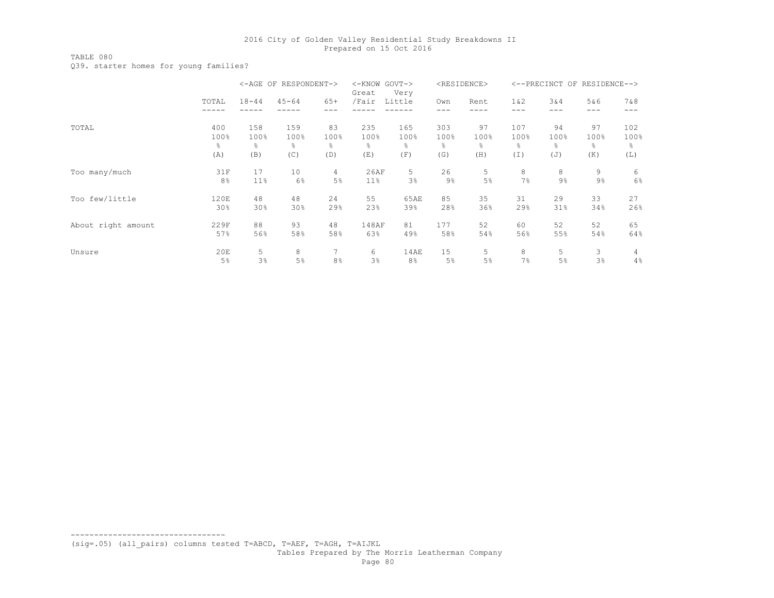TABLE 080

Q39. starter homes for young families?

|                    |                 |                 | <-AGE OF RESPONDENT-> |                | <-KNOW GOVT-><br>Great | Very           |       | <residence></residence> |        | <--PRECINCT OF | RESIDENCE--> |      |
|--------------------|-----------------|-----------------|-----------------------|----------------|------------------------|----------------|-------|-------------------------|--------|----------------|--------------|------|
|                    | TOTAL           | $18 - 44$       | $45 - 64$             | $65+$          | /Fair                  | Little         | Own   | Rent                    | $1\&2$ | 3&4            | 5&6          | 7&8  |
|                    |                 |                 |                       |                |                        |                |       |                         |        |                |              |      |
| TOTAL              | 400             | 158             | 159                   | 83             | 235                    | 165            | 303   | 97                      | 107    | 94             | 97           | 102  |
|                    | 100%            | 100%            | 100%                  | 100%           | 100%                   | 100%           | 100%  | 100%                    | 100%   | 100%           | 100%         | 100% |
|                    | g.              | ိင              | g.                    | g.             | ⊱                      | ိင             | g.    | g.                      | 옹      | g.             | g.           | 옹    |
|                    | (A)             | (B)             | (C)                   | (D)            | (E)                    | (F)            | (G)   | (H)                     | (I)    | (J)            | (K)          | (L)  |
| Too many/much      | 31F             | 17              | 10                    | $\overline{4}$ | 26AF                   | 5              | 26    | 5                       | 8      | 8              | 9            | 6    |
|                    | 8 <sup>°</sup>  | 11%             | 6%                    | 5%             | 11%                    | 3%             | $9\%$ | 5%                      | 7%     | 9%             | 9%           | 6%   |
| Too few/little     | 120E            | 48              | 48                    | 24             | 55                     | 65AE           | 85    | 35                      | 31     | 29             | 33           | 27   |
|                    | 30 <sub>8</sub> | 30 <sub>8</sub> | 30%                   | 29%            | 23%                    | 39%            | 28%   | 36%                     | 29%    | 31%            | 34%          | 26%  |
| About right amount | 229F            | 88              | 93                    | 48             | 148AF                  | 81             | 177   | 52                      | 60     | 52             | 52           | 65   |
|                    | 57%             | 56%             | 58%                   | 58%            | 63%                    | 49%            | 58%   | 54%                     | 56%    | 55%            | 54%          | 64%  |
| Unsure             | 20E             | 5.              | 8                     | 7              | 6                      | 14AE           | 15    | 5                       | 8      | 5              | 3            | 4    |
|                    | 5%              | 3%              | $5\%$                 | 8 <sup>°</sup> | 3%                     | 8 <sup>°</sup> | 5%    | 5%                      | 7%     | 5%             | 3%           | 4%   |

(sig=.05) (all\_pairs) columns tested T=ABCD, T=AEF, T=AGH, T=AIJKL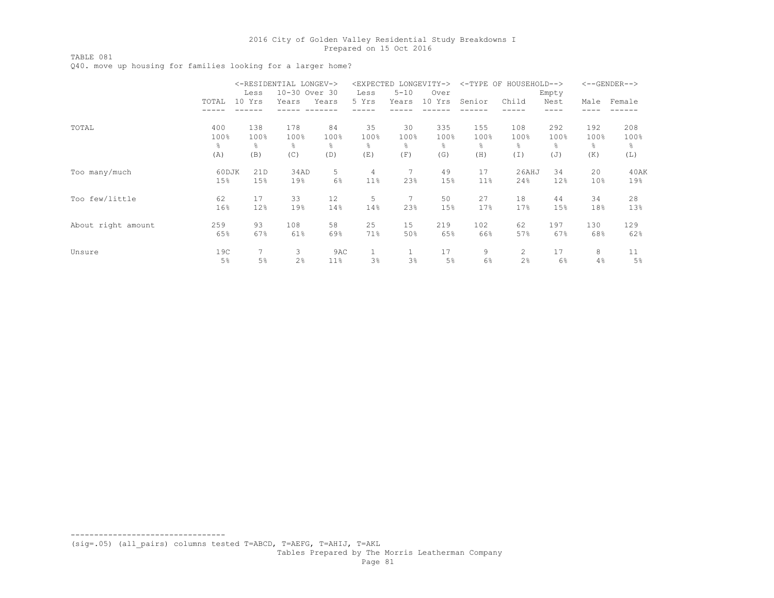### TABLE 081

Q40. move up housing for families looking for a larger home?

|                    |       | <-RESIDENTIAL LONGEV-> |               | <expected< th=""><th></th><th>LONGEVITY-&gt;</th><th><math>&lt;</math>-TYPE OF</th><th>HOUSEHOLD--&gt;</th><th></th><th></th><th><math>&lt;-</math>-GENDER--&gt;</th></expected<> |                 | LONGEVITY-> | $<$ -TYPE OF | HOUSEHOLD--> |                |       | $<-$ -GENDER--> |        |
|--------------------|-------|------------------------|---------------|-----------------------------------------------------------------------------------------------------------------------------------------------------------------------------------|-----------------|-------------|--------------|--------------|----------------|-------|-----------------|--------|
|                    |       | Less                   | 10-30 Over 30 |                                                                                                                                                                                   | Less            | $5 - 10$    | Over         |              |                | Empty |                 |        |
|                    | TOTAL | 10 Yrs                 | Years         | Years                                                                                                                                                                             | 5 Yrs           | Years       | 10 Yrs       | Senior       | Child          | Nest  | Male            | Female |
|                    |       |                        |               |                                                                                                                                                                                   |                 |             |              |              |                |       |                 |        |
| TOTAL              | 400   | 138                    | 178           | 84                                                                                                                                                                                | 35              | 30          | 335          | 155          | 108            | 292   | 192             | 208    |
|                    | 100%  | 100%                   | 100%          | 100%                                                                                                                                                                              | 100%            | 100%        | 100%         | 100%         | 100%           | 100%  | 100%            | 100%   |
|                    | g.    | ⊱                      | ႜ             | ႜ                                                                                                                                                                                 | ိင              | g.          | 옹            | ိင           | ⊱              | ႜ     | ိင              | ိင     |
|                    | (A)   | (B)                    | (C)           | (D)                                                                                                                                                                               | (E)             | (F)         | (G)          | (H)          | (I)            | (J)   | (K)             | (L)    |
| Too many/much      | 60DJK | 21D                    | 34AD          | 5                                                                                                                                                                                 | 4               | 7           | 49           | 17           | 26AHJ          | 34    | 20              | 40AK   |
|                    | 15%   | 15%                    | 19%           | 6%                                                                                                                                                                                | 11 <sup>°</sup> | 23%         | 15%          | 11%          | 24%            | 12%   | 10 <sup>°</sup> | 19%    |
| Too few/little     | 62    | 17                     | 33            | 12                                                                                                                                                                                | 5               | 7           | 50           | 27           | 18             | 44    | 34              | 28     |
|                    | 16%   | 12%                    | 19%           | 14%                                                                                                                                                                               | 14%             | 23%         | 15%          | 17%          | 17%            | 15%   | 18%             | 13%    |
| About right amount | 259   | 93                     | 108           | 58                                                                                                                                                                                | 25              | 15          | 219          | 102          | 62             | 197   | 130             | 129    |
|                    | 65%   | 67%                    | 61%           | 69%                                                                                                                                                                               | 71%             | 50%         | 65%          | 66%          | 57%            | 67%   | 68%             | 62%    |
| Unsure             | 19C   | $\overline{7}$         | 3             | 9AC                                                                                                                                                                               |                 |             | 17           | 9            | $\overline{2}$ | 17    | 8               | 11     |
|                    | 5%    | 5%                     | 2%            | 11%                                                                                                                                                                               | 3%              | 3%          | 5%           | 6%           | 2%             | 6%    | 4%              | 5%     |

(sig=.05) (all\_pairs) columns tested T=ABCD, T=AEFG, T=AHIJ, T=AKL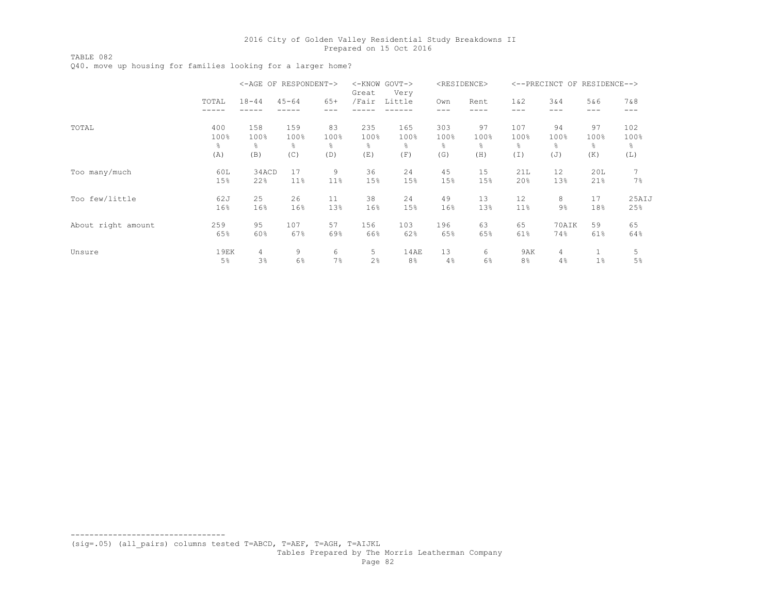TABLE 082

Q40. move up housing for families looking for a larger home?

|                    |       |           | <-AGE OF RESPONDENT-> |       | $<$ -KNOW<br>Great | $GOVT->$<br>Very |      | <residence></residence> |                | <--PRECINCT OF RESIDENCE--> |       |        |
|--------------------|-------|-----------|-----------------------|-------|--------------------|------------------|------|-------------------------|----------------|-----------------------------|-------|--------|
|                    | TOTAL | $18 - 44$ | $45 - 64$             | $65+$ | /Fair              | Little           | Own  | Rent                    | 1 & 2          | 3 & 4                       | 5&6   | 7 & 8  |
|                    |       |           |                       |       |                    |                  | ---  |                         | ---            | ---                         | ---   | $-- -$ |
| TOTAL              | 400   | 158       | 159                   | 83    | 235                | 165              | 303  | 97                      | 107            | 94                          | 97    | 102    |
|                    | 100%  | 100%      | 100%                  | 100%  | 100%               | 100%             | 100% | 100%                    | 100%           | 100%                        | 100%  | 100%   |
|                    | g.    | 옹         | န္                    | g.    | ိင                 | ⊱                | ိင   | ိင                      | ⊱              | ⊱                           | 옹     | ိင     |
|                    | (A)   | (B)       | (C)                   | (D)   | (E)                | (F)              | (G)  | (H)                     | (I)            | (J)                         | (K)   | (L)    |
| Too many/much      | 60L   | 34ACD     | 17                    | 9     | 36                 | 24               | 45   | 15                      | 21L            | 12                          | 20L   | 7      |
|                    | 15%   | 22%       | 11%                   | 11%   | 15%                | 15%              | 15%  | 15%                     | 20%            | 13%                         | 21%   | 7%     |
| Too few/little     | 62J   | 25        | 26                    | 11    | 38                 | 24               | 49   | 13                      | 12             | 8                           | 17    | 25AIJ  |
|                    | 16%   | 16%       | 16%                   | 13%   | 16%                | 15%              | 16%  | 13%                     | 11%            | $9\%$                       | 18%   | 25%    |
| About right amount | 259   | 95        | 107                   | 57    | 156                | 103              | 196  | 63                      | 65             | 70AIK                       | 59    | 65     |
|                    | 65%   | 60%       | 67%                   | 69%   | 66%                | 62%              | 65%  | 65%                     | 61%            | 74%                         | 61%   | 64%    |
| Unsure             | 19EK  | 4         | 9                     | 6     | 5                  | 14AE             | 13   | 6                       | 9AK            | 4                           |       | 5      |
|                    | 5%    | 3%        | 6%                    | 7%    | 2%                 | 8%               | 4%   | 6%                      | 8 <sup>°</sup> | 4%                          | $1\%$ | 5%     |

(sig=.05) (all\_pairs) columns tested T=ABCD, T=AEF, T=AGH, T=AIJKL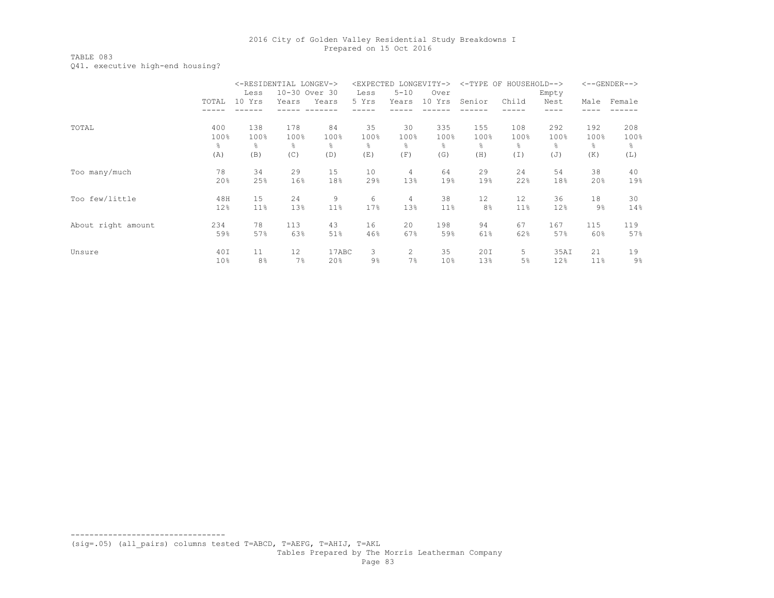#### TABLE 083 Q41. executive high-end housing?

|                    |                 | <-RESIDENTIAL LONGEV-> |       |               | <expected< th=""><th></th><th>LONGEVITY-&gt;</th><th><math>&lt;-TYPE</math> OF</th><th>HOUSEHOLD--&gt;</th><th></th><th></th><th><math>&lt;-</math>-GENDER--&gt;</th></expected<> |          | LONGEVITY->   | $<-TYPE$ OF | HOUSEHOLD--> |       |                 | $<-$ -GENDER--> |
|--------------------|-----------------|------------------------|-------|---------------|-----------------------------------------------------------------------------------------------------------------------------------------------------------------------------------|----------|---------------|-------------|--------------|-------|-----------------|-----------------|
|                    |                 | Less                   |       | 10-30 Over 30 | Less                                                                                                                                                                              | $5 - 10$ | Over          |             |              | Empty |                 |                 |
|                    | TOTAL           | 10 Yrs                 | Years | Years         | 5 Yrs                                                                                                                                                                             | Years    | 10 Yrs        | Senior      | Child        | Nest  | Male            | Female          |
|                    |                 |                        |       |               |                                                                                                                                                                                   |          |               |             |              |       |                 |                 |
| TOTAL              | 400             | 138                    | 178   | 84            | 35                                                                                                                                                                                | 30       | 335           | 155         | 108          | 292   | 192             | 208             |
|                    | 100%            | 100%                   | 100%  | 100%          | 100%                                                                                                                                                                              | 100%     | 100%          | 100%        | 100%         | 100%  | 100%            | 100%            |
|                    | g.              | ⊱                      | g.    | g.            | $\frac{6}{10}$                                                                                                                                                                    | g.       | $\frac{6}{6}$ | g.          | 옹            | g.    | g.              | 옹               |
|                    | (A)             | (B)                    | (C)   | (D)           | (E)                                                                                                                                                                               | (F)      | (G)           | (H)         | (I)          | (J)   | (K)             | (L)             |
| Too many/much      | 78              | 34                     | 29    | 15            | 10                                                                                                                                                                                | 4        | 64            | 29          | 24           | 54    | 38              | 40              |
|                    | 20%             | 25%                    | 16%   | 18%           | 29%                                                                                                                                                                               | 13%      | 19%           | 19%         | 22%          | 18%   | 20%             | 19%             |
| Too few/little     | 48H             | 15                     | 24    | 9             | 6                                                                                                                                                                                 | 4        | 38            | 12          | 12           | 36    | 18              | 30              |
|                    | 12%             | 11%                    | 13%   | 11%           | 17%                                                                                                                                                                               | 13%      | 11%           | 8%          | 11%          | 12%   | $9\%$           | 14%             |
| About right amount | 234             | 78                     | 113   | 43            | 16                                                                                                                                                                                | 20       | 198           | 94          | 67           | 167   | 115             | 119             |
|                    | 59%             | 57%                    | 63%   | 51%           | 46%                                                                                                                                                                               | 67%      | 59%           | 61%         | 62%          | 57%   | 60%             | 57%             |
| Unsure             | 40I             | 11                     | 12    | 17ABC         | 3                                                                                                                                                                                 | 2        | 35            | 20I         | 5.           | 35AI  | 21              | 19              |
|                    | 10 <sup>°</sup> | 8 <sup>°</sup>         | 7%    | 20%           | $9\%$                                                                                                                                                                             | 7%       | 10%           | 13%         | 5%           | 12%   | 11 <sup>°</sup> | $9\%$           |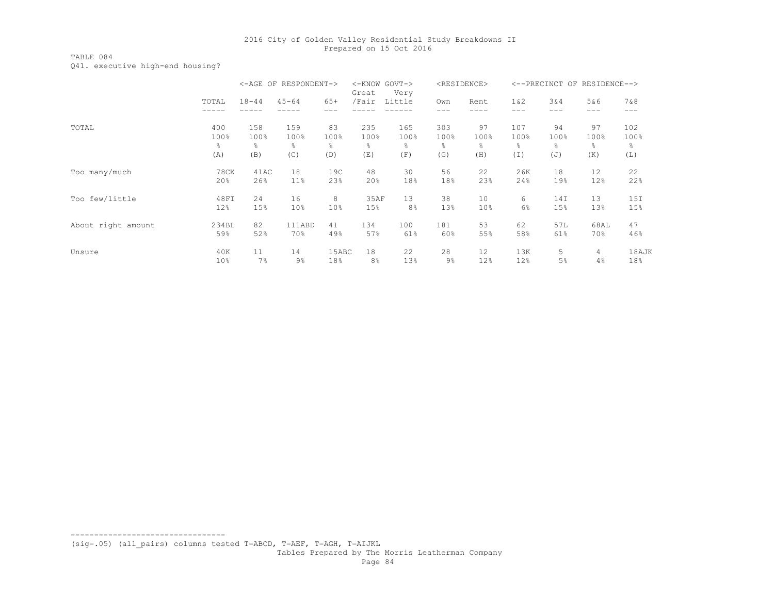TABLE 084 Q41. executive high-end housing?

|                    |                 | $<-AGE$ OF | RESPONDENT->    |                 | <-KNOW GOVT-><br>Great | Very   |       | <residence></residence> |       |      | <--PRECINCT OF RESIDENCE--> |       |
|--------------------|-----------------|------------|-----------------|-----------------|------------------------|--------|-------|-------------------------|-------|------|-----------------------------|-------|
|                    | TOTAL           | $18 - 44$  | $45 - 64$       | $65+$           | /Fair                  | Little | Own   | Rent                    | 1 & 2 | 3&4  | 5&6                         | 7 & 8 |
|                    |                 |            |                 |                 |                        |        | ---   |                         | ---   |      | ---                         | ---   |
| TOTAL              | 400             | 158        | 159             | 83              | 235                    | 165    | 303   | 97                      | 107   | 94   | 97                          | 102   |
|                    | 100%            | 100%       | 100%            | 100%            | 100%                   | 100%   | 100%  | 100%                    | 100%  | 100% | 100%                        | 100%  |
|                    | g.              | ⊱          | g.              | g.              | g.                     | g.     | g.    | ⊱                       | g.    | g.   | g.                          | g.    |
|                    | (A)             | (B)        | (C)             | (D)             | (E)                    | (F)    | (G)   | (H)                     | (I)   | (J)  | (K)                         | (L)   |
| Too many/much      | 78CK            | 41AC       | 18              | 19C             | 48                     | 30     | 56    | 22                      | 26K   | 18   | 12                          | 22    |
|                    | 20%             | 26%        | 11%             | 23%             | 20%                    | 18%    | 18%   | 23%                     | 24%   | 19%  | 12%                         | 22%   |
| Too few/little     | 48FI            | 24         | 16              | 8               | 35AF                   | 13     | 38    | 10                      | 6     | 14I  | 13                          | 15I   |
|                    | 12%             | 15%        | 10 <sup>°</sup> | 10 <sup>°</sup> | 15%                    | 8%     | 13%   | 10%                     | 6%    | 15%  | 13%                         | 15%   |
| About right amount | 234BL           | 82         | 111ABD          | 41              | 134                    | 100    | 181   | 53                      | 62    | 57L  | 68AL                        | 47    |
|                    | 59%             | 52%        | 70%             | 49%             | 57%                    | 61%    | 60%   | 55%                     | 58%   | 61%  | 70%                         | 46%   |
| Unsure             | 40K             | 11         | 14              | 15ABC           | 18                     | 22     | 28    | 12                      | 13K   | 5    | 4                           | 18AJK |
|                    | 10 <sup>°</sup> | 7%         | $9\%$           | 18%             | 8%                     | 13%    | $9\%$ | 12%                     | 12%   | 5%   | 4%                          | 18%   |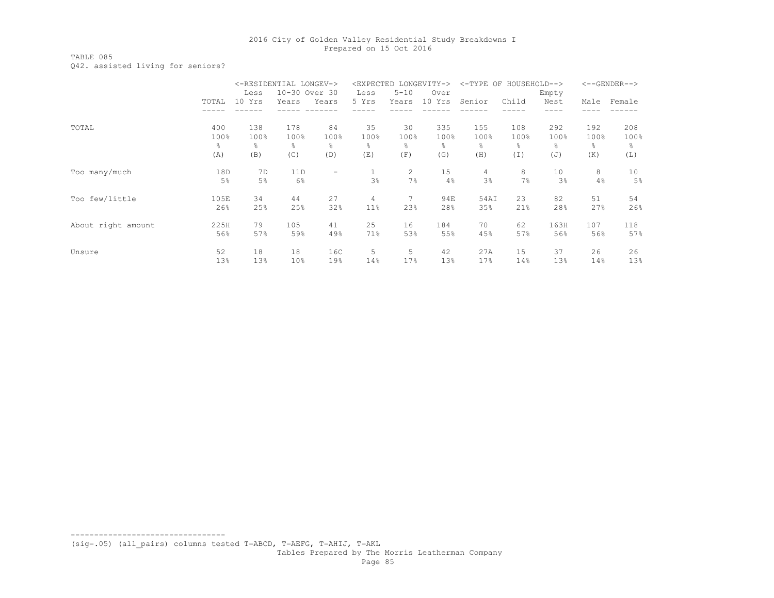### TABLE 085 Q42. assisted living for seniors?

|                    |       | <-RESIDENTIAL LONGEV-><br>10-30 Over 30 |                 |                          |       | <expected longevity-=""></expected> |        | $<$ -TYPE OF | HOUSEHOLD--> |       |      | $<-$ -GENDER--> |
|--------------------|-------|-----------------------------------------|-----------------|--------------------------|-------|-------------------------------------|--------|--------------|--------------|-------|------|-----------------|
|                    |       | Less                                    |                 |                          | Less  | $5 - 10$                            | Over   |              |              | Empty |      |                 |
|                    | TOTAL | 10 Yrs                                  | Years           | Years                    | 5 Yrs | Years                               | 10 Yrs | Senior       | Child        | Nest  | Male | Female          |
|                    |       |                                         |                 |                          |       |                                     |        |              |              |       |      |                 |
| TOTAL              | 400   | 138                                     | 178             | 84                       | 35    | 30                                  | 335    | 155          | 108          | 292   | 192  | 208             |
|                    | 100%  | 100%                                    | 100%            | 100%                     | 100%  | 100%                                | 100%   | 100%         | 100%         | 100%  | 100% | 100%            |
|                    | g.    | 응                                       | g.              | 옹                        | ⊱     | g.                                  | ိင     | g.           | g.           | ⊱     | g.   | ⊱               |
|                    | (A)   | (B)                                     | (C)             | (D)                      | (E)   | (F)                                 | (G)    | (H)          | (I)          | (J)   | (K)  | (L)             |
| Too many/much      | 18D   | 7D                                      | 11D             | $\overline{\phantom{a}}$ |       | $\overline{c}$                      | 15     | 4            | 8            | 10    | 8    | 10              |
|                    | 5%    | 5%                                      | 6%              |                          | 3%    | 7%                                  | 4%     | 3%           | 7%           | 3%    | 4%   | 5%              |
| Too few/little     | 105E  | 34                                      | 44              | 27                       | 4     | 7                                   | 94E    | 54AI         | 23           | 82    | 51   | 54              |
|                    | 26%   | 25%                                     | 25%             | 32%                      | 11%   | 23%                                 | 28%    | 35%          | 21%          | 28%   | 27%  | 26%             |
| About right amount | 225H  | 79                                      | 105             | 41                       | 25    | 16                                  | 184    | 70           | 62           | 163H  | 107  | 118             |
|                    | 56%   | 57%                                     | 59%             | 49%                      | 71%   | 53%                                 | 55%    | 45%          | 57%          | 56%   | 56%  | 57%             |
| Unsure             | 52    | 18                                      | 18              | 16C                      | 5     | 5                                   | 42     | 27A          | 15           | 37    | 26   | 26              |
|                    | 13%   | 13%                                     | 10 <sup>°</sup> | 19%                      | 14%   | 17%                                 | 13%    | 17%          | 14%          | 13%   | 14%  | 13%             |

(sig=.05) (all\_pairs) columns tested T=ABCD, T=AEFG, T=AHIJ, T=AKL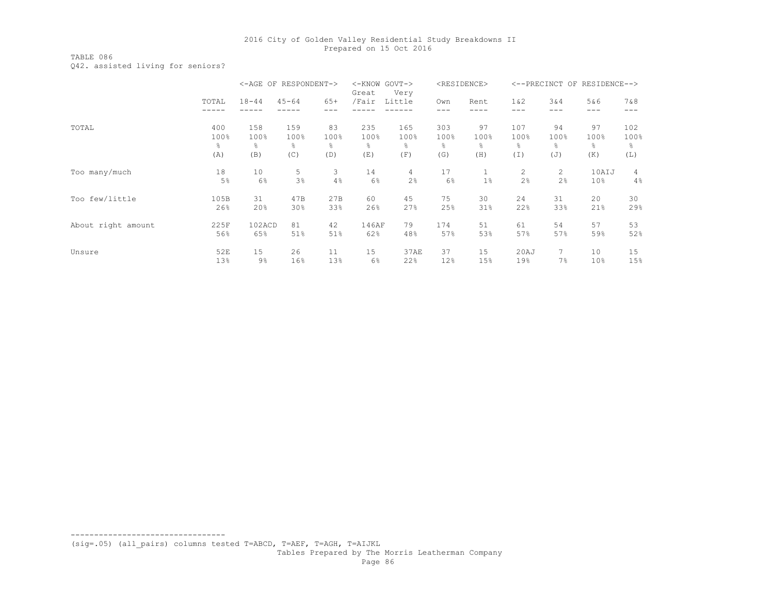TABLE 086 Q42. assisted living for seniors?

|                    |       |           | <-AGE OF RESPONDENT-> |       | <-KNOW GOVT-><br>Great | Very   |      | <residence></residence> |        | <--PRECINCT OF | RESIDENCE-->    |       |
|--------------------|-------|-----------|-----------------------|-------|------------------------|--------|------|-------------------------|--------|----------------|-----------------|-------|
|                    | TOTAL | $18 - 44$ | $45 - 64$             | $65+$ | /Fair                  | Little | Own  | Rent                    | $1\&2$ | 3&4            | 5&6             | 7&8   |
|                    |       |           |                       |       |                        |        |      |                         |        |                |                 |       |
| TOTAL              | 400   | 158       | 159                   | 83    | 235                    | 165    | 303  | 97                      | 107    | 94             | 97              | 102   |
|                    | 100%  | 100%      | 100%                  | 100%  | 100%                   | 100%   | 100% | 100%                    | 100%   | 100%           | 100%            | 100%  |
|                    | g.    | ိင        | g.                    | g.    | န္                     | g.     | ႜ    | g.                      | ိင     | g.             | g.              | ⊱     |
|                    | (A)   | (B)       | (C)                   | (D)   | (E)                    | (F)    | (G)  | (H)                     | (I)    | (J)            | (K)             | (L)   |
| Too many/much      | 18    | 10        | 5                     | 3     | 14                     | 4      | 17   |                         | 2      | 2              | 10AIJ           | 4     |
|                    | 5%    | 6%        | 3%                    | 4%    | 6%                     | 2%     | 6%   | $1\%$                   | 2%     | 2%             | 10 <sup>°</sup> | $4\%$ |
| Too few/little     | 105B  | 31        | 47B                   | 27B   | 60                     | 45     | 75   | 30                      | 24     | 31             | 20              | 30    |
|                    | 26%   | 20%       | 30%                   | 33%   | 26%                    | 27%    | 25%  | 31%                     | 22%    | 33%            | 21%             | 29%   |
| About right amount | 225F  | 102ACD    | 81                    | 42    | 146AF                  | 79     | 174  | 51                      | 61     | 54             | 57              | 53    |
|                    | 56%   | 65%       | 51%                   | 51%   | 62%                    | 48%    | 57%  | 53%                     | 57%    | 57%            | 59%             | 52%   |
| Unsure             | 52E   | 15        | 26                    | 11    | 15                     | 37AE   | 37   | 15                      | 20AJ   | $7^{\circ}$    | 10              | 15    |
|                    | 13%   | $9\%$     | 16%                   | 13%   | 6%                     | 22%    | 12%  | 15%                     | 19%    | 7%             | 10 <sup>°</sup> | 15%   |

--------------------------------- (sig=.05) (all\_pairs) columns tested T=ABCD, T=AEF, T=AGH, T=AIJKL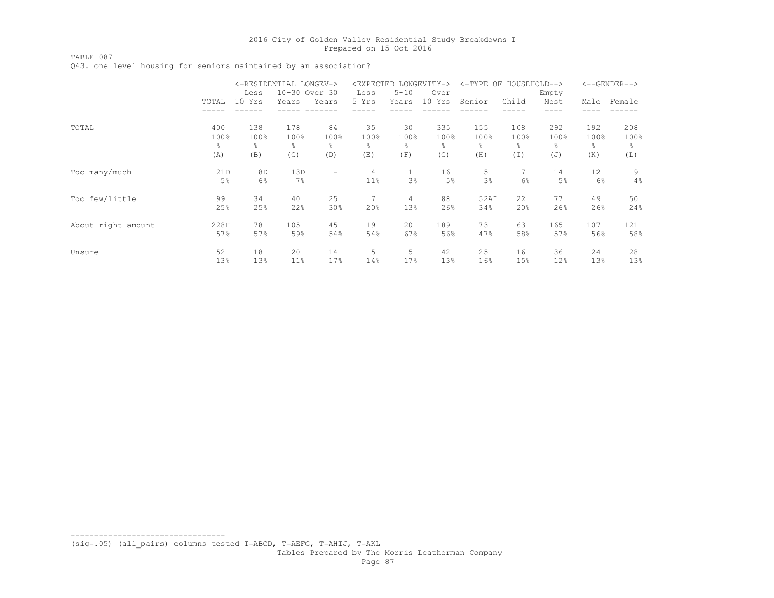TABLE 087

Q43. one level housing for seniors maintained by an association?

|                    |       | <-RESIDENTIAL LONGEV-> |                |                   | <expected< th=""><th></th><th>LONGEVITY-&gt;</th><th><math>&lt;</math>-TYPE OF</th><th>HOUSEHOLD--&gt;</th><th></th><th></th><th><math>&lt;-</math>-GENDER--&gt;</th></expected<> |              | LONGEVITY-> | $<$ -TYPE OF | HOUSEHOLD--> |       |      | $<-$ -GENDER--> |
|--------------------|-------|------------------------|----------------|-------------------|-----------------------------------------------------------------------------------------------------------------------------------------------------------------------------------|--------------|-------------|--------------|--------------|-------|------|-----------------|
|                    |       | Less                   | 10-30 Over 30  |                   | Less                                                                                                                                                                              | $5 - 10$     | Over        |              |              | Empty |      |                 |
|                    | TOTAL | 10 Yrs                 | Years          | Years             | 5 Yrs                                                                                                                                                                             | Years        | 10 Yrs      | Senior       | Child        | Nest  | Male | Female          |
|                    |       |                        |                |                   |                                                                                                                                                                                   |              |             |              |              |       |      |                 |
| TOTAL              | 400   | 138                    | 178            | 84                | 35                                                                                                                                                                                | 30           | 335         | 155          | 108          | 292   | 192  | 208             |
|                    | 100%  | 100%                   | 100%           | 100%              | 100%                                                                                                                                                                              | 100%         | 100%        | 100%         | 100%         | 100%  | 100% | 100%            |
|                    | g.    | 옹                      | $\frac{6}{10}$ | 옹                 | $\frac{6}{10}$                                                                                                                                                                    | g.           | ⊱           | g.           | g.           | g.    | 옹    | 옹               |
|                    | (A)   | (B)                    | (C)            | (D)               | (E)                                                                                                                                                                               | (F)          | (G)         | (H)          | (I)          | (J)   | (K)  | (L)             |
| Too many/much      | 21D   | 8 <sub>D</sub>         | 13D            | $\qquad \qquad -$ | 4                                                                                                                                                                                 | $\mathbf{1}$ | 16          | 5            |              | 14    | 12   | 9               |
|                    | 5%    | 6%                     | 7%             |                   | 11%                                                                                                                                                                               | 3%           | 5%          | 3%           | 6%           | 5%    | 6%   | 4%              |
| Too few/little     | 99    | 34                     | 40             | 25                | 7                                                                                                                                                                                 | 4            | 88          | 52AI         | 22           | 77    | 49   | 50              |
|                    | 25%   | 25%                    | 22%            | 30%               | 20%                                                                                                                                                                               | 13%          | 26%         | 34%          | 20%          | 26%   | 26%  | 24%             |
| About right amount | 228H  | 78                     | 105            | 45                | 19                                                                                                                                                                                | 20           | 189         | 73           | 63           | 165   | 107  | 121             |
|                    | 57%   | 57%                    | 59%            | 54%               | 54%                                                                                                                                                                               | 67%          | 56%         | 47%          | 58%          | 57%   | 56%  | 58%             |
| Unsure             | 52    | 18                     | 20             | 14                | 5                                                                                                                                                                                 | 5            | 42          | 25           | 16           | 36    | 24   | 28              |
|                    | 13%   | 13%                    | 11%            | 17%               | 14%                                                                                                                                                                               | 17%          | 13%         | 16%          | 15%          | 12%   | 13%  | 13%             |

(sig=.05) (all\_pairs) columns tested T=ABCD, T=AEFG, T=AHIJ, T=AKL

---------------------------------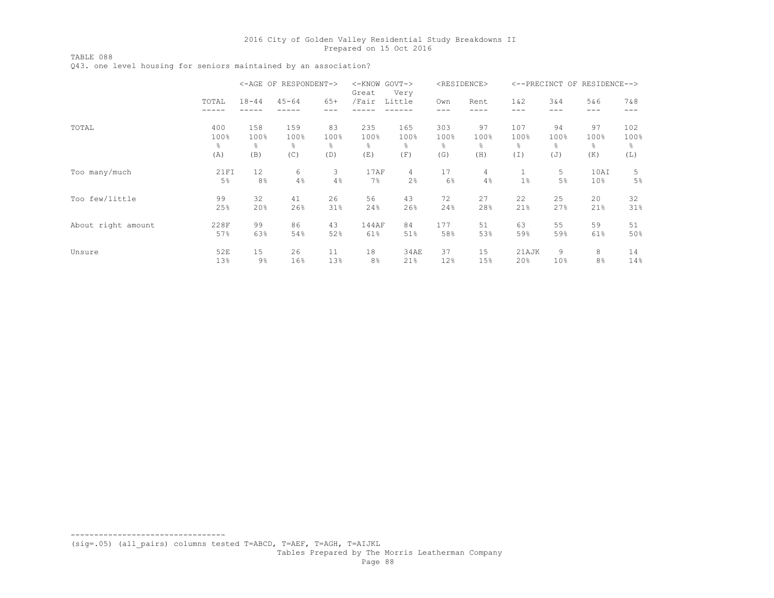TABLE 088

Q43. one level housing for seniors maintained by an association?

|                    |       |                | <-AGE OF RESPONDENT-> |       | <-KNOW GOVT-><br>Great | Very   |      | <residence></residence> | $<$ --PRECINCT |      | OF RESIDENCE--> |       |
|--------------------|-------|----------------|-----------------------|-------|------------------------|--------|------|-------------------------|----------------|------|-----------------|-------|
|                    | TOTAL | $18 - 44$      | $45 - 64$             | $65+$ | /Fair                  | Little | Own  | Rent                    | $1\&2$         | 3&4  | 5&6             | 7 & 8 |
|                    |       |                |                       |       |                        |        | ---  |                         | ---            | ---  | ---             | ---   |
| TOTAL              | 400   | 158            | 159                   | 83    | 235                    | 165    | 303  | 97                      | 107            | 94   | 97              | 102   |
|                    | 100%  | 100%           | 100%                  | 100%  | 100%                   | 100%   | 100% | 100%                    | 100%           | 100% | 100%            | 100%  |
|                    | g.    | 옹              | g.                    | 옹     | g.                     | န္     | ⊱    | g.                      | 옹              | g.   | g.              | 옹     |
|                    | (A)   | (B)            | (C)                   | (D)   | (E)                    | (F)    | (G)  | (H)                     | (I)            | (J)  | (K)             | (L)   |
| Too many/much      | 21FI  | 12             | 6                     | 3     | 17AF                   | 4      | 17   | 4                       |                | 5    | 10AI            | 5     |
|                    | 5%    | 8 <sup>°</sup> | 4%                    | 4%    | 7%                     | 2%     | 6%   | 4%                      | 1 <sup>°</sup> | 5%   | 10%             | $5\%$ |
| Too few/little     | 99    | 32             | 41                    | 26    | 56                     | 43     | 72   | 27                      | 22             | 25   | 20              | 32    |
|                    | 25%   | 20%            | 26%                   | 31%   | 24%                    | 26%    | 24%  | 28%                     | 21%            | 27%  | 21%             | 31%   |
| About right amount | 228F  | 99             | 86                    | 43    | 144AF                  | 84     | 177  | 51                      | 63             | 55   | 59              | 51    |
|                    | 57%   | 63%            | 54%                   | 52%   | 61%                    | 51%    | 58%  | 53%                     | 59%            | 59%  | 61%             | 50%   |
| Unsure             | 52E   | 15             | 26                    | 11    | 18                     | 34AE   | 37   | 15                      | 21AJK          | 9    | 8               | 14    |
|                    | 13%   | $9\%$          | 16%                   | 13%   | 8%                     | 21%    | 12%  | 15%                     | 20%            | 10%  | 8 <sup>°</sup>  | 14%   |

(sig=.05) (all\_pairs) columns tested T=ABCD, T=AEF, T=AGH, T=AIJKL

---------------------------------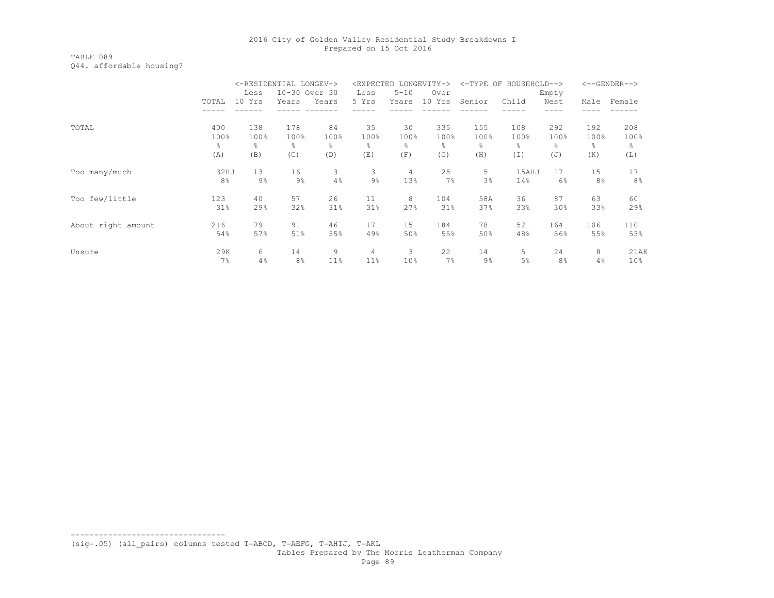## TABLE 089 Q44. affordable housing?

|                    |       |        | <-RESIDENTIAL LONGEV-> |       | <expected< th=""><th></th><th>LONGEVITY-&gt;</th><th></th><th>&lt;-TYPE OF HOUSEHOLD--&gt;</th><th></th><th></th><th><math>&lt;-</math>-GENDER--&gt;</th></expected<> |                 | LONGEVITY-> |        | <-TYPE OF HOUSEHOLD--> |       |                | $<-$ -GENDER--> |
|--------------------|-------|--------|------------------------|-------|-----------------------------------------------------------------------------------------------------------------------------------------------------------------------|-----------------|-------------|--------|------------------------|-------|----------------|-----------------|
|                    |       | Less   | 10-30 Over 30          |       | Less                                                                                                                                                                  | $5 - 10$        | Over        |        |                        | Empty |                |                 |
|                    | TOTAL | 10 Yrs | Years                  | Years | 5 Yrs                                                                                                                                                                 | Years           | 10 Yrs      | Senior | Child                  | Nest  | Male           | Female          |
|                    |       |        |                        |       |                                                                                                                                                                       |                 |             |        |                        |       |                |                 |
| TOTAL              | 400   | 138    | 178                    | 84    | 35                                                                                                                                                                    | 30              | 335         | 155    | 108                    | 292   | 192            | 208             |
|                    | 100%  | 100%   | 100%                   | 100%  | 100%                                                                                                                                                                  | 100%            | 100%        | 100%   | 100%                   | 100%  | 100%           | 100%            |
|                    | ိင    | 옹      | $\frac{6}{10}$         | ⊱     | 욲                                                                                                                                                                     | g.              | g.          | ⊱      | ⊱                      | ⊱     | g.             | ိင              |
|                    | (A)   | (B)    | (C)                    | (D)   | (E)                                                                                                                                                                   | (F)             | (G)         | (H)    | (I)                    | (J)   | (K)            | (L)             |
| Too many/much      | 32HJ  | 13     | 16                     | 3     | 3                                                                                                                                                                     | 4               | 25          | 5.     | 15AHJ                  | 17    | 15             | 17              |
|                    | 8%    | $9\%$  | $9\%$                  | 4%    | 9%                                                                                                                                                                    | 13%             | 7%          | 3%     | 14%                    | 6%    | 8 <sup>°</sup> | 8%              |
| Too few/little     | 123   | 40     | 57                     | 26    | 11                                                                                                                                                                    | 8               | 104         | 58A    | 36                     | 87    | 63             | 60              |
|                    | 31%   | 29%    | 32%                    | 31%   | 31%                                                                                                                                                                   | 27%             | 31%         | 37%    | 33%                    | 30%   | 33%            | 29%             |
| About right amount | 216   | 79     | 91                     | 46    | 17                                                                                                                                                                    | 15              | 184         | 78     | 52                     | 164   | 106            | 110             |
|                    | 54%   | 57%    | 51%                    | 55%   | 49%                                                                                                                                                                   | 50%             | 55%         | 50%    | 48%                    | 56%   | 55%            | 53%             |
| Unsure             | 29K   | 6      | 14                     | 9     | 4                                                                                                                                                                     | 3               | 22          | 14     | 5                      | 24    | 8              | 21AK            |
|                    | 7%    | 4%     | 8 <sup>°</sup>         | 11%   | 11%                                                                                                                                                                   | 10 <sup>°</sup> | 7%          | $9\%$  | 5%                     | 8%    | 4%             | 10 <sup>°</sup> |

(sig=.05) (all\_pairs) columns tested T=ABCD, T=AEFG, T=AHIJ, T=AKL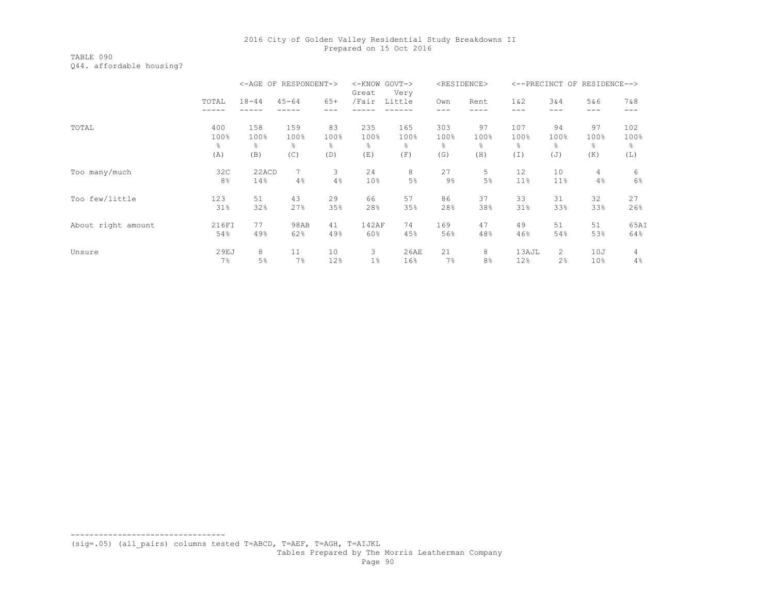TABLE 090 Q44. affordable housing?

|                    |       | $<$ -AGE OF | RESPONDENT->   |       | <-KNOW GOVT-><br>Great | Very   |       | <residence></residence> |                 | <--PRECINCT OF        | RESIDENCE--> |       |
|--------------------|-------|-------------|----------------|-------|------------------------|--------|-------|-------------------------|-----------------|-----------------------|--------------|-------|
|                    | TOTAL | $18 - 44$   | $45 - 64$      | $65+$ | /Fair                  | Little | Own   | Rent                    | $1\&2$          | 3&4                   | 5&6          | 7 & 8 |
|                    |       |             |                |       |                        |        |       |                         |                 |                       | ---          |       |
| TOTAL              | 400   | 158         | 159            | 83    | 235                    | 165    | 303   | 97                      | 107             | 94                    | 97           | 102   |
|                    | 100%  | 100%        | 100%           | 100%  | 100%                   | 100%   | 100%  | 100%                    | 100%            | 100%                  | 100%         | 100%  |
|                    | g.    | 옹           | $\frac{6}{10}$ | 옹     | 욲                      | g.     | ိင    | ⊱                       | 옹               | ⊱                     | g.           | ိင    |
|                    | (A)   | (B)         | (C)            | (D)   | (E)                    | (F)    | (G)   | (H)                     | (I)             | (J)                   | (K)          | (L)   |
| Too many/much      | 32C   | 22ACD       | 7              | 3     | 24                     | 8      | 27    | 5.                      | 12              | 10                    | 4            | 6     |
|                    | 8%    | 14%         | 4%             | 4%    | 10%                    | 5%     | $9\%$ | 5%                      | 11 <sup>°</sup> | 11%                   | 4%           | 6%    |
| Too few/little     | 123   | 51          | 43             | 29    | 66                     | 57     | 86    | 37                      | 33              | 31                    | 32           | 27    |
|                    | 31%   | 32%         | 27%            | 35%   | 28%                    | 35%    | 28%   | 38%                     | 31%             | 33%                   | 33%          | 26%   |
| About right amount | 216FI | 77          | 98AB           | 41    | 142AF                  | 74     | 169   | 47                      | 49              | 51                    | 51           | 65AI  |
|                    | 54%   | 49%         | 62%            | 49%   | 60%                    | 45%    | 56%   | 48%                     | 46%             | 54%                   | 53%          | 64%   |
| Unsure             | 29EJ  | 8           | 11             | 10    | 3                      | 26AE   | 21    | 8                       | 13AJL           | $\mathbf{2}^{\prime}$ | 10J          | 4     |
|                    | 7%    | 5%          | 7%             | 12%   | $1\%$                  | 16%    | 7%    | 8%                      | 12%             | 2%                    | 10%          | 4%    |

(sig=.05) (all\_pairs) columns tested T=ABCD, T=AEF, T=AGH, T=AIJKL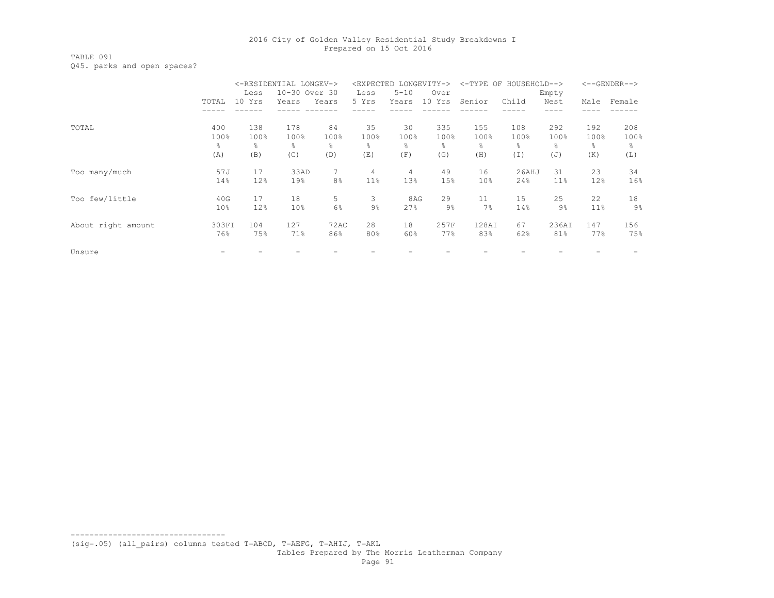TABLE 091 Q45. parks and open spaces?

|                    |                 |        | <-RESIDENTIAL LONGEV-> |                |           | <expected longevity-=""></expected> |        |        | <-TYPE OF HOUSEHOLD--> |       |      | $<-$ -GENDER--> |
|--------------------|-----------------|--------|------------------------|----------------|-----------|-------------------------------------|--------|--------|------------------------|-------|------|-----------------|
|                    |                 | Less   | 10-30 Over 30          |                | Less      | $5 - 10$                            | Over   |        |                        | Empty |      |                 |
|                    | TOTAL           | 10 Yrs | Years                  | Years          | 5 Yrs     | Years                               | 10 Yrs | Senior | Child                  | Nest  | Male | Female          |
|                    |                 |        |                        |                |           |                                     |        |        |                        |       |      |                 |
| TOTAL              | 400             | 138    | 178                    | 84             | 35        | 30                                  | 335    | 155    | 108                    | 292   | 192  | 208             |
|                    | 100%            | 100%   | 100%                   | 100%           | 100%      | 100%                                | 100%   | 100%   | 100%                   | 100%  | 100% | 100%            |
|                    | ိင              | 옹      | g.                     | 옹              | $\approx$ | 옹                                   | ⊱      | 옹      | 옹                      | 욲     | 옹    | 옹               |
|                    | (A)             | (B)    | (C)                    | (D)            | (E)       | (F)                                 | (G)    | (H)    | (I)                    | (J)   | (K)  | (L)             |
| Too many/much      | 57J             | 17     | 33AD                   | 7              | 4         | 4                                   | 49     | 16     | 26AHJ                  | 31    | 23   | 34              |
|                    | 14%             | 12%    | 19%                    | 8 <sup>°</sup> | 11%       | 13%                                 | 15%    | 10%    | 24%                    | 11%   | 12%  | 16%             |
| Too few/little     | 40G             | 17     | 18                     | 5              | 3         | 8AG                                 | 29     | 11     | 15                     | 25    | 22   | 18              |
|                    | 10 <sub>8</sub> | 12%    | 10 <sup>8</sup>        | 6%             | $9\%$     | 27%                                 | $9\%$  | 7%     | 14%                    | $9\%$ | 11%  | 9%              |
| About right amount | 303FI           | 104    | 127                    | 72AC           | 28        | 18                                  | 257F   | 128AI  | 67                     | 236AI | 147  | 156             |
|                    | 76%             | 75%    | 71%                    | 86%            | 80%       | 60%                                 | 77%    | 83%    | 62%                    | 81%   | 77%  | 75%             |
| Unsure             |                 |        |                        |                |           |                                     |        |        |                        |       |      |                 |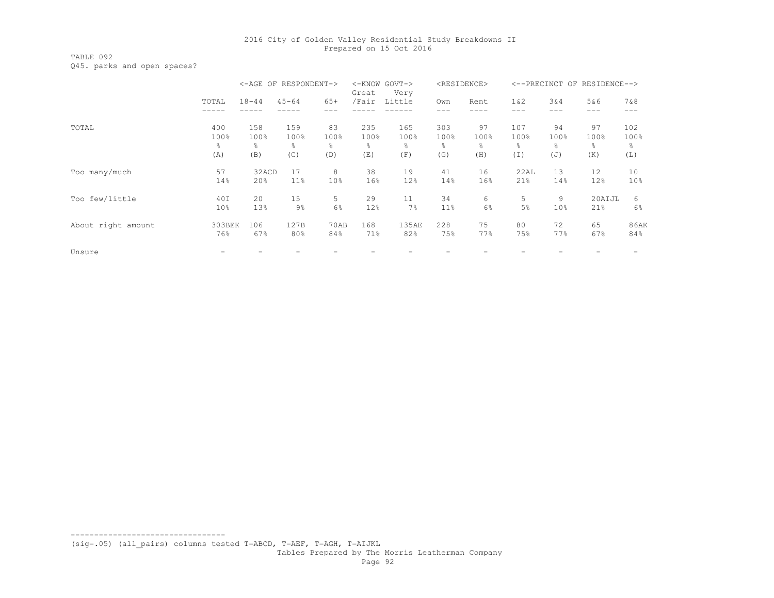TABLE 092 Q45. parks and open spaces?

|                    |                 |           | <-AGE OF RESPONDENT-> |       | $<$ -KNOW<br>Great | GOVT-><br>Very |      | <residence></residence> |       |       | <--PRECINCT OF RESIDENCE--> |                 |
|--------------------|-----------------|-----------|-----------------------|-------|--------------------|----------------|------|-------------------------|-------|-------|-----------------------------|-----------------|
|                    | TOTAL           | $18 - 44$ | $45 - 64$             | $65+$ | /Fair              | Little         | Own  | Rent                    | 1 & 2 | 3 & 4 | 5&6                         | 7 & 8           |
|                    |                 |           |                       |       |                    |                |      |                         | ---   |       | ---                         |                 |
| TOTAL              | 400             | 158       | 159                   | 83    | 235                | 165            | 303  | 97                      | 107   | 94    | 97                          | 102             |
|                    | 100%            | 100%      | 100%                  | 100%  | 100%               | 100%           | 100% | 100%                    | 100%  | 100%  | 100%                        | 100%            |
|                    | g.              | 옹         | ⊱                     | 옹     | $\approx$          | g.             | g.   | g.                      | g.    | ⊱     | g.                          | g.              |
|                    | (A)             | (B)       | (C)                   | (D)   | (E)                | (F)            | (G)  | (H)                     | (I)   | (J)   | (K)                         | (L)             |
| Too many/much      | 57              | 32ACD     | 17                    | 8     | 38                 | 19             | 41   | 16                      | 22AL  | 13    | 12                          | 10              |
|                    | 14%             | 20%       | 11%                   | 10%   | 16%                | 12%            | 14%  | 16%                     | 21%   | 14%   | 12%                         | 10 <sub>8</sub> |
| Too few/little     | 40I             | 20        | 15                    | 5     | 29                 | 11             | 34   | 6                       | 5     | 9     | 20AIJL                      | 6               |
|                    | 10 <sub>8</sub> | 13%       | $9\%$                 | 6%    | 12%                | 7%             | 11%  | $6\%$                   | $5\%$ | 10%   | 21%                         | 6%              |
| About right amount | 303BEK          | 106       | 127B                  | 70AB  | 168                | 135AE          | 228  | 75                      | 80    | 72    | 65                          | 86AK            |
|                    | 76%             | 67%       | 80%                   | 84%   | 71%                | 82%            | 75%  | 77%                     | 75%   | 77%   | 67%                         | 84%             |
| Unsure             |                 |           |                       |       |                    |                |      |                         |       |       |                             |                 |

--------------------------------- (sig=.05) (all\_pairs) columns tested T=ABCD, T=AEF, T=AGH, T=AIJKL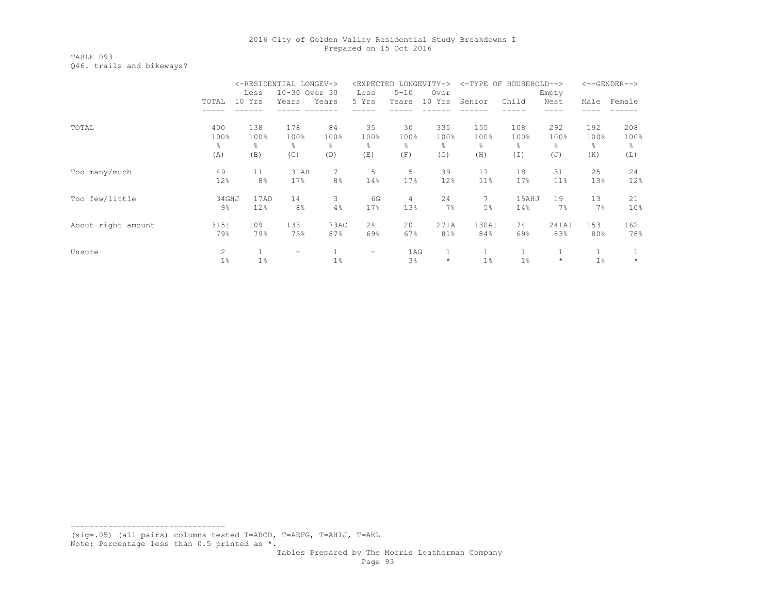### TABLE 093 Q46. trails and bikeways?

|                    |       |                | <-RESIDENTIAL LONGEV-> |                | <expected< th=""><th></th><th>LONGEVITY-&gt;</th><th><math>&lt;</math>-TYPE OF</th><th>HOUSEHOLD--&gt;</th><th></th><th></th><th><math>&lt;-</math>-GENDER--&gt;</th></expected<> |          | LONGEVITY-> | $<$ -TYPE OF   | HOUSEHOLD--> |         |      | $<-$ -GENDER--> |
|--------------------|-------|----------------|------------------------|----------------|-----------------------------------------------------------------------------------------------------------------------------------------------------------------------------------|----------|-------------|----------------|--------------|---------|------|-----------------|
|                    |       | Less           | 10-30 Over 30          |                | Less                                                                                                                                                                              | $5 - 10$ | Over        |                |              | Empty   |      |                 |
|                    | TOTAL | 10 Yrs         | Years                  | Years          | 5 Yrs                                                                                                                                                                             | Years    | 10 Yrs      | Senior         | Child        | Nest    | Male | Female          |
|                    |       |                |                        |                |                                                                                                                                                                                   |          |             |                |              |         |      |                 |
| TOTAL              | 400   | 138            | 178                    | 84             | 35                                                                                                                                                                                | 30       | 335         | 155            | 108          | 292     | 192  | 208             |
|                    | 100%  | 100%           | 100%                   | 100%           | 100%                                                                                                                                                                              | 100%     | 100%        | 100%           | 100%         | 100%    | 100% | 100%            |
|                    | ိင    | 옹              | ٩,                     | g              | ٩,                                                                                                                                                                                | ိင       | ⊱           | g.             | 옹            | ٩,      | 옹    | 옹               |
|                    | (A)   | (B)            | (C)                    | (D)            | (E)                                                                                                                                                                               | (F)      | (G)         | (H)            | (I)          | (J)     | (K)  | (L)             |
| Too many/much      | 49    | 11             | 31AB                   | $\overline{7}$ | 5                                                                                                                                                                                 | 5        | 39          | 17             | 18           | 31      | 25   | 24              |
|                    | 12%   | 8 <sup>°</sup> | 17%                    | 8%             | 14%                                                                                                                                                                               | 17%      | 12%         | 11%            | 17%          | 11%     | 13%  | 12%             |
| Too few/little     | 34GHJ | 17AD           | 14                     | 3              | 6G                                                                                                                                                                                | 4        | 24          | 7              | 15AHJ        | 19      | 13   | 21              |
|                    | 9%    | 12%            | 8%                     | 4%             | 17%                                                                                                                                                                               | 13%      | 7%          | 5%             | 14%          | 7%      | 7%   | 10%             |
| About right amount | 315I  | 109            | 133                    | 73AC           | 24                                                                                                                                                                                | 20       | 271A        | 130AI          | 74           | 241AI   | 153  | 162             |
|                    | 79%   | 79%            | 75%                    | 87%            | 69%                                                                                                                                                                               | 67%      | 81%         | 84%            | 69%          | 83%     | 80%  | 78%             |
| Unsure             | 2     | $\mathbf{1}$   |                        | $\mathbf{1}$   | $\qquad \qquad -$                                                                                                                                                                 | 1AG      |             |                |              |         |      |                 |
|                    | 1%    | 1%             |                        | 1%             |                                                                                                                                                                                   | 3%       | $\star$     | 1 <sup>°</sup> | 1%           | $\star$ | 1%   | $\star$         |

--------------------------------- (sig=.05) (all\_pairs) columns tested T=ABCD, T=AEFG, T=AHIJ, T=AKL

Note: Percentage less than 0.5 printed as \*.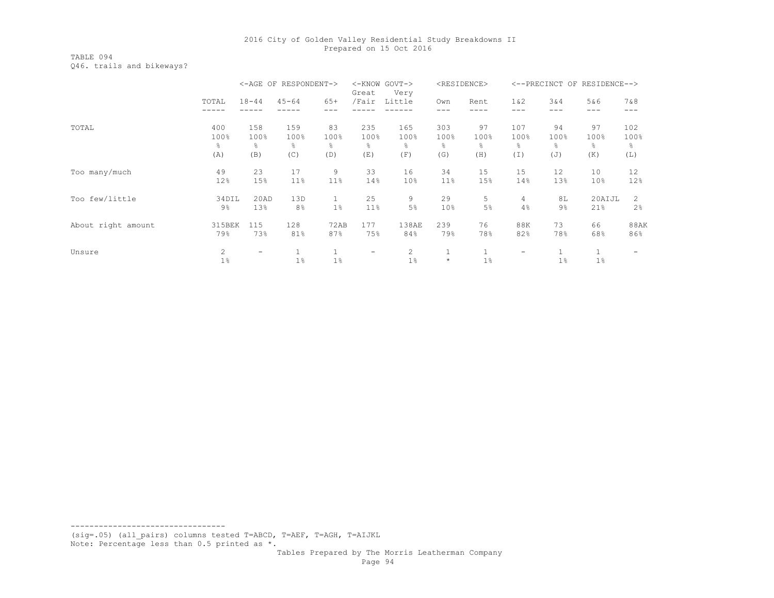TABLE 094 Q46. trails and bikeways?

|                    |                |           | <-AGE OF RESPONDENT-> |              | $<$ - $K$ NOW<br>Great | $GOVT->$<br>Very |            | <residence></residence> |                          |       | <--PRECINCT OF RESIDENCE--> |             |
|--------------------|----------------|-----------|-----------------------|--------------|------------------------|------------------|------------|-------------------------|--------------------------|-------|-----------------------------|-------------|
|                    | TOTAL          | $18 - 44$ | $45 - 64$             | $65+$        | /Fair                  | Little           | Own        | Rent                    | 1 & 2                    | 3&4   | 5&6                         | 7&8         |
|                    |                |           |                       |              |                        |                  |            |                         |                          |       |                             |             |
| TOTAL              | 400            | 158       | 159                   | 83           | 235                    | 165              | 303        | 97                      | 107                      | 94    | 97                          | 102         |
|                    | 100%           | 100%      | 100%                  | 100%         | 100%                   | 100%             | 100%       | 100%                    | 100%                     | 100%  | 100%                        | 100%        |
|                    | g              | ⊱         | g.                    | ⊱            | ိင                     | g.               | ⊱          | g.                      | g.                       | g.    | g.                          | g.          |
|                    | (A)            | (B)       | (C)                   | (D)          | (E)                    | (F)              | (G)        | (H)                     | (I)                      | (J)   | (K)                         | (L)         |
| Too many/much      | 49             | 23        | 17                    | 9            | 33                     | 16               | 34         | 15                      | 15                       | 12    | 10                          | 12          |
|                    | 12%            | 15%       | 11%                   | 11%          | 14%                    | 10 <sup>°</sup>  | 11%        | 15%                     | 14%                      | 13%   | 10 <sup>°</sup>             | 12%         |
| Too few/little     | 34DIL          | 20AD      | 13D                   | 1            | 25                     | 9                | 29         | 5                       | $\overline{4}$           | 8L    | 20AIJL                      | 2           |
|                    | $9\%$          | 13%       | 8%                    | $1\%$        | 11%                    | 5%               | 10%        | 5%                      | 4%                       | $9\%$ | 21%                         | 2%          |
| About right amount | 315BEK         | 115       | 128                   | 72AB         | 177                    | 138AE            | 239        | 76                      | 88K                      | 73    | 66                          | <b>88AK</b> |
|                    | 79%            | 73%       | 81%                   | 87%          | 75%                    | 84%              | 79%        | 78%                     | 82%                      | 78%   | 68%                         | 86%         |
| Unsure             | $\overline{2}$ | -         |                       | $\mathbf{1}$ | -                      | $\overline{2}$   |            |                         | $\overline{\phantom{0}}$ | 1     | 1                           |             |
|                    | $1\%$          |           | 1%                    | 1%           |                        | $1\%$            | $^{\star}$ | 1%                      |                          | $1\%$ | $1\%$                       |             |

--------------------------------- (sig=.05) (all\_pairs) columns tested T=ABCD, T=AEF, T=AGH, T=AIJKL

Note: Percentage less than 0.5 printed as \*.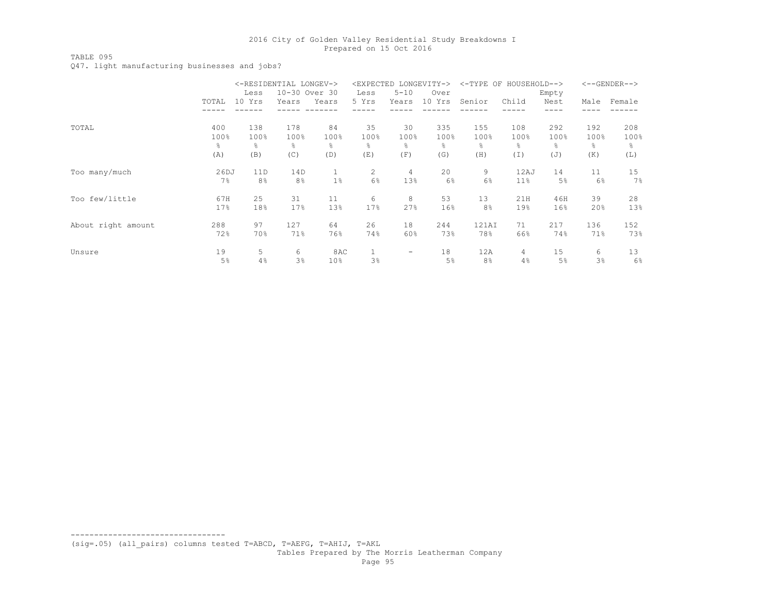## TABLE 095

Q47. light manufacturing businesses and jobs?

|                    |       | <-RESIDENTIAL LONGEV-> |               | <expected longevity-=""></expected> |       | $<$ -TYPE OF             | HOUSEHOLD--> |                |                 | $<-$ -GENDER--> |      |        |
|--------------------|-------|------------------------|---------------|-------------------------------------|-------|--------------------------|--------------|----------------|-----------------|-----------------|------|--------|
|                    |       | Less                   | 10-30 Over 30 |                                     | Less  | $5 - 10$                 | Over         |                |                 | Empty           |      |        |
|                    | TOTAL | 10 Yrs                 | Years         | Years                               | 5 Yrs | Years                    | 10 Yrs       | Senior         | Child           | Nest            | Male | Female |
|                    |       |                        |               |                                     |       |                          |              |                |                 |                 |      |        |
| TOTAL              | 400   | 138                    | 178           | 84                                  | 35    | 30                       | 335          | 155            | 108             | 292             | 192  | 208    |
|                    | 100%  | 100%                   | 100%          | 100%                                | 100%  | 100%                     | 100%         | 100%           | 100%            | 100%            | 100% | 100%   |
|                    | ိင    | ိင                     | g.            | ⊱                                   | ⊱     | ိင                       | ိင           | g.             | 옹               | $\frac{6}{10}$  | 옹    | ⊱      |
|                    | (A)   | (B)                    | (C)           | (D)                                 | (E)   | (F)                      | (G)          | (H)            | (I)             | (J)             | (K)  | (L)    |
| Too many/much      | 26DJ  | 11D                    | 14D           | $\mathbf{1}$                        | 2     | 4                        | 20           | 9              | 12AJ            | 14              | 11   | 15     |
|                    | 7%    | 8 <sup>°</sup>         | 8%            | 1%                                  | 6%    | 13%                      | 6%           | 6%             | 11 <sup>8</sup> | 5%              | 6%   | 7%     |
| Too few/little     | 67H   | 25                     | 31            | 11                                  | 6     | 8                        | 53           | 13             | 21H             | 46H             | 39   | 28     |
|                    | 17%   | 18%                    | 17%           | 13%                                 | 17%   | 27%                      | 16%          | 8 <sup>°</sup> | 19%             | 16%             | 20%  | 13%    |
| About right amount | 288   | 97                     | 127           | 64                                  | 26    | 18                       | 244          | 121AI          | 71              | 217             | 136  | 152    |
|                    | 72%   | 70%                    | 71%           | 76%                                 | 74%   | 60%                      | 73%          | 78%            | 66%             | 74%             | 71%  | 73%    |
| Unsure             | 19    | 5.                     | 6             | 8AC                                 |       | $\overline{\phantom{0}}$ | 18           | 12A            | 4               | 15              | 6    | 13     |
|                    | 5%    | 4%                     | $3\%$         | 10 <sup>°</sup>                     | 3%    |                          | 5%           | 8 <sup>°</sup> | 4%              | 5%              | 3%   | 6%     |

(sig=.05) (all\_pairs) columns tested T=ABCD, T=AEFG, T=AHIJ, T=AKL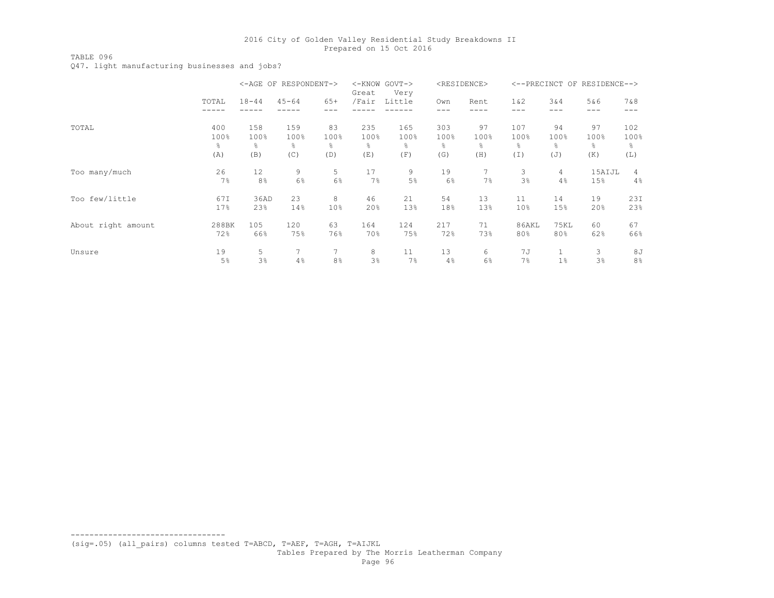TABLE 096

Q47. light manufacturing businesses and jobs?

|                    |       | $<$ -AGE OF    | RESPONDENT-> |                 | $<$ -KNOW<br>Great | GOVT-><br>Very |      | <residence></residence> | $<$ --PRECINCT  | OF          | RESIDENCE--> |       |
|--------------------|-------|----------------|--------------|-----------------|--------------------|----------------|------|-------------------------|-----------------|-------------|--------------|-------|
|                    | TOTAL | $18 - 44$      | $45 - 64$    | $65+$           | /Fair              | Little         | Own  | Rent                    | $1\&2$          | 3&4         | 5&6          | 7 & 8 |
|                    |       |                |              |                 |                    |                |      |                         |                 |             | ---          |       |
| TOTAL              | 400   | 158            | 159          | 83              | 235                | 165            | 303  | 97                      | 107             | 94          | 97           | 102   |
|                    | 100%  | 100%           | 100%         | 100%            | 100%               | 100%           | 100% | 100%                    | 100%            | 100%        | 100%         | 100%  |
|                    | 옹     | 옹              | g.           | 옹               | ⊱                  | ိင             | ⊱    | g.                      | ⊱               | ⊱           | ိင           | ⊱     |
|                    | (A)   | (B)            | (C)          | (D)             | (E)                | (F)            | (G)  | (H)                     | (I)             | (J)         | (K)          | (L)   |
| Too many/much      | 26    | 12             | 9            | 5               | 17                 | 9              | 19   | $\overline{7}$          | 3               | 4           | 15AIJL       | 4     |
|                    | 7%    | 8 <sup>°</sup> | 6%           | 6%              | 7%                 | 5%             | 6%   | 7%                      | 3%              | 4%          | 15%          | 4%    |
| Too few/little     | 67I   | 36AD           | 23           | 8               | 46                 | 21             | 54   | 13                      | 11              | 14          | 19           | 23I   |
|                    | 17%   | 23%            | 14%          | 10 <sup>°</sup> | 20%                | 13%            | 18%  | 13%                     | 10 <sup>°</sup> | 15%         | 20%          | 23%   |
| About right amount | 288BK | 105            | 120          | 63              | 164                | 124            | 217  | 71                      | 86AKL           | <b>75KL</b> | 60           | 67    |
|                    | 72%   | 66%            | 75%          | 76%             | 70%                | 75%            | 72%  | 73%                     | 80%             | 80%         | 62%          | 66%   |
| Unsure             | 19    | 5              | 7            | 7               | 8                  | 11             | 13   | 6                       | 7 J             | 1           | 3            | 8J    |
|                    | 5%    | 3%             | 4%           | 8%              | 3%                 | 7%             | 4%   | 6%                      | 7%              | 1%          | 3%           | 8%    |

(sig=.05) (all\_pairs) columns tested T=ABCD, T=AEF, T=AGH, T=AIJKL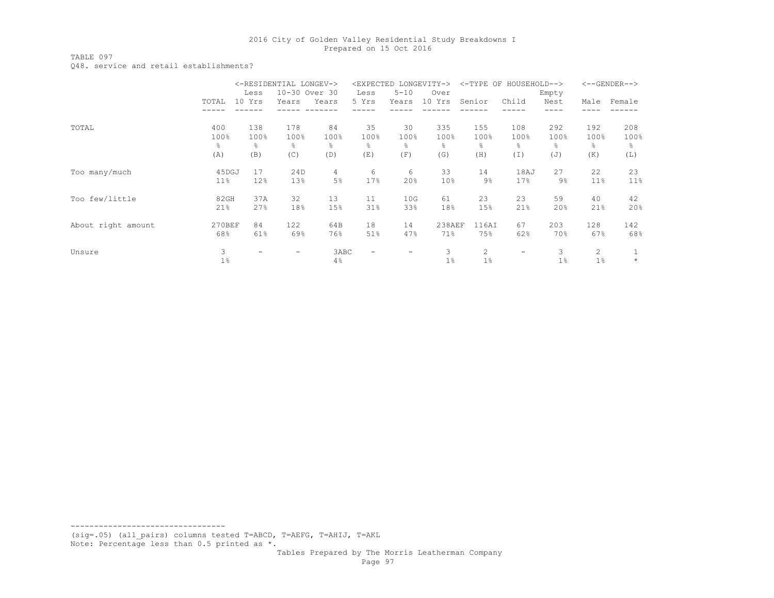#### TABLE 097 Q48. service and retail establishments?

|                    |        | <-RESIDENTIAL LONGEV-> |               |                | <expected< th=""><th></th><th>LONGEVITY-&gt;</th><th></th><th>&lt;-TYPE OF HOUSEHOLD--&gt;</th><th></th><th></th><th><math>&lt;-</math>-GENDER--&gt;</th></expected<> |                          | LONGEVITY->   |        | <-TYPE OF HOUSEHOLD--> |       |      | $<-$ -GENDER--> |
|--------------------|--------|------------------------|---------------|----------------|-----------------------------------------------------------------------------------------------------------------------------------------------------------------------|--------------------------|---------------|--------|------------------------|-------|------|-----------------|
|                    |        | Less                   | 10-30 Over 30 |                | Less                                                                                                                                                                  | $5 - 10$                 | Over          |        |                        | Empty |      |                 |
|                    | TOTAL  | 10 Yrs                 | Years         | Years          | 5 Yrs                                                                                                                                                                 | Years                    | 10 Yrs        | Senior | Child                  | Nest  | Male | Female          |
|                    |        |                        |               |                |                                                                                                                                                                       |                          |               |        |                        |       |      |                 |
| TOTAL              | 400    | 138                    | 178           | 84             | 35                                                                                                                                                                    | 30                       | 335           | 155    | 108                    | 292   | 192  | 208             |
|                    | 100%   | 100%                   | 100%          | 100%           | 100%                                                                                                                                                                  | 100%                     | 100%          | 100%   | 100%                   | 100%  | 100% | 100%            |
|                    | g.     | ⊱                      | ٩,            | 옹              | ⊱                                                                                                                                                                     | g.                       | ÷,            | ⊱      | ⊱                      | ٩,    | g.   | g.              |
|                    | (A)    | (B)                    | (C)           | (D)            | (E)                                                                                                                                                                   | (F)                      | (G)           | (H)    | (I)                    | (J)   | (K)  | (L)             |
| Too many/much      | 45DGJ  | 17                     | 24D           | $\overline{4}$ | 6                                                                                                                                                                     | 6                        | 33            | 14     | 18AJ                   | 27    | 22   | 23              |
|                    | $11\%$ | 12%                    | 13%           | 5%             | 17%                                                                                                                                                                   | 20%                      | 10%           | $9\%$  | 17%                    | 9%    | 11%  | $11\%$          |
| few/little<br>Too  | 82GH   | 37A                    | 32            | 13             | 11                                                                                                                                                                    | 10G                      | 61            | 23     | 23                     | 59    | 40   | 42              |
|                    | 21%    | 27%                    | 18%           | 15%            | 31%                                                                                                                                                                   | 33%                      | 18%           | 15%    | 21%                    | 20%   | 21%  | 20%             |
| About right amount | 270BEF | 84                     | 122           | 64B            | 18                                                                                                                                                                    | 14                       | <b>238AEF</b> | 116AI  | 67                     | 203   | 128  | 142             |
|                    | 68%    | 61%                    | 69%           | 76%            | 51%                                                                                                                                                                   | 47%                      | 71%           | 75%    | 62%                    | 70%   | 67%  | 68%             |
| Unsure             | 3      | -                      |               | 3ABC           | $\overline{\phantom{0}}$                                                                                                                                              | $\overline{\phantom{0}}$ | 3             | 2      | -                      | 3     | 2    |                 |
|                    | $1\%$  |                        |               | 4%             |                                                                                                                                                                       |                          | $1\%$         | $1\%$  |                        | $1\%$ | 1%   |                 |

--------------------------------- (sig=.05) (all\_pairs) columns tested T=ABCD, T=AEFG, T=AHIJ, T=AKL

Note: Percentage less than 0.5 printed as \*.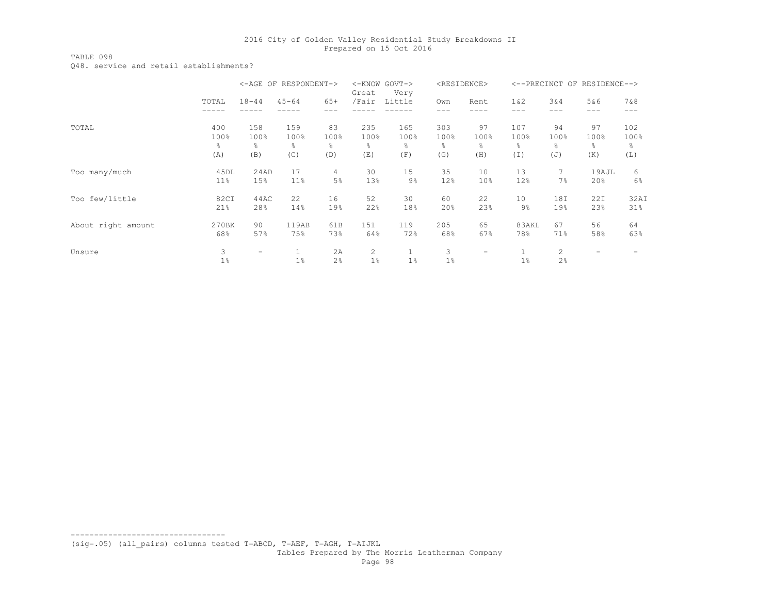TABLE 098 Q48. service and retail establishments?

|                    |       |                          | <-AGE OF RESPONDENT-> |       | <-KNOW GOVT-><br>Great | Very         |       | <residence></residence> |       | <--PRECINCT OF | RESIDENCE-->             |       |
|--------------------|-------|--------------------------|-----------------------|-------|------------------------|--------------|-------|-------------------------|-------|----------------|--------------------------|-------|
|                    | TOTAL | $18 - 44$                | $45 - 64$             | $65+$ | /Fair                  | Little       | Own   | Rent                    | 1 & 2 | 3&4            | 5&6                      | 7 & 8 |
|                    |       |                          |                       |       |                        |              |       |                         |       |                | ---                      | ---   |
| TOTAL              | 400   | 158                      | 159                   | 83    | 235                    | 165          | 303   | 97                      | 107   | 94             | 97                       | 102   |
|                    | 100%  | 100%                     | 100%                  | 100%  | 100%                   | 100%         | 100%  | 100%                    | 100%  | 100%           | 100%                     | 100%  |
|                    | g.    | ⊱                        | ٩,                    | 욲     | $\frac{6}{10}$         | ိင           | g.    | g.                      | 옹     | ⊱              | g.                       | g.    |
|                    | (A)   | (B)                      | (C)                   | (D)   | (E)                    | (F)          | (G)   | (H)                     | (I)   | (J)            | (K)                      | (L)   |
| Too many/much      | 45DL  | 24AD                     | 17                    | 4     | 30                     | 15           | 35    | 10                      | 13    |                | 19AJL                    | 6     |
|                    | 11%   | 15%                      | 11%                   | $5\%$ | 13%                    | $9\%$        | 12%   | 10%                     | 12%   | 7%             | 20%                      | 6%    |
| Too few/little     | 82CI  | 44AC                     | 22                    | 16    | 52                     | 30           | 60    | 22                      | 10    | 18I            | 22I                      | 32AI  |
|                    | 21%   | 28%                      | 14%                   | 19%   | 22%                    | 18%          | 20%   | 23%                     | $9\%$ | 19%            | 23%                      | 31%   |
| About right amount | 270BK | 90                       | 119AB                 | 61B   | 151                    | 119          | 205   | 65                      | 83AKL | 67             | 56                       | 64    |
|                    | 68%   | 57%                      | 75%                   | 73%   | 64%                    | 72%          | 68%   | 67%                     | 78%   | 71%            | 58%                      | 63%   |
| Unsure             | 3     | $\overline{\phantom{0}}$ | $\mathbf{1}$          | 2A    | $\mathbf{2}^{\prime}$  | $\mathbf{1}$ | 3     | -                       |       | 2              | $\overline{\phantom{0}}$ |       |
|                    | $1\%$ |                          | 1%                    | 2%    | 1%                     | $1\%$        | $1\%$ |                         | 1%    | 2%             |                          |       |

--------------------------------- (sig=.05) (all\_pairs) columns tested T=ABCD, T=AEF, T=AGH, T=AIJKL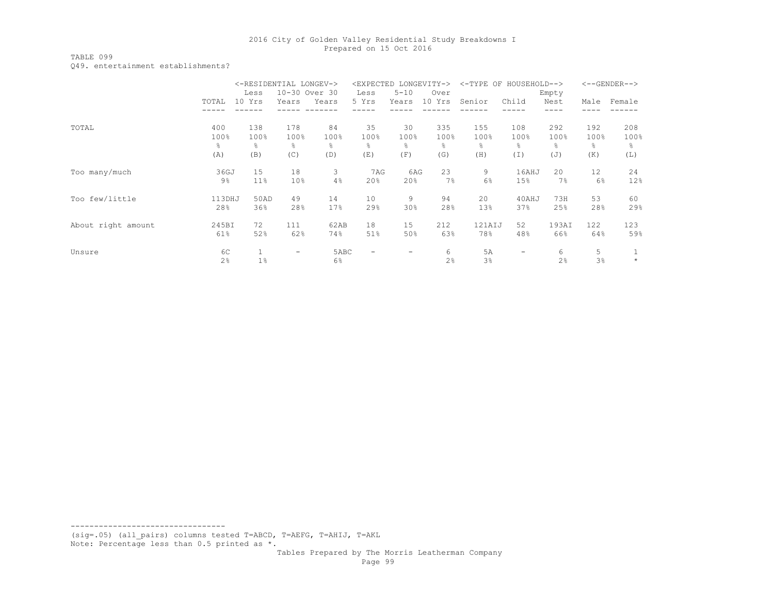#### TABLE 099 Q49. entertainment establishments?

|                    |        |        | <-RESIDENTIAL LONGEV-> |       | <expected< th=""><th></th><th>LONGEVITY-&gt;</th><th><math>&lt;-TYPE</math> OF</th><th>HOUSEHOLD--&gt;</th><th></th><th></th><th><math>&lt;-</math>-GENDER--&gt;</th></expected<> |          | LONGEVITY-> | $<-TYPE$ OF | HOUSEHOLD--> |       |      | $<-$ -GENDER--> |
|--------------------|--------|--------|------------------------|-------|-----------------------------------------------------------------------------------------------------------------------------------------------------------------------------------|----------|-------------|-------------|--------------|-------|------|-----------------|
|                    |        | Less   | 10-30 Over 30          |       | Less                                                                                                                                                                              | $5 - 10$ | Over        |             |              | Empty |      |                 |
|                    | TOTAL  | 10 Yrs | Years                  | Years | 5 Yrs                                                                                                                                                                             | Years    | 10 Yrs      | Senior      | Child        | Nest  | Male | Female          |
|                    |        |        |                        |       |                                                                                                                                                                                   |          |             |             |              |       |      |                 |
| TOTAL              | 400    | 138    | 178                    | 84    | 35                                                                                                                                                                                | 30       | 335         | 155         | 108          | 292   | 192  | 208             |
|                    | 100%   | 100%   | 100%                   | 100%  | 100%                                                                                                                                                                              | 100%     | 100%        | 100%        | 100%         | 100%  | 100% | 100%            |
|                    | g.     | ⊱      | g.                     | 옹     | ÷,                                                                                                                                                                                | g.       | g.          | g.          | 옹            | g.    | g.   | 옹               |
|                    | (A)    | (B)    | (C)                    | (D)   | (E)                                                                                                                                                                               | (F)      | (G)         | (H)         | (I)          | (J)   | (K)  | (L)             |
| Too many/much      | 36GJ   | 15     | 18                     | 3     | 7AG                                                                                                                                                                               | 6AG      | 23          | 9           | 16AHJ        | 20    | 12   | 24              |
|                    | 9%     | 11%    | 10%                    | 4%    | 20%                                                                                                                                                                               | 20%      | 7%          | 6%          | 15%          | 7%    | 6%   | 12%             |
| Too few/little     | 113DHJ | 50AD   | 49                     | 14    | 10                                                                                                                                                                                | 9        | 94          | 20          | 40AHJ        | 73H   | 53   | 60              |
|                    | 28%    | 36%    | 28%                    | 17%   | 29%                                                                                                                                                                               | 30%      | 28%         | 13%         | 37%          | 25%   | 28%  | 29%             |
| About right amount | 245BI  | 72     | 111                    | 62AB  | 18                                                                                                                                                                                | 15       | 212         | 121AIJ      | 52           | 193AI | 122  | 123             |
|                    | 61%    | 52%    | 62%                    | 74%   | 51%                                                                                                                                                                               | 50%      | 63%         | 78%         | 48%          | 66%   | 64%  | 59%             |
| Unsure             | 6C     |        | -                      | 5ABC  | $\overline{\phantom{0}}$                                                                                                                                                          | -        | 6           | 5A          | -            | 6     | 5    |                 |
|                    | 2%     | 1%     |                        | $6\%$ |                                                                                                                                                                                   |          | 2%          | 3%          |              | 2%    | 3%   | $\star$         |

--------------------------------- (sig=.05) (all\_pairs) columns tested T=ABCD, T=AEFG, T=AHIJ, T=AKL

Note: Percentage less than 0.5 printed as \*.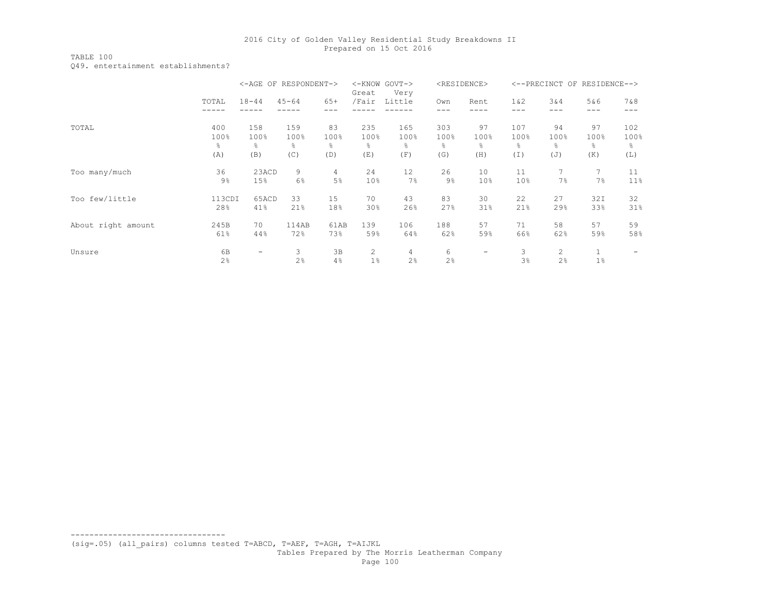TABLE 100 Q49. entertainment establishments?

|                    |        | <-AGE OF RESPONDENT-> |           |                | Great        | <-KNOW GOVT-><br>Very |       | <residence></residence> | $<$ --PRECINCT |      | OF RESIDENCE--> |      |
|--------------------|--------|-----------------------|-----------|----------------|--------------|-----------------------|-------|-------------------------|----------------|------|-----------------|------|
|                    | TOTAL  | $18 - 44$             | $45 - 64$ | $65+$          | /Fair        | Little                | Own   | Rent                    | $1\&2$         | 3&4  | 5&6             | 7&8  |
|                    |        |                       |           |                |              |                       |       |                         |                |      | ---             |      |
| TOTAL              | 400    | 158                   | 159       | 83             | 235          | 165                   | 303   | 97                      | 107            | 94   | 97              | 102  |
|                    | 100%   | 100%                  | 100%      | 100%           | 100%         | 100%                  | 100%  | 100%                    | 100%           | 100% | 100%            | 100% |
|                    | g.     | 옹                     | g.        | 옹              | ⊱            | 옹                     | g.    | g.                      | g.             | ⊱    | g.              | ⊱    |
|                    | (A)    | (B)                   | (C)       | (D)            | (E)          | (F)                   | (G)   | (H)                     | (I)            | (J)  | (K)             | (L)  |
| Too many/much      | 36     | 23ACD                 | 9         | $\overline{4}$ | 24           | 12                    | 26    | 10                      | 11             |      | $7^{\circ}$     | 11   |
|                    | $9\%$  | 15%                   | $6\%$     | 5%             | 10%          | 7%                    | $9\%$ | 10%                     | 10%            | 7%   | 7%              | 11%  |
| Too few/little     | 113CDI | 65ACD                 | 33        | 15             | 70           | 43                    | 83    | 30                      | 22             | 27   | 32I             | 32   |
|                    | 28%    | 41%                   | 21%       | 18%            | 30%          | 26%                   | 27%   | 31%                     | 21%            | 29%  | 33%             | 31%  |
| About right amount | 245B   | 70                    | 114AB     | 61AB           | 139          | 106                   | 188   | 57                      | 71             | 58   | 57              | 59   |
|                    | 61%    | 44%                   | 72%       | 73%            | 59%          | 64%                   | 62%   | 59%                     | 66%            | 62%  | 59%             | 58%  |
| Unsure             | 6B     | -                     | 3         | 3B             | $\mathbf{2}$ | 4                     | 6     | -                       | 3              | 2    | $\mathbf{1}$    |      |
|                    | 2%     |                       | 2%        | 4%             | 1%           | 2%                    | 2%    |                         | 3%             | 2%   | 1%              |      |

--------------------------------- (sig=.05) (all\_pairs) columns tested T=ABCD, T=AEF, T=AGH, T=AIJKL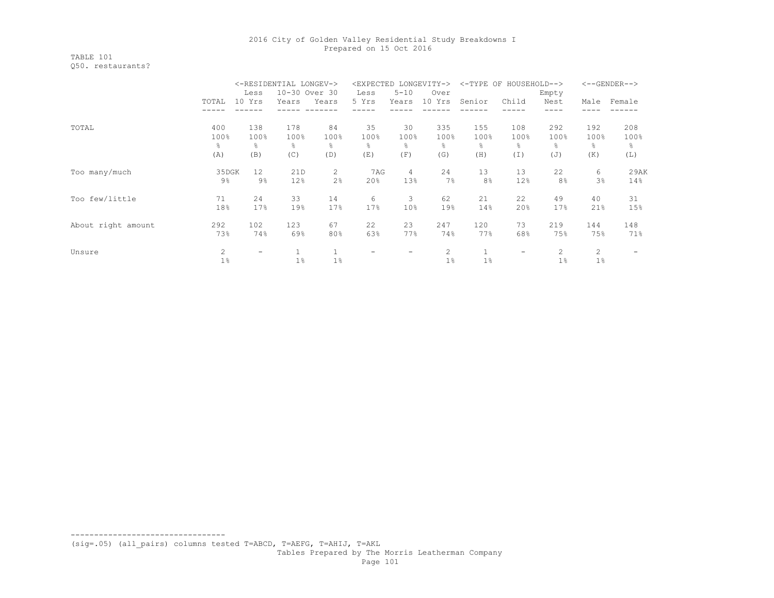## TABLE 101 Q50. restaurants?

|                    |                | <-RESIDENTIAL LONGEV->   |       |               |       |          | LONGEVITY->           | $<$ -TYPE OF   | HOUSEHOLD-->             |                |       | $\left<$ --GENDER--> |
|--------------------|----------------|--------------------------|-------|---------------|-------|----------|-----------------------|----------------|--------------------------|----------------|-------|----------------------|
|                    |                | Less                     |       | 10-30 Over 30 | Less  | $5 - 10$ | Over                  |                |                          | Empty          |       |                      |
|                    | TOTAL          | 10 Yrs                   | Years | Years         | 5 Yrs | Years    | 10 Yrs                | Senior         | Child                    | Nest           | Male  | Female               |
|                    |                |                          |       |               |       |          |                       |                |                          |                |       |                      |
| TOTAL              | 400            | 138                      | 178   | 84            | 35    | 30       | 335                   | 155            | 108                      | 292            | 192   | 208                  |
|                    | 100%           | 100%                     | 100%  | 100%          | 100%  | 100%     | 100%                  | 100%           | 100%                     | 100%           | 100%  | 100%                 |
|                    | g.             | 옹                        | ⊱     | ÷.            | 욲     | g.       | န္                    | ÷,             | g.                       | ⊱              | g.    | g.                   |
|                    | (A)            | (B)                      | (C)   | (D)           | (E)   | (F)      | (G)                   | (H)            | (I)                      | (J)            | (K)   | (L)                  |
| Too many/much      | 35DGK          | $12 \overline{ }$        | 21D   | 2             | 7AG   | 4        | 24                    | 13             | 13                       | 22             | 6     | 29AK                 |
|                    | 9%             | $9\%$                    | 12%   | 2%            | 20%   | 13%      | 7%                    | 8 <sup>°</sup> | 12%                      | 8 <sup>°</sup> | 3%    | 14%                  |
| Too few/little     | 71             | 24                       | 33    | 14            | 6     | 3        | 62                    | 21             | 22                       | 49             | 40    | 31                   |
|                    | 18%            | 17%                      | 19%   | 17%           | 17%   | 10%      | 19%                   | 14%            | 20%                      | 17%            | 21%   | 15%                  |
| About right amount | 292            | 102                      | 123   | 67            | 22    | 23       | 247                   | 120            | 73                       | 219            | 144   | 148                  |
|                    | 73%            | 74%                      | 69%   | 80%           | 63%   | 77%      | 74%                   | 77%            | 68%                      | 75%            | 75%   | 71%                  |
| Unsure             | $\overline{2}$ | $\overline{\phantom{0}}$ |       | $\mathbf{1}$  |       |          | $\mathbf{2}^{\prime}$ |                | $\overline{\phantom{a}}$ | 2              | 2     |                      |
|                    | 1%             |                          | 1%    | $1\%$         |       |          | 1%                    | $1\%$          |                          | 1%             | $1\%$ |                      |

(sig=.05) (all\_pairs) columns tested T=ABCD, T=AEFG, T=AHIJ, T=AKL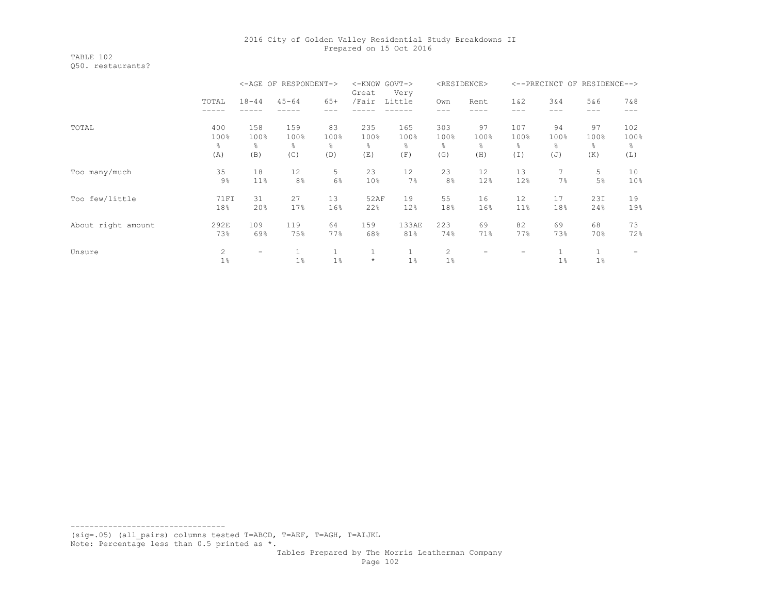TABLE 102 Q50. restaurants?

|                    |                |           | <-AGE OF RESPONDENT-> |              | $<$ -KNOW<br>Great | GOVT-><br>Very |                | <residence></residence> |        | <--PRECINCT OF | RESIDENCE--> |      |
|--------------------|----------------|-----------|-----------------------|--------------|--------------------|----------------|----------------|-------------------------|--------|----------------|--------------|------|
|                    | TOTAL          | $18 - 44$ | $45 - 64$             | $65+$        | /Fair              | Little         | Own            | Rent                    | $1\&2$ | 3&4            | 5&6          | 7&8  |
|                    |                |           |                       |              |                    |                |                |                         |        |                |              |      |
| TOTAL              | 400            | 158       | 159                   | 83           | 235                | 165            | 303            | 97                      | 107    | 94             | 97           | 102  |
|                    | 100%           | 100%      | 100%                  | 100%         | 100%               | 100%           | 100%           | 100%                    | 100%   | 100%           | 100%         | 100% |
|                    | ိင             | g.        | g.                    | 옹            | ⊱                  | ိင             | 욲              | g.                      | ⊱      | ÷,             | g.           | 옹    |
|                    | (A)            | (B)       | (C)                   | (D)          | (E)                | (F)            | (G)            | (H)                     | (I)    | (J)            | (K)          | (L)  |
| Too many/much      | 35             | 18        | 12                    | 5            | 23                 | 12             | 23             | 12                      | 13     |                | 5            | 10   |
|                    | $9\%$          | 11%       | 8%                    | 6%           | 10%                | 7%             | 8 <sup>°</sup> | 12%                     | 12%    | 7%             | 5%           | 10%  |
| Too few/little     | <b>71FI</b>    | 31        | 27                    | 13           | 52AF               | 19             | 55             | 16                      | 12     | 17             | 23I          | 19   |
|                    | 18%            | 20%       | 17%                   | 16%          | 22%                | 12%            | 18%            | 16%                     | 11%    | 18%            | 24%          | 19%  |
| About right amount | 292E           | 109       | 119                   | 64           | 159                | 133AE          | 223            | 69                      | 82     | 69             | 68           | 73   |
|                    | 73%            | 69%       | 75%                   | 77%          | 68%                | 81%            | 74%            | 71%                     | 77%    | 73%            | 70%          | 72%  |
| Unsure             | $\overline{c}$ | -         |                       | $\mathbf{1}$ | $\mathbf{1}$       | $\mathbf{1}$   | $\overline{2}$ |                         |        |                | 1            |      |
|                    | $1\%$          |           | 1%                    | 1%           | $\star$            | 1%             | 1%             |                         |        | $1\%$          | 1%           |      |

--------------------------------- (sig=.05) (all\_pairs) columns tested T=ABCD, T=AEF, T=AGH, T=AIJKL

Note: Percentage less than 0.5 printed as \*.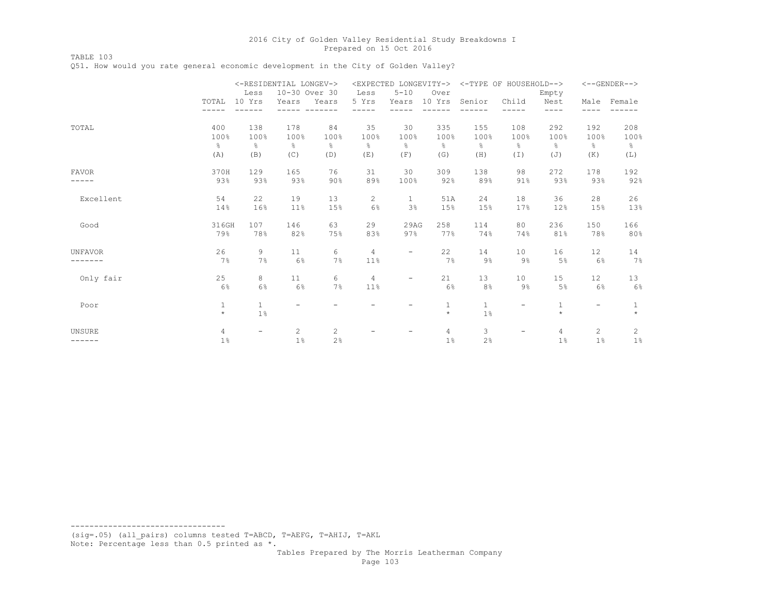TABLE 103

Q51. How would you rate general economic development in the City of Golden Valley?

|                |                | <-RESIDENTIAL LONGEV->   |                |               |                | <expected longevity-=""></expected> |                |              | <-TYPE OF HOUSEHOLD-->   |                |                          | $<-$ -GENDER--> |
|----------------|----------------|--------------------------|----------------|---------------|----------------|-------------------------------------|----------------|--------------|--------------------------|----------------|--------------------------|-----------------|
|                |                | Less                     | 10-30 Over 30  |               | Less           | $5 - 10$                            | Over           |              |                          | Empty          |                          |                 |
|                | TOTAL          | 10 Yrs                   | Years          | Years         | 5 Yrs          | Years                               | 10 Yrs         | Senior       | Child                    | Nest           | Male                     | Female          |
|                |                |                          |                |               |                |                                     |                |              |                          | ----           | ----                     |                 |
| TOTAL          | 400            | 138                      | 178            | 84            | 35             | 30                                  | 335            | 155          | 108                      | 292            | 192                      | 208             |
|                | 100%           | 100%                     | 100%           | 100%          | 100%           | 100%                                | 100%           | 100%         | 100%                     | 100%           | 100%                     | 100%            |
|                | $\frac{6}{5}$  | $\frac{6}{6}$            | $\frac{6}{6}$  | $\frac{6}{6}$ | $\frac{6}{6}$  | $\frac{6}{6}$                       | ⊱              | 옹            | $\frac{6}{6}$            | $\frac{6}{6}$  | g.                       | $\frac{6}{6}$   |
|                | (A)            | (B)                      | (C)            | (D)           | (E)            | (F)                                 | (G)            | (H)          | $(\top)$                 | (J)            | (K)                      | (L)             |
| <b>FAVOR</b>   | 370H           | 129                      | 165            | 76            | 31             | 30                                  | 309            | 138          | 98                       | 272            | 178                      | 192             |
|                | 93%            | 93%                      | 93%            | 90%           | 89%            | 100%                                | 92%            | 89%          | 91%                      | 93%            | 93%                      | 92%             |
| Excellent      | 54             | 22                       | 19             | 13            | 2              | $\mathbf{1}$                        | 51A            | 24           | 18                       | 36             | 28                       | 26              |
|                | 14%            | 16%                      | 11%            | 15%           | 6%             | 3%                                  | 15%            | 15%          | 17%                      | 12%            | 15%                      | 13%             |
| Good           | 316GH          | 107                      | 146            | 63            | 29             | 29AG                                | 258            | 114          | 80                       | 236            | 150                      | 166             |
|                | 79%            | 78%                      | 82%            | 75%           | 83%            | 97%                                 | 77%            | 74%          | 74%                      | 81%            | 78%                      | 80%             |
| <b>UNFAVOR</b> | 26             | 9                        | 11             | 6             | $\overline{4}$ | $\overline{\phantom{m}}$            | 22             | 14           | 10                       | 16             | 12                       | 14              |
|                | 7%             | 7%                       | 6%             | 7%            | 11%            |                                     | 7%             | $9\%$        | $9\%$                    | 5%             | 6%                       | 7%              |
| Only fair      | 25             | 8                        | 11             | 6             | $\overline{4}$ | $-$                                 | 21             | 13           | 10                       | 15             | 12                       | 13              |
|                | 6%             | 6%                       | 6%             | 7%            | 11%            |                                     | 6%             | 8%           | $9\%$                    | 5%             | 6%                       | 6%              |
| Poor           | $\mathbf{1}$   | $\mathbf{1}$             | -              |               |                | $\overline{\phantom{m}}$            | $\mathbf{1}$   | $\mathbf{1}$ | Ξ.                       | $\mathbf{1}$   | $\overline{\phantom{m}}$ | $\mathbf{1}$    |
|                | $\star$        | $1\%$                    |                |               |                |                                     | $\star$        | $1\%$        |                          | $\star$        |                          | $\star$         |
| <b>UNSURE</b>  | $\overline{4}$ | $\overline{\phantom{0}}$ | $\overline{2}$ | 2             |                | $\overline{\phantom{a}}$            | $\overline{4}$ | 3            | $\overline{\phantom{0}}$ | $\overline{4}$ | 2                        | $\overline{c}$  |
| ------         | $1\%$          |                          | 1%             | 2%            |                |                                     | 1%             | 2%           |                          | 1%             | 1%                       | 1%              |

--------------------------------- (sig=.05) (all\_pairs) columns tested T=ABCD, T=AEFG, T=AHIJ, T=AKL Note: Percentage less than 0.5 printed as \*.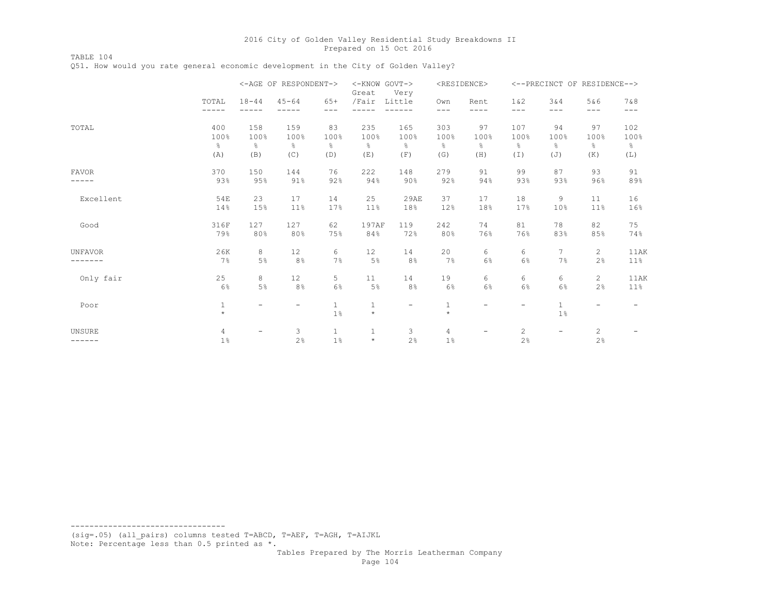TABLE 104

Q51. How would you rate general economic development in the City of Golden Valley?

|                  |                         |                          | <-AGE OF RESPONDENT->    |                       | <-KNOW GOVT-><br>Great  | Very                     |                         | <residence></residence>  |                             |                          | <--PRECINCT OF RESIDENCE--> |                          |
|------------------|-------------------------|--------------------------|--------------------------|-----------------------|-------------------------|--------------------------|-------------------------|--------------------------|-----------------------------|--------------------------|-----------------------------|--------------------------|
|                  | TOTAL<br>-----          | $18 - 44$                | $45 - 64$                | $65+$<br>---          | /Fair                   | Little                   | Own<br>---              | Rent<br>----             | 1 & 2<br>$---$              | 3&4<br>---               | 5&6<br>$---$                | 7&8<br>$---$             |
| TOTAL            | 400                     | 158                      | 159                      | 83                    | 235                     | 165                      | 303                     | 97                       | 107                         | 94                       | 97                          | 102                      |
|                  | 100%                    | 100%                     | 100%                     | 100%                  | 100%                    | 100%                     | 100%                    | 100%                     | 100%                        | 100%                     | 100%                        | 100%                     |
|                  | $\frac{6}{5}$           | $\frac{6}{6}$            | $\frac{6}{6}$            | $\frac{6}{6}$         | 옹                       | g.                       | g.                      | $\frac{8}{6}$            | 옹                           | $\frac{6}{6}$            | $\frac{6}{6}$               | $\frac{6}{6}$            |
|                  | (A)                     | (B)                      | (C)                      | (D)                   | (E)                     | (F)                      | (G)                     | (H)                      | (I)                         | (J)                      | (K)                         | (L)                      |
| <b>FAVOR</b>     | 370                     | 150                      | 144                      | 76                    | 222                     | 148                      | 279                     | 91                       | 99                          | 87                       | 93                          | 91                       |
|                  | 93%                     | 95%                      | 91%                      | 92%                   | 94%                     | 90%                      | 92%                     | 94%                      | 93%                         | 93%                      | 96%                         | 89%                      |
| Excellent        | 54E                     | 23                       | 17                       | 14                    | 25                      | 29AE                     | 37                      | 17                       | 18                          | 9                        | 11                          | 16                       |
|                  | 14%                     | 15%                      | 11%                      | 17%                   | 11%                     | 18%                      | 12%                     | 18%                      | 17%                         | 10%                      | 11%                         | 16%                      |
| Good             | 316F                    | 127                      | 127                      | 62                    | 197AF                   | 119                      | 242                     | 74                       | 81                          | 78                       | 82                          | 75                       |
|                  | 79%                     | 80%                      | 80%                      | 75%                   | 84%                     | 72%                      | 80%                     | 76%                      | 76%                         | 83%                      | 85%                         | 74%                      |
| <b>UNFAVOR</b>   | 26K                     | 8                        | 12                       | 6                     | 12                      | 14                       | 20                      | 6                        | 6                           | 7                        | 2                           | 11AK                     |
|                  | 7%                      | 5%                       | $8\frac{6}{6}$           | 7%                    | 5%                      | 8%                       | 7%                      | 6%                       | 6%                          | 7%                       | 2%                          | 11%                      |
| Only fair        | 25                      | 8                        | 12                       | 5                     | 11                      | 14                       | 19                      | 6                        | 6                           | 6                        | $\mathbf{2}$                | 11AK                     |
|                  | 6%                      | 5%                       | 8%                       | 6%                    | 5%                      | 8%                       | 6%                      | 6%                       | $6\%$                       | 6%                       | 2%                          | 11%                      |
| Poor             | 1<br>$\star$            | $\overline{\phantom{0}}$ | $\overline{\phantom{0}}$ | 1<br>$1\%$            | $\mathbf{1}$<br>$\star$ | $\overline{\phantom{0}}$ | $\mathbf{1}$<br>$\star$ | $\overline{\phantom{0}}$ | $\overline{\phantom{0}}$    | $\mathbf{1}$<br>1%       | $\overline{\phantom{a}}$    | $\overline{\phantom{a}}$ |
| UNSURE<br>------ | $\overline{4}$<br>$1\%$ | Ξ.                       | 3<br>2%                  | $\mathbf{1}$<br>$1\%$ | $\mathbf{1}$<br>$\star$ | 3<br>2%                  | $\overline{4}$<br>1%    | Ξ.                       | $\mathbf{2}^{\prime}$<br>2% | $\overline{\phantom{m}}$ | 2<br>2%                     |                          |

--------------------------------- (sig=.05) (all\_pairs) columns tested T=ABCD, T=AEF, T=AGH, T=AIJKL Note: Percentage less than 0.5 printed as \*.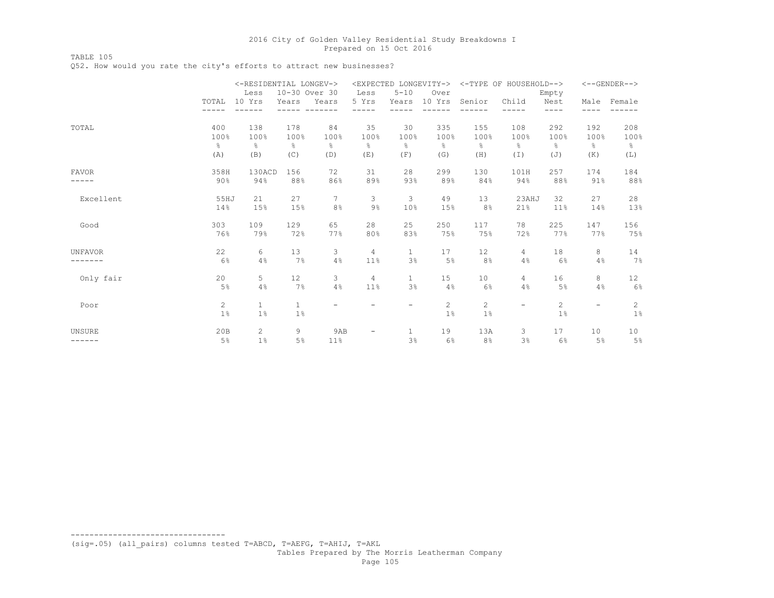TABLE 105

Q52. How would you rate the city's efforts to attract new businesses?

|                |                | <-RESIDENTIAL LONGEV-> |               |               |                | <expected longevity-=""></expected> |           |                       | <-TYPE OF HOUSEHOLD--> |                      |                          | $<-$ -GENDER--> |
|----------------|----------------|------------------------|---------------|---------------|----------------|-------------------------------------|-----------|-----------------------|------------------------|----------------------|--------------------------|-----------------|
|                |                | Less                   | 10-30 Over 30 |               | Less           | $5 - 10$                            | Over      |                       |                        | Empty                |                          |                 |
|                | TOTAL          | 10 Yrs                 | Years         | Years         | 5 Yrs          | Years                               | 10 Yrs    | Senior                | Child                  | Nest                 | Male                     | Female          |
|                |                |                        |               |               |                |                                     |           |                       |                        | ----                 | ----                     |                 |
| TOTAL          | 400            | 138                    | 178           | 84            | 35             | 30                                  | 335       | 155                   | 108                    | 292                  | 192                      | 208             |
|                | 100%           | 100%                   | 100%          | 100%          | 100%           | 100%                                | 100%      | 100%                  | 100%                   | 100%                 | 100%                     | 100%            |
|                | $\frac{6}{10}$ | $\frac{6}{6}$          | %             | $\frac{6}{6}$ | $\frac{6}{6}$  | g.                                  | $\approx$ | 옹                     | $\frac{6}{6}$          | $\frac{6}{10}$       | $\epsilon$               | $\frac{6}{6}$   |
|                | (A)            | (B)                    | (C)           | (D)           | (E)            | (F)                                 | (G)       | (H)                   | $(\top)$               | (J)                  | (K)                      | (L)             |
| <b>FAVOR</b>   | 358H           | 130ACD                 | 156           | 72            | 31             | 28                                  | 299       | 130                   | 101H                   | 257                  | 174                      | 184             |
|                | 90%            | 94%                    | 88%           | 86%           | 89%            | 93%                                 | 89%       | 84%                   | 94%                    | 88%                  | 91%                      | 88%             |
| Excellent      | 55HJ           | 21                     | 27            | $\tau$        | 3              | 3                                   | 49        | 13                    | 23AHJ                  | 32                   | 27                       | 28              |
|                | 14%            | 15%                    | 15%           | 8%            | $9\%$          | 10%                                 | 15%       | 8%                    | 21%                    | 11%                  | 14%                      | 13%             |
| Good           | 303            | 109                    | 129           | 65            | 28             | 25                                  | 250       | 117                   | 78                     | 225                  | 147                      | 156             |
|                | 76%            | 79%                    | 72%           | 77%           | 80%            | 83%                                 | 75%       | 75%                   | 72%                    | 77%                  | 77%                      | 75%             |
| <b>UNFAVOR</b> | 22             | 6                      | 13            | 3             | 4              | $\mathbf{1}$                        | 17        | 12                    | 4                      | 18                   | 8                        | 14              |
|                | 6%             | 4%                     | 7%            | 4%            | 11%            | 3%                                  | 5%        | 8%                    | 4%                     | 6%                   | 4%                       | 7%              |
| Only fair      | 20             | 5                      | 12            | 3             | 4              | $\mathbf{1}$                        | 15        | 10                    | $4\overline{ }$        | 16                   | 8                        | 12              |
|                | 5%             | 4%                     | 7%            | 4%            | 11%            | 3%                                  | 4%        | 6%                    | 4%                     | 5%                   | 4%                       | 6%              |
| Poor           | 2              | $\mathbf{1}$           | $\mathbf{1}$  | -             |                | -                                   | 2         | $\mathbf{2}^{\prime}$ | -                      | $\mathbf{2}^{\circ}$ | $\overline{\phantom{m}}$ | $\mathbf{2}$    |
|                | 1%             | 1%                     | 1%            |               |                |                                     | 1%        | 1%                    |                        | 1%                   |                          | $1\%$           |
| <b>UNSURE</b>  | 20B            | $\overline{2}$         | 9             | 9AB           | $\overline{a}$ | $\mathbf{1}$                        | 19        | 13A                   | 3                      | 17                   | 10                       | 10              |
| ------         | 5%             | 1%                     | 5%            | 11%           |                | 3%                                  | 6%        | 8%                    | 3%                     | 6%                   | 5%                       | $5\%$           |

(sig=.05) (all\_pairs) columns tested T=ABCD, T=AEFG, T=AHIJ, T=AKL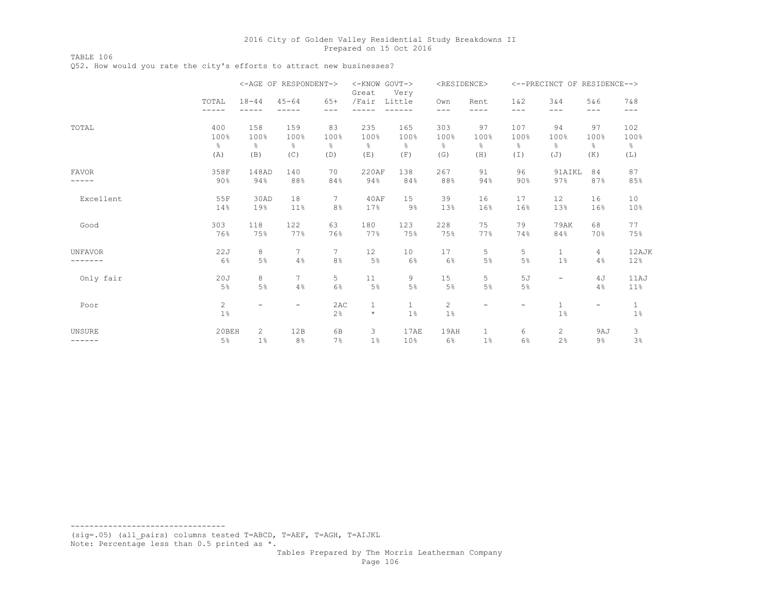TABLE 106 Q52. How would you rate the city's efforts to attract new businesses?

|                |                                |                          | <-AGE OF RESPONDENT->    |                 | <-KNOW GOVT-><br>Great  | Very                  | <residence></residence>        |                          |                 | <--PRECINCT OF RESIDENCE--> |                          |                |
|----------------|--------------------------------|--------------------------|--------------------------|-----------------|-------------------------|-----------------------|--------------------------------|--------------------------|-----------------|-----------------------------|--------------------------|----------------|
|                | TOTAL<br>-----                 | $18 - 44$<br>-----       | $45 - 64$                | $65+$<br>$---$  | /Fair                   | Little                | Own<br>$---$                   | Rent<br>----             | $1\&2$<br>$---$ | 3&4<br>$---$                | 5&6<br>$---$             | 7 & 8<br>$---$ |
| TOTAL          | 400                            | 158                      | 159                      | 83              | 235                     | 165                   | 303                            | 97                       | 107             | 94                          | 97                       | 102            |
|                | 100%                           | 100%                     | 100%                     | 100%            | 100%                    | 100%                  | 100%                           | 100%                     | 100%            | 100%                        | 100%                     | 100%           |
|                | g.                             | $\frac{6}{6}$            | $\frac{6}{6}$            | $\frac{6}{6}$   | $\frac{6}{5}$           | $\frac{6}{6}$         | $\frac{6}{6}$                  | $\frac{6}{6}$            | 옹               | 옹                           | $\frac{6}{6}$            | $\frac{6}{6}$  |
|                | (A)                            | (B)                      | (C)                      | (D)             | (E)                     | (F)                   | (G)                            | (H)                      | (I)             | (J)                         | (K)                      | (L)            |
| <b>FAVOR</b>   | 358F                           | 148AD                    | 140                      | 70              | 220AF                   | 138                   | 267                            | 91                       | 96              | 91AIKL                      | 84                       | 87             |
|                | 90%                            | 94%                      | 88%                      | 84%             | 94%                     | 84%                   | 88%                            | 94%                      | 90%             | 97%                         | 87%                      | 85%            |
| Excellent      | 55F                            | 30AD                     | 18                       | 7               | 40AF                    | 15                    | 39                             | 16                       | 17              | 12                          | 16                       | 10             |
|                | 14%                            | 19%                      | 11%                      | 8 <sup>°</sup>  | 17%                     | 9%                    | 13%                            | 16%                      | 16%             | 13%                         | 16%                      | 10%            |
| Good           | 303                            | 118                      | 122                      | 63              | 180                     | 123                   | 228                            | 75                       | 79              | <b>79AK</b>                 | 68                       | 77             |
|                | 76%                            | 75%                      | 77%                      | 76%             | 77%                     | 75%                   | 75%                            | 77%                      | 74%             | 84%                         | 70%                      | 75%            |
| <b>UNFAVOR</b> | 22J                            | 8                        | 7                        | $7\phantom{.0}$ | 12                      | 10                    | 17                             | 5                        | 5               | $\mathbf{1}$                | $\overline{4}$           | 12AJK          |
|                | 6%                             | 5%                       | 4%                       | 8%              | 5%                      | 6%                    | 6%                             | 5%                       | $5\%$           | 1 <sup>°</sup>              | 4%                       | 12%            |
| Only fair      | 20J<br>5%                      | 8<br>5%                  | 7<br>4%                  | 5<br>$6\%$      | 11<br>5%                | 9<br>5%               | 15<br>5%                       | 5<br>5%                  | 5J<br>$5\%$     | $\overline{\phantom{m}}$    | 4 J<br>4%                | 11AJ<br>11%    |
| Poor           | $\mathbf{2}^{\prime}$<br>$1\%$ | $\overline{\phantom{0}}$ | $\overline{\phantom{0}}$ | 2AC<br>2%       | $\mathbf{1}$<br>$\star$ | $\mathbf{1}$<br>$1\%$ | $\mathbf{2}^{\prime}$<br>$1\%$ | $\overline{\phantom{0}}$ | -               | $\mathbf{1}$<br>$1\%$       | $\overline{\phantom{0}}$ | 1<br>$1\%$     |
| <b>UNSURE</b>  | 20BEH                          | 2                        | 12B                      | 6B              | 3                       | 17AE                  | 19AH                           | $\mathbf{1}$             | 6               | 2                           | 9AJ                      | 3              |
| ------         | 5%                             | 1 <sup>°</sup>           | 8%                       | $7\%$           | 1%                      | 10%                   | 6%                             | 1%                       | 6%              | 2%                          | 9%                       | 3%             |

--------------------------------- (sig=.05) (all\_pairs) columns tested T=ABCD, T=AEF, T=AGH, T=AIJKL Note: Percentage less than 0.5 printed as \*.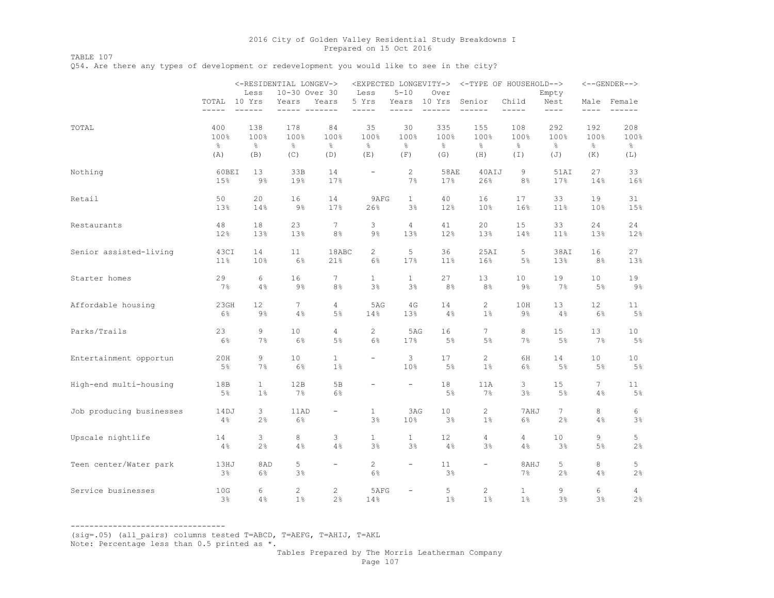TABLE 107

Q54. Are there any types of development or redevelopment you would like to see in the city?

|                          | <-RESIDENTIAL LONGEV->       | <expected longevity-=""></expected> |                              |                          |                             | <-TYPE OF HOUSEHOLD-->      |                              |                              | $\left<$ --GENDER-->         |                              |                              |                              |
|--------------------------|------------------------------|-------------------------------------|------------------------------|--------------------------|-----------------------------|-----------------------------|------------------------------|------------------------------|------------------------------|------------------------------|------------------------------|------------------------------|
|                          |                              | Less                                | 10-30 Over 30                |                          | Less                        | $5 - 10$                    | Over                         |                              |                              | Empty                        |                              |                              |
|                          | TOTAL<br>$- - - - -$         | 10 Yrs<br>$- - - - - -$             | Years<br>-----               | Years<br>$- - - - - - -$ | 5 Yrs<br>$- - - - -$        | Years<br>-----              | 10 Yrs<br>$- - - - - -$      | Senior<br>$- -$<br>$- - - -$ | Child<br>$- - - - -$         | Nest<br>$- - - -$            | $- - - -$                    | Male Female<br>$- - -$       |
| TOTAL                    | 400<br>100%<br>$\frac{6}{6}$ | 138<br>100%<br>$\frac{6}{6}$        | 178<br>100%<br>$\frac{8}{6}$ | 84<br>100%<br>옹          | 35<br>100%<br>$\frac{8}{6}$ | 30<br>100%<br>$\frac{6}{6}$ | 335<br>100%<br>$\frac{6}{6}$ | 155<br>100%<br>$\frac{6}{6}$ | 108<br>100%<br>$\frac{6}{6}$ | 292<br>100%<br>$\frac{8}{6}$ | 192<br>100%<br>$\frac{6}{6}$ | 208<br>100%<br>$\frac{6}{6}$ |
|                          | (A)                          | (B)                                 | (C)                          | (D)                      | (E)                         | (F)                         | (G)                          | (H)                          | $(\top)$                     | (J)                          | (K)                          | (L)                          |
| Nothing                  | 60BEI<br>15%                 | 13<br>$9\%$                         | 33B<br>19%                   | 14<br>17%                | $\overline{\phantom{a}}$    | $\overline{c}$<br>7%        | 58AE<br>17%                  | 40AIJ<br>26%                 | 9<br>8%                      | 51AI<br>17%                  | 27<br>14%                    | 33<br>16%                    |
| Retail                   | 50<br>13%                    | 20<br>14%                           | 16<br>$9\%$                  | 14<br>17%                | 9AFG<br>26%                 | $\mathbf{1}$<br>3%          | 40<br>12%                    | 16<br>10%                    | 17<br>16%                    | 33<br>11%                    | 19<br>10%                    | 31<br>15%                    |
| Restaurants              | 48<br>12%                    | 18<br>13%                           | 23<br>13%                    | $7\phantom{.0}$<br>8%    | 3<br>$9\frac{6}{9}$         | $\overline{4}$<br>13%       | 41<br>12%                    | 20<br>13%                    | 15<br>14%                    | 33<br>11%                    | 24<br>13%                    | 24<br>12%                    |
| Senior assisted-living   | 43CI<br>$11\%$               | 14<br>10%                           | 11<br>6%                     | 18ABC<br>21%             | $\mathbf{2}^{\prime}$<br>6% | 5<br>17%                    | 36<br>11%                    | 25AI<br>16%                  | 5<br>$5\%$                   | 38AI<br>13%                  | 16<br>8%                     | 27<br>13%                    |
| Starter homes            | 29<br>7%                     | 6<br>4%                             | 16<br>9%                     | $7\phantom{.0}$<br>$8\,$ | $\mathbf{1}$<br>3%          | $\mathbf{1}$<br>$3\,$       | 27<br>8 <sup>°</sup>         | 13<br>$8\frac{6}{6}$         | 10<br>$9\%$                  | 19<br>7%                     | 10<br>5%                     | 19<br>9%                     |
| Affordable housing       | 23GH<br>6%                   | 12 <sub>2</sub><br>$9\%$            | 7<br>4%                      | 4<br>$5\%$               | 5AG<br>14%                  | 4 G<br>13%                  | 14<br>4%                     | $\overline{c}$<br>$1\%$      | 10H<br>$9\%$                 | 13<br>4%                     | 12 <sup>2</sup><br>6%        | 11<br>5%                     |
| Parks/Trails             | 23<br>$6\%$                  | 9<br>7%                             | 10<br>6%                     | 4<br>$5\%$               | $\mathbf{2}^{\prime}$<br>6% | 5AG<br>17%                  | 16<br>5%                     | $7\phantom{.}$<br>5%         | 8<br>$7\%$                   | 15<br>5%                     | 13<br>7%                     | 10 <sub>o</sub><br>5%        |
| Entertainment opportun   | 20H<br>$5\%$                 | 9<br>7%                             | 10<br>$6\%$                  | $\mathbf{1}$<br>$1\%$    | $\overline{\phantom{0}}$    | 3<br>10%                    | 17<br>$5\%$                  | $\overline{c}$<br>1%         | 6H<br>$6\%$                  | 14<br>5%                     | 10<br>5%                     | 10<br>5%                     |
| High-end multi-housing   | 18B<br>$5\%$                 | $\mathbf{1}$<br>$1\%$               | 12B<br>7%                    | 5B<br>$6\%$              | $\overline{\phantom{0}}$    | $-$                         | 18<br>5%                     | 11A<br>7%                    | $\mathcal{S}$<br>$3\%$       | 15<br>5%                     | $7\phantom{.0}$<br>4%        | 11<br>5%                     |
| Job producing businesses | 14DJ<br>4%                   | 3<br>2%                             | 11AD<br>6%                   | $\overline{\phantom{a}}$ | $\mathbf{1}$<br>3%          | 3AG<br>10%                  | 10<br>3%                     | $\overline{c}$<br>1%         | 7AHJ<br>$6\%$                | 7<br>2%                      | 8<br>4%                      | 6<br>3%                      |
| Upscale nightlife        | 14<br>4%                     | 3<br>2%                             | 8<br>4%                      | 3<br>4%                  | $\mathbf{1}$<br>3%          | $\mathbf{1}$<br>3%          | 12<br>$4\%$                  | 4<br>$3\%$                   | 4<br>4%                      | 10<br>3%                     | 9<br>5%                      | 5<br>2%                      |
| Teen center/Water park   | 13HJ<br>$3\,$                | 8AD<br>6%                           | 5<br>$3\%$                   | $\qquad \qquad -$        | $\mathbf{2}$<br>$6\%$       | $\overline{\phantom{0}}$    | 11<br>$3\frac{6}{6}$         | $\overline{\phantom{0}}$     | 8AHJ<br>$7\%$                | 5<br>2%                      | 8<br>4%                      | 5<br>2%                      |
| Service businesses       | 10G<br>3%                    | 6<br>4%                             | 2<br>1%                      | 2<br>2%                  | 5AFG<br>14%                 | $\qquad \qquad -$           | 5<br>$1\%$                   | 2<br>$1\%$                   | $\mathbf{1}$<br>$1\%$        | 9<br>3%                      | 6<br>3%                      | $\overline{4}$<br>2%         |

---------------------------------

(sig=.05) (all\_pairs) columns tested T=ABCD, T=AEFG, T=AHIJ, T=AKL

Note: Percentage less than 0.5 printed as \*.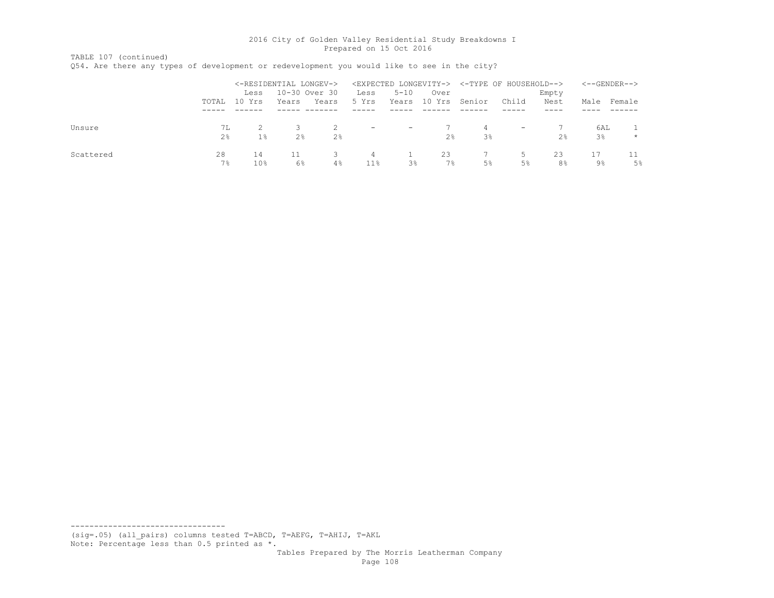TABLE 107 (continued)

Q54. Are there any types of development or redevelopment you would like to see in the city?

|           |                |        | <-RESIDENTIAL LONGEV-> |                |                          |                          |                | <expected longevity-=""> &lt;-TYPE OF HOUSEHOLD--&gt;</expected> |                          |                |     | $<-$ -GENDER--> |
|-----------|----------------|--------|------------------------|----------------|--------------------------|--------------------------|----------------|------------------------------------------------------------------|--------------------------|----------------|-----|-----------------|
|           |                | Less   | 10-30 Over 30          |                | Less                     | $5 - 10$                 | Over           |                                                                  |                          | Empty          |     |                 |
|           | TOTAL          | 10 Yrs | Years                  | Years          | 5 Yrs                    | Years                    | 10 Yrs         | Senior                                                           | Child                    | Nest           |     | Male Female     |
|           |                |        |                        |                |                          |                          |                |                                                                  |                          |                |     |                 |
| Unsure    | 7L             |        |                        |                | $\overline{\phantom{a}}$ | $\overline{\phantom{a}}$ |                | 4                                                                | $\overline{\phantom{a}}$ |                | 6AL |                 |
|           | 2 <sup>°</sup> | 1%     | 2 <sup>8</sup>         | 2 <sup>8</sup> |                          |                          | 2 <sup>°</sup> | 3 <sup>°</sup>                                                   |                          | $2\frac{6}{6}$ | 3%  | $\star$         |
| Scattered | 28             | 14     |                        |                | 4                        |                          | 23             |                                                                  | 5.                       | 23             |     |                 |
|           | 7%             | 10%    | 6%                     | $4\%$          | 11%                      | $3\,$                    | 7%             | 5%                                                               | 5%                       | 8%             | 9%  | 5%              |

---------------------------------

(sig=.05) (all\_pairs) columns tested T=ABCD, T=AEFG, T=AHIJ, T=AKL Note: Percentage less than 0.5 printed as \*.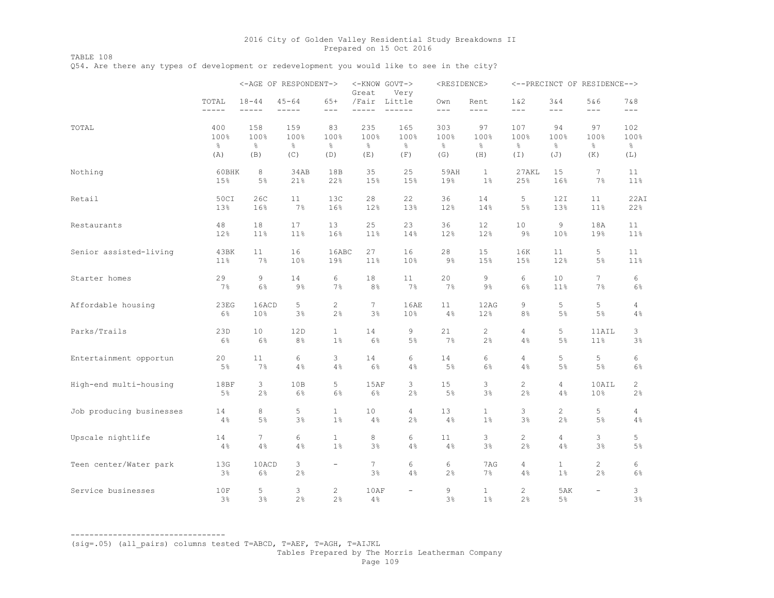TABLE 108

Q54. Are there any types of development or redevelopment you would like to see in the city?

|                          |                       |                                 | <-AGE OF RESPONDENT-> |                          | <-KNOW GOVT-><br>Great | Very                            | <residence></residence> |                       |                             |                       | <--PRECINCT OF RESIDENCE--> |                |
|--------------------------|-----------------------|---------------------------------|-----------------------|--------------------------|------------------------|---------------------------------|-------------------------|-----------------------|-----------------------------|-----------------------|-----------------------------|----------------|
|                          | TOTAL<br>-----        | $18 - 44$                       | $45 - 64$<br>-----    | $65+$<br>$---$           | -----                  | /Fair Little<br>$- - - - - - -$ | Own<br>$---$            | Rent<br>----          | 1 & 2<br>$- - -$            | 3&4<br>$- - -$        | 5&6<br>$---$                | 7&8<br>$---$   |
| TOTAL                    | 400                   | 158                             | 159                   | 83                       | 235                    | 165                             | 303                     | 97                    | 107                         | 94                    | 97                          | 102            |
|                          | 100%                  | 100%                            | 100%                  | 100%                     | 100%                   | 100%                            | 100%                    | 100%                  | 100%                        | 100%                  | 100%                        | 100%           |
|                          | $\frac{6}{6}$         | $\frac{\mathsf{O}}{\mathsf{O}}$ | $\frac{\infty}{6}$    | $\frac{6}{6}$            | $\frac{\circ}{6}$      | $\,$ $\,$ $\,$                  | $\frac{6}{6}$           | $\frac{\circ}{6}$     | $\%$                        | $\frac{8}{6}$         | $\frac{6}{6}$               | $\frac{6}{6}$  |
|                          | (A)                   | (B)                             | (C)                   | (D)                      | (E)                    | (F)                             | (G)                     | (H)                   | $(\bot)$                    | (J)                   | (K)                         | (L)            |
| Nothing                  | 60BHK                 | 8                               | 34AB                  | 18B                      | 35                     | 25                              | 59AH                    | $\mathbf{1}$          | 27AKL                       | 15                    | $7\overline{ }$             | 11             |
|                          | 15%                   | 5%                              | 21%                   | 22%                      | 15%                    | 15%                             | 19%                     | 1%                    | 25%                         | 16%                   | 7%                          | 11%            |
| Retail                   | 50CI                  | 26C                             | 11                    | 13C                      | 28                     | 22                              | 36                      | 14                    | 5                           | 12I                   | 11                          | 22AI           |
|                          | 13%                   | 16%                             | 7%                    | 16%                      | 12%                    | 13 <sup>°</sup>                 | 12%                     | 14%                   | 5%                          | 13 <sub>8</sub>       | 11 <sub>8</sub>             | 22%            |
| Restaurants              | 48                    | 18                              | 17                    | 13                       | 25                     | 23                              | 36                      | 12                    | 10                          | 9                     | 18A                         | 11             |
|                          | 12%                   | $11\%$                          | 11%                   | 16%                      | $11\%$                 | 14%                             | 12%                     | 12%                   | 9%                          | 10 <sub>8</sub>       | 19%                         | $11\%$         |
| Senior assisted-living   | 43BK                  | 11                              | 16                    | 16ABC                    | 27                     | 16                              | 28                      | 15                    | 16K                         | 11                    | 5                           | 11             |
|                          | $11\%$                | 7%                              | 10%                   | 19%                      | 11%                    | 10 <sup>°</sup>                 | $9\,$                   | 15%                   | 15%                         | 12%                   | $5\%$                       | 11%            |
| Starter homes            | 29                    | 9                               | 14                    | 6                        | 18                     | 11                              | 20                      | 9                     | 6                           | 10                    | 7 <sup>1</sup>              | 6              |
|                          | 7%                    | $6\%$                           | $9\%$                 | $7\%$                    | 8%                     | 7%                              | 7%                      | 9%                    | $6\%$                       | 11%                   | 7%                          | 6%             |
| Affordable housing       | 23EG                  | 16ACD                           | 5                     | $\overline{c}$           | 7                      | 16AE                            | 11                      | 12AG                  | 9                           | 5                     | 5                           | 4              |
|                          | 6%                    | 10 <sup>°</sup>                 | $3\%$                 | 2%                       | 3%                     | 10%                             | 4%                      | 12%                   | 8 <sup>°</sup>              | $5\%$                 | 5%                          | 4%             |
| Parks/Trails             | 23D                   | 10                              | 12D                   | $\mathbf{1}$             | 14                     | 9                               | 21                      | $\overline{c}$        | $\overline{4}$              | 5                     | 11AIL                       | 3              |
|                          | 6%                    | 6%                              | 8%                    | $1\%$                    | 6%                     | 5%                              | 7%                      | 2%                    | 4%                          | 5%                    | 11%                         | 3%             |
| Entertainment opportun   | 20                    | 11                              | 6                     | 3                        | 14                     | 6                               | 14                      | 6                     | $\overline{4}$              | 5                     | 5                           | 6              |
|                          | 5%                    | 7%                              | 4%                    | 4%                       | 6%                     | 4%                              | 5%                      | $6\%$                 | 4%                          | 5%                    | 5%                          | 6%             |
| High-end multi-housing   | 18BF                  | 3                               | 10B                   | 5                        | 15AF                   | 3                               | 15 <sub>1</sub>         | 3                     | $\overline{c}$              | 4                     | 10AIL                       | $\overline{c}$ |
|                          | 5%                    | $2\frac{6}{6}$                  | $6\%$                 | $6\%$                    | 6%                     | 2%                              | $5\%$                   | $3\frac{6}{6}$        | 2%                          | 4%                    | 10%                         | 2%             |
| Job producing businesses | 14                    | 8                               | 5                     | $\mathbf{1}$             | 10                     | $\overline{4}$                  | 13                      | $\mathbf{1}$          | 3                           | $\overline{c}$        | 5                           | 4              |
|                          | 4%                    | $5\%$                           | 3%                    | $1\%$                    | 4%                     | 2%                              | 4%                      | $1\%$                 | 3%                          | 2%                    | 5%                          | 4%             |
| Upscale nightlife        | 14                    | 7                               | 6                     | $\mathbf{1}$             | 8                      | $\epsilon$                      | 11                      | 3                     | $\mathbf{2}$                | 4                     | 3                           | 5              |
|                          | 4%                    | 4%                              | 4%                    | $1\%$                    | 3%                     | 4%                              | 4%                      | $3\%$                 | 2%                          | 4%                    | 3%                          | 5%             |
| Teen center/Water park   | 13G<br>$3\frac{6}{6}$ | 10ACD<br>$6\%$                  | 3<br>2%               | $\overline{\phantom{0}}$ | $7\phantom{.}$<br>3%   | $\epsilon$<br>4%                | 6<br>2%                 | 7AG<br>7%             | 4<br>4%                     | $\mathbf{1}$<br>$1\%$ | $\overline{c}$<br>2%        | 6<br>6%        |
| Service businesses       | 10F<br>3%             | 5<br>3%                         | 3<br>2%               | $\mathbf{2}$<br>2%       | 10AF<br>4%             | $-$                             | 9<br>3%                 | $\mathbf{1}$<br>$1\%$ | $\mathbf{2}^{\prime}$<br>2% | 5AK<br>5%             | $\overline{\phantom{0}}$    | 3<br>3%        |

(sig=.05) (all\_pairs) columns tested T=ABCD, T=AEF, T=AGH, T=AIJKL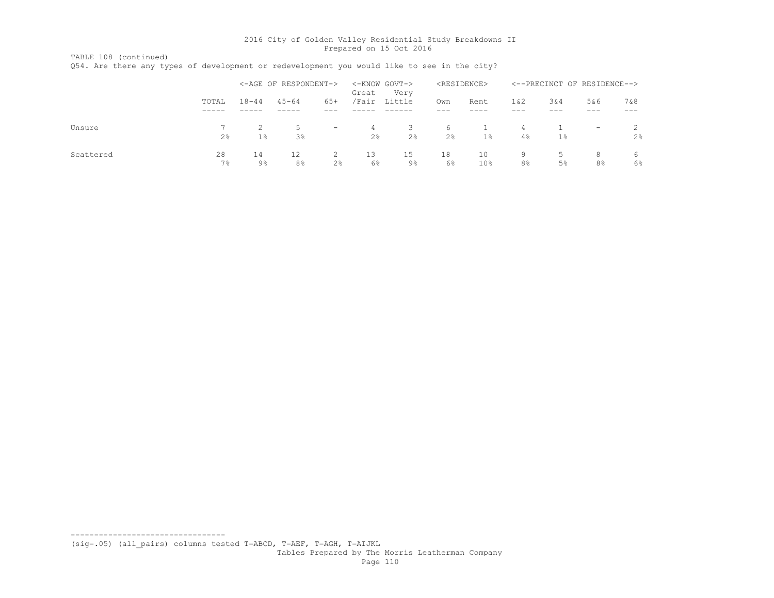TABLE 108 (continued)

Q54. Are there any types of development or redevelopment you would like to see in the city?

|           |         |           | <-AGE OF RESPONDENT-> |        | Great          | <-KNOW GOVT-><br>Very |                | <residence></residence> |                | <--PRECINCT OF RESIDENCE--> |                   |       |
|-----------|---------|-----------|-----------------------|--------|----------------|-----------------------|----------------|-------------------------|----------------|-----------------------------|-------------------|-------|
|           | TOTAL   | $18 - 44$ | $45 - 64$             | $65+$  | /Fair          | Little                | Own            | Rent                    | 1 & 2          | 3&4                         | 5&6               | 7&8   |
|           |         |           |                       |        |                |                       |                |                         |                |                             |                   |       |
| Unsure    |         |           | $\mathcal{D}$         | $\sim$ | 4              |                       | 6              |                         | 4              |                             | $\qquad \qquad -$ | 2     |
|           | 2%      | $1\%$     | 3%                    |        | $2\frac{6}{6}$ | 2%                    | 2 <sup>°</sup> | $1\%$                   | 4%             | $1\%$                       |                   | 2%    |
| Scattered | 28      | 14        | 12                    |        | 13             | 15                    | 18             | 10                      | 9              |                             | 8                 | 6     |
|           | $7\,$ % | 9%        | 8 <sup>°</sup>        | 2%     | 6%             | ୨%                    | $6\%$          | 10 <sub>8</sub>         | 8 <sup>°</sup> | 5%                          | 8 <sup>°</sup>    | $6\%$ |

--------------------------------- (sig=.05) (all\_pairs) columns tested T=ABCD, T=AEF, T=AGH, T=AIJKL Tables Prepared by The Morris Leatherman Company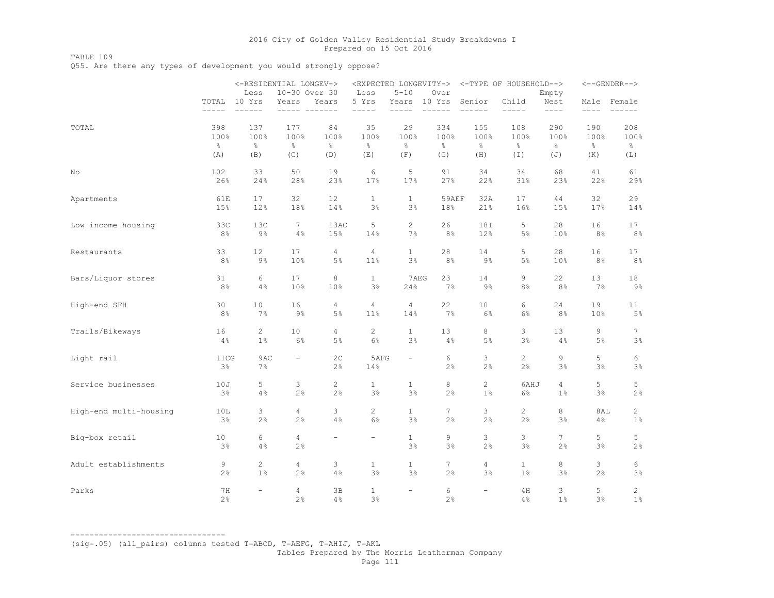TABLE 109

Q55. Are there any types of development you would strongly oppose?

|                        | <-RESIDENTIAL LONGEV-><br>10-30 Over 30 |                                       |                          |                      |                              |                                  |                                 |                          | <expected longevity-=""> &lt;-TYPE OF HOUSEHOLD--&gt;</expected> |                            |                | $\leftarrow$ -GENDER--> |
|------------------------|-----------------------------------------|---------------------------------------|--------------------------|----------------------|------------------------------|----------------------------------|---------------------------------|--------------------------|------------------------------------------------------------------|----------------------------|----------------|-------------------------|
|                        | $- - - - -$                             | Less<br>TOTAL 10 Yrs<br>$- - - - - -$ | Years<br>$- - - - - -$   | Years<br>--------    | Less<br>5 Yrs<br>$- - - - -$ | $5 - 10$<br>Years<br>$- - - - -$ | Over<br>10 Yrs<br>$- - - - - -$ | Senior<br>$- -$<br>$---$ | Child<br>$- - - - -$                                             | Empty<br>Nest<br>$- - - -$ | $- - - -$      | Male Female<br>$- - -$  |
| TOTAL                  | 398                                     | 137                                   | 177                      | 84                   | 35                           | 29                               | 334                             | 155                      | 108                                                              | 290                        | 190            | 208                     |
|                        | 100%                                    | 100%                                  | 100%                     | 100%                 | 100%                         | 100%                             | 100%                            | 100%                     | 100%                                                             | 100%                       | 100%           | 100%                    |
|                        | $\frac{6}{6}$                           | $\frac{6}{6}$                         | $\frac{8}{6}$            | $\frac{6}{6}$        | $\frac{8}{6}$                | $\frac{6}{6}$                    | $\frac{6}{6}$                   | $\frac{6}{6}$            | $\frac{6}{6}$                                                    | $\frac{8}{6}$              | $\frac{6}{6}$  | $\frac{6}{6}$           |
|                        | (A)                                     | (B)                                   | (C)                      | (D)                  | (E)                          | (F)                              | (G)                             | (H)                      | $(\top)$                                                         | (J)                        | (K)            | (L)                     |
| No                     | 102                                     | 33                                    | 50                       | 19                   | 6                            | 5                                | 91                              | 34                       | 34                                                               | 68                         | 41             | 61                      |
|                        | 26%                                     | 24%                                   | 28%                      | 23%                  | 17%                          | 17%                              | 27%                             | 22%                      | 31%                                                              | 23%                        | 22%            | 29%                     |
| Apartments             | 61E                                     | 17                                    | 32                       | 12                   | $\mathbf{1}$                 | $\mathbf{1}$                     | 59AEF                           | 32A                      | 17                                                               | 44                         | 32             | 29                      |
|                        | 15%                                     | 12%                                   | 18%                      | 14%                  | 3%                           | 3%                               | 18%                             | 21%                      | 16%                                                              | 15%                        | 17%            | 14%                     |
| Low income housing     | 33C                                     | 13C                                   | 7                        | 13AC                 | 5                            | $\overline{2}$                   | 26                              | 18I                      | 5                                                                | 28                         | 16             | 17                      |
|                        | 8%                                      | $9\%$                                 | 4%                       | 15%                  | 14%                          | 7%                               | 8 <sup>°</sup>                  | 12%                      | 5%                                                               | 10%                        | 8%             | 8%                      |
| Restaurants            | 33                                      | 12                                    | 17                       | 4                    | $\overline{4}$               | $\mathbf{1}$                     | 28                              | 14                       | 5                                                                | 28                         | 16             | 17                      |
|                        | 8%                                      | $9\%$                                 | 10%                      | $5\%$                | 11%                          | 3%                               | 8 <sup>°</sup>                  | 9%                       | 5%                                                               | 10%                        | 8%             | 8%                      |
| Bars/Liquor stores     | 31                                      | 6                                     | 17                       | 8                    | $\mathbf{1}$                 | 7AEG                             | 23                              | 14                       | 9                                                                | 22                         | 13             | 18                      |
|                        | 8%                                      | 4%                                    | 10%                      | 10%                  | 3%                           | 24%                              | 7%                              | 9%                       | $8\%$                                                            | 8%                         | 7%             | $9\%$                   |
| High-end SFH           | 30                                      | 10                                    | 16                       | 4                    | $\overline{4}$               | $\overline{4}$                   | 22                              | 10                       | 6                                                                | 24                         | 19             | 11                      |
|                        | 8%                                      | 7%                                    | 9%                       | 5%                   | 11%                          | 14%                              | 7%                              | $6\%$                    | 6%                                                               | 8 <sup>°</sup>             | 10%            | 5%                      |
| Trails/Bikeways        | 16                                      | $\mathbf{2}^{\prime}$                 | 10                       | 4                    | 2                            | $\mathbf{1}$                     | 13                              | 8                        | 3                                                                | 13                         | 9              | 7                       |
|                        | 4%                                      | $1\%$                                 | $6\%$                    | $5\%$                | 6%                           | 3%                               | 4%                              | $5\,$                    | 3%                                                               | 4%                         | $5\,$ %        | $3\,$                   |
| Light rail             | 11CG<br>3%                              | 9AC<br>$7\%$                          | $\overline{\phantom{0}}$ | 2 <sub>C</sub><br>2% | 5AFG<br>14%                  | $\qquad \qquad -$                | 6<br>2%                         | 3<br>2%                  | $\overline{2}$<br>2%                                             | 9<br>3%                    | 5<br>3%        | 6<br>3%                 |
| Service businesses     | 10J                                     | 5                                     | 3                        | $\mathbf{2}$         | $\mathbf{1}$                 | $\mathbf{1}$                     | 8                               | $\mathbf{2}$             | 6AHJ                                                             | $\overline{4}$             | 5              | 5                       |
|                        | 3%                                      | 4%                                    | $2\frac{6}{6}$           | 2%                   | 3%                           | 3%                               | $2\%$                           | $1\%$                    | $6\%$                                                            | $1\%$                      | $3\frac{6}{6}$ | 2%                      |
| High-end multi-housing | 10L                                     | 3                                     | 4                        | 3                    | 2                            | $\mathbf{1}$                     | $7\phantom{.}$                  | 3                        | $\overline{2}$                                                   | 8                          | 8AL            | $\overline{2}$          |
|                        | 3%                                      | 2%                                    | 2%                       | 4%                   | 6%                           | 3%                               | 2%                              | 2%                       | 2%                                                               | 3%                         | $4\,$ $\,$     | $1\,$                   |
| Big-box retail         | 10 <sub>o</sub><br>3%                   | 6<br>4%                               | 4<br>2%                  | $\qquad \qquad -$    | $\overline{\phantom{a}}$     | $\mathbf{1}$<br>3%               | 9<br>3%                         | 3<br>2%                  | 3<br>3%                                                          | $7\phantom{.0}$<br>2%      | 5<br>3%        | 5<br>2%                 |
| Adult establishments   | 9                                       | $\mathbf{2}$                          | 4                        | 3                    | $1\,$                        | $\mathbf{1}$                     | $7^{\circ}$                     | $\overline{4}$           | $\mathbf{1}$                                                     | 8                          | 3              | 6                       |
|                        | 2%                                      | $1\%$                                 | 2%                       | 4%                   | 3%                           | 3%                               | 2%                              | 3%                       | $1\%$                                                            | 3%                         | 2%             | 3%                      |
| Parks                  | 7H<br>2%                                | $\overline{\phantom{a}}$              | 4<br>2%                  | 3B<br>4%             | $\mathbf{1}$<br>3%           | $-$                              | 6<br>2%                         | $\overline{\phantom{0}}$ | 4H<br>4%                                                         | 3<br>$1\%$                 | 5<br>3%        | $\overline{2}$<br>$1\%$ |

--------------------------------- (sig=.05) (all\_pairs) columns tested T=ABCD, T=AEFG, T=AHIJ, T=AKL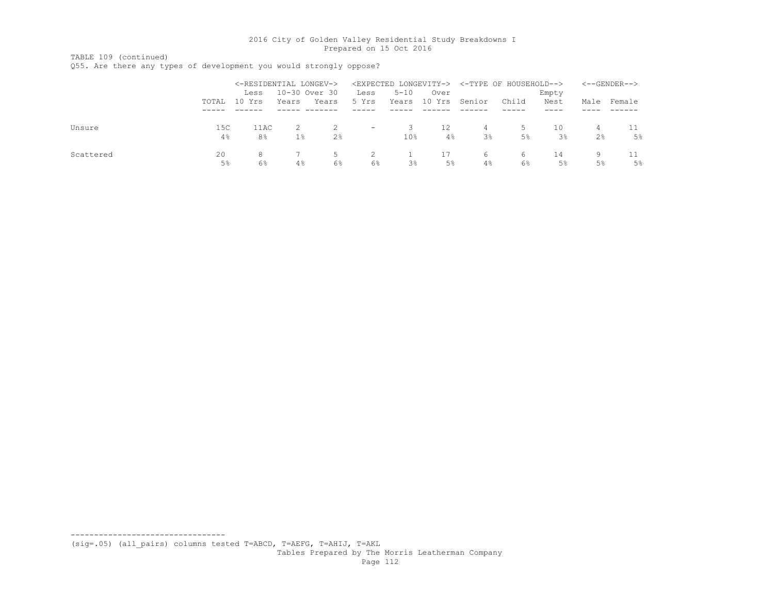TABLE 109 (continued)

Q55. Are there any types of development you would strongly oppose?

|           |       | <-RESIDENTIAL LONGEV-> |       |                |                          |                 |        | <expected longevity-=""> &lt;-TYPE OF HOUSEHOLD--&gt;</expected> |       |       |    | $<-$ -GENDER--> |
|-----------|-------|------------------------|-------|----------------|--------------------------|-----------------|--------|------------------------------------------------------------------|-------|-------|----|-----------------|
|           |       | Less                   |       | 10-30 Over 30  | Less                     | $5 - 10$        | Over   |                                                                  |       | Empty |    |                 |
|           | TOTAL | 10 Yrs                 | Years | Years          | 5 Yrs                    | Years           | 10 Yrs | Senior                                                           | Child | Nest  |    | Male Female     |
|           |       |                        |       |                |                          |                 |        |                                                                  |       |       |    |                 |
| Unsure    | 15C   | 11AC                   |       |                | $\overline{\phantom{m}}$ |                 | 12.    |                                                                  | 5.    | 10    | 4  |                 |
|           | 4%    | 8%                     | $1\%$ | 2 <sup>°</sup> |                          | 10 <sub>8</sub> | $4\%$  | 3 <sup>°</sup>                                                   | 5%    | $3\%$ | 2% | $5\%$           |
| Scattered | 20    | 8                      |       | 5              |                          |                 |        | 6                                                                |       | 14    |    |                 |
|           | 5%    | $6\%$                  | $4\%$ | 6%             | 6%                       | $3\%$           | 5%     | 4%                                                               | 6%    | 5%    | 5% | 5%              |

--------------------------------- (sig=.05) (all\_pairs) columns tested T=ABCD, T=AEFG, T=AHIJ, T=AKL Tables Prepared by The Morris Leatherman Company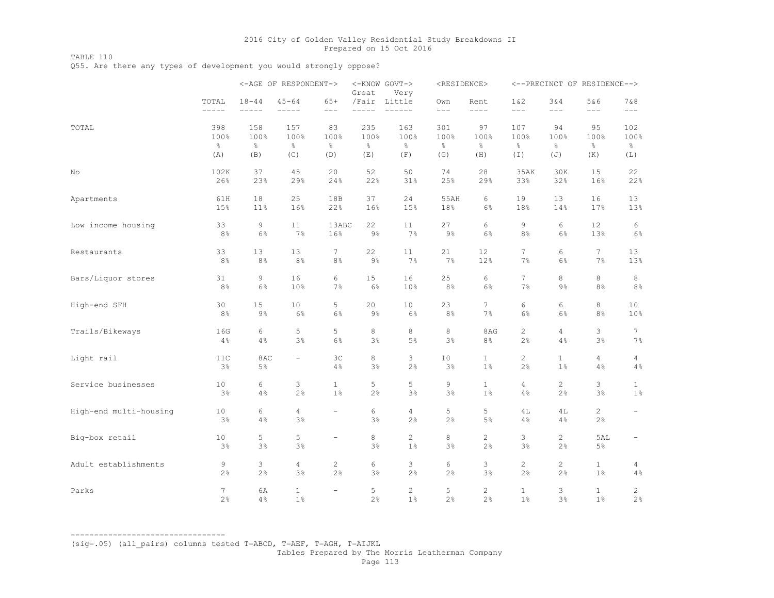TABLE 110

Q55. Are there any types of development you would strongly oppose?

|                        |               |               | <-AGE OF RESPONDENT->    |                          | <-KNOW GOVT-><br>Great | Very                           |               | <residence></residence>     |                             |                             | <--PRECINCT OF RESIDENCE--> |                          |
|------------------------|---------------|---------------|--------------------------|--------------------------|------------------------|--------------------------------|---------------|-----------------------------|-----------------------------|-----------------------------|-----------------------------|--------------------------|
|                        | TOTAL         | $18 - 44$     | $45 - 64$                | $65+$                    | /Fair                  | Little                         | Own           | Rent                        | $1\&2$                      | 3&4                         | 5&6                         | 7 & 8                    |
|                        | -----         | $- - - - - -$ |                          | $---$                    | $- - - - -$            | $- - - - - -$                  | $---$         | $- - - -$                   | $- - -$                     | $---$                       | $- - -$                     | $---$                    |
| TOTAL                  | 398           | 158           | 157                      | 83                       | 235                    | 163                            | 301           | 97                          | 107                         | 94                          | 95                          | 102                      |
|                        | 100%          | 100%          | 100%                     | 100%                     | 100%                   | 100%                           | 100%          | 100%                        | 100%                        | 100%                        | 100%                        | 100%                     |
|                        | $\frac{6}{6}$ | $\frac{6}{6}$ | $\frac{Q}{Q}$            | $\frac{6}{6}$            | $\frac{\infty}{6}$     | $\frac{6}{6}$                  | $\frac{6}{6}$ | $\frac{6}{6}$               | $\frac{6}{6}$               | $\%$                        | $\frac{1}{6}$               | $\frac{6}{6}$            |
|                        | (A)           | (B)           | (C)                      | (D)                      | (E)                    | (F)                            | (G)           | (H)                         | (I)                         | (J)                         | (K)                         | (L)                      |
| No                     | 102K          | 37            | 45                       | 20                       | 52                     | 50                             | 74            | 28                          | 35AK                        | 30K                         | 15                          | 22                       |
|                        | 26%           | 23%           | 29%                      | 24%                      | 22%                    | 31%                            | 25%           | 29%                         | 33%                         | 32%                         | 16%                         | 22%                      |
| Apartments             | 61H           | 18            | 25                       | 18B                      | 37                     | 24                             | 55AH          | 6                           | 19                          | 13                          | 16                          | 13                       |
|                        | 15%           | 11%           | 16%                      | 22%                      | 16%                    | 15%                            | 18%           | $6\%$                       | 18%                         | 14%                         | 17%                         | 13%                      |
| Low income housing     | 33            | 9             | 11                       | 13ABC                    | 22                     | 11                             | 27            | 6                           | 9                           | 6                           | 12                          | 6                        |
|                        | 8%            | 6%            | 7%                       | 16%                      | $9\%$                  | 7%                             | $9\%$         | 6%                          | 8%                          | 6%                          | 13%                         | $6\,$                    |
| Restaurants            | 33            | 13            | 13                       | $7\phantom{.0}$          | 22                     | 11                             | 21            | 12                          | $7\overline{ }$             | 6                           | 7                           | 13                       |
|                        | 8%            | 8%            | $8\,$ %                  | $8\,$                    | $9\frac{6}{6}$         | 7%                             | 7%            | 12%                         | 7%                          | 6%                          | 7%                          | 13%                      |
| Bars/Liquor stores     | 31            | 9             | 16                       | 6                        | 15                     | 16                             | 25            | 6                           | $7^{\circ}$                 | 8                           | 8                           | $\,8\,$                  |
|                        | $8\,$ %       | 6%            | 10%                      | 7%                       | 6%                     | 10%                            | $8\,$ %       | 6%                          | 7%                          | $9\,$                       | 8%                          | $8\,$ %                  |
| High-end SFH           | 30            | 15            | 10                       | 5                        | 20                     | 10                             | 23            | 7                           | 6                           | 6                           | 8                           | 10                       |
|                        | 8%            | 9%            | 6%                       | 6%                       | 9%                     | $6\%$                          | 8%            | 7%                          | 6%                          | 6%                          | 8%                          | 10%                      |
| Trails/Bikeways        | 16G           | 6             | 5                        | 5                        | 8                      | 8                              | 8             | 8AG                         | $\mathbf{2}^{\prime}$       | $\overline{4}$              | 3                           | 7                        |
|                        | 4%            | 4%            | 3%                       | 6%                       | 3%                     | $5\%$                          | 3%            | $8\,$ %                     | 2%                          | 4%                          | 3%                          | $7\%$                    |
| Light rail             | 11C<br>3%     | 8AC<br>$5\%$  | $\overline{\phantom{0}}$ | 3 <sup>c</sup><br>$4\%$  | 8<br>3%                | 3<br>2%                        | 10<br>3%      | $\mathbf{1}$<br>1%          | $\mathbf{2}^{\prime}$<br>2% | $\mathbf{1}$<br>$1\%$       | $\overline{4}$<br>4%        | 4<br>4%                  |
| Service businesses     | 10            | 6             | 3                        | $\mathbf{1}$             | 5                      | 5                              | 9             | $\mathbf{1}$                | $\overline{4}$              | $\mathbf{2}$                | 3                           | $\mathbf{1}$             |
|                        | 3%            | 4%            | 2%                       | $1\%$                    | 2%                     | 3%                             | 3%            | $1\%$                       | 4%                          | 2%                          | 3%                          | $1\,$                    |
| High-end multi-housing | 10<br>3%      | 6<br>4%       | 4<br>3%                  | $\overline{\phantom{a}}$ | 6<br>3%                | $\overline{4}$<br>2%           | 5<br>2%       | 5<br>$5\%$                  | 4L<br>4%                    | 4L<br>4%                    | $\mathbf{2}$<br>2%          | $\overline{\phantom{a}}$ |
| Big-box retail         | 10<br>3%      | 5<br>3%       | 5<br>3%                  | $\overline{\phantom{a}}$ | 8<br>3%                | $\mathbf{2}^{\prime}$<br>$1\%$ | 8<br>3%       | $\mathbf{2}^{\prime}$<br>2% | 3<br>3%                     | $\mathbf{2}^{\prime}$<br>2% | 5AL<br>$5\%$                | $\qquad \qquad -$        |
| Adult establishments   | 9             | 3             | 4                        | $\overline{c}$           | 6                      | 3                              | 6             | 3                           | $\mathbf{2}$                | $\overline{c}$              | $\mathbf{1}$                | 4                        |
|                        | 2%            | 2%            | 3%                       | 2%                       | 3%                     | 2%                             | 2%            | 3%                          | 2%                          | 2%                          | 1%                          | 4%                       |
| Parks                  | 7<br>2%       | 6A<br>4%      | $\mathbf{1}$<br>$1\%$    | $\overline{\phantom{a}}$ | 5<br>2%                | $\mathbf{2}^{\prime}$<br>$1\%$ | 5<br>2%       | 2<br>2%                     | $\mathbf{1}$<br>$1\%$       | 3<br>3%                     | $\mathbf{1}$<br>$1\%$       | $\mathbf{2}$<br>2%       |

--------------------------------- (sig=.05) (all\_pairs) columns tested T=ABCD, T=AEF, T=AGH, T=AIJKL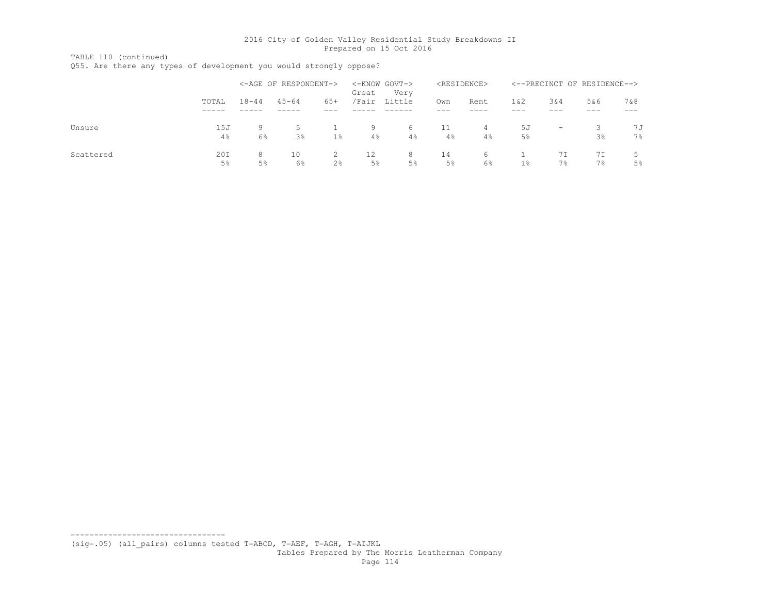TABLE 110 (continued)

Q55. Are there any types of development you would strongly oppose?

|           |       |           | <-AGE OF RESPONDENT-> |                | Great | <-KNOW GOVT-><br>Very |       | <residence></residence> |       |                          | <--PRECINCT OF RESIDENCE--> |     |
|-----------|-------|-----------|-----------------------|----------------|-------|-----------------------|-------|-------------------------|-------|--------------------------|-----------------------------|-----|
|           | TOTAL | $18 - 44$ | $45 - 64$             | $65+$          | /Fair | Little                | Own   | Rent                    | 1 & 2 | 3&4                      | 5&6                         | 7&8 |
|           |       |           |                       |                |       |                       |       |                         |       |                          |                             |     |
| Unsure    | 15J   | 9.        |                       |                | 9     | 6                     | 11    | 4                       | 5J    | $\overline{\phantom{0}}$ |                             | 7J  |
|           | 4%    | 6%        | $3\%$                 | $1\%$          | $4\%$ | 4%                    | 4%    | 4%                      | 5%    |                          | 3%                          | 7%  |
| Scattered | 20I   | 8         | 10                    |                | 12    | 8                     | 14    | 6                       |       | 7 I                      |                             |     |
|           | 5%    | 5%        | 6%                    | 2 <sup>°</sup> | 5%    | $5\%$                 | $5\%$ | 6%                      | $1\%$ | 7%                       | $7\%$                       | 5%  |

--------------------------------- (sig=.05) (all\_pairs) columns tested T=ABCD, T=AEF, T=AGH, T=AIJKL Tables Prepared by The Morris Leatherman Company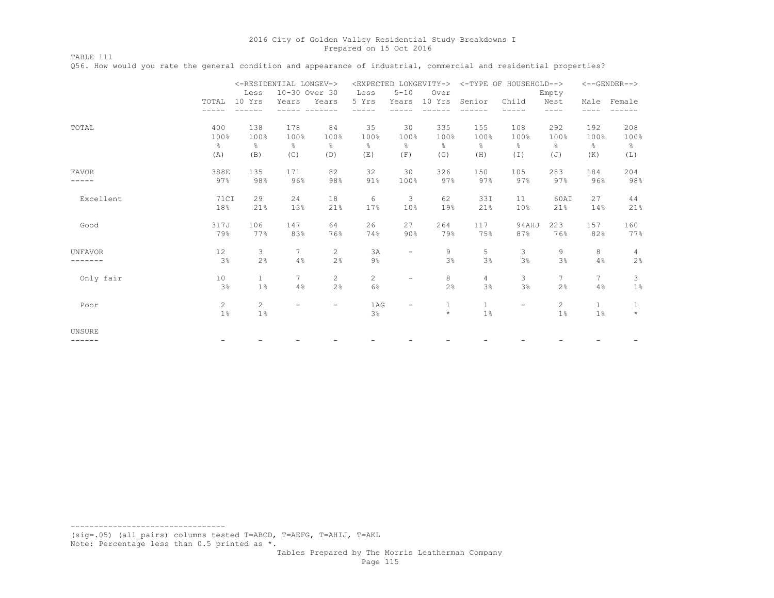TABLE 111

Q56. How would you rate the general condition and appearance of industrial, commercial and residential properties?

|                  |                                     | <-RESIDENTIAL LONGEV-><br>Less | 10-30 Over 30                       |                                    | <expected longevity-=""><br/>Less</expected> | $5 - 10$                           | Over                                |                         | <-TYPE OF HOUSEHOLD-->              | Empty                               |                                     | <--GENDER-->                        |
|------------------|-------------------------------------|--------------------------------|-------------------------------------|------------------------------------|----------------------------------------------|------------------------------------|-------------------------------------|-------------------------|-------------------------------------|-------------------------------------|-------------------------------------|-------------------------------------|
|                  | TOTAL                               | 10 Yrs                         | Years                               | Years                              | 5 Yrs                                        | Years                              | 10 Yrs                              | Senior                  | Child                               | Nest<br>----                        | Male                                | Female                              |
| TOTAL            | 400<br>100%<br>$\frac{6}{5}$<br>(A) | 138<br>100%<br>⊱<br>(B)        | 178<br>100%<br>$\frac{6}{6}$<br>(C) | 84<br>100%<br>$\frac{6}{6}$<br>(D) | 35<br>100%<br>$\frac{6}{5}$<br>(E)           | 30<br>100%<br>$\frac{6}{6}$<br>(F) | 335<br>100%<br>$\frac{6}{6}$<br>(G) | 155<br>100%<br>옹<br>(H) | 108<br>100%<br>$\frac{6}{6}$<br>(I) | 292<br>100%<br>$\frac{6}{6}$<br>(J) | 192<br>100%<br>$\frac{6}{6}$<br>(K) | 208<br>100%<br>$\frac{6}{6}$<br>(L) |
| <b>FAVOR</b>     | 388E<br>97%                         | 135<br>98%                     | 171<br>96%                          | 82<br>98%                          | 32<br>91%                                    | 30<br>100%                         | 326<br>97%                          | 150<br>97%              | 105<br>97%                          | 283<br>97%                          | 184<br>96%                          | 204<br>98%                          |
| Excellent        | 71CI<br>18%                         | 29<br>21%                      | 24<br>13%                           | 18<br>21%                          | 6<br>17%                                     | 3<br>10%                           | 62<br>19%                           | 33I<br>21%              | 11<br>10%                           | 60AI<br>21%                         | 27<br>14%                           | 44<br>21%                           |
| Good             | 317J<br>79%                         | 106<br>77%                     | 147<br>83%                          | 64<br>76%                          | 26<br>74%                                    | 27<br>90%                          | 264<br>79%                          | 117<br>75%              | 94AHJ<br>87%                        | 223<br>76%                          | 157<br>82%                          | 160<br>77%                          |
| <b>UNFAVOR</b>   | 12<br>3%                            | 3<br>$2\frac{6}{6}$            | 7<br>4%                             | 2<br>2%                            | 3A<br>$9\,$                                  | $\overline{\phantom{m}}$           | 9<br>3%                             | 5<br>3%                 | 3<br>3%                             | 9<br>3%                             | 8<br>4%                             | 4<br>2%                             |
| Only fair        | 10<br>3%                            | $\mathbf{1}$<br>$1\%$          | $7^{\circ}$<br>4%                   | $\mathbf{2}^{\prime}$<br>2%        | $\mathbf{2}^{\prime}$<br>6%                  | $\overline{\phantom{0}}$           | 8<br>2%                             | $\overline{4}$<br>3%    | 3<br>3%                             | 7<br>2%                             | $\tau$<br>4%                        | 3<br>$1\%$                          |
| Poor             | 2<br>1%                             | $\mathbf{2}^{\prime}$<br>$1\%$ | $\overline{\phantom{0}}$            | $\overline{\phantom{0}}$           | 1AG<br>3%                                    | $\overline{\phantom{m}}$           | 1<br>$\star$                        | $\mathbf{1}$<br>$1\%$   | $\overline{\phantom{m}}$            | $\mathbf{2}^{\prime}$<br>$1\%$      | $\mathbf{1}$<br>1%                  | $\mathbf{1}$<br>$\star$             |
| UNSURE<br>------ |                                     |                                |                                     |                                    |                                              |                                    |                                     |                         |                                     |                                     |                                     |                                     |
|                  |                                     |                                |                                     |                                    |                                              |                                    |                                     |                         |                                     |                                     |                                     |                                     |

--------------------------------- (sig=.05) (all\_pairs) columns tested T=ABCD, T=AEFG, T=AHIJ, T=AKL Note: Percentage less than 0.5 printed as \*.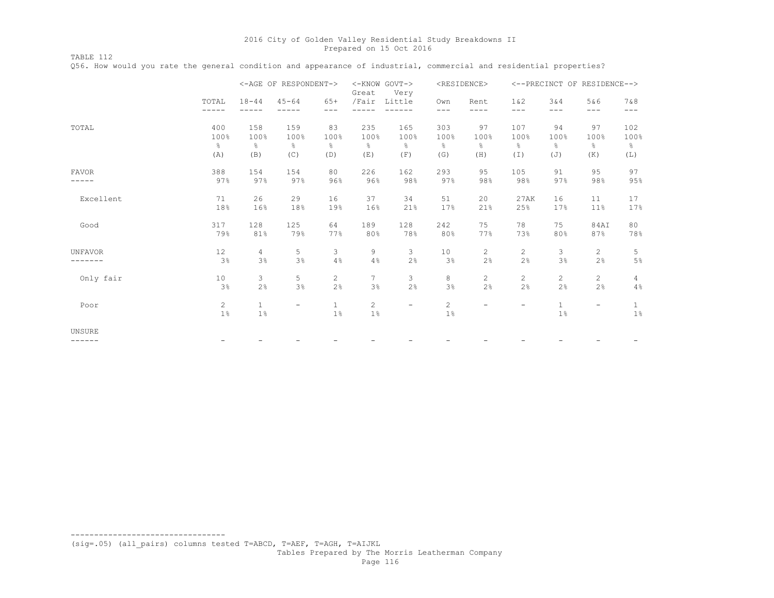TABLE 112

Q56. How would you rate the general condition and appearance of industrial, commercial and residential properties?

|                  |                       |                    | <-AGE OF RESPONDENT->    |                       | <-KNOW GOVT-><br>Great | Very   |                    | <residence></residence> |                       |                       | <--PRECINCT OF RESIDENCE--> |                       |
|------------------|-----------------------|--------------------|--------------------------|-----------------------|------------------------|--------|--------------------|-------------------------|-----------------------|-----------------------|-----------------------------|-----------------------|
|                  | TOTAL<br>-----        | $18 - 44$          | $45 - 64$                | $65+$<br>$---$        | /Fair                  | Little | Own<br>$---$       | Rent<br>----            | 1 & 2<br>$---$        | 3&4<br>$---$          | 5&6<br>---                  | 7 & 8<br>$---$        |
| TOTAL            | 400                   | 158                | 159                      | 83                    | 235                    | 165    | 303                | 97                      | 107                   | 94                    | 97                          | 102                   |
|                  | 100%                  | 100%               | 100%                     | 100%                  | 100%                   | 100%   | 100%               | 100%                    | 100%                  | 100%                  | 100%                        | 100%                  |
|                  | g.                    | g.                 | $\frac{6}{6}$            | $\frac{6}{6}$         | $\frac{6}{6}$          | ိင     | $\frac{6}{6}$      | $\frac{6}{6}$           | $\frac{6}{6}$         | $\frac{6}{5}$         | g.                          | 옹                     |
|                  | (A)                   | (B)                | (C)                      | (D)                   | (E)                    | (F)    | (G)                | (H)                     | $(\top)$              | (J)                   | (K)                         | (L)                   |
| <b>FAVOR</b>     | 388                   | 154                | 154                      | 80                    | 226                    | 162    | 293                | 95                      | 105                   | 91                    | 95                          | 97                    |
|                  | 97%                   | 97%                | 97%                      | 96%                   | 96%                    | 98%    | 97%                | 98%                     | 98%                   | 97%                   | 98%                         | 95%                   |
| Excellent        | 71                    | 26                 | 29                       | 16                    | 37                     | 34     | 51                 | 20                      | 27AK                  | 16                    | 11                          | 17                    |
|                  | 18%                   | 16%                | 18%                      | 19%                   | 16%                    | 21%    | 17%                | 21%                     | 25%                   | 17%                   | 11%                         | 17%                   |
| Good             | 317                   | 128                | 125                      | 64                    | 189                    | 128    | 242                | 75                      | 78                    | 75                    | 84AI                        | 80                    |
|                  | 79%                   | 81%                | 79%                      | 77%                   | 80%                    | 78%    | 80%                | 77%                     | 73%                   | 80%                   | 87%                         | 78%                   |
| <b>UNFAVOR</b>   | 12                    | 4                  | 5                        | 3                     | 9                      | 3      | 10                 | 2                       | $\mathbf{2}^{\prime}$ | 3                     | $\overline{2}$              | 5                     |
|                  | 3%                    | 3%                 | 3%                       | 4%                    | 4%                     | 2%     | 3%                 | 2%                      | 2%                    | 3%                    | 2%                          | 5%                    |
| Only fair        | 10                    | 3                  | 5                        | $\overline{2}$        | 7                      | 3      | 8                  | $\overline{c}$          | $\overline{2}$        | $\overline{c}$        | $\mathbf{2}$                | $\overline{4}$        |
|                  | 3%                    | 2%                 | 3%                       | 2%                    | 3%                     | 2%     | $3\frac{6}{6}$     | 2%                      | 2%                    | 2%                    | 2%                          | 4%                    |
| Poor             | $\mathbf{2}$<br>$1\%$ | $\mathbf{1}$<br>1% | $\overline{\phantom{0}}$ | $\mathbf{1}$<br>$1\%$ | $\overline{c}$<br>1%   | $-$    | $\mathbf{2}$<br>1% | $-$                     | -                     | $\mathbf{1}$<br>$1\%$ | $\overline{\phantom{a}}$    | $\mathbf{1}$<br>$1\%$ |
| UNSURE<br>------ |                       |                    |                          |                       |                        |        |                    |                         |                       |                       |                             |                       |

--------------------------------- (sig=.05) (all\_pairs) columns tested T=ABCD, T=AEF, T=AGH, T=AIJKL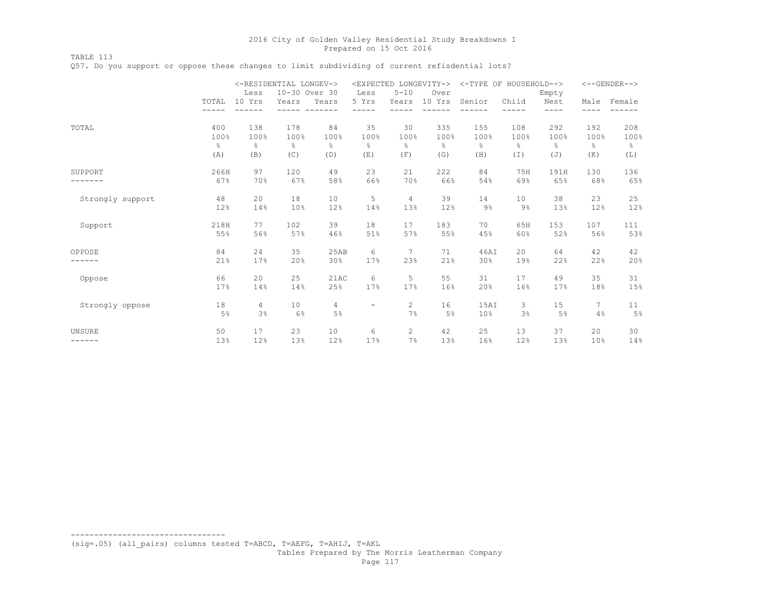TABLE 113

Q57. Do you support or oppose these changes to limit subdividing of current refisdential lots?

|                  |               |                | <-RESIDENTIAL LONGEV-> |                      |                   | <expected longevity-=""></expected> |                |             | <-TYPE OF HOUSEHOLD--> |                       |                       | $<-$ -GENDER--> |
|------------------|---------------|----------------|------------------------|----------------------|-------------------|-------------------------------------|----------------|-------------|------------------------|-----------------------|-----------------------|-----------------|
|                  | TOTAL         | Less<br>10 Yrs | 10-30 Over 30<br>Years | Years                | Less<br>5 Yrs     | $5 - 10$<br>Years                   | Over<br>10 Yrs | Senior      | Child                  | Empty<br>Nest<br>---- | Male<br>----          | Female          |
| TOTAL            | 400           | 138            | 178                    | 84                   | 35                | 30                                  | 335            | 155         | 108                    | 292                   | 192                   | 208             |
|                  | 100%          | 100%           | 100%                   | 100%                 | 100%              | 100%                                | 100%           | 100%        | 100%                   | 100%                  | 100%                  | 100%            |
|                  | $\frac{6}{6}$ | g.             | $\frac{6}{6}$          | 옹                    | $\frac{6}{6}$     | g.                                  | g.             | 옹           | $\frac{6}{6}$          | 옹                     | g.                    | $\frac{6}{6}$   |
|                  | (A)           | (B)            | (C)                    | (D)                  | (E)               | (F)                                 | (G)            | (H)         | (I)                    | (J)                   | (K)                   | (L)             |
| SUPPORT          | 266H          | 97             | 120                    | 49                   | 23                | 21                                  | 222            | 84          | 75H                    | 191H                  | 130                   | 136             |
|                  | 67%           | 70%            | 67%                    | 58%                  | 66%               | 70%                                 | 66%            | 54%         | 69%                    | 65%                   | 68%                   | 65%             |
| Strongly support | 48            | 20             | 18                     | 10                   | 5                 | $\overline{4}$                      | 39             | 14          | 10                     | 38                    | 23                    | 25              |
|                  | 12%           | 14%            | 10%                    | 12%                  | 14%               | 13%                                 | 12%            | $9\%$       | $9\%$                  | 13%                   | 12%                   | 12%             |
| Support          | 218H          | 77             | 102                    | 39                   | 18                | 17                                  | 183            | 70          | 65H                    | 153                   | 107                   | 111             |
|                  | 55%           | 56%            | 57%                    | 46%                  | 51%               | 57%                                 | 55%            | 45%         | 60%                    | 52%                   | 56%                   | 53%             |
| OPPOSE           | 84            | 24             | 35                     | 25AB                 | 6                 | 7                                   | 71             | 46AI        | 20                     | 64                    | 42                    | 42              |
|                  | 21%           | 17%            | 20%                    | 30%                  | 17%               | 23%                                 | 21%            | 30%         | 19%                    | 22%                   | 22%                   | 20%             |
| Oppose           | 66            | 20             | 25                     | 21AC                 | 6                 | 5                                   | 55             | 31          | 17                     | 49                    | 35                    | 31              |
|                  | 17%           | 14%            | 14%                    | 25%                  | 17%               | 17%                                 | 16%            | 20%         | 16%                    | 17%                   | 18%                   | 15%             |
| Strongly oppose  | 18<br>5%      | 4<br>3%        | 10<br>6%               | $\overline{4}$<br>5% | $\qquad \qquad -$ | $\mathbf{2}$<br>7%                  | 16<br>5%       | 15AI<br>10% | 3<br>3%                | 15<br>5%              | $7\phantom{.0}$<br>4% | 11<br>5%        |
| UNSURE           | 50            | 17             | 23                     | 10                   | 6                 | $\overline{c}$                      | 42             | 25          | 13                     | 37                    | 20                    | 30              |
|                  | 13%           | 12%            | 13%                    | 12%                  | 17%               | 7%                                  | 13%            | 16%         | 12%                    | 13%                   | 10%                   | 14%             |

(sig=.05) (all\_pairs) columns tested T=ABCD, T=AEFG, T=AHIJ, T=AKL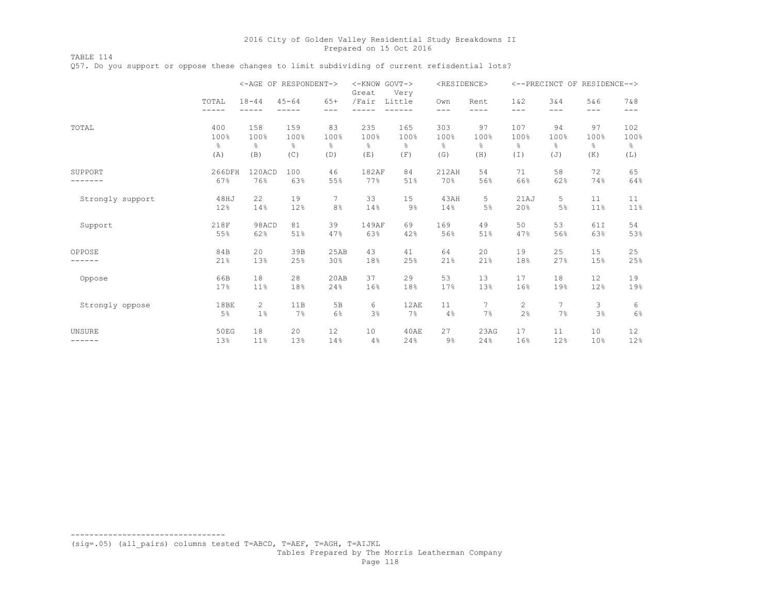TABLE 114 Q57. Do you support or oppose these changes to limit subdividing of current refisdential lots?

|                  |                    | <-AGE OF RESPONDENT-> |               |                | <-KNOW GOVT-><br>Great | Very   | <residence></residence> |               |                |               | <--PRECINCT OF RESIDENCE--> |                |
|------------------|--------------------|-----------------------|---------------|----------------|------------------------|--------|-------------------------|---------------|----------------|---------------|-----------------------------|----------------|
|                  | TOTAL<br>$------$  | $18 - 44$<br>-----    | $45 - 64$     | $65+$<br>---   | /Fair                  | Little | Own<br>---              | Rent<br>----  | 1 & 2<br>$---$ | 3&4<br>$---$  | 5&6<br>---                  | 7 & 8<br>$---$ |
| TOTAL            | 400                | 158                   | 159           | 83             | 235                    | 165    | 303                     | 97            | 107            | 94            | 97                          | 102            |
|                  | $100$ <sup>8</sup> | 100%                  | 100%          | 100%           | 100%                   | 100%   | 100%                    | 100%          | 100%           | 100%          | 100%                        | 100%           |
|                  | $\frac{6}{5}$      | g.                    | $\frac{6}{6}$ | $\frac{6}{6}$  | g.                     | g.     | g.                      | $\frac{6}{6}$ | 옹              | $\frac{6}{5}$ | g.                          | $\frac{6}{6}$  |
|                  | (A)                | (B)                   | (C)           | (D)            | (E)                    | (F)    | (G)                     | (H)           | (I)            | (J)           | (K)                         | (L)            |
| SUPPORT          | 266DFH             | 120ACD                | 100           | 46             | 182AF                  | 84     | 212AH                   | 54            | 71             | 58            | 72                          | 65             |
|                  | 67%                | 76%                   | 63%           | 55%            | 77%                    | 51%    | 70%                     | 56%           | 66%            | 62%           | 74%                         | 64%            |
| Strongly support | 48HJ               | 22                    | 19            | 7              | 33                     | 15     | 43AH                    | 5             | 21AJ           | 5             | 11                          | 11             |
|                  | 12%                | 14%                   | 12%           | 8 <sup>°</sup> | 14%                    | $9\%$  | 14%                     | 5%            | 20%            | 5%            | 11%                         | 11%            |
| Support          | 218F               | 98ACD                 | 81            | 39             | 149AF                  | 69     | 169                     | 49            | 50             | 53            | 61I                         | 54             |
|                  | 55%                | 62%                   | 51%           | 47%            | 63%                    | 42%    | 56%                     | 51%           | 47%            | 56%           | 63%                         | 53%            |
| OPPOSE           | 84B                | 20                    | 39B           | 25AB           | 43                     | 41     | 64                      | 20            | 19             | 25            | 15                          | 25             |
|                  | 21%                | 13%                   | 25%           | 30%            | 18%                    | 25%    | 21%                     | 21%           | 18%            | 27%           | 15%                         | 25%            |
| Oppose           | 66B                | 18                    | 28            | 20AB           | 37                     | 29     | 53                      | 13            | 17             | 18            | 12                          | 19             |
|                  | 17%                | 11%                   | 18%           | 24%            | 16%                    | 18%    | 17%                     | 13%           | 16%            | 19%           | 12%                         | 19%            |
| Strongly oppose  | 18BE               | $\overline{2}$        | 11B           | 5 <sub>B</sub> | 6                      | 12AE   | 11                      | 7             | $\overline{c}$ | 7             | 3                           | 6              |
|                  | 5%                 | 1 <sup>°</sup>        | 7%            | 6%             | 3%                     | 7%     | 4%                      | 7%            | 2%             | 7%            | 3%                          | 6%             |
| <b>UNSURE</b>    | 50EG               | 18                    | 20            | 12             | 10                     | 40AE   | 27                      | 23AG          | 17             | 11            | 10                          | 12             |
| ------           | 13%                | 11%                   | 13%           | 14%            | 4%                     | 24%    | 9%                      | 24%           | 16%            | 12%           | 10%                         | 12%            |

(sig=.05) (all\_pairs) columns tested T=ABCD, T=AEF, T=AGH, T=AIJKL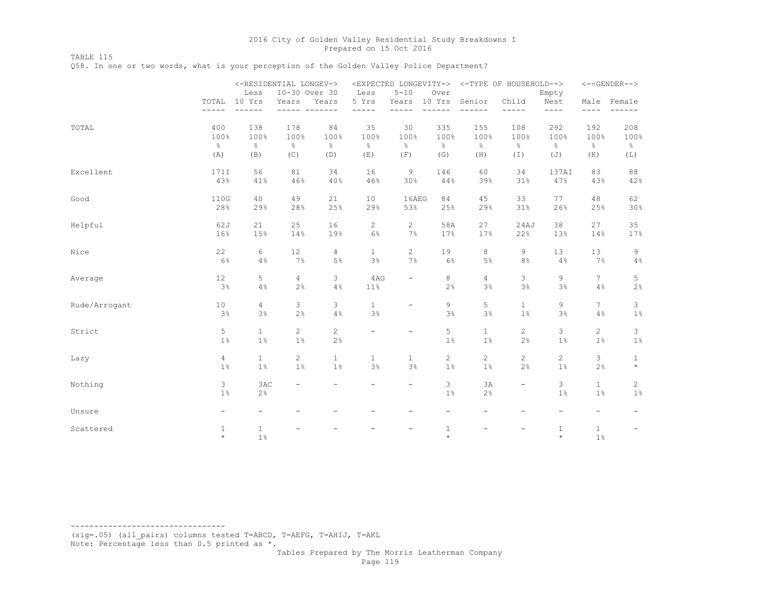TABLE 115

Q58. In one or two words, what is your perception of the Golden Valley Police Department?

|               | <-RESIDENTIAL LONGEV-><br>10-30 Over 30<br>Less |                              |                                                |                       | Less                             | $5 - 10$                     | Over                         |                                | <expected longevity-=""> &lt;-TYPE OF HOUSEHOLD--&gt;</expected> | Empty                                |                              | $<-$ -GENDER-->              |
|---------------|-------------------------------------------------|------------------------------|------------------------------------------------|-----------------------|----------------------------------|------------------------------|------------------------------|--------------------------------|------------------------------------------------------------------|--------------------------------------|------------------------------|------------------------------|
|               |                                                 | TOTAL 10 Yrs                 | Years                                          | Years                 | 5 Yrs                            | Years                        | 10 Yrs                       | Senior                         | Child<br>-----                                                   | Nest<br>$- - - -$                    | Male<br>$---$                | Female                       |
| TOTAL         | 400<br>100%<br>$\%$                             | 138<br>100%<br>$\frac{6}{6}$ | 178<br>100%<br>$\frac{\mathsf{O}}{\mathsf{O}}$ | 84<br>100%<br>$\%$    | 35<br>100%<br>$\frac{\infty}{6}$ | 30<br>100%<br>$\,$ $\,$ $\,$ | 335<br>100%<br>$\frac{6}{6}$ | 155<br>100%<br>$\,$ $\,$ $\,$  | 108<br>100%<br>$\frac{\circ}{6}$                                 | 292<br>100%<br>$\frac{\circ}{\circ}$ | 192<br>100%<br>$\frac{6}{6}$ | 208<br>100%<br>$\frac{6}{6}$ |
|               | (A)                                             | (B)                          | (C)                                            | (D)                   | (E)                              | (F)                          | (G)                          | (H)                            | (I)                                                              | (J)                                  | (K)                          | (L)                          |
| Excellent     | 171I<br>43%                                     | 56<br>41%                    | 81<br>46%                                      | 34<br>40%             | 16<br>46%                        | 9<br>30%                     | 146<br>44%                   | 60<br>39%                      | 34<br>31%                                                        | 137AI<br>47%                         | 83<br>43%                    | 88<br>42%                    |
| Good          | 110G<br>28%                                     | 40<br>29%                    | 49<br>28%                                      | 21<br>25%             | 10<br>29%                        | 16AEG<br>53%                 | 84<br>25%                    | 45<br>29%                      | 33<br>31%                                                        | 77<br>26%                            | 48<br>25%                    | 62<br>30%                    |
| Helpful       | 62J<br>16%                                      | 21<br>15%                    | 25<br>14%                                      | 16<br>19%             | $\mathbf{2}^{\prime}$<br>6%      | $\mathbf{2}$<br>7%           | 58A<br>17%                   | 27<br>17%                      | 24AJ<br>22%                                                      | 38<br>13%                            | 27<br>14%                    | 35<br>17%                    |
| Nice          | 22<br>6%                                        | 6<br>4%                      | 12<br>7%                                       | $\overline{4}$<br>5%  | $\mathbf{1}$<br>3%               | $\mathbf{2}$<br>7%           | 19<br>6%                     | 8<br>5%                        | 9<br>8%                                                          | 13<br>4%                             | 13<br>7%                     | 9<br>4%                      |
| Average       | 12<br>3%                                        | 5<br>4%                      | $\overline{4}$<br>2%                           | 3<br>4%               | 4AG<br>11%                       | $\overline{\phantom{a}}$     | 8<br>2%                      | $\overline{4}$<br>3%           | 3<br>3%                                                          | 9<br>3%                              | $7\overline{ }$<br>4%        | 5<br>2%                      |
| Rude/Arrogant | 10<br>3%                                        | 4<br>3%                      | 3<br>2%                                        | 3<br>4%               | $\mathbf{1}$<br>3%               | ÷,                           | 9<br>3%                      | 5<br>3%                        | $\mathbf{1}$<br>$1\%$                                            | 9<br>3%                              | $7\overline{ }$<br>4%        | 3<br>$1\%$                   |
| Strict        | 5<br>$1\%$                                      | $\mathbf{1}$<br>$1\%$        | $\mathbf{2}$<br>$1\%$                          | $\overline{c}$<br>2%  | $\overline{\phantom{0}}$         |                              | 5<br>$1\%$                   | $\mathbf{1}$<br>1%             | $\mathbf{2}$<br>2%                                               | 3<br>$1\%$                           | $\overline{c}$<br>$1\%$      | $\mathfrak{Z}$<br>$1\%$      |
| Lazy          | $\overline{4}$<br>$1\%$                         | $\mathbf{1}$<br>$1\%$        | $\mathbf{2}^{\prime}$<br>$1\%$                 | $\mathbf{1}$<br>$1\%$ | $\mathbf{1}$<br>3%               | $\mathbf{1}$<br>3%           | $\overline{2}$<br>$1\%$      | $\mathbf{2}^{\prime}$<br>$1\%$ | $\mathbf{2}^{\circ}$<br>2%                                       | $\mathbf{2}^{\prime}$<br>$1\%$       | 3<br>2%                      | $\mathbf{1}$<br>$\star$      |
| Nothing       | 3<br>$1\%$                                      | 3AC<br>$2\frac{6}{6}$        | $\overline{\phantom{0}}$                       |                       | $\overline{\phantom{0}}$         | $\overline{\phantom{a}}$     | 3<br>$1\%$                   | 3A<br>2%                       | $\overline{\phantom{a}}$                                         | 3<br>$1\%$                           | $\mathbf{1}$<br>1%           | $\mathbf{2}^{\circ}$<br>1%   |
| Unsure        | $\overline{\phantom{0}}$                        | $\overline{\phantom{0}}$     |                                                |                       |                                  | -                            | $\overline{\phantom{m}}$     | -                              | -                                                                | $\qquad \qquad -$                    | $\overline{\phantom{a}}$     | -                            |
| Scattered     | $\mathbf{1}$<br>$\star$                         | $\mathbf{1}$<br>$1\%$        |                                                |                       |                                  |                              | $\mathbf{1}$<br>$\star$      |                                |                                                                  | $\mathbf{1}$<br>$\star$              | $\mathbf{1}$<br>$1\%$        |                              |

--------------------------------- (sig=.05) (all\_pairs) columns tested T=ABCD, T=AEFG, T=AHIJ, T=AKL Note: Percentage less than 0.5 printed as \*.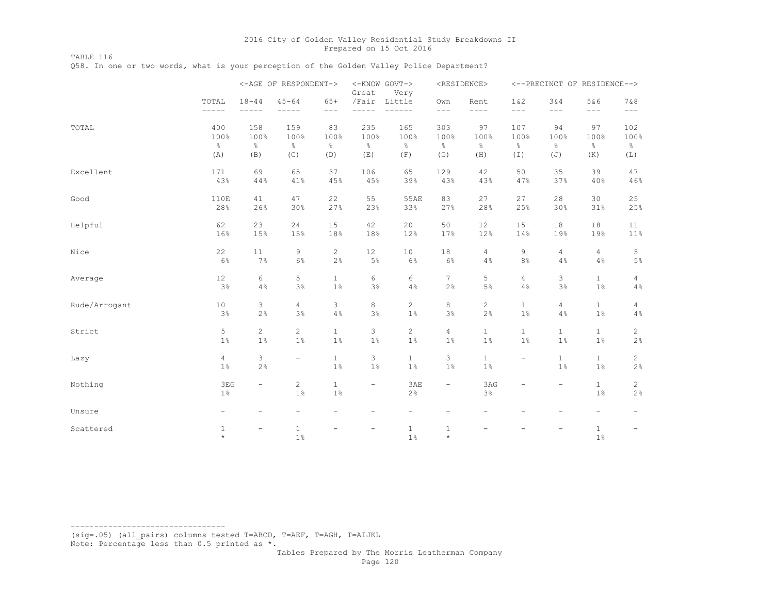TABLE 116 Q58. In one or two words, what is your perception of the Golden Valley Police Department?

|               |                          |                          | <-AGE OF RESPONDENT->       |                          | <-KNOW GOVT-><br>Great   | Very                  |                          | <residence></residence> |                          | <--PRECINCT OF RESIDENCE--> |                          |                          |
|---------------|--------------------------|--------------------------|-----------------------------|--------------------------|--------------------------|-----------------------|--------------------------|-------------------------|--------------------------|-----------------------------|--------------------------|--------------------------|
|               | TOTAL                    | $18 - 44$                | $45 - 64$                   | $65+$                    | /Fair                    | Little                | Own                      | Rent                    | 1 & 2                    | 3 & 4                       | 5&6                      | 7 & 8                    |
|               | $- - - - -$              | $- - - - -$              | $- -$                       | $- - -$                  | -----                    | $- - - - -$           | $- - -$                  | $- - - -$               | $- - -$                  | $---$                       | $---$                    | $---$                    |
| TOTAL         | 400                      | 158                      | 159                         | 83                       | 235                      | 165                   | 303                      | 97                      | 107                      | 94                          | 97                       | 102                      |
|               | 100%                     | 100%                     | 100%                        | 100%                     | 100%                     | 100%                  | 100%                     | 100%                    | 100%                     | 100%                        | 100%                     | 100%                     |
|               | $\frac{6}{6}$            | $\frac{6}{6}$            | $\frac{\circ}{6}$           | $\%$                     | $\frac{\infty}{6}$       | $\frac{\circ}{6}$     | $\frac{6}{6}$            | $\frac{\infty}{6}$      | $\%$                     | $\%$                        | $\frac{6}{6}$            | $\frac{6}{6}$            |
|               | (A)                      | (B)                      | (C)                         | (D)                      | (E)                      | (F)                   | (G)                      | (H)                     | $(\top)$                 | (J)                         | (K)                      | (L)                      |
| Excellent     | 171                      | 69                       | 65                          | 37                       | 106                      | 65                    | 129                      | 42                      | 50                       | 35                          | 39                       | 47                       |
|               | 43%                      | 44%                      | 41%                         | 45%                      | 45%                      | 39%                   | 43%                      | 43%                     | 47%                      | 37%                         | 40%                      | 46%                      |
| Good          | 110E                     | 41                       | 47                          | 22                       | 55                       | 55AE                  | 83                       | 27                      | 27                       | 28                          | 30                       | 25                       |
|               | 28%                      | 26%                      | 30%                         | 27%                      | 23%                      | 33%                   | 27%                      | 28%                     | 25%                      | 30%                         | 31%                      | 25%                      |
| Helpful       | 62                       | 23                       | 24                          | 15                       | 42                       | 20                    | 50                       | 12                      | 15                       | 18                          | 18                       | 11                       |
|               | 16%                      | 15%                      | 15%                         | 18%                      | 18%                      | 12%                   | 17%                      | 12%                     | 14%                      | 19%                         | 19%                      | 11%                      |
| Nice          | 22                       | 11                       | 9                           | $\overline{c}$           | 12                       | 10                    | 18                       | 4                       | 9                        | 4                           | 4                        | 5                        |
|               | 6%                       | 7%                       | $6\%$                       | 2%                       | 5%                       | 6%                    | 6%                       | 4%                      | 8%                       | 4%                          | 4%                       | $5\,$                    |
| Average       | 12                       | 6                        | 5                           | $\mathbf{1}$             | 6                        | 6                     | 7                        | 5                       | 4                        | 3                           | $\mathbf{1}$             | $\overline{4}$           |
|               | 3%                       | 4%                       | 3%                          | $1\%$                    | 3%                       | 4%                    | 2%                       | 5%                      | 4%                       | 3%                          | 1%                       | 4%                       |
| Rude/Arrogant | $10$                     | 3                        | $\overline{4}$              | 3                        | 8                        | $\overline{c}$        | 8                        | $\overline{c}$          | $\mathbf{1}$             | $\overline{4}$              | $\mathbf{1}$             | $\overline{4}$           |
|               | 3%                       | 2%                       | $3\frac{6}{6}$              | 4%                       | 3%                       | $1\%$                 | 3%                       | 2%                      | $1\%$                    | 4%                          | $1\%$                    | 4%                       |
| Strict        | 5                        | $\overline{2}$           | $\mathbf{2}^{\prime}$       | $\mathbf{1}$             | 3                        | $\mathbf{2}$          | $\overline{4}$           | $\mathbf{1}$            | $\mathbf{1}$             | $\mathbf{1}$                | $\mathbf{1}$             | $\overline{c}$           |
|               | 1%                       | $1\,$ %                  | $1\%$                       | $1\%$                    | 1%                       | $1\%$                 | $1\%$                    | $1\%$                   | $1\%$                    | $1\%$                       | 1%                       | 2%                       |
| Lazy          | $\overline{4}$<br>1%     | 3<br>2%                  | $\overline{\phantom{0}}$    | $\mathbf{1}$<br>$1\%$    | 3<br>$1\%$               | $\mathbf{1}$<br>1%    | 3<br>1%                  | $\mathbf{1}$<br>1%      | $\overline{\phantom{0}}$ | $\mathbf{1}$<br>1%          | $\mathbf{1}$<br>1%       | $\mathbf{2}$<br>$2\,$    |
| Nothing       | 3EG<br>$1\%$             | ÷                        | $\mathbf{2}^{\prime}$<br>1% | $\mathbf{1}$<br>$1\%$    | $\overline{\phantom{a}}$ | 3AE<br>2%             | $\overline{\phantom{a}}$ | 3AG<br>3%               | $\overline{\phantom{m}}$ | $\overline{\phantom{a}}$    | $\mathbf{1}$<br>1%       | $\mathbf{2}$<br>2%       |
| Unsure        | $\overline{\phantom{a}}$ | $\overline{\phantom{0}}$ | -                           | $\overline{\phantom{m}}$ | ۳                        | -                     | $\overline{\phantom{m}}$ | ÷,                      |                          |                             | $\overline{\phantom{m}}$ | $\overline{\phantom{0}}$ |
| Scattered     | 1<br>$\star$             |                          | $\mathbf{1}$<br>1%          |                          |                          | $\mathbf{1}$<br>$1\%$ | $\mathbf{1}$<br>$\star$  |                         |                          |                             | $\mathbf{1}$<br>$1\%$    |                          |

--------------------------------- (sig=.05) (all\_pairs) columns tested T=ABCD, T=AEF, T=AGH, T=AIJKL

Note: Percentage less than 0.5 printed as \*.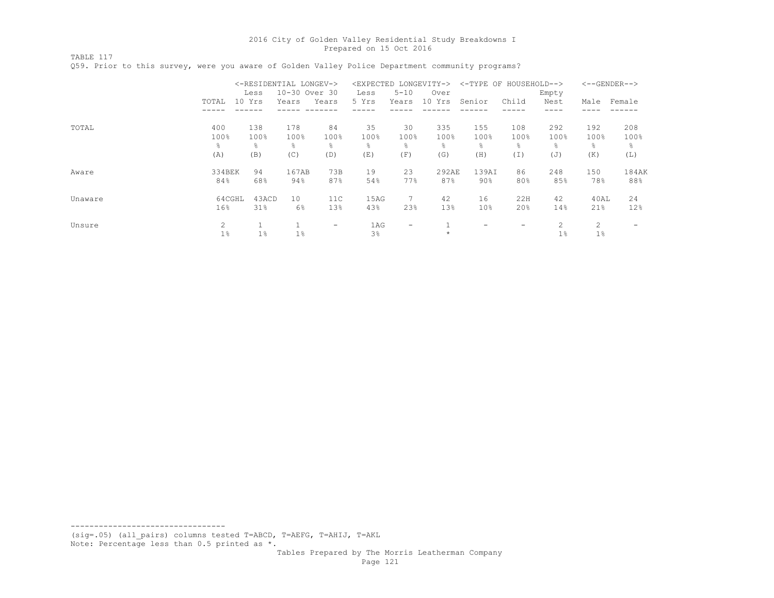TABLE 117

|         |           |        | <-RESIDENTIAL LONGEV-> |                          | <expected< th=""><th></th><th>LONGEVITY-&gt;</th><th>&lt;-TYPE OF HOUSEHOLD--&gt;</th><th></th><th></th><th></th><th><math>&lt;-</math>-GENDER--&gt;</th></expected<> |           | LONGEVITY-> | <-TYPE OF HOUSEHOLD--> |       |       |      | $<-$ -GENDER--> |
|---------|-----------|--------|------------------------|--------------------------|-----------------------------------------------------------------------------------------------------------------------------------------------------------------------|-----------|-------------|------------------------|-------|-------|------|-----------------|
|         |           | Less   | 10-30 Over 30          |                          | Less                                                                                                                                                                  | $5 - 10$  | Over        |                        |       | Empty |      |                 |
|         | TOTAL     | 10 Yrs | Years                  | Years                    | 5 Yrs                                                                                                                                                                 | Years     | 10 Yrs      | Senior                 | Child | Nest  | Male | Female          |
|         |           |        |                        |                          |                                                                                                                                                                       |           |             |                        |       |       |      |                 |
| TOTAL   | 400       | 138    | 178                    | 84                       | 35                                                                                                                                                                    | 30        | 335         | 155                    | 108   | 292   | 192  | 208             |
|         | 100%      | 100%   | 100%                   | 100%                     | 100%                                                                                                                                                                  | 100%      | 100%        | 100%                   | 100%  | 100%  | 100% | 100%            |
|         | $\approx$ | 욲      | ⊱                      | 욲                        | $\frac{6}{10}$                                                                                                                                                        | $\approx$ | 옹           | $\frac{6}{10}$         | နွ    | ⊱     | ⊱    | g.              |
|         | (A)       | (B)    | (C)                    | (D)                      | (E)                                                                                                                                                                   | (F)       | (G)         | (H)                    | (I)   | (J)   | (K)  | (L)             |
| Aware   | 334BEK    | 94     | 167AB                  | 73B                      | 19                                                                                                                                                                    | 23        | 292AE       | 139AI                  | 86    | 248   | 150  | 184AK           |
|         | 84%       | 68%    | 94%                    | 87%                      | 54%                                                                                                                                                                   | 77%       | 87%         | 90%                    | 80%   | 85%   | 78%  | 88%             |
| Unaware | 64CGHL    | 43ACD  | 10                     | 11C                      | 15AG                                                                                                                                                                  | 7         | 42          | 16                     | 22H   | 42    | 40AL | 24              |
|         | 16%       | 31%    | 6%                     | 13%                      | 43%                                                                                                                                                                   | 23%       | 13%         | 10%                    | 20%   | 14%   | 21%  | 12%             |
| Unsure  | 2         |        |                        | $\overline{\phantom{a}}$ | 1AG                                                                                                                                                                   | -         |             |                        |       | 2     | 2    |                 |
|         | $1\%$     | $1\%$  | $1\%$                  |                          | 3%                                                                                                                                                                    |           | $\star$     |                        |       | $1\%$ | 1%   |                 |

Q59. Prior to this survey, were you aware of Golden Valley Police Department community programs?

(sig=.05) (all\_pairs) columns tested T=ABCD, T=AEFG, T=AHIJ, T=AKL Note: Percentage less than 0.5 printed as \*.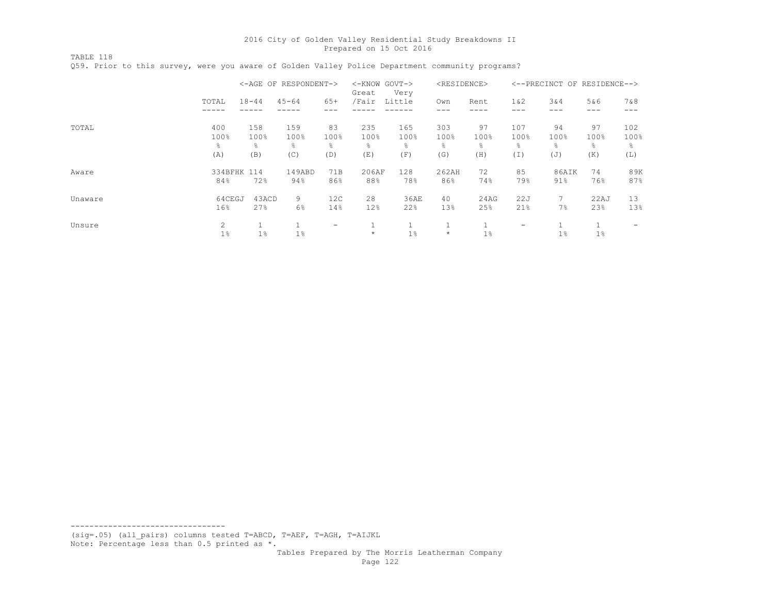TABLE 118 Q59. Prior to this survey, were you aware of Golden Valley Police Department community programs?

|         |                         |                         | <-AGE OF RESPONDENT->    |                        | <-KNOW GOVT-><br>Great  | Very                    | <residence></residence>  |                         |                         | <--PRECINCT OF RESIDENCE--> |                         |                         |
|---------|-------------------------|-------------------------|--------------------------|------------------------|-------------------------|-------------------------|--------------------------|-------------------------|-------------------------|-----------------------------|-------------------------|-------------------------|
|         | TOTAL                   | $18 - 44$               | $45 - 64$                | $65+$                  | /Fair                   | Little                  | Own                      | Rent                    | 1 & 2                   | 3&4                         | 5&6<br>---              | 7 & 8                   |
| TOTAL   | 400<br>100%<br>옹<br>(A) | 158<br>100%<br>⊱<br>(B) | 159<br>100%<br>g.<br>(C) | 83<br>100%<br>옹<br>(D) | 235<br>100%<br>⊱<br>(E) | 165<br>100%<br>옹<br>(F) | 303<br>100%<br>÷,<br>(G) | 97<br>100%<br>g.<br>(H) | 107<br>100%<br>옹<br>(I) | 94<br>100%<br>⊱<br>(J)      | 97<br>100%<br>g.<br>(K) | 102<br>100%<br>옹<br>(L) |
| Aware   | 334BFHK 114<br>84%      | 72%                     | 149ABD<br>94%            | 71B<br>86%             | 206AF<br>88%            | 128<br>78%              | 262AH<br>86%             | 72<br>74%               | 85<br>79%               | 86AIK<br>$91\%$             | 74<br>76%               | 89K<br>87%              |
| Unaware | 64CEGJ<br>16%           | 43ACD<br>27%            | 9<br>6%                  | 12C<br>14%             | 28<br>12%               | 36AE<br>22%             | 40<br>13%                | 24AG<br>25%             | 22J<br>21%              | 7%                          | 22AJ<br>23%             | 13<br>13%               |
| Unsure  | 2<br>$1\%$              | $1\%$                   | $1\%$                    | -                      | $\star$                 | 1<br>1%                 | $^{\star}$               | $1\%$                   | -                       | $1\%$                       | $1\%$                   |                         |

--------------------------------- (sig=.05) (all\_pairs) columns tested T=ABCD, T=AEF, T=AGH, T=AIJKL

Note: Percentage less than 0.5 printed as \*.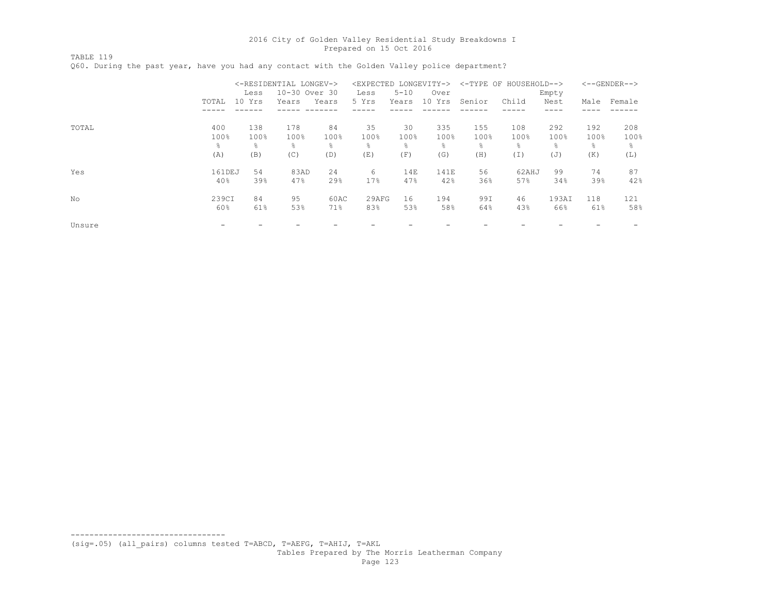TABLE 119 Q60. During the past year, have you had any contact with the Golden Valley police department?

|        |        | Less   | <-RESIDENTIAL LONGEV-><br>10-30 Over 30 |       | <expected<br>Less</expected<br> | $5 - 10$ | LONGEVITY-><br>Over |        | <-TYPE OF HOUSEHOLD--> | Empty |      | $<-$ -GENDER--> |
|--------|--------|--------|-----------------------------------------|-------|---------------------------------|----------|---------------------|--------|------------------------|-------|------|-----------------|
|        | TOTAL  | 10 Yrs | Years                                   | Years | 5 Yrs                           | Years    | 10 Yrs              | Senior | Child                  | Nest  | Male | Female          |
| TOTAL  | 400    | 138    | 178                                     | 84    | 35                              | 30       | 335                 | 155    | 108                    | 292   | 192  | 208             |
|        | 100%   | 100%   | 100%                                    | 100%  | 100%                            | 100%     | 100%                | 100%   | 100%                   | 100%  | 100% | 100%            |
|        | g.     | g.     | ⊱                                       | 옹     | g.                              | g.       | $\frac{6}{10}$      | &      | 옹                      | g.    | g.   | g.              |
|        | (A)    | (B)    | (C)                                     | (D)   | (E)                             | (F)      | (G)                 | (H)    | (I)                    | (J)   | (K)  | (L)             |
| Yes    | 161DEJ | 54     | 83AD                                    | 24    | 6                               | 14E      | 141E                | 56     | 62AHJ                  | 99    | 74   | 87              |
|        | $40\%$ | 39%    | 47%                                     | 29%   | 17%                             | 47%      | 42%                 | 36%    | 57%                    | 34%   | 39%  | 42%             |
| No     | 239CI  | 84     | 95                                      | 60AC  | 29AFG                           | 16       | 194                 | 99I    | 46                     | 193AI | 118  | 121             |
|        | 60%    | 61%    | 53%                                     | 71%   | 83%                             | 53%      | 58%                 | 64%    | 43%                    | 66%   | 61%  | 58%             |
| Unsure |        |        |                                         |       |                                 |          |                     |        |                        |       |      |                 |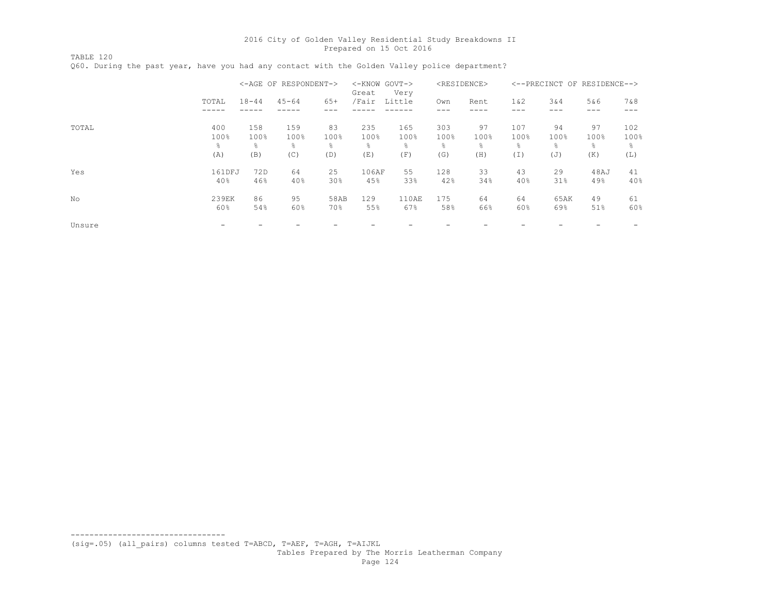TABLE 120 Q60. During the past year, have you had any contact with the Golden Valley police department?

|        |        |           | <-AGE OF RESPONDENT-> |       | <-KNOW GOVT-><br>Great | Very         |      | <residence></residence> |       | <--PRECINCT OF RESIDENCE--> |      |       |
|--------|--------|-----------|-----------------------|-------|------------------------|--------------|------|-------------------------|-------|-----------------------------|------|-------|
|        | TOTAL  | $18 - 44$ | $45 - 64$             | $65+$ | /Fair                  | Little       | Own  | Rent                    | 1 & 2 | 3&4                         | 5&6  | 7 & 8 |
| TOTAL  | 400    | 158       | 159                   | 83    | 235                    | 165          | 303  | 97                      | 107   | 94                          | 97   | 102   |
|        | 100%   | 100%      | 100%                  | 100%  | 100%                   | 100%         | 100% | 100%                    | 100%  | 100%                        | 100% | 100%  |
|        | g.     | 옹         | g.                    | 옹     | ⊱                      | g.           | ÷,   | $\frac{6}{10}$          | g.    | ⊱                           | g.   | 옹     |
|        | (A)    | (B)       | (C)                   | (D)   | (E)                    | (F)          | (G)  | (H)                     | (I)   | (J)                         | (K)  | (L)   |
| Yes    | 161DFJ | 72D       | 64                    | 25    | 106AF                  | 55           | 128  | 33                      | 43    | 29                          | 48AJ | 41    |
|        | 40%    | 46%       | 40%                   | 30%   | 45%                    | 33%          | 42%  | 34%                     | 40%   | 31%                         | 49%  | 40%   |
| No     | 239EK  | 86        | 95                    | 58AB  | 129                    | <b>110AE</b> | 175  | 64                      | 64    | 65AK                        | 49   | 61    |
|        | 60%    | 54%       | 60%                   | 70%   | 55%                    | 67%          | 58%  | 66%                     | 60%   | 69%                         | 51%  | 60%   |
| Unsure |        |           |                       |       |                        |              |      |                         |       |                             |      |       |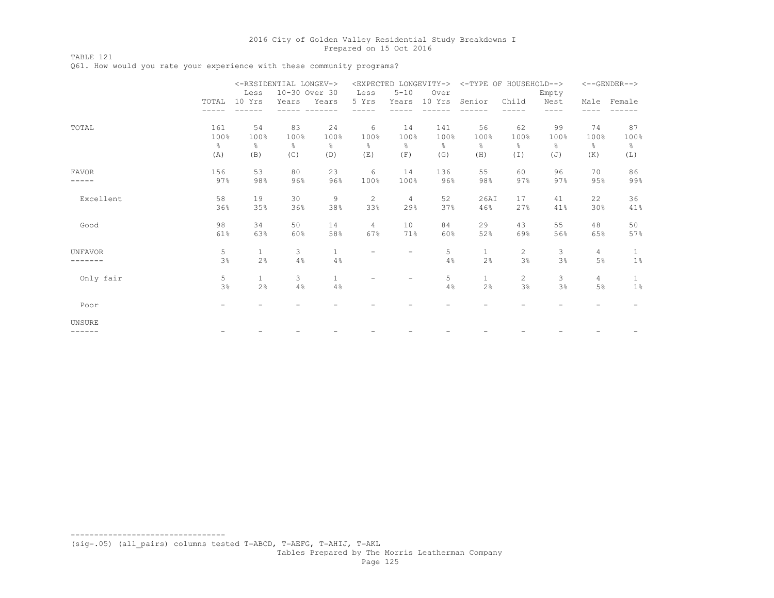TABLE 121

Q61. How would you rate your experience with these community programs?

|                |                          | <-RESIDENTIAL LONGEV-> |               |               |               | <expected longevity-=""></expected> |        | <-TYPE OF HOUSEHOLD--> |                |               |                | $<-$ -GENDER--> |
|----------------|--------------------------|------------------------|---------------|---------------|---------------|-------------------------------------|--------|------------------------|----------------|---------------|----------------|-----------------|
|                |                          | Less                   |               | 10-30 Over 30 | Less          | $5 - 10$                            | Over   |                        |                | Empty         |                |                 |
|                | TOTAL                    | 10 Yrs                 | Years         | Years         | 5 Yrs         | Years                               | 10 Yrs | Senior                 | Child          | Nest          | Male           | Female          |
|                |                          |                        |               |               |               |                                     |        |                        |                |               |                |                 |
| TOTAL          | 161                      | 54                     | 83            | 24            | 6             | 14                                  | 141    | 56                     | 62             | 99            | 74             | 87              |
|                | 100%                     | 100%                   | 100%          | 100%          | 100%          | 100%                                | 100%   | 100%                   | 100%           | 100%          | 100%           | 100%            |
|                | g.                       | ⊱                      | $\frac{6}{6}$ | 옹             | $\frac{6}{6}$ | g.                                  | ⊱      | $\frac{6}{6}$          | g.             | $\frac{6}{5}$ | ⊱              | $\frac{6}{6}$   |
|                | (A)                      | (B)                    | (C)           | (D)           | (E)           | (F)                                 | (G)    | (H)                    | $(\top)$       | (J)           | (K)            | (L)             |
| <b>FAVOR</b>   | 156                      | 53                     | 80            | 23            | 6             | 14                                  | 136    | 55                     | 60             | 96            | 70             | 86              |
| -----          | 97%                      | 98%                    | 96%           | 96%           | 100%          | 100%                                | 96%    | 98%                    | 97%            | 97%           | 95%            | 99%             |
| Excellent      | 58                       | 19                     | 30            | 9             | 2             | 4                                   | 52     | 26AI                   | 17             | 41            | 22             | 36              |
|                | 36%                      | 35%                    | 36%           | 38%           | 33%           | 29%                                 | 37%    | 46%                    | 27%            | 41%           | 30%            | 41%             |
| Good           | 98                       | 34                     | 50            | 14            | 4             | 10                                  | 84     | 29                     | 43             | 55            | 48             | 50              |
|                | 61%                      | 63%                    | 60%           | 58%           | 67%           | 71%                                 | 60%    | 52%                    | 69%            | 56%           | 65%            | 57%             |
| <b>UNFAVOR</b> | 5                        | $\mathbf{1}$           | 3             | $\mathbf{1}$  |               |                                     | 5      | $\mathbf{1}$           | $\overline{2}$ | 3             | 4              | $\mathbf{1}$    |
|                | 3%                       | 2 <sup>°</sup>         | 4%            | 4%            |               |                                     | 4%     | 2%                     | 3%             | 3%            | 5%             | $1\%$           |
| Only fair      | 5                        | $\mathbf{1}$           | 3             | $\mathbf{1}$  |               |                                     | 5      | $\mathbf{1}$           | $\mathbf{2}$   | 3             | $\overline{4}$ | $\mathbf{1}$    |
|                | 3%                       | 2%                     | 4%            | 4%            |               |                                     | 4%     | 2%                     | 3%             | 3%            | 5%             | $1\%$           |
| Poor           | $\overline{\phantom{0}}$ |                        |               |               |               |                                     |        |                        |                |               |                |                 |
| UNSURE         |                          |                        |               |               |               |                                     |        |                        |                |               |                |                 |
| ------         |                          |                        |               |               |               |                                     |        |                        |                |               |                |                 |

--------------------------------- (sig=.05) (all\_pairs) columns tested T=ABCD, T=AEFG, T=AHIJ, T=AKL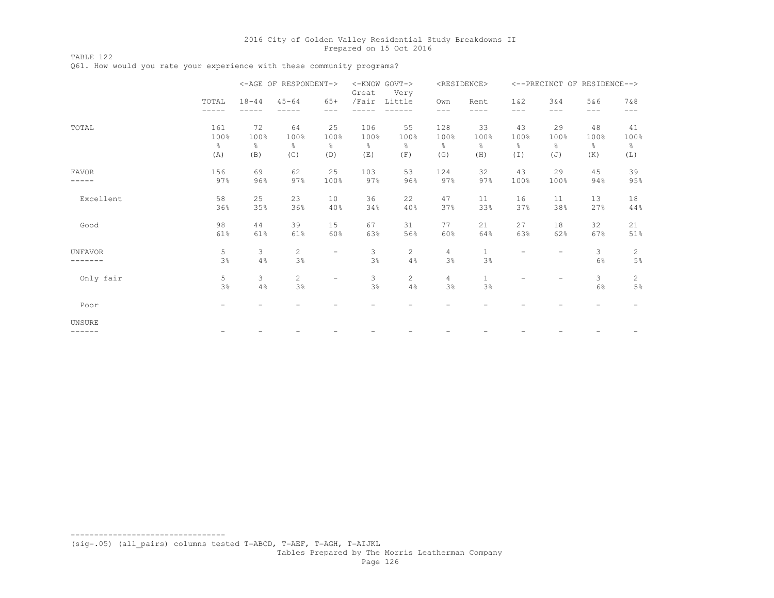TABLE 122 Q61. How would you rate your experience with these community programs?

|                |               |           | <-AGE OF RESPONDENT-> |                          | Great         | <-KNOW GOVT-><br>Very |                | <residence></residence> |               |               | <--PRECINCT OF RESIDENCE--> |                |
|----------------|---------------|-----------|-----------------------|--------------------------|---------------|-----------------------|----------------|-------------------------|---------------|---------------|-----------------------------|----------------|
|                | TOTAL         | $18 - 44$ | $45 - 64$             | $65+$                    | /Fair         | Little                | Own            | Rent                    | 1 & 2         | 3&4           | 5&6                         | 7 & 8          |
|                | -----         |           |                       | $---$                    |               |                       | ---            | ----                    | $---$         | ---           | $---$                       | ---            |
| TOTAL          | 161           | 72        | 64                    | 25                       | 106           | 55                    | 128            | 33                      | 43            | 29            | 48                          | 41             |
|                | 100%          | 100%      | 100%                  | 100%                     | 100%          | 100%                  | 100%           | 100%                    | 100%          | 100%          | 100%                        | 100%           |
|                | $\frac{6}{6}$ | g.        | $\frac{6}{6}$         | $\frac{6}{6}$            | $\frac{6}{6}$ | $\frac{6}{6}$         | $\frac{6}{6}$  | 옹                       | $\frac{6}{6}$ | $\frac{6}{6}$ | $\frac{6}{6}$               | $\frac{6}{6}$  |
|                | (A)           | (B)       | (C)                   | (D)                      | (E)           | (F)                   | (G)            | (H)                     | (I)           | (J)           | (K)                         | (L)            |
| <b>FAVOR</b>   | 156           | 69        | 62                    | 25                       | 103           | 53                    | 124            | 32                      | 43            | 29            | 45                          | 39             |
| .              | 97%           | 96%       | 97%                   | 100%                     | 97%           | 96%                   | 97%            | 97%                     | 100%          | 100%          | 94%                         | 95%            |
| Excellent      | 58            | 25        | 23                    | 10                       | 36            | 22                    | 47             | 11                      | 16            | 11            | 13                          | 18             |
|                | 36%           | 35%       | 36%                   | 40%                      | 34%           | 40%                   | 37%            | 33%                     | 37%           | 38%           | 27%                         | 44%            |
| Good           | 98            | 44        | 39                    | 15                       | 67            | 31                    | 77             | 21                      | 27            | 18            | 32                          | 21             |
|                | 61%           | 61%       | 61%                   | 60%                      | 63%           | 56%                   | 60%            | 64%                     | 63%           | 62%           | 67%                         | 51%            |
| <b>UNFAVOR</b> | 5             | 3         | $\overline{c}$        | -                        | 3             | $\overline{c}$        | $\overline{4}$ | $\,1$                   |               |               | 3                           | $\mathbf{2}$   |
| -----          | 3%            | 4%        | 3%                    |                          | 3%            | 4%                    | 3%             | 3%                      |               |               | 6%                          | 5%             |
| Only fair      | 5             | 3         | $\mathbf{2}$          | $\overline{\phantom{0}}$ | 3             | $\overline{c}$        | 4              | $\mathbf{1}$            |               |               | 3                           | $\overline{c}$ |
|                | 3%            | 4%        | 3%                    |                          | 3%            | 4%                    | 3%             | 3%                      |               |               | 6%                          | 5%             |
| Poor           |               |           |                       |                          |               |                       |                |                         |               |               |                             |                |
| UNSURE         |               |           |                       |                          |               |                       |                |                         |               |               |                             |                |
| ------         |               |           |                       |                          |               |                       |                |                         |               |               |                             |                |

--------------------------------- (sig=.05) (all\_pairs) columns tested T=ABCD, T=AEF, T=AGH, T=AIJKL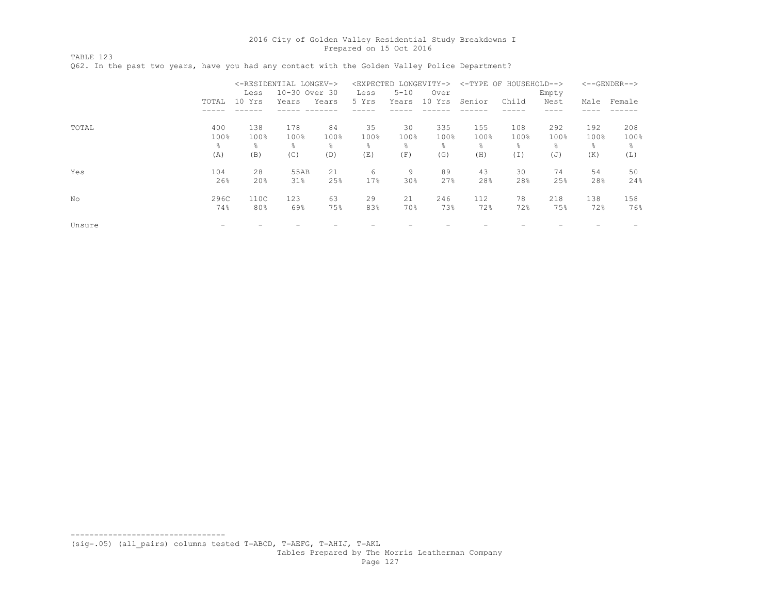TABLE 123

|        |       | Less   | <-RESIDENTIAL LONGEV-><br>10-30 Over 30 |       | Less  | <expected longevity-=""><br/><math>5 - 10</math></expected> | Over   |                | <-TYPE OF HOUSEHOLD--> | Empty |      | $<-$ -GENDER--> |
|--------|-------|--------|-----------------------------------------|-------|-------|-------------------------------------------------------------|--------|----------------|------------------------|-------|------|-----------------|
|        | TOTAL | 10 Yrs | Years                                   | Years | 5 Yrs | Years                                                       | 10 Yrs | Senior         | Child                  | Nest  | Male | Female          |
|        |       |        |                                         |       |       |                                                             |        |                |                        |       |      |                 |
| TOTAL  | 400   | 138    | 178                                     | 84    | 35    | 30                                                          | 335    | 155            | 108                    | 292   | 192  | 208             |
|        | 100%  | 100%   | 100%                                    | 100%  | 100%  | 100%                                                        | 100%   | 100%           | 100%                   | 100%  | 100% | 100%            |
|        | g.    | g.     | ٩,                                      | ⊱     | g.    | $\approx$                                                   | ÷,     | $\frac{6}{10}$ | 옹                      | ٩,    | g.   | ÷.              |
|        | (A)   | (B)    | (C)                                     | (D)   | (E)   | (F)                                                         | (G)    | (H)            | (I)                    | (J)   | (K)  | (L)             |
| Yes    | 104   | 28     | 55AB                                    | 21    | 6     | 9                                                           | 89     | 43             | 30                     | 74    | 54   | 50              |
|        | 26%   | 20%    | 31%                                     | 25%   | 17%   | 30%                                                         | 27%    | 28%            | 28%                    | 25%   | 28%  | 24%             |
| No     | 296C  | 110C   | 123                                     | 63    | 29    | 21                                                          | 246    | 112            | 78                     | 218   | 138  | 158             |
|        | 74%   | 80%    | 69%                                     | 75%   | 83%   | 70%                                                         | 73%    | 72%            | 72%                    | 75%   | 72%  | 76%             |
| Unsure |       |        |                                         |       |       |                                                             |        |                |                        |       |      |                 |

Q62. In the past two years, have you had any contact with the Golden Valley Police Department?

(sig=.05) (all\_pairs) columns tested T=ABCD, T=AEFG, T=AHIJ, T=AKL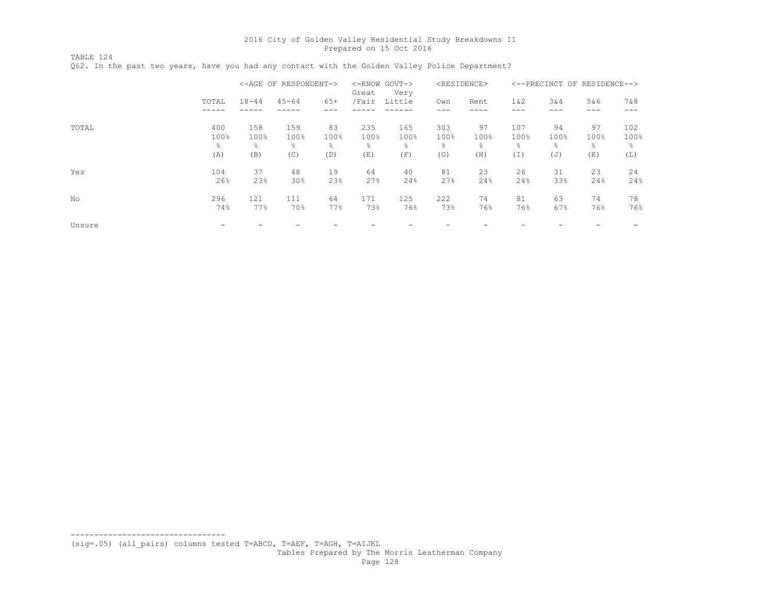TABLE 124 Q62. In the past two years, have you had any contact with the Golden Valley Police Department?

|        |       |           | <-AGE OF RESPONDENT-> |       | <-KNOW GOVT-><br>Great | Very   |      | <residence></residence> |       | <--PRECINCT OF RESIDENCE--> |            |      |
|--------|-------|-----------|-----------------------|-------|------------------------|--------|------|-------------------------|-------|-----------------------------|------------|------|
|        | TOTAL | $18 - 44$ | $45 - 64$             | $65+$ | /Fair                  | Little | Own  | Rent                    | 1 & 2 | 3&4                         | 5&6<br>--- | 7&8  |
| TOTAL  | 400   | 158       | 159                   | 83    | 235                    | 165    | 303  | 97                      | 107   | 94                          | 97         | 102  |
|        | 100%  | 100%      | 100%                  | 100%  | 100%                   | 100%   | 100% | 100%                    | 100%  | 100%                        | 100%       | 100% |
|        | g.    | g.        | ٩,                    | 옹     | ⊱                      | g.     | ÷,   | $\frac{6}{10}$          | g.    | g.                          | g.         | ⊱    |
|        | (A)   | (B)       | (C)                   | (D)   | (E)                    | (F)    | (G)  | (H)                     | (I)   | $(\mathbb{J})$              | (K)        | (L)  |
| Yes    | 104   | 37        | 48                    | 19    | 64                     | 40     | 81   | 23                      | 26    | 31                          | 23         | 24   |
|        | 26%   | 23%       | 30%                   | 23%   | 27%                    | 24%    | 27%  | 24%                     | 24%   | 33%                         | 24%        | 24%  |
| No     | 296   | 121       | 111                   | 64    | 171                    | 125    | 222  | 74                      | 81    | 63                          | 74         | 78   |
|        | 74%   | 77%       | 70%                   | 77%   | 73%                    | 76%    | 73%  | 76%                     | 76%   | 67%                         | 76%        | 76%  |
| Unsure |       |           |                       |       |                        |        |      |                         |       |                             |            |      |

--------------------------------- (sig=.05) (all\_pairs) columns tested T=ABCD, T=AEF, T=AGH, T=AIJKL

Tables Prepared by The Morris Leatherman Company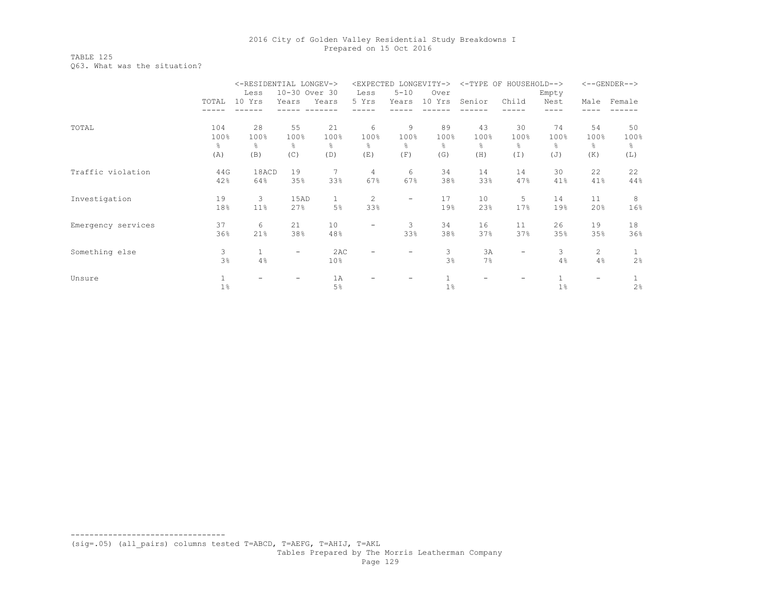TABLE 125 Q63. What was the situation?

|                    |       | <-RESIDENTIAL LONGEV-> |               |                 | <expected< th=""><th></th><th>LONGEVITY-&gt;</th><th><math>&lt;</math>-TYPE OF</th><th>HOUSEHOLD--&gt;</th><th></th><th></th><th><math>&lt;-</math>-GENDER--&gt;</th></expected<> |                          | LONGEVITY-> | $<$ -TYPE OF | HOUSEHOLD--> |              |                       | $<-$ -GENDER--> |
|--------------------|-------|------------------------|---------------|-----------------|-----------------------------------------------------------------------------------------------------------------------------------------------------------------------------------|--------------------------|-------------|--------------|--------------|--------------|-----------------------|-----------------|
|                    |       | Less                   | 10-30 Over 30 |                 | Less                                                                                                                                                                              | $5 - 10$                 | Over        |              |              | Empty        |                       |                 |
|                    | TOTAL | 10 Yrs                 | Years         | Years           | 5 Yrs                                                                                                                                                                             | Years                    | 10 Yrs      | Senior       | Child        | Nest         | Male                  | Female          |
|                    |       |                        |               |                 |                                                                                                                                                                                   |                          |             |              |              |              |                       |                 |
| TOTAL              | 104   | 28                     | 55            | 21              | 6                                                                                                                                                                                 | 9                        | 89          | 43           | 30           | 74           | 54                    | 50              |
|                    | 100%  | 100%                   | 100%          | 100%            | 100%                                                                                                                                                                              | 100%                     | 100%        | 100%         | 100%         | 100%         | 100%                  | 100%            |
|                    | g.    | g.                     | $\approx$     | 옹               | $\frac{6}{6}$                                                                                                                                                                     | g.                       | ⊱           | g.           | g.           | 옹            | g.                    | g.              |
|                    | (A)   | (B)                    | (C)           | (D)             | (E)                                                                                                                                                                               | (F)                      | (G)         | (H)          | (I)          | (J)          | (K)                   | (L)             |
| Traffic violation  | 44G   | 18ACD                  | 19            | 7               | 4                                                                                                                                                                                 | 6                        | 34          | 14           | 14           | 30           | 22                    | 22              |
|                    | 42%   | 64%                    | 35%           | 33%             | 67%                                                                                                                                                                               | 67%                      | 38%         | 33%          | 47%          | 41%          | 41%                   | 44%             |
| Investigation      | 19    | 3                      | 15AD          | $\mathbf{1}$    | $\overline{2}$                                                                                                                                                                    | $\overline{\phantom{m}}$ | 17          | 10           | 5            | 14           | 11                    | 8               |
|                    | 18%   | 11%                    | 27%           | 5%              | 33%                                                                                                                                                                               |                          | 19%         | 23%          | 17%          | 19%          | 20%                   | 16%             |
| Emergency services | 37    | 6                      | 21            | 10              | $\overline{\phantom{m}}$                                                                                                                                                          | 3                        | 34          | 16           | 11           | 26           | 19                    | 18              |
|                    | 36%   | 21%                    | 38%           | 48%             |                                                                                                                                                                                   | 33%                      | 38%         | 37%          | 37%          | 35%          | 35%                   | 36%             |
| Something else     | 3     | $\mathbf{1}$           | -             | 2AC             |                                                                                                                                                                                   | $\overline{\phantom{m}}$ | 3           | 3A           | -            | 3            | $\mathbf{2}^{\prime}$ | $\mathbf{1}$    |
|                    | 3%    | 4%                     |               | 10 <sup>°</sup> |                                                                                                                                                                                   |                          | 3%          | 7%           |              | 4%           | 4%                    | 2%              |
| Unsure             | 1     |                        |               | 1A              |                                                                                                                                                                                   |                          |             |              |              | $\mathbf{1}$ |                       |                 |
|                    | $1\%$ |                        |               | 5%              |                                                                                                                                                                                   |                          | 1%          |              |              | 1%           |                       | 2%              |

(sig=.05) (all\_pairs) columns tested T=ABCD, T=AEFG, T=AHIJ, T=AKL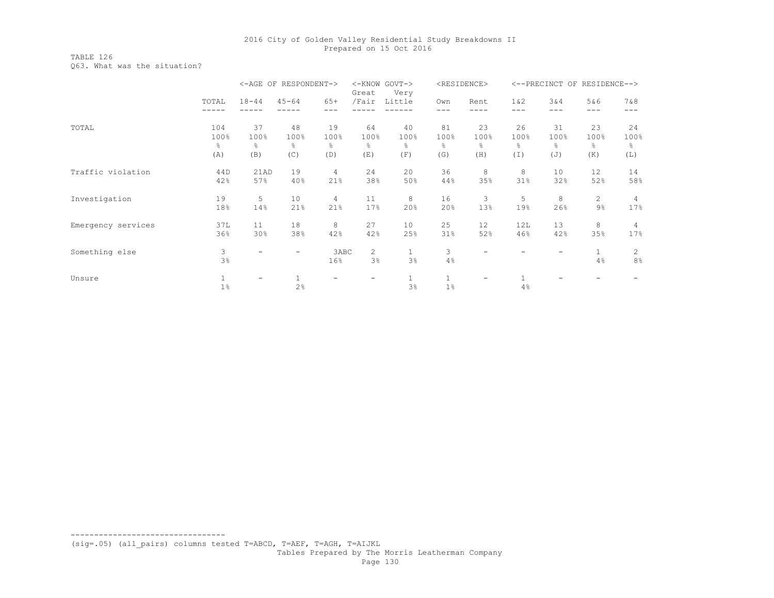TABLE 126 Q63. What was the situation?

|                    |             |                          | <-AGE OF RESPONDENT-> |            | <-KNOW GOVT-><br>Great | Very         |              | <residence></residence> |            |            | <--PRECINCT OF RESIDENCE--> |                |
|--------------------|-------------|--------------------------|-----------------------|------------|------------------------|--------------|--------------|-------------------------|------------|------------|-----------------------------|----------------|
|                    | TOTAL       | $18 - 44$                | $45 - 64$             | $65+$      | /Fair                  | Little       | Own          | Rent                    | 1 & 2      | 3&4        | 5&6                         | 7 & 8          |
|                    |             |                          |                       |            |                        |              |              |                         |            |            | ---                         |                |
| TOTAL              | 104<br>100% | 37<br>100%               | 48<br>100%            | 19<br>100% | 64<br>100%             | 40<br>100%   | 81<br>100%   | 23<br>100%              | 26<br>100% | 31<br>100% | 23<br>100%                  | 24<br>100%     |
|                    | g.          | g.                       | ⊱                     | 옹          | ⊱                      | g.           | g.           | g.                      | 옹          | g.         | ⊱                           | 옹              |
|                    | (A)         | (B)                      | (C)                   | (D)        | (E)                    | (F)          | (G)          | (H)                     | (I)        | (J)        | (K)                         | (L)            |
| Traffic violation  | 44D         | 21AD                     | 19                    | 4          | 24                     | 20           | 36           | 8                       | 8          | 10         | 12                          | 14             |
|                    | 42%         | 57%                      | 40%                   | 21%        | 38%                    | 50%          | 44%          | 35%                     | 31%        | 32%        | 52%                         | 58%            |
| Investigation      | 19          | 5                        | 10                    | 4          | 11                     | 8            | 16           | 3                       | 5          | 8          | 2                           | 4              |
|                    | 18%         | 14%                      | 21%                   | 21%        | 17%                    | 20%          | 20%          | 13%                     | 19%        | 26%        | $9\%$                       | 17%            |
| Emergency services | 37L         | 11                       | 18                    | 8          | 27                     | 10           | 25           | 12                      | 12L        | 13         | 8                           | 4              |
|                    | 36%         | 30%                      | 38%                   | 42%        | 42%                    | 25%          | 31%          | 52%                     | 46%        | 42%        | 35%                         | 17%            |
| Something else     | 3           | $\overline{\phantom{0}}$ | -                     | 3ABC       | 2                      | $\mathbf{1}$ | 3            | ۰                       |            |            | 1                           | 2              |
|                    | 3%          |                          |                       | 16%        | 3%                     | 3%           | 4%           |                         |            |            | 4%                          | 8 <sup>°</sup> |
| Unsure             |             |                          |                       |            |                        | $\mathbf{1}$ | $\mathbf{1}$ |                         |            |            |                             |                |
|                    | $1\%$       |                          | 2%                    |            |                        | 3%           | 1%           |                         | 4%         |            |                             |                |

--------------------------------- (sig=.05) (all\_pairs) columns tested T=ABCD, T=AEF, T=AGH, T=AIJKL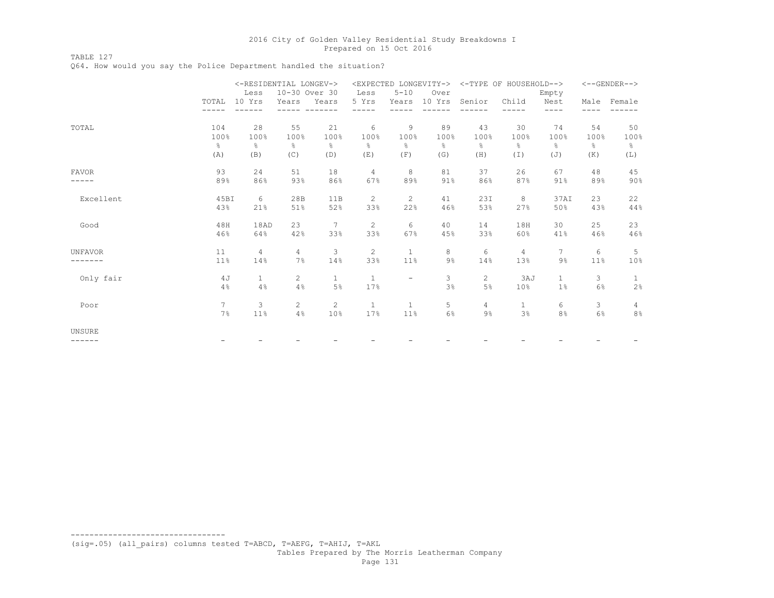TABLE 127

Q64. How would you say the Police Department handled the situation?

|                |                | <-RESIDENTIAL LONGEV-> |                |                 |                |                          | <expected longevity-=""></expected> |                | <-TYPE OF HOUSEHOLD--> |               |               | $<-$ -GENDER--> |
|----------------|----------------|------------------------|----------------|-----------------|----------------|--------------------------|-------------------------------------|----------------|------------------------|---------------|---------------|-----------------|
|                |                | Less                   | 10-30 Over 30  |                 | Less           | $5 - 10$                 | Over                                |                |                        | Empty         |               |                 |
|                | TOTAL          | 10 Yrs                 | Years          | Years           | 5 Yrs          | Years                    | 10 Yrs                              | Senior         | Child                  | Nest          |               | Male Female     |
|                |                |                        |                |                 |                |                          |                                     |                |                        | ----          |               |                 |
| TOTAL          | 104            | 28                     | 55             | 21              | 6              | 9                        | 89                                  | 43             | 30                     | 74            | 54            | 50              |
|                | 100%           | 100%                   | 100%           | 100%            | 100%           | 100%                     | 100%                                | 100%           | 100%                   | 100%          | 100%          | 100%            |
|                | $\frac{6}{10}$ | 욲                      | $\frac{6}{6}$  | $\frac{6}{6}$   | $\approx$      | $\frac{6}{6}$            | $\frac{6}{5}$                       | $\frac{6}{6}$  | g.                     | $\frac{6}{6}$ | $\frac{6}{6}$ | $\frac{6}{6}$   |
|                | (A)            | (B)                    | (C)            | (D)             | (E)            | (F)                      | (G)                                 | (H)            | $(\top)$               | (J)           | (K)           | (L)             |
| <b>FAVOR</b>   | 93             | 24                     | 51             | 18              | $\overline{4}$ | 8                        | 81                                  | 37             | 26                     | 67            | 48            | 45              |
|                | 89%            | 86%                    | 93%            | 86%             | 67%            | 89%                      | 91%                                 | 86%            | 87%                    | 91%           | 89%           | 90%             |
| Excellent      | 45BI           | 6                      | 28B            | 11B             | 2              | 2                        | 41                                  | 23I            | 8                      | 37AI          | 23            | 22              |
|                | 43%            | 21%                    | 51%            | 52%             | 33%            | 22%                      | 46%                                 | 53%            | 27%                    | 50%           | 43%           | 44%             |
| Good           | 48H            | 18AD                   | 23             | $7\phantom{.0}$ | 2              | 6                        | 40                                  | 14             | 18H                    | 30            | 25            | 23              |
|                | 46%            | 64%                    | 42%            | 33%             | 33%            | 67%                      | 45%                                 | 33%            | 60%                    | 41%           | 46%           | 46%             |
| <b>UNFAVOR</b> | 11             | 4                      | $\overline{4}$ | 3               | 2              | $\mathbf{1}$             | 8                                   | 6              | $\overline{4}$         | 7             | 6             | 5               |
|                | 11%            | 14%                    | 7%             | 14%             | 33%            | 11%                      | $9\%$                               | 14%            | 13%                    | 9%            | 11%           | 10%             |
| Only fair      | 4 J            | $\mathbf{1}$           | $\mathbf{2}$   | $\mathbf{1}$    | $\mathbf{1}$   | $\overline{\phantom{a}}$ | 3                                   | $\overline{c}$ | 3AJ                    | $\mathbf{1}$  | 3             | $\mathbf{1}$    |
|                | 4%             | 4%                     | 4%             | 5%              | 17%            |                          | 3%                                  | 5%             | 10 <sup>°</sup>        | 1%            | 6%            | 2%              |
| Poor           | 7              | 3                      | $\overline{2}$ | $\overline{2}$  | 1              | $\mathbf{1}$             | 5                                   | 4              | $\mathbf{1}$           | 6             | 3             | $\overline{4}$  |
|                | 7%             | 11%                    | 4%             | 10%             | 17%            | 11%                      | 6%                                  | $9\%$          | 3%                     | 8%            | 6%            | 8%              |
| <b>UNSURE</b>  |                |                        |                |                 |                |                          |                                     |                |                        |               |               |                 |
| ------         |                |                        |                |                 |                |                          |                                     |                |                        |               |               |                 |

(sig=.05) (all\_pairs) columns tested T=ABCD, T=AEFG, T=AHIJ, T=AKL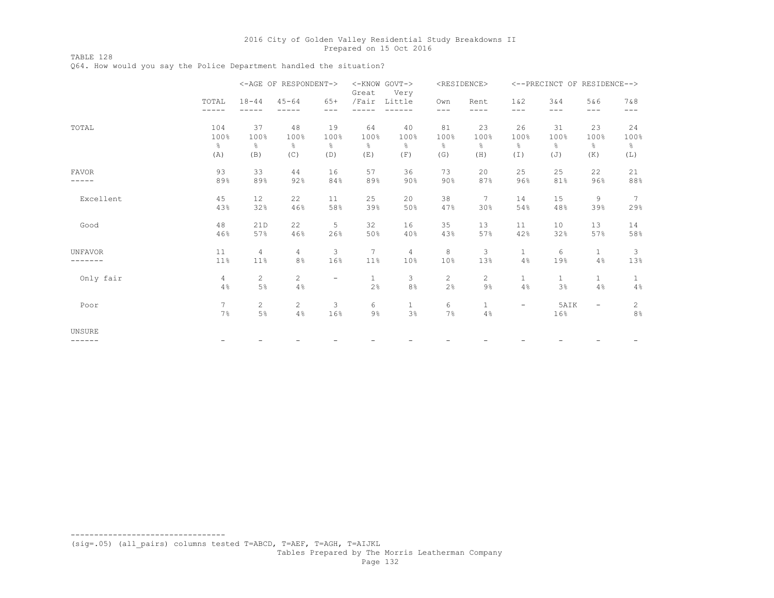TABLE 128

Q64. How would you say the Police Department handled the situation?

|                |                                  |                                    | <-AGE OF RESPONDENT->              |                                    | <-KNOW GOVT-><br>Great             | Very                               |                                    | <residence></residence>            |                                         | <--PRECINCT OF RESIDENCE-->        |                                    |                                    |
|----------------|----------------------------------|------------------------------------|------------------------------------|------------------------------------|------------------------------------|------------------------------------|------------------------------------|------------------------------------|-----------------------------------------|------------------------------------|------------------------------------|------------------------------------|
|                | TOTAL<br>-----                   | $18 - 44$                          | $45 - 64$                          | $65+$<br>$---$                     | /Fair                              | Little                             | Own<br>$---$                       | Rent<br>$- - - -$                  | 1 & 2<br>$- - -$                        | 3&4<br>$---$                       | 5&6<br>$- - -$                     | 7&8<br>$---$                       |
| TOTAL          | 104<br>100%<br>$\epsilon$<br>(A) | 37<br>100%<br>$\frac{6}{6}$<br>(B) | 48<br>100%<br>$\frac{6}{6}$<br>(C) | 19<br>100%<br>$\frac{6}{6}$<br>(D) | 64<br>100%<br>$\frac{6}{6}$<br>(E) | 40<br>100%<br>$\frac{6}{6}$<br>(F) | 81<br>100%<br>$\frac{6}{6}$<br>(G) | 23<br>100%<br>$\frac{6}{6}$<br>(H) | 26<br>100%<br>$\frac{6}{6}$<br>$(\bot)$ | 31<br>100%<br>$\frac{6}{6}$<br>(J) | 23<br>100%<br>$\frac{6}{6}$<br>(K) | 24<br>100%<br>$\frac{6}{6}$<br>(L) |
| <b>FAVOR</b>   | 93<br>89%                        | 33<br>89%                          | 44<br>92%                          | 16<br>84%                          | 57<br>89%                          | 36<br>90%                          | 73<br>90%                          | 20<br>87%                          | 25<br>96%                               | 25<br>81%                          | 22<br>96%                          | 21<br>88%                          |
| Excellent      | 45<br>43%                        | 12<br>32%                          | 22<br>46%                          | 11<br>58%                          | 25<br>39%                          | 20<br>50%                          | 38<br>47%                          | 7<br>30%                           | 14<br>54%                               | 15<br>48%                          | 9<br>39%                           | 7<br>29%                           |
| Good           | 48<br>46%                        | 21D<br>57%                         | 22<br>46%                          | 5<br>26%                           | 32<br>50%                          | 16<br>40%                          | 35<br>43%                          | 13<br>57%                          | 11<br>42%                               | 10<br>32%                          | 13<br>57%                          | 14<br>$58%$                        |
| <b>UNFAVOR</b> | 11<br>11%                        | $\overline{4}$<br>11%              | 4<br>8%                            | 3<br>16%                           | 7<br>11%                           | $\overline{4}$<br>10%              | 8<br>10%                           | 3<br>13%                           | $\mathbf{1}$<br>4%                      | 6<br>19%                           | $\mathbf{1}$<br>4%                 | 3<br>13%                           |
| Only fair      | $\overline{4}$<br>4%             | $\overline{c}$<br>$5\%$            | $\overline{c}$<br>4%               | $\overline{\phantom{a}}$           | $1\,$<br>2%                        | 3<br>8%                            | $\mathbf{2}$<br>2%                 | $\mathbf{2}$<br>$9\frac{6}{6}$     | $\mathbf{1}$<br>4%                      | $\mathbf{1}$<br>3%                 | $\mathbf{1}$<br>4%                 | $\mathbf{1}$<br>4%                 |
| Poor           | 7<br>7%                          | $\overline{2}$<br>$5\%$            | $\overline{2}$<br>4%               | 3<br>16%                           | 6<br>9%                            | $\mathbf{1}$<br>3%                 | 6<br>7%                            | $\mathbf{1}$<br>4%                 | -                                       | 5AIK<br>16%                        | $\overline{\phantom{m}}$           | $\overline{2}$<br>8%               |
| UNSURE         |                                  |                                    |                                    |                                    |                                    |                                    |                                    |                                    |                                         |                                    |                                    |                                    |
| ------         |                                  |                                    |                                    |                                    |                                    |                                    |                                    |                                    |                                         |                                    |                                    |                                    |

(sig=.05) (all\_pairs) columns tested T=ABCD, T=AEF, T=AGH, T=AIJKL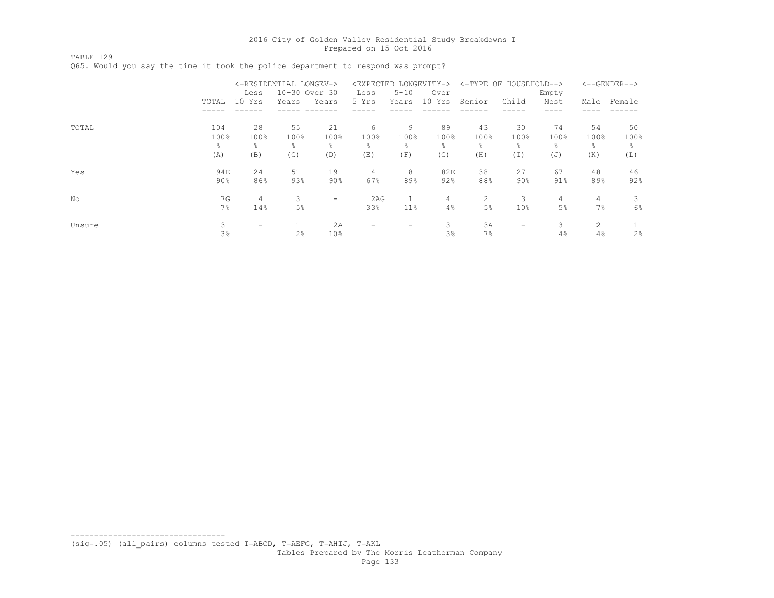TABLE 129

Q65. Would you say the time it took the police department to respond was prompt?

|        |        |        | <-RESIDENTIAL LONGEV-> |                          |                          |                          | <expected longevity-=""></expected> |                | <-TYPE OF HOUSEHOLD--> |       |           | $<-$ -GENDER--> |
|--------|--------|--------|------------------------|--------------------------|--------------------------|--------------------------|-------------------------------------|----------------|------------------------|-------|-----------|-----------------|
|        |        | Less   | 10-30 Over 30          |                          | Less                     | $5 - 10$                 | Over                                |                |                        | Empty |           |                 |
|        | TOTAL  | 10 Yrs | Years                  | Years                    | 5 Yrs                    | Years                    | 10 Yrs                              | Senior         | Child                  | Nest  | Male      | Female          |
|        |        |        |                        |                          |                          |                          |                                     |                |                        |       |           |                 |
| TOTAL  | 104    | 28     | 55                     | 21                       | 6                        | 9                        | 89                                  | 43             | 30                     | 74    | 54        | 50              |
|        | 100%   | 100%   | 100%                   | 100%                     | 100%                     | 100%                     | 100%                                | 100%           | 100%                   | 100%  | 100%      | 100%            |
|        | ိင     | g.     | ⊱                      | 옹                        | ⊱                        | g.                       | $\frac{6}{10}$                      | $\frac{6}{10}$ | 옹                      | ⊱     | $\approx$ | 응               |
|        | (A)    | (B)    | (C)                    | (D)                      | (E)                      | (F)                      | (G)                                 | (H)            | (I)                    | (J)   | (K)       | (L)             |
| Yes    | 94E    | 24     | 51                     | 19                       | 4                        | 8                        | 82E                                 | 38             | 27                     | 67    | 48        | 46              |
|        | $90\%$ | 86%    | 93%                    | 90%                      | 67%                      | 89%                      | 92%                                 | 88%            | 90%                    | 91%   | 89%       | 92%             |
| No     | 7G     | 4      | 3                      | $\overline{\phantom{a}}$ | 2AG                      |                          | 4                                   | 2              | 3                      | 4     | 4         | 3               |
|        | 7%     | 14%    | 5%                     |                          | 33%                      | 11%                      | 4%                                  | 5%             | 10%                    | $5\%$ | 7%        | 6%              |
| Unsure | 3      | ۰      |                        | 2A                       | $\overline{\phantom{a}}$ | $\overline{\phantom{0}}$ | 3                                   | 3A             | -                      | 3     | 2         |                 |
|        | 3%     |        | 2%                     | 10%                      |                          |                          | 3%                                  | 7%             |                        | 4%    | 4%        | $2\%$           |

--------------------------------- (sig=.05) (all\_pairs) columns tested T=ABCD, T=AEFG, T=AHIJ, T=AKL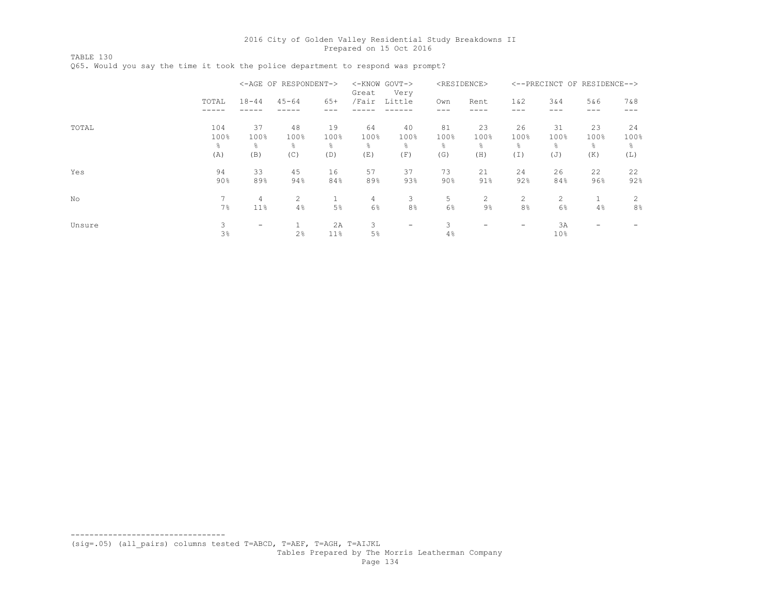TABLE 130 Q65. Would you say the time it took the police department to respond was prompt?

|        |                         |                         | <-AGE OF RESPONDENT->  |                        | Great                   | <-KNOW GOVT-><br>Very    |                                     | <residence></residence> |                          |                        | <--PRECINCT OF RESIDENCE--> |                        |
|--------|-------------------------|-------------------------|------------------------|------------------------|-------------------------|--------------------------|-------------------------------------|-------------------------|--------------------------|------------------------|-----------------------------|------------------------|
|        | TOTAL                   | $18 - 44$               | $45 - 64$              | $65+$                  | /Fair                   | Little                   | Own                                 | Rent                    | 1 & 2<br>---             | 3&4<br>---             | 5&6<br>---                  | 7&8                    |
| TOTAL  | 104<br>100%<br>옹<br>(A) | 37<br>100%<br>g.<br>(B) | 48<br>100%<br>⊱<br>(C) | 19<br>100%<br>옹<br>(D) | 64<br>100%<br>g.<br>(E) | 40<br>100%<br>g.<br>(F)  | 81<br>100%<br>$\frac{6}{10}$<br>(G) | 23<br>100%<br>g.<br>(H) | 26<br>100%<br>옹<br>(I)   | 31<br>100%<br>⊱<br>(J) | 23<br>100%<br>g.<br>(K)     | 24<br>100%<br>옹<br>(L) |
| Yes    | 94<br>90%               | 33<br>89%               | 45<br>94%              | 16<br>84%              | 57<br>89%               | 37<br>93%                | 73<br>90%                           | 21<br>91%               | 24<br>92%                | 26<br>84%              | 22<br>96%                   | 22<br>92%              |
| No     | 7<br>7%                 | 4<br>11%                | 2<br>4%                | 5%                     | 4<br>6%                 | 3<br>8%                  | 5<br>6%                             | 2<br>$9\%$              | 2<br>8 <sup>°</sup>      | 2<br>6%                | 4%                          | 2<br>8%                |
| Unsure | 3<br>3%                 | $\qquad \qquad$         | 2%                     | 2A<br>11%              | 3<br>5%                 | $\overline{\phantom{m}}$ | 3<br>4%                             | -                       | $\overline{\phantom{a}}$ | 3A<br>10%              | ۰                           |                        |

--------------------------------- (sig=.05) (all\_pairs) columns tested T=ABCD, T=AEF, T=AGH, T=AIJKL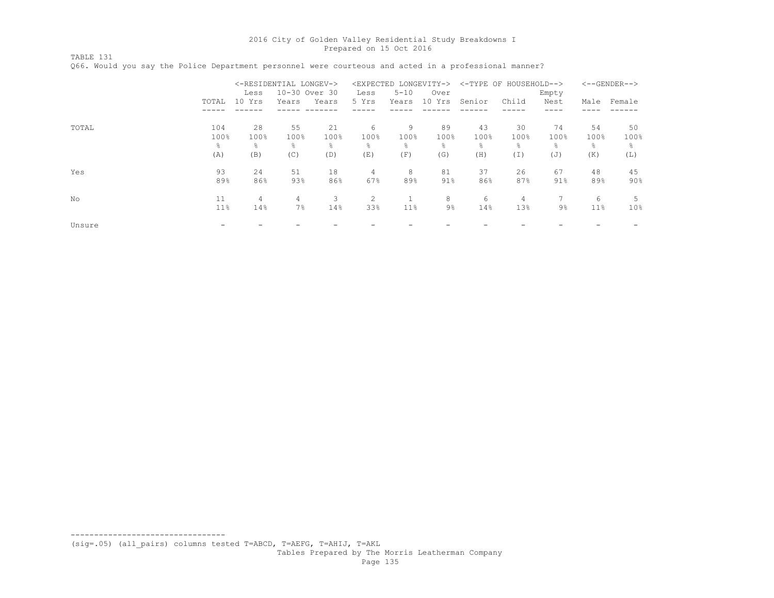TABLE 131 Q66. Would you say the Police Department personnel were courteous and acted in a professional manner?

|        |                         | <-RESIDENTIAL LONGEV-><br>Less |                         | 10-30 Over 30          | Less                  | <expected longevity-=""><br/><math>5 - 10</math></expected> | Over                   |                                     | <-TYPE OF HOUSEHOLD--> | Empty                  |                         | $<-$ -GENDER-->        |
|--------|-------------------------|--------------------------------|-------------------------|------------------------|-----------------------|-------------------------------------------------------------|------------------------|-------------------------------------|------------------------|------------------------|-------------------------|------------------------|
|        | TOTAL                   | 10 Yrs                         | Years                   | Years                  | 5 Yrs                 | Years                                                       | 10 Yrs                 | Senior                              | Child                  | Nest                   | Male                    | Female                 |
| TOTAL  | 104<br>100%<br>옹<br>(A) | 28<br>100%<br>g.<br>(B)        | 55<br>100%<br>g.<br>(C) | 21<br>100%<br>옹<br>(D) | 6<br>100%<br>⊱<br>(E) | 9<br>100%<br>g.<br>(F)                                      | 89<br>100%<br>욲<br>(G) | 43<br>100%<br>$\frac{6}{10}$<br>(H) | 30<br>100%<br>옹<br>(I) | 74<br>100%<br>⊱<br>(J) | 54<br>100%<br>g.<br>(K) | 50<br>100%<br>옹<br>(L) |
| Yes    | 93<br>89%               | 24<br>86%                      | 51<br>93%               | 18<br>86%              | 4<br>67%              | 8<br>89%                                                    | 81<br>91%              | 37<br>86%                           | 26<br>87%              | 67<br>91%              | 48<br>89%               | 45<br>90%              |
| No     | 11<br>11%               | 4<br>14%                       | 4<br>7%                 | 3<br>14%               | $\overline{c}$<br>33% | 11%                                                         | 8<br>$9\%$             | 6<br>14%                            | 4<br>13%               | $9\%$                  | 6<br>11 <sup>°</sup>    | 5<br>10%               |
| Unsure |                         |                                |                         |                        |                       |                                                             |                        |                                     |                        |                        |                         |                        |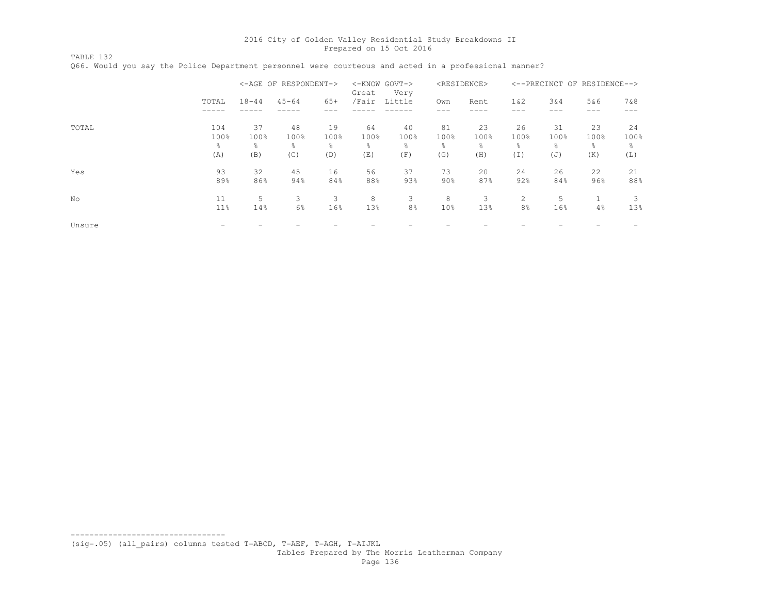TABLE 132 Q66. Would you say the Police Department personnel were courteous and acted in a professional manner?

|        |                          |                         | <-AGE OF RESPONDENT->  |                        | Great                  | <-KNOW GOVT-><br>Very   |                                     | <residence></residence>             |                        |                        | <--PRECINCT OF RESIDENCE--> |                         |
|--------|--------------------------|-------------------------|------------------------|------------------------|------------------------|-------------------------|-------------------------------------|-------------------------------------|------------------------|------------------------|-----------------------------|-------------------------|
|        | TOTAL                    | $18 - 44$               | $45 - 64$              | $65+$                  | /Fair                  | Little                  | Own                                 | Rent                                | $1\&2$                 | 3&4                    | 5&6<br>---                  | 7&8                     |
| TOTAL  | 104<br>100%<br>÷,<br>(A) | 37<br>100%<br>g.<br>(B) | 48<br>100%<br>⊱<br>(C) | 19<br>100%<br>옹<br>(D) | 64<br>100%<br>⊱<br>(E) | 40<br>100%<br>÷,<br>(F) | 81<br>100%<br>$\frac{6}{10}$<br>(G) | 23<br>100%<br>$\frac{6}{10}$<br>(H) | 26<br>100%<br>옹<br>(I) | 31<br>100%<br>⊱<br>(J) | 23<br>100%<br>÷,<br>(K)     | 24<br>100%<br>g.<br>(L) |
| Yes    | 93<br>89%                | 32<br>86%               | 45<br>94%              | 16<br>84%              | 56<br>88%              | 37<br>93%               | 73<br>90%                           | 20<br>87%                           | 24<br>92%              | 26<br>84%              | 22<br>96%                   | 21<br>88%               |
| No     | 11<br>11%                | 5<br>14%                | 3<br>6%                | 3<br>16%               | 8<br>13%               | 3<br>8%                 | 8<br>10 <sup>°</sup>                | 3<br>13%                            | 2<br>8%                | 5<br>16%               | 4%                          | 3<br>13%                |
| Unsure |                          |                         |                        |                        |                        |                         |                                     |                                     |                        |                        |                             |                         |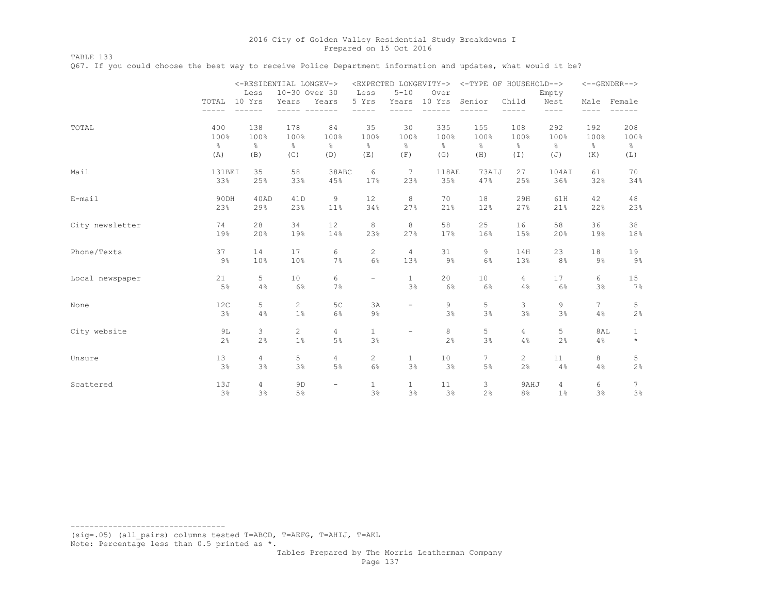TABLE 133

Q67. If you could choose the best way to receive Police Department information and updates, what would it be?

|                 |               | Less           | <-RESIDENTIAL LONGEV-><br>10-30 Over 30 |                          | Less                        | $5 - 10$                 | Over          | <expected longevity-=""> &lt;-TYPE OF HOUSEHOLD--&gt;</expected> |                | Empty          |                 | $<-$ -GENDER--> |
|-----------------|---------------|----------------|-----------------------------------------|--------------------------|-----------------------------|--------------------------|---------------|------------------------------------------------------------------|----------------|----------------|-----------------|-----------------|
|                 | TOTAL         | 10 Yrs         | Years                                   | Years                    | 5 Yrs                       | Years                    | 10 Yrs        | Senior                                                           | Child          | Nest           | Male            | Female          |
|                 | -----         | ----           |                                         |                          | $- -$                       | ----                     |               |                                                                  | -----          | $- - - -$      | $- - - -$       |                 |
| TOTAL           | 400           | 138            | 178                                     | 84                       | 35                          | 30                       | 335           | 155                                                              | 108            | 292            | 192             | 208             |
|                 | 100%          | 100%           | 100%                                    | 100%                     | 100%                        | 100%                     | 100%          | 100%                                                             | 100%           | 100%           | 100%            | 100%            |
|                 | $\frac{6}{6}$ | $\frac{6}{6}$  | $\frac{8}{6}$                           | $\frac{6}{6}$            | $\frac{6}{6}$               | $\frac{6}{5}$            | $\frac{6}{6}$ | $\frac{6}{5}$                                                    | g.             | $\frac{6}{6}$  | $\%$            | $\frac{6}{6}$   |
|                 | (A)           | (B)            | (C)                                     | (D)                      | (E)                         | (F)                      | (G)           | (H)                                                              | (I)            | (J)            | (K)             | (L)             |
| Mail            | 131BEI        | 35             | 58                                      | 38ABC                    | 6                           | 7                        | 118AE         | 73AIJ                                                            | 27             | 104AI          | 61              | 70              |
|                 | 33%           | 25%            | 33%                                     | 45%                      | 17%                         | 23%                      | 35%           | 47%                                                              | 25%            | 36%            | 32%             | 34%             |
| E-mail          | 90DH          | 40AD           | 41D                                     | 9                        | 12                          | 8                        | 70            | 18                                                               | 29H            | 61H            | 42              | 48              |
|                 | 23%           | 29%            | 23%                                     | 11%                      | 34%                         | 27%                      | 21%           | 12%                                                              | 27%            | 21%            | 22%             | 23%             |
| City newsletter | 74            | 28             | 34                                      | 12                       | 8                           | 8                        | 58            | 25                                                               | 16             | 58             | 36              | 38              |
|                 | 19%           | 20%            | 19%                                     | 14%                      | 23%                         | 27%                      | 17%           | 16%                                                              | 15%            | 20%            | 19%             | 18%             |
|                 |               |                |                                         |                          |                             |                          |               |                                                                  |                |                |                 |                 |
| Phone/Texts     | 37<br>9%      | 14<br>10%      | 17<br>10%                               | 6<br>7%                  | $\mathbf{2}^{\prime}$<br>6% | $\overline{4}$<br>13%    | 31<br>$9\%$   | 9<br>6%                                                          | 14H<br>13%     | 23<br>8%       | 18<br>9%        | 19<br>9%        |
|                 |               |                |                                         |                          |                             |                          |               |                                                                  |                |                |                 |                 |
| Local newspaper | 21            | 5              | 10                                      | 6                        | $\overline{\phantom{a}}$    | $\mathbf{1}$             | 20            | 10                                                               | $\overline{4}$ | 17             | 6               | 15              |
|                 | 5%            | 4%             | 6%                                      | 7%                       |                             | 3%                       | 6%            | $6\%$                                                            | 4%             | 6%             | 3%              | $7\%$           |
| None            | 12C           | 5              | $\mathbf{2}^{\prime}$                   | 5C                       | 3A                          | $\overline{\phantom{a}}$ | 9             | 5                                                                | 3              | 9              | $7\overline{ }$ | 5               |
|                 | 3%            | 4%             | $1\%$                                   | $6\%$                    | $9\frac{6}{6}$              |                          | 3%            | 3%                                                               | 3%             | 3%             | $4\%$           | 2%              |
| City website    | 9L            | 3              | $\overline{c}$                          | $\overline{4}$           | $\mathbf{1}$                | $\overline{\phantom{a}}$ | 8             | 5                                                                | $\overline{4}$ | 5              | 8AL             | $\mathbf{1}$    |
|                 | 2%            | 2%             | $1\%$                                   | 5%                       | 3%                          |                          | 2%            | 3%                                                               | 4%             | 2%             | 4%              | $\star$         |
| Unsure          | 13            | $\overline{4}$ | 5                                       | $\overline{4}$           | $\overline{2}$              | $\mathbf{1}$             | 10            | 7                                                                | 2              | 11             | 8               | 5               |
|                 | 3%            | 3%             | 3%                                      | 5%                       | 6%                          | 3%                       | 3%            | 5%                                                               | 2%             | 4%             | 4%              | 2%              |
| Scattered       |               | 4              | 9 <sub>D</sub>                          | $\overline{\phantom{a}}$ | $\mathbf{1}$                | $\mathbf{1}$             | 11            | 3                                                                | 9AHJ           | $\overline{4}$ |                 | 7               |
|                 | 13J<br>3%     | 3%             | 5%                                      |                          | 3%                          | 3%                       | 3%            | 2%                                                               | 8%             | $1\%$          | 6<br>3%         | 3%              |

(sig=.05) (all\_pairs) columns tested T=ABCD, T=AEFG, T=AHIJ, T=AKL Note: Percentage less than 0.5 printed as \*.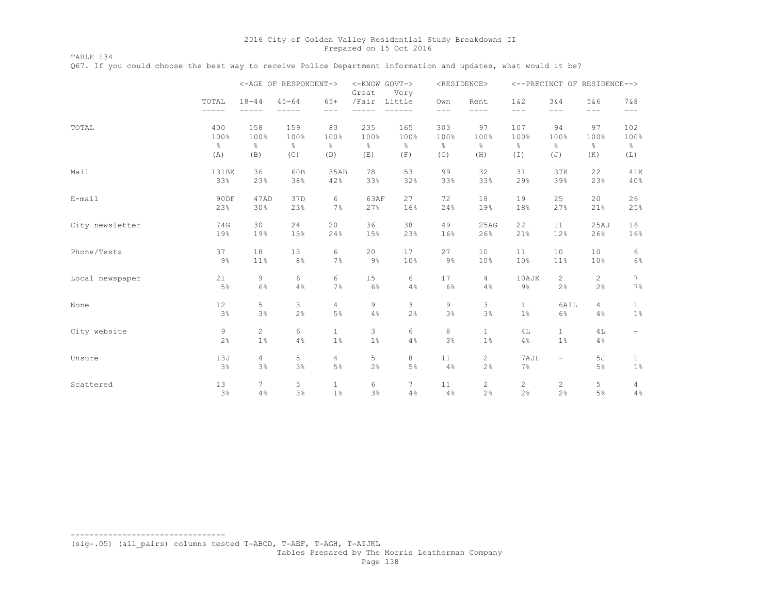TABLE 134 Q67. If you could choose the best way to receive Police Department information and updates, what would it be?

|                 |             |                      | <-AGE OF RESPONDENT-> |                    | <-KNOW GOVT-><br>Great | Very            |               | <residence></residence> |                | <--PRECINCT OF RESIDENCE--> |          |                          |
|-----------------|-------------|----------------------|-----------------------|--------------------|------------------------|-----------------|---------------|-------------------------|----------------|-----------------------------|----------|--------------------------|
|                 | TOTAL       | $18 - 44$            | $45 - 64$             | $65+$              | /Fair                  | Little          | Own           | Rent                    | 1 & 2          | 3&4                         | 5&6      | 7 & 8                    |
|                 | $- - - - -$ | $- - - - -$          | $- - -$               | $- - -$            | $- - - - - -$          | $- - - - - -$   | $---$         | $- - - -$               | $---$          | $---$                       | $---$    | $---$                    |
| TOTAL           | 400         | 158                  | 159                   | 83                 | 235                    | 165             | 303           | 97                      | 107            | 94                          | 97       | 102                      |
|                 | 100%        | 100%                 | 100%                  | 100%               | 100%                   | 100%            | 100%          | 100%                    | 100%           | 100%                        | 100%     | 100%                     |
|                 | ိင          | $\frac{6}{6}$        | $\frac{6}{5}$         | $\frac{6}{5}$      | $\frac{8}{6}$          | $\frac{6}{6}$   | $\frac{6}{6}$ | $\frac{6}{5}$           | $\frac{6}{5}$  | $\frac{6}{5}$               | $\%$     | $\frac{6}{6}$            |
|                 | (A)         | (B)                  | (C)                   | (D)                | (E)                    | (F)             | (G)           | (H)                     | (I)            | (J)                         | (K)      | (L)                      |
| Mail            | 131BK       | 36                   | 60B                   | 35AB               | 78                     | 53              | 99            | 32                      | 31             | 37K                         | 22       | 41K                      |
|                 | 33%         | 23%                  | 38%                   | 42%                | 33%                    | 32%             | 33%           | 33%                     | 29%            | 39%                         | 23%      | 40%                      |
| E-mail          | 90DF        | 47AD                 | 37D                   | 6                  | 63AF                   | 27              | 72            | 18                      | 19             | 25                          | 20       | 26                       |
|                 | 23%         | 30%                  | 23%                   | 7%                 | 27%                    | 16%             | 24%           | 19%                     | 18%            | 27%                         | 21%      | 25%                      |
| City newsletter | 74G         | 30                   | 24                    | 20                 | 36                     | 38              | 49            | 25AG                    | 22             | 11                          | 25AJ     | 16                       |
|                 | 19%         | 19%                  | 15%                   | 24%                | 15%                    | 23%             | 16%           | 26%                     | 21%            | 12%                         | 26%      | 16%                      |
| Phone/Texts     | 37          | 18                   | 13                    | 6                  | 20                     | 17              | 27            | 10                      | 11             | 10                          | 10       | 6                        |
|                 | 9%          | 11%                  | $8\frac{6}{6}$        | 7%                 | 9%                     | 10%             | 9%            | 10%                     | 10%            | 11%                         | 10%      | 6%                       |
| Local newspaper | 21          | 9                    | 6                     | 6                  | 15                     | 6               | 17            | $\overline{4}$          | 10AJK          | $\mathbf{2}$                | 2        | $7\phantom{.0}$          |
|                 | 5%          | 6%                   | 4%                    | 7%                 | 6%                     | 4%              | 6%            | 4%                      | $9\%$          | 2%                          | 2%       | 7%                       |
| None            | 12          | 5                    | 3                     | $\overline{4}$     | 9                      | 3               | 9             | 3                       | $\mathbf{1}$   | 6AIL                        | 4        | $\mathbf{1}$             |
|                 | 3%          | 3%                   | 2%                    | 5%                 | 4%                     | 2%              | 3%            | 3%                      | 1 <sup>°</sup> | 6%                          | 4%       | $1\%$                    |
| City website    | 9<br>2%     | $\overline{c}$<br>1% | 6<br>4%               | $\mathbf{1}$<br>1% | 3<br>1%                | 6<br>4%         | 8<br>3%       | $\mathbf{1}$<br>$1\%$   | 4L<br>4%       | $\mathbf{1}$<br>1%          | 4L<br>4% | $\overline{\phantom{a}}$ |
| Unsure          | 13J<br>3%   | $\overline{4}$<br>3% | 5<br>3%               | 4<br>5%            | 5<br>2%                | 8<br>5%         | 11<br>4%      | $\overline{2}$<br>2%    | 7AJL<br>7%     | $\overline{\phantom{a}}$    | 5J<br>5% | $\mathbf{1}$<br>$1\%$    |
| Scattered       | 13          | $7\overline{ }$      | 5                     | $\mathbf{1}$       | 6                      | $7\phantom{.0}$ | 11            | 2                       | $\overline{c}$ | $\overline{c}$              | 5        | 4                        |
|                 | 3%          | 4%                   | 3%                    | 1%                 | 3%                     | 4%              | 4%            | 2%                      | 2%             | 2%                          | 5%       | 4%                       |

(sig=.05) (all\_pairs) columns tested T=ABCD, T=AEF, T=AGH, T=AIJKL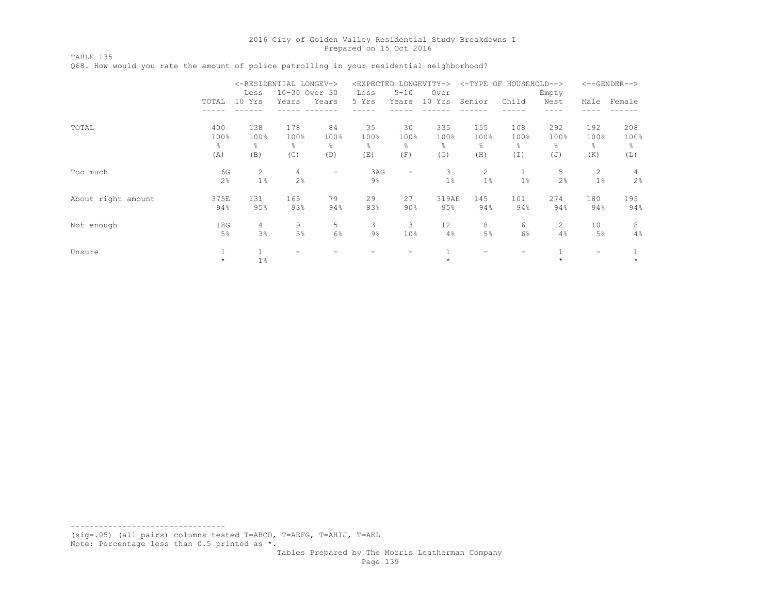TABLE 135

Q68. How would you rate the amount of police patrolling in your residential neighborhood?

|                    |         | <-RESIDENTIAL LONGEV-> |                |                          |                |                          | <expected longevity-=""></expected> | $<$ -TYPE OF | HOUSEHOLD--> |       |                          | $<-$ -GENDER--> |
|--------------------|---------|------------------------|----------------|--------------------------|----------------|--------------------------|-------------------------------------|--------------|--------------|-------|--------------------------|-----------------|
|                    |         | Less                   | 10-30 Over 30  |                          | Less           | $5 - 10$                 | Over                                |              |              | Empty |                          |                 |
|                    | TOTAL   | 10 Yrs                 | Years          | Years                    | 5 Yrs          | Years                    | 10 Yrs                              | Senior       | Child        | Nest  | Male                     | Female          |
|                    |         |                        |                |                          |                |                          |                                     |              |              |       |                          |                 |
| TOTAL              | 400     | 138                    | 178            | 84                       | 35             | 30                       | 335                                 | 155          | 108          | 292   | 192                      | 208             |
|                    | 100%    | 100%                   | 100%           | 100%                     | 100%           | 100%                     | 100%                                | 100%         | 100%         | 100%  | 100%                     | 100%            |
|                    | g.      | 옹                      | $\frac{6}{10}$ | g.                       | ⊱              | g.                       | g.                                  | g.           | g.           | ⊱     | g.                       | g.              |
|                    | (A)     | (B)                    | (C)            | (D)                      | (E)            | (F)                      | (G)                                 | (H)          | (I)          | (J)   | (K)                      | (L)             |
| Too much           | 6G      | 2                      | 4              | $\overline{\phantom{a}}$ | 3AG            | $\overline{\phantom{m}}$ | 3                                   | 2            |              | 5     | 2                        | 4               |
|                    | 2%      | $1\%$                  | 2%             |                          | $9\%$          |                          | 1 <sup>°</sup>                      | $1\%$        | $1\%$        | 2%    | 1%                       | 2%              |
| About right amount | 375E    | 131                    | 165            | 79                       | 29             | 27                       | 319AE                               | 145          | 101          | 274   | 180                      | 195             |
|                    | 94%     | 95%                    | 93%            | 94%                      | 83%            | 90%                      | 95%                                 | 94%          | 94%          | 94%   | 94%                      | 94%             |
| Not enough         | 18G     | $\overline{4}$         | 9              | 5                        | 3              | 3                        | 12                                  | 8            | 6            | 12    | 10                       | 8               |
|                    | 5%      | 3%                     | 5%             | 6%                       | $9\frac{6}{9}$ | 10 <sup>°</sup>          | 4%                                  | 5%           | 6%           | 4%    | 5%                       | 4%              |
| Unsure             | 1       | 1                      |                |                          |                |                          |                                     |              |              |       | $\overline{\phantom{0}}$ |                 |
|                    | $\star$ | $1\%$                  |                |                          |                |                          |                                     |              |              |       |                          |                 |

--------------------------------- (sig=.05) (all\_pairs) columns tested T=ABCD, T=AEFG, T=AHIJ, T=AKL

Note: Percentage less than 0.5 printed as \*.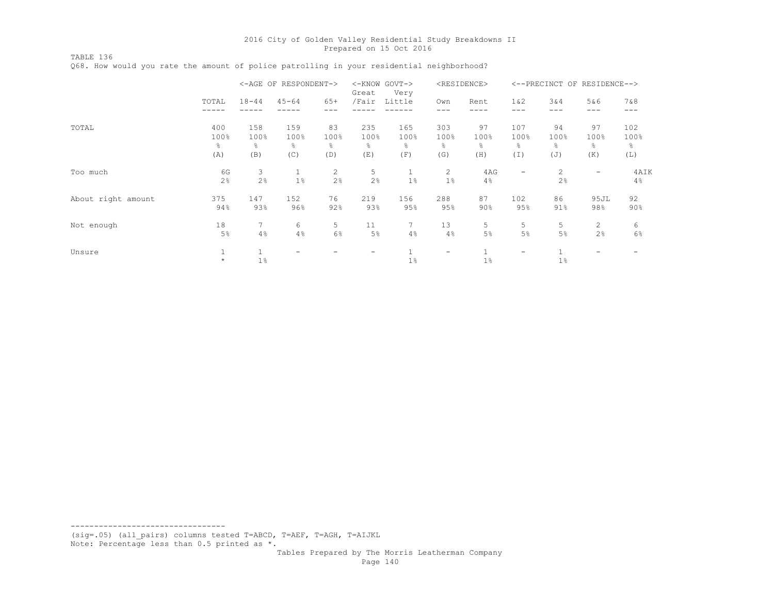TABLE 136

Q68. How would you rate the amount of police patrolling in your residential neighborhood?

|                    |         |              | <-AGE OF RESPONDENT-> |       | Great | <-KNOW GOVT-><br>Very |                          | <residence></residence> |       |      | <--PRECINCT OF RESIDENCE--> |       |
|--------------------|---------|--------------|-----------------------|-------|-------|-----------------------|--------------------------|-------------------------|-------|------|-----------------------------|-------|
|                    | TOTAL   | $18 - 44$    | $45 - 64$             | $65+$ | /Fair | Little                | Own                      | Rent                    | 1 & 2 | 3&4  | 5&6                         | 7 & 8 |
|                    |         |              |                       |       |       |                       |                          |                         |       | ---  |                             |       |
| TOTAL              | 400     | 158          | 159                   | 83    | 235   | 165                   | 303                      | 97                      | 107   | 94   | 97                          | 102   |
|                    | 100%    | 100%         | 100%                  | 100%  | 100%  | 100%                  | 100%                     | 100%                    | 100%  | 100% | 100%                        | 100%  |
|                    | ÷,      | g.           | ⊱                     | န္    | ⊱     | ÷.                    | ⊱                        | g.                      | ⊱     | ⊱    | ÷,                          | %     |
|                    | (A)     | (B)          | (C)                   | (D)   | (E)   | (F)                   | (G)                      | (H)                     | (T)   | (J)  | (K)                         | (L)   |
| Too much           | 6G      | 3            | $\mathbf{1}$          | 2     | 5     | 1                     | 2                        | 4AG                     | -     | 2    | $\overline{\phantom{m}}$    | 4AIK  |
|                    | 2%      | 2%           | $1\%$                 | 2%    | 2%    | 1%                    | 1 <sup>°</sup>           | 4%                      |       | 2%   |                             | 4%    |
| About right amount | 375     | 147          | 152                   | 76    | 219   | 156                   | 288                      | 87                      | 102   | 86   | 95JL                        | 92    |
|                    | 94%     | 93%          | 96%                   | 92%   | 93%   | 95%                   | 95%                      | $90\%$                  | 95%   | 91%  | 98%                         | 90%   |
| Not enough         | 18      | 7            | 6                     | 5     | 11    | 7                     | 13                       | 5                       | 5.    | 5    | 2                           | 6     |
|                    | 5%      | 4%           | 4%                    | 6%    | 5%    | 4%                    | 4%                       | 5%                      | 5%    | 5%   | 2%                          | 6%    |
| Unsure             |         | $\mathbf{1}$ |                       |       |       |                       | $\overline{\phantom{m}}$ |                         |       |      |                             |       |
|                    | $\star$ | $1\%$        |                       |       |       | 1%                    |                          | $1\%$                   |       | 1%   |                             |       |

--------------------------------- (sig=.05) (all\_pairs) columns tested T=ABCD, T=AEF, T=AGH, T=AIJKL

Note: Percentage less than 0.5 printed as \*.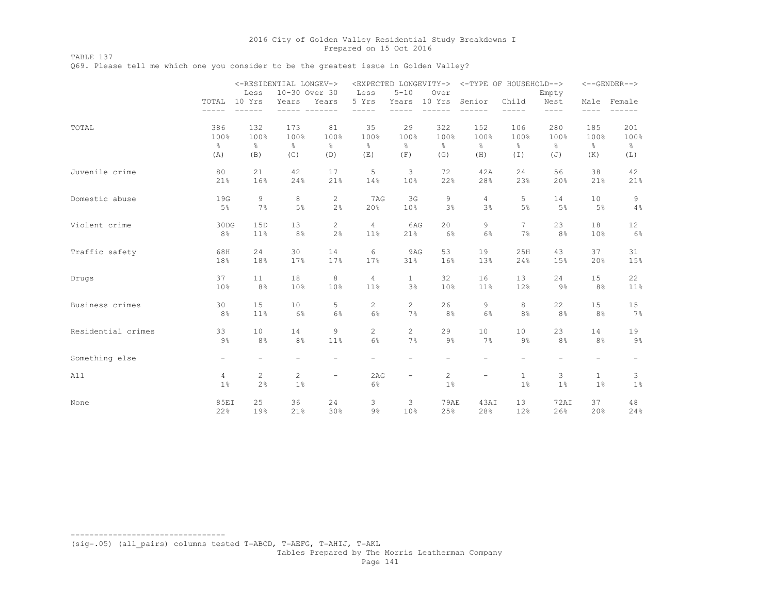TABLE 137

Q69. Please tell me which one you consider to be the greatest issue in Golden Valley?

|                    |                          | Less                                    | <-RESIDENTIAL LONGEV-><br>10-30 Over 30 |                          | Less           | $5 - 10$                 | <expected longevity-=""><br/>Over</expected> | <-TYPE OF HOUSEHOLD--> |                       | Empty                    |                          | $<-$ -GENDER--> |
|--------------------|--------------------------|-----------------------------------------|-----------------------------------------|--------------------------|----------------|--------------------------|----------------------------------------------|------------------------|-----------------------|--------------------------|--------------------------|-----------------|
|                    | TOTAL<br>$- - - - -$     | 10 Yrs<br>$---$                         | Years                                   | Years                    | 5 Yrs<br>$- -$ | Years                    | 10 Yrs                                       | Senior                 | Child<br>-----        | Nest<br>----             | Male<br>----             | Female          |
| TOTAL              | 386                      | 132                                     | 173                                     | 81                       | 35             | 29                       | 322                                          | 152                    | 106                   | 280                      | 185                      | 201             |
|                    | 100%                     | 100%                                    | 100%                                    | 100%                     | 100%           | 100%                     | 100%                                         | 100%                   | 100%                  | 100%                     | 100%                     | 100%            |
|                    | $\frac{6}{6}$            | $\frac{6}{6}$                           | $\frac{6}{6}$                           | $\frac{6}{6}$            | $\frac{6}{6}$  | $\frac{6}{6}$            | $\frac{6}{6}$                                | $\frac{\infty}{6}$     | $\frac{6}{5}$         | $\frac{6}{6}$            | $\%$                     | $\frac{6}{6}$   |
|                    | (A)                      | (B)                                     | (C)                                     | (D)                      | (E)            | (F)                      | (G)                                          | (H)                    | (I)                   | (J)                      | (K)                      | (L)             |
| Juvenile crime     | 80                       | 21                                      | 42                                      | 17                       | 5              | 3                        | 72                                           | 42A                    | 24                    | 56                       | 38                       | 42              |
|                    | 21%                      | 16%                                     | 24%                                     | 21%                      | 14%            | 10%                      | 22%                                          | 28%                    | 23%                   | 20%                      | 21%                      | 21%             |
| Domestic abuse     | 19G                      | 9                                       | 8                                       | $\mathbf{2}^{\prime}$    | 7AG            | 3G                       | 9                                            | 4                      | 5                     | 14                       | 10                       | 9               |
|                    | 5%                       | 7%                                      | $5\%$                                   | 2%                       | 20%            | 10%                      | 3%                                           | 3%                     | 5%                    | 5%                       | 5%                       | 4%              |
| Violent crime      | 30DG                     | 15D                                     | 13                                      | 2                        | 4              | 6AG                      | 20 <sub>o</sub>                              | 9                      | $7^{\circ}$           | 23                       | 18                       | 12              |
|                    | 8%                       | 11%                                     | 8%                                      | 2%                       | 11%            | 21%                      | 6%                                           | 6%                     | 7%                    | 8%                       | 10%                      | 6%              |
| Traffic safety     | 68H                      | 24                                      | 30                                      | 14                       | 6              | 9AG                      | 53                                           | 19                     | 25H                   | 43                       | 37                       | 31              |
|                    | 18%                      | 18%                                     | 17%                                     | 17%                      | 17%            | 31%                      | 16%                                          | 13%                    | 24%                   | 15%                      | 20%                      | 15%             |
| Drugs              | 37                       | 11                                      | 18                                      | 8                        | $\overline{4}$ | $\mathbf{1}$             | 32                                           | 16                     | 13                    | 24                       | 15                       | 22              |
|                    | 10%                      | 8%                                      | 10%                                     | 10%                      | 11%            | 3%                       | 10%                                          | 11%                    | 12%                   | $9\%$                    | 8%                       | 11%             |
| Business crimes    | 30                       | 15                                      | 10                                      | 5                        | 2              | $\overline{2}$           | 26                                           | 9                      | 8                     | 22                       | 15                       | 15              |
|                    | 8%                       | 11%                                     | $6\%$                                   | 6%                       | 6%             | 7%                       | 8%                                           | $6\%$                  | 8%                    | 8%                       | 8%                       | 7%              |
| Residential crimes | 33                       | 10                                      | 14                                      | 9                        | $\mathbf{2}$   | $\overline{2}$           | 29                                           | 10                     | 10 <sub>1</sub>       | 23                       | 14                       | 19              |
|                    | $9\%$                    | 8%                                      | 8%                                      | 11%                      | 6%             | 7%                       | $9\%$                                        | 7%                     | $9\%$                 | 8%                       | 8%                       | $9\%$           |
| Something else     | $\overline{\phantom{0}}$ | Ξ.                                      | Ξ.                                      | $\overline{\phantom{m}}$ |                | $\overline{\phantom{0}}$ |                                              | -                      |                       | $\overline{\phantom{a}}$ | $\overline{\phantom{a}}$ |                 |
| All                | $\overline{4}$<br>1%     | $\mathbf{2}^{\prime}$<br>2 <sup>°</sup> | $\mathbf{2}^{\prime}$<br>1%             | $\qquad \qquad -$        | 2AG<br>6%      | $\overline{\phantom{a}}$ | 2<br>$1\%$                                   | ÷                      | $\mathbf{1}$<br>$1\%$ | 3<br>1%                  | $\mathbf{1}$<br>$1\%$    | 3<br>$1\%$      |
| None               | <b>85EI</b>              | 25                                      | 36                                      | 24                       | 3              | 3                        | <b>79AE</b>                                  | 43AI                   | 13                    | 72AI                     | 37                       | 48              |
|                    | 22%                      | 19%                                     | 21%                                     | 30%                      | $9\%$          | 10%                      | 25%                                          | 28%                    | 12%                   | 26%                      | 20%                      | 24%             |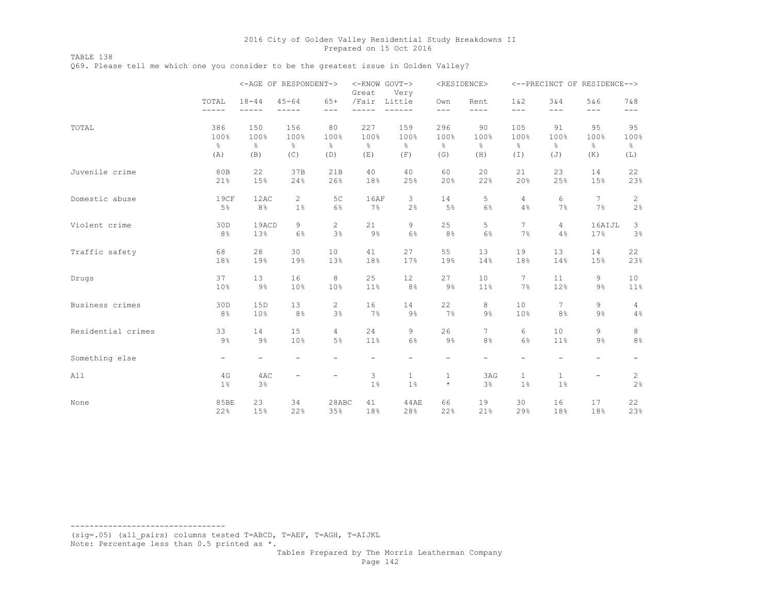TABLE 138 Q69. Please tell me which one you consider to be the greatest issue in Golden Valley?

|                    |                          |                          | <-AGE OF RESPONDENT-> |                          | <-KNOW GOVT-><br>Great   | Very                     |                         | <residence></residence> |                    |                       | <--PRECINCT OF RESIDENCE--> |                    |
|--------------------|--------------------------|--------------------------|-----------------------|--------------------------|--------------------------|--------------------------|-------------------------|-------------------------|--------------------|-----------------------|-----------------------------|--------------------|
|                    | TOTAL<br>-----           | $18 - 44$                | $45 - 64$             | $65+$<br>$---$           | /Fair Little             |                          | Own<br>$---$            | Rent<br>$- - - -$       | 1 & 2<br>$---$     | 3&4<br>$- - -$        | 5&6<br>---                  | 7 & 8<br>$---$     |
| TOTAL              | 386                      | 150                      | 156                   | 80                       | 227                      | 159                      | 296                     | 90                      | 105                | 91                    | 95                          | 95                 |
|                    | 100%                     | 100%                     | 100%                  | 100%                     | 100%                     | 100%                     | 100%                    | 100%                    | 100%               | 100%                  | 100%                        | 100%               |
|                    | $\frac{6}{6}$            | $\frac{6}{6}$            | $\frac{6}{6}$         | $\frac{6}{6}$            | $\frac{8}{6}$            | $\frac{6}{5}$            | $\frac{6}{6}$           | $\frac{6}{6}$           | $\frac{6}{6}$      | $\frac{8}{6}$         | $\frac{6}{6}$               | $\frac{6}{6}$      |
|                    | (A)                      | (B)                      | (C)                   | (D)                      | (E)                      | (F)                      | (G)                     | (H)                     | (I)                | (J)                   | (K)                         | (L)                |
| Juvenile crime     | 80B                      | 22                       | 37B                   | 21B                      | 40                       | 40                       | 60                      | 20                      | 21                 | 23                    | 14                          | 22                 |
|                    | 21%                      | 15%                      | 24%                   | 26%                      | 18%                      | 25%                      | 20%                     | 22%                     | 20%                | 25%                   | 15%                         | 23%                |
| Domestic abuse     | 19CF                     | 12AC                     | 2                     | 5C                       | 16AF                     | 3                        | 14                      | 5                       | 4                  | 6                     | $7\phantom{.0}$             | $\overline{c}$     |
|                    | $5\%$                    | 8%                       | $1\%$                 | 6%                       | 7%                       | 2%                       | $5\%$                   | $6\%$                   | 4%                 | 7%                    | 7%                          | 2%                 |
| Violent crime      | 30D                      | 19ACD                    | 9                     | $\overline{2}$           | 21                       | 9                        | 25                      | 5                       | $7^{\circ}$        | $\overline{4}$        | 16AIJL                      | 3                  |
|                    | 8%                       | 13%                      | 6%                    | 3%                       | $9\%$                    | 6%                       | 8 <sup>°</sup>          | 6%                      | 7%                 | 4%                    | 17%                         | 3%                 |
| Traffic safety     | 68                       | 28                       | 30                    | 10                       | 41                       | 27                       | 55                      | 13                      | 19                 | 13                    | 14                          | 22                 |
|                    | 18%                      | 19%                      | 19%                   | 13%                      | 18%                      | 17%                      | 19%                     | 14%                     | 18%                | 14%                   | 15%                         | 23%                |
| Drugs              | 37                       | 13                       | 16                    | 8                        | 25                       | 12                       | 27                      | 10                      | $7^{\circ}$        | 11                    | 9                           | 10                 |
|                    | 10%                      | $9\%$                    | 10%                   | 10%                      | 11%                      | 8%                       | $9\%$                   | 11%                     | 7%                 | 12%                   | 9%                          | 11%                |
| Business crimes    | 30D                      | 15D                      | 13                    | $\overline{c}$           | 16                       | 14                       | 22                      | 8                       | 10                 | 7                     | 9                           | 4                  |
|                    | 8%                       | 10%                      | 8%                    | 3%                       | 7%                       | $9\%$                    | 7%                      | $9\%$                   | 10%                | 8%                    | $9\%$                       | 4%                 |
| Residential crimes | 33                       | 14                       | 15                    | 4                        | 24                       | 9                        | 26                      | $7^{\circ}$             | 6                  | 10                    | 9                           | 8                  |
|                    | $9\%$                    | $9\%$                    | 10%                   | 5%                       | 11%                      | 6%                       | $9\%$                   | 8%                      | 6%                 | 11%                   | $9\%$                       | $8\,$ %            |
| Something else     | $\overline{\phantom{0}}$ | $\overline{\phantom{0}}$ |                       | $\overline{a}$           | $\overline{\phantom{0}}$ | $\overline{\phantom{0}}$ | $\qquad \qquad -$       | -                       |                    |                       | $\overline{\phantom{0}}$    |                    |
| All                | 4G<br>1%                 | 4AC<br>3%                |                       | $\overline{\phantom{a}}$ | 3<br>$1\%$               | $\mathbf{1}$<br>$1\%$    | $\mathbf{1}$<br>$\star$ | 3AG<br>3%               | $\mathbf{1}$<br>1% | $\mathbf{1}$<br>$1\%$ | $\overline{\phantom{a}}$    | $\mathbf{2}$<br>2% |
| None               | 85BE                     | 23                       | 34                    | 28ABC                    | 41                       | 44AE                     | 66                      | 19                      | 30                 | 16                    | 17                          | 22                 |
|                    | 22%                      | 15%                      | 22%                   | 35%                      | 18%                      | 28%                      | 22%                     | 21%                     | 29%                | 18%                   | 18%                         | 23%                |

--------------------------------- (sig=.05) (all\_pairs) columns tested T=ABCD, T=AEF, T=AGH, T=AIJKL Note: Percentage less than 0.5 printed as \*.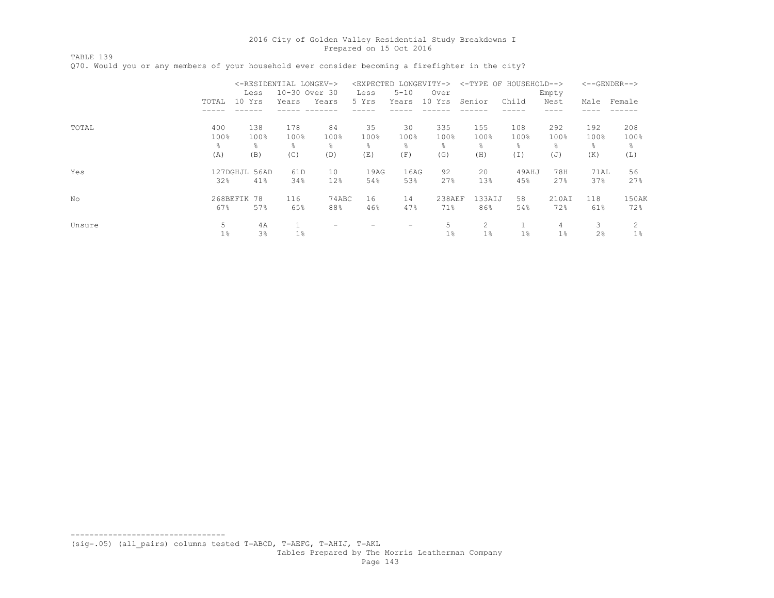TABLE 139

|        |       | <-RESIDENTIAL LONGEV-> |               |       | <expected< th=""><th></th><th>LONGEVITY-&gt;</th><th></th><th>&lt;-TYPE OF HOUSEHOLD--&gt;</th><th></th><th></th><th><math>&lt;-</math>-GENDER--&gt;</th></expected<> |                | LONGEVITY-> |                | <-TYPE OF HOUSEHOLD--> |       |      | $<-$ -GENDER--> |
|--------|-------|------------------------|---------------|-------|-----------------------------------------------------------------------------------------------------------------------------------------------------------------------|----------------|-------------|----------------|------------------------|-------|------|-----------------|
|        |       | Less                   | 10-30 Over 30 |       | Less                                                                                                                                                                  | $5 - 10$       | Over        |                |                        | Empty |      |                 |
|        | TOTAL | 10 Yrs                 | Years         | Years | 5 Yrs                                                                                                                                                                 | Years          | 10 Yrs      | Senior         | Child                  | Nest  | Male | Female          |
|        |       |                        |               |       |                                                                                                                                                                       |                |             |                |                        |       |      |                 |
| TOTAL  | 400   | 138                    | 178           | 84    | 35                                                                                                                                                                    | 30             | 335         | 155            | 108                    | 292   | 192  | 208             |
|        | 100%  | 100%                   | 100%          | 100%  | 100%                                                                                                                                                                  | 100%           | 100%        | 100%           | 100%                   | 100%  | 100% | 100%            |
|        | g.    | 옹                      | ⊱             | ⊱     | $\frac{6}{10}$                                                                                                                                                        | $\frac{6}{10}$ | ⊱           | $\frac{6}{10}$ | 옹                      | ⊱     | ÷,   | g.              |
|        | (A)   | (B)                    | (C)           | (D)   | (E)                                                                                                                                                                   | (F)            | (G)         | (H)            | (I)                    | (J)   | (K)  | (L)             |
| Yes    |       | 127DGHJL 56AD          | 61D           | 10    | 19AG                                                                                                                                                                  | 16AG           | 92          | 20             | 49AHJ                  | 78H   | 71AL | 56              |
|        | 32%   | 41%                    | 34%           | 12%   | 54%                                                                                                                                                                   | 53%            | 27%         | 13%            | 45%                    | 27%   | 37%  | 27%             |
| No     |       | 268BEFIK 78            | 116           | 74ABC | 16                                                                                                                                                                    | 14             | 238AEF      | 133AIJ         | 58                     | 210AI | 118  | 150AK           |
|        | 67%   | 57%                    | 65%           | 88%   | 46%                                                                                                                                                                   | 47%            | 71%         | 86%            | 54%                    | 72%   | 61%  | 72%             |
| Unsure | 5     | 4A                     | 1             | ۰     |                                                                                                                                                                       |                | 5           | 2              |                        | 4     | 3    | $\mathcal{L}$   |
|        | $1\%$ | 3 <sup>°</sup>         | $1\%$         |       |                                                                                                                                                                       |                | 1%          | $1\%$          | $1\%$                  | $1\%$ | 2%   | $1\%$           |

Q70. Would you or any members of your household ever consider becoming a firefighter in the city?

(sig=.05) (all\_pairs) columns tested T=ABCD, T=AEFG, T=AHIJ, T=AKL

---------------------------------

Tables Prepared by The Morris Leatherman Company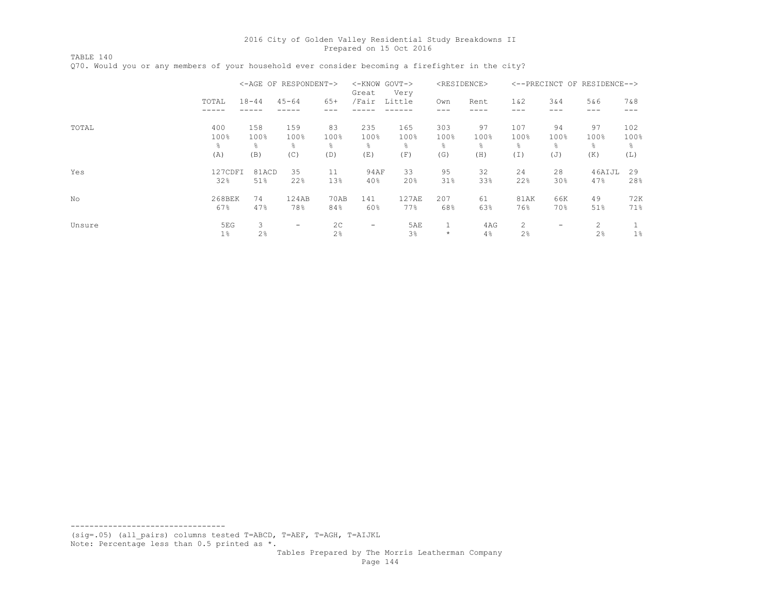TABLE 140 Q70. Would you or any members of your household ever consider becoming a firefighter in the city?

|        |         |               | <-AGE OF RESPONDENT-> |                | <-KNOW GOVT-><br>Great | Very   |         | <residence></residence> |             |            | <--PRECINCT OF RESIDENCE--> |       |
|--------|---------|---------------|-----------------------|----------------|------------------------|--------|---------|-------------------------|-------------|------------|-----------------------------|-------|
|        | TOTAL   | $18 - 44$     | $45 - 64$             | $65+$          | /Fair                  | Little | Own     | Rent                    | $1\&2$      | 3&4<br>--- | 5&6<br>---                  | 7&8   |
|        |         |               |                       |                |                        |        |         |                         |             |            |                             |       |
| TOTAL  | 400     | 158           | 159                   | 83             | 235                    | 165    | 303     | 97                      | 107         | 94         | 97                          | 102   |
|        | 100%    | 100%          | 100%                  | 100%           | 100%                   | 100%   | 100%    | 100%                    | 100%        | 100%       | 100%                        | 100%  |
|        | g.      | $\frac{6}{6}$ | g.                    | 옹              | g.                     | g.     | g.      | g.                      | 옹           | ⊱          | g.                          | 옹     |
|        | (A)     | (B)           | (C)                   | (D)            | (E)                    | (F)    | (G)     | (H)                     | (I)         | (J)        | (K)                         | (L)   |
| Yes    | 127CDFI | 81ACD         | 35                    | 11             | 94AF                   | 33     | 95      | 32                      | 24          | 28         | 46AIJL                      | 29    |
|        | 32%     | 51%           | 22%                   | 13%            | 40%                    | 20%    | 31%     | 33%                     | 22%         | 30%        | 47%                         | 28%   |
| No     | 268BEK  | 74            | 124AB                 | 70AB           | 141                    | 127AE  | 207     | 61                      | <b>81AK</b> | 66K        | 49                          | 72K   |
|        | 67%     | 47%           | 78%                   | 84%            | 60%                    | 77%    | 68%     | 63%                     | 76%         | 70%        | 51%                         | 71%   |
| Unsure | 5EG     | 3             | -                     | 2 <sup>c</sup> | $\qquad \qquad$        | 5AE    |         | 4AG                     | 2           | -          | 2                           |       |
|        | $1\%$   | 2%            |                       | 2%             |                        | 3%     | $\star$ | 4%                      | 2%          |            | 2%                          | $1\%$ |

--------------------------------- (sig=.05) (all\_pairs) columns tested T=ABCD, T=AEF, T=AGH, T=AIJKL

Note: Percentage less than 0.5 printed as \*.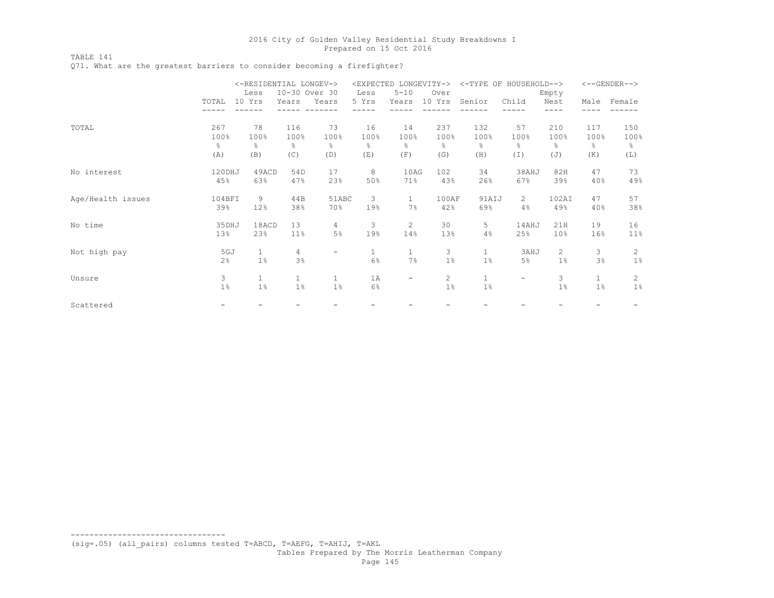TABLE 141

Q71. What are the greatest barriers to consider becoming a firefighter?

|                   |        | <-RESIDENTIAL LONGEV-> |               |              |               | <expected longevity-=""></expected> |                       | <-TYPE OF HOUSEHOLD--> |                |                 |              | $<-$ -GENDER--> |
|-------------------|--------|------------------------|---------------|--------------|---------------|-------------------------------------|-----------------------|------------------------|----------------|-----------------|--------------|-----------------|
|                   |        | Less                   | 10-30 Over 30 |              | Less          | $5 - 10$                            | Over                  |                        |                | Empty           |              |                 |
|                   | TOTAL  | 10 Yrs                 | Years         | Years        | 5 Yrs         | Years                               | 10 Yrs                | Senior                 | Child          | Nest            | Male         | Female          |
|                   |        |                        |               |              |               |                                     |                       |                        |                |                 |              |                 |
| TOTAL             | 267    | 78                     | 116           | 73           | 16            | 14                                  | 237                   | 132                    | 57             | 210             | 117          | 150             |
|                   | 100%   | 100%                   | 100%          | 100%         | 100%          | 100%                                | 100%                  | 100%                   | 100%           | 100%            | 100%         | 100%            |
|                   | g.     | ⊱                      | $\frac{6}{6}$ | ⊱            | $\frac{6}{6}$ | &                                   | ⊱                     | ိင                     | 옹              | $\frac{6}{6}$   | 옹            | ိင              |
|                   | (A)    | (B)                    | (C)           | (D)          | (E)           | (F)                                 | (G)                   | (H)                    | (I)            | (J)             | (K)          | (L)             |
| No interest       | 120DHJ | 49ACD                  | 54D           | 17           | 8             | 10AG                                | 102                   | 34                     | 38AHJ          | 82H             | 47           | 73              |
|                   | 45%    | 63%                    | 47%           | 23%          | 50%           | 71%                                 | 43%                   | 26%                    | 67%            | 39%             | 40%          | 49%             |
| Age/Health issues | 104BFI | 9                      | 44B           | 51ABC        | 3             | $\mathbf{1}$                        | 100AF                 | 91AIJ                  | $\overline{2}$ | 102AI           | 47           | 57              |
|                   | 39%    | 12%                    | 38%           | 70%          | 19%           | 7%                                  | 42%                   | 69%                    | 4%             | 49%             | 40%          | 38%             |
| No time           | 35DHJ  | 18ACD                  | 13            | 4            | 3             | 2                                   | 30                    | 5                      | 14AHJ          | 21H             | 19           | 16              |
|                   | 13%    | 23%                    | 11%           | 5%           | 19%           | 14%                                 | 13%                   | 4%                     | 25%            | 10 <sup>°</sup> | 16%          | 11%             |
| Not high pay      | 5GJ    | $\mathbf{1}$           | 4             | -            | $1\,$         | $\mathbf 1$                         | 3                     | $\mathbf{1}$           | 3AHJ           | $\overline{2}$  | 3            | $\mathbf{2}$    |
|                   | 2%     | $1\%$                  | 3%            |              | 6%            | 7%                                  | $1\%$                 | $1\%$                  | $5\%$          | $1\%$           | 3%           | $1\%$           |
| Unsure            | 3      | $\mathbf{1}$           | $\mathbf{1}$  | $\mathbf{1}$ | 1A            | $\overline{\phantom{m}}$            | $\mathbf{2}^{\prime}$ | 1                      | Ξ.             | 3               | $\mathbf{1}$ | 2               |
|                   | 1%     | $1\%$                  | $1\%$         | 1%           | 6%            |                                     | $1\%$                 | $1\%$                  |                | $1\%$           | 1%           | $1\%$           |
| Scattered         |        |                        |               |              |               |                                     |                       |                        |                |                 |              |                 |

(sig=.05) (all\_pairs) columns tested T=ABCD, T=AEFG, T=AHIJ, T=AKL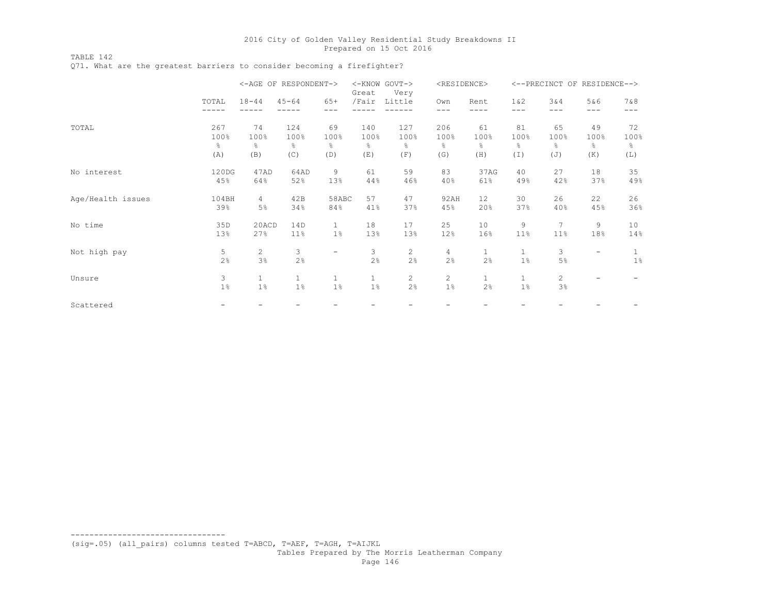TABLE 142

Q71. What are the greatest barriers to consider becoming a firefighter?

|                   |               |                       | <-AGE OF RESPONDENT-> |                          | Great        | <-KNOW GOVT-><br>Very | <residence></residence> |                   |               | <--PRECINCT OF RESIDENCE--> |                          |               |
|-------------------|---------------|-----------------------|-----------------------|--------------------------|--------------|-----------------------|-------------------------|-------------------|---------------|-----------------------------|--------------------------|---------------|
|                   | TOTAL         | $18 - 44$             | $45 - 64$             | $65+$                    | /Fair        | Little                | Own                     | Rent              | 1 & 2         | 3 & 4                       | 5&6                      | 7 & 8         |
|                   |               |                       |                       |                          |              |                       |                         |                   | ---           | $---$                       | ---                      |               |
| TOTAL             | 267           | 74                    | 124                   | 69                       | 140          | 127                   | 206                     | 61                | 81            | 65                          | 49                       | 72            |
|                   | 100%          | 100%                  | 100%                  | 100%                     | 100%         | 100%                  | 100%                    | 100%              | 100%          | 100%                        | 100%                     | 100%          |
|                   | $\frac{6}{5}$ | $\frac{6}{6}$         | $\frac{6}{6}$         | $\frac{6}{6}$            | 옹            | $\frac{\circ}{6}$     | g.                      | $\frac{\circ}{6}$ | $\frac{6}{6}$ | $\frac{\circ}{6}$           | $\%$                     | $\frac{6}{6}$ |
|                   | (A)           | (B)                   | (C)                   | (D)                      | (E)          | (F)                   | (G)                     | (H)               | (I)           | (J)                         | (K)                      | (L)           |
| No interest       | 120DG         | 47AD                  | 64AD                  | 9                        | 61           | 59                    | 83                      | 37AG              | 40            | 27                          | 18                       | 35            |
|                   | 45%           | 64%                   | 52%                   | 13%                      | 44%          | 46%                   | 40%                     | 61%               | 49%           | 42%                         | 37%                      | 49%           |
| Age/Health issues | 104BH         | $\overline{4}$        | 42B                   | 58ABC                    | 57           | 47                    | 92AH                    | 12                | 30            | 26                          | 22                       | 26            |
|                   | 39%           | 5%                    | 34%                   | 84%                      | 41%          | 37%                   | 45%                     | 20%               | 37%           | 40%                         | 45%                      | 36%           |
| No time           | 35D           | 20ACD                 | 14D                   | $\mathbf{1}$             | 18           | 17                    | 25                      | 10                | 9             | $\overline{7}$              | 9                        | 10            |
|                   | 13%           | 27%                   | 11%                   | $1\%$                    | 13%          | 13%                   | 12%                     | 16%               | 11%           | 11%                         | 18%                      | 14%           |
| Not high pay      | 5             | $\mathbf{2}^{\prime}$ | 3                     | $\overline{\phantom{m}}$ | 3            | $\overline{c}$        | $\overline{4}$          | 1                 | $\mathbf{1}$  | 3                           | $\overline{\phantom{0}}$ | $\mathbf{1}$  |
|                   | 2%            | 3%                    | 2%                    |                          | 2%           | 2%                    | 2%                      | 2%                | 1%            | 5%                          |                          | $1\%$         |
| Unsure            | 3             | $\mathbf{1}$          | $\mathbf{1}$          | $\mathbf{1}$             | $\mathbf{1}$ | $\overline{c}$        | $\mathbf{2}^{\prime}$   | $\mathbf{1}$      | $\mathbf{1}$  | $\mathbf{2}^{\prime}$       |                          |               |
|                   | 1%            | 1%                    | $1\%$                 | $1\%$                    | $1\%$        | 2%                    | $1\%$                   | 2%                | $1\%$         | 3%                          |                          |               |
| Scattered         |               | -                     |                       |                          |              |                       |                         |                   |               |                             |                          |               |

(sig=.05) (all\_pairs) columns tested T=ABCD, T=AEF, T=AGH, T=AIJKL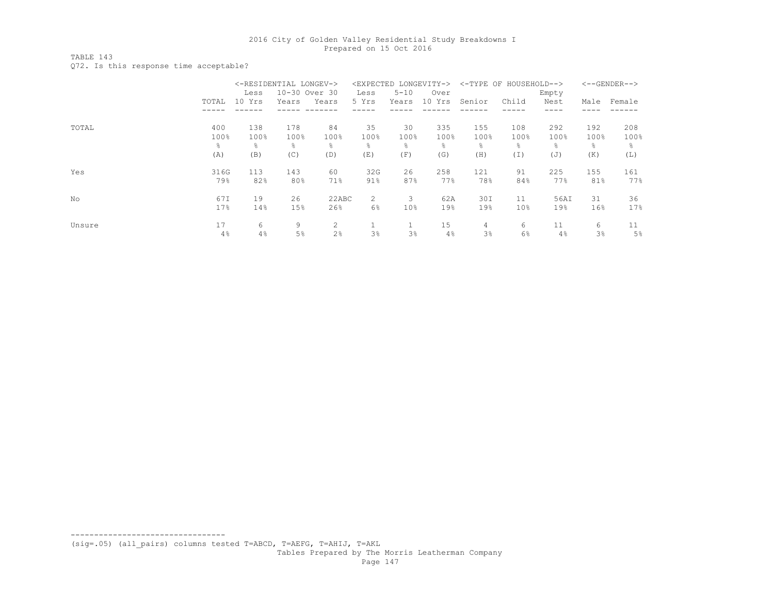# TABLE 143

Q72. Is this response time acceptable?

|        |                 | <-RESIDENTIAL LONGEV-> |               |       | <expected< th=""><th></th><th>LONGEVITY-&gt;</th><th><math>&lt;-TYPE</math> OF</th><th>HOUSEHOLD--&gt;</th><th></th><th></th><th><math>&lt;-</math>-GENDER--&gt;</th></expected<> |                 | LONGEVITY-> | $<-TYPE$ OF | HOUSEHOLD-->    |       |      | $<-$ -GENDER--> |
|--------|-----------------|------------------------|---------------|-------|-----------------------------------------------------------------------------------------------------------------------------------------------------------------------------------|-----------------|-------------|-------------|-----------------|-------|------|-----------------|
|        |                 | Less                   | 10-30 Over 30 |       | Less                                                                                                                                                                              | $5 - 10$        | Over        |             |                 | Empty |      |                 |
|        | TOTAL           | 10 Yrs                 | Years         | Years | 5 Yrs                                                                                                                                                                             | Years           | 10 Yrs      | Senior      | Child           | Nest  | Male | Female          |
|        |                 |                        |               |       |                                                                                                                                                                                   |                 |             |             |                 |       |      |                 |
| TOTAL  | 400             | 138                    | 178           | 84    | 35                                                                                                                                                                                | 30              | 335         | 155         | 108             | 292   | 192  | 208             |
|        | 100%            | 100%                   | 100%          | 100%  | 100%                                                                                                                                                                              | 100%            | 100%        | 100%        | 100%            | 100%  | 100% | 100%            |
|        | ိင              | 옹                      | ⊱             | 옹     | ⊱                                                                                                                                                                                 | g.              | g.          | g.          | 옹               | ⊱     | g.   | 옹               |
|        | (A)             | (B)                    | (C)           | (D)   | (E)                                                                                                                                                                               | (F)             | (G)         | (H)         | (I)             | (J)   | (K)  | (L)             |
| Yes    | 316G            | 113                    | 143           | 60    | 32G                                                                                                                                                                               | 26              | 258         | 121         | 91              | 225   | 155  | 161             |
|        | 79%             | 82%                    | 80%           | 71%   | $91\%$                                                                                                                                                                            | 87%             | 77%         | 78%         | 84%             | 77%   | 81%  | 77%             |
| No     | 67I             | 19                     | 26            | 22ABC | 2                                                                                                                                                                                 | 3               | 62A         | 30I         | 11              | 56AI  | 31   | 36              |
|        | 17 <sub>8</sub> | 14%                    | 15%           | 26%   | 6%                                                                                                                                                                                | 10 <sup>°</sup> | 19%         | 19%         | 10 <sub>8</sub> | 19%   | 16%  | 17%             |
| Unsure | 17              | 6                      | 9             | 2     |                                                                                                                                                                                   | -1              | 15          | 4           | 6               | 11    | 6    | 11              |
|        | 4%              | 4%                     | 5%            | 2%    | 3%                                                                                                                                                                                | 3%              | 4%          | 3%          | 6%              | 4%    | 3%   | 5%              |

(sig=.05) (all\_pairs) columns tested T=ABCD, T=AEFG, T=AHIJ, T=AKL

---------------------------------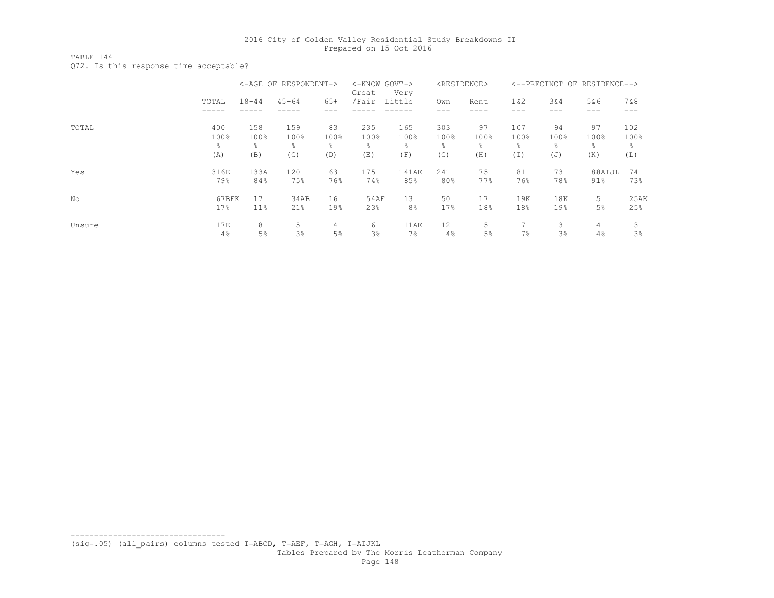# TABLE 144

Q72. Is this response time acceptable?

|        |       |           | <-AGE OF RESPONDENT-> |       | <-KNOW GOVT-><br>Great | Very      |      | <residence></residence> |       | <--PRECINCT OF | RESIDENCE-->   |      |
|--------|-------|-----------|-----------------------|-------|------------------------|-----------|------|-------------------------|-------|----------------|----------------|------|
|        | TOTAL | $18 - 44$ | $45 - 64$             | $65+$ | /Fair                  | Little    | Own  | Rent                    | 1 & 2 | 3&4            | 5&6            | 7&8  |
|        |       |           |                       |       |                        |           |      |                         |       |                | ---            | ---  |
| TOTAL  | 400   | 158       | 159                   | 83    | 235                    | 165       | 303  | 97                      | 107   | 94             | 97             | 102  |
|        | 100%  | 100%      | 100%                  | 100%  | 100%                   | 100%      | 100% | 100%                    | 100%  | 100%           | 100%           | 100% |
|        | g.    | 옹         | ٩,                    | g.    | ⊱                      | $\approx$ | g.   | ⊱                       | ⊱     | ٩,             | $\frac{6}{10}$ | g.   |
|        | (A)   | (B)       | (C)                   | (D)   | (E)                    | (F)       | (G)  | (H)                     | (I)   | (J)            | (K)            | (L)  |
| Yes    | 316E  | 133A      | 120                   | 63    | 175                    | 141AE     | 241  | 75                      | 81    | 73             | 88AIJL         | 74   |
|        | 79%   | 84%       | 75%                   | 76%   | 74%                    | 85%       | 80%  | 77%                     | 76%   | 78%            | $91\%$         | 73%  |
| No     | 67BFK | 17        | 34AB                  | 16    | 54AF                   | 13        | 50   | 17                      | 19K   | 18K            | 5              | 25AK |
|        | 17%   | 11%       | 21%                   | 19%   | 23%                    | 8%        | 17%  | 18%                     | 18%   | 19%            | 5%             | 25%  |
| Unsure | 17E   | 8         | 5                     | 4     | 6                      | 11AE      | 12   | 5.                      |       | 3              | 4              | 3    |
|        | 4%    | 5%        | 3%                    | 5%    | 3%                     | 7%        | 4%   | 5%                      | 7%    | 3%             | 4%             | 3%   |

(sig=.05) (all\_pairs) columns tested T=ABCD, T=AEF, T=AGH, T=AIJKL

---------------------------------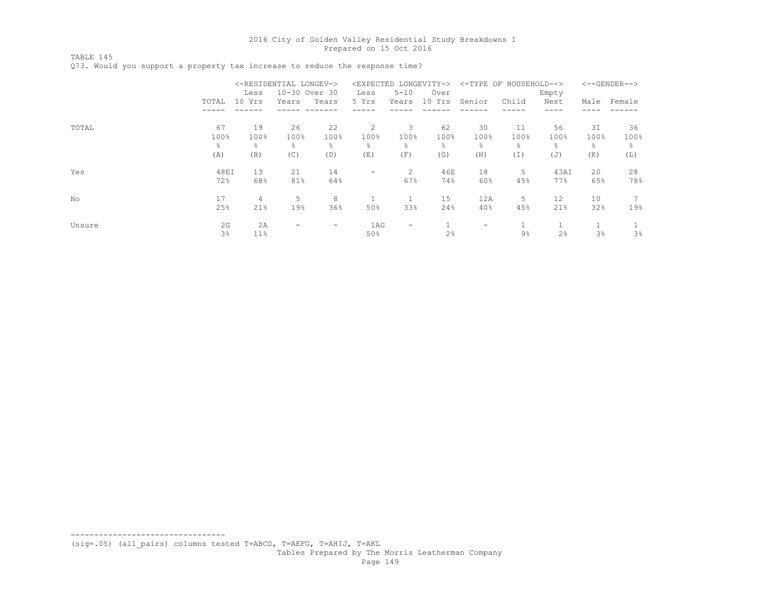TABLE 145

Q73. Would you support a property tax increase to reduce the response time?

|        |       | <-RESIDENTIAL LONGEV-> |               |                          | <expected longevity-=""></expected> |                   |                |                | <-TYPE OF HOUSEHOLD--> |                |      | $<-$ -GENDER--> |
|--------|-------|------------------------|---------------|--------------------------|-------------------------------------|-------------------|----------------|----------------|------------------------|----------------|------|-----------------|
|        |       | Less                   | 10-30 Over 30 |                          | Less                                | $5 - 10$          | Over           |                |                        | Empty          |      |                 |
|        | TOTAL | 10 Yrs                 | Years         | Years                    | 5 Yrs                               | Years             | 10 Yrs         | Senior         | Child                  | Nest           | Male | Female          |
|        |       |                        |               |                          |                                     |                   |                |                |                        |                |      |                 |
| TOTAL  | 67    | 19                     | 26            | 22                       | 2                                   | 3                 | 62             | 30             | 11                     | 56             | 31   | 36              |
|        | 100%  | 100%                   | 100%          | 100%                     | 100%                                | 100%              | 100%           | 100%           | 100%                   | 100%           | 100% | 100%            |
|        | ÷,    | g.                     | g.            | 옹                        | ⊱                                   | ÷.                | $\frac{6}{10}$ | $\frac{6}{10}$ | g.                     | $\frac{6}{10}$ | g.   | ⊱               |
|        | (A)   | (B)                    | (C)           | (D)                      | (E)                                 | (F)               | (G)            | (H)            | (I)                    | (J)            | (K)  | (L)             |
| Yes    | 48EI  | 13                     | 21            | 14                       | $\overline{\phantom{m}}$            | 2                 | 46E            | 18             | 5.                     | 43AI           | 20   | 28              |
|        | 72%   | 68%                    | 81%           | 64%                      |                                     | 67%               | 74%            | 60%            | 45%                    | 77.8           | 65%  | 78%             |
| No     | 17    | 4                      | 5             | 8                        |                                     |                   | 15             | 12A            | 5.                     | 12             | 10   |                 |
|        | 25%   | 21%                    | 19%           | 36%                      | 50%                                 | 33%               | 24%            | 40%            | 45%                    | 21%            | 32%  | 19%             |
| Unsure | 2G    | 2A                     |               | $\overline{\phantom{0}}$ | 1AG                                 | $\qquad \qquad -$ |                | -              |                        |                |      |                 |
|        | 3%    | 11%                    |               |                          | 50%                                 |                   | 2%             |                | $9\%$                  | 2%             | 3%   | 3%              |

(sig=.05) (all\_pairs) columns tested T=ABCD, T=AEFG, T=AHIJ, T=AKL

---------------------------------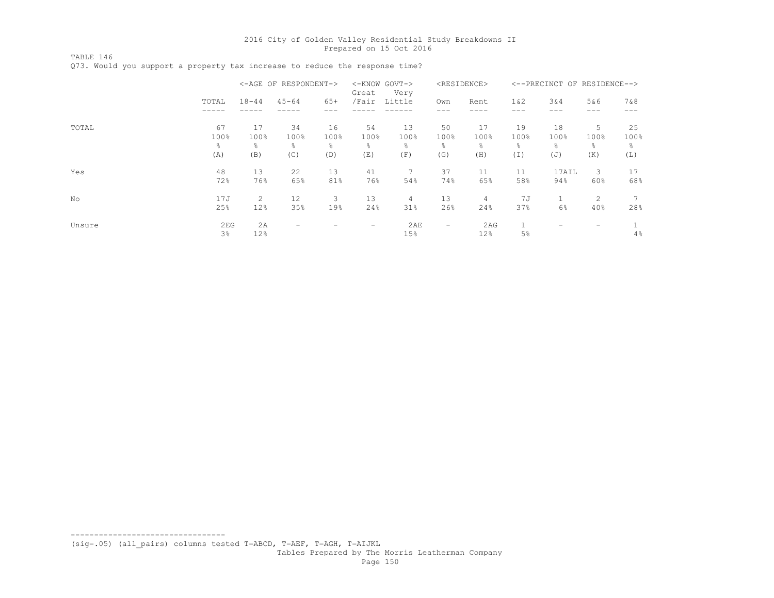TABLE 146 Q73. Would you support a property tax increase to reduce the response time?

|        |                        |                         | <-AGE OF RESPONDENT->   |                        | <-KNOW GOVT-><br>Great | Very                   |                         | <residence></residence> |                         | <--PRECINCT OF RESIDENCE--> |                          |                        |
|--------|------------------------|-------------------------|-------------------------|------------------------|------------------------|------------------------|-------------------------|-------------------------|-------------------------|-----------------------------|--------------------------|------------------------|
|        | TOTAL                  | $18 - 44$               | $45 - 64$               | $65+$                  | /Fair                  | Little                 | Own                     | Rent                    | $1\&2$                  | 3&4<br>---                  | 5&6<br>---               | 7 & 8                  |
| TOTAL  | 67<br>100%<br>옹<br>(A) | 17<br>100%<br>g.<br>(B) | 34<br>100%<br>g.<br>(C) | 16<br>100%<br>옹<br>(D) | 54<br>100%<br>⊱<br>(E) | 13<br>100%<br>⊱<br>(F) | 50<br>100%<br>g.<br>(G) | 17<br>100%<br>g.<br>(H) | 19<br>100%<br>g.<br>(I) | 18<br>100%<br>g.<br>(J)     | 5<br>100%<br>⊱<br>(K)    | 25<br>100%<br>⊱<br>(L) |
| Yes    | 48<br>72%              | 13<br>76%               | 22<br>65%               | 13<br>81%              | 41<br>76%              | 7<br>54%               | 37<br>74%               | 11<br>65%               | 11<br>58%               | 17AIL<br>94%                | 3<br>60%                 | 17<br>68%              |
| No     | 17J<br>25%             | 2<br>12%                | 12<br>35%               | 3<br>19%               | 13<br>24%              | 4<br>31%               | 13<br>26%               | 4<br>24%                | 7J<br>37%               | 6%                          | 2<br>40%                 | 7<br>28%               |
| Unsure | 2EG<br>3%              | 2A<br>12%               | -                       |                        | ۰                      | 2AE<br>15%             | -                       | 2AG<br>12%              | 5%                      |                             | $\overline{\phantom{0}}$ | 4%                     |

(sig=.05) (all\_pairs) columns tested T=ABCD, T=AEF, T=AGH, T=AIJKL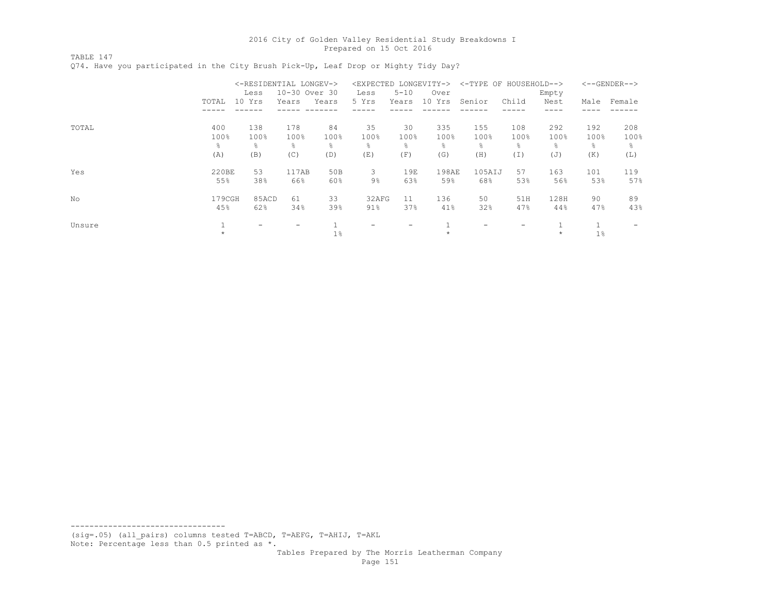TABLE 147

Q74. Have you participated in the City Brush Pick-Up, Leaf Drop or Mighty Tidy Day?

|        |        | <-RESIDENTIAL LONGEV-> |               |       | <expected longevity-=""></expected> |          |         | <-TYPE OF HOUSEHOLD--> |       |         |       | $<-$ -GENDER--> |
|--------|--------|------------------------|---------------|-------|-------------------------------------|----------|---------|------------------------|-------|---------|-------|-----------------|
|        |        | Less                   | 10-30 Over 30 |       | Less                                | $5 - 10$ | Over    |                        |       | Empty   |       |                 |
|        | TOTAL  | 10 Yrs                 | Years         | Years | 5 Yrs                               | Years    | 10 Yrs  | Senior                 | Child | Nest    | Male  | Female          |
|        |        |                        |               |       |                                     |          |         |                        |       |         |       |                 |
| TOTAL  | 400    | 138                    | 178           | 84    | 35                                  | 30       | 335     | 155                    | 108   | 292     | 192   | 208             |
|        | 100%   | 100%                   | 100%          | 100%  | 100%                                | 100%     | 100%    | 100%                   | 100%  | 100%    | 100%  | 100%            |
|        | ိင     | g.                     | ⊱             | 옹     | g.                                  | g.       | 욲       | g.                     | 옹     | ⊱       | g.    | 옹               |
|        | (A)    | (B)                    | (C)           | (D)   | (E)                                 | (F)      | (G)     | (H)                    | (I)   | (J)     | (K)   | (L)             |
| Yes    | 220BE  | 53                     | 117AB         | 50B   | 3                                   | 19E      | 198AE   | 105AIJ                 | 57    | 163     | 101   | 119             |
|        | 55%    | 38%                    | 66%           | 60%   | $9\%$                               | 63%      | 59%     | 68%                    | 53%   | 56%     | 53%   | 57%             |
| No     | 179CGH | 85ACD                  | 61            | 33    | 32AFG                               | 11       | 136     | 50                     | 51H   | 128H    | 90    | 89              |
|        | 45%    | 62%                    | 34%           | 39%   | $91\%$                              | 37%      | 41%     | 32%                    | 47%   | 44%     | 47%   | 43%             |
| Unsure |        |                        | -             |       |                                     | -        |         |                        |       |         |       |                 |
|        |        |                        |               | 1%    |                                     |          | $\star$ |                        |       | $\star$ | $1\%$ |                 |

--------------------------------- (sig=.05) (all\_pairs) columns tested T=ABCD, T=AEFG, T=AHIJ, T=AKL Note: Percentage less than 0.5 printed as \*.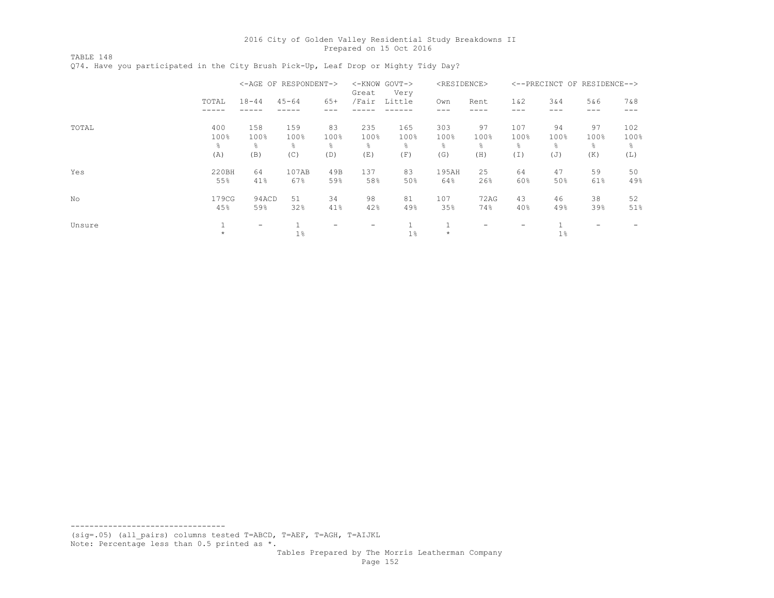TABLE 148 Q74. Have you participated in the City Brush Pick-Up, Leaf Drop or Mighty Tidy Day?

|        |         | <-AGE OF RESPONDENT-> |           |       | Great           | <-KNOW GOVT-><br>Very | <residence></residence> |      |       |      | <--PRECINCT OF RESIDENCE--> |       |
|--------|---------|-----------------------|-----------|-------|-----------------|-----------------------|-------------------------|------|-------|------|-----------------------------|-------|
|        | TOTAL   | $18 - 44$             | $45 - 64$ | $65+$ | /Fair           | Little                | Own                     | Rent | 1 & 2 | 3&4  | 5&6<br>---                  | 7 & 8 |
| TOTAL  | 400     | 158                   | 159       | 83    | 235             | 165                   | 303                     | 97   | 107   | 94   | 97                          | 102   |
|        | 100%    | 100%                  | 100%      | 100%  | 100%            | 100%                  | 100%                    | 100% | 100%  | 100% | 100%                        | 100%  |
|        | g.      | g.                    | ⊱         | 옹     | ⊱               | g.                    | 욲                       | g.   | 옹     | ⊱    | g.                          | 옹     |
|        | (A)     | (B)                   | (C)       | (D)   | (E)             | (F)                   | (G)                     | (H)  | (I)   | (J)  | (K)                         | (L)   |
| Yes    | 220BH   | 64                    | 107AB     | 49B   | 137             | 83                    | 195AH                   | 25   | 64    | 47   | 59                          | 50    |
|        | 55%     | 41%                   | 67%       | 59%   | 58%             | 50%                   | 64%                     | 26%  | 60%   | 50%  | 61%                         | 49%   |
| No     | 179CG   | 94ACD                 | 51        | 34    | 98              | 81                    | 107                     | 72AG | 43    | 46   | 38                          | 52    |
|        | 45%     | 59%                   | 32%       | 41%   | 42%             | 49%                   | 35%                     | 74%  | 40%   | 49%  | 39%                         | 51%   |
| Unsure | $\star$ | ۰                     | $1\%$     |       | $\qquad \qquad$ | $1\%$                 | $\star$                 |      |       | 1%   |                             |       |

--------------------------------- (sig=.05) (all\_pairs) columns tested T=ABCD, T=AEF, T=AGH, T=AIJKL Note: Percentage less than 0.5 printed as \*.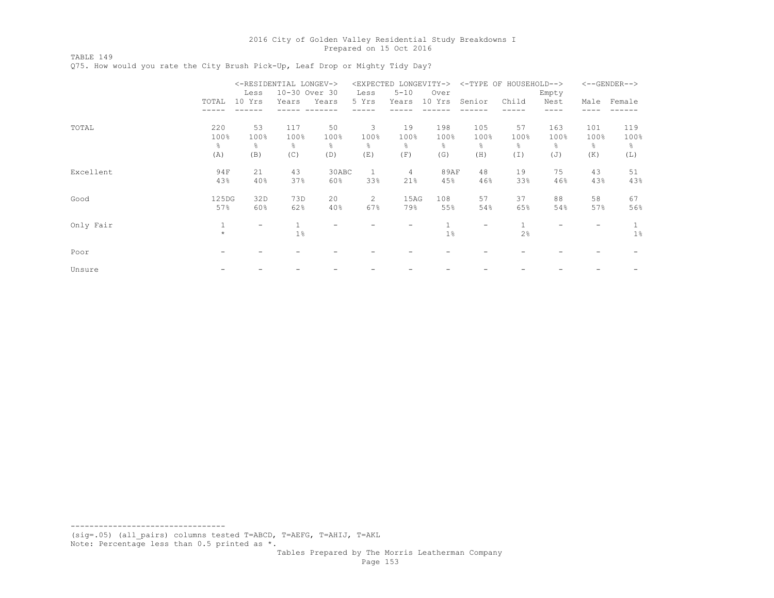TABLE 149

Q75. How would you rate the City Brush Pick-Up, Leaf Drop or Mighty Tidy Day?

|           |         |        | <-RESIDENTIAL LONGEV-> |       |              | <expected longevity-=""></expected> |        |                          | <-TYPE OF HOUSEHOLD--> |               |      | $<-$ -GENDER--> |
|-----------|---------|--------|------------------------|-------|--------------|-------------------------------------|--------|--------------------------|------------------------|---------------|------|-----------------|
|           |         | Less   | 10-30 Over 30          |       | Less         | $5 - 10$                            | Over   |                          |                        | Empty         |      |                 |
|           | TOTAL   | 10 Yrs | Years                  | Years | 5 Yrs        | Years                               | 10 Yrs | Senior                   | Child                  | Nest          | Male | Female          |
|           |         |        |                        |       |              |                                     |        |                          |                        |               |      |                 |
| TOTAL     | 220     | 53     | 117                    | 50    | 3            | 19                                  | 198    | 105                      | 57                     | 163           | 101  | 119             |
|           | 100%    | 100%   | 100%                   | 100%  | 100%         | 100%                                | 100%   | 100%                     | 100%                   | 100%          | 100% | 100%            |
|           | g.      | g.     | g.                     | ÷.    | ⊱            | g.                                  | ⊱      | g.                       | 옹                      | $\frac{6}{5}$ | g.   | ⊱               |
|           | (A)     | (B)    | (C)                    | (D)   | (E)          | (F)                                 | (G)    | (H)                      | (I)                    | (J)           | (K)  | (L)             |
| Excellent | 94F     | 21     | 43                     | 30ABC | $\mathbf{1}$ | 4                                   | 89AF   | 48                       | 19                     | 75            | 43   | 51              |
|           | 43%     | 40%    | 37%                    | 60%   | 33%          | 21%                                 | 45%    | 46%                      | 33%                    | 46%           | 43%  | 43%             |
| Good      | 125DG   | 32D    | 73D                    | 20    | 2            | 15AG                                | 108    | 57                       | 37                     | 88            | 58   | 67              |
|           | 57%     | 60%    | 62%                    | 40%   | 67%          | 79%                                 | 55%    | 54%                      | 65%                    | 54%           | 57%  | 56%             |
| Only Fair | 1       | -      |                        |       |              | -                                   |        | $\overline{\phantom{0}}$ |                        |               |      |                 |
|           | $\star$ |        | $1\%$                  |       |              |                                     | $1\%$  |                          | 2%                     |               |      | $1\%$           |
| Poor      |         |        |                        |       |              |                                     |        |                          |                        |               |      |                 |
| Unsure    |         |        |                        |       |              |                                     |        |                          |                        |               |      |                 |

--------------------------------- (sig=.05) (all\_pairs) columns tested T=ABCD, T=AEFG, T=AHIJ, T=AKL Note: Percentage less than 0.5 printed as \*.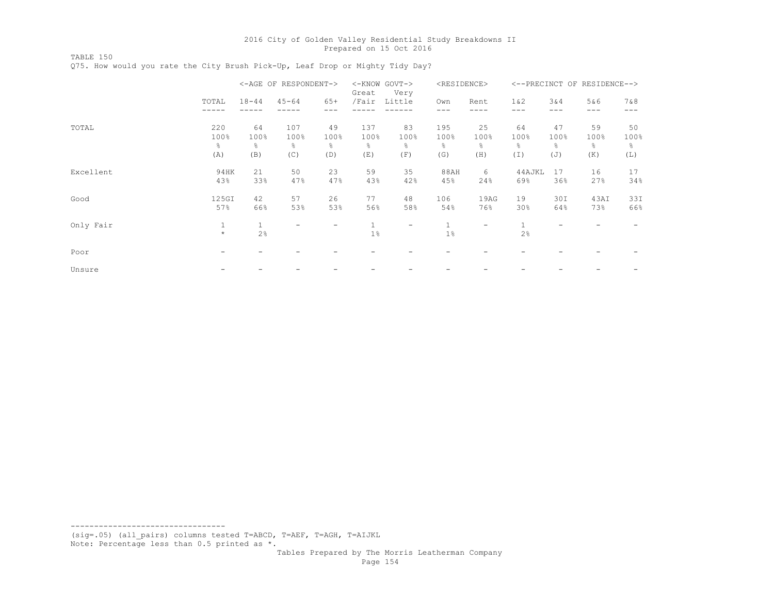TABLE 150 Q75. How would you rate the City Brush Pick-Up, Leaf Drop or Mighty Tidy Day?

|           |         |           | <-AGE OF RESPONDENT-> |                          | Great        | <-KNOW GOVT-><br>Very | <residence></residence> |      |              |               | <--PRECINCT OF RESIDENCE--> |       |
|-----------|---------|-----------|-----------------------|--------------------------|--------------|-----------------------|-------------------------|------|--------------|---------------|-----------------------------|-------|
|           | TOTAL   | $18 - 44$ | $45 - 64$             | $65+$                    | /Fair        | Little                | Own                     | Rent | $1\&2$       | 3&4           | 5&6                         | 7 & 8 |
|           |         |           |                       |                          |              |                       |                         |      |              | ---           | ---                         |       |
| TOTAL     | 220     | 64        | 107                   | 49                       | 137          | 83                    | 195                     | 25   | 64           | 47            | 59                          | 50    |
|           | 100%    | 100%      | 100%                  | 100%                     | 100%         | 100%                  | 100%                    | 100% | 100%         | 100%          | 100%                        | 100%  |
|           | g.      | ⊱         | $\frac{6}{6}$         | g.                       | ⊱            | g.                    | g.                      | g.   | ⊱            | $\frac{6}{6}$ | g.                          | ⊱     |
|           | (A)     | (B)       | (C)                   | (D)                      | (E)          | (F)                   | (G)                     | (H)  | (I)          | (J)           | (K)                         | (L)   |
| Excellent | 94HK    | 21        | 50                    | 23                       | 59           | 35                    | 88AH                    | 6    | 44AJKL       | 17            | 16                          | 17    |
|           | 43%     | 33%       | 47%                   | 47%                      | 43%          | 42%                   | 45%                     | 24%  | 69%          | 36%           | 27%                         | 34%   |
| Good      | 125GI   | 42        | 57                    | 26                       | 77           | 48                    | 106                     | 19AG | 19           | 30I           | 43AI                        | 33I   |
|           | 57%     | 66%       | 53%                   | 53%                      | 56%          | 58%                   | 54%                     | 76%  | 30%          | 64%           | 73%                         | 66%   |
| Only Fair | 1       |           |                       | $\overline{\phantom{0}}$ | $\mathbf{1}$ | -                     |                         |      | $\mathbf{1}$ |               |                             |       |
|           | $\star$ | 2%        |                       |                          | $1\%$        |                       | 1 <sup>°</sup>          |      | 2%           |               |                             |       |
| Poor      |         |           |                       |                          |              |                       |                         |      |              |               |                             |       |
| Unsure    |         |           |                       |                          |              |                       |                         |      |              |               |                             |       |

--------------------------------- (sig=.05) (all\_pairs) columns tested T=ABCD, T=AEF, T=AGH, T=AIJKL

Note: Percentage less than 0.5 printed as \*.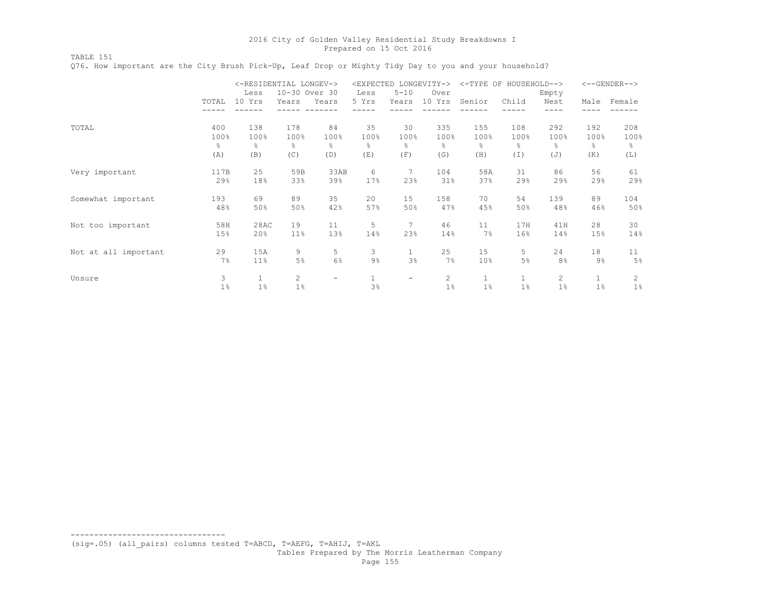TABLE 151

Q76. How important are the City Brush Pick-Up, Leaf Drop or Mighty Tidy Day to you and your household?

|                      |       | <-RESIDENTIAL LONGEV-><br>Less | 10-30 Over 30 |                          | Less         | <expected longevity-=""><br/><math>5 - 10</math></expected> | Over   |              | <-TYPE OF HOUSEHOLD--> | Empty                 |      | $<-$ -GENDER--> |
|----------------------|-------|--------------------------------|---------------|--------------------------|--------------|-------------------------------------------------------------|--------|--------------|------------------------|-----------------------|------|-----------------|
|                      | TOTAL | 10 Yrs                         | Years         | Years                    | 5 Yrs        | Years                                                       | 10 Yrs | Senior       | Child                  | Nest                  | Male | Female          |
|                      |       |                                |               |                          |              |                                                             |        |              |                        |                       |      |                 |
| TOTAL                | 400   | 138                            | 178           | 84                       | 35           | 30                                                          | 335    | 155          | 108                    | 292                   | 192  | 208             |
|                      | 100%  | 100%                           | 100%          | 100%                     | 100%         | 100%                                                        | 100%   | 100%         | 100%                   | 100%                  | 100% | 100%            |
|                      | &     | ိင                             | ⊱             | 옹                        | ⊱            | g.                                                          | 옹      | g.           | g.                     | g.                    | g.   | ⊱               |
|                      | (A)   | (B)                            | (C)           | (D)                      | (E)          | (F)                                                         | (G)    | (H)          | (I)                    | (J)                   | (K)  | (L)             |
| Very important       | 117B  | 25                             | 59B           | 33AB                     | 6            | 7                                                           | 104    | 58A          | 31                     | 86                    | 56   | 61              |
|                      | 29%   | 18%                            | 33%           | 39%                      | 17%          | 23%                                                         | 31%    | 37%          | 29%                    | 29%                   | 29%  | 29%             |
| Somewhat important   | 193   | 69                             | 89            | 35                       | 20           | 15                                                          | 158    | 70           | 54                     | 139                   | 89   | 104             |
|                      | 48%   | 50%                            | 50%           | 42%                      | 57%          | 50%                                                         | 47%    | 45%          | 50%                    | 48%                   | 46%  | 50%             |
| Not too important    | 58H   | 28AC                           | 19            | 11                       | 5            | 7                                                           | 46     | 11           | 17H                    | 41H                   | 28   | 30              |
|                      | 15%   | 20%                            | 11%           | 13%                      | 14%          | 23%                                                         | 14%    | 7%           | 16%                    | 14%                   | 15%  | 14%             |
| Not at all important | 29    | 15A                            | 9             | 5                        | 3            | $\mathbf{1}$                                                | 25     | 15           | 5                      | 24                    | 18   | 11              |
|                      | 7%    | 11%                            | 5%            | 6%                       | 9%           | 3%                                                          | 7%     | 10%          | 5%                     | 8%                    | 9%   | 5%              |
| Unsure               | 3     | $\mathbf{1}$                   | 2             | $\overline{\phantom{a}}$ | $\mathbf{1}$ | $\overline{\phantom{m}}$                                    | 2      | $\mathbf{1}$ |                        | $\mathbf{2}^{\prime}$ |      | 2               |
|                      | $1\%$ | $1\%$                          | $1\%$         |                          | 3%           |                                                             | 1%     | 1%           | $1\%$                  | $1\%$                 | 1%   | 1%              |

--------------------------------- (sig=.05) (all\_pairs) columns tested T=ABCD, T=AEFG, T=AHIJ, T=AKL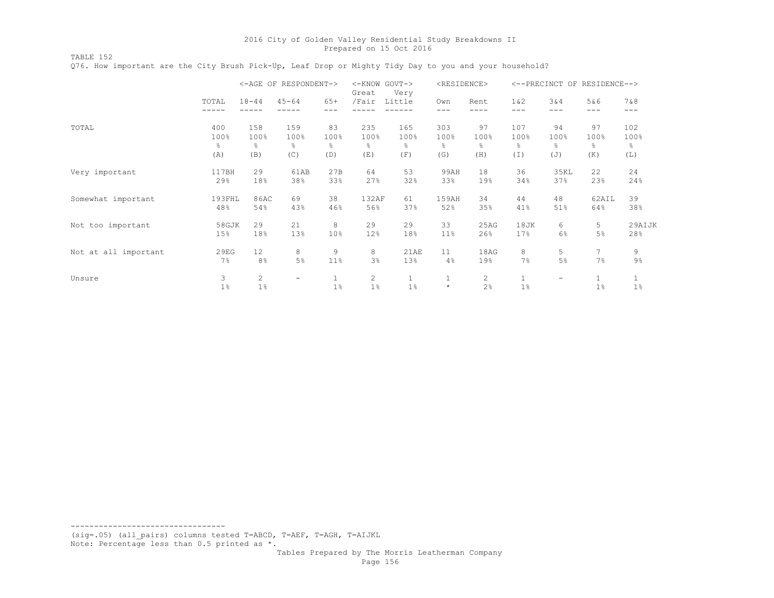TABLE 152 Q76. How important are the City Brush Pick-Up, Leaf Drop or Mighty Tidy Day to you and your household?

|                      |                |                | <-AGE OF RESPONDENT->    |               | <-KNOW GOVT-><br>Great | Very         | <residence></residence> |              | <--PRECINCT     |                          | OF RESIDENCE--> |              |
|----------------------|----------------|----------------|--------------------------|---------------|------------------------|--------------|-------------------------|--------------|-----------------|--------------------------|-----------------|--------------|
|                      | TOTAL<br>----- | $18 - 44$      | $45 - 64$                | $65+$         | /Fair                  | Little       | Own<br>$---$            | Rent<br>---- | $1\&2$<br>$---$ | 3&4<br>$---$             | 5&6<br>---      | 7&8<br>$---$ |
| TOTAL                | 400            | 158            | 159                      | 83            | 235                    | 165          | 303                     | 97           | 107             | 94                       | 97              | 102          |
|                      | 100%           | 100%           | 100%                     | 100%          | 100%                   | 100%         | 100%                    | 100%         | 100%            | 100%                     | 100%            | 100%         |
|                      | g.             | န္             | g.                       | $\frac{6}{6}$ | g.                     | g.           | g.                      | ⊱            | $\frac{6}{6}$   | ⊱                        | g.              | g.           |
|                      | (A)            | (B)            | (C)                      | (D)           | (E)                    | (F)          | (G)                     | (H)          | (I)             | (J)                      | (K)             | (L)          |
| Very important       | 117BH          | 29             | 61AB                     | 27B           | 64                     | 53           | 99AH                    | 18           | 36              | 35KL                     | 22              | 24           |
|                      | 29%            | 18%            | 38%                      | 33%           | 27%                    | 32%          | 33%                     | 19%          | 34%             | 37%                      | 23%             | 24%          |
| Somewhat important   | 193FHL         | 86AC           | 69                       | 38            | 132AF                  | 61           | 159AH                   | 34           | 44              | 48                       | 62AIL           | 39           |
|                      | 48%            | 54%            | 43%                      | 46%           | 56%                    | 37%          | 52%                     | 35%          | 41%             | 51%                      | 64%             | 38%          |
| Not too important    | 58GJK          | 29             | 21                       | 8             | 29                     | 29           | 33                      | 25AG         | 18JK            | 6                        | 5               | 29AIJK       |
|                      | 15%            | 18%            | 13%                      | 10%           | 12%                    | 18%          | 11%                     | 26%          | 17%             | 6%                       | 5%              | 28%          |
| Not at all important | 29EG           | 12             | 8                        | 9             | 8                      | 21AE         | 11                      | 18AG         | 8               | 5                        | 7               | 9            |
|                      | 7%             | 8 <sup>°</sup> | 5%                       | 11%           | 3%                     | 13%          | 4%                      | 19%          | 7%              | 5%                       | 7%              | 9%           |
| Unsure               | 3              | $\overline{c}$ | $\overline{\phantom{a}}$ | $\mathbf{1}$  | 2                      | $\mathbf{1}$ | $1\,$                   | 2            | $\mathbf{1}$    | $\overline{\phantom{a}}$ | $\mathbf{1}$    | 1            |
|                      | 1%             | $1\%$          |                          | $1\%$         | 1%                     | 1%           | $\star$                 | 2%           | $1\%$           |                          | 1%              | 1%           |

--------------------------------- (sig=.05) (all\_pairs) columns tested T=ABCD, T=AEF, T=AGH, T=AIJKL Note: Percentage less than 0.5 printed as \*.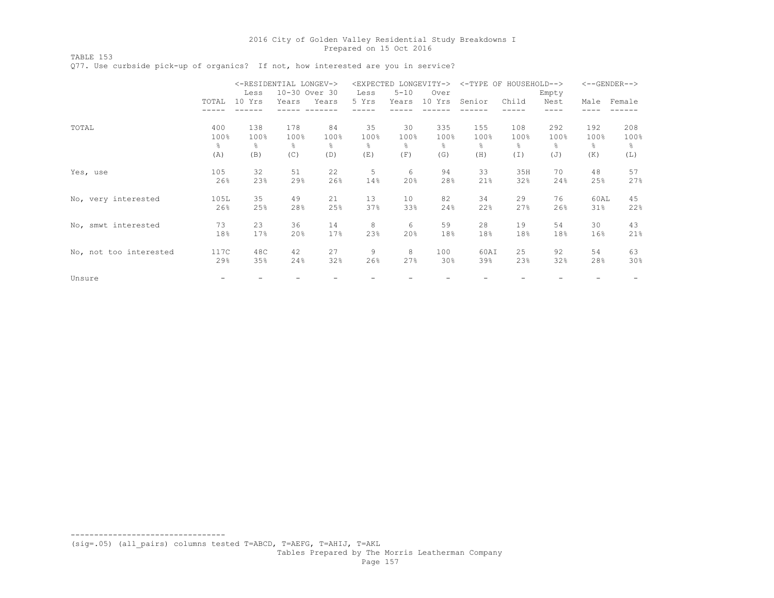TABLE 153

Q77. Use curbside pick-up of organics? If not, how interested are you in service?

|                        |       | <-RESIDENTIAL LONGEV-><br>Less | 10-30 Over 30 |       | Less  | <expected longevity-=""><br/><math>5 - 10</math></expected> | Over   |        | <-TYPE OF HOUSEHOLD--> | Empty |      | $<-$ -GENDER--> |
|------------------------|-------|--------------------------------|---------------|-------|-------|-------------------------------------------------------------|--------|--------|------------------------|-------|------|-----------------|
|                        | TOTAL | 10 Yrs                         | Years         | Years | 5 Yrs | Years                                                       | 10 Yrs | Senior | Child                  | Nest  | Male | Female          |
| TOTAL                  | 400   | 138                            | 178           | 84    | 35    | 30                                                          | 335    | 155    | 108                    | 292   | 192  | 208             |
|                        | 100%  | 100%                           | 100%          | 100%  | 100%  | 100%                                                        | 100%   | 100%   | 100%                   | 100%  | 100% | 100%            |
|                        | g.    | g.                             | $\approx$     | 옹     | ⊱     | ⊱                                                           | ိင     | g.     | 옹                      | ⊱     | g.   | ⊱               |
|                        | (A)   | (B)                            | (C)           | (D)   | (E)   | (F)                                                         | (G)    | (H)    | (I)                    | (J)   | (K)  | (L)             |
| Yes, use               | 105   | 32                             | 51            | 22    | 5     | 6                                                           | 94     | 33     | 35H                    | 70    | 48   | 57              |
|                        | 26%   | 23%                            | 29%           | 26%   | 14%   | 20%                                                         | 28%    | 21%    | 32%                    | 24%   | 25%  | 27%             |
| No, very interested    | 105L  | 35                             | 49            | 21    | 13    | 10                                                          | 82     | 34     | 29                     | 76    | 60AL | 45              |
|                        | 26%   | 25%                            | 28%           | 25%   | 37%   | 33%                                                         | 24%    | 22%    | 27%                    | 26%   | 31%  | 22%             |
| No, smwt interested    | 73    | 23                             | 36            | 14    | 8     | 6                                                           | 59     | 28     | 19                     | 54    | 30   | 43              |
|                        | 18%   | 17%                            | 20%           | 17%   | 23%   | 20%                                                         | 18%    | 18%    | 18%                    | 18%   | 16%  | 21%             |
| No, not too interested | 117C  | 48C                            | 42            | 27    | 9     | 8                                                           | 100    | 60AI   | 25                     | 92    | 54   | 63              |
|                        | 29%   | 35%                            | 24%           | 32%   | 26%   | 27%                                                         | 30%    | 39%    | 23%                    | 32%   | 28%  | 30%             |
| Unsure                 |       |                                |               |       |       |                                                             |        |        |                        |       |      |                 |

(sig=.05) (all\_pairs) columns tested T=ABCD, T=AEFG, T=AHIJ, T=AKL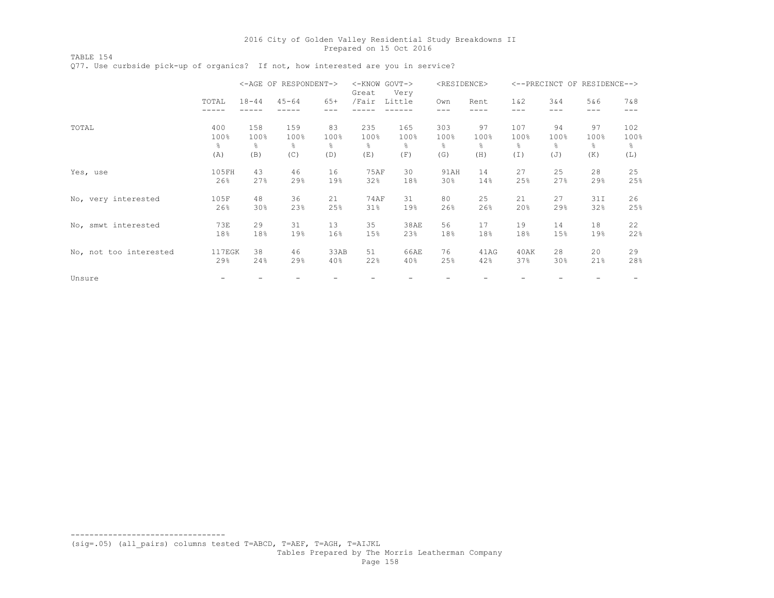TABLE 154 Q77. Use curbside pick-up of organics? If not, how interested are you in service?

|                        |            |           | <-AGE OF RESPONDENT-> |       | <-KNOW GOVT-><br>Great | Very   | <residence></residence> |      |       |               | <--PRECINCT OF RESIDENCE--> |      |
|------------------------|------------|-----------|-----------------------|-------|------------------------|--------|-------------------------|------|-------|---------------|-----------------------------|------|
|                        | TOTAL      | $18 - 44$ | $45 - 64$             | $65+$ | /Fair                  | Little | Own                     | Rent | 1 & 2 | 3&4           | 5&6                         | 7&8  |
|                        |            |           |                       |       |                        |        |                         |      |       |               | ---                         |      |
| TOTAL                  | 400        | 158       | 159                   | 83    | 235                    | 165    | 303                     | 97   | 107   | 94            | 97                          | 102  |
|                        | 100%       | 100%      | 100%                  | 100%  | 100%                   | 100%   | 100%                    | 100% | 100%  | 100%          | 100%                        | 100% |
|                        | g.         | g.        | g.                    | g.    | $\frac{6}{10}$         | g.     | 욲                       | g.   | 옹     | $\frac{6}{6}$ | g.                          | ⊱    |
|                        | (A)        | (B)       | (C)                   | (D)   | (E)                    | (F)    | (G)                     | (H)  | (I)   | (J)           | (K)                         | (L)  |
| Yes, use               | 105FH      | 43        | 46                    | 16    | <b>75AF</b>            | 30     | 91AH                    | 14   | 27    | 25            | 28                          | 25   |
|                        | 26%        | 27%       | 29%                   | 19%   | 32%                    | 18%    | 30%                     | 14%  | 25%   | 27%           | 29%                         | 25%  |
| No, very interested    | 105F       | 48        | 36                    | 21    | <b>74AF</b>            | 31     | 80                      | 25   | 21    | 27            | 31I                         | 26   |
|                        | 26%        | 30%       | 23%                   | 25%   | 31%                    | 19%    | 26%                     | 26%  | 20%   | 29%           | 32%                         | 25%  |
| No, smwt interested    | <b>73E</b> | 29        | 31                    | 13    | 35                     | 38AE   | 56                      | 17   | 19    | 14            | 18                          | 22   |
|                        | 18%        | 18%       | 19%                   | 16%   | 15%                    | 23%    | 18%                     | 18%  | 18%   | 15%           | 19%                         | 22%  |
| No, not too interested | 117EGK     | 38        | 46                    | 33AB  | 51                     | 66AE   | 76                      | 41AG | 40AK  | 28            | 20                          | 29   |
|                        | 29%        | 24%       | 29%                   | 40%   | 22%                    | 40%    | 25%                     | 42%  | 37%   | 30%           | 21%                         | 28%  |
| Unsure                 |            |           |                       |       |                        |        |                         |      |       |               |                             |      |

--------------------------------- (sig=.05) (all\_pairs) columns tested T=ABCD, T=AEF, T=AGH, T=AIJKL Tables Prepared by The Morris Leatherman Company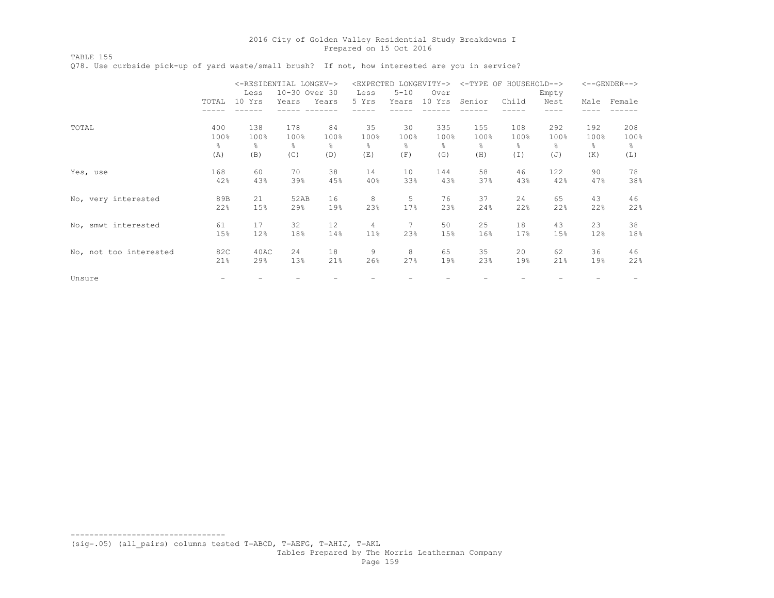TABLE 155

Q78. Use curbside pick-up of yard waste/small brush? If not, how interested are you in service?

|                        |             | Less        | <-RESIDENTIAL LONGEV-><br>10-30 Over 30 |            | Less       | <expected longevity-=""><br/><math>5 - 10</math></expected> | Over        |             | <-TYPE OF HOUSEHOLD--> | Empty       |             | $<-$ -GENDER--> |
|------------------------|-------------|-------------|-----------------------------------------|------------|------------|-------------------------------------------------------------|-------------|-------------|------------------------|-------------|-------------|-----------------|
|                        | TOTAL       | 10 Yrs      | Years                                   | Years      | 5 Yrs      | Years                                                       | 10 Yrs      | Senior      | Child                  | Nest        | Male        | Female          |
|                        |             |             |                                         |            |            |                                                             |             |             |                        |             |             |                 |
| TOTAL                  | 400<br>100% | 138<br>100% | 178<br>100%                             | 84<br>100% | 35<br>100% | 30<br>100%                                                  | 335<br>100% | 155<br>100% | 108<br>100%            | 292<br>100% | 192<br>100% | 208<br>100%     |
|                        | န္          | 옹           | ⊱                                       | 옹          | ⊱          | g.                                                          | ⊱           | g.          | 옹                      | g.          | g.          | g.              |
|                        | (A)         | (B)         | (C)                                     | (D)        | (E)        | (F)                                                         | (G)         | (H)         | (I)                    | (J)         | (K)         | (L)             |
| Yes, use               | 168         | 60          | 70                                      | 38         | 14         | 10                                                          | 144         | 58          | 46                     | 122         | 90          | 78              |
|                        | 42%         | 43%         | 39%                                     | 45%        | 40%        | 33%                                                         | 43%         | 37%         | 43%                    | 42%         | 47%         | 38%             |
| No, very interested    | 89B         | 21          | 52AB                                    | 16         | 8          | 5                                                           | 76          | 37          | 24                     | 65          | 43          | 46              |
|                        | 22%         | 15%         | 29%                                     | 19%        | 23%        | 17%                                                         | 23%         | 24%         | 22%                    | 22%         | 22%         | 22%             |
| No, smwt interested    | 61          | 17          | 32                                      | 12         | 4          | 7                                                           | 50          | 25          | 18                     | 43          | 23          | 38              |
|                        | 15%         | 12%         | 18%                                     | 14%        | 11%        | 23%                                                         | 15%         | 16%         | 17%                    | 15%         | 12%         | 18%             |
| No, not too interested | 82C         | 40AC        | 24                                      | 18         | 9          | 8                                                           | 65          | 35          | 20                     | 62          | 36          | 46              |
|                        | 21%         | 29%         | 13%                                     | 21%        | 26%        | 27%                                                         | 19%         | 23%         | 19%                    | 21%         | 19%         | 22%             |
| Unsure                 |             |             |                                         |            |            |                                                             |             |             |                        |             |             |                 |

(sig=.05) (all\_pairs) columns tested T=ABCD, T=AEFG, T=AHIJ, T=AKL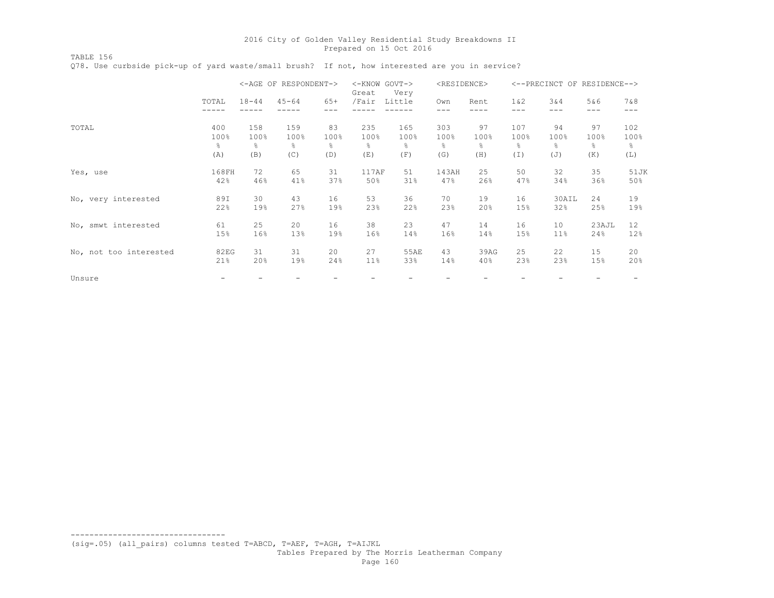TABLE 156

Q78. Use curbside pick-up of yard waste/small brush? If not, how interested are you in service?

|                        |       |           | <-AGE OF RESPONDENT-> |       | <-KNOW GOVT-><br>Great | Very   | <residence></residence> |      |        | <--PRECINCT OF RESIDENCE--> |       |       |
|------------------------|-------|-----------|-----------------------|-------|------------------------|--------|-------------------------|------|--------|-----------------------------|-------|-------|
|                        | TOTAL | $18 - 44$ | $45 - 64$             | $65+$ | /Fair                  | Little | Own                     | Rent | $1\&2$ | 3&4                         | 5&6   | 7 & 8 |
|                        |       |           |                       |       |                        |        | ---                     | ---- | ---    |                             | $---$ |       |
| TOTAL                  | 400   | 158       | 159                   | 83    | 235                    | 165    | 303                     | 97   | 107    | 94                          | 97    | 102   |
|                        | 100%  | 100%      | 100%                  | 100%  | 100%                   | 100%   | 100%                    | 100% | 100%   | 100%                        | 100%  | 100%  |
|                        | g.    | ⊱         | ⊱                     | ⊱     | ိင                     | g.     | ⊱                       | g.   | ⊱      | ⊱                           | g.    | န္    |
|                        | (A)   | (B)       | (C)                   | (D)   | (E)                    | (F)    | (G)                     | (H)  | (I)    | (J)                         | (K)   | (L)   |
| Yes, use               | 168FH | 72        | 65                    | 31    | 117AF                  | 51     | 143AH                   | 25   | 50     | 32                          | 35    | 51JK  |
|                        | 42%   | 46%       | 41%                   | 37%   | 50%                    | 31%    | 47%                     | 26%  | 47%    | 34%                         | 36%   | 50%   |
| No, very interested    | 89I   | 30        | 43                    | 16    | 53                     | 36     | 70                      | 19   | 16     | 30AIL                       | 24    | 19    |
|                        | 22%   | 19%       | 27%                   | 19%   | 23%                    | 22%    | 23%                     | 20%  | 15%    | 32%                         | 25%   | 19%   |
| No, smwt interested    | 61    | 25        | 20                    | 16    | 38                     | 23     | 47                      | 14   | 16     | 10                          | 23AJL | 12    |
|                        | 15%   | 16%       | 13%                   | 19%   | 16%                    | 14%    | 16%                     | 14%  | 15%    | $11\%$                      | 24%   | 12%   |
| No, not too interested | 82EG  | 31        | 31                    | 20    | 27                     | 55AE   | 43                      | 39AG | 25     | 22                          | 15    | 20    |
|                        | 21%   | 20%       | 19%                   | 24%   | 11%                    | 33%    | 14%                     | 40%  | 23%    | 23%                         | 15%   | 20%   |
| Unsure                 |       |           |                       |       |                        |        |                         |      |        |                             |       |       |

(sig=.05) (all\_pairs) columns tested T=ABCD, T=AEF, T=AGH, T=AIJKL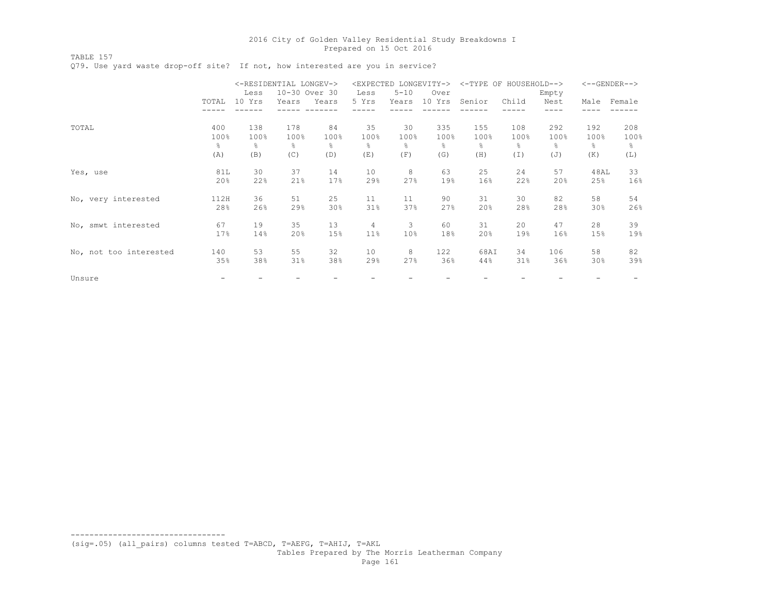TABLE 157

Q79. Use yard waste drop-off site? If not, how interested are you in service?

|                        |       | <-RESIDENTIAL LONGEV-> |               |       |       | <expected longevity-=""></expected> |        |        | <-TYPE OF HOUSEHOLD--> |       |      | $<-$ -GENDER--> |
|------------------------|-------|------------------------|---------------|-------|-------|-------------------------------------|--------|--------|------------------------|-------|------|-----------------|
|                        |       | Less                   | 10-30 Over 30 |       | Less  | $5 - 10$                            | Over   |        |                        | Empty |      |                 |
|                        | TOTAL | 10 Yrs                 | Years         | Years | 5 Yrs | Years                               | 10 Yrs | Senior | Child                  | Nest  | Male | Female          |
|                        |       |                        |               |       |       |                                     |        |        |                        |       |      |                 |
| TOTAL                  | 400   | 138                    | 178           | 84    | 35    | 30                                  | 335    | 155    | 108                    | 292   | 192  | 208             |
|                        | 100%  | 100%                   | 100%          | 100%  | 100%  | 100%                                | 100%   | 100%   | 100%                   | 100%  | 100% | 100%            |
|                        | g.    | ⊱                      | $\approx$     | 옹     | ⊱     | g.                                  | ⊱      | g.     | g.                     | ⊱     | g.   | g.              |
|                        | (A)   | (B)                    | (C)           | (D)   | (E)   | (F)                                 | (G)    | (H)    | (I)                    | (J)   | (K)  | (L)             |
| Yes, use               | 81L   | 30                     | 37            | 14    | 10    | 8                                   | 63     | 25     | 24                     | 57    | 48AL | 33              |
|                        | 20%   | 22%                    | 21%           | 17%   | 29%   | 27%                                 | 19%    | 16%    | 22%                    | 20%   | 25%  | 16%             |
| No, very interested    | 112H  | 36                     | 51            | 25    | 11    | 11                                  | 90     | 31     | 30                     | 82    | 58   | 54              |
|                        | 28%   | 26%                    | 29%           | 30%   | 31%   | 37%                                 | 27%    | 20%    | 28%                    | 28%   | 30%  | 26%             |
| No, smwt interested    | 67    | 19                     | 35            | 13    | 4     | 3                                   | 60     | 31     | 20                     | 47    | 28   | 39              |
|                        | 17%   | 14%                    | 20%           | 15%   | 11%   | 10 <sup>°</sup>                     | 18%    | 20%    | 19%                    | 16%   | 15%  | 19%             |
| No, not too interested | 140   | 53                     | 55            | 32    | 10    | 8                                   | 122    | 68AI   | 34                     | 106   | 58   | 82              |
|                        | 35%   | 38%                    | 31%           | 38%   | 29%   | 27%                                 | 36%    | 44%    | 31%                    | 36%   | 30%  | 39%             |
| Unsure                 |       |                        |               |       |       |                                     |        |        |                        |       |      |                 |

(sig=.05) (all\_pairs) columns tested T=ABCD, T=AEFG, T=AHIJ, T=AKL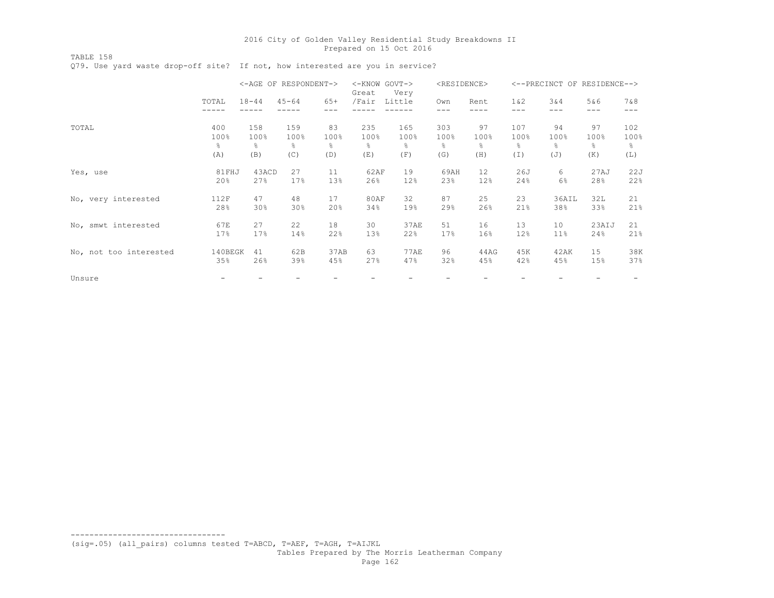TABLE 158 Q79. Use yard waste drop-off site? If not, how interested are you in service?

|                        |         |           | <-AGE OF RESPONDENT-> |       | <-KNOW GOVT-><br>Great | Very   | <residence></residence> |      |        | <--PRECINCT OF RESIDENCE--> |       |         |
|------------------------|---------|-----------|-----------------------|-------|------------------------|--------|-------------------------|------|--------|-----------------------------|-------|---------|
|                        | TOTAL   | $18 - 44$ | $45 - 64$             | $65+$ | /Fair                  | Little | Own                     | Rent | $1\&2$ | 3&4                         | 5&6   | 7 & 8   |
|                        |         |           |                       |       |                        |        | ---                     |      | ---    | ---                         | $---$ | $- - -$ |
| TOTAL                  | 400     | 158       | 159                   | 83    | 235                    | 165    | 303                     | 97   | 107    | 94                          | 97    | 102     |
|                        | 100%    | 100%      | 100%                  | 100%  | 100%                   | 100%   | 100%                    | 100% | 100%   | 100%                        | 100%  | 100%    |
|                        | g.      | န္        | 옹                     | 옹     | g.                     | g.     | g.                      | ⊱    | g.     | $\frac{6}{5}$               | g.    | ⊱       |
|                        | (A)     | (B)       | (C)                   | (D)   | (E)                    | (F)    | (G)                     | (H)  | (I)    | (J)                         | (K)   | (L)     |
| Yes, use               | 81FHJ   | 43ACD     | 27                    | 11    | 62AF                   | 19     | 69AH                    | 12   | 26J    | 6                           | 27AJ  | 22J     |
|                        | 20%     | 27%       | 17%                   | 13%   | 26%                    | 12%    | 23%                     | 12%  | 24%    | 6%                          | 28%   | 22%     |
| No, very interested    | 112F    | 47        | 48                    | 17    | <b>80AF</b>            | 32     | 87                      | 25   | 23     | 36AIL                       | 32L   | 21      |
|                        | 28%     | 30%       | 30%                   | 20%   | 34%                    | 19%    | 29%                     | 26%  | 21%    | 38%                         | 33%   | 21%     |
| No, smwt interested    | 67E     | 27        | 22                    | 18    | 30                     | 37AE   | 51                      | 16   | 13     | 10                          | 23AIJ | 21      |
|                        | 17%     | 17%       | 14%                   | 22%   | 13%                    | 22%    | 17%                     | 16%  | 12%    | 11%                         | 24%   | 21%     |
| No, not too interested | 140BEGK | 41        | 62B                   | 37AB  | 63                     | 77AE   | 96                      | 44AG | 45K    | 42AK                        | 15    | 38K     |
|                        | 35%     | 26%       | 39%                   | 45%   | 27%                    | 47%    | 32%                     | 45%  | 42%    | 45%                         | 15%   | 37%     |
| Unsure                 |         |           |                       |       |                        |        |                         |      |        |                             |       |         |

--------------------------------- (sig=.05) (all\_pairs) columns tested T=ABCD, T=AEF, T=AGH, T=AIJKL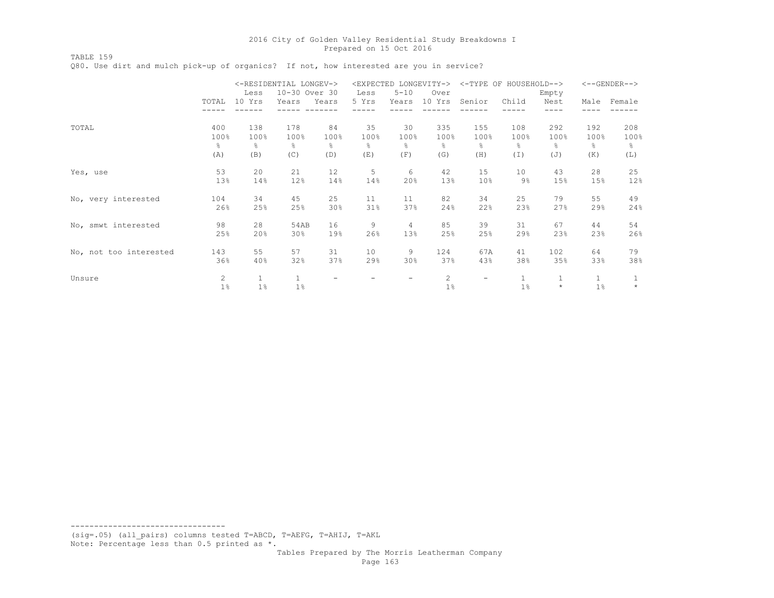TABLE 159

Q80. Use dirt and mulch pick-up of organics? If not, how interested are you in service?

|                        |                |        | <-RESIDENTIAL LONGEV-><br>10-30 Over 30 |       |       | <expected longevity-=""></expected> |                       |        | <-TYPE OF HOUSEHOLD--> |         |      | $\leftarrow$ - GENDER--> |
|------------------------|----------------|--------|-----------------------------------------|-------|-------|-------------------------------------|-----------------------|--------|------------------------|---------|------|--------------------------|
|                        |                | Less   |                                         |       | Less  | $5 - 10$                            | Over                  |        |                        | Empty   |      |                          |
|                        | TOTAL          | 10 Yrs | Years                                   | Years | 5 Yrs | Years                               | 10 Yrs                | Senior | Child                  | Nest    | Male | Female                   |
|                        |                |        |                                         |       |       |                                     |                       |        |                        |         |      |                          |
| TOTAL                  | 400            | 138    | 178                                     | 84    | 35    | 30                                  | 335                   | 155    | 108                    | 292     | 192  | 208                      |
|                        | 100%           | 100%   | 100%                                    | 100%  | 100%  | 100%                                | 100%                  | 100%   | 100%                   | 100%    | 100% | 100%                     |
|                        | g.             | ⊱      | g.                                      | 옹     | &     | g.                                  | ⊱                     | g.     | g.                     | g.      | ⊱    | g.                       |
|                        | (A)            | (B)    | (C)                                     | (D)   | (E)   | (F)                                 | (G)                   | (H)    | (I)                    | (J)     | (K)  | (L)                      |
| Yes, use               | 53             | 20     | 21                                      | 12    | 5     | 6                                   | 42                    | 15     | 10                     | 43      | 28   | 25                       |
|                        | 13%            | 14%    | 12%                                     | 14%   | 14%   | 20%                                 | 13%                   | 10%    | $9\%$                  | 15%     | 15%  | 12%                      |
| No, very interested    | 104            | 34     | 45                                      | 25    | 11    | 11                                  | 82                    | 34     | 25                     | 79      | 55   | 49                       |
|                        | 26%            | 25%    | 25%                                     | 30%   | 31%   | 37%                                 | 24%                   | 22%    | 23%                    | 27%     | 29%  | 24%                      |
| No, smwt interested    | 98             | 28     | 54AB                                    | 16    | 9     | 4                                   | 85                    | 39     | 31                     | 67      | 44   | 54                       |
|                        | 25%            | 20%    | 30%                                     | 19%   | 26%   | 13%                                 | 25%                   | 25%    | 29%                    | 23%     | 23%  | 26%                      |
| No, not too interested | 143            | 55     | 57                                      | 31    | 10    | 9                                   | 124                   | 67A    | 41                     | 102     | 64   | 79                       |
|                        | 36%            | 40%    | 32%                                     | 37%   | 29%   | 30 <sup>8</sup>                     | 37%                   | 43%    | 38%                    | 35%     | 33%  | 38%                      |
| Unsure                 | $\overline{c}$ |        | $\mathbf{1}$                            |       |       |                                     | $\mathbf{2}^{\prime}$ |        |                        |         | 1    |                          |
|                        | 1%             | 1%     | $1\%$                                   |       |       |                                     | $1\%$                 |        | $1\%$                  | $\star$ | 1%   | $\star$                  |

--------------------------------- (sig=.05) (all\_pairs) columns tested T=ABCD, T=AEFG, T=AHIJ, T=AKL Note: Percentage less than 0.5 printed as \*.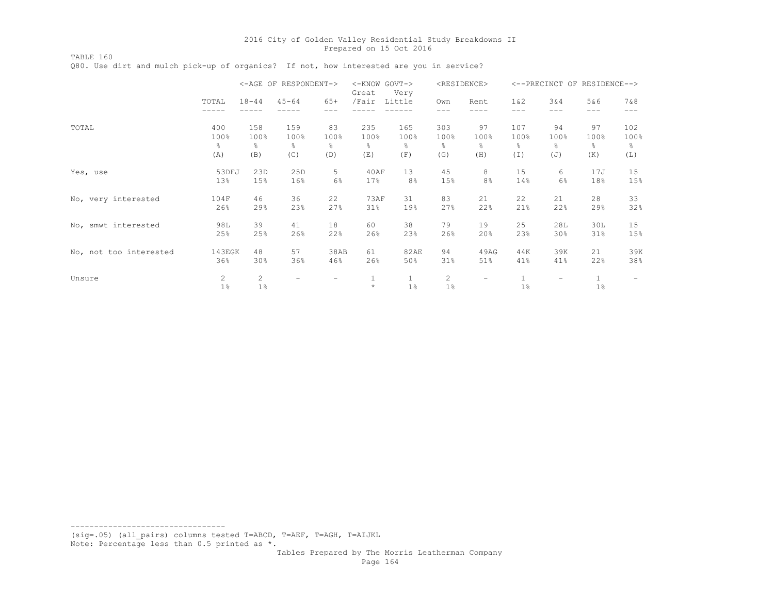TABLE 160

Q80. Use dirt and mulch pick-up of organics? If not, how interested are you in service?

|                        |        |                      | <-AGE OF RESPONDENT-> |       | <-KNOW GOVT-><br>Great | Very           |      | <residence></residence> |       | <--PRECINCT OF RESIDENCE--> |      |       |
|------------------------|--------|----------------------|-----------------------|-------|------------------------|----------------|------|-------------------------|-------|-----------------------------|------|-------|
|                        | TOTAL  | $18 - 44$            | $45 - 64$             | $65+$ | /Fair                  | Little         | Own  | Rent                    | 1 & 2 | 3&4                         | 5&6  | 7 & 8 |
|                        |        |                      |                       |       |                        |                |      |                         |       |                             | ---  |       |
| TOTAL                  | 400    | 158                  | 159                   | 83    | 235                    | 165            | 303  | 97                      | 107   | 94                          | 97   | 102   |
|                        | 100%   | 100%                 | 100%                  | 100%  | 100%                   | 100%           | 100% | 100%                    | 100%  | 100%                        | 100% | 100%  |
|                        | &      | 옹                    | ⊱                     | g.    | ⊱                      | ိင             | ⊱    | g.                      | ိင    | g.                          | g.   | 옹     |
|                        | (A)    | (B)                  | (C)                   | (D)   | (E)                    | (F)            | (G)  | (H)                     | (I)   | (J)                         | (K)  | (L)   |
| Yes, use               | 53DFJ  | 23D                  | 25D                   | 5     | 40AF                   | 13             | 45   | 8                       | 15    | 6                           | 17J  | 15    |
|                        | 13%    | 15%                  | 16%                   | 6%    | 17%                    | 8 <sup>°</sup> | 15%  | 8 <sup>°</sup>          | 14%   | 6%                          | 18%  | 15%   |
| No, very interested    | 104F   | 46                   | 36                    | 22    | 73AF                   | 31             | 83   | 21                      | 22    | 21                          | 28   | 33    |
|                        | 26%    | 29%                  | 23%                   | 27%   | 31%                    | 19%            | 27%  | 22%                     | 21%   | 22%                         | 29%  | 32%   |
| No, smwt interested    | 98L    | 39                   | 41                    | 18    | 60                     | 38             | 79   | 19                      | 25    | 28L                         | 30L  | 15    |
|                        | 25%    | 25%                  | 26%                   | 22%   | 26%                    | 23%            | 26%  | 20%                     | 23%   | 30%                         | 31%  | 15%   |
| No, not too interested | 143EGK | 48                   | 57                    | 38AB  | 61                     | <b>82AE</b>    | 94   | 49AG                    | 44K   | 39K                         | 21   | 39K   |
|                        | 36%    | 30%                  | 36%                   | 46%   | 26%                    | 50%            | 31%  | 51%                     | 41%   | 41%                         | 22%  | 38%   |
| Unsure                 | 2      | $\mathbf{2}^{\circ}$ |                       |       |                        | $\mathbf 1$    | 2    |                         |       |                             |      |       |
|                        | 1%     | $1\%$                |                       |       | $\star$                | 1%             | 1%   |                         | 1%    |                             | 1%   |       |

--------------------------------- (sig=.05) (all\_pairs) columns tested T=ABCD, T=AEF, T=AGH, T=AIJKL Note: Percentage less than 0.5 printed as \*.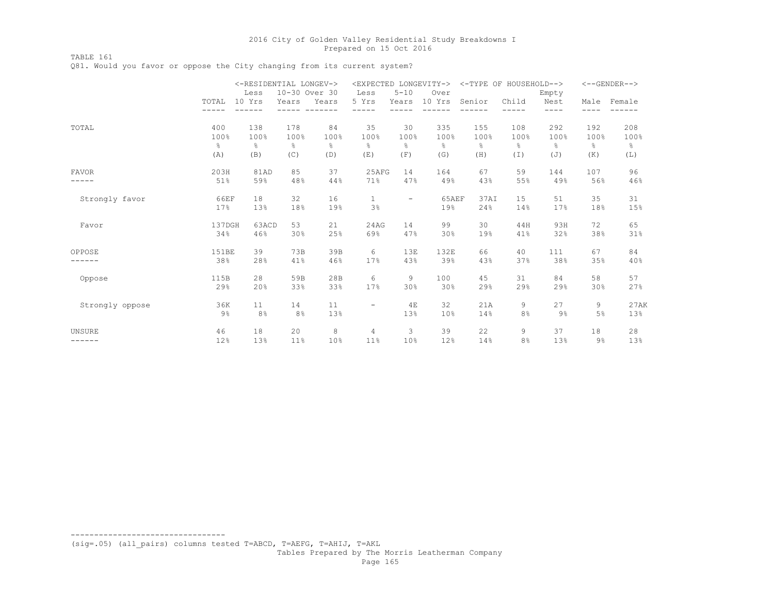TABLE 161

Q81. Would you favor or oppose the City changing from its current system?

|                 |               | <-RESIDENTIAL LONGEV-> |               | <expected longevity-=""></expected> |                          |                   | <-TYPE OF HOUSEHOLD--> |               |               |       | $<-$ -GENDER--> |               |
|-----------------|---------------|------------------------|---------------|-------------------------------------|--------------------------|-------------------|------------------------|---------------|---------------|-------|-----------------|---------------|
|                 |               | Less                   | 10-30 Over 30 |                                     | Less                     | $5 - 10$          | Over                   |               |               | Empty |                 |               |
|                 | TOTAL         | 10 Yrs                 | Years         | Years                               | 5 Yrs                    | Years             | 10 Yrs                 | Senior        | Child         | Nest  | Male            | Female        |
|                 |               |                        |               |                                     |                          |                   |                        |               |               | ----  | $---$           |               |
| TOTAL           | 400           | 138                    | 178           | 84                                  | 35                       | 30                | 335                    | 155           | 108           | 292   | 192             | 208           |
|                 | 100%          | 100%                   | 100%          | 100%                                | 100%                     | 100%              | 100%                   | 100%          | 100%          | 100%  | 100%            | 100%          |
|                 | $\frac{6}{6}$ | $\frac{6}{6}$          | $\approx$     | $\frac{6}{6}$                       | $\frac{6}{6}$            | g.                | $\frac{6}{6}$          | $\frac{6}{6}$ | $\frac{6}{6}$ | o.    | $\frac{6}{6}$   | $\frac{6}{6}$ |
|                 | (A)           | (B)                    | (C)           | (D)                                 | (E)                      | (F)               | (G)                    | (H)           | $(\bot)$      | (J)   | (K)             | (L)           |
| FAVOR           | 203H          | 81AD                   | 85            | 37                                  | 25AFG                    | 14                | 164                    | 67            | 59            | 144   | 107             | 96            |
|                 | 51%           | 59%                    | 48%           | 44%                                 | 71%                      | 47%               | 49%                    | 43%           | 55%           | 49%   | 56%             | 46%           |
| Strongly favor  | 66EF          | 18                     | 32            | 16                                  | $\mathbf{1}$             | $\qquad \qquad -$ | 65AEF                  | 37AI          | 15            | 51    | 35              | 31            |
|                 | 17%           | 13%                    | 18%           | 19%                                 | 3%                       |                   | 19%                    | 24%           | 14%           | 17%   | 18%             | 15%           |
| Favor           | 137DGH        | 63ACD                  | 53            | 21                                  | 24AG                     | 14                | 99                     | 30            | 44H           | 93H   | 72              | 65            |
|                 | 34%           | 46%                    | 30%           | 25%                                 | 69%                      | 47%               | 30%                    | 19%           | 41%           | 32%   | 38%             | 31%           |
| OPPOSE          | 151BE         | 39                     | 73B           | 39B                                 | 6                        | 13E               | 132E                   | 66            | 40            | 111   | 67              | 84            |
|                 | 38%           | 28%                    | 41%           | 46%                                 | 17%                      | 43%               | 39%                    | 43%           | 37%           | 38%   | 35%             | 40%           |
| Oppose          | 115B          | 28                     | 59B           | 28B                                 | 6                        | 9                 | 100                    | 45            | 31            | 84    | 58              | 57            |
|                 | 29%           | 20%                    | 33%           | 33%                                 | 17%                      | 30%               | 30%                    | 29%           | 29%           | 29%   | 30%             | 27%           |
| Strongly oppose | 36K           | 11                     | 14            | 11                                  | $\overline{\phantom{m}}$ | 4E                | 32                     | 21A           | 9             | 27    | 9               | 27AK          |
|                 | $9\%$         | 8%                     | 8%            | 13%                                 |                          | 13%               | 10%                    | 14%           | 8%            | 9%    | 5%              | 13%           |
| <b>UNSURE</b>   | 46            | 18                     | 20            | 8                                   | 4                        | 3                 | 39                     | 22            | 9             | 37    | 18              | 28            |
|                 | 12%           | 13%                    | 11%           | 10%                                 | 11%                      | 10%               | 12%                    | 14%           | 8%            | 13%   | $9\%$           | 13%           |

--------------------------------- (sig=.05) (all\_pairs) columns tested T=ABCD, T=AEFG, T=AHIJ, T=AKL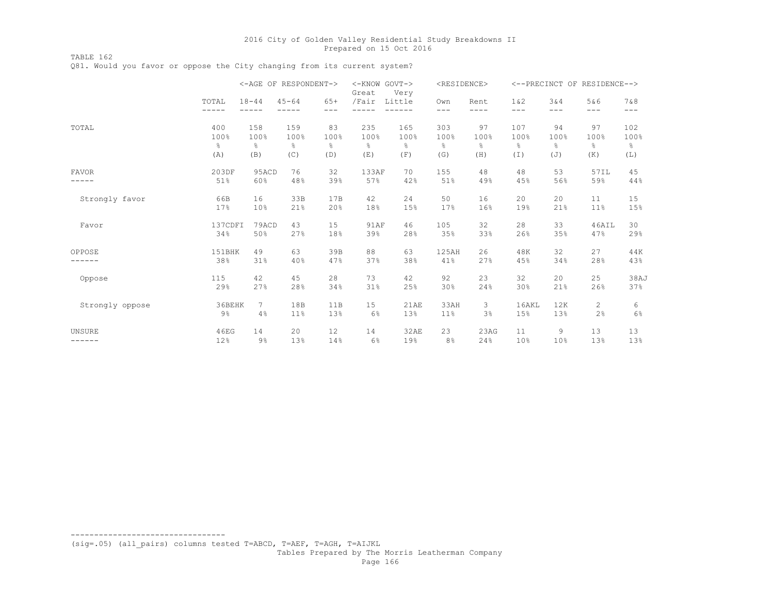TABLE 162 Q81. Would you favor or oppose the City changing from its current system?

|                 |                |               | <-AGE OF RESPONDENT-> |               | <-KNOW GOVT-><br>Great | Very          | <residence></residence> |               |                |               | <--PRECINCT OF RESIDENCE--> |                |
|-----------------|----------------|---------------|-----------------------|---------------|------------------------|---------------|-------------------------|---------------|----------------|---------------|-----------------------------|----------------|
|                 | TOTAL<br>----- | $18 - 44$     | $45 - 64$             | $65+$<br>---  | /Fair                  | Little        | Own<br>---              | Rent<br>----  | 1 & 2<br>$---$ | 3&4<br>---    | 5&6<br>---                  | 7 & 8<br>$---$ |
| TOTAL           | 400            | 158           | 159                   | 83            | 235                    | 165           | 303                     | 97            | 107            | 94            | 97                          | 102            |
|                 | 100%           | 100%          | 100%                  | 100%          | 100%                   | 100%          | 100%                    | 100%          | 100%           | 100%          | 100%                        | 100%           |
|                 | $\frac{6}{6}$  | $\frac{6}{6}$ | $\frac{6}{6}$         | $\frac{6}{6}$ | $\frac{6}{6}$          | $\frac{6}{5}$ | $\frac{6}{6}$           | $\frac{6}{5}$ | $\frac{6}{6}$  | $\frac{6}{6}$ | $\frac{6}{6}$               | $\frac{6}{6}$  |
|                 | (A)            | (B)           | (C)                   | (D)           | (E)                    | (F)           | (G)                     | (H)           | (T)            | (J)           | (K)                         | (L)            |
| <b>FAVOR</b>    | 203DF          | 95ACD         | 76                    | 32            | 133AF                  | 70            | 155                     | 48            | 48             | 53            | 57IL                        | 45             |
| -----           | 51%            | 60%           | 48%                   | 39%           | 57%                    | 42%           | 51%                     | 49%           | 45%            | 56%           | 59%                         | 44%            |
| Strongly favor  | 66B            | 16            | 33B                   | 17B           | 42                     | 24            | 50                      | 16            | 20             | 20            | 11                          | 15             |
|                 | 17%            | 10%           | 21%                   | 20%           | 18%                    | 15%           | 17%                     | 16%           | 19%            | 21%           | 11%                         | 15%            |
| Favor           | 137CDFI        | 79ACD         | 43                    | 15            | 91AF                   | 46            | 105                     | 32            | 28             | 33            | 46AIL                       | 30             |
|                 | 34%            | 50%           | 27%                   | 18%           | 39%                    | 28%           | 35%                     | 33%           | 26%            | 35%           | 47%                         | 29%            |
| OPPOSE          | 151BHK         | 49            | 63                    | 39B           | 88                     | 63            | 125AH                   | 26            | 48K            | 32            | 27                          | 44K            |
|                 | 38%            | 31%           | 40%                   | 47%           | 37%                    | 38%           | 41%                     | 27%           | 45%            | 34%           | 28%                         | 43%            |
| Oppose          | 115            | 42            | 45                    | 28            | 73                     | 42            | 92                      | 23            | 32             | 20            | 25                          | 38AJ           |
|                 | 29%            | 27%           | 28%                   | 34%           | 31%                    | 25%           | 30%                     | 24%           | 30%            | 21%           | 26%                         | 37%            |
| Strongly oppose | 36BEHK         | 7             | 18B                   | 11B           | 15                     | 21AE          | 33AH                    | 3             | 16AKL          | 12K           | $\mathbf{2}^{\prime}$       | 6              |
|                 | $9\%$          | 4%            | 11%                   | 13%           | 6%                     | 13%           | 11%                     | 3%            | 15%            | 13%           | 2%                          | 6%             |
| <b>UNSURE</b>   | 46EG           | 14            | 20                    | 12            | 14                     | 32AE          | 23                      | 23AG          | 11             | 9             | 13                          | 13             |
| ------          | 12%            | $9\%$         | 13%                   | 14%           | 6%                     | 19%           | 8 <sup>°</sup>          | 24%           | 10%            | 10%           | 13%                         | 13%            |

--------------------------------- (sig=.05) (all\_pairs) columns tested T=ABCD, T=AEF, T=AGH, T=AIJKL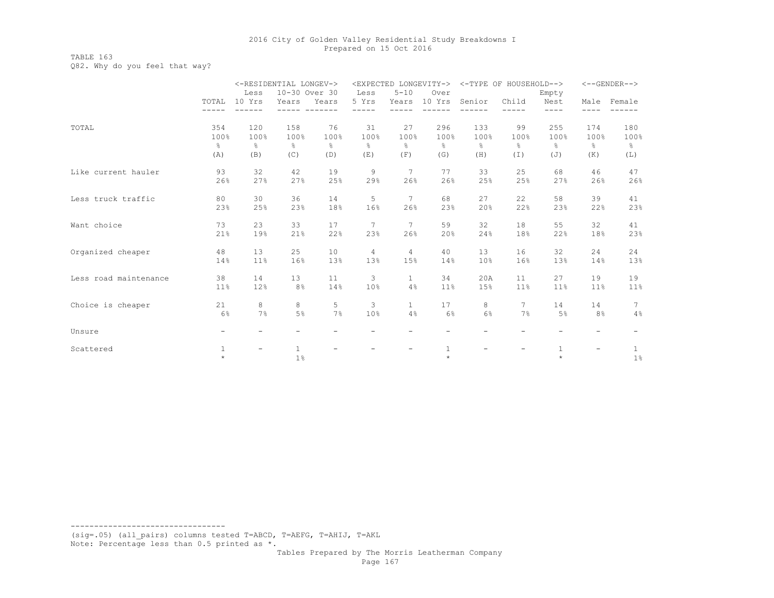TABLE 163 Q82. Why do you feel that way?

|                       |                | <-RESIDENTIAL LONGEV-> |               |                |           |                | <expected longevity-=""></expected> |                | <-TYPE OF HOUSEHOLD--> |               |                          | $\leftarrow$ -GENDER--> |
|-----------------------|----------------|------------------------|---------------|----------------|-----------|----------------|-------------------------------------|----------------|------------------------|---------------|--------------------------|-------------------------|
|                       |                | Less                   | 10-30 Over 30 |                | Less      | $5 - 10$       | Over                                |                |                        | Empty         |                          |                         |
|                       | TOTAL          | 10 Yrs                 | Years         | Years          | 5 Yrs     | Years          | 10 Yrs                              | Senior         | Child                  | Nest          | Male                     | Female                  |
|                       |                |                        |               |                |           |                |                                     |                |                        | ----          |                          |                         |
| TOTAL                 | 354            | 120                    | 158           | 76             | 31        | 27             | 296                                 | 133            | 99                     | 255           | 174                      | 180                     |
|                       | 100%           | 100%                   | 100%          | 100%           | 100%      | 100%           | 100%                                | 100%           | 100%                   | 100%          | 100%                     | 100%                    |
|                       | $\frac{6}{10}$ | $\frac{6}{25}$         | $\approx$     | $\frac{6}{10}$ | $\approx$ | $\frac{6}{5}$  | $\approx$                           | $\frac{6}{10}$ | $\frac{6}{6}$          | $\frac{6}{5}$ | $\frac{6}{6}$            | $\frac{6}{6}$           |
|                       | (A)            | (B)                    | (C)           | (D)            | (E)       | (F)            | (G)                                 | (H)            | (T)                    | (J)           | (K)                      | (L)                     |
| Like current hauler   | 93             | 32                     | 42            | 19             | 9         | 7              | 77                                  | 33             | 25                     | 68            | 46                       | 47                      |
|                       | 26%            | 27%                    | 27%           | 25%            | 29%       | 26%            | 26%                                 | 25%            | 25%                    | 27%           | 26%                      | 26%                     |
| Less truck traffic    | 80             | 30                     | 36            | 14             | 5         | 7              | 68                                  | 27             | 22                     | 58            | 39                       | 41                      |
|                       | 23%            | 25%                    | 23%           | 18%            | 16%       | 26%            | 23%                                 | 20%            | 22%                    | 23%           | 22%                      | 23%                     |
| Want choice           | 73             | 23                     | 33            | 17             | 7         | 7              | 59                                  | 32             | 18                     | 55            | 32                       | 41                      |
|                       | 21%            | 19%                    | 21%           | 22%            | 23%       | 26%            | 20%                                 | 24%            | 18%                    | 22%           | 18%                      | 23%                     |
| Organized cheaper     | 48             | 13                     | 25            | 10             | 4         | $\overline{4}$ | 40                                  | 13             | 16                     | 32            | 24                       | 24                      |
|                       | 14%            | 11%                    | 16%           | 13%            | 13%       | 15%            | 14%                                 | 10%            | 16%                    | 13%           | 14%                      | 13%                     |
| Less road maintenance | 38             | 14                     | 13            | 11             | 3         | $\mathbf{1}$   | 34                                  | 20A            | 11                     | 27            | 19                       | 19                      |
|                       | 11%            | 12%                    | 8%            | 14%            | 10%       | 4%             | 11 <sup>°</sup>                     | 15%            | 11 <sup>°</sup>        | 11%           | 11%                      | 11%                     |
| Choice is cheaper     | 21             | 8                      | 8             | 5              | 3         | $\mathbf{1}$   | 17                                  | 8              | 7                      | 14            | 14                       | 7                       |
|                       | 6%             | 7%                     | 5%            | 7%             | 10%       | 4%             | $6\%$                               | 6%             | 7%                     | 5%            | 8 <sup>°</sup>           | 4%                      |
| Unsure                |                |                        |               |                |           |                |                                     |                |                        |               |                          |                         |
| Scattered             | $\mathbf{1}$   | -                      | $\mathbf{1}$  |                |           |                | $\mathbf{1}$                        |                |                        |               | $\overline{\phantom{a}}$ | 1                       |
|                       | $\star$        |                        | $1\%$         |                |           |                | $\star$                             |                |                        |               |                          | 1%                      |

--------------------------------- (sig=.05) (all\_pairs) columns tested T=ABCD, T=AEFG, T=AHIJ, T=AKL Note: Percentage less than 0.5 printed as \*.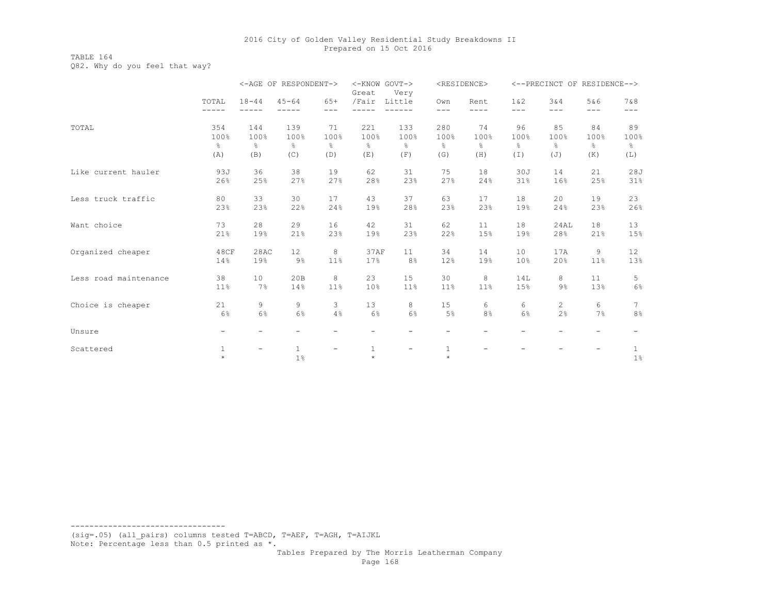TABLE 164 Q82. Why do you feel that way?

|                       |                          |                          | <-AGE OF RESPONDENT-> |                          | <-KNOW GOVT-><br>Great | Very          |                         | <residence></residence> |                  | <--PRECINCT OF RESIDENCE--> |                          |                   |
|-----------------------|--------------------------|--------------------------|-----------------------|--------------------------|------------------------|---------------|-------------------------|-------------------------|------------------|-----------------------------|--------------------------|-------------------|
|                       | TOTAL<br>-----           | $18 - 44$                | $45 - 64$             | $65+$<br>$- - -$         | /Fair                  | Little        | Own<br>$- - -$          | Rent                    | 1 & 2<br>$- - -$ | 3&4<br>$---$                | 5&6<br>---               | 7 & 8<br>$---$    |
| TOTAL                 | 354                      | 144                      | 139                   | 71                       | 221                    | 133           | 280                     | 74                      | 96               | 85                          | 84                       | 89                |
|                       | 100%                     | 100%                     | 100%                  | 100%                     | 100%                   | 100%          | 100%                    | 100%                    | 100%             | 100%                        | 100%                     | 100%              |
|                       | g.                       | $\frac{6}{6}$            | 옹                     | $\frac{6}{6}$            | $\frac{6}{6}$          | $\frac{6}{6}$ | g.                      | $\frac{6}{6}$           | 옹                | 옹                           | g.                       | $\frac{6}{6}$     |
|                       | (A)                      | (B)                      | (C)                   | (D)                      | (E)                    | (F)           | (G)                     | (H)                     | $(\top)$         | (J)                         | (K)                      | (L)               |
| Like current hauler   | 93J                      | 36                       | 38                    | 19                       | 62                     | 31            | 75                      | 18                      | 30J              | 14                          | 21                       | 28J               |
|                       | 26%                      | 25%                      | 27%                   | 27%                      | 28%                    | 23%           | 27%                     | 24%                     | 31%              | 16%                         | 25%                      | 31%               |
| Less truck traffic    | 80                       | 33                       | 30                    | 17                       | 43                     | 37            | 63                      | 17                      | 18               | 20                          | 19                       | 23                |
|                       | 23%                      | 23%                      | 22%                   | 24%                      | 19%                    | 28%           | 23%                     | 23%                     | 19%              | 24%                         | 23%                      | 26%               |
| Want choice           | 73                       | 28                       | 29                    | 16                       | 42                     | 31            | 62                      | 11                      | 18               | 24AL                        | 18                       | 13                |
|                       | 21%                      | 19%                      | 21%                   | 23%                      | 19%                    | 23%           | 22%                     | 15%                     | 19%              | 28%                         | 21%                      | 15%               |
| Organized cheaper     | 48CF                     | 28AC                     | 12                    | 8                        | 37AF                   | 11            | 34                      | 14                      | 10               | 17A                         | 9                        | $12 \overline{ }$ |
|                       | 14%                      | 19%                      | $9\%$                 | 11%                      | 17%                    | 8%            | 12%                     | 19%                     | 10%              | 20%                         | 11%                      | 13%               |
| Less road maintenance | 38                       | 10                       | 20B                   | 8                        | 23                     | 15            | 30                      | 8                       | 14L              | 8                           | 11                       | 5                 |
|                       | 11%                      | 7%                       | 14%                   | 11%                      | 10%                    | 11%           | 11%                     | 11%                     | 15%              | $9\%$                       | 13%                      | 6%                |
| Choice is cheaper     | 21                       | 9                        | 9                     | 3                        | 13                     | 8             | 15                      | 6                       | 6                | $\mathbf{2}^{\prime}$       | 6                        | 7                 |
|                       | 6%                       | 6%                       | 6%                    | 4%                       | 6%                     | 6%            | 5%                      | 8%                      | 6%               | 2%                          | 7%                       | 8%                |
| Unsure                | $\overline{\phantom{0}}$ | $\overline{\phantom{0}}$ |                       | $\overline{\phantom{a}}$ | -                      |               |                         |                         |                  |                             | $\overline{\phantom{a}}$ |                   |
| Scattered             | 1<br>$\star$             | $\overline{\phantom{a}}$ | $\mathbf{1}$<br>1%    | $\overline{\phantom{a}}$ | 1<br>$\star$           | -             | $\mathbf{1}$<br>$\star$ |                         |                  |                             |                          | 1<br>1%           |

--------------------------------- (sig=.05) (all\_pairs) columns tested T=ABCD, T=AEF, T=AGH, T=AIJKL Note: Percentage less than 0.5 printed as \*.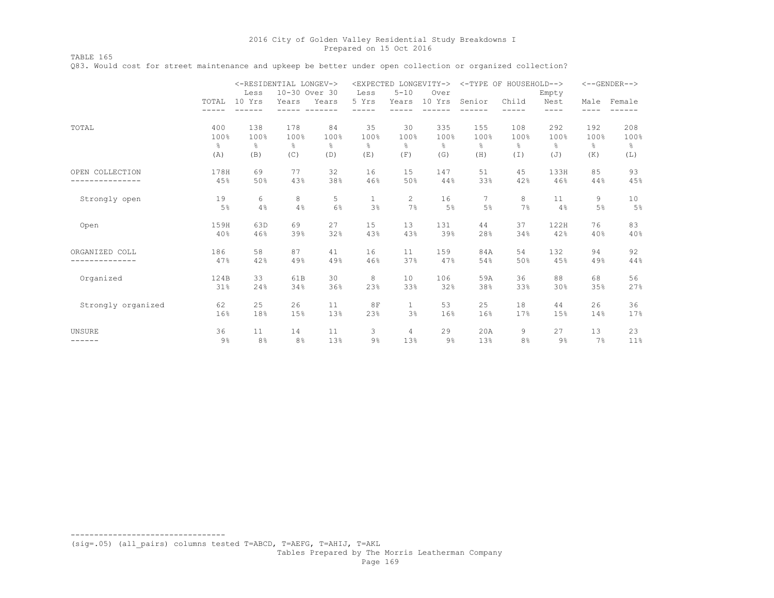TABLE 165

Q83. Would cost for street maintenance and upkeep be better under open collection or organized collection?

|                    |               | <-RESIDENTIAL LONGEV-><br>Less | 10-30 Over 30 |               | Less           | <expected longevity-=""><br/><math>5 - 10</math></expected> | Over          | <-TYPE OF HOUSEHOLD--> |                | Empty          |              | $<-$ -GENDER--> |
|--------------------|---------------|--------------------------------|---------------|---------------|----------------|-------------------------------------------------------------|---------------|------------------------|----------------|----------------|--------------|-----------------|
|                    | TOTAL         | 10 Yrs<br>$---$                | Years         | Years         | 5 Yrs<br>$- -$ | Years                                                       | 10 Yrs        | Senior                 | Child          | Nest<br>----   | Male<br>---- | Female          |
| TOTAL              | 400           | 138                            | 178           | 84            | 35             | 30                                                          | 335           | 155                    | 108            | 292            | 192          | 208             |
|                    | 100%          | 100%                           | 100%          | 100%          | 100%           | 100%                                                        | 100%          | 100%                   | 100%           | 100%           | 100%         | 100%            |
|                    | $\frac{6}{5}$ | $\frac{6}{6}$                  | $\approx$     | $\frac{6}{6}$ | g.             | $\frac{6}{5}$                                               | $\frac{6}{6}$ | $\frac{6}{6}$          | $\frac{6}{6}$  | $\frac{6}{10}$ | $\epsilon$   | $\frac{6}{5}$   |
|                    | (A)           | (B)                            | (C)           | (D)           | (E)            | (F)                                                         | (G)           | (H)                    | (I)            | (J)            | (K)          | (L)             |
| OPEN COLLECTION    | 178H          | 69                             | 77            | 32            | 16             | 15                                                          | 147           | 51                     | 45             | 133H           | 85           | 93              |
|                    | 45%           | 50%                            | 43%           | 38%           | 46%            | 50%                                                         | 44%           | 33%                    | 42%            | 46%            | 44%          | 45%             |
| Strongly open      | 19            | 6                              | 8             | 5             | $\mathbf{1}$   | 2                                                           | 16            | 7                      | 8              | 11             | 9            | 10              |
|                    | 5%            | 4%                             | 4%            | 6%            | 3%             | 7%                                                          | 5%            | 5%                     | 7%             | 4%             | 5%           | 5%              |
| Open               | 159H          | 63D                            | 69            | 27            | 15             | 13                                                          | 131           | 44                     | 37             | 122H           | 76           | 83              |
|                    | 40%           | 46%                            | 39%           | 32%           | 43%            | 43%                                                         | 39%           | 28%                    | 34%            | 42%            | 40%          | 40%             |
| ORGANIZED COLL     | 186           | 58                             | 87            | 41            | 16             | 11                                                          | 159           | 84A                    | 54             | 132            | 94           | 92              |
|                    | 47%           | 42%                            | 49%           | 49%           | 46%            | 37%                                                         | 47%           | 54%                    | 50%            | 45%            | 49%          | 44%             |
| Organized          | 124B          | 33                             | 61B           | 30            | 8              | 10                                                          | 106           | 59A                    | 36             | 88             | 68           | 56              |
|                    | 31%           | 24%                            | 34%           | 36%           | 23%            | 33%                                                         | 32%           | 38%                    | 33%            | 30%            | 35%          | 27%             |
| Strongly organized | 62            | 25                             | 26            | 11            | 8F             | $\mathbf{1}$                                                | 53            | 25                     | 18             | 44             | 26           | 36              |
|                    | 16%           | 18%                            | 15%           | 13%           | 23%            | 3%                                                          | 16%           | 16%                    | 17%            | 15%            | 14%          | 17%             |
| <b>UNSURE</b>      | 36            | 11                             | 14            | 11            | 3              | $\overline{4}$                                              | 29            | 20A                    | 9              | 27             | 13           | 23              |
| ------             | $9\%$         | 8 <sup>°</sup>                 | 8%            | 13%           | 9%             | 13%                                                         | 9%            | 13%                    | 8 <sup>°</sup> | 9%             | 7%           | 11%             |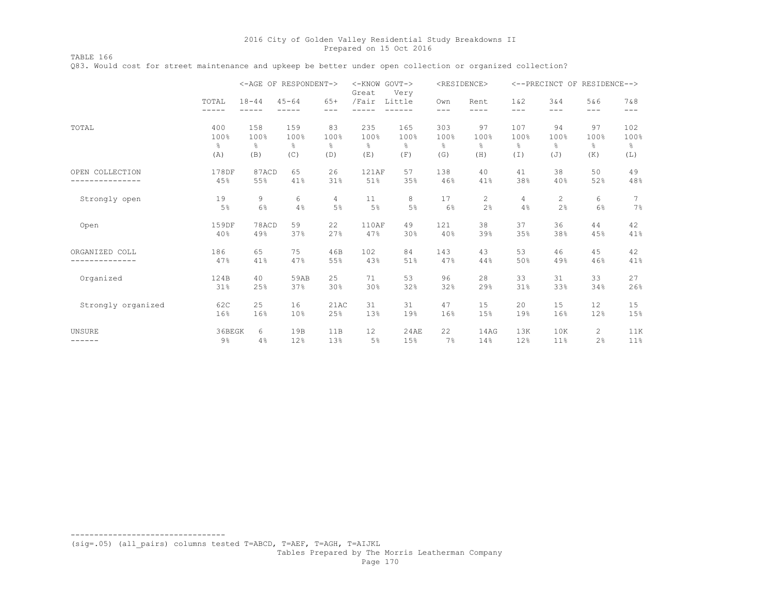TABLE 166 Q83. Would cost for street maintenance and upkeep be better under open collection or organized collection?

|                    |               | <-AGE OF RESPONDENT-> |               |                  | <-KNOW GOVT-><br>Great | Very   |            | <residence></residence> |              |              | <--PRECINCT OF RESIDENCE--> |                |
|--------------------|---------------|-----------------------|---------------|------------------|------------------------|--------|------------|-------------------------|--------------|--------------|-----------------------------|----------------|
|                    | TOTAL         | $18 - 44$             | $45 - 64$     | $65+$<br>$- - -$ | /Fair                  | Little | Own<br>--- | Rent<br>----            | 1 & 2<br>--- | 3&4<br>$---$ | 5&6<br>$---$                | 7 & 8<br>$---$ |
| TOTAL              | 400           | 158                   | 159           | 83               | 235                    | 165    | 303        | 97                      | 107          | 94           | 97                          | 102            |
|                    | 100%          | 100%                  | 100%          | 100%             | 100%                   | 100%   | 100%       | 100%                    | 100%         | 100%         | 100%                        | 100%           |
|                    | $\frac{6}{6}$ | 옹                     | $\frac{6}{5}$ | $\frac{6}{6}$    | $\frac{6}{6}$          | &      | g.         | 옹                       | $\%$         | $\approx$    | $\frac{6}{6}$               | $\frac{6}{6}$  |
|                    | (A)           | (B)                   | (C)           | (D)              | (E)                    | (F)    | (G)        | (H)                     | $(\top)$     | (J)          | (K)                         | (L)            |
| OPEN COLLECTION    | 178DF         | 87ACD                 | 65            | 26               | 121AF                  | 57     | 138        | 40                      | 41           | 38           | 50                          | 49             |
|                    | 45%           | 55%                   | 41%           | 31%              | 51%                    | 35%    | 46%        | 41%                     | 38%          | 40%          | 52%                         | 48%            |
| Strongly open      | 19            | 9                     | 6             | 4                | 11                     | 8      | 17         | 2                       | 4            | 2            | 6                           | 7              |
|                    | 5%            | 6%                    | 4%            | 5%               | 5%                     | $5\%$  | 6%         | 2%                      | 4%           | 2%           | 6%                          | 7%             |
| Open               | 159DF         | 78ACD                 | 59            | 22               | 110AF                  | 49     | 121        | 38                      | 37           | 36           | 44                          | 42             |
|                    | 40%           | 49%                   | 37%           | 27%              | 47%                    | 30%    | 40%        | 39%                     | 35%          | 38%          | 45%                         | 41%            |
| ORGANIZED COLL     | 186           | 65                    | 75            | 46B              | 102                    | 84     | 143        | 43                      | 53           | 46           | 45                          | 42             |
|                    | 47%           | 41%                   | 47%           | 55%              | 43%                    | 51%    | 47%        | 44%                     | 50%          | 49%          | 46%                         | 41%            |
| Organized          | 124B          | 40                    | 59AB          | 25               | 71                     | 53     | 96         | 28                      | 33           | 31           | 33                          | 27             |
|                    | 31%           | 25%                   | 37%           | 30%              | 30%                    | 32%    | 32%        | 29%                     | 31%          | 33%          | 34%                         | 26%            |
| Strongly organized | 62C           | 25                    | 16            | 21AC             | 31                     | 31     | 47         | 15                      | 20           | 15           | $12 \overline{ }$           | 15             |
|                    | 16%           | 16%                   | 10%           | 25%              | 13%                    | 19%    | 16%        | 15%                     | 19%          | 16%          | 12%                         | 15%            |
| <b>UNSURE</b>      | 36BEGK        | 6                     | 19B           | 11B              | 12                     | 24AE   | 22         | 14AG                    | 13K          | 10K          | $\mathbf{2}^{\prime}$       | 11K            |
| ------             | $9\%$         | 4%                    | 12%           | 13%              | 5%                     | 15%    | 7%         | 14%                     | 12%          | 11%          | 2%                          | 11%            |

--------------------------------- (sig=.05) (all\_pairs) columns tested T=ABCD, T=AEF, T=AGH, T=AIJKL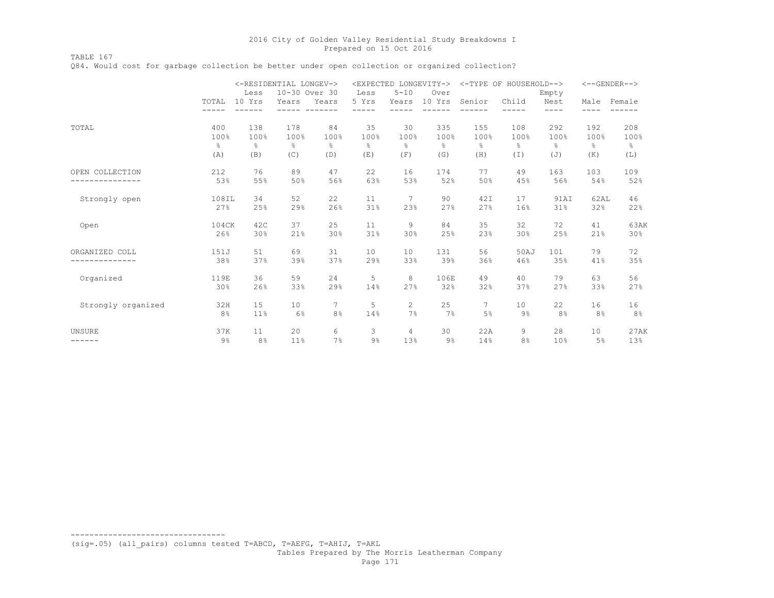TABLE 167

Q84. Would cost for garbage collection be better under open collection or organized collection?

|                    |                | Less           | <-RESIDENTIAL LONGEV-><br>10-30 Over 30 |       | Less  | $5 - 10$       | <expected longevity-=""><br/>Over</expected> |                                 | <-TYPE OF HOUSEHOLD--> | Empty           |      | <--GENDER-->   |
|--------------------|----------------|----------------|-----------------------------------------|-------|-------|----------------|----------------------------------------------|---------------------------------|------------------------|-----------------|------|----------------|
|                    | TOTAL          | 10 Yrs         | Years                                   | Years | 5 Yrs | Years          | 10 Yrs                                       | Senior                          | Child                  | Nest<br>----    | Male | Female         |
| TOTAL              | 400            | 138            | 178                                     | 84    | 35    | 30             | 335                                          | 155                             | 108                    | 292             | 192  | 208            |
|                    | 100%           | 100%           | 100%                                    | 100%  | 100%  | 100%           | 100%                                         | 100%                            | 100%                   | 100%            | 100% | 100%           |
|                    | $\frac{6}{6}$  | $\frac{6}{6}$  | $\approx$                               | g.    | g.    | $\frac{6}{6}$  | ိင                                           | $\frac{\mathsf{o}}{\mathsf{o}}$ | $\frac{6}{6}$          | $\frac{6}{6}$   | g.   | $\frac{6}{6}$  |
|                    | (A)            | (B)            | (C)                                     | (D)   | (E)   | (F)            | (G)                                          | (H)                             | (I)                    | (J)             | (K)  | (L)            |
| OPEN COLLECTION    | 212            | 76             | 89                                      | 47    | 22    | 16             | 174                                          | 77                              | 49                     | 163             | 103  | 109            |
|                    | 53%            | 55%            | 50%                                     | 56%   | 63%   | 53%            | 52%                                          | 50%                             | 45%                    | 56%             | 54%  | 52%            |
| Strongly open      | 108IL          | 34             | 52                                      | 22    | 11    | 7              | 90                                           | 42I                             | 17                     | 91AI            | 62AL | 46             |
|                    | 27%            | 25%            | 29%                                     | 26%   | 31%   | 23%            | 27%                                          | 27%                             | 16%                    | 31%             | 32%  | 22%            |
| Open               | 104CK          | 42C            | 37                                      | 25    | 11    | 9              | 84                                           | 35                              | 32                     | 72              | 41   | 63AK           |
|                    | 26%            | 30%            | 21%                                     | 30%   | 31%   | 30%            | 25%                                          | 23%                             | 30%                    | 25%             | 21%  | 30%            |
| ORGANIZED COLL     | 151J           | 51             | 69                                      | 31    | 10    | 10             | 131                                          | 56                              | 50AJ                   | 101             | 79   | 72             |
|                    | 38%            | 37%            | 39%                                     | 37%   | 29%   | 33%            | 39%                                          | 36%                             | 46%                    | 35%             | 41%  | 35%            |
| Organized          | 119E           | 36             | 59                                      | 24    | 5     | 8              | 106E                                         | 49                              | 40                     | 79              | 63   | 56             |
|                    | 30%            | 26%            | 33%                                     | 29%   | 14%   | 27%            | 32%                                          | 32%                             | 37%                    | 27%             | 33%  | 27%            |
| Strongly organized | 32H            | 15             | 10                                      | 7     | 5     | $\overline{c}$ | 25                                           | 7                               | 10                     | 22              | 16   | 16             |
|                    | 8 <sup>°</sup> | 11%            | 6%                                      | 8%    | 14%   | 7%             | 7%                                           | 5%                              | $9\%$                  | 8%              | 8%   | 8 <sup>°</sup> |
| <b>UNSURE</b>      | 37K            | 11             | 20                                      | 6     | 3     | 4              | 30                                           | 22A                             | 9                      | 28              | 10   | 27AK           |
| ------             | $9\%$          | 8 <sup>°</sup> | 11%                                     | 7%    | 9%    | 13%            | $9\%$                                        | 14%                             | 8 <sup>°</sup>         | 10 <sup>°</sup> | 5%   | 13%            |

(sig=.05) (all\_pairs) columns tested T=ABCD, T=AEFG, T=AHIJ, T=AKL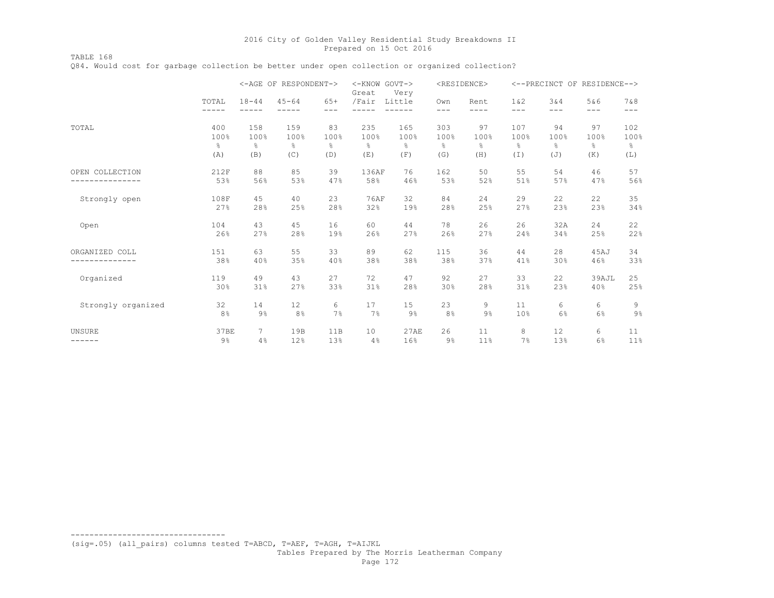TABLE 168 Q84. Would cost for garbage collection be better under open collection or organized collection?

|                    |                |                      | <-AGE OF RESPONDENT-> |                | <-KNOW GOVT-><br>Great | Very          |                | <residence></residence> |                |               | <--PRECINCT OF RESIDENCE--> |               |
|--------------------|----------------|----------------------|-----------------------|----------------|------------------------|---------------|----------------|-------------------------|----------------|---------------|-----------------------------|---------------|
|                    | TOTAL<br>---   | $18 - 44$<br>$- - -$ | $45 - 64$             | $65+$<br>$---$ | /Fair                  | Little        | Own<br>$---$   | Rent<br>----            | 1 & 2<br>$---$ | 3&4<br>---    | 5&6<br>$---$                | 7 & 8<br>---  |
| TOTAL              | 400            | 158                  | 159                   | 83             | 235                    | 165           | 303            | 97                      | 107            | 94            | 97                          | 102           |
|                    | 100%           | 100%                 | 100%                  | 100%           | 100%                   | 100%          | 100%           | 100%                    | 100%           | 100%          | 100%                        | 100%          |
|                    | g.             | $\frac{6}{6}$        | $\frac{6}{5}$         | g.             | 옹                      | $\frac{6}{6}$ | $\frac{6}{5}$  | $\frac{6}{6}$           | 옹              | $\frac{6}{6}$ | $\frac{6}{6}$               | $\frac{6}{6}$ |
|                    | (A)            | (B)                  | (C)                   | (D)            | (E)                    | (F)           | (G)            | (H)                     | (I)            | (J)           | (K)                         | (L)           |
| OPEN COLLECTION    | 212F           | 88                   | 85                    | 39             | 136AF                  | 76            | 162            | 50                      | 55             | 54            | 46                          | 57            |
|                    | 53%            | 56%                  | 53%                   | 47%            | 58%                    | 46%           | 53%            | 52%                     | 51%            | 57%           | 47%                         | 56%           |
| Strongly open      | 108F           | 45                   | 40                    | 23             | 76AF                   | 32            | 84             | 24                      | 29             | 22            | 22                          | 35            |
|                    | 27%            | 28%                  | 25%                   | 28%            | 32%                    | 19%           | 28%            | 25%                     | 27%            | 23%           | 23%                         | 34%           |
| Open               | 104            | 43                   | 45                    | 16             | 60                     | 44            | 78             | 26                      | 26             | 32A           | 24                          | 22            |
|                    | 26%            | 27%                  | 28%                   | 19%            | 26%                    | 27%           | 26%            | 27%                     | 24%            | 34%           | 25%                         | 22%           |
| ORGANIZED COLL     | 151            | 63                   | 55                    | 33             | 89                     | 62            | 115            | 36                      | 44             | 28            | 45AJ                        | 34            |
|                    | 38%            | 40%                  | 35%                   | 40%            | 38%                    | 38%           | 38%            | 37%                     | 41%            | 30%           | 46%                         | 33%           |
| Organized          | 119            | 49                   | 43                    | 27             | 72                     | 47            | 92             | 27                      | 33             | 22            | 39AJL                       | 25            |
|                    | 30%            | 31%                  | 27%                   | 33%            | 31%                    | 28%           | 30%            | 28%                     | 31%            | 23%           | 40%                         | 25%           |
| Strongly organized | 32             | 14                   | $12 \overline{ }$     | 6              | 17                     | 15            | 23             | 9                       | 11             | 6             | 6                           | 9             |
|                    | 8%             | $9\%$                | 8%                    | 7%             | 7%                     | 9%            | 8 <sup>°</sup> | $9\%$                   | 10%            | 6%            | 6%                          | 9%            |
| <b>UNSURE</b>      | 37BE           | 7                    | 19B                   | 11B            | 10                     | 27AE          | 26             | 11                      | 8              | 12            | 6                           | 11            |
| ------             | $9\frac{6}{6}$ | 4%                   | 12%                   | 13%            | 4%                     | 16%           | 9%             | 11%                     | 7%             | 13%           | 6%                          | 11%           |

(sig=.05) (all\_pairs) columns tested T=ABCD, T=AEF, T=AGH, T=AIJKL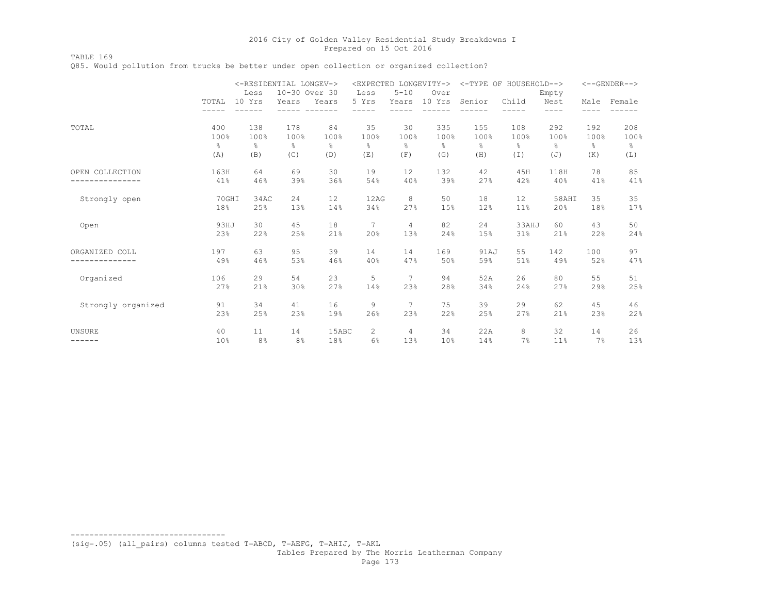TABLE 169 Q85. Would pollution from trucks be better under open collection or organized collection?

|                    |                    | <-RESIDENTIAL LONGEV-><br>Less | 10-30 Over 30 |       | <expected longevity-=""><br/>Less</expected> | $5 - 10$       | Over   |               | <-TYPE OF HOUSEHOLD--> | Empty         |              | $<-$ -GENDER--> |
|--------------------|--------------------|--------------------------------|---------------|-------|----------------------------------------------|----------------|--------|---------------|------------------------|---------------|--------------|-----------------|
|                    | TOTAL              | 10 Yrs                         | Years         | Years | 5 Yrs                                        | Years          | 10 Yrs | Senior        | Child                  | Nest<br>----  | Male<br>---- | Female          |
| TOTAL              | 400                | 138                            | 178           | 84    | 35                                           | 30             | 335    | 155           | 108                    | 292           | 192          | 208             |
|                    | $100$ <sup>8</sup> | 100%                           | 100%          | 100%  | 100%                                         | 100%           | 100%   | 100%          | 100%                   | 100%          | 100%         | 100%            |
|                    | $\frac{6}{5}$      | g.                             | 옹             | g.    | 옹                                            | g.             | g.     | $\frac{6}{6}$ | ⊱                      | $\frac{6}{6}$ | g.           | $\frac{6}{6}$   |
|                    | (A)                | (B)                            | (C)           | (D)   | (E)                                          | (F)            | (G)    | (H)           | (I)                    | (J)           | (K)          | (L)             |
| OPEN COLLECTION    | 163H               | 64                             | 69            | 30    | 19                                           | 12             | 132    | 42            | 45H                    | 118H          | 78           | 85              |
|                    | 41%                | 46%                            | 39%           | 36%   | 54%                                          | 40%            | 39%    | 27%           | 42%                    | 40%           | 41%          | 41%             |
| Strongly open      | 70GHI              | 34AC                           | 2.4           | 12    | 12AG                                         | 8              | 50     | 18            | 12                     | 58AHI         | 35           | 35              |
|                    | 18%                | 25%                            | 13%           | 14%   | 34%                                          | 27%            | 15%    | 12%           | 11 <sup>°</sup>        | 20%           | 18%          | 17%             |
| Open               | 93HJ               | 30                             | 45            | 18    | 7                                            | $\overline{4}$ | 82     | 24            | 33AHJ                  | 60            | 43           | 50              |
|                    | 23%                | 22%                            | 25%           | 21%   | 20%                                          | 13%            | 24%    | 15%           | 31%                    | 21%           | 22%          | 24%             |
| ORGANIZED COLL     | 197                | 63                             | 95            | 39    | 14                                           | 14             | 169    | 91AJ          | 55                     | 142           | 100          | 97              |
|                    | 49%                | 46%                            | 53%           | 46%   | 40%                                          | 47%            | 50%    | 59%           | 51%                    | 49%           | 52%          | 47%             |
| Organized          | 106                | 29                             | 54            | 23    | 5                                            | 7              | 94     | 52A           | 26                     | 80            | 55           | 51              |
|                    | 27%                | 21%                            | 30%           | 27%   | 14%                                          | 23%            | 28%    | 34%           | 24%                    | 27%           | 29%          | 25%             |
| Strongly organized | 91                 | 34                             | 41            | 16    | 9                                            | 7              | 75     | 39            | 29                     | 62            | 45           | 46              |
|                    | 23%                | 25%                            | 23%           | 19%   | 26%                                          | 23%            | 22%    | 25%           | 27%                    | 21%           | 23%          | 22%             |
| <b>UNSURE</b>      | 40                 | 11                             | 14            | 15ABC | $\overline{2}$                               | 4              | 34     | 22A           | 8                      | 32            | 14           | 26              |
| ------             | 10%                | 8 <sup>°</sup>                 | 8%            | 18%   | 6%                                           | 13%            | 10%    | 14%           | 7%                     | 11%           | 7%           | 13%             |

(sig=.05) (all\_pairs) columns tested T=ABCD, T=AEFG, T=AHIJ, T=AKL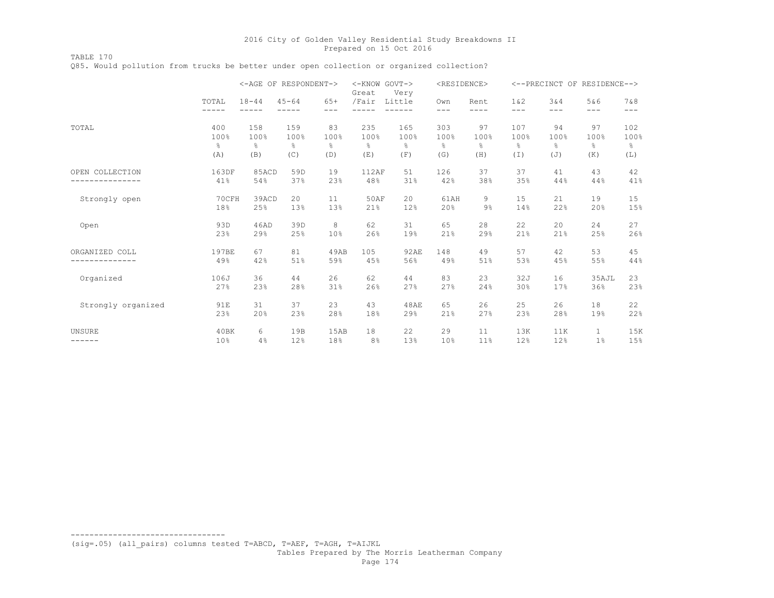TABLE 170 Q85. Would pollution from trucks be better under open collection or organized collection?

|                    |                | <-AGE OF RESPONDENT-> |               |                | <-KNOW GOVT-><br>Great | Very             | <residence></residence> |               |                |               | <--PRECINCT OF RESIDENCE--> |                  |
|--------------------|----------------|-----------------------|---------------|----------------|------------------------|------------------|-------------------------|---------------|----------------|---------------|-----------------------------|------------------|
|                    | TOTAL<br>----- | $18 - 44$<br>-----    | $45 - 64$     | $65+$<br>$---$ | /Fair                  | Little<br>------ | Own<br>$---$            | Rent<br>----  | 1 & 2<br>$---$ | 3&4<br>$---$  | 5&6<br>$---$                | 7 & 8<br>$- - -$ |
| TOTAL              | 400            | 158                   | 159           | 83             | 235                    | 165              | 303                     | 97            | 107            | 94            | 97                          | 102              |
|                    | 100%           | 100%                  | 100%          | 100%           | 100%                   | 100%             | 100%                    | 100%          | 100%           | 100%          | 100%                        | 100%             |
|                    | $\frac{6}{5}$  | $\frac{6}{6}$         | $\frac{6}{5}$ | $\frac{6}{6}$  | $\frac{6}{5}$          | $\frac{6}{5}$    | $\frac{6}{6}$           | $\frac{6}{6}$ | $\frac{6}{6}$  | $\frac{6}{6}$ | $\frac{6}{6}$               | $\frac{6}{6}$    |
|                    | (A)            | (B)                   | (C)           | (D)            | (E)                    | (F)              | (G)                     | (H)           | (I)            | (J)           | (K)                         | (L)              |
| OPEN COLLECTION    | 163DF          | 85ACD                 | 59D           | 19             | 112AF                  | 51               | 126                     | 37            | 37             | 41            | 43                          | 42               |
|                    | 41%            | 54%                   | 37%           | 23%            | 48%                    | 31%              | 42%                     | 38%           | 35%            | 44%           | 44%                         | 41%              |
| Strongly open      | 70CFH          | 39ACD                 | 20            | 11             | 50AF                   | 20               | 61AH                    | 9             | 15             | 21            | 19                          | 15               |
|                    | 18%            | 25%                   | 13%           | 13%            | 21%                    | 12%              | 20%                     | $9\%$         | 14%            | 22%           | 20%                         | 15%              |
| Open               | 93D            | 46AD                  | 39D           | 8              | 62                     | 31               | 65                      | 28            | 22             | 20            | 24                          | 27               |
|                    | 23%            | 29%                   | 25%           | 10%            | 26%                    | 19%              | 21%                     | 29%           | 21%            | 21%           | 25%                         | 26%              |
| ORGANIZED COLL     | 197BE          | 67                    | 81            | 49AB           | 105                    | 92AE             | 148                     | 49            | 57             | 42            | 53                          | 45               |
|                    | 49%            | 42%                   | 51%           | 59%            | 45%                    | 56%              | 49%                     | 51%           | 53%            | 45%           | 55%                         | 44%              |
| Organized          | 106J           | 36                    | 44            | 26             | 62                     | 44               | 83                      | 23            | 32J            | 16            | 35AJL                       | 23               |
|                    | 27%            | 23%                   | 28%           | 31%            | 26%                    | 27%              | 27%                     | 24%           | 30%            | 17%           | 36%                         | 23%              |
| Strongly organized | 91E            | 31                    | 37            | 23             | 43                     | 48AE             | 65                      | 26            | 25             | 26            | 18                          | 22               |
|                    | 23%            | 20%                   | 23%           | 28%            | 18%                    | 29%              | 21%                     | 27%           | 23%            | 28%           | 19%                         | 22%              |
| UNSURE             | 40BK           | 6                     | 19B           | 15AB           | 18                     | 22               | 29                      | 11            | 13K            | 11K           | $\mathbf{1}$                | 15K              |
| ------             | 10%            | 4%                    | 12%           | 18%            | 8%                     | 13%              | 10%                     | 11%           | 12%            | 12%           | 1%                          | 15%              |

(sig=.05) (all\_pairs) columns tested T=ABCD, T=AEF, T=AGH, T=AIJKL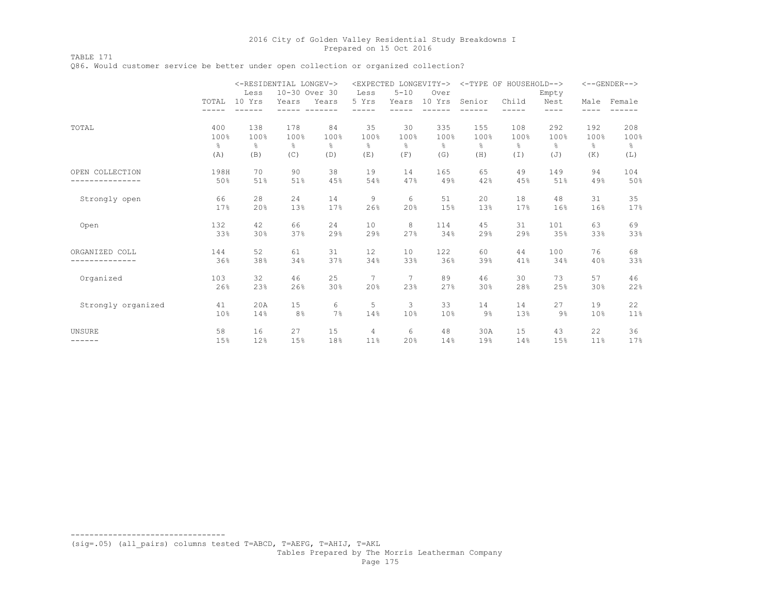TABLE 171

Q86. Would customer service be better under open collection or organized collection?

|                    |                 | <-RESIDENTIAL LONGEV-> |               |               |       | <expected longevity-=""></expected> |        |               | <-TYPE OF HOUSEHOLD--> |                                 |                 | $<-$ -GENDER--> |
|--------------------|-----------------|------------------------|---------------|---------------|-------|-------------------------------------|--------|---------------|------------------------|---------------------------------|-----------------|-----------------|
|                    |                 | Less                   | 10-30 Over 30 |               | Less  | $5 - 10$                            | Over   |               |                        | Empty                           |                 |                 |
|                    | TOTAL           | 10 Yrs                 | Years         | Years         | 5 Yrs | Years                               | 10 Yrs | Senior        | Child                  | Nest<br>----                    | Male<br>----    | Female          |
|                    |                 |                        |               |               |       |                                     |        |               |                        |                                 |                 |                 |
| TOTAL              | 400             | 138                    | 178           | 84            | 35    | 30                                  | 335    | 155           | 108                    | 292                             | 192             | 208             |
|                    | 100%            | 100%                   | 100%          | 100%          | 100%  | 100%                                | 100%   | 100%          | 100%                   | 100%                            | 100%            | 100%            |
|                    | $\frac{6}{6}$   | $\frac{6}{6}$          | $\approx$     | $\frac{6}{6}$ | o.    | $\frac{6}{5}$                       | ⊱      | $\frac{6}{6}$ | 옹                      | $\frac{\mathsf{o}}{\mathsf{o}}$ | $\epsilon$      | $\frac{6}{5}$   |
|                    | (A)             | (B)                    | (C)           | (D)           | (E)   | (F)                                 | (G)    | (H)           | (I)                    | (J)                             | (K)             | (L)             |
| OPEN COLLECTION    | 198H            | 70                     | 90            | 38            | 19    | 14                                  | 165    | 65            | 49                     | 149                             | 94              | 104             |
|                    | 50%             | 51%                    | 51%           | 45%           | 54%   | 47%                                 | 49%    | 42%           | 45%                    | 51%                             | 49%             | 50%             |
| Strongly open      | 66              | 28                     | 24            | 14            | 9     | 6                                   | 51     | 20            | 18                     | 48                              | 31              | 35              |
|                    | 17%             | 20%                    | 13%           | 17%           | 26%   | 20%                                 | 15%    | 13%           | 17%                    | 16%                             | 16%             | 17%             |
| Open               | 132             | 42                     | 66            | 24            | 10    | 8                                   | 114    | 45            | 31                     | 101                             | 63              | 69              |
|                    | 33%             | 30%                    | 37%           | 29%           | 29%   | 27%                                 | 34%    | 29%           | 29%                    | 35%                             | 33%             | 33%             |
| ORGANIZED COLL     | 144             | 52                     | 61            | 31            | 12    | 10                                  | 122    | 60            | 44                     | 100                             | 76              | 68              |
|                    | 36%             | 38%                    | 34%           | 37%           | 34%   | 33%                                 | 36%    | 39%           | 41%                    | 34%                             | 40%             | 33%             |
| Organized          | 103             | 32                     | 46            | 25            | 7     | 7                                   | 89     | 46            | 30                     | 73                              | 57              | 46              |
|                    | 26%             | 23%                    | 26%           | 30%           | 20%   | 23%                                 | 27%    | 30%           | 28%                    | 25%                             | 30%             | 22%             |
| Strongly organized | 41              | 20A                    | 15            | 6             | 5     | 3                                   | 33     | 14            | 14                     | 27                              | 19              | 22              |
|                    | 10 <sup>°</sup> | 14%                    | 8%            | 7%            | 14%   | 10%                                 | 10%    | 9%            | 13%                    | 9%                              | 10%             | 11%             |
| <b>UNSURE</b>      | 58              | 16                     | 27            | 15            | 4     | 6                                   | 48     | 30A           | 15                     | 43                              | 22              | 36              |
| ------             | 15%             | 12%                    | 15%           | 18%           | 11%   | 20%                                 | 14%    | 19%           | 14%                    | 15%                             | 11 <sup>°</sup> | 17%             |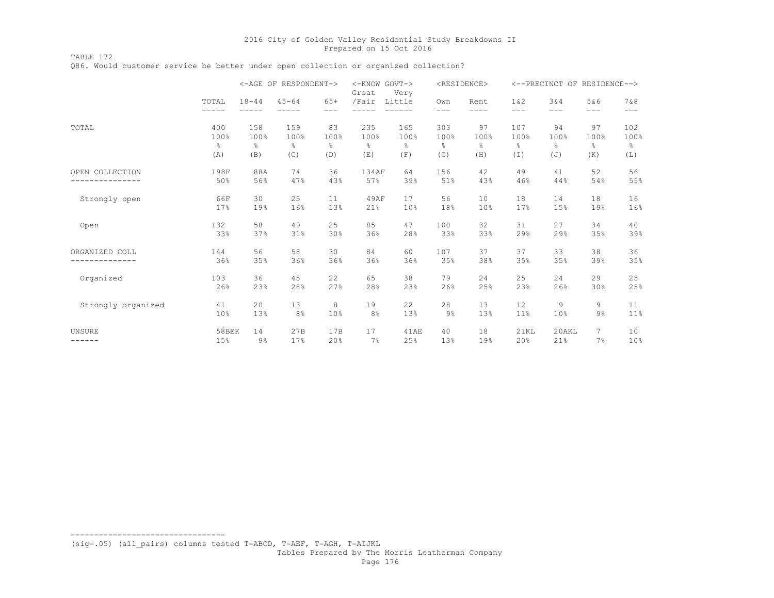TABLE 172 Q86. Would customer service be better under open collection or organized collection?

|                    |               |               | <-AGE OF RESPONDENT-> |       | <-KNOW GOVT-><br>Great | Very          |               | <residence></residence> |          | <--PRECINCT OF RESIDENCE--> |               |       |
|--------------------|---------------|---------------|-----------------------|-------|------------------------|---------------|---------------|-------------------------|----------|-----------------------------|---------------|-------|
|                    | TOTAL         | $18 - 44$     | $45 - 64$             | $65+$ | /Fair                  | Little        | Own           | Rent                    | $1\&2$   | 3 & 4                       | 5&6           | 7 & 8 |
|                    | $- - - - - -$ | -----         | $- - -$               | $---$ | -----                  | ------        | $---$         | ----                    | $---$    | $---$                       | $---$         | $---$ |
| TOTAL              | 400           | 158           | 159                   | 83    | 235                    | 165           | 303           | 97                      | 107      | 94                          | 97            | 102   |
|                    | 100%          | 100%          | 100%                  | 100%  | 100%                   | 100%          | 100%          | 100%                    | 100%     | 100%                        | 100%          | 100%  |
|                    | $\frac{6}{6}$ | $\frac{6}{6}$ | $\approx$             | 옹     | 옹                      | $\frac{6}{5}$ | $\frac{6}{6}$ | $\frac{6}{6}$           | $\%$     | $\frac{6}{10}$              | $\frac{6}{6}$ | 웅     |
|                    | (A)           | (B)           | (C)                   | (D)   | (E)                    | (F)           | (G)           | (H)                     | $(\top)$ | (J)                         | (K)           | (L)   |
| OPEN COLLECTION    | 198F          | 88A           | 74                    | 36    | 134AF                  | 64            | 156           | 42                      | 49       | 41                          | 52            | 56    |
|                    | 50%           | 56%           | 47%                   | 43%   | 57%                    | 39%           | 51%           | 43%                     | 46%      | 44%                         | 54%           | 55%   |
| Strongly open      | 66F           | 30            | 25                    | 11    | 49AF                   | 17            | 56            | 10                      | 18       | 14                          | 18            | 16    |
|                    | 17%           | 19%           | 16%                   | 13%   | 21%                    | 10%           | 18%           | 10%                     | 17%      | 15%                         | 19%           | 16%   |
| Open               | 132           | 58            | 49                    | 25    | 85                     | 47            | 100           | 32                      | 31       | 27                          | 34            | 40    |
|                    | 33%           | 37%           | 31%                   | 30%   | 36%                    | 28%           | 33%           | 33%                     | 29%      | 29%                         | 35%           | 39%   |
| ORGANIZED COLL     | 144           | 56            | 58                    | 30    | 84                     | 60            | 107           | 37                      | 37       | 33                          | 38            | 36    |
|                    | 36%           | 35%           | 36%                   | 36%   | 36%                    | 36%           | 35%           | 38%                     | 35%      | 35%                         | 39%           | 35%   |
| Organized          | 103           | 36            | 45                    | 22    | 65                     | 38            | 79            | 24                      | 25       | 24                          | 29            | 25    |
|                    | 26%           | 23%           | 28%                   | 27%   | 28%                    | 23%           | 26%           | 25%                     | 23%      | 26%                         | 30%           | 25%   |
| Strongly organized | 41            | 20            | 13                    | 8     | 19                     | 22            | 28            | 13                      | 12       | 9                           | 9             | 11    |
|                    | 10%           | 13%           | 8%                    | 10%   | 8%                     | 13%           | $9\%$         | 13%                     | 11%      | 10%                         | $9\%$         | 11%   |
| UNSURE             | 58BEK         | 14            | 27B                   | 17B   | 17                     | 41AE          | 40            | 18                      | 21KL     | 20AKL                       | 7             | 10    |
| ------             | 15%           | $9\%$         | 17%                   | 20%   | 7%                     | 25%           | 13%           | 19%                     | 20%      | 21%                         | 7%            | 10%   |

--------------------------------- (sig=.05) (all\_pairs) columns tested T=ABCD, T=AEF, T=AGH, T=AIJKL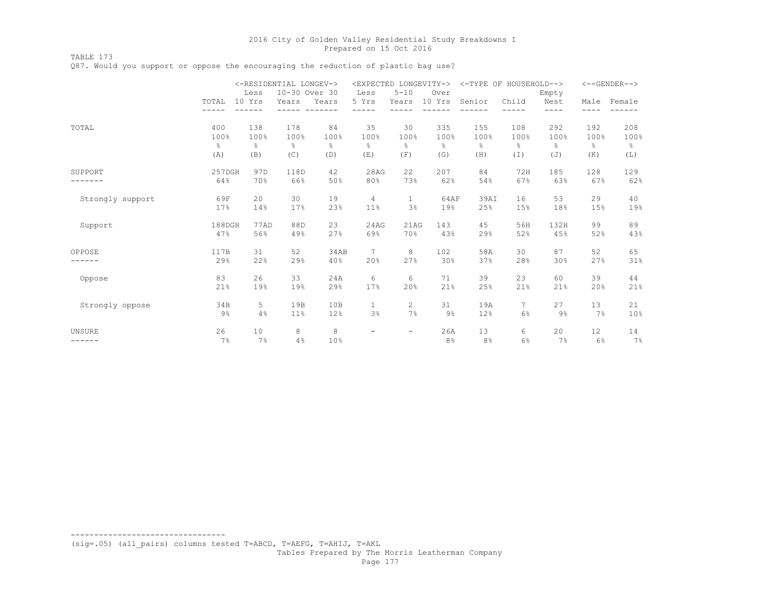TABLE 173

Q87. Would you support or oppose the encouraging the reduction of plastic bag use?

|                  |          |                 | <-RESIDENTIAL LONGEV-> |               | <expected longevity-=""></expected> |                   |                       | <-TYPE OF HOUSEHOLD--> |                |                       |               | $<-$ -GENDER--> |
|------------------|----------|-----------------|------------------------|---------------|-------------------------------------|-------------------|-----------------------|------------------------|----------------|-----------------------|---------------|-----------------|
|                  | TOTAL    | Less<br>10 Yrs  | 10-30 Over 30<br>Years | Years         | Less<br>5 Yrs                       | $5 - 10$<br>Years | Over<br>10 Yrs        | Senior                 | Child          | Empty<br>Nest<br>---- | Male          | Female          |
| TOTAL            | 400      | 138             | 178                    | 84            | 35                                  | 30                | 335                   | 155                    | 108            | 292                   | 192           | 208             |
|                  | 100%     | 100%            | 100%                   | 100%          | 100%                                | 100%              | 100%                  | 100%                   | 100%           | 100%                  | 100%          | 100%            |
|                  | g.       | g.              | $\frac{6}{5}$          | $\frac{6}{6}$ | 옹                                   | g.                | g.                    | $\frac{6}{6}$          | 옹              | $\frac{6}{6}$         | $\frac{6}{6}$ | $\frac{6}{6}$   |
|                  | (A)      | (B)             | (C)                    | (D)           | (E)                                 | (F)               | (G)                   | (H)                    | (I)            | (J)                   | (K)           | (L)             |
| SUPPORT          | 257DGH   | 97 <sub>D</sub> | 118D                   | 42            | 28AG                                | 22                | 207                   | 84                     | 72H            | 185                   | 128           | 129             |
|                  | 64%      | 70%             | 66%                    | 50%           | 80%                                 | 73%               | 62%                   | 54%                    | 67%            | 63%                   | 67%           | 62%             |
| Strongly support | 69F      | 20              | 30                     | 19            | 4                                   | $\mathbf{1}$      | 64AF                  | 39AI                   | 16             | 53                    | 29            | 40              |
|                  | 17%      | 14%             | 17%                    | 23%           | 11%                                 | 3%                | 19%                   | 25%                    | 15%            | 18%                   | 15%           | 19%             |
| Support          | 188DGH   | 77AD            | 88D                    | 23            | 24AG                                | 21AG              | 143                   | 45                     | 56H            | 132H                  | 99            | 89              |
|                  | 47%      | 56%             | 49%                    | 27%           | 69%                                 | 70%               | 43%                   | 29%                    | 52%            | 45%                   | 52%           | 43%             |
| OPPOSE           | 117B     | 31              | 52                     | 34AB          | 7                                   | 8                 | 102                   | 58A                    | 30             | 87                    | 52            | 65              |
|                  | 29%      | 22%             | 29%                    | 40%           | 20%                                 | 27%               | 30%                   | 37%                    | 28%            | 30%                   | 27%           | 31%             |
| Oppose           | 83       | 26              | 33                     | 24A           | 6                                   | 6                 | 71                    | 39                     | 23             | 60                    | 39            | 44              |
|                  | 21%      | 19%             | 19%                    | 29%           | 17%                                 | 20%               | 21%                   | 25%                    | 21%            | 21%                   | 20%           | 21%             |
| Strongly oppose  | 34B      | 5               | 19B                    | 10B           | $\mathbf{1}$                        | $\mathbf{2}$      | 31                    | 19A                    | $\overline{7}$ | 27                    | 13            | 21              |
|                  | 9%       | 4%              | 11%                    | 12%           | 3%                                  | 7%                | $9\%$                 | 12%                    | 6%             | $9\%$                 | 7%            | 10%             |
| UNSURE           | 26<br>7% | 10<br>7%        | 8<br>4%                | 8<br>10%      | $\overline{\phantom{m}}$            | $-$               | 26A<br>8 <sup>°</sup> | 13<br>8%               | 6<br>6%        | 20<br>7%              | 12<br>6%      | 14<br>7%        |

--------------------------------- (sig=.05) (all\_pairs) columns tested T=ABCD, T=AEFG, T=AHIJ, T=AKL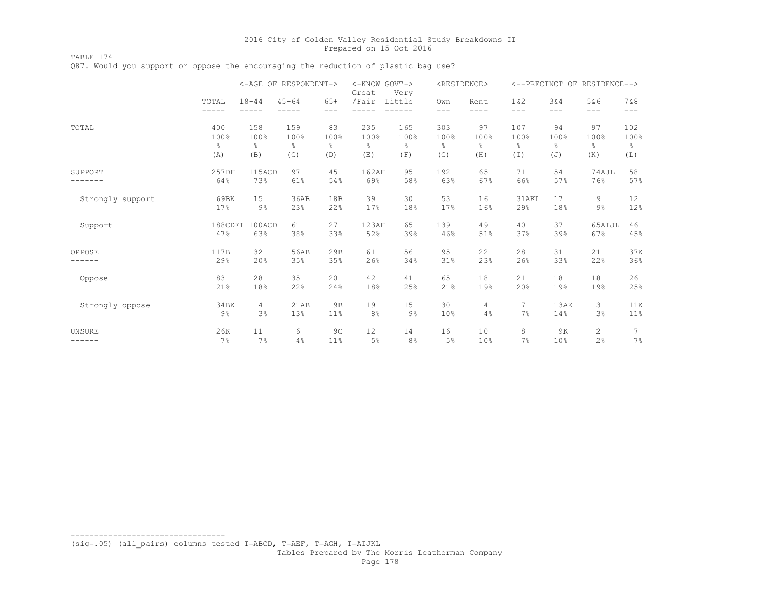TABLE 174 Q87. Would you support or oppose the encouraging the reduction of plastic bag use?

|                  |                |                    | <-AGE OF RESPONDENT-> |                | <-KNOW GOVT-><br>Great | Very          |            | <residence></residence> |                |            | <--PRECINCT OF RESIDENCE--> |                |
|------------------|----------------|--------------------|-----------------------|----------------|------------------------|---------------|------------|-------------------------|----------------|------------|-----------------------------|----------------|
|                  | TOTAL<br>----- | $18 - 44$<br>----- | $45 - 64$             | $65+$<br>$---$ | /Fair                  | Little        | Own<br>--- | Rent<br>----            | 1 & 2<br>$---$ | 3&4<br>--- | 5&6<br>$---$                | 7 & 8<br>$---$ |
| TOTAL            | 400            | 158                | 159                   | 83             | 235                    | 165           | 303        | 97                      | 107            | 94         | 97                          | 102            |
|                  | 100%           | 100%               | 100%                  | 100%           | 100%                   | 100%          | 100%       | 100%                    | 100%           | 100%       | 100%                        | 100%           |
|                  | $\frac{6}{6}$  | $\%$               | $\frac{6}{5}$         | $\frac{6}{6}$  | 옹                      | $\frac{6}{5}$ | g.         | $\frac{6}{5}$           | e,             | $\approx$  | $\%$                        | $\frac{6}{6}$  |
|                  | (A)            | (B)                | (C)                   | (D)            | (E)                    | (F)           | (G)        | (H)                     | (I)            | (J)        | (K)                         | (L)            |
| SUPPORT          | 257DF          | 115ACD             | 97                    | 45             | 162AF                  | 95            | 192        | 65                      | 71             | 54         | 74AJL                       | 58             |
|                  | 64%            | 73%                | 61%                   | 54%            | 69%                    | 58%           | 63%        | 67%                     | 66%            | 57%        | 76%                         | 57%            |
| Strongly support | 69BK           | 15                 | 36AB                  | 18B            | 39                     | 30            | 53         | 16                      | 31AKL          | 17         | 9                           | 12             |
|                  | 17%            | $9\%$              | 23%                   | 22%            | 17%                    | 18%           | 17%        | 16%                     | 29%            | 18%        | $9\%$                       | 12%            |
| Support          | 188CDFI        | 100ACD             | 61                    | 27             | 123AF                  | 65            | 139        | 49                      | 40             | 37         | 65AIJL                      | 46             |
|                  | 47%            | 63%                | 38%                   | 33%            | 52%                    | 39%           | 46%        | 51%                     | 37%            | 39%        | 67%                         | 45%            |
| OPPOSE           | 117B           | 32                 | 56AB                  | 29B            | 61                     | 56            | 95         | 22                      | 28             | 31         | 21                          | 37K            |
|                  | 29%            | 20%                | 35%                   | 35%            | 26%                    | 34%           | 31%        | 23%                     | 26%            | 33%        | 22%                         | 36%            |
| Oppose           | 83             | 28                 | 35                    | 20             | 42                     | 41            | 65         | 18                      | 21             | 18         | 18                          | 26             |
|                  | 21%            | 18%                | 22%                   | 24%            | 18%                    | 25%           | 21%        | 19%                     | 20%            | 19%        | 19%                         | 25%            |
| Strongly oppose  | 34BK           | 4                  | 21AB                  | 9 <sub>B</sub> | 19                     | 15            | 30         | 4                       | 7              | 13AK       | 3                           | 11K            |
|                  | $9\%$          | 3%                 | 13%                   | 11%            | 8%                     | $9\%$         | 10%        | 4%                      | 7%             | 14%        | 3%                          | 11%            |
| <b>UNSURE</b>    | 26K            | 11                 | 6                     | 9 <sup>C</sup> | 12                     | 14            | 16         | 10                      | 8              | 9K         | $\overline{c}$              | 7              |
| ------           | 7%             | 7%                 | 4%                    | 11%            | 5%                     | 8%            | 5%         | 10%                     | 7%             | 10%        | 2%                          | 7%             |

--------------------------------- (sig=.05) (all\_pairs) columns tested T=ABCD, T=AEF, T=AGH, T=AIJKL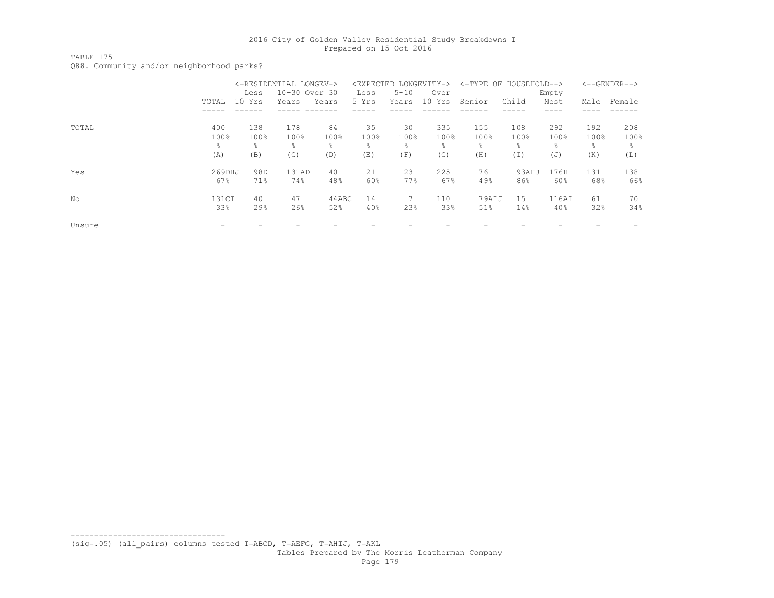TABLE 175

Q88. Community and/or neighborhood parks?

|        |        |        | <-RESIDENTIAL LONGEV-> |       |       |          | <expected longevity-=""></expected> |                | <-TYPE OF HOUSEHOLD--> |       |           | $<-$ -GENDER--> |
|--------|--------|--------|------------------------|-------|-------|----------|-------------------------------------|----------------|------------------------|-------|-----------|-----------------|
|        |        | Less   | 10-30 Over 30          |       | Less  | $5 - 10$ | Over                                |                |                        | Empty |           |                 |
|        | TOTAL  | 10 Yrs | Years                  | Years | 5 Yrs | Years    | 10 Yrs                              | Senior         | Child                  | Nest  | Male      | Female          |
|        |        |        |                        |       |       |          |                                     |                |                        |       |           |                 |
| TOTAL  | 400    | 138    | 178                    | 84    | 35    | 30       | 335                                 | 155            | 108                    | 292   | 192       | 208             |
|        | 100%   | 100%   | 100%                   | 100%  | 100%  | 100%     | 100%                                | 100%           | 100%                   | 100%  | 100%      | 100%            |
|        | ÷,     | ⊱      | ⊱                      | ⊱     | 욲     | ÷,       | 욲                                   | $\frac{6}{10}$ | ⊱                      | ⊱     | $\approx$ | ⊱               |
|        | (A)    | (B)    | (C)                    | (D)   | (E)   | (F)      | (G)                                 | (H)            | (I)                    | (J)   | (K)       | (L)             |
| Yes    | 269DHJ | 98D    | 131AD                  | 40    | 21    | 23       | 225                                 | 76             | 93AHJ                  | 176H  | 131       | 138             |
|        | 67%    | 71%    | 74%                    | 48%   | 60%   | 77%      | 67%                                 | 49%            | 86%                    | 60%   | 68%       | 66%             |
| No     | 131CI  | 40     | 47                     | 44ABC | 14    | 7        | 110                                 | 79AIJ          | 15                     | 116AI | 61        | 70              |
|        | 33%    | 29%    | 26%                    | 52%   | 40%   | 23%      | 33%                                 | 51%            | 14%                    | 40%   | 32%       | 34%             |
| Unsure |        |        |                        |       |       |          |                                     |                |                        |       |           |                 |

--------------------------------- (sig=.05) (all\_pairs) columns tested T=ABCD, T=AEFG, T=AHIJ, T=AKL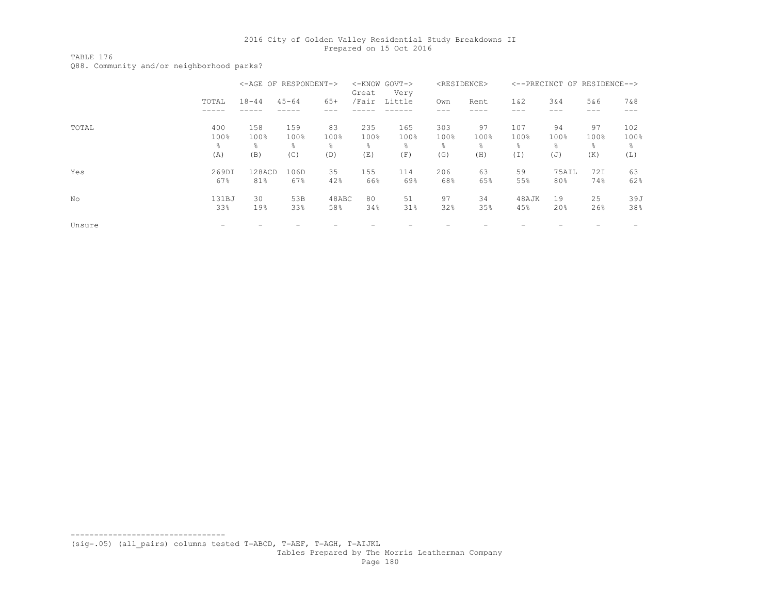TABLE 176

Q88. Community and/or neighborhood parks?

|        |                  | <-AGE OF RESPONDENT-> |                  |                 | Great            | <-KNOW GOVT-><br>Very |                               | <residence></residence> |                  | <--PRECINCT OF RESIDENCE-->  |                  |                   |
|--------|------------------|-----------------------|------------------|-----------------|------------------|-----------------------|-------------------------------|-------------------------|------------------|------------------------------|------------------|-------------------|
|        | TOTAL            | $18 - 44$             | $45 - 64$        | $65+$           | /Fair            | Little                | Own                           | Rent                    | $1\&2$           | 3&4                          | 5&6<br>---       | 7 & 8             |
| TOTAL  | 400<br>100%<br>⊱ | 158<br>100%<br>⊱      | 159<br>100%<br>⊱ | 83<br>100%<br>⊱ | 235<br>100%<br>욲 | 165<br>100%<br>⊱      | 303<br>100%<br>$\frac{6}{10}$ | 97<br>100%<br>٩,        | 107<br>100%<br>옹 | 94<br>100%<br>$\frac{6}{10}$ | 97<br>100%<br>g. | 102<br>100%<br>÷. |
|        | (A)              | (B)                   | (C)              | (D)             | (E)              | (F)                   | (G)                           | (H)                     | (I)              | (J)                          | (K)              | (L)               |
| Yes    | 269DI<br>67%     | 128ACD<br>81%         | 106D<br>67%      | 35<br>42%       | 155<br>66%       | 114<br>69%            | 206<br>68%                    | 63<br>65%               | 59<br>55%        | 75AIL<br>80%                 | 72I<br>74%       | 63<br>62%         |
| No     | 131BJ<br>33%     | 30<br>19%             | 53B<br>33%       | 48ABC<br>58%    | 80<br>34%        | 51<br>31%             | 97<br>32%                     | 34<br>35%               | 48AJK<br>45%     | 19<br>20%                    | 25<br>26%        | 39J<br>38%        |
| Unsure |                  |                       |                  |                 |                  |                       |                               |                         |                  |                              |                  |                   |

(sig=.05) (all\_pairs) columns tested T=ABCD, T=AEF, T=AGH, T=AIJKL

---------------------------------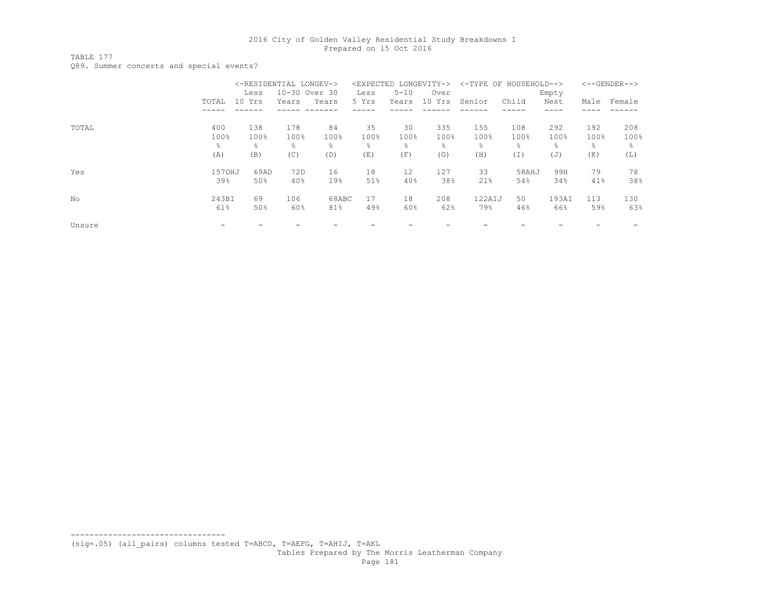TABLE 177

Q89. Summer concerts and special events?

|        |        |        | <-RESIDENTIAL LONGEV-> |                |       |          | <expected longevity-=""></expected> |                | <-TYPE OF HOUSEHOLD--> |       |           | $\leftarrow$ -GENDER--> |
|--------|--------|--------|------------------------|----------------|-------|----------|-------------------------------------|----------------|------------------------|-------|-----------|-------------------------|
|        |        | Less   | 10-30 Over 30          |                | Less  | $5 - 10$ | Over                                |                |                        | Empty |           |                         |
|        | TOTAL  | 10 Yrs | Years                  | Years          | 5 Yrs | Years    | 10 Yrs                              | Senior         | Child                  | Nest  | Male      | Female                  |
|        |        |        |                        |                |       |          |                                     |                |                        |       |           |                         |
| TOTAL  | 400    | 138    | 178                    | 84             | 35    | 30       | 335                                 | 155            | 108                    | 292   | 192       | 208                     |
|        | 100%   | 100%   | 100%                   | 100%           | 100%  | 100%     | 100%                                | 100%           | 100%                   | 100%  | 100%      | 100%                    |
|        | ⊱      | ⊱      | ÷,                     | $\frac{6}{10}$ | ⊱     | ÷.       | 욲                                   | $\frac{6}{10}$ | $\frac{6}{10}$         | ⊱     | $\approx$ | ÷.                      |
|        | (A)    | (B)    | (C)                    | (D)            | (E)   | (F)      | (G)                                 | (H)            | (I)                    | (J)   | (K)       | (L)                     |
| Yes    | 157DHJ | 69AD   | 72D                    | 16             | 18    | 12       | 127                                 | 33             | 58AHJ                  | 99H   | 79        | 78                      |
|        | 39%    | 50%    | 40%                    | 19%            | 51%   | 40%      | 38%                                 | 21%            | 54%                    | 34%   | 41%       | 38%                     |
| No     | 243BI  | 69     | 106                    | 68ABC          | 17    | 18       | 208                                 | 122AIJ         | 50                     | 193AI | 113       | 130                     |
|        | 61%    | 50%    | 60%                    | 81%            | 49%   | 60%      | 62%                                 | 79%            | 46%                    | 66%   | 59%       | 63%                     |
| Unsure |        |        |                        |                |       |          |                                     |                |                        |       |           |                         |

(sig=.05) (all\_pairs) columns tested T=ABCD, T=AEFG, T=AHIJ, T=AKL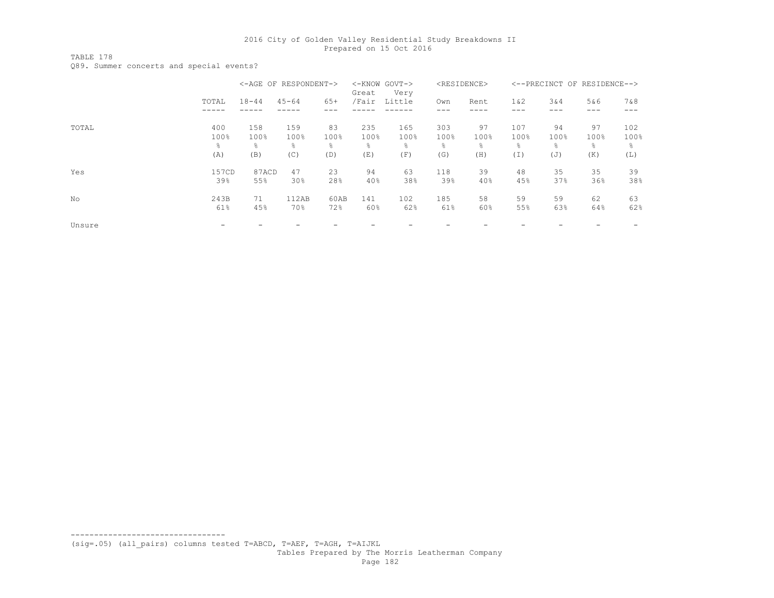TABLE 178

Q89. Summer concerts and special events?

|        |                   | <-AGE OF RESPONDENT-> |                  |                 | <-KNOW GOVT-><br>Great | Very              |                               | <residence></residence>      |                  |                 | <--PRECINCT OF RESIDENCE--> |                   |
|--------|-------------------|-----------------------|------------------|-----------------|------------------------|-------------------|-------------------------------|------------------------------|------------------|-----------------|-----------------------------|-------------------|
|        | TOTAL             | $18 - 44$             | $45 - 64$        | $65+$           | /Fair                  | Little            | Own                           | Rent                         | 1 & 2            | 3&4             | 5&6<br>---                  | 7&8               |
| TOTAL  | 400<br>100%<br>÷, | 158<br>100%<br>옹      | 159<br>100%<br>⊱ | 83<br>100%<br>옹 | 235<br>100%<br>⊱       | 165<br>100%<br>÷, | 303<br>100%<br>$\frac{6}{10}$ | 97<br>100%<br>$\frac{6}{10}$ | 107<br>100%<br>옹 | 94<br>100%<br>⊱ | 97<br>100%<br>$\approx$     | 102<br>100%<br>g. |
|        | (A)               | (B)                   | (C)              | (D)             | (E)                    | (F)               | (G)                           | (H)                          | (I)              | (J)             | (K)                         | (L)               |
| Yes    | 157CD<br>39%      | 87ACD<br>55%          | 47<br>30%        | 23<br>28%       | 94<br>40%              | 63<br>38%         | 118<br>39%                    | 39<br>40%                    | 48<br>45%        | 35<br>37%       | 35<br>36%                   | 39<br>38%         |
| No     | 243B<br>61%       | 71<br>45%             | 112AB<br>70%     | 60AB<br>72%     | 141<br>60%             | 102<br>62%        | 185<br>61%                    | 58<br>60%                    | 59<br>55%        | 59<br>63%       | 62<br>64%                   | 63<br>62%         |
| Unsure |                   |                       |                  |                 |                        |                   |                               |                              |                  |                 |                             |                   |

(sig=.05) (all\_pairs) columns tested T=ABCD, T=AEF, T=AGH, T=AIJKL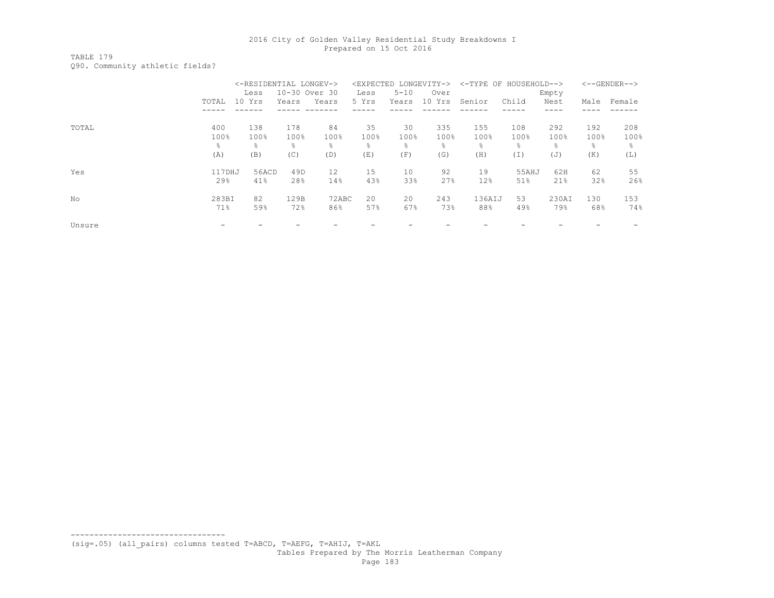TABLE 179 Q90. Community athletic fields?

|        |                       | <-RESIDENTIAL LONGEV-> |             |               | <expected< th=""><th></th><th>LONGEVITY-&gt;</th><th>&lt;-TYPE OF HOUSEHOLD--&gt;</th><th></th><th></th><th></th><th><math>\leftarrow</math>-GENDER--&gt;</th></expected<> |            | LONGEVITY->           | <-TYPE OF HOUSEHOLD--> |              |              |             | $\leftarrow$ -GENDER--> |
|--------|-----------------------|------------------------|-------------|---------------|----------------------------------------------------------------------------------------------------------------------------------------------------------------------------|------------|-----------------------|------------------------|--------------|--------------|-------------|-------------------------|
|        |                       | Less                   |             | 10-30 Over 30 | Less                                                                                                                                                                       | $5 - 10$   | Over                  |                        |              | Empty        |             |                         |
|        | TOTAL                 | 10 Yrs                 | Years       | Years         | 5 Yrs                                                                                                                                                                      | Years      | 10 Yrs                | Senior                 | Child        | Nest         | Male        | Female                  |
|        |                       |                        |             |               |                                                                                                                                                                            |            |                       |                        |              |              |             |                         |
| TOTAL  | 400<br>100%           | 138<br>100%            | 178<br>100% | 84<br>100%    | 35<br>100%                                                                                                                                                                 | 30<br>100% | 335<br>100%           | 155<br>100%            | 108<br>100%  | 292<br>100%  | 192<br>100% | 208<br>100%             |
|        | $\frac{6}{10}$<br>(A) | 옹<br>(B)               | ⊱<br>(C)    | g.<br>(D)     | $\frac{6}{10}$<br>(E)                                                                                                                                                      | ÷.<br>(F)  | $\frac{6}{10}$<br>(G) | $\frac{6}{10}$<br>(H)  | g.<br>(I)    | g.<br>(J)    | g.<br>(K)   | ⊱<br>(L)                |
|        |                       |                        |             |               |                                                                                                                                                                            |            |                       |                        |              |              |             |                         |
| Yes    | 117DHJ<br>29%         | 56ACD<br>41%           | 49D<br>28%  | 12<br>14%     | 15<br>43%                                                                                                                                                                  | 10<br>33%  | 92<br>27%             | 19<br>12%              | 55AHJ<br>51% | 62H<br>21%   | 62<br>32%   | 55<br>26%               |
|        |                       |                        |             |               |                                                                                                                                                                            |            |                       |                        |              |              |             |                         |
| No     | 283BI<br>71%          | 82<br>59%              | 129B<br>72% | 72ABC<br>86%  | 20<br>57%                                                                                                                                                                  | 20<br>67%  | 243<br>73%            | 136AIJ<br>88%          | 53<br>49%    | 230AI<br>79% | 130<br>68%  | 153<br>74%              |
|        |                       |                        |             |               |                                                                                                                                                                            |            |                       |                        |              |              |             |                         |
| Unsure |                       |                        |             |               |                                                                                                                                                                            |            |                       |                        |              |              |             |                         |

(sig=.05) (all\_pairs) columns tested T=ABCD, T=AEFG, T=AHIJ, T=AKL

---------------------------------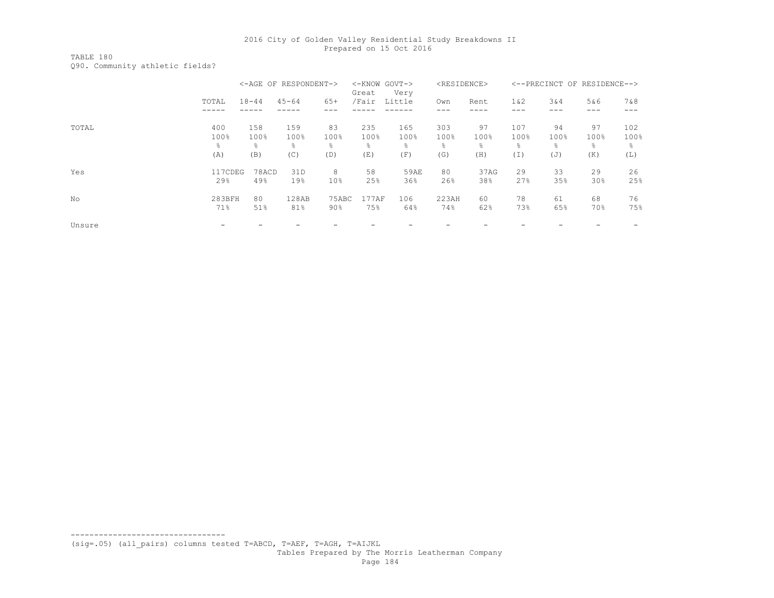TABLE 180 Q90. Community athletic fields?

|        |         |                | <-AGE OF RESPONDENT-> |                 | <-KNOW GOVT-><br>Great | Very      | <residence></residence> |                |                | <--PRECINCT OF RESIDENCE--> |           |      |
|--------|---------|----------------|-----------------------|-----------------|------------------------|-----------|-------------------------|----------------|----------------|-----------------------------|-----------|------|
|        | TOTAL   | $18 - 44$      | $45 - 64$             | $65+$           | /Fair                  | Little    | Own                     | Rent           | 1 & 2          | 3&4                         | 5&6       | 7&8  |
| TOTAL  | 400     | 158            | 159                   | 83              | 235                    | 165       | 303                     | 97             | 107            | 94                          | 97        | 102  |
|        | 100%    | 100%           | 100%                  | 100%            | 100%                   | 100%      | 100%                    | 100%           | 100%           | 100%                        | 100%      | 100% |
|        | ÷,      | $\frac{6}{10}$ | ⊱                     | ÷.              | ⊱                      | $\approx$ | $\frac{6}{10}$          | $\frac{6}{10}$ | $\frac{6}{10}$ | ⊱                           | $\approx$ | ÷.   |
|        | (A)     | (B)            | (C)                   | (D)             | (E)                    | (F)       | (G)                     | (H)            | (I)            | (J)                         | (K)       | (L)  |
| Yes    | 117CDEG | 78ACD          | 31D                   | 8               | 58                     | 59AE      | 80                      | 37AG           | 29             | 33                          | 29        | 26   |
|        | 29%     | 49%            | 19%                   | 10 <sub>8</sub> | 25%                    | 36%       | 26%                     | 38%            | 27%            | 35%                         | 30%       | 25%  |
| No     | 283BFH  | 80             | 128AB                 | 75ABC           | 177AF                  | 106       | 223AH                   | 60             | 78             | 61                          | 68        | 76   |
|        | 71%     | 51%            | 81%                   | $90\%$          | 75%                    | 64%       | 74%                     | 62%            | 73%            | 65%                         | 70%       | 75%  |
| Unsure |         |                |                       |                 |                        |           |                         |                |                |                             |           |      |

(sig=.05) (all\_pairs) columns tested T=ABCD, T=AEF, T=AGH, T=AIJKL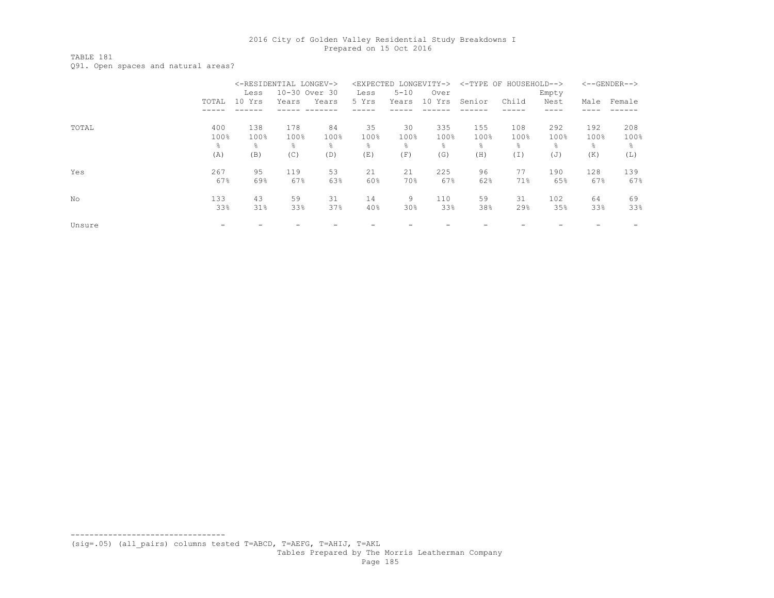TABLE 181 Q91. Open spaces and natural areas?

|        |       | <-RESIDENTIAL LONGEV-><br>10-30 Over 30 |       |       |       | <expected longevity-=""></expected> |        |        | <-TYPE OF HOUSEHOLD--> |       |      | $<-$ -GENDER--> |
|--------|-------|-----------------------------------------|-------|-------|-------|-------------------------------------|--------|--------|------------------------|-------|------|-----------------|
|        |       | Less                                    |       |       | Less  | $5 - 10$                            | Over   |        |                        | Empty |      |                 |
|        | TOTAL | 10 Yrs                                  | Years | Years | 5 Yrs | Years                               | 10 Yrs | Senior | Child                  | Nest  | Male | Female          |
|        |       |                                         |       |       |       |                                     |        |        |                        |       |      |                 |
| TOTAL  | 400   | 138                                     | 178   | 84    | 35    | 30                                  | 335    | 155    | 108                    | 292   | 192  | 208             |
|        | 100%  | 100%                                    | 100%  | 100%  | 100%  | 100%                                | 100%   | 100%   | 100%                   | 100%  | 100% | 100%            |
|        | g.    | ⊱                                       | g.    | g.    | ⊱     | ÷.                                  | ÷,     | g.     | g.                     | g.    | g.   | g.              |
|        | (A)   | (B)                                     | (C)   | (D)   | (E)   | (F)                                 | (G)    | (H)    | (I)                    | (J)   | (K)  | (L)             |
| Yes    | 267   | 95                                      | 119   | 53    | 21    | 21                                  | 225    | 96     | 77                     | 190   | 128  | 139             |
|        | 67%   | 69%                                     | 67%   | 63%   | 60%   | 70%                                 | 67%    | 62%    | 71%                    | 65%   | 67%  | 67%             |
| No     | 133   | 43                                      | 59    | 31    | 14    | 9                                   | 110    | 59     | 31                     | 102   | 64   | 69              |
|        | 33%   | 31%                                     | 33%   | 37%   | 40%   | 30%                                 | 33%    | 38%    | 29%                    | 35%   | 33%  | 33%             |
| Unsure |       |                                         |       |       |       |                                     |        |        |                        |       |      |                 |

--------------------------------- (sig=.05) (all\_pairs) columns tested T=ABCD, T=AEFG, T=AHIJ, T=AKL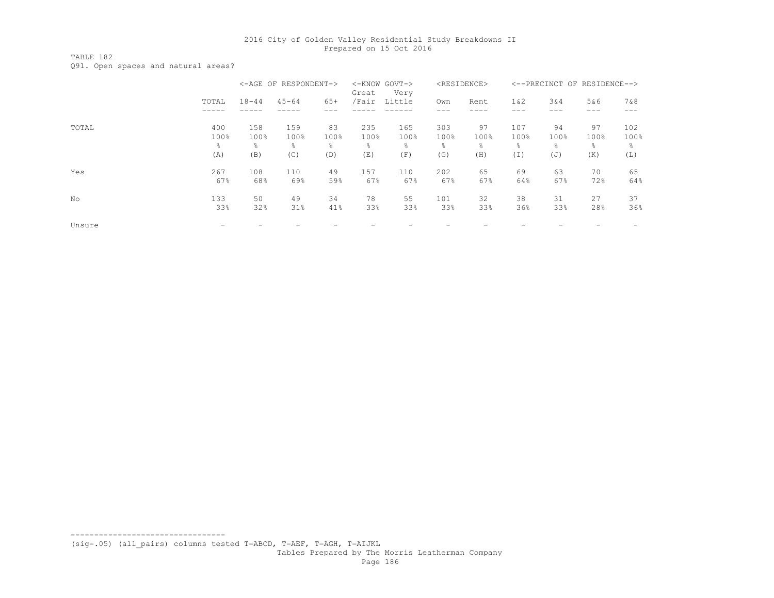TABLE 182 Q91. Open spaces and natural areas?

|        |                |           | <-AGE OF RESPONDENT-> |       | Great | <-KNOW GOVT-><br>Very |                | <residence></residence> |       |      | <--PRECINCT OF RESIDENCE--> |       |
|--------|----------------|-----------|-----------------------|-------|-------|-----------------------|----------------|-------------------------|-------|------|-----------------------------|-------|
|        | TOTAL          | $18 - 44$ | $45 - 64$             | $65+$ | /Fair | Little                | Own            | Rent                    | 1 & 2 | 3&4  | 5&6<br>---                  | 7 & 8 |
| TOTAL  | 400            | 158       | 159                   | 83    | 235   | 165                   | 303            | 97                      | 107   | 94   | 97                          | 102   |
|        | 100%           | 100%      | 100%                  | 100%  | 100%  | 100%                  | 100%           | 100%                    | 100%  | 100% | 100%                        | 100%  |
|        | $\frac{6}{10}$ | 옹         | ⊱                     | 옹     | ⊱     | g.                    | $\frac{6}{10}$ | $\approx$               | g.    | g.   | g.                          | ⊱     |
|        | (A)            | (B)       | (C)                   | (D)   | (E)   | (F)                   | (G)            | (H)                     | (I)   | (J)  | (K)                         | (L)   |
| Yes    | 267            | 108       | 110                   | 49    | 157   | 110                   | 202            | 65                      | 69    | 63   | 70                          | 65    |
|        | 67%            | 68%       | 69%                   | 59%   | 67%   | 67%                   | 67%            | 67%                     | 64%   | 67%  | 72%                         | 64%   |
| No     | 133            | 50        | 49                    | 34    | 78    | 55                    | 101            | 32                      | 38    | 31   | 27                          | 37    |
|        | 33%            | 32%       | 31%                   | 41%   | 33%   | 33%                   | 33%            | 33%                     | 36%   | 33%  | 28%                         | 36%   |
| Unsure |                |           |                       |       |       |                       |                |                         |       |      |                             |       |

(sig=.05) (all\_pairs) columns tested T=ABCD, T=AEF, T=AGH, T=AIJKL

---------------------------------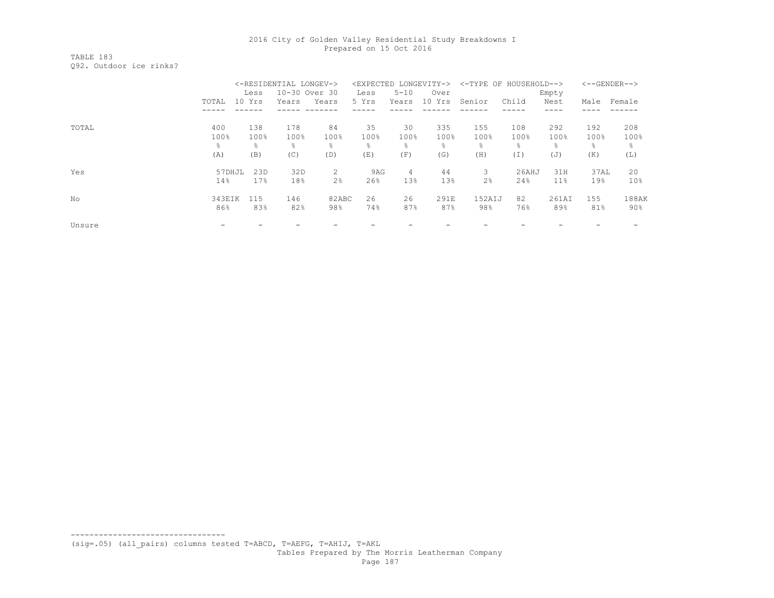TABLE 183 Q92. Outdoor ice rinks?

|        |        | <-RESIDENTIAL LONGEV-> |               |       |       |                | <expected longevity-=""></expected> |        | <-TYPE OF HOUSEHOLD--> |                 |      | $\left<$ --GENDER--> |
|--------|--------|------------------------|---------------|-------|-------|----------------|-------------------------------------|--------|------------------------|-----------------|------|----------------------|
|        |        | Less                   | 10-30 Over 30 |       | Less  | $5 - 10$       | Over                                |        |                        | Empty           |      |                      |
|        | TOTAL  | 10 Yrs                 | Years         | Years | 5 Yrs | Years          | 10 Yrs                              | Senior | Child                  | Nest            | Male | Female               |
|        |        |                        |               |       |       |                |                                     |        |                        |                 |      |                      |
| TOTAL  | 400    | 138                    | 178           | 84    | 35    | 30             | 335                                 | 155    | 108                    | 292             | 192  | 208                  |
|        | 100%   | 100%                   | 100%          | 100%  | 100%  | 100%           | 100%                                | 100%   | 100%                   | 100%            | 100% | 100%                 |
|        | ⊱      | 옹                      | ⊱             | ⊱     | ⊱     | $\frac{6}{10}$ | 욲                                   | 옹      | ⊱                      | 昙               | 옹    | 욲                    |
|        | (A)    | (B)                    | (C)           | (D)   | (E)   | (F)            | (G)                                 | (H)    | (I)                    | (J)             | (K)  | (L)                  |
| Yes    | 57DHJL | 23D                    | 32D           | 2     | 9AG   | 4              | 44                                  | 3.     | 26AHJ                  | 31H             | 37AL | 20                   |
|        | 14%    | 17%                    | 18%           | 2%    | 26%   | 13%            | 13%                                 | 2%     | 24%                    | 11 <sub>8</sub> | 19%  | 10 <sup>8</sup>      |
| No     | 343EIK | 115                    | 146           | 82ABC | 26    | 26             | 291E                                | 152AIJ | 82                     | 261AI           | 155  | 188AK                |
|        | 86%    | 83%                    | 82%           | 98%   | 74%   | 87%            | 87%                                 | 98%    | 76%                    | 89%             | 81%  | 90%                  |
| Unsure |        |                        |               |       |       |                |                                     |        |                        |                 |      |                      |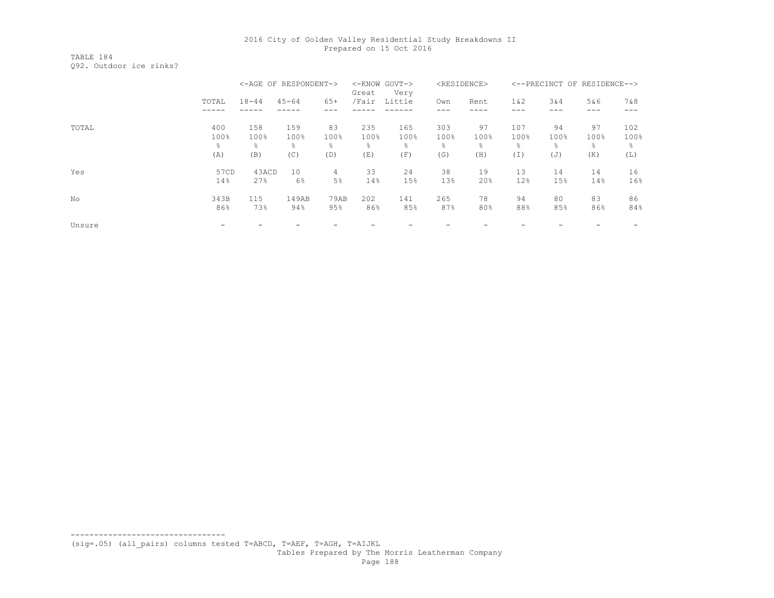TABLE 184 Q92. Outdoor ice rinks?

|        |       | <-AGE OF RESPONDENT-> |           |       | Great | <-KNOW GOVT-><br>Very |                | <residence></residence> |       |      | <--PRECINCT OF RESIDENCE--> |       |
|--------|-------|-----------------------|-----------|-------|-------|-----------------------|----------------|-------------------------|-------|------|-----------------------------|-------|
|        | TOTAL | $18 - 44$             | $45 - 64$ | $65+$ | /Fair | Little                | Own            | Rent                    | 1 & 2 | 3&4  | 5&6                         | 7 & 8 |
| TOTAL  | 400   | 158                   | 159       | 83    | 235   | 165                   | 303            | 97                      | 107   | 94   | 97                          | 102   |
|        | 100%  | 100%                  | 100%      | 100%  | 100%  | 100%                  | 100%           | 100%                    | 100%  | 100% | 100%                        | 100%  |
|        | ÷,    | g.                    | ⊱         | 옹     | ⊱     | ÷,                    | $\frac{6}{10}$ | $\frac{6}{10}$          | 옹     | ⊱    | $\approx$                   | 욲     |
|        | (A)   | (B)                   | (C)       | (D)   | (E)   | (F)                   | (G)            | (H)                     | (I)   | (J)  | (K)                         | (L)   |
| Yes    | 57CD  | 43ACD                 | 10        | 4     | 33    | 24                    | 38             | 19                      | 13    | 14   | 14                          | 16    |
|        | 14%   | 27%                   | 6%        | 5%    | 14%   | 15%                   | 13%            | 20%                     | 12%   | 15%  | 14%                         | 16%   |
| No     | 343B  | 115                   | 149AB     | 79AB  | 202   | 141                   | 265            | 78                      | 94    | 80   | 83                          | 86    |
|        | 86%   | 73%                   | 94%       | 95%   | 86%   | 85%                   | 87%            | 80%                     | 88%   | 85%  | 86%                         | 84%   |
| Unsure |       |                       |           |       |       |                       |                |                         |       |      |                             |       |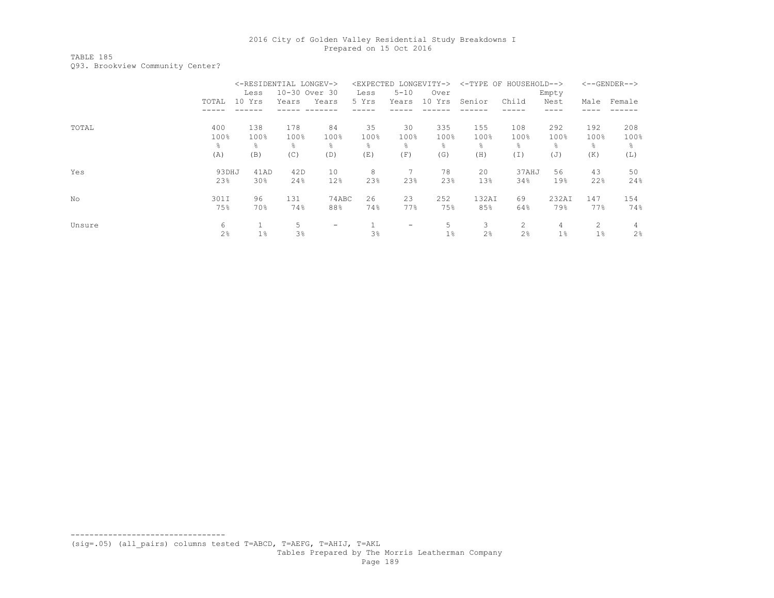TABLE 185 Q93. Brookview Community Center?

|        |       |        | <-RESIDENTIAL LONGEV-> |                          | <expected< th=""><th></th><th>LONGEVITY-&gt;</th><th></th><th>&lt;-TYPE OF HOUSEHOLD--&gt;</th><th></th><th></th><th><math>&lt;-</math>-GENDER--&gt;</th></expected<> |                          | LONGEVITY->    |                | <-TYPE OF HOUSEHOLD--> |       |      | $<-$ -GENDER--> |
|--------|-------|--------|------------------------|--------------------------|-----------------------------------------------------------------------------------------------------------------------------------------------------------------------|--------------------------|----------------|----------------|------------------------|-------|------|-----------------|
|        |       | Less   | 10-30 Over 30          |                          | Less                                                                                                                                                                  | $5 - 10$                 | Over           |                |                        | Empty |      |                 |
|        | TOTAL | 10 Yrs | Years                  | Years                    | 5 Yrs                                                                                                                                                                 | Years                    | 10 Yrs         | Senior         | Child                  | Nest  | Male | Female          |
|        |       |        |                        |                          |                                                                                                                                                                       |                          |                |                |                        |       |      |                 |
| TOTAL  | 400   | 138    | 178                    | 84                       | 35                                                                                                                                                                    | 30                       | 335            | 155            | 108                    | 292   | 192  | 208             |
|        | 100%  | 100%   | 100%                   | 100%                     | 100%                                                                                                                                                                  | 100%                     | 100%           | 100%           | 100%                   | 100%  | 100% | 100%            |
|        | 욲     | 옹      | ⊱                      | g.                       | $\frac{6}{10}$                                                                                                                                                        | g.                       | $\frac{6}{10}$ | $\frac{6}{10}$ | 옹                      | ⊱     | g.   | 옹               |
|        | (A)   | (B)    | (C)                    | (D)                      | (E)                                                                                                                                                                   | (F)                      | (G)            | (H)            | (I)                    | (J)   | (K)  | (L)             |
| Yes    | 93DHJ | 41AD   | 42D                    | 10                       | 8                                                                                                                                                                     | 7                        | 78             | 20             | 37AHJ                  | 56    | 43   | 50              |
|        | 23%   | 30%    | 24%                    | 12%                      | 23%                                                                                                                                                                   | 23%                      | 23%            | 13%            | 34%                    | 19%   | 22%  | 24%             |
| No     | 301I  | 96     | 131                    | 74ABC                    | 26                                                                                                                                                                    | 23                       | 252            | 132AI          | 69                     | 232AI | 147  | 154             |
|        | 75%   | 70%    | 74%                    | 88%                      | 74%                                                                                                                                                                   | 77%                      | 75%            | 85%            | 64%                    | 79%   | 77%  | 74%             |
| Unsure | 6     |        | 5                      | $\overline{\phantom{0}}$ |                                                                                                                                                                       | $\overline{\phantom{m}}$ | 5              | 3              | 2                      | 4     | 2    | 4               |
|        | 2%    | 1%     | 3%                     |                          | 3%                                                                                                                                                                    |                          | $1\%$          | 2%             | 2%                     | $1\%$ | 1%   | 2 <sup>°</sup>  |

(sig=.05) (all\_pairs) columns tested T=ABCD, T=AEFG, T=AHIJ, T=AKL

---------------------------------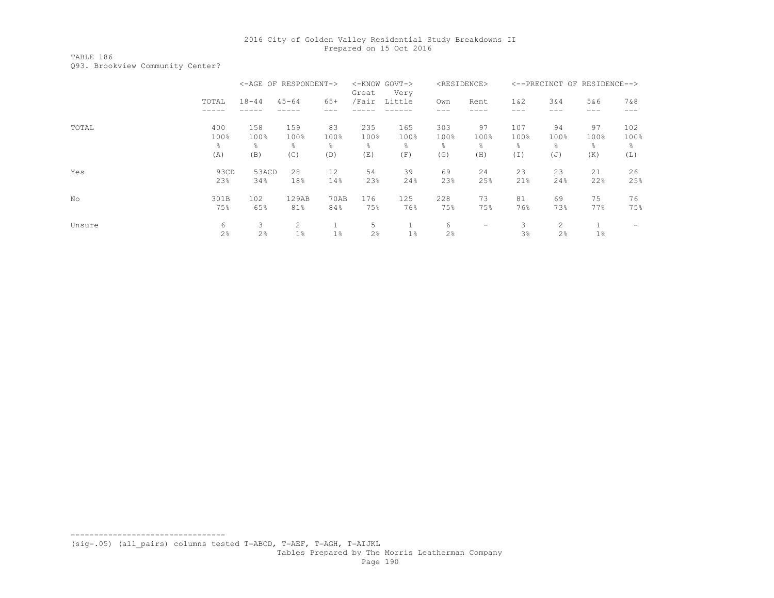TABLE 186 Q93. Brookview Community Center?

|        |       | <-AGE OF RESPONDENT-> |           |       | Great | <-KNOW GOVT-><br>Very |                | <residence></residence>  |        | <--PRECINCT OF RESIDENCE--> |      |       |
|--------|-------|-----------------------|-----------|-------|-------|-----------------------|----------------|--------------------------|--------|-----------------------------|------|-------|
|        | TOTAL | $18 - 44$             | $45 - 64$ | $65+$ | /Fair | Little                | Own            | Rent                     | $1\&2$ | 3&4                         | 5&6  | 7 & 8 |
|        |       |                       |           |       |       |                       |                |                          |        |                             | ---  |       |
| TOTAL  | 400   | 158                   | 159       | 83    | 235   | 165                   | 303            | 97                       | 107    | 94                          | 97   | 102   |
|        | 100%  | 100%                  | 100%      | 100%  | 100%  | 100%                  | 100%           | 100%                     | 100%   | 100%                        | 100% | 100%  |
|        | g.    | g.                    | ⊱         | 옹     | ⊱     | g.                    | $\frac{6}{10}$ | g                        | 옹      | ⊱                           | g.   | g.    |
|        | (A)   | (B)                   | (C)       | (D)   | (E)   | (F)                   | (G)            | (H)                      | (I)    | (J)                         | (K)  | (L)   |
| Yes    | 93CD  | 53ACD                 | 28        | 12    | 54    | 39                    | 69             | 24                       | 23     | 23                          | 21   | 26    |
|        | 23%   | 34%                   | 18%       | 14%   | 23%   | 24%                   | 23%            | 25%                      | 21%    | 24%                         | 22%  | 25%   |
| No     | 301B  | 102                   | 129AB     | 70AB  | 176   | 125                   | 228            | 73                       | 81     | 69                          | 75   | 76    |
|        | 75%   | 65%                   | 81%       | 84%   | 75%   | 76%                   | 75%            | 75%                      | 76%    | 73%                         | 77%  | 75%   |
| Unsure | 6     | 3                     | 2         |       | 5     |                       | 6              | $\overline{\phantom{0}}$ | 3      | 2                           |      | ۰     |
|        | 2%    | 2%                    | $1\%$     | $1\%$ | 2%    | $1\%$                 | 2%             |                          | 3%     | 2%                          | 1%   |       |

(sig=.05) (all\_pairs) columns tested T=ABCD, T=AEF, T=AGH, T=AIJKL

---------------------------------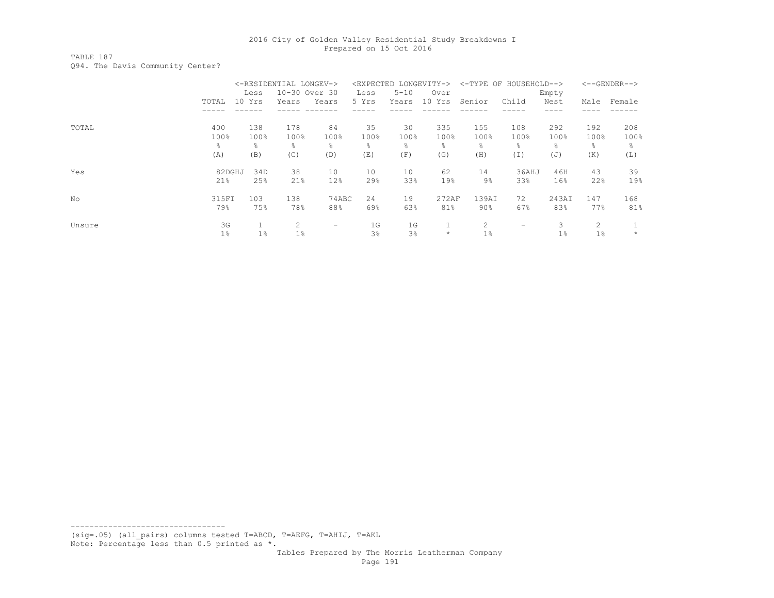TABLE 187 Q94. The Davis Community Center?

|        |        | <-RESIDENTIAL LONGEV-> |               |                          | <expected< th=""><th></th><th>LONGEVITY-&gt;</th><th></th><th>&lt;-TYPE OF HOUSEHOLD--&gt;</th><th></th><th></th><th><math>&lt;-</math>-GENDER--&gt;</th></expected<> |          | LONGEVITY->    |        | <-TYPE OF HOUSEHOLD--> |       |      | $<-$ -GENDER--> |
|--------|--------|------------------------|---------------|--------------------------|-----------------------------------------------------------------------------------------------------------------------------------------------------------------------|----------|----------------|--------|------------------------|-------|------|-----------------|
|        |        | Less                   | 10-30 Over 30 |                          | Less                                                                                                                                                                  | $5 - 10$ | Over           |        |                        | Empty |      |                 |
|        | TOTAL  | 10 Yrs                 | Years         | Years                    | 5 Yrs                                                                                                                                                                 | Years    | 10 Yrs         | Senior | Child                  | Nest  | Male | Female          |
|        |        |                        |               |                          |                                                                                                                                                                       |          |                |        |                        |       |      |                 |
| TOTAL  | 400    | 138                    | 178           | 84                       | 35                                                                                                                                                                    | 30       | 335            | 155    | 108                    | 292   | 192  | 208             |
|        | 100%   | 100%                   | 100%          | 100%                     | 100%                                                                                                                                                                  | 100%     | 100%           | 100%   | 100%                   | 100%  | 100% | 100%            |
|        | g.     | g.                     | ⊱             | 옹                        | ⊱                                                                                                                                                                     | g.       | $\frac{6}{10}$ | g      | 옹                      | ⊱     | g.   | g.              |
|        | (A)    | (B)                    | (C)           | (D)                      | (E)                                                                                                                                                                   | (F)      | (G)            | (H)    | (I)                    | (J)   | (K)  | (L)             |
| Yes    | 82DGHJ | 34D                    | 38            | 10                       | 10                                                                                                                                                                    | 10       | 62             | 14     | 36AHJ                  | 46H   | 43   | 39              |
|        | 21%    | 25%                    | 21%           | 12%                      | 29%                                                                                                                                                                   | 33%      | 19%            | 9%     | 33%                    | 16%   | 22%  | 19%             |
| No     | 315FI  | 103                    | 138           | 74ABC                    | 24                                                                                                                                                                    | 19       | 272AF          | 139AI  | 72                     | 243AI | 147  | 168             |
|        | 79%    | 75%                    | 78%           | 88%                      | 69%                                                                                                                                                                   | 63%      | 81%            | $90\%$ | 67%                    | 83%   | 77%  | 81%             |
| Unsure | 3G     |                        | 2             | $\overline{\phantom{0}}$ | 1G                                                                                                                                                                    | 1G       |                | 2      | -                      | 3     | 2    |                 |
|        | $1\%$  | 1%                     | $1\%$         |                          | 3%                                                                                                                                                                    | 3%       | $\star$        | $1\%$  |                        | $1\%$ | 1%   | $\star$         |

--------------------------------- (sig=.05) (all\_pairs) columns tested T=ABCD, T=AEFG, T=AHIJ, T=AKL

Note: Percentage less than 0.5 printed as \*.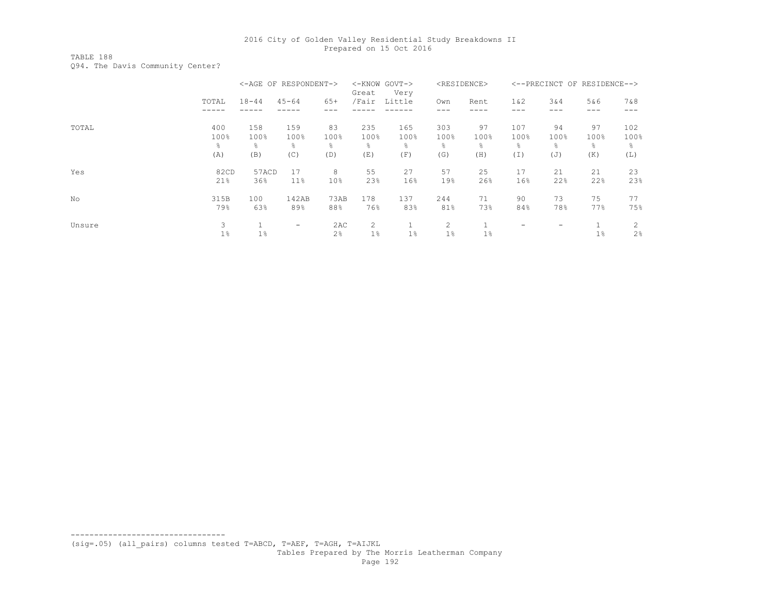TABLE 188 Q94. The Davis Community Center?

|        |       | <-AGE OF RESPONDENT-> |           |                 | Great                 | <-KNOW GOVT-><br>Very |                | <residence></residence> |        | <--PRECINCT OF RESIDENCE--> |       |       |
|--------|-------|-----------------------|-----------|-----------------|-----------------------|-----------------------|----------------|-------------------------|--------|-----------------------------|-------|-------|
|        | TOTAL | $18 - 44$             | $45 - 64$ | $65+$           | /Fair                 | Little                | Own            | Rent                    | $1\&2$ | 3&4                         | 5&6   | 7 & 8 |
|        |       |                       |           |                 |                       |                       |                |                         | ---    | ---                         | ---   | ---   |
| TOTAL  | 400   | 158                   | 159       | 83              | 235                   | 165                   | 303            | 97                      | 107    | 94                          | 97    | 102   |
|        | 100%  | 100%                  | 100%      | 100%            | 100%                  | 100%                  | 100%           | 100%                    | 100%   | 100%                        | 100%  | 100%  |
|        | g.    | g.                    | ⊱         | 옹               | ⊱                     | 옹                     | $\frac{6}{10}$ | g.                      | 옹      | g.                          | g.    | 옹     |
|        | (A)   | (B)                   | (C)       | (D)             | (E)                   | (F)                   | (G)            | (H)                     | (I)    | (J)                         | (K)   | (L)   |
| Yes    | 82CD  | 57ACD                 | 17        | 8               | 55                    | 27                    | 57             | 25                      | 17     | 21                          | 21    | 23    |
|        | 21%   | 36%                   | 11%       | 10 <sup>°</sup> | 23%                   | 16%                   | 19%            | 26%                     | 16%    | 22%                         | 22%   | 23%   |
| No     | 315B  | 100                   | 142AB     | 73AB            | 178                   | 137                   | 244            | 71                      | 90     | 73                          | 75    | 77    |
|        | 79%   | 63%                   | 89%       | 88%             | 76%                   | 83%                   | 81%            | 73%                     | 84%    | 78%                         | 77%   | 75%   |
| Unsure | 3     |                       | -         | 2AC             | $\mathbf{2}^{\prime}$ |                       | 2              |                         |        | $\overline{\phantom{0}}$    |       | 2     |
|        | 1%    | 1%                    |           | 2 <sup>°</sup>  | $1\%$                 | $1\%$                 | $1\%$          | $1\%$                   |        |                             | $1\%$ | 2%    |

(sig=.05) (all\_pairs) columns tested T=ABCD, T=AEF, T=AGH, T=AIJKL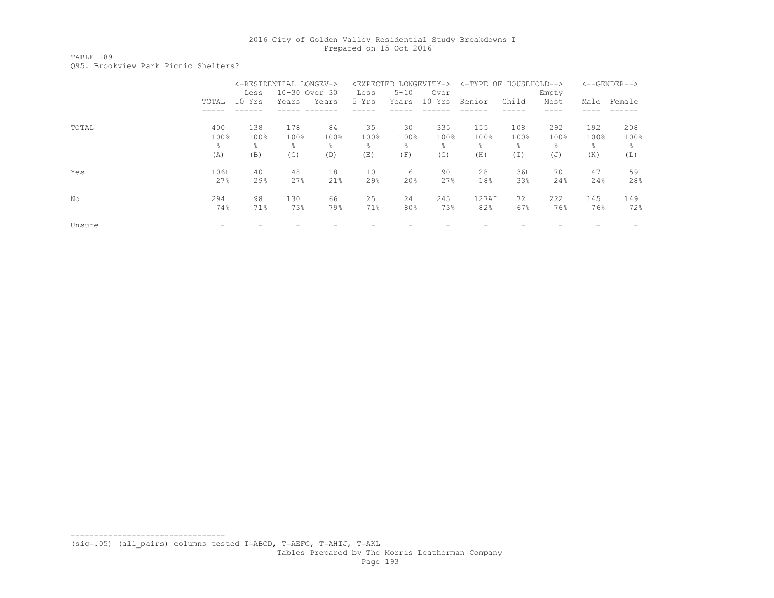TABLE 189 Q95. Brookview Park Picnic Shelters?

|        |                | <-RESIDENTIAL LONGEV-><br>10-30 Over 30<br>Less |       |       |       | <expected longevity-=""></expected> |        | <-TYPE OF HOUSEHOLD--> |       |       |           | $\leftarrow$ -GENDER--> |
|--------|----------------|-------------------------------------------------|-------|-------|-------|-------------------------------------|--------|------------------------|-------|-------|-----------|-------------------------|
|        |                |                                                 |       |       | Less  | $5 - 10$                            | Over   |                        |       | Empty |           |                         |
|        | TOTAL          | 10 Yrs                                          | Years | Years | 5 Yrs | Years                               | 10 Yrs | Senior                 | Child | Nest  | Male      | Female                  |
|        |                |                                                 |       |       |       |                                     |        |                        |       |       |           |                         |
| TOTAL  | 400            | 138                                             | 178   | 84    | 35    | 30                                  | 335    | 155                    | 108   | 292   | 192       | 208                     |
|        | 100%           | 100%                                            | 100%  | 100%  | 100%  | 100%                                | 100%   | 100%                   | 100%  | 100%  | 100%      | 100%                    |
|        | $\frac{6}{10}$ | 옹                                               | ⊱     | ÷.    | ⊱     | ÷,                                  | 욲      | $\frac{6}{10}$         | 옹     | ⊱     | $\approx$ | ⊱                       |
|        | (A)            | (B)                                             | (C)   | (D)   | (E)   | (F)                                 | (G)    | (H)                    | (I)   | (J)   | (K)       | (L)                     |
| Yes    | 106H           | 40                                              | 48    | 18    | 10    | 6                                   | 90     | 28                     | 36H   | 70    | 47        | 59                      |
|        | 27%            | 29%                                             | 27%   | 21%   | 29%   | 20%                                 | 27%    | 18%                    | 33%   | 24%   | 24%       | 28%                     |
| No     | 294            | 98                                              | 130   | 66    | 25    | 24                                  | 245    | 127AI                  | 72    | 222   | 145       | 149                     |
|        | 74%            | 71%                                             | 73%   | 79%   | 71%   | 80%                                 | 73%    | 82%                    | 67%   | 76%   | 76%       | 72%                     |
| Unsure |                |                                                 |       |       |       |                                     |        |                        |       |       |           |                         |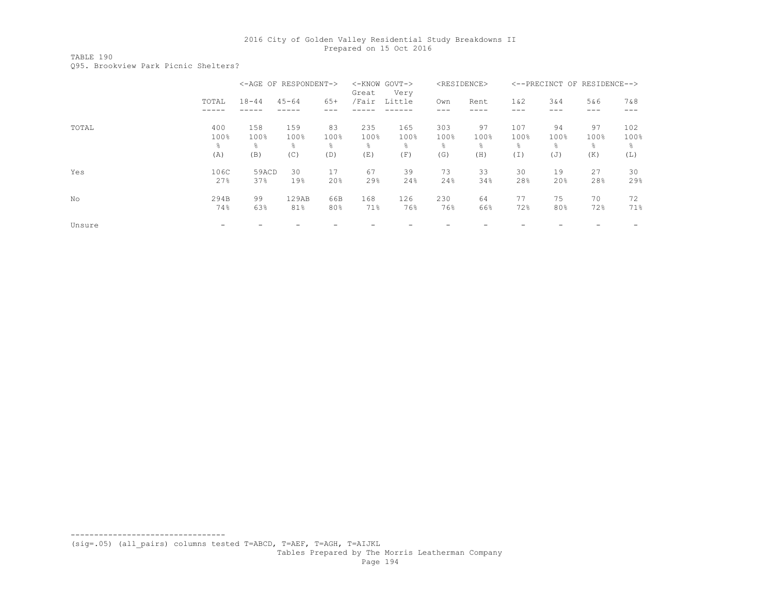TABLE 190 Q95. Brookview Park Picnic Shelters?

|        |                | <-AGE OF RESPONDENT-> |           |       | <-KNOW GOVT-><br>Great | Very   |      | <residence></residence> |       |      | <--PRECINCT OF RESIDENCE--> |      |
|--------|----------------|-----------------------|-----------|-------|------------------------|--------|------|-------------------------|-------|------|-----------------------------|------|
|        | TOTAL          | $18 - 44$             | $45 - 64$ | $65+$ | /Fair                  | Little | Own  | Rent                    | 1 & 2 | 3&4  | 5&6<br>---                  | 7&8  |
| TOTAL  | 400            | 158                   | 159       | 83    | 235                    | 165    | 303  | 97                      | 107   | 94   | 97                          | 102  |
|        | 100%           | 100%                  | 100%      | 100%  | 100%                   | 100%   | 100% | 100%                    | 100%  | 100% | 100%                        | 100% |
|        | $\frac{6}{10}$ | g.                    | ÷,        | 옹     | ⊱                      | g.     | ÷,   | $\frac{6}{10}$          | g.    | ⊱    | g.                          | ⊱    |
|        | (A)            | (B)                   | (C)       | (D)   | (E)                    | (F)    | (G)  | (H)                     | (I)   | (J)  | (K)                         | (L)  |
| Yes    | 106C           | 59ACD                 | 30        | 17    | 67                     | 39     | 73   | 33                      | 30    | 19   | 27                          | 30   |
|        | 27%            | 37%                   | 19%       | 20%   | 29%                    | 24%    | 24%  | 34%                     | 28%   | 20%  | 28%                         | 29%  |
| No     | 294B           | 99                    | 129AB     | 66B   | 168                    | 126    | 230  | 64                      | 77    | 75   | 70                          | 72   |
|        | 74%            | 63%                   | 81%       | 80%   | 71%                    | 76%    | 76%  | 66%                     | 72%   | 80%  | 72%                         | 71%  |
| Unsure |                |                       |           |       |                        |        |      |                         |       |      |                             |      |

(sig=.05) (all\_pairs) columns tested T=ABCD, T=AEF, T=AGH, T=AIJKL

---------------------------------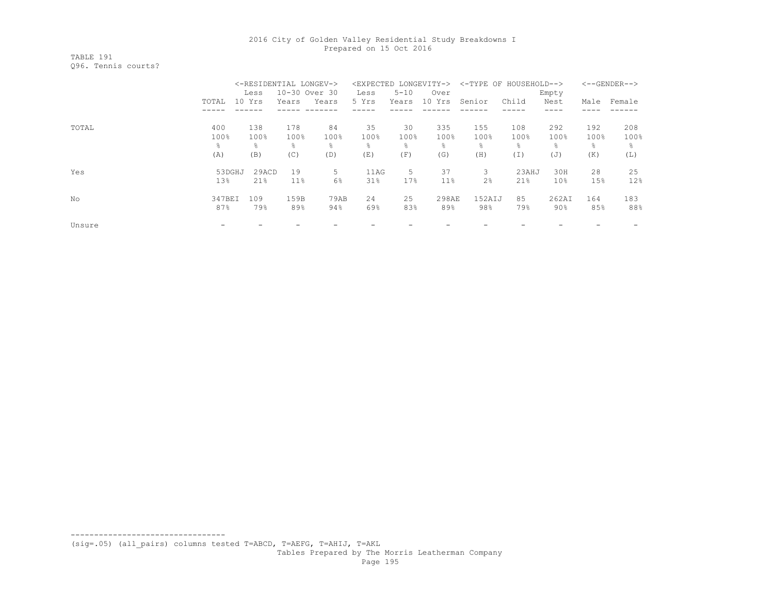TABLE 191 Q96. Tennis courts?

|        |                 | <-RESIDENTIAL LONGEV-> |       |               |       |          | <expected longevity-=""></expected> | <-TYPE OF HOUSEHOLD--> |       |        |      | $<-$ -GENDER--> |
|--------|-----------------|------------------------|-------|---------------|-------|----------|-------------------------------------|------------------------|-------|--------|------|-----------------|
|        |                 | Less                   |       | 10-30 Over 30 | Less  | $5 - 10$ | Over                                |                        |       | Empty  |      |                 |
|        | TOTAL           | 10 Yrs                 | Years | Years         | 5 Yrs | Years    | 10 Yrs                              | Senior                 | Child | Nest   | Male | Female          |
|        |                 |                        |       |               |       |          |                                     |                        |       |        |      |                 |
| TOTAL  | 400             | 138                    | 178   | 84            | 35    | 30       | 335                                 | 155                    | 108   | 292    | 192  | 208             |
|        | 100%            | 100%                   | 100%  | 100%          | 100%  | 100%     | 100%                                | 100%                   | 100%  | 100%   | 100% | 100%            |
|        | ÷,              | ÷,                     | ⊱     | 욲             | ⊱     | ÷.       | $\frac{6}{10}$                      | 욲                      | 욲     | ⊱      | ÷.   | 욲               |
|        | (A)             | (B)                    | (C)   | (D)           | (E)   | (F)      | (G)                                 | (H)                    | (I)   | (J)    | (K)  | (L)             |
| Yes    | 53DGHJ          | 29ACD                  | 19    | 5             | 11AG  | 5        | 37                                  | 3                      | 23AHJ | 30H    | 28   | 25              |
|        | 13 <sup>8</sup> | 21%                    | 11%   | $6\%$         | 31%   | 17%      | 11 <sup>8</sup>                     | 2%                     | 21%   | 10%    | 15%  | 12%             |
| No     | 347BEI          | 109                    | 159B  | 79AB          | 24    | 25       | 298AE                               | 152AIJ                 | 85    | 262AI  | 164  | 183             |
|        | 87%             | 79%                    | 89%   | 94%           | 69%   | 83%      | 89%                                 | 98%                    | 79%   | $90\%$ | 85%  | 88%             |
| Unsure |                 |                        |       |               |       |          |                                     |                        |       |        |      |                 |

--------------------------------- (sig=.05) (all\_pairs) columns tested T=ABCD, T=AEFG, T=AHIJ, T=AKL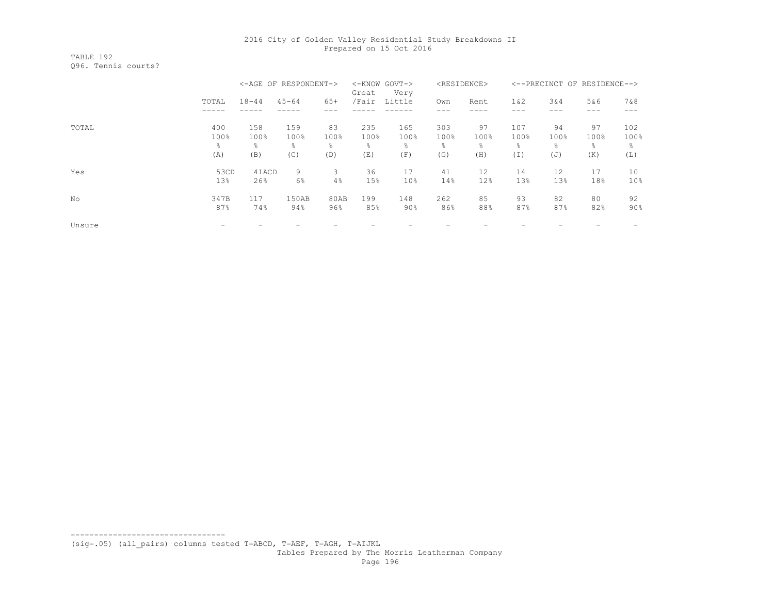TABLE 192 Q96. Tennis courts?

|        |                 | <-AGE OF RESPONDENT-> |           |        | <-KNOW GOVT-><br>Great | Very            |                | <residence></residence> |        | <--PRECINCT OF RESIDENCE--> |      |        |
|--------|-----------------|-----------------------|-----------|--------|------------------------|-----------------|----------------|-------------------------|--------|-----------------------------|------|--------|
|        | TOTAL           | $18 - 44$             | $45 - 64$ | $65+$  | /Fair                  | Little          | Own            | Rent                    | $1\&2$ | 3&4                         | 5&6  | 7&8    |
| TOTAL  | 400             | 158                   | 159       | 83     | 235                    | 165             | 303            | 97                      | 107    | 94                          | 97   | 102    |
|        | 100%            | 100%                  | 100%      | 100%   | 100%                   | 100%            | 100%           | 100%                    | 100%   | 100%                        | 100% | 100%   |
|        | $\frac{6}{10}$  | 옹                     | ⊱         | 옹      | ⊱                      | ÷.              | $\frac{6}{10}$ | $\frac{6}{10}$          | g.     | ÷,                          | ÷.   | ⊱      |
|        | (A)             | (B)                   | (C)       | (D)    | (E)                    | (F)             | (G)            | (H)                     | (I)    | (J)                         | (K)  | (L)    |
| Yes    | 53CD            | 41ACD                 | 9         | 3      | 36                     | 17              | 41             | 12                      | 14     | 12                          | 17   | 10     |
|        | 13 <sup>8</sup> | 26%                   | 6%        | 4%     | 15%                    | 10 <sup>°</sup> | 14%            | 12%                     | 13%    | 13%                         | 18%  | 10%    |
| No     | 347B            | 117                   | 150AB     | 80AB   | 199                    | 148             | 262            | 85                      | 93     | 82                          | 80   | 92     |
|        | 87%             | 74%                   | 94%       | $96\%$ | 85%                    | 90%             | 86%            | 88%                     | 87%    | 87%                         | 82%  | $90\%$ |
| Unsure |                 |                       |           |        |                        |                 |                |                         |        |                             |      |        |

--------------------------------- (sig=.05) (all\_pairs) columns tested T=ABCD, T=AEF, T=AGH, T=AIJKL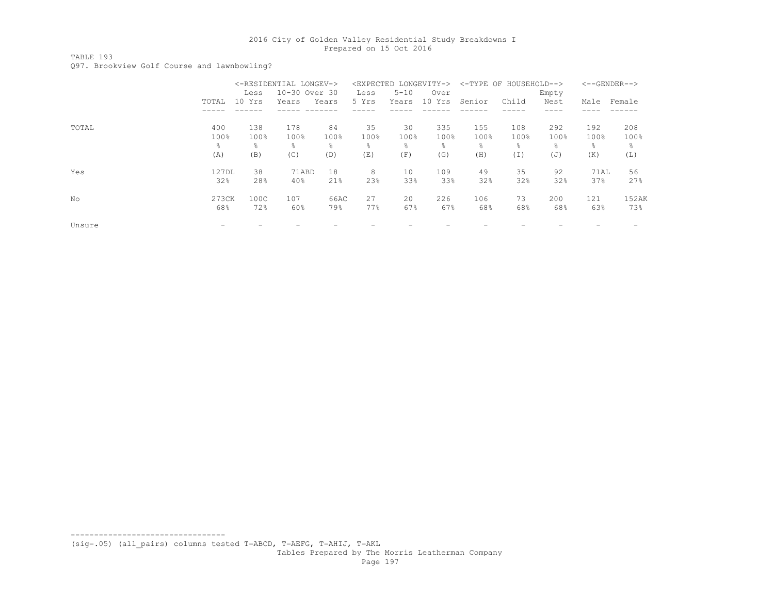TABLE 193

Q97. Brookview Golf Course and lawnbowling?

|        |                | <-RESIDENTIAL LONGEV-><br>10-30 Over 30 |       |       |       | <expected longevity-=""></expected> |        |        | <-TYPE OF HOUSEHOLD--> |       | $<-$ -GENDER--> |        |
|--------|----------------|-----------------------------------------|-------|-------|-------|-------------------------------------|--------|--------|------------------------|-------|-----------------|--------|
|        |                | Less                                    |       |       | Less  | $5 - 10$                            | Over   |        |                        | Empty |                 |        |
|        | TOTAL          | 10 Yrs                                  | Years | Years | 5 Yrs | Years                               | 10 Yrs | Senior | Child                  | Nest  | Male            | Female |
|        |                |                                         |       |       |       |                                     |        |        |                        |       |                 |        |
| TOTAL  | 400            | 138                                     | 178   | 84    | 35    | 30                                  | 335    | 155    | 108                    | 292   | 192             | 208    |
|        | 100%           | 100%                                    | 100%  | 100%  | 100%  | 100%                                | 100%   | 100%   | 100%                   | 100%  | 100%            | 100%   |
|        | $\frac{6}{10}$ | 옹                                       | ⊱     | ⊱     | ÷,    | 욲                                   | g.     | ⊱      | 욲                      | ⊱     | 욲               | g.     |
|        | (A)            | (B)                                     | (C)   | (D)   | (E)   | (F)                                 | (G)    | (H)    | (I)                    | (J)   | (K)             | (L)    |
| Yes    | 127DL          | 38                                      | 71ABD | 18    | 8     | 10                                  | 109    | 49     | 35                     | 92    | 71AL            | 56     |
|        | 32%            | 28%                                     | 40%   | 21%   | 23%   | 33%                                 | 33%    | 32%    | 32%                    | 32%   | 37%             | 27%    |
| No     | 273CK          | 100C                                    | 107   | 66AC  | 27    | 20                                  | 226    | 106    | 73                     | 200   | 121             | 152AK  |
|        | 68%            | 72%                                     | 60%   | 79%   | 77%   | 67%                                 | 67%    | 68%    | 68%                    | 68%   | 63%             | 73%    |
| Unsure |                |                                         |       |       |       |                                     |        |        |                        |       |                 |        |

(sig=.05) (all\_pairs) columns tested T=ABCD, T=AEFG, T=AHIJ, T=AKL

---------------------------------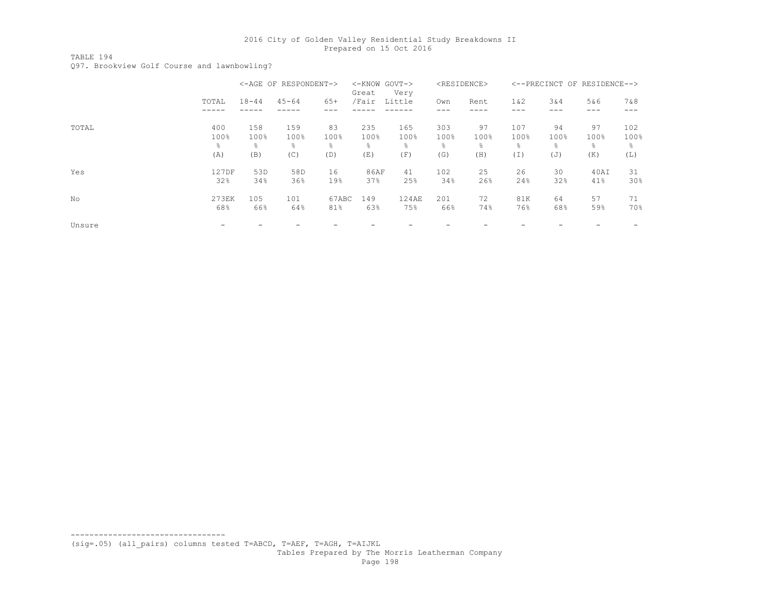TABLE 194

Q97. Brookview Golf Course and lawnbowling?

|        |           |           | <-AGE OF RESPONDENT-> |       | <-KNOW GOVT-><br>Great | Very   |      | <residence></residence> |               |            | <--PRECINCT OF RESIDENCE--> |      |
|--------|-----------|-----------|-----------------------|-------|------------------------|--------|------|-------------------------|---------------|------------|-----------------------------|------|
|        | TOTAL     | $18 - 44$ | $45 - 64$             | $65+$ | /Fair                  | Little | Own  | Rent                    | $1\&2$<br>--- | 3&4<br>--- | 5&6<br>---                  | 7&8  |
| TOTAL  | 400       | 158       | 159                   | 83    | 235                    | 165    | 303  | 97                      | 107           | 94         | 97                          | 102  |
|        | 100%      | 100%      | 100%                  | 100%  | 100%                   | 100%   | 100% | 100%                    | 100%          | 100%       | 100%                        | 100% |
|        | $\approx$ | 옹         | ⊱                     | g.    | ⊱                      | g.     | 욲    | $\frac{6}{10}$          | g.            | ÷,         | g.                          | 옹    |
|        | (A)       | (B)       | (C)                   | (D)   | (E)                    | (F)    | (G)  | (H)                     | (I)           | (J)        | (K)                         | (L)  |
| Yes    | 127DF     | 53D       | 58D                   | 16    | 86AF                   | 41     | 102  | 25                      | 26            | 30         | 40AI                        | 31   |
|        | 32%       | 34%       | 36%                   | 19%   | 37%                    | 25%    | 34%  | 26%                     | 24%           | 32%        | 41%                         | 30%  |
| No     | 273EK     | 105       | 101                   | 67ABC | 149                    | 124AE  | 201  | 72                      | 81K           | 64         | 57                          | 71   |
|        | 68%       | 66%       | 64%                   | 81%   | 63%                    | 75%    | 66%  | 74%                     | 76%           | 68%        | 59%                         | 70%  |
| Unsure |           |           |                       |       |                        |        |      |                         |               |            |                             |      |

(sig=.05) (all\_pairs) columns tested T=ABCD, T=AEF, T=AGH, T=AIJKL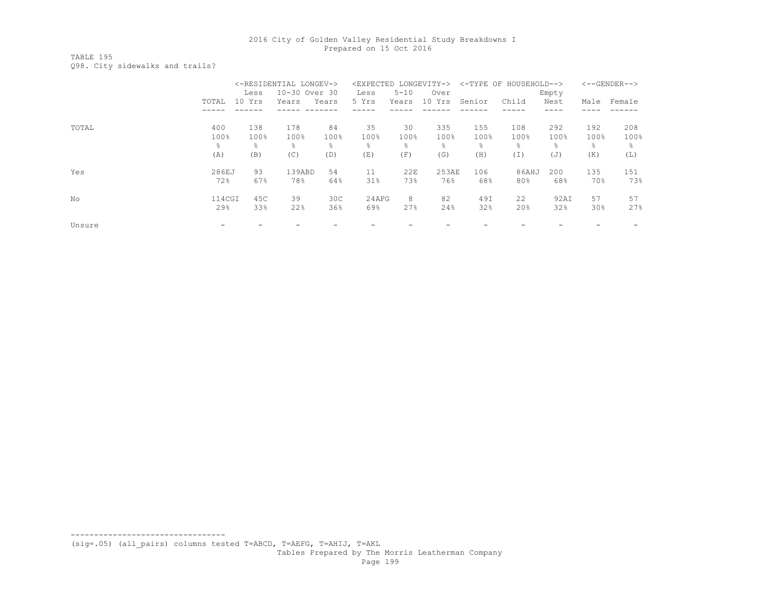TABLE 195 Q98. City sidewalks and trails?

|        |             |             | <-RESIDENTIAL LONGEV-> |                 | <expected< th=""><th></th><th>LONGEVITY-&gt;</th><th></th><th>&lt;-TYPE OF HOUSEHOLD--&gt;</th><th></th><th></th><th><math>&lt;-</math>-GENDER--&gt;</th></expected<> |            | LONGEVITY->    |             | <-TYPE OF HOUSEHOLD--> |                |             | $<-$ -GENDER--> |
|--------|-------------|-------------|------------------------|-----------------|-----------------------------------------------------------------------------------------------------------------------------------------------------------------------|------------|----------------|-------------|------------------------|----------------|-------------|-----------------|
|        |             | Less        | 10-30 Over 30          |                 | Less                                                                                                                                                                  | $5 - 10$   | Over           |             |                        | Empty          |             |                 |
|        | TOTAL       | 10 Yrs      | Years                  | Years           | 5 Yrs                                                                                                                                                                 | Years      | 10 Yrs         | Senior      | Child                  | Nest           | Male        | Female          |
|        |             |             |                        |                 |                                                                                                                                                                       |            |                |             |                        |                |             |                 |
| TOTAL  | 400<br>100% | 138<br>100% | 178<br>100%            | 84<br>100%      | 35<br>100%                                                                                                                                                            | 30<br>100% | 335<br>100%    | 155<br>100% | 108<br>100%            | 292<br>100%    | 192<br>100% | 208<br>100%     |
|        | ÷,          | ⊱           | ⊱                      | 욲               | $\frac{6}{10}$                                                                                                                                                        | ÷.         | $\frac{6}{10}$ | 욲           | 욲                      | $\frac{6}{10}$ | ÷.          | ⊱               |
|        | (A)         | (B)         | (C)                    | (D)             | (E)                                                                                                                                                                   | (F)        | (G)            | (H)         | (I)                    | (J)            | (K)         | (L)             |
| Yes    | 286EJ       | 93          | 139ABD                 | 54              | 11                                                                                                                                                                    | 22E        | 253AE          | 106         | 86AHJ                  | 200            | 135         | 151             |
|        | 72%         | 67%         | 78%                    | 64%             | 31%                                                                                                                                                                   | 73%        | 76%            | 68%         | 80%                    | 68%            | 70%         | 73%             |
| No     | 114CGI      | 45C         | 39                     | 30 <sup>C</sup> | 24AFG                                                                                                                                                                 | 8          | 82             | 49I         | 22                     | 92AI           | 57          | 57              |
|        | 29%         | 33%         | 22%                    | 36%             | 69%                                                                                                                                                                   | 27%        | 24%            | 32%         | 20%                    | 32%            | 30%         | 27%             |
| Unsure |             |             |                        |                 |                                                                                                                                                                       |            |                |             |                        |                |             |                 |

(sig=.05) (all\_pairs) columns tested T=ABCD, T=AEFG, T=AHIJ, T=AKL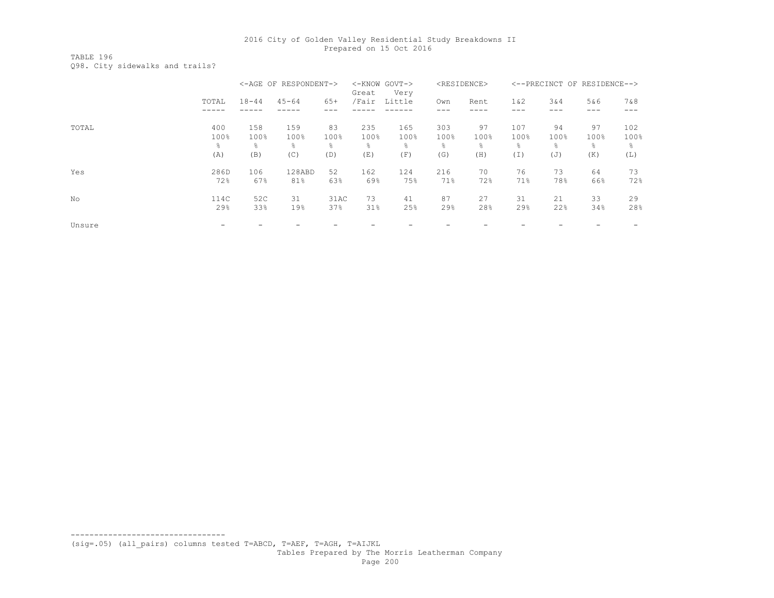TABLE 196 Q98. City sidewalks and trails?

|        |           |           | <-AGE OF RESPONDENT-> |       | <-KNOW GOVT-><br>Great | Very      |                | <residence></residence> |        |      | <--PRECINCT OF RESIDENCE--> |      |
|--------|-----------|-----------|-----------------------|-------|------------------------|-----------|----------------|-------------------------|--------|------|-----------------------------|------|
|        | TOTAL     | $18 - 44$ | $45 - 64$             | $65+$ | /Fair                  | Little    | Own            | Rent                    | $1\&2$ | 3&4  | 5&6                         | 7&8  |
| TOTAL  | 400       | 158       | 159                   | 83    | 235                    | 165       | 303            | 97                      | 107    | 94   | 97                          | 102  |
|        | 100%      | 100%      | 100%                  | 100%  | 100%                   | 100%      | 100%           | 100%                    | 100%   | 100% | 100%                        | 100% |
|        | $\approx$ | g.        | ⊱                     | 옹     | ⊱                      | $\approx$ | $\frac{6}{10}$ | ⊱                       | ⊱      | ٩,   | g.                          | ⊱    |
|        | (A)       | (B)       | (C)                   | (D)   | (E)                    | (F)       | (G)            | (H)                     | (I)    | (J)  | (K)                         | (L)  |
| Yes    | 286D      | 106       | 128ABD                | 52    | 162                    | 124       | 216            | 70                      | 76     | 73   | 64                          | 73   |
|        | 72%       | 67%       | 81%                   | 63%   | 69%                    | 75%       | 71%            | 72%                     | 71%    | 78%  | 66%                         | 72%  |
| No     | 114C      | 52C       | 31                    | 31AC  | 73                     | 41        | 87             | 27                      | 31     | 21   | 33                          | 29   |
|        | 29%       | 33%       | 19%                   | 37%   | 31%                    | 25%       | 29%            | 28%                     | 29%    | 22%  | 34%                         | 28%  |
| Unsure |           |           |                       |       |                        |           |                |                         |        |      |                             |      |

(sig=.05) (all\_pairs) columns tested T=ABCD, T=AEF, T=AGH, T=AIJKL

---------------------------------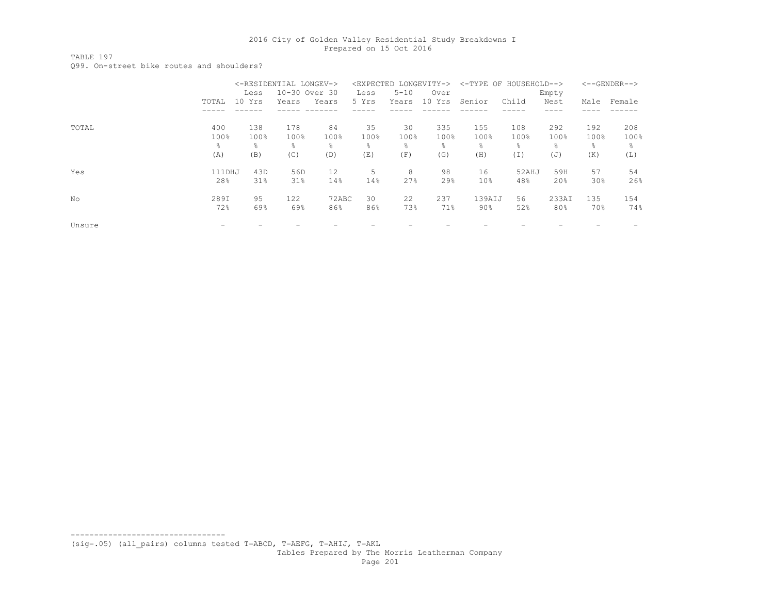TABLE 197

Q99. On-street bike routes and shoulders?

|        |        |        | <-RESIDENTIAL LONGEV-> |               |       |          | <expected longevity-=""></expected> | <-TYPE OF HOUSEHOLD--> |       |       |                 | $<-$ -GENDER--> |
|--------|--------|--------|------------------------|---------------|-------|----------|-------------------------------------|------------------------|-------|-------|-----------------|-----------------|
|        |        | Less   |                        | 10-30 Over 30 | Less  | $5 - 10$ | Over                                |                        |       | Empty |                 |                 |
|        | TOTAL  | 10 Yrs | Years                  | Years         | 5 Yrs | Years    | 10 Yrs                              | Senior                 | Child | Nest  | Male            | Female          |
|        |        |        |                        |               |       |          |                                     |                        |       |       |                 |                 |
| TOTAL  | 400    | 138    | 178                    | 84            | 35    | 30       | 335                                 | 155                    | 108   | 292   | 192             | 208             |
|        | 100%   | 100%   | 100%                   | 100%          | 100%  | 100%     | 100%                                | 100%                   | 100%  | 100%  | 100%            | 100%            |
|        | ÷,     | 옹      | ⊱                      | ⊱             | ⊱     | ÷,       | 욲                                   | $\frac{6}{10}$         | 옹     | ⊱     | $\approx$       | 욲               |
|        | (A)    | (B)    | (C)                    | (D)           | (E)   | (F)      | (G)                                 | (H)                    | (I)   | (J)   | (K)             | (L)             |
| Yes    | 111DHJ | 43D    | 56D                    | 12            | 5     | 8        | 98                                  | 16                     | 52AHJ | 59H   | 57              | 54              |
|        | 28%    | 31%    | 31%                    | 14%           | 14%   | 27%      | 29%                                 | 10 <sub>8</sub>        | 48%   | 20%   | 30 <sub>8</sub> | 26%             |
| No     | 289I   | 95     | 122                    | 72ABC         | 30    | 22       | 237                                 | 139AIJ                 | 56    | 233AI | 135             | 154             |
|        | 72%    | 69%    | 69%                    | 86%           | 86%   | 73%      | 71%                                 | $90\%$                 | 52%   | 80%   | 70%             | 74%             |
| Unsure |        |        |                        |               |       |          |                                     |                        |       |       |                 |                 |

(sig=.05) (all\_pairs) columns tested T=ABCD, T=AEFG, T=AHIJ, T=AKL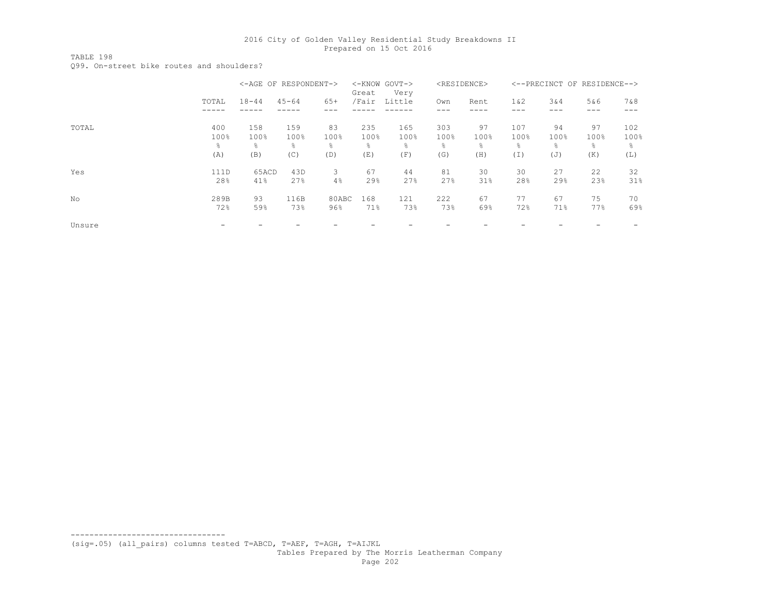TABLE 198

Q99. On-street bike routes and shoulders?

|        |       | <-AGE OF RESPONDENT-> |           |       | Great | <-KNOW GOVT-><br>Very |                | <residence></residence> |       | <--PRECINCT OF RESIDENCE--> |            |      |
|--------|-------|-----------------------|-----------|-------|-------|-----------------------|----------------|-------------------------|-------|-----------------------------|------------|------|
|        | TOTAL | $18 - 44$             | $45 - 64$ | $65+$ | /Fair | Little                | Own            | Rent                    | 1 & 2 | 3&4                         | 5&6<br>--- | 7&8  |
| TOTAL  | 400   | 158                   | 159       | 83    | 235   | 165                   | 303            | 97                      | 107   | 94                          | 97         | 102  |
|        | 100%  | 100%                  | 100%      | 100%  | 100%  | 100%                  | 100%           | 100%                    | 100%  | 100%                        | 100%       | 100% |
|        | ÷,    | 옹                     | ⊱         | 옹     | ⊱     | g.                    | $\frac{6}{10}$ | $\frac{6}{10}$          | 옹     | ⊱                           | g.         | g.   |
|        | (A)   | (B)                   | (C)       | (D)   | (E)   | (F)                   | (G)            | (H)                     | (I)   | (J)                         | (K)        | (L)  |
| Yes    | 111D  | 65ACD                 | 43D       | 3     | 67    | 44                    | 81             | 30                      | 30    | 27                          | 22         | 32   |
|        | 28%   | 41%                   | 27%       | 4%    | 29%   | 27%                   | 27%            | 31%                     | 28%   | 29%                         | 23%        | 31%  |
| No     | 289B  | 93                    | 116B      | 80ABC | 168   | 121                   | 222            | 67                      | 77    | 67                          | 75         | 70   |
|        | 72%   | 59%                   | 73%       | 96%   | 71%   | 73%                   | 73%            | 69%                     | 72%   | 71%                         | 77%        | 69%  |
| Unsure |       |                       |           |       |       |                       |                |                         |       |                             |            |      |

(sig=.05) (all\_pairs) columns tested T=ABCD, T=AEF, T=AGH, T=AIJKL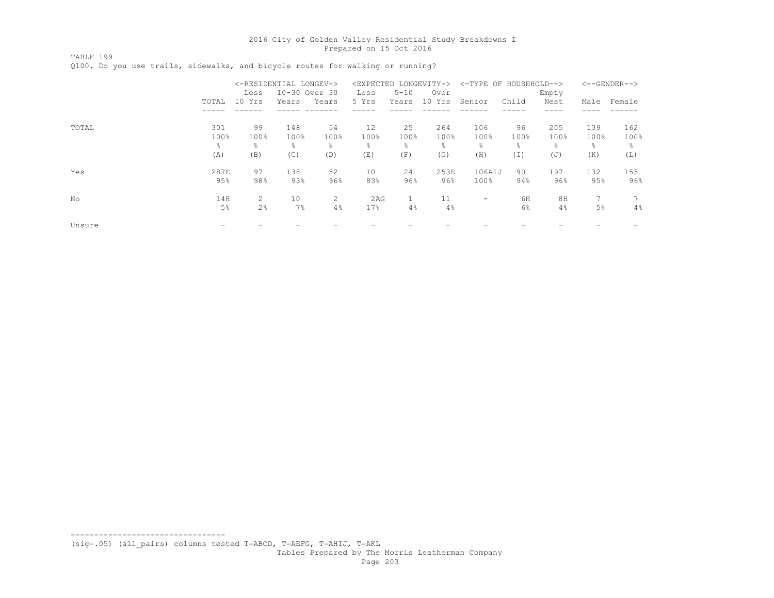TABLE 199

Q100. Do you use trails, sidewalks, and bicycle routes for walking or running?

|        |       | <-RESIDENTIAL LONGEV-> |       |               |       |           | <expected longevity-=""></expected> | <-TYPE OF HOUSEHOLD-->   |       |                |      | $<-$ -GENDER--> |
|--------|-------|------------------------|-------|---------------|-------|-----------|-------------------------------------|--------------------------|-------|----------------|------|-----------------|
|        |       | Less                   |       | 10-30 Over 30 | Less  | $5 - 10$  | Over                                |                          |       | Empty          |      |                 |
|        | TOTAL | 10 Yrs                 | Years | Years         | 5 Yrs | Years     | 10 Yrs                              | Senior                   | Child | Nest           | Male | Female          |
|        |       |                        |       |               |       |           |                                     |                          |       |                |      |                 |
| TOTAL  | 301   | 99                     | 148   | 54            | 12    | 25        | 264                                 | 106                      | 96    | 205            | 139  | 162             |
|        | 100%  | 100%                   | 100%  | 100%          | 100%  | 100%      | 100%                                | 100%                     | 100%  | 100%           | 100% | 100%            |
|        | 욲     | g.                     | ٩,    | ⊱             | ⊱     | $\approx$ | ÷,                                  | $\frac{6}{10}$           | 옹     | $\frac{6}{10}$ | g.   | ÷,              |
|        | (A)   | (B)                    | (C)   | (D)           | (E)   | (F)       | (G)                                 | (H)                      | (I)   | $(\mathbb{J})$ | (K)  | (L)             |
| Yes    | 287E  | 97                     | 138   | 52            | 10    | 24        | 253E                                | 106AIJ                   | 90    | 197            | 132  | 155             |
|        | 95%   | 98%                    | 93%   | 96%           | 83%   | 96%       | 96%                                 | 100%                     | 94%   | 96%            | 95%  | 96%             |
| No     | 14H   | $2^{\circ}$            | 10    | 2             | 2AG   | 1         | 11                                  | $\overline{\phantom{a}}$ | 6H    | 8H             | 7    | 7               |
|        | 5%    | 2%                     | 7%    | 4%            | 17%   | 4%        | 4%                                  |                          | 6%    | 4%             | 5%   | $4\%$           |
| Unsure |       |                        |       |               |       |           |                                     |                          |       |                |      |                 |

(sig=.05) (all\_pairs) columns tested T=ABCD, T=AEFG, T=AHIJ, T=AKL

---------------------------------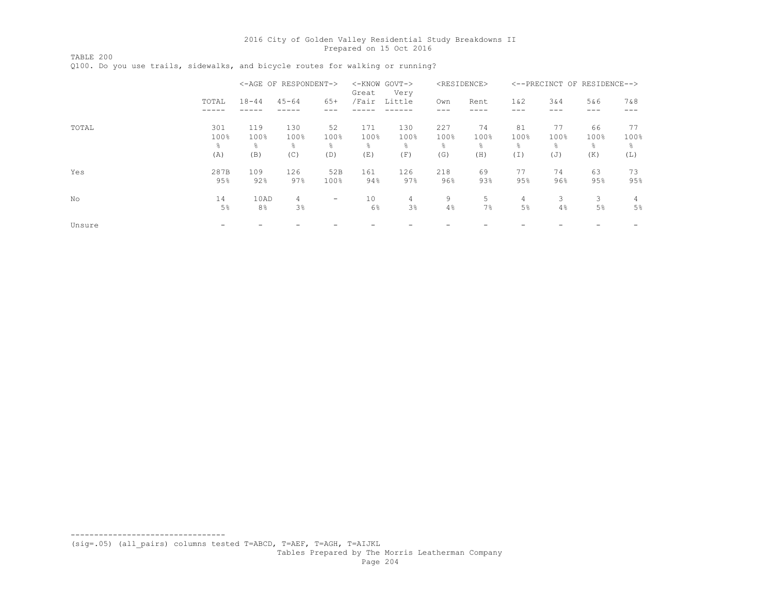TABLE 200 Q100. Do you use trails, sidewalks, and bicycle routes for walking or running?

|        |                          |                          | <-AGE OF RESPONDENT->   |                        | <-KNOW GOVT-><br>Great   | Very                     |                                      | <residence></residence> |                        |                        | <--PRECINCT OF RESIDENCE--> |                         |
|--------|--------------------------|--------------------------|-------------------------|------------------------|--------------------------|--------------------------|--------------------------------------|-------------------------|------------------------|------------------------|-----------------------------|-------------------------|
|        | TOTAL                    | $18 - 44$                | $45 - 64$               | $65+$                  | /Fair                    | Little                   | Own                                  | Rent                    | $1\&2$                 | 3&4                    | 5&6<br>---                  | 7&8                     |
| TOTAL  | 301<br>100%<br>ိင<br>(A) | 119<br>100%<br>g.<br>(B) | 130<br>100%<br>⊱<br>(C) | 52<br>100%<br>옹<br>(D) | 171<br>100%<br>٩,<br>(E) | 130<br>100%<br>g.<br>(F) | 227<br>100%<br>$\frac{6}{10}$<br>(G) | 74<br>100%<br>g.<br>(H) | 81<br>100%<br>옹<br>(I) | 77<br>100%<br>⊱<br>(J) | 66<br>100%<br>g.<br>(K)     | 77<br>100%<br>응<br>(L)  |
| Yes    | 287B<br>95%              | 109<br>92%               | 126<br>97%              | 52B<br>100%            | 161<br>94%               | 126<br>97%               | 218<br>96%                           | 69<br>93%               | 77<br>95%              | 74<br>96%              | 63<br>95%                   | 73<br>95%               |
| No     | 14<br>5%                 | 10AD<br>8%               | 4<br>3%                 | -                      | 10<br>6%                 | 4<br>3%                  | 9<br>4%                              | 5<br>7%                 | 4<br>5%                | 3<br>4%                | 3<br>5%                     | $\overline{4}$<br>$5\%$ |
| Unsure |                          |                          |                         |                        |                          |                          |                                      |                         |                        |                        |                             |                         |

(sig=.05) (all\_pairs) columns tested T=ABCD, T=AEF, T=AGH, T=AIJKL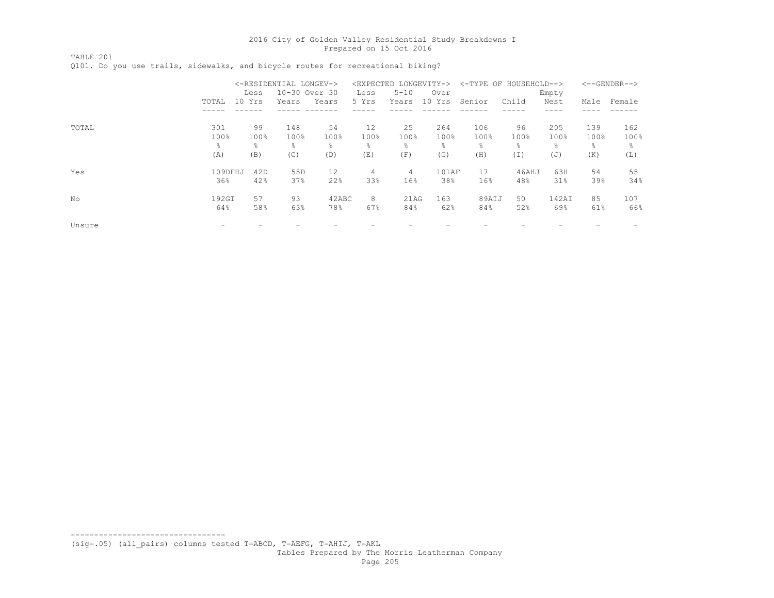TABLE 201

Q101. Do you use trails, sidewalks, and bicycle routes for recreational biking?

|        |         |        | <-RESIDENTIAL LONGEV-> |               |       | <expected longevity-=""></expected> |        | <-TYPE OF HOUSEHOLD--> |       |       |           | $\leftarrow$ -GENDER--> |
|--------|---------|--------|------------------------|---------------|-------|-------------------------------------|--------|------------------------|-------|-------|-----------|-------------------------|
|        |         | Less   |                        | 10-30 Over 30 | Less  | $5 - 10$                            | Over   |                        |       | Empty |           |                         |
|        | TOTAL   | 10 Yrs | Years                  | Years         | 5 Yrs | Years                               | 10 Yrs | Senior                 | Child | Nest  | Male      | Female                  |
|        |         |        |                        |               |       |                                     |        |                        |       |       |           |                         |
| TOTAL  | 301     | 99     | 148                    | 54            | 12    | 25                                  | 264    | 106                    | 96    | 205   | 139       | 162                     |
|        | 100%    | 100%   | 100%                   | 100%          | 100%  | 100%                                | 100%   | 100%                   | 100%  | 100%  | 100%      | 100%                    |
|        | 욲       | g.     | g.                     | ⊱             | ⊱     | ÷.                                  | 욲      | $\frac{6}{10}$         | g.    | ⊱     | $\approx$ | ⊱                       |
|        | (A)     | (B)    | (C)                    | (D)           | (E)   | (F)                                 | (G)    | (H)                    | (I)   | (J)   | (K)       | (L)                     |
| Yes    | 109DFHJ | 42D    | 55D                    | 12            | 4     | $\overline{4}$                      | 101AF  | 17                     | 46AHJ | 63H   | 54        | 55                      |
|        | 36%     | 42%    | 37%                    | 22%           | 33%   | 16%                                 | 38%    | 16%                    | 48%   | 31%   | 39%       | 34%                     |
| No     | 192GI   | 57     | 93                     | 42ABC         | 8     | 21AG                                | 163    | 89AIJ                  | 50    | 142AI | 85        | 107                     |
|        | 64%     | 58%    | 63%                    | 78%           | 67%   | 84%                                 | 62%    | 84%                    | 52%   | 69%   | 61%       | 66%                     |
| Unsure |         |        |                        |               |       |                                     |        |                        |       |       |           |                         |

(sig=.05) (all\_pairs) columns tested T=ABCD, T=AEFG, T=AHIJ, T=AKL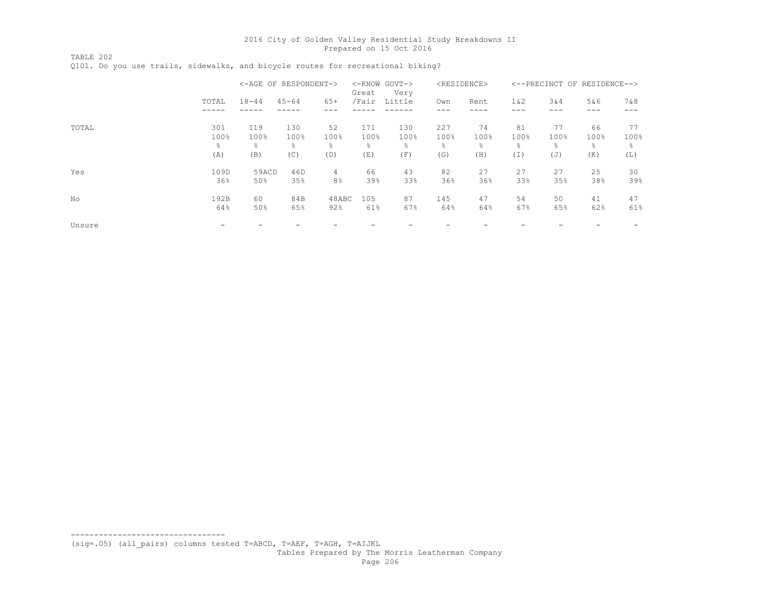TABLE 202 Q101. Do you use trails, sidewalks, and bicycle routes for recreational biking?

|        |                  | <-AGE OF RESPONDENT-> |                   |                                  | Great            | <-KNOW GOVT-><br>Very |                   | <residence></residence>      |                 |                              | <--PRECINCT OF RESIDENCE--> |                 |
|--------|------------------|-----------------------|-------------------|----------------------------------|------------------|-----------------------|-------------------|------------------------------|-----------------|------------------------------|-----------------------------|-----------------|
|        | TOTAL            | $18 - 44$             | $45 - 64$         | $65+$                            | /Fair            | Little                | Own               | Rent                         | $1\&2$          | 3&4                          | 5&6<br>---                  | 7 & 8           |
| TOTAL  | 301<br>100%<br>옹 | 119<br>100%<br>g.     | 130<br>100%<br>g. | 52<br>100%<br>옹                  | 171<br>100%<br>욲 | 130<br>100%<br>⊱      | 227<br>100%<br>g. | 74<br>100%<br>$\frac{6}{10}$ | 81<br>100%<br>옹 | 77<br>100%<br>$\frac{6}{10}$ | 66<br>100%<br>g.            | 77<br>100%<br>⊱ |
|        | (A)              | (B)                   | (C)               | (D)                              | (E)              | (F)                   | (G)               | (H)                          | (I)             | (J)                          | (K)                         | (L)             |
| Yes    | 109D<br>36%      | 59ACD<br>50%          | 46D<br>35%        | $\overline{4}$<br>8 <sup>°</sup> | 66<br>39%        | 43<br>33%             | 82<br>36%         | 27<br>36%                    | 27<br>33%       | 27<br>35%                    | 25<br>38%                   | 30<br>39%       |
| No     | 192B<br>64%      | 60<br>50%             | 84B<br>65%        | 48ABC<br>92%                     | 105<br>61%       | 87<br>67%             | 145<br>64%        | 47<br>64%                    | 54<br>67%       | 50<br>65%                    | 41<br>62%                   | 47<br>61%       |
| Unsure |                  |                       |                   |                                  |                  |                       |                   |                              |                 |                              |                             |                 |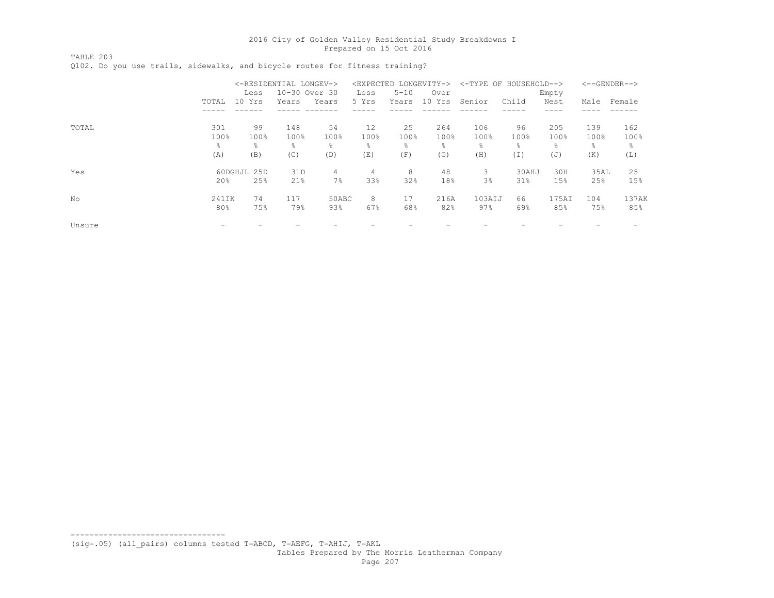TABLE 203

Q102. Do you use trails, sidewalks, and bicycle routes for fitness training?

|        |       | <-RESIDENTIAL LONGEV-> |               |       |                |          | <expected longevity-=""></expected> |                | <-TYPE OF HOUSEHOLD--> |       | $\left<$ --GENDER--> |        |
|--------|-------|------------------------|---------------|-------|----------------|----------|-------------------------------------|----------------|------------------------|-------|----------------------|--------|
|        |       | Less                   | 10-30 Over 30 |       | Less           | $5 - 10$ | Over                                |                |                        | Empty |                      |        |
|        | TOTAL | 10 Yrs                 | Years         | Years | 5 Yrs          | Years    | 10 <sup>°</sup><br>Yrs              | Senior         | Child                  | Nest  | Male                 | Female |
|        |       |                        |               |       |                |          |                                     |                |                        |       |                      |        |
| TOTAL  | 301   | 99                     | 148           | 54    | 12             | 25       | 264                                 | 106            | 96                     | 205   | 139                  | 162    |
|        | 100%  | 100%                   | 100%          | 100%  | 100%           | 100%     | 100%                                | 100%           | 100%                   | 100%  | 100%                 | 100%   |
|        | 욲     | ⊱                      | ÷,            | 导     | 욲              | 욲        | န္                                  | ⊱              | 욲                      | ⊱     | $\frac{6}{10}$       | g.     |
|        | (A)   | (B)                    | (C)           | (D)   | (E)            | (F)      | (G)                                 | (H)            | (I)                    | (J)   | (K)                  | (L)    |
| Yes    |       | 60DGHJL 25D            | 31D           | 4     | $\overline{4}$ | 8        | 48                                  | 3              | 30AHJ                  | 30H   | 35AL                 | 25     |
|        | 20%   | 25%                    | 21%           | 7%    | 33%            | 32%      | 18%                                 | 3 <sup>°</sup> | 31%                    | 15%   | 25%                  | 15%    |
| No     | 241IK | 74                     | 117           | 50ABC | 8              | 17       | 216A                                | 103AIJ         | 66                     | 175AI | 104                  | 137AK  |
|        | 80%   | 75%                    | 79%           | 93%   | 67%            | 68%      | 82%                                 | $97\%$         | 69%                    | 85%   | 75%                  | 85%    |
| Unsure |       |                        |               |       |                |          |                                     |                |                        |       |                      |        |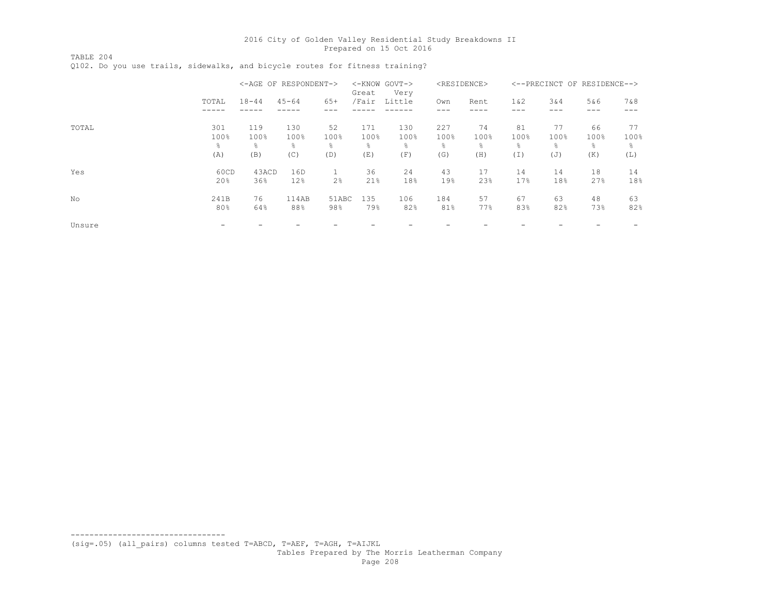TABLE 204 Q102. Do you use trails, sidewalks, and bicycle routes for fitness training?

|        |       | <-AGE OF RESPONDENT-> |           |              | Great | <-KNOW GOVT-><br>Very |                | <residence></residence> |        |            | <--PRECINCT OF RESIDENCE--> |       |
|--------|-------|-----------------------|-----------|--------------|-------|-----------------------|----------------|-------------------------|--------|------------|-----------------------------|-------|
|        | TOTAL | $18 - 44$             | $45 - 64$ | $65+$        | /Fair | Little                | Own            | Rent                    | $1\&2$ | 3&4<br>--- | 5&6<br>---                  | 7 & 8 |
| TOTAL  | 301   | 119                   | 130       | 52           | 171   | 130                   | 227            | 74                      | 81     | 77         | 66                          | 77    |
|        | 100%  | 100%                  | 100%      | 100%         | 100%  | 100%                  | 100%           | 100%                    | 100%   | 100%       | 100%                        | 100%  |
|        | g.    | g.                    | ⊱         | 옹            | g.    | g.                    | $\frac{6}{10}$ | g.                      | 옹      | ⊱          | g.                          | 옹     |
|        | (A)   | (B)                   | (C)       | (D)          | (E)   | (F)                   | (G)            | (H)                     | (I)    | (J)        | (K)                         | (L)   |
| Yes    | 60CD  | 43ACD                 | 16D       | $\mathbf{1}$ | 36    | 24                    | 43             | 17                      | 14     | 14         | 18                          | 14    |
|        | 20%   | 36%                   | 12%       | 2%           | 21%   | 18%                   | 19%            | 23%                     | 17%    | 18%        | 27%                         | 18%   |
| No     | 241B  | 76                    | 114AB     | 51ABC        | 135   | 106                   | 184            | 57                      | 67     | 63         | 48                          | 63    |
|        | 80%   | 64%                   | 88%       | 98%          | 79%   | 82%                   | 81%            | 77%                     | 83%    | 82%        | 73%                         | 82%   |
| Unsure |       |                       |           |              |       |                       |                |                         |        |            |                             |       |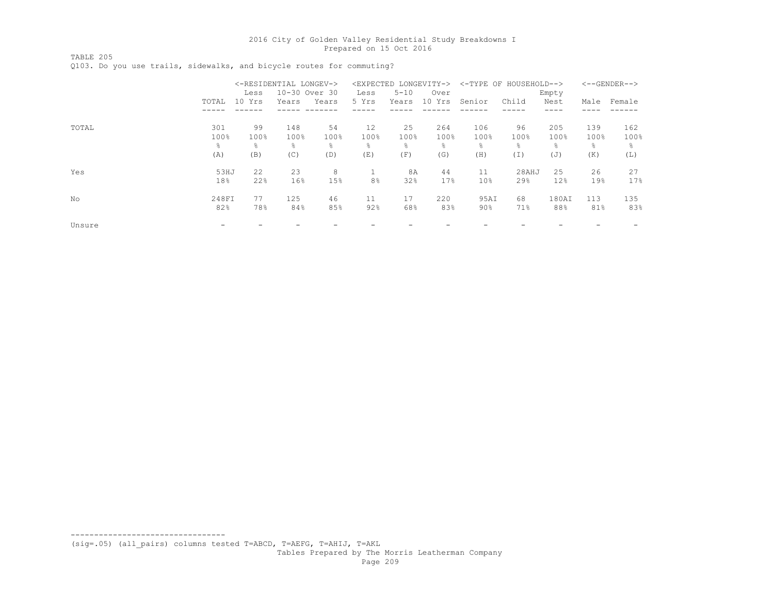TABLE 205 Q103. Do you use trails, sidewalks, and bicycle routes for commuting?

|        |       | <-RESIDENTIAL LONGEV-> |       |                |                | <expected longevity-=""></expected> |                |                 | <-TYPE OF HOUSEHOLD--> |       |      | $<-$ -GENDER--> |
|--------|-------|------------------------|-------|----------------|----------------|-------------------------------------|----------------|-----------------|------------------------|-------|------|-----------------|
|        |       | Less                   |       | 10-30 Over 30  | Less           | $5 - 10$                            | Over           |                 |                        | Empty |      |                 |
|        | TOTAL | 10 Yrs                 | Years | Years          | 5 Yrs          | Years                               | 10 Yrs         | Senior          | Child                  | Nest  | Male | Female          |
|        |       |                        |       |                |                |                                     |                |                 |                        |       |      |                 |
| TOTAL  | 301   | 99                     | 148   | 54             | 12             | 25                                  | 264            | 106             | 96                     | 205   | 139  | 162             |
|        | 100%  | 100%                   | 100%  | 100%           | 100%           | 100%                                | 100%           | 100%            | 100%                   | 100%  | 100% | 100%            |
|        | g.    | 옹                      | ⊱     | $\frac{6}{10}$ | ⊱              | $\approx$                           | $\frac{6}{10}$ | $\approx$       | g.                     | g.    | g.   | ⊱               |
|        | (A)   | (B)                    | (C)   | (D)            | (E)            | (F)                                 | (G)            | (H)             | (I)                    | (J)   | (K)  | (L)             |
| Yes    | 53HJ  | 22                     | 23    | 8              |                | 8A                                  | 44             | 11              | 28AHJ                  | 25    | 26   | 27              |
|        | 18%   | 22%                    | 16%   | 15%            | 8 <sup>°</sup> | 32%                                 | 17%            | 10 <sup>°</sup> | 29%                    | 12%   | 19%  | 17%             |
| No     | 248FI | 77                     | 125   | 46             | 11             | 17                                  | 220            | 95AI            | 68                     | 180AI | 113  | 135             |
|        | 82%   | 78%                    | 84%   | 85%            | 92%            | 68%                                 | 83%            | $90\%$          | 71%                    | 88%   | 81%  | 83%             |
| Unsure |       |                        |       |                |                |                                     |                |                 |                        |       |      |                 |

(sig=.05) (all\_pairs) columns tested T=ABCD, T=AEFG, T=AHIJ, T=AKL

---------------------------------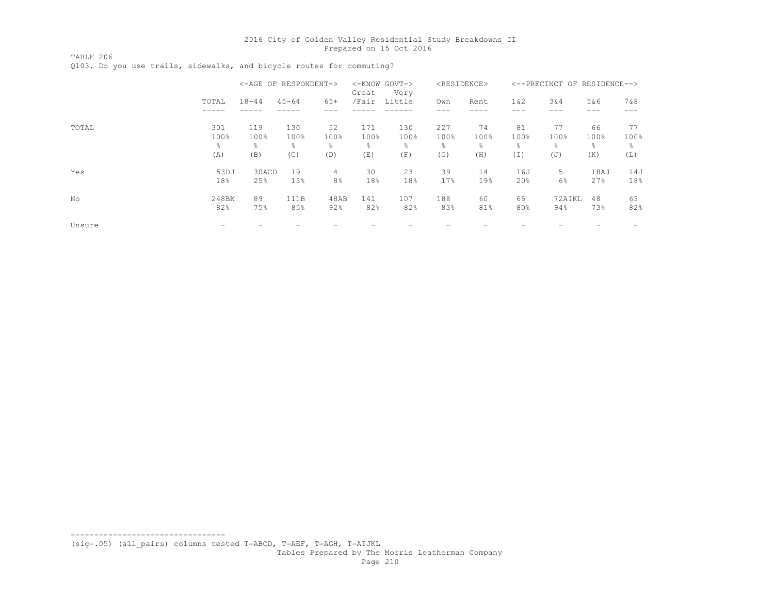TABLE 206 Q103. Do you use trails, sidewalks, and bicycle routes for commuting?

|        |       | <-AGE OF RESPONDENT-> |           |                | Great | <-KNOW GOVT-><br>Very |                | <residence></residence> |               | <--PRECINCT OF RESIDENCE--> |            |       |
|--------|-------|-----------------------|-----------|----------------|-------|-----------------------|----------------|-------------------------|---------------|-----------------------------|------------|-------|
|        | TOTAL | $18 - 44$             | $45 - 64$ | $65+$          | /Fair | Little                | Own            | Rent                    | $1\&2$<br>--- | 3&4<br>---                  | 5&6<br>--- | 7 & 8 |
| TOTAL  | 301   | 119                   | 130       | 52             | 171   | 130                   | 227            | 74                      | 81            | 77                          | 66         | 77    |
|        | 100%  | 100%                  | 100%      | 100%           | 100%  | 100%                  | 100%           | 100%                    | 100%          | 100%                        | 100%       | 100%  |
|        | g.    | g.                    | ⊱         | 옹              | ⊱     | g.                    | $\frac{6}{10}$ | $\frac{6}{10}$          | 옹             | ⊱                           | g.         | 옹     |
|        | (A)   | (B)                   | (C)       | (D)            | (E)   | (F)                   | (G)            | (H)                     | (I)           | (J)                         | (K)        | (L)   |
| Yes    | 53DJ  | 30ACD                 | 19        | 4              | 30    | 23                    | 39             | 14                      | 16J           | 5                           | 18AJ       | 14J   |
|        | 18%   | 25%                   | 15%       | 8 <sup>°</sup> | 18%   | 18%                   | 17%            | 19%                     | 20%           | 6%                          | 27%        | 18%   |
| No     | 248BK | 89                    | 111B      | 48AB           | 141   | 107                   | 188            | 60                      | 65            | 72AIKL                      | 48         | 63    |
|        | 82%   | 75%                   | 85%       | 92%            | 82%   | 82%                   | 83%            | 81%                     | 80%           | 94%                         | 73%        | 82%   |
| Unsure |       |                       |           |                |       |                       |                |                         |               |                             |            |       |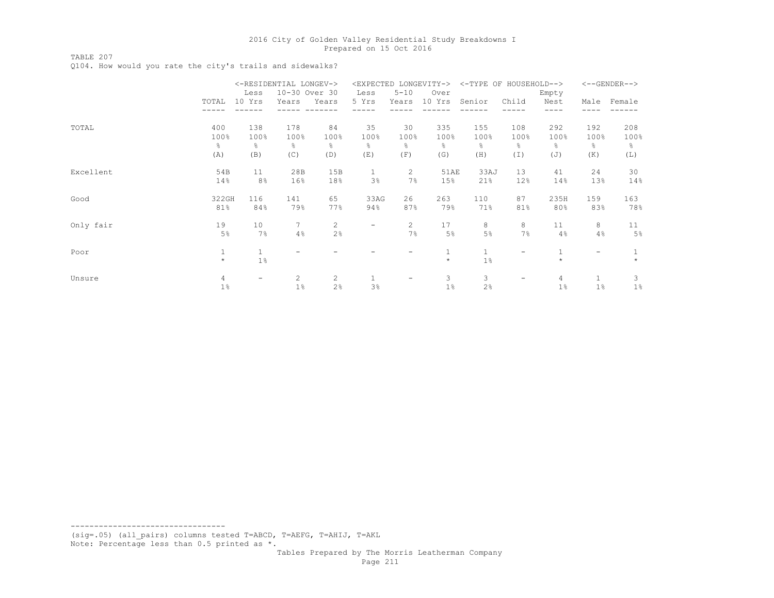TABLE 207

Q104. How would you rate the city's trails and sidewalks?

|           |                | <-RESIDENTIAL LONGEV->   |                |                       | <expected longevity-=""></expected> |                          |              | <-TYPE OF HOUSEHOLD--> |                          |         |                          | $<-$ -GENDER--> |
|-----------|----------------|--------------------------|----------------|-----------------------|-------------------------------------|--------------------------|--------------|------------------------|--------------------------|---------|--------------------------|-----------------|
|           |                | Less                     | 10-30 Over 30  |                       | Less                                | $5 - 10$                 | Over         |                        |                          | Empty   |                          |                 |
|           | TOTAL          | 10 Yrs                   | Years          | Years                 | 5 Yrs                               | Years                    | 10 Yrs       | Senior                 | Child                    | Nest    | Male                     | Female          |
|           |                |                          |                |                       |                                     |                          |              |                        |                          |         |                          |                 |
| TOTAL     | 400            | 138                      | 178            | 84                    | 35                                  | 30                       | 335          | 155                    | 108                      | 292     | 192                      | 208             |
|           | 100%           | 100%                     | 100%           | 100%                  | 100%                                | 100%                     | 100%         | 100%                   | 100%                     | 100%    | 100%                     | 100%            |
|           | ⊱              | ိင                       | &              | 옹                     | g.                                  | 옹                        | 옹            | ိင                     | 옹                        | ိင      | 옹                        | 옹               |
|           | (A)            | (B)                      | (C)            | (D)                   | (E)                                 | (F)                      | (G)          | (H)                    | (I)                      | (J)     | (K)                      | (L)             |
| Excellent | 54B            | 11                       | 28B            | 15B                   | 1                                   | $\overline{c}$           | 51AE         | 33AJ                   | 13                       | 41      | 24                       | 30              |
|           | 14%            | 8%                       | 16%            | 18%                   | 3%                                  | 7%                       | 15%          | 21%                    | 12%                      | 14%     | 13%                      | 14%             |
| Good      | 322GH          | 116                      | 141            | 65                    | 33AG                                | 26                       | 263          | 110                    | 87                       | 235H    | 159                      | 163             |
|           | 81%            | 84%                      | 79%            | 77%                   | 94%                                 | 87%                      | 79%          | 71%                    | 81%                      | 80%     | 83%                      | 78%             |
| Only fair | 19             | 10                       |                | $\mathbf{2}^{\prime}$ | $\overline{\phantom{m}}$            | $\overline{c}$           | 17           | 8                      | 8                        | 11      | 8                        | 11              |
|           | 5%             | 7%                       | 4%             | 2%                    |                                     | 7%                       | 5%           | 5%                     | 7%                       | 4%      | 4%                       | $5\%$           |
| Poor      | $\mathbf{1}$   | $\mathbf{1}$             |                |                       |                                     | $\overline{\phantom{0}}$ | $\mathbf{1}$ | $\mathbf{1}$           | $\overline{\phantom{0}}$ |         | $\overline{\phantom{a}}$ |                 |
|           | $\star$        | 1 <sup>°</sup>           |                |                       |                                     |                          | $\star$      | 1%                     |                          | $\star$ |                          | $\star$         |
| Unsure    | $\overline{4}$ | $\overline{\phantom{0}}$ | $\overline{c}$ | $\overline{c}$        |                                     | $\overline{\phantom{0}}$ | 3            | 3                      |                          | 4       | $\mathbf{1}$             | 3               |
|           | 1%             |                          | $1\%$          | 2%                    | 3%                                  |                          | $1\%$        | 2%                     |                          | 1%      | 1%                       | $1\%$           |

--------------------------------- (sig=.05) (all\_pairs) columns tested T=ABCD, T=AEFG, T=AHIJ, T=AKL Note: Percentage less than 0.5 printed as \*.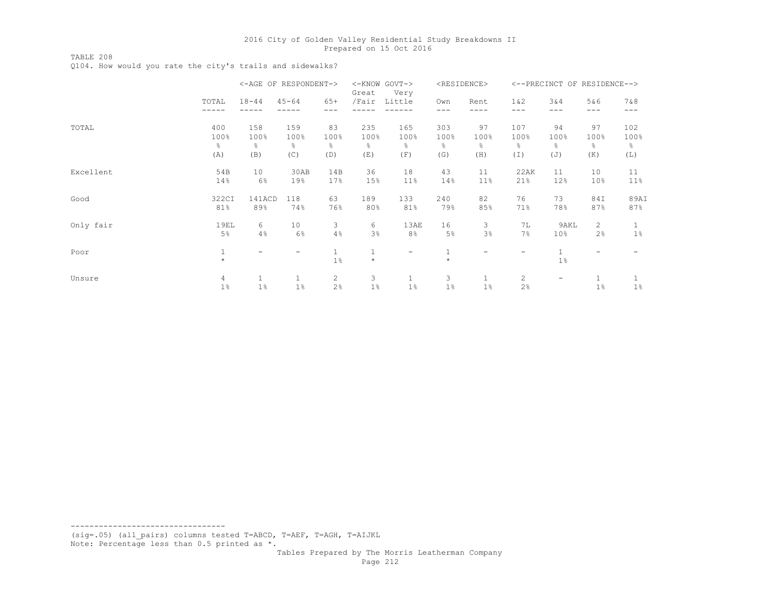TABLE 208

Q104. How would you rate the city's trails and sidewalks?

|           |         | <-AGE OF RESPONDENT->    |           |                | <-KNOW GOVT-><br>Great | Very   |         | <residence></residence> |                   | <--PRECINCT OF RESIDENCE--> |                          |              |
|-----------|---------|--------------------------|-----------|----------------|------------------------|--------|---------|-------------------------|-------------------|-----------------------------|--------------------------|--------------|
|           | TOTAL   | $18 - 44$                | $45 - 64$ | $65+$          | /Fair                  | Little | Own     | Rent                    | 1 & 2             | 3 & 4                       | 5&6                      | 7&8          |
|           |         |                          |           |                |                        |        |         |                         | ---               | ---                         | $---$                    | ---          |
| TOTAL     | 400     | 158                      | 159       | 83             | 235                    | 165    | 303     | 97                      | 107               | 94                          | 97                       | 102          |
|           | 100%    | 100%                     | 100%      | 100%           | 100%                   | 100%   | 100%    | 100%                    | 100%              | 100%                        | 100%                     | 100%         |
|           | &       | 응                        | ⊱         | 옹              | ိင                     | &      | ိင      | ိင                      | 응                 | ⊱                           | &                        | 웅            |
|           | (A)     | (B)                      | (C)       | (D)            | (E)                    | (F)    | (G)     | (H)                     | $(\top)$          | (J)                         | (K)                      | (L)          |
| Excellent | 54B     | 10                       | 30AB      | 14B            | 36                     | 18     | 43      | 11                      | 22AK              | 11                          | 10                       | 11           |
|           | 14%     | 6%                       | 19%       | 17%            | 15%                    | 11%    | 14%     | 11%                     | 21%               | 12%                         | 10%                      | $11\%$       |
| Good      | 322CI   | 141ACD                   | 118       | 63             | 189                    | 133    | 240     | 82                      | 76                | 73                          | 84I                      | 89AI         |
|           | 81%     | 89%                      | 74%       | 76%            | 80%                    | 81%    | 79%     | 85%                     | 71%               | 78%                         | 87%                      | 87%          |
| Only fair | 19EL    | 6                        | 10        | 3              | 6                      | 13AE   | 16      | 3                       | 7L                | 9AKL                        | $\mathbf{2}^{\prime}$    | $\mathbf{1}$ |
|           | 5%      | 4%                       | 6%        | 4%             | 3%                     | 8%     | 5%      | 3%                      | 7%                | 10 <sub>8</sub>             | 2%                       | $1\%$        |
| Poor      |         | $\overline{\phantom{m}}$ | -         | $1\,$          | 1                      | -      |         |                         | $\qquad \qquad -$ | 1                           | $\overline{\phantom{0}}$ |              |
|           | $\star$ |                          |           | $1\%$          | $\star$                |        | $\star$ |                         |                   | 1%                          |                          |              |
| Unsure    | 4       | $\mathbf{1}$             |           | $\overline{c}$ | 3                      | 1      | 3       | $\mathbf{1}$            | $\mathbf{2}$      | -                           | 1                        |              |
|           | 1%      | $1\%$                    | $1\%$     | 2%             | $1\%$                  | 1%     | $1\%$   | $1\%$                   | 2%                |                             | $1\%$                    | $1\%$        |

--------------------------------- (sig=.05) (all\_pairs) columns tested T=ABCD, T=AEF, T=AGH, T=AIJKL Note: Percentage less than 0.5 printed as \*.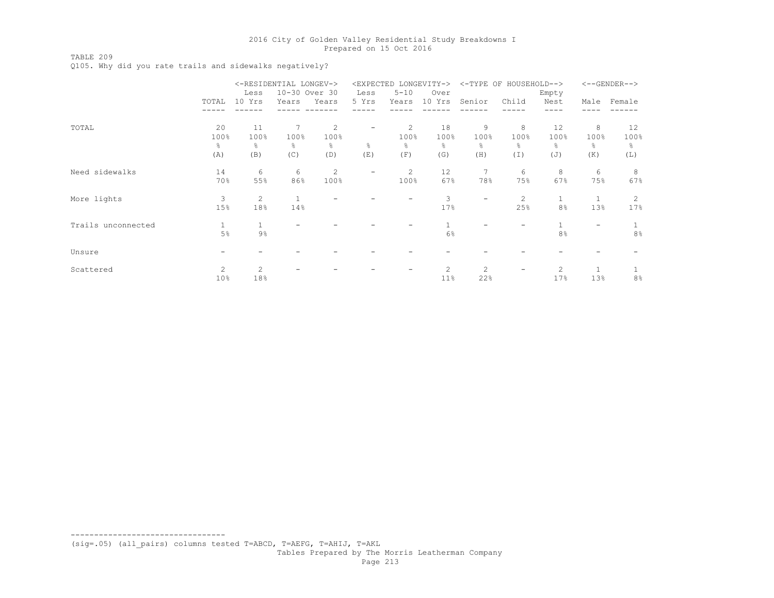### TABLE 209

Q105. Why did you rate trails and sidewalks negatively?

|                    |                 | <-RESIDENTIAL LONGEV-> |               |                       |                          | <expected longevity-=""></expected> |        |                | <-TYPE OF HOUSEHOLD--> |              |      | $<-$ -GENDER--> |
|--------------------|-----------------|------------------------|---------------|-----------------------|--------------------------|-------------------------------------|--------|----------------|------------------------|--------------|------|-----------------|
|                    |                 | Less                   | 10-30 Over 30 |                       | Less                     | $5 - 10$                            | Over   |                |                        | Empty        |      |                 |
|                    | TOTAL           | 10 Yrs                 | Years         | Years                 | 5 Yrs                    | Years                               | 10 Yrs | Senior         | Child                  | Nest         | Male | Female          |
|                    |                 |                        |               |                       |                          |                                     |        |                |                        |              |      |                 |
| TOTAL              | 20              | 11                     | 7             | $\mathbf{2}^{\prime}$ | $\overline{\phantom{0}}$ | 2                                   | 18     | 9              | 8                      | 12           | 8    | 12              |
|                    | 100%            | 100%                   | 100%          | 100%                  |                          | 100%                                | 100%   | 100%           | 100%                   | 100%         | 100% | 100%            |
|                    | g.              | 옹                      | g.            | g.                    | ⊱                        | န္                                  | 옹      | g.             | ိင                     | ⊱            | g.   | ⊱               |
|                    | (A)             | (B)                    | (C)           | (D)                   | (E)                      | (F)                                 | (G)    | (H)            | (I)                    | (J)          | (K)  | (L)             |
| Need sidewalks     | 14              | 6                      | 6             | 2                     | -                        | 2                                   | 12     | 7              | 6                      | 8            | 6    | 8               |
|                    | 70%             | 55%                    | 86%           | 100%                  |                          | 100%                                | 67%    | 78%            | 75%                    | 67%          | 75%  | 67%             |
| More lights        | 3               | 2                      | $\mathbf{1}$  |                       |                          |                                     | 3      |                | 2                      | $\mathbf{1}$ | 1    | 2               |
|                    | 15%             | 18%                    | 14%           |                       |                          |                                     | 17%    |                | 25%                    | 8%           | 13%  | 17%             |
| Trails unconnected | $\mathbf{1}$    | 1                      |               |                       |                          |                                     |        |                |                        |              |      |                 |
|                    | 5%              | 9%                     |               |                       |                          |                                     | 6%     |                |                        | 8%           |      | 8%              |
| Unsure             |                 |                        |               |                       |                          |                                     |        |                |                        |              |      |                 |
| Scattered          | $\overline{c}$  | 2                      |               |                       |                          |                                     | 2      | $\overline{c}$ |                        | 2            | 1    |                 |
|                    | 10 <sup>°</sup> | 18%                    |               |                       |                          |                                     | 11%    | 22%            |                        | 17%          | 13%  | 8 <sup>°</sup>  |

--------------------------------- (sig=.05) (all\_pairs) columns tested T=ABCD, T=AEFG, T=AHIJ, T=AKL Tables Prepared by The Morris Leatherman Company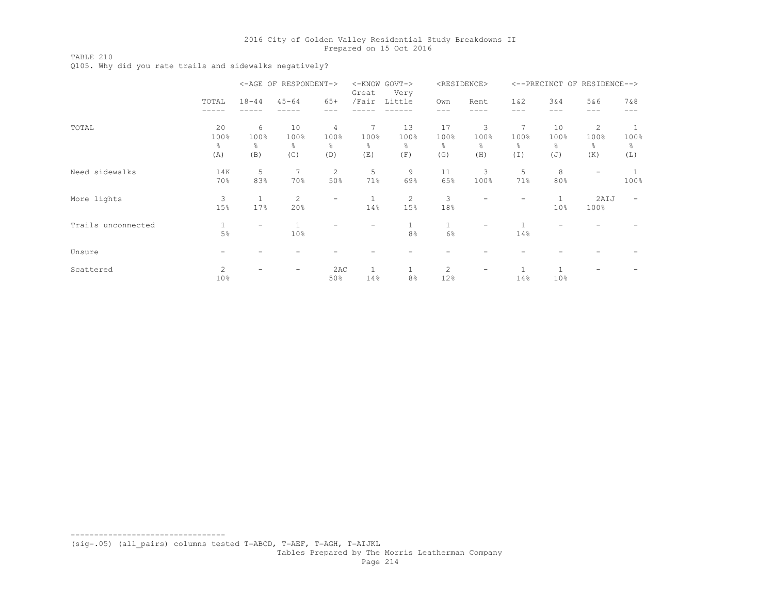TABLE 210

Q105. Why did you rate trails and sidewalks negatively?

|                    |                 |           | <-AGE OF RESPONDENT-> |                          | <-KNOW GOVT-><br>Great | Very         |                       | <residence></residence> |        |              | <--PRECINCT OF RESIDENCE--> |      |
|--------------------|-----------------|-----------|-----------------------|--------------------------|------------------------|--------------|-----------------------|-------------------------|--------|--------------|-----------------------------|------|
|                    | TOTAL           | $18 - 44$ | $45 - 64$             | $65+$                    | /Fair                  | Little       | Own                   | Rent                    | $1\&2$ | 3&4          | 5&6                         | 7&8  |
|                    |                 |           |                       |                          |                        |              |                       |                         |        |              | ---                         |      |
| TOTAL              | 20              | 6         | 10                    | 4                        | 7                      | 13           | 17                    | 3                       | 7      | 10           | $\mathbf{2}^{\prime}$       | -1   |
|                    | 100%            | 100%      | 100%                  | 100%                     | 100%                   | 100%         | 100%                  | 100%                    | 100%   | 100%         | 100%                        | 100% |
|                    | g.              | ⊱         | $\frac{6}{6}$         | 옹                        | g.                     | g.           | န္                    | g.                      | ိင     | ⊱            | $\frac{6}{6}$               | 옹    |
|                    | (A)             | (B)       | (C)                   | (D)                      | (E)                    | (F)          | (G)                   | (H)                     | (I)    | (J)          | (K)                         | (L)  |
| Need sidewalks     | 14K             | 5         | 7                     | 2                        | 5                      | 9            | 11                    | 3                       | 5      | 8            |                             |      |
|                    | 70%             | 83%       | 70%                   | 50%                      | 71%                    | 69%          | 65%                   | 100%                    | 71%    | 80%          |                             | 100% |
| More lights        | 3               |           | $\overline{c}$        | $\overline{\phantom{0}}$ |                        | $\mathbf{2}$ | 3                     |                         |        | $\mathbf{1}$ | 2AIJ                        |      |
|                    | 15%             | 17%       | 20%                   |                          | 14%                    | 15%          | 18%                   |                         |        | 10%          | 100%                        |      |
| Trails unconnected | 1               | -         |                       |                          |                        | $\mathbf{1}$ | 1                     |                         |        |              |                             |      |
|                    | 5%              |           | 10%                   |                          |                        | 8%           | 6%                    |                         | 14%    |              |                             |      |
| Unsure             |                 |           |                       |                          |                        |              |                       |                         |        |              |                             |      |
| Scattered          | $\overline{c}$  |           |                       | 2AC                      | $\mathbf{1}$           | $\mathbf{1}$ | $\mathbf{2}^{\prime}$ |                         |        | 1            |                             |      |
|                    | 10 <sup>°</sup> |           |                       | 50%                      | 14%                    | 8%           | 12%                   |                         | 14%    | 10%          |                             |      |

--------------------------------- (sig=.05) (all\_pairs) columns tested T=ABCD, T=AEF, T=AGH, T=AIJKL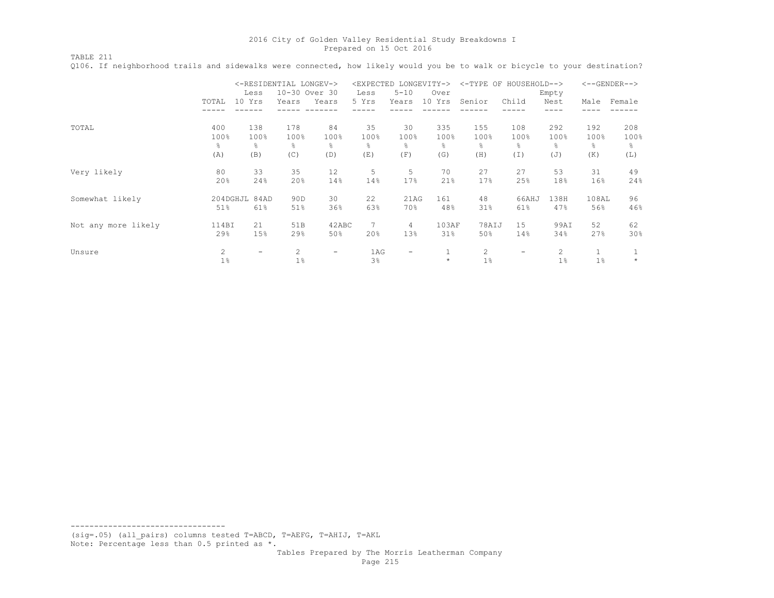TABLE 211

Q106. If neighborhood trails and sidewalks were connected, how likely would you be to walk or bicycle to your destination?

|                     |                |                          | <-RESIDENTIAL LONGEV-> |                          | <expected longevity-=""></expected> |          |                |                | <-TYPE OF HOUSEHOLD--> |                       |       | $<-$ -GENDER--> |
|---------------------|----------------|--------------------------|------------------------|--------------------------|-------------------------------------|----------|----------------|----------------|------------------------|-----------------------|-------|-----------------|
|                     |                | Less                     |                        | 10-30 Over 30            | Less                                | $5 - 10$ | Over           |                |                        | Empty                 |       |                 |
|                     | TOTAL          | 10 Yrs                   | Years                  | Years                    | 5 Yrs                               | Years    | 10 Yrs         | Senior         | Child                  | Nest                  | Male  | Female          |
|                     |                |                          |                        |                          |                                     |          |                |                |                        |                       |       |                 |
| TOTAL               | 400            | 138                      | 178                    | 84                       | 35                                  | 30       | 335            | 155            | 108                    | 292                   | 192   | 208             |
|                     | 100%           | 100%                     | 100%                   | 100%                     | 100%                                | 100%     | 100%           | 100%           | 100%                   | 100%                  | 100%  | 100%            |
|                     | g.             | g.                       | ⊱                      | ⊱                        | ⊱                                   | ⊱        | $\frac{6}{10}$ | $\frac{6}{10}$ | g.                     | g.                    | g.    | ိင              |
|                     | (A)            | (B)                      | (C)                    | (D)                      | (E)                                 | (F)      | (G)            | (H)            | (T)                    | (J)                   | (K)   | (L)             |
| Very likely         | 80             | 33                       | 35                     | 12                       | 5                                   | 5        | 70             | 27             | 27                     | 53                    | 31    | 49              |
|                     | 20%            | 24%                      | 20%                    | 14%                      | 14%                                 | 17%      | 21%            | 17%            | 25%                    | 18%                   | 16%   | 24%             |
| Somewhat likely     | 204DGHJL 84AD  |                          | 90D                    | 30                       | 22                                  | 21AG     | 161            | 48             | 66AHJ                  | 138H                  | 108AL | 96              |
|                     | 51%            | 61%                      | 51%                    | 36%                      | 63%                                 | 70%      | 48%            | 31%            | 61%                    | 47%                   | 56%   | 46%             |
| Not any more likely | 114BI          | 21                       | 51B                    | 42ABC                    | 7                                   | 4        | 103AF          | 78AIJ          | 15                     | 99AI                  | 52    | 62              |
|                     | 29%            | 15%                      | 29%                    | 50%                      | 20%                                 | 13%      | 31%            | 50%            | 14%                    | 34%                   | 27%   | 30%             |
| Unsure              | $\overline{c}$ | $\overline{\phantom{0}}$ | 2                      | $\overline{\phantom{a}}$ | 1AG                                 | Ξ.       |                | 2              | -                      | $\mathbf{2}^{\prime}$ |       |                 |
|                     | $1\%$          |                          | $1\%$                  |                          | 3%                                  |          | $\star$        | 1%             |                        | 1%                    | 1%    | $\star$         |

--------------------------------- (sig=.05) (all\_pairs) columns tested T=ABCD, T=AEFG, T=AHIJ, T=AKL

Note: Percentage less than 0.5 printed as \*.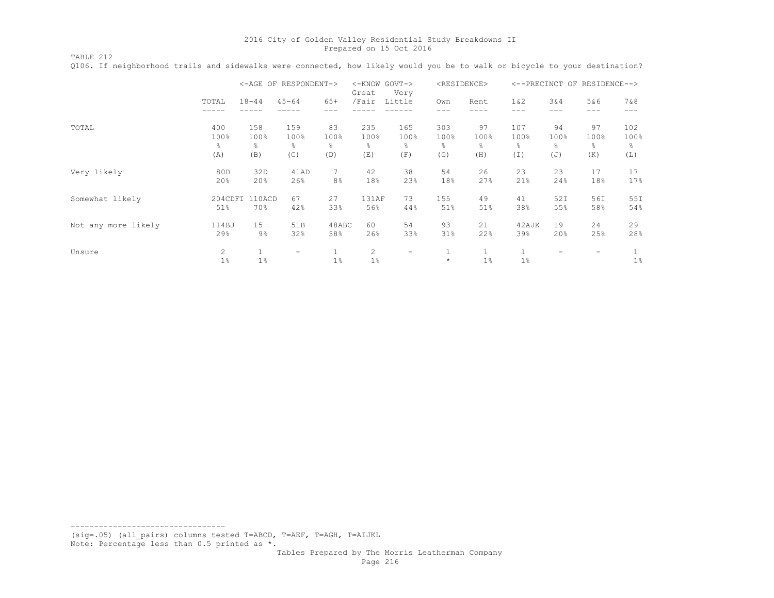TABLE 212 Q106. If neighborhood trails and sidewalks were connected, how likely would you be to walk or bicycle to your destination?

|                     |                         |                       | <-AGE OF RESPONDENT->    |                     | $<$ -KNOW<br>Great | GOVT-><br>Very    |                   | <residence></residence> |                  |                              | <--PRECINCT OF RESIDENCE--> |                  |
|---------------------|-------------------------|-----------------------|--------------------------|---------------------|--------------------|-------------------|-------------------|-------------------------|------------------|------------------------------|-----------------------------|------------------|
|                     | TOTAL                   | $18 - 44$             | $45 - 64$                | $65+$               | /Fair              | Little            | Own<br>---        | Rent                    | $1\&2$<br>---    | 3 & 4<br>$- - -$             | 5&6<br>---                  | 7 & 8<br>---     |
| TOTAL               | 400<br>100%<br>g.       | 158<br>100%<br>ိင     | 159<br>100%<br>$\approx$ | 83<br>100%<br>옹     | 235<br>100%<br>g.  | 165<br>100%<br>g. | 303<br>100%<br>g. | 97<br>100%<br>g.        | 107<br>100%<br>옹 | 94<br>100%<br>$\frac{6}{10}$ | 97<br>100%<br>g.            | 102<br>100%<br>옹 |
|                     | (A)                     | (B)                   | (C)                      | (D)                 | (E)                | (F)               | (G)               | (H)                     | (I)              | (J)                          | (K)                         | (L)              |
| Very likely         | 80D<br>20%              | 32D<br>20%            | 41AD<br>26%              | 7<br>8 <sup>°</sup> | 42<br>18%          | 38<br>23%         | 54<br>18%         | 26<br>27%               | 23<br>21%        | 23<br>24%                    | 17<br>18%                   | 17<br>17%        |
| Somewhat likely     | 51%                     | 204CDFI 110ACD<br>70% | 67<br>42%                | 27<br>33%           | 131AF<br>56%       | 73<br>44%         | 155<br>51%        | 49<br>51%               | 41<br>38%        | 52I<br>55%                   | 56I<br>58%                  | 55I<br>54%       |
| Not any more likely | 114BJ<br>29%            | 15<br>$9\%$           | 51B<br>32%               | 48ABC<br>58%        | 60<br>26%          | 54<br>33%         | 93<br>31%         | 21<br>22%               | 42AJK<br>39%     | 19<br>20%                    | 24<br>25%                   | 29<br>28%        |
| Unsure              | $\overline{c}$<br>$1\%$ | Ψ.<br>1%              | $\overline{\phantom{0}}$ | 1%                  | 2<br>1%            | -                 | $\star$           | 1<br>$1\%$              | $1\%$            |                              |                             | $1\%$            |

--------------------------------- (sig=.05) (all\_pairs) columns tested T=ABCD, T=AEF, T=AGH, T=AIJKL

Note: Percentage less than 0.5 printed as \*.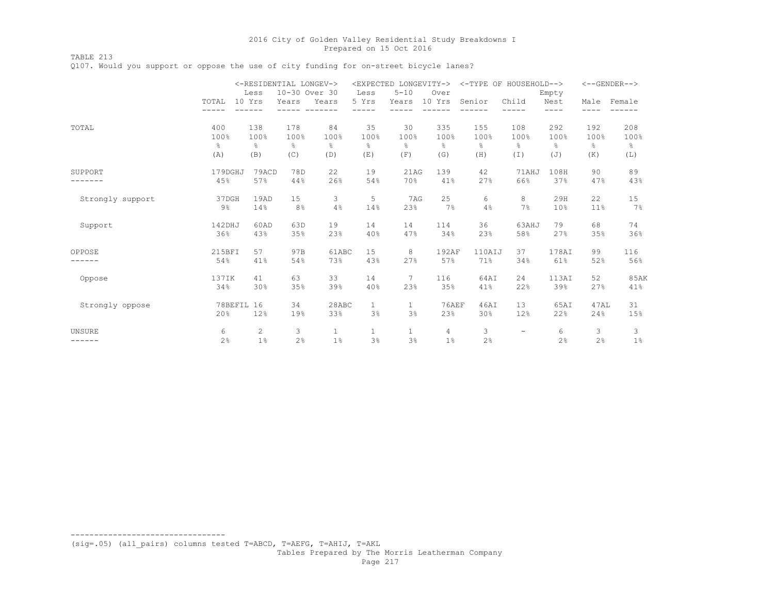TABLE 213

Q107. Would you support or oppose the use of city funding for on-street bicycle lanes?

|                  |                   | Less                                    | <-RESIDENTIAL LONGEV-><br>10-30 Over 30 |                       | Less               | <expected longevity-=""><br/><math>5 - 10</math></expected> | Over         | <-TYPE OF HOUSEHOLD--> |           | Empty         |             | $<-$ -GENDER--> |
|------------------|-------------------|-----------------------------------------|-----------------------------------------|-----------------------|--------------------|-------------------------------------------------------------|--------------|------------------------|-----------|---------------|-------------|-----------------|
|                  | TOTAL             | 10 Yrs                                  | Years                                   | Years                 | 5 Yrs              | Years                                                       | 10 Yrs       | Senior                 | Child     | Nest<br>----  | Male        | Female          |
| TOTAL            | 400               | 138                                     | 178                                     | 84                    | 35                 | 30                                                          | 335          | 155                    | 108       | 292           | 192         | 208             |
|                  | 100%              | 100%                                    | 100%                                    | 100%                  | 100%               | 100%                                                        | 100%         | 100%                   | 100%      | 100%          | 100%        | 100%            |
|                  | $\frac{6}{6}$     | $\frac{6}{6}$                           | g.                                      | $\frac{6}{6}$         | g.                 | g.                                                          | g.           | 옹                      | 옹         | $\frac{6}{5}$ | g.          | $\frac{6}{6}$   |
|                  | (A)               | (B)                                     | (C)                                     | (D)                   | (E)                | (F)                                                         | (G)          | (H)                    | (I)       | (J)           | (K)         | (L)             |
| SUPPORT          | 179DGHJ           | 79ACD                                   | 78D                                     | 22                    | 19                 | 21AG                                                        | 139          | 42                     | 71AHJ     | 108H          | 90          | 89              |
|                  | 45%               | 57%                                     | 44%                                     | 26%                   | 54%                | 70%                                                         | 41%          | 27%                    | 66%       | 37%           | 47%         | 43%             |
| Strongly support | 37DGH             | 19AD                                    | 15                                      | 3                     | 5                  | 7AG                                                         | 25           | 6                      | 8         | 29H           | 22          | 15              |
|                  | 9%                | 14%                                     | 8 <sup>°</sup>                          | 4%                    | 14%                | 23%                                                         | 7%           | 4%                     | 7%        | 10%           | 11%         | 7%              |
| Support          | 142DHJ            | 60AD                                    | 63D                                     | 19                    | 14                 | 14                                                          | 114          | 36                     | 63AHJ     | 79            | 68          | 74              |
|                  | 36%               | 43%                                     | 35%                                     | 23%                   | 40%                | 47%                                                         | 34%          | 23%                    | 58%       | 27%           | 35%         | 36%             |
| OPPOSE           | 215BFI            | 57                                      | 97B                                     | 61ABC                 | 15                 | 8                                                           | 192AF        | 110AIJ                 | 37        | 178AI         | 99          | 116             |
|                  | 54%               | 41%                                     | 54%                                     | 73%                   | 43%                | 27%                                                         | 57%          | 71%                    | 34%       | 61%           | 52%         | 56%             |
| Oppose           | 137IK             | 41                                      | 63                                      | 33                    | 14                 | 7                                                           | 116          | 64AI                   | 24        | 113AI         | 52          | <b>85AK</b>     |
|                  | 34%               | 30%                                     | 35%                                     | 39%                   | 40%                | 23%                                                         | 35%          | 41%                    | 22%       | 39%           | 27%         | 41%             |
| Strongly oppose  | 78BEFIL 16<br>20% | 12%                                     | 34<br>19%                               | 28ABC<br>33%          | $\mathbf{1}$<br>3% | $\mathbf{1}$<br>3%                                          | 76AEF<br>23% | 46AI<br>30%            | 13<br>12% | 65AI<br>22%   | 47AL<br>24% | 31<br>15%       |
| <b>UNSURE</b>    | 6<br>2%           | $\mathbf{2}^{\prime}$<br>1 <sup>°</sup> | 3<br>2%                                 | $\mathbf{1}$<br>$1\%$ | $\mathbf{1}$<br>3% | $\mathbf{1}$<br>3%                                          | 4<br>$1\%$   | 3<br>2%                | -         | 6<br>2%       | 3<br>2%     | 3<br>1%         |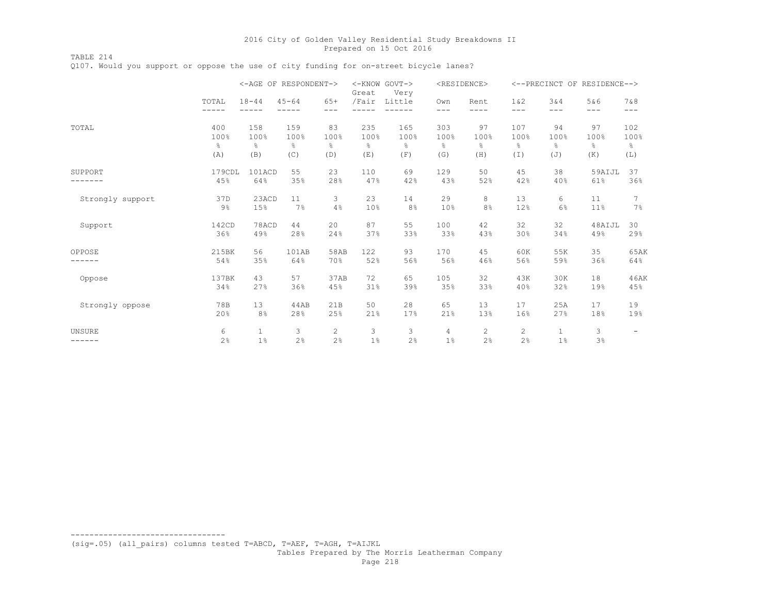TABLE 214 Q107. Would you support or oppose the use of city funding for on-street bicycle lanes?

|                  |                | <-AGE OF RESPONDENT-> |               |                | <-KNOW GOVT-><br>Great | Very   |            | <residence></residence> |               |               | <--PRECINCT OF RESIDENCE--> |               |
|------------------|----------------|-----------------------|---------------|----------------|------------------------|--------|------------|-------------------------|---------------|---------------|-----------------------------|---------------|
|                  | TOTAL<br>----- | $18 - 44$             | $45 - 64$     | $65+$<br>$---$ | /Fair                  | Little | Own<br>--- | Rent<br>----            | 1 & 2<br>---  | 3&4<br>---    | 5&6<br>---                  | 7 & 8<br>---  |
| TOTAL            | 400            | 158                   | 159           | 83             | 235                    | 165    | 303        | 97                      | 107           | 94            | 97                          | 102           |
|                  | 100%           | 100%                  | 100%          | 100%           | 100%                   | 100%   | 100%       | 100%                    | 100%          | 100%          | 100%                        | 100%          |
|                  | $\frac{6}{6}$  | $\frac{6}{6}$         | $\frac{6}{5}$ | $\frac{6}{6}$  | g.                     | g      | g.         | $\frac{6}{6}$           | $\frac{6}{6}$ | $\frac{6}{6}$ | $\frac{6}{5}$               | $\frac{6}{6}$ |
|                  | (A)            | (B)                   | (C)           | (D)            | (E)                    | (F)    | (G)        | (H)                     | (I)           | (J)           | (K)                         | (L)           |
| SUPPORT          | 179CDL         | 101ACD                | 55            | 23             | 110                    | 69     | 129        | 50                      | 45            | 38            | 59AIJL                      | 37            |
|                  | 45%            | 64%                   | 35%           | 28%            | 47%                    | 42%    | 43%        | 52%                     | 42%           | 40%           | 61%                         | 36%           |
| Strongly support | 37D            | 23ACD                 | 11            | 3              | 23                     | 14     | 29         | 8                       | 13            | 6             | 11                          | 7             |
|                  | $9\%$          | 15%                   | 7%            | 4%             | 10%                    | 8%     | 10%        | 8%                      | 12%           | 6%            | 11%                         | 7%            |
| Support          | 142CD          | 78ACD                 | 44            | 20             | 87                     | 55     | 100        | 42                      | 32            | 32            | 48AIJL                      | 30            |
|                  | 36%            | 49%                   | 28%           | 24%            | 37%                    | 33%    | 33%        | 43%                     | 30%           | 34%           | 49%                         | 29%           |
| OPPOSE           | 215BK          | 56                    | 101AB         | 58AB           | 122                    | 93     | 170        | 45                      | 60K           | 55K           | 35                          | 65AK          |
|                  | 54%            | 35%                   | 64%           | 70%            | 52%                    | 56%    | 56%        | 46%                     | 56%           | 59%           | 36%                         | 64%           |
| Oppose           | 137BK          | 43                    | 57            | 37AB           | 72                     | 65     | 105        | 32                      | 43K           | 30K           | 18                          | 46AK          |
|                  | 34%            | 27%                   | 36%           | 45%            | 31%                    | 39%    | 35%        | 33%                     | 40%           | 32%           | 19%                         | 45%           |
| Strongly oppose  | 78B            | 13                    | 44AB          | 21B            | 50                     | 28     | 65         | 13                      | 17            | 25A           | 17                          | 19            |
|                  | 20%            | 8 <sup>°</sup>        | 28%           | 25%            | 21%                    | 17%    | 21%        | 13%                     | 16%           | 27%           | 18%                         | 19%           |
| <b>UNSURE</b>    | 6              | $\mathbf{1}$          | 3             | $\mathbf{2}$   | 3                      | 3      | 4          | $\overline{2}$          | 2             | $\mathbf{1}$  | 3                           | -             |
| ------           | 2%             | $1\%$                 | 2%            | 2%             | $1\%$                  | 2%     | 1%         | 2%                      | 2%            | 1%            | 3%                          |               |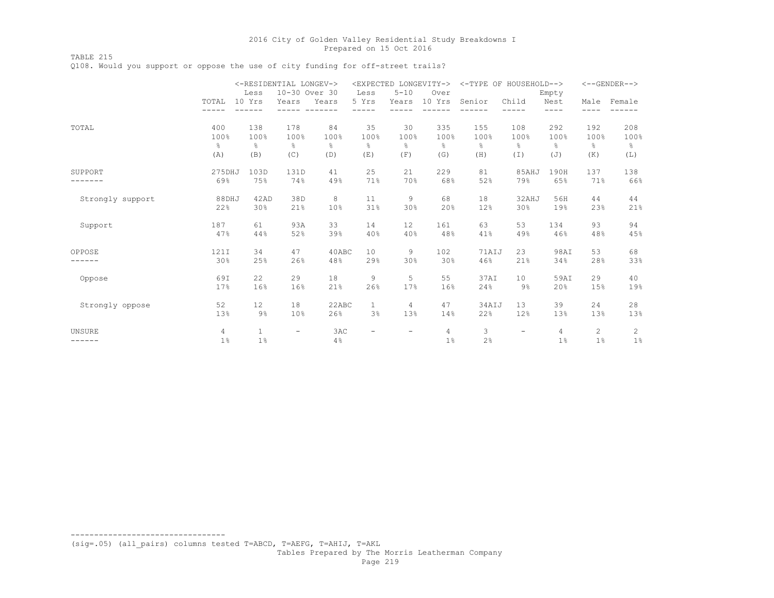TABLE 215

Q108. Would you support or oppose the use of city funding for off-street trails?

|                  |               |               | <-RESIDENTIAL LONGEV->   |               |                          | <expected longevity-=""></expected> |        |               | <-TYPE OF HOUSEHOLD--> |               |               | $<-$ -GENDER--> |
|------------------|---------------|---------------|--------------------------|---------------|--------------------------|-------------------------------------|--------|---------------|------------------------|---------------|---------------|-----------------|
|                  |               | Less          | 10-30 Over 30            |               | Less                     | $5 - 10$                            | Over   |               |                        | Empty         |               |                 |
|                  | TOTAL         | 10 Yrs        | Years                    | Years         | 5 Yrs                    | Years                               | 10 Yrs | Senior        | Child                  | Nest          | Male          | Female          |
|                  |               |               |                          |               |                          |                                     |        |               |                        | ----          | ----          |                 |
| TOTAL            | 400           | 138           | 178                      | 84            | 35                       | 30                                  | 335    | 155           | 108                    | 292           | 192           | 208             |
|                  | 100%          | 100%          | 100%                     | 100%          | 100%                     | 100%                                | 100%   | 100%          | 100%                   | 100%          | 100%          | 100%            |
|                  | $\frac{6}{5}$ | $\frac{6}{6}$ | $\frac{6}{6}$            | $\frac{6}{6}$ | 옹                        | $\frac{6}{6}$                       | န္     | $\frac{6}{5}$ | $\frac{6}{6}$          | $\frac{6}{6}$ | $\frac{6}{6}$ | $\frac{6}{6}$   |
|                  | (A)           | (B)           | (C)                      | (D)           | (E)                      | (F)                                 | (G)    | (H)           | (I)                    | (J)           | (K)           | (L)             |
| SUPPORT          | 275DHJ        | 103D          | 131D                     | 41            | 25                       | 21                                  | 229    | 81            | 85AHJ                  | 190H          | 137           | 138             |
|                  | 69%           | 75%           | 74%                      | 49%           | 71%                      | 70%                                 | 68%    | 52%           | 79%                    | 65%           | 71%           | 66%             |
| Strongly support | 88DHJ         | 42AD          | 38D                      | 8             | 11                       | 9                                   | 68     | 18            | 32AHJ                  | 56H           | 44            | 44              |
|                  | 22%           | 30%           | 21%                      | 10%           | 31%                      | 30%                                 | 20%    | 12%           | 30%                    | 19%           | 23%           | 21%             |
| Support          | 187           | 61            | 93A                      | 33            | 14                       | $12 \overline{ }$                   | 161    | 63            | 53                     | 134           | 93            | 94              |
|                  | 47%           | 44%           | 52%                      | 39%           | 40%                      | 40%                                 | 48%    | 41%           | 49%                    | 46%           | 48%           | 45%             |
| OPPOSE           | 121I          | 34            | 47                       | 40ABC         | 10                       | 9                                   | 102    | 71AIJ         | 23                     | 98AI          | 53            | 68              |
|                  | 30%           | 25%           | 26%                      | 48%           | 29%                      | 30%                                 | 30%    | 46%           | 21%                    | 34%           | 28%           | 33%             |
| Oppose           | 69I           | 22            | 29                       | 18            | 9                        | 5                                   | 55     | 37AI          | 10                     | 59AI          | 29            | 40              |
|                  | 17%           | 16%           | 16%                      | 21%           | 26%                      | 17%                                 | 16%    | 24%           | $9\%$                  | 20%           | 15%           | 19%             |
| Strongly oppose  | 52            | 12            | 18                       | 22ABC         | $\mathbf{1}$             | $\overline{4}$                      | 47     | 34AIJ         | 13                     | 39            | 24            | 28              |
|                  | 13%           | $9\%$         | 10%                      | 26%           | 3%                       | 13%                                 | 14%    | 22%           | 12%                    | 13%           | 13%           | 13%             |
| <b>UNSURE</b>    | 4             | $\mathbf{1}$  | $\overline{\phantom{0}}$ | 3AC           | $\overline{\phantom{0}}$ | $\overline{\phantom{a}}$            | 4      | 3             | -                      | 4             | 2             | 2               |
| ------           | 1%            | 1%            |                          | 4%            |                          |                                     | $1\%$  | 2%            |                        | $1\%$         | $1\%$         | 1%              |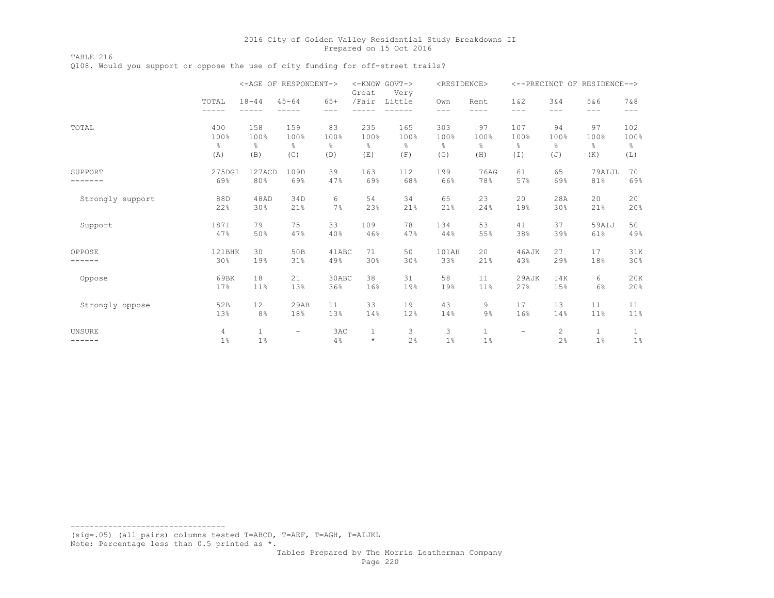TABLE 216 Q108. Would you support or oppose the use of city funding for off-street trails?

|                         |                | <-AGE OF RESPONDENT-> |                          |                | Great                   | <-KNOW GOVT-><br>Very | <residence></residence> |                       |                          |                | <--PRECINCT OF RESIDENCE--> |                       |
|-------------------------|----------------|-----------------------|--------------------------|----------------|-------------------------|-----------------------|-------------------------|-----------------------|--------------------------|----------------|-----------------------------|-----------------------|
|                         | TOTAL<br>----- | $18 - 44$<br>-----    | $45 - 64$                | $65+$<br>$---$ | /Fair                   | Little                | Own<br>---              | Rent<br>----          | $1\&2$<br>$---$          | 3&4<br>$---$   | 5&6<br>$---$                | 7 & 8<br>$---$        |
| TOTAL                   | 400            | 158                   | 159                      | 83             | 235                     | 165                   | 303                     | 97                    | 107                      | 94             | 97                          | 102                   |
|                         | 100%           | 100%                  | 100%                     | 100%           | 100%                    | 100%                  | 100%                    | 100%                  | 100%                     | 100%           | 100%                        | 100%                  |
|                         | $\frac{6}{6}$  | $\,$ %                | $\approx$                | e,             | 옹                       | $\frac{6}{5}$         | $\frac{6}{6}$           | $\frac{6}{6}$         | $\%$                     | $\frac{6}{10}$ | $\frac{6}{6}$               | $\frac{6}{6}$         |
|                         | (A)            | (B)                   | (C)                      | (D)            | (E)                     | (F)                   | (G)                     | (H)                   | $(\top)$                 | (J)            | (K)                         | (L)                   |
| SUPPORT                 | 275DGI         | 127ACD                | 109D                     | 39             | 163                     | 112                   | 199                     | 76AG                  | 61                       | 65             | 79AIJL                      | 70                    |
|                         | 69%            | 80%                   | 69%                      | 47%            | 69%                     | 68%                   | 66%                     | 78%                   | 57%                      | 69%            | 81%                         | 69%                   |
| Strongly support        | 88D            | 48AD                  | 34D                      | 6              | 54                      | 34                    | 65                      | 23                    | 20                       | 28A            | 20                          | 20                    |
|                         | 22%            | 30%                   | 21%                      | 7%             | 23%                     | 21%                   | 21%                     | 24%                   | 19%                      | 30%            | 21%                         | 20%                   |
| Support                 | 187I           | 79                    | 75                       | 33             | 109                     | 78                    | 134                     | 53                    | 41                       | 37             | 59AIJ                       | 50                    |
|                         | 47%            | 50%                   | 47%                      | 40%            | 46%                     | 47%                   | 44%                     | 55%                   | 38%                      | 39%            | 61%                         | 49%                   |
| OPPOSE                  | 121BHK         | 30                    | 50B                      | 41ABC          | 71                      | 50                    | 101AH                   | 20                    | 46AJK                    | 27             | 17                          | 31K                   |
|                         | 30%            | 19%                   | 31%                      | 49%            | 30%                     | 30%                   | 33%                     | 21%                   | 43%                      | 29%            | 18%                         | 30%                   |
| Oppose                  | 69BK           | 18                    | 21                       | 30ABC          | 38                      | 31                    | 58                      | 11                    | 29AJK                    | 14K            | 6                           | 20K                   |
|                         | 17%            | 11%                   | 13%                      | 36%            | 16%                     | 19%                   | 19%                     | 11%                   | 27%                      | 15%            | 6%                          | 20%                   |
| Strongly oppose         | 52B            | 12                    | 29AB                     | 11             | 33                      | 19                    | 43                      | 9                     | 17                       | 13             | 11                          | 11                    |
|                         | 13%            | 8 <sup>°</sup>        | 18%                      | 13%            | 14%                     | 12%                   | 14%                     | $9\%$                 | 16%                      | 14%            | 11%                         | 11%                   |
| <b>UNSURE</b><br>------ | 4<br>1%        | $\mathbf{1}$<br>1%    | $\overline{\phantom{m}}$ | 3AC<br>4%      | $\mathbf{1}$<br>$\star$ | 3<br>2%               | 3<br>1 <sup>°</sup>     | $\mathbf{1}$<br>$1\%$ | $\overline{\phantom{0}}$ | 2<br>2%        | $\mathbf{1}$<br>1%          | $\mathbf{1}$<br>$1\%$ |

(sig=.05) (all\_pairs) columns tested T=ABCD, T=AEF, T=AGH, T=AIJKL Note: Percentage less than 0.5 printed as \*.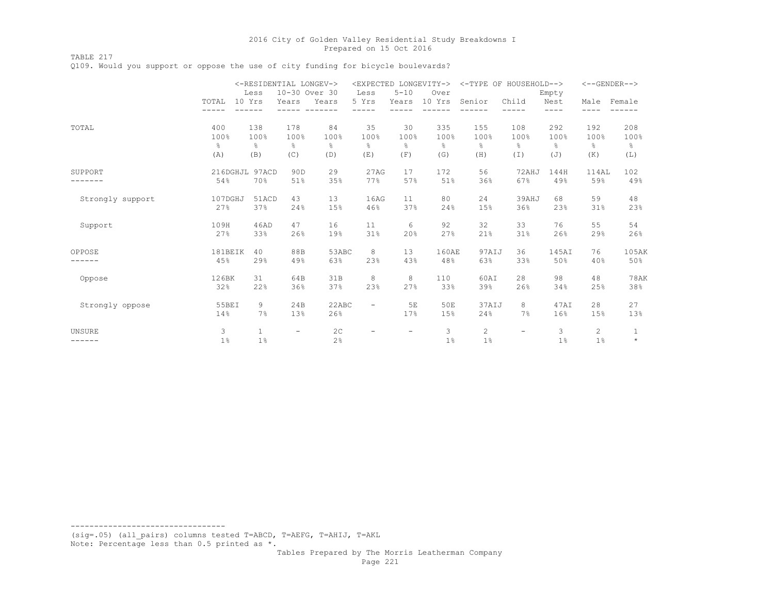TABLE 217

Q109. Would you support or oppose the use of city funding for bicycle boulevards?

|                         |                       | Less                  | <-RESIDENTIAL LONGEV-><br>10-30 Over 30 |                      | <expected longevity-=""><br/>Less</expected> | $5 - 10$                 | Over          | <-TYPE OF HOUSEHOLD--> |                          | Empty        |               | $<-$ -GENDER-->         |
|-------------------------|-----------------------|-----------------------|-----------------------------------------|----------------------|----------------------------------------------|--------------------------|---------------|------------------------|--------------------------|--------------|---------------|-------------------------|
|                         | TOTAL<br>10 Yrs       |                       | Years                                   | Years                | 5 Yrs                                        | Years                    | 10 Yrs        | Senior                 | Child                    | Nest<br>---- | Male<br>----  | Female                  |
| TOTAL                   | 400                   | 138                   | 178                                     | 84                   | 35                                           | 30                       | 335           | 155                    | 108                      | 292          | 192           | 208                     |
|                         | 100%                  | 100%                  | 100%                                    | 100%                 | 100%                                         | 100%                     | 100%          | 100%                   | 100%                     | 100%         | 100%          | 100%                    |
|                         | $\frac{6}{6}$         | $\frac{6}{6}$         | $\approx$                               | $\frac{6}{6}$        | $\frac{6}{10}$                               | $\frac{6}{5}$            | $\frac{6}{6}$ | $\frac{6}{6}$          | 옹                        | $\approx$    | $\frac{6}{6}$ | $\frac{6}{6}$           |
|                         | (A)                   | (B)                   | (C)                                     | (D)                  | (E)                                          | (F)                      | (G)           | (H)                    | $(\top)$                 | (J)          | (K)           | (L)                     |
| SUPPORT                 | 216DGHJL 97ACD<br>54% | 70%                   | 90 <sub>D</sub><br>51%                  | 29<br>35%            | 27AG<br>77%                                  | 17<br>57%                | 172<br>51%    | 56<br>36%              | 72AHJ<br>67%             | 144H<br>49%  | 114AL<br>59%  | 102<br>49%              |
| Strongly support        | 107DGHJ               | 51ACD                 | 43                                      | 13                   | 16AG                                         | 11                       | 80            | 24                     | 39AHJ                    | 68           | 59            | 48                      |
|                         | 27%                   | 37%                   | 24%                                     | 15%                  | 46%                                          | 37%                      | 24%           | 15%                    | 36%                      | 23%          | 31%           | 23%                     |
| Support                 | 109H                  | 46AD                  | 47                                      | 16                   | 11                                           | 6                        | 92            | 32                     | 33                       | 76           | 55            | 54                      |
|                         | 27%                   | 33%                   | 26%                                     | 19%                  | 31%                                          | 20%                      | 27%           | 21%                    | 31%                      | 26%          | 29%           | 26%                     |
| OPPOSE                  | 181BEIK               | 40                    | 88B                                     | 53ABC                | 8                                            | 13                       | 160AE         | 97AIJ                  | 36                       | 145AI        | 76            | 105AK                   |
|                         | 45%                   | 29%                   | 49%                                     | 63%                  | 23%                                          | 43%                      | 48%           | 63%                    | 33%                      | 50%          | 40%           | 50%                     |
| Oppose                  | 126BK                 | 31                    | 64B                                     | 31B                  | 8                                            | 8                        | 110           | 60AI                   | 28                       | 98           | 48            | <b>78AK</b>             |
|                         | 32%                   | 22%                   | 36%                                     | 37%                  | 23%                                          | 27%                      | 33%           | 39%                    | 26%                      | 34%          | 25%           | 38%                     |
| Strongly oppose         | 55BEI<br>14%          | 9<br>7%               | 24B<br>13%                              | 22ABC<br>26%         | $\overline{\phantom{a}}$                     | 5E<br>17%                | 50E<br>15%    | 37AIJ<br>24%           | 8<br>7%                  | 47AI<br>16%  | 28<br>15%     | 27<br>13%               |
| <b>UNSURE</b><br>------ | 3<br>$1\%$            | $\mathbf{1}$<br>$1\%$ | $\overline{\phantom{a}}$                | 2 <sup>c</sup><br>2% | $\overline{\phantom{a}}$                     | $\overline{\phantom{a}}$ | 3<br>$1\%$    | 2<br>1%                | $\overline{\phantom{0}}$ | 3<br>1%      | 2<br>1%       | $\mathbf{1}$<br>$\star$ |

(sig=.05) (all\_pairs) columns tested T=ABCD, T=AEFG, T=AHIJ, T=AKL Note: Percentage less than 0.5 printed as \*.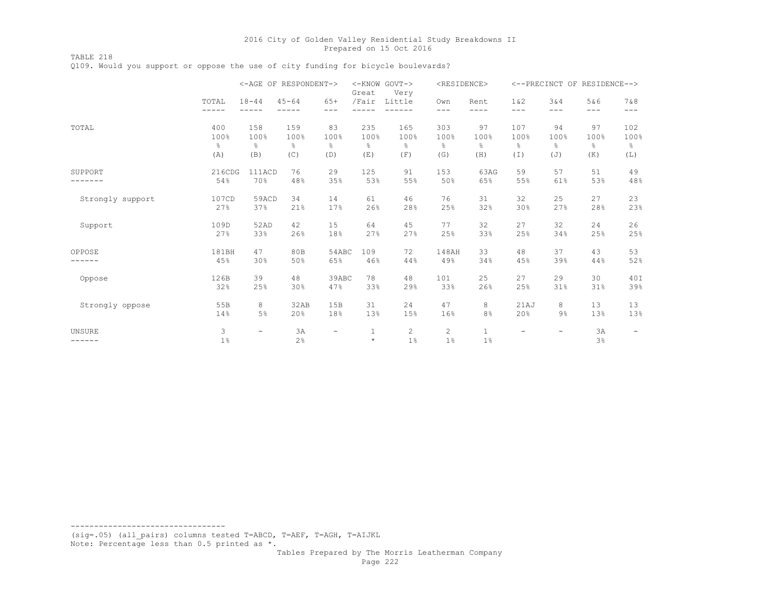TABLE 218 Q109. Would you support or oppose the use of city funding for bicycle boulevards?

|                         |                |                          | <-AGE OF RESPONDENT-> |                          | Great                   | <-KNOW GOVT-><br>Very   | <residence></residence> |                    |                          |                | <--PRECINCT OF RESIDENCE--> |                          |
|-------------------------|----------------|--------------------------|-----------------------|--------------------------|-------------------------|-------------------------|-------------------------|--------------------|--------------------------|----------------|-----------------------------|--------------------------|
|                         | TOTAL<br>----- | $18 - 44$<br>-----       | $45 - 64$             | $65+$<br>$---$           | /Fair                   | Little                  | Own<br>---              | Rent<br>----       | 1 & 2<br>$---$           | 3 & 4<br>$---$ | 5&6<br>$---$                | 7 & 8<br>$---$           |
| TOTAL                   | 400            | 158                      | 159                   | 83                       | 235                     | 165                     | 303                     | 97                 | 107                      | 94             | 97                          | 102                      |
|                         | 100%           | 100%                     | 100%                  | 100%                     | 100%                    | 100%                    | 100%                    | 100%               | 100%                     | 100%           | 100%                        | 100%                     |
|                         | $\frac{6}{5}$  | $\,$ %                   | $\approx$             | 옹                        | 옹                       | $\frac{6}{5}$           | $\frac{6}{6}$           | $\frac{6}{6}$      | $\%$                     | $\frac{6}{10}$ | $\%$                        | $\frac{6}{6}$            |
|                         | (A)            | (B)                      | (C)                   | (D)                      | (E)                     | (F)                     | (G)                     | (H)                | $(\top)$                 | (J)            | (K)                         | (L)                      |
| SUPPORT                 | 216CDG         | 111ACD                   | 76                    | 29                       | 125                     | 91                      | 153                     | 63AG               | 59                       | 57             | 51                          | 49                       |
|                         | 54%            | 70%                      | 48%                   | 35%                      | 53%                     | 55%                     | 50%                     | 65%                | 55%                      | 61%            | 53%                         | 48%                      |
| Strongly support        | 107CD          | 59ACD                    | 34                    | 14                       | 61                      | 46                      | 76                      | 31                 | 32                       | 25             | 27                          | 23                       |
|                         | 27%            | 37%                      | 21%                   | 17%                      | 26%                     | 28%                     | 25%                     | 32%                | 30%                      | 27%            | 28%                         | 23%                      |
| Support                 | 109D           | 52AD                     | 42                    | 15                       | 64                      | 45                      | 77                      | 32                 | 27                       | 32             | 24                          | 26                       |
|                         | 27%            | 33%                      | 26%                   | 18%                      | 27%                     | 27%                     | 25%                     | 33%                | 25%                      | 34%            | 25%                         | 25%                      |
| OPPOSE                  | 181BH          | 47                       | 80B                   | 54ABC                    | 109                     | 72                      | 148AH                   | 33                 | 48                       | 37             | 43                          | 53                       |
|                         | 45%            | 30%                      | 50%                   | 65%                      | 46%                     | 44%                     | 49%                     | 34%                | 45%                      | 39%            | 44%                         | 52%                      |
| Oppose                  | 126B           | 39                       | 48                    | 39ABC                    | 78                      | 48                      | 101                     | 25                 | 27                       | 29             | 30                          | 40I                      |
|                         | 32%            | 25%                      | 30%                   | 47%                      | 33%                     | 29%                     | 33%                     | 26%                | 25%                      | 31%            | 31%                         | 39%                      |
| Strongly oppose         | 55B            | 8                        | 32AB                  | 15B                      | 31                      | 24                      | 47                      | 8                  | 21AJ                     | 8              | 13                          | 13                       |
|                         | 14%            | 5%                       | 20%                   | 18%                      | 13%                     | 15%                     | 16%                     | 8%                 | 20%                      | $9\%$          | 13%                         | 13%                      |
| <b>UNSURE</b><br>------ | 3<br>1%        | $\overline{\phantom{a}}$ | 3A<br>2%              | $\overline{\phantom{m}}$ | $\mathbf{1}$<br>$\star$ | $\overline{c}$<br>$1\%$ | 2<br>1 <sup>°</sup>     | $\mathbf{1}$<br>1% | $\overline{\phantom{0}}$ | Ξ.             | 3A<br>3%                    | $\overline{\phantom{0}}$ |

(sig=.05) (all\_pairs) columns tested T=ABCD, T=AEF, T=AGH, T=AIJKL Note: Percentage less than 0.5 printed as \*.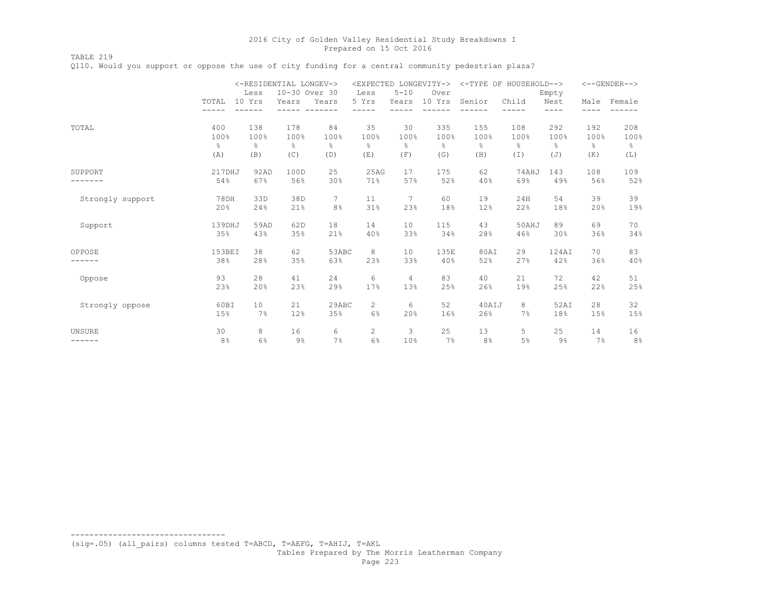TABLE 219

Q110. Would you support or oppose the use of city funding for a central community pedestrian plaza?

|                  |               | Less          | <-RESIDENTIAL LONGEV-><br>10-30 Over 30 |                | <expected longevity-=""><br/>Less</expected> | $5 - 10$       | Over          |                                 | <-TYPE OF HOUSEHOLD--> | Empty         |               | $<-$ -GENDER--> |
|------------------|---------------|---------------|-----------------------------------------|----------------|----------------------------------------------|----------------|---------------|---------------------------------|------------------------|---------------|---------------|-----------------|
|                  | TOTAL         | 10 Yrs        | Years                                   | Years          | 5 Yrs                                        | Years          | 10 Yrs        | Senior                          | Child                  | Nest<br>----  | Male<br>----  | Female          |
| TOTAL            | 400           | 138           | 178                                     | 84             | 35                                           | 30             | 335           | 155                             | 108                    | 292           | 192           | 208             |
|                  | 100%          | 100%          | 100%                                    | 100%           | 100%                                         | 100%           | 100%          | 100%                            | 100%                   | 100%          | 100%          | 100%            |
|                  | $\frac{6}{5}$ | $\frac{6}{6}$ | $\frac{6}{10}$                          | g.             | $\approx$                                    | $\frac{6}{5}$  | $\frac{6}{2}$ | $\frac{\mathsf{D}}{\mathsf{D}}$ | 옹                      | $\frac{6}{6}$ | $\frac{6}{6}$ | $\frac{6}{6}$   |
|                  | (A)           | (B)           | (C)                                     | (D)            | (E)                                          | (F)            | (G)           | (H)                             | $(\top)$               | (J)           | (K)           | (L)             |
| SUPPORT          | 217DHJ        | 92AD          | 100D                                    | 25             | 25AG                                         | 17             | 175           | 62                              | 74AHJ                  | 143           | 108           | 109             |
|                  | 54%           | 67%           | 56%                                     | 30%            | 71%                                          | 57%            | 52%           | 40%                             | 69%                    | 49%           | 56%           | 52%             |
| Strongly support | 78DH          | 33D           | 38D                                     | 7              | 11                                           | 7              | 60            | 19                              | 24H                    | 54            | 39            | 39              |
|                  | 20%           | 24%           | 21%                                     | 8 <sup>°</sup> | 31%                                          | 23%            | 18%           | 12%                             | 22%                    | 18%           | 20%           | 19%             |
| Support          | 139DHJ        | 59AD          | 62D                                     | 18             | 14                                           | 10             | 115           | 43                              | 50AHJ                  | 89            | 69            | 70              |
|                  | 35%           | 43%           | 35%                                     | 21%            | 40%                                          | 33%            | 34%           | 28%                             | 46%                    | 30%           | 36%           | 34%             |
| OPPOSE           | 153BEI        | 38            | 62                                      | 53ABC          | 8                                            | 10             | 135E          | 80AI                            | 29                     | 124AI         | 70            | 83              |
|                  | 38%           | 28%           | 35%                                     | 63%            | 23%                                          | 33%            | 40%           | 52%                             | 27%                    | 42%           | 36%           | 40%             |
| Oppose           | 93            | 28            | 41                                      | 24             | 6                                            | $\overline{4}$ | 83            | 40                              | 21                     | 72            | 42            | 51              |
|                  | 23%           | 20%           | 23%                                     | 29%            | 17%                                          | 13%            | 25%           | 26%                             | 19%                    | 25%           | 22%           | 25%             |
| Strongly oppose  | 60BI          | 10            | 21                                      | 29ABC          | $\mathbf{2}^{\prime}$                        | 6              | 52            | 40AIJ                           | 8                      | 52AI          | 28            | 32              |
|                  | 15%           | 7%            | 12%                                     | 35%            | 6%                                           | 20%            | 16%           | 26%                             | 7%                     | 18%           | 15%           | 15%             |
| UNSURE           | 30            | 8             | 16                                      | 6              | 2                                            | 3              | 25            | 13                              | 5.                     | 25            | 14            | 16              |
|                  | 8%            | 6%            | $9\%$                                   | 7%             | 6%                                           | 10%            | 7%            | 8%                              | 5%                     | $9\%$         | 7%            | 8%              |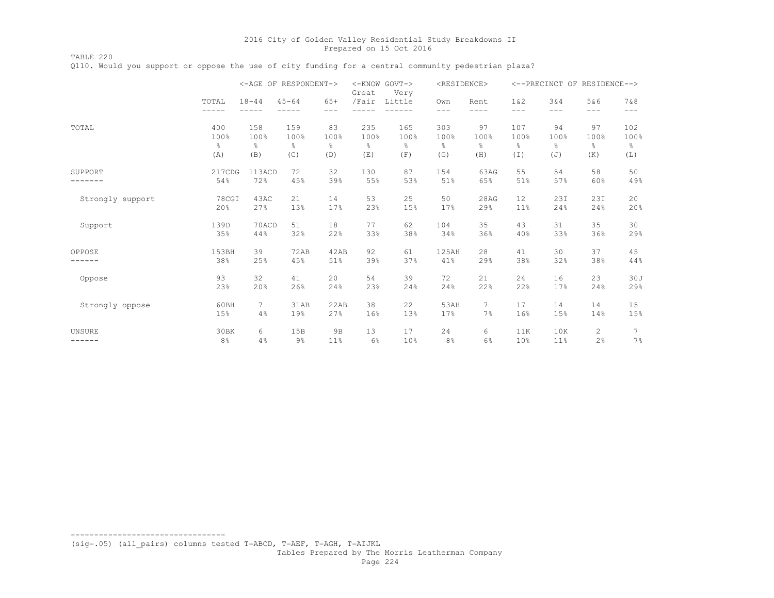TABLE 220 Q110. Would you support or oppose the use of city funding for a central community pedestrian plaza?

|                  |                | <-AGE OF RESPONDENT-> |               |               | <-KNOW GOVT-><br>Great | Very          | <residence></residence> |               |                 | <--PRECINCT OF RESIDENCE--> |              |               |
|------------------|----------------|-----------------------|---------------|---------------|------------------------|---------------|-------------------------|---------------|-----------------|-----------------------------|--------------|---------------|
|                  | TOTAL<br>----- | $18 - 44$<br>---      | $45 - 64$     | $65+$<br>---  | /Fair                  | Little        | Own<br>$---$            | Rent<br>----  | $1\&2$<br>$---$ | 3&4<br>$---$                | 5&6<br>$---$ | 7 & 8<br>---  |
| TOTAL            | 400            | 158                   | 159           | 83            | 235                    | 165           | 303                     | 97            | 107             | 94                          | 97           | 102           |
|                  | 100%           | 100%                  | 100%          | 100%          | 100%                   | 100%          | 100%                    | 100%          | 100%            | 100%                        | 100%         | 100%          |
|                  | g.             | 옹                     | $\frac{6}{5}$ | $\frac{6}{6}$ | 옹                      | $\frac{6}{6}$ | g.                      | $\frac{6}{5}$ | ⊱               | $\frac{6}{6}$               | g.           | $\frac{6}{6}$ |
|                  | (A)            | (B)                   | (C)           | (D)           | (E)                    | (F)           | (G)                     | (H)           | (I)             | (J)                         | (K)          | (L)           |
| SUPPORT          | 217CDG         | 113ACD                | 72            | 32            | 130                    | 87            | 154                     | 63AG          | 55              | 54                          | 58           | 50            |
|                  | 54%            | 72%                   | 45%           | 39%           | 55%                    | 53%           | 51%                     | 65%           | 51%             | 57%                         | 60%          | 49%           |
| Strongly support | 78CGI          | 43AC                  | 21            | 14            | 53                     | 25            | 50                      | 28AG          | 12              | 23I                         | 23I          | 20            |
|                  | 20%            | 27%                   | 13%           | 17%           | 23%                    | 15%           | 17%                     | 29%           | 11%             | 24%                         | 24%          | 20%           |
| Support          | 139D           | 70ACD                 | 51            | 18            | 77                     | 62            | 104                     | 35            | 43              | 31                          | 35           | 30            |
|                  | 35%            | 44%                   | 32%           | 22%           | 33%                    | 38%           | 34%                     | 36%           | 40%             | 33%                         | 36%          | 29%           |
| OPPOSE           | 153BH          | 39                    | 72AB          | 42AB          | 92                     | 61            | 125AH                   | 28            | 41              | 30                          | 37           | 45            |
|                  | 38%            | 25%                   | 45%           | 51%           | 39%                    | 37%           | 41%                     | 29%           | 38%             | 32%                         | 38%          | 44%           |
| Oppose           | 93             | 32                    | 41            | 20            | 54                     | 39            | 72                      | 21            | 24              | 16                          | 23           | 30J           |
|                  | 23%            | 20%                   | 26%           | 24%           | 23%                    | 24%           | 24%                     | 22%           | 22%             | 17%                         | 24%          | 29%           |
| Strongly oppose  | 60BH           | 7                     | 31AB          | 22AB          | 38                     | 22            | 53AH                    | 7             | 17              | 14                          | 14           | 15            |
|                  | 15%            | 4%                    | 19%           | 27%           | 16%                    | 13%           | 17%                     | 7%            | 16%             | 15%                         | 14%          | 15%           |
| <b>UNSURE</b>    | 30BK           | 6                     | 15B           | 9B            | 13                     | 17            | 24                      | 6             | 11K             | 10K                         | 2            | 7             |
| ------           | 8%             | 4%                    | $9\%$         | 11%           | 6%                     | 10%           | 8%                      | 6%            | 10%             | 11%                         | 2%           | 7%            |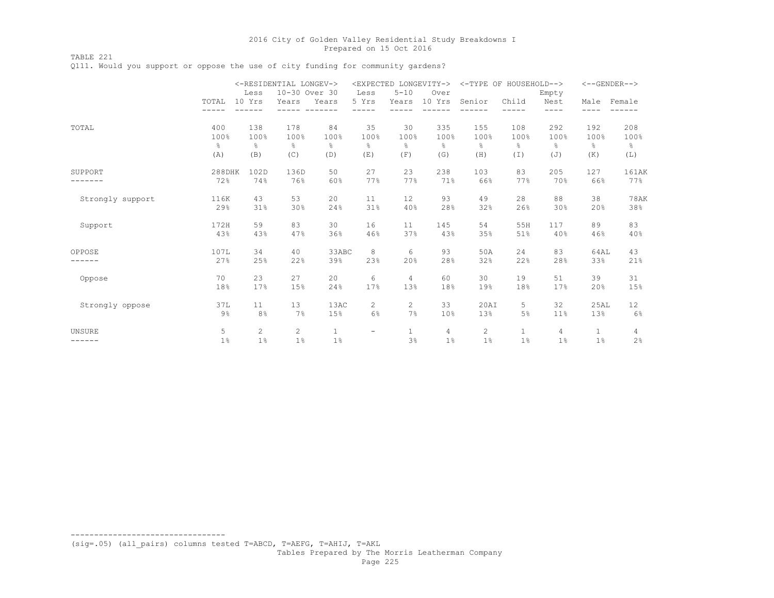TABLE 221

Q111. Would you support or oppose the use of city funding for community gardens?

|                  |               | Less                  | <-RESIDENTIAL LONGEV-><br>10-30 Over 30 |               | Less                            | <expected longevity-=""><br/><math>5 - 10</math></expected> | Over           |               | <-TYPE OF HOUSEHOLD--> | Empty        |              | $<-$ -GENDER--> |
|------------------|---------------|-----------------------|-----------------------------------------|---------------|---------------------------------|-------------------------------------------------------------|----------------|---------------|------------------------|--------------|--------------|-----------------|
|                  | TOTAL         | 10 Yrs                | Years                                   | Years         | 5 Yrs                           | Years                                                       | 10 Yrs         | Senior        | Child                  | Nest<br>---- |              | Male Female     |
| TOTAL            | 400           | 138                   | 178                                     | 84            | 35                              | 30                                                          | 335            | 155           | 108                    | 292          | 192          | 208             |
|                  | 100%          | 100%                  | 100%                                    | 100%          | 100%                            | 100%                                                        | 100%           | 100%          | 100%                   | 100%         | 100%         | 100%            |
|                  | $\frac{6}{6}$ | $\frac{6}{6}$         | e.                                      | $\frac{6}{6}$ | $\frac{\mathsf{o}}{\mathsf{o}}$ | $\frac{6}{5}$                                               | $\frac{6}{6}$  | $\frac{6}{6}$ | $\%$                   | $\approx$    | g.           | $\frac{6}{6}$   |
|                  | (A)           | (B)                   | (C)                                     | (D)           | (E)                             | (F)                                                         | (G)            | (H)           | (I)                    | (J)          | (K)          | (L)             |
| SUPPORT          | 288DHK        | 102D                  | 136D                                    | 50            | 27                              | 23                                                          | 238            | 103           | 83                     | 205          | 127          | 161AK           |
|                  | 72%           | 74%                   | 76%                                     | 60%           | 77%                             | 77%                                                         | 71%            | 66%           | 77%                    | 70%          | 66%          | 77%             |
| Strongly support | 116K          | 43                    | 53                                      | 20            | 11                              | 12                                                          | 93             | 49            | 28                     | 88           | 38           | <b>78AK</b>     |
|                  | 29%           | 31%                   | 30%                                     | 24%           | 31%                             | 40%                                                         | 28%            | 32%           | 26%                    | 30%          | 20%          | 38%             |
| Support          | 172H          | 59                    | 83                                      | 30            | 16                              | 11                                                          | 145            | 54            | 55H                    | 117          | 89           | 83              |
|                  | 43%           | 43%                   | 47%                                     | 36%           | 46%                             | 37%                                                         | 43%            | 35%           | 51%                    | 40%          | 46%          | 40%             |
| OPPOSE           | 107L          | 34                    | 40                                      | 33ABC         | 8                               | 6                                                           | 93             | 50A           | 24                     | 83           | 64AL         | 43              |
|                  | 27%           | 25%                   | 22%                                     | 39%           | 23%                             | 20%                                                         | 28%            | 32%           | 22%                    | 28%          | 33%          | 21%             |
| Oppose           | 70            | 23                    | 27                                      | 20            | 6                               | $\overline{4}$                                              | 60             | 30            | 19                     | 51           | 39           | 31              |
|                  | 18%           | 17%                   | 15%                                     | 24%           | 17%                             | 13%                                                         | 18%            | 19%           | 18%                    | 17%          | 20%          | 15%             |
| Strongly oppose  | 37L           | 11                    | 13                                      | 13AC          | $\overline{2}$                  | 2                                                           | 33             | 20AI          | 5                      | 32           | 25AL         | 12 <sup>°</sup> |
|                  | $9\%$         | 8%                    | 7%                                      | 15%           | 6%                              | 7%                                                          | 10%            | 13%           | 5%                     | 11%          | 13%          | 6%              |
| <b>UNSURE</b>    | 5             | $\mathbf{2}^{\prime}$ | 2                                       | $\mathbf{1}$  | $\overline{\phantom{0}}$        | $\mathbf{1}$                                                | 4              | $\mathbf{2}$  | $\mathbf{1}$           | 4            | $\mathbf{1}$ | 4               |
| ------           | 1%            | 1 <sup>°</sup>        | 1%                                      | $1\%$         |                                 | 3%                                                          | 1 <sup>°</sup> | $1\%$         | 1 <sup>°</sup>         | $1\%$        | $1\%$        | 2%              |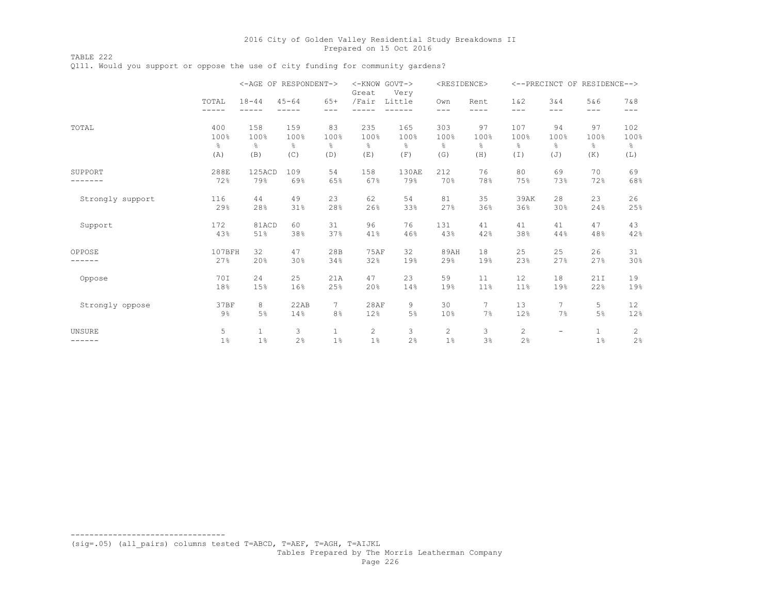TABLE 222 Q111. Would you support or oppose the use of city funding for community gardens?

|                  |                | <-AGE OF RESPONDENT-> |                                 |                | <-KNOW GOVT-><br>Great | Very            | <residence></residence> |               |                  |                | <--PRECINCT OF RESIDENCE--> |                |
|------------------|----------------|-----------------------|---------------------------------|----------------|------------------------|-----------------|-------------------------|---------------|------------------|----------------|-----------------------------|----------------|
|                  | TOTAL<br>----- | $18 - 44$<br>-----    | $45 - 64$<br>---                | $65+$<br>$---$ | /Fair                  | Little<br>$---$ | Own<br>$---$            | Rent<br>----  | 1 & 2<br>$- - -$ | 3&4<br>$---$   | 5&6<br>$- - -$              | 7 & 8<br>$---$ |
| TOTAL            | 400            | 158                   | 159                             | 83             | 235                    | 165             | 303                     | 97            | 107              | 94             | 97                          | 102            |
|                  | 100%           | 100%                  | 100%                            | 100%           | 100%                   | 100%            | 100%                    | 100%          | 100%             | 100%           | 100%                        | 100%           |
|                  | g.             | $\frac{6}{6}$         | $\frac{\mathsf{D}}{\mathsf{D}}$ | $\frac{6}{6}$  | $\frac{6}{6}$          | 옹               | $\frac{6}{6}$           | $\frac{6}{6}$ | 옹                | $\frac{6}{10}$ | $\%$                        | $\frac{6}{5}$  |
|                  | (A)            | (B)                   | (C)                             | (D)            | (E)                    | (F)             | (G)                     | (H)           | $(\top)$         | (J)            | (K)                         | (L)            |
| SUPPORT          | 288E           | 125ACD                | 109                             | 54             | 158                    | 130AE           | 212                     | 76            | 80               | 69             | 70                          | 69             |
| ----             | 72%            | 79%                   | 69%                             | 65%            | 67%                    | 79%             | 70%                     | 78%           | 75%              | 73%            | 72%                         | 68%            |
| Strongly support | 116            | 44                    | 49                              | 23             | 62                     | 54              | 81                      | 35            | 39AK             | 28             | 23                          | 26             |
|                  | 29%            | 28%                   | 31%                             | 28%            | 26%                    | 33%             | 27%                     | 36%           | 36%              | 30%            | 24%                         | 25%            |
| Support          | 172            | 81ACD                 | 60                              | 31             | 96                     | 76              | 131                     | 41            | 41               | 41             | 47                          | 43             |
|                  | 43%            | 51%                   | 38%                             | 37%            | 41%                    | 46%             | 43%                     | 42%           | 38%              | 44%            | 48%                         | 42%            |
| OPPOSE           | 107BFH         | 32                    | 47                              | 28B            | <b>75AF</b>            | 32              | 89AH                    | 18            | 25               | 25             | 26                          | 31             |
|                  | 27%            | 20%                   | 30%                             | 34%            | 32%                    | 19%             | 29%                     | 19%           | 23%              | 27%            | 27%                         | 30%            |
| Oppose           | 70I            | 24                    | 25                              | 21A            | 47                     | 23              | 59                      | 11            | 12               | 18             | 21I                         | 19             |
|                  | 18%            | 15%                   | 16%                             | 25%            | 20%                    | 14%             | 19%                     | 11%           | 11%              | 19%            | 22%                         | 19%            |
| Strongly oppose  | 37BF           | 8                     | 22AB                            | 7              | 28AF                   | 9               | 30                      | 7             | 13               | 7              | 5                           | 12             |
|                  | $9\%$          | 5%                    | 14%                             | 8%             | 12%                    | 5%              | 10%                     | 7%            | 12%              | 7%             | 5%                          | 12%            |
| UNSURE           | 5              | $\mathbf{1}$          | 3                               | $\mathbf{1}$   | 2                      | 3               | 2                       | 3             | 2                | -              | $\mathbf{1}$                | 2              |
| ------           | $1\%$          | $1\%$                 | 2%                              | $1\%$          | 1%                     | 2%              | 1%                      | 3%            | 2%               |                | 1%                          | 2%             |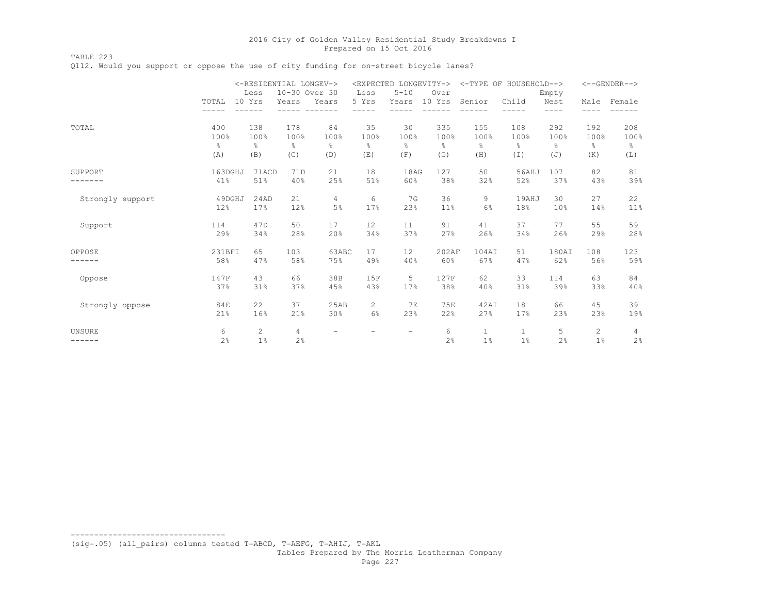TABLE 223

Q112. Would you support or oppose the use of city funding for on-street bicycle lanes?

|                  |               | <-RESIDENTIAL LONGEV-> |               |                          |               | <expected longevity-=""></expected> |        |               | <-TYPE OF HOUSEHOLD--> |               |              | $<-$ -GENDER--> |
|------------------|---------------|------------------------|---------------|--------------------------|---------------|-------------------------------------|--------|---------------|------------------------|---------------|--------------|-----------------|
|                  |               | Less                   | 10-30 Over 30 |                          | Less          | $5 - 10$                            | Over   |               |                        | Empty         |              |                 |
|                  | TOTAL         | 10 Yrs                 | Years         | Years                    | 5 Yrs         | Years                               | 10 Yrs | Senior        | Child                  | Nest<br>----  | Male<br>---- | Female          |
|                  |               |                        |               |                          |               |                                     |        |               |                        |               |              |                 |
| TOTAL            | 400           | 138                    | 178           | 84                       | 35            | 30                                  | 335    | 155           | 108                    | 292           | 192          | 208             |
|                  | 100%          | 100%                   | 100%          | 100%                     | 100%          | 100%                                | 100%   | 100%          | 100%                   | 100%          | 100%         | 100%            |
|                  | $\frac{6}{6}$ | g.                     | $\frac{6}{6}$ | 옹                        | $\frac{6}{5}$ | g.                                  | ⊱      | $\frac{6}{6}$ | 응                      | $\frac{6}{5}$ | g.           | ⊱               |
|                  | (A)           | (B)                    | (C)           | (D)                      | (E)           | (F)                                 | (G)    | (H)           | (I)                    | (J)           | (K)          | (L)             |
| SUPPORT          | 163DGHJ       | 71ACD                  | 71D           | 21                       | 18            | 18AG                                | 127    | 50            | 56AHJ                  | 107           | 82           | 81              |
|                  | 41%           | 51%                    | 40%           | 25%                      | 51%           | 60%                                 | 38%    | 32%           | 52%                    | 37%           | 43%          | 39%             |
| Strongly support | 49DGHJ        | 24AD                   | 21            | 4                        | 6             | 7G                                  | 36     | 9             | 19AHJ                  | 30            | 27           | 22              |
|                  | 12%           | 17%                    | 12%           | 5%                       | 17%           | 23%                                 | 11%    | 6%            | 18%                    | 10%           | 14%          | 11%             |
| Support          | 114           | 47D                    | 50            | 17                       | 12            | 11                                  | 91     | 41            | 37                     | 77            | 55           | 59              |
|                  | 29%           | 34%                    | 28%           | 20%                      | 34%           | 37%                                 | 27%    | 26%           | 34%                    | 26%           | 29%          | 28%             |
| OPPOSE           | 231BFI        | 65                     | 103           | 63ABC                    | 17            | 12                                  | 202AF  | 104AI         | 51                     | 180AI         | 108          | 123             |
|                  | 58%           | 47%                    | 58%           | 75%                      | 49%           | 40%                                 | 60%    | 67%           | 47%                    | 62%           | 56%          | 59%             |
| Oppose           | 147F          | 43                     | 66            | 38B                      | 15F           | 5                                   | 127F   | 62            | 33                     | 114           | 63           | 84              |
|                  | 37%           | 31%                    | 37%           | 45%                      | 43%           | 17%                                 | 38%    | 40%           | 31%                    | 39%           | 33%          | 40%             |
| Strongly oppose  | 84E           | 22                     | 37            | 25AB                     | 2             | 7 <sub>F</sub>                      | 75E    | 42AI          | 18                     | 66            | 45           | 39              |
|                  | 21%           | 16%                    | 21%           | 30%                      | 6%            | 23%                                 | 22%    | 27%           | 17%                    | 23%           | 23%          | 19%             |
| <b>UNSURE</b>    | 6             | $\mathbf{2}^{\prime}$  | 4             | $\overline{\phantom{a}}$ | -             | $\overline{\phantom{0}}$            | 6      | $\mathbf{1}$  | $\mathbf{1}$           | 5             | 2            | 4               |
| ------           | 2%            | 1 <sup>°</sup>         | 2%            |                          |               |                                     | 2%     | $1\%$         | 1%                     | 2%            | 1%           | 2%              |

(sig=.05) (all\_pairs) columns tested T=ABCD, T=AEFG, T=AHIJ, T=AKL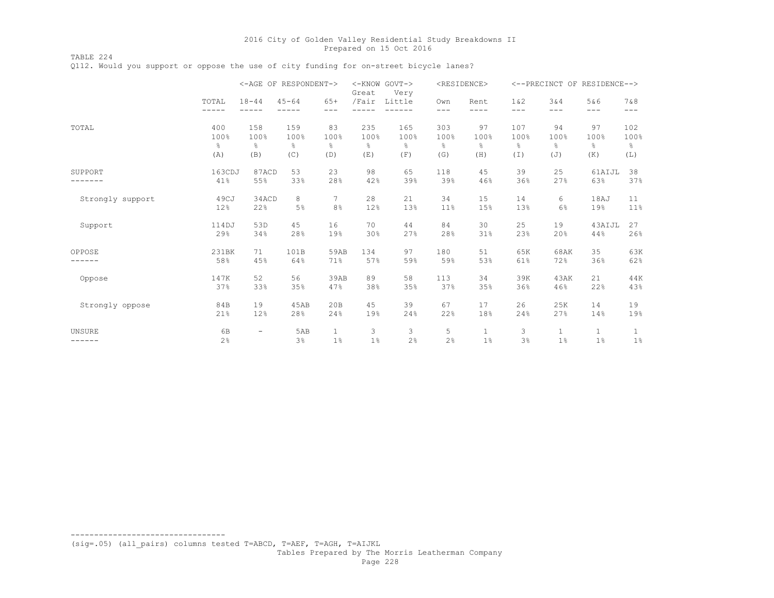TABLE 224 Q112. Would you support or oppose the use of city funding for on-street bicycle lanes?

|                  |                | <-AGE OF RESPONDENT->    |               |                | <-KNOW GOVT-><br>Great | Very   |                | <residence></residence> |                |                | <--PRECINCT OF RESIDENCE--> |                |
|------------------|----------------|--------------------------|---------------|----------------|------------------------|--------|----------------|-------------------------|----------------|----------------|-----------------------------|----------------|
|                  | TOTAL<br>----- | $18 - 44$<br>-----       | $45 - 64$     | $65+$<br>---   | /Fair                  | Little | Own<br>$- - -$ | Rent<br>----            | 1 & 2<br>$---$ | 3 & 4<br>$---$ | 5&6<br>---                  | 7 & 8<br>$---$ |
| TOTAL            | 400            | 158                      | 159           | 83             | 235                    | 165    | 303            | 97                      | 107            | 94             | 97                          | 102            |
|                  | 100%           | 100%                     | 100%          | 100%           | 100%                   | 100%   | 100%           | 100%                    | 100%           | 100%           | 100%                        | 100%           |
|                  | $\frac{6}{6}$  | 옹                        | $\frac{6}{5}$ | 옹              | 옹                      | g      | g.             | $\frac{6}{5}$           | 옹              | $\frac{6}{5}$  | $\frac{6}{6}$               | $\frac{6}{6}$  |
|                  | (A)            | (B)                      | (C)           | (D)            | (E)                    | (F)    | (G)            | (H)                     | (I)            | (J)            | (K)                         | (L)            |
| SUPPORT          | 163CDJ         | 87ACD                    | 53            | 23             | 98                     | 65     | 118            | 45                      | 39             | 25             | 61AIJL                      | 38             |
|                  | 41%            | 55%                      | 33%           | 28%            | 42%                    | 39%    | 39%            | 46%                     | 36%            | 27%            | 63%                         | 37%            |
| Strongly support | 49CJ           | 34ACD                    | 8             | 7              | 28                     | 21     | 34             | 15                      | 14             | 6              | 18AJ                        | 11             |
|                  | 12%            | 22%                      | 5%            | 8 <sup>°</sup> | 12%                    | 13%    | 11%            | 15%                     | 13%            | 6%             | 19%                         | 11%            |
| Support          | 114DJ          | 53D                      | 45            | 16             | 70                     | 44     | 84             | 30                      | 25             | 19             | 43AIJL                      | 27             |
|                  | 29%            | 34%                      | 28%           | 19%            | 30%                    | 27%    | 28%            | 31%                     | 23%            | 20%            | 44%                         | 26%            |
| OPPOSE           | 231BK          | 71                       | 101B          | 59AB           | 134                    | 97     | 180            | 51                      | 65K            | 68AK           | 35                          | 63K            |
|                  | 58%            | 45%                      | 64%           | 71%            | 57%                    | 59%    | 59%            | 53%                     | 61%            | 72%            | 36%                         | 62%            |
| Oppose           | 147K           | 52                       | 56            | 39AB           | 89                     | 58     | 113            | 34                      | 39K            | 43AK           | 21                          | 44K            |
|                  | 37%            | 33%                      | 35%           | 47%            | 38%                    | 35%    | 37%            | 35%                     | 36%            | 46%            | 22%                         | 43%            |
| Strongly oppose  | 84B            | 19                       | 45AB          | 20B            | 45                     | 39     | 67             | 17                      | 26             | 25K            | 14                          | 19             |
|                  | 21%            | 12%                      | 28%           | 24%            | 19%                    | 24%    | 22%            | 18%                     | 24%            | 27%            | 14%                         | 19%            |
| <b>UNSURE</b>    | 6 <sub>B</sub> | $\overline{\phantom{a}}$ | 5AB           | $\mathbf{1}$   | 3                      | 3      | 5              | $\mathbf{1}$            | 3              | $\mathbf{1}$   | $\mathbf{1}$                | $\mathbf{1}$   |
| ------           | 2%             |                          | 3%            | $1\%$          | 1%                     | 2%     | 2%             | $1\%$                   | 3%             | 1%             | 1%                          | $1\%$          |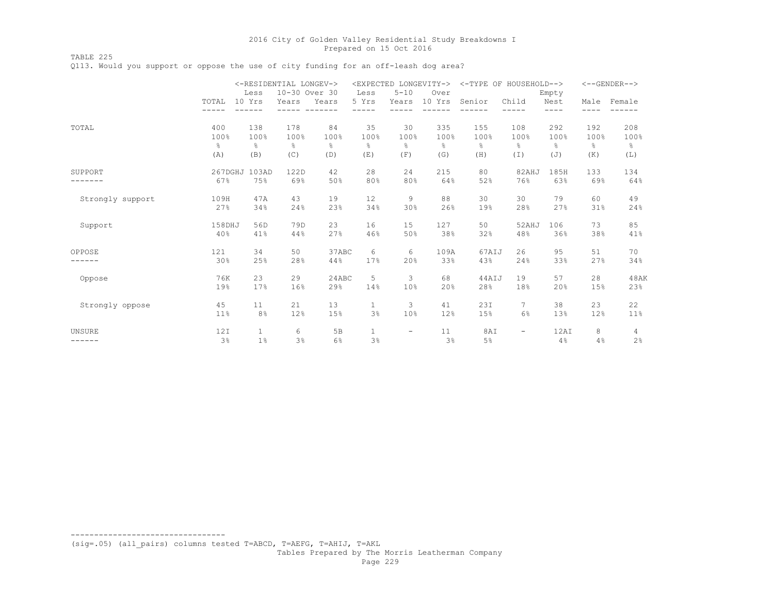TABLE 225

Q113. Would you support or oppose the use of city funding for an off-leash dog area?

|                  |               | <-RESIDENTIAL LONGEV-> |               |                |              | <expected longevity-=""></expected> |        |               | <-TYPE OF HOUSEHOLD-->   |           |      | $<-$ -GENDER--> |
|------------------|---------------|------------------------|---------------|----------------|--------------|-------------------------------------|--------|---------------|--------------------------|-----------|------|-----------------|
|                  |               | Less                   | 10-30 Over 30 |                | Less         | $5 - 10$                            | Over   |               |                          | Empty     |      |                 |
|                  | TOTAL         | 10 Yrs                 | Years         | Years          | 5 Yrs        | Years                               | 10 Yrs | Senior        | Child                    | Nest      | Male | Female          |
|                  |               |                        |               |                |              |                                     |        |               |                          | ----      |      |                 |
| TOTAL            | 400           | 138                    | 178           | 84             | 35           | 30                                  | 335    | 155           | 108                      | 292       | 192  | 208             |
|                  | 100%          | 100%                   | 100%          | 100%           | 100%         | 100%                                | 100%   | 100%          | 100%                     | 100%      | 100% | 100%            |
|                  | $\frac{6}{6}$ | $\frac{6}{6}$          | $\approx$     | $\frac{6}{6}$  | g.           | g.                                  | g.     | $\frac{6}{6}$ | $\frac{6}{6}$            | $\approx$ | g.   | $\frac{6}{6}$   |
|                  | (A)           | (B)                    | (C)           | (D)            | (E)          | (F)                                 | (G)    | (H)           | $(\top)$                 | (J)       | (K)  | (L)             |
| SUPPORT          | 267DGHJ       | 103AD                  | 122D          | 42             | 28           | 24                                  | 215    | 80            | 82AHJ                    | 185H      | 133  | 134             |
|                  | 67%           | 75%                    | 69%           | 50%            | 80%          | 80%                                 | 64%    | 52%           | 76%                      | 63%       | 69%  | 64%             |
| Strongly support | 109H          | 47A                    | 43            | 19             | 12           | 9                                   | 88     | 30            | 30                       | 79        | 60   | 49              |
|                  | 27%           | 34%                    | 24%           | 23%            | 34%          | 30%                                 | 26%    | 19%           | 28%                      | 27%       | 31%  | 24%             |
| Support          | 158DHJ        | 56D                    | 79D           | 23             | 16           | 15                                  | 127    | 50            | 52AHJ                    | 106       | 73   | 85              |
|                  | 40%           | 41%                    | 44%           | 27%            | 46%          | 50%                                 | 38%    | 32%           | 48%                      | 36%       | 38%  | 41%             |
| OPPOSE           | 121           | 34                     | 50            | 37ABC          | 6            | 6                                   | 109A   | 67AIJ         | 26                       | 95        | 51   | 70              |
|                  | 30%           | 25%                    | 28%           | 44%            | 17%          | 20%                                 | 33%    | 43%           | 24%                      | 33%       | 27%  | 34%             |
| Oppose           | 76K           | 23                     | 29            | 24ABC          | 5            | 3                                   | 68     | 44AIJ         | 19                       | 57        | 28   | 48AK            |
|                  | 19%           | 17%                    | 16%           | 29%            | 14%          | 10%                                 | 20%    | 28%           | 18%                      | 20%       | 15%  | 23%             |
| Strongly oppose  | 45            | 11                     | 21            | 13             | $\mathbf{1}$ | 3                                   | 41     | 23I           |                          | 38        | 23   | 22              |
|                  | 11%           | 8%                     | 12%           | 15%            | 3%           | 10%                                 | 12%    | 15%           | $6\%$                    | 13%       | 12%  | 11%             |
| UNSURE           | 12I           | $\mathbf{1}$           | 6             | 5 <sub>B</sub> | $\mathbf{1}$ | $\overline{\phantom{a}}$            | 11     | 8AI           | $\overline{\phantom{a}}$ | 12AI      | 8    | 4               |
|                  | 3%            | 1 <sup>°</sup>         | 3%            | 6%             | 3%           |                                     | 3%     | 5%            |                          | 4%        | 4%   | 2%              |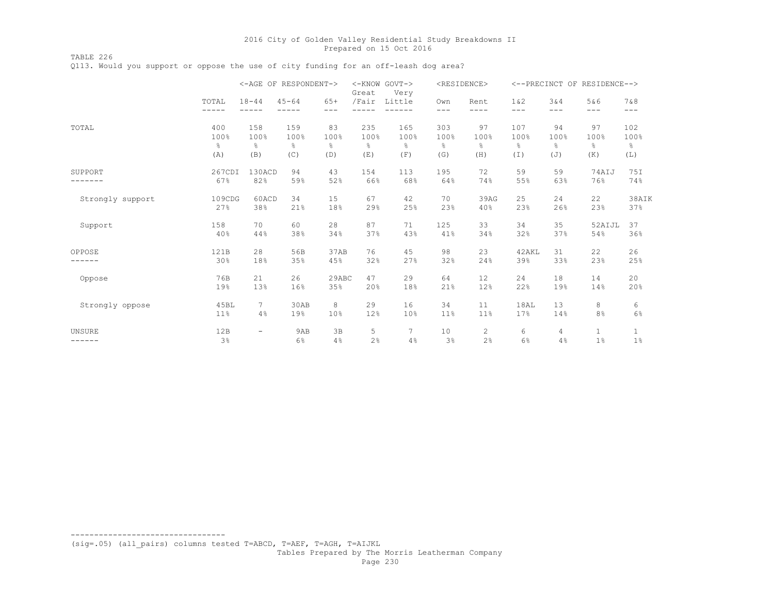TABLE 226 Q113. Would you support or oppose the use of city funding for an off-leash dog area?

|                  |                |                          | <-AGE OF RESPONDENT-> |                  | Great | <-KNOW GOVT-><br>Very |               | <residence></residence> |                |              | <--PRECINCT OF RESIDENCE--> |                  |
|------------------|----------------|--------------------------|-----------------------|------------------|-------|-----------------------|---------------|-------------------------|----------------|--------------|-----------------------------|------------------|
|                  | TOTAL<br>----- | $18 - 44$                | $45 - 64$             | $65+$<br>$- - -$ | /Fair | Little                | Own<br>$---$  | Rent<br>----            | 1 & 2<br>$---$ | 3&4<br>$---$ | 5&6<br>$- - -$              | 7 & 8<br>$- - -$ |
| TOTAL            | 400            | 158                      | 159                   | 83               | 235   | 165                   | 303           | 97                      | 107            | 94           | 97                          | 102              |
|                  | 100%           | 100%                     | 100%                  | 100%             | 100%  | 100%                  | 100%          | 100%                    | 100%           | 100%         | 100%                        | 100%             |
|                  | $\epsilon$     | $\frac{6}{6}$            | $\frac{6}{5}$         | $\frac{6}{6}$    | $\%$  | $\frac{6}{6}$         | $\frac{6}{6}$ | $\frac{6}{5}$           | $\frac{6}{6}$  | 옹            | g.                          | $\frac{6}{6}$    |
|                  | (A)            | (B)                      | (C)                   | (D)              | (E)   | (F)                   | (G)           | (H)                     | (I)            | (J)          | (K)                         | (L)              |
| SUPPORT          | 267CDI         | 130ACD                   | 94                    | 43               | 154   | 113                   | 195           | 72                      | 59             | 59           | 74AIJ                       | 75I              |
|                  | 67%            | 82%                      | 59%                   | 52%              | 66%   | 68%                   | 64%           | 74%                     | 55%            | 63%          | 76%                         | 74%              |
| Strongly support | 109CDG         | 60ACD                    | 34                    | 15               | 67    | 42                    | 70            | 39AG                    | 25             | 24           | 22                          | 38AIK            |
|                  | 27%            | 38%                      | 21%                   | 18%              | 29%   | 25%                   | 23%           | 40%                     | 23%            | 26%          | 23%                         | 37%              |
| Support          | 158            | 70                       | 60                    | 28               | 87    | 71                    | 125           | 33                      | 34             | 35           | 52AIJL                      | 37               |
|                  | 40%            | 44%                      | 38%                   | 34%              | 37%   | 43%                   | 41%           | 34%                     | 32%            | 37%          | 54%                         | 36%              |
| OPPOSE           | 121B           | 28                       | 56B                   | 37AB             | 76    | 45                    | 98            | 23                      | 42AKL          | 31           | 22                          | 26               |
| -----            | 30%            | 18%                      | 35%                   | 45%              | 32%   | 27%                   | 32%           | 24%                     | 39%            | 33%          | 23%                         | 25%              |
| Oppose           | 76B            | 21                       | 26                    | 29ABC            | 47    | 29                    | 64            | 12                      | 24             | 18           | 14                          | 20               |
|                  | 19%            | 13%                      | 16%                   | 35%              | 20%   | 18%                   | 21%           | 12%                     | 22%            | 19%          | 14%                         | 20%              |
| Strongly oppose  | 45BL           | $\overline{7}$           | 30AB                  | 8                | 29    | 16                    | 34            | 11                      | 18AL           | 13           | 8                           | 6                |
|                  | 11%            | 4%                       | 19%                   | 10%              | 12%   | 10%                   | 11%           | 11%                     | 17%            | 14%          | 8%                          | 6%               |
| <b>UNSURE</b>    | 12B            | $\overline{\phantom{a}}$ | 9AB                   | 3B               | 5     | 7                     | 10            | 2                       | 6              | 4            | $\mathbf{1}$                | $\mathbf{1}$     |
| ------           | 3%             |                          | 6%                    | 4%               | 2%    | 4%                    | 3%            | 2%                      | 6%             | 4%           | 1%                          | 1 <sup>°</sup>   |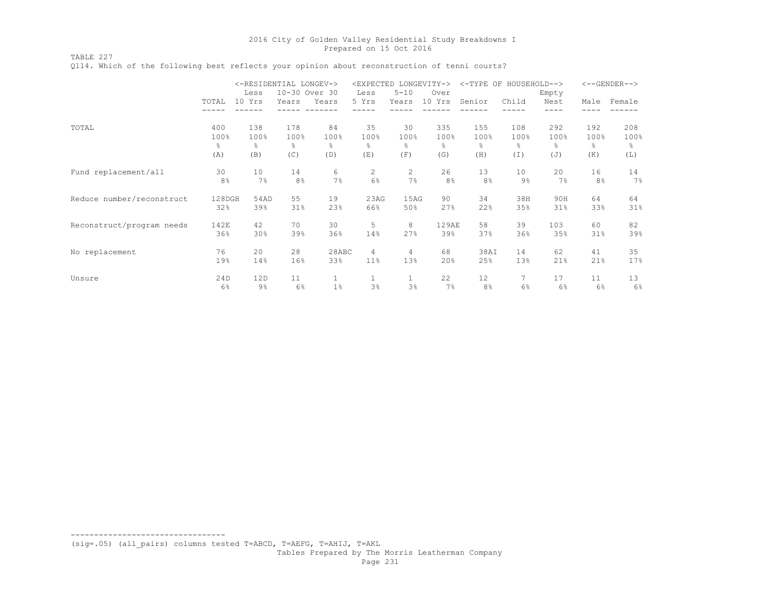TABLE 227

Q114. Which of the following best reflects your opinion about reconstruction of tenni courts?

|                           |        | Less   | <-RESIDENTIAL LONGEV-><br>10-30 Over 30 |       | Less  | <expected longevity-=""><br/><math>5 - 10</math></expected> | Over           | $<$ -TYPE OF   | HOUSEHOLD--> | Empty |                | $<-$ -GENDER--> |
|---------------------------|--------|--------|-----------------------------------------|-------|-------|-------------------------------------------------------------|----------------|----------------|--------------|-------|----------------|-----------------|
|                           | TOTAL  | 10 Yrs | Years                                   | Years | 5 Yrs | Years                                                       | 10 Yrs         | Senior         | Child        | Nest  | Male           | Female          |
|                           |        |        |                                         |       |       |                                                             |                |                |              |       |                |                 |
| TOTAL                     | 400    | 138    | 178                                     | 84    | 35    | 30                                                          | 335            | 155            | 108          | 292   | 192            | 208             |
|                           | 100%   | 100%   | 100%                                    | 100%  | 100%  | 100%                                                        | 100%           | 100%           | 100%         | 100%  | 100%           | 100%            |
|                           | &      | 옹      | $\frac{6}{10}$                          | g.    | ⊱     | g.                                                          | ⊱              | g.             | 옹            | g.    | g.             | 옹               |
|                           | (A)    | (B)    | (C)                                     | (D)   | (E)   | (F)                                                         | (G)            | (H)            | (I)          | (J)   | (K)            | (L)             |
| Fund replacement/all      | 30     | 10     | 14                                      | 6     | 2     | 2                                                           | 26             | 13             | 10           | 20    | 16             | 14              |
|                           | 8%     | 7%     | 8%                                      | 7%    | 6%    | 7%                                                          | 8 <sup>°</sup> | 8 <sup>°</sup> | $9\%$        | 7%    | 8 <sup>°</sup> | 7%              |
| Reduce number/reconstruct | 128DGH | 54AD   | 55                                      | 19    | 23AG  | 15AG                                                        | 90             | 34             | 38H          | 90H   | 64             | 64              |
|                           | 32%    | 39%    | 31%                                     | 23%   | 66%   | 50%                                                         | 27%            | 22%            | 35%          | 31%   | 33%            | 31%             |
| Reconstruct/program needs | 142E   | 42     | 70                                      | 30    | 5     | 8                                                           | 129AE          | 58             | 39           | 103   | 60             | 82              |
|                           | 36%    | 30%    | 39%                                     | 36%   | 14%   | 27%                                                         | 39%            | 37%            | 36%          | 35%   | 31%            | 39%             |
| No replacement            | 76     | 20     | 2.8                                     | 28ABC | 4     | 4                                                           | 68             | 38AI           | 14           | 62    | 41             | 35              |
|                           | 19%    | 14%    | 16%                                     | 33%   | 11%   | 13%                                                         | 20%            | 25%            | 13%          | 21%   | 21%            | 17%             |
| Unsure                    | 24D    | 12D    | 11                                      | 1     |       | $\mathbf{1}$                                                | 22             | 12             |              | 17    | 11             | 13              |
|                           | 6%     | $9\%$  | 6%                                      | 1%    | 3%    | 3%                                                          | 7%             | 8%             | 6%           | 6%    | 6%             | 6%              |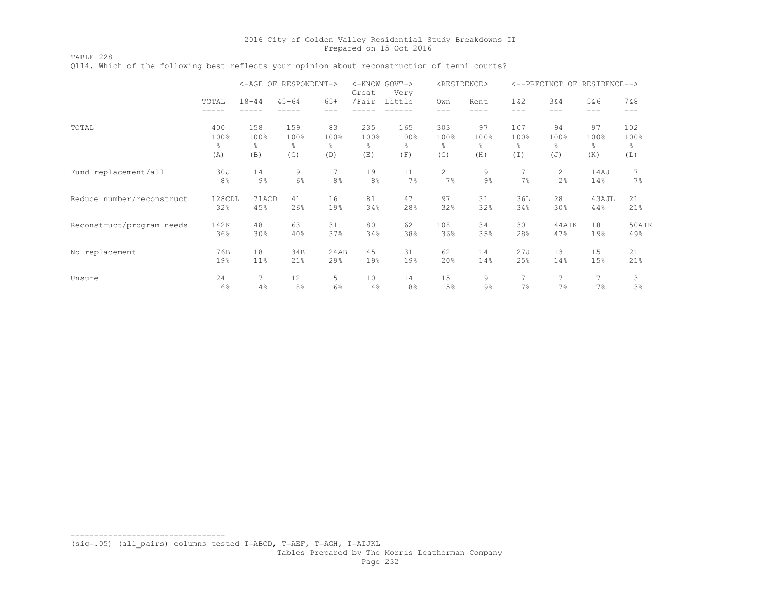TABLE 228 Q114. Which of the following best reflects your opinion about reconstruction of tenni courts?

|                           |                | <-AGE OF RESPONDENT-> |                |                | <-KNOW GOVT-><br>Great | Very           |               | <residence></residence> |               | <--PRECINCT OF RESIDENCE--> |               |                 |
|---------------------------|----------------|-----------------------|----------------|----------------|------------------------|----------------|---------------|-------------------------|---------------|-----------------------------|---------------|-----------------|
|                           | TOTAL<br>----- | $18 - 44$             | $45 - 64$      | $65+$          | /Fair                  | Little         | Own<br>---    | Rent<br>----            | 1 & 2<br>---  | 3&4<br>---                  | 5&6<br>$---$  | 7 & 8<br>$---$  |
|                           |                |                       |                |                |                        |                |               |                         |               |                             |               |                 |
| TOTAL                     | 400            | 158                   | 159            | 83             | 235                    | 165            | 303           | 97                      | 107           | 94                          | 97            | 102             |
|                           | 100%           | 100%                  | 100%           | 100%           | 100%                   | 100%           | 100%          | 100%                    | 100%          | 100%                        | 100%          | 100%            |
|                           | $\frac{6}{5}$  | $\frac{6}{10}$        | $\approx$      | $\frac{6}{6}$  | 옹                      | $\frac{6}{10}$ | $\frac{6}{6}$ | $\approx$               | $\frac{6}{6}$ | g.                          | $\frac{6}{6}$ | ိင              |
|                           | (A)            | (B)                   | (C)            | (D)            | (E)                    | (F)            | (G)           | (H)                     | (I)           | (J)                         | (K)           | (L)             |
| Fund replacement/all      | 30J            | 14                    | 9              | 7              | 19                     | 11             | 21            | 9                       | 7             | $\overline{2}$              | 14AJ          | $7\phantom{.0}$ |
|                           | 8%             | $9\%$                 | 6%             | 8 <sup>°</sup> | 8%                     | 7%             | 7%            | 9%                      | 7%            | 2%                          | 14%           | 7%              |
| Reduce number/reconstruct | 128CDL         | 71ACD                 | 41             | 16             | 81                     | 47             | 97            | 31                      | 36L           | 2.8                         | 43AJL         | 21              |
|                           | 32%            | 45%                   | 26%            | 19%            | 34%                    | 28%            | 32%           | 32%                     | 34%           | 30%                         | 44%           | 21%             |
| Reconstruct/program needs | 142K           | 48                    | 63             | 31             | 80                     | 62             | 108           | 34                      | 30            | 44AIK                       | 18            | 50AIK           |
|                           | 36%            | 30%                   | 40%            | 37%            | 34%                    | 38%            | 36%           | 35%                     | 28%           | 47%                         | 19%           | 49%             |
| No replacement            | 76B            | 18                    | 34B            | 24AB           | 45                     | 31             | 62            | 14                      | 27J           | 13                          | 15            | 21              |
|                           | 19%            | 11%                   | 21%            | 29%            | 19%                    | 19%            | 20%           | 14%                     | 25%           | 14%                         | 15%           | 21%             |
| Unsure                    | 24             | 7                     | 12             | 5              | 10                     | 14             | 15            | 9                       | 7             | 7                           | 7             | 3               |
|                           | 6%             | 4%                    | 8 <sup>°</sup> | 6%             | 4%                     | 8%             | 5%            | $9\%$                   | 7%            | 7%                          | 7%            | 3%              |

--------------------------------- (sig=.05) (all\_pairs) columns tested T=ABCD, T=AEF, T=AGH, T=AIJKL Tables Prepared by The Morris Leatherman Company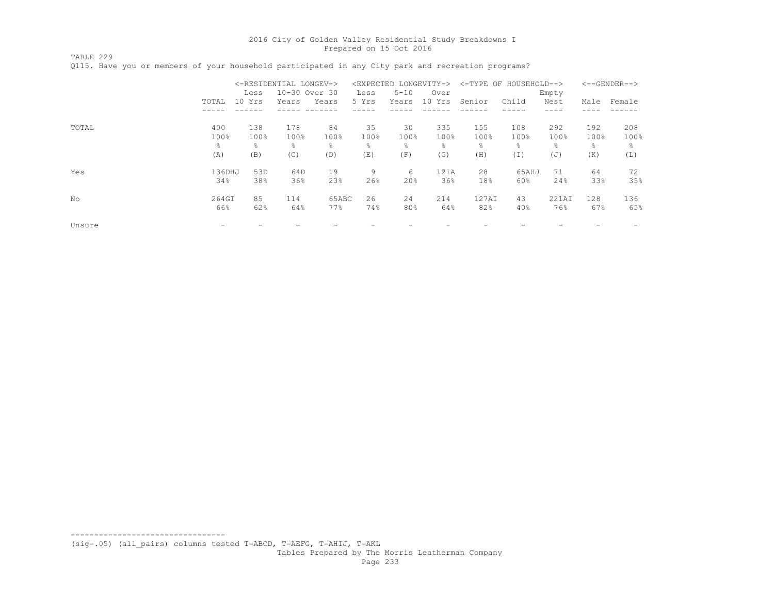TABLE 229

|        |        | <-RESIDENTIAL LONGEV-><br>Less | 10-30 Over 30 |       | Less  | <expected longevity-=""><br/><math>5 - 10</math></expected> | Over   |        | <-TYPE OF HOUSEHOLD--> |               |      | $<-$ -GENDER--> |
|--------|--------|--------------------------------|---------------|-------|-------|-------------------------------------------------------------|--------|--------|------------------------|---------------|------|-----------------|
|        | TOTAL  | 10 Yrs                         | Years         | Years | 5 Yrs | Years                                                       | 10 Yrs | Senior | Child                  | Empty<br>Nest | Male | Female          |
|        |        |                                |               |       |       |                                                             |        |        |                        |               |      |                 |
| TOTAL  | 400    | 138                            | 178           | 84    | 35    | 30                                                          | 335    | 155    | 108                    | 292           | 192  | 208             |
|        | 100%   | 100%                           | 100%          | 100%  | 100%  | 100%                                                        | 100%   | 100%   | 100%                   | 100%          | 100% | 100%            |
|        | g.     | 옹                              | ÷,            | 옹     | ⊱     | $\frac{6}{10}$                                              | g.     | ÷,     | ÷.                     | ⊱             | g.   | 욲               |
|        | (A)    | (B)                            | (C)           | (D)   | (E)   | (F)                                                         | (G)    | (H)    | (I)                    | (J)           | (K)  | (L)             |
| Yes    | 136DHJ | 53D                            | 64D           | 19    | 9     | 6                                                           | 121A   | 28     | 65AHJ                  | 71            | 64   | 72              |
|        | 34%    | 38%                            | 36%           | 23%   | 26%   | 20%                                                         | 36%    | 18%    | 60%                    | 24%           | 33%  | 35%             |
| No     | 264GI  | 85                             | 114           | 65ABC | 26    | 24                                                          | 214    | 127AI  | 43                     | 221AI         | 128  | 136             |
|        | 66%    | 62%                            | 64%           | 77%   | 74%   | 80%                                                         | 64%    | 82%    | 40%                    | 76%           | 67%  | 65%             |
| Unsure |        |                                |               |       |       |                                                             |        |        |                        |               |      |                 |

Q115. Have you or members of your household participated in any City park and recreation programs?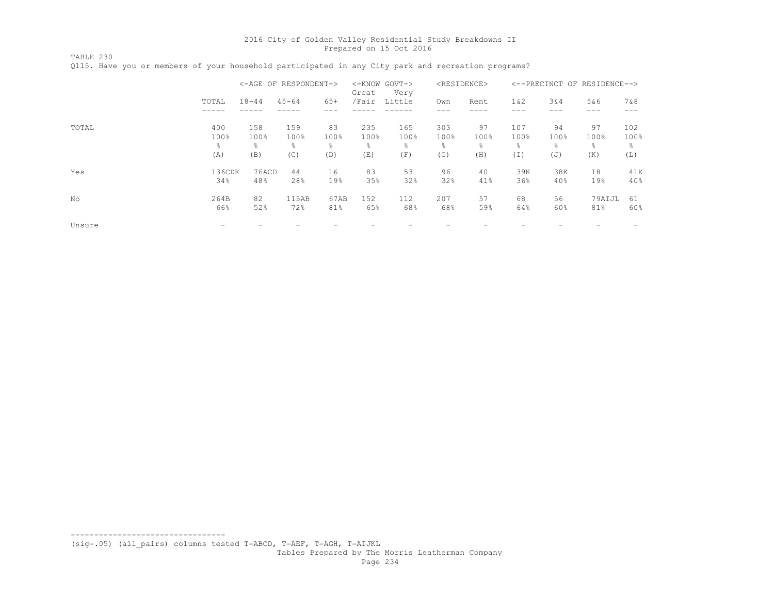TABLE 230

|        |        | <-AGE OF RESPONDENT-> |                |       | <-KNOW GOVT-><br>Great | Very   |      | <residence></residence> |        |                | <--PRECINCT OF RESIDENCE--> |      |
|--------|--------|-----------------------|----------------|-------|------------------------|--------|------|-------------------------|--------|----------------|-----------------------------|------|
|        | TOTAL  | $18 - 44$             | $45 - 64$      | $65+$ | /Fair                  | Little | Own  | Rent                    | $1\&2$ | 3&4            | 5&6                         | 7&8  |
| TOTAL  | 400    | 158                   | 159            | 83    | 235                    | 165    | 303  | 97                      | 107    | 94             | 97                          | 102  |
|        | 100%   | 100%                  | 100%           | 100%  | 100%                   | 100%   | 100% | 100%                    | 100%   | 100%           | 100%                        | 100% |
|        | g.     | 옹                     | $\frac{6}{10}$ | 응     | $\approx$              | g.     | ိင   | $\frac{6}{10}$          | 옹      | $\frac{6}{10}$ | 옹                           | g.   |
|        | (A)    | (B)                   | (C)            | (D)   | (E)                    | (F)    | (G)  | (H)                     | (I)    | (J)            | (K)                         | (L)  |
| Yes    | 136CDK | 76ACD                 | 44             | 16    | 83                     | 53     | 96   | 40                      | 39K    | 38K            | 18                          | 41K  |
|        | 34%    | 48%                   | 28%            | 19%   | 35%                    | 32%    | 32%  | 41%                     | 36%    | 40%            | 19%                         | 40%  |
| No     | 264B   | 82                    | 115AB          | 67AB  | 152                    | 112    | 207  | 57                      | 68     | 56             | 79AIJL                      | 61   |
|        | 66%    | 52%                   | 72%            | 81%   | 65%                    | 68%    | 68%  | 59%                     | 64%    | 60%            | 81%                         | 60%  |
| Unsure |        |                       |                |       |                        |        |      |                         |        |                |                             |      |

Q115. Have you or members of your household participated in any City park and recreation programs?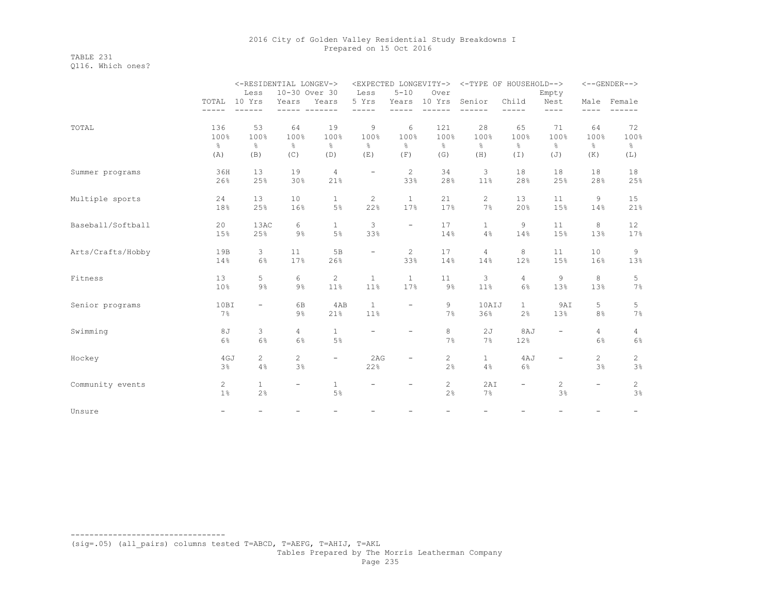TABLE 231 Q116. Which ones?

|                   | <-RESIDENTIAL LONGEV-> |                          |                |                          |                          |                          |                          | <expected longevity-=""> &lt;-TYPE OF HOUSEHOLD--&gt;</expected> |                          |                          |                   | $<$ --GENDER-->          |
|-------------------|------------------------|--------------------------|----------------|--------------------------|--------------------------|--------------------------|--------------------------|------------------------------------------------------------------|--------------------------|--------------------------|-------------------|--------------------------|
|                   |                        | Less                     | 10-30 Over 30  |                          | Less                     | $5 - 10$                 | Over                     |                                                                  |                          | Empty                    |                   |                          |
|                   |                        | TOTAL 10 Yrs             | Years          | Years                    | 5 Yrs                    | Years                    | 10 Yrs                   | Senior                                                           | Child                    | Nest                     | Male              | Female                   |
|                   |                        |                          |                |                          |                          |                          |                          |                                                                  |                          | ----                     |                   |                          |
| TOTAL             | 136                    | 53                       | 64             | 19                       | 9                        | 6                        | 121                      | 28                                                               | 65                       | 71                       | 64                | 72                       |
|                   | 100%                   | 100%                     | 100%           | 100%                     | 100%                     | 100%                     | 100%                     | 100%                                                             | 100%                     | 100%                     | 100%              | 100%                     |
|                   | $\frac{6}{6}$          | $\frac{6}{6}$            | $\frac{6}{5}$  | $\%$                     | g.                       | 옹                        | $\frac{6}{6}$            | $\frac{8}{6}$                                                    | 옹                        | $\frac{6}{6}$            | g.                | $\frac{6}{6}$            |
|                   | (A)                    | (B)                      | (C)            | (D)                      | (E)                      | (F)                      | (G)                      | (H)                                                              | (I)                      | (J)                      | (K)               | (L)                      |
| Summer programs   | 36H                    | 13                       | 19             | $\overline{4}$           | $\qquad \qquad -$        | 2                        | 34                       | 3                                                                | 18                       | 18                       | 18                | 18                       |
|                   | 26%                    | 25%                      | 30%            | 21%                      |                          | 33%                      | 28%                      | 11%                                                              | 28%                      | 25%                      | 28%               | 25%                      |
| Multiple sports   | 24                     | 13                       | 10             | $\mathbf{1}$             | $\overline{c}$           | $\mathbf{1}$             | 21                       | $\mathbf{2}^{\prime}$                                            | 13                       | 11                       | 9                 | 15                       |
|                   | 18%                    | 25%                      | 16%            | 5%                       | 22%                      | 17%                      | 17%                      | 7%                                                               | 20%                      | 15%                      | 14%               | 21%                      |
| Baseball/Softball | 20                     | 13AC                     | 6              | $\mathbf{1}$             | 3                        | $\overline{\phantom{a}}$ | 17                       | $\mathbf{1}$                                                     | 9                        | 11                       | 8                 | $12 \overline{ }$        |
|                   | 15%                    | 25%                      | $9\%$          | 5%                       | 33%                      |                          | 14%                      | $4\%$                                                            | 14%                      | 15%                      | 13%               | 17%                      |
| Arts/Crafts/Hobby | 19B                    | 3                        | 11             | 5B                       | $\qquad \qquad -$        | $\mathbf{2}$             | 17                       | $\overline{4}$                                                   | 8                        | 11                       | 10                | 9                        |
|                   | 14%                    | 6%                       | 17%            | 26%                      |                          | 33%                      | 14%                      | 14%                                                              | 12%                      | 15%                      | 16%               | 13%                      |
| Fitness           | 13                     | 5                        | 6              | $\mathbf{2}$             | $\mathbf{1}$             | $\mathbf{1}$             | 11                       | 3                                                                | $\overline{4}$           | 9                        | 8                 | 5                        |
|                   | 10%                    | 9%                       | $9\%$          | 11%                      | 11%                      | 17%                      | 9%                       | 11%                                                              | $6\%$                    | 13%                      | 13%               | 7%                       |
| Senior programs   | 10BI                   | -                        | 6B             | 4AB                      | $\mathbf{1}$             | $\overline{\phantom{0}}$ | 9                        | 10AIJ                                                            | $\mathbf{1}$             | 9AI                      | 5                 | 5                        |
|                   | 7%                     |                          | $9\%$          | 21%                      | 11%                      |                          | 7%                       | 36%                                                              | 2%                       | 13%                      | 8%                | 7%                       |
| Swimming          | 8J                     | 3                        | $\overline{4}$ | $\mathbf{1}$             | $\overline{\phantom{0}}$ |                          | 8                        | 2J                                                               | 8AJ                      | -                        | 4                 | $\overline{4}$           |
|                   | 6%                     | 6%                       | 6%             | 5%                       |                          |                          | 7%                       | 7%                                                               | 12%                      |                          | 6%                | 6%                       |
| Hockey            | 4GJ                    | $\overline{2}$           | $\overline{2}$ | $\overline{\phantom{a}}$ | 2AG                      |                          | 2                        | $\mathbf{1}$                                                     | 4AJ                      | $\overline{\phantom{0}}$ | $\overline{c}$    | $\overline{c}$           |
|                   | 3%                     | 4%                       | 3%             |                          | 22%                      |                          | 2%                       | 4%                                                               | 6%                       |                          | 3%                | 3%                       |
| Community events  | $\overline{2}$         | $\mathbf{1}$             | Ξ.             | $\mathbf{1}$             | $\qquad \qquad -$        |                          | $\overline{c}$           | 2AI                                                              | $\overline{\phantom{0}}$ | $\mathbf{2}^{\prime}$    | $\qquad \qquad -$ | $\overline{c}$           |
|                   | $1\%$                  | 2%                       |                | 5%                       |                          |                          | 2%                       | 7%                                                               |                          | 3%                       |                   | $3\frac{6}{6}$           |
| Unsure            | $\qquad \qquad -$      | $\overline{\phantom{0}}$ |                |                          |                          |                          | $\overline{\phantom{0}}$ | $\overline{\phantom{0}}$                                         |                          |                          |                   | $\overline{\phantom{a}}$ |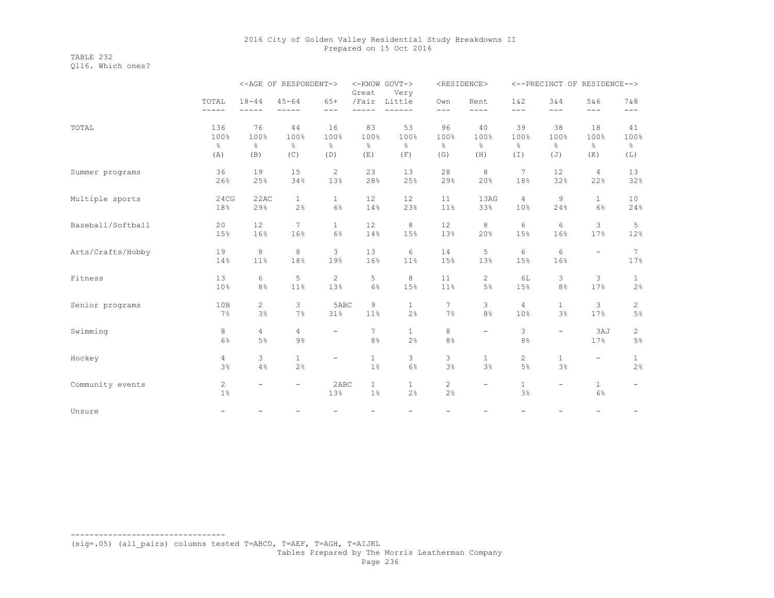TABLE 232 Q116. Which ones?

|                   |                         |                          | <-AGE OF RESPONDENT->       |                       | <-KNOW GOVT-><br>Great      | Very                        |                             | <residence></residence>        |                                |                          | <--PRECINCT OF RESIDENCE--> |                                |
|-------------------|-------------------------|--------------------------|-----------------------------|-----------------------|-----------------------------|-----------------------------|-----------------------------|--------------------------------|--------------------------------|--------------------------|-----------------------------|--------------------------------|
|                   | TOTAL<br>$- - - - -$    | $18 - 44$<br>-----       | $45 - 64$<br>$- - -$        | $65+$<br>$---$        | /Fair                       | Little<br>----              | Own<br>$---$                | Rent<br>$- - - -$              | 1 & 2<br>$---$                 | 3&4<br>$- - -$           | 5&6<br>$---$                | 7 & 8<br>$---$                 |
| TOTAL             | 136<br>100%<br>g.       | 76<br>100%<br>$\%$       | 44<br>100%<br>$\frac{6}{6}$ | 16<br>100%<br>e,      | 83<br>100%<br>$\frac{8}{6}$ | 53<br>100%<br>$\frac{6}{6}$ | 96<br>100%<br>$\frac{6}{6}$ | 40<br>100%<br>$\frac{8}{6}$    | 39<br>100%<br>옹                | 38<br>100%<br>&          | 18<br>100%<br>g.            | 41<br>100%<br>$\frac{6}{6}$    |
|                   | (A)                     | (B)                      | (C)                         | (D)                   | (E)                         | (F)                         | (G)                         | (H)                            | (I)                            | (J)                      | (K)                         | (L)                            |
| Summer programs   | 36<br>26%               | 19<br>25%                | 15<br>34%                   | $\overline{c}$<br>13% | 23<br>28%                   | 13<br>25%                   | 28<br>29%                   | 8<br>20%                       | 7<br>18%                       | 12<br>32%                | 4<br>22%                    | 13<br>32%                      |
| Multiple sports   | $24C$ G<br>18%          | 22AC<br>29%              | $\mathbf{1}$<br>2%          | $\mathbf{1}$<br>6%    | 12<br>14%                   | 12<br>23%                   | 11<br>11%                   | 13AG<br>33%                    | $\overline{4}$<br>10%          | 9<br>24%                 | $\mathbf{1}$<br>6%          | 10<br>24%                      |
| Baseball/Softball | 20<br>15%               | 12<br>16%                | 7<br>16%                    | $\mathbf{1}$<br>$6\%$ | 12<br>14%                   | $\,8\,$<br>15%              | 12<br>13%                   | 8<br>20%                       | 6<br>15%                       | 6<br>16%                 | 3<br>17%                    | 5<br>12%                       |
| Arts/Crafts/Hobby | 19<br>14%               | 8<br>11%                 | 8<br>18%                    | 3<br>19%              | 13<br>16%                   | 6<br>11%                    | 14<br>15%                   | 5<br>13%                       | 6<br>15%                       | 6<br>16%                 | $\qquad \qquad -$           | 7<br>17%                       |
| Fitness           | 13<br>10%               | 6<br>8%                  | 5<br>11%                    | 2<br>13%              | 5<br>6%                     | 8<br>15%                    | 11<br>11%                   | $\mathbf{2}^{\prime}$<br>$5\,$ | 6L<br>15%                      | 3<br>8%                  | 3<br>17%                    | $\mathbf{1}$<br>2%             |
| Senior programs   | 10B<br>7%               | $\mathbf{2}$<br>3%       | 3<br>7%                     | 5ABC<br>31%           | 9<br>11%                    | $\mathbf{1}$<br>2%          | 7<br>7%                     | 3<br>8%                        | $\overline{4}$<br>10%          | $\mathbf{1}$<br>3%       | 3<br>17%                    | $\mathbf{2}$<br>$5\frac{6}{5}$ |
| Swimming          | 8<br>6%                 | $\overline{4}$<br>5%     | 4<br>$9\%$                  | $\qquad \qquad -$     | 7<br>8%                     | $\mathbf{1}$<br>2%          | 8<br>8%                     | Ξ.                             | 3<br>8%                        | $\overline{\phantom{a}}$ | 3AJ<br>17%                  | $\mathbf{2}$<br>$5\%$          |
| Hockey            | $\overline{4}$<br>3%    | 3<br>4%                  | $\mathbf{1}$<br>2%          | $\qquad \qquad -$     | $\mathbf{1}$<br>1%          | 3<br>6%                     | 3<br>3%                     | $\mathbf{1}$<br>3%             | $\mathbf{2}^{\prime}$<br>$5\%$ | $\mathbf{1}$<br>3%       | $\overline{\phantom{a}}$    | $\mathbf{1}$<br>2%             |
| Community events  | $\overline{c}$<br>$1\%$ | $\overline{\phantom{0}}$ | $\overline{\phantom{0}}$    | 2ABC<br>13%           | $1\,$<br>$1\%$              | $\mathbf{1}$<br>2%          | $\mathbf{2}^{\prime}$<br>2% | -                              | $\mathbf{1}$<br>3%             | $\overline{\phantom{a}}$ | $\mathbf{1}$<br>6%          | $\overline{\phantom{0}}$       |
| Unsure            |                         |                          |                             | $\qquad \qquad -$     | $\overline{\phantom{0}}$    | $\overline{\phantom{0}}$    | $\overline{\phantom{0}}$    |                                |                                |                          | $\overline{\phantom{0}}$    |                                |

(sig=.05) (all\_pairs) columns tested T=ABCD, T=AEF, T=AGH, T=AIJKL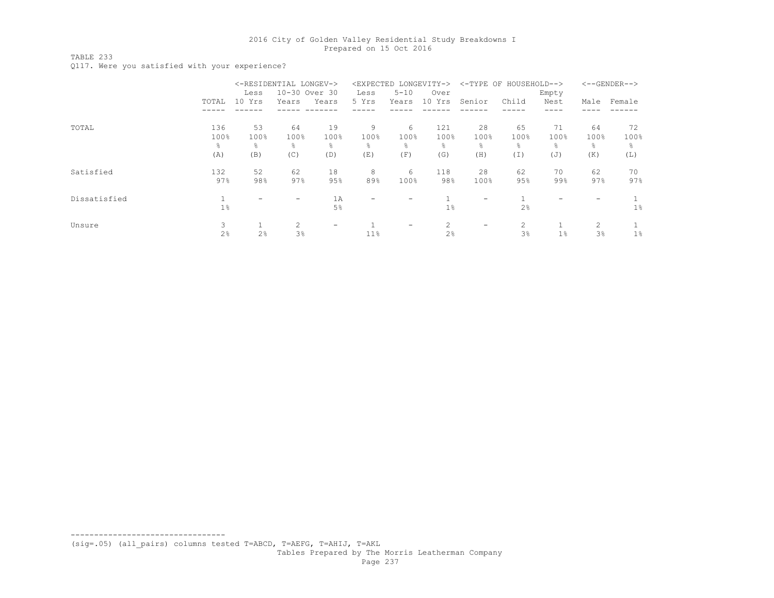TABLE 233

Q117. Were you satisfied with your experience?

|              |       |        | <-RESIDENTIAL LONGEV->   |                          | <expected< th=""><th></th><th>LONGEVITY-&gt;</th><th><math>&lt;</math>-TYPE OF</th><th>HOUSEHOLD--&gt;</th><th></th><th></th><th><math>&lt;-</math>-GENDER--&gt;</th></expected<> |          | LONGEVITY->    | $<$ -TYPE OF | HOUSEHOLD--> |                |      | $<-$ -GENDER--> |
|--------------|-------|--------|--------------------------|--------------------------|-----------------------------------------------------------------------------------------------------------------------------------------------------------------------------------|----------|----------------|--------------|--------------|----------------|------|-----------------|
|              |       | Less   | 10-30 Over 30            |                          | Less                                                                                                                                                                              | $5 - 10$ | Over           |              |              | Empty          |      |                 |
|              | TOTAL | 10 Yrs | Years                    | Years                    | 5 Yrs                                                                                                                                                                             | Years    | 10 Yrs         | Senior       | Child        | Nest           | Male | Female          |
|              |       |        |                          |                          |                                                                                                                                                                                   |          |                |              |              |                |      |                 |
| TOTAL        | 136   | 53     | 64                       | 19                       | 9                                                                                                                                                                                 | 6        | 121            | 28           | 65           | 71             | 64   | 72              |
|              | 100%  | 100%   | 100%                     | 100%                     | 100%                                                                                                                                                                              | 100%     | 100%           | 100%         | 100%         | 100%           | 100% | 100%            |
|              | g     | 옹      | ⊱                        | ⊱                        | 욲                                                                                                                                                                                 | g.       | $\frac{6}{10}$ | $\approx$    | g.           | ⊱              | g    | 응               |
|              | (A)   | (B)    | (C)                      | (D)                      | (E)                                                                                                                                                                               | (F)      | (G)            | (H)          | (I)          | (J)            | (K)  | (L)             |
| Satisfied    | 132   | 52     | 62                       | 18                       | 8                                                                                                                                                                                 | 6        | 118            | 28           | 62           | 70             | 62   | 70              |
|              | 97%   | 98%    | 97%                      | 95%                      | 89%                                                                                                                                                                               | 100%     | 98%            | 100%         | 95%          | 99%            | 97%  | 97%             |
| Dissatisfied |       |        | $\overline{\phantom{0}}$ | 1A                       |                                                                                                                                                                                   | -        |                | -            |              |                |      |                 |
|              | $1\%$ |        |                          | 5%                       |                                                                                                                                                                                   |          | 1%             |              | 2%           |                |      | $1\%$           |
| Unsure       | 3     |        | 2                        | $\overline{\phantom{a}}$ |                                                                                                                                                                                   | -        | 2              | ۰            | 2            |                | 2    |                 |
|              | 2%    | 2%     | 3%                       |                          | 11%                                                                                                                                                                               |          | 2%             |              | 3%           | 1 <sup>°</sup> | 3%   | $1\%$           |

(sig=.05) (all\_pairs) columns tested T=ABCD, T=AEFG, T=AHIJ, T=AKL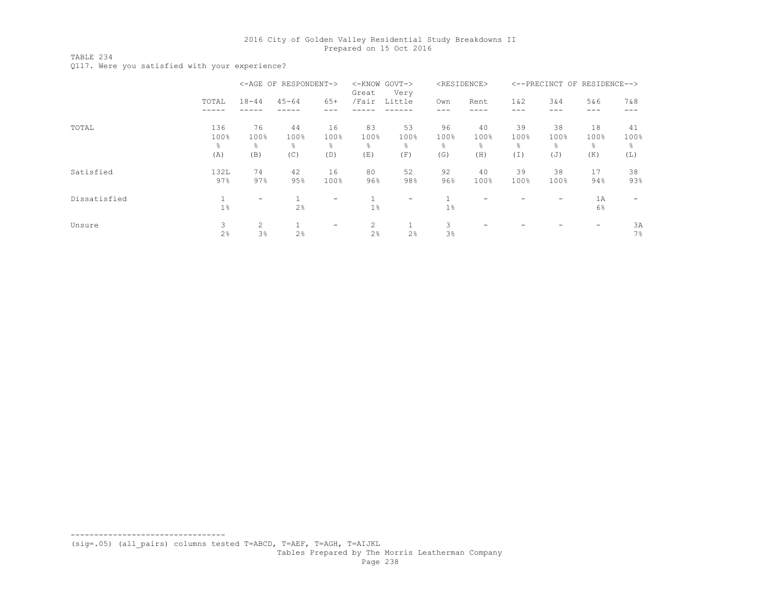TABLE 234

Q117. Were you satisfied with your experience?

|              |        |           | <-AGE OF RESPONDENT-> |                          | $<$ - $<$ NOW<br>Great | GOVT-><br>Very |                | <residence></residence> |       | <--PRECINCT<br>OF        | RESIDENCE--> |       |
|--------------|--------|-----------|-----------------------|--------------------------|------------------------|----------------|----------------|-------------------------|-------|--------------------------|--------------|-------|
|              | TOTAL  | $18 - 44$ | $45 - 64$             | $65+$                    | /Fair                  | Little         | Own            | Rent                    | 1 & 2 | 3&4                      | 5&6          | 7 & 8 |
|              |        |           |                       |                          |                        |                |                |                         |       |                          |              |       |
| TOTAL        | 136    | 76        | 44                    | 16                       | 83                     | 53             | 96             | 40                      | 39    | 38                       | 18           | 41    |
|              | 100%   | 100%      | 100%                  | 100%                     | 100%                   | 100%           | 100%           | 100%                    | 100%  | 100%                     | 100%         | 100%  |
|              | g.     | g.        | ⊱                     | g.                       | 욲                      | g.             | $\frac{6}{10}$ | $\frac{6}{10}$          | 옹     | ⊱                        | g            | 응     |
|              | (A)    | (B)       | (C)                   | (D)                      | (E)                    | (F)            | (G)            | (H)                     | (I)   | (J)                      | (K)          | (L)   |
| Satisfied    | 132L   | 74        | 42                    | 16                       | 80                     | 52             | 92             | 40                      | 39    | 38                       | 17           | 38    |
|              | $97\%$ | 97%       | 95%                   | 100%                     | 96%                    | 98%            | 96%            | 100%                    | 100%  | 100%                     | 94%          | 93%   |
| Dissatisfied | ÷.     | -         |                       | $\overline{\phantom{0}}$ |                        | -              |                |                         |       | $\overline{\phantom{0}}$ | 1A           |       |
|              | 1%     |           | 2%                    |                          | $1\%$                  |                | $1\%$          |                         |       |                          | 6%           |       |
| Unsure       | 3      | 2         |                       | $\overline{\phantom{0}}$ | 2                      | $\mathbf{1}$   | 3              |                         |       |                          |              | 3A    |
|              | 2%     | 3%        | 2%                    |                          | 2%                     | 2%             | 3%             |                         |       |                          |              | 7%    |

(sig=.05) (all\_pairs) columns tested T=ABCD, T=AEF, T=AGH, T=AIJKL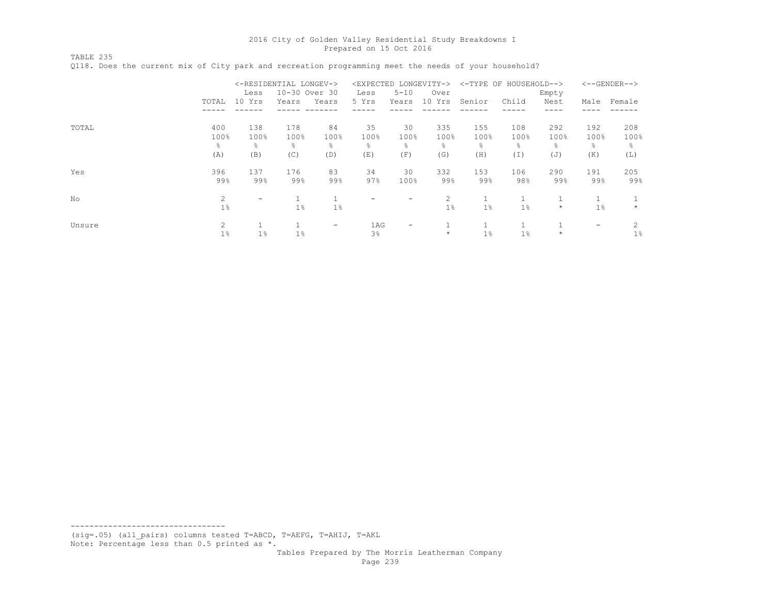TABLE 235

|        |       | <-RESIDENTIAL LONGEV-> |               |                          | <expected< th=""><th></th><th>LONGEVITY-&gt;</th><th></th><th>&lt;-TYPE OF HOUSEHOLD--&gt;</th><th></th><th></th><th><math>&lt;-</math>-GENDER--&gt;</th></expected<> |                   | LONGEVITY-> |                | <-TYPE OF HOUSEHOLD--> |            |                          | $<-$ -GENDER--> |
|--------|-------|------------------------|---------------|--------------------------|-----------------------------------------------------------------------------------------------------------------------------------------------------------------------|-------------------|-------------|----------------|------------------------|------------|--------------------------|-----------------|
|        |       | Less                   | 10-30 Over 30 |                          | Less                                                                                                                                                                  | $5 - 10$          | Over        |                |                        | Empty      |                          |                 |
|        | TOTAL | 10 Yrs                 | Years         | Years                    | 5 Yrs                                                                                                                                                                 | Years             | 10 Yrs      | Senior         | Child                  | Nest       | Male                     | Female          |
|        |       |                        |               |                          |                                                                                                                                                                       |                   |             |                |                        |            |                          |                 |
| TOTAL  | 400   | 138                    | 178           | 84                       | 35                                                                                                                                                                    | 30                | 335         | 155            | 108                    | 292        | 192                      | 208             |
|        | 100%  | 100%                   | 100%          | 100%                     | 100%                                                                                                                                                                  | 100%              | 100%        | 100%           | 100%                   | 100%       | 100%                     | 100%            |
|        | g.    | ⊱                      | g.            | ⊱                        | ⊱                                                                                                                                                                     | g.                | ÷,          | ÷,             | g.                     | ⊱          | g.                       | ⊱               |
|        | (A)   | (B)                    | (C)           | (D)                      | (E)                                                                                                                                                                   | (F)               | (G)         | (H)            | (I)                    | (J)        | (K)                      | (L)             |
| Yes    | 396   | 137                    | 176           | 83                       | 34                                                                                                                                                                    | 30                | 332         | 153            | 106                    | 290        | 191                      | 205             |
|        | 99%   | 99%                    | 99%           | 99%                      | 97%                                                                                                                                                                   | 100%              | 99%         | 99%            | 98%                    | 99%        | 99%                      | 99%             |
| No     | 2     | -                      |               |                          |                                                                                                                                                                       | -                 | 2           |                |                        |            |                          |                 |
|        | $1\%$ |                        | 1%            | $1\%$                    |                                                                                                                                                                       |                   | 1%          | $1\%$          | 1%                     | $^{\star}$ | 1%                       | $\star$         |
| Unsure | 2     |                        |               | $\overline{\phantom{0}}$ | 1AG                                                                                                                                                                   | $\qquad \qquad -$ |             |                |                        |            | $\overline{\phantom{0}}$ | 2               |
|        | $1\%$ | $1\%$                  | $1\%$         |                          | 3%                                                                                                                                                                    |                   | $\star$     | 1 <sup>°</sup> | $1\%$                  | $\star$    |                          | $1\%$           |

Q118. Does the current mix of City park and recreation programming meet the needs of your household?

(sig=.05) (all\_pairs) columns tested T=ABCD, T=AEFG, T=AHIJ, T=AKL Note: Percentage less than 0.5 printed as \*.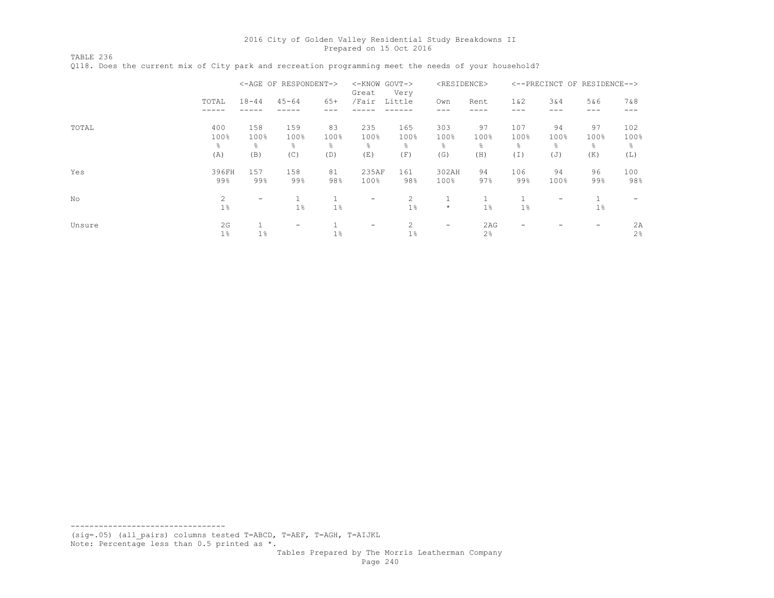TABLE 236 Q118. Does the current mix of City park and recreation programming meet the needs of your household?

|        |                          |                          | <-AGE OF RESPONDENT->   |                        | <-KNOW GOVT-><br>Great   | Very                     | <residence></residence>              |                         |                         |                        | <--PRECINCT OF RESIDENCE--> |                         |
|--------|--------------------------|--------------------------|-------------------------|------------------------|--------------------------|--------------------------|--------------------------------------|-------------------------|-------------------------|------------------------|-----------------------------|-------------------------|
|        | TOTAL                    | $18 - 44$                | $45 - 64$               | $65+$                  | /Fair                    | Little                   | Own                                  | Rent                    | 1 & 2                   | 3&4                    | 5&6<br>---                  | 7 & 8                   |
| TOTAL  | 400<br>100%<br>g.<br>(A) | 158<br>100%<br>g.<br>(B) | 159<br>100%<br>⊱<br>(C) | 83<br>100%<br>옹<br>(D) | 235<br>100%<br>g.<br>(E) | 165<br>100%<br>g.<br>(F) | 303<br>100%<br>$\frac{6}{10}$<br>(G) | 97<br>100%<br>g.<br>(H) | 107<br>100%<br>옹<br>(I) | 94<br>100%<br>⊱<br>(J) | 97<br>100%<br>g.<br>(K)     | 102<br>100%<br>옹<br>(L) |
| Yes    | 396FH<br>99%             | 157<br>$99\%$            | 158<br>99%              | 81<br>98%              | 235AF<br>100%            | 161<br>98%               | 302AH<br>100%                        | 94<br>97%               | 106<br>99%              | 94<br>100%             | 96<br>99%                   | 100<br>98%              |
| No     | 2<br>$1\%$               | ۰                        | 1 <sup>°</sup>          | $1\%$                  | $\overline{\phantom{a}}$ | 2<br>1%                  | $\star$                              | 1<br>1 <sup>°</sup>     | 1%                      | -                      | 1%                          |                         |
| Unsure | 2G<br>$1\%$              | $1\%$                    | -                       | 1%                     | $\overline{\phantom{a}}$ | 2<br>$1\%$               | $\qquad \qquad$                      | 2AG<br>2%               |                         |                        |                             | 2A<br>2%                |

--------------------------------- (sig=.05) (all\_pairs) columns tested T=ABCD, T=AEF, T=AGH, T=AIJKL Note: Percentage less than 0.5 printed as \*.

 Tables Prepared by The Morris Leatherman Company Page 240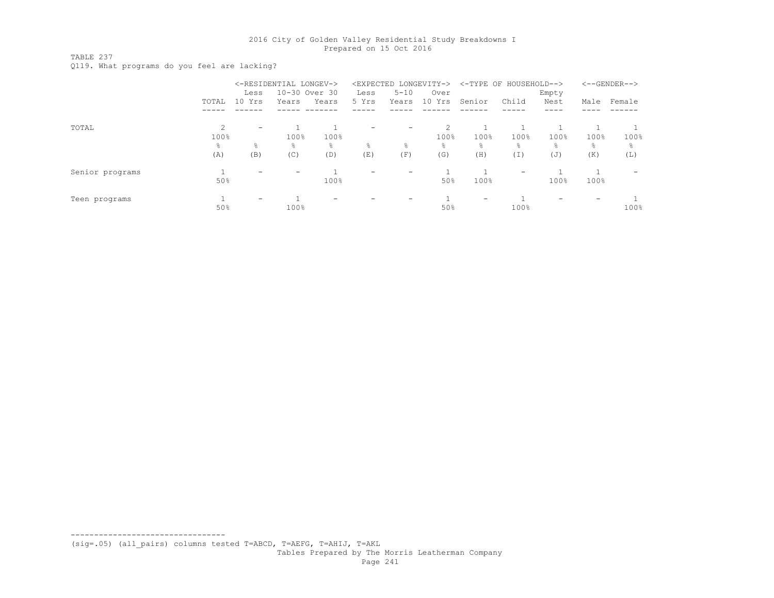TABLE 237

Q119. What programs do you feel are lacking?

|                 |                        | Less                     | <-RESIDENTIAL LONGEV-><br>10-30 Over 30 |          | Less     | $5 - 10$                 | <expected longevity-=""><br/>Over</expected> |          | <-TYPE OF HOUSEHOLD-->   |               |                          | <--GENDER--> |
|-----------------|------------------------|--------------------------|-----------------------------------------|----------|----------|--------------------------|----------------------------------------------|----------|--------------------------|---------------|--------------------------|--------------|
|                 | TOTAL                  | 10 <sup>°</sup><br>Yrs   | Years                                   | Years    | 5 Yrs    | Years                    | 10 Yrs                                       | Senior   | Child                    | Empty<br>Nest | Male                     | Female       |
|                 |                        |                          |                                         |          |          |                          |                                              |          |                          |               |                          |              |
| TOTAL           | $\mathfrak{D}$<br>100% | $\overline{\phantom{0}}$ | 100%                                    | 100%     | -        | $\overline{\phantom{0}}$ | 2<br>100%                                    | 100%     | 100%                     | 100%          | 100%                     | 100%         |
|                 | ⊱<br>(A)               | 옹<br>(B)                 | ႜ<br>(C)                                | ⊱<br>(D) | ⊱<br>(E) | ⊱<br>(F)                 | $\frac{6}{10}$<br>(G)                        | 욲<br>(H) | ⊱<br>(I)                 | ⊱<br>(J)      | 옹<br>(K)                 | ⊱<br>(L)     |
| Senior programs |                        | -                        | $\overline{\phantom{0}}$                |          | -        | $\overline{\phantom{0}}$ |                                              |          | $\overline{\phantom{0}}$ |               |                          | -            |
|                 | 50%                    |                          |                                         | 100%     |          |                          | 50%                                          | 100%     |                          | 100%          | 100%                     |              |
| Teen programs   | 50%                    | $\overline{\phantom{0}}$ | 100%                                    |          |          | $\overline{\phantom{0}}$ | 50%                                          | -        | 100%                     |               | $\overline{\phantom{a}}$ | 100%         |

(sig=.05) (all\_pairs) columns tested T=ABCD, T=AEFG, T=AHIJ, T=AKL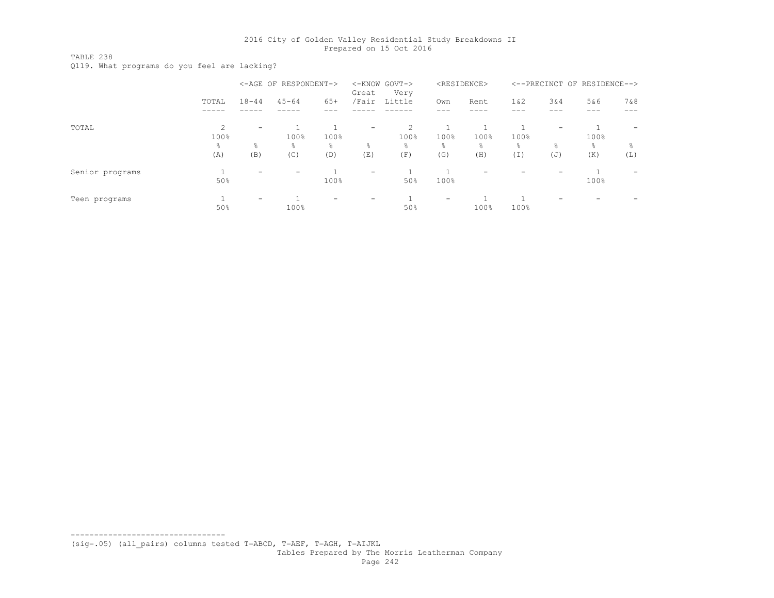TABLE 238

Q119. What programs do you feel are lacking?

|                 |           |                          | <-AGE OF RESPONDENT-> |          | $<-KNOW$<br>Great        | GOVT-><br>Very |                   | <residence></residence> |          | <--PRECINCT OF           | RESIDENCE--> |          |
|-----------------|-----------|--------------------------|-----------------------|----------|--------------------------|----------------|-------------------|-------------------------|----------|--------------------------|--------------|----------|
|                 | TOTAL     | $18 - 44$                | $45 - 64$             | $65+$    | /Fair                    | Little         | Own               | Rent                    | 1 & 2    | 3&4                      | 5&6          | 7&8      |
|                 |           |                          |                       |          |                          |                |                   |                         |          |                          |              |          |
| TOTAL           | 2<br>100% | $\overline{\phantom{0}}$ | 100%                  | 100%     | $\overline{\phantom{0}}$ | 2<br>100%      | 100%              | 100%                    | 100%     | $\overline{\phantom{0}}$ | 100%         |          |
|                 | 옹<br>(A)  | 옹<br>(B)                 | ⊱<br>(C)              | 옹<br>(D) | g.<br>(E)                | 응.<br>(F)      | ÷,<br>(G)         | ⊱<br>(H)                | 욲<br>(I) | 욲<br>(J)                 | 옹<br>(K)     | 욲<br>(L) |
| Senior programs | 50%       | -                        | -                     | 100%     | $\overline{\phantom{0}}$ | 50%            | 100%              | -                       |          | ۰                        | 100%         | -        |
| Teen programs   | 50%       | $\overline{\phantom{0}}$ | 100%                  |          | $\overline{\phantom{a}}$ | 50%            | $\qquad \qquad -$ | 100%                    | 100%     |                          |              |          |

(sig=.05) (all\_pairs) columns tested T=ABCD, T=AEF, T=AGH, T=AIJKL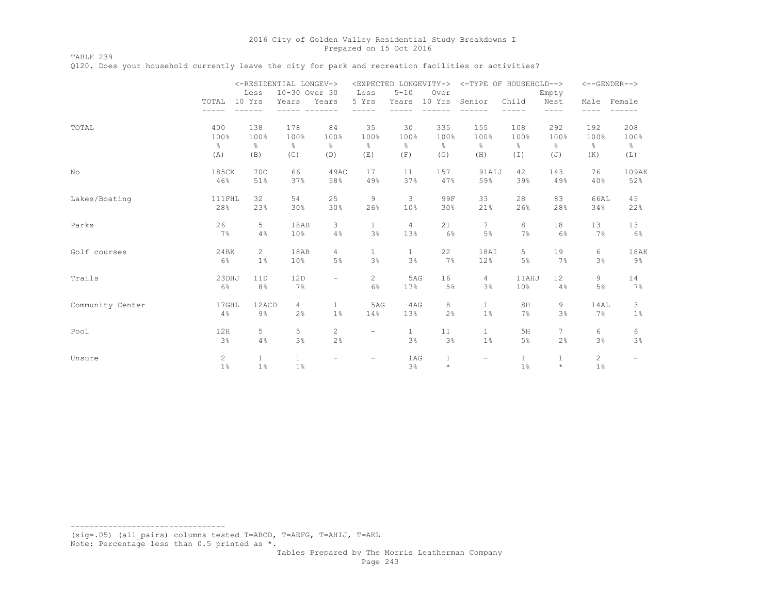TABLE 239

Q120. Does your household currently leave the city for park and recreation facilities or activities?

|                  |                | Less                 | <-RESIDENTIAL LONGEV-><br>10-30 Over 30 |                          | Less                     | $5 - 10$        | Over           | <expected longevity-=""> &lt;-TYPE OF HOUSEHOLD--&gt;</expected> |              | Empty             | $<-$ -GENDER--> |                          |
|------------------|----------------|----------------------|-----------------------------------------|--------------------------|--------------------------|-----------------|----------------|------------------------------------------------------------------|--------------|-------------------|-----------------|--------------------------|
|                  | TOTAL          | 10 Yrs               | Years                                   | Years                    | 5 Yrs                    | Years           | 10 Yrs         | Senior                                                           | Child        | Nest<br>----      | Male            | Female                   |
|                  |                |                      |                                         |                          |                          |                 |                |                                                                  |              |                   |                 |                          |
| TOTAL            | 400<br>100%    | 138<br>100%          | 178<br>100%                             | 84<br>100%               | 35<br>100%               | 30<br>100%      | 335<br>100%    | 155<br>100%                                                      | 108<br>100%  | 292<br>100%       | 192<br>100%     | 208<br>100%              |
|                  | $\frac{6}{6}$  | $\frac{6}{6}$        | $\frac{8}{6}$                           | g.                       | g.                       | g.              | g.             | g.                                                               | g.           | ⊱                 | g.              | ိင                       |
|                  | (A)            | (B)                  | (C)                                     | (D)                      | (E)                      | (F)             | (G)            | (H)                                                              | (I)          | (J)               | (K)             | (L)                      |
| No               | 185CK          | 70C                  | 66                                      | 49AC                     | 17                       | 11              | 157            | 91AIJ                                                            | 42           | 143               | 76              | 109AK                    |
|                  | 46%            | 51%                  | 37%                                     | 58%                      | 49%                      | 37%             | 47%            | 59%                                                              | 39%          | 49%               | 40%             | 52%                      |
| Lakes/Boating    | 111FHL         | 32                   | 54                                      | 25                       | 9                        | 3               | 99F            | 33                                                               | 28           | 83                | 66AL            | 45                       |
|                  | 28%            | 23%                  | 30%                                     | 30%                      | 26%                      | 10 <sup>°</sup> | 30%            | 21%                                                              | 26%          | 28%               | 34%             | 22%                      |
| Parks            | 26             | 5                    | 18AB                                    | 3                        | $\mathbf{1}$             | $\overline{4}$  | 21             | 7                                                                | 8            | 18                | 13              | 13                       |
|                  | 7%             | 4%                   | 10%                                     | 4%                       | 3%                       | 13%             | 6%             | 5%                                                               | 7%           | 6%                | 7%              | $6\%$                    |
| Golf courses     | 24BK           | $\mathbf{2}^{\circ}$ | 18AB                                    | 4                        | $\mathbf{1}$             | $\mathbf{1}$    | 22             | 18AI                                                             | 5            | 19                | 6               | 18AK                     |
|                  | 6%             | 1%                   | 10%                                     | 5%                       | 3%                       | 3%              | 7%             | 12%                                                              | 5%           | 7%                | 3%              | $9\%$                    |
| Trails           | 23DHJ          | 11D                  | 12D                                     | $\overline{\phantom{0}}$ | $\overline{2}$           | 5AG             | 16             | 4                                                                | 11AHJ        | $12 \overline{ }$ | 9               | 14                       |
|                  | 6%             | 8%                   | 7%                                      |                          | 6%                       | 17%             | 5%             | 3%                                                               | 10%          | 4%                | 5%              | $7\%$                    |
| Community Center | 17GHL          | 12ACD                | 4                                       | $\mathbf{1}$             | 5AG                      | 4AG             | 8              | $\mathbf{1}$                                                     | 8H           | 9                 | 14AL            | 3                        |
|                  | 4%             | $9\%$                | 2%                                      | $1\%$                    | 14%                      | 13%             | 2 <sup>°</sup> | $1\%$                                                            | 7%           | 3%                | 7%              | $1\%$                    |
| Pool             | 12H            | 5                    | 5                                       | $\mathbf{2}$             | $\overline{\phantom{a}}$ | $\mathbf{1}$    | 11             | $\mathbf{1}$                                                     | 5H           | 7                 | 6               | 6                        |
|                  | 3%             | 4%                   | 3%                                      | 2%                       |                          | 3%              | 3%             | $1\%$                                                            | 5%           | 2%                | 3%              | 3%                       |
| Unsure           | $\overline{c}$ | $\mathbf{1}$         | 1.                                      | $\overline{\phantom{0}}$ | -                        | 1AG             | $\mathbf{1}$   | $-$                                                              | $\mathbf{1}$ | $\mathbf{1}$      | 2               | $\overline{\phantom{0}}$ |
|                  | 1%             | $1\%$                | 1%                                      |                          |                          | 3%              | $\star$        |                                                                  | $1\%$        | $\star$           | 1 <sup>°</sup>  |                          |

--------------------------------- (sig=.05) (all\_pairs) columns tested T=ABCD, T=AEFG, T=AHIJ, T=AKL Note: Percentage less than 0.5 printed as \*.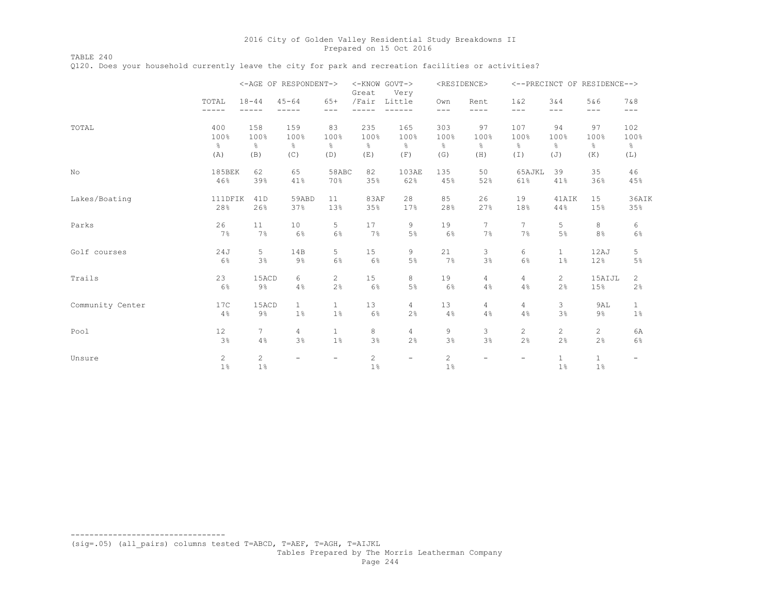TABLE 240

Q120. Does your household currently leave the city for park and recreation facilities or activities?

|                  |                |                | <-AGE OF RESPONDENT->    |                          | <-KNOW GOVT-><br>Great | Very                     |                | <residence></residence> |                          |                | <--PRECINCT OF RESIDENCE--> |                          |
|------------------|----------------|----------------|--------------------------|--------------------------|------------------------|--------------------------|----------------|-------------------------|--------------------------|----------------|-----------------------------|--------------------------|
|                  | TOTAL<br>----- | $18 - 44$      | $45 - 64$                | $65+$<br>$---$           | /Fair                  | Little                   | Own<br>$---$   | Rent<br>----            | 1 & 2<br>$- - -$         | 3&4<br>$- - -$ | 5&6<br>$---$                | 7 & 8<br>$---$           |
|                  |                |                |                          |                          |                        |                          |                |                         |                          |                |                             |                          |
| TOTAL            | 400<br>100%    | 158<br>100%    | 159<br>100%              | 83<br>100%               | 235<br>100%            | 165<br>100%              | 303<br>100%    | 97<br>100%              | 107<br>100%              | 94<br>100%     | 97<br>100%                  | 102<br>100%              |
|                  | $\frac{6}{6}$  | $\frac{6}{6}$  | g.                       | g.                       | g.                     | $\frac{6}{6}$            | ိင             | g.                      | $\frac{6}{6}$            | g.             | g.                          | ိင                       |
|                  | (A)            | (B)            | (C)                      | (D)                      | (E)                    | (F)                      | (G)            | (H)                     | (I)                      | (J)            | (K)                         | (L)                      |
| No               | 185BEK         | 62             | 65                       | 58ABC                    | 82                     | 103AE                    | 135            | 50                      | 65AJKL                   | 39             | 35                          | 46                       |
|                  | 46%            | 39%            | 41%                      | 70%                      | 35%                    | 62%                      | 45%            | 52%                     | 61%                      | 41%            | 36%                         | 45%                      |
| Lakes/Boating    | 111DFIK        | 41D            | 59ABD                    | 11                       | <b>83AF</b>            | 28                       | 85             | 26                      | 19                       | 41AIK          | 15                          | 36AIK                    |
|                  | 28%            | 26%            | 37%                      | 13%                      | 35%                    | 17%                      | 28%            | 27%                     | 18%                      | 44%            | 15%                         | 35%                      |
| Parks            | 26             | 11             | 10                       | 5                        | 17                     | 9                        | 19             | 7                       | 7                        | 5              | 8                           | 6                        |
|                  | 7%             | 7%             | 6%                       | 6%                       | 7%                     | 5%                       | 6%             | 7%                      | 7%                       | $5\%$          | 8%                          | 6%                       |
| Golf courses     | 24J            | 5              | 14B                      | 5                        | 15                     | 9                        | 21             | 3                       | 6                        | $\mathbf{1}$   | 12AJ                        | 5                        |
|                  | 6%             | 3%             | $9\frac{6}{6}$           | 6%                       | 6%                     | 5%                       | 7%             | 3%                      | 6%                       | 1%             | 12%                         | 5%                       |
| Trails           | 23             | 15ACD          | 6                        | $\mathbf{2}$             | 15                     | 8                        | 19             | $\overline{4}$          | 4                        | $\overline{2}$ | 15AIJL                      | $\mathbf{2}^{\prime}$    |
|                  | 6%             | $9\%$          | 4%                       | 2%                       | 6%                     | 5%                       | 6%             | 4%                      | 4%                       | 2%             | 15%                         | 2%                       |
| Community Center | 17C            | 15ACD          | $\mathbf{1}$             | $\mathbf{1}$             | 13                     | $\overline{4}$           | 13             | 4                       | 4                        | 3              | 9AL                         | $\mathbf{1}$             |
|                  | 4%             | $9\%$          | $1\%$                    | $1\%$                    | 6%                     | 2%                       | 4%             | 4%                      | 4%                       | 3%             | $9\%$                       | $1\%$                    |
| Pool             | 12             | 7              | $\overline{4}$           | $\mathbf{1}$             | 8                      | $\overline{4}$           | 9              | 3                       | $\overline{2}$           | $\overline{2}$ | $\mathbf{2}$                | <b>6A</b>                |
|                  | 3%             | 4%             | 3%                       | $1\%$                    | 3%                     | 2%                       | 3%             | 3%                      | 2%                       | 2%             | 2%                          | 6%                       |
| Unsure           | $\overline{c}$ | $\mathbf{2}$   | $\overline{\phantom{m}}$ | $\overline{\phantom{a}}$ | $\mathbf{2}^{\prime}$  | $\overline{\phantom{a}}$ | $\mathbf{2}$   | ÷                       | $\overline{\phantom{0}}$ | $\mathbf{1}$   | $\mathbf{1}$                | $\overline{\phantom{m}}$ |
|                  | 1 <sup>°</sup> | 1 <sup>°</sup> |                          |                          | 1 <sup>°</sup>         |                          | 1 <sup>°</sup> |                         |                          | $1\%$          | $1\%$                       |                          |

(sig=.05) (all\_pairs) columns tested T=ABCD, T=AEF, T=AGH, T=AIJKL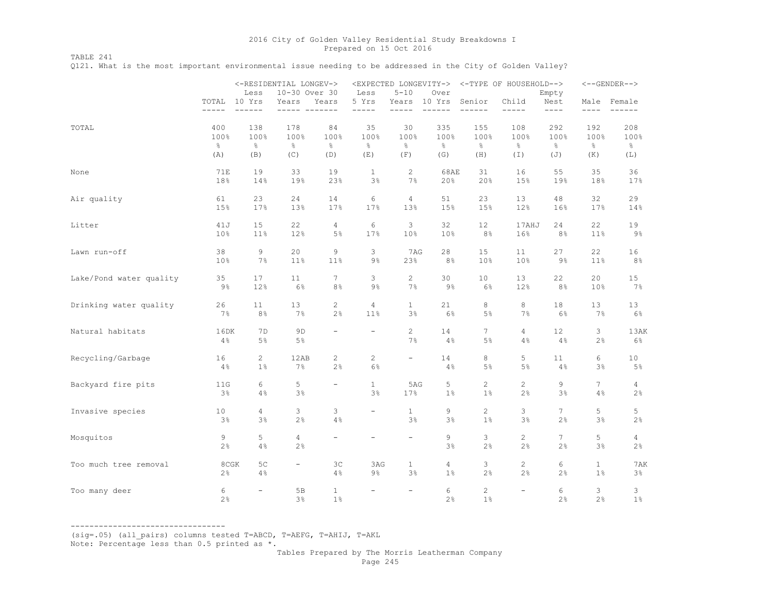TABLE 241

Q121. What is the most important environmental issue needing to be addressed in the City of Golden Valley?

|                         |                                     | Less                                    | <-RESIDENTIAL LONGEV-><br>10-30 Over 30 |                                    | Less                      | $5 - 10$                           | Over                                |                                     | <expected longevity-=""> &lt;-TYPE OF HOUSEHOLD--&gt;</expected> | Empty                               |                                     | $\leftarrow$ -GENDER-->             |
|-------------------------|-------------------------------------|-----------------------------------------|-----------------------------------------|------------------------------------|---------------------------|------------------------------------|-------------------------------------|-------------------------------------|------------------------------------------------------------------|-------------------------------------|-------------------------------------|-------------------------------------|
|                         | TOTAL 10 Yrs<br>-----               | $- - - - - -$                           | Years<br>$- -$                          | Years<br>$\frac{1}{2}$<br>$---$    | 5 Yrs<br>-----            | Years                              | 10 Yrs<br>$-$<br>----               | Senior<br>$- - - - - -$             | Child<br>-----                                                   | Nest<br>$- - - - -$                 | $- - - -$                           | Male Female<br>$---$<br>$---$       |
| TOTAL                   | 400<br>100%<br>$\frac{6}{6}$<br>(A) | 138<br>100%<br>$\frac{\circ}{6}$<br>(B) | 178<br>100%<br>$\%$<br>(C)              | 84<br>100%<br>$\frac{6}{6}$<br>(D) | 35<br>100%<br>$\%$<br>(E) | 30<br>100%<br>$\frac{6}{5}$<br>(F) | 335<br>100%<br>$\frac{6}{6}$<br>(G) | 155<br>100%<br>$\frac{6}{6}$<br>(H) | 108<br>100%<br>$\frac{6}{6}$<br>$(\bot)$                         | 292<br>100%<br>$\frac{6}{6}$<br>(J) | 192<br>100%<br>$\frac{6}{6}$<br>(K) | 208<br>100%<br>$\frac{6}{6}$<br>(L) |
| None                    | <b>71E</b><br>18%                   | 19<br>14%                               | 33<br>19%                               | 19<br>23%                          | $\mathbf{1}$<br>3%        | 2<br>7%                            | 68AE<br>20%                         | 31<br>20%                           | 16<br>15%                                                        | 55<br>19%                           | 35<br>18%                           | 36<br>17%                           |
| Air quality             | 61<br>15%                           | 23<br>17%                               | 24<br>13%                               | 14<br>17%                          | 6<br>17%                  | $\overline{4}$<br>13%              | 51<br>15%                           | 23<br>15%                           | 13<br>12%                                                        | 48<br>16%                           | 32<br>17%                           | 29<br>14%                           |
| Litter                  | 41J<br>10 <sub>8</sub>              | 15<br>$11\%$                            | 22<br>12%                               | 4<br>$5\%$                         | 6<br>17%                  | 3<br>10%                           | 32<br>10 <sub>8</sub>               | 12<br>8 <sup>°</sup>                | 17AHJ<br>16%                                                     | 24<br>8 <sup>°</sup>                | 22<br>$11\%$                        | 19<br>$9\%$                         |
| Lawn run-off            | 38<br>10 <sup>°</sup>               | 9<br>7%                                 | 20<br>$11\%$                            | 9<br>11%                           | 3<br>9%                   | 7AG<br>23%                         | 28<br>8 <sup>°</sup>                | 15<br>10 <sub>8</sub>               | 11<br>10 <sup>°</sup>                                            | 27<br>9%                            | 22<br>$11\%$                        | 16<br>8%                            |
| Lake/Pond water quality | 35<br>9%                            | 17<br>12%                               | 11<br>6%                                | $7^{\circ}$<br>8%                  | 3<br>$9\%$                | $\mathbf{2}$<br>7%                 | 30<br>9%                            | 10<br>6%                            | 13<br>12%                                                        | 22<br>8%                            | 20<br>10%                           | 15<br>7%                            |
| Drinking water quality  | 26<br>$7\%$                         | 11<br>8%                                | 13<br>$7\%$                             | $\overline{c}$<br>2%               | 4<br>11%                  | $\mathbf{1}$<br>3%                 | 21<br>6%                            | 8<br>5%                             | 8<br>$7\%$                                                       | 18<br>6%                            | 13<br>7%                            | 13<br>$6\%$                         |
| Natural habitats        | 16DK<br>$4\,$ $\,$                  | 7 D<br>$5\%$                            | 9D<br>$5\%$                             | $\overline{\phantom{a}}$           | $\overline{\phantom{a}}$  | $\mathbf{2}$<br>7%                 | 14<br>4%                            | $7^{\circ}$<br>$5\%$                | $\overline{4}$<br>4%                                             | 12<br>4%                            | 3<br>2%                             | 13AK<br>$6\%$                       |
| Recycling/Garbage       | 16<br>4%                            | $\overline{2}$<br>$1\%$                 | 12AB<br>7%                              | $\overline{c}$<br>2%               | $\mathbf{2}$<br>6%        | $\overline{\phantom{a}}$           | 14<br>4%                            | 8<br>$5\%$                          | 5<br>5%                                                          | 11<br>4%                            | 6<br>3%                             | 10 <sub>o</sub><br>5%               |
| Backyard fire pits      | 11G<br>$3\%$                        | 6<br>4%                                 | 5<br>3%                                 | $\overline{\phantom{a}}$           | $\mathbf{1}$<br>3%        | 5AG<br>17%                         | 5<br>$1\%$                          | $\overline{c}$<br>$1\%$             | $\overline{2}$<br>2%                                             | 9<br>$3\%$                          | $7\phantom{.}$<br>4%                | 4<br>2%                             |
| Invasive species        | 10<br>3%                            | $\overline{4}$<br>3%                    | 3<br>2%                                 | 3<br>4%                            | $\overline{\phantom{a}}$  | $\mathbf{1}$<br>3%                 | 9<br>$3\%$                          | $\overline{c}$<br>$1\%$             | 3<br>3%                                                          | $7\overline{ }$<br>$2\%$            | 5<br>3%                             | 5<br>2%                             |
| Mosquitos               | 9<br>2%                             | 5<br>4%                                 | $\overline{4}$<br>2%                    | $\overline{\phantom{a}}$           | $\overline{\phantom{0}}$  | $\overline{\phantom{a}}$           | 9<br>3%                             | 3<br>2%                             | $\overline{2}$<br>2%                                             | $7\phantom{.0}$<br>2%               | 5<br>3%                             | $\overline{4}$<br>2%                |
| Too much tree removal   | 8CGK<br>2%                          | 5 <sup>C</sup><br>4%                    |                                         | ЗC<br>4%                           | 3AG<br>9%                 | $\mathbf{1}$<br>3%                 | 4<br>$1\%$                          | 3<br>2%                             | $\overline{2}$<br>$2\%$                                          | 6<br>2%                             | $\mathbf{1}$<br>$1\%$               | 7AK<br>3%                           |
| Too many deer           | 6<br>2%                             | $-$                                     | 5B<br>3%                                | $\mathbf{1}$<br>$1\%$              | $\overline{\phantom{0}}$  | $-$                                | 6<br>2%                             | $\overline{c}$<br>$1\%$             | $\overline{\phantom{a}}$                                         | 6<br>2%                             | 3<br>2%                             | 3<br>$1\%$                          |

---------------------------------

(sig=.05) (all\_pairs) columns tested T=ABCD, T=AEFG, T=AHIJ, T=AKL

Note: Percentage less than 0.5 printed as \*.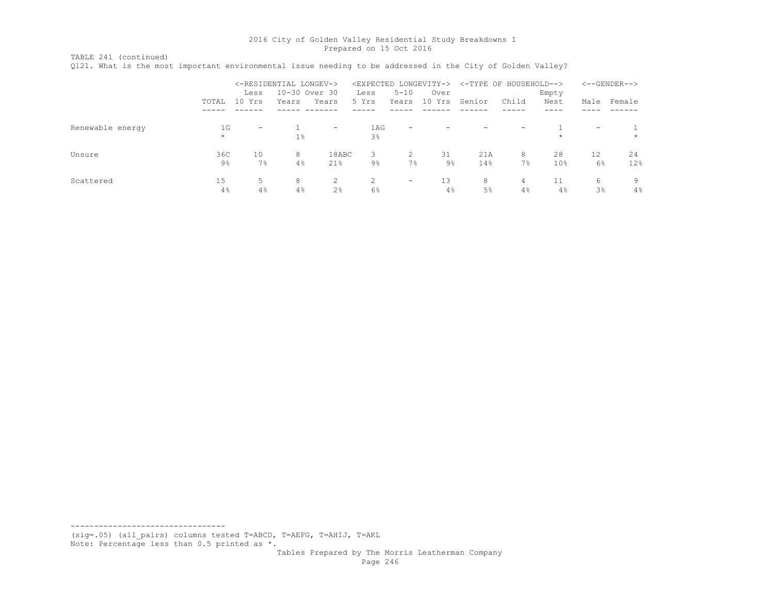TABLE 241 (continued)

Q121. What is the most important environmental issue needing to be addressed in the City of Golden Valley?

|                  |               |           | <-RESIDENTIAL LONGEV-> |                          | <expected longevity-=""></expected> |                   |             | <-TYPE OF HOUSEHOLD--> |         |                       |                          | $<-$ -GENDER--> |
|------------------|---------------|-----------|------------------------|--------------------------|-------------------------------------|-------------------|-------------|------------------------|---------|-----------------------|--------------------------|-----------------|
|                  |               | Less      | 10-30 Over 30          |                          | Less                                | $5 - 10$          | Over        |                        |         | Empty                 |                          |                 |
|                  | TOTAL         | 10<br>Yrs | Years                  | Years                    | 5 Yrs                               | Years             | 10 Yrs      | Senior                 | Child   | Nest                  | Male                     | Female          |
|                  |               |           |                        |                          |                                     |                   |             |                        |         |                       |                          |                 |
| Renewable energy | 1G<br>$\star$ |           | $1\%$                  | $\overline{\phantom{0}}$ | 1AG<br>3%                           | -                 |             |                        |         | $\star$               | $\overline{\phantom{0}}$ | $\star$         |
| Unsure           | 36C<br>9%     | 10<br>7%  | 8<br>4%                | 18ABC<br>21%             | 3<br>9%                             | 2<br>7%           | 31<br>$9\%$ | 21A<br>14%             | 8<br>7% | 28<br>10 <sup>°</sup> | 12<br>6%                 | 24<br>12%       |
| Scattered        | 15<br>4%      | .5<br>4%  | 8<br>4%                | 2 <sup>°</sup>           | $\mathcal{D}$<br>6%                 | $\qquad \qquad -$ | 13<br>4%    | 8<br>5%                | 4<br>4% | 11<br>4%              | 6<br>3%                  | 9<br>4%         |

--------------------------------- (sig=.05) (all\_pairs) columns tested T=ABCD, T=AEFG, T=AHIJ, T=AKL

Note: Percentage less than 0.5 printed as \*.

 Tables Prepared by The Morris Leatherman Company Page 246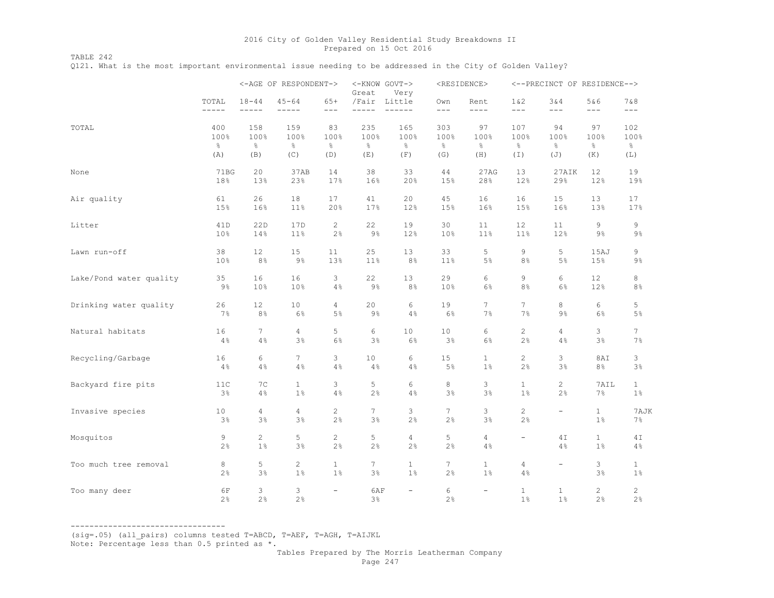TABLE 242

Q121. What is the most important environmental issue needing to be addressed in the City of Golden Valley?

|                         |                 |                    | <-AGE OF RESPONDENT->   |                          | <-KNOW GOVT-><br>Great | Very                     |                      | <residence></residence>  |                       | <--PRECINCT OF RESIDENCE--> |                       |                       |
|-------------------------|-----------------|--------------------|-------------------------|--------------------------|------------------------|--------------------------|----------------------|--------------------------|-----------------------|-----------------------------|-----------------------|-----------------------|
|                         | TOTAL           | $18 - 44$          | $45 - 64$               | $65+$                    | /Fair Little           | $- -$                    | Own                  | Rent                     | $1\&2$                | 3&4                         | 5&6                   | 7&8                   |
|                         | -----           | $- - - - -$        | $- - - - - -$           | $- - -$                  | $- - - - -$            | $- - - -$                | $---$                | $- - - -$                | $- - -$               | $---$                       | $---$                 | $---$                 |
| TOTAL                   | 400             | 158                | 159                     | 83                       | 235                    | 165                      | 303                  | 97                       | 107                   | 94                          | 97                    | 102                   |
|                         | 100%            | 100%               | 100%                    | 100%                     | 100%                   | 100%                     | 100%                 | 100%                     | 100%                  | 100%                        | 100%                  | 100%                  |
|                         | $\%$            | $\frac{6}{5}$      | $\%$                    | $\frac{6}{6}$            | $\%$                   | $\%$                     | $\frac{6}{6}$        | $\%$                     | $\frac{6}{6}$         | $\%$                        | $\frac{6}{6}$         | $\frac{6}{6}$         |
|                         | (A)             | (B)                | (C)                     | (D)                      | (E)                    | (F)                      | (G)                  | (H)                      | $(\top)$              | $(\mathbb{J})$              | (K)                   | (L)                   |
| None                    | 71BG            | 20                 | 37AB                    | 14                       | 38                     | 33                       | 44                   | 27AG                     | 13                    | 27AIK                       | 12                    | 19                    |
|                         | 18%             | 13%                | 23%                     | 17%                      | 16%                    | 20%                      | 15%                  | 28%                      | 12%                   | 29%                         | 12%                   | 19%                   |
| Air quality             | 61              | 26                 | 18                      | 17                       | 41                     | 20                       | 45                   | 16                       | 16                    | 15                          | 13                    | 17                    |
|                         | 15%             | 16%                | 11%                     | 20%                      | 17%                    | 12%                      | 15%                  | 16%                      | 15%                   | 16%                         | 13%                   | 17%                   |
| Litter                  | 41 <sub>D</sub> | 22D                | 17D                     | $\overline{c}$           | 22                     | 19                       | 30                   | 11                       | 12 <sup>°</sup>       | 11                          | 9                     | 9                     |
|                         | 10%             | 14%                | $11\%$                  | 2%                       | $9\frac{6}{6}$         | 12%                      | 10%                  | 11%                      | 11%                   | 12%                         | $9\,$                 | 9%                    |
| Lawn run-off            | 38              | 12                 | 15                      | 11                       | 25                     | 13                       | 33                   | 5                        | 9                     | 5                           | 15AJ                  | 9                     |
|                         | 10 <sup>°</sup> | 8%                 | $9\,$                   | 13%                      | 11%                    | 8%                       | 11%                  | $5\%$                    | 8%                    | $5\%$                       | 15%                   | $9\%$                 |
| Lake/Pond water quality | 35              | 16                 | 16                      | 3                        | 22                     | 13                       | 29                   | 6                        | 9                     | 6                           | $12 \overline{ }$     | 8                     |
|                         | $9\%$           | 10%                | 10%                     | $4\%$                    | $9\frac{6}{6}$         | 8%                       | 10%                  | $6\%$                    | 8%                    | $6\%$                       | 12%                   | 8 <sup>°</sup>        |
| Drinking water quality  | 26              | 12                 | 10                      | 4                        | 20                     | 6                        | 19                   | 7                        | $7\phantom{.}$        | 8                           | 6                     | 5                     |
|                         | $7\%$           | 8 <sup>°</sup>     | $6\%$                   | $5\%$                    | $9\%$                  | 4%                       | $6\%$                | 7%                       | 7%                    | $9\%$                       | $6\%$                 | 5%                    |
| Natural habitats        | 16              | $7\phantom{.}$     | $\overline{4}$          | 5                        | 6                      | 10                       | $10$                 | 6                        | $\overline{c}$        | $\overline{4}$              | 3                     | 7                     |
|                         | 4%              | 4%                 | $3\%$                   | $6\%$                    | 3%                     | $6\%$                    | 3%                   | $6\%$                    | 2%                    | 4%                          | 3%                    | 7%                    |
| Recycling/Garbage       | 16              | 6                  | 7                       | 3                        | 10                     | 6                        | 15                   | $\mathbf{1}$             | $\overline{c}$        | 3                           | 8AI                   | 3                     |
|                         | 4%              | 4%                 | 4%                      | 4%                       | 4%                     | 4%                       | 5%                   | $1\%$                    | 2%                    | 3%                          | 8%                    | 3%                    |
| Backyard fire pits      | 11C             | 7C                 | $\mathbf{1}$            | 3                        | 5                      | 6                        | 8                    | 3                        | $\mathbf{1}$          | $\mathbf{2}$                | 7AIL                  | $\mathbf{1}$          |
|                         | $3\%$           | 4%                 | 1%                      | 4%                       | 2%                     | 4%                       | $3\%$                | $3\%$                    | $1\%$                 | 2%                          | $7\%$                 | $1\%$                 |
| Invasive species        | 10<br>3%        | 4<br>3%            | 4<br>3%                 | $\overline{c}$<br>2%     | $7\overline{ }$<br>3%  | 3<br>2%                  | $7\phantom{.}$<br>2% | 3<br>3%                  | $\overline{c}$<br>2%  | $\overline{\phantom{a}}$    | $\mathbf{1}$<br>$1\%$ | 7AJK<br>$7\%$         |
| Mosquitos               | 9<br>2%         | $\mathbf{2}$<br>1% | 5<br>3%                 | $\overline{c}$<br>2%     | 5<br>2%                | $\overline{4}$<br>2%     | 5<br>2%              | 4<br>4%                  | -                     | 4 I<br>4%                   | $\mathbf{1}$<br>$1\%$ | 4 I<br>$4\%$          |
| Too much tree removal   | 8<br>2%         | 5<br>3%            | $\overline{c}$<br>$1\%$ | $\mathbf{1}$<br>$1\%$    | $7\phantom{.0}$<br>3%  | $\mathbf{1}$<br>$1\%$    | $7\phantom{.}$<br>2% | $\mathbf{1}$<br>$1\%$    | $\overline{4}$<br>4%  | $\overline{\phantom{a}}$    | 3<br>3%               | $\mathbf{1}$<br>$1\%$ |
| Too many deer           | 6F<br>2%        | 3<br>2%            | 3<br>2%                 | $\overline{\phantom{0}}$ | 6AF<br>3%              | $\overline{\phantom{0}}$ | 6<br>2%              | $\overline{\phantom{a}}$ | $\mathbf{1}$<br>$1\%$ | $\mathbf{1}$<br>1%          | $\mathbf{2}$<br>2%    | $\mathbf{2}$<br>2%    |

---------------------------------

(sig=.05) (all\_pairs) columns tested T=ABCD, T=AEF, T=AGH, T=AIJKL

Note: Percentage less than 0.5 printed as \*.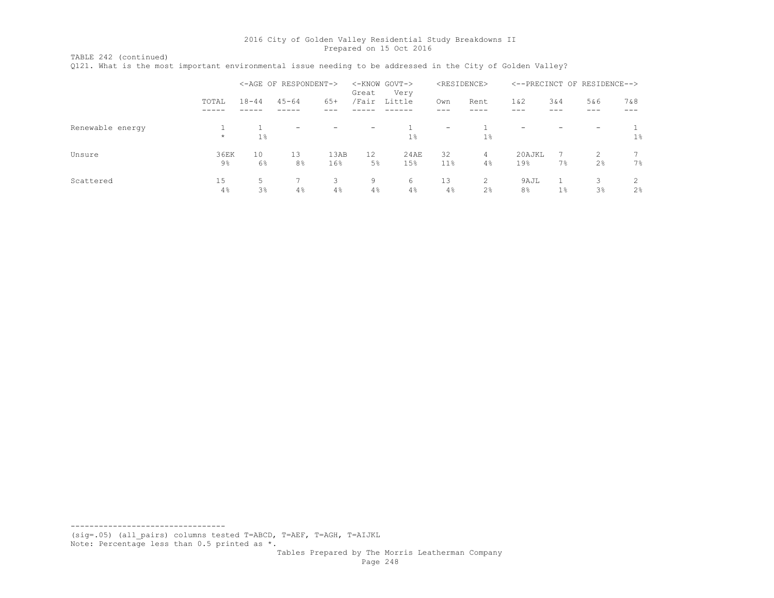TABLE 242 (continued)

Q121. What is the most important environmental issue needing to be addressed in the City of Golden Valley?

|                  |            |                     | <-AGE OF RESPONDENT->    |                          | Great             | <-KNOW GOVT-><br>Very |                          | <residence></residence> |                        |       | <--PRECINCT OF RESIDENCE--> |                     |
|------------------|------------|---------------------|--------------------------|--------------------------|-------------------|-----------------------|--------------------------|-------------------------|------------------------|-------|-----------------------------|---------------------|
|                  | TOTAL      | $18 - 44$           | $45 - 64$                | $65+$                    | /Fair             | Little                | Own                      | Rent                    | 1 & 2                  | 3&4   | 5&6                         | 7&8                 |
| Renewable energy | $\star$    | $1\%$               | $\overline{\phantom{0}}$ | $\overline{\phantom{a}}$ | $\qquad \qquad -$ | $1\%$                 | $\overline{\phantom{0}}$ | 1%                      | -                      |       | $\overline{\phantom{0}}$    | $1\%$               |
| Unsure           | 36EK<br>9% | 10<br>$6\%$         | 13<br>8 <sup>°</sup>     | 13AB<br>16%              | 12<br>5%          | 24AE<br>15%           | 32<br>11%                | 4<br>4%                 | 20AJKL<br>19%          | 7 %   | 2<br>2%                     | $7\%$               |
| Scattered        | 15<br>4%   | 5<br>3 <sup>°</sup> | 4%                       | 3<br>4%                  | 9<br>4%           | 6<br>4%               | 13<br>4%                 | 2<br>2%                 | 9AJL<br>8 <sup>°</sup> | $1\%$ | 3<br>3%                     | 2<br>2 <sup>°</sup> |

--------------------------------- (sig=.05) (all\_pairs) columns tested T=ABCD, T=AEF, T=AGH, T=AIJKL

Note: Percentage less than 0.5 printed as \*.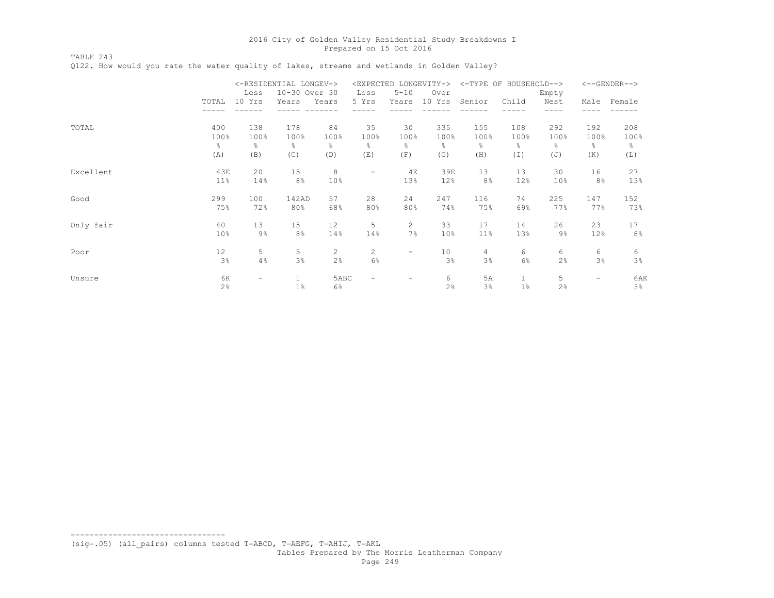TABLE 243

Q122. How would you rate the water quality of lakes, streams and wetlands in Golden Valley?

|           |       |        | <-RESIDENTIAL LONGEV-> |                       |                          | <expected longevity-=""></expected> |                 |        | <-TYPE OF HOUSEHOLD--> |       |                   | $<-$ -GENDER--> |
|-----------|-------|--------|------------------------|-----------------------|--------------------------|-------------------------------------|-----------------|--------|------------------------|-------|-------------------|-----------------|
|           |       | Less   | 10-30 Over 30          |                       | Less                     | $5 - 10$                            | Over            |        |                        | Empty |                   |                 |
|           | TOTAL | 10 Yrs | Years                  | Years                 | 5 Yrs                    | Years                               | 10 Yrs          | Senior | Child                  | Nest  | Male              | Female          |
|           |       |        |                        |                       |                          |                                     |                 |        |                        |       |                   |                 |
| TOTAL     | 400   | 138    | 178                    | 84                    | 35                       | 30                                  | 335             | 155    | 108                    | 292   | 192               | 208             |
|           | 100%  | 100%   | 100%                   | 100%                  | 100%                     | 100%                                | 100%            | 100%   | 100%                   | 100%  | 100%              | 100%            |
|           | &     | 옹      | $\frac{6}{6}$          | 옹                     | g.                       | g.                                  | ိင              | 옹      | 옹                      | g.    | &                 | ိင              |
|           | (A)   | (B)    | (C)                    | (D)                   | (E)                      | (F)                                 | (G)             | (H)    | $(\bot)$               | (J)   | (K)               | (L)             |
| Excellent | 43E   | 20     | 15                     | 8                     | -                        | 4E                                  | 39E             | 13     | 13                     | 30    | 16                | 27              |
|           | 11%   | 14%    | 8%                     | 10%                   |                          | 13%                                 | 12%             | 8%     | 12%                    | 10%   | 8 <sup>°</sup>    | 13%             |
| Good      | 299   | 100    | 142AD                  | 57                    | 28                       | 24                                  | 247             | 116    | 74                     | 225   | 147               | 152             |
|           | 75%   | 72%    | 80%                    | 68%                   | 80%                      | 80%                                 | 74%             | 75%    | 69%                    | 77%   | 77%               | 73%             |
| Only fair | 40    | 13     | 15                     | 12                    | 5                        | $\mathbf{2}$                        | 33              | 17     | 14                     | 26    | 23                | 17              |
|           | 10%   | $9\%$  | 8%                     | 14%                   | 14%                      | 7%                                  | 10 <sub>8</sub> | 11%    | 13%                    | $9\%$ | 12%               | 8%              |
| Poor      | 12    | 5      | 5                      | $\mathbf{2}^{\prime}$ | $\mathbf{2}^{\prime}$    | -                                   | 10              | 4      | 6                      | 6     | 6                 | 6               |
|           | 3%    | 4%     | 3%                     | 2%                    | 6%                       |                                     | 3%              | 3%     | 6%                     | 2%    | 3%                | 3%              |
| Unsure    | 6K    | -      |                        | 5ABC                  | $\overline{\phantom{0}}$ |                                     | 6               | 5A     | $\mathbf{1}$           | 5     | $\qquad \qquad -$ | 6AK             |
|           | 2%    |        | 1%                     | $6\%$                 |                          |                                     | 2%              | 3%     | $1\%$                  | 2%    |                   | $3\frac{6}{6}$  |

(sig=.05) (all\_pairs) columns tested T=ABCD, T=AEFG, T=AHIJ, T=AKL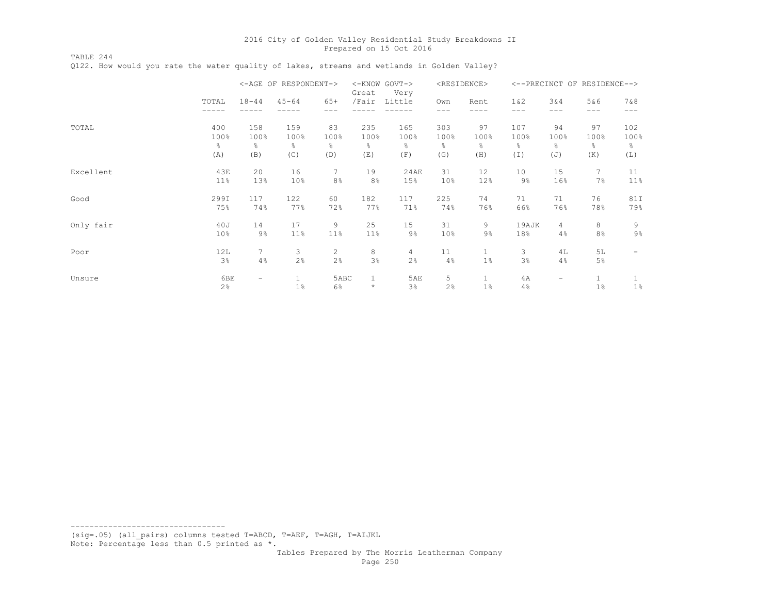TABLE 244 Q122. How would you rate the water quality of lakes, streams and wetlands in Golden Valley?

|           |                 |           | <-AGE OF RESPONDENT-> |                | <-KNOW GOVT-><br>Great | Very           |                 | <residence></residence> |               |               | <--PRECINCT OF RESIDENCE--> |                |
|-----------|-----------------|-----------|-----------------------|----------------|------------------------|----------------|-----------------|-------------------------|---------------|---------------|-----------------------------|----------------|
|           | TOTAL<br>-----  | $18 - 44$ | $45 - 64$             | $65+$<br>---   | /Fair                  | Little         | Own<br>$- - -$  | Rent<br>----            | $1\&2$<br>--- | 3&4<br>$---$  | 5&6<br>$---$                | 7&8<br>$-- -$  |
|           |                 |           |                       |                |                        |                |                 |                         |               |               |                             |                |
| TOTAL     | 400             | 158       | 159                   | 83             | 235                    | 165            | 303             | 97                      | 107           | 94            | 97                          | 102            |
|           | 100%            | 100%      | 100%                  | 100%           | 100%                   | 100%           | 100%            | 100%                    | 100%          | 100%          | 100%                        | 100%           |
|           | g.              | ⊱         | $\frac{6}{6}$         | $\frac{6}{6}$  | ⊱                      | g.             | g.              | g.                      | g.            | $\frac{6}{6}$ | g.                          | 옹              |
|           | (A)             | (B)       | (C)                   | (D)            | (E)                    | (F)            | (G)             | (H)                     | (I)           | (J)           | (K)                         | (L)            |
| Excellent | 43E             | 20        | 16                    | $\overline{7}$ | 19                     | 24AE           | 31              | 12                      | 10            | 15            | 7                           | 11             |
|           | $11\%$          | 13%       | 10%                   | 8%             | 8%                     | 15%            | 10 <sup>°</sup> | 12%                     | 9%            | 16%           | 7%                          | 11%            |
| Good      | 299I            | 117       | 122                   | 60             | 182                    | 117            | 225             | 74                      | 71            | 71            | 76                          | 81I            |
|           | 75%             | 74%       | 77%                   | 72%            | 77%                    | 71%            | 74%             | 76%                     | 66%           | 76%           | 78%                         | 79%            |
| Only fair | 40J             | 14        | 17                    | 9              | 25                     | 15             | 31              | 9                       | 19AJK         | 4             | 8                           | 9              |
|           | 10 <sup>°</sup> | $9\%$     | 11%                   | 11%            | 11%                    | $9\%$          | 10%             | $9\%$                   | 18%           | 4%            | 8%                          | $9\frac{6}{6}$ |
| Poor      | 12L             | 7         | 3                     | 2              | 8                      | $\overline{4}$ | 11              | $\mathbf{1}$            | 3             | 4L            | 5L                          |                |
|           | 3%              | 4%        | 2%                    | 2%             | 3%                     | 2%             | 4%              | $1\%$                   | 3%            | 4%            | 5%                          |                |
| Unsure    | 6BE             | -         | 1                     | 5ABC           |                        | 5AE            | 5               | 1                       | 4A            |               |                             |                |
|           | 2%              |           | $1\%$                 | $6\%$          | $\star$                | 3%             | 2%              | 1%                      | 4%            |               | $1\%$                       | $1\%$          |

--------------------------------- (sig=.05) (all\_pairs) columns tested T=ABCD, T=AEF, T=AGH, T=AIJKL Note: Percentage less than 0.5 printed as \*.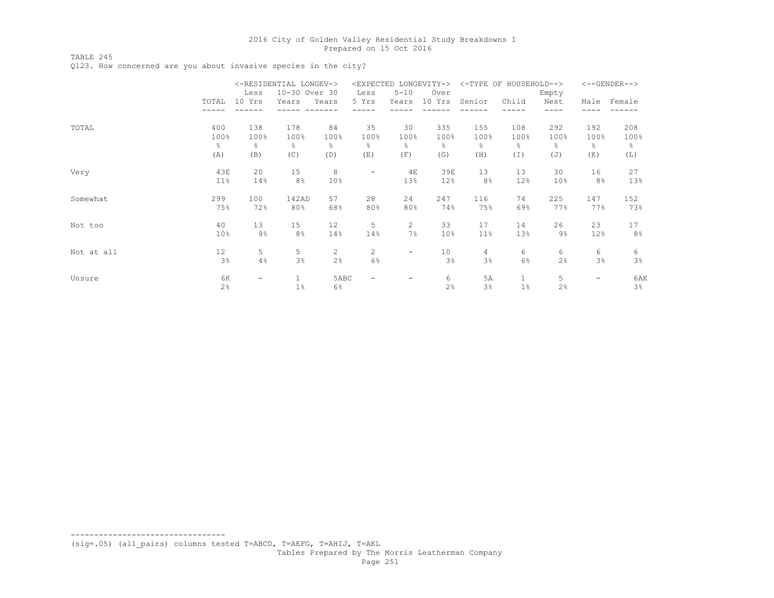## TABLE 245

Q123. How concerned are you about invasive species in the city?

|            |       |        | <-RESIDENTIAL LONGEV-> |                       | <expected< th=""><th></th><th>LONGEVITY-&gt;</th><th></th><th>&lt;-TYPE OF HOUSEHOLD--&gt;</th><th></th><th></th><th><math>&lt;-</math>-GENDER--&gt;</th></expected<> |          | LONGEVITY-> |        | <-TYPE OF HOUSEHOLD--> |       |      | $<-$ -GENDER--> |
|------------|-------|--------|------------------------|-----------------------|-----------------------------------------------------------------------------------------------------------------------------------------------------------------------|----------|-------------|--------|------------------------|-------|------|-----------------|
|            |       | Less   | 10-30 Over 30          |                       | Less                                                                                                                                                                  | $5 - 10$ | Over        |        |                        | Empty |      |                 |
|            | TOTAL | 10 Yrs | Years                  | Years                 | 5 Yrs                                                                                                                                                                 | Years    | 10 Yrs      | Senior | Child                  | Nest  | Male | Female          |
|            |       |        |                        |                       |                                                                                                                                                                       |          |             |        |                        |       |      |                 |
| TOTAL      | 400   | 138    | 178                    | 84                    | 35                                                                                                                                                                    | 30       | 335         | 155    | 108                    | 292   | 192  | 208             |
|            | 100%  | 100%   | 100%                   | 100%                  | 100%                                                                                                                                                                  | 100%     | 100%        | 100%   | 100%                   | 100%  | 100% | 100%            |
|            | &     | 옹      | $\frac{6}{6}$          | 옹                     | &                                                                                                                                                                     | န္       | ိင          | 옹      | ိင                     | g.    | 응    | ိင              |
|            | (A)   | (B)    | (C)                    | (D)                   | (E)                                                                                                                                                                   | (F)      | (G)         | (H)    | (I)                    | (J)   | (K)  | (L)             |
| Very       | 43E   | 20     | 15                     | 8                     | $\overline{\phantom{m}}$                                                                                                                                              | 4E       | 39E         | 13     | 13                     | 30    | 16   | 27              |
|            | 11%   | 14%    | 8%                     | 10 <sup>°</sup>       |                                                                                                                                                                       | 13%      | 12%         | 8%     | 12%                    | 10%   | 8%   | 13%             |
| Somewhat   | 299   | 100    | 142AD                  | 57                    | 28                                                                                                                                                                    | 24       | 247         | 116    | 74                     | 225   | 147  | 152             |
|            | 75%   | 72%    | 80%                    | 68%                   | 80%                                                                                                                                                                   | 80%      | 74%         | 75%    | 69%                    | 77%   | 77%  | 73%             |
| Not too    | 40    | 13     | 15                     | 12                    | 5                                                                                                                                                                     | 2        | 33          | 17     | 14                     | 26    | 23   | 17              |
|            | 10%   | $9\%$  | 8%                     | 14%                   | 14%                                                                                                                                                                   | 7%       | 10%         | 11%    | 13%                    | $9\%$ | 12%  | 8%              |
| Not at all | 12    | 5      | 5                      | $\mathbf{2}^{\prime}$ | $\mathbf{2}^{\prime}$                                                                                                                                                 | -        | 10          | 4      | 6                      | 6     | 6    | 6               |
|            | 3%    | 4%     | $3\%$                  | 2%                    | 6%                                                                                                                                                                    |          | 3%          | 3%     | 6%                     | 2%    | 3%   | 3%              |
| Unsure     | 6K    | -      |                        | 5ABC                  | -                                                                                                                                                                     |          | 6           | 5A     | 1                      | 5     | -    | 6AK             |
|            | 2%    |        | $1\%$                  | $6\%$                 |                                                                                                                                                                       |          | 2%          | 3%     | $1\%$                  | 2%    |      | $3\frac{6}{6}$  |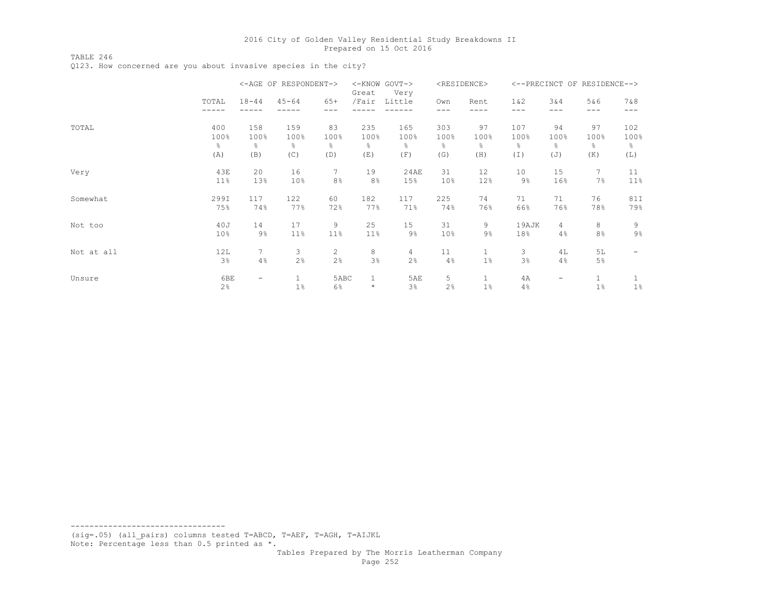TABLE 246

Q123. How concerned are you about invasive species in the city?

|            |             |             | <-AGE OF RESPONDENT-> |              | Great       | <-KNOW GOVT-><br>Very |                 | <residence></residence> |             |                | <--PRECINCT OF RESIDENCE--> |                |
|------------|-------------|-------------|-----------------------|--------------|-------------|-----------------------|-----------------|-------------------------|-------------|----------------|-----------------------------|----------------|
|            | TOTAL       | $18 - 44$   | $45 - 64$             | $65+$        | /Fair       | Little                | Own             | Rent                    | 1 & 2       | 3&4            | 5&6                         | 7&8            |
|            |             |             |                       |              |             |                       | $---$           |                         | $---$       | $- - -$        | $---$                       | $---$          |
| TOTAL      | 400<br>100% | 158<br>100% | 159<br>100%           | 83<br>100%   | 235<br>100% | 165<br>100%           | 303<br>100%     | 97<br>100%              | 107<br>100% | 94<br>100%     | 97<br>100%                  | 102<br>100%    |
|            | ိင          | 옹           | န္                    | 응            | 옹           | 옹                     | 옹               | ိင                      | 옹           | ိင             | 응                           | 옹              |
|            | (A)         | (B)         | (C)                   | (D)          | (E)         | (F)                   | (G)             | (H)                     | (I)         | (J)            | (K)                         | (L)            |
| Very       | 43E         | 20          | 16                    | $\tau$       | 19          | 24AE                  | 31              | 12                      | 10          | 15             | $7^{\circ}$                 | 11             |
|            | 11%         | 13%         | 10%                   | 8%           | 8%          | 15%                   | 10%             | 12%                     | $9\%$       | 16%            | 7%                          | 11%            |
| Somewhat   | 299I        | 117         | 122                   | 60           | 182         | 117                   | 225             | 74                      | 71          | 71             | 76                          | 81I            |
|            | 75%         | 74%         | 77%                   | 72%          | 77%         | 71%                   | 74%             | 76%                     | 66%         | 76%            | 78%                         | 79%            |
| Not too    | 40J         | 14          | 17                    | 9            | 25          | 15                    | 31              | 9                       | 19AJK       | $\overline{4}$ | 8                           | 9              |
|            | 10%         | $9\%$       | 11%                   | 11%          | $11\%$      | $9\%$                 | 10 <sup>°</sup> | 9%                      | 18%         | 4%             | 8%                          | $9\frac{6}{6}$ |
| Not at all | 12L         | $7^{\circ}$ | 3                     | $\mathbf{2}$ | 8           | 4                     | 11              | $\mathbf{1}$            | 3           | 4 L            | 5L                          |                |
|            | 3%          | 4%          | 2%                    | 2%           | 3%          | 2%                    | 4%              | $1\%$                   | 3%          | 4%             | 5%                          |                |
| Unsure     | 6BE         | -           | 1                     | 5ABC         | 1           | 5AE                   | 5               | 1                       | 4A          |                |                             |                |
|            | 2%          |             | $1\%$                 | $6\%$        | $\star$     | 3%                    | 2%              | 1%                      | 4%          |                | $1\%$                       | $1\%$          |

--------------------------------- (sig=.05) (all\_pairs) columns tested T=ABCD, T=AEF, T=AGH, T=AIJKL Note: Percentage less than 0.5 printed as \*.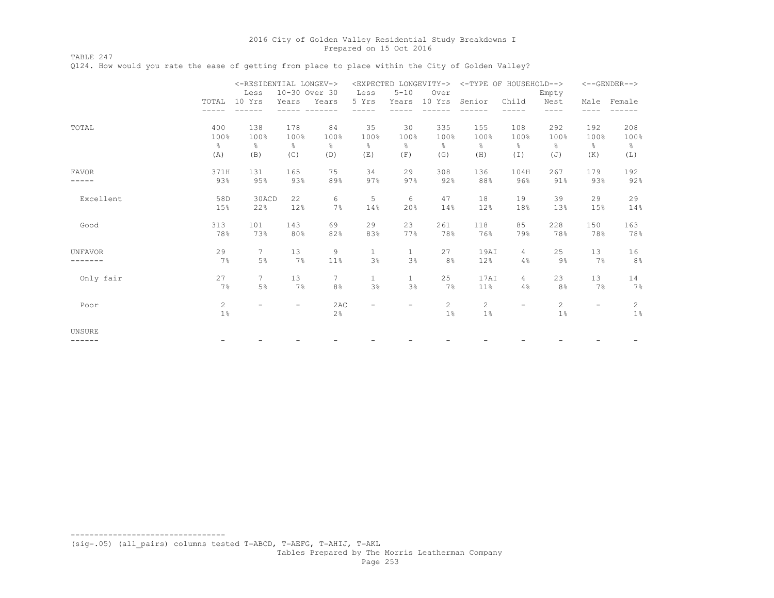TABLE 247

Q124. How would you rate the ease of getting from place to place within the City of Golden Valley?

|                   |               | <-RESIDENTIAL LONGEV-><br>Less | 10-30 Over 30 |               | Less                     | $5 - 10$                 | <expected longevity-=""><br/>Over</expected> | <-TYPE OF HOUSEHOLD--> |                          | Empty                       |                          | $<-$ -GENDER--> |
|-------------------|---------------|--------------------------------|---------------|---------------|--------------------------|--------------------------|----------------------------------------------|------------------------|--------------------------|-----------------------------|--------------------------|-----------------|
|                   | TOTAL         | 10 Yrs<br>$- - -$              | Years         | Years         | 5 Yrs                    | Years                    | 10 Yrs                                       | Senior                 | Child                    | Nest<br>----                | Male<br>----             | Female          |
| TOTAL             | 400           | 138                            | 178           | 84            | 35                       | 30                       | 335                                          | 155                    | 108                      | 292                         | 192                      | 208             |
|                   | 100%          | 100%                           | 100%          | 100%          | 100%                     | 100%                     | 100%                                         | 100%                   | 100%                     | 100%                        | 100%                     | 100%            |
|                   | $\frac{6}{2}$ | $\frac{6}{6}$                  | $\frac{6}{5}$ | $\frac{6}{6}$ | $\approx$                | $\frac{6}{6}$            | $\frac{6}{2}$                                | $\frac{6}{10}$         | $\frac{6}{6}$            | $\frac{6}{6}$               | $\frac{6}{6}$            | $\frac{6}{6}$   |
|                   | (A)           | (B)                            | (C)           | (D)           | (E)                      | (F)                      | (G)                                          | (H)                    | (I)                      | (J)                         | (K)                      | (L)             |
| <b>FAVOR</b>      | 371H          | 131                            | 165           | 75            | 34                       | 29                       | 308                                          | 136                    | 104H                     | 267                         | 179                      | 192             |
|                   | 93%           | 95%                            | 93%           | 89%           | 97%                      | 97%                      | 92%                                          | 88%                    | 96%                      | 91%                         | 93%                      | 92%             |
| Excellent         | 58D           | 30ACD                          | 22            | 6             | 5                        | 6                        | 47                                           | 18                     | 19                       | 39                          | 29                       | 29              |
|                   | 15%           | 22%                            | 12%           | 7%            | 14%                      | 20%                      | 14%                                          | 12%                    | 18%                      | 13%                         | 15%                      | 14%             |
| Good              | 313           | 101                            | 143           | 69            | 29                       | 23                       | 261                                          | 118                    | 85                       | 228                         | 150                      | 163             |
|                   | 78%           | 73%                            | 80%           | 82%           | 83%                      | 77%                      | 78%                                          | 76%                    | 79%                      | 78%                         | 78%                      | 78%             |
| <b>UNFAVOR</b>    | 29            | $\tau$                         | 13            | 9             | $\mathbf{1}$             | $\mathbf{1}$             | 27                                           | 19AI                   | 4                        | 25                          | 13                       | 16              |
|                   | 7%            | 5%                             | 7%            | 11%           | 3%                       | 3%                       | 8%                                           | 12%                    | 4%                       | 9%                          | 7%                       | 8%              |
| Only fair         | 27            | $7\overline{ }$                | 13            | $7^{\circ}$   | $\mathbf{1}$             | $\mathbf{1}$             | 25                                           | 17AI                   | 4                        | 23                          | 13                       | 14              |
|                   | 7%            | $5\%$                          | 7%            | 8%            | 3%                       | 3%                       | 7%                                           | 11%                    | 4%                       | 8%                          | 7%                       | 7%              |
| Poor              | 2<br>1%       | -                              |               | 2AC<br>2%     | $\overline{\phantom{a}}$ | $\overline{\phantom{a}}$ | $\overline{c}$<br>$1\%$                      | 2<br>1%                | $\overline{\phantom{m}}$ | $\mathbf{2}^{\prime}$<br>1% | $\overline{\phantom{a}}$ | 2<br>$1\%$      |
| UNSURE<br>------- |               |                                |               |               |                          |                          |                                              |                        |                          |                             |                          |                 |

(sig=.05) (all\_pairs) columns tested T=ABCD, T=AEFG, T=AHIJ, T=AKL

---------------------------------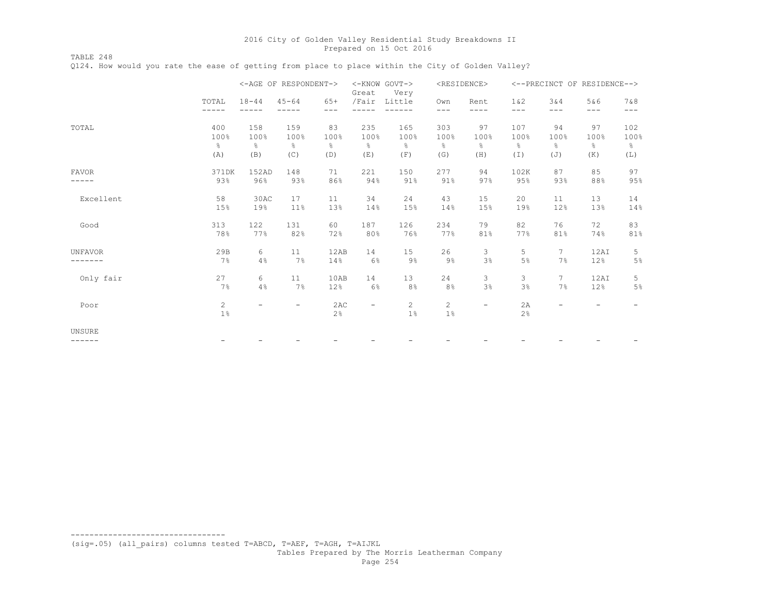TABLE 248 Q124. How would you rate the ease of getting from place to place within the City of Golden Valley?

|              |            |                          | <-AGE OF RESPONDENT-> |               | <-KNOW GOVT-><br>Great   | Very    |                                | <residence></residence>  |                |                | <--PRECINCT OF RESIDENCE--> |                |
|--------------|------------|--------------------------|-----------------------|---------------|--------------------------|---------|--------------------------------|--------------------------|----------------|----------------|-----------------------------|----------------|
|              | TOTAL      | $18 - 44$                | $45 - 64$             | $65+$<br>---  | /Fair                    | Little  | Own<br>$---$                   | Rent<br>----             | 1 & 2<br>$---$ | 3&4<br>$- - -$ | 5&6<br>$---$                | 7 & 8<br>$---$ |
| TOTAL        | 400        | 158                      | 159                   | 83            | 235                      | 165     | 303                            | 97                       | 107            | 94             | 97                          | 102            |
|              | 100%       | 100%                     | 100%                  | 100%          | 100%                     | 100%    | 100%                           | 100%                     | 100%           | 100%           | 100%                        | 100%           |
|              | ⊱          | ⊱                        | $\frac{6}{6}$         | $\frac{6}{6}$ | $\frac{6}{6}$            | g.      | g.                             | $\frac{6}{6}$            | ⊱              | 옹              | $\frac{6}{6}$               | $\frac{6}{6}$  |
|              | (A)        | (B)                      | (C)                   | (D)           | (E)                      | (F)     | (G)                            | (H)                      | (I)            | (J)            | (K)                         | (L)            |
| <b>FAVOR</b> | 371DK      | 152AD                    | 148                   | 71            | 221                      | 150     | 277                            | 94                       | 102K           | 87             | 85                          | 97             |
|              | 93%        | 96%                      | 93%                   | 86%           | 94%                      | 91%     | 91%                            | 97%                      | 95%            | 93%            | 88%                         | 95%            |
| Excellent    | 58         | 30AC                     | 17                    | 11            | 34                       | 24      | 43                             | 15                       | 20             | 11             | 13                          | 14             |
|              | 15%        | 19%                      | 11%                   | 13%           | 14%                      | 15%     | 14%                            | 15%                      | 19%            | 12%            | 13%                         | 14%            |
| Good         | 313        | 122                      | 131                   | 60            | 187                      | 126     | 234                            | 79                       | 82             | 76             | 72                          | 83             |
|              | 78%        | 77%                      | 82%                   | 72%           | 80%                      | 76%     | 77%                            | 81%                      | 77%            | 81%            | 74%                         | 81%            |
| UNFAVOR      | 29B        | 6                        | 11                    | 12AB          | 14                       | 15      | 26                             | 3                        | 5              | $7^{\circ}$    | 12AI                        | 5              |
| -----        | 7%         | 4%                       | 7%                    | 14%           | 6%                       | $9\%$   | $9\%$                          | 3%                       | 5%             | 7%             | 12%                         | 5%             |
| Only fair    | 27         | 6                        | 11                    | 10AB          | 14                       | 13      | 24                             | 3                        | 3              | $\tau$         | 12AI                        | 5              |
|              | 7%         | 4%                       | 7%                    | 12%           | 6%                       | 8%      | 8%                             | 3%                       | 3%             | 7%             | 12%                         | 5%             |
| Poor         | 2<br>$1\%$ | $\overline{\phantom{0}}$ | $-$                   | 2AC<br>2%     | $\overline{\phantom{0}}$ | 2<br>1% | $\mathbf{2}^{\prime}$<br>$1\%$ | $\overline{\phantom{m}}$ | 2A<br>2%       | Ξ.             |                             |                |
| UNSURE       |            |                          |                       |               |                          |         |                                |                          |                |                |                             |                |
| ------       |            |                          |                       |               |                          |         |                                |                          |                |                |                             |                |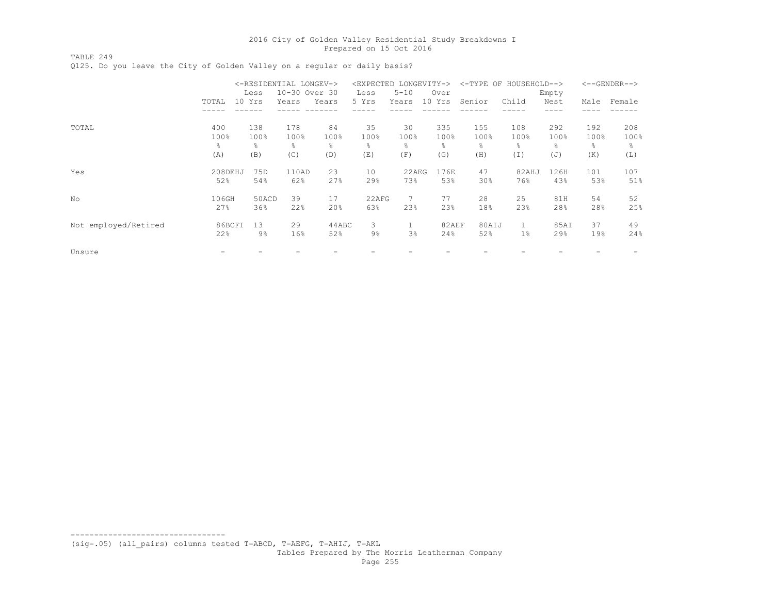TABLE 249 Q125. Do you leave the City of Golden Valley on a regular or daily basis?

|                      |             | <-RESIDENTIAL LONGEV-><br>Less |             | 10-30 Over 30 | <expected longevity-=""><br/>Less</expected> | $5 - 10$   | Over        | $<$ -TYPE OF | HOUSEHOLD--> | Empty       |             | $<-$ -GENDER--> |
|----------------------|-------------|--------------------------------|-------------|---------------|----------------------------------------------|------------|-------------|--------------|--------------|-------------|-------------|-----------------|
|                      | TOTAL       | 10 Yrs                         | Years       | Years         | 5 Yrs                                        | Years      | 10 Yrs      | Senior       | Child        | Nest        | Male        | Female          |
|                      |             |                                |             |               |                                              |            |             |              |              |             |             |                 |
| TOTAL                | 400<br>100% | 138<br>100%                    | 178<br>100% | 84<br>100%    | 35<br>100%                                   | 30<br>100% | 335<br>100% | 155<br>100%  | 108<br>100%  | 292<br>100% | 192<br>100% | 208<br>100%     |
|                      | g.          | g.                             | g.          | 옹             | ⊱                                            | g.         | g.          | g.           | 옹            | g.          | g.          | 옹               |
|                      | (A)         | (B)                            | (C)         | (D)           | (E)                                          | (F)        | (G)         | (H)          | (I)          | (J)         | (K)         | (L)             |
| Yes                  | 208DEHJ     | 75D                            | 110AD       | 23            | 10                                           | 22AEG      | 176E        | 47           | 82AHJ        | 126H        | 101         | 107             |
|                      | 52%         | 54%                            | 62%         | 27%           | 29%                                          | 73%        | 53%         | 30%          | 76%          | 43%         | 53%         | 51%             |
| No                   | 106GH       | 50ACD                          | 39          | 17            | 22AFG                                        | 7          | 77          | 28           | 25           | 81H         | 54          | 52              |
|                      | 27%         | 36%                            | 22%         | 20%           | 63%                                          | 23%        | 23%         | 18%          | 23%          | 28%         | 28%         | 25%             |
| Not employed/Retired | 86BCFI      | 13                             | 29          | 44ABC         | 3                                            |            | 82AEF       | 80AIJ        |              | 85AI        | 37          | 49              |
|                      | 22%         | 9%                             | 16%         | 52%           | $9\%$                                        | 3%         | 24%         | 52%          | 1%           | 29%         | 19%         | 24%             |
| Unsure               |             |                                |             |               |                                              |            |             |              |              |             |             |                 |

--------------------------------- (sig=.05) (all\_pairs) columns tested T=ABCD, T=AEFG, T=AHIJ, T=AKL

Tables Prepared by The Morris Leatherman Company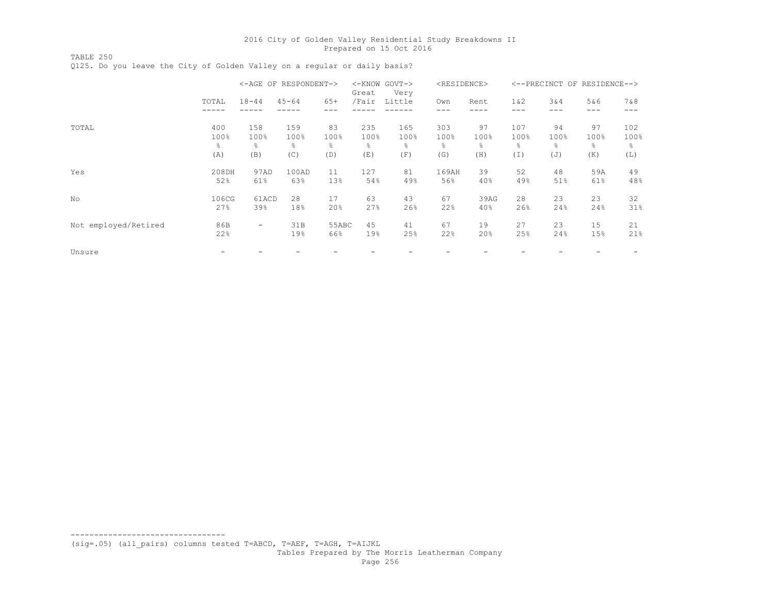TABLE 250 Q125. Do you leave the City of Golden Valley on a regular or daily basis?

|                      |              | <-AGE OF RESPONDENT-> |              |              | $<$ -KNOW<br>Great | $GOVT->$<br>Very | <residence></residence> |             | <--PRECINCT   | OF         | RESIDENCE--> |             |
|----------------------|--------------|-----------------------|--------------|--------------|--------------------|------------------|-------------------------|-------------|---------------|------------|--------------|-------------|
|                      | TOTAL        | $18 - 44$             | $45 - 64$    | $65+$        | /Fair              | Little           | Own                     | Rent        | $1\&2$<br>--- | 3&4        | 5&6<br>---   | 7&8         |
|                      |              |                       |              |              |                    |                  |                         |             |               |            |              |             |
| TOTAL                | 400<br>100%  | 158<br>100%           | 159<br>100%  | 83<br>100%   | 235<br>100%        | 165<br>100%      | 303<br>100%             | 97<br>100%  | 107<br>100%   | 94<br>100% | 97<br>100%   | 102<br>100% |
|                      | g.<br>(A)    | ⊱<br>(B)              | g.<br>(C)    | 옹<br>(D)     | ⊱<br>(E)           | g.<br>(F)        | g.<br>(G)               | g.<br>(H)   | ⊱<br>(I)      | g.<br>(J)  | g.<br>(K)    | 옹<br>(L)    |
| Yes                  | 208DH<br>52% | 97AD<br>61%           | 100AD<br>63% | 11<br>13%    | 127<br>54%         | 81<br>49%        | 169AH<br>56%            | 39<br>40%   | 52<br>49%     | 48<br>51%  | 59A<br>61%   | 49<br>48%   |
| No                   | 106CG<br>27% | 61ACD<br>39%          | 28<br>18%    | 17<br>20%    | 63<br>27%          | 43<br>26%        | 67<br>22%               | 39AG<br>40% | 28<br>26%     | 23<br>24%  | 23<br>24%    | 32<br>31%   |
| Not employed/Retired | 86B<br>22%   | -                     | 31B<br>19%   | 55ABC<br>66% | 45<br>19%          | 41<br>25%        | 67<br>22%               | 19<br>20%   | 27<br>25%     | 23<br>24%  | 15<br>15%    | 21<br>21%   |
| Unsure               |              |                       |              |              |                    |                  |                         |             |               |            |              |             |

--------------------------------- (sig=.05) (all\_pairs) columns tested T=ABCD, T=AEF, T=AGH, T=AIJKL

Tables Prepared by The Morris Leatherman Company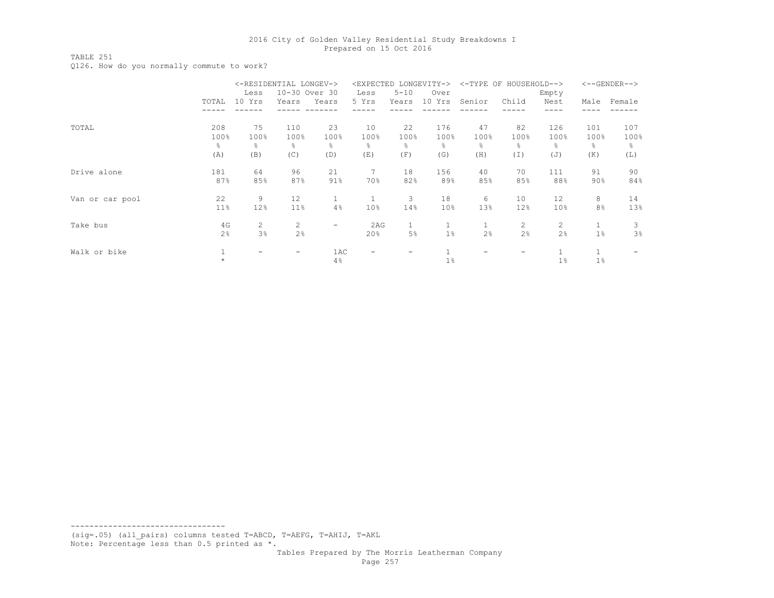TABLE 251

Q126. How do you normally commute to work?

|                 |       |                       | <-RESIDENTIAL LONGEV-> |                          | <expected longevity-=""></expected> |              |                 |              | <-TYPE OF HOUSEHOLD--> |       |       | $<-$ -GENDER--> |
|-----------------|-------|-----------------------|------------------------|--------------------------|-------------------------------------|--------------|-----------------|--------------|------------------------|-------|-------|-----------------|
|                 |       | Less                  | 10-30 Over 30          |                          | Less                                | $5 - 10$     | Over            |              |                        | Empty |       |                 |
|                 | TOTAL | 10 Yrs                | Years                  | Years                    | 5 Yrs                               | Years        | 10 Yrs          | Senior       | Child                  | Nest  | Male  | Female          |
|                 |       |                       |                        |                          |                                     |              |                 |              |                        |       |       |                 |
| TOTAL           | 208   | 75                    | 110                    | 23                       | 10                                  | 22           | 176             | 47           | 82                     | 126   | 101   | 107             |
|                 | 100%  | 100%                  | 100%                   | 100%                     | 100%                                | 100%         | 100%            | 100%         | 100%                   | 100%  | 100%  | 100%            |
|                 | g.    | g.                    | ⊱                      | ⊱                        | ٩,                                  | g.           | န္              | g.           | g.                     | ⊱     | g     | 옹               |
|                 | (A)   | (B)                   | (C)                    | (D)                      | (E)                                 | (F)          | (G)             | (H)          | (I)                    | (J)   | (K)   | (L)             |
| Drive alone     | 181   | 64                    | 96                     | 21                       | 7                                   | 18           | 156             | 40           | 70                     | 111   | 91    | 90              |
|                 | 87%   | 85%                   | 87%                    | 91%                      | 70%                                 | 82%          | 89%             | 85%          | 85%                    | 88%   | 90%   | 84%             |
| Van or car pool | 22    | 9                     | 12                     | 1                        |                                     | 3            | 18              | 6            | 10                     | 12    | 8     | 14              |
|                 | 11%   | 12%                   | 11%                    | 4%                       | 10 <sup>°</sup>                     | 14%          | 10 <sup>°</sup> | 13%          | 12%                    | 10%   | 8%    | 13%             |
| Take bus        | 4G    | $\mathbf{2}^{\prime}$ | 2                      | $\overline{\phantom{0}}$ | 2AG                                 | $\mathbf{1}$ | $\mathbf{1}$    | $\mathbf{1}$ | $\mathbf{2}^{\prime}$  | 2     |       | 3               |
|                 | 2%    | 3%                    | 2%                     |                          | 20%                                 | 5%           | 1 <sup>°</sup>  | 2%           | 2%                     | 2%    | 1%    | 3%              |
| Walk or bike    |       |                       |                        | 1AC                      |                                     | -            |                 |              |                        |       |       |                 |
|                 |       |                       |                        | 4%                       |                                     |              | $1\%$           |              |                        | $1\%$ | $1\%$ |                 |

--------------------------------- (sig=.05) (all\_pairs) columns tested T=ABCD, T=AEFG, T=AHIJ, T=AKL

Note: Percentage less than 0.5 printed as \*.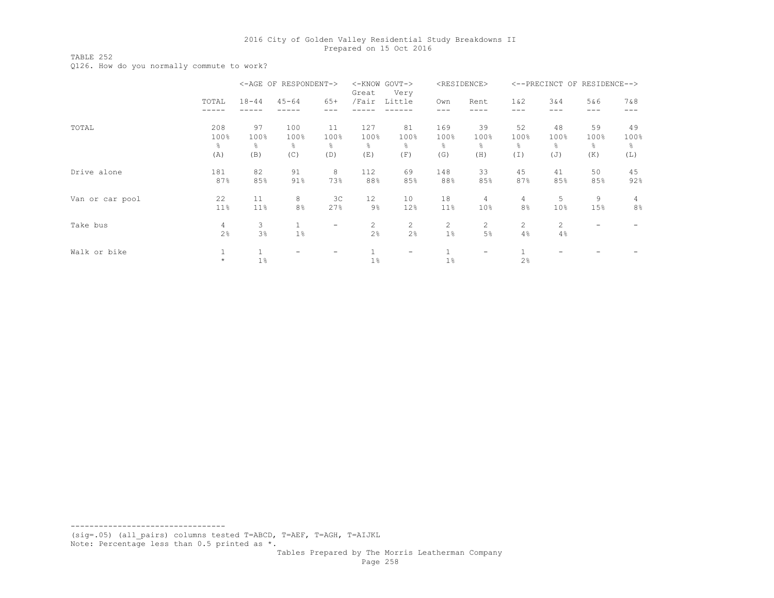TABLE 252

Q126. How do you normally commute to work?

|                 |                |           | <-AGE OF RESPONDENT-> |                   | Great | <-KNOW GOVT-><br>Very |                | <residence></residence> |                | <--PRECINCT OF RESIDENCE--> |      |                |
|-----------------|----------------|-----------|-----------------------|-------------------|-------|-----------------------|----------------|-------------------------|----------------|-----------------------------|------|----------------|
|                 | TOTAL          | $18 - 44$ | $45 - 64$             | $65+$             | /Fair | Little                | Own            | Rent                    | $1\&2$         | 3&4                         | 5&6  | 7 & 8          |
|                 |                |           |                       |                   |       |                       |                |                         |                |                             | ---  |                |
| TOTAL           | 208            | 97        | 100                   | 11                | 127   | 81                    | 169            | 39                      | 52             | 48                          | 59   | 49             |
|                 | 100%           | 100%      | 100%                  | 100%              | 100%  | 100%                  | 100%           | 100%                    | 100%           | 100%                        | 100% | 100%           |
|                 | g.             | ိင        | ⊱                     | g.                | ⊱     | g.                    | g.             | g.                      | 옹              | g.                          | ိင   | ⊱              |
|                 | (A)            | (B)       | (C)                   | (D)               | (E)   | (F)                   | (G)            | (H)                     | (I)            | (J)                         | (K)  | (L)            |
| Drive alone     | 181            | 82        | 91                    | 8                 | 112   | 69                    | 148            | 33                      | 45             | 41                          | 50   | 45             |
|                 | 87%            | 85%       | 91%                   | 73%               | 88%   | 85%                   | 88%            | 85%                     | 87%            | 85%                         | 85%  | 92%            |
| Van or car pool | 22             | 11        | 8                     | 3C                | 12    | 10                    | 18             | 4                       | 4              | 5                           | 9    | 4              |
|                 | 11%            | 11%       | 8%                    | 27%               | $9\%$ | 12%                   | 11%            | 10%                     | 8%             | 10%                         | 15%  | 8 <sup>°</sup> |
| Take bus        | $\overline{4}$ | 3         | $\mathbf{1}$          | $\qquad \qquad -$ | 2     | $\overline{c}$        | $\overline{c}$ | 2                       | $\overline{2}$ | $\mathbf{2}^{\prime}$       |      |                |
|                 | 2%             | 3%        | 1%                    |                   | 2%    | 2%                    | $1\%$          | 5%                      | 4%             | 4%                          |      |                |
| Walk or bike    | 1              |           |                       |                   |       | $\qquad \qquad -$     |                | -                       |                |                             |      |                |
|                 | $\star$        | $1\%$     |                       |                   | $1\%$ |                       | $1\%$          |                         | 2%             |                             |      |                |

--------------------------------- (sig=.05) (all\_pairs) columns tested T=ABCD, T=AEF, T=AGH, T=AIJKL

Note: Percentage less than 0.5 printed as \*.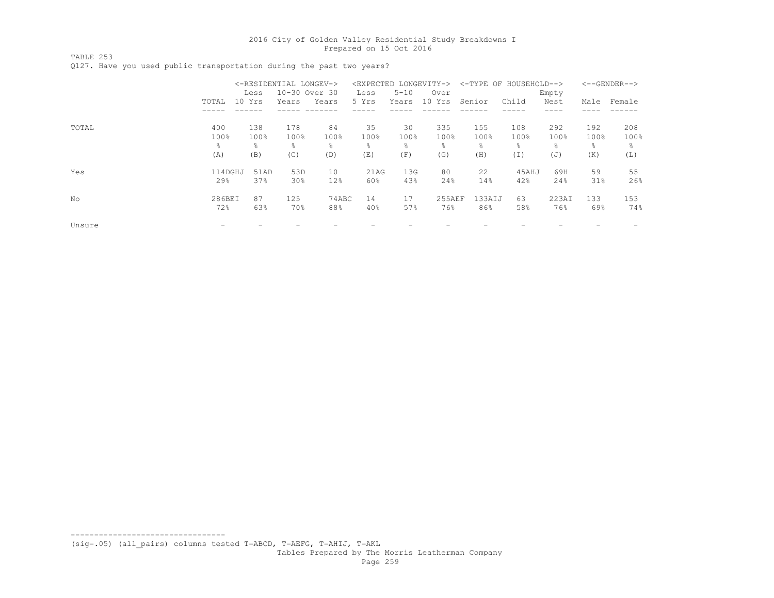TABLE 253

Q127. Have you used public transportation during the past two years?

|        |         |        | <-RESIDENTIAL LONGEV-> |       | <expected longevity-=""></expected> |          |        | <-TYPE OF HOUSEHOLD--> |       |       |           | $<-$ -GENDER--> |
|--------|---------|--------|------------------------|-------|-------------------------------------|----------|--------|------------------------|-------|-------|-----------|-----------------|
|        |         | Less   | 10-30 Over 30          |       | Less                                | $5 - 10$ | Over   |                        |       | Empty |           |                 |
|        | TOTAL   | 10 Yrs | Years                  | Years | 5 Yrs                               | Years    | 10 Yrs | Senior                 | Child | Nest  | Male      | Female          |
|        |         |        |                        |       |                                     |          |        |                        |       |       |           |                 |
| TOTAL  | 400     | 138    | 178                    | 84    | 35                                  | 30       | 335    | 155                    | 108   | 292   | 192       | 208             |
|        | 100%    | 100%   | 100%                   | 100%  | 100%                                | 100%     | 100%   | 100%                   | 100%  | 100%  | 100%      | 100%            |
|        | ÷,      | 욲      | ⊱                      | ⊱     | ⊱                                   | ⊱        | 욲      | $\frac{6}{10}$         | ⊱     | ⊱     | $\approx$ | 导               |
|        | (A)     | (B)    | (C)                    | (D)   | (E)                                 | (F)      | (G)    | (H)                    | (I)   | (J)   | (K)       | (L)             |
| Yes    | 114DGHJ | 51AD   | 53D                    | 10    | 21AG                                | 13G      | 80     | 22                     | 45AHJ | 69H   | 59        | 55              |
|        | 29%     | 37%    | 30 <sub>8</sub>        | 12%   | 60%                                 | 43%      | 24%    | 14%                    | 42%   | 24%   | 31%       | 26%             |
| No     | 286BEI  | 87     | 125                    | 74ABC | 14                                  | 17       | 255AEF | 133AIJ                 | 63    | 223AI | 133       | 153             |
|        | 72%     | 63%    | 70%                    | 88%   | 40%                                 | 57%      | 76%    | 86%                    | 58%   | 76%   | 69%       | 74%             |
| Unsure |         |        |                        |       |                                     |          |        |                        |       |       |           |                 |

(sig=.05) (all\_pairs) columns tested T=ABCD, T=AEFG, T=AHIJ, T=AKL

---------------------------------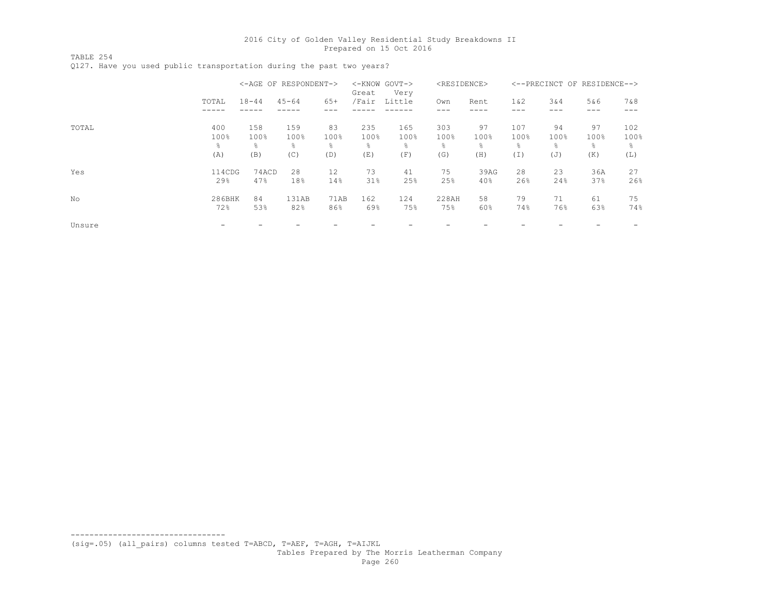TABLE 254 Q127. Have you used public transportation during the past two years?

|        |                   | <-AGE OF RESPONDENT-> |                   |                  | Great            | <-KNOW GOVT-><br>Very | <residence></residence> |                              |                   |                  | <--PRECINCT OF RESIDENCE--> |                   |
|--------|-------------------|-----------------------|-------------------|------------------|------------------|-----------------------|-------------------------|------------------------------|-------------------|------------------|-----------------------------|-------------------|
|        | TOTAL             | $18 - 44$             | $45 - 64$         | $65+$            | /Fair            | Little                | Own                     | Rent                         | $1\&2$            | 3&4              | 5&6<br>---                  | 7&8               |
| TOTAL  | 400<br>100%<br>g. | 158<br>100%<br>g.     | 159<br>100%<br>g. | 83<br>100%<br>g. | 235<br>100%<br>⊱ | 165<br>100%<br>÷.     | 303<br>100%<br>÷,       | 97<br>100%<br>$\frac{6}{10}$ | 107<br>100%<br>g. | 94<br>100%<br>٩, | 97<br>100%<br>$\approx$     | 102<br>100%<br>g. |
|        | (A)               | (B)                   | (C)               | (D)              | (E)              | (F)                   | (G)                     | (H)                          | (I)               | (J)              | (K)                         | (L)               |
| Yes    | 114CDG<br>29%     | 74ACD<br>47%          | 28<br>18%         | 12<br>14%        | 73<br>31%        | 41<br>25%             | 75<br>25%               | 39AG<br>$40\%$               | 28<br>26%         | 23<br>24%        | 36A<br>37%                  | 27<br>26%         |
| No     | 286BHK<br>72%     | 84<br>53%             | 131AB<br>82%      | 71AB<br>86%      | 162<br>69%       | 124<br>75%            | 228AH<br>75%            | 58<br>60%                    | 79<br>74%         | 71<br>76%        | 61<br>63%                   | 75<br>74%         |
| Unsure |                   |                       |                   |                  |                  |                       |                         |                              |                   |                  |                             |                   |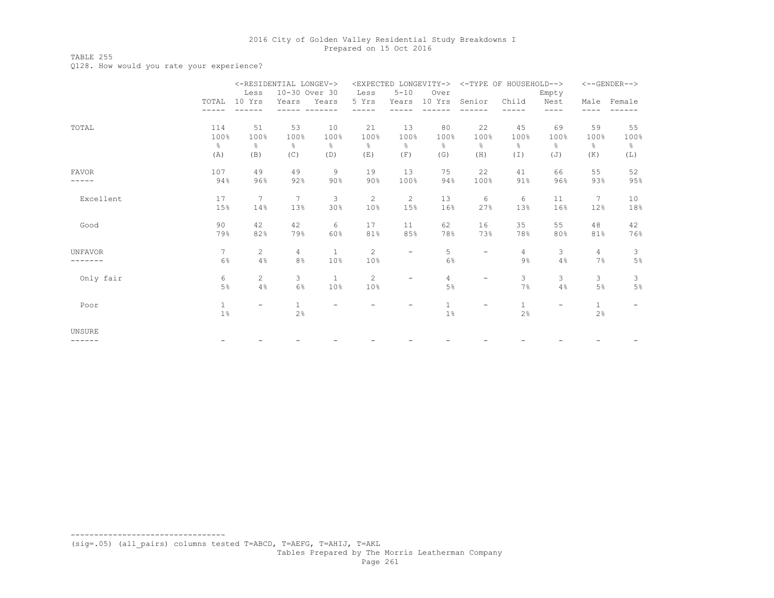# TABLE 255

Q128. How would you rate your experience?

|                |              |                       | <-RESIDENTIAL LONGEV-> |                |               |                          |                | <expected longevity-=""> &lt;-TYPE OF HOUSEHOLD--&gt;</expected> |              |               |                | $<-$ -GENDER--> |
|----------------|--------------|-----------------------|------------------------|----------------|---------------|--------------------------|----------------|------------------------------------------------------------------|--------------|---------------|----------------|-----------------|
|                |              | Less                  | 10-30 Over 30          |                | Less          | $5 - 10$                 | Over           |                                                                  |              | Empty         |                |                 |
|                | TOTAL        | 10 Yrs                | Years                  | Years          | 5 Yrs         | Years                    | 10 Yrs Senior  |                                                                  | Child        | Nest          | Male           | Female          |
|                |              |                       |                        |                |               |                          |                |                                                                  |              | ----          |                |                 |
| TOTAL          | 114          | 51                    | 53                     | 10             | 21            | 13                       | 80             | 22                                                               | 45           | 69            | 59             | 55              |
|                | 100%         | 100%                  | 100%                   | 100%           | 100%          | 100%                     | 100%           | 100%                                                             | 100%         | 100%          | 100%           | 100%            |
|                | g.           | g.                    | $\frac{6}{6}$          | $\frac{6}{6}$  | $\frac{6}{6}$ | $\frac{6}{6}$            | ⊱              | g.                                                               | ⊱            | $\frac{8}{6}$ | $\frac{6}{6}$  | $\frac{6}{6}$   |
|                | (A)          | (B)                   | (C)                    | (D)            | (E)           | (F)                      | (G)            | (H)                                                              | (I)          | (J)           | (K)            | (L)             |
| <b>FAVOR</b>   | 107          | 49                    | 49                     | 9              | 19            | 13                       | 75             | 22                                                               | 41           | 66            | 55             | 52              |
|                | 94%          | 96%                   | 92%                    | 90%            | 90%           | 100%                     | 94%            | 100%                                                             | 91%          | 96%           | 93%            | 95%             |
| Excellent      | 17           | 7                     | 7                      | 3              | $\mathbf{2}$  | 2                        | 13             | 6                                                                | 6            | 11            | 7              | 10              |
|                | 15%          | 14%                   | 13%                    | 30%            | 10%           | 15%                      | 16%            | 27%                                                              | 13%          | 16%           | 12%            | 18%             |
| Good           | 90           | 42                    | 42                     | 6              | 17            | 11                       | 62             | 16                                                               | 35           | 55            | 48             | 42              |
|                | 79%          | 82%                   | 79%                    | 60%            | 81%           | 85%                      | 78%            | 73%                                                              | 78%          | 80%           | 81%            | 76%             |
| <b>UNFAVOR</b> | 7            | $\mathbf{2}^{\prime}$ | 4                      | $\mathbf{1}$   | 2             | $\overline{\phantom{0}}$ | 5              |                                                                  | 4            | 3             | $\overline{4}$ | 3               |
|                | 6%           | 4%                    | 8%                     | 10%            | 10%           |                          | 6%             |                                                                  | $9\%$        | 4%            | 7%             | $5\%$           |
| Only fair      | 6            | $\overline{2}$        | 3                      | $\overline{1}$ | 2             | $\overline{\phantom{0}}$ | $\overline{4}$ | $\overline{\phantom{0}}$                                         | 3            | 3             | 3              | 3               |
|                | 5%           | 4%                    | 6%                     | 10%            | 10%           |                          | $5\%$          |                                                                  | 7%           | 4%            | 5%             | 5%              |
| Poor           | $\mathbf{1}$ |                       | $\mathbf{1}$           |                |               |                          | $\mathbf{1}$   |                                                                  | $\mathbf{1}$ |               | $\mathbf{1}$   |                 |
|                | $1\%$        |                       | 2%                     |                |               |                          | $1\%$          |                                                                  | 2%           |               | 2%             |                 |
| <b>UNSURE</b>  |              |                       |                        |                |               |                          |                |                                                                  |              |               |                |                 |
|                |              |                       |                        |                |               |                          |                |                                                                  |              |               |                |                 |

(sig=.05) (all\_pairs) columns tested T=ABCD, T=AEFG, T=AHIJ, T=AKL

---------------------------------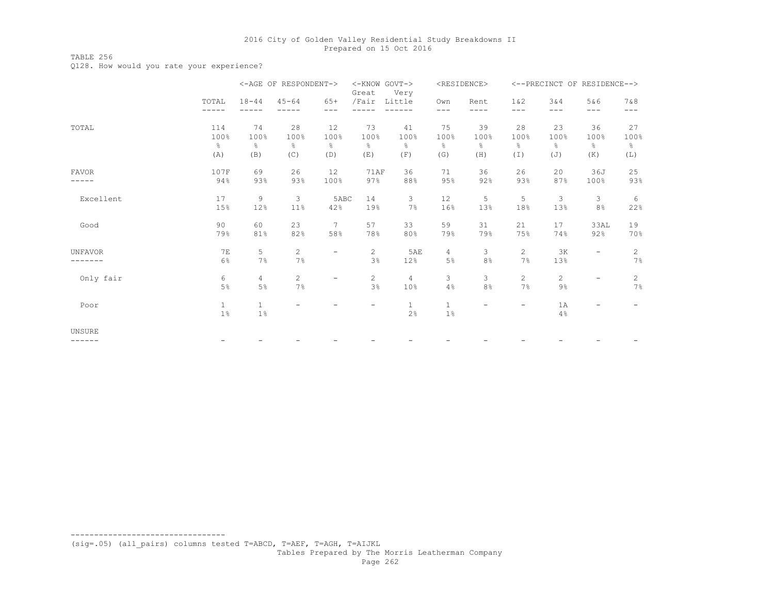TABLE 256

Q128. How would you rate your experience?

|                         |                          |                        | <-AGE OF RESPONDENT->              |                                    | <-KNOW GOVT-><br>Great      | Very                    |                         | <residence></residence>  |                                         |                                    | <--PRECINCT OF RESIDENCE--> |                                    |
|-------------------------|--------------------------|------------------------|------------------------------------|------------------------------------|-----------------------------|-------------------------|-------------------------|--------------------------|-----------------------------------------|------------------------------------|-----------------------------|------------------------------------|
|                         | TOTAL                    | $18 - 44$              | $45 - 64$                          | $65+$<br>$---$                     | /Fair                       | Little                  | Own<br>---              | Rent<br>----             | 1 & 2<br>$---$                          | 3&4<br>$---$                       | 5&6<br>---                  | 7 & 8<br>$---$                     |
| TOTAL                   | 114<br>100%<br>g.<br>(A) | 74<br>100%<br>⊱<br>(B) | 28<br>100%<br>$\frac{8}{6}$<br>(C) | 12<br>100%<br>$\frac{6}{6}$<br>(D) | 73<br>100%<br>옹<br>(E)      | 41<br>100%<br>ိင<br>(F) | 75<br>100%<br>⊱<br>(G)  | 39<br>100%<br>옹<br>(H)   | 28<br>100%<br>$\frac{6}{6}$<br>$(\top)$ | 23<br>100%<br>$\frac{6}{5}$<br>(J) | 36<br>100%<br>옹<br>(K)      | 27<br>100%<br>$\frac{6}{6}$<br>(L) |
| <b>FAVOR</b>            | 107F<br>94%              | 69<br>93%              | 26<br>93%                          | 12<br>100%                         | 71AF<br>97%                 | 36<br>88%               | 71<br>95%               | 36<br>92%                | 26<br>93%                               | 20<br>87%                          | 36J<br>100%                 | 25<br>93%                          |
| Excellent               | 17<br>15%                | 9<br>12%               | 3<br>$11\%$                        | 5ABC<br>42%                        | 14<br>19%                   | 3<br>7%                 | 12<br>16%               | 5<br>13%                 | 5<br>18%                                | 3<br>13%                           | 3<br>8%                     | 6<br>22%                           |
| Good                    | 90<br>79%                | 60<br>81%              | 23<br>82%                          | 7<br>58%                           | 57<br>78%                   | 33<br>80%               | 59<br>79%               | 31<br>79%                | 21<br>75%                               | 17<br>74%                          | 33AL<br>92%                 | 19<br>70%                          |
| <b>UNFAVOR</b><br>----- | <b>7E</b><br>6%          | 5<br>7%                | $\mathbf{2}$<br>7%                 | -                                  | $\mathbf{2}^{\prime}$<br>3% | 5AE<br>12%              | $\overline{4}$<br>$5\%$ | 3<br>8%                  | $\overline{c}$<br>7%                    | 3K<br>13%                          | $\overline{\phantom{a}}$    | $\mathbf{2}$<br>7%                 |
| Only fair               | 6<br>5%                  | $\overline{4}$<br>5%   | $\mathbf{2}$<br>7%                 | $\overline{\phantom{0}}$           | $\overline{c}$<br>3%        | $\overline{4}$<br>10%   | 3<br>4%                 | 3<br>8%                  | $\mathbf{2}$<br>7%                      | $\mathbf{2}$<br>$9\frac{6}{6}$     | $\overline{\phantom{0}}$    | $\overline{c}$<br>7%               |
| Poor                    | $\mathbf{1}$<br>1%       | $\mathbf{1}$<br>1%     |                                    |                                    | $\overline{\phantom{0}}$    | $\mathbf{1}$<br>2%      | $\mathbf{1}$<br>1%      | $\overline{\phantom{a}}$ |                                         | 1A<br>4%                           |                             |                                    |
| UNSURE<br>------        |                          |                        |                                    |                                    |                             |                         |                         |                          |                                         |                                    |                             |                                    |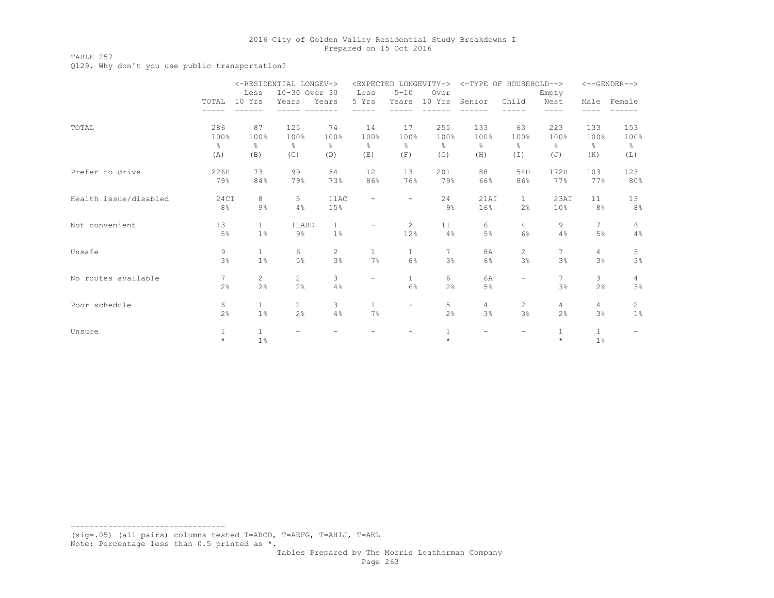# TABLE 257

Q129. Why don't you use public transportation?

|                       |               | <-RESIDENTIAL LONGEV-> |                |                |                          | <expected longevity-=""></expected> |                 | <-TYPE OF HOUSEHOLD--> |                |                 |                | $<-$ -GENDER--> |
|-----------------------|---------------|------------------------|----------------|----------------|--------------------------|-------------------------------------|-----------------|------------------------|----------------|-----------------|----------------|-----------------|
|                       |               | Less                   | 10-30 Over 30  |                | Less                     | $5 - 10$                            | Over            |                        |                | Empty           |                |                 |
|                       | TOTAL         | 10 Yrs                 | Years          | Years          | 5 Yrs                    | Years                               | 10 Yrs          | Senior                 | Child          | Nest            | Male           | Female          |
|                       |               |                        |                |                |                          |                                     |                 |                        |                | ----            |                |                 |
| TOTAL                 | 286           | 87                     | 125            | 74             | 14                       | 17                                  | 255             | 133                    | 63             | 223             | 133            | 153             |
|                       | 100%          | 100%                   | 100%           | 100%           | 100%                     | 100%                                | 100%            | 100%                   | 100%           | 100%            | 100%           | 100%            |
|                       | $\frac{6}{6}$ | $\frac{6}{6}$          | $\frac{6}{6}$  | $\frac{6}{6}$  | 옹                        | $\frac{6}{5}$                       | ⊱               | $\frac{6}{5}$          | $\frac{6}{6}$  | 옹               | $\frac{6}{6}$  | $\frac{6}{6}$   |
|                       | (A)           | (B)                    | (C)            | (D)            | (E)                      | (F)                                 | (G)             | (H)                    | (I)            | (J)             | (K)            | (L)             |
| Prefer to drive       | 226H          | 73                     | 99             | 54             | 12                       | 13                                  | 201             | 88                     | 54H            | 172H            | 103            | 123             |
|                       | 79%           | 84%                    | 79%            | 73%            | 86%                      | 76%                                 | 79%             | 66%                    | 86%            | 77%             | 77%            | 80%             |
| Health issue/disabled | 24CI          | 8                      | 5              | 11AC           | $\overline{\phantom{0}}$ | -                                   | 24              | 21AI                   | $\mathbf{1}$   | 23AI            | 11             | 13              |
|                       | 8%            | $9\%$                  | 4%             | 15%            |                          |                                     | $9\%$           | 16%                    | 2 <sup>°</sup> | 10%             | 8 <sup>°</sup> | 8%              |
| Not convenient        | 13            | $\mathbf{1}$           | 11ABD          | $\mathbf{1}$   | -                        | 2                                   | 11              | 6                      | $\overline{4}$ | 9               | 7              | 6               |
|                       | 5%            | 1%                     | $9\%$          | $1\%$          |                          | 12%                                 | 4%              | 5%                     | 6%             | 4%              | 5%             | 4%              |
| Unsafe                | 9             | $\mathbf{1}$           | 6              | $\overline{2}$ | $\mathbf{1}$             | $\mathbf{1}$                        | $7\phantom{.0}$ | 8A                     | $\overline{2}$ | $7\overline{ }$ | 4              | 5               |
|                       | 3%            | $1\%$                  | 5%             | 3%             | 7%                       | 6%                                  | 3%              | $6\%$                  | 3%             | 3%              | 3%             | 3%              |
| No routes available   | 7             | $\mathbf{2}^{\prime}$  | $\overline{2}$ | 3              | -                        | $\mathbf{1}$                        | 6               | 6A                     |                | $7\overline{ }$ | 3              | $\overline{4}$  |
|                       | 2%            | 2%                     | 2%             | 4%             |                          | 6%                                  | 2%              | 5%                     |                | 3%              | 2%             | 3%              |
| Poor schedule         | 6             | $\mathbf{1}$           | $\overline{2}$ | 3              | 1                        | $\overline{\phantom{a}}$            | 5               | 4                      | $\overline{2}$ | 4               | 4              | 2               |
|                       | 2%            | 1%                     | 2 <sup>°</sup> | 4%             | 7%                       |                                     | 2%              | 3%                     | 3%             | 2%              | 3%             | 1%              |
| Unsure                | 1             | $\mathbf{1}$           |                |                |                          |                                     |                 |                        |                | $\mathbf{1}$    | $\mathbf{1}$   |                 |
|                       | $\star$       | 1%                     |                |                |                          |                                     | $\star$         |                        |                | $\star$         | $1\%$          |                 |

--------------------------------- (sig=.05) (all\_pairs) columns tested T=ABCD, T=AEFG, T=AHIJ, T=AKL Note: Percentage less than 0.5 printed as \*.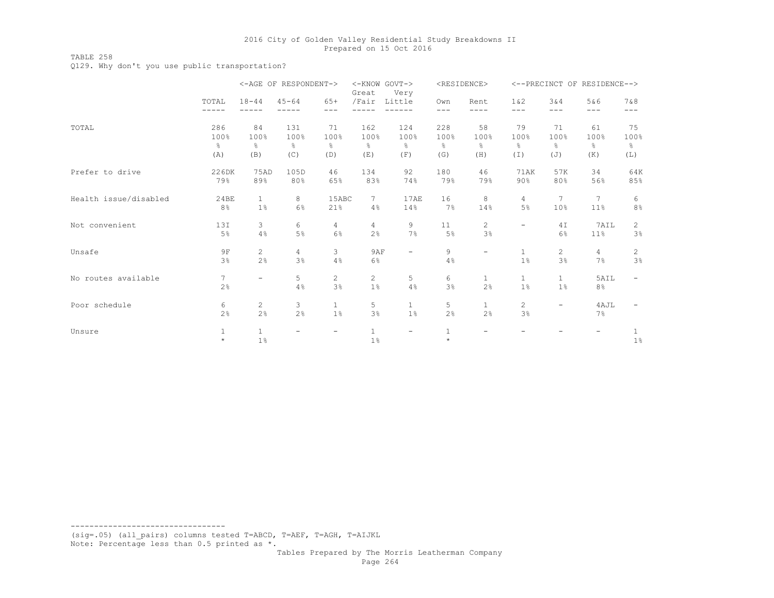TABLE 258

Q129. Why don't you use public transportation?

|                       |                                     |                                    | <-AGE OF RESPONDENT->               |                                    | <-KNOW GOVT-><br>Great              | Very                                |                                     | <residence></residence> |                                    |                                    | <--PRECINCT OF RESIDENCE-->        |                                    |
|-----------------------|-------------------------------------|------------------------------------|-------------------------------------|------------------------------------|-------------------------------------|-------------------------------------|-------------------------------------|-------------------------|------------------------------------|------------------------------------|------------------------------------|------------------------------------|
|                       | TOTAL<br>-----                      | $18 - 44$                          | $45 - 64$                           | $65+$<br>$---$                     | /Fair                               | Little                              | Own<br>$---$                        | Rent<br>----            | 1 & 2<br>$- - -$                   | 3&4<br>$---$                       | 5&6<br>$---$                       | 7&8<br>$- - -$                     |
| TOTAL                 | 286<br>100%<br>$\frac{6}{6}$<br>(A) | 84<br>100%<br>$\frac{6}{6}$<br>(B) | 131<br>100%<br>$\frac{6}{6}$<br>(C) | 71<br>100%<br>$\frac{6}{6}$<br>(D) | 162<br>100%<br>$\frac{6}{5}$<br>(E) | 124<br>100%<br>$\frac{6}{6}$<br>(F) | 228<br>100%<br>$\frac{6}{6}$<br>(G) | 58<br>100%<br>옹<br>(H)  | 79<br>100%<br>$\frac{6}{6}$<br>(I) | 71<br>100%<br>$\frac{6}{6}$<br>(J) | 61<br>100%<br>$\frac{6}{6}$<br>(K) | 75<br>100%<br>$\frac{6}{6}$<br>(L) |
| Prefer to drive       | 226DK<br>79%                        | 75AD<br>89%                        | 105D<br>80%                         | 46<br>65%                          | 134<br>83%                          | 92<br>74%                           | 180<br>79%                          | 46<br>79%               | <b>71AK</b><br>90%                 | 57K<br>80%                         | 34<br>56%                          | 64K<br>85%                         |
| Health issue/disabled | 24BE<br>8 <sup>°</sup>              | $\mathbf{1}$<br>1 <sup>°</sup>     | 8<br>6%                             | 15ABC<br>21%                       | 7<br>4%                             | 17AE<br>14%                         | 16<br>7%                            | 8<br>14%                | 4<br>5%                            | 7<br>10%                           | 7<br>11%                           | 6<br>8%                            |
| Not convenient        | 13I<br>5%                           | 3<br>4%                            | 6<br>5%                             | $\overline{4}$<br>6%               | 4<br>2%                             | 9<br>7%                             | 11<br>$5\%$                         | $\mathbf{2}$<br>3%      | -                                  | 4I<br>6%                           | 7AIL<br>11%                        | $\mathbf{2}$<br>3%                 |
| Unsafe                | 9F<br>3%                            | $\overline{2}$<br>2 <sup>°</sup>   | $\overline{4}$<br>3%                | 3<br>4%                            | 9AF<br>6%                           | $\overline{\phantom{a}}$            | 9<br>4%                             | -                       | $\mathbf{1}$<br>1 <sup>°</sup>     | $\overline{2}$<br>3%               | $\overline{4}$<br>7%               | 2<br>3%                            |
| No routes available   | 7<br>2%                             |                                    | 5<br>4%                             | $\mathbf{2}^{\prime}$<br>3%        | $\overline{c}$<br>$1\%$             | 5<br>4%                             | 6<br>3%                             | $\mathbf{1}$<br>2%      | $\mathbf{1}$<br>$1\%$              | $\mathbf{1}$<br>1%                 | 5AIL<br>8%                         |                                    |
| Poor schedule         | 6<br>2%                             | $\overline{2}$<br>2%               | 3<br>2%                             | $\mathbf{1}$<br>1 <sup>°</sup>     | 5<br>3%                             | $\mathbf{1}$<br>1%                  | 5<br>2%                             | $\mathbf{1}$<br>2%      | $\overline{2}$<br>3%               | Ξ.                                 | 4AJL<br>7%                         |                                    |
| Unsure                | $1\,$<br>$\star$                    | $\mathbf{1}$<br>1%                 |                                     | $\qquad \qquad -$                  | $\mathbf{1}$<br>1%                  | $\overline{\phantom{a}}$            | $\mathbf{1}$<br>$\star$             |                         |                                    |                                    |                                    | 1<br>1%                            |

--------------------------------- (sig=.05) (all\_pairs) columns tested T=ABCD, T=AEF, T=AGH, T=AIJKL Note: Percentage less than 0.5 printed as \*.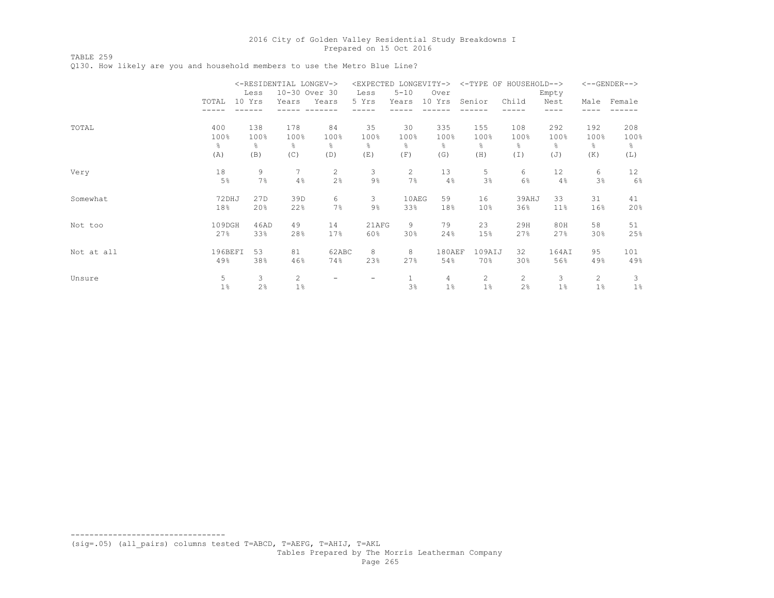TABLE 259

Q130. How likely are you and household members to use the Metro Blue Line?

|            |         | <-RESIDENTIAL LONGEV-> |                |                | <expected< th=""><th></th><th>LONGEVITY-&gt;</th><th></th><th>&lt;-TYPE OF HOUSEHOLD--&gt;</th><th></th><th></th><th><math>&lt;-</math>-GENDER--&gt;</th></expected<> |                | LONGEVITY-> |                | <-TYPE OF HOUSEHOLD--> |       |       | $<-$ -GENDER--> |
|------------|---------|------------------------|----------------|----------------|-----------------------------------------------------------------------------------------------------------------------------------------------------------------------|----------------|-------------|----------------|------------------------|-------|-------|-----------------|
|            |         | Less                   |                | 10-30 Over 30  | Less                                                                                                                                                                  | $5 - 10$       | Over        |                |                        | Empty |       |                 |
|            | TOTAL   | 10 Yrs                 | Years          | Years          | 5 Yrs                                                                                                                                                                 | Years          | 10 Yrs      | Senior         | Child                  | Nest  | Male  | Female          |
|            |         |                        |                |                |                                                                                                                                                                       |                |             |                |                        |       |       |                 |
| TOTAL      | 400     | 138                    | 178            | 84             | 35                                                                                                                                                                    | 30             | 335         | 155            | 108                    | 292   | 192   | 208             |
|            | 100%    | 100%                   | 100%           | 100%           | 100%                                                                                                                                                                  | 100%           | 100%        | 100%           | 100%                   | 100%  | 100%  | 100%            |
|            | g.      | ⊱                      | $\frac{6}{5}$  | 옹              | ⊱                                                                                                                                                                     | g.             | ⊱           | ိင             | 옹                      | g.    | g.    | 옹               |
|            | (A)     | (B)                    | (C)            | (D)            | (E)                                                                                                                                                                   | (F)            | (G)         | (H)            | (I)                    | (J)   | (K)   | (L)             |
| Very       | 18      | 9                      | 7              | $\overline{2}$ | 3                                                                                                                                                                     | $\overline{c}$ | 13          | 5              | 6                      | 12    | 6     | 12              |
|            | 5%      | 7%                     | 4%             | 2%             | $9\%$                                                                                                                                                                 | 7%             | 4%          | 3%             | 6%                     | 4%    | 3%    | $6\%$           |
| Somewhat   | 72DHJ   | 27D                    | 39D            | 6              | 3                                                                                                                                                                     | 10AEG          | 59          | 16             | 39AHJ                  | 33    | 31    | 41              |
|            | 18%     | 20%                    | 22%            | 7%             | $9\%$                                                                                                                                                                 | 33%            | 18%         | 10%            | 36%                    | 11%   | 16%   | 20%             |
| Not too    | 109DGH  | 46AD                   | 49             | 14             | 21AFG                                                                                                                                                                 | 9              | 79          | 23             | 29H                    | 80H   | 58    | 51              |
|            | 27%     | 33%                    | 28%            | 17%            | 60%                                                                                                                                                                   | 30%            | 24%         | 15%            | 27%                    | 27%   | 30%   | 25%             |
| Not at all | 196BEFI | 53                     | 81             | 62ABC          | 8                                                                                                                                                                     | 8              | 180AEF      | 109AIJ         | 32                     | 164AI | 95    | 101             |
|            | 49%     | 38%                    | 46%            | 74%            | 23%                                                                                                                                                                   | 27%            | 54%         | 70%            | 30 <sub>8</sub>        | 56%   | 49%   | 49%             |
| Unsure     | 5       | 3                      | $\overline{c}$ |                |                                                                                                                                                                       |                | 4           | $\overline{c}$ | 2                      | 3     | 2     | 3               |
|            | 1%      | 2%                     | $1\%$          |                |                                                                                                                                                                       | 3%             | 1%          | $1\%$          | 2%                     | 1%    | $1\%$ | $1\%$           |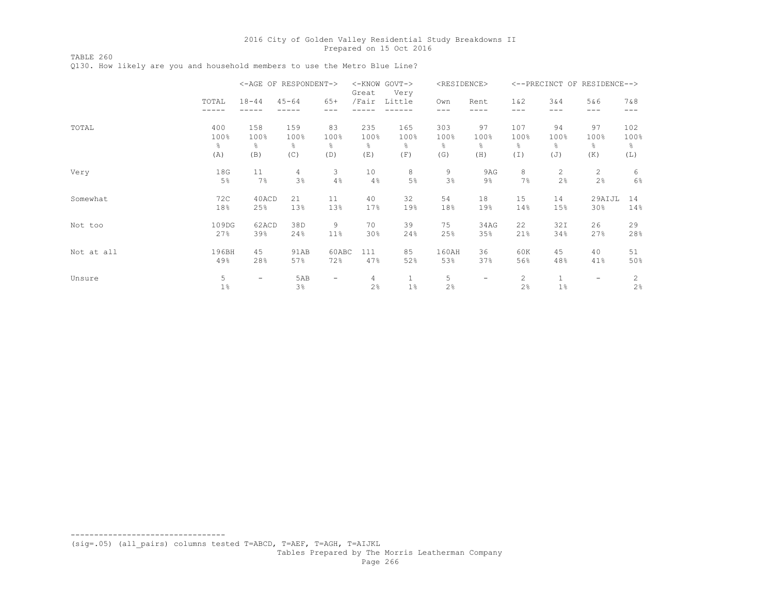TABLE 260 Q130. How likely are you and household members to use the Metro Blue Line?

|            |       |           | <-AGE OF RESPONDENT-> |                          | Great | <-KNOW GOVT-><br>Very | <residence></residence> |       |                |                   | <--PRECINCT OF RESIDENCE--> |      |
|------------|-------|-----------|-----------------------|--------------------------|-------|-----------------------|-------------------------|-------|----------------|-------------------|-----------------------------|------|
|            | TOTAL | $18 - 44$ | $45 - 64$             | $65+$                    | /Fair | Little                | Own                     | Rent  | 1 & 2          | 3&4               | 5&6                         | 7&8  |
|            |       |           |                       |                          |       |                       | ---                     |       | ---            | $---$             | ---                         | ---  |
| TOTAL      | 400   | 158       | 159                   | 83                       | 235   | 165                   | 303                     | 97    | 107            | 94                | 97                          | 102  |
|            | 100%  | 100%      | 100%                  | 100%                     | 100%  | 100%                  | 100%                    | 100%  | 100%           | 100%              | 100%                        | 100% |
|            | ိင    | 옹         | 옹                     | ိင                       | ⊱     | ိင                    | ိင                      | ိင    | 옹              | $\frac{\circ}{6}$ | န္                          | ိင   |
|            | (A)   | (B)       | (C)                   | (D)                      | (E)   | (F)                   | (G)                     | (H)   | (I)            | (J)               | (K)                         | (L)  |
| Very       | 18G   | 11        | 4                     | 3                        | 10    | 8                     | 9                       | 9AG   | 8              | $\overline{c}$    | $\mathbf{2}$                | 6    |
|            | 5%    | 7%        | 3%                    | 4%                       | 4%    | 5%                    | 3%                      | $9\%$ | 7%             | 2%                | 2%                          | 6%   |
| Somewhat   | 72C   | 40ACD     | 21                    | 11                       | 40    | 32                    | 54                      | 18    | 15             | 14                | 29AIJL                      | 14   |
|            | 18%   | 25%       | 13%                   | 13%                      | 17%   | 19%                   | 18%                     | 19%   | 14%            | 15%               | 30%                         | 14%  |
| Not too    | 109DG | 62ACD     | 38D                   | 9                        | 70    | 39                    | 75                      | 34AG  | 22             | 32I               | 26                          | 29   |
|            | 27%   | 39%       | 24%                   | 11%                      | 30%   | 24%                   | 25%                     | 35%   | 21%            | 34%               | 27%                         | 28%  |
| Not at all | 196BH | 45        | 91AB                  | 60ABC                    | 111   | 85                    | 160AH                   | 36    | 60K            | 45                | 40                          | 51   |
|            | 49%   | 28%       | 57%                   | 72%                      | 47%   | 52%                   | 53%                     | 37%   | 56%            | 48%               | 41%                         | 50%  |
| Unsure     | 5     | -         | 5AB                   | $\overline{\phantom{m}}$ | 4     | $\mathbf 1$           | 5                       |       | $\overline{c}$ | $\mathbf{1}$      |                             | 2    |
|            | $1\%$ |           | 3%                    |                          | 2%    | $1\%$                 | 2%                      |       | 2%             | $1\%$             |                             | 2%   |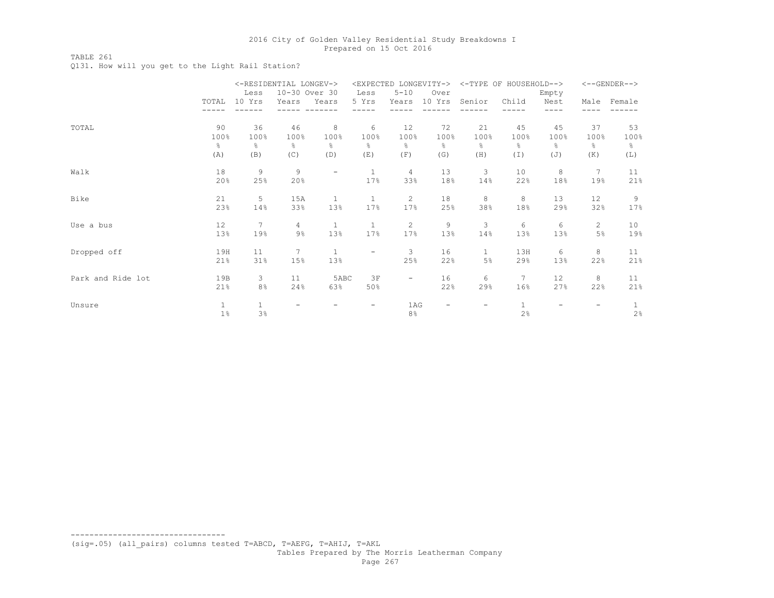# TABLE 261

Q131. How will you get to the Light Rail Station?

|                   |              |                 | <-RESIDENTIAL LONGEV-> |                          |                   | <expected longevity-=""></expected> |        |               | <-TYPE OF HOUSEHOLD--> |       |                          | $<-$ -GENDER--> |
|-------------------|--------------|-----------------|------------------------|--------------------------|-------------------|-------------------------------------|--------|---------------|------------------------|-------|--------------------------|-----------------|
|                   |              | Less            | 10-30 Over 30          |                          | Less              | $5 - 10$                            | Over   |               |                        | Empty |                          |                 |
|                   | TOTAL        | 10 Yrs          | Years                  | Years                    | 5 Yrs             | Years                               | 10 Yrs | Senior        | Child                  | Nest  | Male                     | Female          |
|                   |              |                 |                        |                          |                   |                                     |        |               |                        |       |                          |                 |
| TOTAL             | 90           | 36              | 46                     | 8                        | 6                 | 12                                  | 72     | 21            | 45                     | 45    | 37                       | 53              |
|                   | 100%         | 100%            | 100%                   | 100%                     | 100%              | 100%                                | 100%   | 100%          | 100%                   | 100%  | 100%                     | 100%            |
|                   | g.           | g.              | $\frac{6}{6}$          | 옹                        | g.                | g.                                  | g.     | $\frac{6}{6}$ | 옹                      | 옹     | g.                       | %               |
|                   | (A)          | (B)             | (C)                    | (D)                      | (E)               | (F)                                 | (G)    | (H)           | $(\top)$               | (J)   | (K)                      | (L)             |
| Walk              | 18           | 9               | 9                      | $\overline{\phantom{a}}$ | $\mathbf{1}$      | $\overline{4}$                      | 13     | 3             | 10                     | 8     | 7                        | 11              |
|                   | 20%          | 25%             | 20%                    |                          | 17%               | 33%                                 | 18%    | 14%           | 22%                    | 18%   | 19%                      | 21%             |
| Bike              | 21           | 5               | 15A                    | $\mathbf{1}$             | $\mathbf{1}$      | 2                                   | 18     | 8             | 8                      | 13    | 12                       | 9               |
|                   | 23%          | 14%             | 33%                    | 13%                      | 17%               | 17%                                 | 25%    | 38%           | 18%                    | 29%   | 32%                      | 17%             |
| Use a bus         | 12           | $7\overline{ }$ | 4                      | $\mathbf{1}$             | $\mathbf{1}$      | $\mathbf{2}$                        | 9      | 3             | 6                      | 6     | $\overline{c}$           | 10              |
|                   | 13%          | 19%             | $9\%$                  | 13%                      | 17%               | 17%                                 | 13%    | 14%           | 13%                    | 13%   | 5%                       | 19%             |
| Dropped off       | 19H          | 11              | 7                      | $\mathbf{1}$             | $\qquad \qquad -$ | 3                                   | 16     | $\mathbf{1}$  | 13H                    | 6     | 8                        | 11              |
|                   | 21%          | 31%             | 15%                    | 13%                      |                   | 25%                                 | 22%    | 5%            | 29%                    | 13%   | 22%                      | 21%             |
| Park and Ride lot | 19B          | 3               | 11                     | 5ABC                     | 3F                | $\overline{\phantom{0}}$            | 16     | 6             | 7                      | 12    | 8                        | 11              |
|                   | 21%          | 8%              | 24%                    | 63%                      | 50%               |                                     | 22%    | 29%           | 16%                    | 27%   | 22%                      | 21%             |
| Unsure            | $\mathbf{1}$ | $\mathbf{1}$    |                        |                          |                   | 1AG                                 |        |               |                        |       | $\overline{\phantom{0}}$ |                 |
|                   | $1\%$        | 3%              |                        |                          |                   | 8%                                  |        |               | 2%                     |       |                          | 2%              |

(sig=.05) (all\_pairs) columns tested T=ABCD, T=AEFG, T=AHIJ, T=AKL

---------------------------------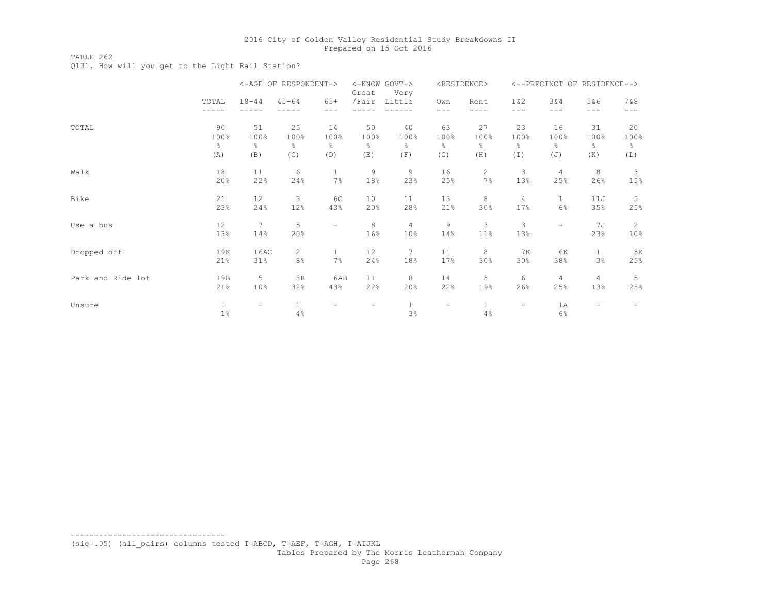TABLE 262

Q131. How will you get to the Light Rail Station?

|                   |              |                | <-AGE OF RESPONDENT-> |                          | Great                    | <-KNOW GOVT-><br>Very |      | <residence></residence> |                          | <--PRECINCT OF RESIDENCE--> |              |                |
|-------------------|--------------|----------------|-----------------------|--------------------------|--------------------------|-----------------------|------|-------------------------|--------------------------|-----------------------------|--------------|----------------|
|                   | TOTAL        | $18 - 44$      | $45 - 64$             | $65+$                    | /Fair                    | Little                | Own  | Rent                    | 1 & 2                    | 3&4                         | 5&6          | 7 & 8          |
|                   |              |                |                       |                          |                          |                       | ---  | ----                    | $- - -$                  | $- - -$                     | $---$        |                |
| TOTAL             | 90           | 51             | 25                    | 14                       | 50                       | 40                    | 63   | 27                      | 23                       | 16                          | 31           | 20             |
|                   | 100%         | 100%           | 100%                  | 100%                     | 100%                     | 100%                  | 100% | 100%                    | 100%                     | 100%                        | 100%         | 100%           |
|                   | န္           | g.             | $\frac{6}{6}$         | g.                       | ⊱                        | g.                    | g.   | $\frac{6}{6}$           | 옹                        | $\frac{6}{6}$               | 옹            | g.             |
|                   | (A)          | (B)            | (C)                   | (D)                      | (E)                      | (F)                   | (G)  | (H)                     | (I)                      | (J)                         | (K)          | (L)            |
| Walk              | 18           | 11             | 6                     | $\mathbf{1}$             | 9                        | 9                     | 16   | $\overline{c}$          | 3                        | 4                           | 8            | 3              |
|                   | 20%          | 22%            | 24%                   | 7%                       | 18%                      | 23%                   | 25%  | 7%                      | 13%                      | 25%                         | 26%          | 15%            |
| Bike              | 21           | 12             | 3                     | 6C                       | 10                       | 11                    | 13   | 8                       | $\overline{4}$           | $\mathbf{1}$                | 11J          | 5              |
|                   | 23%          | 24%            | 12%                   | 43%                      | 20%                      | 28%                   | 21%  | 30%                     | 17%                      | 6%                          | 35%          | 25%            |
| Use a bus         | 12           | $\overline{7}$ | 5                     | $\overline{\phantom{a}}$ | 8                        | $\overline{4}$        | 9    | 3                       | 3                        | $\overline{\phantom{m}}$    | 7 J          | $\overline{c}$ |
|                   | 13%          | 14%            | 20%                   |                          | 16%                      | 10%                   | 14%  | 11%                     | 13%                      |                             | 23%          | 10%            |
| Dropped off       | 19K          | 16AC           | $\overline{2}$        | $\mathbf{1}$             | 12                       | 7                     | 11   | 8                       | <b>7K</b>                | 6K                          | $\mathbf{1}$ | 5K             |
|                   | 21%          | 31%            | 8%                    | 7%                       | 24%                      | 18%                   | 17%  | 30%                     | 30%                      | 38%                         | 3%           | 25%            |
| Park and Ride lot | 19B          | 5              | 8B                    | 6AB                      | 11                       | 8                     | 14   | 5                       | 6                        | 4                           | 4            | 5              |
|                   | 21%          | 10%            | 32%                   | 43%                      | 22%                      | 20%                   | 22%  | 19%                     | 26%                      | 25%                         | 13%          | 25%            |
| Unsure            | $\mathbf{1}$ | -              | $\mathbf{1}$          |                          | $\overline{\phantom{a}}$ | $\mathbf 1$           | -    | $\mathbf{1}$            | $\overline{\phantom{0}}$ | 1A                          |              |                |
|                   | $1\%$        |                | 4%                    |                          |                          | 3%                    |      | 4%                      |                          | 6%                          |              |                |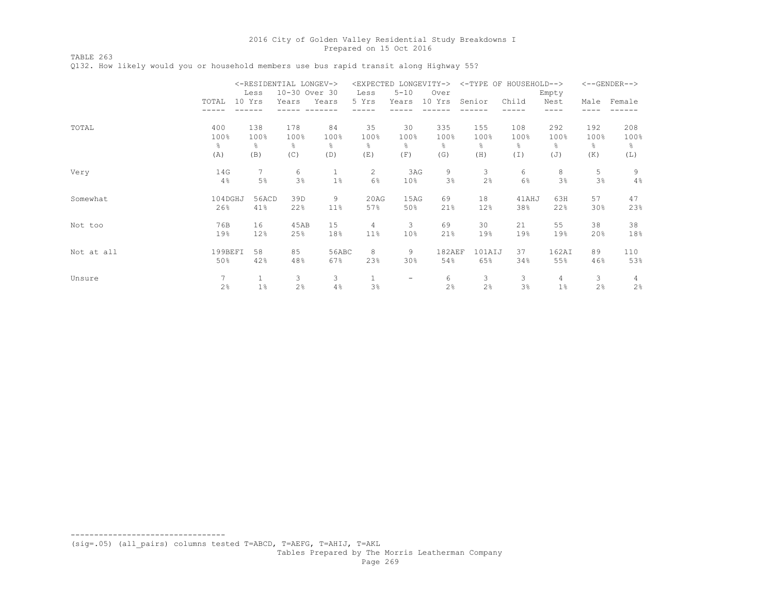TABLE 263

Q132. How likely would you or household members use bus rapid transit along Highway 55?

|            |         | <-RESIDENTIAL LONGEV-> |               |              | <expected< th=""><th></th><th>LONGEVITY-&gt;</th><th></th><th>&lt;-TYPE OF HOUSEHOLD--&gt;</th><th></th><th></th><th><math>&lt;-</math>-GENDER--&gt;</th></expected<> |                   | LONGEVITY-> |        | <-TYPE OF HOUSEHOLD--> |               |                 | $<-$ -GENDER--> |
|------------|---------|------------------------|---------------|--------------|-----------------------------------------------------------------------------------------------------------------------------------------------------------------------|-------------------|-------------|--------|------------------------|---------------|-----------------|-----------------|
|            |         | Less                   | 10-30 Over 30 |              | Less                                                                                                                                                                  | $5 - 10$          | Over        |        |                        | Empty         |                 |                 |
|            | TOTAL   | 10 Yrs                 | Years         | Years        | 5 Yrs                                                                                                                                                                 | Years             | 10 Yrs      | Senior | Child                  | Nest          | Male            | Female          |
|            |         |                        |               |              |                                                                                                                                                                       |                   |             |        |                        | ----          |                 |                 |
| TOTAL      | 400     | 138                    | 178           | 84           | 35                                                                                                                                                                    | 30                | 335         | 155    | 108                    | 292           | 192             | 208             |
|            | 100%    | 100%                   | 100%          | 100%         | 100%                                                                                                                                                                  | 100%              | 100%        | 100%   | 100%                   | 100%          | 100%            | 100%            |
|            | g.      | g.                     | $\frac{6}{6}$ | 옹            | ⊱                                                                                                                                                                     | g.                | ⊱           | ိင     | 옹                      | $\frac{6}{5}$ | ⊱               | 옹               |
|            | (A)     | (B)                    | (C)           | (D)          | (E)                                                                                                                                                                   | (F)               | (G)         | (H)    | (I)                    | (J)           | (K)             | (L)             |
| Very       | 14G     | $\tau$                 | 6             | $\mathbf{1}$ | 2                                                                                                                                                                     | 3AG               | 9           | 3      | 6                      | 8             | 5               | 9               |
|            | 4%      | 5%                     | 3%            | $1\%$        | $6\%$                                                                                                                                                                 | 10 <sup>°</sup>   | 3%          | 2%     | 6%                     | 3%            | 3%              | 4%              |
| Somewhat   | 104DGHJ | 56ACD                  | 39D           | 9            | 20AG                                                                                                                                                                  | 15AG              | 69          | 18     | 41AHJ                  | 63H           | 57              | 47              |
|            | 26%     | 41%                    | 22%           | 11%          | 57%                                                                                                                                                                   | 50%               | 21%         | 12%    | 38%                    | 22%           | 30 <sub>8</sub> | 23%             |
| Not too    | 76B     | 16                     | 45AB          | 15           | 4                                                                                                                                                                     | 3                 | 69          | 30     | 21                     | 55            | 38              | 38              |
|            | 19%     | 12%                    | 25%           | 18%          | 11%                                                                                                                                                                   | 10 <sup>°</sup>   | 21%         | 19%    | 19%                    | 19%           | 20%             | 18%             |
| Not at all | 199BEFI | 58                     | 85            | 56ABC        | 8                                                                                                                                                                     | 9                 | 182AEF      | 101AIJ | 37                     | 162AI         | 89              | 110             |
|            | 50%     | 42%                    | 48%           | 67%          | 23%                                                                                                                                                                   | 30%               | 54%         | 65%    | 34%                    | 55%           | 46%             | 53%             |
| Unsure     | 7       |                        | 3             | 3            | $\mathbf{1}$                                                                                                                                                          | $\qquad \qquad -$ | 6           | 3      | 3                      | 4             | 3               | 4               |
|            | 2%      | $1\%$                  | 2%            | 4%           | 3%                                                                                                                                                                    |                   | 2%          | 2%     | 3%                     | $1\%$         | 2%              | 2%              |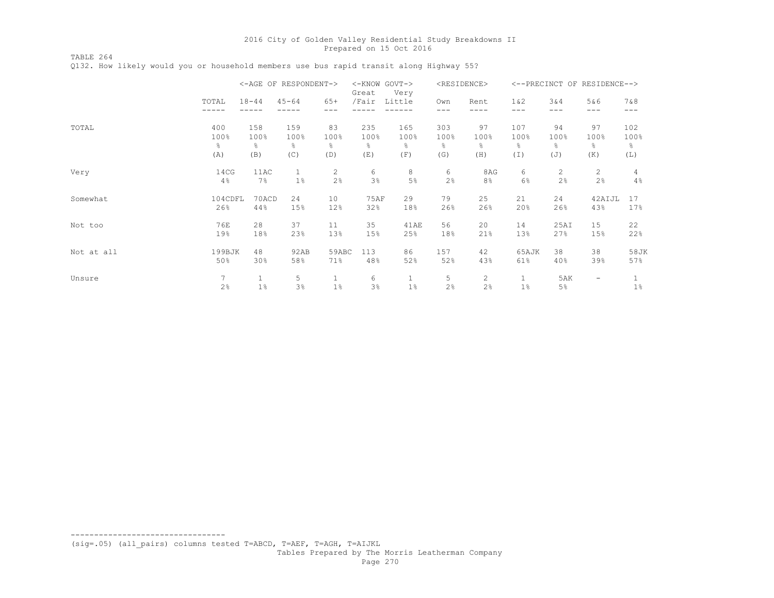TABLE 264 Q132. How likely would you or household members use bus rapid transit along Highway 55?

|            |         |           | <-AGE OF RESPONDENT-> |              | <-KNOW GOVT-><br>Great | Very   |                | <residence></residence> |                 |             | <--PRECINCT OF RESIDENCE--> |                |
|------------|---------|-----------|-----------------------|--------------|------------------------|--------|----------------|-------------------------|-----------------|-------------|-----------------------------|----------------|
|            | TOTAL   | $18 - 44$ | $45 - 64$             | $65+$<br>--- | /Fair                  | Little | Own<br>$---$   | Rent<br>----            | $1\&2$<br>$---$ | 3&4<br>$--$ | 5&6<br>---                  | 7 & 8<br>$---$ |
| TOTAL      | 400     | 158       | 159                   | 83           | 235                    | 165    | 303            | 97                      | 107             | 94          | 97                          | 102            |
|            | 100%    | 100%      | 100%                  | 100%         | 100%                   | 100%   | 100%           | 100%                    | 100%            | 100%        | 100%                        | 100%           |
|            | g.      | ⊱         | $\frac{6}{5}$         | ⊱            | ိင                     | g.     | g.             | 옹                       | 옹               | g.          | ိင                          | ိင             |
|            | (A)     | (B)       | (C)                   | (D)          | (E)                    | (F)    | (G)            | (H)                     | (I)             | (J)         | (K)                         | (L)            |
| Very       | 14CG    | 11AC      | $\mathbf{1}$          | $\mathbf{2}$ | 6                      | 8      | 6              | 8AG                     | 6               | 2           | $\mathbf{2}^{\prime}$       | 4              |
|            | 4%      | 7%        | 1%                    | 2%           | 3%                     | 5%     | 2 <sup>°</sup> | 8%                      | 6%              | 2%          | 2%                          | 4%             |
| Somewhat   | 104CDFL | 70ACD     | 24                    | 10           | <b>75AF</b>            | 29     | 79             | 25                      | 21              | 24          | 42AIJL                      | 17             |
|            | 26%     | 44%       | 15%                   | 12%          | 32%                    | 18%    | 26%            | 26%                     | 20%             | 26%         | 43%                         | 17%            |
| Not too    | 76E     | 28        | 37                    | 11           | 35                     | 41AE   | 56             | 20                      | 14              | 25AI        | 15                          | 22             |
|            | 19%     | 18%       | 23%                   | 13%          | 15%                    | 25%    | 18%            | 21%                     | 13%             | 27%         | 15%                         | 22%            |
| Not at all | 199BJK  | 48        | 92AB                  | 59ABC        | 113                    | 86     | 157            | 42                      | 65AJK           | 38          | 38                          | 58JK           |
|            | 50%     | 30%       | 58%                   | 71%          | 48%                    | 52%    | 52%            | 43%                     | 61%             | 40%         | 39%                         | 57%            |
| Unsure     | 7       | 1         | 5                     | $\mathbf 1$  | 6                      | 1      | 5              | $\mathbf{2}$            | 1               | 5AK         | $\overline{\phantom{a}}$    |                |
|            | 2%      | $1\%$     | 3%                    | 1%           | 3%                     | 1%     | 2%             | 2%                      | $1\%$           | $5\%$       |                             | $1\%$          |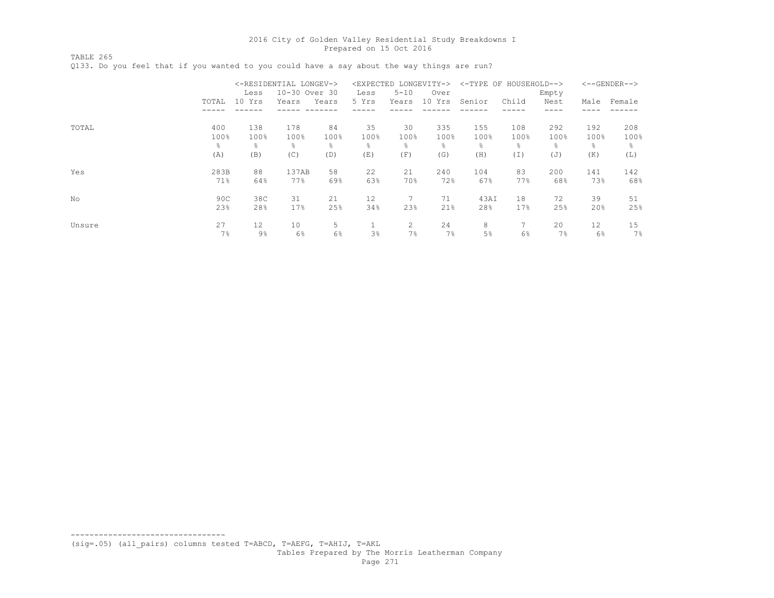TABLE 265 Q133. Do you feel that if you wanted to you could have a say about the way things are run?

|        |       |        | <-RESIDENTIAL LONGEV-> |       |       | <expected longevity-=""></expected> |        | <-TYPE OF HOUSEHOLD--> |       |       |      | $<-$ -GENDER--> |
|--------|-------|--------|------------------------|-------|-------|-------------------------------------|--------|------------------------|-------|-------|------|-----------------|
|        |       | Less   | 10-30 Over 30          |       | Less  | $5 - 10$                            | Over   |                        |       | Empty |      |                 |
|        | TOTAL | 10 Yrs | Years                  | Years | 5 Yrs | Years                               | 10 Yrs | Senior                 | Child | Nest  | Male | Female          |
|        |       |        |                        |       |       |                                     |        |                        |       |       |      |                 |
| TOTAL  | 400   | 138    | 178                    | 84    | 35    | 30                                  | 335    | 155                    | 108   | 292   | 192  | 208             |
|        | 100%  | 100%   | 100%                   | 100%  | 100%  | 100%                                | 100%   | 100%                   | 100%  | 100%  | 100% | 100%            |
|        | g.    | g.     | g.                     | 옹     | ⊱     | g.                                  | g.     | g.                     | 옹     | g.    | g.   | 옹               |
|        | (A)   | (B)    | (C)                    | (D)   | (E)   | (F)                                 | (G)    | (H)                    | (I)   | (J)   | (K)  | (L)             |
| Yes    | 283B  | 88     | 137AB                  | 58    | 22    | 21                                  | 240    | 104                    | 83    | 200   | 141  | 142             |
|        | 71%   | 64%    | 77%                    | 69%   | 63%   | 70%                                 | 72%    | 67%                    | 77%   | 68%   | 73%  | 68%             |
| No     | 90C   | 38C    | 31                     | 21    | 12    | 7                                   | 71     | 43AI                   | 18    | 72    | 39   | 51              |
|        | 23%   | 28%    | 17%                    | 25%   | 34%   | 23%                                 | 21%    | 28%                    | 17%   | 25%   | 20%  | 25%             |
| Unsure | 27    | 12     | 10                     | 5     |       | 2                                   | 24     | 8                      |       | 20    | 12   | 15              |
|        | 7%    | $9\%$  | 6%                     | 6%    | 3%    | 7%                                  | 7%     | 5%                     | 6%    | 7%    | 6%   | 7%              |

--------------------------------- (sig=.05) (all\_pairs) columns tested T=ABCD, T=AEFG, T=AHIJ, T=AKL

Tables Prepared by The Morris Leatherman Company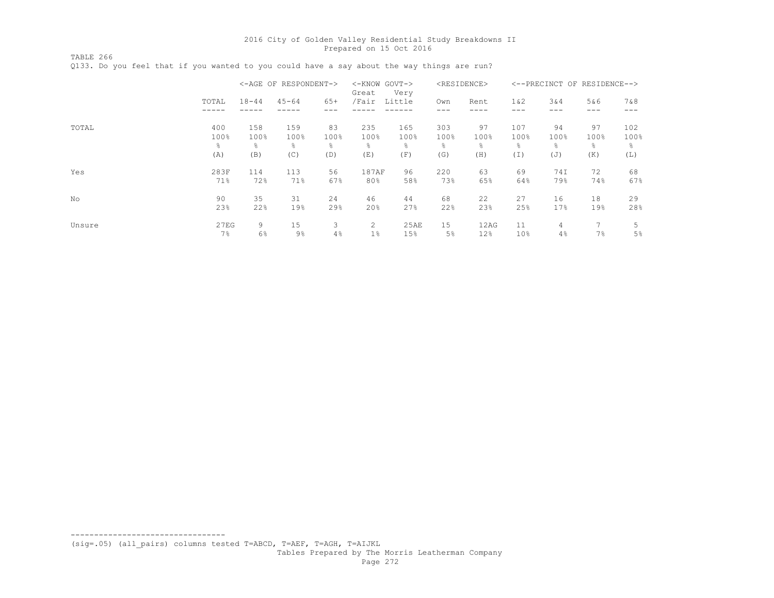TABLE 266 Q133. Do you feel that if you wanted to you could have a say about the way things are run?

|        |            |           | <-AGE OF RESPONDENT-> |         | <-KNOW GOVT-><br>Great | Very        |          | <residence></residence> |                       |         | <--PRECINCT OF RESIDENCE--> |            |
|--------|------------|-----------|-----------------------|---------|------------------------|-------------|----------|-------------------------|-----------------------|---------|-----------------------------|------------|
|        | TOTAL      | $18 - 44$ | $45 - 64$             | $65+$   | /Fair                  | Little      | Own      | Rent                    | 1 & 2                 | 3&4     | 5&6                         | 7&8        |
| TOTAL  | 400        | 158       | 159                   | 83      | 235                    | 165         | 303      | 97                      | 107                   | 94      | 97                          | 102        |
|        | 100%       | 100%      | 100%                  | 100%    | 100%                   | 100%        | 100%     | 100%                    | 100%                  | 100%    | 100%                        | 100%       |
|        | g.         | ⊱         | g.                    | 옹       | ⊱                      | g.          | g.       | g.                      | 옹                     | ⊱       | g.                          | g.         |
|        | (A)        | (B)       | (C)                   | (D)     | (E)                    | (F)         | (G)      | (H)                     | (I)                   | (J)     | (K)                         | (L)        |
| Yes    | 283F       | 114       | 113                   | 56      | 187AF                  | 96          | 220      | 63                      | 69                    | 74I     | 72                          | 68         |
|        | 71%        | 72%       | 71%                   | 67%     | 80%                    | 58%         | 73%      | 65%                     | 64%                   | 79%     | 74%                         | 67%        |
| No     | 90         | 35        | 31                    | 24      | 46                     | 44          | 68       | 22                      | 27                    | 16      | 18                          | 29         |
|        | 23%        | 22%       | 19%                   | 29%     | 20%                    | 27%         | 22%      | 23%                     | 25%                   | 17%     | 19%                         | 28%        |
| Unsure | 27EG<br>7% | 9<br>6%   | 15<br>9%              | 3<br>4% | 2<br>$1\%$             | 25AE<br>15% | 15<br>5% | 12AG<br>12%             | 11<br>10 <sub>8</sub> | 4<br>4% | 7%                          | 5<br>$5\%$ |

(sig=.05) (all\_pairs) columns tested T=ABCD, T=AEF, T=AGH, T=AIJKL

---------------------------------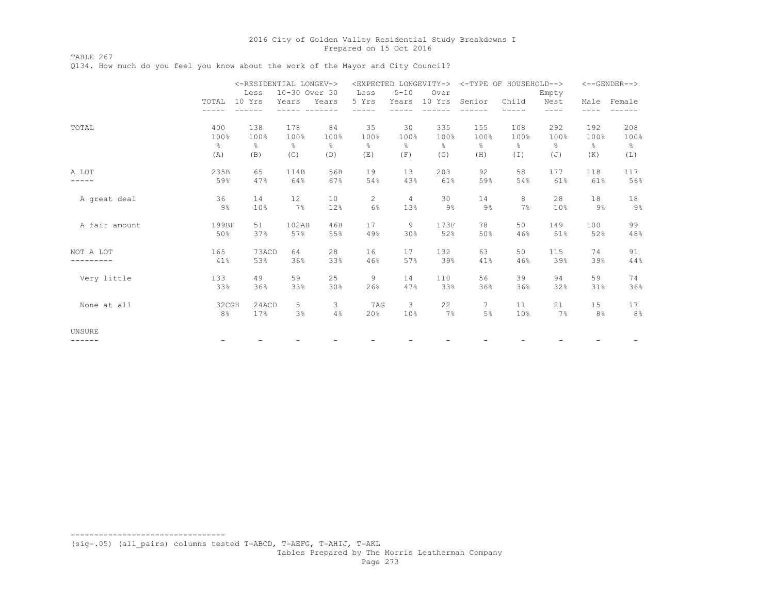TABLE 267

Q134. How much do you feel you know about the work of the Mayor and City Council?

|               |       | <-RESIDENTIAL LONGEV-> |                   |               |               |                |        | <expected longevity-=""> &lt;-TYPE OF HOUSEHOLD--&gt;</expected> |               |       |               | $\leftarrow$ -GENDER--> |
|---------------|-------|------------------------|-------------------|---------------|---------------|----------------|--------|------------------------------------------------------------------|---------------|-------|---------------|-------------------------|
|               |       | Less                   | 10-30 Over 30     |               | Less          | $5 - 10$       | Over   |                                                                  |               | Empty |               |                         |
|               | TOTAL | 10 Yrs                 | Years             | Years         | 5 Yrs         | Years          | 10 Yrs | Senior                                                           | Child         | Nest  | Male          | Female                  |
|               |       |                        |                   |               |               |                |        |                                                                  |               | ----  | ----          |                         |
| TOTAL         | 400   | 138                    | 178               | 84            | 35            | 30             | 335    | 155                                                              | 108           | 292   | 192           | 208                     |
|               | 100%  | 100%                   | 100%              | 100%          | 100%          | 100%           | 100%   | 100%                                                             | 100%          | 100%  | 100%          | 100%                    |
|               | ိင    | $\frac{6}{6}$          | $\frac{6}{6}$     | $\frac{6}{6}$ | $\frac{6}{6}$ | ⊱              | ⊱      | $\frac{6}{6}$                                                    | $\frac{6}{6}$ | 옹     | $\frac{6}{6}$ | $\frac{6}{6}$           |
|               | (A)   | (B)                    | (C)               | (D)           | (E)           | (F)            | (G)    | (H)                                                              | (I)           | (J)   | (K)           | (L)                     |
| A LOT         | 235B  | 65                     | 114B              | 56B           | 19            | 13             | 203    | 92                                                               | 58            | 177   | 118           | 117                     |
|               | 59%   | 47%                    | 64%               | 67%           | 54%           | 43%            | 61%    | 59%                                                              | 54%           | 61%   | 61%           | 56%                     |
| A great deal  | 36    | 14                     | $12 \overline{ }$ | 10            | 2             | $\overline{4}$ | 30     | 14                                                               | 8             | 28    | 18            | 18                      |
|               | $9\%$ | 10%                    | 7%                | 12%           | 6%            | 13%            | $9\%$  | $9\%$                                                            | 7%            | 10%   | $9\%$         | 9%                      |
| A fair amount | 199BF | 51                     | 102AB             | 46B           | 17            | 9              | 173F   | 78                                                               | 50            | 149   | 100           | 99                      |
|               | 50%   | 37%                    | 57%               | 55%           | 49%           | 30%            | 52%    | 50%                                                              | 46%           | 51%   | 52%           | 48%                     |
| NOT A LOT     | 165   | 73ACD                  | 64                | 28            | 16            | 17             | 132    | 63                                                               | 50            | 115   | 74            | 91                      |
|               | 41%   | 53%                    | 36%               | 33%           | 46%           | 57%            | 39%    | 41%                                                              | 46%           | 39%   | 39%           | 44%                     |
| Very little   | 133   | 49                     | 59                | 25            | 9             | 14             | 110    | 56                                                               | 39            | 94    | 59            | 74                      |
|               | 33%   | 36%                    | 33%               | 30%           | 26%           | 47%            | 33%    | 36%                                                              | 36%           | 32%   | 31%           | 36%                     |
| None at all   | 32CGH | 24ACD                  | 5.                | 3             | 7AG           | 3              | 22     | 7                                                                | 11            | 21    | 15            | 17                      |
|               | 8%    | 17%                    | 3%                | 4%            | 20%           | 10%            | 7%     | 5%                                                               | 10%           | 7%    | 8%            | 8%                      |
| UNSURE        |       |                        |                   |               |               |                |        |                                                                  |               |       |               |                         |
| ------        |       |                        |                   |               |               |                |        |                                                                  |               |       |               |                         |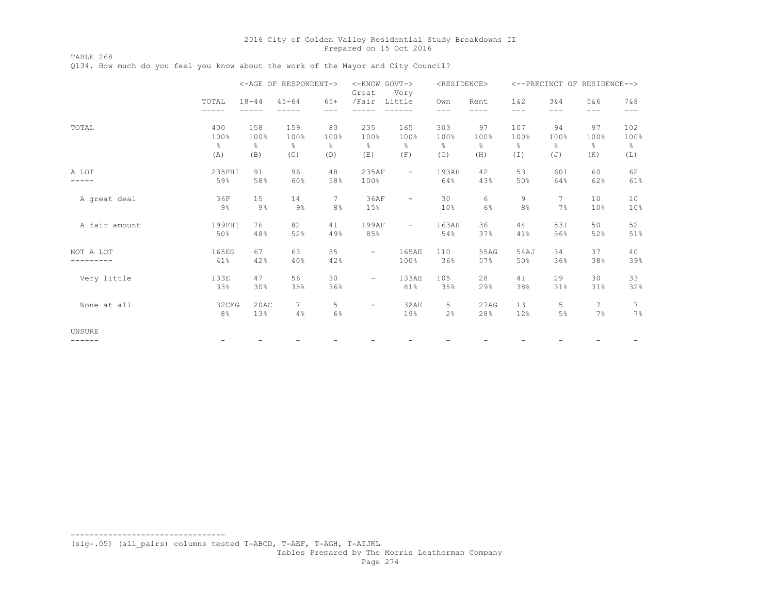TABLE 268 Q134. How much do you feel you know about the work of the Mayor and City Council?

|               |                          |                          | <-AGE OF RESPONDENT->               |                                    | <-KNOW GOVT-><br>Great              | Very                                | <residence></residence>  |                                    |                              |                                    | <--PRECINCT OF RESIDENCE--> |                                     |
|---------------|--------------------------|--------------------------|-------------------------------------|------------------------------------|-------------------------------------|-------------------------------------|--------------------------|------------------------------------|------------------------------|------------------------------------|-----------------------------|-------------------------------------|
|               | TOTAL                    | $18 - 44$                | $45 - 64$                           | $65+$<br>$- - -$                   | /Fair                               | Little                              | Own<br>$---$             | Rent<br>----                       | 1 & 2<br>$---$               | 3&4<br>$---$                       | 5&6<br>$---$                | 7 & 8<br>$---$                      |
| TOTAL         | 400<br>100%<br>g.<br>(A) | 158<br>100%<br>g.<br>(B) | 159<br>100%<br>$\frac{6}{6}$<br>(C) | 83<br>100%<br>$\frac{6}{6}$<br>(D) | 235<br>100%<br>$\frac{6}{6}$<br>(E) | 165<br>100%<br>$\frac{6}{5}$<br>(F) | 303<br>100%<br>g.<br>(G) | 97<br>100%<br>$\frac{6}{5}$<br>(H) | 107<br>100%<br>응<br>$(\top)$ | 94<br>100%<br>$\frac{6}{6}$<br>(J) | 97<br>100%<br>g.<br>(K)     | 102<br>100%<br>$\frac{6}{6}$<br>(L) |
| A LOT         | 235FHI<br>59%            | 91<br>58%                | 96<br>60%                           | 48<br>58%                          | 235AF<br>100%                       | $\overline{\phantom{a}}$            | 193AH<br>64%             | 42<br>43%                          | 53<br>50%                    | 60I<br>64%                         | 60<br>62%                   | 62<br>61%                           |
| A great deal  | 36F<br>9%                | 15<br>$9\%$              | 14<br>$9\%$                         | $\overline{7}$<br>8 <sup>°</sup>   | 36AF<br>15%                         | $\overline{\phantom{a}}$            | 30<br>10%                | 6<br>6%                            | 9<br>8 <sup>°</sup>          | $7\overline{ }$<br>7%              | 10<br>10%                   | 10<br>10%                           |
| A fair amount | 199FHI<br>50%            | 76<br>48%                | 82<br>52%                           | 41<br>49%                          | 199AF<br>85%                        | $\overline{\phantom{a}}$            | 163AH<br>54%             | 36<br>37%                          | 44<br>41%                    | 53I<br>56%                         | 50<br>52%                   | 52<br>51%                           |
| NOT A LOT     | 165EG<br>41%             | 67<br>42%                | 63<br>40%                           | 35<br>42%                          | $\overline{\phantom{a}}$            | 165AE<br>100%                       | 110<br>36%               | 55AG<br>57%                        | 54AJ<br>50%                  | 34<br>36%                          | 37<br>38%                   | 40<br>39%                           |
| Very little   | 133E<br>33%              | 47<br>30%                | 56<br>35%                           | 30<br>36%                          | $\overline{\phantom{a}}$            | 133AE<br>81%                        | 105<br>35%               | 28<br>29%                          | 41<br>38%                    | 29<br>31%                          | 30<br>31%                   | 33<br>32%                           |
| None at all   | 32CEG<br>8%              | 20AC<br>13%              | 7<br>4%                             | 5<br>6%                            | $\overline{\phantom{a}}$            | 32AE<br>19%                         | 5<br>2%                  | 27AG<br>28%                        | 13<br>12%                    | 5<br>5%                            | 7<br>7%                     | 7<br>7%                             |
| UNSURE        |                          |                          |                                     |                                    |                                     |                                     |                          |                                    |                              |                                    |                             |                                     |
| ------        |                          |                          |                                     |                                    |                                     |                                     |                          |                                    |                              |                                    |                             |                                     |

(sig=.05) (all\_pairs) columns tested T=ABCD, T=AEF, T=AGH, T=AIJKL

---------------------------------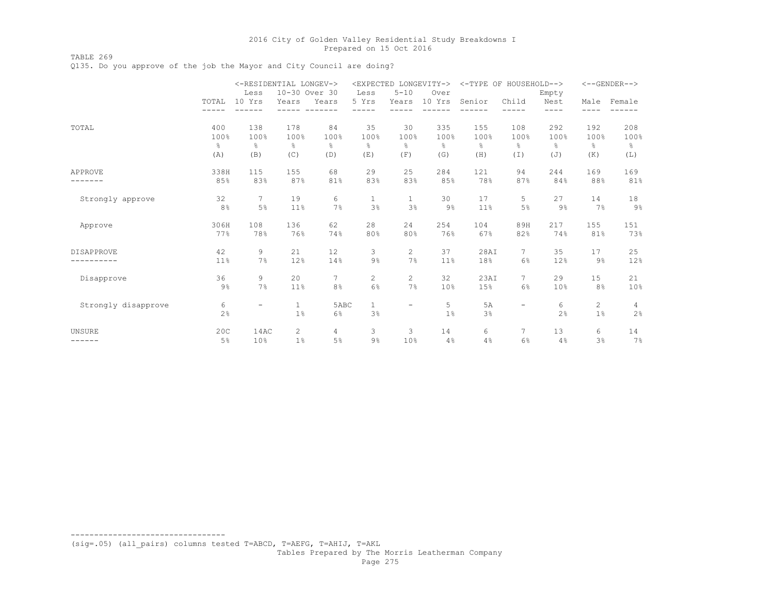TABLE 269

Q135. Do you approve of the job the Mayor and City Council are doing?

|                     |       | <-RESIDENTIAL LONGEV-> |                       |               |              | <expected longevity-=""></expected> |                | <-TYPE OF HOUSEHOLD--> |          |       |                | $<-$ -GENDER--> |
|---------------------|-------|------------------------|-----------------------|---------------|--------------|-------------------------------------|----------------|------------------------|----------|-------|----------------|-----------------|
|                     |       | Less                   |                       | 10-30 Over 30 | Less         | $5 - 10$                            | Over           |                        |          | Empty |                |                 |
|                     | TOTAL | 10 Yrs                 | Years                 | Years         | 5 Yrs        | Years                               | 10 Yrs         | Senior                 | Child    | Nest  | Male           | Female          |
|                     |       |                        |                       |               |              |                                     |                |                        |          | ----  |                |                 |
| TOTAL               | 400   | 138                    | 178                   | 84            | 35           | 30                                  | 335            | 155                    | 108      | 292   | 192            | 208             |
|                     | 100%  | 100%                   | 100%                  | 100%          | 100%         | 100%                                | 100%           | 100%                   | 100%     | 100%  | 100%           | 100%            |
|                     | န္    | ⊱                      | $\frac{6}{6}$         | 옹             | g.           | g.                                  | g.             | ⊱                      | 옹        | g.    | g.             | $\frac{6}{6}$   |
|                     | (A)   | (B)                    | (C)                   | (D)           | (E)          | (F)                                 | (G)            | (H)                    | $(\top)$ | (J)   | (K)            | (L)             |
| APPROVE             | 338H  | 115                    | 155                   | 68            | 29           | 25                                  | 284            | 121                    | 94       | 244   | 169            | 169             |
|                     | 85%   | 83%                    | 87%                   | 81%           | 83%          | 83%                                 | 85%            | 78%                    | 87%      | 84%   | 88%            | 81%             |
| Strongly approve    | 32    | $\overline{7}$         | 19                    | 6             | 1            | 1                                   | 30             | 17                     | 5        | 27    | 14             | 18              |
|                     | 8%    | 5%                     | 11%                   | 7%            | 3%           | 3%                                  | 9%             | 11%                    | 5%       | 9%    | 7%             | $9\%$           |
| Approve             | 306H  | 108                    | 136                   | 62            | 28           | 24                                  | 254            | 104                    | 89H      | 217   | 155            | 151             |
|                     | 77%   | 78%                    | 76%                   | 74%           | 80%          | 80%                                 | 76%            | 67%                    | 82%      | 74%   | 81%            | 73%             |
| DISAPPROVE          | 42    | 9                      | 21                    | 12            | 3            | $\overline{c}$                      | 37             | 28AI                   | $\tau$   | 35    | 17             | 25              |
|                     | 11%   | 7%                     | 12%                   | 14%           | 9%           | 7%                                  | 11%            | 18%                    | 6%       | 12%   | $9\%$          | 12%             |
| Disapprove          | 36    | 9                      | 20                    | 7             | 2            | $\overline{2}$                      | 32             | 23AI                   | $\tau$   | 29    | 15             | 21              |
|                     | 9%    | 7%                     | 11%                   | 8%            | 6%           | 7%                                  | 10%            | 15%                    | 6%       | 10%   | 8 <sup>°</sup> | 10%             |
| Strongly disapprove | 6     | Ξ.                     | $\mathbf{1}$          | 5ABC          | $\mathbf{1}$ | $\overline{\phantom{m}}$            | 5              | 5A                     |          | 6     | $\overline{c}$ | 4               |
|                     | 2%    |                        | 1%                    | 6%            | 3%           |                                     | 1 <sup>°</sup> | 3%                     |          | 2%    | $1\%$          | 2%              |
| <b>UNSURE</b>       | 20C   | 14AC                   | $\mathbf{2}^{\prime}$ | 4             | 3            | 3                                   | 14             | 6                      | 7        | 13    | 6              | 14              |
| ------              | 5%    | 10%                    | $1\%$                 | 5%            | 9%           | 10%                                 | 4%             | 4%                     | 6%       | 4%    | 3%             | 7%              |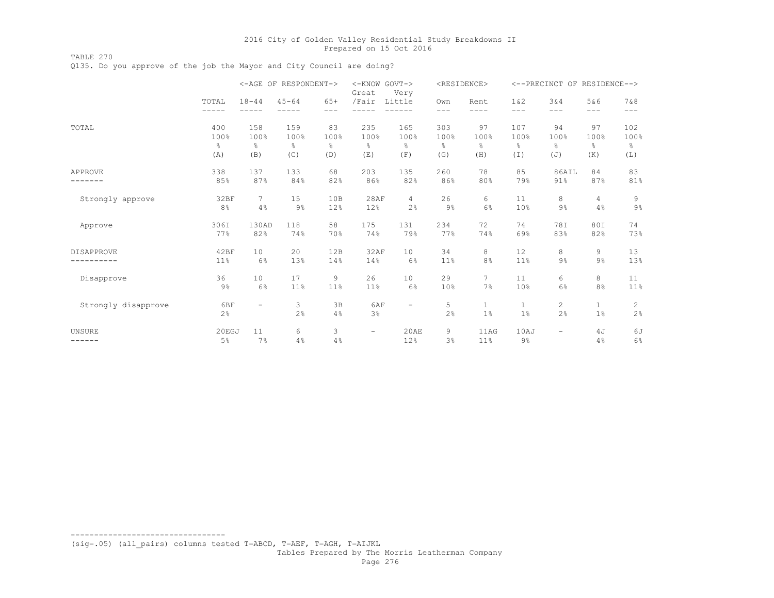TABLE 270 Q135. Do you approve of the job the Mayor and City Council are doing?

|                         |                |                          | <-AGE OF RESPONDENT-> |              | <-KNOW GOVT-><br>Great   | Very                     |               | <residence></residence> |                       | <--PRECINCT OF RESIDENCE--> |                    |                |
|-------------------------|----------------|--------------------------|-----------------------|--------------|--------------------------|--------------------------|---------------|-------------------------|-----------------------|-----------------------------|--------------------|----------------|
|                         | TOTAL<br>----- | $18 - 44$                | $45 - 64$             | $65+$<br>--- | /Fair                    | Little                   | Own<br>---    | Rent<br>----            | 1 & 2<br>$---$        | 3&4<br>$---$                | 5&6<br>---         | 7 & 8<br>$---$ |
| TOTAL                   | 400            | 158                      | 159                   | 83           | 235                      | 165                      | 303           | 97                      | 107                   | 94                          | 97                 | 102            |
|                         | 100%           | 100%                     | 100%                  | 100%         | 100%                     | 100%                     | 100%          | 100%                    | 100%                  | 100%                        | 100%               | 100%           |
|                         | $\frac{6}{6}$  | $\frac{6}{6}$            | 옹                     | 옹            | $\frac{6}{5}$            | $\frac{6}{5}$            | $\frac{6}{6}$ | $\frac{6}{6}$           | $\frac{6}{6}$         | $\frac{6}{5}$               | $\frac{6}{6}$      | $\frac{6}{6}$  |
|                         | (A)            | (B)                      | (C)                   | (D)          | (E)                      | (F)                      | (G)           | (H)                     | $(\bot)$              | (J)                         | (K)                | (L)            |
| APPROVE                 | 338            | 137                      | 133                   | 68           | 203                      | 135                      | 260           | 78                      | 85                    | 86AIL                       | 84                 | 83             |
|                         | 85%            | 87%                      | 84%                   | 82%          | 86%                      | 82%                      | 86%           | 80%                     | 79%                   | 91%                         | 87%                | 81%            |
| Strongly approve        | 32BF           | 7                        | 15                    | 10B          | 28AF                     | 4                        | 26            | 6                       | 11                    | 8                           | 4                  | 9              |
|                         | 8%             | 4%                       | $9\%$                 | 12%          | 12%                      | 2%                       | 9%            | 6%                      | 10%                   | $9\%$                       | 4%                 | 9%             |
| Approve                 | 306I           | 130AD                    | 118                   | 58           | 175                      | 131                      | 234           | 72                      | 74                    | 78I                         | 80I                | 74             |
|                         | 77%            | 82%                      | 74%                   | 70%          | 74%                      | 79%                      | 77%           | 74%                     | 69%                   | 83%                         | 82%                | 73%            |
| DISAPPROVE              | 42BF           | 10                       | 20                    | 12B          | 32AF                     | 10                       | 34            | 8                       | 12                    | 8                           | 9                  | 13             |
|                         | 11%            | 6%                       | 13%                   | 14%          | 14%                      | 6%                       | 11%           | 8%                      | 11%                   | $9\%$                       | $9\%$              | 13%            |
| Disapprove              | 36             | 10                       | 17                    | 9            | 26                       | 10                       | 29            | $7\phantom{.0}$         | 11                    | 6                           | 8                  | 11             |
|                         | $9\%$          | 6%                       | 11%                   | 11%          | 11%                      | 6%                       | 10%           | 7%                      | 10%                   | 6%                          | 8%                 | 11%            |
| Strongly disapprove     | 6BF<br>2%      | $\overline{\phantom{a}}$ | 3<br>2%               | 3B<br>4%     | 6AF<br>3%                | $\overline{\phantom{0}}$ | 5<br>2%       | $\mathbf{1}$<br>1%      | $\mathbf{1}$<br>$1\%$ | $\mathbf{2}$<br>2%          | $\mathbf{1}$<br>1% | 2<br>2%        |
| <b>UNSURE</b><br>------ | 20EGJ<br>5%    | 11<br>7%                 | 6<br>4%               | 3<br>4%      | $\overline{\phantom{a}}$ | 20AE<br>12%              | 9<br>3%       | 11AG<br>11%             | 10AJ<br>$9\%$         | Ξ.                          | 4 J<br>4%          | 6J<br>6%       |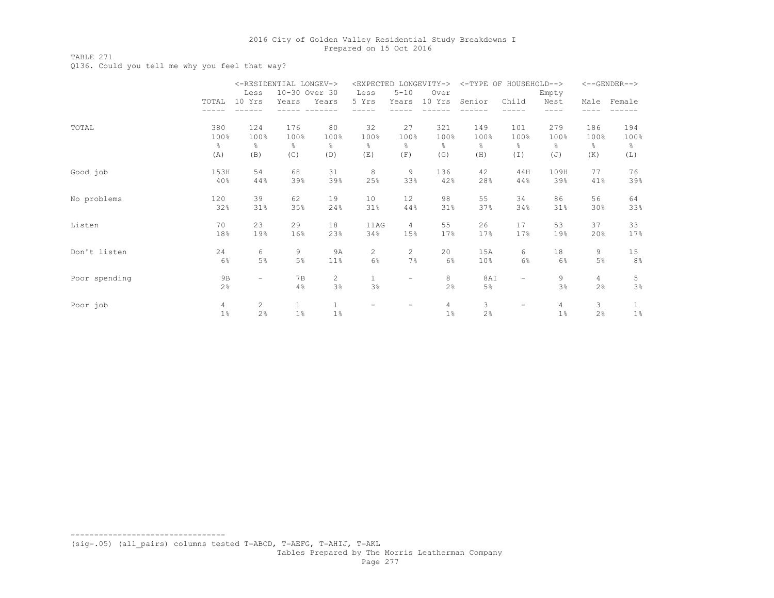TABLE 271

Q136. Could you tell me why you feel that way?

|               |                | <-RESIDENTIAL LONGEV-> |               |                       | <expected longevity-=""></expected> |                          |        |               | <-TYPE OF HOUSEHOLD-->   |                |      | $<-$ -GENDER--> |
|---------------|----------------|------------------------|---------------|-----------------------|-------------------------------------|--------------------------|--------|---------------|--------------------------|----------------|------|-----------------|
|               |                | Less                   | 10-30 Over 30 |                       | Less                                | $5 - 10$                 | Over   |               |                          | Empty          |      |                 |
|               | TOTAL          | 10 Yrs                 | Years         | Years                 | 5 Yrs                               | Years                    | 10 Yrs | Senior        | Child                    | Nest           | Male | Female          |
|               |                |                        |               |                       |                                     |                          |        |               |                          | ----           |      |                 |
| TOTAL         | 380            | 124                    | 176           | 80                    | 32                                  | 27                       | 321    | 149           | 101                      | 279            | 186  | 194             |
|               | 100%           | 100%                   | 100%          | 100%                  | 100%                                | 100%                     | 100%   | 100%          | 100%                     | 100%           | 100% | 100%            |
|               | g.             | ⊱                      | $\frac{6}{6}$ | g.                    | 옹                                   | g.                       | g.     | $\frac{6}{6}$ | 옹                        | $\frac{6}{6}$  | g.   | $\frac{6}{6}$   |
|               | (A)            | (B)                    | (C)           | (D)                   | (E)                                 | (F)                      | (G)    | (H)           | $(\top)$                 | (J)            | (K)  | (L)             |
| Good job      | 153H           | 54                     | 68            | 31                    | 8                                   | 9                        | 136    | 42            | 44H                      | 109H           | 77   | 76              |
|               | 40%            | 44%                    | 39%           | 39%                   | 25%                                 | 33%                      | 42%    | 28%           | 44%                      | 39%            | 41%  | 39%             |
| No problems   | 120            | 39                     | 62            | 19                    | 10                                  | 12                       | 98     | 55            | 34                       | 86             | 56   | 64              |
|               | 32%            | 31%                    | 35%           | 24%                   | 31%                                 | 44%                      | 31%    | 37%           | 34%                      | 31%            | 30%  | 33%             |
| Listen        | 70             | 23                     | 29            | 18                    | 11AG                                | $\overline{4}$           | 55     | 26            | 17                       | 53             | 37   | 33              |
|               | 18%            | 19%                    | 16%           | 23%                   | 34%                                 | 15%                      | 17%    | 17%           | 17%                      | 19%            | 20%  | 17%             |
| Don't listen  | 24             | 6                      | 9             | 9A                    | $\mathbf{2}^{\prime}$               | $\mathbf{2}$             | 20     | 15A           | 6                        | 18             | 9    | 15              |
|               | 6%             | 5%                     | $5\%$         | 11%                   | 6%                                  | 7%                       | 6%     | 10%           | 6%                       | 6%             | 5%   | 8%              |
| Poor spending | 9 <sub>B</sub> | Ξ.                     | 7B            | $\mathbf{2}^{\prime}$ | $\mathbf{1}$                        | $\overline{\phantom{m}}$ | 8      | 8AI           | -                        | 9              | 4    | 5               |
|               | 2%             |                        | 4%            | 3%                    | 3%                                  |                          | 2%     | $5\%$         |                          | 3%             | 2%   | 3%              |
| Poor job      | 4              | $\mathbf{2}^{\prime}$  | $\mathbf{1}$  | $\mathbf{1}$          | $\overline{\phantom{0}}$            | $\overline{\phantom{a}}$ | 4      | 3             | $\overline{\phantom{0}}$ | $\overline{4}$ | 3    | $\mathbf{1}$    |
|               | 1%             | 2%                     | $1\%$         | $1\%$                 |                                     |                          | 1%     | 2%            |                          | 1%             | 2%   | $1\%$           |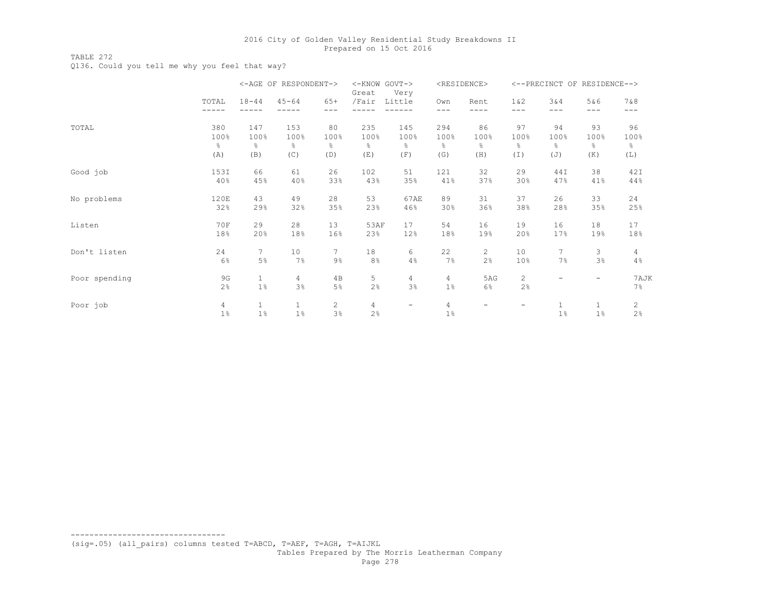TABLE 272

Q136. Could you tell me why you feel that way?

|               |       |                 | <-AGE OF RESPONDENT-> |                | <-KNOW GOVT-><br>Great | Very          |                | <residence></residence> |                 | <--PRECINCT OF RESIDENCE--> |       |                |
|---------------|-------|-----------------|-----------------------|----------------|------------------------|---------------|----------------|-------------------------|-----------------|-----------------------------|-------|----------------|
|               | TOTAL | $18 - 44$       | $45 - 64$             | $65+$          | /Fair                  | Little        | Own            | Rent                    | 1 & 2           | 3&4                         | 5&6   | 7 & 8          |
|               | ----- |                 |                       | ---            |                        |               | $---$          | ----                    | $---$           | ---                         | ---   | ---            |
| TOTAL         | 380   | 147             | 153                   | 80             | 235                    | 145           | 294            | 86                      | 97              | 94                          | 93    | 96             |
|               | 100%  | 100%            | 100%                  | 100%           | 100%                   | 100%          | 100%           | 100%                    | 100%            | 100%                        | 100%  | 100%           |
|               | g.    | ⊱               | &                     | g.             | g.                     | $\frac{6}{6}$ | ⊱              | 옹                       | g.              | g.                          | g.    | $\frac{6}{6}$  |
|               | (A)   | (B)             | (C)                   | (D)            | (E)                    | (F)           | (G)            | (H)                     | (I)             | (J)                         | (K)   | (L)            |
| Good job      | 153I  | 66              | 61                    | 26             | 102                    | 51            | 121            | 32                      | 29              | 44I                         | 38    | 42I            |
|               | 40%   | 45%             | 40%                   | 33%            | 43%                    | 35%           | 41%            | 37%                     | 30%             | 47%                         | 41%   | 44%            |
| No problems   | 120E  | 43              | 49                    | 28             | 53                     | 67AE          | 89             | 31                      | 37              | 26                          | 33    | 24             |
|               | 32%   | 29%             | 32%                   | 35%            | 23%                    | 46%           | 30%            | 36%                     | 38%             | 28%                         | 35%   | 25%            |
| Listen        | 70F   | 29              | 28                    | 13             | 53AF                   | 17            | 54             | 16                      | 19              | 16                          | 18    | 17             |
|               | 18%   | 20%             | 18%                   | 16%            | 23%                    | 12%           | 18%            | 19%                     | 20%             | 17%                         | 19%   | 18%            |
| Don't listen  | 24    | $7\phantom{.0}$ | 10                    | $7^{\circ}$    | 18                     | 6             | 22             | 2                       | 10              | $\overline{7}$              | 3     | 4              |
|               | 6%    | $5\%$           | 7%                    | $9\frac{6}{6}$ | 8%                     | 4%            | 7%             | 2%                      | 10 <sup>°</sup> | 7%                          | 3%    | 4%             |
| Poor spending | 9G    | $\mathbf{1}$    | 4                     | 4B             | 5                      | 4             | $\overline{4}$ | 5AG                     | $\overline{c}$  |                             | -     | 7AJK           |
|               | 2%    | 1%              | 3%                    | 5%             | 2%                     | 3%            | 1 <sup>°</sup> | $6\%$                   | 2%              |                             |       | 7%             |
| Poor job      | 4     | $\mathbf{1}$    | $\mathbf{1}$          | $\overline{c}$ | 4                      | -             | $\overline{4}$ | -                       | -               |                             |       | $\overline{c}$ |
|               | $1\%$ | 1%              | 1%                    | $3\frac{6}{6}$ | 2%                     |               | 1%             |                         |                 | $1\%$                       | $1\%$ | 2%             |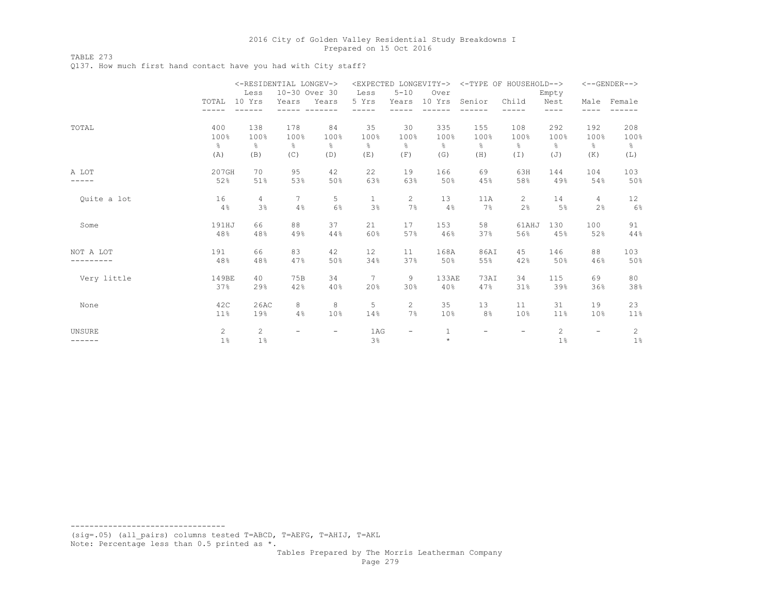TABLE 273

Q137. How much first hand contact have you had with City staff?

|             | <-RESIDENTIAL LONGEV-> |                |               |               |              |                | <expected longevity-=""></expected> |               | <-TYPE OF HOUSEHOLD--> |                       |                          | $<-$ -GENDER--> |
|-------------|------------------------|----------------|---------------|---------------|--------------|----------------|-------------------------------------|---------------|------------------------|-----------------------|--------------------------|-----------------|
|             |                        | Less           | 10-30 Over 30 |               | Less         | $5 - 10$       | Over                                |               |                        | Empty                 |                          |                 |
|             | TOTAL                  | 10 Yrs         | Years         | Years         | 5 Yrs        | Years          | 10 Yrs                              | Senior        | Child                  | Nest                  | Male                     | Female          |
|             |                        |                |               |               |              |                |                                     |               |                        | ----                  |                          |                 |
| TOTAL       | 400                    | 138            | 178           | 84            | 35           | 30             | 335                                 | 155           | 108                    | 292                   | 192                      | 208             |
|             | 100%                   | 100%           | 100%          | 100%          | 100%         | 100%           | 100%                                | 100%          | 100%                   | 100%                  | 100%                     | 100%            |
|             | $\frac{6}{10}$         | $\frac{6}{6}$  | $\frac{6}{6}$ | $\frac{6}{6}$ | $\approx$    | $\frac{6}{6}$  | $\frac{6}{6}$                       | $\frac{6}{6}$ | g.                     | $\frac{6}{6}$         | g.                       | $\frac{6}{6}$   |
|             | (A)                    | (B)            | (C)           | (D)           | (E)          | (F)            | (G)                                 | (H)           | (I)                    | (J)                   | (K)                      | (L)             |
| A LOT       | 207GH                  | 70             | 95            | 42            | 22           | 19             | 166                                 | 69            | 63H                    | 144                   | 104                      | 103             |
|             | 52%                    | 51%            | 53%           | 50%           | 63%          | 63%            | 50%                                 | 45%           | 58%                    | 49%                   | 54%                      | 50%             |
| Ouite a lot | 16                     | 4              | 7             | 5             | $\mathbf{1}$ | 2              | 13                                  | 11A           | 2                      | 14                    | 4                        | 12              |
|             | 4%                     | 3 <sup>°</sup> | 4%            | 6%            | 3%           | 7%             | 4%                                  | 7%            | 2 <sup>°</sup>         | 5%                    | 2%                       | 6%              |
| Some        | 191HJ                  | 66             | 88            | 37            | 21           | 17             | 153                                 | 58            | 61AHJ                  | 130                   | 100                      | 91              |
|             | 48%                    | 48%            | 49%           | 44%           | 60%          | 57%            | 46%                                 | 37%           | 56%                    | 45%                   | 52%                      | 44%             |
| NOT A LOT   | 191                    | 66             | 83            | 42            | 12           | 11             | 168A                                | 86AI          | 45                     | 146                   | 88                       | 103             |
|             | 48%                    | 48%            | 47%           | 50%           | 34%          | 37%            | 50%                                 | 55%           | 42%                    | 50%                   | 46%                      | 50%             |
| Very little | 149BE                  | 40             | 75B           | 34            | 7            | 9              | 133AE                               | 73AI          | 34                     | 115                   | 69                       | 80              |
|             | 37%                    | 29%            | 42%           | 40%           | 20%          | 30%            | 40%                                 | 47%           | 31%                    | 39%                   | 36%                      | 38%             |
| None        | 42C                    | 26AC           | 8             | 8             | 5            | $\overline{2}$ | 35                                  | 13            | 11                     | 31                    | 19                       | 23              |
|             | 11%                    | 19%            | 4%            | 10%           | 14%          | 7%             | 10 <sup>°</sup>                     | 8%            | 10%                    | 11%                   | 10 <sup>°</sup>          | 11%             |
| UNSURE      | 2                      | $\overline{2}$ |               | $-$           | 1AG          | $-$            | $\mathbf{1}$                        |               | -                      | $\mathbf{2}^{\prime}$ | $\overline{\phantom{a}}$ | 2               |
| ------      | $1\%$                  | $1\%$          |               |               | 3%           |                | $\star$                             |               |                        | $1\%$                 |                          | $1\%$           |

--------------------------------- (sig=.05) (all\_pairs) columns tested T=ABCD, T=AEFG, T=AHIJ, T=AKL Note: Percentage less than 0.5 printed as \*.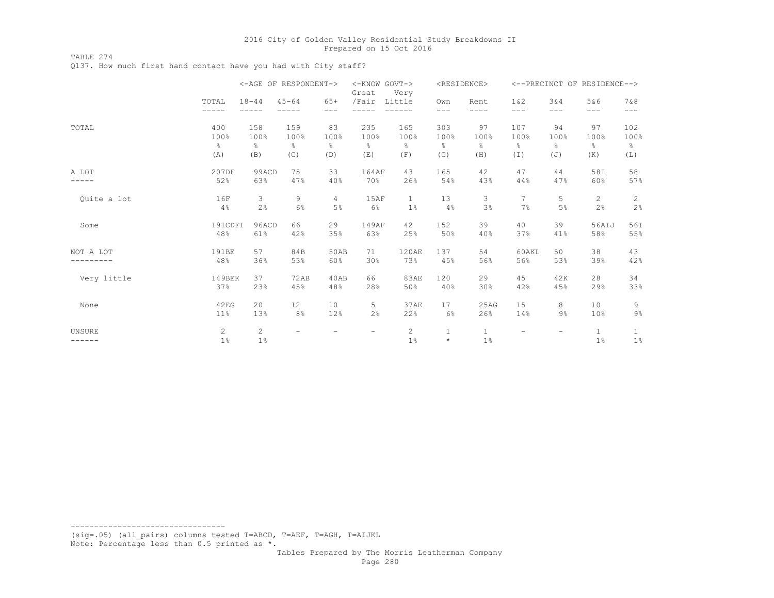TABLE 274 Q137. How much first hand contact have you had with City staff?

|                         |                | <-AGE OF RESPONDENT->   |               |                          | <-KNOW GOVT-><br>Great | Very                        |                         | <residence></residence> |                |                          | <--PRECINCT OF RESIDENCE--> |                       |
|-------------------------|----------------|-------------------------|---------------|--------------------------|------------------------|-----------------------------|-------------------------|-------------------------|----------------|--------------------------|-----------------------------|-----------------------|
|                         | TOTAL<br>----- | $18 - 44$               | $45 - 64$     | $65+$<br>---             | /Fair                  | Little                      | Own<br>$---$            | Rent<br>----            | 1 & 2<br>$---$ | 3 & 4<br>$- - -$         | 5&6<br>$- - -$              | 7 & 8<br>$---$        |
| TOTAL                   | 400            | 158                     | 159           | 83                       | 235                    | 165                         | 303                     | 97                      | 107            | 94                       | 97                          | 102                   |
|                         | 100%           | 100%                    | 100%          | 100%                     | 100%                   | 100%                        | 100%                    | 100%                    | 100%           | 100%                     | 100%                        | 100%                  |
|                         | g.             | $\frac{6}{6}$           | $\frac{6}{6}$ | $\frac{6}{6}$            | $\frac{6}{6}$          | $\frac{\circ}{6}$           | $\frac{6}{6}$           | $\frac{6}{5}$           | $\frac{6}{6}$  | $\frac{6}{6}$            | $\frac{6}{6}$               | $\frac{6}{6}$         |
|                         | (A)            | (B)                     | (C)           | (D)                      | (E)                    | (F)                         | (G)                     | (H)                     | $(\bot)$       | (J)                      | (K)                         | (L)                   |
| A LOT                   | 207DF          | 99ACD                   | 75            | 33                       | 164AF                  | 43                          | 165                     | 42                      | 47             | 44                       | 58I                         | 58                    |
|                         | 52%            | 63%                     | 47%           | 40%                      | 70%                    | 26%                         | 54%                     | 43%                     | 44%            | 47%                      | 60%                         | 57%                   |
| Quite a lot             | 16F            | 3                       | 9             | 4                        | 15AF                   | $\mathbf{1}$                | 13                      | 3                       | $\overline{7}$ | 5                        | $\mathbf{2}^{\prime}$       | $\mathbf{2}^{\prime}$ |
|                         | 4%             | 2 <sup>°</sup>          | 6%            | 5%                       | 6%                     | $1\%$                       | 4%                      | 3%                      | 7%             | 5%                       | 2%                          | 2%                    |
| Some                    | 191CDFI        | 96ACD                   | 66            | 29                       | 149AF                  | 42                          | 152                     | 39                      | 40             | 39                       | 56AIJ                       | 56I                   |
|                         | 48%            | 61%                     | 42%           | 35%                      | 63%                    | 25%                         | 50%                     | 40%                     | 37%            | 41%                      | 58%                         | 55%                   |
| NOT A LOT               | 191BE          | 57                      | 84B           | 50AB                     | 71                     | 120AE                       | 137                     | 54                      | 60AKL          | 50                       | 38                          | 43                    |
|                         | 48%            | 36%                     | 53%           | 60%                      | 30%                    | 73%                         | 45%                     | 56%                     | 56%            | 53%                      | 39%                         | 42%                   |
| Very little             | 149BEK         | 37                      | 72AB          | 40AB                     | 66                     | <b>83AE</b>                 | 120                     | 29                      | 45             | 42K                      | 28                          | 34                    |
|                         | 37%            | 23%                     | 45%           | 48%                      | 28%                    | 50%                         | 40%                     | 30%                     | 42%            | 45%                      | 29%                         | 33%                   |
| None                    | 42EG           | 20                      | 12            | 10                       | 5                      | 37AE                        | 17                      | 25AG                    | 15             | 8                        | 10                          | 9                     |
|                         | 11%            | 13%                     | 8%            | 12%                      | 2%                     | 22%                         | 6%                      | 26%                     | 14%            | $9\%$                    | 10 <sup>°</sup>             | $9\%$                 |
| <b>UNSURE</b><br>------ | 2<br>1%        | $\overline{2}$<br>$1\%$ |               | $\overline{\phantom{a}}$ | -                      | $\mathbf{2}^{\prime}$<br>1% | $\mathbf{1}$<br>$\star$ | $\mathbf{1}$<br>$1\%$   | -              | $\overline{\phantom{m}}$ | $\mathbf{1}$<br>$1\%$       | $\mathbf{1}$<br>$1\%$ |

--------------------------------- (sig=.05) (all\_pairs) columns tested T=ABCD, T=AEF, T=AGH, T=AIJKL Note: Percentage less than 0.5 printed as \*.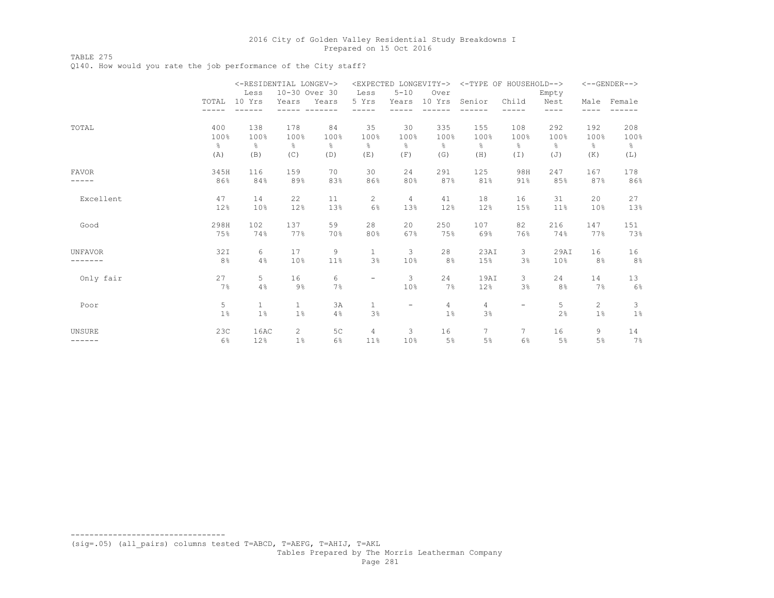TABLE 275

Q140. How would you rate the job performance of the City staff?

|              | <-RESIDENTIAL LONGEV-> |              |               |                |                   |                          | <expected longevity-=""></expected> | <-TYPE OF HOUSEHOLD--> |          |               |                | <--GENDER-->  |
|--------------|------------------------|--------------|---------------|----------------|-------------------|--------------------------|-------------------------------------|------------------------|----------|---------------|----------------|---------------|
|              |                        | Less         | 10-30 Over 30 |                | Less              | $5 - 10$                 | Over                                |                        |          | Empty         |                |               |
|              | TOTAL                  | 10 Yrs       | Years         | Years          | 5 Yrs             | Years                    | 10 Yrs                              | Senior                 | Child    | Nest          | Male           | Female        |
|              |                        |              |               |                |                   |                          |                                     |                        |          | ----          |                |               |
| TOTAL        | 400                    | 138          | 178           | 84             | 35                | 30                       | 335                                 | 155                    | 108      | 292           | 192            | 208           |
|              | 100%                   | 100%         | 100%          | 100%           | 100%              | 100%                     | 100%                                | 100%                   | 100%     | 100%          | 100%           | 100%          |
|              | န္                     | g.           | 옹             | $\frac{6}{6}$  | ⊱                 | ⊱                        | ⊱                                   | ⊱                      | ⊱        | $\frac{6}{6}$ | g.             | $\frac{6}{6}$ |
|              | (A)                    | (B)          | (C)           | (D)            | (E)               | (F)                      | (G)                                 | (H)                    | $(\top)$ | (J)           | (K)            | (L)           |
| <b>FAVOR</b> | 345H                   | 116          | 159           | 70             | 30                | 24                       | 291                                 | 125                    | 98H      | 247           | 167            | 178           |
|              | 86%                    | 84%          | 89%           | 83%            | 86%               | 80%                      | 87%                                 | 81%                    | 91%      | 85%           | 87%            | 86%           |
| Excellent    | 47                     | 14           | 22            | 11             | 2                 | $\overline{4}$           | 41                                  | 18                     | 16       | 31            | 20             | 27            |
|              | 12%                    | 10%          | 12%           | 13%            | 6%                | 13%                      | 12%                                 | 12%                    | 15%      | 11%           | 10%            | 13%           |
| Good         | 298H                   | 102          | 137           | 59             | 28                | 20                       | 250                                 | 107                    | 82       | 216           | 147            | 151           |
|              | 75%                    | 74%          | 77%           | 70%            | 80%               | 67%                      | 75%                                 | 69%                    | 76%      | 74%           | 77%            | 73%           |
| UNFAVOR      | 32I                    | 6            | 17            | 9              | $\mathbf{1}$      | 3                        | 28                                  | 23AI                   | 3        | 29AI          | 16             | 16            |
|              | 8 <sup>°</sup>         | 4%           | 10%           | 11%            | 3%                | 10%                      | 8%                                  | 15%                    | 3%       | 10%           | 8%             | 8%            |
| Only fair    | 27                     | 5            | 16            | 6              | $\qquad \qquad -$ | 3                        | 24                                  | 19AI                   | 3        | 24            | 14             | 13            |
|              | 7%                     | 4%           | $9\%$         | 7%             |                   | 10%                      | 7%                                  | 12%                    | 3%       | 8%            | 7%             | 6%            |
| Poor         | 5                      | $\mathbf{1}$ | $\mathbf{1}$  | 3A             | $\mathbf{1}$      | $\overline{\phantom{m}}$ | 4                                   | $\overline{4}$         | Ξ.       | 5             | $\overline{c}$ | 3             |
|              | $1\%$                  | $1\%$        | $1\%$         | 4%             | 3%                |                          | $1\%$                               | 3%                     |          | 2%            | 1%             | $1\%$         |
| UNSURE       | 23C                    | 16AC         | 2             | 5 <sup>C</sup> | 4                 | 3                        | 16                                  | 7                      | 7        | 16            | 9              | 14            |
|              | 6%                     | 12%          | $1\%$         | 6%             | 11%               | 10%                      | 5%                                  | 5%                     | 6%       | 5%            | 5%             | 7%            |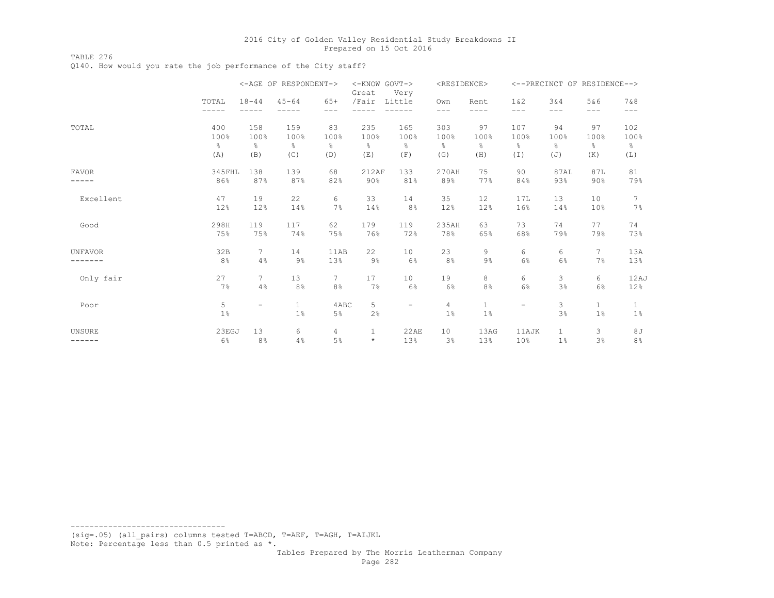TABLE 276 Q140. How would you rate the job performance of the City staff?

|               |                |                          | <-AGE OF RESPONDENT-> |                 | <-KNOW GOVT-><br>Great | Very                     | <residence></residence> |                    |                          |                | <--PRECINCT OF RESIDENCE--> |                       |
|---------------|----------------|--------------------------|-----------------------|-----------------|------------------------|--------------------------|-------------------------|--------------------|--------------------------|----------------|-----------------------------|-----------------------|
|               | TOTAL<br>----- | $18 - 44$                | $45 - 64$             | $65+$<br>---    | /Fair                  | Little                   | Own<br>---              | Rent<br>----       | $1\&2$<br>$---$          | 3&4<br>$- - -$ | 5&6<br>$---$                | 7 & 8<br>$---$        |
| TOTAL         | 400            | 158                      | 159                   | 83              | 235                    | 165                      | 303                     | 97                 | 107                      | 94             | 97                          | 102                   |
|               | 100%           | 100%                     | 100%                  | 100%            | 100%                   | 100%                     | 100%                    | 100%               | 100%                     | 100%           | 100%                        | 100%                  |
|               | g.             | $\frac{6}{6}$            | $\frac{6}{5}$         | $\frac{6}{6}$   | $\frac{6}{6}$          | $\frac{6}{5}$            | ⊱                       | $\frac{6}{6}$      | $\frac{6}{6}$            | 옹              | $\frac{6}{6}$               | $\frac{6}{6}$         |
|               | (A)            | (B)                      | (C)                   | (D)             | (E)                    | (F)                      | (G)                     | (H)                | (I)                      | (J)            | (K)                         | (L)                   |
| FAVOR         | 345FHL         | 138                      | 139                   | 68              | 212AF                  | 133                      | 270AH                   | 75                 | 90                       | 87AL           | 87L                         | 81                    |
|               | 86%            | 87%                      | 87%                   | 82%             | 90%                    | 81%                      | 89%                     | 77%                | 84%                      | 93%            | 90%                         | 79%                   |
| Excellent     | 47             | 19                       | 22                    | 6               | 33                     | 14                       | 35                      | $12 \overline{ }$  | 17L                      | 13             | 10                          | 7                     |
|               | 12%            | 12%                      | 14%                   | 7%              | 14%                    | 8%                       | 12%                     | 12%                | 16%                      | 14%            | 10%                         | 7%                    |
| Good          | 298H           | 119                      | 117                   | 62              | 179                    | 119                      | 235AH                   | 63                 | 73                       | 74             | 77                          | 74                    |
|               | 75%            | 75%                      | 74%                   | 75%             | 76%                    | 72%                      | 78%                     | 65%                | 68%                      | 79%            | 79%                         | 73%                   |
| UNFAVOR       | 32B            | 7                        | 14                    | 11AB            | 22                     | 10                       | 23                      | 9                  | 6                        | 6              | 7                           | 13A                   |
|               | 8%             | 4%                       | $9\%$                 | 13%             | 9%                     | 6%                       | 8%                      | 9%                 | 6%                       | 6%             | 7%                          | 13%                   |
| Only fair     | 27             | $\tau$                   | 13                    | $7\phantom{.0}$ | 17                     | 10                       | 19                      | 8                  | 6                        | 3              | 6                           | 12AJ                  |
|               | 7%             | 4%                       | 8%                    | 8 <sup>°</sup>  | 7%                     | 6%                       | 6%                      | 8%                 | 6%                       | 3%             | 6%                          | 12%                   |
| Poor          | 5<br>$1\%$     | $\overline{\phantom{a}}$ | $\mathbf{1}$<br>1%    | 4ABC<br>5%      | 5<br>2%                | $\overline{\phantom{m}}$ | $\overline{4}$<br>1%    | $\mathbf{1}$<br>1% | $\overline{\phantom{0}}$ | 3<br>3%        | $\mathbf{1}$<br>$1\%$       | $\mathbf{1}$<br>$1\%$ |
| <b>UNSURE</b> | 23EGJ          | 13                       | 6                     | 4               | 1                      | 22AE                     | 10                      | 13AG               | 11AJK                    | 1              | 3                           | 8J                    |
| ------        | 6%             | 8%                       | 4%                    | 5%              | $\star$                | 13%                      | 3%                      | 13%                | 10 <sup>°</sup>          | 1%             | 3%                          | 8 <sup>°</sup>        |

--------------------------------- (sig=.05) (all\_pairs) columns tested T=ABCD, T=AEF, T=AGH, T=AIJKL Note: Percentage less than 0.5 printed as \*.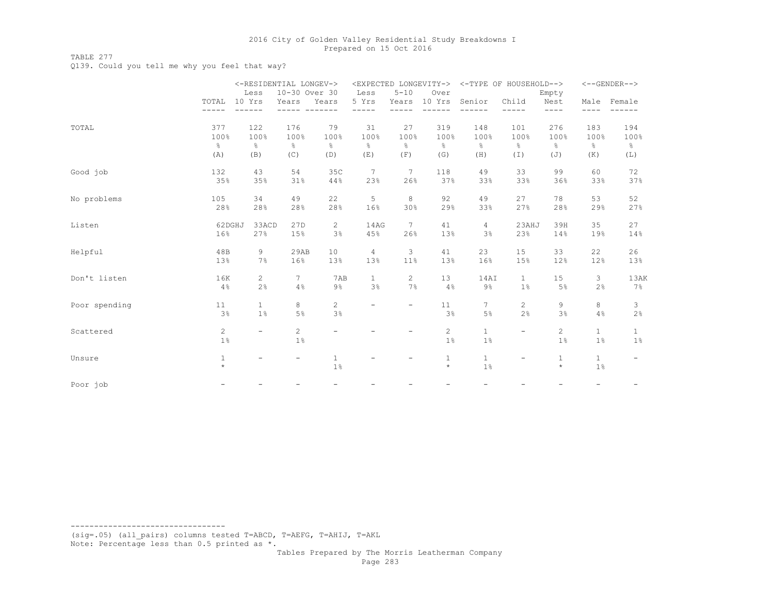TABLE 277

Q139. Could you tell me why you feel that way?

|               | <-RESIDENTIAL LONGEV-> |                          |               |                |                          |                          | <expected longevity-=""></expected> |                    | <-TYPE OF HOUSEHOLD-->   |                |                          | $<-$ -GENDER-->          |
|---------------|------------------------|--------------------------|---------------|----------------|--------------------------|--------------------------|-------------------------------------|--------------------|--------------------------|----------------|--------------------------|--------------------------|
|               |                        | Less                     | 10-30 Over 30 |                | Less                     | $5 - 10$                 | Over                                |                    |                          | Empty          |                          |                          |
|               | TOTAL                  | 10 Yrs                   | Years         | Years          | 5 Yrs                    | Years                    | 10 Yrs                              | Senior             | Child                    | Nest           | Male                     | Female                   |
|               |                        | $---$                    |               |                |                          |                          |                                     |                    | -----                    | $- - - -$      | ----                     |                          |
| TOTAL         | 377                    | 122                      | 176           | 79             | 31                       | 27                       | 319                                 | 148                | 101                      | 276            | 183                      | 194                      |
|               | 100%                   | 100%                     | 100%          | 100%           | 100%                     | 100%                     | 100%                                | 100%               | 100%                     | 100%           | 100%                     | 100%                     |
|               | $\frac{6}{5}$          | 옹                        | $\frac{8}{6}$ | $\frac{6}{6}$  | $\frac{6}{6}$            | $\frac{6}{6}$            | $\frac{6}{6}$                       | $\frac{\infty}{6}$ | $\frac{6}{6}$            | $\frac{6}{6}$  | $\frac{6}{5}$            | $\frac{6}{6}$            |
|               | (A)                    | (B)                      | (C)           | (D)            | (E)                      | (F)                      | (G)                                 | (H)                | (I)                      | (J)            | (K)                      | (L)                      |
| Good job      | 132                    | 43                       | 54            | 35C            | 7                        | $7\phantom{.0}$          | 118                                 | 49                 | 33                       | 99             | 60                       | 72                       |
|               | 35%                    | 35%                      | 31%           | 44%            | 23%                      | 26%                      | 37%                                 | 33%                | 33%                      | 36%            | 33%                      | 37%                      |
| No problems   | 105                    | 34                       | 49            | 22             | 5                        | 8                        | 92                                  | 49                 | 27                       | 78             | 53                       | 52                       |
|               | 28%                    | 28%                      | 28%           | 28%            | 16%                      | 30%                      | 29%                                 | 33%                | 27%                      | 28%            | 29%                      | 27%                      |
| Listen        | 62DGHJ                 | 33ACD                    | 27D           | $\mathbf{2}$   | 14AG                     | $7\phantom{.0}$          | 41                                  | 4                  | 23AHJ                    | 39H            | 35                       | 27                       |
|               | 16%                    | 27%                      | 15%           | 3%             | 45%                      | 26%                      | 13%                                 | 3%                 | 23%                      | 14%            | 19%                      | 14%                      |
| Helpful       | 48B                    | 9                        | 29AB          | 10             | $\overline{4}$           | 3                        | 41                                  | 23                 | 15                       | 33             | 22                       | 26                       |
|               | 13%                    | 7%                       | 16%           | 13%            | 13%                      | $11\%$                   | 13%                                 | 16%                | 15%                      | 12%            | 12%                      | 13%                      |
| Don't listen  | 16K                    | $\overline{2}$           | 7             | 7AB            | $\mathbf{1}$             | $\mathbf{2}^{\prime}$    | 13                                  | 14AI               | $\mathbf{1}$             | 15             | 3                        | 13AK                     |
|               | 4%                     | 2%                       | 4%            | $9\%$          | 3%                       | 7%                       | 4%                                  | $9\%$              | 1 <sup>°</sup>           | 5%             | 2%                       | 7%                       |
| Poor spending | 11                     | $\mathbf{1}$             | 8             | $\overline{c}$ | $\overline{\phantom{0}}$ | $\overline{\phantom{0}}$ | 11                                  | $7^{\circ}$        | $\overline{2}$           | 9              | 8                        | $\mathcal{E}$            |
|               | 3%                     | $1\%$                    | $5\%$         | 3%             |                          |                          | 3%                                  | 5%                 | 2%                       | 3%             | 4%                       | 2%                       |
| Scattered     | $\mathbf{2}^{\prime}$  | $\overline{\phantom{a}}$ | $\mathbf{2}$  | $\overline{a}$ |                          |                          | $\mathbf{2}^{\prime}$               | 1                  | $\overline{\phantom{0}}$ | $\overline{c}$ | $\mathbf{1}$             | $\mathbf{1}$             |
|               | $1\%$                  |                          | 1%            |                |                          |                          | $1\%$                               | $1\%$              |                          | 1%             | 1%                       | $1\%$                    |
| Unsure        | $\mathbf{1}$           |                          |               | $\mathbf{1}$   |                          |                          | $\mathbf{1}$                        | $\mathbf{1}$       | $\overline{\phantom{m}}$ | $\mathbf{1}$   | $\mathbf{1}$             | $\overline{\phantom{0}}$ |
|               | $\star$                |                          |               | $1\%$          |                          |                          | $\star$                             | $1\%$              |                          | $\star$        | 1%                       |                          |
| Poor job      |                        |                          |               |                |                          |                          |                                     |                    |                          |                | $\overline{\phantom{a}}$ |                          |

--------------------------------- (sig=.05) (all\_pairs) columns tested T=ABCD, T=AEFG, T=AHIJ, T=AKL Note: Percentage less than 0.5 printed as \*.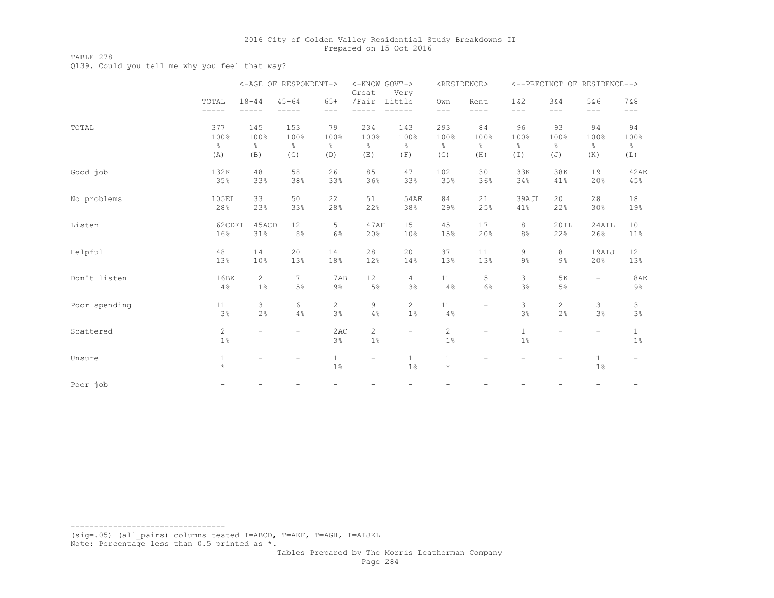TABLE 278

Q139. Could you tell me why you feel that way?

|               |                |                          | <-AGE OF RESPONDENT-> |               | <-KNOW GOVT-><br>Great | Very                     |                | <residence></residence> |                          |                          | <--PRECINCT OF RESIDENCE--> |                          |
|---------------|----------------|--------------------------|-----------------------|---------------|------------------------|--------------------------|----------------|-------------------------|--------------------------|--------------------------|-----------------------------|--------------------------|
|               | TOTAL          | $18 - 44$                | $45 - 64$             | $65+$         | /Fair                  | Little                   | Own            | Rent                    | 1 & 2                    | 3&4                      | 5&6                         | 7 & 8                    |
|               | $- - - - -$    | -----                    |                       | $---$         | -----                  | $---$                    | $---$          | $- - - -$               | $---$                    | $---$                    | $---$                       | $---$                    |
| TOTAL         | 377            | 145                      | 153                   | 79            | 234                    | 143                      | 293            | 84                      | 96                       | 93                       | 94                          | 94                       |
|               | 100%           | 100%                     | 100%                  | 100%          | 100%                   | 100%                     | 100%           | 100%                    | 100%                     | 100%                     | 100%                        | 100%                     |
|               | $\frac{6}{6}$  | $\frac{6}{6}$            | $\frac{8}{6}$         | $\frac{6}{6}$ | $\frac{6}{6}$          | $\frac{6}{5}$            | $\frac{5}{6}$  | $\frac{6}{6}$           | $\frac{6}{6}$            | $\frac{6}{6}$            | $\frac{6}{6}$               | $\frac{6}{3}$            |
|               | (A)            | (B)                      | (C)                   | (D)           | (E)                    | (F)                      | (G)            | (H)                     | $(\top)$                 | (J)                      | (K)                         | (L)                      |
| Good job      | 132K           | 48                       | 58                    | 26            | 85                     | 47                       | 102            | 30                      | 33K                      | 38K                      | 19                          | 42AK                     |
|               | 35%            | 33%                      | 38%                   | 33%           | 36%                    | 33%                      | 35%            | 36%                     | 34%                      | 41%                      | 20%                         | 45%                      |
| No problems   | 105EL          | 33                       | 50                    | 22            | 51                     | <b>54AE</b>              | 84             | 21                      | 39AJL                    | 20                       | 28                          | 18                       |
|               | 28%            | 23%                      | 33%                   | 28%           | 22%                    | 38%                      | 29%            | 25%                     | 41%                      | 22%                      | 30%                         | 19%                      |
| Listen        | 62CDFI         | 45ACD                    | 12                    | 5             | 47AF                   | 15                       | 45             | 17                      | 8                        | 20IL                     | 24AIL                       | 10                       |
|               | 16%            | 31%                      | 8%                    | 6%            | 20%                    | 10%                      | 15%            | 20%                     | 8%                       | 22%                      | 26%                         | 11%                      |
| Helpful       | 48             | 14                       | 20                    | 14            | 28                     | 20                       | 37             | 11                      | 9                        | 8                        | 19AIJ                       | 12                       |
|               | 13%            | 10%                      | 13%                   | 18%           | 12%                    | 14%                      | 13%            | 13%                     | $9\%$                    | $9\%$                    | 20%                         | 13%                      |
| Don't listen  | 16BK           | $\overline{2}$           | 7                     | 7AB           | 12                     | $\overline{4}$           | 11             | 5                       | 3                        | 5K                       | $\overline{\phantom{0}}$    | 8AK                      |
|               | 4%             | $1\%$                    | 5%                    | $9\%$         | 5%                     | 3%                       | 4%             | 6%                      | 3%                       | $5\%$                    |                             | $9\%$                    |
| Poor spending | 11             | 3                        | 6                     | $\mathbf{2}$  | 9                      | $\overline{2}$           | 11             |                         | 3                        | $\mathbf{2}^{\prime}$    | 3                           | 3                        |
|               | 3%             | $2\frac{6}{6}$           | 4%                    | 3%            | 4%                     | $1\%$                    | 4%             |                         | 3%                       | 2%                       | 3%                          | 3%                       |
| Scattered     | $\overline{2}$ | $\overline{\phantom{0}}$ | $-$                   | 2AC           | $\overline{2}$         | $\overline{\phantom{0}}$ | $\overline{2}$ |                         | $\overline{1}$           | $\overline{\phantom{a}}$ | $\overline{\phantom{a}}$    | $\mathbf{1}$             |
|               | 1%             |                          |                       | 3%            | $1\%$                  |                          | $1\%$          |                         | 1 <sup>°</sup>           |                          |                             | 1%                       |
| Unsure        | $\mathbf{1}$   |                          |                       | $\mathbf{1}$  | -                      | $\mathbf{1}$             | $\mathbf{1}$   |                         | $\overline{\phantom{0}}$ |                          | $\mathbf{1}$                | $\overline{\phantom{0}}$ |
|               | $\star$        |                          |                       | $1\%$         |                        | $1\%$                    | $\star$        |                         |                          |                          | $1\%$                       |                          |
| Poor job      |                |                          |                       | -             |                        | $\overline{\phantom{a}}$ |                |                         |                          |                          | $\overline{\phantom{0}}$    |                          |

--------------------------------- (sig=.05) (all\_pairs) columns tested T=ABCD, T=AEF, T=AGH, T=AIJKL Note: Percentage less than 0.5 printed as \*.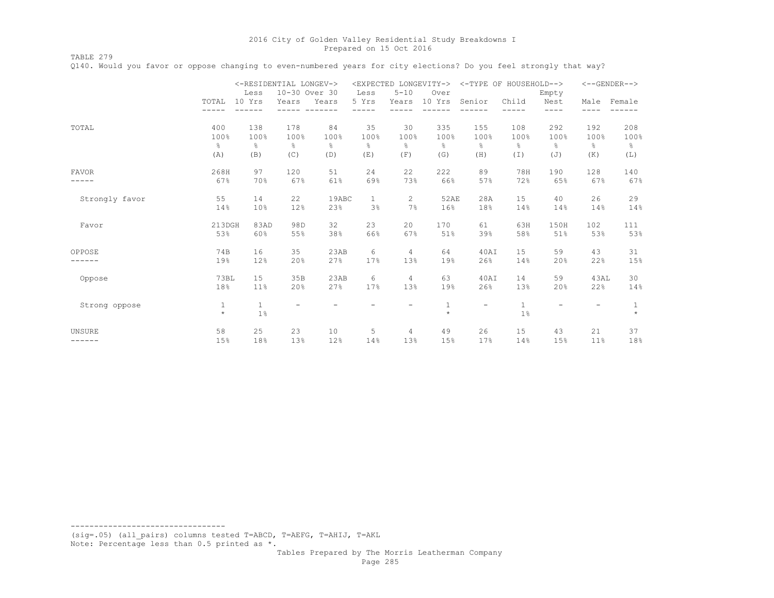TABLE 279

Q140. Would you favor or oppose changing to even-numbered years for city elections? Do you feel strongly that way?

|                         |                                     | <-RESIDENTIAL LONGEV-><br>Less      | 10-30 Over 30                       |                                    | Less                               | <expected longevity-=""><br/><math>5 - 10</math></expected> | Over                                | <-TYPE OF HOUSEHOLD-->  |                                     | Empty                               |                                             | $<-$ -GENDER-->                     |
|-------------------------|-------------------------------------|-------------------------------------|-------------------------------------|------------------------------------|------------------------------------|-------------------------------------------------------------|-------------------------------------|-------------------------|-------------------------------------|-------------------------------------|---------------------------------------------|-------------------------------------|
|                         | TOTAL                               | 10 Yrs                              | Years                               | Years                              | 5 Yrs                              | Years                                                       | 10 Yrs                              | Senior                  | Child                               | Nest<br>----                        | Male                                        | Female                              |
| TOTAL                   | 400<br>100%<br>$\frac{6}{5}$<br>(A) | 138<br>100%<br>$\frac{6}{6}$<br>(B) | 178<br>100%<br>$\frac{6}{6}$<br>(C) | 84<br>100%<br>$\frac{6}{6}$<br>(D) | 35<br>100%<br>$\frac{6}{6}$<br>(E) | 30<br>100%<br>$\epsilon$<br>(F)                             | 335<br>100%<br>$\frac{6}{6}$<br>(G) | 155<br>100%<br>옹<br>(H) | 108<br>100%<br>$\frac{6}{6}$<br>(I) | 292<br>100%<br>$\frac{6}{6}$<br>(J) | ----<br>192<br>100%<br>$\frac{6}{6}$<br>(K) | 208<br>100%<br>$\frac{6}{6}$<br>(L) |
| FAVOR                   | 268H                                | 97                                  | 120                                 | 51                                 | 24                                 | 22                                                          | 222                                 | 89                      | 78H                                 | 190                                 | 128                                         | 140                                 |
| Strongly favor<br>Favor | 67%<br>55<br>14%<br>213DGH          | 70%<br>14<br>10%<br>83AD            | 67%<br>22<br>12%<br>98D             | 61%<br>19ABC<br>23%<br>32          | 69%<br>$\mathbf{1}$<br>3%<br>23    | 73%<br>2<br>7%<br>20                                        | 66%<br>52AE<br>16%<br>170           | 57%<br>28A<br>18%<br>61 | 72%<br>15<br>14%<br>63H             | 65%<br>40<br>14%<br>150H            | 67%<br>26<br>14%<br>102                     | 67%<br>29<br>14%<br>111             |
|                         | 53%                                 | 60%                                 | 55%                                 | 38%                                | 66%                                | 67%                                                         | 51%                                 | 39%                     | 58%                                 | 51%                                 | 53%                                         | 53%                                 |
| OPPOSE                  | 74B<br>19%                          | 16<br>12%                           | 35<br>20%                           | 23AB<br>27%                        | 6<br>17%                           | 4<br>13%                                                    | 64<br>19%                           | 40AI<br>26%             | 15<br>14%                           | 59<br>20%                           | 43<br>22%                                   | 31<br>15%                           |
| Oppose                  | 73BL<br>18%                         | 15<br>11%                           | 35B<br>20%                          | 23AB<br>27%                        | 6<br>17%                           | 4<br>13%                                                    | 63<br>19%                           | 40AI<br>26%             | 14<br>13%                           | 59<br>20%                           | 43AL<br>22%                                 | 30<br>14%                           |
| Strong oppose           | $\mathbf{1}$<br>$\star$             | $\mathbf{1}$<br>$1\%$               |                                     |                                    |                                    | -                                                           | $\mathbf{1}$<br>$\star$             | $\qquad \qquad -$       | $\mathbf{1}$<br>$1\%$               |                                     |                                             | 1<br>$\star$                        |
| <b>UNSURE</b><br>------ | 58<br>15%                           | 25<br>18%                           | 23<br>13%                           | 10<br>12%                          | 5<br>14%                           | 4<br>13%                                                    | 49<br>15%                           | 26<br>17%               | 15<br>14%                           | 43<br>15%                           | 21<br>11 <sup>°</sup>                       | 37<br>18%                           |

--------------------------------- (sig=.05) (all\_pairs) columns tested T=ABCD, T=AEFG, T=AHIJ, T=AKL Note: Percentage less than 0.5 printed as \*.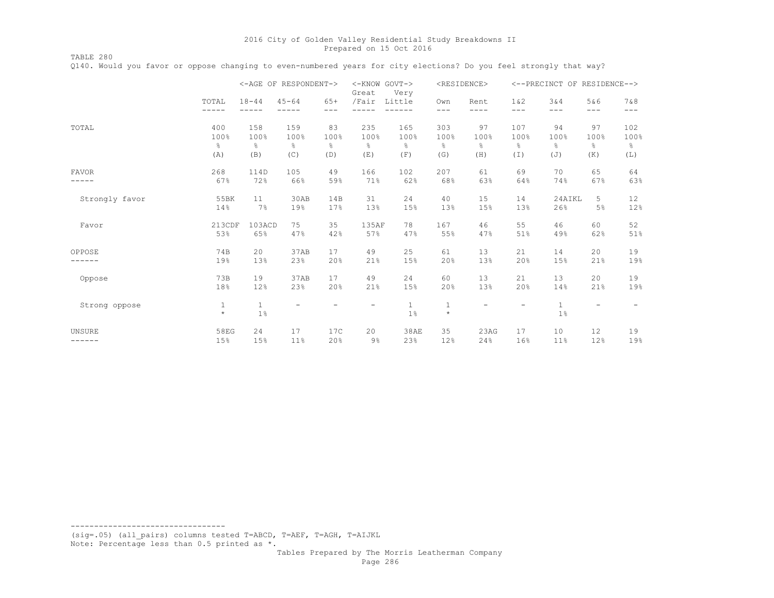TABLE 280

Q140. Would you favor or oppose changing to even-numbered years for city elections? Do you feel strongly that way?

|                |              | <-AGE OF RESPONDENT-> |               |                          | <-KNOW GOVT-><br>Great | Very                  |               | <residence></residence> |               | <--PRECINCT OF RESIDENCE--> |                          |               |
|----------------|--------------|-----------------------|---------------|--------------------------|------------------------|-----------------------|---------------|-------------------------|---------------|-----------------------------|--------------------------|---------------|
|                | TOTAL        | $18 - 44$             | $45 - 64$     | $65+$<br>---             | /Fair                  | Little                | Own<br>$---$  | Rent                    | $1\&2$<br>--- | 3&4<br>---                  | 5&6<br>$---$             | 7&8<br>$---$  |
| TOTAL          | 400          | 158                   | 159           | 83                       | 235                    | 165                   | 303           | 97                      | 107           | 94                          | 97                       | 102           |
|                | 100%         | 100%                  | 100%          | 100%                     | 100%                   | 100%                  | 100%          | 100%                    | 100%          | 100%                        | 100%                     | 100%          |
|                | g.           | $\frac{6}{6}$         | $\frac{6}{5}$ | $\frac{6}{6}$            | $\frac{6}{5}$          | g                     | $\frac{6}{6}$ | $\frac{6}{6}$           | $\frac{6}{6}$ | $\frac{6}{6}$               | $\frac{6}{6}$            | $\frac{6}{5}$ |
|                | (A)          | (B)                   | (C)           | (D)                      | (E)                    | (F)                   | (G)           | (H)                     | (I)           | (J)                         | (K)                      | (L)           |
| <b>FAVOR</b>   | 268          | 114D                  | 105           | 49                       | 166                    | 102                   | 207           | 61                      | 69            | 70                          | 65                       | 64            |
|                | 67%          | 72%                   | 66%           | 59%                      | 71%                    | 62%                   | 68%           | 63%                     | 64%           | 74%                         | 67%                      | 63%           |
| Strongly favor | 55BK         | 11                    | 30AB          | 14B                      | 31                     | 24                    | 40            | 15                      | 14            | 24AIKL                      | 5                        | 12            |
|                | 14%          | 7%                    | 19%           | 17%                      | 13%                    | 15%                   | 13%           | 15%                     | 13%           | 26%                         | 5%                       | 12%           |
| Favor          | 213CDF       | 103ACD                | 75            | 35                       | 135AF                  | 78                    | 167           | 46                      | 55            | 46                          | 60                       | 52            |
|                | 53%          | 65%                   | 47%           | 42%                      | 57%                    | 47%                   | 55%           | 47%                     | 51%           | 49%                         | 62%                      | 51%           |
| OPPOSE         | 74B          | 20                    | 37AB          | 17                       | 49                     | 25                    | 61            | 13                      | 21            | 14                          | 20                       | 19            |
|                | 19%          | 13%                   | 23%           | 20%                      | 21%                    | 15%                   | 20%           | 13%                     | 20%           | 15%                         | 21%                      | 19%           |
| Oppose         | 73B          | 19                    | 37AB          | 17                       | 49                     | 24                    | 60            | 13                      | 21            | 13                          | 20                       | 19            |
|                | 18%          | 12%                   | 23%           | 20%                      | 21%                    | 15%                   | 20%           | 13%                     | 20%           | 14%                         | 21%                      | 19%           |
| Strong oppose  | 1<br>$\star$ | $\mathbf{1}$<br>1%    |               | $\overline{\phantom{a}}$ | $\overline{a}$         | $\mathbf{1}$<br>$1\%$ | 1<br>$\star$  |                         |               | $\mathbf{1}$<br>$1\%$       | $\overline{\phantom{m}}$ | -             |
| <b>UNSURE</b>  | 58EG         | 24                    | 17            | 17C                      | 20                     | 38AE                  | 35            | 23AG                    | 17            | 10                          | 12                       | 19            |
| ------         | 15%          | 15%                   | 11%           | 20%                      | $9\%$                  | 23%                   | 12%           | 24%                     | 16%           | 11%                         | 12%                      | 19%           |

--------------------------------- (sig=.05) (all\_pairs) columns tested T=ABCD, T=AEF, T=AGH, T=AIJKL Note: Percentage less than 0.5 printed as \*.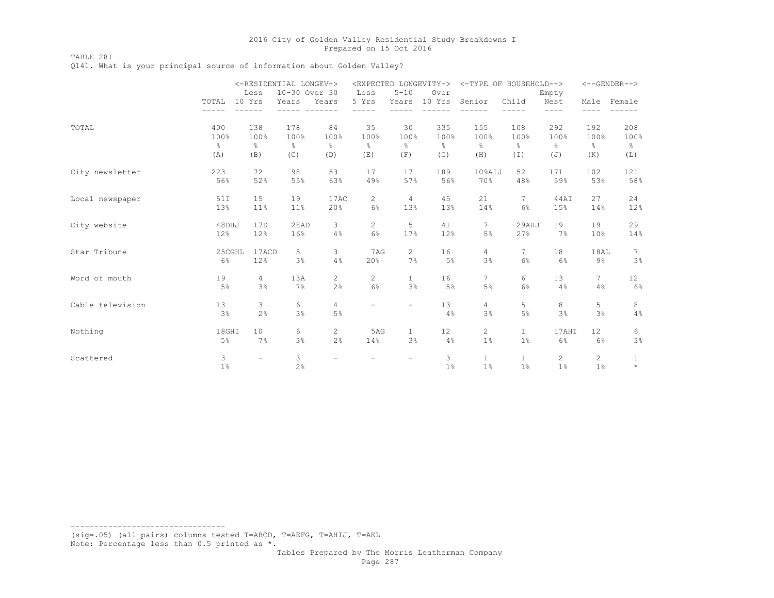TABLE 281

Q141. What is your principal source of information about Golden Valley?

|                  | <-RESIDENTIAL LONGEV-> |                          |               |                          |                       |                          | <expected longevity-=""></expected> | <-TYPE OF HOUSEHOLD--> |                |                |                 | $<$ --GENDER--> |
|------------------|------------------------|--------------------------|---------------|--------------------------|-----------------------|--------------------------|-------------------------------------|------------------------|----------------|----------------|-----------------|-----------------|
|                  |                        | Less                     | 10-30 Over 30 |                          | Less                  | $5 - 10$                 | Over                                |                        |                | Empty          |                 |                 |
|                  | TOTAL                  | 10 Yrs                   | Years         | Years                    | 5 Yrs                 | Years                    | 10 Yrs                              | Senior                 | Child          | Nest           | Male            | Female          |
|                  | -----                  |                          |               |                          | $-$                   | -----                    | ------                              |                        |                | ----           | $- - - -$       |                 |
| TOTAL            | 400                    | 138                      | 178           | 84                       | 35                    | 30                       | 335                                 | 155                    | 108            | 292            | 192             | 208             |
|                  | 100%                   | 100%                     | 100%          | 100%                     | 100%                  | 100%                     | 100%                                | 100%                   | 100%           | 100%           | 100%            | 100%            |
|                  | g.                     | $\frac{6}{6}$            | $\frac{6}{6}$ | $\frac{6}{6}$            | $\frac{6}{6}$         | g.                       | $\frac{6}{10}$                      | $\frac{6}{6}$          | 옹              | $\frac{6}{6}$  | $\frac{6}{6}$   | $\frac{6}{6}$   |
|                  | (A)                    | (B)                      | (C)           | (D)                      | (E)                   | (F)                      | (G)                                 | (H)                    | $(\bot)$       | (J)            | (K)             | (L)             |
| City newsletter  | 223                    | 72                       | 98            | 53                       | 17                    | 17                       | 189                                 | 109AIJ                 | 52             | 171            | 102             | 121             |
|                  | 56%                    | 52%                      | 55%           | 63%                      | 49%                   | 57%                      | 56%                                 | 70%                    | 48%            | 59%            | 53%             | 58%             |
| Local newspaper  | 51I                    | 15                       | 19            | 17AC                     | 2                     | $\overline{4}$           | 45                                  | 21                     | 7              | 44AT           | 27              | 24              |
|                  | 13%                    | 11%                      | 11%           | 20%                      | 6%                    | 13%                      | 13%                                 | 14%                    | 6%             | 15%            | 14%             | 12%             |
| City website     | 48DHJ                  | 17D                      | 28AD          | 3                        | 2                     | 5                        | 41                                  | 7                      | 29AHJ          | 19             | 19              | 29              |
|                  | 12%                    | 12%                      | 16%           | 4%                       | $6\%$                 | 17%                      | 12%                                 | 5%                     | 27%            | 7%             | 10 <sup>°</sup> | 14%             |
| Star Tribune     | 25CGHL                 | 17ACD                    | 5             | 3                        | 7AG                   | $\overline{c}$           | 16                                  | 4                      | $\overline{7}$ | 18             | 18AL            | 7               |
|                  | 6%                     | 12%                      | 3%            | 4%                       | 20%                   | 7%                       | 5%                                  | 3%                     | 6%             | 6%             | $9\%$           | 3%              |
| Word of mouth    | 19                     | $\overline{4}$           | 13A           | $\overline{2}$           | $\mathbf{2}^{\prime}$ | $\mathbf{1}$             | 16                                  | $7\overline{ }$        | 6              | 13             | 7               | 12 <sup>°</sup> |
|                  | 5%                     | 3%                       | 7%            | 2%                       | 6%                    | 3%                       | 5%                                  | 5%                     | 6%             | 4%             | 4%              | 6%              |
| Cable television | 13                     | 3                        | 6             | $\overline{4}$           |                       | $\overline{\phantom{0}}$ | 13                                  | $\overline{4}$         | 5              | 8              | 5               | 8               |
|                  | 3%                     | 2%                       | 3%            | 5%                       |                       |                          | 4%                                  | 3%                     | 5%             | 3%             | 3%              | 4%              |
| Nothing          | 18GHI                  | 10                       | 6             | $\overline{c}$           | 5AG                   | $\mathbf{1}$             | 12                                  | 2                      | $\mathbf{1}$   | 17AHI          | 12              | 6               |
|                  | 5%                     | 7%                       | 3%            | 2%                       | 14%                   | 3%                       | 4%                                  | $1\%$                  | $1\%$          | 6%             | 6%              | 3%              |
| Scattered        | 3                      | $\overline{\phantom{a}}$ | 3             | $\overline{\phantom{0}}$ |                       | $\overline{\phantom{a}}$ | 3                                   | $\mathbf{1}$           | $\mathbf{1}$   | $\overline{2}$ | 2               | $\mathbf{1}$    |
|                  | $1\%$                  |                          | 2%            |                          |                       |                          | 1 <sup>°</sup>                      | $1\%$                  | 1%             | 1 <sup>°</sup> | 1 <sup>°</sup>  | $\star$         |

--------------------------------- (sig=.05) (all\_pairs) columns tested T=ABCD, T=AEFG, T=AHIJ, T=AKL Note: Percentage less than 0.5 printed as \*.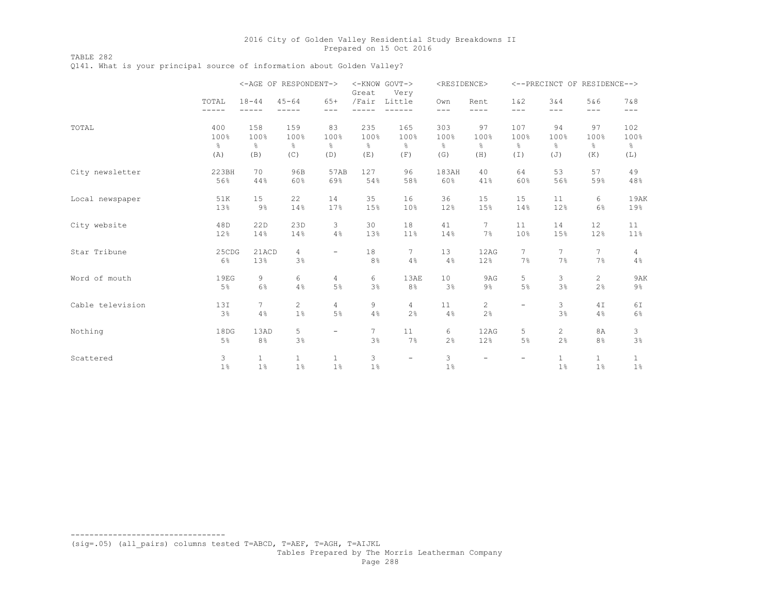TABLE 282

Q141. What is your principal source of information about Golden Valley?

|                  |                |                    | <-AGE OF RESPONDENT-> |                          | Great           | <-KNOW GOVT-><br>Very    | <residence></residence> |                          |                          | <--PRECINCT OF RESIDENCE--> |              |               |
|------------------|----------------|--------------------|-----------------------|--------------------------|-----------------|--------------------------|-------------------------|--------------------------|--------------------------|-----------------------------|--------------|---------------|
|                  | TOTAL<br>----- | $18 - 44$<br>----- | $45 - 64$             | $65+$<br>$---$           | /Fair           | Little                   | Own<br>$---$            | Rent<br>----             | 1 & 2<br>$---$           | 3&4<br>---                  | 5&6<br>---   | 7 & 8<br>---  |
|                  |                |                    | 159                   | 83                       | 235             |                          | 303                     | 97                       | 107                      | 94                          | 97           | 102           |
| TOTAL            | 400<br>100%    | 158<br>100%        | 100%                  | 100%                     | 100%            | 165<br>100%              | 100%                    | 100%                     | 100%                     | 100%                        | 100%         | 100%          |
|                  | $\epsilon$     | $\frac{6}{6}$      | $\frac{6}{5}$         | g.                       | g.              | $\frac{6}{6}$            | $\frac{6}{6}$           | 옹                        | $\frac{6}{6}$            | $\frac{6}{5}$               | 옹            | $\frac{6}{6}$ |
|                  | (A)            | (B)                | (C)                   | (D)                      | (E)             | (F)                      | (G)                     | (H)                      | (I)                      | (J)                         | (K)          | (L)           |
| City newsletter  | 223BH          | 70                 | 96B                   | 57AB                     | 127             | 96                       | 183AH                   | 40                       | 64                       | 53                          | 57           | 49            |
|                  | 56%            | 44%                | 60%                   | 69%                      | 54%             | 58%                      | 60%                     | 41%                      | 60%                      | 56%                         | 59%          | 48%           |
| Local newspaper  | 51K            | 15                 | 22                    | 14                       | 35              | 16                       | 36                      | 15                       | 15                       | 11                          | 6            | 19AK          |
|                  | 13%            | $9\%$              | 14%                   | 17%                      | 15%             | 10 <sup>°</sup>          | 12%                     | 15%                      | 14%                      | 12%                         | 6%           | 19%           |
| City website     | 48D            | 22D                | 23D                   | 3                        | 30              | 18                       | 41                      | 7                        | 11                       | 14                          | 12           | 11            |
|                  | 12%            | 14%                | 14%                   | 4%                       | 13%             | 11%                      | 14%                     | 7%                       | 10%                      | 15%                         | 12%          | 11%           |
| Star Tribune     | 25CDG          | 21ACD              | $\overline{4}$        | $\overline{\phantom{0}}$ | 18              | $\overline{7}$           | 13                      | 12AG                     | $7\phantom{.0}$          | 7                           | 7            | 4             |
|                  | 6%             | 13%                | 3%                    |                          | 8%              | 4%                       | 4%                      | 12%                      | 7%                       | 7%                          | 7%           | 4%            |
| Word of mouth    | 19EG           | 9                  | 6                     | $\overline{4}$           | 6               | 13AE                     | 10                      | 9AG                      | 5                        | 3                           | 2            | 9AK           |
|                  | 5%             | 6%                 | 4%                    | $5\%$                    | 3%              | 8%                       | 3%                      | $9\%$                    | 5%                       | 3%                          | 2%           | $9\%$         |
| Cable television | 13I            | $\overline{7}$     | $\overline{2}$        | 4                        | 9               | $\overline{4}$           | 11                      | 2                        | $\overline{\phantom{m}}$ | 3                           | 4 I          | 6I            |
|                  | 3%             | 4%                 | 1%                    | 5%                       | 4%              | 2%                       | 4%                      | 2%                       |                          | 3%                          | 4%           | 6%            |
| Nothing          | 18DG           | 13AD               | 5                     | $\overline{\phantom{0}}$ | $7\overline{ }$ | 11                       | 6                       | 12AG                     | 5                        | $\mathbf{2}^{\prime}$       | 8A           | 3             |
|                  | $5\%$          | 8%                 | 3%                    |                          | 3%              | 7%                       | 2%                      | 12%                      | $5\%$                    | 2%                          | 8%           | 3%            |
| Scattered        | 3              | $\mathbf{1}$       | 1.                    | $\mathbf{1}$             | 3               | $\overline{\phantom{m}}$ | 3                       | $\overline{\phantom{m}}$ | $\overline{\phantom{m}}$ | $\mathbf{1}$                | $\mathbf{1}$ | $\mathbf{1}$  |
|                  | 1 <sup>°</sup> | 1 <sup>°</sup>     | 1%                    | $1\%$                    | 1%              |                          | 1 <sup>°</sup>          |                          |                          | 1 <sup>°</sup>              | 1%           | $1\%$         |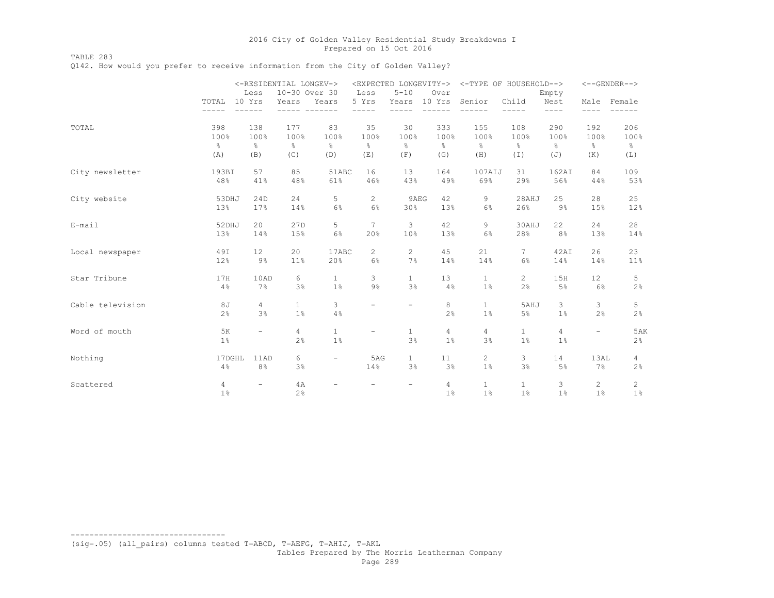TABLE 283

Q142. How would you prefer to receive information from the City of Golden Valley?

|                  |                         | Less                     | <-RESIDENTIAL LONGEV-><br>10-30 Over 30 |                          | Less                     | $5 - 10$                 | Over                | <expected longevity-=""> &lt;-TYPE OF HOUSEHOLD--&gt;</expected> |                                | Empty               |                          | $<-$ -GENDER-->         |
|------------------|-------------------------|--------------------------|-----------------------------------------|--------------------------|--------------------------|--------------------------|---------------------|------------------------------------------------------------------|--------------------------------|---------------------|--------------------------|-------------------------|
|                  | TOTAL<br>$- - - - -$    | 10 Yrs<br>------         | Years                                   | Years                    | 5 Yrs<br>-----           | Years                    | 10 Yrs<br>$- - - -$ | Senior                                                           | Child<br>-----                 | Nest<br>$- - - -$   | $- - - -$                | Male Female             |
| TOTAL            | 398                     | 138                      | 177                                     | 83                       | 35                       | 30                       | 333                 | 155                                                              | 108                            | 290                 | 192                      | 206                     |
|                  | 100%                    | 100%                     | 100%                                    | 100%                     | 100%                     | 100%                     | 100%                | 100%                                                             | 100%                           | 100%                | 100%                     | 100%                    |
|                  | $\frac{6}{6}$           | $\frac{6}{6}$            | $\frac{6}{6}$                           | $\frac{6}{6}$            | $\frac{6}{6}$            | g                        | $\frac{6}{6}$       | $\frac{6}{6}$                                                    | $\frac{6}{6}$                  | $\frac{6}{6}$       | $\frac{6}{6}$            | $\frac{6}{6}$           |
|                  | (A)                     | (B)                      | (C)                                     | (D)                      | (E)                      | (F)                      | (G)                 | (H)                                                              | (I)                            | (J)                 | (K)                      | (L)                     |
| City newsletter  | 193BI                   | 57                       | 85                                      | 51ABC                    | 16                       | 13                       | 164                 | 107AIJ                                                           | 31                             | 162AI               | 84                       | 109                     |
|                  | 48%                     | 41%                      | 48%                                     | 61%                      | 46%                      | 43%                      | 49%                 | 69%                                                              | 29%                            | 56%                 | 44%                      | 53%                     |
| City website     | 53DHJ                   | 24D                      | 24                                      | 5                        | 2                        | 9AEG                     | 42                  | 9                                                                | 28AHJ                          | 25                  | 28                       | 25                      |
|                  | 13%                     | 17%                      | 14%                                     | 6%                       | 6%                       | 30%                      | 13%                 | $6\%$                                                            | 26%                            | $9\%$               | 15%                      | 12%                     |
| $E$ -mail        | 52DHJ                   | 20                       | 27D                                     | 5                        | 7                        | 3                        | 42                  | 9                                                                | 30AHJ                          | 22                  | 24                       | 28                      |
|                  | 13%                     | 14%                      | 15%                                     | $6\%$                    | 20%                      | 10%                      | 13%                 | $6\%$                                                            | 28%                            | 8%                  | 13%                      | 14%                     |
| Local newspaper  | 49I                     | 12                       | 20                                      | 17ABC                    | $\mathbf{2}^{\prime}$    | $\overline{c}$           | 45                  | 21                                                               | $7\overline{ }$                | 42AI                | 26                       | 23                      |
|                  | 12%                     | $9\%$                    | 11%                                     | 20%                      | 6%                       | 7%                       | 14%                 | 14%                                                              | 6%                             | 14%                 | 14%                      | 11%                     |
| Star Tribune     | 17H                     | 10AD                     | 6                                       | $\mathbf{1}$             | 3                        | $\mathbf{1}$             | 13                  | $\mathbf{1}$                                                     | $\overline{2}$                 | 15H                 | 12                       | 5                       |
|                  | 4%                      | 7%                       | 3%                                      | $1\%$                    | $9\%$                    | 3%                       | 4%                  | 1%                                                               | 2%                             | 5%                  | 6%                       | 2%                      |
| Cable television | 8J<br>2%                | 4<br>3%                  | $\mathbf{1}$<br>$1\%$                   | 3<br>4%                  | $\overline{\phantom{0}}$ | $\overline{\phantom{a}}$ | 8<br>2%             | $\mathbf{1}$<br>1%                                               | 5AHJ<br>5%                     | 3<br>1 <sup>°</sup> | 3<br>2%                  | 5<br>$2\frac{6}{6}$     |
| Word of mouth    | 5K<br>$1\%$             | $\overline{\phantom{0}}$ | $\overline{4}$<br>2%                    | $\mathbf{1}$<br>$1\%$    | $\overline{\phantom{a}}$ | $\mathbf{1}$<br>3%       | 4<br>1 <sup>°</sup> | $\overline{4}$<br>3%                                             | $\mathbf{1}$<br>1%             | 4<br>1%             | $\overline{\phantom{a}}$ | 5AK<br>2%               |
| Nothing          | 17DGHL<br>4%            | 11AD<br>8%               | 6<br>3%                                 | $\overline{\phantom{a}}$ | 5AG<br>14%               | $\mathbf{1}$<br>3%       | 11<br>3%            | $\overline{2}$<br>1%                                             | $\mathbf{3}$<br>3 <sup>°</sup> | 14<br>5%            | 13AL<br>7%               | 4<br>2%                 |
| Scattered        | $\overline{4}$<br>$1\%$ |                          | 4A<br>2%                                |                          |                          |                          | 4<br>1 <sup>°</sup> | $\mathbf{1}$<br>1 <sup>°</sup>                                   | $\mathbf{1}$<br>1 <sup>°</sup> | 3<br>1 <sup>°</sup> | $\mathbf{2}$<br>1%       | $\overline{2}$<br>$1\%$ |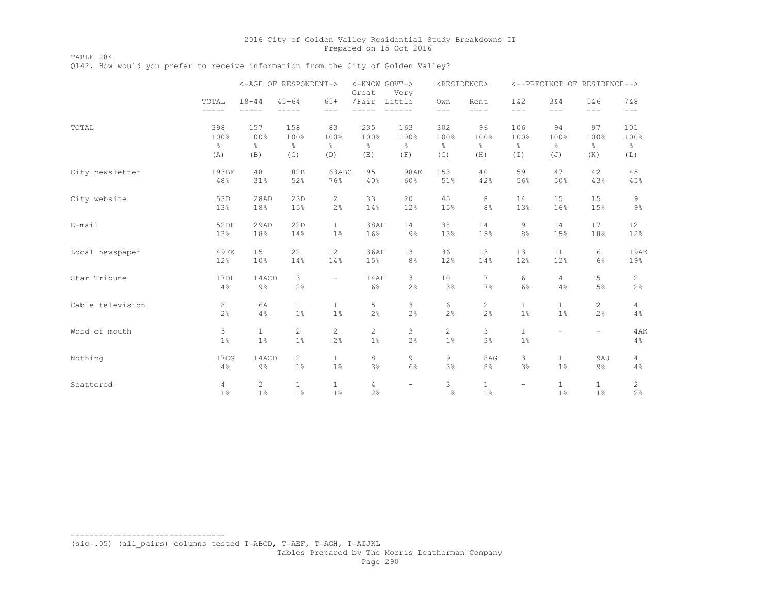TABLE 284

Q142. How would you prefer to receive information from the City of Golden Valley?

|                  |                |                          | <-AGE OF RESPONDENT-> |                          | <-KNOW GOVT-><br>Great | Very                     |                | <residence></residence> |                   |                          | <--PRECINCT OF RESIDENCE--> |                       |
|------------------|----------------|--------------------------|-----------------------|--------------------------|------------------------|--------------------------|----------------|-------------------------|-------------------|--------------------------|-----------------------------|-----------------------|
|                  | TOTAL<br>----- | $18 - 44$<br>$- - - - -$ | $45 - 64$<br>-----    | $65+$<br>$---$           | /Fair Little<br>$---$  | $- - - -$                | Own<br>$---$   | Rent<br>$- - - -$       | $1\&2$<br>$---$   | 3&4<br>$---$             | 5&6<br>$---$                | 7 & 8<br>$---$        |
|                  |                |                          |                       |                          |                        |                          |                |                         |                   |                          |                             |                       |
| TOTAL            | 398            | 157                      | 158                   | 83                       | 235                    | 163                      | 302            | 96                      | 106               | 94                       | 97                          | 101                   |
|                  | 100%           | 100%                     | 100%                  | 100%                     | 100%                   | 100%                     | 100%           | 100%                    | 100%              | 100%                     | 100%                        | 100%                  |
|                  | $\frac{6}{6}$  | $\frac{6}{5}$            | $\frac{6}{6}$         | $\frac{6}{5}$            | $\frac{6}{5}$          | $\frac{6}{5}$            | $\frac{6}{6}$  | $\frac{8}{6}$           | $\frac{6}{6}$     | $\frac{8}{6}$            | $\frac{6}{6}$               | $\frac{\circ}{6}$     |
|                  | (A)            | (B)                      | (C)                   | (D)                      | (E)                    | (F)                      | (G)            | (H)                     | (I)               | (J)                      | (K)                         | (L)                   |
| City newsletter  | 193BE          | 48                       | 82B                   | 63ABC                    | 95                     | <b>98AE</b>              | 153            | 40                      | 59                | 47                       | 42                          | 45                    |
|                  | 48%            | 31%                      | 52%                   | 76%                      | 40%                    | 60%                      | 51%            | 42%                     | 56%               | 50%                      | 43%                         | 45%                   |
| City website     | 53D            | 28AD                     | 23D                   | $\overline{c}$           | 33                     | 20                       | 45             | 8                       | 14                | 15                       | 15                          | 9                     |
|                  | 13%            | 18%                      | 15%                   | 2%                       | 14%                    | 12%                      | 15%            | 8 <sup>°</sup>          | 13%               | 16%                      | 15%                         | $9\%$                 |
| E-mail           | 52DF           | 29AD                     | 22D                   | $\mathbf{1}$             | 38AF                   | 14                       | 38             | 14                      | 9                 | 14                       | 17                          | 12                    |
|                  | 13%            | 18%                      | 14%                   | $1\%$                    | 16%                    | $9\%$                    | 13%            | 15%                     | 8%                | 15%                      | 18%                         | 12%                   |
| Local newspaper  | 49FK           | 15                       | 22                    | 12                       | 36AF                   | 13                       | 36             | 13                      | 13                | 11                       | 6                           | 19AK                  |
|                  | 12%            | 10%                      | 14%                   | 14%                      | 15%                    | 8%                       | 12%            | 14%                     | 12%               | 12%                      | 6%                          | 19%                   |
| Star Tribune     | 17DF           | 14ACD                    | 3                     | $\overline{\phantom{a}}$ | <b>14AF</b>            | 3                        | 10             | $7\phantom{.0}$         | 6                 | $\overline{4}$           | 5                           | $\overline{c}$        |
|                  | 4%             | $9\%$                    | 2%                    |                          | 6%                     | 2%                       | 3%             | 7%                      | 6%                | 4%                       | 5%                          | 2%                    |
| Cable television | 8              | 6A                       | $\mathbf{1}$          | $\mathbf{1}$             | 5                      | 3                        | 6              | $\mathbf{2}$            | $\mathbf{1}$      | $\mathbf{1}$             | $\overline{2}$              | $\overline{4}$        |
|                  | 2%             | 4%                       | $1\%$                 | $1\%$                    | 2%                     | 2%                       | 2 <sup>°</sup> | 2%                      | $1\%$             | $1\%$                    | 2%                          | 4%                    |
| Word of mouth    | 5              | $\mathbf{1}$             | $\overline{c}$        | $\mathbf{2}$             | $\mathbf{2}$           | 3                        | $\overline{2}$ | 3                       | $\mathbf{1}$      | $\overline{\phantom{0}}$ | $-$                         | 4AK                   |
|                  | 1%             | 1%                       | 1%                    | 2%                       | 1%                     | 2%                       | 1%             | 3%                      | $1\%$             |                          |                             | 4%                    |
| Nothing          | 17CG           | 14ACD                    | $\overline{2}$        | $\mathbf{1}$             | 8                      | 9                        | 9              | 8AG                     | 3                 | $\mathbf{1}$             | 9AJ                         | 4                     |
|                  | 4%             | $9\%$                    | $1\%$                 | $1\%$                    | 3%                     | 6%                       | 3%             | 8%                      | 3%                | 1%                       | $9\%$                       | 4%                    |
| Scattered        | $\overline{4}$ | $\mathbf{2}^{\prime}$    | $\mathbf{1}$          | $\mathbf{1}$             | 4                      | $\overline{\phantom{0}}$ | 3              | $\mathbf{1}$            | $\qquad \qquad -$ | $\mathbf{1}$             | $\mathbf{1}$                | $\mathbf{2}^{\prime}$ |
|                  | $1\%$          | $1\%$                    | $1\%$                 | $1\%$                    | 2%                     |                          | 1 <sup>°</sup> | $1\%$                   |                   | 1 <sup>°</sup>           | 1 <sup>°</sup>              | 2%                    |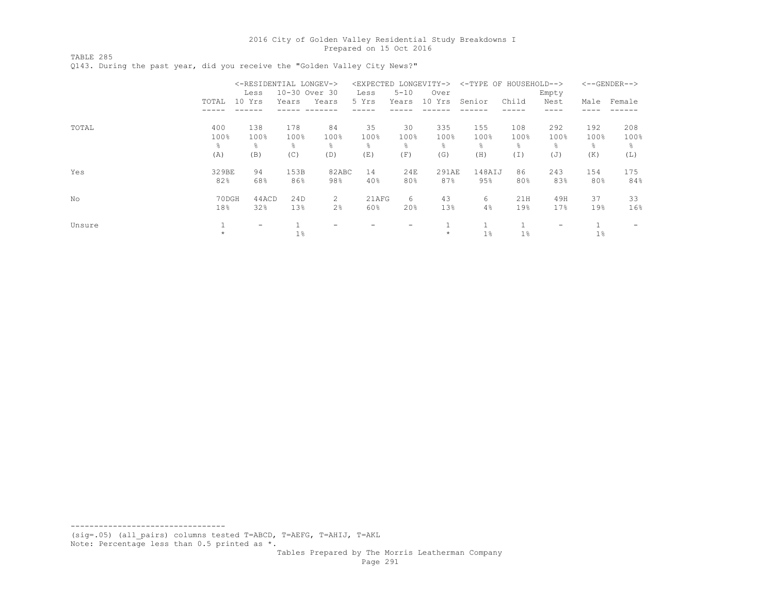TABLE 285

Q143. During the past year, did you receive the "Golden Valley City News?"

|        |       | <-RESIDENTIAL LONGEV-> |       |                | <expected longevity-=""></expected> |                          |         | <-TYPE OF HOUSEHOLD--> |       |       |       | $<-$ -GENDER--> |
|--------|-------|------------------------|-------|----------------|-------------------------------------|--------------------------|---------|------------------------|-------|-------|-------|-----------------|
|        |       | Less                   |       | 10-30 Over 30  | Less                                | $5 - 10$                 | Over    |                        |       | Empty |       |                 |
|        | TOTAL | 10 Yrs                 | Years | Years          | 5 Yrs                               | Years                    | 10 Yrs  | Senior                 | Child | Nest  | Male  | Female          |
|        |       |                        |       |                |                                     |                          |         |                        |       |       |       |                 |
| TOTAL  | 400   | 138                    | 178   | 84             | 35                                  | 30                       | 335     | 155                    | 108   | 292   | 192   | 208             |
|        | 100%  | 100%                   | 100%  | 100%           | 100%                                | 100%                     | 100%    | 100%                   | 100%  | 100%  | 100%  | 100%            |
|        | ိင    | g.                     | ⊱     | 옹              | g.                                  | g.                       | 욲       | g.                     | 옹     | ⊱     | g.    | g.              |
|        | (A)   | (B)                    | (C)   | (D)            | (E)                                 | (F)                      | (G)     | (H)                    | (I)   | (J)   | (K)   | (L)             |
| Yes    | 329BE | 94                     | 153B  | 82ABC          | 14                                  | 24E                      | 291AE   | 148AIJ                 | 86    | 243   | 154   | 175             |
|        | 82%   | 68%                    | 86%   | 98%            | 40%                                 | 80%                      | 87%     | 95%                    | 80%   | 83%   | 80%   | 84%             |
| No     | 70DGH | 44ACD                  | 24D   | 2              | 21AFG                               | 6                        | 43      | 6                      | 21H   | 49H   | 37    | 33              |
|        | 18%   | 32%                    | 13%   | 2 <sup>°</sup> | 60%                                 | 20%                      | 13%     | 4%                     | 19%   | 17%   | 19%   | 16%             |
| Unsure |       | -                      |       |                |                                     | $\overline{\phantom{0}}$ |         | 1                      |       |       |       |                 |
|        |       |                        | $1\%$ |                |                                     |                          | $\star$ | $1\%$                  | $1\%$ |       | $1\%$ |                 |

--------------------------------- (sig=.05) (all\_pairs) columns tested T=ABCD, T=AEFG, T=AHIJ, T=AKL Note: Percentage less than 0.5 printed as \*.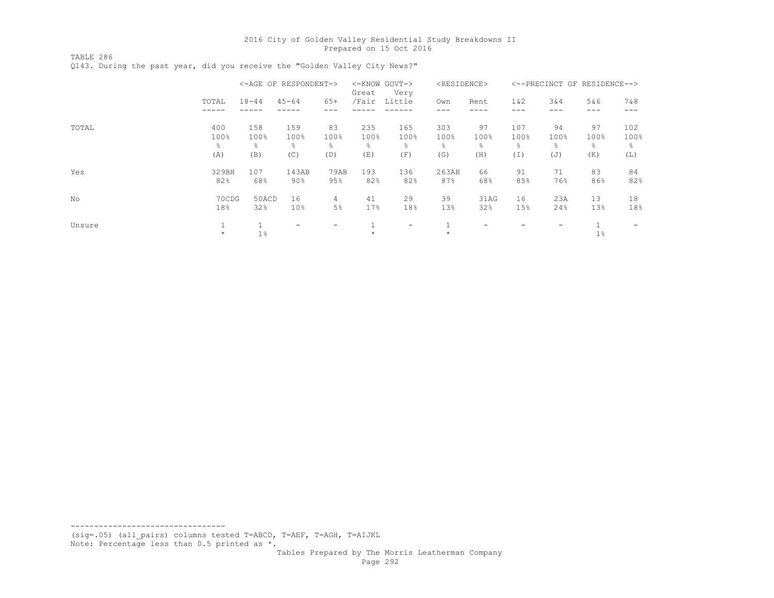TABLE 286 Q143. During the past year, did you receive the "Golden Valley City News?"

|        |         | <-AGE OF RESPONDENT-> |                 |                          | Great   | <-KNOW GOVT-><br>Very | <residence></residence> |                |        | <--PRECINCT OF RESIDENCE--> |            |       |
|--------|---------|-----------------------|-----------------|--------------------------|---------|-----------------------|-------------------------|----------------|--------|-----------------------------|------------|-------|
|        | TOTAL   | $18 - 44$             | $45 - 64$       | $65+$                    | /Fair   | Little                | Own                     | Rent           | $1\&2$ | 3&4                         | 5&6<br>--- | 7 & 8 |
| TOTAL  | 400     | 158                   | 159             | 83                       | 235     | 165                   | 303                     | 97             | 107    | 94                          | 97         | 102   |
|        | 100%    | 100%                  | 100%            | 100%                     | 100%    | 100%                  | 100%                    | 100%           | 100%   | 100%                        | 100%       | 100%  |
|        | ÷,      | g.                    | g.              | 옹                        | ⊱       | ÷.                    | $\frac{6}{10}$          | $\frac{6}{10}$ | ⊱      | $\frac{6}{10}$              | g.         | ⊱     |
|        | (A)     | (B)                   | (C)             | (D)                      | (E)     | (F)                   | (G)                     | (H)            | (I)    | (J)                         | (K)        | (L)   |
| Yes    | 329BH   | 107                   | 143AB           | 79AB                     | 193     | 136                   | 263AH                   | 66             | 91     | 71                          | 83         | 84    |
|        | 82%     | 68%                   | $90\%$          | 95%                      | 82%     | 82%                   | 87%                     | 68%            | 85%    | 76%                         | 86%        | 82%   |
| No     | 70CDG   | 50ACD                 | 16              | 4                        | 41      | 29                    | 39                      | 31AG           | 16     | 23A                         | 13         | 18    |
|        | 18%     | 32%                   | 10 <sub>8</sub> | 5%                       | 17%     | 18%                   | 13 <sup>8</sup>         | 32%            | 15%    | 24%                         | 13%        | 18%   |
| Unsure | $\star$ | $1\%$                 | -               | $\overline{\phantom{0}}$ | $\star$ | -                     | $\star$                 |                |        |                             | $1\%$      |       |

--------------------------------- (sig=.05) (all\_pairs) columns tested T=ABCD, T=AEF, T=AGH, T=AIJKL Note: Percentage less than 0.5 printed as \*.

 Tables Prepared by The Morris Leatherman Company .<br>Page 292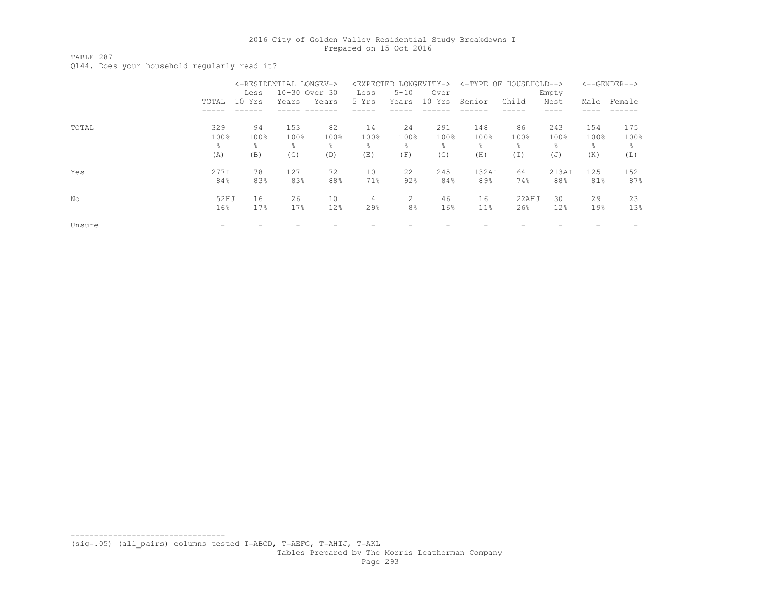TABLE 287

Q144. Does your household regularly read it?

|        |                 | <-RESIDENTIAL LONGEV-> |       |               |       |          | <expected longevity-=""></expected> |                | <-TYPE OF HOUSEHOLD--> |       |           | $<-$ -GENDER--> |
|--------|-----------------|------------------------|-------|---------------|-------|----------|-------------------------------------|----------------|------------------------|-------|-----------|-----------------|
|        |                 | Less                   |       | 10-30 Over 30 | Less  | $5 - 10$ | Over                                |                |                        | Empty |           |                 |
|        | TOTAL           | 10 Yrs                 | Years | Years         | 5 Yrs | Years    | 10 Yrs                              | Senior         | Child                  | Nest  | Male      | Female          |
|        |                 |                        |       |               |       |          |                                     |                |                        |       |           |                 |
| TOTAL  | 329             | 94                     | 153   | 82            | 14    | 24       | 291                                 | 148            | 86                     | 243   | 154       | 175             |
|        | 100%            | 100%                   | 100%  | 100%          | 100%  | 100%     | 100%                                | 100%           | 100%                   | 100%  | 100%      | 100%            |
|        | ÷,              | 욲                      | ٩,    | ⊱             | ⊱     | ÷,       | $\frac{6}{10}$                      | $\frac{6}{10}$ | ⊱                      | ⊱     | $\approx$ | ⊱               |
|        | (A)             | (B)                    | (C)   | (D)           | (E)   | (F)      | (G)                                 | (H)            | (I)                    | (J)   | (K)       | (L)             |
| Yes    | 277I            | 78                     | 127   | 72            | 10    | 22       | 245                                 | 132AI          | 64                     | 213AI | 125       | 152             |
|        | 84%             | 83%                    | 83%   | 88%           | 71%   | 92%      | 84%                                 | 89%            | 74%                    | 88%   | 81%       | 87%             |
| No     | 52HJ            | 16                     | 26    | 10            | 4     | 2        | 46                                  | 16             | 22AHJ                  | 30    | 29        | 23              |
|        | 16 <sup>°</sup> | 17%                    | 17%   | 12%           | 29%   | 8%       | 16%                                 | 11%            | 26%                    | 12%   | 19%       | 13%             |
| Unsure |                 |                        |       |               |       |          |                                     |                |                        |       |           |                 |

(sig=.05) (all\_pairs) columns tested T=ABCD, T=AEFG, T=AHIJ, T=AKL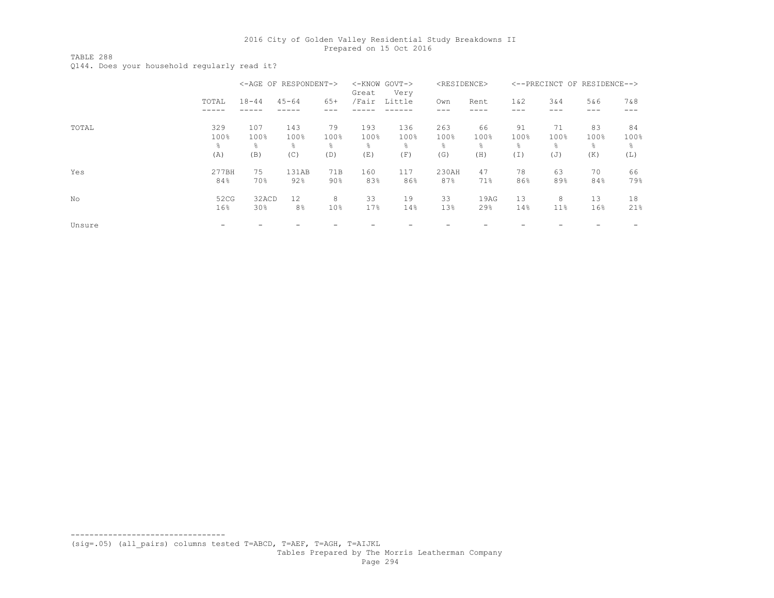TABLE 288

Q144. Does your household regularly read it?

|        |                   | <-AGE OF RESPONDENT->    |                  |                 | Great            | <-KNOW GOVT-><br>Very | <residence></residence>       |                              |                 | <--PRECINCT OF RESIDENCE--> |                         |                  |
|--------|-------------------|--------------------------|------------------|-----------------|------------------|-----------------------|-------------------------------|------------------------------|-----------------|-----------------------------|-------------------------|------------------|
|        | TOTAL             | $18 - 44$                | $45 - 64$        | $65+$           | /Fair            | Little                | Own                           | Rent                         | 1 & 2           | 3&4                         | 5&6<br>---              | 7&8              |
| TOTAL  | 329<br>100%<br>÷, | 107<br>100%<br>옹         | 143<br>100%<br>⊱ | 79<br>100%<br>옹 | 193<br>100%<br>⊱ | 136<br>100%<br>÷,     | 263<br>100%<br>$\frac{6}{10}$ | 66<br>100%<br>$\frac{6}{10}$ | 91<br>100%<br>옹 | 71<br>100%<br>⊱             | 83<br>100%<br>$\approx$ | 84<br>100%<br>g. |
|        | (A)               | (B)                      | (C)              | (D)             | (E)              | (F)                   | (G)                           | (H)                          | (I)             | (J)                         | (K)                     | (L)              |
| Yes    | 277BH<br>84%      | 75<br>70%                | 131AB<br>92%     | 71B<br>90%      | 160<br>83%       | 117<br>86%            | 230AH<br>87%                  | 47<br>71%                    | 78<br>86%       | 63<br>89%                   | 70<br>84%               | 66<br>79%        |
| No     | 52CG<br>16%       | 32ACD<br>30 <sub>8</sub> | 12<br>8%         | 8<br>10%        | 33<br>17%        | 19<br>14%             | 33<br>13%                     | 19AG<br>29%                  | 13<br>14%       | 8<br>11%                    | 13<br>16%               | 18<br>21%        |
| Unsure |                   |                          |                  |                 |                  |                       |                               |                              |                 |                             |                         |                  |

(sig=.05) (all\_pairs) columns tested T=ABCD, T=AEF, T=AGH, T=AIJKL

---------------------------------

Tables Prepared by The Morris Leatherman Company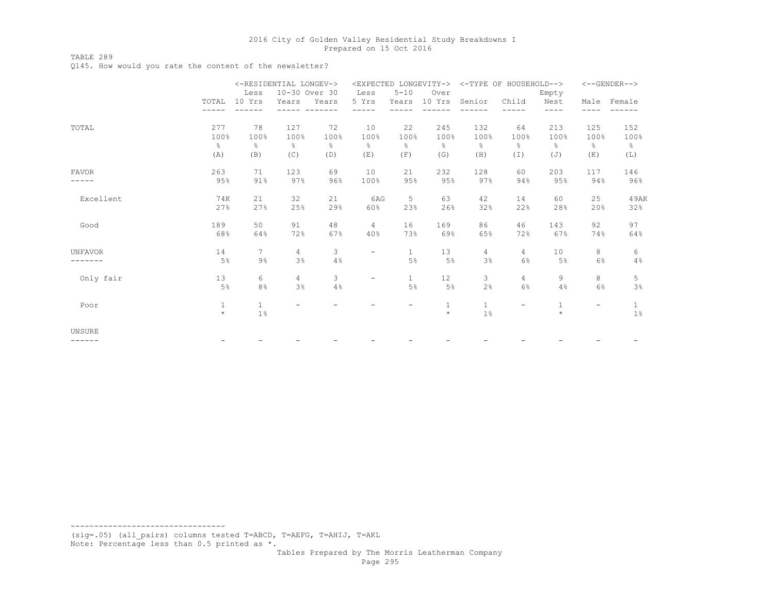# TABLE 289

Q145. How would you rate the content of the newsletter?

|                |              |                | <-RESIDENTIAL LONGEV->   |       |                          |              | <expected longevity-=""></expected> |               | <-TYPE OF HOUSEHOLD-->   |               |                          | $<-$ -GENDER--> |
|----------------|--------------|----------------|--------------------------|-------|--------------------------|--------------|-------------------------------------|---------------|--------------------------|---------------|--------------------------|-----------------|
|                |              | Less           | 10-30 Over 30            |       | Less                     | $5 - 10$     | Over                                |               |                          | Empty         |                          |                 |
|                | TOTAL        | 10 Yrs         | Years                    | Years | 5 Yrs                    | Years        | 10 Yrs                              | Senior        | Child                    | Nest          |                          | Male Female     |
|                |              |                |                          |       |                          |              |                                     |               |                          |               |                          |                 |
| TOTAL          | 277          | 78             | 127                      | 72    | 10                       | 22           | 245                                 | 132           | 64                       | 213           | 125                      | 152             |
|                | 100%         | 100%           | 100%                     | 100%  | 100%                     | 100%         | 100%                                | 100%          | 100%                     | 100%          | 100%                     | 100%            |
|                | ⊱            | g.             | $\frac{6}{6}$            | ⊱     | ⊱                        | န္           | ⊱                                   | $\frac{6}{6}$ | $\frac{6}{6}$            | $\frac{6}{6}$ | ⊱                        | $\frac{6}{6}$   |
|                | (A)          | (B)            | (C)                      | (D)   | (E)                      | (F)          | (G)                                 | (H)           | $(\bot)$                 | (J)           | (K)                      | (L)             |
| <b>FAVOR</b>   | 263          | 71             | 123                      | 69    | 10                       | 21           | 232                                 | 128           | 60                       | 203           | 117                      | 146             |
|                | 95%          | 91%            | 97%                      | 96%   | 100%                     | 95%          | 95%                                 | 97%           | 94%                      | 95%           | 94%                      | 96%             |
| Excellent      | 74K          | 21             | 32                       | 21    | 6AG                      | 5            | 63                                  | 42            | 14                       | 60            | 25                       | 49AK            |
|                | 27%          | 27%            | 25%                      | 29%   | 60%                      | 23%          | 26%                                 | 32%           | 22%                      | 28%           | 20%                      | 32%             |
| Good           | 189          | 50             | 91                       | 48    | $\overline{4}$           | 16           | 169                                 | 86            | 46                       | 143           | 92                       | 97              |
|                | 68%          | 64%            | 72%                      | 67%   | 40%                      | 73%          | 69%                                 | 65%           | 72%                      | 67%           | 74%                      | 64%             |
| <b>UNFAVOR</b> | 14           | $\overline{7}$ | 4                        | 3     | $\overline{\phantom{0}}$ | $\mathbf{1}$ | 13                                  | 4             | 4                        | 10            | 8                        | 6               |
|                | 5%           | $9\frac{6}{6}$ | 3%                       | 4%    |                          | 5%           | 5%                                  | 3%            | 6%                       | 5%            | 6%                       | 4%              |
| Only fair      | 13           | 6              | $\overline{4}$           | 3     | -                        | $\mathbf{1}$ | 12                                  | 3             | $\overline{4}$           | 9             | 8                        | 5               |
|                | 5%           | 8%             | 3%                       | 4%    |                          | 5%           | 5%                                  | 2%            | 6%                       | 4%            | 6%                       | $3\frac{6}{6}$  |
| Poor           | $\mathbf{1}$ | $\mathbf{1}$   | $\overline{\phantom{a}}$ | -     |                          | -            | $\mathbf{1}$                        | $\mathbf{1}$  | $\overline{\phantom{a}}$ | $\mathbf{1}$  | $\overline{\phantom{m}}$ | $\mathbf{1}$    |
|                | $\star$      | $1\%$          |                          |       |                          |              | $\star$                             | $1\%$         |                          | $\star$       |                          | $1\%$           |
| <b>UNSURE</b>  |              |                |                          |       |                          |              |                                     |               |                          |               |                          |                 |
| .              |              |                |                          |       |                          |              |                                     |               |                          |               |                          |                 |

--------------------------------- (sig=.05) (all\_pairs) columns tested T=ABCD, T=AEFG, T=AHIJ, T=AKL Note: Percentage less than 0.5 printed as \*.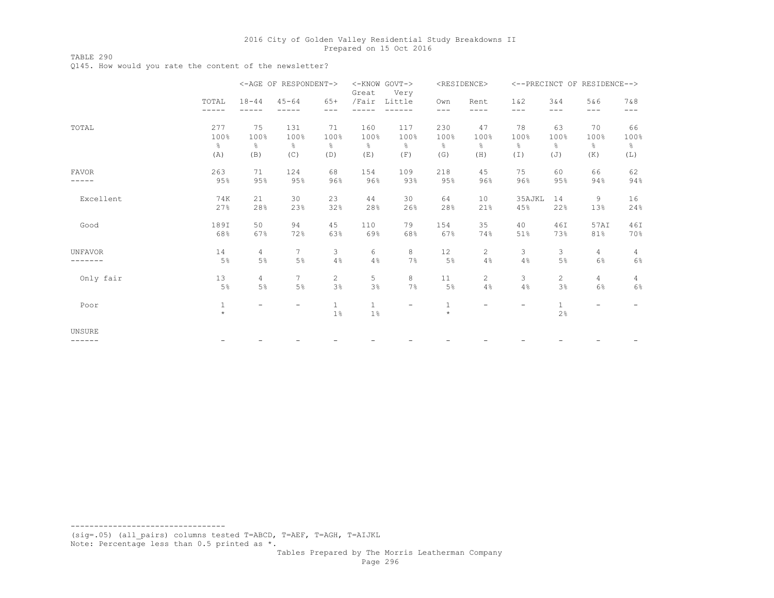TABLE 290

Q145. How would you rate the content of the newsletter?

|                |                  |            | <-AGE OF RESPONDENT-> |                | <-KNOW GOVT-><br>Great | Very                     |              | <residence></residence> |                |                       | <--PRECINCT OF RESIDENCE--> |                |
|----------------|------------------|------------|-----------------------|----------------|------------------------|--------------------------|--------------|-------------------------|----------------|-----------------------|-----------------------------|----------------|
|                | TOTAL<br>-----   | $18 - 44$  | $45 - 64$             | $65+$<br>$---$ | /Fair                  | Little                   | Own<br>$---$ | Rent<br>----            | 1 & 2<br>$---$ | 3&4<br>$---$          | 5&6<br>$---$                | 7 & 8<br>$---$ |
|                |                  |            |                       |                |                        |                          |              |                         |                |                       |                             |                |
| TOTAL          | 277<br>100%      | 75<br>100% | 131<br>100%           | 71<br>100%     | 160<br>100%            | 117<br>100%              | 230<br>100%  | 47<br>100%              | 78<br>100%     | 63<br>100%            | 70<br>100%                  | 66<br>100%     |
|                | $\frac{6}{5}$    | ⊱          | $\frac{6}{6}$         | $\frac{6}{6}$  | $\frac{6}{5}$          | $\frac{6}{6}$            | g.           | 옹                       | $\frac{6}{6}$  | $\frac{6}{5}$         | $\frac{6}{6}$               | $\frac{6}{6}$  |
|                | (A)              | (B)        | (C)                   | (D)            | (E)                    | (F)                      | (G)          | (H)                     | $(\top)$       | (J)                   | (K)                         | (L)            |
| <b>FAVOR</b>   | 263              | 71         | 124                   | 68             | 154                    | 109                      | 218          | 45                      | 75             | 60                    | 66                          | 62             |
|                | 95%              | 95%        | 95%                   | 96%            | 96%                    | 93%                      | 95%          | 96%                     | 96%            | 95%                   | 94%                         | 94%            |
| Excellent      | 74K              | 21         | 30                    | 23             | 44                     | 30                       | 64           | 10                      | 35AJKL         | 14                    | 9                           | 16             |
|                | 27%              | 28%        | 23%                   | 32%            | 28%                    | 26%                      | 28%          | 21%                     | 45%            | 22%                   | 13%                         | 24%            |
| Good           | 189I             | 50         | 94                    | 45             | 110                    | 79                       | 154          | 35                      | 40             | 46I                   | 57AI                        | 46I            |
|                | 68%              | 67%        | 72%                   | 63%            | 69%                    | 68%                      | 67%          | 74%                     | 51%            | 73%                   | 81%                         | 70%            |
| <b>UNFAVOR</b> | 14               | 4          | 7                     | 3              | 6                      | 8                        | 12           | $\overline{c}$          | 3              | 3                     | 4                           | 4              |
|                | 5%               | 5%         | $5\%$                 | 4%             | 4%                     | 7%                       | 5%           | 4%                      | 4%             | 5%                    | 6%                          | 6%             |
| Only fair      | 13               | 4          | 7                     | $\overline{2}$ | 5                      | 8                        | 11           | $\overline{c}$          | 3              | $\mathbf{2}^{\prime}$ | 4                           | 4              |
|                | 5%               | 5%         | $5\%$                 | 3%             | 3%                     | 7%                       | 5%           | 4%                      | 4%             | 3%                    | 6%                          | 6%             |
| Poor           | $1\,$<br>$\star$ | -          |                       | $\mathbf{1}$   | $\mathbf{1}$           | $\overline{\phantom{0}}$ | 1            |                         |                | $\mathbf{1}$          |                             |                |
|                |                  |            |                       | $1\%$          | $1\%$                  |                          | $\star$      |                         |                | 2%                    |                             |                |
| <b>UNSURE</b>  |                  |            |                       |                |                        |                          |              |                         |                |                       |                             |                |
| ------         |                  |            |                       |                |                        |                          |              |                         |                |                       |                             |                |

--------------------------------- (sig=.05) (all\_pairs) columns tested T=ABCD, T=AEF, T=AGH, T=AIJKL Note: Percentage less than 0.5 printed as \*.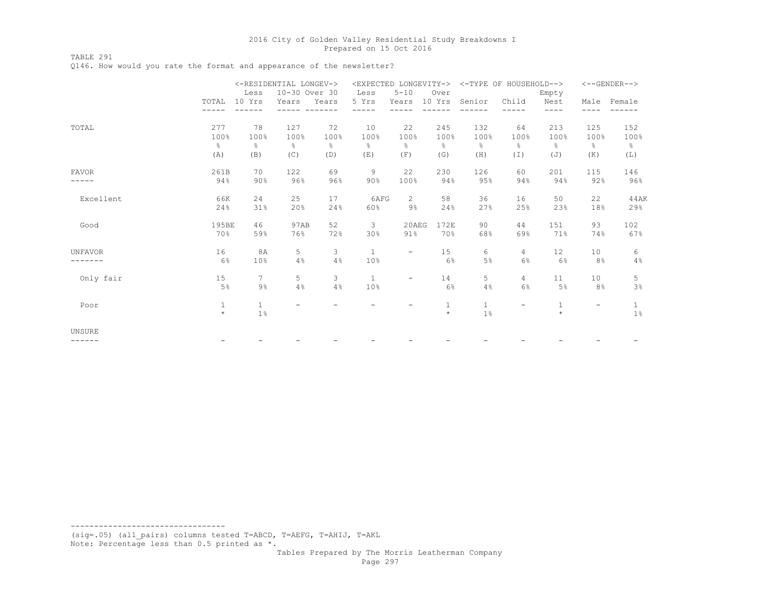TABLE 291

Q146. How would you rate the format and appearance of the newsletter?

|                | <-RESIDENTIAL LONGEV-> |                 |                          |                          | <expected longevity-=""></expected> |                          |               |               | <-TYPE OF HOUSEHOLD-->   |               |                          | <--GENDER-->   |
|----------------|------------------------|-----------------|--------------------------|--------------------------|-------------------------------------|--------------------------|---------------|---------------|--------------------------|---------------|--------------------------|----------------|
|                |                        | Less            | 10-30 Over 30            |                          | Less                                | $5 - 10$                 | Over          |               |                          | Empty         |                          |                |
|                | TOTAL                  | 10 Yrs          | Years                    | Years                    | 5 Yrs                               | Years                    | 10 Yrs        | Senior        | Child                    | Nest          |                          | Male Female    |
|                |                        |                 |                          |                          |                                     |                          |               |               |                          | $- - -$       |                          |                |
| TOTAL          | 277                    | 78              | 127                      | 72                       | 10                                  | 22                       | 245           | 132           | 64                       | 213           | 125                      | 152            |
|                | 100%                   | 100%            | 100%                     | 100%                     | 100%                                | 100%                     | 100%          | 100%          | 100%                     | 100%          | 100%                     | 100%           |
|                | g.                     | $\frac{6}{6}$   | $\frac{6}{6}$            | $\frac{6}{6}$            | $\frac{6}{6}$                       | g.                       | $\frac{6}{6}$ | $\frac{6}{6}$ | ⊱                        | $\frac{6}{6}$ | g                        | $\frac{6}{6}$  |
|                | (A)                    | (B)             | (C)                      | (D)                      | (E)                                 | (F)                      | (G)           | (H)           | $(\top)$                 | (J)           | (K)                      | (L)            |
| <b>FAVOR</b>   | 261B                   | 70              | 122                      | 69                       | 9                                   | 22                       | 230           | 126           | 60                       | 201           | 115                      | 146            |
|                | 94%                    | 90%             | 96%                      | 96%                      | 90%                                 | 100%                     | 94%           | 95%           | 94%                      | 94%           | 92%                      | 96%            |
| Excellent      | 66K                    | 24              | 25                       | 17                       | 6AFG                                | 2                        | 58            | 36            | 16                       | 50            | 22                       | <b>44AK</b>    |
|                | 24%                    | 31%             | 20%                      | 24%                      | 60%                                 | $9\%$                    | 24%           | 27%           | 25%                      | 23%           | 18%                      | 29%            |
| Good           | 195BE                  | 46              | 97AB                     | 52                       | 3                                   | 20AEG                    | 172E          | 90            | 44                       | 151           | 93                       | 102            |
|                | 70%                    | 59%             | 76%                      | 72%                      | 30%                                 | 91%                      | 70%           | 68%           | 69%                      | 71%           | 74%                      | 67%            |
| <b>UNFAVOR</b> | 16                     | 8A              | 5                        | 3                        | $\mathbf{1}$                        | $\overline{\phantom{a}}$ | 15            | 6             | 4                        | 12            | 10                       | 6              |
|                | 6%                     | 10%             | 4%                       | 4%                       | 10%                                 |                          | 6%            | 5%            | 6%                       | 6%            | 8%                       | 4%             |
| Only fair      | 15                     | $7\overline{ }$ | 5                        | 3                        | $\mathbf{1}$                        | $\overline{\phantom{0}}$ | 14            | 5             | $\overline{4}$           | 11            | 10                       | 5              |
|                | 5%                     | $9\%$           | 4%                       | 4%                       | 10%                                 |                          | 6%            | 4%            | 6%                       | 5%            | 8%                       | $3\frac{6}{6}$ |
| Poor           | $\mathbf{1}$           | $\mathbf{1}$    | $\overline{\phantom{a}}$ | $\overline{\phantom{m}}$ |                                     | $\overline{\phantom{0}}$ | $\mathbf{1}$  | $\mathbf{1}$  | $\overline{\phantom{a}}$ | $\mathbf{1}$  | $\overline{\phantom{a}}$ | $\mathbf{1}$   |
|                | $\star$                | $1\%$           |                          |                          |                                     |                          | $\star$       | 1%            |                          | $\star$       |                          | $1\%$          |
| UNSURE         |                        |                 |                          |                          |                                     |                          |               |               |                          |               |                          |                |
| ------         |                        |                 |                          |                          |                                     |                          |               |               |                          |               |                          |                |

--------------------------------- (sig=.05) (all\_pairs) columns tested T=ABCD, T=AEFG, T=AHIJ, T=AKL Note: Percentage less than 0.5 printed as \*.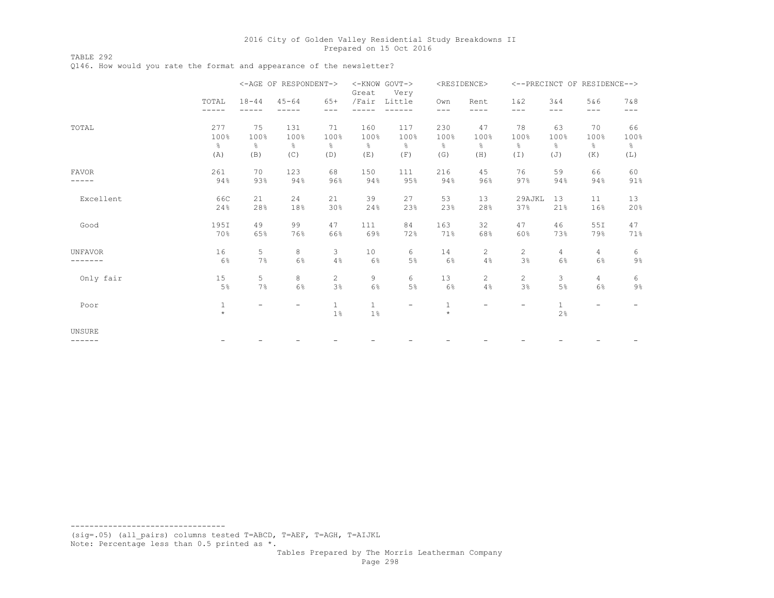TABLE 292 Q146. How would you rate the format and appearance of the newsletter?

|                  |                                     |                                    | <-AGE OF RESPONDENT->               |                                    | <-KNOW GOVT-><br>Great              | Very                                |                                     | <residence></residence>  |                                    |                                        | <--PRECINCT OF RESIDENCE-->        |                                    |
|------------------|-------------------------------------|------------------------------------|-------------------------------------|------------------------------------|-------------------------------------|-------------------------------------|-------------------------------------|--------------------------|------------------------------------|----------------------------------------|------------------------------------|------------------------------------|
|                  | TOTAL<br>-----                      | $18 - 44$                          | $45 - 64$                           | $65+$<br>$---$                     | /Fair                               | Little                              | Own<br>$---$                        | Rent<br>----             | $1\&2$<br>---                      | 3&4<br>$- - -$                         | 5&6<br>$---$                       | 7&8<br>$---$                       |
| TOTAL            | 277<br>100%<br>$\frac{6}{5}$<br>(A) | 75<br>100%<br>$\frac{6}{6}$<br>(B) | 131<br>100%<br>$\frac{6}{6}$<br>(C) | 71<br>100%<br>$\frac{6}{6}$<br>(D) | 160<br>100%<br>$\frac{8}{6}$<br>(E) | 117<br>100%<br>$\frac{6}{6}$<br>(F) | 230<br>100%<br>$\frac{6}{6}$<br>(G) | 47<br>100%<br>옹<br>(H)   | 78<br>100%<br>$\frac{6}{6}$<br>(I) | 63<br>100%<br>$\frac{\circ}{6}$<br>(J) | 70<br>100%<br>$\frac{6}{6}$<br>(K) | 66<br>100%<br>$\frac{6}{6}$<br>(L) |
| <b>FAVOR</b>     | 261                                 | 70                                 | 123                                 | 68                                 | 150                                 | 111                                 | 216                                 | 45                       | 76<br>97%                          | 59                                     | 66<br>94%                          | 60<br>91%                          |
| Excellent        | 94%<br>66C<br>24%                   | 93%<br>21<br>28%                   | 94%<br>24<br>18%                    | 96%<br>21<br>30%                   | 94%<br>39<br>24%                    | 95%<br>27<br>23%                    | 94%<br>53<br>23%                    | 96%<br>13<br>28%         | 29AJKL<br>37%                      | 94%<br>13<br>21%                       | 11<br>16%                          | 13<br>20%                          |
| Good             | 195I<br>70%                         | 49<br>65%                          | 99<br>76%                           | 47<br>66%                          | 111<br>69%                          | 84<br>72%                           | 163<br>71%                          | 32<br>68%                | 47<br>60%                          | 46<br>73%                              | 55I<br>79%                         | 47<br>71%                          |
| <b>UNFAVOR</b>   | 16<br>6%                            | 5<br>7%                            | 8<br>$6\%$                          | 3<br>4%                            | 10 <sup>°</sup><br>6%               | 6<br>5%                             | 14<br>$6\%$                         | $\overline{c}$<br>4%     | $\mathbf{2}^{\prime}$<br>3%        | $\overline{4}$<br>6%                   | $\overline{4}$<br>$6\%$            | 6<br>$9\frac{6}{6}$                |
| Only fair        | 15<br>5%                            | 5<br>7%                            | 8<br>6%                             | $\mathbf{2}$<br>3%                 | 9<br>6%                             | 6<br>5%                             | 13<br>6%                            | 2<br>4%                  | $\overline{2}$<br>3%               | 3<br>5%                                | $\overline{4}$<br>$6\%$            | 6<br>$9\frac{6}{6}$                |
| Poor             | $\mathbf{1}$<br>$\star$             | $\overline{\phantom{a}}$           | -                                   | $\mathbf{1}$<br>$1\%$              | $\mathbf{1}$<br>1%                  | $-$                                 | $\mathbf{1}$<br>$\star$             | $\overline{\phantom{a}}$ | $\overline{\phantom{0}}$           | $\mathbf{1}$<br>2%                     | -                                  |                                    |
| UNSURE<br>------ |                                     |                                    |                                     |                                    |                                     |                                     |                                     |                          |                                    |                                        |                                    |                                    |
|                  |                                     |                                    |                                     |                                    |                                     |                                     |                                     |                          |                                    |                                        |                                    |                                    |

--------------------------------- (sig=.05) (all\_pairs) columns tested T=ABCD, T=AEF, T=AGH, T=AIJKL Note: Percentage less than 0.5 printed as \*.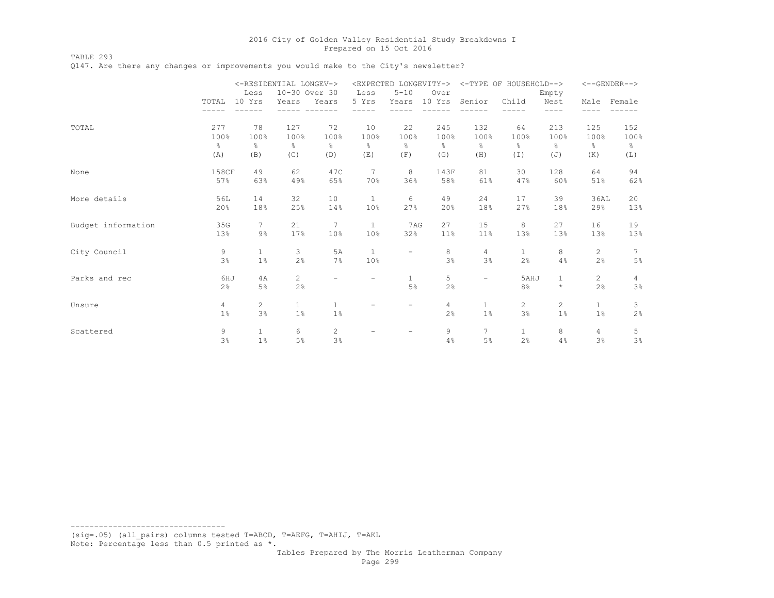TABLE 293

Q147. Are there any changes or improvements you would make to the City's newsletter?

|                    |                                      | <-RESIDENTIAL LONGEV-><br>Less     | 10-30 Over 30                   |                        | Less                   | <expected longevity-=""><br/><math>5 - 10</math></expected> | Over                                |                                     | <-TYPE OF HOUSEHOLD-->         | Empty                           |                                     | $<-$ -GENDER-->                     |
|--------------------|--------------------------------------|------------------------------------|---------------------------------|------------------------|------------------------|-------------------------------------------------------------|-------------------------------------|-------------------------------------|--------------------------------|---------------------------------|-------------------------------------|-------------------------------------|
|                    | TOTAL                                | 10 Yrs                             | Years                           | Years                  | 5 Yrs                  | Years                                                       | 10 Yrs                              | Senior                              | Child                          | Nest<br>----                    | Male<br>----                        | Female                              |
| TOTAL              | 277<br>100%<br>$\frac{6}{10}$<br>(A) | 78<br>100%<br>$\frac{6}{6}$<br>(B) | 127<br>100%<br>$\approx$<br>(C) | 72<br>100%<br>옹<br>(D) | 10<br>100%<br>옹<br>(E) | 22<br>100%<br>$\frac{6}{6}$<br>(F)                          | 245<br>100%<br>$\frac{6}{6}$<br>(G) | 132<br>100%<br>$\frac{6}{5}$<br>(H) | 64<br>100%<br>응<br>$(\top)$    | 213<br>100%<br>$\approx$<br>(J) | 125<br>100%<br>$\frac{6}{6}$<br>(K) | 152<br>100%<br>$\frac{6}{6}$<br>(L) |
| None               | <b>158CF</b><br>57%                  | 49<br>63%                          | 62<br>49%                       | 47C<br>65%             | 7<br>70%               | 8<br>36%                                                    | 143F<br>58%                         | 81<br>61%                           | 30<br>47%                      | 128<br>60%                      | 64<br>51%                           | 94<br>62%                           |
| More details       | 56L<br>20%                           | 14<br>18%                          | 32<br>25%                       | 10<br>14%              | $\mathbf{1}$<br>10%    | 6<br>27%                                                    | 49<br>20%                           | 24<br>18%                           | 17<br>27%                      | 39<br>18%                       | 36AL<br>29%                         | 20<br>13%                           |
| Budget information | 35G<br>13%                           | $\tau$<br>$9\%$                    | 21<br>17%                       | 7<br>10%               | $\mathbf{1}$<br>10%    | 7AG<br>32%                                                  | 27<br>11%                           | 15<br>11%                           | 8<br>13%                       | 27<br>13%                       | 16<br>13%                           | 19<br>13%                           |
| City Council       | 9<br>3%                              | $\mathbf{1}$<br>1 <sup>°</sup>     | 3<br>2%                         | 5A<br>7%               | $\mathbf{1}$<br>10%    | $\qquad \qquad -$                                           | 8<br>3%                             | 4<br>3%                             | $\mathbf{1}$<br>2%             | 8<br>4%                         | 2<br>2%                             | 7<br>5%                             |
| Parks and rec      | 6HJ<br>2 <sup>°</sup>                | 4A<br>5%                           | $\overline{2}$<br>2%            |                        |                        | $\mathbf{1}$<br>5%                                          | 5<br>2%                             |                                     | 5AHJ<br>8%                     | $\mathbf{1}$<br>$\star$         | $\mathbf{2}$<br>2%                  | $\overline{4}$<br>3%                |
| Unsure             | $\overline{4}$<br>1%                 | $\mathbf{2}^{\prime}$<br>3%        | $\mathbf{1}$<br>1%              | $\mathbf{1}$<br>1%     |                        | -                                                           | $\overline{4}$<br>2%                | $\mathbf{1}$<br>$1\%$               | $\overline{2}$<br>3%           | $\mathbf{2}^{\prime}$<br>1%     | $\mathbf{1}$<br>$1\%$               | 3<br>2%                             |
| Scattered          | 9<br>3%                              | $\mathbf{1}$<br>1 <sup>°</sup>     | 6<br>5%                         | $\mathbf{2}$<br>3%     |                        |                                                             | 9<br>4%                             | 7<br>5%                             | $\mathbf{1}$<br>2 <sup>°</sup> | 8<br>4%                         | 4<br>3%                             | 5<br>3%                             |

(sig=.05) (all\_pairs) columns tested T=ABCD, T=AEFG, T=AHIJ, T=AKL Note: Percentage less than 0.5 printed as \*.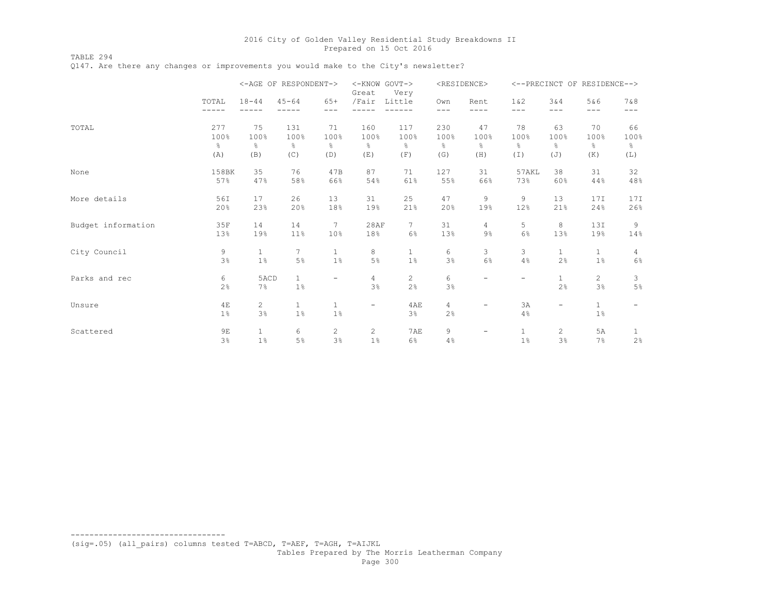TABLE 294

Q147. Are there any changes or improvements you would make to the City's newsletter?

|                    |                |                             | <-AGE OF RESPONDENT-> |                             | <-KNOW GOVT-><br>Great   | Very               |                      | <residence></residence> |                       |                      | <--PRECINCT OF RESIDENCE--> |                          |
|--------------------|----------------|-----------------------------|-----------------------|-----------------------------|--------------------------|--------------------|----------------------|-------------------------|-----------------------|----------------------|-----------------------------|--------------------------|
|                    | TOTAL<br>----- | $18 - 44$<br>-----          | $45 - 64$             | $65+$<br>$---$              | /Fair                    | Little             | Own<br>---           | Rent<br>----            | $1\&2$<br>$---$       | 3&4<br>$---$         | 5&6<br>---                  | 7 & 8<br>$---$           |
| TOTAL              | 277            | 75                          | 131                   | 71                          | 160                      | 117                | 230                  | 47                      | 78                    | 63                   | 70                          | 66                       |
|                    | 100%           | 100%                        | 100%                  | 100%                        | 100%                     | 100%               | 100%                 | 100%                    | 100%                  | 100%                 | 100%                        | 100%                     |
|                    | $\frac{6}{6}$  | $\frac{6}{6}$               | $\frac{6}{6}$         | 옹                           | g.                       | $\frac{6}{5}$      | ⊱                    | $\frac{6}{5}$           | 옹                     | $\frac{6}{6}$        | $\frac{6}{6}$               | 웅                        |
|                    | (A)            | (B)                         | (C)                   | (D)                         | (E)                      | (F)                | (G)                  | (H)                     | $(\top)$              | (J)                  | (K)                         | (L)                      |
| None               | 158BK          | 35                          | 76                    | 47B                         | 87                       | 71                 | 127                  | 31                      | 57AKL                 | 38                   | 31                          | 32                       |
|                    | 57%            | 47%                         | 58%                   | 66%                         | 54%                      | 61%                | 55%                  | 66%                     | 73%                   | 60%                  | 44%                         | 48%                      |
| More details       | 56I            | 17                          | 26                    | 13                          | 31                       | 25                 | 47                   | 9                       | 9                     | 13                   | 17I                         | 17I                      |
|                    | 20%            | 23%                         | 20%                   | 18%                         | 19%                      | 21%                | 20%                  | 19%                     | 12%                   | 21%                  | 24%                         | 26%                      |
| Budget information | 35F            | 14                          | 14                    | 7                           | 28AF                     | $7\phantom{.0}$    | 31                   | $\overline{4}$          | 5                     | 8                    | 13I                         | 9                        |
|                    | 13%            | 19%                         | 11%                   | 10%                         | 18%                      | 6%                 | 13%                  | $9\%$                   | 6%                    | 13%                  | 19%                         | 14%                      |
| City Council       | 9              | $\mathbf{1}$                | $7\phantom{.0}$       | $\mathbf{1}$                | 8                        | $\mathbf{1}$       | 6                    | 3                       | 3                     | $\mathbf{1}$         | $\mathbf{1}$                | 4                        |
|                    | 3%             | 1 <sup>°</sup>              | 5%                    | 1%                          | 5%                       | $1\%$              | 3%                   | 6%                      | 4%                    | 2%                   | 1%                          | 6%                       |
| Parks and rec      | 6<br>2%        | 5ACD<br>7%                  | $\mathbf{1}$<br>$1\%$ | $\overline{\phantom{a}}$    | $\overline{4}$<br>3%     | $\mathbf{2}$<br>2% | 6<br>3%              |                         |                       | $\mathbf{1}$<br>2%   | $\overline{2}$<br>3%        | 3<br>5%                  |
| Unsure             | 4E<br>$1\%$    | $\mathbf{2}^{\prime}$<br>3% | $\mathbf{1}$<br>1%    | $\mathbf{1}$<br>1%          | $\overline{\phantom{0}}$ | 4AE<br>3%          | $\overline{4}$<br>2% | $\overline{a}$          | 3A<br>4%              | -                    | $\mathbf{1}$<br>$1\%$       | $\overline{\phantom{a}}$ |
| Scattered          | 9E<br>3%       | $\mathbf{1}$<br>$1\%$       | 6<br>5%               | $\mathbf{2}^{\prime}$<br>3% | 2<br>1%                  | 7AE<br>6%          | 9<br>4%              | $\overline{a}$          | $\mathbf{1}$<br>$1\%$ | $\overline{2}$<br>3% | 5A<br>7%                    | $\mathbf{1}$<br>2%       |

--------------------------------- (sig=.05) (all\_pairs) columns tested T=ABCD, T=AEF, T=AGH, T=AIJKL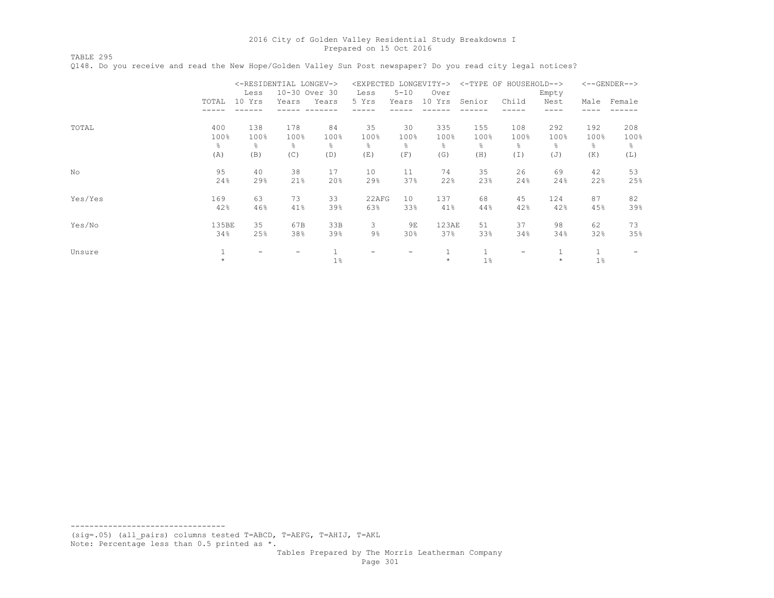TABLE 295

Q148. Do you receive and read the New Hope/Golden Valley Sun Post newspaper? Do you read city legal notices?

|         |         | <-RESIDENTIAL LONGEV-> | <expected longevity-=""></expected> |               |       |                          | <-TYPE OF HOUSEHOLD--> |             |       | $<-$ -GENDER--> |      |        |
|---------|---------|------------------------|-------------------------------------|---------------|-------|--------------------------|------------------------|-------------|-------|-----------------|------|--------|
|         |         | Less                   |                                     | 10-30 Over 30 | Less  | $5 - 10$                 | Over                   |             |       | Empty           |      |        |
|         | TOTAL   | 10 Yrs                 | Years                               | Years         | 5 Yrs | Years                    | 10 Yrs                 | Senior      | Child | Nest            | Male | Female |
|         |         |                        |                                     |               |       |                          |                        |             |       |                 |      |        |
| TOTAL   | 400     | 138                    | 178                                 | 84            | 35    | 30                       | 335                    | 155         | 108   | 292             | 192  | 208    |
|         | 100%    | 100%                   | 100%                                | 100%          | 100%  | 100%                     | 100%                   | 100%        | 100%  | 100%            | 100% | 100%   |
|         | g.      | ⊱                      | g.                                  | g.            | ⊱     | ⊱                        | g.                     | g.          | g.    | ⊱               | g.   | 옹      |
|         | (A)     | (B)                    | (C)                                 | (D)           | (E)   | (F)                      | (G)                    | (H)         | (I)   | (J)             | (K)  | (L)    |
| No      | 95      | 40                     | 38                                  | 17            | 10    | 11                       | 74                     | 35          | 26    | 69              | 42   | 53     |
|         | 24%     | 29%                    | 21%                                 | 20%           | 29%   | 37%                      | 22%                    | 23%         | 24%   | 24%             | 22%  | 25%    |
| Yes/Yes | 169     | 63                     | 73                                  | 33            | 22AFG | 10                       | 137                    | 68          | 45    | 124             | 87   | 82     |
|         | 42%     | 46%                    | 41%                                 | 39%           | 63%   | 33%                      | 41%                    | 44%         | 42%   | 42%             | 45%  | 39%    |
| Yes/No  | 135BE   | 35                     | 67B                                 | 33B           | 3     | 9E                       | 123AE                  | 51          | 37    | 98              | 62   | 73     |
|         | 34%     | 25%                    | 38%                                 | 39%           | 9%    | 30%                      | 37%                    | 33%         | 34%   | 34%             | 32%  | 35%    |
| Unsure  |         |                        | -                                   |               |       | $\overline{\phantom{a}}$ |                        | $\mathbf 1$ | -     |                 |      |        |
|         | $\star$ |                        |                                     | $1\%$         |       |                          | $^{\star}$             | 1%          |       | $\star$         | 1%   |        |

--------------------------------- (sig=.05) (all\_pairs) columns tested T=ABCD, T=AEFG, T=AHIJ, T=AKL

Note: Percentage less than 0.5 printed as \*.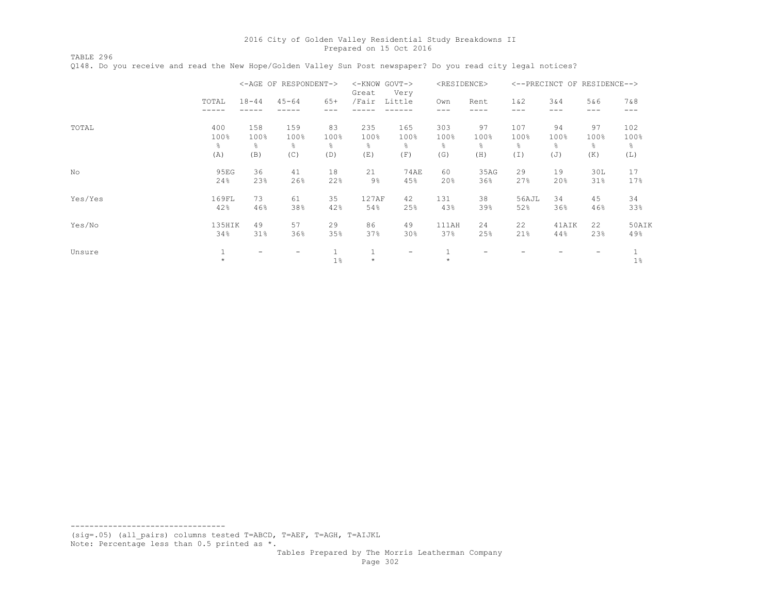TABLE 296 Q148. Do you receive and read the New Hope/Golden Valley Sun Post newspaper? Do you read city legal notices?

|         |        | <-AGE OF RESPONDENT-> |                          |            | <-KNOW GOVT-><br>Great | Very                     | <residence></residence> |      |              | <--PRECINCT OF RESIDENCE--> |            |              |
|---------|--------|-----------------------|--------------------------|------------|------------------------|--------------------------|-------------------------|------|--------------|-----------------------------|------------|--------------|
|         | TOTAL  | $18 - 44$             | $45 - 64$                | $65+$      | /Fair                  | Little                   | Own<br>---              | Rent | 1 & 2<br>--- | 3&4<br>---                  | 5&6<br>--- | 7 & 8<br>--- |
| TOTAL   | 400    | 158                   | 159                      | 83         | 235                    | 165                      | 303                     | 97   | 107          | 94                          | 97         | 102          |
|         | 100%   | 100%                  | 100%                     | 100%       | 100%                   | 100%                     | 100%                    | 100% | 100%         | 100%                        | 100%       | 100%         |
|         | g.     | $\frac{6}{6}$         | ⊱                        | ⊱          | ⊱                      | $\epsilon$               | g.                      | g.   | g.           | g.                          | g.         | 응            |
|         | (A)    | (B)                   | (C)                      | (D)        | (E)                    | (F)                      | (G)                     | (H)  | (I)          | (J)                         | (K)        | (L)          |
| No      | 95EG   | 36                    | 41                       | 18         | 21                     | <b>74AE</b>              | 60                      | 35AG | 29           | 19                          | 30L        | 17           |
|         | 24%    | 23%                   | 26%                      | 22%        | $9\%$                  | 45%                      | 20%                     | 36%  | 27%          | 20%                         | 31%        | 17%          |
| Yes/Yes | 169FL  | 73                    | 61                       | 35         | 127AF                  | 42                       | 131                     | 38   | 56AJL        | 34                          | 45         | 34           |
|         | 42%    | 46%                   | 38%                      | 42%        | 54%                    | 25%                      | 43%                     | 39%  | 52%          | 36%                         | 46%        | 33%          |
| Yes/No  | 135HIK | 49                    | 57                       | 29         | 86                     | 49                       | 111AH                   | 24   | 22           | 41AIK                       | 22         | 50AIK        |
|         | 34%    | 31%                   | 36%                      | 35%        | 37%                    | 30%                      | 37%                     | 25%  | 21%          | 44%                         | 23%        | 49%          |
| Unsure  |        | $\qquad \qquad$       | $\overline{\phantom{m}}$ | 1<br>$1\%$ | $\star$                | $\overline{\phantom{0}}$ | $\mathbf{1}$<br>$\star$ | -    |              |                             | -          | 1%           |

--------------------------------- (sig=.05) (all\_pairs) columns tested T=ABCD, T=AEF, T=AGH, T=AIJKL

Note: Percentage less than 0.5 printed as \*.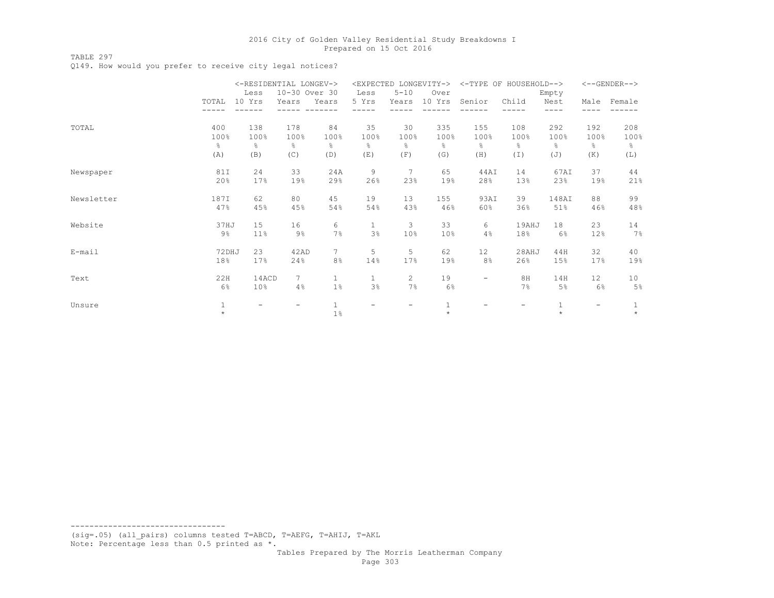TABLE 297

Q149. How would you prefer to receive city legal notices?

|            |              | <-RESIDENTIAL LONGEV->   |               |                 | <expected< th=""><th></th><th>LONGEVITY-&gt;</th><th></th><th>&lt;-TYPE OF HOUSEHOLD--&gt;</th><th></th><th></th><th><math>&lt;-</math>-GENDER--&gt;</th></expected<> |                          | LONGEVITY->     |                          | <-TYPE OF HOUSEHOLD--> |               |                   | $<-$ -GENDER--> |
|------------|--------------|--------------------------|---------------|-----------------|-----------------------------------------------------------------------------------------------------------------------------------------------------------------------|--------------------------|-----------------|--------------------------|------------------------|---------------|-------------------|-----------------|
|            |              | Less                     | 10-30 Over 30 |                 | Less                                                                                                                                                                  | $5 - 10$                 | Over            |                          |                        | Empty         |                   |                 |
|            | TOTAL        | 10 Yrs                   | Years         | Years           | 5 Yrs                                                                                                                                                                 | Years                    | 10 Yrs          | Senior                   | Child                  | Nest<br>----  | Male              | Female          |
|            |              |                          |               |                 |                                                                                                                                                                       |                          |                 |                          |                        |               |                   |                 |
| TOTAL      | 400          | 138                      | 178           | 84              | 35                                                                                                                                                                    | 30                       | 335             | 155                      | 108                    | 292           | 192               | 208             |
|            | 100%         | 100%                     | 100%          | 100%            | 100%                                                                                                                                                                  | 100%                     | 100%            | 100%                     | 100%                   | 100%          | 100%              | 100%            |
|            | g.           | g.                       | $\frac{6}{5}$ | 옹               | ⊱                                                                                                                                                                     | g.                       | g.              | ⊱                        | g.                     | $\frac{6}{5}$ | g.                | 웅               |
|            | (A)          | (B)                      | (C)           | (D)             | (E)                                                                                                                                                                   | (F)                      | (G)             | (H)                      | (I)                    | (J)           | (K)               | (L)             |
| Newspaper  | 81I          | 24                       | 33            | 24A             | 9                                                                                                                                                                     | 7                        | 65              | 44AI                     | 14                     | 67AI          | 37                | 44              |
|            | 20%          | 17%                      | 19%           | 29%             | 26%                                                                                                                                                                   | 23%                      | 19%             | 28%                      | 13%                    | 23%           | 19%               | 21%             |
| Newsletter | 187I         | 62                       | 80            | 45              | 19                                                                                                                                                                    | 13                       | 155             | 93AI                     | 39                     | 148AI         | 88                | 99              |
|            | 47%          | 45%                      | 45%           | 54%             | 54%                                                                                                                                                                   | 43%                      | 46%             | 60%                      | 36%                    | 51%           | 46%               | 48%             |
| Website    | 37HJ         | 15                       | 16            | 6               | $\mathbf{1}$                                                                                                                                                          | 3                        | 33              | 6                        | 19AHJ                  | 18            | 23                | 14              |
|            | $9\%$        | 11%                      | $9\%$         | 7%              | 3%                                                                                                                                                                    | 10%                      | 10 <sup>°</sup> | 4%                       | 18%                    | 6%            | 12%               | 7%              |
| E-mail     | 72DHJ        | 23                       | 42AD          | $7\overline{ }$ | 5                                                                                                                                                                     | 5                        | 62              | 12                       | 28AHJ                  | 44H           | 32                | 40              |
|            | 18%          | 17%                      | 24%           | 8%              | 14%                                                                                                                                                                   | 17%                      | 19%             | 8%                       | 26%                    | 15%           | 17%               | 19%             |
| Text       | 22H          | 14ACD                    | $7^{\circ}$   | $\mathbf{1}$    | $\mathbf{1}$                                                                                                                                                          | 2                        | 19              | $\overline{\phantom{m}}$ | 8H                     | 14H           | 12                | 10              |
|            | 6%           | 10 <sup>°</sup>          | 4%            | 1%              | 3%                                                                                                                                                                    | 7%                       | 6%              |                          | 7%                     | 5%            | 6%                | $5\%$           |
| Unsure     | $\mathbf{1}$ | $\overline{\phantom{0}}$ |               | $\mathbf{1}$    |                                                                                                                                                                       | $\overline{\phantom{0}}$ | $\mathbf{1}$    |                          | -                      | $\mathbf{1}$  | $\qquad \qquad -$ | 1               |
|            | $\star$      |                          |               | $1\%$           |                                                                                                                                                                       |                          | $\star$         |                          |                        | $\star$       |                   | $\star$         |

--------------------------------- (sig=.05) (all\_pairs) columns tested T=ABCD, T=AEFG, T=AHIJ, T=AKL Note: Percentage less than 0.5 printed as \*.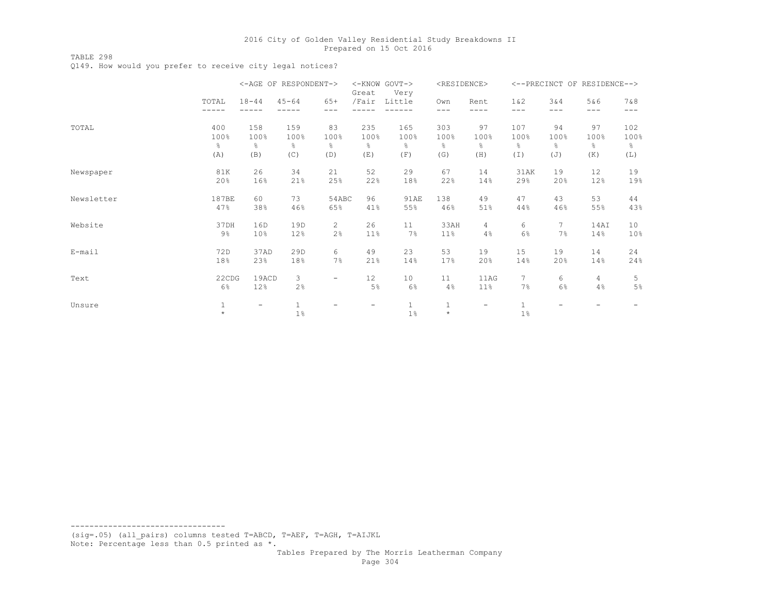TABLE 298

Q149. How would you prefer to receive city legal notices?

|            |               |               | <-AGE OF RESPONDENT-> |                          | Great                    | <-KNOW GOVT-><br>Very | <residence></residence> |                          |               |                 | <--PRECINCT OF RESIDENCE--> |               |
|------------|---------------|---------------|-----------------------|--------------------------|--------------------------|-----------------------|-------------------------|--------------------------|---------------|-----------------|-----------------------------|---------------|
|            | TOTAL         | $18 - 44$     | $45 - 64$             | $65+$                    | /Fair                    | Little                | Own                     | Rent                     | 1 & 2         | 3&4             | 5&6                         | 7 & 8         |
|            | -----         |               |                       | ---                      |                          |                       | $--$                    | ----                     | ---           | $- - -$         | $---$                       | $---$         |
| TOTAL      | 400           | 158           | 159                   | 83                       | 235                      | 165                   | 303                     | 97                       | 107           | 94              | 97                          | 102           |
|            | 100%          | 100%          | 100%                  | 100%                     | 100%                     | 100%                  | 100%                    | 100%                     | 100%          | 100%            | 100%                        | 100%          |
|            | $\frac{6}{5}$ | $\frac{6}{6}$ | $\frac{6}{6}$         | $\frac{6}{6}$            | 옹                        | $\frac{6}{6}$         | $\frac{6}{6}$           | $\frac{6}{5}$            | $\frac{6}{6}$ | $\frac{6}{6}$   | $\frac{6}{6}$               | $\frac{6}{6}$ |
|            | (A)           | (B)           | (C)                   | (D)                      | (E)                      | (F)                   | (G)                     | (H)                      | (I)           | (J)             | (K)                         | (L)           |
| Newspaper  | 81K           | 26            | 34                    | 21                       | 52                       | 29                    | 67                      | 14                       | 31AK          | 19              | 12                          | 19            |
|            | 20%           | 16%           | 21%                   | 25%                      | 22%                      | 18%                   | 22%                     | 14%                      | 29%           | 20%             | 12%                         | 19%           |
| Newsletter | 187BE         | 60            | 73                    | 54ABC                    | 96                       | 91AE                  | 138                     | 49                       | 47            | 43              | 53                          | 44            |
|            | 47%           | 38%           | 46%                   | 65%                      | 41%                      | 55%                   | 46%                     | 51%                      | 44%           | 46%             | 55%                         | 43%           |
| Website    | 37DH          | 16D           | 19D                   | $\overline{2}$           | 26                       | 11                    | 33AH                    | 4                        | 6             | $7\overline{ }$ | 14AI                        | 10            |
|            | $9\%$         | 10%           | 12%                   | 2%                       | 11%                      | 7%                    | 11%                     | 4%                       | 6%            | 7%              | 14%                         | 10%           |
| E-mail     | 72D           | 37AD          | 29D                   | 6                        | 49                       | 23                    | 53                      | 19                       | 15            | 19              | 14                          | 24            |
|            | 18%           | 23%           | 18%                   | 7%                       | 21%                      | 14%                   | 17%                     | 20%                      | 14%           | 20%             | 14%                         | 24%           |
| Text       | 22CDG         | 19ACD         | 3                     | $\overline{\phantom{a}}$ | 12                       | 10                    | 11                      | 11AG                     | $\tau$        | 6               | 4                           | 5             |
|            | 6%            | 12%           | $2\frac{6}{6}$        |                          | 5%                       | 6%                    | 4%                      | 11%                      | 7%            | 6%              | 4%                          | 5%            |
| Unsure     | $\mathbf{1}$  | -             | $\mathbf 1$           |                          | $\overline{\phantom{m}}$ | $\mathbf 1$           | $\mathbf{1}$            | $\overline{\phantom{m}}$ | $\mathbf{1}$  |                 |                             |               |
|            | $\star$       |               | $1\%$                 |                          |                          | $1\%$                 | $\star$                 |                          | $1\%$         |                 |                             |               |

--------------------------------- (sig=.05) (all\_pairs) columns tested T=ABCD, T=AEF, T=AGH, T=AIJKL Note: Percentage less than 0.5 printed as \*.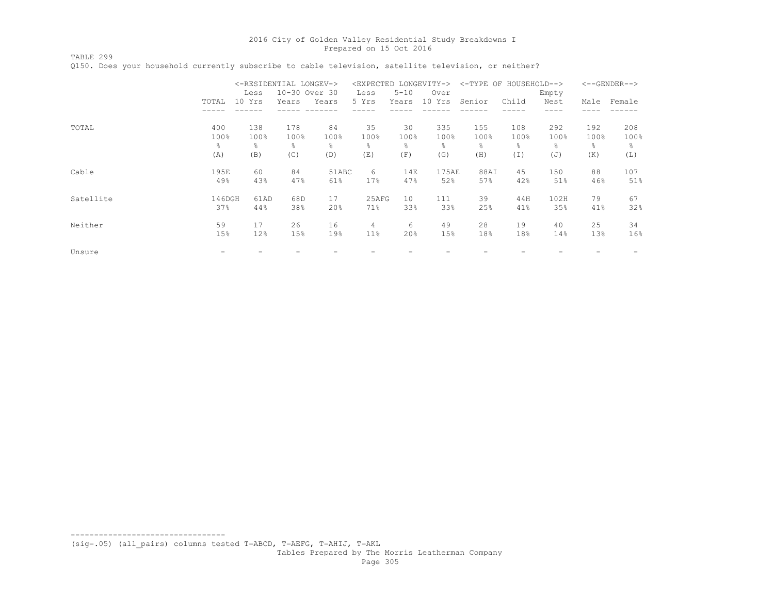TABLE 299

 <-RESIDENTIAL LONGEV-> <EXPECTED LONGEVITY-> <-TYPE OF HOUSEHOLD--> <--GENDER--> Less 10-30 Over 30 Less 5-10 Over Empty TOTAL 10 Yrs Years Years 5 Yrs Years 10 Yrs Senior Child Nest Male Female ----- ------ ----- ------- ----- ----- ------ ------ ----- ---- ---- ------ TOTAL 400 138 178 84 35 30 335 155 108 292 192 208 100% 100% 100% 100% 100% 100% 100% 100% 100% 100% 100% 100%  $\frac{1}{6}$   $\frac{1}{6}$   $\frac{1}{6}$   $\frac{1}{6}$   $\frac{1}{6}$   $\frac{1}{6}$   $\frac{1}{6}$   $\frac{1}{6}$   $\frac{1}{6}$   $\frac{1}{6}$   $\frac{1}{6}$   $\frac{1}{6}$   $\frac{1}{6}$   $\frac{1}{6}$   $\frac{1}{6}$   $\frac{1}{6}$   $\frac{1}{6}$   $\frac{1}{6}$   $\frac{1}{6}$   $\frac{1}{6}$   $\frac{1}{6}$   $\frac{1}{6}$  (A) (B) (C) (D) (E) (F) (G) (H) (I) (J) (K) (L) Cable 195E 60 84 51ABC 6 14E 175AE 88AI 45 150 88 107<br>198 438 478 618 178 478 528 578 428 518 468 51 49% 43% 47% 61% 17% 47% 52% 57% 42% 51% 46% 51% Satellite 146DGH 61AD 68D 17 25AFG 10 111 39 44H 102H 79 67<br>37% 44% 38% 20% 71% 33% 33% 25% 41% 35% 41% 32% 37% 44% 38% 20% 71% 33% 33% 25% 41% 35% 41% 32% Neither 59 17 26 16 4 6 49 28 19 40 25 34 15% 12% 15% 19% 11% 20% 15% 18% 18% 14% 13% 16% Unsure - - - - - - - - - - - -

Q150. Does your household currently subscribe to cable television, satellite television, or neither?

(sig=.05) (all\_pairs) columns tested T=ABCD, T=AEFG, T=AHIJ, T=AKL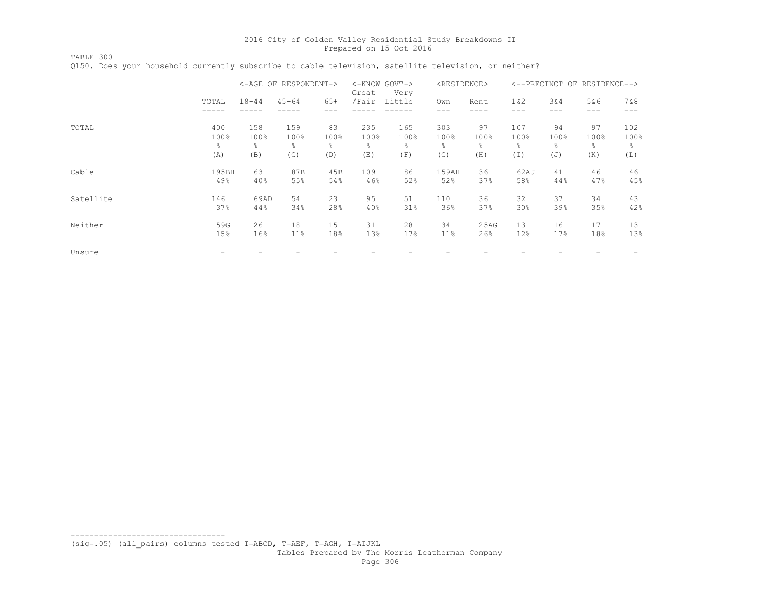TABLE 300 Q150. Does your household currently subscribe to cable television, satellite television, or neither?

|           |       |           | <-AGE OF RESPONDENT-> |       | $<$ - $<$ NOW<br>Great | $GOVT->$<br>Very | <residence></residence> |      |       | <--PRECINCT OF | RESIDENCE--> |       |
|-----------|-------|-----------|-----------------------|-------|------------------------|------------------|-------------------------|------|-------|----------------|--------------|-------|
|           | TOTAL | $18 - 44$ | $45 - 64$             | $65+$ | /Fair                  | Little           | Own                     | Rent | 1 & 2 | 3&4            | 5&6          | 7 & 8 |
|           |       |           |                       |       |                        |                  |                         |      | ---   | ---            | ---          |       |
| TOTAL     | 400   | 158       | 159                   | 83    | 235                    | 165              | 303                     | 97   | 107   | 94             | 97           | 102   |
|           | 100%  | 100%      | 100%                  | 100%  | 100%                   | 100%             | 100%                    | 100% | 100%  | 100%           | 100%         | 100%  |
|           | g.    | ိင        | ⊱                     | g.    | 옹                      | g.               | န္                      | g.   | g.    | ⊱              | g            | 옹     |
|           | (A)   | (B)       | (C)                   | (D)   | (E)                    | (F)              | (G)                     | (H)  | (I)   | (J)            | (K)          | (L)   |
| Cable     | 195BH | 63        | 87B                   | 45B   | 109                    | 86               | 159AH                   | 36   | 62AJ  | 41             | 46           | 46    |
|           | 49%   | 40%       | 55%                   | 54%   | 46%                    | 52%              | 52%                     | 37%  | 58%   | 44%            | 47%          | 45%   |
| Satellite | 146   | 69AD      | 54                    | 23    | 95                     | 51               | 110                     | 36   | 32    | 37             | 34           | 43    |
|           | 37%   | 44%       | 34%                   | 28%   | 40%                    | 31%              | 36%                     | 37%  | 30%   | 39%            | 35%          | 42%   |
| Neither   | 59G   | 26        | 18                    | 15    | 31                     | 28               | 34                      | 25AG | 13    | 16             | 17           | 13    |
|           | 15%   | 16%       | 11%                   | 18%   | 13%                    | 17%              | 11%                     | 26%  | 12%   | 17%            | 18%          | 13%   |
| Unsure    |       |           |                       |       |                        |                  |                         |      |       |                |              |       |

(sig=.05) (all\_pairs) columns tested T=ABCD, T=AEF, T=AGH, T=AIJKL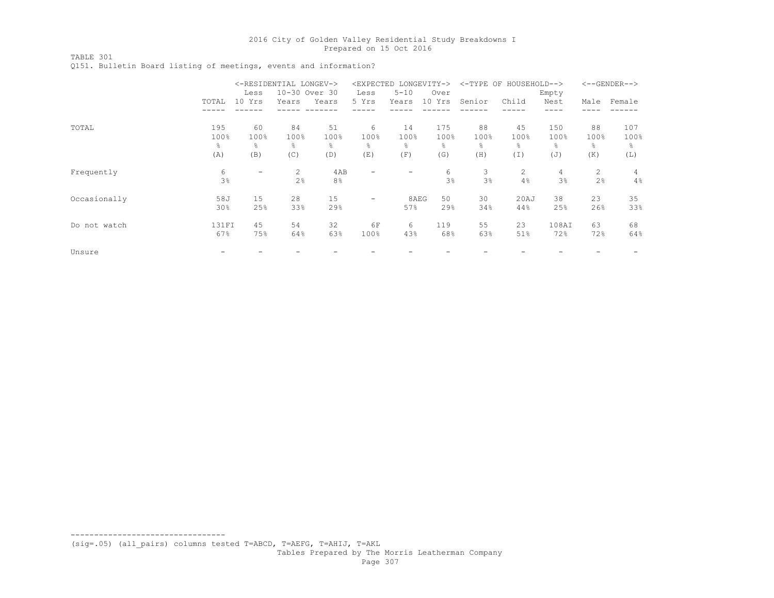TABLE 301 Q151. Bulletin Board listing of meetings, events and information?

|              |                 |        | <-RESIDENTIAL LONGEV-> |                |       | <expected longevity-=""></expected> |                |                | <-TYPE OF HOUSEHOLD--> |       |      | $<-$ -GENDER--> |
|--------------|-----------------|--------|------------------------|----------------|-------|-------------------------------------|----------------|----------------|------------------------|-------|------|-----------------|
|              |                 | Less   | 10-30 Over 30          |                | Less  | $5 - 10$                            | Over           |                |                        | Empty |      |                 |
|              | TOTAL           | 10 Yrs | Years                  | Years          | 5 Yrs | Years                               | 10 Yrs         | Senior         | Child                  | Nest  | Male | Female          |
|              |                 |        |                        |                |       |                                     |                |                |                        |       |      |                 |
| TOTAL        | 195             | 60     | 84                     | 51             | 6     | 14                                  | 175            | 88             | 45                     | 150   | 88   | 107             |
|              | 100%            | 100%   | 100%                   | 100%           | 100%  | 100%                                | 100%           | 100%           | 100%                   | 100%  | 100% | 100%            |
|              | g.              | g.     | g.                     | g.             | ⊱     | g.                                  | $\frac{6}{10}$ | $\frac{6}{10}$ | g.                     | ⊱     | g.   | ⊱               |
|              | (A)             | (B)    | (C)                    | (D)            | (E)   | (F)                                 | (G)            | (H)            | (I)                    | (J)   | (K)  | (L)             |
| Frequently   | 6               | -      | 2                      | 4AB            |       | -                                   | 6              | 3              | $\overline{2}$         | 4     | 2    | $\overline{4}$  |
|              | 3%              |        | 2%                     | 8 <sup>°</sup> |       |                                     | 3%             | 3%             | 4%                     | 3%    | 2%   | 4%              |
| Occasionally | 58J             | 15     | 28                     | 15             | -     | 8AEG                                | 50             | 30             | 20AJ                   | 38    | 23   | 35              |
|              | 30 <sub>8</sub> | 25%    | 33%                    | 29%            |       | 57%                                 | 29%            | 34%            | 44%                    | 25%   | 26%  | 33%             |
| Do not watch | 131FI           | 45     | 54                     | 32             | 6F    | 6                                   | 119            | 55             | 23                     | 108AI | 63   | 68              |
|              | 67%             | 75%    | 64%                    | 63%            | 100%  | 43%                                 | 68%            | 63%            | 51%                    | 72%   | 72%  | 64%             |
| Unsure       |                 |        |                        |                |       |                                     |                |                |                        |       |      |                 |

(sig=.05) (all\_pairs) columns tested T=ABCD, T=AEFG, T=AHIJ, T=AKL

---------------------------------

Tables Prepared by The Morris Leatherman Company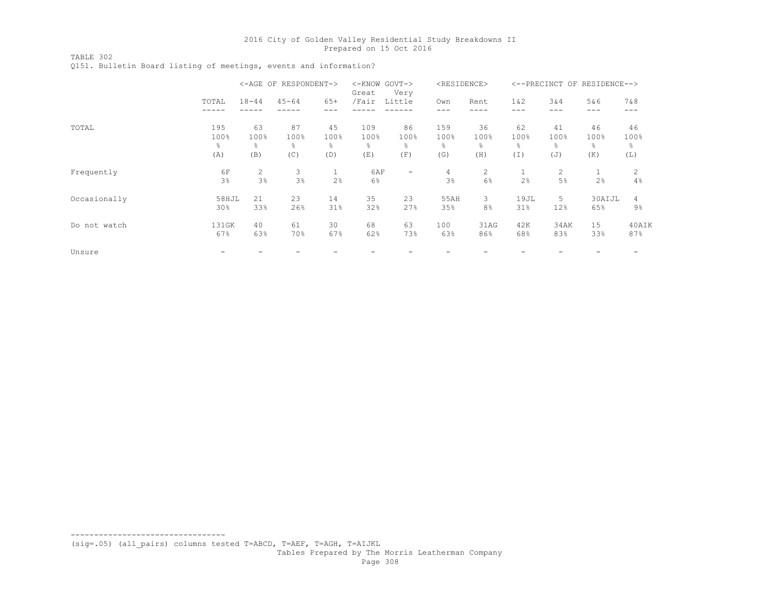TABLE 302 Q151. Bulletin Board listing of meetings, events and information?

|              |              |            | <-AGE OF RESPONDENT-> |            | <-KNOW GOVT-><br>Great | Very                     | <residence></residence> |                     |             |                      | <--PRECINCT OF RESIDENCE--> |              |
|--------------|--------------|------------|-----------------------|------------|------------------------|--------------------------|-------------------------|---------------------|-------------|----------------------|-----------------------------|--------------|
|              | TOTAL        | $18 - 44$  | $45 - 64$             | $65+$      | /Fair                  | Little                   | Own                     | Rent                | 1 & 2       | 3&4                  | 5&6                         | 7 & 8        |
|              |              |            |                       |            |                        |                          | ---                     |                     | ---         | ---                  | ---                         | ---          |
| TOTAL        | 195<br>100%  | 63<br>100% | 87<br>100%            | 45<br>100% | 109<br>100%            | 86<br>100%               | 159<br>100%             | 36<br>100%          | 62<br>100%  | 41<br>100%           | 46<br>100%                  | 46<br>100%   |
|              | g.<br>(A)    | g<br>(B)   | ⊱<br>(C)              | g.<br>(D)  | g.<br>(E)              | g.<br>(F)                | g.<br>(G)               | ⊱<br>(H)            | g.<br>(I)   | ⊱<br>(J)             | g.<br>(K)                   | ⊱<br>(L)     |
| Frequently   | 6F<br>3%     | 2<br>3%    | 3<br>3%               | 2%         | 6AF<br>6%              | $\overline{\phantom{0}}$ | 4<br>3%                 | 2<br>6%             | 2%          | $\overline{c}$<br>5% | 2%                          | 2<br>4%      |
| Occasionally | 58HJL<br>30% | 21<br>33%  | 23<br>26%             | 14<br>31%  | 35<br>32%              | 23<br>27%                | 55AH<br>35%             | 3<br>8 <sup>°</sup> | 19JL<br>31% | 5<br>12%             | 30AIJL<br>65%               | 4<br>$9\%$   |
| Do not watch | 131GK<br>67% | 40<br>63%  | 61<br>70%             | 30<br>67%  | 68<br>62%              | 63<br>73%                | 100<br>63%              | 31AG<br>86%         | 42K<br>68%  | 34AK<br>83%          | 15<br>33%                   | 40AIK<br>87% |
| Unsure       |              |            |                       |            |                        |                          |                         |                     |             |                      |                             |              |

(sig=.05) (all\_pairs) columns tested T=ABCD, T=AEF, T=AGH, T=AIJKL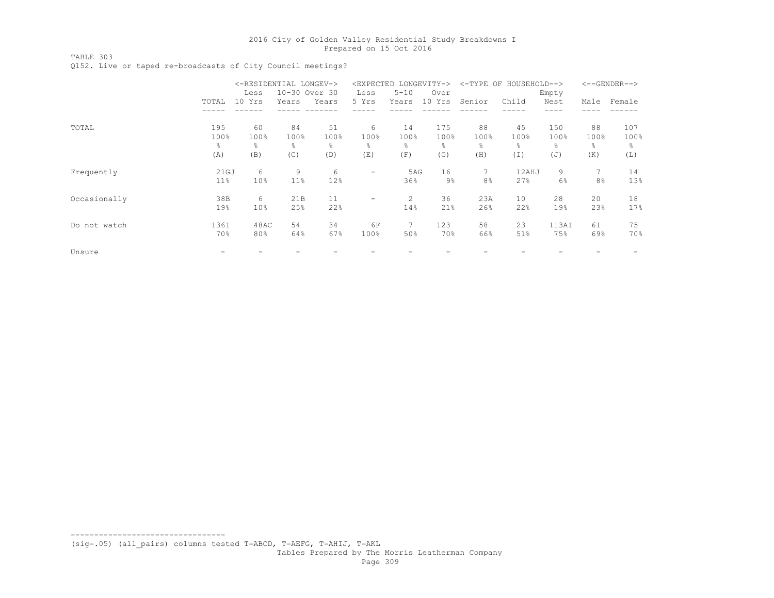TABLE 303

Q152. Live or taped re-broadcasts of City Council meetings?

|              |       | <-RESIDENTIAL LONGEV-> |               |       |                          | <expected longevity-=""></expected> |                |                | <-TYPE OF HOUSEHOLD--> |       |      | $\leftarrow$ -GENDER--> |
|--------------|-------|------------------------|---------------|-------|--------------------------|-------------------------------------|----------------|----------------|------------------------|-------|------|-------------------------|
|              |       | Less                   | 10-30 Over 30 |       | Less                     | $5 - 10$                            | Over           |                |                        | Empty |      |                         |
|              | TOTAL | 10 Yrs                 | Years         | Years | 5 Yrs                    | Years                               | 10 Yrs         | Senior         | Child                  | Nest  | Male | Female                  |
|              |       |                        |               |       |                          |                                     |                |                |                        |       |      |                         |
| TOTAL        | 195   | 60                     | 84            | 51    | 6                        | 14                                  | 175            | 88             | 45                     | 150   | 88   | 107                     |
|              | 100%  | 100%                   | 100%          | 100%  | 100%                     | 100%                                | 100%           | 100%           | 100%                   | 100%  | 100% | 100%                    |
|              | g.    | 옹                      | ⊱             | 옹     | ⊱                        | 옹                                   | $\frac{6}{10}$ | š              | g.                     | g.    | g.   | ⊱                       |
|              | (A)   | (B)                    | (C)           | (D)   | (E)                      | (F)                                 | (G)            | (H)            | (I)                    | (J)   | (K)  | (L)                     |
| Frequently   | 21GJ  | 6                      | 9             | 6     | -                        | 5AG                                 | 16             | 7              | 12AHJ                  | 9     |      | 14                      |
|              | 11%   | 10 <sub>8</sub>        | 11%           | 12%   |                          | 36%                                 | $9\%$          | 8 <sup>°</sup> | 27%                    | 6%    | 8%   | 13%                     |
| Occasionally | 38B   | 6                      | 21B           | 11    | $\overline{\phantom{m}}$ | 2                                   | 36             | 23A            | 10                     | 28    | 20   | 18                      |
|              | 19%   | 10%                    | 25%           | 22%   |                          | 14%                                 | 21%            | 26%            | 22%                    | 19%   | 23%  | 17%                     |
| Do not watch | 136I  | 48AC                   | 54            | 34    | 6F                       | 7                                   | 123            | 58             | 23                     | 113AI | 61   | 75                      |
|              | 70%   | 80%                    | 64%           | 67%   | 100%                     | 50%                                 | 70%            | 66%            | 51%                    | 75%   | 69%  | 70%                     |
| Unsure       |       |                        |               |       |                          |                                     |                |                |                        |       |      |                         |

--------------------------------- (sig=.05) (all\_pairs) columns tested T=ABCD, T=AEFG, T=AHIJ, T=AKL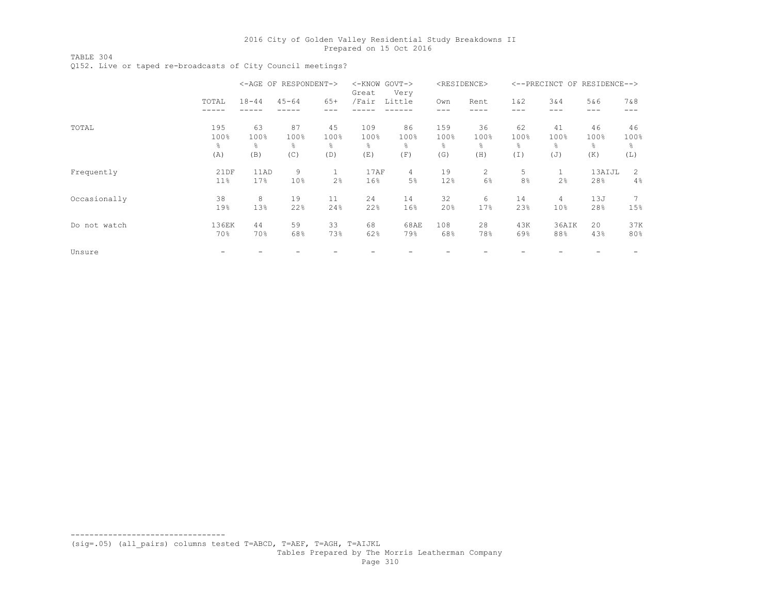TABLE 304

Q152. Live or taped re-broadcasts of City Council meetings?

|              |        |                 | <-AGE OF RESPONDENT-> |       | <-KNOW GOVT-><br>Great | Very           |      | <residence></residence> |                | <--PRECINCT OF RESIDENCE--> |        |      |
|--------------|--------|-----------------|-----------------------|-------|------------------------|----------------|------|-------------------------|----------------|-----------------------------|--------|------|
|              | TOTAL  | $18 - 44$       | $45 - 64$             | $65+$ | /Fair                  | Little         | Own  | Rent                    | 1 & 2          | 3&4                         | 5&6    | 7&8  |
|              |        |                 |                       |       |                        |                |      |                         |                |                             | ---    |      |
| TOTAL        | 195    | 63              | 87                    | 45    | 109                    | 86             | 159  | 36                      | 62             | 41                          | 46     | 46   |
|              | 100%   | 100%            | 100%                  | 100%  | 100%                   | 100%           | 100% | 100%                    | 100%           | 100%                        | 100%   | 100% |
|              | g.     | g.              | ⊱                     | ⊱     | 욲                      | 옹              | 욲    | $\frac{6}{10}$          | g.             | ٩,                          | g.     | g.   |
|              | (A)    | (B)             | (C)                   | (D)   | (E)                    | (F)            | (G)  | (H)                     | (I)            | (J)                         | (K)    | (L)  |
| Frequently   | 21DF   | 11AD            | 9                     |       | 17AF                   | $\overline{4}$ | 19   | $\overline{2}$          | 5              |                             | 13AIJL | 2    |
|              | $11\%$ | 17 <sup>8</sup> | 10%                   | 2%    | 16%                    | 5%             | 12%  | 6%                      | 8 <sup>°</sup> | 2%                          | 28%    | 4%   |
| Occasionally | 38     | 8               | 19                    | 11    | 24                     | 14             | 32   | 6                       | 14             | 4                           | 13J    | 7    |
|              | 19%    | 13%             | 22%                   | 24%   | 22%                    | 16%            | 20%  | 17%                     | 23%            | 10%                         | 28%    | 15%  |
| Do not watch | 136EK  | 44              | 59                    | 33    | 68                     | 68AE           | 108  | 28                      | 43K            | 36AIK                       | 20     | 37K  |
|              | 70%    | 70%             | 68%                   | 73%   | 62%                    | 79%            | 68%  | 78%                     | 69%            | 88%                         | 43%    | 80%  |
| Unsure       |        |                 |                       |       |                        |                |      |                         |                |                             |        |      |

--------------------------------- (sig=.05) (all\_pairs) columns tested T=ABCD, T=AEF, T=AGH, T=AIJKL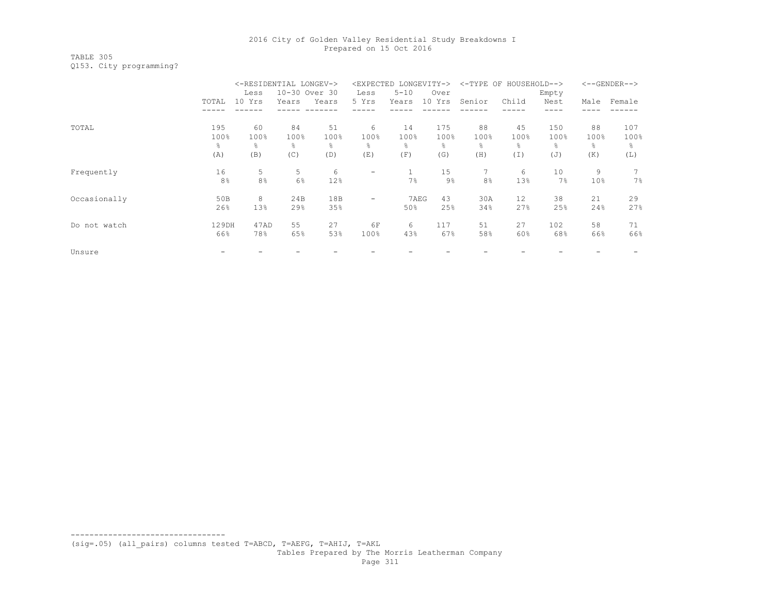TABLE 305 Q153. City programming?

|              |                 | <-RESIDENTIAL LONGEV-> |       |               |                          | <expected longevity-=""></expected> |                |                | <-TYPE OF HOUSEHOLD--> |       |                 | $<-$ -GENDER--> |
|--------------|-----------------|------------------------|-------|---------------|--------------------------|-------------------------------------|----------------|----------------|------------------------|-------|-----------------|-----------------|
|              |                 | Less                   |       | 10-30 Over 30 | Less                     | $5 - 10$                            | Over           |                |                        | Empty |                 |                 |
|              | TOTAL           | 10 Yrs                 | Years | Years         | 5 Yrs                    | Years                               | 10 Yrs         | Senior         | Child                  | Nest  | Male            | Female          |
|              |                 |                        |       |               |                          |                                     |                |                |                        |       |                 |                 |
| TOTAL        | 195             | 60                     | 84    | 51            | 6                        | 14                                  | 175            | 88             | 45                     | 150   | 88              | 107             |
|              | 100%            | 100%                   | 100%  | 100%          | 100%                     | 100%                                | 100%           | 100%           | 100%                   | 100%  | 100%            | 100%            |
|              | ိင              | ⊱                      | g.    | 옹             | 욲                        | 옹                                   | $\frac{6}{10}$ | ိင             | g.                     | ႜ     | g.              | 옹               |
|              | (A)             | (B)                    | (C)   | (D)           | (E)                      | (F)                                 | (G)            | (H)            | (I)                    | (J)   | (K)             | (L)             |
| Frequently   | 16              | 5                      | 5     | 6             | $\overline{\phantom{a}}$ |                                     | 15             | 7              | 6                      | 10    | 9               |                 |
|              | 8 <sup>°</sup>  | 8 <sup>°</sup>         | 6%    | 12%           |                          | 7%                                  | $9\%$          | 8 <sup>°</sup> | 13%                    | 7%    | 10 <sup>8</sup> | 7%              |
| Occasionally | 50 <sub>B</sub> | 8                      | 24B   | 18B           | ۰                        | 7AEG                                | 43             | 30A            | 12                     | 38    | 21              | 29              |
|              | 26%             | 13%                    | 29%   | 35%           |                          | 50%                                 | 25%            | 34%            | 27%                    | 25%   | 24%             | 27%             |
| Do not watch | 129DH           | 47AD                   | 55    | 27            | 6F                       | 6                                   | 117            | 51             | 27                     | 102   | 58              | 71              |
|              | 66%             | 78%                    | 65%   | 53%           | 100%                     | 43%                                 | 67%            | 58%            | 60%                    | 68%   | 66%             | 66%             |
| Unsure       |                 |                        |       |               |                          |                                     |                |                |                        |       |                 |                 |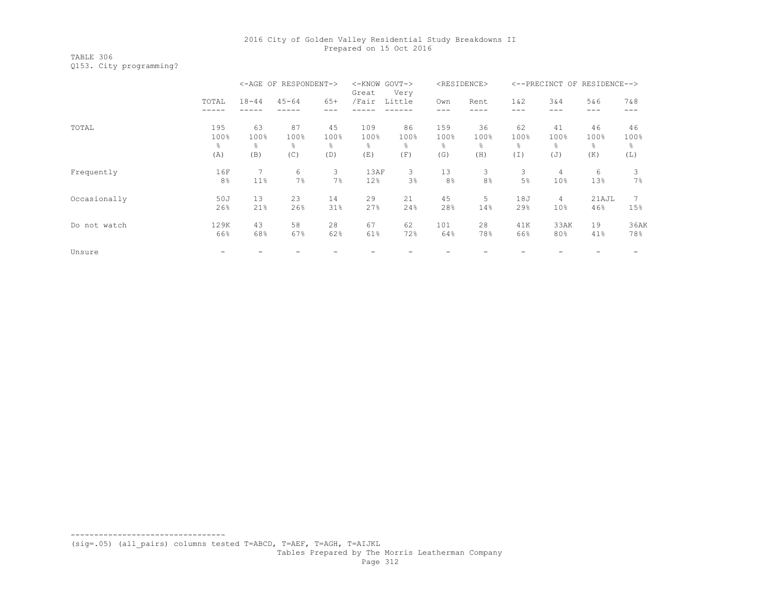TABLE 306 Q153. City programming?

|              |                |           | <-AGE OF RESPONDENT-> |       | <-KNOW GOVT-><br>Great | Very           |                | <residence></residence> |        | <--PRECINCT OF  | RESIDENCE--> |       |
|--------------|----------------|-----------|-----------------------|-------|------------------------|----------------|----------------|-------------------------|--------|-----------------|--------------|-------|
|              | TOTAL          | $18 - 44$ | $45 - 64$             | $65+$ | /Fair                  | Little         | Own            | Rent                    | $1\&2$ | 3&4             | 5&6          | 7 & 8 |
|              |                |           |                       |       |                        |                |                |                         | ---    |                 | ---          | ---   |
| TOTAL        | 195            | 63        | 87                    | 45    | 109                    | 86             | 159            | 36                      | 62     | 41              | 46           | 46    |
|              | 100%           | 100%      | 100%                  | 100%  | 100%                   | 100%           | 100%           | 100%                    | 100%   | 100%            | 100%         | 100%  |
|              | g.             | 옹         | ٩,                    | g.    | $\frac{6}{10}$         | $\frac{6}{10}$ | g.             | ⊱                       | ⊱      | 욲               | 옹            | ⊱     |
|              | (A)            | (B)       | (C)                   | (D)   | (E)                    | (F)            | (G)            | (H)                     | (I)    | (J)             | (K)          | (L)   |
| Frequently   | 16F            |           | 6                     | 3     | 13AF                   | 3              | 13             | 3                       | 3      | $\overline{4}$  | 6            | 3     |
|              | 8 <sup>°</sup> | 11%       | 7%                    | 7%    | 12%                    | 3%             | 8 <sup>°</sup> | 8 <sup>°</sup>          | 5%     | 10 <sup>°</sup> | 13%          | 7%    |
| Occasionally | 50J            | 13        | 23                    | 14    | 29                     | 21             | 45             | 5.                      | 18J    | $\overline{4}$  | 21AJL        | 7     |
|              | 26%            | 21%       | 26%                   | 31%   | 27%                    | 24%            | 28%            | 14%                     | 29%    | 10%             | 46%          | 15%   |
| Do not watch | 129K           | 43        | 58                    | 28    | 67                     | 62             | 101            | 28                      | 41K    | 33AK            | 19           | 36AK  |
|              | 66%            | 68%       | 67%                   | 62%   | 61%                    | 72%            | 64%            | 78%                     | 66%    | 80%             | 41%          | 78%   |
| Unsure       |                |           |                       |       |                        |                |                |                         |        |                 |              |       |

--------------------------------- (sig=.05) (all\_pairs) columns tested T=ABCD, T=AEF, T=AGH, T=AIJKL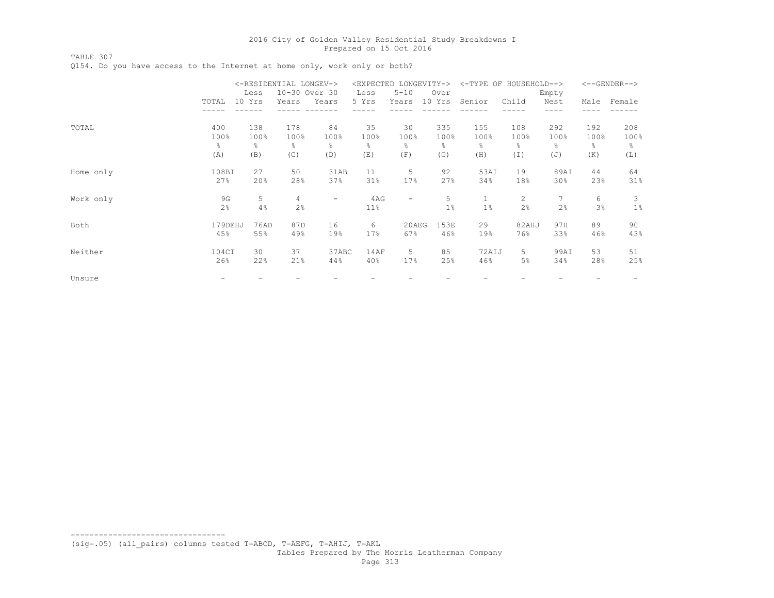TABLE 307

Q154. Do you have access to the Internet at home only, work only or both?

|           |                   | Less             | <-RESIDENTIAL LONGEV-><br>10-30 Over 30 |                   | Less            | <expected longevity-=""><br/><math>5 - 10</math></expected> | Over              |                    | <-TYPE OF HOUSEHOLD-->      | Empty            |                   | $<-$ -GENDER-->  |
|-----------|-------------------|------------------|-----------------------------------------|-------------------|-----------------|-------------------------------------------------------------|-------------------|--------------------|-----------------------------|------------------|-------------------|------------------|
|           | TOTAL             | 10 Yrs           | Years                                   | Years             | 5 Yrs           | Years                                                       | 10 Yrs            | Senior             | Child                       | Nest             | Male              | Female           |
| TOTAL     | 400<br>100%<br>g. | 138<br>100%<br>⊱ | 178<br>100%<br>g.                       | 84<br>100%<br>옹   | 35<br>100%<br>⊱ | 30<br>100%<br>န္                                            | 335<br>100%<br>န္ | 155<br>100%<br>g.  | 108<br>100%<br>옹            | 292<br>100%<br>⊱ | 192<br>100%<br>g. | 208<br>100%<br>⊱ |
|           | (A)               | (B)              | (C)                                     | (D)               | (E)             | (F)                                                         | (G)               | (H)                | (I)                         | (J)              | (K)               | (L)              |
| Home only | 108BI<br>27%      | 27<br>20%        | 50<br>28%                               | 31AB<br>37%       | 11<br>31%       | 5<br>17%                                                    | 92<br>27%         | 53AI<br>34%        | 19<br>18%                   | 89AI<br>30%      | 44<br>23%         | 64<br>31%        |
| Work only | 9G<br>2%          | 5<br>4%          | 4<br>2%                                 | $\qquad \qquad -$ | 4AG<br>$11\%$   | $\qquad \qquad -$                                           | 5<br>1%           | $\mathbf{1}$<br>1% | $\mathbf{2}^{\prime}$<br>2% | 7<br>2%          | 6<br>3%           | 3<br>$1\%$       |
| Both      | 179DEHJ<br>45%    | 76AD<br>55%      | 87D<br>49%                              | 16<br>19%         | 6<br>17%        | 20AEG<br>67%                                                | 153E<br>46%       | 29<br>19%          | 82AHJ<br>76%                | 97H<br>33%       | 89<br>46%         | 90<br>43%        |
| Neither   | 104CI<br>26%      | 30<br>22%        | 37<br>21%                               | 37ABC<br>44%      | 14AF<br>40%     | 5<br>17%                                                    | 85<br>25%         | 72AIJ<br>46%       | 5.<br>5%                    | 99AI<br>34%      | 53<br>28%         | 51<br>25%        |
| Unsure    |                   |                  |                                         |                   |                 |                                                             |                   |                    |                             |                  |                   |                  |

--------------------------------- (sig=.05) (all\_pairs) columns tested T=ABCD, T=AEFG, T=AHIJ, T=AKL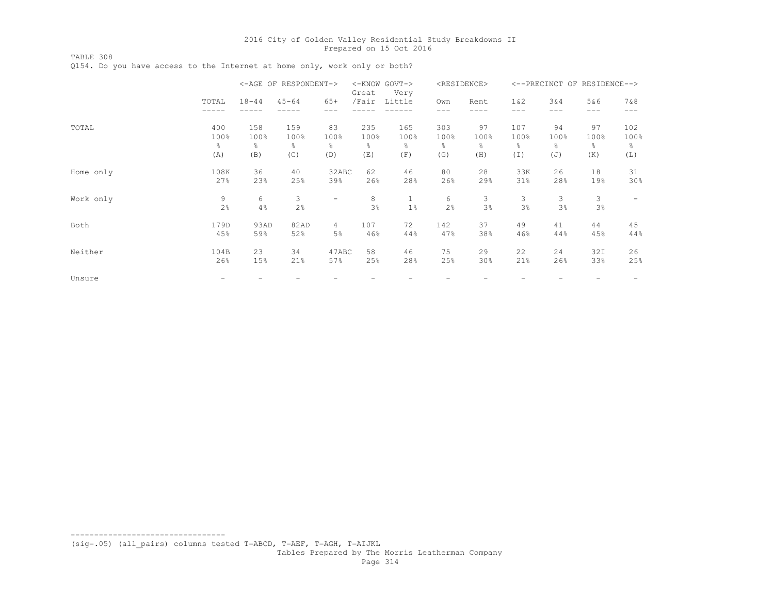TABLE 308 Q154. Do you have access to the Internet at home only, work only or both?

|           |       |           | <-AGE OF RESPONDENT-> |                          | <-KNOW GOVT-><br>Very<br>Great |              |      | <residence></residence> |        | <--PRECINCT OF RESIDENCE--> |       |       |
|-----------|-------|-----------|-----------------------|--------------------------|--------------------------------|--------------|------|-------------------------|--------|-----------------------------|-------|-------|
|           | TOTAL | $18 - 44$ | $45 - 64$             | $65+$                    | /Fair                          | Little       | Own  | Rent                    | $1\&2$ | 3&4                         | 5&6   | 7 & 8 |
|           |       |           |                       |                          |                                |              | ---  | ----                    | ---    | $---$                       | $---$ | $---$ |
| TOTAL     | 400   | 158       | 159                   | 83                       | 235                            | 165          | 303  | 97                      | 107    | 94                          | 97    | 102   |
|           | 100%  | 100%      | 100%                  | 100%                     | 100%                           | 100%         | 100% | 100%                    | 100%   | 100%                        | 100%  | 100%  |
|           | g.    | g.        | $\frac{6}{5}$         | 옹                        | ⊱                              | န္           | g.   | g.                      | ⊱      | $\frac{6}{5}$               | ိင    | ⊱     |
|           | (A)   | (B)       | (C)                   | (D)                      | (E)                            | (F)          | (G)  | (H)                     | (I)    | (J)                         | (K)   | (L)   |
| Home only | 108K  | 36        | 40                    | 32ABC                    | 62                             | 46           | 80   | 28                      | 33K    | 26                          | 18    | 31    |
|           | 27%   | 23%       | 25%                   | 39%                      | 26%                            | 28%          | 26%  | 29%                     | 31%    | 28%                         | 19%   | 30%   |
| Work only | 9     | 6         | 3                     | $\overline{\phantom{0}}$ | 8                              | $\mathbf{1}$ | 6    | 3                       | 3      | 3                           | 3     |       |
|           | 2%    | 4%        | 2%                    |                          | 3%                             | 1%           | 2%   | 3%                      | 3%     | 3%                          | 3%    |       |
| Both      | 179D  | 93AD      | 82AD                  | 4                        | 107                            | 72           | 142  | 37                      | 49     | 41                          | 44    | 45    |
|           | 45%   | 59%       | 52%                   | 5%                       | 46%                            | 44%          | 47%  | 38%                     | 46%    | 44%                         | 45%   | 44%   |
| Neither   | 104B  | 23        | 34                    | 47ABC                    | 58                             | 46           | 75   | 29                      | 22     | 24                          | 32I   | 26    |
|           | 26%   | 15%       | 21%                   | 57%                      | 25%                            | 28%          | 25%  | 30%                     | 21%    | 26%                         | 33%   | 25%   |
| Unsure    |       |           |                       |                          |                                |              |      |                         |        |                             |       |       |

--------------------------------- (sig=.05) (all\_pairs) columns tested T=ABCD, T=AEF, T=AGH, T=AIJKL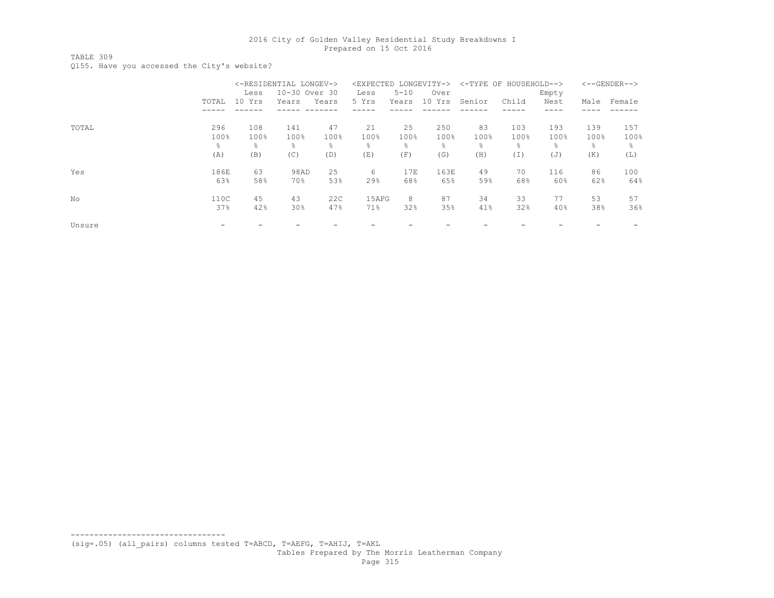TABLE 309

Q155. Have you accessed the City's website?

|        |                | <-RESIDENTIAL LONGEV-><br><expected<br>LONGEVITY-&gt;</expected<br> |               |       |       |          | <-TYPE OF HOUSEHOLD--> |                | $<-$ -GENDER--> |       |      |        |
|--------|----------------|---------------------------------------------------------------------|---------------|-------|-------|----------|------------------------|----------------|-----------------|-------|------|--------|
|        |                | Less                                                                | 10-30 Over 30 |       | Less  | $5 - 10$ | Over                   |                |                 | Empty |      |        |
|        | TOTAL          | 10 Yrs                                                              | Years         | Years | 5 Yrs | Years    | 10 Yrs                 | Senior         | Child           | Nest  | Male | Female |
|        |                |                                                                     |               |       |       |          |                        |                |                 |       |      |        |
| TOTAL  | 296            | 108                                                                 | 141           | 47    | 21    | 25       | 250                    | 83             | 103             | 193   | 139  | 157    |
|        | 100%           | 100%                                                                | 100%          | 100%  | 100%  | 100%     | 100%                   | 100%           | 100%            | 100%  | 100% | 100%   |
|        | $\frac{6}{10}$ | ⊱                                                                   | ⊱             | 욲     | ⊱     | ÷.       | $\frac{6}{10}$         | $\frac{6}{10}$ | g.              | ⊱     | ÷.   | ⊱      |
|        | (A)            | (B)                                                                 | (C)           | (D)   | (E)   | (F)      | (G)                    | (H)            | (I)             | (J)   | (K)  | (L)    |
| Yes    | 186E           | 63                                                                  | 98AD          | 25    | 6     | 17E      | 163E                   | 49             | 70              | 116   | 86   | 100    |
|        | 63%            | 58%                                                                 | 70%           | 53%   | 29%   | 68%      | 65%                    | 59%            | 68%             | 60%   | 62%  | 64%    |
| No     | 110C           | 45                                                                  | 43            | 22C   | 15AFG | 8        | 87                     | 34             | 33              | 77    | 53   | 57     |
|        | 37%            | 42%                                                                 | 30%           | 47%   | 71%   | 32%      | 35%                    | 41%            | 32%             | 40%   | 38%  | 36%    |
| Unsure |                |                                                                     |               |       |       |          |                        |                |                 |       |      |        |

(sig=.05) (all\_pairs) columns tested T=ABCD, T=AEFG, T=AHIJ, T=AKL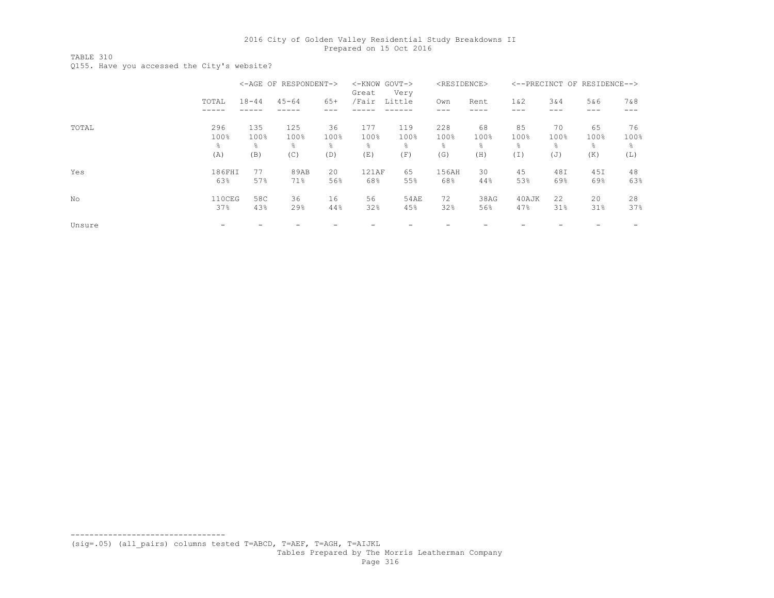TABLE 310

Q155. Have you accessed the City's website?

|        |        |           | <-AGE OF RESPONDENT-> |       | <-KNOW GOVT-><br>Great<br>Very |        | <residence></residence> |                |       |      | <--PRECINCT OF RESIDENCE--> |      |
|--------|--------|-----------|-----------------------|-------|--------------------------------|--------|-------------------------|----------------|-------|------|-----------------------------|------|
|        | TOTAL  | $18 - 44$ | $45 - 64$             | $65+$ | /Fair                          | Little | Own                     | Rent           | 1 & 2 | 3&4  | 5&6<br>---                  | 7&8  |
| TOTAL  | 296    | 135       | 125                   | 36    | 177                            | 119    | 228                     | 68             | 85    | 70   | 65                          | 76   |
|        | 100%   | 100%      | 100%                  | 100%  | 100%                           | 100%   | 100%                    | 100%           | 100%  | 100% | 100%                        | 100% |
|        | ÷,     | 옹         | ⊱                     | 옹     | ⊱                              | ÷,     | $\frac{6}{10}$          | $\frac{6}{10}$ | 옹     | ⊱    | $\approx$                   | g.   |
|        | (A)    | (B)       | (C)                   | (D)   | (E)                            | (F)    | (G)                     | (H)            | (I)   | (J)  | (K)                         | (L)  |
| Yes    | 186FHI | 77        | 89AB                  | 20    | 121AF                          | 65     | 156AH                   | 30             | 45    | 48I  | 45I                         | 48   |
|        | 63%    | 57%       | 71%                   | 56%   | 68%                            | 55%    | 68%                     | 44%            | 53%   | 69%  | 69%                         | 63%  |
| No     | 110CEG | 58C       | 36                    | 16    | 56                             | 54AE   | 72                      | 38AG           | 40AJK | 22   | 20                          | 28   |
|        | 37%    | 43%       | 29%                   | 44%   | 32%                            | 45%    | 32%                     | 56%            | 47%   | 31%  | 31%                         | 37%  |
| Unsure |        |           |                       |       |                                |        |                         |                |       |      |                             |      |

--------------------------------- (sig=.05) (all\_pairs) columns tested T=ABCD, T=AEF, T=AGH, T=AIJKL

Tables Prepared by The Morris Leatherman Company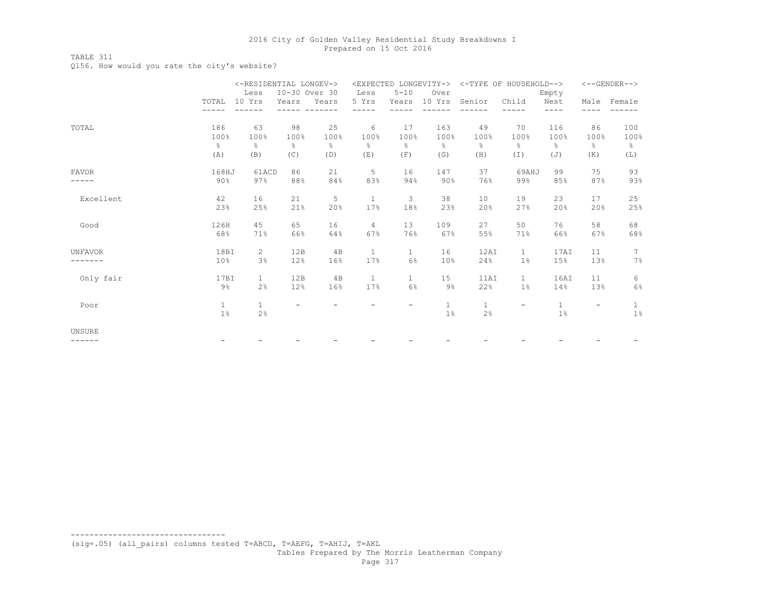TABLE 311

Q156. How would you rate the city's website?

|                | <-RESIDENTIAL LONGEV-> |                       |               |               | <expected longevity-=""></expected> |              |                 |              | <-TYPE OF HOUSEHOLD--> |               | $<-$ -GENDER-->          |               |  |
|----------------|------------------------|-----------------------|---------------|---------------|-------------------------------------|--------------|-----------------|--------------|------------------------|---------------|--------------------------|---------------|--|
|                |                        | Less                  | 10-30 Over 30 |               | Less                                | $5 - 10$     | Over            |              |                        | Empty         |                          |               |  |
|                | TOTAL                  | 10 Yrs                | Years         | Years         | 5 Yrs                               | Years        | 10 Yrs          | Senior       | Child                  | Nest          | Male                     | Female        |  |
|                |                        |                       |               |               |                                     |              |                 |              |                        | ----          |                          |               |  |
| TOTAL          | 186                    | 63                    | 98            | 25            | 6                                   | 17           | 163             | 49           | 70                     | 116           | 86                       | 100           |  |
|                | 100%                   | 100%                  | 100%          | 100%          | 100%                                | 100%         | 100%            | 100%         | 100%                   | 100%          | 100%                     | 100%          |  |
|                | g.                     | ÷,                    | $\frac{6}{6}$ | $\frac{6}{6}$ | $\frac{6}{6}$                       | g            | $\approx$       | 옹            | g.                     | $\frac{6}{5}$ | $\frac{6}{6}$            | $\frac{6}{6}$ |  |
|                | (A)                    | (B)                   | (C)           | (D)           | (E)                                 | (F)          | (G)             | (H)          | (I)                    | (J)           | (K)                      | (L)           |  |
| <b>FAVOR</b>   | 168HJ                  | 61ACD                 | 86            | 21            | 5                                   | 16           | 147             | 37           | 69AHJ                  | 99            | 75                       | 93            |  |
|                | 90%                    | 97%                   | 88%           | 84%           | 83%                                 | 94%          | 90%             | 76%          | 99%                    | 85%           | 87%                      | 93%           |  |
| Excellent      | 42                     | 16                    | 21            | 5             | $\mathbf{1}$                        | 3            | 38              | 10           | 19                     | 23            | 17                       | 25            |  |
|                | 23%                    | 25%                   | 21%           | 20%           | 17%                                 | 18%          | 23%             | 20%          | 27%                    | 20%           | 20%                      | 25%           |  |
| Good           | 126H                   | 45                    | 65            | 16            | 4                                   | 13           | 109             | 27           | 50                     | 76            | 58                       | 68            |  |
|                | 68%                    | 71%                   | 66%           | 64%           | 67%                                 | 76%          | 67%             | 55%          | 71%                    | 66%           | 67%                      | 68%           |  |
| <b>UNFAVOR</b> | 18BI                   | $\mathbf{2}^{\prime}$ | 12B           | 4B            | $\mathbf{1}$                        | $\mathbf{1}$ | 16              | 12AI         | $\mathbf{1}$           | 17AI          | 11                       | 7             |  |
|                | 10%                    | 3%                    | 12%           | 16%           | 17%                                 | 6%           | 10 <sup>°</sup> | 24%          | 1%                     | 15%           | 13%                      | 7%            |  |
| Only fair      | 17BI                   | $\mathbf{1}$          | 12B           | 4B            | $\mathbf{1}$                        | $\mathbf{1}$ | 15              | 11AI         | $\mathbf{1}$           | 16AI          | 11                       | 6             |  |
|                | $9\%$                  | 2 <sup>°</sup>        | 12%           | 16%           | 17%                                 | 6%           | $9\%$           | 22%          | $1\%$                  | 14%           | 13%                      | 6%            |  |
| Poor           | $\mathbf{1}$           | $\mathbf{1}$          |               |               |                                     |              | $\mathbf{1}$    | $\mathbf{1}$ |                        | $\mathbf{1}$  | $\overline{\phantom{m}}$ | $\mathbf{1}$  |  |
|                | 1%                     | 2%                    |               |               |                                     |              | $1\%$           | 2%           |                        | 1%            |                          | $1\%$         |  |
| <b>UNSURE</b>  |                        |                       |               |               |                                     |              |                 |              |                        |               |                          |               |  |
| .              |                        |                       |               |               |                                     |              |                 |              |                        |               |                          |               |  |

--------------------------------- (sig=.05) (all\_pairs) columns tested T=ABCD, T=AEFG, T=AHIJ, T=AKL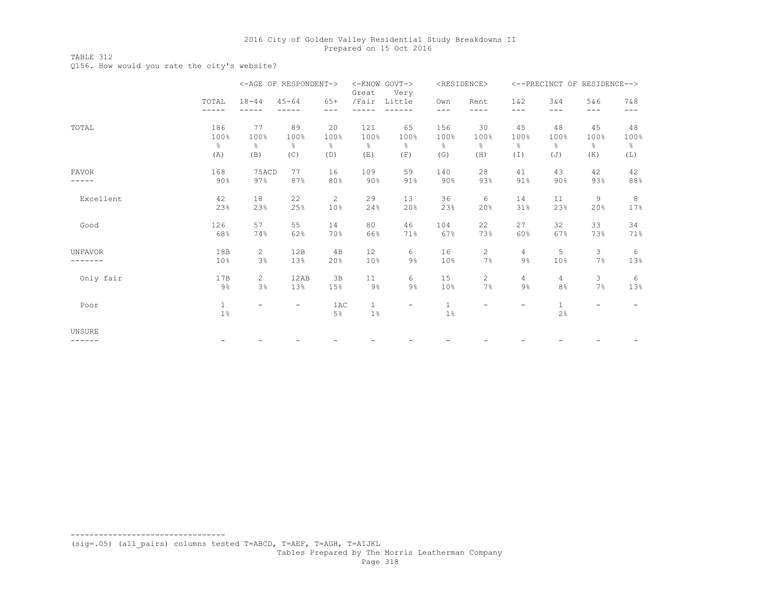TABLE 312

Q156. How would you rate the city's website?

|                  |                       |                          | <-AGE OF RESPONDENT-> |                       | <-KNOW GOVT-><br>Great | Very                     |                    | <residence></residence>  |                |                    | <--PRECINCT OF RESIDENCE--> |               |
|------------------|-----------------------|--------------------------|-----------------------|-----------------------|------------------------|--------------------------|--------------------|--------------------------|----------------|--------------------|-----------------------------|---------------|
|                  | TOTAL<br>-----        | $18 - 44$                | $45 - 64$             | $65+$<br>$---$        | /Fair                  | Little<br>----           | Own<br>$---$       | Rent<br>$- - - -$        | 1 & 2<br>$---$ | 3&4<br>$---$       | 5&6<br>$- - -$              | 7&8<br>$---$  |
| TOTAL            | 186                   | 77                       | 89                    | 20                    | 121                    | 65                       | 156                | 30                       | 45             | 48                 | 45                          | 48            |
|                  | 100%                  | 100%                     | 100%                  | 100%                  | 100%                   | 100%                     | 100%               | 100%                     | 100%           | 100%               | 100%                        | 100%          |
|                  | g.                    | $\frac{6}{6}$            | $\frac{8}{6}$         | $\frac{6}{6}$         | $\frac{6}{6}$          | $\frac{6}{6}$            | $\frac{6}{6}$      | $\%$                     | $\frac{6}{6}$  | $\frac{6}{6}$      | $\%$                        | $\frac{6}{5}$ |
|                  | (A)                   | (B)                      | (C)                   | (D)                   | (E)                    | (F)                      | (G)                | (H)                      | (I)            | (J)                | (K)                         | (L)           |
| <b>FAVOR</b>     | 168                   | 75ACD                    | 77                    | 16                    | 109                    | 59                       | 140                | 28                       | 41             | 43                 | 42                          | 42            |
|                  | 90%                   | 97%                      | 87%                   | 80%                   | 90%                    | 91%                      | 90%                | 93%                      | 91%            | 90%                | 93%                         | 88%           |
| Excellent        | 42                    | 18                       | 22                    | $\mathbf{2}^{\prime}$ | 29                     | 13                       | 36                 | 6                        | 14             | 11                 | 9                           | 8             |
|                  | 23%                   | 23%                      | 25%                   | 10%                   | 24%                    | 20%                      | 23%                | 20%                      | 31%            | 23%                | 20%                         | 17%           |
| Good             | 126                   | 57                       | 55                    | 14                    | 80                     | 46                       | 104                | 22                       | 27             | 32                 | 33                          | 34            |
|                  | 68%                   | 74%                      | 62%                   | 70%                   | 66%                    | 71%                      | 67%                | 73%                      | 60%            | 67%                | 73%                         | 71%           |
| <b>UNFAVOR</b>   | 18B                   | $\mathbf{2}^{\prime}$    | 12B                   | 4B                    | 12                     | 6                        | 16                 | $\mathbf{2}$             | 4              | 5                  | 3                           | 6             |
| $---$            | 10%                   | 3%                       | 13%                   | 20%                   | 10%                    | 9%                       | 10%                | 7%                       | $9\%$          | 10%                | 7%                          | 13%           |
| Only fair        | 17B                   | $\overline{2}$           | 12AB                  | 3B                    | 11                     | 6                        | 15                 | $\mathbf{2}^{\prime}$    | 4              | 4                  | 3                           | 6             |
|                  | $9\%$                 | 3%                       | 13%                   | 15%                   | 9%                     | $9\%$                    | 10%                | 7%                       | $9\%$          | 8%                 | 7%                          | 13%           |
| Poor             | $\mathbf{1}$<br>$1\%$ | $\overline{\phantom{a}}$ | -                     | 1AC<br>5%             | $\mathbf{1}$<br>$1\%$  | $\overline{\phantom{m}}$ | $\mathbf{1}$<br>1% | $\overline{\phantom{m}}$ |                | $\mathbf{1}$<br>2% | $\overline{\phantom{a}}$    |               |
| UNSURE<br>------ |                       |                          |                       |                       |                        |                          |                    |                          |                |                    |                             |               |

--------------------------------- (sig=.05) (all\_pairs) columns tested T=ABCD, T=AEF, T=AGH, T=AIJKL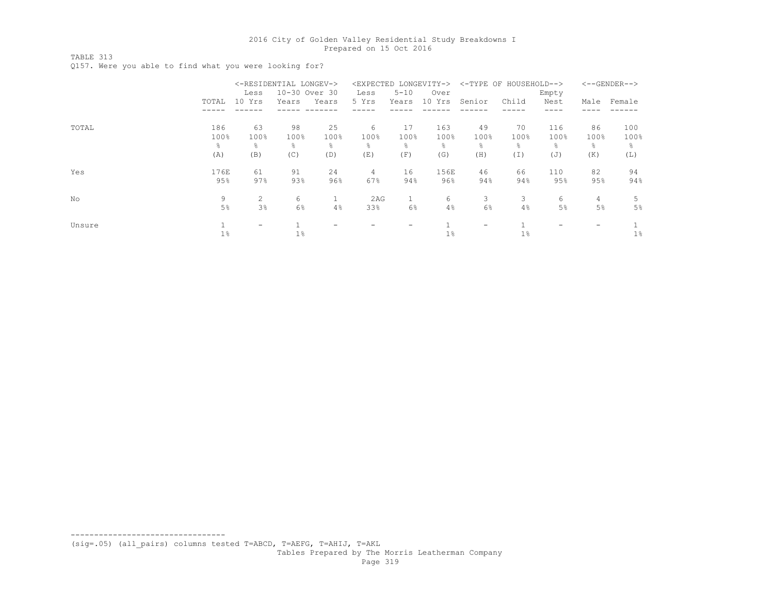TABLE 313

Q157. Were you able to find what you were looking for?

|        |       | <-RESIDENTIAL LONGEV->   |               |       | <expected longevity-=""></expected> |                          | <-TYPE OF HOUSEHOLD--> |                          |       | $<-$ -GENDER--> |      |        |
|--------|-------|--------------------------|---------------|-------|-------------------------------------|--------------------------|------------------------|--------------------------|-------|-----------------|------|--------|
|        |       | Less                     | 10-30 Over 30 |       | Less                                | $5 - 10$                 | Over                   |                          |       | Empty           |      |        |
|        | TOTAL | 10 Yrs                   | Years         | Years | 5 Yrs                               | Years                    | 10 Yrs                 | Senior                   | Child | Nest            | Male | Female |
|        |       |                          |               |       |                                     |                          |                        |                          |       |                 |      |        |
| TOTAL  | 186   | 63                       | 98            | 25    | 6                                   | 17                       | 163                    | 49                       | 70    | 116             | 86   | 100    |
|        | 100%  | 100%                     | 100%          | 100%  | 100%                                | 100%                     | 100%                   | 100%                     | 100%  | 100%            | 100% | 100%   |
|        | ÷,    | g.                       | ⊱             | ⊱     | ⊱                                   | ÷,                       | $\frac{6}{10}$         | $\frac{6}{10}$           | 옹     | ⊱               | g.   | 옹      |
|        | (A)   | (B)                      | (C)           | (D)   | (E)                                 | (F)                      | (G)                    | (H)                      | (I)   | (J)             | (K)  | (L)    |
| Yes    | 176E  | 61                       | 91            | 24    | 4                                   | 16                       | 156E                   | 46                       | 66    | 110             | 82   | 94     |
|        | 95%   | 97%                      | 93%           | 96%   | 67%                                 | 94%                      | 96%                    | 94%                      | 94%   | 95%             | 95%  | 94%    |
| No     | 9     | 2                        | 6             |       | 2AG                                 | $\mathbf{1}$             | 6                      | 3                        | 3     | 6               | 4    | 5      |
|        | 5%    | 3%                       | 6%            | 4%    | 33%                                 | 6%                       | 4%                     | 6%                       | 4%    | $5\%$           | 5%   | 5%     |
| Unsure |       | $\overline{\phantom{0}}$ |               |       |                                     | $\overline{\phantom{0}}$ |                        | $\overline{\phantom{0}}$ |       |                 |      |        |
|        | 1%    |                          | $1\%$         |       |                                     |                          | $1\%$                  |                          | $1\%$ |                 |      | $1\%$  |

(sig=.05) (all\_pairs) columns tested T=ABCD, T=AEFG, T=AHIJ, T=AKL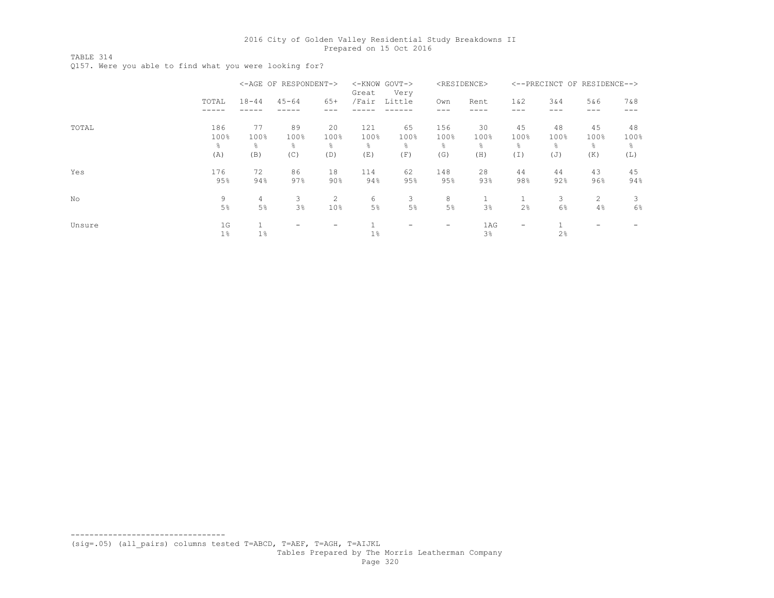TABLE 314

Q157. Were you able to find what you were looking for?

|        |                |           | <-AGE OF RESPONDENT-> |                       | <-KNOW GOVT-><br>Very<br>Great |        |                | <residence></residence> |        | <--PRECINCT OF RESIDENCE--> |                |       |
|--------|----------------|-----------|-----------------------|-----------------------|--------------------------------|--------|----------------|-------------------------|--------|-----------------------------|----------------|-------|
|        | TOTAL          | $18 - 44$ | $45 - 64$             | $65+$                 | /Fair                          | Little | Own            | Rent                    | $1\&2$ | 3&4                         | 5&6            | 7&8   |
|        |                |           |                       |                       |                                |        |                |                         |        |                             |                |       |
| TOTAL  | 186            | 77        | 89                    | 20                    | 121                            | 65     | 156            | 30                      | 45     | 48                          | 45             | 48    |
|        | 100%           | 100%      | 100%                  | 100%                  | 100%                           | 100%   | 100%           | 100%                    | 100%   | 100%                        | 100%           | 100%  |
|        | $\frac{6}{10}$ | g.        | ٩,                    | 옹                     | ⊱                              | ⊱      | $\frac{6}{10}$ | g.                      | 옹      | ٩,                          | g.             | g.    |
|        | (A)            | (B)       | (C)                   | (D)                   | (E)                            | (F)    | (G)            | (H)                     | (I)    | (J)                         | (K)            | (L)   |
| Yes    | 176            | 72        | 86                    | 18                    | 114                            | 62     | 148            | 28                      | 44     | 44                          | 43             | 45    |
|        | 95%            | 94%       | 97%                   | 90%                   | 94%                            | 95%    | 95%            | 93%                     | 98%    | 92%                         | 96%            | 94%   |
| No     | 9              | 4         | 3                     | $\mathbf{2}^{\prime}$ | 6                              | 3      | 8              | 1                       |        | 3                           | $\overline{2}$ | 3     |
|        | 5%             | 5%        | 3%                    | 10 <sup>°</sup>       | 5%                             | 5%     | 5%             | 3%                      | 2%     | 6%                          | 4%             | $6\%$ |
| Unsure | 1G             |           |                       |                       |                                | ۰      | -              | 1AG                     | -      | 1                           |                |       |
|        | $1\%$          | 1%        |                       |                       | $1\%$                          |        |                | 3%                      |        | 2%                          |                |       |

(sig=.05) (all\_pairs) columns tested T=ABCD, T=AEF, T=AGH, T=AIJKL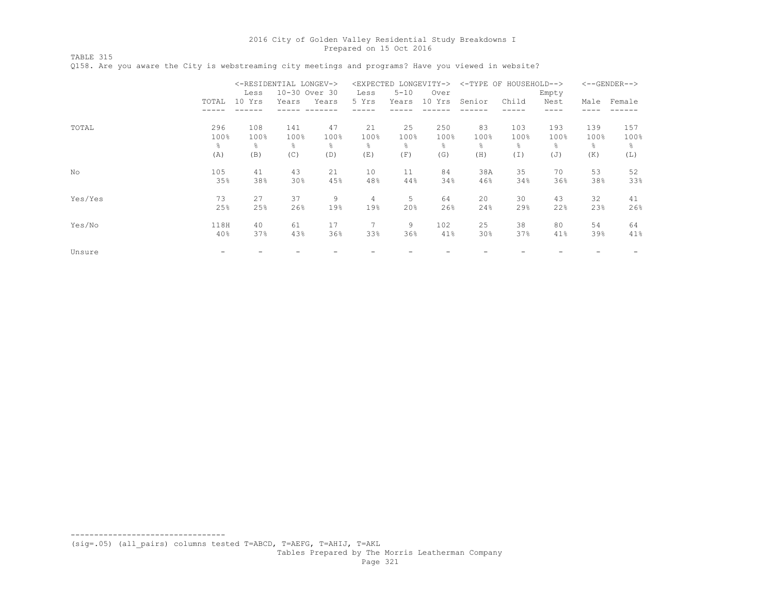TABLE 315

|         |       | <-RESIDENTIAL LONGEV-> | <expected longevity-=""></expected> |       |       |          | <-TYPE OF HOUSEHOLD--> |        | $<-$ -GENDER--> |       |      |        |
|---------|-------|------------------------|-------------------------------------|-------|-------|----------|------------------------|--------|-----------------|-------|------|--------|
|         |       | Less                   | 10-30 Over 30                       |       | Less  | $5 - 10$ | Over                   |        |                 | Empty |      |        |
|         | TOTAL | 10 Yrs                 | Years                               | Years | 5 Yrs | Years    | 10 Yrs                 | Senior | Child           | Nest  | Male | Female |
|         |       |                        |                                     |       |       |          |                        |        |                 |       |      |        |
| TOTAL   | 296   | 108                    | 141                                 | 47    | 21    | 25       | 250                    | 83     | 103             | 193   | 139  | 157    |
|         | 100%  | 100%                   | 100%                                | 100%  | 100%  | 100%     | 100%                   | 100%   | 100%            | 100%  | 100% | 100%   |
|         | g.    | ⊱                      | g.                                  | 옹     | ⊱     | g.       | 욲                      | g.     | ⊱               | 욲     | g.   | 옹      |
|         | (A)   | (B)                    | (C)                                 | (D)   | (E)   | (F)      | (G)                    | (H)    | (I)             | (J)   | (K)  | (L)    |
| No      | 105   | 41                     | 43                                  | 21    | 10    | 11       | 84                     | 38A    | 35              | 70    | 53   | 52     |
|         | 35%   | 38%                    | 30%                                 | 45%   | 48%   | 44%      | 34%                    | 46%    | 34%             | 36%   | 38%  | 33%    |
| Yes/Yes | 73    | 27                     | 37                                  | 9     | 4     | 5        | 64                     | 20     | 30              | 43    | 32   | 41     |
|         | 25%   | 25%                    | 26%                                 | 19%   | 19%   | 20%      | 26%                    | 24%    | 29%             | 22%   | 23%  | 26%    |
| Yes/No  | 118H  | 40                     | 61                                  | 17    | 7     | 9        | 102                    | 25     | 38              | 80    | 54   | 64     |
|         | 40%   | 37%                    | 43%                                 | 36%   | 33%   | 36%      | 41%                    | 30%    | 37%             | 41%   | 39%  | 41%    |
| Unsure  |       |                        |                                     |       |       |          |                        |        |                 |       |      |        |

Q158. Are you aware the City is webstreaming city meetings and programs? Have you viewed in website?

(sig=.05) (all\_pairs) columns tested T=ABCD, T=AEFG, T=AHIJ, T=AKL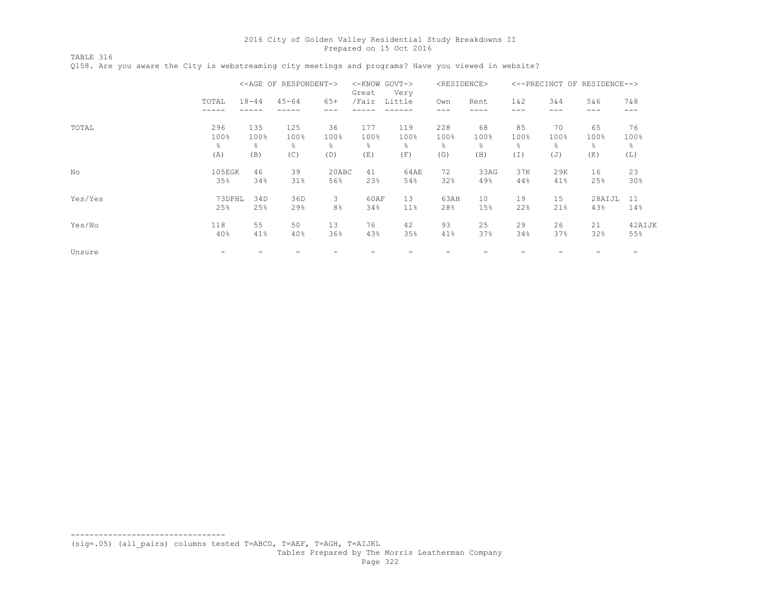TABLE 316 Q158. Are you aware the City is webstreaming city meetings and programs? Have you viewed in website?

|         |        | <-AGE OF RESPONDENT-> |           |       | $<$ - $K$ NOW<br>GOVT-><br>Very<br>Great |        | <residence></residence> |      | <--PRECINCT OF RESIDENCE--> |            |            |            |
|---------|--------|-----------------------|-----------|-------|------------------------------------------|--------|-------------------------|------|-----------------------------|------------|------------|------------|
|         | TOTAL  | $18 - 44$             | $45 - 64$ | $65+$ | /Fair                                    | Little | Own                     | Rent | 1 & 2<br>---                | 3&4<br>--- | 5&6<br>--- | 7&8<br>--- |
|         |        |                       |           |       |                                          |        |                         |      |                             |            |            |            |
| TOTAL   | 296    | 135                   | 125       | 36    | 177                                      | 119    | 228                     | 68   | 85                          | 70         | 65         | 76         |
|         | 100%   | 100%                  | 100%      | 100%  | 100%                                     | 100%   | 100%                    | 100% | 100%                        | 100%       | 100%       | 100%       |
|         | g.     | ⊱                     | g.        | g.    | ⊱                                        | g.     | 옹                       | g.   | 옹                           | 옹          | ိင         | ိင         |
|         | (A)    | (B)                   | (C)       | (D)   | (E)                                      | (F)    | (G)                     | (H)  | (T)                         | (J)        | (K)        | (L)        |
| No      | 105EGK | 46                    | 39        | 20ABC | 41                                       | 64AE   | 72                      | 33AG | 37K                         | 29K        | 16         | 23         |
|         | 35%    | 34%                   | 31%       | 56%   | 23%                                      | 54%    | 32%                     | 49%  | 44%                         | 41%        | 25%        | 30%        |
| Yes/Yes | 73DFHL | 34D                   | 36D       | 3     | 60AF                                     | 13     | 63AH                    | 10   | 19                          | 15         | 28AIJL     | 11         |
|         | 25%    | 25%                   | 29%       | 8%    | 34%                                      | 11%    | 28%                     | 15%  | 22%                         | 21%        | 43%        | 14%        |
| Yes/No  | 118    | 55                    | 50        | 13    | 76                                       | 42     | 93                      | 25   | 29                          | 26         | 21         | 42AIJK     |
|         | 40%    | 41%                   | 40%       | 36%   | 43%                                      | 35%    | 41%                     | 37%  | 34%                         | 37%        | 32%        | 55%        |
| Unsure  |        |                       |           |       |                                          |        |                         |      |                             |            |            |            |

(sig=.05) (all\_pairs) columns tested T=ABCD, T=AEF, T=AGH, T=AIJKL Tables Prepared by The Morris Leatherman Company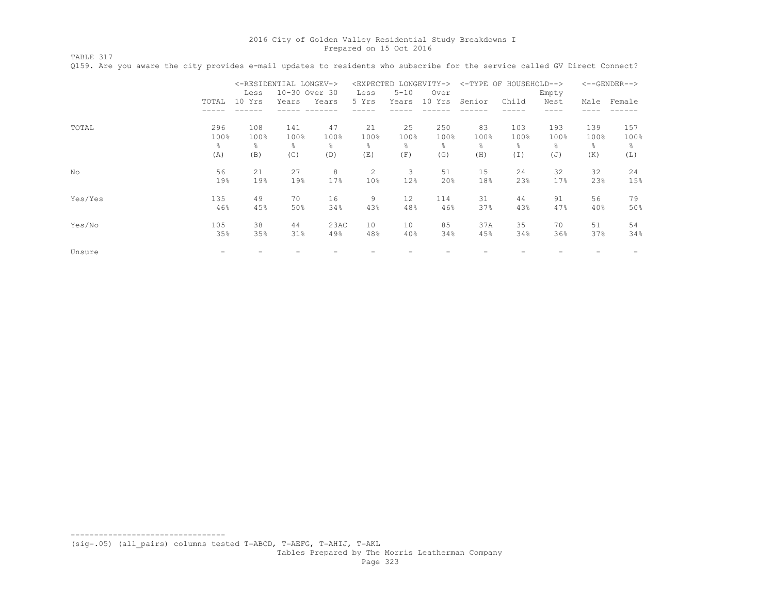TABLE 317

Q159. Are you aware the city provides e-mail updates to residents who subscribe for the service called GV Direct Connect?

|         |           | <-RESIDENTIAL LONGEV-> |               |       | <expected longevity-=""></expected> |          |                | <-TYPE OF HOUSEHOLD--> |       |       | $<-$ -GENDER--> |        |  |
|---------|-----------|------------------------|---------------|-------|-------------------------------------|----------|----------------|------------------------|-------|-------|-----------------|--------|--|
|         |           | Less                   | 10-30 Over 30 |       | Less                                | $5 - 10$ | Over           |                        |       | Empty |                 |        |  |
|         | TOTAL     | 10 Yrs                 | Years         | Years | 5 Yrs                               | Years    | 10 Yrs         | Senior                 | Child | Nest  | Male            | Female |  |
|         |           |                        |               |       |                                     |          |                |                        |       |       |                 |        |  |
| TOTAL   | 296       | 108                    | 141           | 47    | 21                                  | 25       | 250            | 83                     | 103   | 193   | 139             | 157    |  |
|         | 100%      | 100%                   | 100%          | 100%  | 100%                                | 100%     | 100%           | 100%                   | 100%  | 100%  | 100%            | 100%   |  |
|         | $\approx$ | ိင                     | ⊱             | 옹     | ⊱                                   | 옹        | $\frac{6}{10}$ | g.                     | g.    | g.    | g.              | ိင     |  |
|         | (A)       | (B)                    | (C)           | (D)   | (E)                                 | (F)      | (G)            | (H)                    | (I)   | (J)   | (K)             | (L)    |  |
| No      | 56        | 21                     | 27            | 8     | 2                                   | 3        | 51             | 15                     | 24    | 32    | 32              | 24     |  |
|         | 19%       | 19%                    | 19%           | 17%   | 10%                                 | 12%      | 20%            | 18%                    | 23%   | 17%   | 23%             | 15%    |  |
| Yes/Yes | 135       | 49                     | 70            | 16    | 9                                   | $12 \,$  | 114            | 31                     | 44    | 91    | 56              | 79     |  |
|         | 46%       | 45%                    | 50%           | 34%   | 43%                                 | 48%      | 46%            | 37%                    | 43%   | 47%   | 40%             | 50%    |  |
| Yes/No  | 105       | 38                     | 44            | 23AC  | 10                                  | 10       | 85             | 37A                    | 35    | 70    | 51              | 54     |  |
|         | 35%       | 35%                    | 31%           | 49%   | 48%                                 | 40%      | 34%            | 45%                    | 34%   | 36%   | 37%             | 34%    |  |
| Unsure  |           |                        |               |       |                                     |          |                |                        |       |       |                 |        |  |

(sig=.05) (all\_pairs) columns tested T=ABCD, T=AEFG, T=AHIJ, T=AKL

---------------------------------

Tables Prepared by The Morris Leatherman Company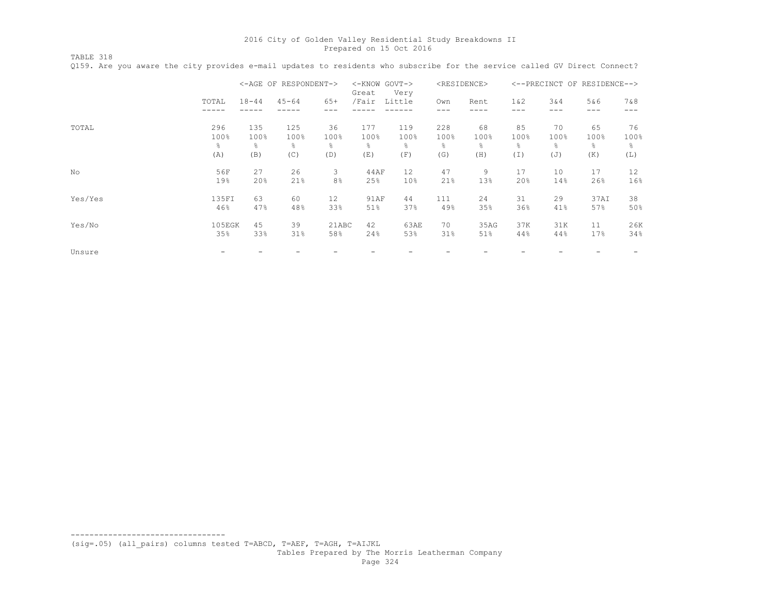TABLE 318 Q159. Are you aware the city provides e-mail updates to residents who subscribe for the service called GV Direct Connect?

|         |        | <-AGE OF RESPONDENT-> |           |       | $<$ -KNOW<br>$\text{GOVT}->$<br>Very<br>Great |                 | <residence></residence> |      | $<$ --PRECINCT<br>OF RESIDENCE--> |               |            |       |
|---------|--------|-----------------------|-----------|-------|-----------------------------------------------|-----------------|-------------------------|------|-----------------------------------|---------------|------------|-------|
|         | TOTAL  | $18 - 44$             | $45 - 64$ | $65+$ | /Fair                                         | Little          | Own                     | Rent | $1\&2$                            | 3&4           | 5&6<br>--- | 7 & 8 |
| TOTAL   | 296    | 135                   | 125       | 36    | 177                                           | 119             | 228                     | 68   | 85                                | 70            | 65         | 76    |
|         | 100%   | 100%                  | 100%      | 100%  | 100%                                          | 100%            | 100%                    | 100% | 100%                              | 100%          | 100%       | 100%  |
|         | g.     | g.                    | g.        | ⊱     | g.                                            | g.              | g.                      | g.   | ⊱                                 | $\frac{6}{5}$ | g.         | 옹     |
|         | (A)    | (B)                   | (C)       | (D)   | (E)                                           | (F)             | (G)                     | (H)  | (I)                               | (J)           | (K)        | (L)   |
| No      | 56F    | 27                    | 26        | 3     | 44AF                                          | 12              | 47                      | 9    | 17                                | 10            | 17         | 12    |
|         | 19%    | 20%                   | 21%       | 8%    | 25%                                           | 10 <sup>°</sup> | 21%                     | 13%  | 20%                               | 14%           | 26%        | 16%   |
| Yes/Yes | 135FI  | 63                    | 60        | 12    | 91AF                                          | 44              | 111                     | 24   | 31                                | 29            | 37AI       | 38    |
|         | 46%    | 47%                   | 48%       | 33%   | 51%                                           | 37%             | 49%                     | 35%  | 36%                               | 41%           | 57%        | 50%   |
| Yes/No  | 105EGK | 45                    | 39        | 21ABC | 42                                            | 63AE            | 70                      | 35AG | 37K                               | 31K           | 11         | 26K   |
|         | 35%    | 33%                   | 31%       | 58%   | 24%                                           | 53%             | 31%                     | 51%  | 44%                               | 44%           | 17%        | 34%   |
| Unsure  |        |                       |           |       |                                               |                 |                         |      |                                   |               |            |       |

(sig=.05) (all\_pairs) columns tested T=ABCD, T=AEF, T=AGH, T=AIJKL

---------------------------------

Tables Prepared by The Morris Leatherman Company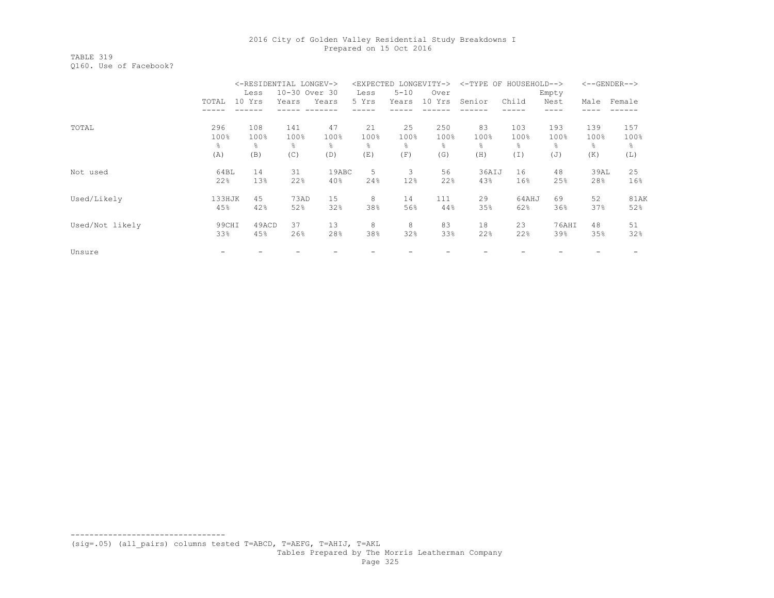TABLE 319 Q160. Use of Facebook?

|                 |        | <-RESIDENTIAL LONGEV-> |               |       |           | <expected longevity-=""></expected> |        |        | <-TYPE OF HOUSEHOLD--> |       |      | $<-$ -GENDER--> |
|-----------------|--------|------------------------|---------------|-------|-----------|-------------------------------------|--------|--------|------------------------|-------|------|-----------------|
|                 |        | Less                   | 10-30 Over 30 |       | Less      | $5 - 10$                            | Over   |        |                        | Empty |      |                 |
|                 | TOTAL  | 10 Yrs                 | Years         | Years | 5 Yrs     | Years                               | 10 Yrs | Senior | Child                  | Nest  | Male | Female          |
|                 |        |                        |               |       |           |                                     |        |        |                        |       |      |                 |
| TOTAL           | 296    | 108                    | 141           | 47    | 21        | 25                                  | 250    | 83     | 103                    | 193   | 139  | 157             |
|                 | 100%   | 100%                   | 100%          | 100%  | 100%      | 100%                                | 100%   | 100%   | 100%                   | 100%  | 100% | 100%            |
|                 | ိင     | 옹                      | 욲             | နွ    | $\approx$ | g.                                  | ⊱      | ⊱      | ⊱                      | ⊱     | g.   | ိင              |
|                 | (A)    | (B)                    | (C)           | (D)   | (E)       | (F)                                 | (G)    | (H)    | (I)                    | (J)   | (K)  | (L)             |
| Not used        | 64BL   | 14                     | 31            | 19ABC | 5         | 3                                   | 56     | 36AIJ  | 16                     | 48    | 39AL | 25              |
|                 | 22%    | 13%                    | 22%           | 40%   | 24%       | 12%                                 | 22%    | 43%    | 16%                    | 25%   | 28%  | 16%             |
| Used/Likely     | 133HJK | 45                     | 73AD          | 15    | 8         | 14                                  | 111    | 29     | 64AHJ                  | 69    | 52   | <b>81AK</b>     |
|                 | 45%    | 42%                    | 52%           | 32%   | 38%       | 56%                                 | 44%    | 35%    | 62%                    | 36%   | 37%  | 52%             |
| Used/Not likely | 99CHI  | 49ACD                  | 37            | 13    | 8         | 8                                   | 83     | 18     | 23                     | 76AHI | 48   | 51              |
|                 | 33%    | 45%                    | 26%           | 28%   | 38%       | 32%                                 | 33%    | 22%    | 22%                    | 39%   | 35%  | 32%             |
| Unsure          |        |                        |               |       |           |                                     |        |        |                        |       |      |                 |

--------------------------------- (sig=.05) (all\_pairs) columns tested T=ABCD, T=AEFG, T=AHIJ, T=AKL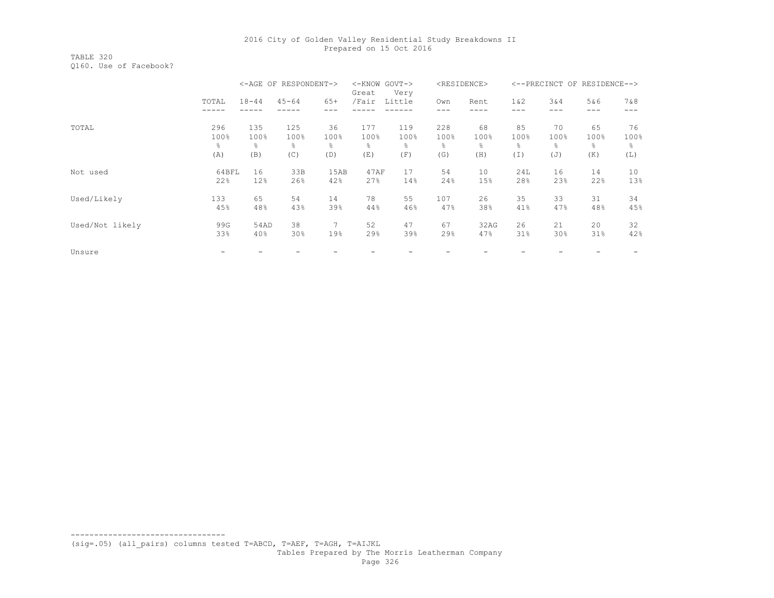TABLE 320 Q160. Use of Facebook?

|                 |       |           | <-AGE OF RESPONDENT-> |       | <-KNOW GOVT-><br>Great | Very   |      | <residence></residence> |        |      | <--PRECINCT OF RESIDENCE--> |      |
|-----------------|-------|-----------|-----------------------|-------|------------------------|--------|------|-------------------------|--------|------|-----------------------------|------|
|                 | TOTAL | $18 - 44$ | $45 - 64$             | $65+$ | /Fair                  | Little | Own  | Rent                    | $1\&2$ | 3&4  | 5&6                         | 7&8  |
|                 |       |           |                       |       |                        |        |      |                         |        |      | ---                         |      |
| TOTAL           | 296   | 135       | 125                   | 36    | 177                    | 119    | 228  | 68                      | 85     | 70   | 65                          | 76   |
|                 | 100%  | 100%      | 100%                  | 100%  | 100%                   | 100%   | 100% | 100%                    | 100%   | 100% | 100%                        | 100% |
|                 | g.    | ိင        | ႜ                     | 옹     | ⊱                      | 옹      | 욲    | š                       | g.     | ႜ    | g.                          | ⊱    |
|                 | (A)   | (B)       | (C)                   | (D)   | (E)                    | (F)    | (G)  | (H)                     | (I)    | (J)  | (K)                         | (L)  |
| Not used        | 64BFL | 16        | 33B                   | 15AB  | 47AF                   | 17     | 54   | 10                      | 24L    | 16   | 14                          | 10   |
|                 | 22%   | 12%       | 26%                   | 42%   | 27%                    | 14%    | 24%  | 15%                     | 28%    | 23%  | 22%                         | 13%  |
| Used/Likely     | 133   | 65        | 54                    | 14    | 78                     | 55     | 107  | 26                      | 35     | 33   | 31                          | 34   |
|                 | 45%   | 48%       | 43%                   | 39%   | 44%                    | 46%    | 47%  | 38%                     | 41%    | 47%  | 48%                         | 45%  |
| Used/Not likely | 99G   | 54AD      | 38                    | 7     | 52                     | 47     | 67   | 32AG                    | 26     | 21   | 20                          | 32   |
|                 | 33%   | 40%       | 30%                   | 19%   | 29%                    | 39%    | 29%  | 47%                     | 31%    | 30%  | 31%                         | 42%  |
| Unsure          |       |           |                       |       |                        |        |      |                         |        |      |                             |      |

--------------------------------- (sig=.05) (all\_pairs) columns tested T=ABCD, T=AEF, T=AGH, T=AIJKL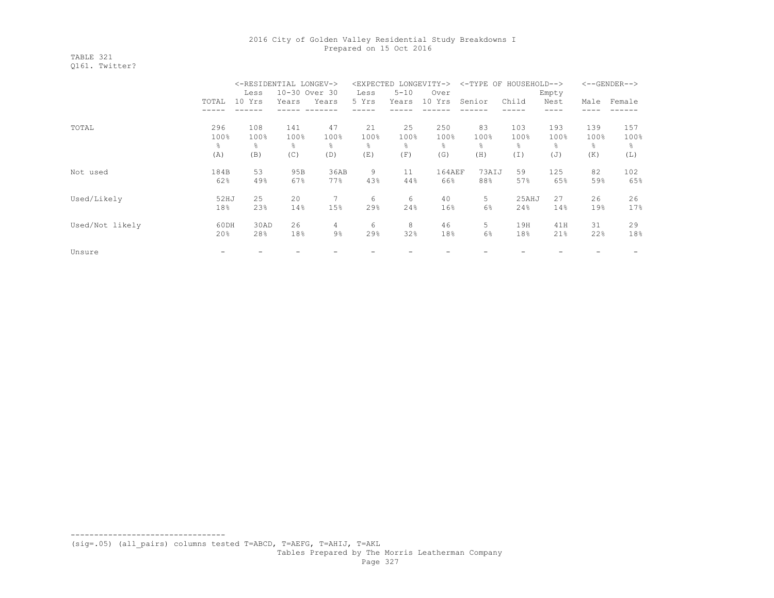TABLE 321 Q161. Twitter?

|                 |       | <-RESIDENTIAL LONGEV-> |       |               |       | <expected longevity-=""></expected> |        |        | <-TYPE OF HOUSEHOLD--> |       |      | $<-$ -GENDER--> |
|-----------------|-------|------------------------|-------|---------------|-------|-------------------------------------|--------|--------|------------------------|-------|------|-----------------|
|                 |       | Less                   |       | 10-30 Over 30 | Less  | $5 - 10$                            | Over   |        |                        | Empty |      |                 |
|                 | TOTAL | 10 Yrs                 | Years | Years         | 5 Yrs | Years                               | 10 Yrs | Senior | Child                  | Nest  | Male | Female          |
|                 |       |                        |       |               |       |                                     |        |        |                        |       |      |                 |
| TOTAL           | 296   | 108                    | 141   | 47            | 21    | 25                                  | 250    | 83     | 103                    | 193   | 139  | 157             |
|                 | 100%  | 100%                   | 100%  | 100%          | 100%  | 100%                                | 100%   | 100%   | 100%                   | 100%  | 100% | 100%            |
|                 | ိင    | ⊱                      | ÷,    | 욲             | ÷,    | ÷.                                  | 욲      | ÷,     | ိင                     | ⊱     | g.   | 옹               |
|                 | (A)   | (B)                    | (C)   | (D)           | (E)   | (F)                                 | (G)    | (H)    | $(\top)$               | (J)   | (K)  | (L)             |
| Not used        | 184B  | 53                     | 95B   | 36AB          | 9     | 11                                  | 164AEF | 73AIJ  | 59                     | 125   | 82   | 102             |
|                 | 62%   | 49%                    | 67%   | 77.8          | 43%   | 44%                                 | 66%    | 88%    | 57%                    | 65%   | 59%  | 65%             |
| Used/Likely     | 52HJ  | 25                     | 20    |               | 6     | 6                                   | 40     | 5      | 25AHJ                  | 27    | 26   | 26              |
|                 | 18%   | 23%                    | 14%   | 15%           | 29%   | 24%                                 | 16%    | 6%     | 24%                    | 14%   | 19%  | 17%             |
| Used/Not likely | 60DH  | 30AD                   | 26    | 4             | 6     | 8                                   | 46     | 5      | 19H                    | 41H   | 31   | 29              |
|                 | 20%   | 28%                    | 18%   | $9\%$         | 29%   | 32%                                 | 18%    | 6%     | 18%                    | 21%   | 22%  | 18%             |
| Unsure          |       |                        |       |               |       |                                     |        |        |                        |       |      |                 |

(sig=.05) (all\_pairs) columns tested T=ABCD, T=AEFG, T=AHIJ, T=AKL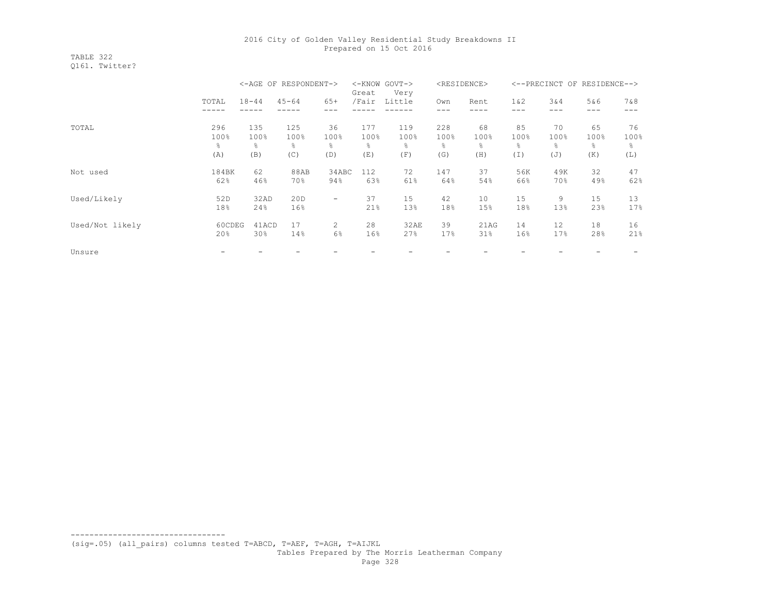TABLE 322 Q161. Twitter?

|                 |        |           | <-AGE OF RESPONDENT-> |                   | Great | <-KNOW GOVT-><br>Very |      | <residence></residence> |        | <--PRECINCT OF RESIDENCE--> |      |       |
|-----------------|--------|-----------|-----------------------|-------------------|-------|-----------------------|------|-------------------------|--------|-----------------------------|------|-------|
|                 | TOTAL  | $18 - 44$ | $45 - 64$             | $65+$             | /Fair | Little                | Own  | Rent                    | $1\&2$ | 3&4                         | 5&6  | 7 & 8 |
|                 |        |           |                       |                   |       |                       |      |                         |        |                             | ---  |       |
| TOTAL           | 296    | 135       | 125                   | 36                | 177   | 119                   | 228  | 68                      | 85     | 70                          | 65   | 76    |
|                 | 100%   | 100%      | 100%                  | 100%              | 100%  | 100%                  | 100% | 100%                    | 100%   | 100%                        | 100% | 100%  |
|                 | g.     | 옹         | $\frac{6}{10}$        | 옹                 | ⊱     | g.                    | 욲    | $\frac{6}{10}$          | g.     | ⊱                           | g.   | g.    |
|                 | (A)    | (B)       | (C)                   | (D)               | (E)   | (F)                   | (G)  | (H)                     | (I)    | (J)                         | (K)  | (L)   |
| Not used        | 184BK  | 62        | 88AB                  | 34ABC             | 112   | 72                    | 147  | 37                      | 56K    | 49K                         | 32   | 47    |
|                 | 62%    | 46%       | 70%                   | 94%               | 63%   | 61%                   | 64%  | 54%                     | 66%    | 70%                         | 49%  | 62%   |
| Used/Likely     | 52D    | 32AD      | 20D                   | $\qquad \qquad -$ | 37    | 15                    | 42   | 10                      | 15     | 9                           | 15   | 13    |
|                 | 18%    | 24%       | 16%                   |                   | 21%   | 13%                   | 18%  | 15%                     | 18%    | 13%                         | 23%  | 17%   |
| Used/Not likely | 60CDEG | 41ACD     | 17                    | $\overline{2}$    | 28    | 32AE                  | 39   | 21AG                    | 14     | 12                          | 18   | 16    |
|                 | 20%    | 30%       | 14%                   | 6%                | 16%   | 27%                   | 17%  | 31%                     | 16%    | 17%                         | 28%  | 21%   |
| Unsure          |        |           |                       |                   |       |                       |      |                         |        |                             |      |       |

(sig=.05) (all\_pairs) columns tested T=ABCD, T=AEF, T=AGH, T=AIJKL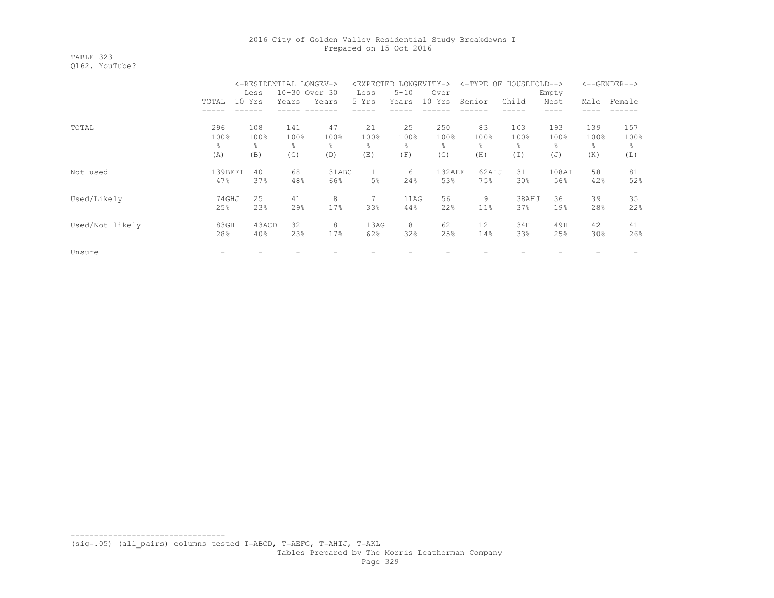TABLE 323 Q162. YouTube?

|                 |         |        | <-RESIDENTIAL LONGEV-> |       | <expected longevity-=""></expected> |          |        |        | <-TYPE OF HOUSEHOLD--> |       |      | $<-$ -GENDER--> |
|-----------------|---------|--------|------------------------|-------|-------------------------------------|----------|--------|--------|------------------------|-------|------|-----------------|
|                 |         | Less   | 10-30 Over 30          |       | Less                                | $5 - 10$ | Over   |        |                        | Empty |      |                 |
|                 | TOTAL   | 10 Yrs | Years                  | Years | 5 Yrs                               | Years    | 10 Yrs | Senior | Child                  | Nest  | Male | Female          |
|                 |         |        |                        |       |                                     |          |        |        |                        |       |      |                 |
| TOTAL           | 296     | 108    | 141                    | 47    | 21                                  | 25       | 250    | 83     | 103                    | 193   | 139  | 157             |
|                 | 100%    | 100%   | 100%                   | 100%  | 100%                                | 100%     | 100%   | 100%   | 100%                   | 100%  | 100% | 100%            |
|                 | 옹       | ⊱      | g.                     | 옹     | ⊱                                   | 옹        | 욲      | ိင     | ⊱                      | 옹     | ⊱    | ⊱               |
|                 | (A)     | (B)    | (C)                    | (D)   | (E)                                 | (F)      | (G)    | (H)    | (I)                    | (J)   | (K)  | (L)             |
| Not used        | 139BEFI | 40     | 68                     | 31ABC |                                     | 6        | 132AEF | 62AIJ  | 31                     | 108AI | 58   | 81              |
|                 | 47%     | 37%    | 48%                    | 66%   | 5%                                  | 24%      | 53%    | 75%    | 30%                    | 56%   | 42%  | 52%             |
| Used/Likely     | 74GHJ   | 25     | 41                     | 8     |                                     | 11AG     | 56     | 9      | 38AHJ                  | 36    | 39   | 35              |
|                 | 25%     | 23%    | 29%                    | 17%   | 33%                                 | 44%      | 22%    | 11%    | 37%                    | 19%   | 28%  | 22%             |
| Used/Not likely | 83GH    | 43ACD  | 32                     | 8     | 13AG                                | 8        | 62     | 12     | 34H                    | 49H   | 42   | 41              |
|                 | 28%     | 40%    | 23%                    | 17%   | 62%                                 | 32%      | 25%    | 14%    | 33%                    | 25%   | 30%  | 26%             |
| Unsure          |         |        |                        |       |                                     |          |        |        |                        |       |      |                 |

(sig=.05) (all\_pairs) columns tested T=ABCD, T=AEFG, T=AHIJ, T=AKL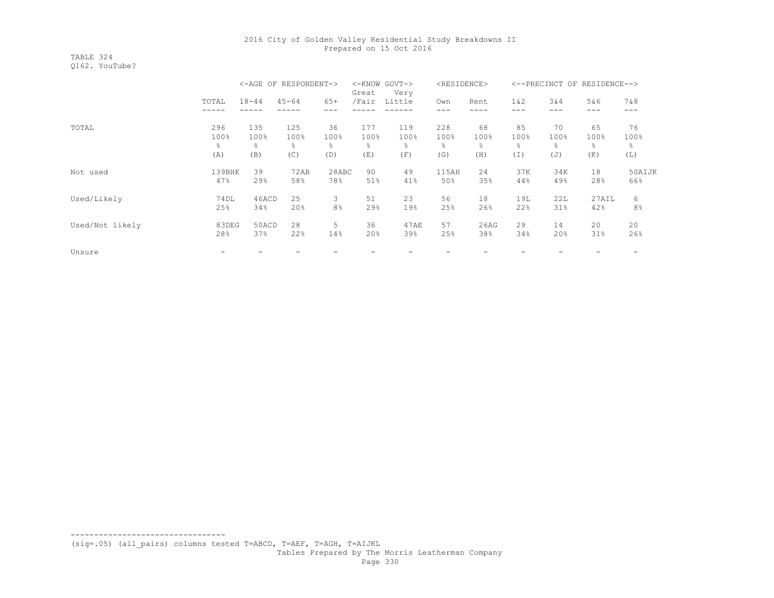TABLE 324 Q162. YouTube?

|                 |        | <-AGE OF RESPONDENT-><br>Great |           |       |       | <-KNOW GOVT-><br>Very | <residence></residence> |      |        |      | <--PRECINCT OF RESIDENCE--> |                |
|-----------------|--------|--------------------------------|-----------|-------|-------|-----------------------|-------------------------|------|--------|------|-----------------------------|----------------|
|                 | TOTAL  | $18 - 44$                      | $45 - 64$ | $65+$ | /Fair | Little                | Own                     | Rent | $1\&2$ | 3&4  | 5&6                         | 7 & 8          |
|                 |        |                                |           |       |       |                       |                         |      |        |      |                             | $-- -$         |
| TOTAL           | 296    | 135                            | 125       | 36    | 177   | 119                   | 228                     | 68   | 85     | 70   | 65                          | 76             |
|                 | 100%   | 100%                           | 100%      | 100%  | 100%  | 100%                  | 100%                    | 100% | 100%   | 100% | 100%                        | 100%           |
|                 | 옹      | $\frac{6}{10}$                 | g.        | ⊱     | g.    | $\approx$             | g.                      | g.   | ÷.     | ိင   | g.                          | ⊱              |
|                 | (A)    | (B)                            | (C)       | (D)   | (E)   | (F)                   | (G)                     | (H)  | (I)    | (J)  | (K)                         | (L)            |
| Not used        | 139BHK | 39                             | 72AB      | 28ABC | 90    | 49                    | 115AH                   | 24   | 37K    | 34K  | 18                          | 50AIJK         |
|                 | 47%    | 29%                            | 58%       | 78%   | 51%   | 41%                   | 50%                     | 35%  | 44%    | 49%  | 28%                         | 66%            |
| Used/Likely     | 74 DL  | 46ACD                          | 25        | 3     | 51    | 23                    | 56                      | 18   | 19L    | 22L  | 27AIL                       | 6              |
|                 | 25%    | 34%                            | 20%       | 8%    | 29%   | 19%                   | 25%                     | 26%  | 22%    | 31%  | 42%                         | 8 <sup>°</sup> |
| Used/Not likely | 83DEG  | 50ACD                          | 28        | 5     | 36    | 47AE                  | 57                      | 26AG | 29     | 14   | 20                          | 20             |
|                 | 28%    | 37%                            | 22%       | 14%   | 20%   | 39%                   | 25%                     | 38%  | 34%    | 20%  | 31%                         | 26%            |
| Unsure          |        |                                |           |       |       |                       |                         |      |        |      |                             |                |

(sig=.05) (all\_pairs) columns tested T=ABCD, T=AEF, T=AGH, T=AIJKL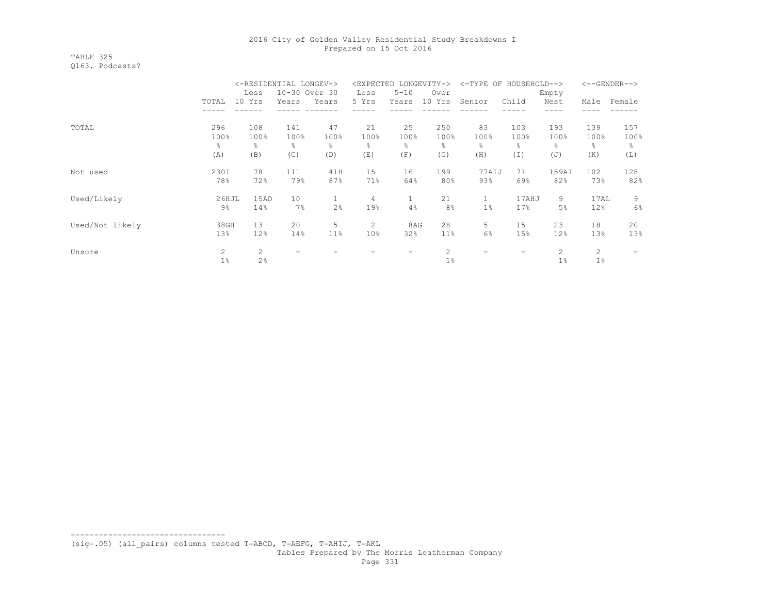TABLE 325 Q163. Podcasts?

|                 |                | <-RESIDENTIAL LONGEV-> |       |               |       | <expected longevity-=""></expected> |        |        | <-TYPE OF HOUSEHOLD--> |                |                 | $<-$ -GENDER--> |
|-----------------|----------------|------------------------|-------|---------------|-------|-------------------------------------|--------|--------|------------------------|----------------|-----------------|-----------------|
|                 |                | Less                   |       | 10-30 Over 30 | Less  | $5 - 10$                            | Over   |        |                        | Empty          |                 |                 |
|                 | TOTAL          | 10 Yrs                 | Years | Years         | 5 Yrs | Years                               | 10 Yrs | Senior | Child                  | Nest           | Male            | Female          |
|                 |                |                        |       |               |       |                                     |        |        |                        |                |                 |                 |
| TOTAL           | 296            | 108                    | 141   | 47            | 21    | 25                                  | 250    | 83     | 103                    | 193            | 139             | 157             |
|                 | 100%           | 100%                   | 100%  | 100%          | 100%  | 100%                                | 100%   | 100%   | 100%                   | 100%           | 100%            | 100%            |
|                 | g.             | ိင                     | g.    | 옹             | ⊱     | 옹                                   | 욲      | ိင     | g.                     | န္             | g.              | 옹               |
|                 | (A)            | (B)                    | (C)   | (D)           | (E)   | (F)                                 | (G)    | (H)    | (I)                    | (J)            | (K)             | (L)             |
| Not used        | 230I           | 78                     | 111   | 41B           | 15    | 16                                  | 199    | 77AIJ  | 71                     | 159AI          | 102             | 128             |
|                 | 78%            | 72%                    | 79%   | 87%           | 71%   | 64%                                 | 80%    | 93%    | 69%                    | 82%            | 73%             | 82%             |
| Used/Likely     | 26HJL          | 15AD                   | 10    |               | 4     | $\mathbf{1}$                        | 21     | 1      | 17AHJ                  | 9              | 17AL            | 9               |
|                 | $9\%$          | 14%                    | 7%    | 2%            | 19%   | 4%                                  | 8%     | 1%     | 17%                    | 5%             | 12%             | $6\%$           |
| Used/Not likely | 38GH           | 13                     | 20    | 5             | 2     | 8AG                                 | 28     | 5      | 15                     | 23             | 18              | 20              |
|                 | 13%            | 12%                    | 14%   | 11%           | 10%   | 32%                                 | 11%    | 6%     | 15%                    | 12%            | 13 <sup>8</sup> | 13%             |
| Unsure          | $\overline{c}$ | 2                      |       |               |       | $\overline{\phantom{m}}$            | 2      |        |                        | $\overline{2}$ | $\overline{2}$  |                 |
|                 | $1\%$          | 2%                     |       |               |       |                                     | $1\%$  |        |                        | 1%             | $1\%$           |                 |

--------------------------------- (sig=.05) (all\_pairs) columns tested T=ABCD, T=AEFG, T=AHIJ, T=AKL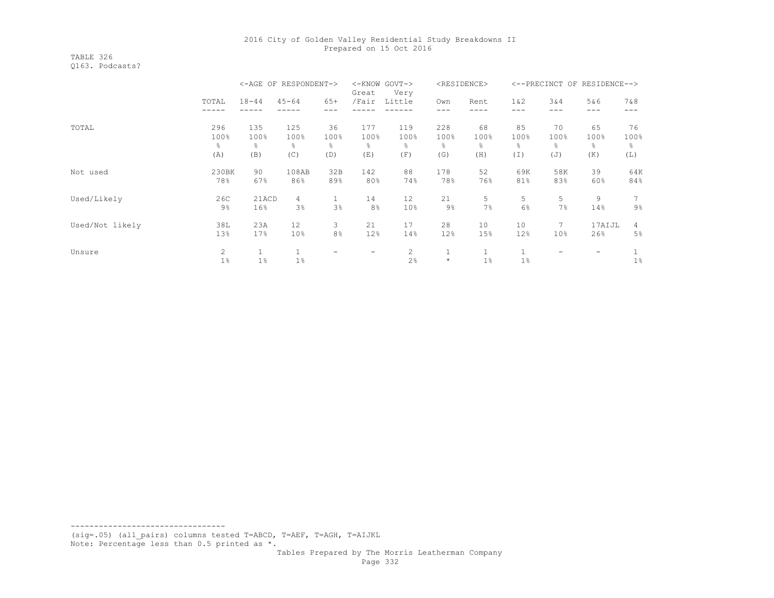TABLE 326 Q163. Podcasts?

|                 |                |                 | <-AGE OF RESPONDENT-> |                | <-KNOW GOVT-><br>Great | Very            |         | <residence></residence> |        |      | <--PRECINCT OF RESIDENCE--> |       |
|-----------------|----------------|-----------------|-----------------------|----------------|------------------------|-----------------|---------|-------------------------|--------|------|-----------------------------|-------|
|                 | TOTAL          | $18 - 44$       | $45 - 64$             | $65+$          | /Fair                  | Little          | Own     | Rent                    | $1\&2$ | 3&4  | 5&6                         | 7 & 8 |
|                 |                |                 |                       |                |                        |                 |         |                         |        |      |                             |       |
| TOTAL           | 296            | 135             | 125                   | 36             | 177                    | 119             | 228     | 68                      | 85     | 70   | 65                          | 76    |
|                 | 100%           | 100%            | 100%                  | 100%           | 100%                   | 100%            | 100%    | 100%                    | 100%   | 100% | 100%                        | 100%  |
|                 | g.             | 옹               | ⊱                     | 옹              | ⊱                      | g.              | g.      | g.                      | 옹      | g.   | g.                          | ⊱     |
|                 | (A)            | (B)             | (C)                   | (D)            | (E)                    | (F)             | (G)     | (H)                     | (I)    | (J)  | (K)                         | (L)   |
| Not used        | 230BK          | 90              | 108AB                 | 32B            | 142                    | 88              | 178     | 52                      | 69K    | 58K  | 39                          | 64K   |
|                 | 78%            | 67%             | 86%                   | 89%            | 80%                    | 74%             | 78%     | 76%                     | 81%    | 83%  | 60%                         | 84%   |
| Used/Likely     | 26C            | 21ACD           | 4                     |                | 14                     | 12              | 21      | 5                       | 5      | 5    | 9                           | 7     |
|                 | $9\%$          | 16%             | 3%                    | 3%             | 8%                     | 10 <sup>°</sup> | 9%      | 7%                      | 6%     | 7%   | 14%                         | $9\%$ |
| Used/Not likely | 38L            | 23A             | 12                    | 3              | 21                     | 17              | 28      | 10                      | 10     |      | 17AIJL                      | 4     |
|                 | 13%            | 17 <sup>8</sup> | 10%                   | 8 <sup>°</sup> | 12%                    | 14%             | 12%     | 15%                     | 12%    | 10%  | 26%                         | 5%    |
| Unsure          | $\overline{c}$ |                 |                       |                | -                      | 2               |         | 1                       |        |      |                             |       |
|                 | $1\%$          | $1\%$           | $1\%$                 |                |                        | 2%              | $\star$ | $1\%$                   | $1\%$  |      |                             | $1\%$ |

--------------------------------- (sig=.05) (all\_pairs) columns tested T=ABCD, T=AEF, T=AGH, T=AIJKL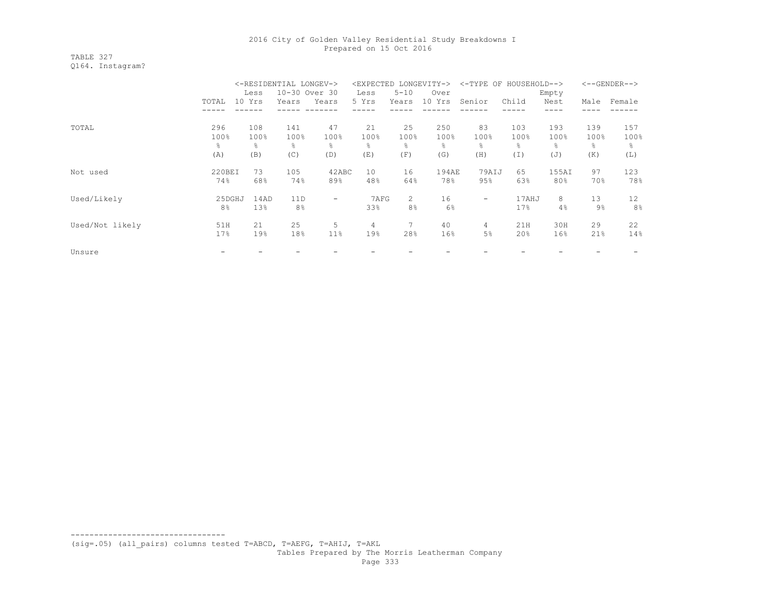TABLE 327 Q164. Instagram?

|                 |                |        | <-RESIDENTIAL LONGEV-> |                          | <expected longevity-=""></expected> |           |        |        | <-TYPE OF HOUSEHOLD--> |       |       | $<-$ -GENDER--> |
|-----------------|----------------|--------|------------------------|--------------------------|-------------------------------------|-----------|--------|--------|------------------------|-------|-------|-----------------|
|                 |                | Less   | 10-30 Over 30          |                          | Less                                | $5 - 10$  | Over   |        |                        | Empty |       |                 |
|                 | TOTAL          | 10 Yrs | Years                  | Years                    | 5 Yrs                               | Years     | 10 Yrs | Senior | Child                  | Nest  | Male  | Female          |
|                 |                |        |                        |                          |                                     |           |        |        |                        |       |       |                 |
| TOTAL           | 296            | 108    | 141                    | 47                       | 21                                  | 25        | 250    | 83     | 103                    | 193   | 139   | 157             |
|                 | 100%           | 100%   | 100%                   | 100%                     | 100%                                | 100%      | 100%   | 100%   | 100%                   | 100%  | 100%  | 100%            |
|                 | g.             | g.     | g.                     | g.                       | ⊱                                   | $\approx$ | 욲      | 욲      | g.                     | န္    | g.    | 옹               |
|                 | (A)            | (B)    | (C)                    | (D)                      | (E)                                 | (F)       | (G)    | (H)    | $(\top)$               | (J)   | (K)   | (L)             |
| Not used        | 220BEI         | 73     | 105                    | 42ABC                    | 10                                  | 16        | 194AE  | 79AIJ  | 65                     | 155AT | 97    | 123             |
|                 | 74%            | 68%    | 74%                    | 89%                      | 48%                                 | 64%       | 78%    | 95%    | 63%                    | 80%   | 70%   | 78%             |
| Used/Likely     | 25DGHJ         | 14AD   | 11D                    | $\overline{\phantom{0}}$ | 7AFG                                | 2         | 16     | -      | 17AHJ                  | 8     | 13    | $12 \,$         |
|                 | 8 <sup>°</sup> | 13%    | $8\,$                  |                          | 33%                                 | 8%        | 6%     |        | 17%                    | 4%    | $9\%$ | 8%              |
| Used/Not likely | 51H            | 21     | 25                     | 5                        | 4                                   | 7         | 40     | 4      | 21H                    | 30H   | 29    | 22              |
|                 | 17%            | 19%    | 18%                    | 11%                      | 19%                                 | 28%       | 16%    | 5%     | 20%                    | 16%   | 21%   | 14%             |
| Unsure          |                |        |                        |                          |                                     |           |        |        |                        |       |       |                 |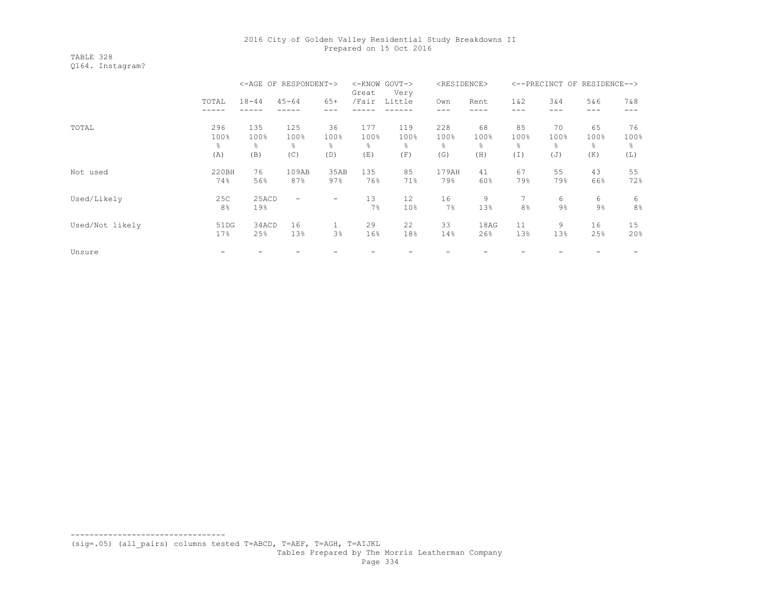TABLE 328 Q164. Instagram?

|                 |       |           | <-AGE OF RESPONDENT-> |                          | Great | <-KNOW GOVT-><br>Very | <residence></residence> |      |                | <--PRECINCT OF RESIDENCE--> |                |         |
|-----------------|-------|-----------|-----------------------|--------------------------|-------|-----------------------|-------------------------|------|----------------|-----------------------------|----------------|---------|
|                 | TOTAL | $18 - 44$ | $45 - 64$             | $65+$                    | /Fair | Little                | Own                     | Rent | $1\&2$         | 3&4                         | 5&6            | 7 & 8   |
|                 |       |           |                       |                          |       |                       |                         |      |                |                             | ---            |         |
| TOTAL           | 296   | 135       | 125                   | 36                       | 177   | 119                   | 228                     | 68   | 85             | 70                          | 65             | 76      |
|                 | 100%  | 100%      | 100%                  | 100%                     | 100%  | 100%                  | 100%                    | 100% | 100%           | 100%                        | 100%           | 100%    |
|                 | 옹     | 옹         | g.                    | 옹                        | ÷,    | ိင                    | ⊱                       | 옹    | ⊱              | 옹                           | 옹              | g.      |
|                 | (A)   | (B)       | (C)                   | (D)                      | (E)   | (F)                   | (G)                     | (H)  | (I)            | (J)                         | (K)            | (L)     |
| Not used        | 220BH | 76        | 109AB                 | 35AB                     | 135   | 85                    | 179AH                   | 41   | 67             | 55                          | 43             | 55      |
|                 | 74%   | 56%       | 87%                   | 97%                      | 76%   | 71%                   | 79%                     | 60%  | 79%            | 79%                         | 66%            | 72%     |
| Used/Likely     | 25C   | 25ACD     |                       | $\overline{\phantom{0}}$ | 13    | 12                    | 16                      | 9    |                | 6                           | 6              | 6       |
|                 | 8%    | 19%       |                       |                          | 7%    | 10%                   | 7%                      | 13%  | 8 <sup>°</sup> | $9\%$                       | $9\frac{6}{6}$ | $8\,$ % |
| Used/Not likely | 51DG  | 34ACD     | 16                    |                          | 29    | 22                    | 33                      | 18AG | 11             | 9                           | 16             | 15      |
|                 | 17%   | 25%       | 13%                   | 3%                       | 16%   | 18%                   | 14%                     | 26%  | 13%            | 13%                         | 25%            | 20%     |
| Unsure          |       |           |                       |                          |       |                       |                         |      |                |                             |                |         |

--------------------------------- (sig=.05) (all\_pairs) columns tested T=ABCD, T=AEF, T=AGH, T=AIJKL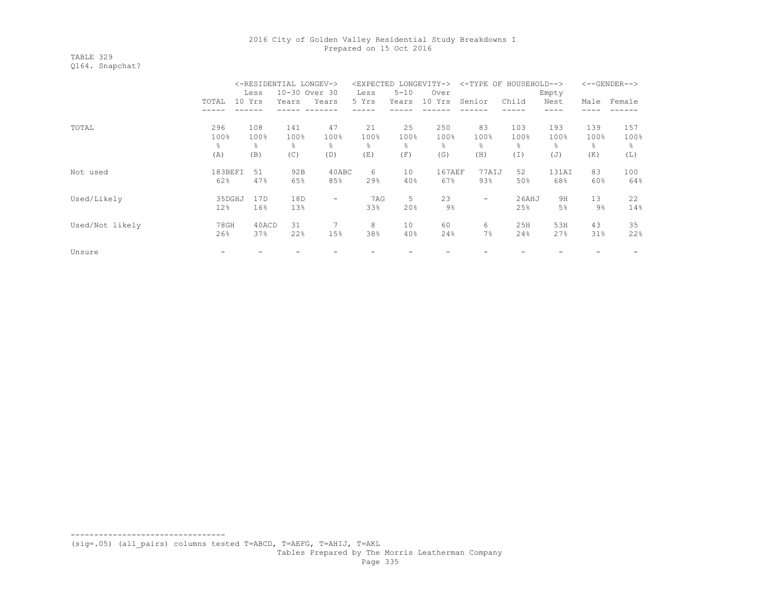TABLE 329 Q164. Snapchat?

|                 |         | <-RESIDENTIAL LONGEV-> |               | <expected longevity-=""></expected> |       |          |        | <-TYPE OF HOUSEHOLD--> |       |       | $<-$ -GENDER--> |        |
|-----------------|---------|------------------------|---------------|-------------------------------------|-------|----------|--------|------------------------|-------|-------|-----------------|--------|
|                 |         | Less                   | 10-30 Over 30 |                                     | Less  | $5 - 10$ | Over   |                        |       | Empty |                 |        |
|                 | TOTAL   | 10 Yrs                 | Years         | Years                               | 5 Yrs | Years    | 10 Yrs | Senior                 | Child | Nest  | Male            | Female |
|                 |         |                        |               |                                     |       |          |        |                        |       |       |                 |        |
| TOTAL           | 296     | 108                    | 141           | 47                                  | 21    | 25       | 250    | 83                     | 103   | 193   | 139             | 157    |
|                 | 100%    | 100%                   | 100%          | 100%                                | 100%  | 100%     | 100%   | 100%                   | 100%  | 100%  | 100%            | 100%   |
|                 | ိင      | 옹                      | ⊱             | 옹                                   | ⊱     | ⊱        | 욲      | 옹                      | ⊱     | 옹     | 옹               | 옹      |
|                 | (A)     | (B)                    | (C)           | (D)                                 | (E)   | (F)      | (G)    | (H)                    | (I)   | (J)   | (K)             | (L)    |
| Not used        | 183BEFI | 51                     | 92B           | 40ABC                               | 6     | 10       | 167AEF | 77AIJ                  | 52    | 131AI | 83              | 100    |
|                 | 62%     | 47%                    | 65%           | 85%                                 | 29%   | 40%      | 67%    | 93%                    | 50%   | 68%   | 60%             | 64%    |
| Used/Likely     | 35DGHJ  | 17D                    | 18D           | $\overline{\phantom{a}}$            | 7 A G | 5        | 23     | -                      | 26AHJ | 9H    | 13              | 22     |
|                 | 12%     | 16%                    | 13%           |                                     | 33%   | 20%      | $9\%$  |                        | 25%   | 5%    | $9\%$           | 14%    |
| Used/Not likely | 78GH    | 40ACD                  | 31            |                                     | 8     | 10       | 60     | 6                      | 25H   | 53H   | 43              | 35     |
|                 | 26%     | 37%                    | 22%           | 15%                                 | 38%   | 40%      | 24%    | 7%                     | 24%   | 27%   | 31%             | 22%    |
| Unsure          |         |                        |               |                                     |       |          |        |                        |       |       |                 |        |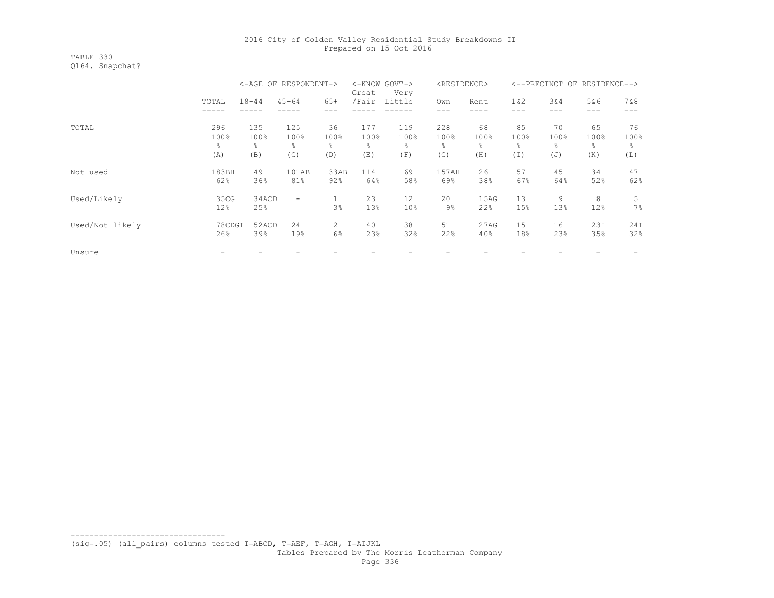TABLE 330 Q164. Snapchat?

|                 |        |           | <-AGE OF RESPONDENT-> |                | Great | <-KNOW GOVT-><br>Very | <residence></residence> |      |        |      | <--PRECINCT OF RESIDENCE--> |      |
|-----------------|--------|-----------|-----------------------|----------------|-------|-----------------------|-------------------------|------|--------|------|-----------------------------|------|
|                 | TOTAL  | $18 - 44$ | $45 - 64$             | $65+$          | /Fair | Little                | Own                     | Rent | $1\&2$ | 3&4  | 5&6                         | 7&8  |
|                 |        |           |                       |                |       |                       |                         |      |        |      | ---                         |      |
| TOTAL           | 296    | 135       | 125                   | 36             | 177   | 119                   | 228                     | 68   | 85     | 70   | 65                          | 76   |
|                 | 100%   | 100%      | 100%                  | 100%           | 100%  | 100%                  | 100%                    | 100% | 100%   | 100% | 100%                        | 100% |
|                 | ိင     | ⊱         | ٩,                    | g              | ⊱     | ÷,                    | $\approx$               | 옹    | 옹      | 욲    | 옹                           | 옹    |
|                 | (A)    | (B)       | (C)                   | (D)            | (E)   | (F)                   | (G)                     | (H)  | (I)    | (J)  | (K)                         | (L)  |
| Not used        | 183BH  | 49        | 101AB                 | 33AB           | 114   | 69                    | 157AH                   | 26   | 57     | 45   | 34                          | 47   |
|                 | 62%    | 36%       | 81%                   | 92%            | 64%   | 58%                   | 69%                     | 38%  | 67%    | 64%  | 52%                         | 62%  |
| Used/Likely     | 35CG   | 34ACD     | -                     |                | 23    | 12                    | 20                      | 15AG | 13     | 9    | 8                           | 5    |
|                 | 12%    | 25%       |                       | 3%             | 13%   | 10 <sup>°</sup>       | $9\%$                   | 22%  | 15%    | 13%  | 12%                         | 7%   |
| Used/Not likely | 78CDGI | 52ACD     | 24                    | $\overline{2}$ | 40    | 38                    | 51                      | 27AG | 15     | 16   | 23I                         | 24I  |
|                 | 26%    | 39%       | 19%                   | 6%             | 23%   | 32%                   | 22%                     | 40%  | 18%    | 23%  | 35%                         | 32%  |
| Unsure          |        |           |                       |                |       |                       |                         |      |        |      |                             |      |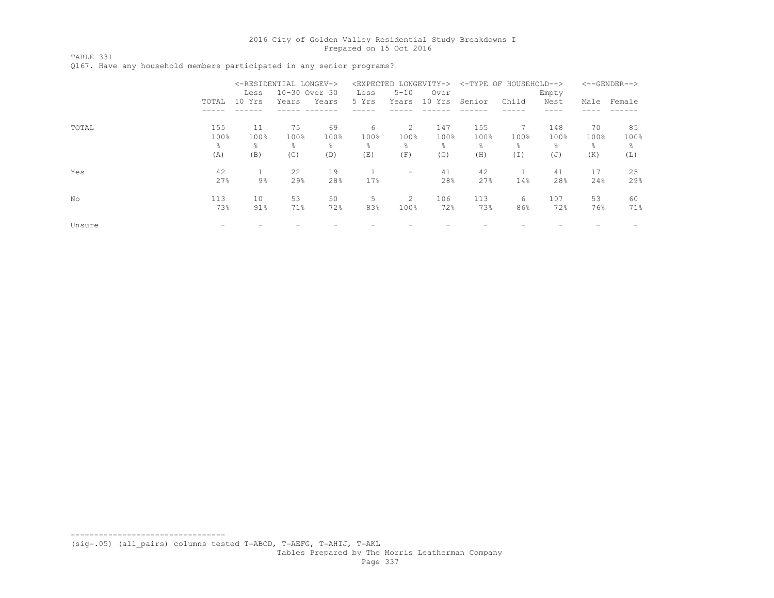TABLE 331

Q167. Have any household members participated in any senior programs?

|        |       |        | <-RESIDENTIAL LONGEV-> |               | <expected longevity-=""></expected> |                          |                | <-TYPE OF HOUSEHOLD--> |       |                | $<-$ -GENDER--> |        |  |
|--------|-------|--------|------------------------|---------------|-------------------------------------|--------------------------|----------------|------------------------|-------|----------------|-----------------|--------|--|
|        |       | Less   |                        | 10-30 Over 30 | Less                                | $5 - 10$                 | Over           |                        |       | Empty          |                 |        |  |
|        | TOTAL | 10 Yrs | Years                  | Years         | 5 Yrs                               | Years                    | 10 Yrs         | Senior                 | Child | Nest           | Male            | Female |  |
|        |       |        |                        |               |                                     |                          |                |                        |       |                |                 |        |  |
| TOTAL  | 155   | 11     | 75                     | 69            | 6                                   | 2                        | 147            | 155                    |       | 148            | 70              | 85     |  |
|        | 100%  | 100%   | 100%                   | 100%          | 100%                                | 100%                     | 100%           | 100%                   | 100%  | 100%           | 100%            | 100%   |  |
|        | ÷,    | g.     | g.                     | ⊱             | ⊱                                   | 옹                        | $\frac{6}{10}$ | $\frac{6}{10}$         | ⊱     | $\frac{6}{10}$ | g.              | 욲      |  |
|        | (A)   | (B)    | (C)                    | (D)           | (E)                                 | (F)                      | (G)            | (H)                    | (I)   | (J)            | (K)             | (L)    |  |
| Yes    | 42    |        | 22                     | 19            |                                     | $\overline{\phantom{a}}$ | 41             | 42                     |       | 41             | 17              | 25     |  |
|        | 27%   | $9\%$  | 29%                    | 28%           | 17%                                 |                          | 28%            | 27%                    | 14%   | 28%            | 24%             | 29%    |  |
| No     | 113   | 10     | 53                     | 50            | 5                                   | 2                        | 106            | 113                    | 6     | 107            | 53              | 60     |  |
|        | 73%   | $91\%$ | 71%                    | 72%           | 83%                                 | 100%                     | 72%            | 73%                    | 86%   | 72%            | 76%             | 71%    |  |
| Unsure |       |        |                        |               |                                     |                          |                |                        |       |                |                 |        |  |

(sig=.05) (all\_pairs) columns tested T=ABCD, T=AEFG, T=AHIJ, T=AKL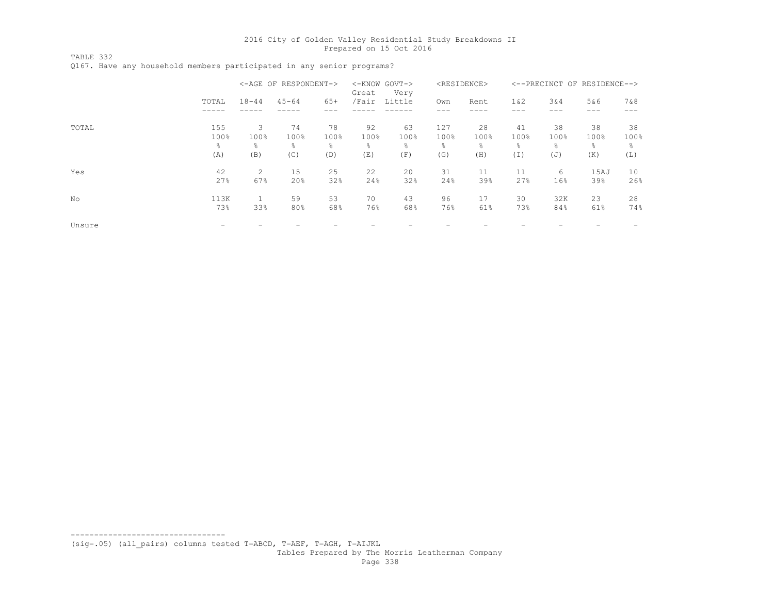TABLE 332

Q167. Have any household members participated in any senior programs?

|        |             | <-AGE OF RESPONDENT-> |            |            | <-KNOW GOVT-><br>Very<br>Great |            | <residence></residence> |                       | <--PRECINCT OF RESIDENCE--> |            |             |            |
|--------|-------------|-----------------------|------------|------------|--------------------------------|------------|-------------------------|-----------------------|-----------------------------|------------|-------------|------------|
|        | TOTAL       | $18 - 44$             | $45 - 64$  | $65+$      | /Fair                          | Little     | Own                     | Rent                  | 1 & 2                       | 3&4        | 5&6<br>---  | 7&8        |
|        |             |                       |            |            |                                |            |                         |                       |                             |            |             |            |
| TOTAL  | 155<br>100% | 3<br>100%             | 74<br>100% | 78<br>100% | 92<br>100%                     | 63<br>100% | 127<br>100%             | 28<br>100%            | 41<br>100%                  | 38<br>100% | 38<br>100%  | 38<br>100% |
|        | ÷,<br>(A)   | $\frac{6}{6}$<br>(B)  | g.<br>(C)  | 옹<br>(D)   | ⊱<br>(E)                       | g.<br>(F)  | $\frac{6}{10}$<br>(G)   | $\frac{6}{10}$<br>(H) | 옹<br>(I)                    | ⊱<br>(J)   | g.<br>(K)   | 옹<br>(L)   |
| Yes    | 42<br>27%   | $\overline{2}$<br>67% | 15<br>20%  | 25<br>32%  | 22<br>24%                      | 20<br>32%  | 31<br>24%               | 11<br>39%             | 11<br>27%                   | 6<br>16%   | 15AJ<br>39% | 10<br>26%  |
| No     | 113K<br>73% | 33%                   | 59<br>80%  | 53<br>68%  | 70<br>76%                      | 43<br>68%  | 96<br>76%               | 17<br>61%             | 30<br>73%                   | 32K<br>84% | 23<br>61%   | 28<br>74%  |
| Unsure |             |                       |            |            |                                |            |                         |                       |                             |            |             |            |

--------------------------------- (sig=.05) (all\_pairs) columns tested T=ABCD, T=AEF, T=AGH, T=AIJKL

Tables Prepared by The Morris Leatherman Company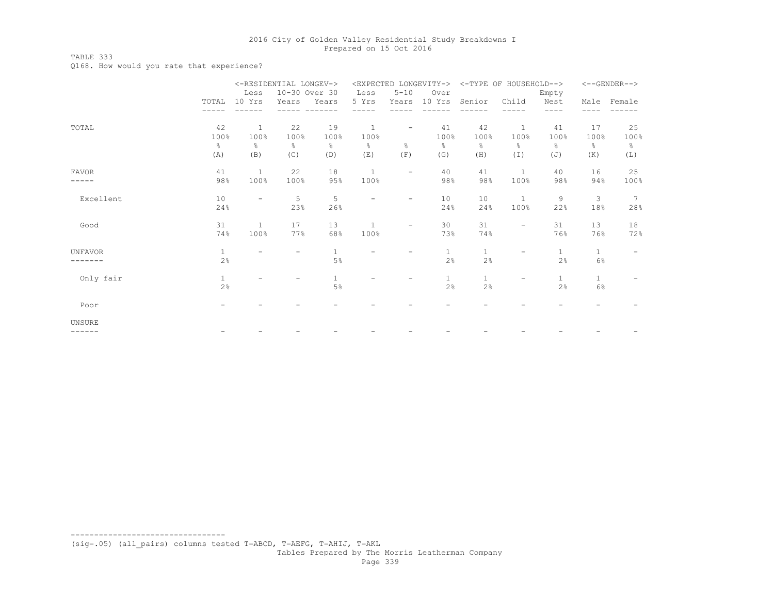## TABLE 333

Q168. How would you rate that experience?

|                |               | <-RESIDENTIAL LONGEV-><br><expected longevity-=""></expected> |               |               |               |                          |              | <-TYPE OF HOUSEHOLD--> |                   |               |              | $<-$ -GENDER--> |  |
|----------------|---------------|---------------------------------------------------------------|---------------|---------------|---------------|--------------------------|--------------|------------------------|-------------------|---------------|--------------|-----------------|--|
|                |               | Less                                                          | 10-30 Over 30 |               | Less          | $5 - 10$                 | Over         |                        |                   | Empty         |              |                 |  |
|                | TOTAL         | 10 Yrs                                                        | Years         | Years         | 5 Yrs         | Years                    | 10 Yrs       | Senior                 | Child             | Nest          |              | Male Female     |  |
|                |               |                                                               |               |               |               |                          |              |                        |                   | ----          | ----         |                 |  |
| TOTAL          | 42            | $\mathbf{1}$                                                  | 22            | 19            | $\mathbf{1}$  | $\overline{\phantom{a}}$ | 41           | 42                     | $\mathbf{1}$      | 41            | 17           | 25              |  |
|                | 100%          | 100%                                                          | 100%          | 100%          | 100%          |                          | 100%         | 100%                   | 100%              | 100%          | 100%         | 100%            |  |
|                | $\frac{6}{6}$ | ⊱                                                             | $\frac{6}{6}$ | $\frac{6}{6}$ | $\frac{8}{6}$ | 옹                        | g.           | $\frac{\circ}{6}$      | 옹                 | $\frac{6}{6}$ | 옹            | $\frac{6}{6}$   |  |
|                | (A)           | (B)                                                           | (C)           | (D)           | (E)           | (F)                      | (G)          | (H)                    | (I)               | (J)           | (K)          | (L)             |  |
| <b>FAVOR</b>   | 41            | $\mathbf{1}$                                                  | 22            | 18            | $\mathbf{1}$  | $\overline{\phantom{m}}$ | 40           | 41                     | $\mathbf{1}$      | 40            | 16           | 25              |  |
| -----          | 98%           | 100%                                                          | 100%          | 95%           | 100%          |                          | 98%          | 98%                    | 100%              | 98%           | 94%          | 100%            |  |
| Excellent      | 10            | $\overline{a}$                                                | 5             | 5             |               | $\overline{\phantom{a}}$ | 10           | 10                     | $\mathbf{1}$      | 9             | 3            | 7               |  |
|                | 24%           |                                                               | 23%           | 26%           |               |                          | 24%          | 24%                    | 100%              | 22%           | 18%          | 28%             |  |
| Good           | 31            | $\mathbf{1}$                                                  | 17            | 13            | $\mathbf{1}$  | $\overline{\phantom{a}}$ | 30           | 31                     | $\qquad \qquad -$ | 31            | 13           | 18              |  |
|                | 74%           | 100%                                                          | 77%           | 68%           | 100%          |                          | 73%          | 74%                    |                   | 76%           | 76%          | 72%             |  |
| <b>UNFAVOR</b> | $\mathbf{1}$  |                                                               |               | $\mathbf{1}$  |               |                          | $\mathbf{1}$ | $\mathbf{1}$           |                   | $\mathbf{1}$  | $\mathbf{1}$ |                 |  |
|                | 2%            |                                                               |               | 5%            |               |                          | 2%           | 2%                     |                   | 2%            | 6%           |                 |  |
| Only fair      | $\,1\,$       |                                                               |               | $\mathbf{1}$  |               |                          | $\mathbf{1}$ | $\mathbf{1}$           | Ξ.                | $\mathbf{1}$  | $\mathbf{1}$ |                 |  |
|                | 2%            |                                                               |               | 5%            |               |                          | 2%           | 2%                     |                   | 2%            | 6%           |                 |  |
| Poor           |               |                                                               |               |               |               |                          |              |                        |                   |               |              |                 |  |
| UNSURE         |               |                                                               |               |               |               |                          |              |                        |                   |               |              |                 |  |
| - - - - - -    |               |                                                               |               |               |               |                          |              |                        |                   |               |              |                 |  |

(sig=.05) (all\_pairs) columns tested T=ABCD, T=AEFG, T=AHIJ, T=AKL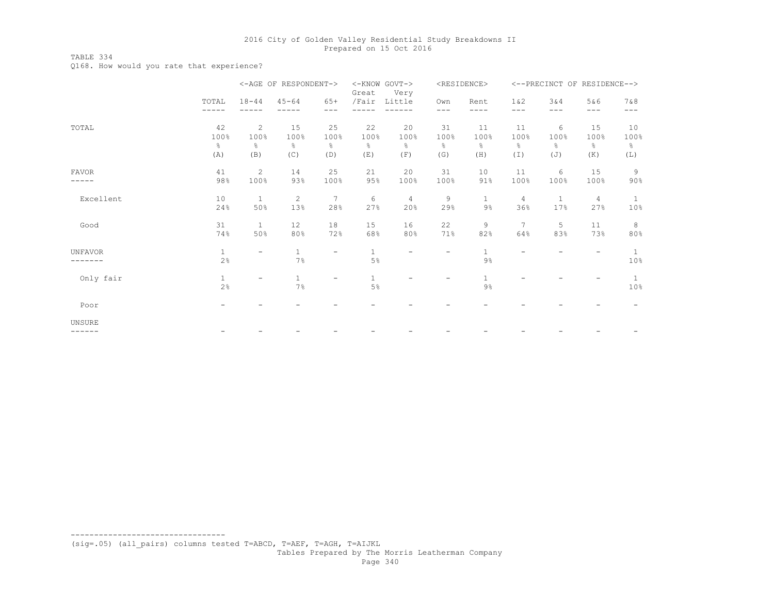TABLE 334

Q168. How would you rate that experience?

|                    |                        | <-AGE OF RESPONDENT->    |                                    |                                    | <-KNOW GOVT-><br>Great  | Very                               | <residence></residence> |                                        | <--PRECINCT OF RESIDENCE--> |                                   |                           |                                    |
|--------------------|------------------------|--------------------------|------------------------------------|------------------------------------|-------------------------|------------------------------------|-------------------------|----------------------------------------|-----------------------------|-----------------------------------|---------------------------|------------------------------------|
|                    | TOTAL                  | $18 - 44$                | $45 - 64$                          | $65+$<br>---                       | /Fair                   | Little                             | Own<br>---              | Rent                                   | 1 & 2<br>---                | 3&4<br>$---$                      | 5&6<br>$---$              | 7 & 8<br>$---$                     |
| TOTAL              | 42<br>100%<br>옹<br>(A) | 2<br>100%<br>⊱<br>(B)    | 15<br>100%<br>$\frac{6}{5}$<br>(C) | 25<br>100%<br>$\frac{6}{6}$<br>(D) | 22<br>100%<br>g.<br>(E) | 20<br>100%<br>$\frac{6}{6}$<br>(F) | 31<br>100%<br>g.<br>(G) | 11<br>100%<br>$\frac{\circ}{6}$<br>(H) | 11<br>100%<br>옹<br>$(\top)$ | 6<br>100%<br>$\frac{6}{6}$<br>(J) | 15<br>100%<br>$\%$<br>(K) | 10<br>100%<br>$\frac{6}{6}$<br>(L) |
| FAVOR              | 41<br>98%              | 2<br>100%                | 14<br>93%                          | 25<br>100%                         | 21<br>95%               | 20<br>100%                         | 31<br>100%              | 10<br>91%                              | 11<br>100%                  | 6<br>100%                         | 15<br>100%                | 9<br>90%                           |
| Excellent          | 10<br>24%              | $\mathbf{1}$<br>50%      | 2<br>13%                           | $7\phantom{.0}$<br>28%             | 6<br>27%                | 4<br>20%                           | 9<br>29%                | $\mathbf{1}$<br>$9\frac{6}{6}$         | 4<br>36%                    | $\mathbf{1}$<br>17%               | 4<br>27%                  | 1<br>10%                           |
| Good               | 31<br>74%              | $\mathbf{1}$<br>50%      | 12<br>80%                          | 18<br>72%                          | 15<br>68%               | 16<br>80%                          | 22<br>71%               | 9<br>82%                               | 7<br>64%                    | 5<br>83%                          | 11<br>73%                 | 8<br>80%                           |
| <b>UNFAVOR</b>     | $1\,$<br>2%            | $\overline{\phantom{0}}$ | $\mathbf{1}$<br>7%                 | $\overline{\phantom{a}}$           | $1\,$<br>5%             |                                    |                         | $\mathbf 1$<br>$9\%$                   |                             |                                   |                           | $\mathbf{1}$<br>10%                |
| Only fair          | $\,1\,$<br>2%          | $\overline{\phantom{0}}$ | $\mathbf{1}$<br>7%                 | $\overline{\phantom{0}}$           | $1\,$<br>5%             |                                    |                         | $\mathbf 1$<br>9%                      |                             |                                   |                           | $\mathbf{1}$<br>10%                |
| Poor               |                        |                          |                                    |                                    |                         |                                    |                         |                                        |                             |                                   |                           |                                    |
| <b>UNSURE</b><br>. |                        |                          |                                    |                                    |                         |                                    |                         |                                        |                             |                                   |                           |                                    |

(sig=.05) (all\_pairs) columns tested T=ABCD, T=AEF, T=AGH, T=AIJKL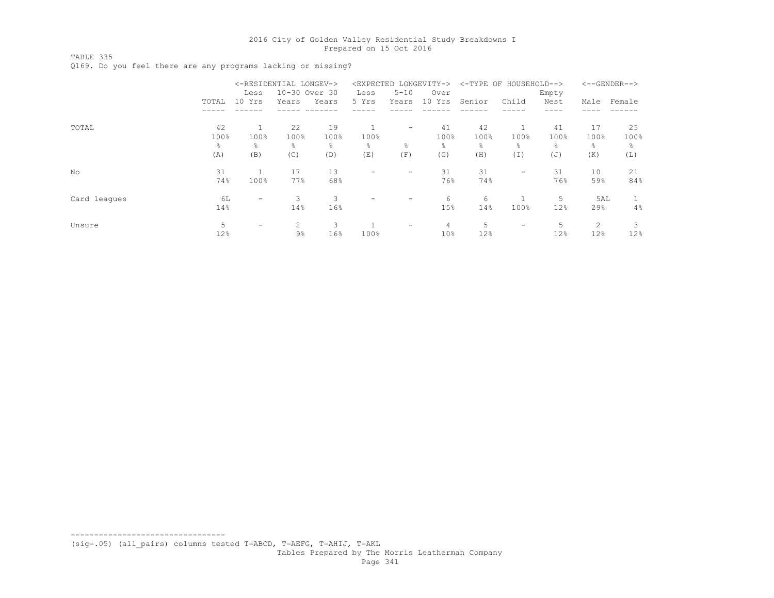TABLE 335

Q169. Do you feel there are any programs lacking or missing?

|              |       | <-RESIDENTIAL LONGEV-><br><expected longevity-=""></expected> |                       |       |       |                          | <-TYPE OF HOUSEHOLD--> | $<-$ -GENDER--> |                          |       |      |        |
|--------------|-------|---------------------------------------------------------------|-----------------------|-------|-------|--------------------------|------------------------|-----------------|--------------------------|-------|------|--------|
|              |       | Less                                                          | 10-30 Over 30         |       | Less  | $5 - 10$<br>Years        | Over<br>10 Yrs         |                 |                          | Empty |      |        |
|              | TOTAL | 10 Yrs                                                        | Years                 | Years | 5 Yrs |                          |                        | Senior          | Child                    | Nest  | Male | Female |
|              |       |                                                               |                       |       |       |                          |                        |                 |                          |       |      |        |
| TOTAL        | 42    |                                                               | 22                    | 19    |       | $\overline{\phantom{a}}$ | 41                     | 42              |                          | 41    | 17   | 25     |
|              | 100%  | 100%                                                          | 100%                  | 100%  | 100%  |                          | 100%                   | 100%            | 100%                     | 100%  | 100% | 100%   |
|              | 욲     | g.                                                            | g.                    | 옹     | ⊱     | ÷.                       | ÷,                     | 욲               | 옹                        | ⊱     | g.   | ⊱      |
|              | (A)   | (B)                                                           | (C)                   | (D)   | (E)   | (F)                      | (G)                    | (H)             | (I)                      | (J)   | (K)  | (L)    |
| No           | 31    |                                                               | 17                    | 13    |       | -                        | 31                     | 31              | -                        | 31    | 10   | 21     |
|              | 74%   | 100%                                                          | 77%                   | 68%   |       |                          | 76%                    | 74%             |                          | 76%   | 59%  | 84%    |
| Card leagues | 6L    |                                                               | 3.                    | 3     |       | -                        | 6                      | 6               |                          | 5     | 5AL  |        |
|              | 14%   |                                                               | 14%                   | 16%   |       |                          | 15%                    | 14%             | 100%                     | 12%   | 29%  | $4\%$  |
| Unsure       | 5     | -                                                             | $\mathbf{2}^{\prime}$ | 3     |       | $\qquad \qquad -$        | 4                      | 5               | $\overline{\phantom{0}}$ | 5.    | 2    | 3      |
|              | 12%   |                                                               | $9\%$                 | 16%   | 100%  |                          | 10%                    | 12%             |                          | 12%   | 12%  | 12%    |

(sig=.05) (all\_pairs) columns tested T=ABCD, T=AEFG, T=AHIJ, T=AKL